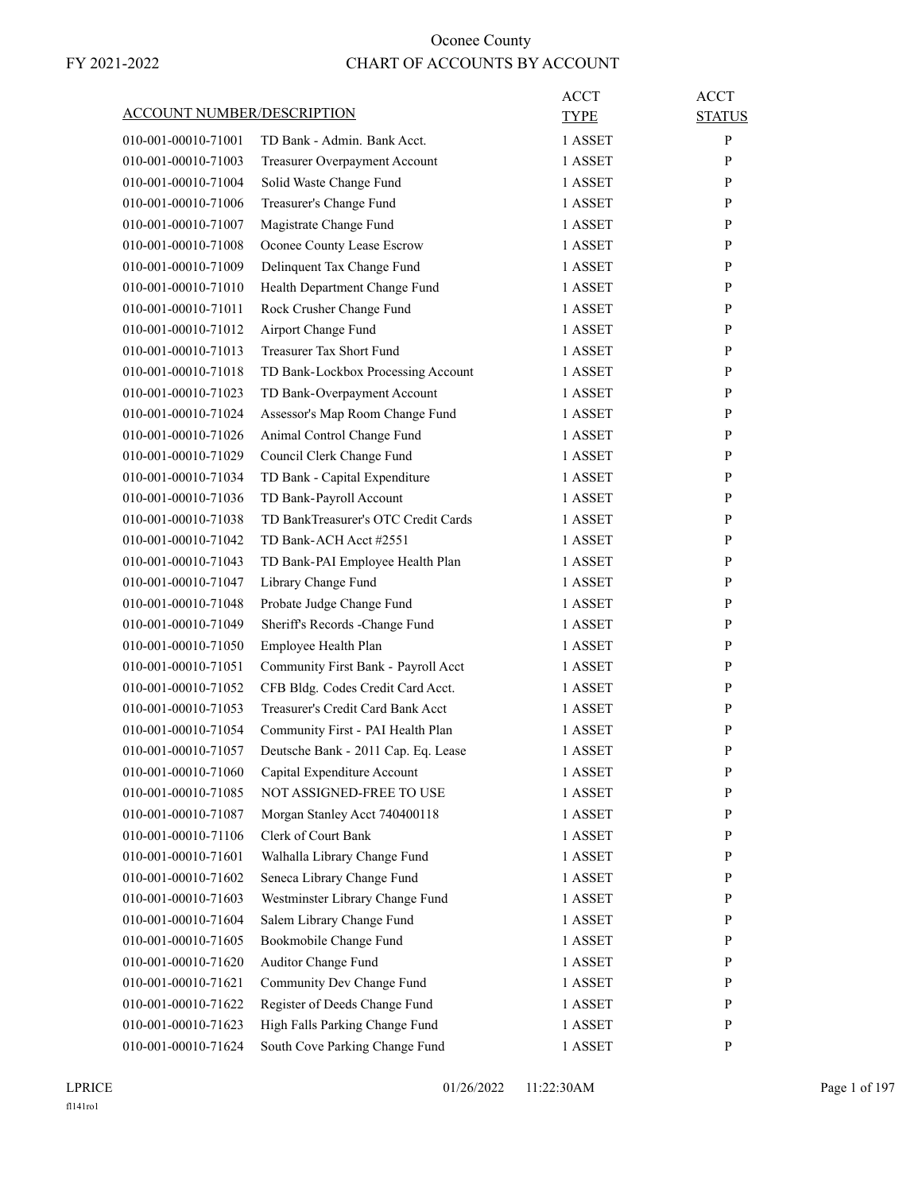| ACCOUNT NUMBER/DESCRIPTION |                                     | ACCT<br>TYPE | <b>ACCT</b><br><b>STATUS</b> |
|----------------------------|-------------------------------------|--------------|------------------------------|
|                            |                                     |              |                              |
| 010-001-00010-71001        | TD Bank - Admin. Bank Acct.         | 1 ASSET      | P                            |
| 010-001-00010-71003        | Treasurer Overpayment Account       | 1 ASSET      | P                            |
| 010-001-00010-71004        | Solid Waste Change Fund             | 1 ASSET      | P                            |
| 010-001-00010-71006        | Treasurer's Change Fund             | 1 ASSET      | P                            |
| 010-001-00010-71007        | Magistrate Change Fund              | 1 ASSET      | P                            |
| 010-001-00010-71008        | Oconee County Lease Escrow          | 1 ASSET      | P                            |
| 010-001-00010-71009        | Delinquent Tax Change Fund          | 1 ASSET      | P                            |
| 010-001-00010-71010        | Health Department Change Fund       | 1 ASSET      | P                            |
| 010-001-00010-71011        | Rock Crusher Change Fund            | 1 ASSET      | $\mathbf{P}$                 |
| 010-001-00010-71012        | Airport Change Fund                 | 1 ASSET      | P                            |
| 010-001-00010-71013        | Treasurer Tax Short Fund            | 1 ASSET      | P                            |
| 010-001-00010-71018        | TD Bank-Lockbox Processing Account  | 1 ASSET      | P                            |
| 010-001-00010-71023        | TD Bank-Overpayment Account         | 1 ASSET      | P                            |
| 010-001-00010-71024        | Assessor's Map Room Change Fund     | 1 ASSET      | P                            |
| 010-001-00010-71026        | Animal Control Change Fund          | 1 ASSET      | $\mathbf{P}$                 |
| 010-001-00010-71029        | Council Clerk Change Fund           | 1 ASSET      | P                            |
| 010-001-00010-71034        | TD Bank - Capital Expenditure       | 1 ASSET      | P                            |
| 010-001-00010-71036        | TD Bank-Payroll Account             | 1 ASSET      | P                            |
| 010-001-00010-71038        | TD BankTreasurer's OTC Credit Cards | 1 ASSET      | P                            |
| 010-001-00010-71042        | TD Bank-ACH Acct #2551              | 1 ASSET      | P                            |
| 010-001-00010-71043        | TD Bank-PAI Employee Health Plan    | 1 ASSET      | $\mathbf{P}$                 |
| 010-001-00010-71047        | Library Change Fund                 | 1 ASSET      | P                            |
| 010-001-00010-71048        | Probate Judge Change Fund           | 1 ASSET      | P                            |
| 010-001-00010-71049        | Sheriff's Records -Change Fund      | 1 ASSET      | P                            |
| 010-001-00010-71050        | Employee Health Plan                | 1 ASSET      | P                            |
| 010-001-00010-71051        | Community First Bank - Payroll Acct | 1 ASSET      | $\mathbf{P}$                 |
| 010-001-00010-71052        | CFB Bldg. Codes Credit Card Acct.   | 1 ASSET      | P                            |
| 010-001-00010-71053        | Treasurer's Credit Card Bank Acct   | 1 ASSET      | P                            |
| 010-001-00010-71054        | Community First - PAI Health Plan   | 1 ASSET      | $\mathbf{P}$                 |
| 010-001-00010-71057        | Deutsche Bank - 2011 Cap. Eq. Lease | 1 ASSET      | $\mathbf{P}$                 |
| 010-001-00010-71060        | Capital Expenditure Account         | 1 ASSET      | $\mathbf{P}$                 |
| 010-001-00010-71085        | NOT ASSIGNED-FREE TO USE            | 1 ASSET      | P                            |
| 010-001-00010-71087        | Morgan Stanley Acct 740400118       | 1 ASSET      | P                            |
| 010-001-00010-71106        | Clerk of Court Bank                 | 1 ASSET      | $\mathbf{P}$                 |
| 010-001-00010-71601        | Walhalla Library Change Fund        | 1 ASSET      | P                            |
| 010-001-00010-71602        | Seneca Library Change Fund          | 1 ASSET      | P                            |
| 010-001-00010-71603        | Westminster Library Change Fund     | 1 ASSET      | P                            |
|                            |                                     |              |                              |
| 010-001-00010-71604        | Salem Library Change Fund           | 1 ASSET      | P                            |
| 010-001-00010-71605        | Bookmobile Change Fund              | 1 ASSET      | P                            |
| 010-001-00010-71620        | Auditor Change Fund                 | 1 ASSET      | P                            |
| 010-001-00010-71621        | Community Dev Change Fund           | 1 ASSET      | P                            |
| 010-001-00010-71622        | Register of Deeds Change Fund       | 1 ASSET      | P                            |
| 010-001-00010-71623        | High Falls Parking Change Fund      | 1 ASSET      | P                            |
| 010-001-00010-71624        | South Cove Parking Change Fund      | 1 ASSET      | P                            |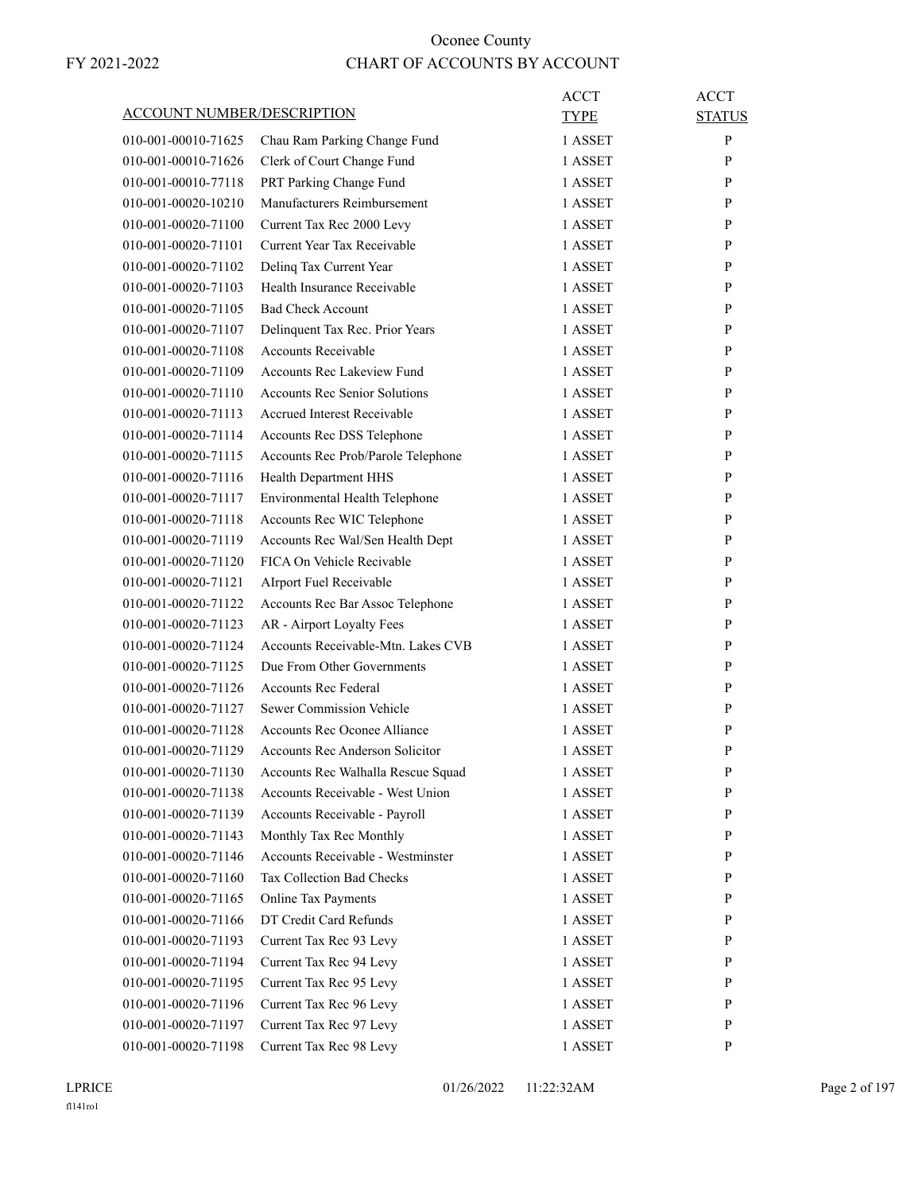| ACCOUNT NUMBER/DESCRIPTION |                                                               | ACCT<br>TYPE | ACCT<br><b>STATUS</b> |
|----------------------------|---------------------------------------------------------------|--------------|-----------------------|
| 010-001-00010-71625        | Chau Ram Parking Change Fund                                  | 1 ASSET      | P                     |
| 010-001-00010-71626        | Clerk of Court Change Fund                                    | 1 ASSET      | P                     |
| 010-001-00010-77118        | PRT Parking Change Fund                                       | 1 ASSET      | P                     |
| 010-001-00020-10210        | Manufacturers Reimbursement                                   | 1 ASSET      | P                     |
| 010-001-00020-71100        | Current Tax Rec 2000 Levy                                     | 1 ASSET      | P                     |
| 010-001-00020-71101        | Current Year Tax Receivable                                   | 1 ASSET      | P                     |
| 010-001-00020-71102        | Delinq Tax Current Year                                       | 1 ASSET      | P                     |
| 010-001-00020-71103        | Health Insurance Receivable                                   | 1 ASSET      | P                     |
| 010-001-00020-71105        | <b>Bad Check Account</b>                                      | 1 ASSET      | P                     |
| 010-001-00020-71107        |                                                               | 1 ASSET      | P                     |
|                            | Delinquent Tax Rec. Prior Years<br><b>Accounts Receivable</b> |              |                       |
| 010-001-00020-71108        |                                                               | 1 ASSET      | P                     |
| 010-001-00020-71109        | <b>Accounts Rec Lakeview Fund</b>                             | 1 ASSET      | P                     |
| 010-001-00020-71110        | <b>Accounts Rec Senior Solutions</b>                          | 1 ASSET      | P                     |
| 010-001-00020-71113        | <b>Accrued Interest Receivable</b>                            | 1 ASSET      | P                     |
| 010-001-00020-71114        | Accounts Rec DSS Telephone                                    | 1 ASSET      | P                     |
| 010-001-00020-71115        | Accounts Rec Prob/Parole Telephone                            | 1 ASSET      | P                     |
| 010-001-00020-71116        | Health Department HHS                                         | 1 ASSET      | P                     |
| 010-001-00020-71117        | Environmental Health Telephone                                | 1 ASSET      | P                     |
| 010-001-00020-71118        | Accounts Rec WIC Telephone                                    | 1 ASSET      | P                     |
| 010-001-00020-71119        | Accounts Rec Wal/Sen Health Dept                              | 1 ASSET      | P                     |
| 010-001-00020-71120        | FICA On Vehicle Recivable                                     | 1 ASSET      | P                     |
| 010-001-00020-71121        | AIrport Fuel Receivable                                       | 1 ASSET      | P                     |
| 010-001-00020-71122        | Accounts Rec Bar Assoc Telephone                              | 1 ASSET      | P                     |
| 010-001-00020-71123        | AR - Airport Loyalty Fees                                     | 1 ASSET      | P                     |
| 010-001-00020-71124        | Accounts Receivable-Mtn. Lakes CVB                            | 1 ASSET      | P                     |
| 010-001-00020-71125        | Due From Other Governments                                    | 1 ASSET      | P                     |
| 010-001-00020-71126        | <b>Accounts Rec Federal</b>                                   | 1 ASSET      | P                     |
| 010-001-00020-71127        | Sewer Commission Vehicle                                      | 1 ASSET      | P                     |
| 010-001-00020-71128        | <b>Accounts Rec Oconee Alliance</b>                           | 1 ASSET      | P                     |
| 010-001-00020-71129        | <b>Accounts Rec Anderson Solicitor</b>                        | 1 ASSET      | P                     |
| 010-001-00020-71130        | Accounts Rec Walhalla Rescue Squad                            | 1 ASSET      | $\mathbf{P}$          |
| 010-001-00020-71138        | Accounts Receivable - West Union                              | 1 ASSET      | P                     |
| 010-001-00020-71139        | Accounts Receivable - Payroll                                 | 1 ASSET      | P                     |
| 010-001-00020-71143        | Monthly Tax Rec Monthly                                       | 1 ASSET      | $\mathbf{P}$          |
| 010-001-00020-71146        | Accounts Receivable - Westminster                             | 1 ASSET      | P                     |
| 010-001-00020-71160        | Tax Collection Bad Checks                                     | 1 ASSET      | P                     |
| 010-001-00020-71165        | Online Tax Payments                                           | 1 ASSET      | P                     |
| 010-001-00020-71166        | DT Credit Card Refunds                                        | 1 ASSET      | P                     |
| 010-001-00020-71193        | Current Tax Rec 93 Levy                                       | 1 ASSET      | P                     |
| 010-001-00020-71194        | Current Tax Rec 94 Levy                                       | 1 ASSET      | P                     |
| 010-001-00020-71195        | Current Tax Rec 95 Levy                                       | 1 ASSET      | P                     |
| 010-001-00020-71196        | Current Tax Rec 96 Levy                                       | 1 ASSET      | P                     |
| 010-001-00020-71197        | Current Tax Rec 97 Levy                                       | 1 ASSET      | P                     |
| 010-001-00020-71198        | Current Tax Rec 98 Levy                                       | 1 ASSET      | P                     |
|                            |                                                               |              |                       |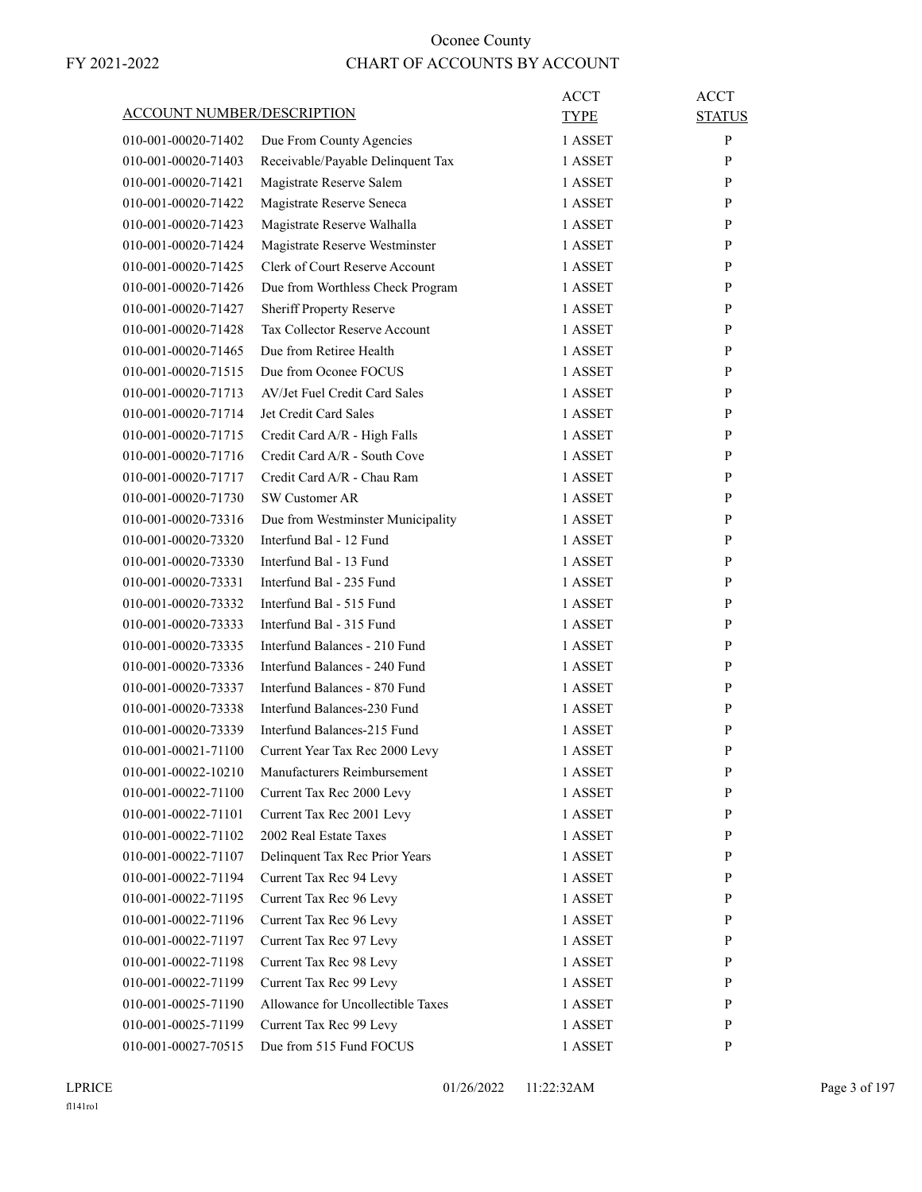| <b>ACCOUNT NUMBER/DESCRIPTION</b> |                                                    | ACCT<br>TYPE       | <b>ACCT</b><br><b>STATUS</b> |
|-----------------------------------|----------------------------------------------------|--------------------|------------------------------|
| 010-001-00020-71402               | Due From County Agencies                           | 1 ASSET            | P                            |
| 010-001-00020-71403               | Receivable/Payable Delinquent Tax                  | 1 ASSET            | P                            |
| 010-001-00020-71421               | Magistrate Reserve Salem                           | 1 ASSET            | P                            |
| 010-001-00020-71422               | Magistrate Reserve Seneca                          | 1 ASSET            | P                            |
| 010-001-00020-71423               | Magistrate Reserve Walhalla                        | 1 ASSET            | P                            |
| 010-001-00020-71424               | Magistrate Reserve Westminster                     | 1 ASSET            | P                            |
| 010-001-00020-71425               | Clerk of Court Reserve Account                     | 1 ASSET            | P                            |
| 010-001-00020-71426               | Due from Worthless Check Program                   | 1 ASSET            | P                            |
| 010-001-00020-71427               | <b>Sheriff Property Reserve</b>                    | 1 ASSET            | P                            |
| 010-001-00020-71428               | Tax Collector Reserve Account                      | 1 ASSET            | P                            |
| 010-001-00020-71465               | Due from Retiree Health                            | 1 ASSET            | P                            |
| 010-001-00020-71515               | Due from Oconee FOCUS                              | 1 ASSET            | P                            |
| 010-001-00020-71713               | AV/Jet Fuel Credit Card Sales                      | 1 ASSET            | P                            |
| 010-001-00020-71714               | Jet Credit Card Sales                              | 1 ASSET            | P                            |
| 010-001-00020-71715               | Credit Card A/R - High Falls                       | 1 ASSET            | P                            |
| 010-001-00020-71716               | Credit Card A/R - South Cove                       | 1 ASSET            | P                            |
| 010-001-00020-71717               | Credit Card A/R - Chau Ram                         | 1 ASSET            | P                            |
| 010-001-00020-71730               | SW Customer AR                                     | 1 ASSET            | P                            |
| 010-001-00020-73316               | Due from Westminster Municipality                  | 1 ASSET            | P                            |
| 010-001-00020-73320               | Interfund Bal - 12 Fund                            | 1 ASSET            | P                            |
| 010-001-00020-73330               | Interfund Bal - 13 Fund                            | 1 ASSET            | P                            |
| 010-001-00020-73331               | Interfund Bal - 235 Fund                           | 1 ASSET            | P                            |
| 010-001-00020-73332               | Interfund Bal - 515 Fund                           | 1 ASSET            | P                            |
| 010-001-00020-73333               | Interfund Bal - 315 Fund                           | 1 ASSET            | P                            |
| 010-001-00020-73335               | Interfund Balances - 210 Fund                      | 1 ASSET            | P                            |
| 010-001-00020-73336               | Interfund Balances - 240 Fund                      | 1 ASSET            | P                            |
| 010-001-00020-73337               | Interfund Balances - 870 Fund                      | 1 ASSET            | P                            |
| 010-001-00020-73338               | Interfund Balances-230 Fund                        | 1 ASSET            | P                            |
| 010-001-00020-73339               | Interfund Balances-215 Fund                        | 1 ASSET            | P                            |
| 010-001-00021-71100               | Current Year Tax Rec 2000 Levy                     | 1 ASSET            | P                            |
| 010-001-00022-10210               | Manufacturers Reimbursement                        | 1 ASSET            | P                            |
| 010-001-00022-71100               | Current Tax Rec 2000 Levy                          | 1 ASSET            | P                            |
| 010-001-00022-71101               | Current Tax Rec 2001 Levy                          | 1 ASSET            | P                            |
| 010-001-00022-71102               | 2002 Real Estate Taxes                             | 1 ASSET            | P                            |
| 010-001-00022-71107               | Delinquent Tax Rec Prior Years                     | 1 ASSET            | P                            |
| 010-001-00022-71194               | Current Tax Rec 94 Levy                            | 1 ASSET            | P                            |
| 010-001-00022-71195               | Current Tax Rec 96 Levy                            | 1 ASSET            | P                            |
| 010-001-00022-71196               |                                                    |                    | P                            |
| 010-001-00022-71197               | Current Tax Rec 96 Levy<br>Current Tax Rec 97 Levy | 1 ASSET<br>1 ASSET | P                            |
|                                   |                                                    |                    |                              |
| 010-001-00022-71198               | Current Tax Rec 98 Levy<br>Current Tax Rec 99 Levy | 1 ASSET            | P                            |
| 010-001-00022-71199               |                                                    | 1 ASSET            | P                            |
| 010-001-00025-71190               | Allowance for Uncollectible Taxes                  | 1 ASSET            | P                            |
| 010-001-00025-71199               | Current Tax Rec 99 Levy                            | 1 ASSET            | P                            |
| 010-001-00027-70515               | Due from 515 Fund FOCUS                            | 1 ASSET            | P                            |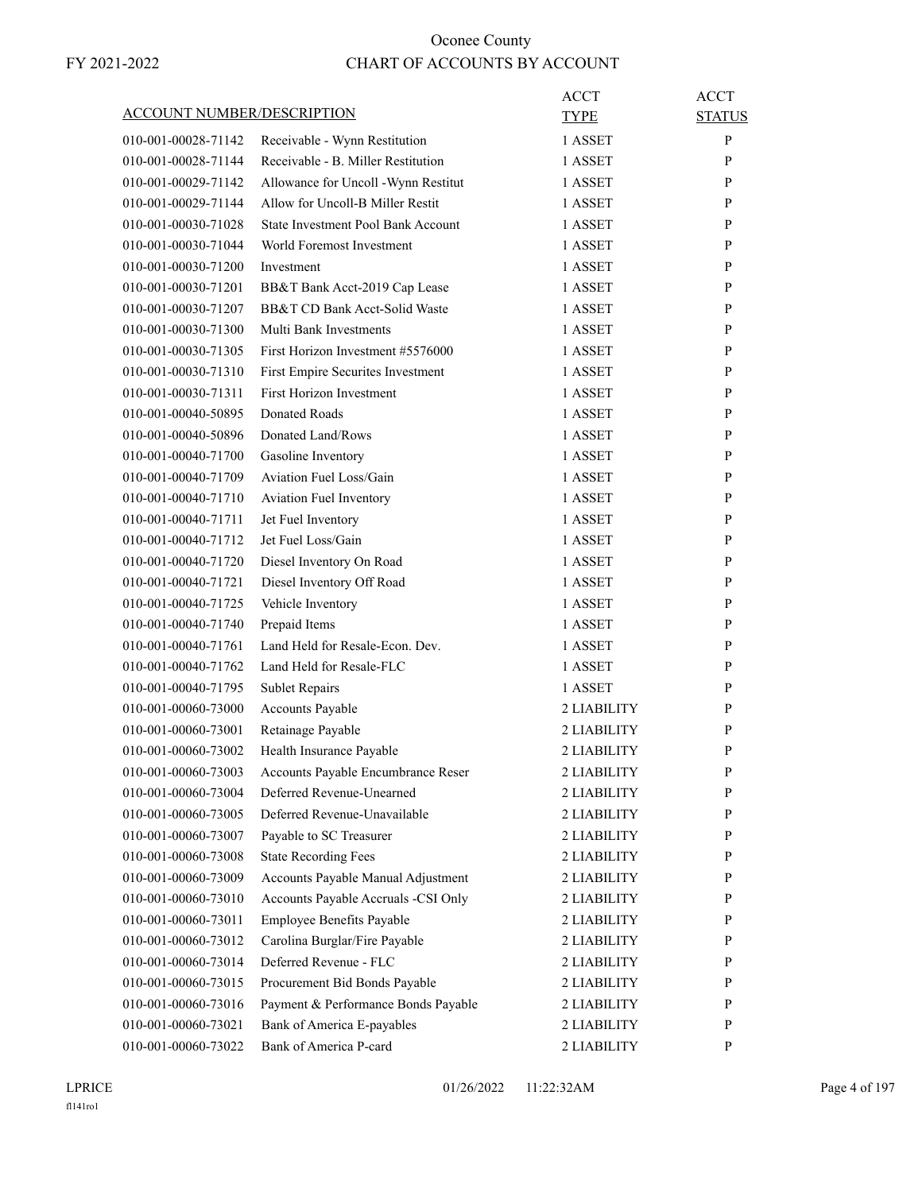| <b>ACCOUNT NUMBER/DESCRIPTION</b> |                                     | ACCT<br><b>TYPE</b> | <b>ACCT</b><br><b>STATUS</b> |
|-----------------------------------|-------------------------------------|---------------------|------------------------------|
| 010-001-00028-71142               | Receivable - Wynn Restitution       | 1 ASSET             | P                            |
| 010-001-00028-71144               | Receivable - B. Miller Restitution  | 1 ASSET             | P                            |
| 010-001-00029-71142               | Allowance for Uncoll -Wynn Restitut | 1 ASSET             | P                            |
| 010-001-00029-71144               | Allow for Uncoll-B Miller Restit    | 1 ASSET             | P                            |
| 010-001-00030-71028               | State Investment Pool Bank Account  | 1 ASSET             | P                            |
| 010-001-00030-71044               | World Foremost Investment           | 1 ASSET             | P                            |
| 010-001-00030-71200               | Investment                          | 1 ASSET             | P                            |
| 010-001-00030-71201               | BB&T Bank Acct-2019 Cap Lease       | 1 ASSET             | P                            |
| 010-001-00030-71207               | BB&T CD Bank Acct-Solid Waste       | 1 ASSET             | P                            |
| 010-001-00030-71300               | Multi Bank Investments              | 1 ASSET             | P                            |
| 010-001-00030-71305               | First Horizon Investment #5576000   | 1 ASSET             | P                            |
|                                   |                                     |                     | P                            |
| 010-001-00030-71310               | First Empire Securites Investment   | 1 ASSET             |                              |
| 010-001-00030-71311               | <b>First Horizon Investment</b>     | 1 ASSET             | P                            |
| 010-001-00040-50895               | Donated Roads                       | 1 ASSET             | P                            |
| 010-001-00040-50896               | Donated Land/Rows                   | 1 ASSET             | P                            |
| 010-001-00040-71700               | Gasoline Inventory                  | 1 ASSET             | P                            |
| 010-001-00040-71709               | Aviation Fuel Loss/Gain             | 1 ASSET             | P                            |
| 010-001-00040-71710               | Aviation Fuel Inventory             | 1 ASSET             | P                            |
| 010-001-00040-71711               | Jet Fuel Inventory                  | 1 ASSET             | P                            |
| 010-001-00040-71712               | Jet Fuel Loss/Gain                  | 1 ASSET             | P                            |
| 010-001-00040-71720               | Diesel Inventory On Road            | 1 ASSET             | P                            |
| 010-001-00040-71721               | Diesel Inventory Off Road           | 1 ASSET             | P                            |
| 010-001-00040-71725               | Vehicle Inventory                   | 1 ASSET             | P                            |
| 010-001-00040-71740               | Prepaid Items                       | 1 ASSET             | P                            |
| 010-001-00040-71761               | Land Held for Resale-Econ. Dev.     | 1 ASSET             | P                            |
| 010-001-00040-71762               | Land Held for Resale-FLC            | 1 ASSET             | P                            |
| 010-001-00040-71795               | <b>Sublet Repairs</b>               | 1 ASSET             | P                            |
| 010-001-00060-73000               | Accounts Payable                    | 2 LIABILITY         | P                            |
| 010-001-00060-73001               | Retainage Payable                   | 2 LIABILITY         | P                            |
| 010-001-00060-73002               | Health Insurance Payable            | 2 LIABILITY         | P                            |
| 010-001-00060-73003               | Accounts Payable Encumbrance Reser  | 2 LIABILITY         | P                            |
| 010-001-00060-73004               | Deferred Revenue-Unearned           | 2 LIABILITY         | P                            |
| 010-001-00060-73005               | Deferred Revenue-Unavailable        | 2 LIABILITY         | P                            |
| 010-001-00060-73007               | Payable to SC Treasurer             | 2 LIABILITY         | P                            |
| 010-001-00060-73008               | <b>State Recording Fees</b>         | 2 LIABILITY         | $\mathbf{P}$                 |
| 010-001-00060-73009               | Accounts Payable Manual Adjustment  | 2 LIABILITY         | P                            |
| 010-001-00060-73010               | Accounts Payable Accruals -CSI Only | 2 LIABILITY         | P                            |
| 010-001-00060-73011               | Employee Benefits Payable           | 2 LIABILITY         | P                            |
| 010-001-00060-73012               | Carolina Burglar/Fire Payable       | 2 LIABILITY         | $\mathbf{P}$                 |
| 010-001-00060-73014               | Deferred Revenue - FLC              | 2 LIABILITY         | P                            |
| 010-001-00060-73015               | Procurement Bid Bonds Payable       | 2 LIABILITY         | P                            |
| 010-001-00060-73016               | Payment & Performance Bonds Payable | 2 LIABILITY         | P                            |
| 010-001-00060-73021               | Bank of America E-payables          | 2 LIABILITY         | $\mathbf{P}$                 |
| 010-001-00060-73022               | Bank of America P-card              | 2 LIABILITY         | $\mathbf{P}$                 |
|                                   |                                     |                     |                              |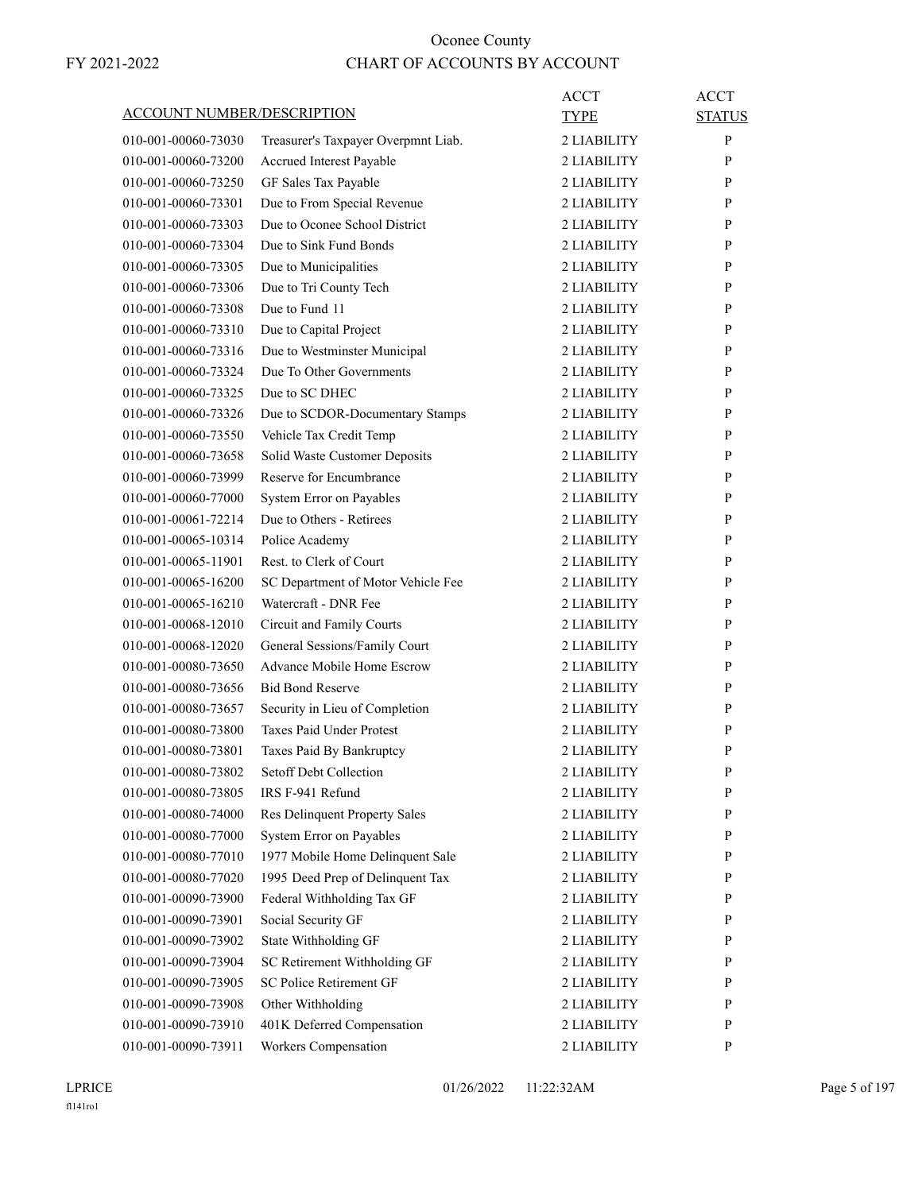|                                   |                                      | <b>ACCT</b> | <b>ACCT</b>   |
|-----------------------------------|--------------------------------------|-------------|---------------|
| <b>ACCOUNT NUMBER/DESCRIPTION</b> |                                      | TYPE        | <b>STATUS</b> |
| 010-001-00060-73030               | Treasurer's Taxpayer Overpmnt Liab.  | 2 LIABILITY | P             |
| 010-001-00060-73200               | Accrued Interest Payable             | 2 LIABILITY | P             |
| 010-001-00060-73250               | GF Sales Tax Payable                 | 2 LIABILITY | P             |
| 010-001-00060-73301               | Due to From Special Revenue          | 2 LIABILITY | P             |
| 010-001-00060-73303               | Due to Oconee School District        | 2 LIABILITY | P             |
| 010-001-00060-73304               | Due to Sink Fund Bonds               | 2 LIABILITY | P             |
| 010-001-00060-73305               | Due to Municipalities                | 2 LIABILITY | P             |
| 010-001-00060-73306               | Due to Tri County Tech               | 2 LIABILITY | P             |
| 010-001-00060-73308               | Due to Fund 11                       | 2 LIABILITY | P             |
| 010-001-00060-73310               | Due to Capital Project               | 2 LIABILITY | P             |
| 010-001-00060-73316               | Due to Westminster Municipal         | 2 LIABILITY | P             |
| 010-001-00060-73324               | Due To Other Governments             | 2 LIABILITY | P             |
| 010-001-00060-73325               | Due to SC DHEC                       | 2 LIABILITY | P             |
| 010-001-00060-73326               | Due to SCDOR-Documentary Stamps      | 2 LIABILITY | P             |
| 010-001-00060-73550               | Vehicle Tax Credit Temp              | 2 LIABILITY | P             |
| 010-001-00060-73658               | Solid Waste Customer Deposits        | 2 LIABILITY | P             |
| 010-001-00060-73999               | Reserve for Encumbrance              | 2 LIABILITY | P             |
| 010-001-00060-77000               | System Error on Payables             | 2 LIABILITY | P             |
| 010-001-00061-72214               | Due to Others - Retirees             | 2 LIABILITY | P             |
| 010-001-00065-10314               | Police Academy                       | 2 LIABILITY | P             |
| 010-001-00065-11901               | Rest. to Clerk of Court              | 2 LIABILITY | P             |
| 010-001-00065-16200               | SC Department of Motor Vehicle Fee   | 2 LIABILITY | P             |
| 010-001-00065-16210               | Watercraft - DNR Fee                 | 2 LIABILITY | P             |
| 010-001-00068-12010               | Circuit and Family Courts            | 2 LIABILITY | P             |
| 010-001-00068-12020               | General Sessions/Family Court        | 2 LIABILITY | P             |
| 010-001-00080-73650               | <b>Advance Mobile Home Escrow</b>    | 2 LIABILITY | P             |
| 010-001-00080-73656               | <b>Bid Bond Reserve</b>              | 2 LIABILITY | P             |
| 010-001-00080-73657               | Security in Lieu of Completion       | 2 LIABILITY | P             |
| 010-001-00080-73800               | <b>Taxes Paid Under Protest</b>      | 2 LIABILITY | P             |
| 010-001-00080-73801               | Taxes Paid By Bankruptcy             | 2 LIABILITY | P             |
| 010-001-00080-73802               | Setoff Debt Collection               | 2 LIABILITY | ${\bf P}$     |
| 010-001-00080-73805               | IRS F-941 Refund                     | 2 LIABILITY | P             |
| 010-001-00080-74000               | <b>Res Delinquent Property Sales</b> | 2 LIABILITY | P             |
| 010-001-00080-77000               | System Error on Payables             | 2 LIABILITY | P             |
| 010-001-00080-77010               | 1977 Mobile Home Delinquent Sale     | 2 LIABILITY | P             |
| 010-001-00080-77020               | 1995 Deed Prep of Delinquent Tax     | 2 LIABILITY | $\mathbf{P}$  |
| 010-001-00090-73900               | Federal Withholding Tax GF           | 2 LIABILITY | P             |
| 010-001-00090-73901               | Social Security GF                   | 2 LIABILITY | P             |
| 010-001-00090-73902               | State Withholding GF                 | 2 LIABILITY | P             |
| 010-001-00090-73904               | SC Retirement Withholding GF         | 2 LIABILITY | P             |
| 010-001-00090-73905               | SC Police Retirement GF              | 2 LIABILITY | P             |
| 010-001-00090-73908               | Other Withholding                    | 2 LIABILITY | $\mathbf{P}$  |
| 010-001-00090-73910               | 401K Deferred Compensation           | 2 LIABILITY | P             |
| 010-001-00090-73911               | Workers Compensation                 | 2 LIABILITY | P             |
|                                   |                                      |             |               |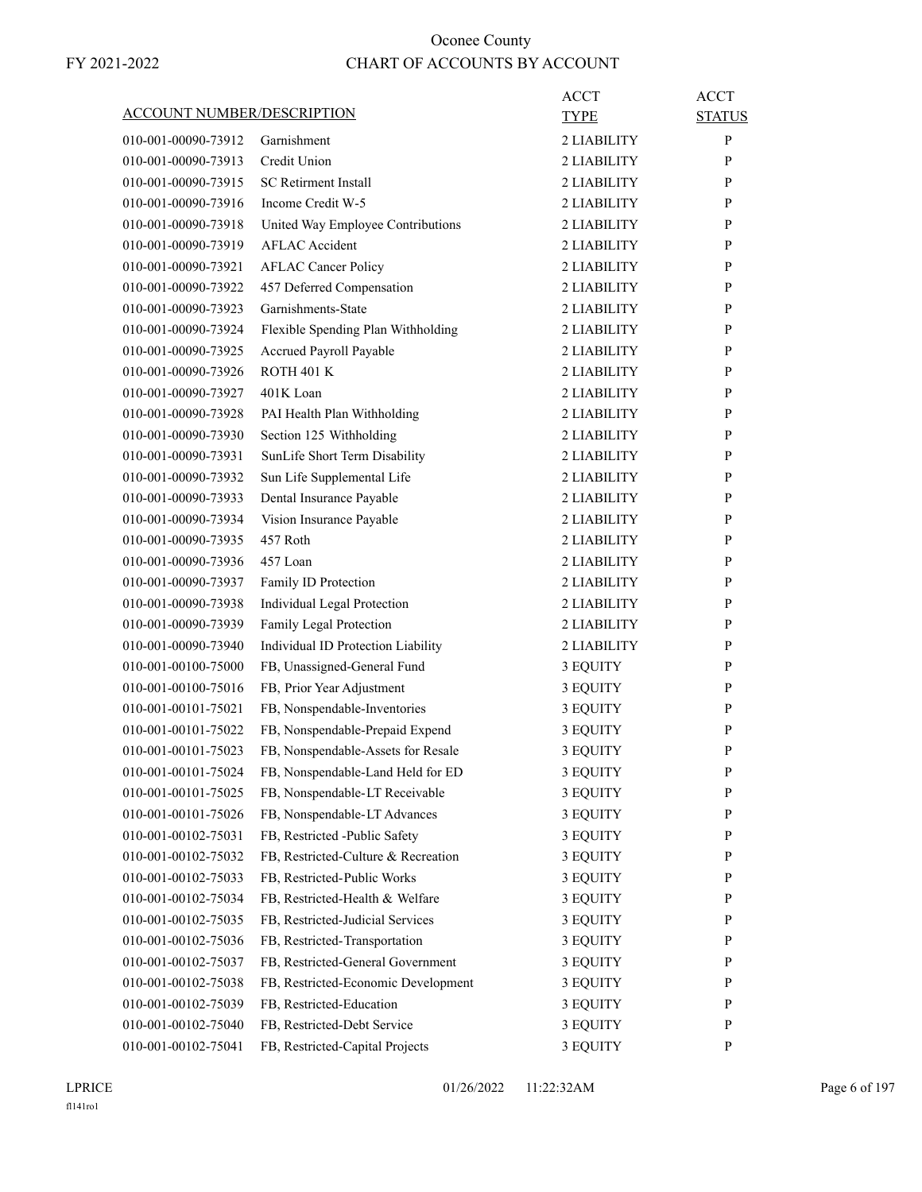|                                   |                                     | <b>ACCT</b> | <b>ACCT</b>   |
|-----------------------------------|-------------------------------------|-------------|---------------|
| <b>ACCOUNT NUMBER/DESCRIPTION</b> |                                     | TYPE        | <b>STATUS</b> |
| 010-001-00090-73912               | Garnishment                         | 2 LIABILITY | P             |
| 010-001-00090-73913               | Credit Union                        | 2 LIABILITY | P             |
| 010-001-00090-73915               | <b>SC Retirment Install</b>         | 2 LIABILITY | P             |
| 010-001-00090-73916               | Income Credit W-5                   | 2 LIABILITY | P             |
| 010-001-00090-73918               | United Way Employee Contributions   | 2 LIABILITY | P             |
| 010-001-00090-73919               | <b>AFLAC</b> Accident               | 2 LIABILITY | P             |
| 010-001-00090-73921               | <b>AFLAC Cancer Policy</b>          | 2 LIABILITY | P             |
| 010-001-00090-73922               | 457 Deferred Compensation           | 2 LIABILITY | P             |
| 010-001-00090-73923               | Garnishments-State                  | 2 LIABILITY | P             |
| 010-001-00090-73924               | Flexible Spending Plan Withholding  | 2 LIABILITY | P             |
| 010-001-00090-73925               | Accrued Payroll Payable             | 2 LIABILITY | P             |
| 010-001-00090-73926               | <b>ROTH 401 K</b>                   | 2 LIABILITY | P             |
| 010-001-00090-73927               | 401K Loan                           | 2 LIABILITY | P             |
| 010-001-00090-73928               | PAI Health Plan Withholding         | 2 LIABILITY | P             |
| 010-001-00090-73930               | Section 125 Withholding             | 2 LIABILITY | P             |
| 010-001-00090-73931               | SunLife Short Term Disability       | 2 LIABILITY | P             |
| 010-001-00090-73932               | Sun Life Supplemental Life          | 2 LIABILITY | P             |
| 010-001-00090-73933               | Dental Insurance Payable            | 2 LIABILITY | P             |
| 010-001-00090-73934               | Vision Insurance Payable            | 2 LIABILITY | P             |
| 010-001-00090-73935               | 457 Roth                            | 2 LIABILITY | P             |
| 010-001-00090-73936               | 457 Loan                            | 2 LIABILITY | P             |
| 010-001-00090-73937               | Family ID Protection                | 2 LIABILITY | P             |
| 010-001-00090-73938               | Individual Legal Protection         | 2 LIABILITY | P             |
| 010-001-00090-73939               | Family Legal Protection             | 2 LIABILITY | P             |
| 010-001-00090-73940               | Individual ID Protection Liability  | 2 LIABILITY | P             |
| 010-001-00100-75000               | FB, Unassigned-General Fund         | 3 EQUITY    | P             |
| 010-001-00100-75016               | FB, Prior Year Adjustment           | 3 EQUITY    | P             |
| 010-001-00101-75021               | FB, Nonspendable-Inventories        | 3 EQUITY    | P             |
| 010-001-00101-75022               | FB, Nonspendable-Prepaid Expend     | 3 EQUITY    | P             |
| 010-001-00101-75023               | FB, Nonspendable-Assets for Resale  | 3 EQUITY    | P             |
| 010-001-00101-75024               | FB, Nonspendable-Land Held for ED   | 3 EQUITY    | ${\bf P}$     |
| 010-001-00101-75025               | FB, Nonspendable-LT Receivable      | 3 EQUITY    | P             |
| 010-001-00101-75026               | FB, Nonspendable-LT Advances        | 3 EQUITY    | P             |
| 010-001-00102-75031               | FB, Restricted -Public Safety       | 3 EQUITY    | P             |
| 010-001-00102-75032               | FB, Restricted-Culture & Recreation | 3 EQUITY    | $\mathbf{P}$  |
| 010-001-00102-75033               | FB, Restricted-Public Works         | 3 EQUITY    | P             |
| 010-001-00102-75034               | FB, Restricted-Health & Welfare     | 3 EQUITY    | P             |
| 010-001-00102-75035               | FB, Restricted-Judicial Services    | 3 EQUITY    | P             |
| 010-001-00102-75036               | FB, Restricted-Transportation       | 3 EQUITY    | P             |
| 010-001-00102-75037               | FB, Restricted-General Government   | 3 EQUITY    | P             |
| 010-001-00102-75038               | FB, Restricted-Economic Development | 3 EQUITY    | P             |
| 010-001-00102-75039               | FB, Restricted-Education            | 3 EQUITY    | P             |
| 010-001-00102-75040               | FB, Restricted-Debt Service         | 3 EQUITY    | P             |
| 010-001-00102-75041               | FB, Restricted-Capital Projects     | 3 EQUITY    | P             |
|                                   |                                     |             |               |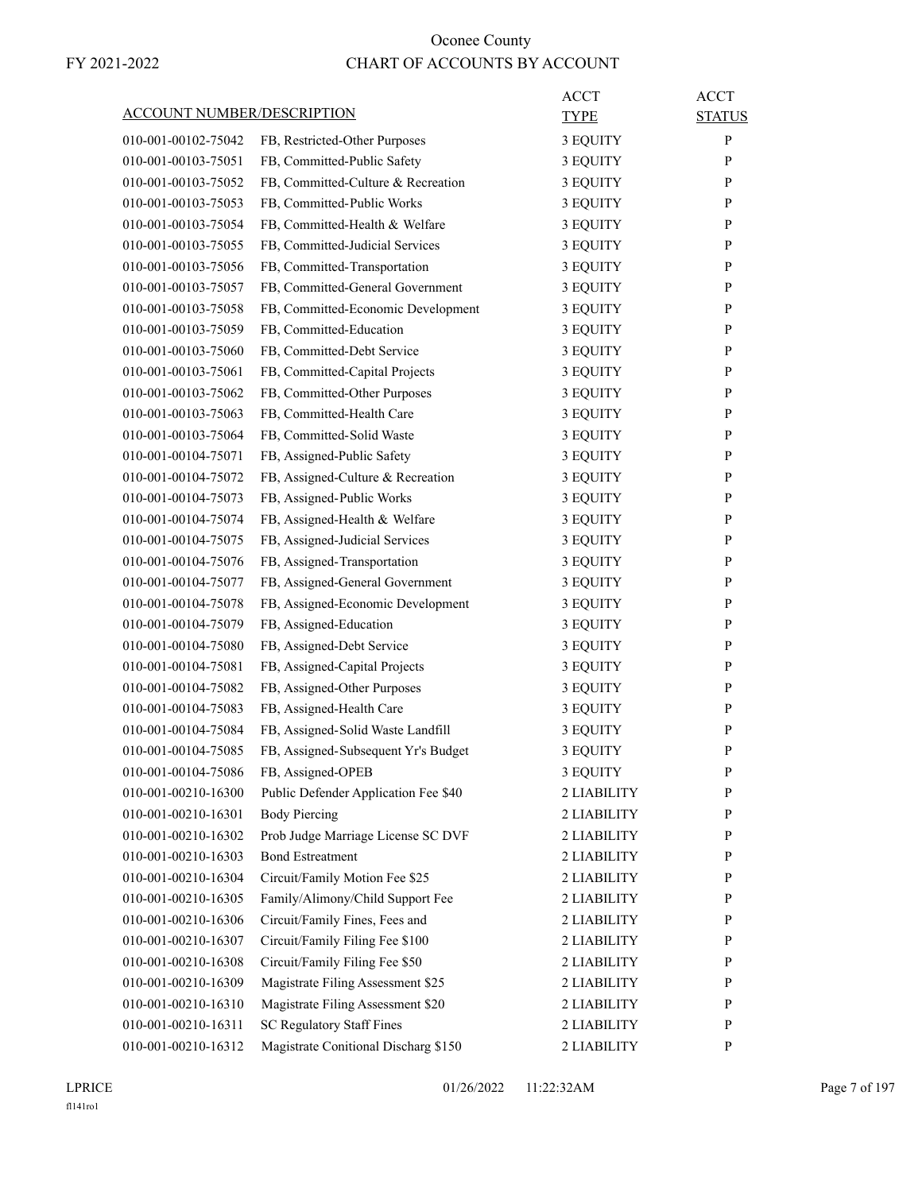| <b>ACCOUNT NUMBER/DESCRIPTION</b> |                                      | ACCT<br>TYPE | <b>ACCT</b><br><b>STATUS</b> |
|-----------------------------------|--------------------------------------|--------------|------------------------------|
| 010-001-00102-75042               | FB, Restricted-Other Purposes        | 3 EQUITY     | P                            |
| 010-001-00103-75051               | FB, Committed-Public Safety          | 3 EQUITY     | P                            |
| 010-001-00103-75052               | FB, Committed-Culture & Recreation   | 3 EQUITY     | P                            |
| 010-001-00103-75053               | FB, Committed-Public Works           | 3 EQUITY     | P                            |
| 010-001-00103-75054               | FB, Committed-Health & Welfare       | 3 EQUITY     | P                            |
| 010-001-00103-75055               | FB, Committed-Judicial Services      | 3 EQUITY     | $\mathbf{P}$                 |
| 010-001-00103-75056               | FB, Committed-Transportation         | 3 EQUITY     | P                            |
| 010-001-00103-75057               | FB, Committed-General Government     |              | P                            |
| 010-001-00103-75058               | FB, Committed-Economic Development   | 3 EQUITY     | P                            |
| 010-001-00103-75059               | FB, Committed-Education              | 3 EQUITY     | P                            |
|                                   |                                      | 3 EQUITY     |                              |
| 010-001-00103-75060               | FB, Committed-Debt Service           | 3 EQUITY     | P                            |
| 010-001-00103-75061               | FB, Committed-Capital Projects       | 3 EQUITY     | $\mathbf{P}$                 |
| 010-001-00103-75062               | FB, Committed-Other Purposes         | 3 EQUITY     | P                            |
| 010-001-00103-75063               | FB, Committed-Health Care            | 3 EQUITY     | P                            |
| 010-001-00103-75064               | FB, Committed-Solid Waste            | 3 EQUITY     | P                            |
| 010-001-00104-75071               | FB, Assigned-Public Safety           | 3 EQUITY     | P                            |
| 010-001-00104-75072               | FB, Assigned-Culture & Recreation    | 3 EQUITY     | P                            |
| 010-001-00104-75073               | FB, Assigned-Public Works            | 3 EQUITY     | $\mathbf{P}$                 |
| 010-001-00104-75074               | FB, Assigned-Health & Welfare        | 3 EQUITY     | P                            |
| 010-001-00104-75075               | FB, Assigned-Judicial Services       | 3 EQUITY     | P                            |
| 010-001-00104-75076               | FB, Assigned-Transportation          | 3 EQUITY     | P                            |
| 010-001-00104-75077               | FB, Assigned-General Government      | 3 EQUITY     | P                            |
| 010-001-00104-75078               | FB, Assigned-Economic Development    | 3 EQUITY     | P                            |
| 010-001-00104-75079               | FB, Assigned-Education               | 3 EQUITY     | $\mathbf{P}$                 |
| 010-001-00104-75080               | FB, Assigned-Debt Service            | 3 EQUITY     | P                            |
| 010-001-00104-75081               | FB, Assigned-Capital Projects        | 3 EQUITY     | P                            |
| 010-001-00104-75082               | FB, Assigned-Other Purposes          | 3 EQUITY     | P                            |
| 010-001-00104-75083               | FB, Assigned-Health Care             | 3 EQUITY     | P                            |
| 010-001-00104-75084               | FB, Assigned-Solid Waste Landfill    | 3 EQUITY     | P                            |
| 010-001-00104-75085               | FB, Assigned-Subsequent Yr's Budget  | 3 EQUITY     | P                            |
| 010-001-00104-75086               | FB, Assigned-OPEB                    | 3 EQUITY     | P                            |
| 010-001-00210-16300               | Public Defender Application Fee \$40 | 2 LIABILITY  | P                            |
| 010-001-00210-16301               | <b>Body Piercing</b>                 | 2 LIABILITY  | $\mathbf{P}$                 |
| 010-001-00210-16302               | Prob Judge Marriage License SC DVF   | 2 LIABILITY  | $\mathbf{P}$                 |
| 010-001-00210-16303               | <b>Bond Estreatment</b>              | 2 LIABILITY  | P                            |
| 010-001-00210-16304               | Circuit/Family Motion Fee \$25       | 2 LIABILITY  | $\mathbf{P}$                 |
| 010-001-00210-16305               | Family/Alimony/Child Support Fee     | 2 LIABILITY  | P                            |
| 010-001-00210-16306               | Circuit/Family Fines, Fees and       | 2 LIABILITY  | P                            |
| 010-001-00210-16307               | Circuit/Family Filing Fee \$100      | 2 LIABILITY  | $\mathbf{P}$                 |
| 010-001-00210-16308               | Circuit/Family Filing Fee \$50       | 2 LIABILITY  | P                            |
| 010-001-00210-16309               | Magistrate Filing Assessment \$25    | 2 LIABILITY  | P                            |
| 010-001-00210-16310               | Magistrate Filing Assessment \$20    | 2 LIABILITY  | P                            |
| 010-001-00210-16311               | <b>SC Regulatory Staff Fines</b>     | 2 LIABILITY  | P                            |
| 010-001-00210-16312               | Magistrate Conitional Discharg \$150 | 2 LIABILITY  | $\mathbf{P}$                 |
|                                   |                                      |              |                              |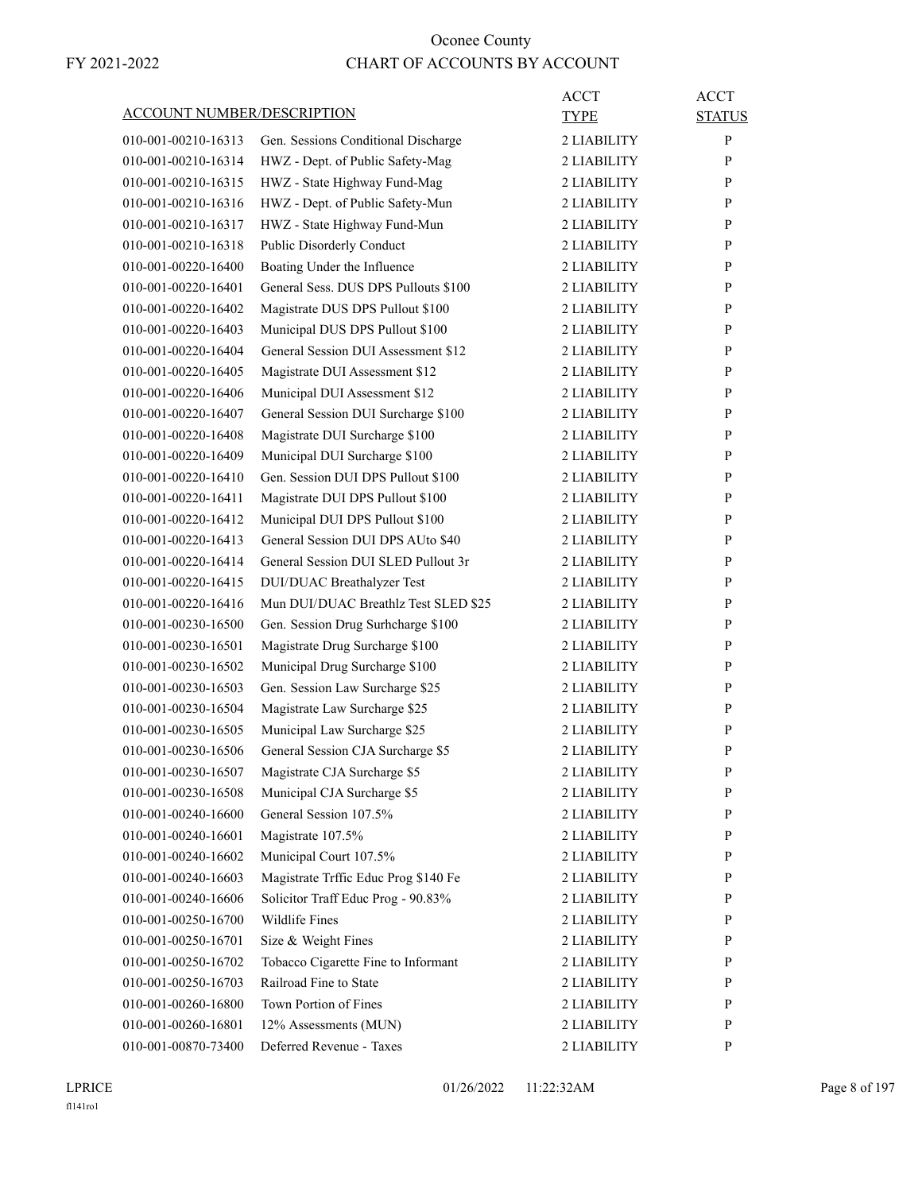| <b>ACCOUNT NUMBER/DESCRIPTION</b> |                                      | ACCT<br><b>TYPE</b> | <b>ACCT</b><br><b>STATUS</b> |
|-----------------------------------|--------------------------------------|---------------------|------------------------------|
| 010-001-00210-16313               | Gen. Sessions Conditional Discharge  | 2 LIABILITY         | $\mathbf{P}$                 |
| 010-001-00210-16314               | HWZ - Dept. of Public Safety-Mag     | 2 LIABILITY         | P                            |
| 010-001-00210-16315               | HWZ - State Highway Fund-Mag         | 2 LIABILITY         | P                            |
| 010-001-00210-16316               | HWZ - Dept. of Public Safety-Mun     | 2 LIABILITY         | P                            |
| 010-001-00210-16317               | HWZ - State Highway Fund-Mun         | 2 LIABILITY         | P                            |
| 010-001-00210-16318               | Public Disorderly Conduct            | 2 LIABILITY         | P                            |
| 010-001-00220-16400               | Boating Under the Influence          | 2 LIABILITY         | P                            |
| 010-001-00220-16401               | General Sess. DUS DPS Pullouts \$100 | 2 LIABILITY         | P                            |
| 010-001-00220-16402               | Magistrate DUS DPS Pullout \$100     | 2 LIABILITY         | P                            |
| 010-001-00220-16403               | Municipal DUS DPS Pullout \$100      | 2 LIABILITY         | P                            |
| 010-001-00220-16404               | General Session DUI Assessment \$12  | 2 LIABILITY         | P                            |
| 010-001-00220-16405               | Magistrate DUI Assessment \$12       | 2 LIABILITY         | P                            |
| 010-001-00220-16406               | Municipal DUI Assessment \$12        | 2 LIABILITY         | P                            |
| 010-001-00220-16407               | General Session DUI Surcharge \$100  | 2 LIABILITY         | P                            |
| 010-001-00220-16408               | Magistrate DUI Surcharge \$100       | 2 LIABILITY         | P                            |
| 010-001-00220-16409               | Municipal DUI Surcharge \$100        | 2 LIABILITY         | P                            |
| 010-001-00220-16410               | Gen. Session DUI DPS Pullout \$100   | 2 LIABILITY         | P                            |
| 010-001-00220-16411               | Magistrate DUI DPS Pullout \$100     | 2 LIABILITY         | P                            |
| 010-001-00220-16412               | Municipal DUI DPS Pullout \$100      | 2 LIABILITY         | P                            |
| 010-001-00220-16413               | General Session DUI DPS AUto \$40    | 2 LIABILITY         | P                            |
| 010-001-00220-16414               | General Session DUI SLED Pullout 3r  | 2 LIABILITY         | P                            |
| 010-001-00220-16415               | <b>DUI/DUAC Breathalyzer Test</b>    | 2 LIABILITY         | P                            |
| 010-001-00220-16416               | Mun DUI/DUAC Breathlz Test SLED \$25 | 2 LIABILITY         | P                            |
| 010-001-00230-16500               | Gen. Session Drug Surhcharge \$100   | 2 LIABILITY         | P                            |
| 010-001-00230-16501               | Magistrate Drug Surcharge \$100      | 2 LIABILITY         | P                            |
| 010-001-00230-16502               | Municipal Drug Surcharge \$100       | 2 LIABILITY         | P                            |
| 010-001-00230-16503               | Gen. Session Law Surcharge \$25      | 2 LIABILITY         | P                            |
| 010-001-00230-16504               | Magistrate Law Surcharge \$25        | 2 LIABILITY         | P                            |
| 010-001-00230-16505               | Municipal Law Surcharge \$25         | 2 LIABILITY         | P                            |
| 010-001-00230-16506               | General Session CJA Surcharge \$5    | 2 LIABILITY         | P                            |
| 010-001-00230-16507               | Magistrate CJA Surcharge \$5         | 2 LIABILITY         | $\mathbf{P}$                 |
| 010-001-00230-16508               | Municipal CJA Surcharge \$5          | 2 LIABILITY         | P                            |
| 010-001-00240-16600               | General Session 107.5%               | 2 LIABILITY         | P                            |
| 010-001-00240-16601               | Magistrate 107.5%                    | 2 LIABILITY         | $\mathbf{P}$                 |
| 010-001-00240-16602               | Municipal Court 107.5%               | 2 LIABILITY         | $\mathbf{P}$                 |
| 010-001-00240-16603               | Magistrate Trffic Educ Prog \$140 Fe | 2 LIABILITY         | P                            |
| 010-001-00240-16606               | Solicitor Traff Educ Prog - 90.83%   | 2 LIABILITY         | $\mathbf{P}$                 |
| 010-001-00250-16700               | Wildlife Fines                       | 2 LIABILITY         | P                            |
| 010-001-00250-16701               | Size & Weight Fines                  | 2 LIABILITY         | P                            |
| 010-001-00250-16702               | Tobacco Cigarette Fine to Informant  | 2 LIABILITY         | $\mathbf{P}$                 |
| 010-001-00250-16703               | Railroad Fine to State               | 2 LIABILITY         | P                            |
| 010-001-00260-16800               | Town Portion of Fines                | 2 LIABILITY         | P                            |
| 010-001-00260-16801               | 12% Assessments (MUN)                | 2 LIABILITY         | P                            |
| 010-001-00870-73400               | Deferred Revenue - Taxes             | 2 LIABILITY         | P                            |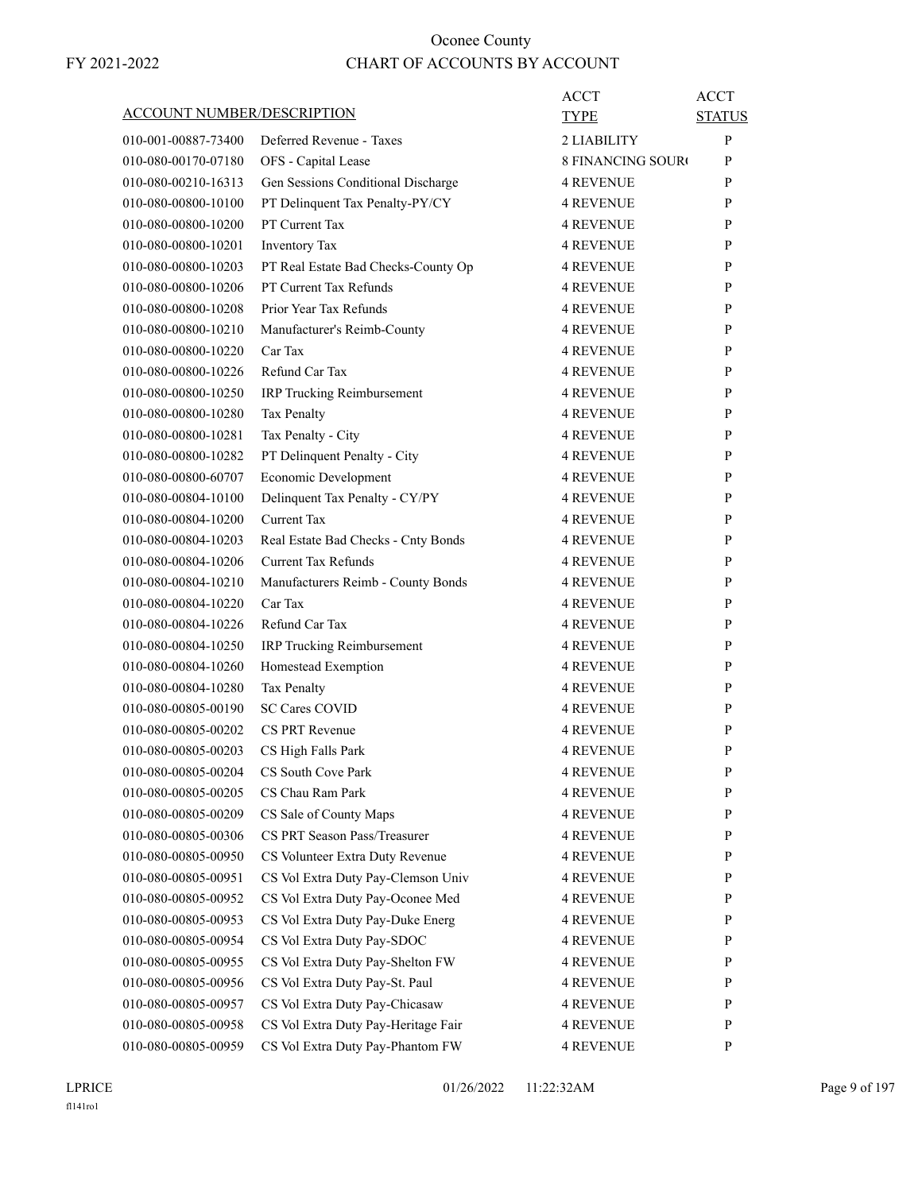| ACCOUNT NUMBER/DESCRIPTION                 | ACCT<br>TYPE                                                                                   | <b>ACCT</b><br><b>STATUS</b> |
|--------------------------------------------|------------------------------------------------------------------------------------------------|------------------------------|
| 010-001-00887-73400                        | Deferred Revenue - Taxes<br>2 LIABILITY                                                        | P                            |
| 010-080-00170-07180                        | OFS - Capital Lease<br><b>8 FINANCING SOURO</b>                                                | P                            |
| 010-080-00210-16313                        | Gen Sessions Conditional Discharge<br><b>4 REVENUE</b>                                         | P                            |
| 010-080-00800-10100                        | PT Delinquent Tax Penalty-PY/CY<br><b>4 REVENUE</b>                                            | P                            |
| 010-080-00800-10200                        | PT Current Tax<br><b>4 REVENUE</b>                                                             | P                            |
| 010-080-00800-10201                        | Inventory Tax<br><b>4 REVENUE</b>                                                              | P                            |
| 010-080-00800-10203                        | PT Real Estate Bad Checks-County Op<br>4 REVENUE                                               | P                            |
| 010-080-00800-10206                        | PT Current Tax Refunds<br><b>4 REVENUE</b>                                                     | P                            |
| 010-080-00800-10208                        | Prior Year Tax Refunds<br><b>4 REVENUE</b>                                                     | P                            |
| 010-080-00800-10210                        | Manufacturer's Reimb-County<br><b>4 REVENUE</b>                                                | P                            |
| 010-080-00800-10220                        | Car Tax<br><b>4 REVENUE</b>                                                                    | P                            |
| 010-080-00800-10226                        | Refund Car Tax<br><b>4 REVENUE</b>                                                             | P                            |
| 010-080-00800-10250                        | IRP Trucking Reimbursement<br><b>4 REVENUE</b>                                                 | P                            |
| 010-080-00800-10280                        | Tax Penalty<br><b>4 REVENUE</b>                                                                | P                            |
| 010-080-00800-10281                        | Tax Penalty - City<br><b>4 REVENUE</b>                                                         | P                            |
| 010-080-00800-10282                        | PT Delinquent Penalty - City<br><b>4 REVENUE</b>                                               | P                            |
| 010-080-00800-60707                        | Economic Development<br><b>4 REVENUE</b>                                                       | P                            |
| 010-080-00804-10100                        | Delinquent Tax Penalty - CY/PY<br><b>4 REVENUE</b>                                             | P                            |
| 010-080-00804-10200                        | Current Tax<br><b>4 REVENUE</b>                                                                | P                            |
| 010-080-00804-10203                        | Real Estate Bad Checks - Cnty Bonds<br><b>4 REVENUE</b>                                        | P                            |
| 010-080-00804-10206                        | <b>Current Tax Refunds</b><br><b>4 REVENUE</b>                                                 | P                            |
| 010-080-00804-10210                        | Manufacturers Reimb - County Bonds<br>4 REVENUE                                                | P                            |
| 010-080-00804-10220                        | Car Tax<br><b>4 REVENUE</b>                                                                    | P                            |
| 010-080-00804-10226                        | Refund Car Tax<br><b>4 REVENUE</b>                                                             | P                            |
| 010-080-00804-10250                        | IRP Trucking Reimbursement<br><b>4 REVENUE</b>                                                 | P                            |
| 010-080-00804-10260                        | Homestead Exemption<br><b>4 REVENUE</b>                                                        | P                            |
| 010-080-00804-10280                        | <b>Tax Penalty</b><br><b>4 REVENUE</b>                                                         | P                            |
| 010-080-00805-00190                        | <b>SC Cares COVID</b><br>4 REVENUE                                                             | P                            |
|                                            | CS PRT Revenue<br><b>4 REVENUE</b>                                                             | P                            |
| 010-080-00805-00202<br>010-080-00805-00203 |                                                                                                | P                            |
| 010-080-00805-00204                        | CS High Falls Park<br>4 REVENUE<br>CS South Cove Park<br><b>4 REVENUE</b>                      | $\mathbf{P}$                 |
|                                            | CS Chau Ram Park                                                                               |                              |
| 010-080-00805-00205<br>010-080-00805-00209 | <b>4 REVENUE</b>                                                                               | P<br>$\mathbf{P}$            |
| 010-080-00805-00306                        | CS Sale of County Maps<br><b>4 REVENUE</b><br>CS PRT Season Pass/Treasurer<br><b>4 REVENUE</b> | P                            |
|                                            |                                                                                                |                              |
| 010-080-00805-00950                        | CS Volunteer Extra Duty Revenue<br><b>4 REVENUE</b><br>CS Vol Extra Duty Pay-Clemson Univ      | P                            |
| 010-080-00805-00951                        | <b>4 REVENUE</b>                                                                               | P                            |
| 010-080-00805-00952                        | CS Vol Extra Duty Pay-Oconee Med<br>4 REVENUE                                                  | P                            |
| 010-080-00805-00953                        | CS Vol Extra Duty Pay-Duke Energ<br><b>4 REVENUE</b>                                           | P                            |
| 010-080-00805-00954                        | CS Vol Extra Duty Pay-SDOC<br>4 REVENUE                                                        | $\mathbf{P}$                 |
| 010-080-00805-00955                        | CS Vol Extra Duty Pay-Shelton FW<br><b>4 REVENUE</b>                                           | P                            |
| 010-080-00805-00956                        | CS Vol Extra Duty Pay-St. Paul<br><b>4 REVENUE</b>                                             | P                            |
| 010-080-00805-00957                        | CS Vol Extra Duty Pay-Chicasaw<br><b>4 REVENUE</b>                                             | P                            |
| 010-080-00805-00958                        | CS Vol Extra Duty Pay-Heritage Fair<br><b>4 REVENUE</b>                                        | P                            |
| 010-080-00805-00959                        | CS Vol Extra Duty Pay-Phantom FW<br><b>4 REVENUE</b>                                           | P                            |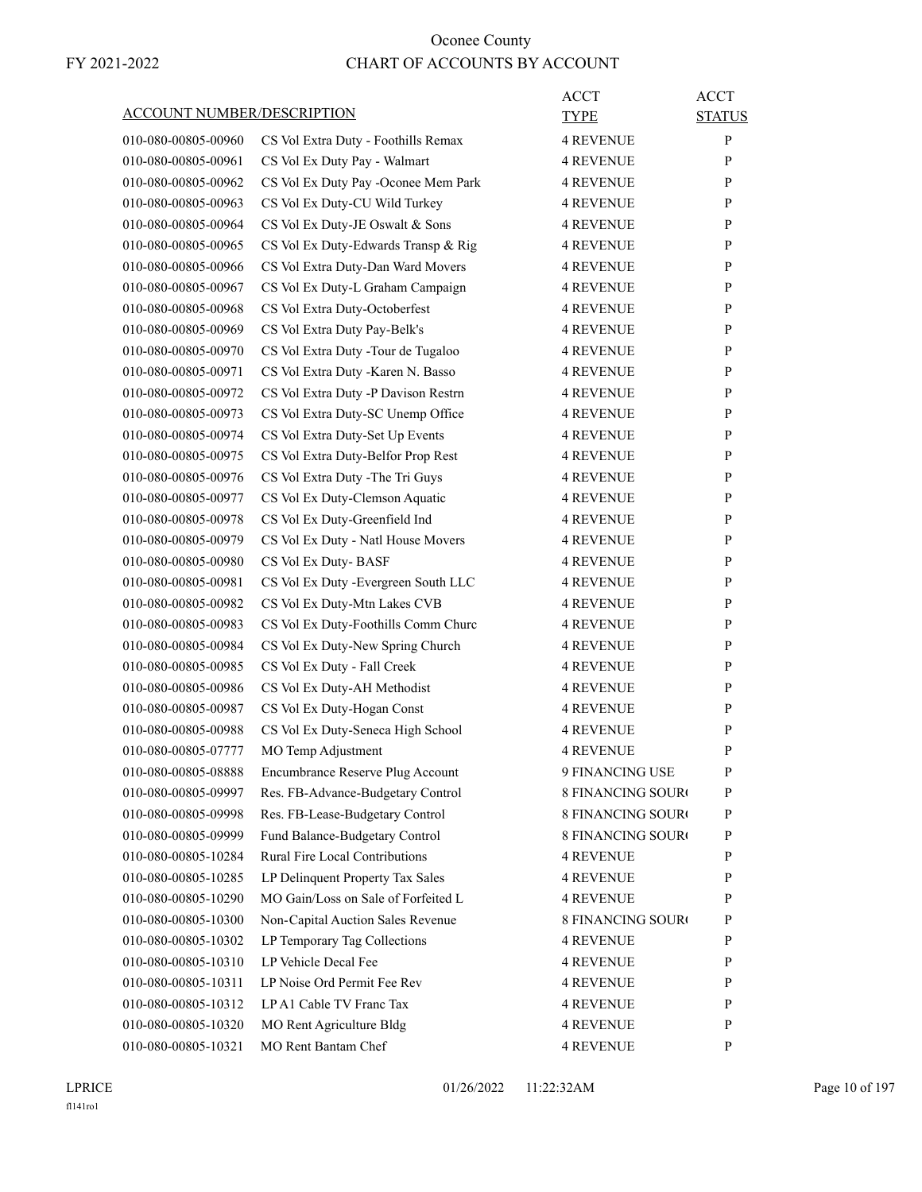| <b>ACCOUNT NUMBER/DESCRIPTION</b> |                                      | <b>ACCT</b><br><b>TYPE</b> | <b>ACCT</b><br><b>STATUS</b> |
|-----------------------------------|--------------------------------------|----------------------------|------------------------------|
| 010-080-00805-00960               | CS Vol Extra Duty - Foothills Remax  | <b>4 REVENUE</b>           | P                            |
| 010-080-00805-00961               | CS Vol Ex Duty Pay - Walmart         | <b>4 REVENUE</b>           | P                            |
| 010-080-00805-00962               | CS Vol Ex Duty Pay -Oconee Mem Park  | <b>4 REVENUE</b>           | P                            |
| 010-080-00805-00963               | CS Vol Ex Duty-CU Wild Turkey        | 4 REVENUE                  | P                            |
| 010-080-00805-00964               | CS Vol Ex Duty-JE Oswalt & Sons      | <b>4 REVENUE</b>           | P                            |
| 010-080-00805-00965               | CS Vol Ex Duty-Edwards Transp & Rig  | <b>4 REVENUE</b>           | P                            |
| 010-080-00805-00966               | CS Vol Extra Duty-Dan Ward Movers    | 4 REVENUE                  | P                            |
| 010-080-00805-00967               | CS Vol Ex Duty-L Graham Campaign     | <b>4 REVENUE</b>           | P                            |
| 010-080-00805-00968               | CS Vol Extra Duty-Octoberfest        | <b>4 REVENUE</b>           | P                            |
| 010-080-00805-00969               | CS Vol Extra Duty Pay-Belk's         | 4 REVENUE                  | P                            |
| 010-080-00805-00970               | CS Vol Extra Duty - Tour de Tugaloo  | <b>4 REVENUE</b>           | P                            |
| 010-080-00805-00971               | CS Vol Extra Duty -Karen N. Basso    | 4 REVENUE                  | P                            |
| 010-080-00805-00972               | CS Vol Extra Duty -P Davison Restrn  | 4 REVENUE                  | P                            |
| 010-080-00805-00973               | CS Vol Extra Duty-SC Unemp Office    | <b>4 REVENUE</b>           | P                            |
| 010-080-00805-00974               | CS Vol Extra Duty-Set Up Events      | <b>4 REVENUE</b>           | P                            |
| 010-080-00805-00975               | CS Vol Extra Duty-Belfor Prop Rest   | 4 REVENUE                  | P                            |
| 010-080-00805-00976               | CS Vol Extra Duty - The Tri Guys     | <b>4 REVENUE</b>           | P                            |
| 010-080-00805-00977               | CS Vol Ex Duty-Clemson Aquatic       | <b>4 REVENUE</b>           | P                            |
| 010-080-00805-00978               | CS Vol Ex Duty-Greenfield Ind        | 4 REVENUE                  | P                            |
| 010-080-00805-00979               | CS Vol Ex Duty - Natl House Movers   | <b>4 REVENUE</b>           | P                            |
| 010-080-00805-00980               | CS Vol Ex Duty-BASF                  | <b>4 REVENUE</b>           | P                            |
| 010-080-00805-00981               | CS Vol Ex Duty - Evergreen South LLC | 4 REVENUE                  | P                            |
| 010-080-00805-00982               | CS Vol Ex Duty-Mtn Lakes CVB         | <b>4 REVENUE</b>           | P                            |
| 010-080-00805-00983               | CS Vol Ex Duty-Foothills Comm Churc  | 4 REVENUE                  | P                            |
| 010-080-00805-00984               | CS Vol Ex Duty-New Spring Church     | 4 REVENUE                  | P                            |
| 010-080-00805-00985               | CS Vol Ex Duty - Fall Creek          | <b>4 REVENUE</b>           | P                            |
| 010-080-00805-00986               | CS Vol Ex Duty-AH Methodist          | <b>4 REVENUE</b>           | P                            |
| 010-080-00805-00987               | CS Vol Ex Duty-Hogan Const           | <b>4 REVENUE</b>           | P                            |
| 010-080-00805-00988               | CS Vol Ex Duty-Seneca High School    | <b>4 REVENUE</b>           | P                            |
| 010-080-00805-07777               | MO Temp Adjustment                   | <b>4 REVENUE</b>           | $\mathbf{P}$                 |
| 010-080-00805-08888               | Encumbrance Reserve Plug Account     | 9 FINANCING USE            | P                            |
| 010-080-00805-09997               | Res. FB-Advance-Budgetary Control    | <b>8 FINANCING SOURO</b>   | P                            |
| 010-080-00805-09998               | Res. FB-Lease-Budgetary Control      | 8 FINANCING SOURO          | $\mathbf{P}$                 |
| 010-080-00805-09999               | Fund Balance-Budgetary Control       | 8 FINANCING SOURO          | P                            |
| 010-080-00805-10284               | Rural Fire Local Contributions       | <b>4 REVENUE</b>           | P                            |
| 010-080-00805-10285               | LP Delinquent Property Tax Sales     | <b>4 REVENUE</b>           | P                            |
| 010-080-00805-10290               | MO Gain/Loss on Sale of Forfeited L  | <b>4 REVENUE</b>           | P                            |
| 010-080-00805-10300               | Non-Capital Auction Sales Revenue    | <b>8 FINANCING SOURO</b>   | P                            |
| 010-080-00805-10302               | LP Temporary Tag Collections         | <b>4 REVENUE</b>           | $\mathbf{P}$                 |
| 010-080-00805-10310               | LP Vehicle Decal Fee                 | <b>4 REVENUE</b>           | P                            |
| 010-080-00805-10311               | LP Noise Ord Permit Fee Rev          | <b>4 REVENUE</b>           | P                            |
| 010-080-00805-10312               | LP A1 Cable TV Franc Tax             | <b>4 REVENUE</b>           | P                            |
| 010-080-00805-10320               | MO Rent Agriculture Bldg             | <b>4 REVENUE</b>           | P                            |
| 010-080-00805-10321               | MO Rent Bantam Chef                  | 4 REVENUE                  | P                            |
|                                   |                                      |                            |                              |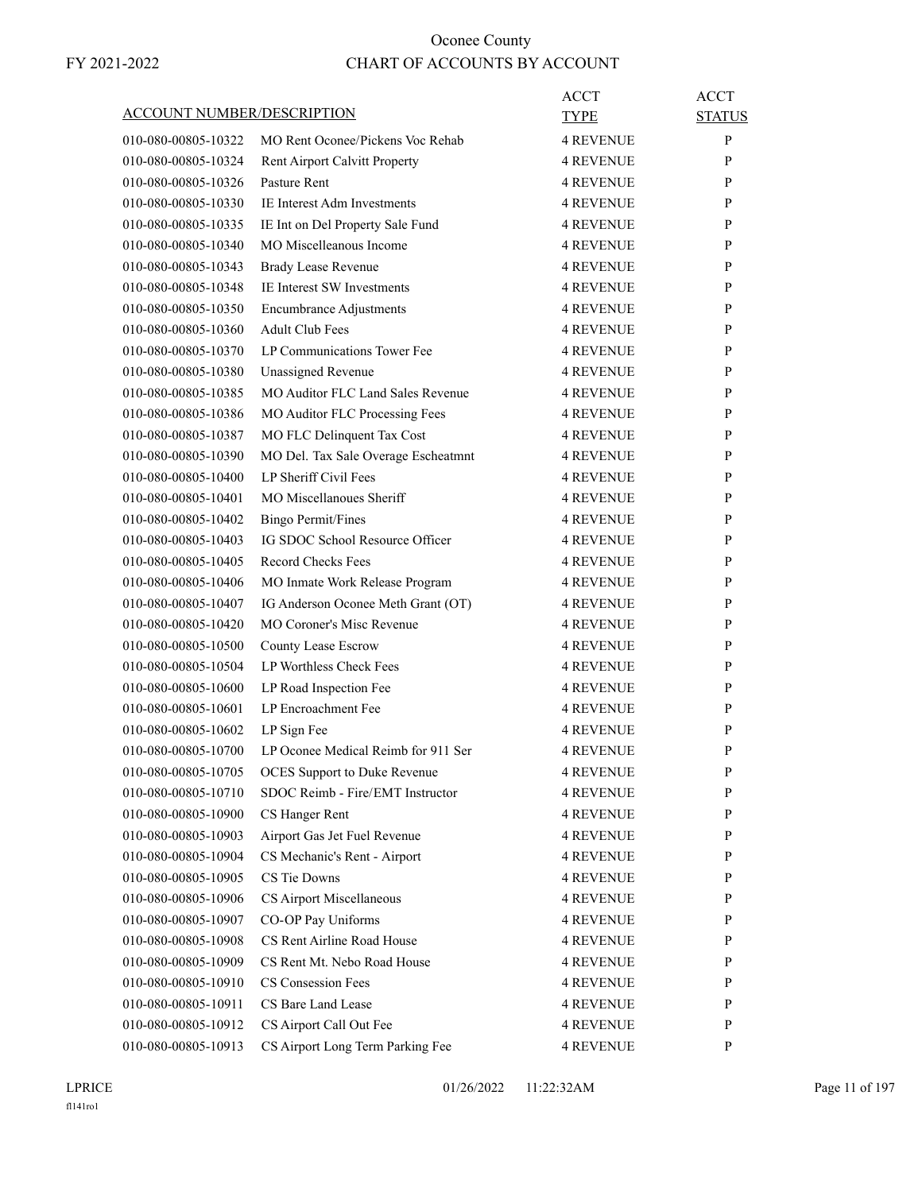| ACCOUNT NUMBER/DESCRIPTION |                                               | ACCT<br>TYPE     | ACCT<br><b>STATUS</b> |
|----------------------------|-----------------------------------------------|------------------|-----------------------|
| 010-080-00805-10322        | MO Rent Oconee/Pickens Voc Rehab              | <b>4 REVENUE</b> | P                     |
| 010-080-00805-10324        |                                               |                  |                       |
|                            | Rent Airport Calvitt Property<br>Pasture Rent | <b>4 REVENUE</b> | P                     |
| 010-080-00805-10326        | IE Interest Adm Investments                   | <b>4 REVENUE</b> | P                     |
| 010-080-00805-10330        |                                               | <b>4 REVENUE</b> | P                     |
| 010-080-00805-10335        | IE Int on Del Property Sale Fund              | <b>4 REVENUE</b> | P                     |
| 010-080-00805-10340        | MO Miscelleanous Income                       | <b>4 REVENUE</b> | P                     |
| 010-080-00805-10343        | <b>Brady Lease Revenue</b>                    | <b>4 REVENUE</b> | P                     |
| 010-080-00805-10348        | <b>IE</b> Interest SW Investments             | <b>4 REVENUE</b> | P                     |
| 010-080-00805-10350        | <b>Encumbrance Adjustments</b>                | <b>4 REVENUE</b> | P                     |
| 010-080-00805-10360        | <b>Adult Club Fees</b>                        | <b>4 REVENUE</b> | P                     |
| 010-080-00805-10370        | LP Communications Tower Fee                   | <b>4 REVENUE</b> | P                     |
| 010-080-00805-10380        | <b>Unassigned Revenue</b>                     | <b>4 REVENUE</b> | P                     |
| 010-080-00805-10385        | <b>MO Auditor FLC Land Sales Revenue</b>      | <b>4 REVENUE</b> | P                     |
| 010-080-00805-10386        | MO Auditor FLC Processing Fees                | <b>4 REVENUE</b> | P                     |
| 010-080-00805-10387        | MO FLC Delinquent Tax Cost                    | <b>4 REVENUE</b> | P                     |
| 010-080-00805-10390        | MO Del. Tax Sale Overage Escheatmnt           | <b>4 REVENUE</b> | P                     |
| 010-080-00805-10400        | LP Sheriff Civil Fees                         | <b>4 REVENUE</b> | P                     |
| 010-080-00805-10401        | MO Miscellanoues Sheriff                      | <b>4 REVENUE</b> | P                     |
| 010-080-00805-10402        | <b>Bingo Permit/Fines</b>                     | <b>4 REVENUE</b> | P                     |
| 010-080-00805-10403        | IG SDOC School Resource Officer               | <b>4 REVENUE</b> | P                     |
| 010-080-00805-10405        | <b>Record Checks Fees</b>                     | <b>4 REVENUE</b> | P                     |
| 010-080-00805-10406        | MO Inmate Work Release Program                | 4 REVENUE        | P                     |
| 010-080-00805-10407        | IG Anderson Oconee Meth Grant (OT)            | <b>4 REVENUE</b> | P                     |
| 010-080-00805-10420        | MO Coroner's Misc Revenue                     | <b>4 REVENUE</b> | P                     |
| 010-080-00805-10500        | County Lease Escrow                           | <b>4 REVENUE</b> | P                     |
| 010-080-00805-10504        | LP Worthless Check Fees                       | <b>4 REVENUE</b> | P                     |
| 010-080-00805-10600        | LP Road Inspection Fee                        | <b>4 REVENUE</b> | P                     |
| 010-080-00805-10601        | LP Encroachment Fee                           | 4 REVENUE        | P                     |
| 010-080-00805-10602        | LP Sign Fee                                   | <b>4 REVENUE</b> | P                     |
| 010-080-00805-10700        | LP Oconee Medical Reimb for 911 Ser           | <b>4 REVENUE</b> | P                     |
| 010-080-00805-10705        | OCES Support to Duke Revenue                  | <b>4 REVENUE</b> | $\mathbf{P}$          |
| 010-080-00805-10710        | SDOC Reimb - Fire/EMT Instructor              | <b>4 REVENUE</b> | P                     |
| 010-080-00805-10900        | CS Hanger Rent                                | <b>4 REVENUE</b> | P                     |
| 010-080-00805-10903        | Airport Gas Jet Fuel Revenue                  | <b>4 REVENUE</b> | P                     |
| 010-080-00805-10904        | CS Mechanic's Rent - Airport                  | <b>4 REVENUE</b> | P                     |
| 010-080-00805-10905        | CS Tie Downs                                  | <b>4 REVENUE</b> | P                     |
| 010-080-00805-10906        | CS Airport Miscellaneous                      | <b>4 REVENUE</b> | P                     |
| 010-080-00805-10907        | CO-OP Pay Uniforms                            | <b>4 REVENUE</b> | P                     |
| 010-080-00805-10908        | CS Rent Airline Road House                    | <b>4 REVENUE</b> | P                     |
| 010-080-00805-10909        | CS Rent Mt. Nebo Road House                   | <b>4 REVENUE</b> | P                     |
| 010-080-00805-10910        | CS Consession Fees                            | <b>4 REVENUE</b> | P                     |
| 010-080-00805-10911        | CS Bare Land Lease                            | <b>4 REVENUE</b> | P                     |
| 010-080-00805-10912        | CS Airport Call Out Fee                       | <b>4 REVENUE</b> | P                     |
| 010-080-00805-10913        | CS Airport Long Term Parking Fee              | 4 REVENUE        | P                     |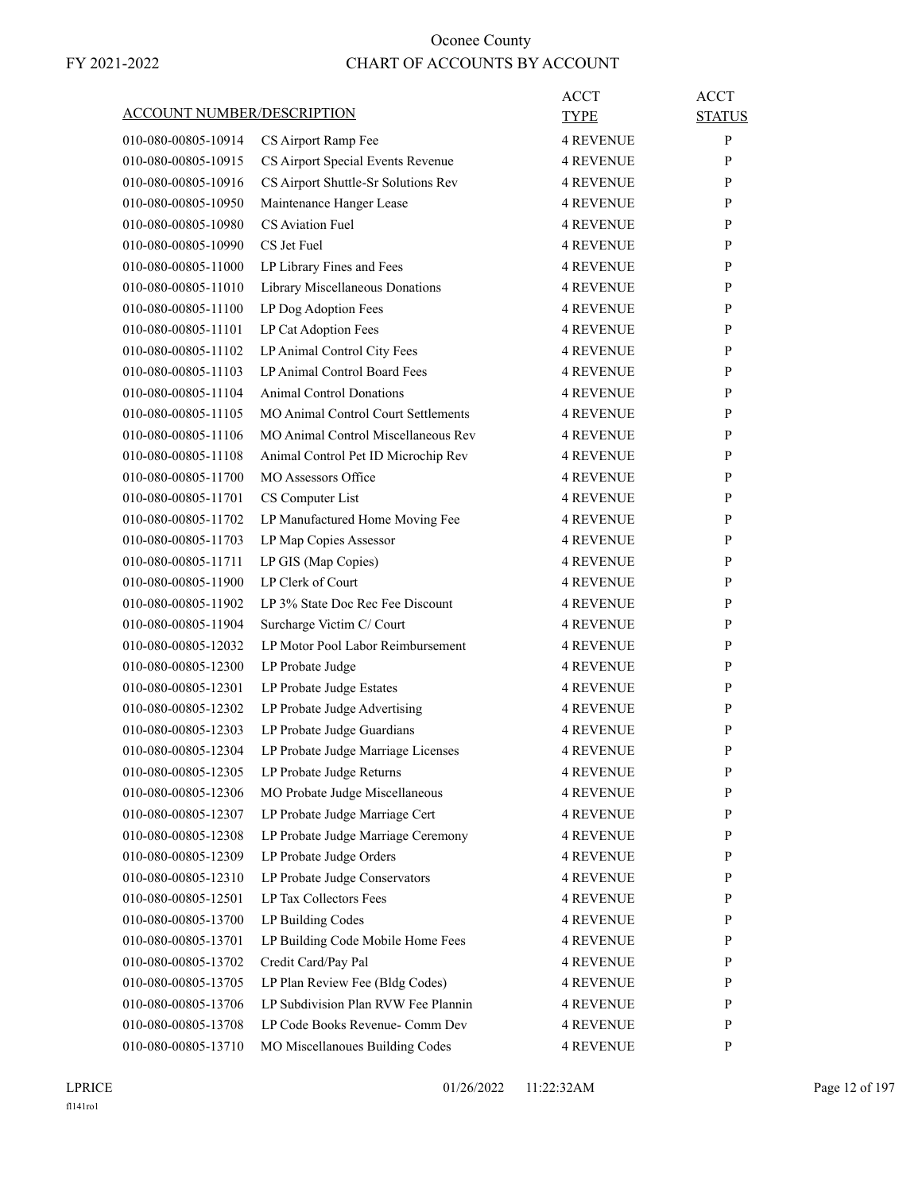| <b>ACCOUNT NUMBER/DESCRIPTION</b> |                                            | <b>ACCT</b><br>TYPE | <b>ACCT</b><br><b>STATUS</b> |
|-----------------------------------|--------------------------------------------|---------------------|------------------------------|
| 010-080-00805-10914               | CS Airport Ramp Fee                        | <b>4 REVENUE</b>    | P                            |
| 010-080-00805-10915               | CS Airport Special Events Revenue          | <b>4 REVENUE</b>    | P                            |
| 010-080-00805-10916               | CS Airport Shuttle-Sr Solutions Rev        | <b>4 REVENUE</b>    | P                            |
| 010-080-00805-10950               | Maintenance Hanger Lease                   | <b>4 REVENUE</b>    | P                            |
| 010-080-00805-10980               | CS Aviation Fuel                           | <b>4 REVENUE</b>    | P                            |
| 010-080-00805-10990               | CS Jet Fuel                                | <b>4 REVENUE</b>    | P                            |
| 010-080-00805-11000               | LP Library Fines and Fees                  | <b>4 REVENUE</b>    | P                            |
| 010-080-00805-11010               | Library Miscellaneous Donations            | <b>4 REVENUE</b>    | P                            |
| 010-080-00805-11100               | LP Dog Adoption Fees                       | <b>4 REVENUE</b>    | P                            |
| 010-080-00805-11101               | LP Cat Adoption Fees                       | <b>4 REVENUE</b>    | P                            |
|                                   |                                            |                     |                              |
| 010-080-00805-11102               | LP Animal Control City Fees                | <b>4 REVENUE</b>    | P                            |
| 010-080-00805-11103               | LP Animal Control Board Fees               | <b>4 REVENUE</b>    | P                            |
| 010-080-00805-11104               | <b>Animal Control Donations</b>            | <b>4 REVENUE</b>    | P                            |
| 010-080-00805-11105               | <b>MO Animal Control Court Settlements</b> | <b>4 REVENUE</b>    | P                            |
| 010-080-00805-11106               | MO Animal Control Miscellaneous Rev        | <b>4 REVENUE</b>    | P                            |
| 010-080-00805-11108               | Animal Control Pet ID Microchip Rev        | <b>4 REVENUE</b>    | P                            |
| 010-080-00805-11700               | <b>MO Assessors Office</b>                 | <b>4 REVENUE</b>    | P                            |
| 010-080-00805-11701               | CS Computer List                           | <b>4 REVENUE</b>    | P                            |
| 010-080-00805-11702               | LP Manufactured Home Moving Fee            | <b>4 REVENUE</b>    | P                            |
| 010-080-00805-11703               | LP Map Copies Assessor                     | <b>4 REVENUE</b>    | P                            |
| 010-080-00805-11711               | LP GIS (Map Copies)                        | <b>4 REVENUE</b>    | P                            |
| 010-080-00805-11900               | LP Clerk of Court                          | <b>4 REVENUE</b>    | P                            |
| 010-080-00805-11902               | LP 3% State Doc Rec Fee Discount           | <b>4 REVENUE</b>    | P                            |
| 010-080-00805-11904               | Surcharge Victim C/ Court                  | 4 REVENUE           | P                            |
| 010-080-00805-12032               | LP Motor Pool Labor Reimbursement          | <b>4 REVENUE</b>    | P                            |
| 010-080-00805-12300               | LP Probate Judge                           | <b>4 REVENUE</b>    | P                            |
| 010-080-00805-12301               | LP Probate Judge Estates                   | <b>4 REVENUE</b>    | P                            |
| 010-080-00805-12302               | LP Probate Judge Advertising               | <b>4 REVENUE</b>    | P                            |
| 010-080-00805-12303               | LP Probate Judge Guardians                 | <b>4 REVENUE</b>    | P                            |
| 010-080-00805-12304               | LP Probate Judge Marriage Licenses         | 4 REVENUE           | P                            |
| 010-080-00805-12305               | LP Probate Judge Returns                   | <b>4 REVENUE</b>    | P                            |
| 010-080-00805-12306               | MO Probate Judge Miscellaneous             | <b>4 REVENUE</b>    | P                            |
| 010-080-00805-12307               | LP Probate Judge Marriage Cert             | <b>4 REVENUE</b>    | P                            |
| 010-080-00805-12308               | LP Probate Judge Marriage Ceremony         | <b>4 REVENUE</b>    | P                            |
| 010-080-00805-12309               | LP Probate Judge Orders                    | <b>4 REVENUE</b>    | P                            |
| 010-080-00805-12310               | LP Probate Judge Conservators              | <b>4 REVENUE</b>    | P                            |
| 010-080-00805-12501               | LP Tax Collectors Fees                     | <b>4 REVENUE</b>    | P                            |
| 010-080-00805-13700               | LP Building Codes                          | <b>4 REVENUE</b>    | P                            |
| 010-080-00805-13701               | LP Building Code Mobile Home Fees          | <b>4 REVENUE</b>    | P                            |
|                                   | Credit Card/Pay Pal                        |                     | P                            |
| 010-080-00805-13702               |                                            | <b>4 REVENUE</b>    |                              |
| 010-080-00805-13705               | LP Plan Review Fee (Bldg Codes)            | <b>4 REVENUE</b>    | P                            |
| 010-080-00805-13706               | LP Subdivision Plan RVW Fee Plannin        | <b>4 REVENUE</b>    | P                            |
| 010-080-00805-13708               | LP Code Books Revenue- Comm Dev            | <b>4 REVENUE</b>    | P                            |
| 010-080-00805-13710               | MO Miscellanoues Building Codes            | 4 REVENUE           | P                            |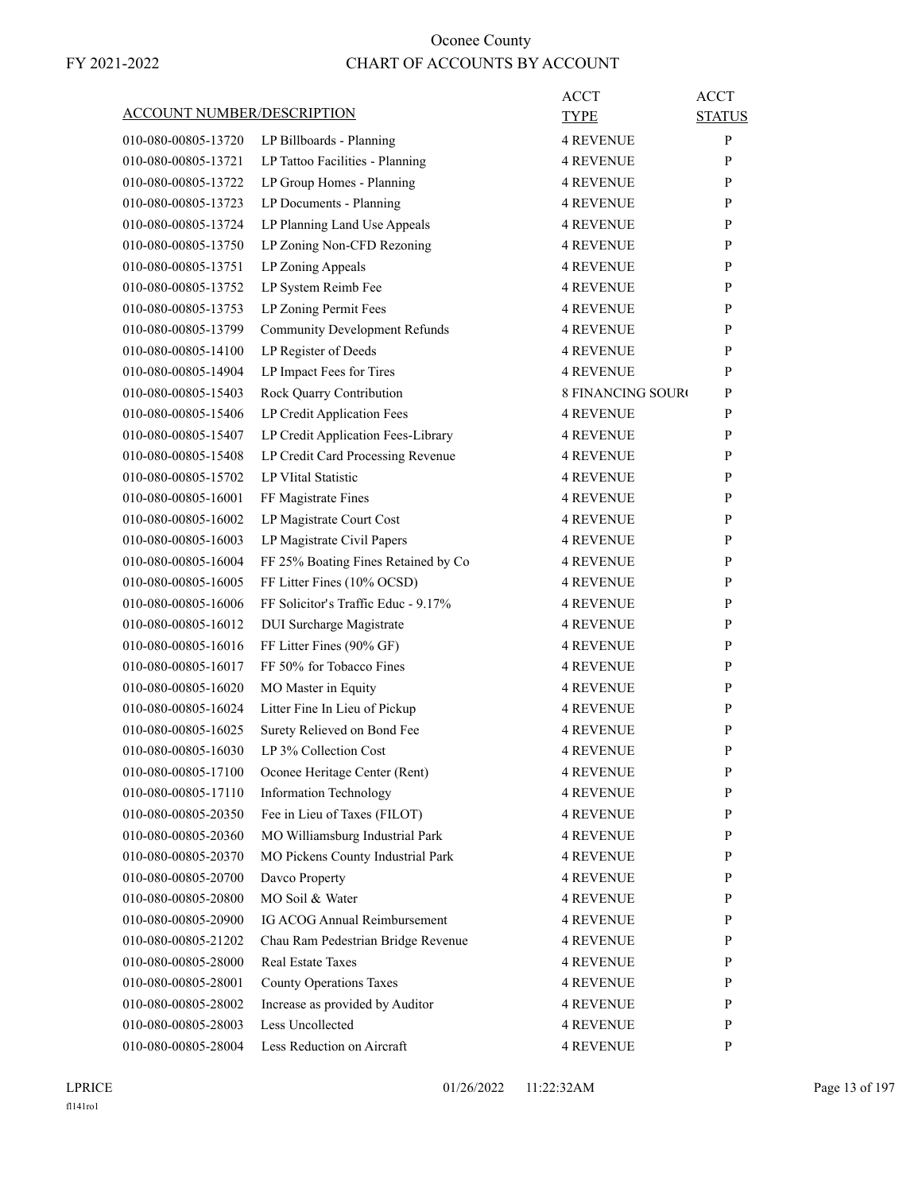| <b>ACCOUNT NUMBER/DESCRIPTION</b>          | ACCT<br>TYPE                                                                      | <b>ACCT</b><br><b>STATUS</b> |
|--------------------------------------------|-----------------------------------------------------------------------------------|------------------------------|
| 010-080-00805-13720                        | LP Billboards - Planning<br>4 REVENUE                                             | P                            |
| 010-080-00805-13721                        | LP Tattoo Facilities - Planning<br><b>4 REVENUE</b>                               | P                            |
| 010-080-00805-13722                        | LP Group Homes - Planning<br><b>4 REVENUE</b>                                     | P                            |
| 010-080-00805-13723                        | LP Documents - Planning<br><b>4 REVENUE</b>                                       | P                            |
| 010-080-00805-13724                        | LP Planning Land Use Appeals<br>4 REVENUE                                         | P                            |
| 010-080-00805-13750                        | LP Zoning Non-CFD Rezoning<br><b>4 REVENUE</b>                                    | P                            |
| 010-080-00805-13751                        | LP Zoning Appeals<br><b>4 REVENUE</b>                                             | P                            |
| 010-080-00805-13752                        | LP System Reimb Fee<br><b>4 REVENUE</b>                                           | P                            |
| 010-080-00805-13753                        | LP Zoning Permit Fees<br>4 REVENUE                                                | P                            |
| 010-080-00805-13799                        | <b>Community Development Refunds</b><br><b>4 REVENUE</b>                          | P                            |
| 010-080-00805-14100                        | LP Register of Deeds<br>4 REVENUE                                                 | P                            |
| 010-080-00805-14904                        | LP Impact Fees for Tires<br><b>4 REVENUE</b>                                      | P                            |
| 010-080-00805-15403                        | Rock Quarry Contribution<br><b>8 FINANCING SOURO</b>                              | P                            |
| 010-080-00805-15406                        | LP Credit Application Fees<br><b>4 REVENUE</b>                                    | P                            |
| 010-080-00805-15407                        | LP Credit Application Fees-Library<br><b>4 REVENUE</b>                            | P                            |
| 010-080-00805-15408                        | LP Credit Card Processing Revenue<br><b>4 REVENUE</b>                             | P                            |
| 010-080-00805-15702                        | <b>LP VIital Statistic</b><br><b>4 REVENUE</b>                                    | P                            |
| 010-080-00805-16001                        | FF Magistrate Fines<br><b>4 REVENUE</b>                                           | P                            |
| 010-080-00805-16002                        | LP Magistrate Court Cost<br><b>4 REVENUE</b>                                      | P                            |
| 010-080-00805-16003                        | LP Magistrate Civil Papers<br><b>4 REVENUE</b>                                    | P                            |
| 010-080-00805-16004                        | FF 25% Boating Fines Retained by Co<br><b>4 REVENUE</b>                           | P                            |
| 010-080-00805-16005                        | FF Litter Fines (10% OCSD)<br><b>4 REVENUE</b>                                    | P                            |
| 010-080-00805-16006                        | FF Solicitor's Traffic Educ - 9.17%<br>4 REVENUE                                  | P                            |
| 010-080-00805-16012                        | DUI Surcharge Magistrate<br><b>4 REVENUE</b>                                      | P                            |
| 010-080-00805-16016                        | FF Litter Fines (90% GF)<br><b>4 REVENUE</b>                                      | P                            |
| 010-080-00805-16017                        | FF 50% for Tobacco Fines<br><b>4 REVENUE</b>                                      | P                            |
| 010-080-00805-16020                        | MO Master in Equity<br><b>4 REVENUE</b>                                           | P                            |
| 010-080-00805-16024                        | Litter Fine In Lieu of Pickup<br>4 REVENUE                                        | P                            |
| 010-080-00805-16025                        | Surety Relieved on Bond Fee<br><b>4 REVENUE</b>                                   | P                            |
| 010-080-00805-16030                        | LP 3% Collection Cost                                                             | P                            |
| 010-080-00805-17100                        | 4 REVENUE<br>Oconee Heritage Center (Rent)<br><b>4 REVENUE</b>                    | P                            |
| 010-080-00805-17110                        |                                                                                   |                              |
|                                            | <b>Information Technology</b><br><b>4 REVENUE</b><br>Fee in Lieu of Taxes (FILOT) | P<br>P                       |
| 010-080-00805-20350<br>010-080-00805-20360 | 4 REVENUE<br>MO Williamsburg Industrial Park<br>4 REVENUE                         | P                            |
| 010-080-00805-20370                        | MO Pickens County Industrial Park                                                 |                              |
|                                            | <b>4 REVENUE</b>                                                                  | P                            |
| 010-080-00805-20700                        | Davco Property<br><b>4 REVENUE</b>                                                | P                            |
| 010-080-00805-20800                        | MO Soil & Water<br><b>4 REVENUE</b>                                               | P                            |
| 010-080-00805-20900                        | IG ACOG Annual Reimbursement<br><b>4 REVENUE</b>                                  | P                            |
| 010-080-00805-21202                        | Chau Ram Pedestrian Bridge Revenue<br>4 REVENUE                                   | P                            |
| 010-080-00805-28000                        | <b>Real Estate Taxes</b><br>4 REVENUE                                             | P                            |
| 010-080-00805-28001                        | <b>County Operations Taxes</b><br><b>4 REVENUE</b>                                | P                            |
| 010-080-00805-28002                        | Increase as provided by Auditor<br><b>4 REVENUE</b>                               | P                            |
| 010-080-00805-28003                        | Less Uncollected<br>4 REVENUE                                                     | P                            |
| 010-080-00805-28004                        | Less Reduction on Aircraft<br><b>4 REVENUE</b>                                    | P                            |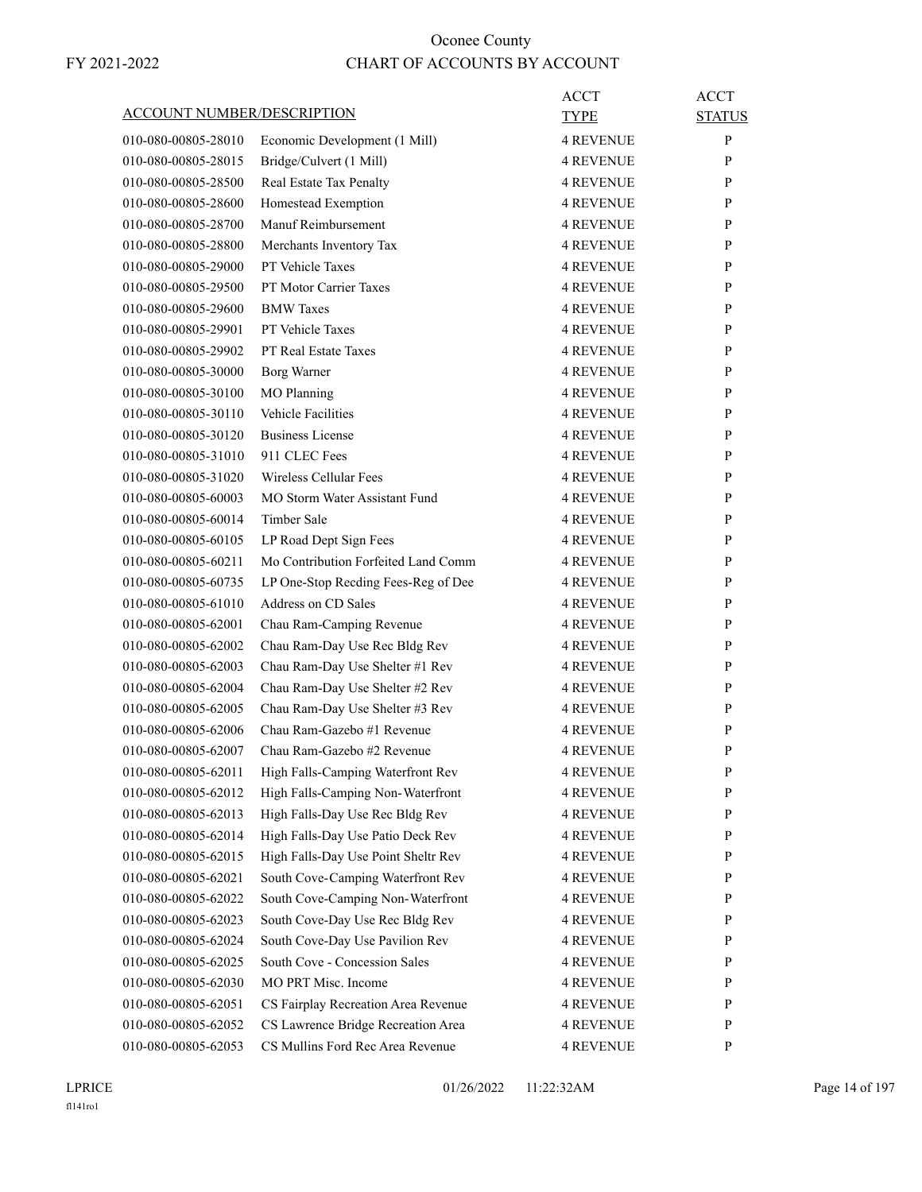| <u>ACCOUNT NUMBER/DESCRIPTION</u> |                                     | ACCT<br>TYPE     | <b>ACCT</b><br><b>STATUS</b> |
|-----------------------------------|-------------------------------------|------------------|------------------------------|
| 010-080-00805-28010               | Economic Development (1 Mill)       | <b>4 REVENUE</b> | P                            |
| 010-080-00805-28015               | Bridge/Culvert (1 Mill)             | <b>4 REVENUE</b> | P                            |
| 010-080-00805-28500               | Real Estate Tax Penalty             | <b>4 REVENUE</b> | P                            |
| 010-080-00805-28600               | Homestead Exemption                 | <b>4 REVENUE</b> | P                            |
| 010-080-00805-28700               | Manuf Reimbursement                 | <b>4 REVENUE</b> | P                            |
| 010-080-00805-28800               | Merchants Inventory Tax             | <b>4 REVENUE</b> | P                            |
| 010-080-00805-29000               | PT Vehicle Taxes                    | <b>4 REVENUE</b> | P                            |
| 010-080-00805-29500               | PT Motor Carrier Taxes              | <b>4 REVENUE</b> | P                            |
| 010-080-00805-29600               | <b>BMW</b> Taxes                    | <b>4 REVENUE</b> | P                            |
| 010-080-00805-29901               | PT Vehicle Taxes                    | <b>4 REVENUE</b> | P                            |
| 010-080-00805-29902               | <b>PT Real Estate Taxes</b>         | <b>4 REVENUE</b> | P                            |
| 010-080-00805-30000               | <b>Borg Warner</b>                  | <b>4 REVENUE</b> | P                            |
| 010-080-00805-30100               | <b>MO</b> Planning                  | <b>4 REVENUE</b> | P                            |
| 010-080-00805-30110               | <b>Vehicle Facilities</b>           | <b>4 REVENUE</b> | P                            |
|                                   |                                     |                  |                              |
| 010-080-00805-30120               | <b>Business License</b>             | <b>4 REVENUE</b> | P                            |
| 010-080-00805-31010               | 911 CLEC Fees                       | <b>4 REVENUE</b> | P                            |
| 010-080-00805-31020               | Wireless Cellular Fees              | <b>4 REVENUE</b> | P                            |
| 010-080-00805-60003               | MO Storm Water Assistant Fund       | <b>4 REVENUE</b> | P                            |
| 010-080-00805-60014               | Timber Sale                         | <b>4 REVENUE</b> | P                            |
| 010-080-00805-60105               | LP Road Dept Sign Fees              | <b>4 REVENUE</b> | P                            |
| 010-080-00805-60211               | Mo Contribution Forfeited Land Comm | <b>4 REVENUE</b> | P                            |
| 010-080-00805-60735               | LP One-Stop Recding Fees-Reg of Dee | <b>4 REVENUE</b> | P                            |
| 010-080-00805-61010               | Address on CD Sales                 | <b>4 REVENUE</b> | P                            |
| 010-080-00805-62001               | Chau Ram-Camping Revenue            | <b>4 REVENUE</b> | P                            |
| 010-080-00805-62002               | Chau Ram-Day Use Rec Bldg Rev       | <b>4 REVENUE</b> | P                            |
| 010-080-00805-62003               | Chau Ram-Day Use Shelter #1 Rev     | <b>4 REVENUE</b> | P                            |
| 010-080-00805-62004               | Chau Ram-Day Use Shelter #2 Rev     | <b>4 REVENUE</b> | P                            |
| 010-080-00805-62005               | Chau Ram-Day Use Shelter #3 Rev     | <b>4 REVENUE</b> | P                            |
| 010-080-00805-62006               | Chau Ram-Gazebo #1 Revenue          | <b>4 REVENUE</b> | P                            |
| 010-080-00805-62007               | Chau Ram-Gazebo #2 Revenue          | <b>4 REVENUE</b> | P                            |
| 010-080-00805-62011               | High Falls-Camping Waterfront Rev   | <b>4 REVENUE</b> | $\mathbf{P}$                 |
| 010-080-00805-62012               | High Falls-Camping Non-Waterfront   | <b>4 REVENUE</b> | P                            |
| 010-080-00805-62013               | High Falls-Day Use Rec Bldg Rev     | <b>4 REVENUE</b> | P                            |
| 010-080-00805-62014               | High Falls-Day Use Patio Deck Rev   | <b>4 REVENUE</b> | P                            |
| 010-080-00805-62015               | High Falls-Day Use Point Sheltr Rev | <b>4 REVENUE</b> | P                            |
| 010-080-00805-62021               | South Cove-Camping Waterfront Rev   | <b>4 REVENUE</b> | P                            |
| 010-080-00805-62022               | South Cove-Camping Non-Waterfront   | <b>4 REVENUE</b> | P                            |
| 010-080-00805-62023               | South Cove-Day Use Rec Bldg Rev     | <b>4 REVENUE</b> | P                            |
| 010-080-00805-62024               | South Cove-Day Use Pavilion Rev     | <b>4 REVENUE</b> | P                            |
| 010-080-00805-62025               | South Cove - Concession Sales       | <b>4 REVENUE</b> | P                            |
|                                   | MO PRT Misc. Income                 |                  |                              |
| 010-080-00805-62030               |                                     | <b>4 REVENUE</b> | P<br>P                       |
| 010-080-00805-62051               | CS Fairplay Recreation Area Revenue | <b>4 REVENUE</b> |                              |
| 010-080-00805-62052               | CS Lawrence Bridge Recreation Area  | <b>4 REVENUE</b> | P                            |
| 010-080-00805-62053               | CS Mullins Ford Rec Area Revenue    | <b>4 REVENUE</b> | P                            |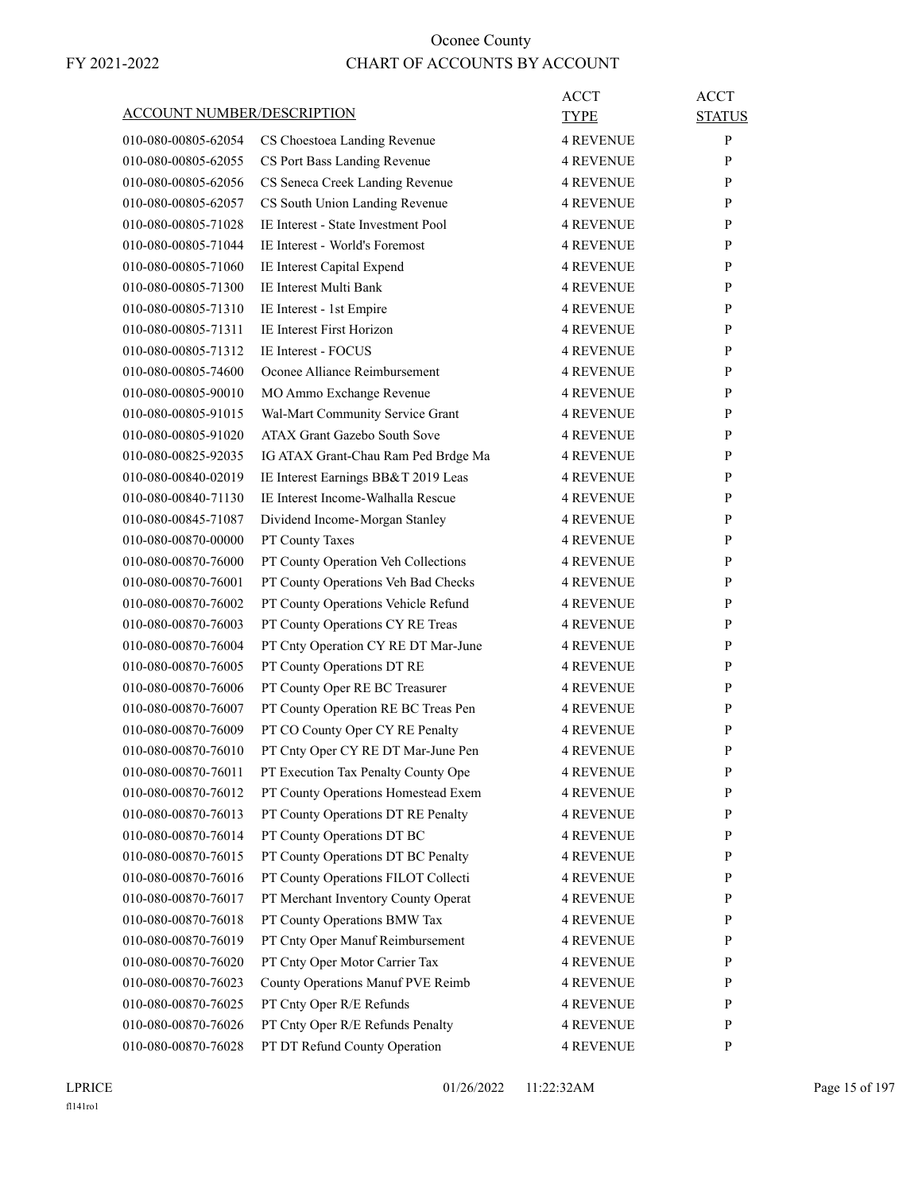| <b>ACCOUNT NUMBER/DESCRIPTION</b> |                                                                  | ACCT<br><b>TYPE</b>           | <b>ACCT</b><br><b>STATUS</b> |
|-----------------------------------|------------------------------------------------------------------|-------------------------------|------------------------------|
| 010-080-00805-62054               | CS Choestoea Landing Revenue                                     | <b>4 REVENUE</b>              | P                            |
| 010-080-00805-62055               | CS Port Bass Landing Revenue                                     | <b>4 REVENUE</b>              | P                            |
| 010-080-00805-62056               | CS Seneca Creek Landing Revenue                                  | <b>4 REVENUE</b>              | P                            |
| 010-080-00805-62057               | CS South Union Landing Revenue                                   | <b>4 REVENUE</b>              | P                            |
| 010-080-00805-71028               | IE Interest - State Investment Pool                              | 4 REVENUE                     | P                            |
| 010-080-00805-71044               | IE Interest - World's Foremost                                   | <b>4 REVENUE</b>              | P                            |
| 010-080-00805-71060               | IE Interest Capital Expend                                       | <b>4 REVENUE</b>              | P                            |
| 010-080-00805-71300               | IE Interest Multi Bank                                           | <b>4 REVENUE</b>              | P                            |
| 010-080-00805-71310               | IE Interest - 1st Empire                                         | 4 REVENUE                     | P                            |
| 010-080-00805-71311               | IE Interest First Horizon                                        | <b>4 REVENUE</b>              | P                            |
| 010-080-00805-71312               | IE Interest - FOCUS                                              | 4 REVENUE                     | P                            |
| 010-080-00805-74600               | Oconee Alliance Reimbursement                                    | <b>4 REVENUE</b>              | P                            |
| 010-080-00805-90010               | MO Ammo Exchange Revenue                                         | <b>4 REVENUE</b>              | P                            |
| 010-080-00805-91015               | Wal-Mart Community Service Grant                                 | <b>4 REVENUE</b>              | P                            |
| 010-080-00805-91020               | ATAX Grant Gazebo South Sove                                     | 4 REVENUE                     | P                            |
| 010-080-00825-92035               | IG ATAX Grant-Chau Ram Ped Brdge Ma                              | 4 REVENUE                     | P                            |
| 010-080-00840-02019               | IE Interest Earnings BB&T 2019 Leas                              | 4 REVENUE                     | P                            |
| 010-080-00840-71130               | IE Interest Income-Walhalla Rescue                               | <b>4 REVENUE</b>              | P                            |
| 010-080-00845-71087               | Dividend Income-Morgan Stanley                                   | <b>4 REVENUE</b>              | P                            |
| 010-080-00870-00000               | PT County Taxes                                                  | <b>4 REVENUE</b>              | P                            |
| 010-080-00870-76000               | PT County Operation Veh Collections                              | <b>4 REVENUE</b>              | P                            |
| 010-080-00870-76001               | PT County Operations Veh Bad Checks                              | <b>4 REVENUE</b>              | P                            |
| 010-080-00870-76002               | PT County Operations Vehicle Refund                              | 4 REVENUE                     | P                            |
| 010-080-00870-76003               | PT County Operations CY RE Treas                                 | 4 REVENUE                     | P                            |
| 010-080-00870-76004               | PT Cnty Operation CY RE DT Mar-June                              | <b>4 REVENUE</b>              | P                            |
| 010-080-00870-76005               | PT County Operations DT RE                                       | <b>4 REVENUE</b>              | P                            |
| 010-080-00870-76006               | PT County Oper RE BC Treasurer                                   | <b>4 REVENUE</b>              | P                            |
| 010-080-00870-76007               | PT County Operation RE BC Treas Pen                              | 4 REVENUE                     | P                            |
| 010-080-00870-76009               | PT CO County Oper CY RE Penalty                                  | <b>4 REVENUE</b>              | P                            |
| 010-080-00870-76010               | PT Cnty Oper CY RE DT Mar-June Pen                               | <b>4 REVENUE</b>              | P                            |
| 010-080-00870-76011               | PT Execution Tax Penalty County Ope                              | <b>4 REVENUE</b>              | P                            |
| 010-080-00870-76012               | PT County Operations Homestead Exem                              | <b>4 REVENUE</b>              | P                            |
| 010-080-00870-76013               | PT County Operations DT RE Penalty                               |                               | $\mathbf{P}$                 |
| 010-080-00870-76014               |                                                                  | 4 REVENUE                     | P                            |
| 010-080-00870-76015               | PT County Operations DT BC<br>PT County Operations DT BC Penalty | 4 REVENUE<br><b>4 REVENUE</b> | P                            |
| 010-080-00870-76016               | PT County Operations FILOT Collecti                              | <b>4 REVENUE</b>              | $\mathbf{P}$                 |
| 010-080-00870-76017               | PT Merchant Inventory County Operat                              | 4 REVENUE                     | P                            |
|                                   | PT County Operations BMW Tax                                     |                               |                              |
| 010-080-00870-76018               |                                                                  | <b>4 REVENUE</b>              | P<br>$\mathbf{P}$            |
| 010-080-00870-76019               | PT Cnty Oper Manuf Reimbursement                                 | 4 REVENUE                     |                              |
| 010-080-00870-76020               | PT Cnty Oper Motor Carrier Tax                                   | 4 REVENUE                     | P                            |
| 010-080-00870-76023               | County Operations Manuf PVE Reimb                                | <b>4 REVENUE</b>              | P                            |
| 010-080-00870-76025               | PT Cnty Oper R/E Refunds                                         | <b>4 REVENUE</b>              | $\mathbf{P}$                 |
| 010-080-00870-76026               | PT Cnty Oper R/E Refunds Penalty                                 | 4 REVENUE                     | P                            |
| 010-080-00870-76028               | PT DT Refund County Operation                                    | <b>4 REVENUE</b>              | P                            |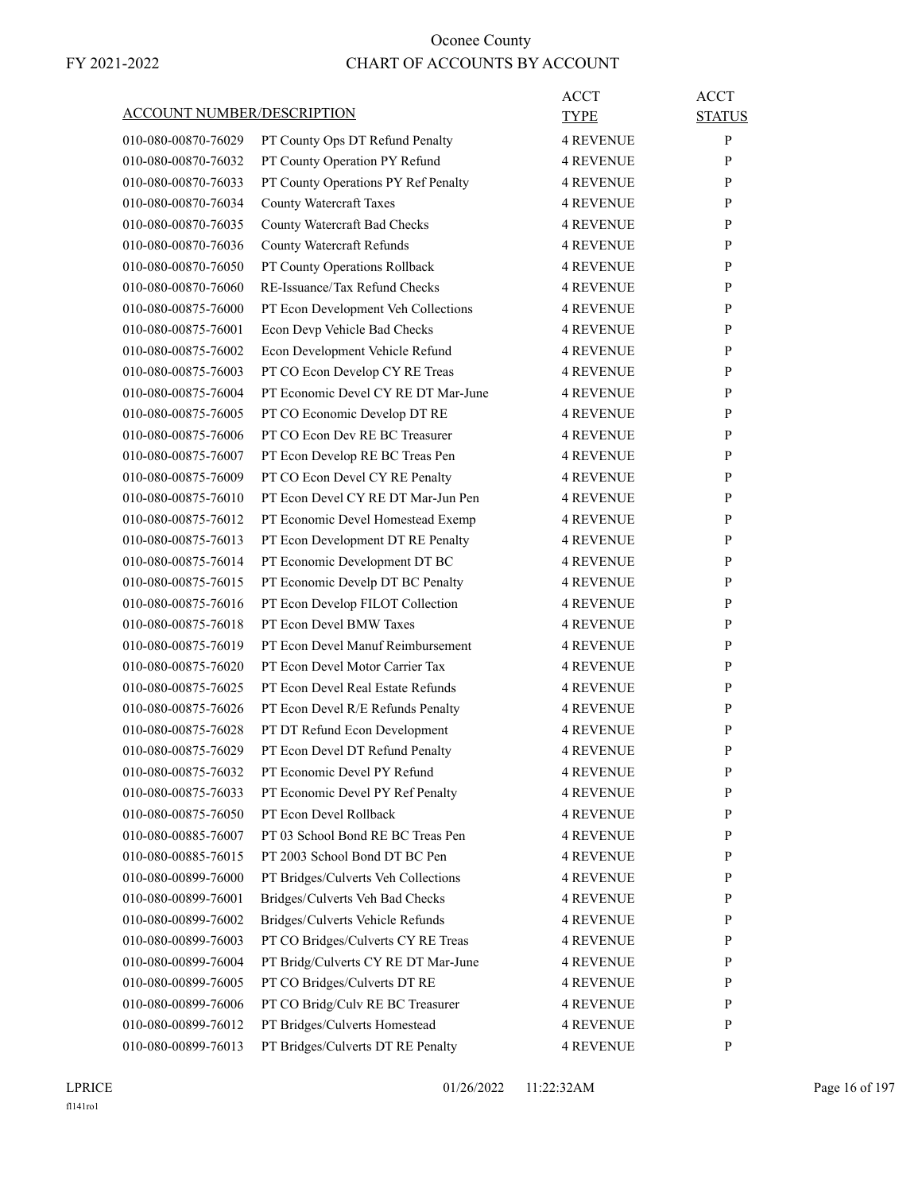| ACCOUNT NUMBER/DESCRIPTION |                                                                | ACCT<br><b>TYPE</b>                  | <b>ACCT</b><br><b>STATUS</b> |
|----------------------------|----------------------------------------------------------------|--------------------------------------|------------------------------|
| 010-080-00870-76029        | PT County Ops DT Refund Penalty                                | <b>4 REVENUE</b>                     | P                            |
| 010-080-00870-76032        | PT County Operation PY Refund                                  | <b>4 REVENUE</b>                     | P                            |
| 010-080-00870-76033        | PT County Operations PY Ref Penalty                            | <b>4 REVENUE</b>                     | P                            |
| 010-080-00870-76034        | <b>County Watercraft Taxes</b>                                 | <b>4 REVENUE</b>                     | P                            |
| 010-080-00870-76035        | County Watercraft Bad Checks                                   | <b>4 REVENUE</b>                     | P                            |
| 010-080-00870-76036        | County Watercraft Refunds                                      | <b>4 REVENUE</b>                     | P                            |
| 010-080-00870-76050        | PT County Operations Rollback                                  | <b>4 REVENUE</b>                     | P                            |
| 010-080-00870-76060        | RE-Issuance/Tax Refund Checks                                  | <b>4 REVENUE</b>                     | P                            |
| 010-080-00875-76000        | PT Econ Development Veh Collections                            | <b>4 REVENUE</b>                     | P                            |
| 010-080-00875-76001        | Econ Devp Vehicle Bad Checks                                   | <b>4 REVENUE</b>                     | P                            |
| 010-080-00875-76002        | Econ Development Vehicle Refund                                | <b>4 REVENUE</b>                     | P                            |
| 010-080-00875-76003        | PT CO Econ Develop CY RE Treas                                 | <b>4 REVENUE</b>                     | P                            |
| 010-080-00875-76004        | PT Economic Devel CY RE DT Mar-June                            | <b>4 REVENUE</b>                     | P                            |
| 010-080-00875-76005        | PT CO Economic Develop DT RE                                   | <b>4 REVENUE</b>                     | P                            |
| 010-080-00875-76006        | PT CO Econ Dev RE BC Treasurer                                 | <b>4 REVENUE</b>                     | P                            |
| 010-080-00875-76007        | PT Econ Develop RE BC Treas Pen                                | <b>4 REVENUE</b>                     | P                            |
| 010-080-00875-76009        | PT CO Econ Devel CY RE Penalty                                 | <b>4 REVENUE</b>                     | P                            |
| 010-080-00875-76010        | PT Econ Devel CY RE DT Mar-Jun Pen                             | <b>4 REVENUE</b>                     | P                            |
| 010-080-00875-76012        | PT Economic Devel Homestead Exemp                              | <b>4 REVENUE</b>                     | P                            |
| 010-080-00875-76013        | PT Econ Development DT RE Penalty                              | <b>4 REVENUE</b>                     | P                            |
| 010-080-00875-76014        | PT Economic Development DT BC                                  | <b>4 REVENUE</b>                     | P                            |
| 010-080-00875-76015        | PT Economic Develp DT BC Penalty                               | <b>4 REVENUE</b>                     | P                            |
| 010-080-00875-76016        | PT Econ Develop FILOT Collection                               | <b>4 REVENUE</b>                     | P                            |
| 010-080-00875-76018        | PT Econ Devel BMW Taxes                                        | <b>4 REVENUE</b>                     | P                            |
| 010-080-00875-76019        | PT Econ Devel Manuf Reimbursement                              | <b>4 REVENUE</b>                     | P                            |
| 010-080-00875-76020        | PT Econ Devel Motor Carrier Tax                                | <b>4 REVENUE</b>                     | P                            |
| 010-080-00875-76025        | PT Econ Devel Real Estate Refunds                              | <b>4 REVENUE</b>                     | P                            |
| 010-080-00875-76026        | PT Econ Devel R/E Refunds Penalty                              | <b>4 REVENUE</b>                     | P                            |
| 010-080-00875-76028        |                                                                | <b>4 REVENUE</b>                     | P                            |
| 010-080-00875-76029        | PT DT Refund Econ Development                                  | <b>4 REVENUE</b>                     | P                            |
| 010-080-00875-76032        | PT Econ Devel DT Refund Penalty<br>PT Economic Devel PY Refund | <b>4 REVENUE</b>                     | P                            |
| 010-080-00875-76033        |                                                                |                                      |                              |
| 010-080-00875-76050        | PT Economic Devel PY Ref Penalty                               | <b>4 REVENUE</b>                     | P<br>P                       |
| 010-080-00885-76007        | PT Econ Devel Rollback<br>PT 03 School Bond RE BC Treas Pen    | <b>4 REVENUE</b><br><b>4 REVENUE</b> | P                            |
| 010-080-00885-76015        | PT 2003 School Bond DT BC Pen                                  |                                      |                              |
|                            |                                                                | <b>4 REVENUE</b>                     | P                            |
| 010-080-00899-76000        | PT Bridges/Culverts Veh Collections                            | <b>4 REVENUE</b>                     | P                            |
| 010-080-00899-76001        | Bridges/Culverts Veh Bad Checks                                | <b>4 REVENUE</b>                     | P                            |
| 010-080-00899-76002        | Bridges/Culverts Vehicle Refunds                               | <b>4 REVENUE</b>                     | P                            |
| 010-080-00899-76003        | PT CO Bridges/Culverts CY RE Treas                             | <b>4 REVENUE</b>                     | P                            |
| 010-080-00899-76004        | PT Bridg/Culverts CY RE DT Mar-June                            | <b>4 REVENUE</b>                     | P                            |
| 010-080-00899-76005        | PT CO Bridges/Culverts DT RE                                   | <b>4 REVENUE</b>                     | P                            |
| 010-080-00899-76006        | PT CO Bridg/Culv RE BC Treasurer                               | <b>4 REVENUE</b>                     | P                            |
| 010-080-00899-76012        | PT Bridges/Culverts Homestead                                  | <b>4 REVENUE</b>                     | P                            |
| 010-080-00899-76013        | PT Bridges/Culverts DT RE Penalty                              | 4 REVENUE                            | P                            |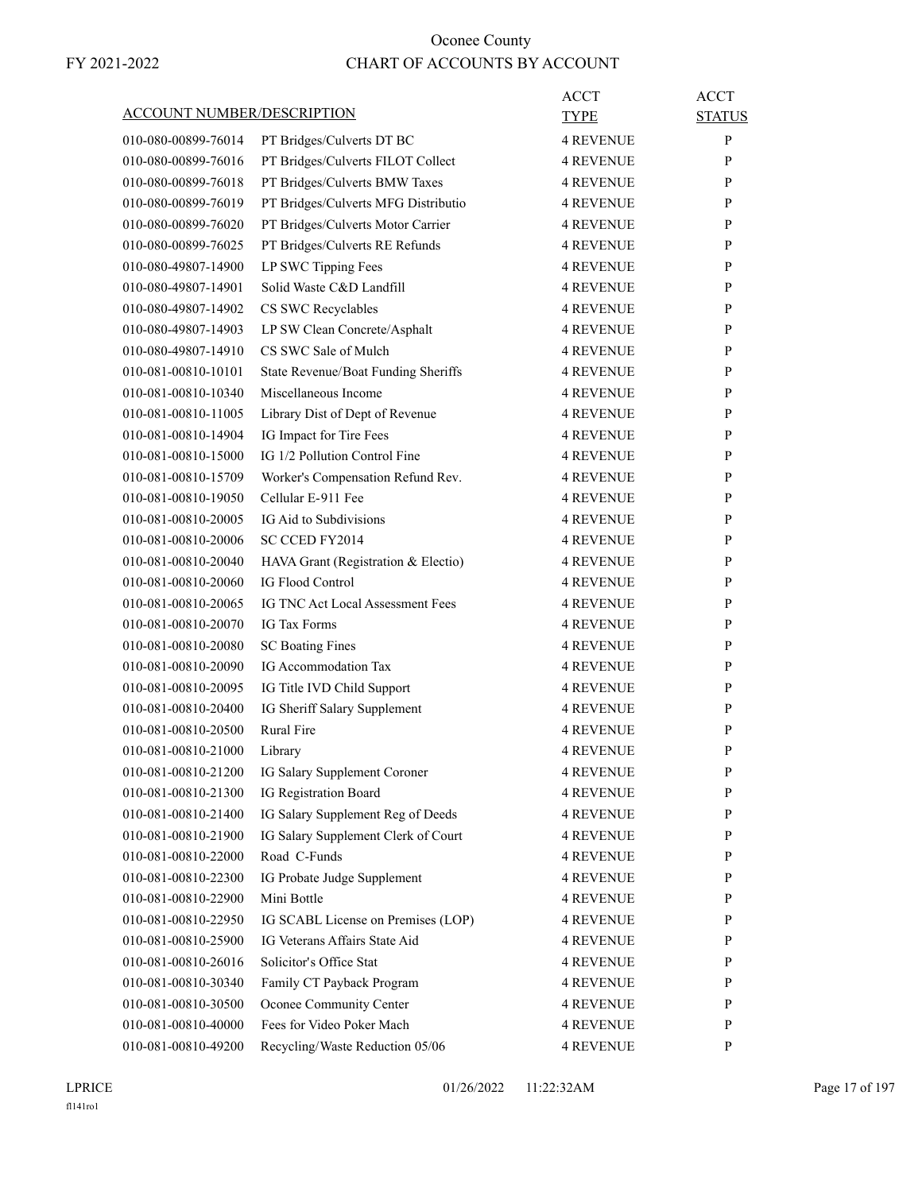| <b>ACCOUNT NUMBER/DESCRIPTION</b><br>TYPE<br><b>STATUS</b><br>$\mathbf{P}$<br>PT Bridges/Culverts DT BC<br><b>4 REVENUE</b><br>010-080-00899-76014<br>PT Bridges/Culverts FILOT Collect<br>P<br><b>4 REVENUE</b><br>010-080-00899-76016<br>010-080-00899-76018<br>PT Bridges/Culverts BMW Taxes<br><b>4 REVENUE</b><br>P<br>010-080-00899-76019<br>PT Bridges/Culverts MFG Distributio<br><b>4 REVENUE</b><br>P<br>PT Bridges/Culverts Motor Carrier<br>010-080-00899-76020<br><b>4 REVENUE</b><br>P<br>PT Bridges/Culverts RE Refunds<br>010-080-00899-76025<br><b>4 REVENUE</b><br>P<br>LP SWC Tipping Fees<br><b>4 REVENUE</b><br>P<br>010-080-49807-14900<br>Solid Waste C&D Landfill<br><b>4 REVENUE</b><br>P<br>010-080-49807-14901<br>010-080-49807-14902<br>CS SWC Recyclables<br><b>4 REVENUE</b><br>P<br>010-080-49807-14903<br>LP SW Clean Concrete/Asphalt<br><b>4 REVENUE</b><br>P<br>CS SWC Sale of Mulch<br>010-080-49807-14910<br><b>4 REVENUE</b><br>P<br>010-081-00810-10101<br>State Revenue/Boat Funding Sheriffs<br><b>4 REVENUE</b><br>P<br>010-081-00810-10340<br>Miscellaneous Income<br><b>4 REVENUE</b><br>P<br>010-081-00810-11005<br>Library Dist of Dept of Revenue<br><b>4 REVENUE</b><br>P<br>010-081-00810-14904<br>IG Impact for Tire Fees<br><b>4 REVENUE</b><br>P<br>IG 1/2 Pollution Control Fine<br>010-081-00810-15000<br><b>4 REVENUE</b><br>P<br>010-081-00810-15709<br>Worker's Compensation Refund Rev.<br><b>4 REVENUE</b><br>P<br>Cellular E-911 Fee<br>010-081-00810-19050<br><b>4 REVENUE</b><br>P<br>IG Aid to Subdivisions<br>010-081-00810-20005<br><b>4 REVENUE</b><br>P<br>010-081-00810-20006<br><b>SC CCED FY2014</b><br><b>4 REVENUE</b><br>P<br>010-081-00810-20040<br>HAVA Grant (Registration & Electio)<br><b>4 REVENUE</b><br>P<br><b>IG Flood Control</b><br>010-081-00810-20060<br><b>4 REVENUE</b><br>P<br>010-081-00810-20065<br>IG TNC Act Local Assessment Fees<br><b>4 REVENUE</b><br>P<br>010-081-00810-20070<br><b>IG Tax Forms</b><br><b>4 REVENUE</b><br>P<br>010-081-00810-20080<br><b>SC Boating Fines</b><br><b>4 REVENUE</b><br>P<br>IG Accommodation Tax<br>010-081-00810-20090<br><b>4 REVENUE</b><br>P<br>010-081-00810-20095<br>IG Title IVD Child Support<br>P<br>4 REVENUE<br>010-081-00810-20400<br>IG Sheriff Salary Supplement<br><b>4 REVENUE</b><br>P<br><b>Rural Fire</b><br>010-081-00810-20500<br><b>4 REVENUE</b><br>P<br>010-081-00810-21000<br>P<br>Library<br>4 REVENUE<br>010-081-00810-21200<br>IG Salary Supplement Coroner<br><b>4 REVENUE</b><br>${\bf P}$<br>IG Registration Board<br>010-081-00810-21300<br><b>4 REVENUE</b><br>P<br>IG Salary Supplement Reg of Deeds<br>010-081-00810-21400<br><b>4 REVENUE</b><br>$\mathbf{P}$<br>IG Salary Supplement Clerk of Court<br>P<br>010-081-00810-21900<br><b>4 REVENUE</b><br>Road C-Funds<br>010-081-00810-22000<br><b>4 REVENUE</b><br>$\mathbf{P}$<br>IG Probate Judge Supplement<br>010-081-00810-22300<br><b>4 REVENUE</b><br>P<br>Mini Bottle<br>010-081-00810-22900<br><b>4 REVENUE</b><br>$\mathbf{P}$<br>010-081-00810-22950<br>IG SCABL License on Premises (LOP)<br><b>4 REVENUE</b><br>$\mathbf{P}$<br>IG Veterans Affairs State Aid<br>010-081-00810-25900<br><b>4 REVENUE</b><br>P<br>Solicitor's Office Stat<br>010-081-00810-26016<br><b>4 REVENUE</b><br>P<br>Family CT Payback Program<br>010-081-00810-30340<br><b>4 REVENUE</b><br>$\mathbf{P}$<br>Oconee Community Center<br>010-081-00810-30500<br><b>4 REVENUE</b><br>P<br>Fees for Video Poker Mach<br>010-081-00810-40000<br><b>4 REVENUE</b><br>$\mathbf{P}$<br>Recycling/Waste Reduction 05/06<br>010-081-00810-49200<br><b>4 REVENUE</b><br>$\mathbf{P}$ |  | <b>ACCT</b> | <b>ACCT</b> |
|---------------------------------------------------------------------------------------------------------------------------------------------------------------------------------------------------------------------------------------------------------------------------------------------------------------------------------------------------------------------------------------------------------------------------------------------------------------------------------------------------------------------------------------------------------------------------------------------------------------------------------------------------------------------------------------------------------------------------------------------------------------------------------------------------------------------------------------------------------------------------------------------------------------------------------------------------------------------------------------------------------------------------------------------------------------------------------------------------------------------------------------------------------------------------------------------------------------------------------------------------------------------------------------------------------------------------------------------------------------------------------------------------------------------------------------------------------------------------------------------------------------------------------------------------------------------------------------------------------------------------------------------------------------------------------------------------------------------------------------------------------------------------------------------------------------------------------------------------------------------------------------------------------------------------------------------------------------------------------------------------------------------------------------------------------------------------------------------------------------------------------------------------------------------------------------------------------------------------------------------------------------------------------------------------------------------------------------------------------------------------------------------------------------------------------------------------------------------------------------------------------------------------------------------------------------------------------------------------------------------------------------------------------------------------------------------------------------------------------------------------------------------------------------------------------------------------------------------------------------------------------------------------------------------------------------------------------------------------------------------------------------------------------------------------------------------------------------------------------------------------------------------------------------------------------------------------------------------------------------------------------------------------------------------------------------------------------------------------------------------------------------------------------------------------------------------------------------------------------------------------------------------------------------------------------------------------------------------------------------------------------------------------------------------------------------|--|-------------|-------------|
|                                                                                                                                                                                                                                                                                                                                                                                                                                                                                                                                                                                                                                                                                                                                                                                                                                                                                                                                                                                                                                                                                                                                                                                                                                                                                                                                                                                                                                                                                                                                                                                                                                                                                                                                                                                                                                                                                                                                                                                                                                                                                                                                                                                                                                                                                                                                                                                                                                                                                                                                                                                                                                                                                                                                                                                                                                                                                                                                                                                                                                                                                                                                                                                                                                                                                                                                                                                                                                                                                                                                                                                                                                                                                       |  |             |             |
|                                                                                                                                                                                                                                                                                                                                                                                                                                                                                                                                                                                                                                                                                                                                                                                                                                                                                                                                                                                                                                                                                                                                                                                                                                                                                                                                                                                                                                                                                                                                                                                                                                                                                                                                                                                                                                                                                                                                                                                                                                                                                                                                                                                                                                                                                                                                                                                                                                                                                                                                                                                                                                                                                                                                                                                                                                                                                                                                                                                                                                                                                                                                                                                                                                                                                                                                                                                                                                                                                                                                                                                                                                                                                       |  |             |             |
|                                                                                                                                                                                                                                                                                                                                                                                                                                                                                                                                                                                                                                                                                                                                                                                                                                                                                                                                                                                                                                                                                                                                                                                                                                                                                                                                                                                                                                                                                                                                                                                                                                                                                                                                                                                                                                                                                                                                                                                                                                                                                                                                                                                                                                                                                                                                                                                                                                                                                                                                                                                                                                                                                                                                                                                                                                                                                                                                                                                                                                                                                                                                                                                                                                                                                                                                                                                                                                                                                                                                                                                                                                                                                       |  |             |             |
|                                                                                                                                                                                                                                                                                                                                                                                                                                                                                                                                                                                                                                                                                                                                                                                                                                                                                                                                                                                                                                                                                                                                                                                                                                                                                                                                                                                                                                                                                                                                                                                                                                                                                                                                                                                                                                                                                                                                                                                                                                                                                                                                                                                                                                                                                                                                                                                                                                                                                                                                                                                                                                                                                                                                                                                                                                                                                                                                                                                                                                                                                                                                                                                                                                                                                                                                                                                                                                                                                                                                                                                                                                                                                       |  |             |             |
|                                                                                                                                                                                                                                                                                                                                                                                                                                                                                                                                                                                                                                                                                                                                                                                                                                                                                                                                                                                                                                                                                                                                                                                                                                                                                                                                                                                                                                                                                                                                                                                                                                                                                                                                                                                                                                                                                                                                                                                                                                                                                                                                                                                                                                                                                                                                                                                                                                                                                                                                                                                                                                                                                                                                                                                                                                                                                                                                                                                                                                                                                                                                                                                                                                                                                                                                                                                                                                                                                                                                                                                                                                                                                       |  |             |             |
|                                                                                                                                                                                                                                                                                                                                                                                                                                                                                                                                                                                                                                                                                                                                                                                                                                                                                                                                                                                                                                                                                                                                                                                                                                                                                                                                                                                                                                                                                                                                                                                                                                                                                                                                                                                                                                                                                                                                                                                                                                                                                                                                                                                                                                                                                                                                                                                                                                                                                                                                                                                                                                                                                                                                                                                                                                                                                                                                                                                                                                                                                                                                                                                                                                                                                                                                                                                                                                                                                                                                                                                                                                                                                       |  |             |             |
|                                                                                                                                                                                                                                                                                                                                                                                                                                                                                                                                                                                                                                                                                                                                                                                                                                                                                                                                                                                                                                                                                                                                                                                                                                                                                                                                                                                                                                                                                                                                                                                                                                                                                                                                                                                                                                                                                                                                                                                                                                                                                                                                                                                                                                                                                                                                                                                                                                                                                                                                                                                                                                                                                                                                                                                                                                                                                                                                                                                                                                                                                                                                                                                                                                                                                                                                                                                                                                                                                                                                                                                                                                                                                       |  |             |             |
|                                                                                                                                                                                                                                                                                                                                                                                                                                                                                                                                                                                                                                                                                                                                                                                                                                                                                                                                                                                                                                                                                                                                                                                                                                                                                                                                                                                                                                                                                                                                                                                                                                                                                                                                                                                                                                                                                                                                                                                                                                                                                                                                                                                                                                                                                                                                                                                                                                                                                                                                                                                                                                                                                                                                                                                                                                                                                                                                                                                                                                                                                                                                                                                                                                                                                                                                                                                                                                                                                                                                                                                                                                                                                       |  |             |             |
|                                                                                                                                                                                                                                                                                                                                                                                                                                                                                                                                                                                                                                                                                                                                                                                                                                                                                                                                                                                                                                                                                                                                                                                                                                                                                                                                                                                                                                                                                                                                                                                                                                                                                                                                                                                                                                                                                                                                                                                                                                                                                                                                                                                                                                                                                                                                                                                                                                                                                                                                                                                                                                                                                                                                                                                                                                                                                                                                                                                                                                                                                                                                                                                                                                                                                                                                                                                                                                                                                                                                                                                                                                                                                       |  |             |             |
|                                                                                                                                                                                                                                                                                                                                                                                                                                                                                                                                                                                                                                                                                                                                                                                                                                                                                                                                                                                                                                                                                                                                                                                                                                                                                                                                                                                                                                                                                                                                                                                                                                                                                                                                                                                                                                                                                                                                                                                                                                                                                                                                                                                                                                                                                                                                                                                                                                                                                                                                                                                                                                                                                                                                                                                                                                                                                                                                                                                                                                                                                                                                                                                                                                                                                                                                                                                                                                                                                                                                                                                                                                                                                       |  |             |             |
|                                                                                                                                                                                                                                                                                                                                                                                                                                                                                                                                                                                                                                                                                                                                                                                                                                                                                                                                                                                                                                                                                                                                                                                                                                                                                                                                                                                                                                                                                                                                                                                                                                                                                                                                                                                                                                                                                                                                                                                                                                                                                                                                                                                                                                                                                                                                                                                                                                                                                                                                                                                                                                                                                                                                                                                                                                                                                                                                                                                                                                                                                                                                                                                                                                                                                                                                                                                                                                                                                                                                                                                                                                                                                       |  |             |             |
|                                                                                                                                                                                                                                                                                                                                                                                                                                                                                                                                                                                                                                                                                                                                                                                                                                                                                                                                                                                                                                                                                                                                                                                                                                                                                                                                                                                                                                                                                                                                                                                                                                                                                                                                                                                                                                                                                                                                                                                                                                                                                                                                                                                                                                                                                                                                                                                                                                                                                                                                                                                                                                                                                                                                                                                                                                                                                                                                                                                                                                                                                                                                                                                                                                                                                                                                                                                                                                                                                                                                                                                                                                                                                       |  |             |             |
|                                                                                                                                                                                                                                                                                                                                                                                                                                                                                                                                                                                                                                                                                                                                                                                                                                                                                                                                                                                                                                                                                                                                                                                                                                                                                                                                                                                                                                                                                                                                                                                                                                                                                                                                                                                                                                                                                                                                                                                                                                                                                                                                                                                                                                                                                                                                                                                                                                                                                                                                                                                                                                                                                                                                                                                                                                                                                                                                                                                                                                                                                                                                                                                                                                                                                                                                                                                                                                                                                                                                                                                                                                                                                       |  |             |             |
|                                                                                                                                                                                                                                                                                                                                                                                                                                                                                                                                                                                                                                                                                                                                                                                                                                                                                                                                                                                                                                                                                                                                                                                                                                                                                                                                                                                                                                                                                                                                                                                                                                                                                                                                                                                                                                                                                                                                                                                                                                                                                                                                                                                                                                                                                                                                                                                                                                                                                                                                                                                                                                                                                                                                                                                                                                                                                                                                                                                                                                                                                                                                                                                                                                                                                                                                                                                                                                                                                                                                                                                                                                                                                       |  |             |             |
|                                                                                                                                                                                                                                                                                                                                                                                                                                                                                                                                                                                                                                                                                                                                                                                                                                                                                                                                                                                                                                                                                                                                                                                                                                                                                                                                                                                                                                                                                                                                                                                                                                                                                                                                                                                                                                                                                                                                                                                                                                                                                                                                                                                                                                                                                                                                                                                                                                                                                                                                                                                                                                                                                                                                                                                                                                                                                                                                                                                                                                                                                                                                                                                                                                                                                                                                                                                                                                                                                                                                                                                                                                                                                       |  |             |             |
|                                                                                                                                                                                                                                                                                                                                                                                                                                                                                                                                                                                                                                                                                                                                                                                                                                                                                                                                                                                                                                                                                                                                                                                                                                                                                                                                                                                                                                                                                                                                                                                                                                                                                                                                                                                                                                                                                                                                                                                                                                                                                                                                                                                                                                                                                                                                                                                                                                                                                                                                                                                                                                                                                                                                                                                                                                                                                                                                                                                                                                                                                                                                                                                                                                                                                                                                                                                                                                                                                                                                                                                                                                                                                       |  |             |             |
|                                                                                                                                                                                                                                                                                                                                                                                                                                                                                                                                                                                                                                                                                                                                                                                                                                                                                                                                                                                                                                                                                                                                                                                                                                                                                                                                                                                                                                                                                                                                                                                                                                                                                                                                                                                                                                                                                                                                                                                                                                                                                                                                                                                                                                                                                                                                                                                                                                                                                                                                                                                                                                                                                                                                                                                                                                                                                                                                                                                                                                                                                                                                                                                                                                                                                                                                                                                                                                                                                                                                                                                                                                                                                       |  |             |             |
|                                                                                                                                                                                                                                                                                                                                                                                                                                                                                                                                                                                                                                                                                                                                                                                                                                                                                                                                                                                                                                                                                                                                                                                                                                                                                                                                                                                                                                                                                                                                                                                                                                                                                                                                                                                                                                                                                                                                                                                                                                                                                                                                                                                                                                                                                                                                                                                                                                                                                                                                                                                                                                                                                                                                                                                                                                                                                                                                                                                                                                                                                                                                                                                                                                                                                                                                                                                                                                                                                                                                                                                                                                                                                       |  |             |             |
|                                                                                                                                                                                                                                                                                                                                                                                                                                                                                                                                                                                                                                                                                                                                                                                                                                                                                                                                                                                                                                                                                                                                                                                                                                                                                                                                                                                                                                                                                                                                                                                                                                                                                                                                                                                                                                                                                                                                                                                                                                                                                                                                                                                                                                                                                                                                                                                                                                                                                                                                                                                                                                                                                                                                                                                                                                                                                                                                                                                                                                                                                                                                                                                                                                                                                                                                                                                                                                                                                                                                                                                                                                                                                       |  |             |             |
|                                                                                                                                                                                                                                                                                                                                                                                                                                                                                                                                                                                                                                                                                                                                                                                                                                                                                                                                                                                                                                                                                                                                                                                                                                                                                                                                                                                                                                                                                                                                                                                                                                                                                                                                                                                                                                                                                                                                                                                                                                                                                                                                                                                                                                                                                                                                                                                                                                                                                                                                                                                                                                                                                                                                                                                                                                                                                                                                                                                                                                                                                                                                                                                                                                                                                                                                                                                                                                                                                                                                                                                                                                                                                       |  |             |             |
|                                                                                                                                                                                                                                                                                                                                                                                                                                                                                                                                                                                                                                                                                                                                                                                                                                                                                                                                                                                                                                                                                                                                                                                                                                                                                                                                                                                                                                                                                                                                                                                                                                                                                                                                                                                                                                                                                                                                                                                                                                                                                                                                                                                                                                                                                                                                                                                                                                                                                                                                                                                                                                                                                                                                                                                                                                                                                                                                                                                                                                                                                                                                                                                                                                                                                                                                                                                                                                                                                                                                                                                                                                                                                       |  |             |             |
|                                                                                                                                                                                                                                                                                                                                                                                                                                                                                                                                                                                                                                                                                                                                                                                                                                                                                                                                                                                                                                                                                                                                                                                                                                                                                                                                                                                                                                                                                                                                                                                                                                                                                                                                                                                                                                                                                                                                                                                                                                                                                                                                                                                                                                                                                                                                                                                                                                                                                                                                                                                                                                                                                                                                                                                                                                                                                                                                                                                                                                                                                                                                                                                                                                                                                                                                                                                                                                                                                                                                                                                                                                                                                       |  |             |             |
|                                                                                                                                                                                                                                                                                                                                                                                                                                                                                                                                                                                                                                                                                                                                                                                                                                                                                                                                                                                                                                                                                                                                                                                                                                                                                                                                                                                                                                                                                                                                                                                                                                                                                                                                                                                                                                                                                                                                                                                                                                                                                                                                                                                                                                                                                                                                                                                                                                                                                                                                                                                                                                                                                                                                                                                                                                                                                                                                                                                                                                                                                                                                                                                                                                                                                                                                                                                                                                                                                                                                                                                                                                                                                       |  |             |             |
|                                                                                                                                                                                                                                                                                                                                                                                                                                                                                                                                                                                                                                                                                                                                                                                                                                                                                                                                                                                                                                                                                                                                                                                                                                                                                                                                                                                                                                                                                                                                                                                                                                                                                                                                                                                                                                                                                                                                                                                                                                                                                                                                                                                                                                                                                                                                                                                                                                                                                                                                                                                                                                                                                                                                                                                                                                                                                                                                                                                                                                                                                                                                                                                                                                                                                                                                                                                                                                                                                                                                                                                                                                                                                       |  |             |             |
|                                                                                                                                                                                                                                                                                                                                                                                                                                                                                                                                                                                                                                                                                                                                                                                                                                                                                                                                                                                                                                                                                                                                                                                                                                                                                                                                                                                                                                                                                                                                                                                                                                                                                                                                                                                                                                                                                                                                                                                                                                                                                                                                                                                                                                                                                                                                                                                                                                                                                                                                                                                                                                                                                                                                                                                                                                                                                                                                                                                                                                                                                                                                                                                                                                                                                                                                                                                                                                                                                                                                                                                                                                                                                       |  |             |             |
|                                                                                                                                                                                                                                                                                                                                                                                                                                                                                                                                                                                                                                                                                                                                                                                                                                                                                                                                                                                                                                                                                                                                                                                                                                                                                                                                                                                                                                                                                                                                                                                                                                                                                                                                                                                                                                                                                                                                                                                                                                                                                                                                                                                                                                                                                                                                                                                                                                                                                                                                                                                                                                                                                                                                                                                                                                                                                                                                                                                                                                                                                                                                                                                                                                                                                                                                                                                                                                                                                                                                                                                                                                                                                       |  |             |             |
|                                                                                                                                                                                                                                                                                                                                                                                                                                                                                                                                                                                                                                                                                                                                                                                                                                                                                                                                                                                                                                                                                                                                                                                                                                                                                                                                                                                                                                                                                                                                                                                                                                                                                                                                                                                                                                                                                                                                                                                                                                                                                                                                                                                                                                                                                                                                                                                                                                                                                                                                                                                                                                                                                                                                                                                                                                                                                                                                                                                                                                                                                                                                                                                                                                                                                                                                                                                                                                                                                                                                                                                                                                                                                       |  |             |             |
|                                                                                                                                                                                                                                                                                                                                                                                                                                                                                                                                                                                                                                                                                                                                                                                                                                                                                                                                                                                                                                                                                                                                                                                                                                                                                                                                                                                                                                                                                                                                                                                                                                                                                                                                                                                                                                                                                                                                                                                                                                                                                                                                                                                                                                                                                                                                                                                                                                                                                                                                                                                                                                                                                                                                                                                                                                                                                                                                                                                                                                                                                                                                                                                                                                                                                                                                                                                                                                                                                                                                                                                                                                                                                       |  |             |             |
|                                                                                                                                                                                                                                                                                                                                                                                                                                                                                                                                                                                                                                                                                                                                                                                                                                                                                                                                                                                                                                                                                                                                                                                                                                                                                                                                                                                                                                                                                                                                                                                                                                                                                                                                                                                                                                                                                                                                                                                                                                                                                                                                                                                                                                                                                                                                                                                                                                                                                                                                                                                                                                                                                                                                                                                                                                                                                                                                                                                                                                                                                                                                                                                                                                                                                                                                                                                                                                                                                                                                                                                                                                                                                       |  |             |             |
|                                                                                                                                                                                                                                                                                                                                                                                                                                                                                                                                                                                                                                                                                                                                                                                                                                                                                                                                                                                                                                                                                                                                                                                                                                                                                                                                                                                                                                                                                                                                                                                                                                                                                                                                                                                                                                                                                                                                                                                                                                                                                                                                                                                                                                                                                                                                                                                                                                                                                                                                                                                                                                                                                                                                                                                                                                                                                                                                                                                                                                                                                                                                                                                                                                                                                                                                                                                                                                                                                                                                                                                                                                                                                       |  |             |             |
|                                                                                                                                                                                                                                                                                                                                                                                                                                                                                                                                                                                                                                                                                                                                                                                                                                                                                                                                                                                                                                                                                                                                                                                                                                                                                                                                                                                                                                                                                                                                                                                                                                                                                                                                                                                                                                                                                                                                                                                                                                                                                                                                                                                                                                                                                                                                                                                                                                                                                                                                                                                                                                                                                                                                                                                                                                                                                                                                                                                                                                                                                                                                                                                                                                                                                                                                                                                                                                                                                                                                                                                                                                                                                       |  |             |             |
|                                                                                                                                                                                                                                                                                                                                                                                                                                                                                                                                                                                                                                                                                                                                                                                                                                                                                                                                                                                                                                                                                                                                                                                                                                                                                                                                                                                                                                                                                                                                                                                                                                                                                                                                                                                                                                                                                                                                                                                                                                                                                                                                                                                                                                                                                                                                                                                                                                                                                                                                                                                                                                                                                                                                                                                                                                                                                                                                                                                                                                                                                                                                                                                                                                                                                                                                                                                                                                                                                                                                                                                                                                                                                       |  |             |             |
|                                                                                                                                                                                                                                                                                                                                                                                                                                                                                                                                                                                                                                                                                                                                                                                                                                                                                                                                                                                                                                                                                                                                                                                                                                                                                                                                                                                                                                                                                                                                                                                                                                                                                                                                                                                                                                                                                                                                                                                                                                                                                                                                                                                                                                                                                                                                                                                                                                                                                                                                                                                                                                                                                                                                                                                                                                                                                                                                                                                                                                                                                                                                                                                                                                                                                                                                                                                                                                                                                                                                                                                                                                                                                       |  |             |             |
|                                                                                                                                                                                                                                                                                                                                                                                                                                                                                                                                                                                                                                                                                                                                                                                                                                                                                                                                                                                                                                                                                                                                                                                                                                                                                                                                                                                                                                                                                                                                                                                                                                                                                                                                                                                                                                                                                                                                                                                                                                                                                                                                                                                                                                                                                                                                                                                                                                                                                                                                                                                                                                                                                                                                                                                                                                                                                                                                                                                                                                                                                                                                                                                                                                                                                                                                                                                                                                                                                                                                                                                                                                                                                       |  |             |             |
|                                                                                                                                                                                                                                                                                                                                                                                                                                                                                                                                                                                                                                                                                                                                                                                                                                                                                                                                                                                                                                                                                                                                                                                                                                                                                                                                                                                                                                                                                                                                                                                                                                                                                                                                                                                                                                                                                                                                                                                                                                                                                                                                                                                                                                                                                                                                                                                                                                                                                                                                                                                                                                                                                                                                                                                                                                                                                                                                                                                                                                                                                                                                                                                                                                                                                                                                                                                                                                                                                                                                                                                                                                                                                       |  |             |             |
|                                                                                                                                                                                                                                                                                                                                                                                                                                                                                                                                                                                                                                                                                                                                                                                                                                                                                                                                                                                                                                                                                                                                                                                                                                                                                                                                                                                                                                                                                                                                                                                                                                                                                                                                                                                                                                                                                                                                                                                                                                                                                                                                                                                                                                                                                                                                                                                                                                                                                                                                                                                                                                                                                                                                                                                                                                                                                                                                                                                                                                                                                                                                                                                                                                                                                                                                                                                                                                                                                                                                                                                                                                                                                       |  |             |             |
|                                                                                                                                                                                                                                                                                                                                                                                                                                                                                                                                                                                                                                                                                                                                                                                                                                                                                                                                                                                                                                                                                                                                                                                                                                                                                                                                                                                                                                                                                                                                                                                                                                                                                                                                                                                                                                                                                                                                                                                                                                                                                                                                                                                                                                                                                                                                                                                                                                                                                                                                                                                                                                                                                                                                                                                                                                                                                                                                                                                                                                                                                                                                                                                                                                                                                                                                                                                                                                                                                                                                                                                                                                                                                       |  |             |             |
|                                                                                                                                                                                                                                                                                                                                                                                                                                                                                                                                                                                                                                                                                                                                                                                                                                                                                                                                                                                                                                                                                                                                                                                                                                                                                                                                                                                                                                                                                                                                                                                                                                                                                                                                                                                                                                                                                                                                                                                                                                                                                                                                                                                                                                                                                                                                                                                                                                                                                                                                                                                                                                                                                                                                                                                                                                                                                                                                                                                                                                                                                                                                                                                                                                                                                                                                                                                                                                                                                                                                                                                                                                                                                       |  |             |             |
|                                                                                                                                                                                                                                                                                                                                                                                                                                                                                                                                                                                                                                                                                                                                                                                                                                                                                                                                                                                                                                                                                                                                                                                                                                                                                                                                                                                                                                                                                                                                                                                                                                                                                                                                                                                                                                                                                                                                                                                                                                                                                                                                                                                                                                                                                                                                                                                                                                                                                                                                                                                                                                                                                                                                                                                                                                                                                                                                                                                                                                                                                                                                                                                                                                                                                                                                                                                                                                                                                                                                                                                                                                                                                       |  |             |             |
|                                                                                                                                                                                                                                                                                                                                                                                                                                                                                                                                                                                                                                                                                                                                                                                                                                                                                                                                                                                                                                                                                                                                                                                                                                                                                                                                                                                                                                                                                                                                                                                                                                                                                                                                                                                                                                                                                                                                                                                                                                                                                                                                                                                                                                                                                                                                                                                                                                                                                                                                                                                                                                                                                                                                                                                                                                                                                                                                                                                                                                                                                                                                                                                                                                                                                                                                                                                                                                                                                                                                                                                                                                                                                       |  |             |             |
|                                                                                                                                                                                                                                                                                                                                                                                                                                                                                                                                                                                                                                                                                                                                                                                                                                                                                                                                                                                                                                                                                                                                                                                                                                                                                                                                                                                                                                                                                                                                                                                                                                                                                                                                                                                                                                                                                                                                                                                                                                                                                                                                                                                                                                                                                                                                                                                                                                                                                                                                                                                                                                                                                                                                                                                                                                                                                                                                                                                                                                                                                                                                                                                                                                                                                                                                                                                                                                                                                                                                                                                                                                                                                       |  |             |             |
|                                                                                                                                                                                                                                                                                                                                                                                                                                                                                                                                                                                                                                                                                                                                                                                                                                                                                                                                                                                                                                                                                                                                                                                                                                                                                                                                                                                                                                                                                                                                                                                                                                                                                                                                                                                                                                                                                                                                                                                                                                                                                                                                                                                                                                                                                                                                                                                                                                                                                                                                                                                                                                                                                                                                                                                                                                                                                                                                                                                                                                                                                                                                                                                                                                                                                                                                                                                                                                                                                                                                                                                                                                                                                       |  |             |             |
|                                                                                                                                                                                                                                                                                                                                                                                                                                                                                                                                                                                                                                                                                                                                                                                                                                                                                                                                                                                                                                                                                                                                                                                                                                                                                                                                                                                                                                                                                                                                                                                                                                                                                                                                                                                                                                                                                                                                                                                                                                                                                                                                                                                                                                                                                                                                                                                                                                                                                                                                                                                                                                                                                                                                                                                                                                                                                                                                                                                                                                                                                                                                                                                                                                                                                                                                                                                                                                                                                                                                                                                                                                                                                       |  |             |             |
|                                                                                                                                                                                                                                                                                                                                                                                                                                                                                                                                                                                                                                                                                                                                                                                                                                                                                                                                                                                                                                                                                                                                                                                                                                                                                                                                                                                                                                                                                                                                                                                                                                                                                                                                                                                                                                                                                                                                                                                                                                                                                                                                                                                                                                                                                                                                                                                                                                                                                                                                                                                                                                                                                                                                                                                                                                                                                                                                                                                                                                                                                                                                                                                                                                                                                                                                                                                                                                                                                                                                                                                                                                                                                       |  |             |             |
|                                                                                                                                                                                                                                                                                                                                                                                                                                                                                                                                                                                                                                                                                                                                                                                                                                                                                                                                                                                                                                                                                                                                                                                                                                                                                                                                                                                                                                                                                                                                                                                                                                                                                                                                                                                                                                                                                                                                                                                                                                                                                                                                                                                                                                                                                                                                                                                                                                                                                                                                                                                                                                                                                                                                                                                                                                                                                                                                                                                                                                                                                                                                                                                                                                                                                                                                                                                                                                                                                                                                                                                                                                                                                       |  |             |             |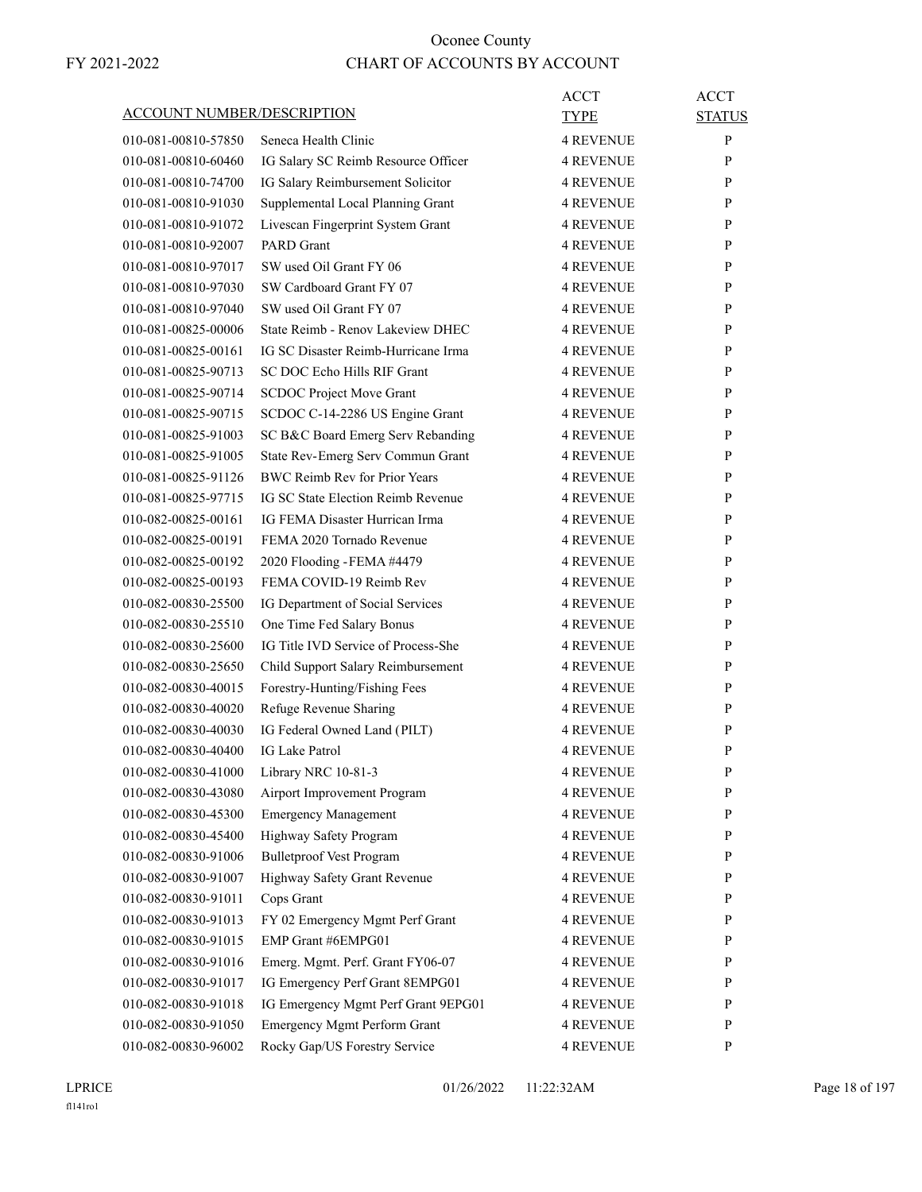| ACCOUNT NUMBER/DESCRIPTION |                                                       | ACCT<br>TYPE     | <b>ACCT</b><br><b>STATUS</b> |
|----------------------------|-------------------------------------------------------|------------------|------------------------------|
| 010-081-00810-57850        | Seneca Health Clinic                                  | <b>4 REVENUE</b> | P                            |
| 010-081-00810-60460        | IG Salary SC Reimb Resource Officer                   | <b>4 REVENUE</b> | P                            |
| 010-081-00810-74700        | IG Salary Reimbursement Solicitor                     | 4 REVENUE        | P                            |
| 010-081-00810-91030        | Supplemental Local Planning Grant                     | <b>4 REVENUE</b> | P                            |
| 010-081-00810-91072        | Livescan Fingerprint System Grant                     | 4 REVENUE        | P                            |
| 010-081-00810-92007        | <b>PARD</b> Grant                                     | <b>4 REVENUE</b> | P                            |
| 010-081-00810-97017        | SW used Oil Grant FY 06                               | <b>4 REVENUE</b> | P                            |
| 010-081-00810-97030        | SW Cardboard Grant FY 07                              | <b>4 REVENUE</b> | P                            |
| 010-081-00810-97040        | SW used Oil Grant FY 07                               | 4 REVENUE        | P                            |
| 010-081-00825-00006        | State Reimb - Renov Lakeview DHEC                     | <b>4 REVENUE</b> | P                            |
| 010-081-00825-00161        | IG SC Disaster Reimb-Hurricane Irma                   | 4 REVENUE        | P                            |
| 010-081-00825-90713        | SC DOC Echo Hills RIF Grant                           | <b>4 REVENUE</b> | P                            |
| 010-081-00825-90714        | <b>SCDOC Project Move Grant</b>                       | <b>4 REVENUE</b> | P                            |
| 010-081-00825-90715        | SCDOC C-14-2286 US Engine Grant                       | 4 REVENUE        | P                            |
| 010-081-00825-91003        | SC B&C Board Emerg Serv Rebanding                     | <b>4 REVENUE</b> | P                            |
| 010-081-00825-91005        | State Rev-Emerg Serv Commun Grant                     | <b>4 REVENUE</b> | P                            |
| 010-081-00825-91126        | <b>BWC Reimb Rev for Prior Years</b>                  | 4 REVENUE        | P                            |
| 010-081-00825-97715        | IG SC State Election Reimb Revenue                    | <b>4 REVENUE</b> | P                            |
| 010-082-00825-00161        | IG FEMA Disaster Hurrican Irma                        | <b>4 REVENUE</b> | P                            |
| 010-082-00825-00191        | FEMA 2020 Tornado Revenue                             | 4 REVENUE        | P                            |
| 010-082-00825-00192        |                                                       | 4 REVENUE        | P                            |
|                            | 2020 Flooding - FEMA #4479<br>FEMA COVID-19 Reimb Rev | <b>4 REVENUE</b> | P                            |
| 010-082-00825-00193        |                                                       |                  |                              |
| 010-082-00830-25500        | IG Department of Social Services                      | 4 REVENUE        | P                            |
| 010-082-00830-25510        | One Time Fed Salary Bonus                             | <b>4 REVENUE</b> | P                            |
| 010-082-00830-25600        | IG Title IVD Service of Process-She                   | <b>4 REVENUE</b> | P                            |
| 010-082-00830-25650        | Child Support Salary Reimbursement                    | <b>4 REVENUE</b> | P                            |
| 010-082-00830-40015        | Forestry-Hunting/Fishing Fees                         | <b>4 REVENUE</b> | P                            |
| 010-082-00830-40020        | Refuge Revenue Sharing                                | <b>4 REVENUE</b> | P                            |
| 010-082-00830-40030        | IG Federal Owned Land (PILT)                          | <b>4 REVENUE</b> | P                            |
| 010-082-00830-40400        | <b>IG Lake Patrol</b>                                 | <b>4 REVENUE</b> | P                            |
| 010-082-00830-41000        | Library NRC 10-81-3                                   | <b>4 REVENUE</b> | P                            |
| 010-082-00830-43080        | Airport Improvement Program                           | <b>4 REVENUE</b> | P                            |
| 010-082-00830-45300        | <b>Emergency Management</b>                           | 4 REVENUE        | P                            |
| 010-082-00830-45400        | Highway Safety Program                                | <b>4 REVENUE</b> | P                            |
| 010-082-00830-91006        | <b>Bulletproof Vest Program</b>                       | <b>4 REVENUE</b> | P                            |
| 010-082-00830-91007        | Highway Safety Grant Revenue                          | <b>4 REVENUE</b> | P                            |
| 010-082-00830-91011        | Cops Grant                                            | <b>4 REVENUE</b> | P                            |
| 010-082-00830-91013        | FY 02 Emergency Mgmt Perf Grant                       | <b>4 REVENUE</b> | P                            |
| 010-082-00830-91015        | EMP Grant #6EMPG01                                    | 4 REVENUE        | $\mathbf{P}$                 |
| 010-082-00830-91016        | Emerg. Mgmt. Perf. Grant FY06-07                      | <b>4 REVENUE</b> | P                            |
| 010-082-00830-91017        | IG Emergency Perf Grant 8EMPG01                       | <b>4 REVENUE</b> | P                            |
| 010-082-00830-91018        | IG Emergency Mgmt Perf Grant 9EPG01                   | <b>4 REVENUE</b> | P                            |
| 010-082-00830-91050        | <b>Emergency Mgmt Perform Grant</b>                   | <b>4 REVENUE</b> | P                            |
| 010-082-00830-96002        | Rocky Gap/US Forestry Service                         | <b>4 REVENUE</b> | P                            |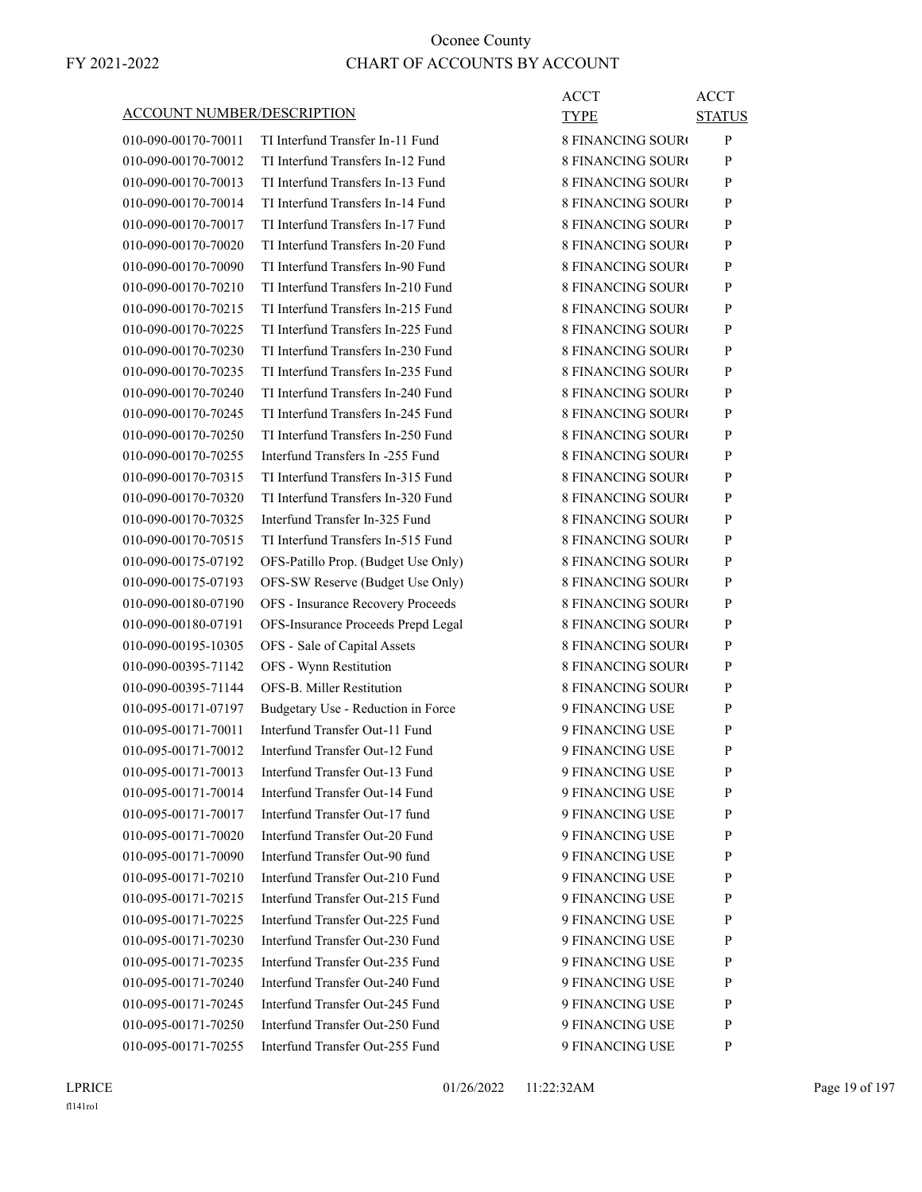#### ACCOUNT NUMBER/DESCRIPTION

| 010-090-00170-70011 |
|---------------------|
| 010-090-00170-70012 |
| 010-090-00170-70013 |
| 010-090-00170-70014 |
| 010-090-00170-70017 |
| 010-090-00170-70020 |
| 010-090-00170-70090 |
| 010-090-00170-70210 |
| 010-090-00170-70215 |
| 010-090-00170-70225 |
| 010-090-00170-70230 |
| 010-090-00170-70235 |
| 010-090-00170-70240 |
| 010-090-00170-70245 |
| 010-090-00170-70250 |
| 010-090-00170-70255 |
| 010-090-00170-70315 |
| 010-090-00170-70320 |
| 010-090-00170-70325 |
| 010-090-00170-70515 |
| 010-090-00175-07192 |
| 010-090-00175-07193 |
| 010-090-00180-07190 |
| 010-090-00180-07191 |
| 010-090-00195-10305 |
| 010-090-00395-71142 |
| 010-090-00395-71144 |
| 010-095-00171-07197 |
| 010-095-00171-70011 |
| 010-095-00171-70012 |
| 010-095-00171-70013 |
| 010-095-00171-70014 |
| 010-095-00171-70017 |
| 010-095-00171-70020 |
| 010-095-00171-70090 |
| 010-095-00171-70210 |
| 010-095-00171-70215 |
| 010-095-00171-70225 |
| 010-095-00171-70230 |
| 010-095-00171-70235 |
| 010-095-00171-70240 |
| 010-095-00171-70245 |
| 010-095-00171-70250 |
| 010 005 00171 70255 |

TI Interfund Transfer In-11 Fund TI Interfund Transfers In-12 Fund TI Interfund Transfers In-13 Fund TI Interfund Transfers In-14 Fund TI Interfund Transfers In-17 Fund TI Interfund Transfers In-20 Fund TI Interfund Transfers In-90 Fund TI Interfund Transfers In-210 Fund TI Interfund Transfers In-215 Fund TI Interfund Transfers In-225 Fund TI Interfund Transfers In-230 Fund TI Interfund Transfers In-235 Fund TI Interfund Transfers In-240 Fund TI Interfund Transfers In-245 Fund TI Interfund Transfers In-250 Fund Interfund Transfers In -255 Fund TI Interfund Transfers In-315 Fund TI Interfund Transfers In-320 Fund Interfund Transfer In-325 Fund TI Interfund Transfers In-515 Fund OFS-Patillo Prop. (Budget Use Only) OFS-SW Reserve (Budget Use Only) OFS - Insurance Recovery Proceeds OFS-Insurance Proceeds Prepd Legal OFS - Sale of Capital Assets OFS - Wynn Restitution OFS-B. Miller Restitution Budgetary Use - Reduction in Force Interfund Transfer Out-11 Fund Interfund Transfer Out-12 Fund Interfund Transfer Out-13 Fund Interfund Transfer Out-14 Fund Interfund Transfer Out-17 fund Interfund Transfer Out-20 Fund Interfund Transfer Out-90 fund Interfund Transfer Out-210 Fund Interfund Transfer Out-215 Fund Interfund Transfer Out-225 Fund Interfund Transfer Out-230 Fund Interfund Transfer Out-235 Fund Interfund Transfer Out-240 Fund Interfund Transfer Out-245 Fund Interfund Transfer Out-250 Fund 010-095-00171-70255 Interfund Transfer Out-255 Fund

| <b>ACCT</b>              | <b>ACCT</b> |
|--------------------------|-------------|
| TYPE                     | STATUS      |
| 8 FINANCING SOURO        | P           |
| 8 FINANCING SOURO        | P           |
| 8 FINANCING SOUR¢        | P           |
| 8 FINANCING SOUR¢        | P           |
| 8 FINANCING SOURO        | P           |
| 8 FINANCING SOUR¢        | P           |
| <b>8 FINANCING SOURO</b> | P           |
| 8 FINANCING SOUR¢        | P           |
| 8 FINANCING SOUR¢        | P           |
| 8 FINANCING SOUR¢        | P           |
| 8 FINANCING SOURO        | P           |
| 8 FINANCING SOUR¢        | P           |
| <b>8 FINANCING SOURO</b> | P           |
| 8 FINANCING SOUR¢        | P           |
| 8 FINANCING SOUR¢        | P           |
| 8 FINANCING SOUR¢        | P           |
| 8 FINANCING SOURO        | P           |
| 8 FINANCING SOUR¢        | P           |
| 8 FINANCING SOUR¢        | P           |
| 8 FINANCING SOUR¢        | P           |
| 8 FINANCING SOUR¢        | P           |
| 8 FINANCING SOUR¢        | P           |
| 8 FINANCING SOUR¢        | P           |
| 8 FINANCING SOUR¢        | P           |
| 8 FINANCING SOUR¢        | P           |
| 8 FINANCING SOUR¢        | P           |
| 8 FINANCING SOUR¢        | P           |
| 9 FINANCING USE          | P           |
| 9 FINANCING USE          | P           |
| 9 FINANCING USE          | P           |
| 9 FINANCING USE          | P           |
| 9 FINANCING USE          | P           |
| 9 FINANCING USE          | P           |
| 9 FINANCING USE          | P           |
| 9 FINANCING USE          | P           |
| 9 FINANCING USE          | P           |
| 9 FINANCING USE          | P           |
| <b>9 FINANCING USE</b>   | P           |
| 9 FINANCING USE          | P           |
| 9 FINANCING USE          | P           |
| 9 FINANCING USE          | P           |
| 9 FINANCING USE          | P           |
| 9 FINANCING USE          | P           |
| <b>Q EIN A NCING HSE</b> | P           |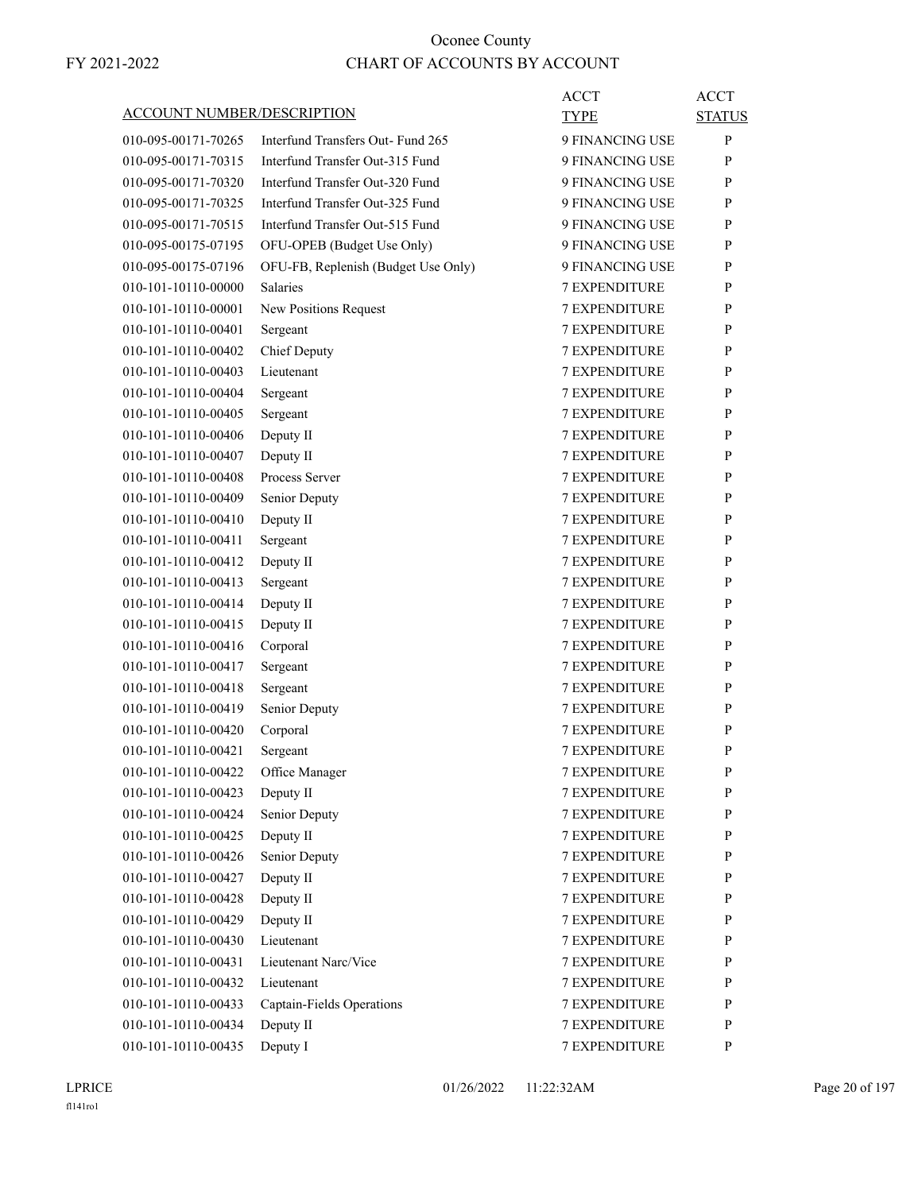|                                   |                                     | <b>ACCT</b>          | ACCT          |
|-----------------------------------|-------------------------------------|----------------------|---------------|
| <b>ACCOUNT NUMBER/DESCRIPTION</b> |                                     | <b>TYPE</b>          | <b>STATUS</b> |
| 010-095-00171-70265               | Interfund Transfers Out- Fund 265   | 9 FINANCING USE      | P             |
| 010-095-00171-70315               | Interfund Transfer Out-315 Fund     | 9 FINANCING USE      | P             |
| 010-095-00171-70320               | Interfund Transfer Out-320 Fund     | 9 FINANCING USE      | P             |
| 010-095-00171-70325               | Interfund Transfer Out-325 Fund     | 9 FINANCING USE      | P             |
| 010-095-00171-70515               | Interfund Transfer Out-515 Fund     | 9 FINANCING USE      | P             |
| 010-095-00175-07195               | OFU-OPEB (Budget Use Only)          | 9 FINANCING USE      | P             |
| 010-095-00175-07196               | OFU-FB, Replenish (Budget Use Only) | 9 FINANCING USE      | P             |
| 010-101-10110-00000               | <b>Salaries</b>                     | <b>7 EXPENDITURE</b> | P             |
| 010-101-10110-00001               | New Positions Request               | <b>7 EXPENDITURE</b> | P             |
| 010-101-10110-00401               | Sergeant                            | 7 EXPENDITURE        | P             |
| 010-101-10110-00402               | Chief Deputy                        | <b>7 EXPENDITURE</b> | P             |
| 010-101-10110-00403               | Lieutenant                          | <b>7 EXPENDITURE</b> | P             |
| 010-101-10110-00404               | Sergeant                            | 7 EXPENDITURE        | P             |
| 010-101-10110-00405               | Sergeant                            | <b>7 EXPENDITURE</b> | P             |
| 010-101-10110-00406               | Deputy II                           | <b>7 EXPENDITURE</b> | P             |
| 010-101-10110-00407               | Deputy II                           | 7 EXPENDITURE        | P             |
| 010-101-10110-00408               | Process Server                      | <b>7 EXPENDITURE</b> | P             |
| 010-101-10110-00409               | Senior Deputy                       | <b>7 EXPENDITURE</b> | P             |
| 010-101-10110-00410               | Deputy II                           | 7 EXPENDITURE        | P             |
| 010-101-10110-00411               | Sergeant                            | <b>7 EXPENDITURE</b> | P             |
| 010-101-10110-00412               | Deputy II                           | <b>7 EXPENDITURE</b> | P             |
| 010-101-10110-00413               | Sergeant                            | 7 EXPENDITURE        | P             |
| 010-101-10110-00414               | Deputy II                           | <b>7 EXPENDITURE</b> | P             |
| 010-101-10110-00415               | Deputy II                           | <b>7 EXPENDITURE</b> | P             |
| 010-101-10110-00416               | Corporal                            | 7 EXPENDITURE        | P             |
| 010-101-10110-00417               | Sergeant                            | <b>7 EXPENDITURE</b> | P             |
| 010-101-10110-00418               | Sergeant                            | <b>7 EXPENDITURE</b> | P             |
| 010-101-10110-00419               | Senior Deputy                       | 7 EXPENDITURE        | P             |
| 010-101-10110-00420               | Corporal                            | <b>7 EXPENDITURE</b> | P             |
| 010-101-10110-00421               | Sergeant                            | <b>7 EXPENDITURE</b> | P             |
| 010-101-10110-00422               | Office Manager                      | 7 EXPENDITURE        | $\, {\bf p}$  |
| 010-101-10110-00423               | Deputy II                           | <b>7 EXPENDITURE</b> | P             |
| 010-101-10110-00424               | Senior Deputy                       | <b>7 EXPENDITURE</b> | P             |
| 010-101-10110-00425               | Deputy II                           | <b>7 EXPENDITURE</b> | P             |
| 010-101-10110-00426               | Senior Deputy                       | <b>7 EXPENDITURE</b> | $\mathbf{P}$  |
| 010-101-10110-00427               | Deputy II                           | 7 EXPENDITURE        | P             |
| 010-101-10110-00428               | Deputy II                           | 7 EXPENDITURE        | $\mathbf{P}$  |
| 010-101-10110-00429               | Deputy II                           | 7 EXPENDITURE        | P             |
| 010-101-10110-00430               | Lieutenant                          | <b>7 EXPENDITURE</b> | P             |
| 010-101-10110-00431               | Lieutenant Narc/Vice                | 7 EXPENDITURE        | P             |
| 010-101-10110-00432               | Lieutenant                          | <b>7 EXPENDITURE</b> | $\mathbf{P}$  |
| 010-101-10110-00433               | Captain-Fields Operations           | 7 EXPENDITURE        | P             |
| 010-101-10110-00434               | Deputy II                           | 7 EXPENDITURE        | $\mathbf{P}$  |
| 010-101-10110-00435               | Deputy I                            | 7 EXPENDITURE        | P             |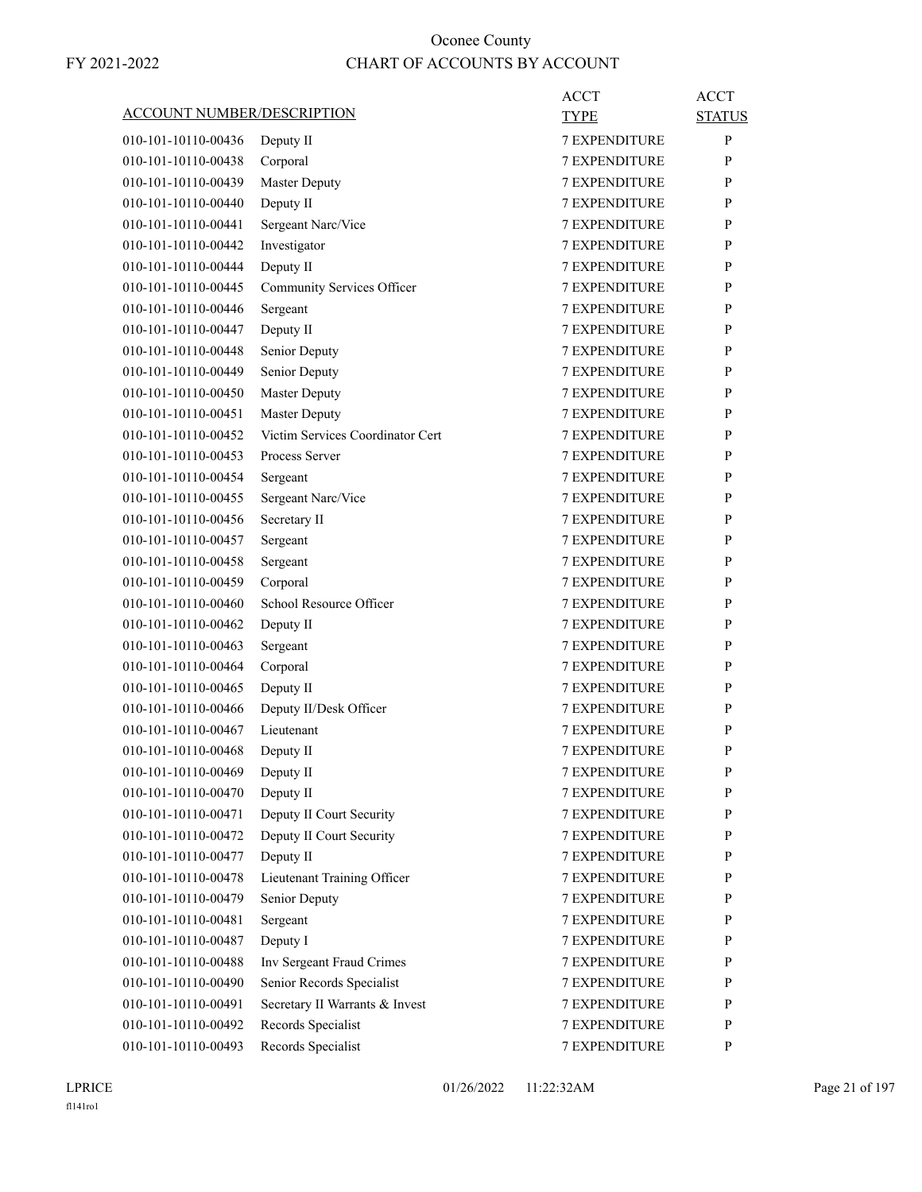|                                   |                                  | <b>ACCT</b>          | <b>ACCT</b>   |
|-----------------------------------|----------------------------------|----------------------|---------------|
| <b>ACCOUNT NUMBER/DESCRIPTION</b> |                                  | <b>TYPE</b>          | <b>STATUS</b> |
| 010-101-10110-00436               | Deputy II                        | <b>7 EXPENDITURE</b> | P             |
| 010-101-10110-00438               | Corporal                         | <b>7 EXPENDITURE</b> | P             |
| 010-101-10110-00439               | <b>Master Deputy</b>             | <b>7 EXPENDITURE</b> | P             |
| 010-101-10110-00440               | Deputy II                        | 7 EXPENDITURE        | P             |
| 010-101-10110-00441               | Sergeant Narc/Vice               | <b>7 EXPENDITURE</b> | P             |
| 010-101-10110-00442               | Investigator                     | <b>7 EXPENDITURE</b> | P             |
| 010-101-10110-00444               | Deputy II                        | <b>7 EXPENDITURE</b> | P             |
| 010-101-10110-00445               | Community Services Officer       | <b>7 EXPENDITURE</b> | P             |
| 010-101-10110-00446               | Sergeant                         | <b>7 EXPENDITURE</b> | P             |
| 010-101-10110-00447               | Deputy II                        | 7 EXPENDITURE        | P             |
| 010-101-10110-00448               | Senior Deputy                    | <b>7 EXPENDITURE</b> | P             |
| 010-101-10110-00449               | Senior Deputy                    | <b>7 EXPENDITURE</b> | P             |
| 010-101-10110-00450               | <b>Master Deputy</b>             | <b>7 EXPENDITURE</b> | P             |
| 010-101-10110-00451               | <b>Master Deputy</b>             | <b>7 EXPENDITURE</b> | P             |
| 010-101-10110-00452               | Victim Services Coordinator Cert | <b>7 EXPENDITURE</b> | P             |
| 010-101-10110-00453               | Process Server                   | 7 EXPENDITURE        | P             |
| 010-101-10110-00454               | Sergeant                         | <b>7 EXPENDITURE</b> | P             |
| 010-101-10110-00455               | Sergeant Narc/Vice               | <b>7 EXPENDITURE</b> | P             |
| 010-101-10110-00456               | Secretary II                     | <b>7 EXPENDITURE</b> | P             |
| 010-101-10110-00457               | Sergeant                         | <b>7 EXPENDITURE</b> | P             |
| 010-101-10110-00458               | Sergeant                         | <b>7 EXPENDITURE</b> | P             |
| 010-101-10110-00459               | Corporal                         | 7 EXPENDITURE        | P             |
| 010-101-10110-00460               | School Resource Officer          | <b>7 EXPENDITURE</b> | P             |
| 010-101-10110-00462               | Deputy II                        | <b>7 EXPENDITURE</b> | P             |
| 010-101-10110-00463               | Sergeant                         | <b>7 EXPENDITURE</b> | P             |
| 010-101-10110-00464               | Corporal                         | <b>7 EXPENDITURE</b> | P             |
| 010-101-10110-00465               | Deputy II                        | <b>7 EXPENDITURE</b> | P             |
| 010-101-10110-00466               | Deputy II/Desk Officer           | 7 EXPENDITURE        | P             |
| 010-101-10110-00467               | Lieutenant                       | <b>7 EXPENDITURE</b> | P             |
| 010-101-10110-00468               | Deputy II                        | <b>7 EXPENDITURE</b> | P             |
| 010-101-10110-00469               | Deputy II                        | 7 EXPENDITURE        | ${\bf P}$     |
| 010-101-10110-00470               | Deputy II                        | <b>7 EXPENDITURE</b> | P             |
| 010-101-10110-00471               | Deputy II Court Security         | <b>7 EXPENDITURE</b> | P             |
| 010-101-10110-00472               | Deputy II Court Security         | <b>7 EXPENDITURE</b> | P             |
| 010-101-10110-00477               | Deputy II                        | 7 EXPENDITURE        | P             |
| 010-101-10110-00478               | Lieutenant Training Officer      | 7 EXPENDITURE        | P             |
| 010-101-10110-00479               | Senior Deputy                    | 7 EXPENDITURE        | P             |
| 010-101-10110-00481               | Sergeant                         | <b>7 EXPENDITURE</b> | P             |
| 010-101-10110-00487               | Deputy I                         | <b>7 EXPENDITURE</b> | P             |
| 010-101-10110-00488               | Inv Sergeant Fraud Crimes        | <b>7 EXPENDITURE</b> | P             |
| 010-101-10110-00490               | Senior Records Specialist        | 7 EXPENDITURE        | P             |
| 010-101-10110-00491               | Secretary II Warrants & Invest   | 7 EXPENDITURE        | P             |
| 010-101-10110-00492               | Records Specialist               | 7 EXPENDITURE        | P             |
| 010-101-10110-00493               | Records Specialist               | 7 EXPENDITURE        | P             |
|                                   |                                  |                      |               |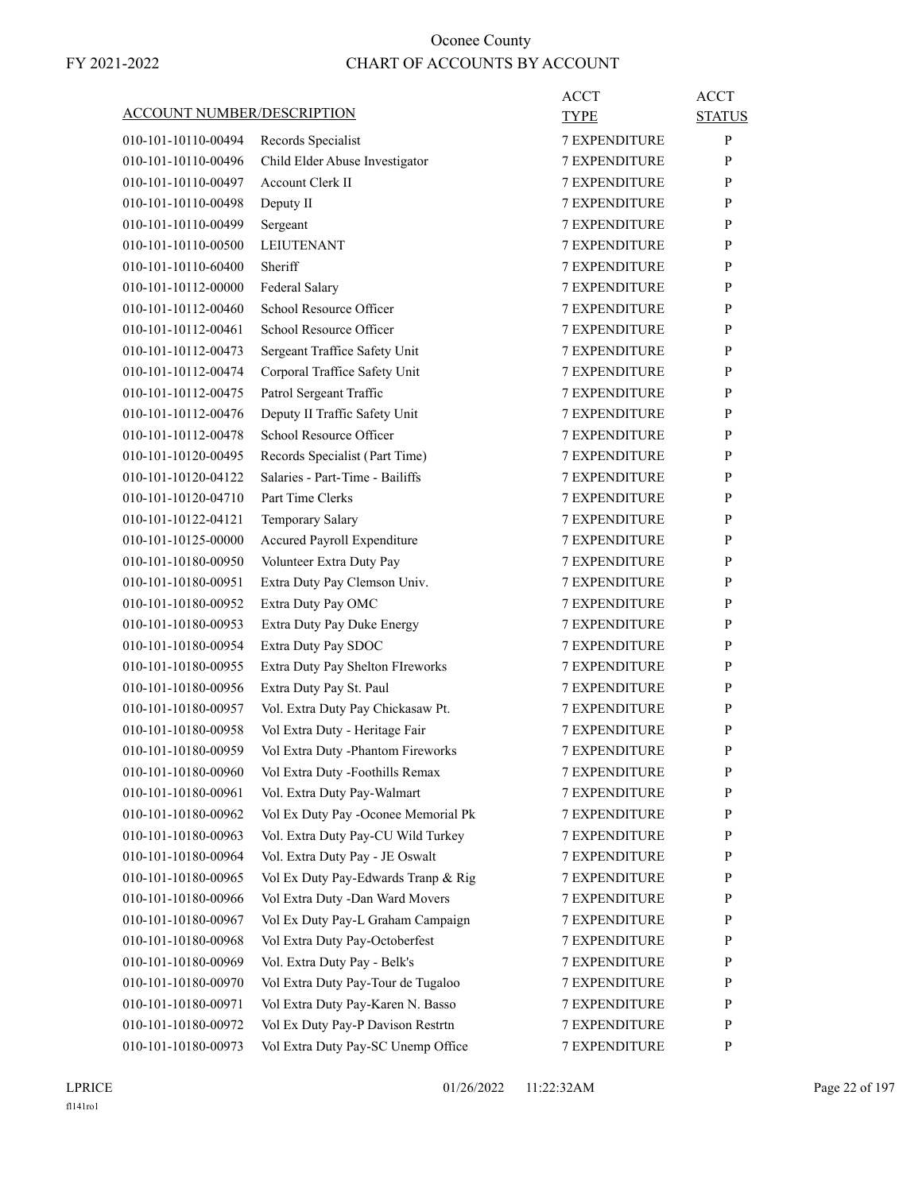| <b>ACCOUNT NUMBER/DESCRIPTION</b> |                                                                           | ACCT<br>TYPE         | <b>ACCT</b><br><b>STATUS</b> |
|-----------------------------------|---------------------------------------------------------------------------|----------------------|------------------------------|
| 010-101-10110-00494               | Records Specialist                                                        | <b>7 EXPENDITURE</b> | P                            |
| 010-101-10110-00496               | Child Elder Abuse Investigator                                            | <b>7 EXPENDITURE</b> | P                            |
| 010-101-10110-00497               | <b>Account Clerk II</b>                                                   | <b>7 EXPENDITURE</b> | P                            |
| 010-101-10110-00498               | Deputy II                                                                 | <b>7 EXPENDITURE</b> | P                            |
| 010-101-10110-00499               | Sergeant                                                                  | <b>7 EXPENDITURE</b> | P                            |
| 010-101-10110-00500               | <b>LEIUTENANT</b>                                                         | <b>7 EXPENDITURE</b> | P                            |
| 010-101-10110-60400               | Sheriff                                                                   | <b>7 EXPENDITURE</b> | P                            |
| 010-101-10112-00000               | Federal Salary                                                            | 7 EXPENDITURE        | P                            |
| 010-101-10112-00460               | School Resource Officer                                                   | <b>7 EXPENDITURE</b> | P                            |
| 010-101-10112-00461               | School Resource Officer                                                   | <b>7 EXPENDITURE</b> | P                            |
| 010-101-10112-00473               | Sergeant Traffice Safety Unit                                             | <b>7 EXPENDITURE</b> | P                            |
| 010-101-10112-00474               | Corporal Traffice Safety Unit                                             | <b>7 EXPENDITURE</b> | P                            |
| 010-101-10112-00475               | Patrol Sergeant Traffic                                                   | <b>7 EXPENDITURE</b> | P                            |
| 010-101-10112-00476               | Deputy II Traffic Safety Unit                                             | 7 EXPENDITURE        | P                            |
| 010-101-10112-00478               | School Resource Officer                                                   | <b>7 EXPENDITURE</b> | P                            |
| 010-101-10120-00495               | Records Specialist (Part Time)                                            | <b>7 EXPENDITURE</b> | P                            |
| 010-101-10120-04122               | Salaries - Part-Time - Bailiffs                                           | <b>7 EXPENDITURE</b> | P                            |
| 010-101-10120-04710               | Part Time Clerks                                                          | <b>7 EXPENDITURE</b> | P                            |
| 010-101-10122-04121               | Temporary Salary                                                          | <b>7 EXPENDITURE</b> | P                            |
| 010-101-10125-00000               | Accured Payroll Expenditure                                               | 7 EXPENDITURE        | P                            |
| 010-101-10180-00950               | Volunteer Extra Duty Pay                                                  | <b>7 EXPENDITURE</b> | P                            |
| 010-101-10180-00951               | Extra Duty Pay Clemson Univ.                                              | <b>7 EXPENDITURE</b> | P                            |
| 010-101-10180-00952               | Extra Duty Pay OMC                                                        | <b>7 EXPENDITURE</b> | P                            |
| 010-101-10180-00953               | Extra Duty Pay Duke Energy                                                | <b>7 EXPENDITURE</b> | P                            |
| 010-101-10180-00954               | Extra Duty Pay SDOC                                                       | <b>7 EXPENDITURE</b> | P                            |
| 010-101-10180-00955               | Extra Duty Pay Shelton FIreworks                                          | 7 EXPENDITURE        | P                            |
| 010-101-10180-00956               | Extra Duty Pay St. Paul                                                   | <b>7 EXPENDITURE</b> | P                            |
| 010-101-10180-00957               | Vol. Extra Duty Pay Chickasaw Pt.                                         | <b>7 EXPENDITURE</b> | P                            |
| 010-101-10180-00958               | Vol Extra Duty - Heritage Fair                                            | <b>7 EXPENDITURE</b> |                              |
|                                   |                                                                           | <b>7 EXPENDITURE</b> | P<br>P                       |
| 010-101-10180-00959               | Vol Extra Duty -Phantom Fireworks                                         |                      | P                            |
| 010-101-10180-00960               | Vol Extra Duty -Foothills Remax                                           | <b>7 EXPENDITURE</b> |                              |
| 010-101-10180-00961               | Vol. Extra Duty Pay-Walmart                                               | 7 EXPENDITURE        | P                            |
| 010-101-10180-00962               | Vol Ex Duty Pay -Oconee Memorial Pk<br>Vol. Extra Duty Pay-CU Wild Turkey | <b>7 EXPENDITURE</b> | P<br>P                       |
| 010-101-10180-00963               |                                                                           | 7 EXPENDITURE        |                              |
| 010-101-10180-00964               | Vol. Extra Duty Pay - JE Oswalt                                           | 7 EXPENDITURE        | P                            |
| 010-101-10180-00965               | Vol Ex Duty Pay-Edwards Tranp & Rig                                       | 7 EXPENDITURE        | P                            |
| 010-101-10180-00966               | Vol Extra Duty - Dan Ward Movers                                          | <b>7 EXPENDITURE</b> | P                            |
| 010-101-10180-00967               | Vol Ex Duty Pay-L Graham Campaign                                         | 7 EXPENDITURE        | P                            |
| 010-101-10180-00968               | Vol Extra Duty Pay-Octoberfest                                            | <b>7 EXPENDITURE</b> | P                            |
| 010-101-10180-00969               | Vol. Extra Duty Pay - Belk's                                              | 7 EXPENDITURE        | P                            |
| 010-101-10180-00970               | Vol Extra Duty Pay-Tour de Tugaloo                                        | 7 EXPENDITURE        | P                            |
| 010-101-10180-00971               | Vol Extra Duty Pay-Karen N. Basso                                         | 7 EXPENDITURE        | P                            |
| 010-101-10180-00972               | Vol Ex Duty Pay-P Davison Restrtn                                         | <b>7 EXPENDITURE</b> | P                            |
| 010-101-10180-00973               | Vol Extra Duty Pay-SC Unemp Office                                        | 7 EXPENDITURE        | P                            |

LPRICE 01/26/2022 11:22:32AM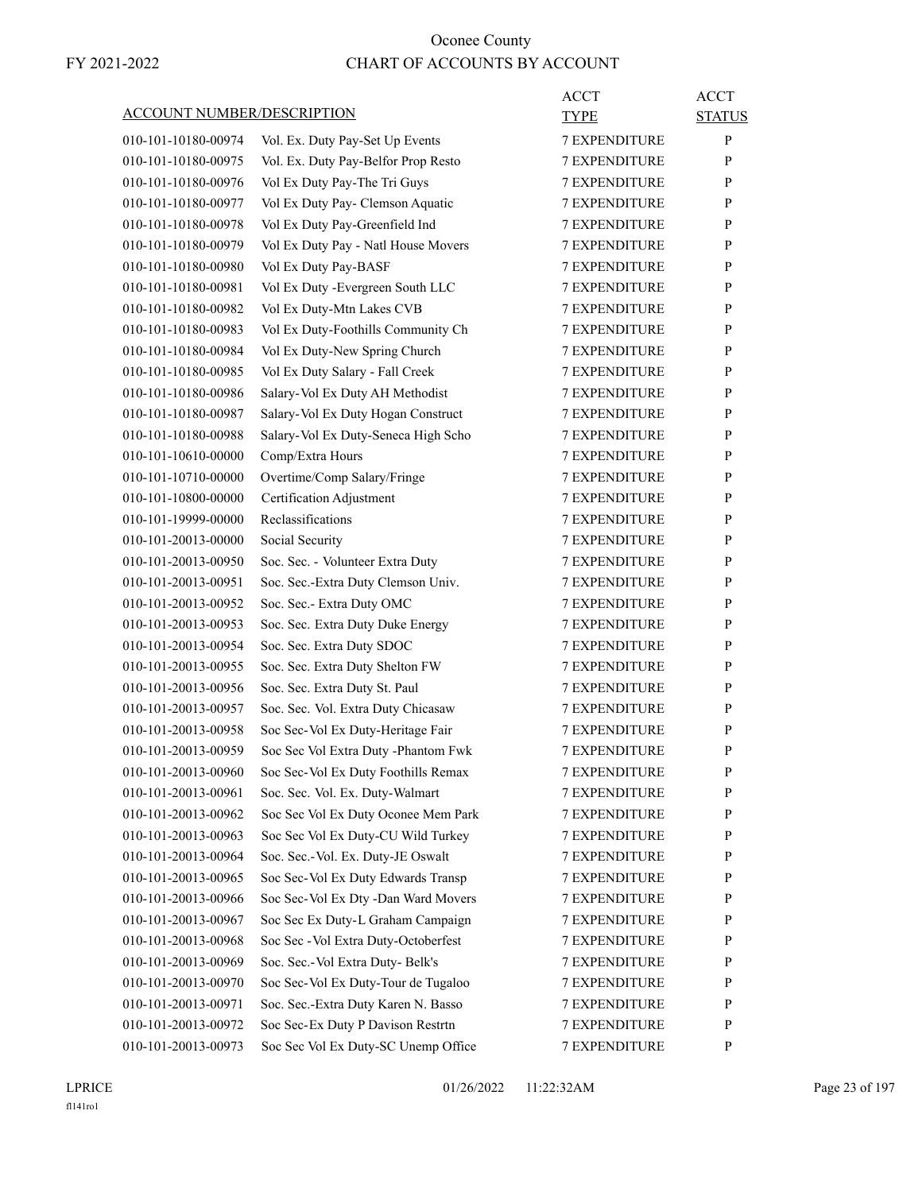| ACCOUNT NUMBER/DESCRIPTION |                                      | ACCT<br><b>TYPE</b>  | <b>ACCT</b><br><b>STATUS</b> |
|----------------------------|--------------------------------------|----------------------|------------------------------|
| 010-101-10180-00974        | Vol. Ex. Duty Pay-Set Up Events      | <b>7 EXPENDITURE</b> | $\mathbf{P}$                 |
| 010-101-10180-00975        | Vol. Ex. Duty Pay-Belfor Prop Resto  | <b>7 EXPENDITURE</b> | P                            |
| 010-101-10180-00976        | Vol Ex Duty Pay-The Tri Guys         | <b>7 EXPENDITURE</b> | P                            |
| 010-101-10180-00977        | Vol Ex Duty Pay- Clemson Aquatic     | <b>7 EXPENDITURE</b> | P                            |
| 010-101-10180-00978        | Vol Ex Duty Pay-Greenfield Ind       | <b>7 EXPENDITURE</b> | P                            |
| 010-101-10180-00979        | Vol Ex Duty Pay - Natl House Movers  | <b>7 EXPENDITURE</b> | P                            |
| 010-101-10180-00980        | Vol Ex Duty Pay-BASF                 | <b>7 EXPENDITURE</b> | P                            |
| 010-101-10180-00981        | Vol Ex Duty - Evergreen South LLC    | 7 EXPENDITURE        | P                            |
| 010-101-10180-00982        | Vol Ex Duty-Mtn Lakes CVB            | <b>7 EXPENDITURE</b> | P                            |
| 010-101-10180-00983        | Vol Ex Duty-Foothills Community Ch   | <b>7 EXPENDITURE</b> | P                            |
| 010-101-10180-00984        | Vol Ex Duty-New Spring Church        | <b>7 EXPENDITURE</b> | P                            |
| 010-101-10180-00985        | Vol Ex Duty Salary - Fall Creek      | <b>7 EXPENDITURE</b> | P                            |
| 010-101-10180-00986        | Salary-Vol Ex Duty AH Methodist      | <b>7 EXPENDITURE</b> | P                            |
| 010-101-10180-00987        | Salary-Vol Ex Duty Hogan Construct   | 7 EXPENDITURE        | P                            |
| 010-101-10180-00988        | Salary-Vol Ex Duty-Seneca High Scho  | <b>7 EXPENDITURE</b> | P                            |
| 010-101-10610-00000        | Comp/Extra Hours                     | <b>7 EXPENDITURE</b> | P                            |
| 010-101-10710-00000        | Overtime/Comp Salary/Fringe          | <b>7 EXPENDITURE</b> | P                            |
| 010-101-10800-00000        | Certification Adjustment             | <b>7 EXPENDITURE</b> | P                            |
| 010-101-19999-00000        | Reclassifications                    | <b>7 EXPENDITURE</b> | P                            |
| 010-101-20013-00000        | Social Security                      | 7 EXPENDITURE        | P                            |
| 010-101-20013-00950        | Soc. Sec. - Volunteer Extra Duty     | <b>7 EXPENDITURE</b> | P                            |
| 010-101-20013-00951        | Soc. Sec.-Extra Duty Clemson Univ.   | <b>7 EXPENDITURE</b> | P                            |
| 010-101-20013-00952        | Soc. Sec.- Extra Duty OMC            | <b>7 EXPENDITURE</b> | P                            |
| 010-101-20013-00953        | Soc. Sec. Extra Duty Duke Energy     | <b>7 EXPENDITURE</b> | P                            |
| 010-101-20013-00954        | Soc. Sec. Extra Duty SDOC            | <b>7 EXPENDITURE</b> | P                            |
| 010-101-20013-00955        | Soc. Sec. Extra Duty Shelton FW      | 7 EXPENDITURE        | P                            |
| 010-101-20013-00956        | Soc. Sec. Extra Duty St. Paul        | <b>7 EXPENDITURE</b> | P                            |
| 010-101-20013-00957        | Soc. Sec. Vol. Extra Duty Chicasaw   | <b>7 EXPENDITURE</b> | P                            |
| 010-101-20013-00958        | Soc Sec-Vol Ex Duty-Heritage Fair    | <b>7 EXPENDITURE</b> | P                            |
| 010-101-20013-00959        | Soc Sec Vol Extra Duty -Phantom Fwk  | <b>7 EXPENDITURE</b> | P                            |
| 010-101-20013-00960        | Soc Sec-Vol Ex Duty Foothills Remax  | <b>7 EXPENDITURE</b> | P                            |
| 010-101-20013-00961        | Soc. Sec. Vol. Ex. Duty-Walmart      | 7 EXPENDITURE        | P                            |
| 010-101-20013-00962        | Soc Sec Vol Ex Duty Oconee Mem Park  | <b>7 EXPENDITURE</b> | P                            |
| 010-101-20013-00963        | Soc Sec Vol Ex Duty-CU Wild Turkey   | <b>7 EXPENDITURE</b> | P                            |
| 010-101-20013-00964        | Soc. Sec.-Vol. Ex. Duty-JE Oswalt    | 7 EXPENDITURE        | P                            |
| 010-101-20013-00965        | Soc Sec-Vol Ex Duty Edwards Transp   | 7 EXPENDITURE        | $\mathbf{P}$                 |
| 010-101-20013-00966        | Soc Sec-Vol Ex Dty -Dan Ward Movers  | <b>7 EXPENDITURE</b> | P                            |
| 010-101-20013-00967        | Soc Sec Ex Duty-L Graham Campaign    | 7 EXPENDITURE        | P                            |
| 010-101-20013-00968        | Soc Sec - Vol Extra Duty-Octoberfest | <b>7 EXPENDITURE</b> | P                            |
|                            |                                      |                      |                              |
| 010-101-20013-00969        | Soc. Sec.-Vol Extra Duty- Belk's     | <b>7 EXPENDITURE</b> | P                            |
| 010-101-20013-00970        | Soc Sec-Vol Ex Duty-Tour de Tugaloo  | 7 EXPENDITURE        | P<br>$\mathbf{P}$            |
| 010-101-20013-00971        | Soc. Sec.-Extra Duty Karen N. Basso  | 7 EXPENDITURE        |                              |
| 010-101-20013-00972        | Soc Sec-Ex Duty P Davison Restrtn    | <b>7 EXPENDITURE</b> | P                            |
| 010-101-20013-00973        | Soc Sec Vol Ex Duty-SC Unemp Office  | 7 EXPENDITURE        | P                            |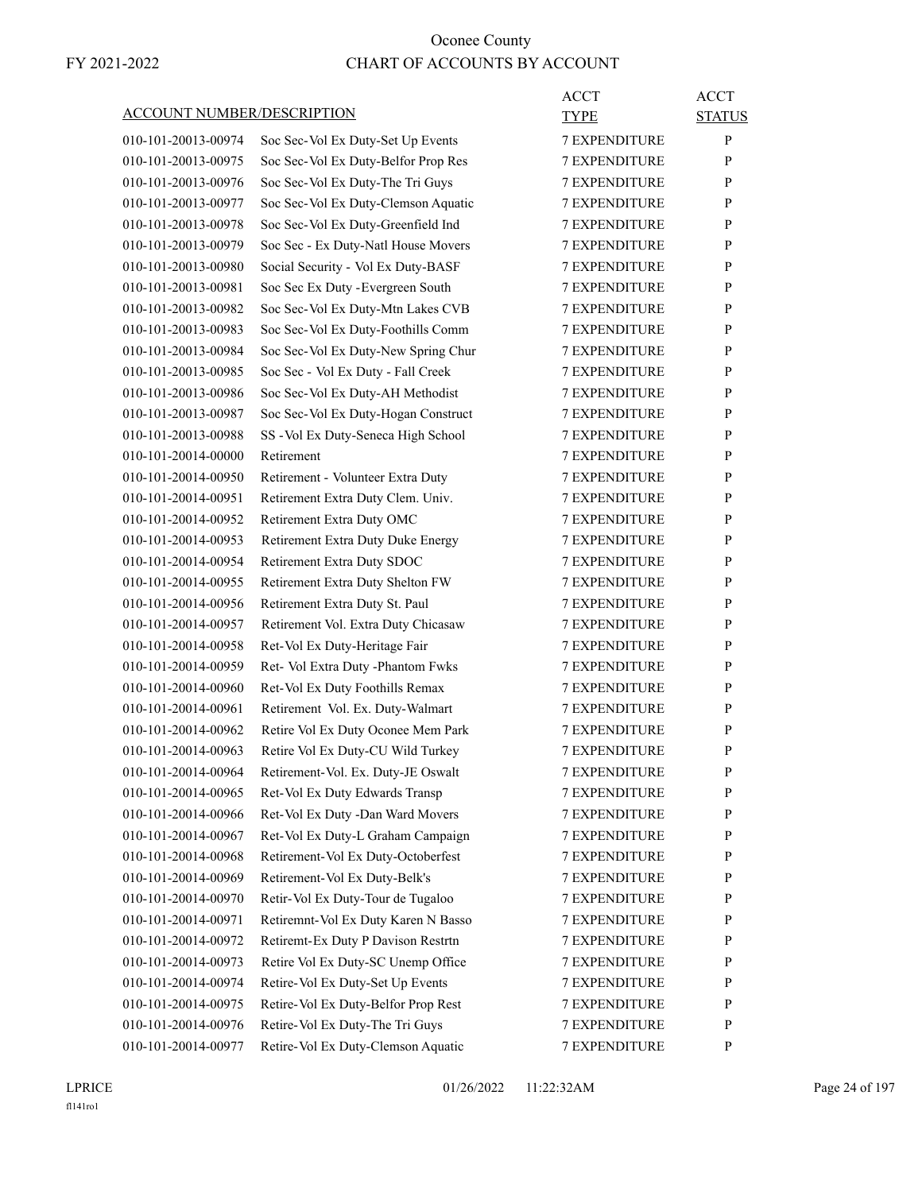| <b>ACCOUNT NUMBER/DESCRIPTION</b> |                                     | <b>ACCT</b><br><b>TYPE</b> | <b>ACCT</b><br><b>STATUS</b> |
|-----------------------------------|-------------------------------------|----------------------------|------------------------------|
| 010-101-20013-00974               | Soc Sec-Vol Ex Duty-Set Up Events   | <b>7 EXPENDITURE</b>       | P                            |
| 010-101-20013-00975               | Soc Sec-Vol Ex Duty-Belfor Prop Res | <b>7 EXPENDITURE</b>       | P                            |
| 010-101-20013-00976               | Soc Sec-Vol Ex Duty-The Tri Guys    | <b>7 EXPENDITURE</b>       | P                            |
| 010-101-20013-00977               | Soc Sec-Vol Ex Duty-Clemson Aquatic | <b>7 EXPENDITURE</b>       | P                            |
| 010-101-20013-00978               | Soc Sec-Vol Ex Duty-Greenfield Ind  | <b>7 EXPENDITURE</b>       | P                            |
| 010-101-20013-00979               | Soc Sec - Ex Duty-Natl House Movers | <b>7 EXPENDITURE</b>       | P                            |
| 010-101-20013-00980               | Social Security - Vol Ex Duty-BASF  | <b>7 EXPENDITURE</b>       | P                            |
| 010-101-20013-00981               | Soc Sec Ex Duty - Evergreen South   | <b>7 EXPENDITURE</b>       | P                            |
| 010-101-20013-00982               | Soc Sec-Vol Ex Duty-Mtn Lakes CVB   | <b>7 EXPENDITURE</b>       | P                            |
| 010-101-20013-00983               | Soc Sec-Vol Ex Duty-Foothills Comm  | <b>7 EXPENDITURE</b>       | P                            |
| 010-101-20013-00984               | Soc Sec-Vol Ex Duty-New Spring Chur | <b>7 EXPENDITURE</b>       | P                            |
| 010-101-20013-00985               | Soc Sec - Vol Ex Duty - Fall Creek  | <b>7 EXPENDITURE</b>       | P                            |
| 010-101-20013-00986               | Soc Sec-Vol Ex Duty-AH Methodist    | <b>7 EXPENDITURE</b>       | P                            |
| 010-101-20013-00987               | Soc Sec-Vol Ex Duty-Hogan Construct | <b>7 EXPENDITURE</b>       | P                            |
| 010-101-20013-00988               | SS - Vol Ex Duty-Seneca High School | <b>7 EXPENDITURE</b>       | P                            |
| 010-101-20014-00000               | Retirement                          | <b>7 EXPENDITURE</b>       | P                            |
| 010-101-20014-00950               | Retirement - Volunteer Extra Duty   | <b>7 EXPENDITURE</b>       | P                            |
| 010-101-20014-00951               | Retirement Extra Duty Clem. Univ.   | <b>7 EXPENDITURE</b>       | P                            |
| 010-101-20014-00952               | Retirement Extra Duty OMC           | <b>7 EXPENDITURE</b>       | P                            |
| 010-101-20014-00953               | Retirement Extra Duty Duke Energy   | 7 EXPENDITURE              | P                            |
| 010-101-20014-00954               | Retirement Extra Duty SDOC          | <b>7 EXPENDITURE</b>       | P                            |
| 010-101-20014-00955               | Retirement Extra Duty Shelton FW    | <b>7 EXPENDITURE</b>       | P                            |
| 010-101-20014-00956               | Retirement Extra Duty St. Paul      | <b>7 EXPENDITURE</b>       | P                            |
| 010-101-20014-00957               | Retirement Vol. Extra Duty Chicasaw | <b>7 EXPENDITURE</b>       | P                            |
| 010-101-20014-00958               | Ret-Vol Ex Duty-Heritage Fair       | <b>7 EXPENDITURE</b>       | P                            |
| 010-101-20014-00959               | Ret- Vol Extra Duty -Phantom Fwks   | 7 EXPENDITURE              | P                            |
| 010-101-20014-00960               | Ret-Vol Ex Duty Foothills Remax     | <b>7 EXPENDITURE</b>       | P                            |
| 010-101-20014-00961               | Retirement Vol. Ex. Duty-Walmart    | <b>7 EXPENDITURE</b>       | P                            |
| 010-101-20014-00962               | Retire Vol Ex Duty Oconee Mem Park  | <b>7 EXPENDITURE</b>       | P                            |
| 010-101-20014-00963               | Retire Vol Ex Duty-CU Wild Turkey   | <b>7 EXPENDITURE</b>       | P                            |
| 010-101-20014-00964               | Retirement-Vol. Ex. Duty-JE Oswalt  | 7 EXPENDITURE              | P                            |
| 010-101-20014-00965               | Ret-Vol Ex Duty Edwards Transp      | 7 EXPENDITURE              | P                            |
| 010-101-20014-00966               | Ret-Vol Ex Duty -Dan Ward Movers    | <b>7 EXPENDITURE</b>       | $\mathbf{P}$                 |
| 010-101-20014-00967               | Ret-Vol Ex Duty-L Graham Campaign   | <b>7 EXPENDITURE</b>       | P                            |
| 010-101-20014-00968               | Retirement-Vol Ex Duty-Octoberfest  | 7 EXPENDITURE              | P                            |
| 010-101-20014-00969               | Retirement-Vol Ex Duty-Belk's       | 7 EXPENDITURE              | $\mathbf{P}$                 |
| 010-101-20014-00970               | Retir-Vol Ex Duty-Tour de Tugaloo   | <b>7 EXPENDITURE</b>       | P                            |
|                                   |                                     |                            |                              |
| 010-101-20014-00971               | Retiremnt-Vol Ex Duty Karen N Basso | 7 EXPENDITURE              | P                            |
| 010-101-20014-00972               | Retiremt-Ex Duty P Davison Restrtn  | <b>7 EXPENDITURE</b>       | P                            |
| 010-101-20014-00973               | Retire Vol Ex Duty-SC Unemp Office  | <b>7 EXPENDITURE</b>       | P                            |
| 010-101-20014-00974               | Retire-Vol Ex Duty-Set Up Events    | 7 EXPENDITURE              | P                            |
| 010-101-20014-00975               | Retire-Vol Ex Duty-Belfor Prop Rest | 7 EXPENDITURE              | $\mathbf{P}$                 |
| 010-101-20014-00976               | Retire-Vol Ex Duty-The Tri Guys     | <b>7 EXPENDITURE</b>       | P                            |
| 010-101-20014-00977               | Retire-Vol Ex Duty-Clemson Aquatic  | 7 EXPENDITURE              | P                            |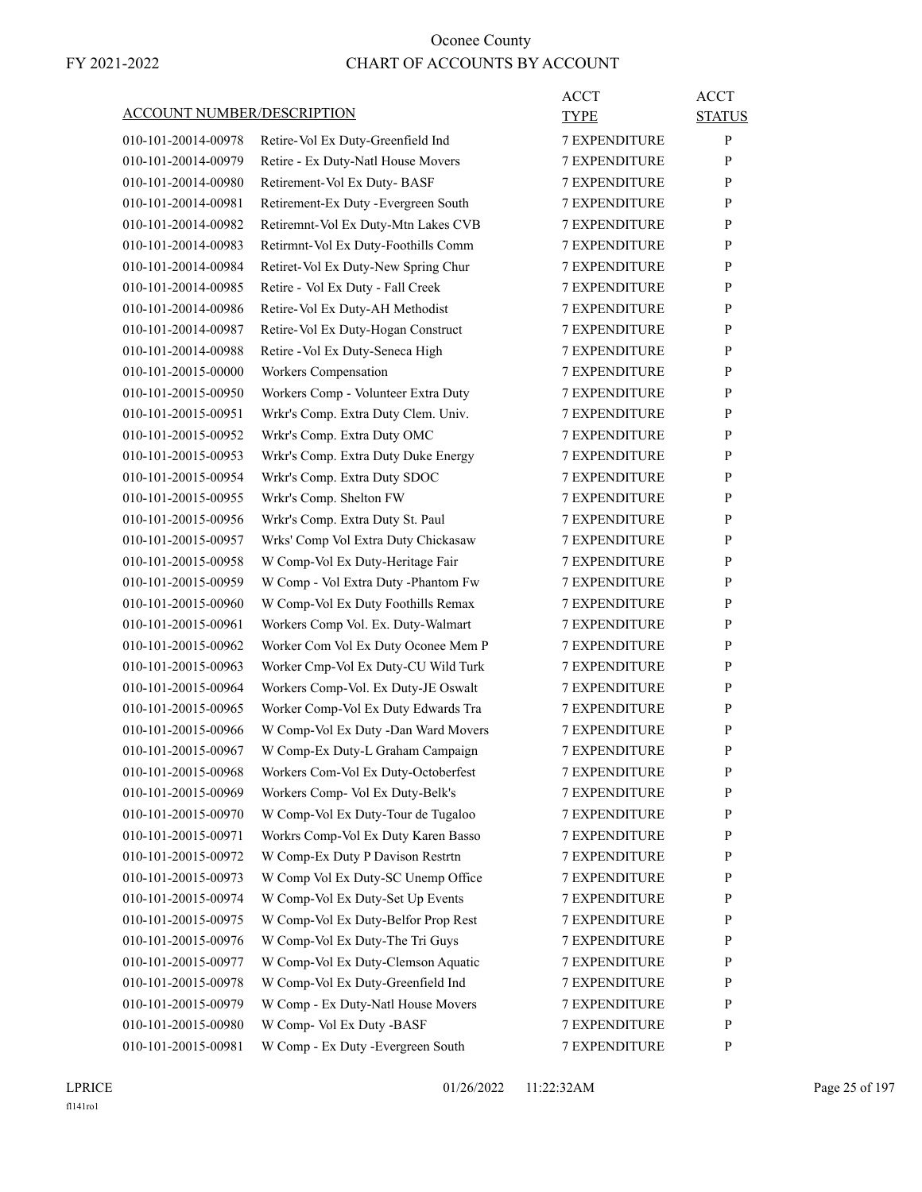| <b>ACCOUNT NUMBER/DESCRIPTION</b> |                                      | <b>ACCT</b><br><b>TYPE</b> | <b>ACCT</b><br><b>STATUS</b> |
|-----------------------------------|--------------------------------------|----------------------------|------------------------------|
| 010-101-20014-00978               | Retire-Vol Ex Duty-Greenfield Ind    | <b>7 EXPENDITURE</b>       | P                            |
| 010-101-20014-00979               | Retire - Ex Duty-Natl House Movers   | <b>7 EXPENDITURE</b>       | P                            |
| 010-101-20014-00980               | Retirement-Vol Ex Duty-BASF          | <b>7 EXPENDITURE</b>       | P                            |
| 010-101-20014-00981               | Retirement-Ex Duty - Evergreen South | <b>7 EXPENDITURE</b>       | P                            |
| 010-101-20014-00982               | Retiremnt-Vol Ex Duty-Mtn Lakes CVB  | <b>7 EXPENDITURE</b>       | P                            |
| 010-101-20014-00983               | Retirmnt-Vol Ex Duty-Foothills Comm  | <b>7 EXPENDITURE</b>       | P                            |
| 010-101-20014-00984               | Retiret-Vol Ex Duty-New Spring Chur  | <b>7 EXPENDITURE</b>       | P                            |
| 010-101-20014-00985               | Retire - Vol Ex Duty - Fall Creek    | <b>7 EXPENDITURE</b>       | P                            |
| 010-101-20014-00986               | Retire-Vol Ex Duty-AH Methodist      | <b>7 EXPENDITURE</b>       | P                            |
| 010-101-20014-00987               | Retire-Vol Ex Duty-Hogan Construct   | <b>7 EXPENDITURE</b>       | P                            |
| 010-101-20014-00988               | Retire - Vol Ex Duty-Seneca High     | <b>7 EXPENDITURE</b>       | P                            |
| 010-101-20015-00000               | Workers Compensation                 | <b>7 EXPENDITURE</b>       | P                            |
| 010-101-20015-00950               | Workers Comp - Volunteer Extra Duty  | <b>7 EXPENDITURE</b>       | P                            |
| 010-101-20015-00951               | Wrkr's Comp. Extra Duty Clem. Univ.  | <b>7 EXPENDITURE</b>       | P                            |
| 010-101-20015-00952               | Wrkr's Comp. Extra Duty OMC          | <b>7 EXPENDITURE</b>       | P                            |
| 010-101-20015-00953               | Wrkr's Comp. Extra Duty Duke Energy  | <b>7 EXPENDITURE</b>       | P                            |
| 010-101-20015-00954               | Wrkr's Comp. Extra Duty SDOC         | <b>7 EXPENDITURE</b>       | P                            |
| 010-101-20015-00955               | Wrkr's Comp. Shelton FW              | <b>7 EXPENDITURE</b>       | P                            |
| 010-101-20015-00956               | Wrkr's Comp. Extra Duty St. Paul     | <b>7 EXPENDITURE</b>       | P                            |
| 010-101-20015-00957               | Wrks' Comp Vol Extra Duty Chickasaw  | <b>7 EXPENDITURE</b>       | P                            |
| 010-101-20015-00958               | W Comp-Vol Ex Duty-Heritage Fair     | <b>7 EXPENDITURE</b>       | P                            |
| 010-101-20015-00959               | W Comp - Vol Extra Duty -Phantom Fw  | <b>7 EXPENDITURE</b>       | P                            |
| 010-101-20015-00960               | W Comp-Vol Ex Duty Foothills Remax   | <b>7 EXPENDITURE</b>       | P                            |
| 010-101-20015-00961               | Workers Comp Vol. Ex. Duty-Walmart   | <b>7 EXPENDITURE</b>       | P                            |
| 010-101-20015-00962               | Worker Com Vol Ex Duty Oconee Mem P  | <b>7 EXPENDITURE</b>       | P                            |
| 010-101-20015-00963               | Worker Cmp-Vol Ex Duty-CU Wild Turk  | <b>7 EXPENDITURE</b>       | P                            |
| 010-101-20015-00964               | Workers Comp-Vol. Ex Duty-JE Oswalt  | <b>7 EXPENDITURE</b>       | P                            |
| 010-101-20015-00965               | Worker Comp-Vol Ex Duty Edwards Tra  | <b>7 EXPENDITURE</b>       | P                            |
| 010-101-20015-00966               | W Comp-Vol Ex Duty -Dan Ward Movers  | <b>7 EXPENDITURE</b>       | P                            |
| 010-101-20015-00967               | W Comp-Ex Duty-L Graham Campaign     | <b>7 EXPENDITURE</b>       | P                            |
| 010-101-20015-00968               | Workers Com-Vol Ex Duty-Octoberfest  | <b>7 EXPENDITURE</b>       | P                            |
| 010-101-20015-00969               | Workers Comp- Vol Ex Duty-Belk's     | 7 EXPENDITURE              | P                            |
| 010-101-20015-00970               | W Comp-Vol Ex Duty-Tour de Tugaloo   | <b>7 EXPENDITURE</b>       | $\mathbf{P}$                 |
| 010-101-20015-00971               | Workrs Comp-Vol Ex Duty Karen Basso  | <b>7 EXPENDITURE</b>       | P                            |
| 010-101-20015-00972               | W Comp-Ex Duty P Davison Restrtn     | 7 EXPENDITURE              | P                            |
| 010-101-20015-00973               | W Comp Vol Ex Duty-SC Unemp Office   | 7 EXPENDITURE              | $\mathbf{P}$                 |
| 010-101-20015-00974               | W Comp-Vol Ex Duty-Set Up Events     | <b>7 EXPENDITURE</b>       | P                            |
| 010-101-20015-00975               | W Comp-Vol Ex Duty-Belfor Prop Rest  | 7 EXPENDITURE              | P                            |
| 010-101-20015-00976               | W Comp-Vol Ex Duty-The Tri Guys      | <b>7 EXPENDITURE</b>       | P                            |
| 010-101-20015-00977               | W Comp-Vol Ex Duty-Clemson Aquatic   | <b>7 EXPENDITURE</b>       | P                            |
| 010-101-20015-00978               | W Comp-Vol Ex Duty-Greenfield Ind    | 7 EXPENDITURE              | P                            |
| 010-101-20015-00979               | W Comp - Ex Duty-Natl House Movers   | 7 EXPENDITURE              | $\mathbf{P}$                 |
| 010-101-20015-00980               | W Comp- Vol Ex Duty -BASF            | <b>7 EXPENDITURE</b>       | P                            |
| 010-101-20015-00981               | W Comp - Ex Duty - Evergreen South   | 7 EXPENDITURE              | P                            |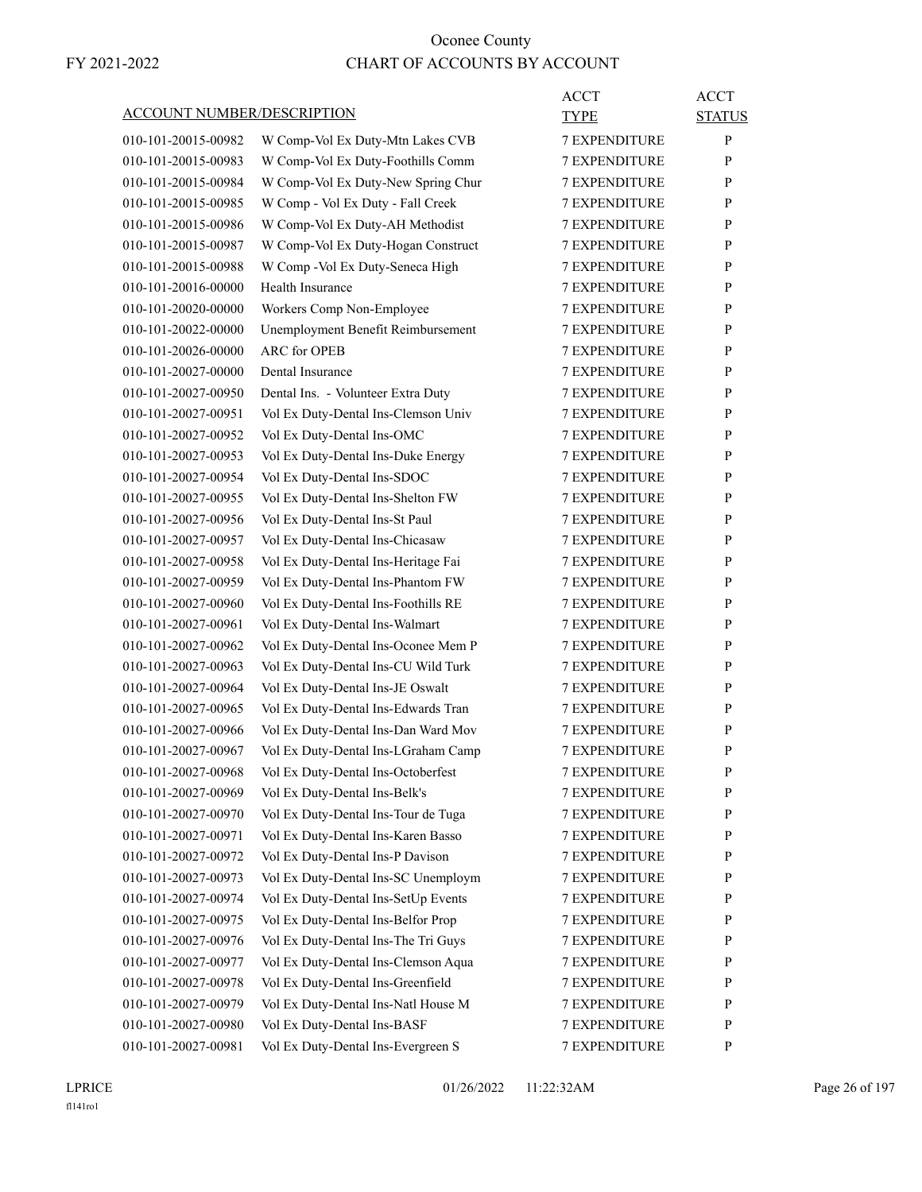| <b>ACCOUNT NUMBER/DESCRIPTION</b> |                                     | <b>ACCT</b><br>TYPE  | <b>ACCT</b><br><b>STATUS</b> |
|-----------------------------------|-------------------------------------|----------------------|------------------------------|
| 010-101-20015-00982               | W Comp-Vol Ex Duty-Mtn Lakes CVB    | <b>7 EXPENDITURE</b> | P                            |
| 010-101-20015-00983               | W Comp-Vol Ex Duty-Foothills Comm   | <b>7 EXPENDITURE</b> | P                            |
| 010-101-20015-00984               | W Comp-Vol Ex Duty-New Spring Chur  | <b>7 EXPENDITURE</b> | P                            |
| 010-101-20015-00985               | W Comp - Vol Ex Duty - Fall Creek   | <b>7 EXPENDITURE</b> | P                            |
| 010-101-20015-00986               | W Comp-Vol Ex Duty-AH Methodist     | <b>7 EXPENDITURE</b> | P                            |
| 010-101-20015-00987               | W Comp-Vol Ex Duty-Hogan Construct  | <b>7 EXPENDITURE</b> | P                            |
| 010-101-20015-00988               | W Comp - Vol Ex Duty-Seneca High    | <b>7 EXPENDITURE</b> | P                            |
| 010-101-20016-00000               | Health Insurance                    | <b>7 EXPENDITURE</b> | P                            |
| 010-101-20020-00000               | Workers Comp Non-Employee           | <b>7 EXPENDITURE</b> | P                            |
| 010-101-20022-00000               | Unemployment Benefit Reimbursement  | <b>7 EXPENDITURE</b> | P                            |
| 010-101-20026-00000               | <b>ARC</b> for OPEB                 | <b>7 EXPENDITURE</b> | P                            |
| 010-101-20027-00000               | Dental Insurance                    | <b>7 EXPENDITURE</b> | P                            |
| 010-101-20027-00950               | Dental Ins. - Volunteer Extra Duty  | <b>7 EXPENDITURE</b> | P                            |
| 010-101-20027-00951               | Vol Ex Duty-Dental Ins-Clemson Univ | <b>7 EXPENDITURE</b> | P                            |
| 010-101-20027-00952               | Vol Ex Duty-Dental Ins-OMC          | <b>7 EXPENDITURE</b> | P                            |
| 010-101-20027-00953               | Vol Ex Duty-Dental Ins-Duke Energy  | <b>7 EXPENDITURE</b> | P                            |
| 010-101-20027-00954               | Vol Ex Duty-Dental Ins-SDOC         | <b>7 EXPENDITURE</b> | P                            |
| 010-101-20027-00955               | Vol Ex Duty-Dental Ins-Shelton FW   | <b>7 EXPENDITURE</b> | P                            |
| 010-101-20027-00956               | Vol Ex Duty-Dental Ins-St Paul      | <b>7 EXPENDITURE</b> | P                            |
| 010-101-20027-00957               | Vol Ex Duty-Dental Ins-Chicasaw     | <b>7 EXPENDITURE</b> | P                            |
| 010-101-20027-00958               | Vol Ex Duty-Dental Ins-Heritage Fai | <b>7 EXPENDITURE</b> | P                            |
| 010-101-20027-00959               | Vol Ex Duty-Dental Ins-Phantom FW   | <b>7 EXPENDITURE</b> | P                            |
| 010-101-20027-00960               | Vol Ex Duty-Dental Ins-Foothills RE | <b>7 EXPENDITURE</b> | P                            |
| 010-101-20027-00961               | Vol Ex Duty-Dental Ins-Walmart      | <b>7 EXPENDITURE</b> | P                            |
| 010-101-20027-00962               | Vol Ex Duty-Dental Ins-Oconee Mem P | <b>7 EXPENDITURE</b> | P                            |
| 010-101-20027-00963               | Vol Ex Duty-Dental Ins-CU Wild Turk | <b>7 EXPENDITURE</b> | P                            |
| 010-101-20027-00964               | Vol Ex Duty-Dental Ins-JE Oswalt    | <b>7 EXPENDITURE</b> | P                            |
| 010-101-20027-00965               | Vol Ex Duty-Dental Ins-Edwards Tran | <b>7 EXPENDITURE</b> | P                            |
| 010-101-20027-00966               | Vol Ex Duty-Dental Ins-Dan Ward Mov | <b>7 EXPENDITURE</b> | P                            |
| 010-101-20027-00967               | Vol Ex Duty-Dental Ins-LGraham Camp | <b>7 EXPENDITURE</b> | P                            |
| 010-101-20027-00968               | Vol Ex Duty-Dental Ins-Octoberfest  | <b>7 EXPENDITURE</b> | P                            |
| 010-101-20027-00969               | Vol Ex Duty-Dental Ins-Belk's       | 7 EXPENDITURE        | P                            |
| 010-101-20027-00970               | Vol Ex Duty-Dental Ins-Tour de Tuga | <b>7 EXPENDITURE</b> | $\mathbf{P}$                 |
| 010-101-20027-00971               | Vol Ex Duty-Dental Ins-Karen Basso  | 7 EXPENDITURE        | P                            |
| 010-101-20027-00972               | Vol Ex Duty-Dental Ins-P Davison    | 7 EXPENDITURE        | P                            |
| 010-101-20027-00973               | Vol Ex Duty-Dental Ins-SC Unemploym | 7 EXPENDITURE        | $\mathbf{P}$                 |
| 010-101-20027-00974               | Vol Ex Duty-Dental Ins-SetUp Events | <b>7 EXPENDITURE</b> | P                            |
| 010-101-20027-00975               | Vol Ex Duty-Dental Ins-Belfor Prop  | 7 EXPENDITURE        | P                            |
| 010-101-20027-00976               | Vol Ex Duty-Dental Ins-The Tri Guys | <b>7 EXPENDITURE</b> | P                            |
| 010-101-20027-00977               | Vol Ex Duty-Dental Ins-Clemson Aqua | <b>7 EXPENDITURE</b> | P                            |
| 010-101-20027-00978               | Vol Ex Duty-Dental Ins-Greenfield   | 7 EXPENDITURE        | P                            |
| 010-101-20027-00979               | Vol Ex Duty-Dental Ins-Natl House M | 7 EXPENDITURE        | $\mathbf{P}$                 |
| 010-101-20027-00980               | Vol Ex Duty-Dental Ins-BASF         | <b>7 EXPENDITURE</b> | P                            |
| 010-101-20027-00981               | Vol Ex Duty-Dental Ins-Evergreen S  | 7 EXPENDITURE        | P                            |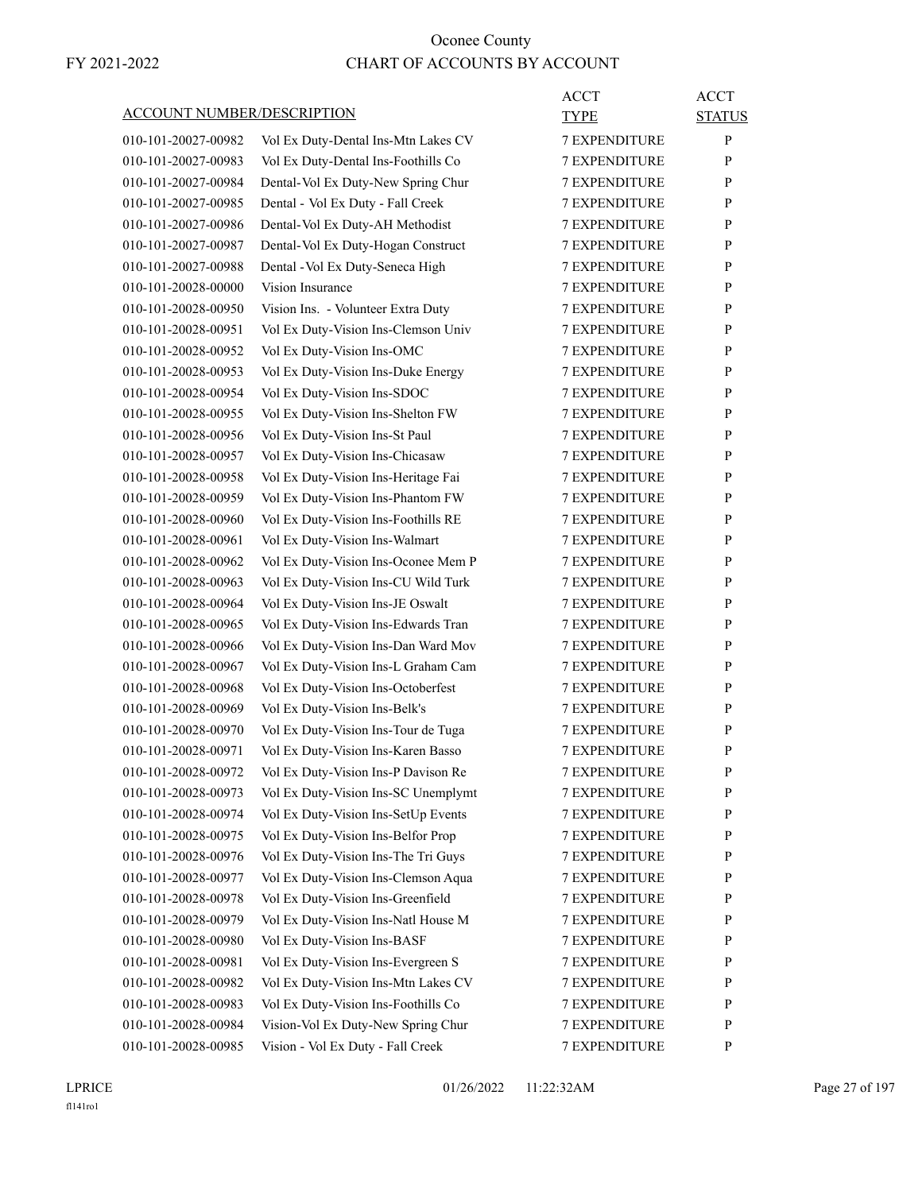|                                   |                                     | ACCT                 | <b>ACCT</b>   |
|-----------------------------------|-------------------------------------|----------------------|---------------|
| <b>ACCOUNT NUMBER/DESCRIPTION</b> |                                     | <b>TYPE</b>          | <b>STATUS</b> |
| 010-101-20027-00982               | Vol Ex Duty-Dental Ins-Mtn Lakes CV | <b>7 EXPENDITURE</b> | P             |
| 010-101-20027-00983               | Vol Ex Duty-Dental Ins-Foothills Co | 7 EXPENDITURE        | P             |
| 010-101-20027-00984               | Dental-Vol Ex Duty-New Spring Chur  | <b>7 EXPENDITURE</b> | P             |
| 010-101-20027-00985               | Dental - Vol Ex Duty - Fall Creek   | <b>7 EXPENDITURE</b> | P             |
| 010-101-20027-00986               | Dental-Vol Ex Duty-AH Methodist     | 7 EXPENDITURE        | P             |
| 010-101-20027-00987               | Dental-Vol Ex Duty-Hogan Construct  | <b>7 EXPENDITURE</b> | P             |
| 010-101-20027-00988               | Dental - Vol Ex Duty-Seneca High    | <b>7 EXPENDITURE</b> | P             |
| 010-101-20028-00000               | Vision Insurance                    | 7 EXPENDITURE        | P             |
| 010-101-20028-00950               | Vision Ins. - Volunteer Extra Duty  | 7 EXPENDITURE        | P             |
| 010-101-20028-00951               | Vol Ex Duty-Vision Ins-Clemson Univ | <b>7 EXPENDITURE</b> | P             |
| 010-101-20028-00952               | Vol Ex Duty-Vision Ins-OMC          | 7 EXPENDITURE        | P             |
| 010-101-20028-00953               | Vol Ex Duty-Vision Ins-Duke Energy  | <b>7 EXPENDITURE</b> | P             |
| 010-101-20028-00954               | Vol Ex Duty-Vision Ins-SDOC         | <b>7 EXPENDITURE</b> | P             |
| 010-101-20028-00955               | Vol Ex Duty-Vision Ins-Shelton FW   | 7 EXPENDITURE        | P             |
| 010-101-20028-00956               | Vol Ex Duty-Vision Ins-St Paul      | <b>7 EXPENDITURE</b> | P             |
| 010-101-20028-00957               | Vol Ex Duty-Vision Ins-Chicasaw     | <b>7 EXPENDITURE</b> | P             |
| 010-101-20028-00958               | Vol Ex Duty-Vision Ins-Heritage Fai | 7 EXPENDITURE        | P             |
| 010-101-20028-00959               | Vol Ex Duty-Vision Ins-Phantom FW   | <b>7 EXPENDITURE</b> | P             |
| 010-101-20028-00960               | Vol Ex Duty-Vision Ins-Foothills RE | <b>7 EXPENDITURE</b> | P             |
| 010-101-20028-00961               | Vol Ex Duty-Vision Ins-Walmart      | 7 EXPENDITURE        | P             |
| 010-101-20028-00962               | Vol Ex Duty-Vision Ins-Oconee Mem P | <b>7 EXPENDITURE</b> | P             |
| 010-101-20028-00963               | Vol Ex Duty-Vision Ins-CU Wild Turk | <b>7 EXPENDITURE</b> | P             |
| 010-101-20028-00964               | Vol Ex Duty-Vision Ins-JE Oswalt    | <b>7 EXPENDITURE</b> | P             |
| 010-101-20028-00965               | Vol Ex Duty-Vision Ins-Edwards Tran | <b>7 EXPENDITURE</b> | P             |
| 010-101-20028-00966               | Vol Ex Duty-Vision Ins-Dan Ward Mov | <b>7 EXPENDITURE</b> | P             |
| 010-101-20028-00967               | Vol Ex Duty-Vision Ins-L Graham Cam | 7 EXPENDITURE        | P             |
| 010-101-20028-00968               | Vol Ex Duty-Vision Ins-Octoberfest  | <b>7 EXPENDITURE</b> | P             |
| 010-101-20028-00969               | Vol Ex Duty-Vision Ins-Belk's       | <b>7 EXPENDITURE</b> | P             |
| 010-101-20028-00970               | Vol Ex Duty-Vision Ins-Tour de Tuga | 7 EXPENDITURE        | P             |
| 010-101-20028-00971               | Vol Ex Duty-Vision Ins-Karen Basso  | <b>7 EXPENDITURE</b> | P             |
| 010-101-20028-00972               | Vol Ex Duty-Vision Ins-P Davison Re | <b>7 EXPENDITURE</b> | P             |
| 010-101-20028-00973               | Vol Ex Duty-Vision Ins-SC Unemplymt | 7 EXPENDITURE        | P             |
| 010-101-20028-00974               | Vol Ex Duty-Vision Ins-SetUp Events | <b>7 EXPENDITURE</b> | P             |
| 010-101-20028-00975               | Vol Ex Duty-Vision Ins-Belfor Prop  | 7 EXPENDITURE        | P             |
| 010-101-20028-00976               | Vol Ex Duty-Vision Ins-The Tri Guys | 7 EXPENDITURE        | P             |
| 010-101-20028-00977               | Vol Ex Duty-Vision Ins-Clemson Aqua | <b>7 EXPENDITURE</b> | P             |
| 010-101-20028-00978               | Vol Ex Duty-Vision Ins-Greenfield   | 7 EXPENDITURE        | P             |
| 010-101-20028-00979               | Vol Ex Duty-Vision Ins-Natl House M | 7 EXPENDITURE        | P             |
| 010-101-20028-00980               | Vol Ex Duty-Vision Ins-BASF         | <b>7 EXPENDITURE</b> | P             |
| 010-101-20028-00981               | Vol Ex Duty-Vision Ins-Evergreen S  | 7 EXPENDITURE        | P             |
| 010-101-20028-00982               | Vol Ex Duty-Vision Ins-Mtn Lakes CV | 7 EXPENDITURE        | P             |
| 010-101-20028-00983               | Vol Ex Duty-Vision Ins-Foothills Co | <b>7 EXPENDITURE</b> | P             |
| 010-101-20028-00984               | Vision-Vol Ex Duty-New Spring Chur  | 7 EXPENDITURE        | P             |
| 010-101-20028-00985               | Vision - Vol Ex Duty - Fall Creek   | 7 EXPENDITURE        | P             |
|                                   |                                     |                      |               |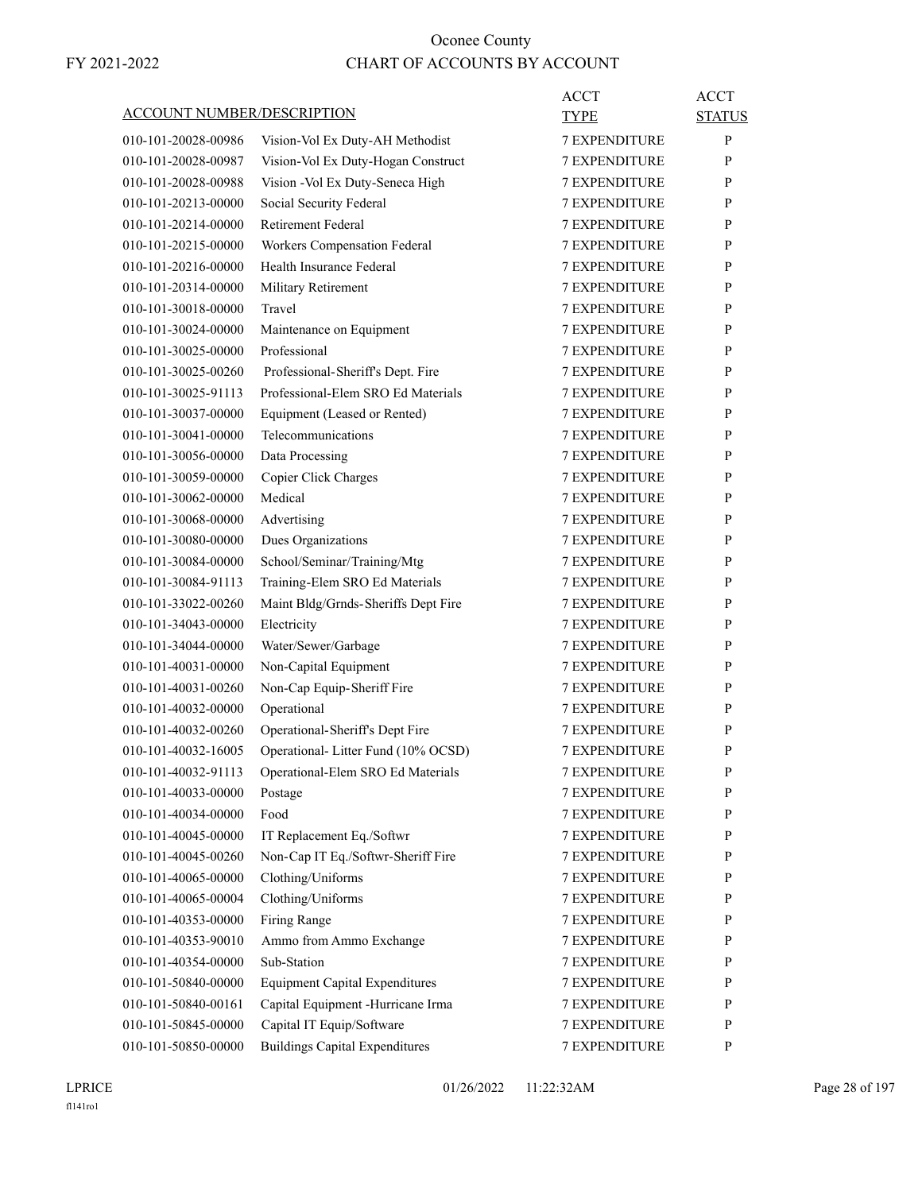| ACCOUNT NUMBER/DESCRIPTION |                                       | ACCT<br>TYPE         | <b>ACCT</b><br><b>STATUS</b> |
|----------------------------|---------------------------------------|----------------------|------------------------------|
| 010-101-20028-00986        | Vision-Vol Ex Duty-AH Methodist       | <b>7 EXPENDITURE</b> | P                            |
| 010-101-20028-00987        | Vision-Vol Ex Duty-Hogan Construct    | <b>7 EXPENDITURE</b> | P                            |
| 010-101-20028-00988        | Vision - Vol Ex Duty-Seneca High      | <b>7 EXPENDITURE</b> | P                            |
| 010-101-20213-00000        | Social Security Federal               | <b>7 EXPENDITURE</b> | P                            |
| 010-101-20214-00000        | <b>Retirement Federal</b>             | 7 EXPENDITURE        | P                            |
| 010-101-20215-00000        | Workers Compensation Federal          | <b>7 EXPENDITURE</b> | P                            |
| 010-101-20216-00000        | Health Insurance Federal              | <b>7 EXPENDITURE</b> | P                            |
| 010-101-20314-00000        | Military Retirement                   | <b>7 EXPENDITURE</b> | P                            |
| 010-101-30018-00000        | Travel                                | <b>7 EXPENDITURE</b> | P                            |
| 010-101-30024-00000        | Maintenance on Equipment              | <b>7 EXPENDITURE</b> | P                            |
| 010-101-30025-00000        | Professional                          | <b>7 EXPENDITURE</b> | P                            |
| 010-101-30025-00260        | Professional-Sheriff's Dept. Fire     | <b>7 EXPENDITURE</b> | P                            |
| 010-101-30025-91113        | Professional-Elem SRO Ed Materials    | <b>7 EXPENDITURE</b> | P                            |
| 010-101-30037-00000        | Equipment (Leased or Rented)          | <b>7 EXPENDITURE</b> | P                            |
| 010-101-30041-00000        | Telecommunications                    | <b>7 EXPENDITURE</b> | P                            |
| 010-101-30056-00000        | Data Processing                       | <b>7 EXPENDITURE</b> | P                            |
| 010-101-30059-00000        | Copier Click Charges                  | 7 EXPENDITURE        | P                            |
| 010-101-30062-00000        | Medical                               | <b>7 EXPENDITURE</b> | P                            |
| 010-101-30068-00000        | Advertising                           | <b>7 EXPENDITURE</b> | P                            |
| 010-101-30080-00000        | Dues Organizations                    | 7 EXPENDITURE        | P                            |
| 010-101-30084-00000        | School/Seminar/Training/Mtg           | <b>7 EXPENDITURE</b> | P                            |
| 010-101-30084-91113        | Training-Elem SRO Ed Materials        | <b>7 EXPENDITURE</b> | P                            |
| 010-101-33022-00260        | Maint Bldg/Grnds-Sheriffs Dept Fire   | 7 EXPENDITURE        | P                            |
| 010-101-34043-00000        | Electricity                           | <b>7 EXPENDITURE</b> | P                            |
| 010-101-34044-00000        | Water/Sewer/Garbage                   | <b>7 EXPENDITURE</b> | P                            |
| 010-101-40031-00000        | Non-Capital Equipment                 | 7 EXPENDITURE        | P                            |
| 010-101-40031-00260        | Non-Cap Equip-Sheriff Fire            | <b>7 EXPENDITURE</b> | P                            |
| 010-101-40032-00000        | Operational                           | <b>7 EXPENDITURE</b> | P                            |
| 010-101-40032-00260        | Operational-Sheriff's Dept Fire       | 7 EXPENDITURE        | P                            |
| 010-101-40032-16005        | Operational- Litter Fund (10% OCSD)   | <b>7 EXPENDITURE</b> | P                            |
| 010-101-40032-91113        | Operational-Elem SRO Ed Materials     | <b>7 EXPENDITURE</b> | $\mathbf{P}$                 |
| 010-101-40033-00000        | Postage                               | 7 EXPENDITURE        | P                            |
| 010-101-40034-00000        | Food                                  | 7 EXPENDITURE        | P                            |
| 010-101-40045-00000        | IT Replacement Eq./Softwr             | 7 EXPENDITURE        | P                            |
| 010-101-40045-00260        | Non-Cap IT Eq./Softwr-Sheriff Fire    | 7 EXPENDITURE        | P                            |
| 010-101-40065-00000        | Clothing/Uniforms                     | 7 EXPENDITURE        | P                            |
| 010-101-40065-00004        | Clothing/Uniforms                     | 7 EXPENDITURE        | P                            |
| 010-101-40353-00000        | Firing Range                          | 7 EXPENDITURE        | P                            |
| 010-101-40353-90010        | Ammo from Ammo Exchange               | 7 EXPENDITURE        | P                            |
| 010-101-40354-00000        | Sub-Station                           | 7 EXPENDITURE        | P                            |
| 010-101-50840-00000        | <b>Equipment Capital Expenditures</b> | 7 EXPENDITURE        | P                            |
| 010-101-50840-00161        | Capital Equipment -Hurricane Irma     | 7 EXPENDITURE        | P                            |
| 010-101-50845-00000        | Capital IT Equip/Software             | 7 EXPENDITURE        | P                            |
| 010-101-50850-00000        | <b>Buildings Capital Expenditures</b> | 7 EXPENDITURE        | P                            |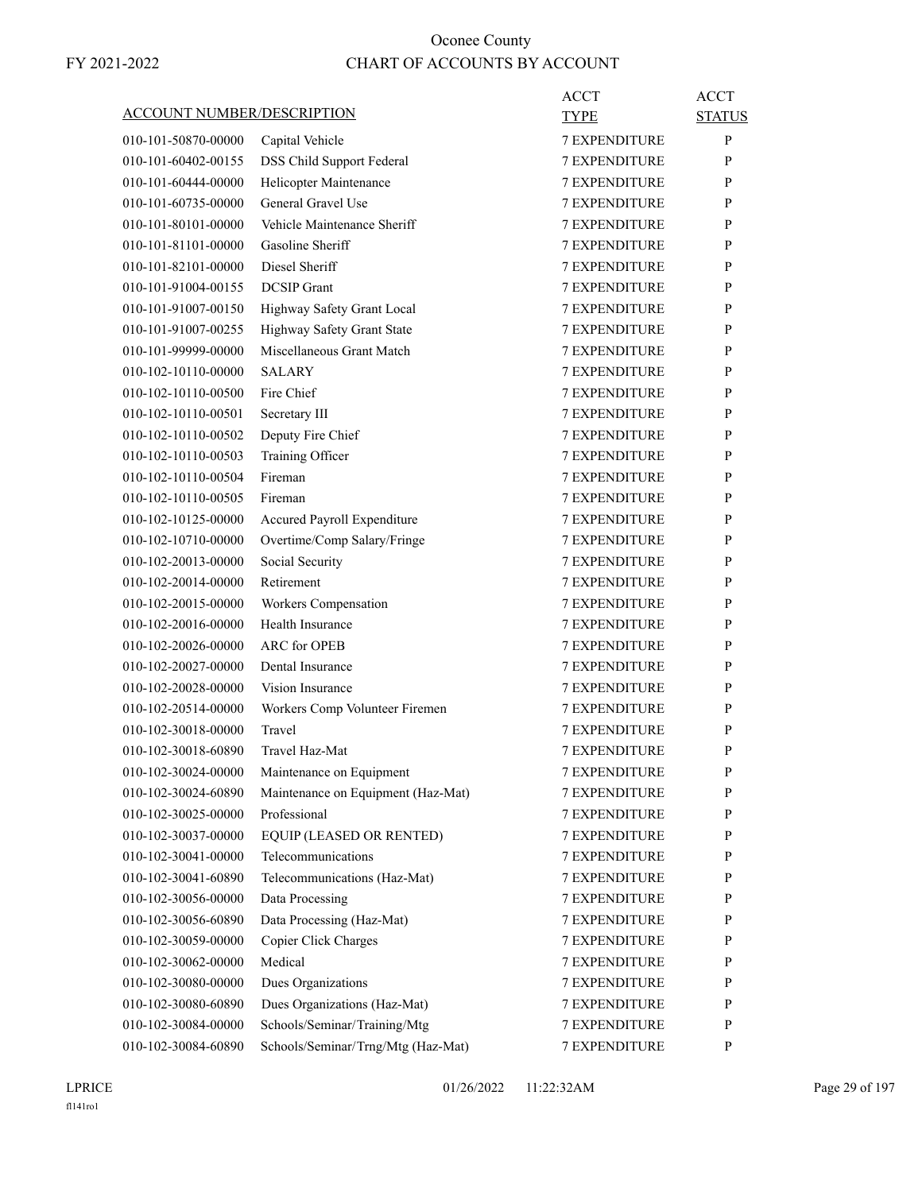|                                   |                                    | <b>ACCT</b>          | <b>ACCT</b>   |
|-----------------------------------|------------------------------------|----------------------|---------------|
| <b>ACCOUNT NUMBER/DESCRIPTION</b> |                                    | TYPE                 | <b>STATUS</b> |
| 010-101-50870-00000               | Capital Vehicle                    | <b>7 EXPENDITURE</b> | P             |
| 010-101-60402-00155               | DSS Child Support Federal          | <b>7 EXPENDITURE</b> | P             |
| 010-101-60444-00000               | Helicopter Maintenance             | <b>7 EXPENDITURE</b> | P             |
| 010-101-60735-00000               | General Gravel Use                 | 7 EXPENDITURE        | P             |
| 010-101-80101-00000               | Vehicle Maintenance Sheriff        | <b>7 EXPENDITURE</b> | P             |
| 010-101-81101-00000               | Gasoline Sheriff                   | <b>7 EXPENDITURE</b> | P             |
| 010-101-82101-00000               | Diesel Sheriff                     | <b>7 EXPENDITURE</b> | P             |
| 010-101-91004-00155               | <b>DCSIP</b> Grant                 | <b>7 EXPENDITURE</b> | P             |
| 010-101-91007-00150               | Highway Safety Grant Local         | <b>7 EXPENDITURE</b> | P             |
| 010-101-91007-00255               | Highway Safety Grant State         | <b>7 EXPENDITURE</b> | P             |
| 010-101-99999-00000               | Miscellaneous Grant Match          | <b>7 EXPENDITURE</b> | P             |
| 010-102-10110-00000               | <b>SALARY</b>                      | <b>7 EXPENDITURE</b> | P             |
| 010-102-10110-00500               | Fire Chief                         | <b>7 EXPENDITURE</b> | P             |
| 010-102-10110-00501               | Secretary III                      | <b>7 EXPENDITURE</b> | P             |
| 010-102-10110-00502               | Deputy Fire Chief                  | <b>7 EXPENDITURE</b> | P             |
| 010-102-10110-00503               | Training Officer                   | 7 EXPENDITURE        | P             |
| 010-102-10110-00504               | Fireman                            | <b>7 EXPENDITURE</b> | P             |
| 010-102-10110-00505               | Fireman                            | <b>7 EXPENDITURE</b> | P             |
| 010-102-10125-00000               | Accured Payroll Expenditure        | <b>7 EXPENDITURE</b> | P             |
| 010-102-10710-00000               | Overtime/Comp Salary/Fringe        | <b>7 EXPENDITURE</b> | P             |
| 010-102-20013-00000               | Social Security                    | <b>7 EXPENDITURE</b> | P             |
| 010-102-20014-00000               | Retirement                         | 7 EXPENDITURE        | P             |
| 010-102-20015-00000               | Workers Compensation               | <b>7 EXPENDITURE</b> | P             |
| 010-102-20016-00000               | Health Insurance                   | <b>7 EXPENDITURE</b> | P             |
| 010-102-20026-00000               | ARC for OPEB                       | <b>7 EXPENDITURE</b> | P             |
| 010-102-20027-00000               | Dental Insurance                   | <b>7 EXPENDITURE</b> | P             |
| 010-102-20028-00000               | Vision Insurance                   | <b>7 EXPENDITURE</b> | P             |
| 010-102-20514-00000               | Workers Comp Volunteer Firemen     | <b>7 EXPENDITURE</b> | P             |
| 010-102-30018-00000               | Travel                             | <b>7 EXPENDITURE</b> | P             |
| 010-102-30018-60890               | Travel Haz-Mat                     | <b>7 EXPENDITURE</b> | P             |
| 010-102-30024-00000               | Maintenance on Equipment           | <b>7 EXPENDITURE</b> | ${\bf P}$     |
| 010-102-30024-60890               | Maintenance on Equipment (Haz-Mat) | <b>7 EXPENDITURE</b> | P             |
| 010-102-30025-00000               | Professional                       | <b>7 EXPENDITURE</b> | P             |
| 010-102-30037-00000               | EQUIP (LEASED OR RENTED)           | <b>7 EXPENDITURE</b> | P             |
| 010-102-30041-00000               | Telecommunications                 | <b>7 EXPENDITURE</b> | P             |
| 010-102-30041-60890               | Telecommunications (Haz-Mat)       | 7 EXPENDITURE        | P             |
| 010-102-30056-00000               | Data Processing                    | 7 EXPENDITURE        | P             |
| 010-102-30056-60890               | Data Processing (Haz-Mat)          | <b>7 EXPENDITURE</b> | P             |
| 010-102-30059-00000               | Copier Click Charges               | <b>7 EXPENDITURE</b> | P             |
| 010-102-30062-00000               | Medical                            | <b>7 EXPENDITURE</b> | P             |
| 010-102-30080-00000               | Dues Organizations                 | 7 EXPENDITURE        | P             |
| 010-102-30080-60890               | Dues Organizations (Haz-Mat)       | 7 EXPENDITURE        | P             |
| 010-102-30084-00000               | Schools/Seminar/Training/Mtg       | 7 EXPENDITURE        | P             |
| 010-102-30084-60890               | Schools/Seminar/Trng/Mtg (Haz-Mat) | 7 EXPENDITURE        | P             |
|                                   |                                    |                      |               |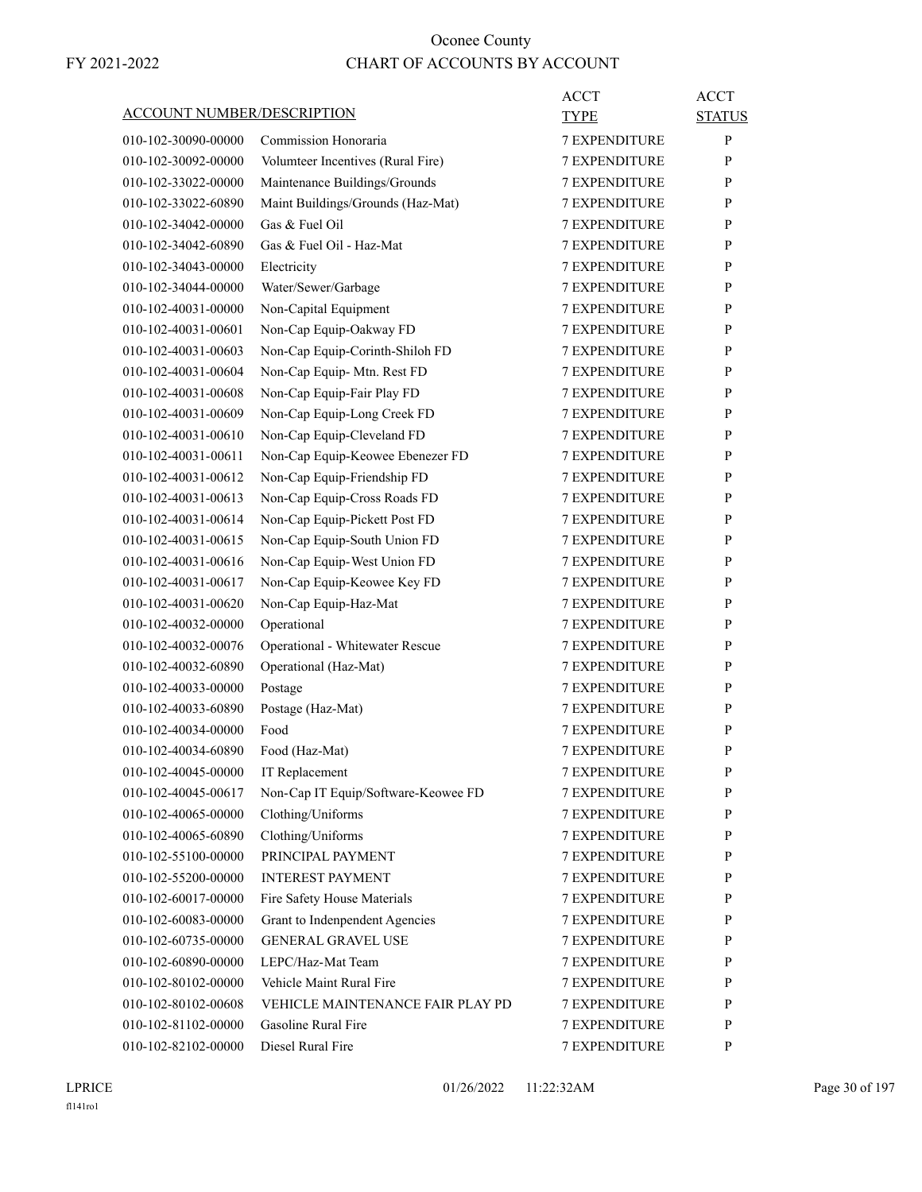| ACCOUNT NUMBER/DESCRIPTION |                                        | ACCT<br>TYPE         | <b>ACCT</b><br><b>STATUS</b> |
|----------------------------|----------------------------------------|----------------------|------------------------------|
| 010-102-30090-00000        | Commission Honoraria                   | <b>7 EXPENDITURE</b> | P                            |
| 010-102-30092-00000        | Volumteer Incentives (Rural Fire)      | <b>7 EXPENDITURE</b> | P                            |
| 010-102-33022-00000        | Maintenance Buildings/Grounds          | <b>7 EXPENDITURE</b> | P                            |
| 010-102-33022-60890        | Maint Buildings/Grounds (Haz-Mat)      | <b>7 EXPENDITURE</b> | P                            |
| 010-102-34042-00000        | Gas & Fuel Oil                         | <b>7 EXPENDITURE</b> | P                            |
| 010-102-34042-60890        | Gas & Fuel Oil - Haz-Mat               | <b>7 EXPENDITURE</b> | P                            |
| 010-102-34043-00000        | Electricity                            | <b>7 EXPENDITURE</b> | P                            |
| 010-102-34044-00000        | Water/Sewer/Garbage                    | 7 EXPENDITURE        | P                            |
| 010-102-40031-00000        | Non-Capital Equipment                  | <b>7 EXPENDITURE</b> | P                            |
| 010-102-40031-00601        | Non-Cap Equip-Oakway FD                | <b>7 EXPENDITURE</b> | P                            |
| 010-102-40031-00603        | Non-Cap Equip-Corinth-Shiloh FD        | <b>7 EXPENDITURE</b> | P                            |
| 010-102-40031-00604        | Non-Cap Equip- Mtn. Rest FD            | <b>7 EXPENDITURE</b> | P                            |
| 010-102-40031-00608        | Non-Cap Equip-Fair Play FD             | <b>7 EXPENDITURE</b> | P                            |
| 010-102-40031-00609        | Non-Cap Equip-Long Creek FD            | 7 EXPENDITURE        | P                            |
| 010-102-40031-00610        | Non-Cap Equip-Cleveland FD             | <b>7 EXPENDITURE</b> | P                            |
| 010-102-40031-00611        | Non-Cap Equip-Keowee Ebenezer FD       | <b>7 EXPENDITURE</b> | P                            |
| 010-102-40031-00612        | Non-Cap Equip-Friendship FD            | <b>7 EXPENDITURE</b> | P                            |
| 010-102-40031-00613        | Non-Cap Equip-Cross Roads FD           | <b>7 EXPENDITURE</b> | P                            |
| 010-102-40031-00614        | Non-Cap Equip-Pickett Post FD          | <b>7 EXPENDITURE</b> | P                            |
| 010-102-40031-00615        | Non-Cap Equip-South Union FD           | 7 EXPENDITURE        | P                            |
| 010-102-40031-00616        | Non-Cap Equip-West Union FD            | <b>7 EXPENDITURE</b> | P                            |
| 010-102-40031-00617        | Non-Cap Equip-Keowee Key FD            | <b>7 EXPENDITURE</b> | P                            |
| 010-102-40031-00620        | Non-Cap Equip-Haz-Mat                  | <b>7 EXPENDITURE</b> | P                            |
| 010-102-40032-00000        | Operational                            | <b>7 EXPENDITURE</b> | P                            |
| 010-102-40032-00076        | Operational - Whitewater Rescue        | <b>7 EXPENDITURE</b> | P                            |
| 010-102-40032-60890        | Operational (Haz-Mat)                  | 7 EXPENDITURE        | P                            |
| 010-102-40033-00000        | Postage                                | <b>7 EXPENDITURE</b> | P                            |
| 010-102-40033-60890        | Postage (Haz-Mat)                      | <b>7 EXPENDITURE</b> | P                            |
| 010-102-40034-00000        | Food                                   | <b>7 EXPENDITURE</b> | P                            |
|                            |                                        |                      |                              |
| 010-102-40034-60890        | Food (Haz-Mat)                         | <b>7 EXPENDITURE</b> | P<br>$\mathbf{P}$            |
| 010-102-40045-00000        | IT Replacement                         | 7 EXPENDITURE        |                              |
| 010-102-40045-00617        | Non-Cap IT Equip/Software-Keowee FD    | <b>7 EXPENDITURE</b> | P                            |
| 010-102-40065-00000        | Clothing/Uniforms                      | 7 EXPENDITURE        | P<br>P                       |
| 010-102-40065-60890        | Clothing/Uniforms<br>PRINCIPAL PAYMENT | 7 EXPENDITURE        |                              |
| 010-102-55100-00000        | <b>INTEREST PAYMENT</b>                | 7 EXPENDITURE        | P                            |
| 010-102-55200-00000        |                                        | <b>7 EXPENDITURE</b> | P                            |
| 010-102-60017-00000        | Fire Safety House Materials            | <b>7 EXPENDITURE</b> | P                            |
| 010-102-60083-00000        | Grant to Indenpendent Agencies         | <b>7 EXPENDITURE</b> | P                            |
| 010-102-60735-00000        | <b>GENERAL GRAVEL USE</b>              | 7 EXPENDITURE        | P                            |
| 010-102-60890-00000        | LEPC/Haz-Mat Team                      | 7 EXPENDITURE        | P                            |
| 010-102-80102-00000        | Vehicle Maint Rural Fire               | 7 EXPENDITURE        | P                            |
| 010-102-80102-00608        | VEHICLE MAINTENANCE FAIR PLAY PD       | <b>7 EXPENDITURE</b> | P                            |
| 010-102-81102-00000        | Gasoline Rural Fire                    | <b>7 EXPENDITURE</b> | P                            |
| 010-102-82102-00000        | Diesel Rural Fire                      | 7 EXPENDITURE        | P                            |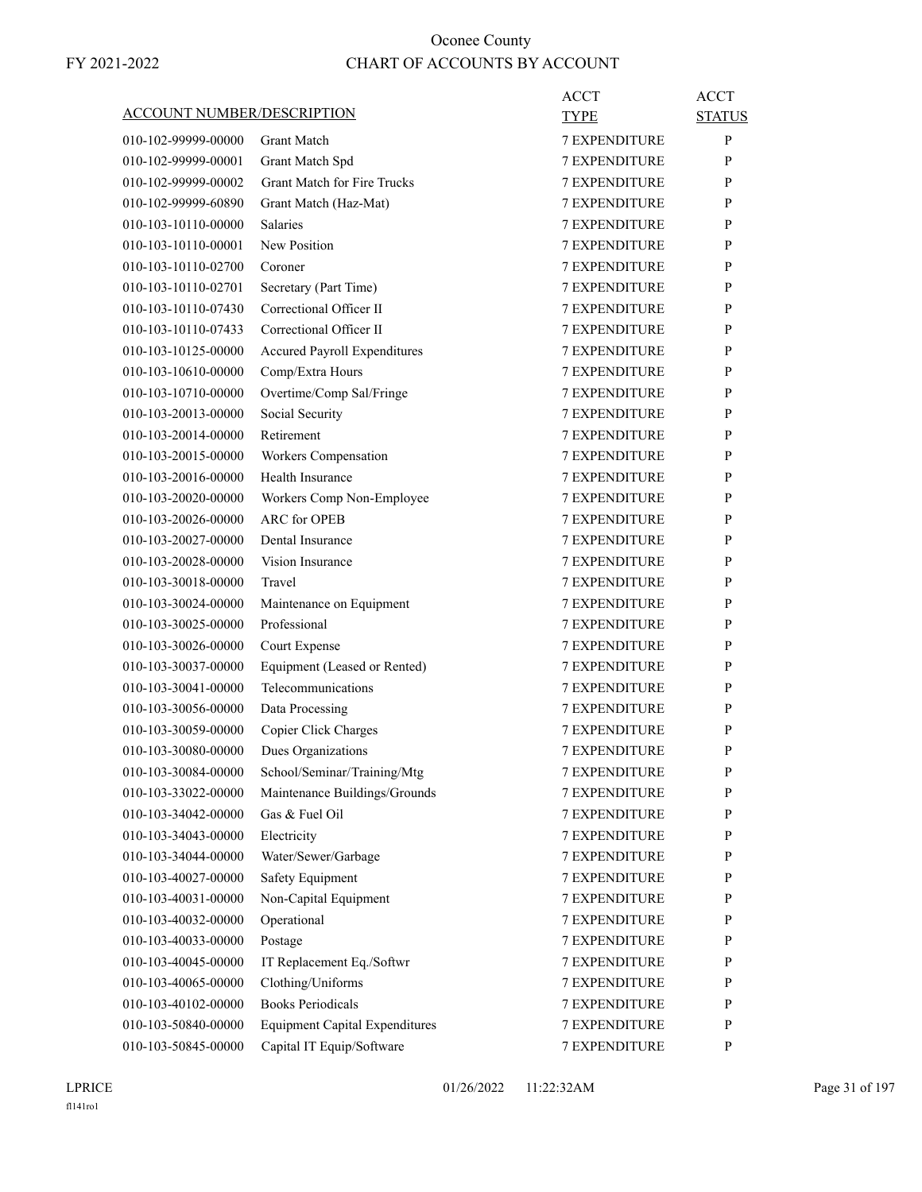| <b>ACCOUNT NUMBER/DESCRIPTION</b> |                                       | ACCT<br>TYPE         | ACCT<br><b>STATUS</b> |
|-----------------------------------|---------------------------------------|----------------------|-----------------------|
| 010-102-99999-00000               | <b>Grant Match</b>                    | <b>7 EXPENDITURE</b> | P                     |
| 010-102-99999-00001               | Grant Match Spd                       | <b>7 EXPENDITURE</b> | P                     |
| 010-102-99999-00002               | <b>Grant Match for Fire Trucks</b>    | <b>7 EXPENDITURE</b> | P                     |
| 010-102-99999-60890               | Grant Match (Haz-Mat)                 | <b>7 EXPENDITURE</b> | P                     |
| 010-103-10110-00000               | Salaries                              | <b>7 EXPENDITURE</b> | P                     |
| 010-103-10110-00001               | New Position                          | <b>7 EXPENDITURE</b> | P                     |
| 010-103-10110-02700               | Coroner                               | <b>7 EXPENDITURE</b> | P                     |
| 010-103-10110-02701               | Secretary (Part Time)                 | 7 EXPENDITURE        | P                     |
| 010-103-10110-07430               | Correctional Officer II               | <b>7 EXPENDITURE</b> | P                     |
| 010-103-10110-07433               | Correctional Officer II               | <b>7 EXPENDITURE</b> | P                     |
| 010-103-10125-00000               | <b>Accured Payroll Expenditures</b>   | <b>7 EXPENDITURE</b> | P                     |
| 010-103-10610-00000               | Comp/Extra Hours                      | <b>7 EXPENDITURE</b> | P                     |
| 010-103-10710-00000               | Overtime/Comp Sal/Fringe              | <b>7 EXPENDITURE</b> | P                     |
| 010-103-20013-00000               | Social Security                       | <b>7 EXPENDITURE</b> | P                     |
| 010-103-20014-00000               | Retirement                            | <b>7 EXPENDITURE</b> | P                     |
| 010-103-20015-00000               | Workers Compensation                  | <b>7 EXPENDITURE</b> | P                     |
| 010-103-20016-00000               | Health Insurance                      | <b>7 EXPENDITURE</b> | P                     |
| 010-103-20020-00000               | Workers Comp Non-Employee             | <b>7 EXPENDITURE</b> | P                     |
| 010-103-20026-00000               | <b>ARC</b> for OPER                   | <b>7 EXPENDITURE</b> | P                     |
| 010-103-20027-00000               | Dental Insurance                      | 7 EXPENDITURE        | P                     |
| 010-103-20028-00000               | Vision Insurance                      | <b>7 EXPENDITURE</b> | P                     |
| 010-103-30018-00000               | Travel                                | <b>7 EXPENDITURE</b> | P                     |
| 010-103-30024-00000               | Maintenance on Equipment              | <b>7 EXPENDITURE</b> | P                     |
| 010-103-30025-00000               | Professional                          | <b>7 EXPENDITURE</b> | P                     |
| 010-103-30026-00000               | Court Expense                         | <b>7 EXPENDITURE</b> | P                     |
| 010-103-30037-00000               | Equipment (Leased or Rented)          | 7 EXPENDITURE        | P                     |
| 010-103-30041-00000               | Telecommunications                    | <b>7 EXPENDITURE</b> | P                     |
| 010-103-30056-00000               |                                       | <b>7 EXPENDITURE</b> | P                     |
| 010-103-30059-00000               | Data Processing                       | <b>7 EXPENDITURE</b> |                       |
| 010-103-30080-00000               | Copier Click Charges                  | <b>7 EXPENDITURE</b> | P<br>P                |
|                                   | Dues Organizations                    |                      |                       |
| 010-103-30084-00000               | School/Seminar/Training/Mtg           | 7 EXPENDITURE        | $\mathbf{P}$          |
| 010-103-33022-00000               | Maintenance Buildings/Grounds         | 7 EXPENDITURE        | P                     |
| 010-103-34042-00000               | Gas & Fuel Oil                        | 7 EXPENDITURE        | P                     |
| 010-103-34043-00000               | Electricity                           | 7 EXPENDITURE        | P                     |
| 010-103-34044-00000               | Water/Sewer/Garbage                   | 7 EXPENDITURE        | P                     |
| 010-103-40027-00000               | <b>Safety Equipment</b>               | 7 EXPENDITURE        | P                     |
| 010-103-40031-00000               | Non-Capital Equipment                 | 7 EXPENDITURE        | P                     |
| 010-103-40032-00000               | Operational                           | 7 EXPENDITURE        | P                     |
| 010-103-40033-00000               | Postage                               | 7 EXPENDITURE        | P                     |
| 010-103-40045-00000               | IT Replacement Eq./Softwr             | 7 EXPENDITURE        | P                     |
| 010-103-40065-00000               | Clothing/Uniforms                     | 7 EXPENDITURE        | P                     |
| 010-103-40102-00000               | <b>Books Periodicals</b>              | 7 EXPENDITURE        | P                     |
| 010-103-50840-00000               | <b>Equipment Capital Expenditures</b> | 7 EXPENDITURE        | P                     |
| 010-103-50845-00000               | Capital IT Equip/Software             | 7 EXPENDITURE        | P                     |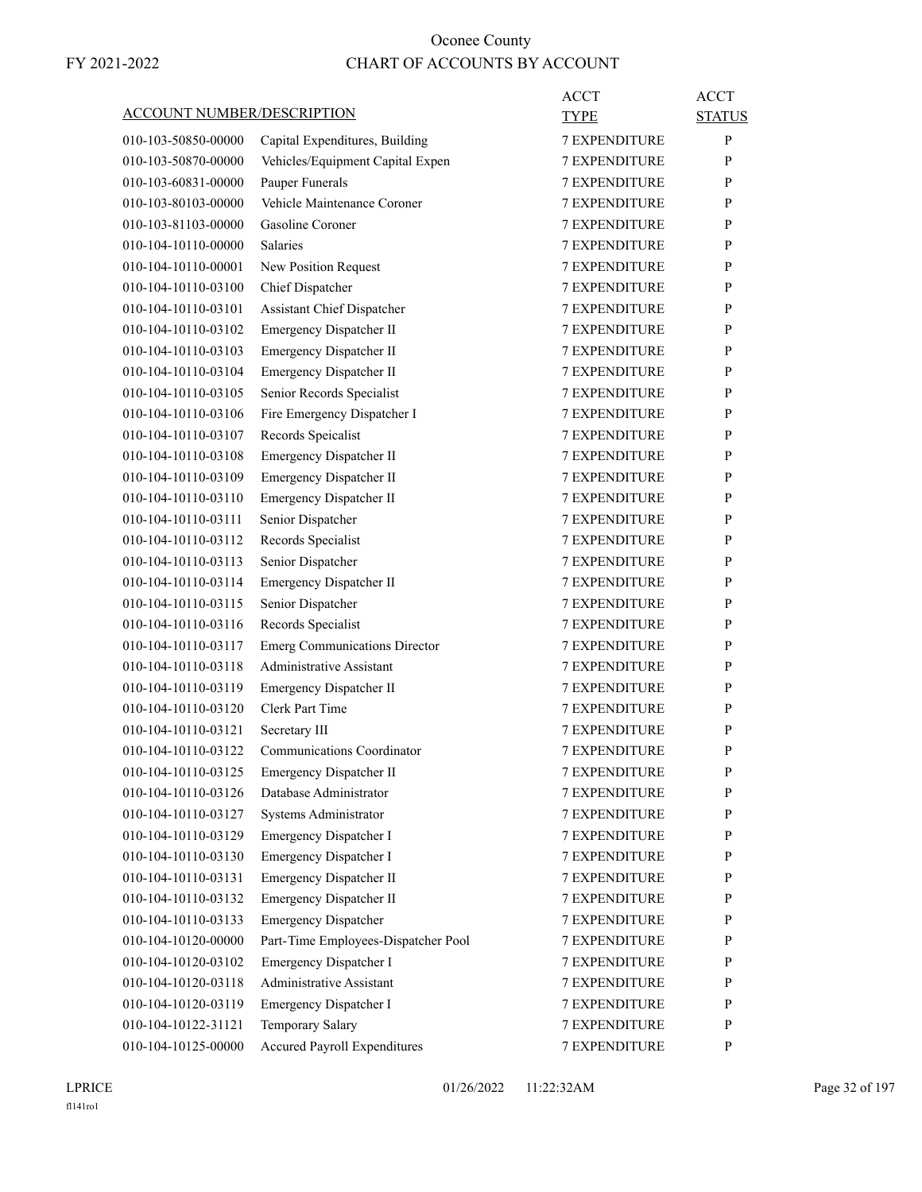| <b>ACCOUNT NUMBER/DESCRIPTION</b> |                                      | ACCT<br>TYPE         | <b>ACCT</b><br><b>STATUS</b> |
|-----------------------------------|--------------------------------------|----------------------|------------------------------|
| 010-103-50850-00000               | Capital Expenditures, Building       | <b>7 EXPENDITURE</b> | P                            |
| 010-103-50870-00000               | Vehicles/Equipment Capital Expen     | 7 EXPENDITURE        | P                            |
| 010-103-60831-00000               | Pauper Funerals                      | <b>7 EXPENDITURE</b> | P                            |
| 010-103-80103-00000               | Vehicle Maintenance Coroner          | <b>7 EXPENDITURE</b> | P                            |
| 010-103-81103-00000               | Gasoline Coroner                     | <b>7 EXPENDITURE</b> | P                            |
| 010-104-10110-00000               | <b>Salaries</b>                      | <b>7 EXPENDITURE</b> | P                            |
| 010-104-10110-00001               | New Position Request                 | <b>7 EXPENDITURE</b> | P                            |
| 010-104-10110-03100               | Chief Dispatcher                     | 7 EXPENDITURE        | P                            |
| 010-104-10110-03101               | Assistant Chief Dispatcher           | <b>7 EXPENDITURE</b> | P                            |
| 010-104-10110-03102               | Emergency Dispatcher II              | <b>7 EXPENDITURE</b> | P                            |
| 010-104-10110-03103               | Emergency Dispatcher II              | <b>7 EXPENDITURE</b> | P                            |
| 010-104-10110-03104               | Emergency Dispatcher II              | <b>7 EXPENDITURE</b> | P                            |
| 010-104-10110-03105               | Senior Records Specialist            | <b>7 EXPENDITURE</b> | P                            |
| 010-104-10110-03106               | Fire Emergency Dispatcher I          | 7 EXPENDITURE        | P                            |
| 010-104-10110-03107               | Records Speicalist                   | <b>7 EXPENDITURE</b> | P                            |
| 010-104-10110-03108               | Emergency Dispatcher II              | <b>7 EXPENDITURE</b> | P                            |
| 010-104-10110-03109               | <b>Emergency Dispatcher II</b>       | <b>7 EXPENDITURE</b> |                              |
| 010-104-10110-03110               |                                      | <b>7 EXPENDITURE</b> | P<br>P                       |
| 010-104-10110-03111               | Emergency Dispatcher II              | <b>7 EXPENDITURE</b> | P                            |
|                                   | Senior Dispatcher                    |                      |                              |
| 010-104-10110-03112               | Records Specialist                   | 7 EXPENDITURE        | P                            |
| 010-104-10110-03113               | Senior Dispatcher                    | <b>7 EXPENDITURE</b> | P                            |
| 010-104-10110-03114               | Emergency Dispatcher II              | <b>7 EXPENDITURE</b> | P                            |
| 010-104-10110-03115               | Senior Dispatcher                    | <b>7 EXPENDITURE</b> | P                            |
| 010-104-10110-03116               | Records Specialist                   | <b>7 EXPENDITURE</b> | P                            |
| 010-104-10110-03117               | <b>Emerg Communications Director</b> | <b>7 EXPENDITURE</b> | P                            |
| 010-104-10110-03118               | Administrative Assistant             | 7 EXPENDITURE        | P                            |
| 010-104-10110-03119               | Emergency Dispatcher II              | <b>7 EXPENDITURE</b> | P                            |
| 010-104-10110-03120               | Clerk Part Time                      | <b>7 EXPENDITURE</b> | P                            |
| 010-104-10110-03121               | Secretary III                        | <b>7 EXPENDITURE</b> | P                            |
| 010-104-10110-03122               | Communications Coordinator           | <b>7 EXPENDITURE</b> | P                            |
| 010-104-10110-03125               | Emergency Dispatcher II              | 7 EXPENDITURE        | P                            |
| 010-104-10110-03126               | Database Administrator               | <b>7 EXPENDITURE</b> | P                            |
| 010-104-10110-03127               | Systems Administrator                | 7 EXPENDITURE        | $\mathbf{P}$                 |
| 010-104-10110-03129               | Emergency Dispatcher I               | 7 EXPENDITURE        | P                            |
| 010-104-10110-03130               | Emergency Dispatcher I               | 7 EXPENDITURE        | P                            |
| 010-104-10110-03131               | Emergency Dispatcher II              | 7 EXPENDITURE        | P                            |
| 010-104-10110-03132               | Emergency Dispatcher II              | 7 EXPENDITURE        | P                            |
| 010-104-10110-03133               | <b>Emergency Dispatcher</b>          | 7 EXPENDITURE        | P                            |
| 010-104-10120-00000               | Part-Time Employees-Dispatcher Pool  | 7 EXPENDITURE        | $\mathbf{P}$                 |
| 010-104-10120-03102               | Emergency Dispatcher I               | 7 EXPENDITURE        | P                            |
| 010-104-10120-03118               | Administrative Assistant             | 7 EXPENDITURE        | P                            |
| 010-104-10120-03119               | Emergency Dispatcher I               | 7 EXPENDITURE        | P                            |
| 010-104-10122-31121               | Temporary Salary                     | 7 EXPENDITURE        | P                            |
| 010-104-10125-00000               | <b>Accured Payroll Expenditures</b>  | 7 EXPENDITURE        | P                            |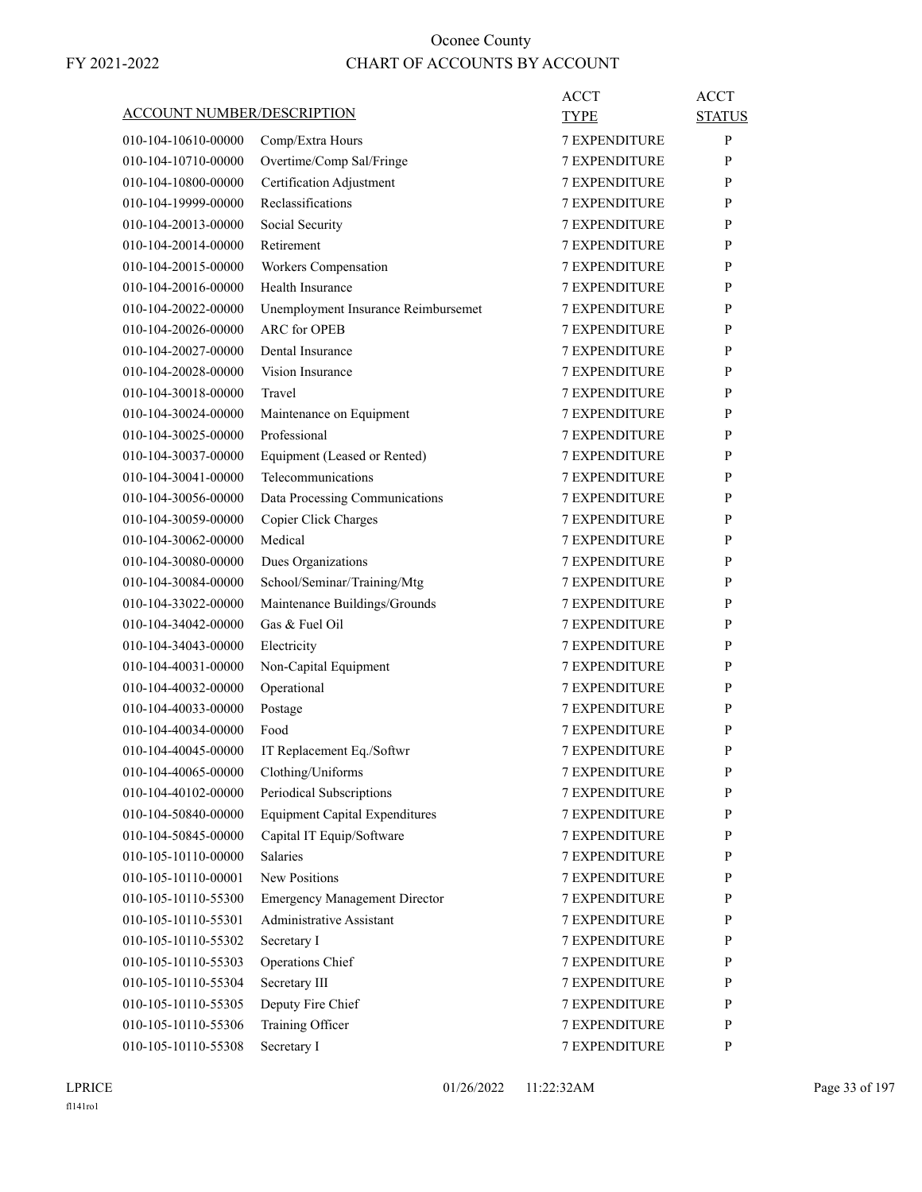|                                   |                                       | ACCT                 | <b>ACCT</b>   |
|-----------------------------------|---------------------------------------|----------------------|---------------|
| <u>ACCOUNT NUMBER/DESCRIPTION</u> |                                       | TYPE                 | <b>STATUS</b> |
| 010-104-10610-00000               | Comp/Extra Hours                      | <b>7 EXPENDITURE</b> | P             |
| 010-104-10710-00000               | Overtime/Comp Sal/Fringe              | <b>7 EXPENDITURE</b> | P             |
| 010-104-10800-00000               | Certification Adjustment              | <b>7 EXPENDITURE</b> | P             |
| 010-104-19999-00000               | Reclassifications                     | <b>7 EXPENDITURE</b> | P             |
| 010-104-20013-00000               | Social Security                       | <b>7 EXPENDITURE</b> | P             |
| 010-104-20014-00000               | Retirement                            | <b>7 EXPENDITURE</b> | P             |
| 010-104-20015-00000               | Workers Compensation                  | <b>7 EXPENDITURE</b> | P             |
| 010-104-20016-00000               | Health Insurance                      | <b>7 EXPENDITURE</b> | P             |
| 010-104-20022-00000               | Unemployment Insurance Reimbursemet   | <b>7 EXPENDITURE</b> | P             |
| 010-104-20026-00000               | <b>ARC</b> for OPEB                   | <b>7 EXPENDITURE</b> | P             |
| 010-104-20027-00000               | Dental Insurance                      | <b>7 EXPENDITURE</b> | P             |
| 010-104-20028-00000               | Vision Insurance                      | <b>7 EXPENDITURE</b> | P             |
| 010-104-30018-00000               | Travel                                | <b>7 EXPENDITURE</b> | P             |
| 010-104-30024-00000               | Maintenance on Equipment              | <b>7 EXPENDITURE</b> | P             |
| 010-104-30025-00000               | Professional                          | <b>7 EXPENDITURE</b> | P             |
| 010-104-30037-00000               | Equipment (Leased or Rented)          | <b>7 EXPENDITURE</b> | P             |
| 010-104-30041-00000               | Telecommunications                    | <b>7 EXPENDITURE</b> | P             |
| 010-104-30056-00000               | Data Processing Communications        | <b>7 EXPENDITURE</b> | P             |
| 010-104-30059-00000               | Copier Click Charges                  | <b>7 EXPENDITURE</b> | P             |
| 010-104-30062-00000               | Medical                               | <b>7 EXPENDITURE</b> | P             |
| 010-104-30080-00000               | Dues Organizations                    | <b>7 EXPENDITURE</b> | P             |
| 010-104-30084-00000               | School/Seminar/Training/Mtg           | <b>7 EXPENDITURE</b> | P             |
| 010-104-33022-00000               | Maintenance Buildings/Grounds         | <b>7 EXPENDITURE</b> | P             |
| 010-104-34042-00000               | Gas & Fuel Oil                        | <b>7 EXPENDITURE</b> | P             |
| 010-104-34043-00000               | Electricity                           | <b>7 EXPENDITURE</b> | P             |
| 010-104-40031-00000               | Non-Capital Equipment                 | 7 EXPENDITURE        | P             |
| 010-104-40032-00000               | Operational                           | <b>7 EXPENDITURE</b> | P             |
| 010-104-40033-00000               | Postage                               | <b>7 EXPENDITURE</b> | P             |
| 010-104-40034-00000               | Food                                  | <b>7 EXPENDITURE</b> | P             |
| 010-104-40045-00000               | IT Replacement Eq./Softwr             | <b>7 EXPENDITURE</b> | P             |
| 010-104-40065-00000               | Clothing/Uniforms                     | <b>7 EXPENDITURE</b> | P             |
| 010-104-40102-00000               | Periodical Subscriptions              | 7 EXPENDITURE        | P             |
| 010-104-50840-00000               | <b>Equipment Capital Expenditures</b> | 7 EXPENDITURE        | $\mathbf{P}$  |
| 010-104-50845-00000               | Capital IT Equip/Software             | 7 EXPENDITURE        | P             |
| 010-105-10110-00000               | <b>Salaries</b>                       | 7 EXPENDITURE        | P             |
| 010-105-10110-00001               | <b>New Positions</b>                  | 7 EXPENDITURE        | P             |
| 010-105-10110-55300               | <b>Emergency Management Director</b>  | <b>7 EXPENDITURE</b> | P             |
| 010-105-10110-55301               | Administrative Assistant              | 7 EXPENDITURE        | P             |
| 010-105-10110-55302               | Secretary I                           | 7 EXPENDITURE        | $\mathbf{P}$  |
| 010-105-10110-55303               | Operations Chief                      | 7 EXPENDITURE        | P             |
| 010-105-10110-55304               | Secretary III                         | 7 EXPENDITURE        | P             |
| 010-105-10110-55305               | Deputy Fire Chief                     | 7 EXPENDITURE        | P             |
| 010-105-10110-55306               | Training Officer                      | 7 EXPENDITURE        | P             |
| 010-105-10110-55308               | Secretary I                           | 7 EXPENDITURE        | P             |
|                                   |                                       |                      |               |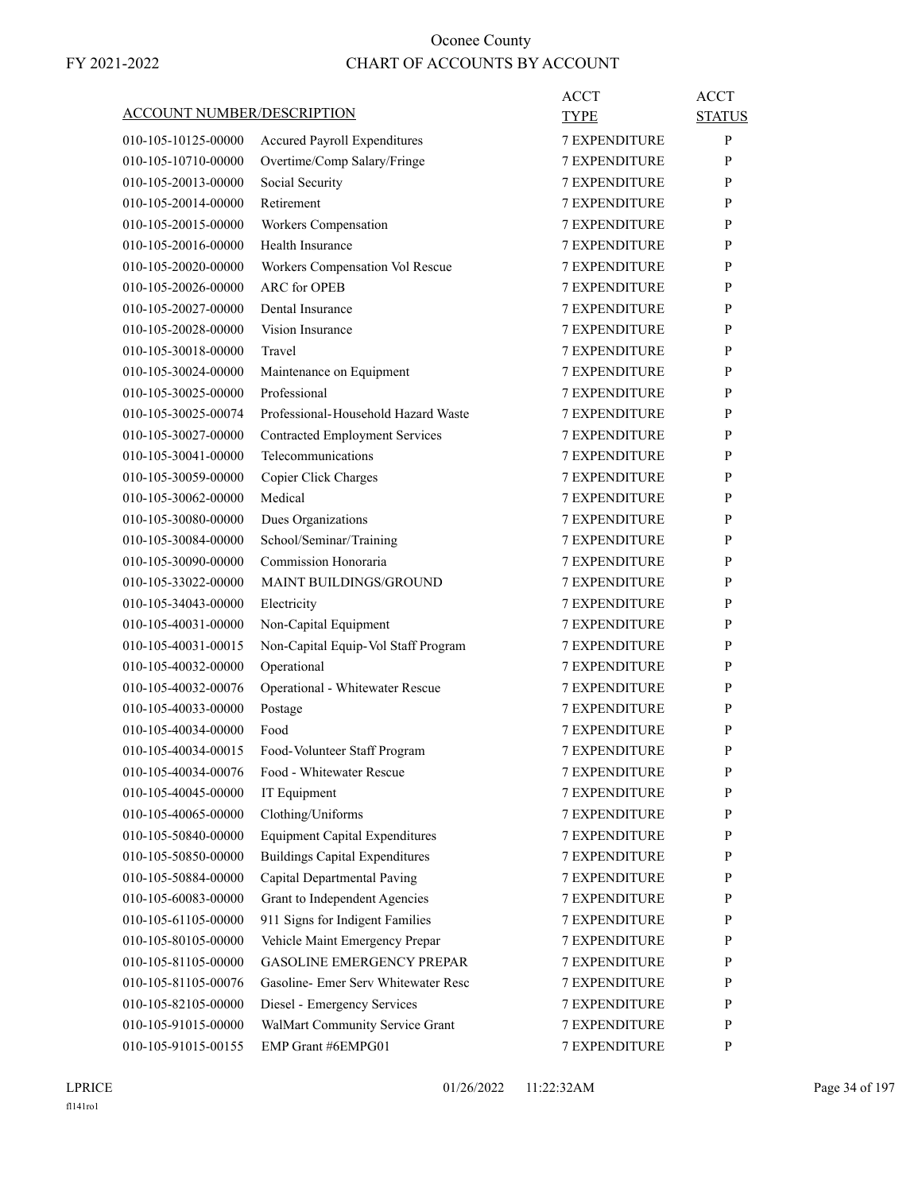| <b>ACCOUNT NUMBER/DESCRIPTION</b> |                                       | ACCT                 | <b>ACCT</b>   |
|-----------------------------------|---------------------------------------|----------------------|---------------|
|                                   |                                       | TYPE                 | <b>STATUS</b> |
| 010-105-10125-00000               | <b>Accured Payroll Expenditures</b>   | <b>7 EXPENDITURE</b> | P             |
| 010-105-10710-00000               | Overtime/Comp Salary/Fringe           | <b>7 EXPENDITURE</b> | P             |
| 010-105-20013-00000               | Social Security                       | <b>7 EXPENDITURE</b> | P             |
| 010-105-20014-00000               | Retirement                            | <b>7 EXPENDITURE</b> | P             |
| 010-105-20015-00000               | Workers Compensation                  | <b>7 EXPENDITURE</b> | P             |
| 010-105-20016-00000               | Health Insurance                      | <b>7 EXPENDITURE</b> | P             |
| 010-105-20020-00000               | Workers Compensation Vol Rescue       | <b>7 EXPENDITURE</b> | P             |
| 010-105-20026-00000               | <b>ARC</b> for OPEB                   | <b>7 EXPENDITURE</b> | P             |
| 010-105-20027-00000               | Dental Insurance                      | <b>7 EXPENDITURE</b> | P             |
| 010-105-20028-00000               | Vision Insurance                      | <b>7 EXPENDITURE</b> | P             |
| 010-105-30018-00000               | Travel                                | <b>7 EXPENDITURE</b> | P             |
| 010-105-30024-00000               | Maintenance on Equipment              | <b>7 EXPENDITURE</b> | P             |
| 010-105-30025-00000               | Professional                          | <b>7 EXPENDITURE</b> | P             |
| 010-105-30025-00074               | Professional-Household Hazard Waste   | <b>7 EXPENDITURE</b> | P             |
| 010-105-30027-00000               | <b>Contracted Employment Services</b> | <b>7 EXPENDITURE</b> | P             |
| 010-105-30041-00000               | Telecommunications                    | <b>7 EXPENDITURE</b> | P             |
| 010-105-30059-00000               | Copier Click Charges                  | <b>7 EXPENDITURE</b> | P             |
| 010-105-30062-00000               | Medical                               | <b>7 EXPENDITURE</b> | P             |
| 010-105-30080-00000               | Dues Organizations                    | <b>7 EXPENDITURE</b> | P             |
| 010-105-30084-00000               | School/Seminar/Training               | 7 EXPENDITURE        | P             |
| 010-105-30090-00000               | Commission Honoraria                  | <b>7 EXPENDITURE</b> | P             |
| 010-105-33022-00000               | <b>MAINT BUILDINGS/GROUND</b>         | <b>7 EXPENDITURE</b> | P             |
| 010-105-34043-00000               | Electricity                           | <b>7 EXPENDITURE</b> | P             |
| 010-105-40031-00000               | Non-Capital Equipment                 | <b>7 EXPENDITURE</b> | P             |
| 010-105-40031-00015               | Non-Capital Equip-Vol Staff Program   | <b>7 EXPENDITURE</b> | P             |
| 010-105-40032-00000               | Operational                           | <b>7 EXPENDITURE</b> | P             |
| 010-105-40032-00076               | Operational - Whitewater Rescue       | <b>7 EXPENDITURE</b> | P             |
| 010-105-40033-00000               | Postage                               | <b>7 EXPENDITURE</b> | P             |
| 010-105-40034-00000               | Food                                  | <b>7 EXPENDITURE</b> | P             |
| 010-105-40034-00015               | Food-Volunteer Staff Program          | <b>7 EXPENDITURE</b> | P             |
| 010-105-40034-00076               | Food - Whitewater Rescue              | 7 EXPENDITURE        | $\mathbf{P}$  |
| 010-105-40045-00000               | IT Equipment                          | <b>7 EXPENDITURE</b> | P             |
| 010-105-40065-00000               | Clothing/Uniforms                     | 7 EXPENDITURE        | P             |
| 010-105-50840-00000               | <b>Equipment Capital Expenditures</b> | 7 EXPENDITURE        | P             |
| 010-105-50850-00000               | <b>Buildings Capital Expenditures</b> | 7 EXPENDITURE        | P             |
| 010-105-50884-00000               | Capital Departmental Paving           | 7 EXPENDITURE        | P             |
| 010-105-60083-00000               | Grant to Independent Agencies         | 7 EXPENDITURE        | P             |
| 010-105-61105-00000               | 911 Signs for Indigent Families       | 7 EXPENDITURE        | P             |
| 010-105-80105-00000               | Vehicle Maint Emergency Prepar        | 7 EXPENDITURE        | P             |
| 010-105-81105-00000               | <b>GASOLINE EMERGENCY PREPAR</b>      | 7 EXPENDITURE        | P             |
| 010-105-81105-00076               | Gasoline- Emer Serv Whitewater Resc   | 7 EXPENDITURE        | P             |
| 010-105-82105-00000               | Diesel - Emergency Services           | 7 EXPENDITURE        | P             |
| 010-105-91015-00000               | WalMart Community Service Grant       | 7 EXPENDITURE        | P             |
| 010-105-91015-00155               | EMP Grant #6EMPG01                    | 7 EXPENDITURE        | P             |
|                                   |                                       |                      |               |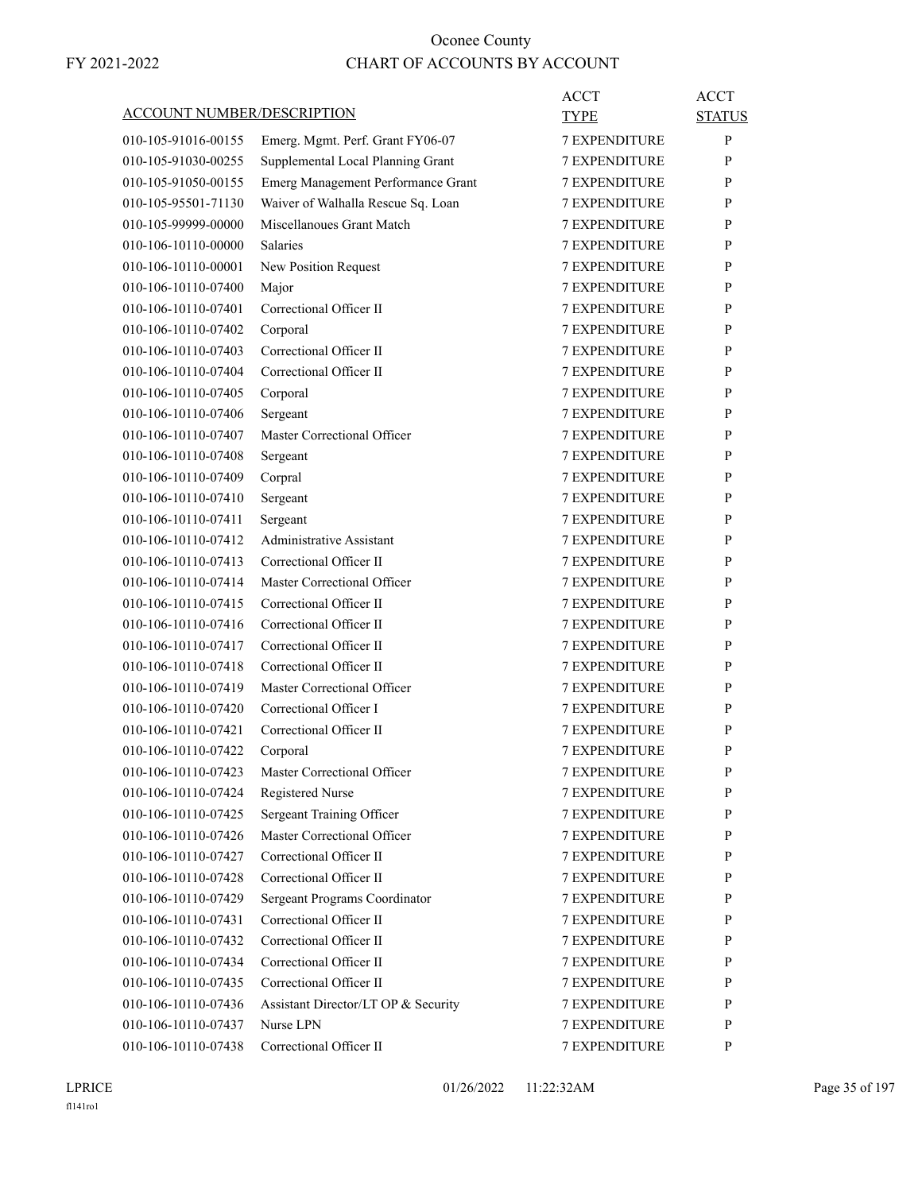| <b>ACCOUNT NUMBER/DESCRIPTION</b> |                                     | ACCT<br><b>TYPE</b>  | <b>ACCT</b><br><b>STATUS</b> |
|-----------------------------------|-------------------------------------|----------------------|------------------------------|
| 010-105-91016-00155               | Emerg. Mgmt. Perf. Grant FY06-07    | <b>7 EXPENDITURE</b> | P                            |
| 010-105-91030-00255               | Supplemental Local Planning Grant   | <b>7 EXPENDITURE</b> | P                            |
| 010-105-91050-00155               | Emerg Management Performance Grant  | <b>7 EXPENDITURE</b> | P                            |
| 010-105-95501-71130               | Waiver of Walhalla Rescue Sq. Loan  | <b>7 EXPENDITURE</b> | P                            |
| 010-105-99999-00000               | Miscellanoues Grant Match           | <b>7 EXPENDITURE</b> | P                            |
| 010-106-10110-00000               | <b>Salaries</b>                     | 7 EXPENDITURE        | P                            |
| 010-106-10110-00001               | New Position Request                | <b>7 EXPENDITURE</b> | P                            |
| 010-106-10110-07400               | Major                               | <b>7 EXPENDITURE</b> | P                            |
| 010-106-10110-07401               | Correctional Officer II             | 7 EXPENDITURE        | P                            |
| 010-106-10110-07402               | Corporal                            | <b>7 EXPENDITURE</b> | P                            |
| 010-106-10110-07403               | Correctional Officer II             | <b>7 EXPENDITURE</b> | P                            |
| 010-106-10110-07404               | Correctional Officer II             | 7 EXPENDITURE        | P                            |
| 010-106-10110-07405               | Corporal                            | <b>7 EXPENDITURE</b> | P                            |
| 010-106-10110-07406               | Sergeant                            | <b>7 EXPENDITURE</b> | P                            |
| 010-106-10110-07407               | Master Correctional Officer         | 7 EXPENDITURE        | P                            |
| 010-106-10110-07408               | Sergeant                            | <b>7 EXPENDITURE</b> | P                            |
| 010-106-10110-07409               | Corpral                             | <b>7 EXPENDITURE</b> | P                            |
| 010-106-10110-07410               | Sergeant                            | 7 EXPENDITURE        | P                            |
| 010-106-10110-07411               | Sergeant                            | <b>7 EXPENDITURE</b> | P                            |
| 010-106-10110-07412               | Administrative Assistant            | <b>7 EXPENDITURE</b> | P                            |
| 010-106-10110-07413               | Correctional Officer II             | 7 EXPENDITURE        | P                            |
| 010-106-10110-07414               | Master Correctional Officer         | <b>7 EXPENDITURE</b> | P                            |
| 010-106-10110-07415               | Correctional Officer II             | <b>7 EXPENDITURE</b> | P                            |
| 010-106-10110-07416               | Correctional Officer II             | <b>7 EXPENDITURE</b> | P                            |
| 010-106-10110-07417               | Correctional Officer II             | <b>7 EXPENDITURE</b> | P                            |
| 010-106-10110-07418               | Correctional Officer II             | <b>7 EXPENDITURE</b> | P                            |
| 010-106-10110-07419               | Master Correctional Officer         | 7 EXPENDITURE        | P                            |
| 010-106-10110-07420               | Correctional Officer I              | <b>7 EXPENDITURE</b> | P                            |
| 010-106-10110-07421               | Correctional Officer II             | <b>7 EXPENDITURE</b> | P                            |
| 010-106-10110-07422               | Corporal                            | <b>7 EXPENDITURE</b> | P                            |
| 010-106-10110-07423               | Master Correctional Officer         | <b>7 EXPENDITURE</b> | P                            |
| 010-106-10110-07424               | Registered Nurse                    | 7 EXPENDITURE        | P                            |
| 010-106-10110-07425               | Sergeant Training Officer           | 7 EXPENDITURE        | $\mathbf{P}$                 |
| 010-106-10110-07426               | Master Correctional Officer         | 7 EXPENDITURE        | P                            |
| 010-106-10110-07427               | Correctional Officer II             | 7 EXPENDITURE        | P                            |
| 010-106-10110-07428               | Correctional Officer II             | <b>7 EXPENDITURE</b> | P                            |
| 010-106-10110-07429               | Sergeant Programs Coordinator       | <b>7 EXPENDITURE</b> | P                            |
| 010-106-10110-07431               | Correctional Officer II             | 7 EXPENDITURE        | P                            |
| 010-106-10110-07432               | Correctional Officer II             | 7 EXPENDITURE        | P                            |
| 010-106-10110-07434               | Correctional Officer II             | 7 EXPENDITURE        | P                            |
| 010-106-10110-07435               | Correctional Officer II             | 7 EXPENDITURE        | P                            |
| 010-106-10110-07436               | Assistant Director/LT OP & Security | <b>7 EXPENDITURE</b> | P                            |
| 010-106-10110-07437               | Nurse LPN                           | <b>7 EXPENDITURE</b> | P                            |
| 010-106-10110-07438               | Correctional Officer II             | 7 EXPENDITURE        | P                            |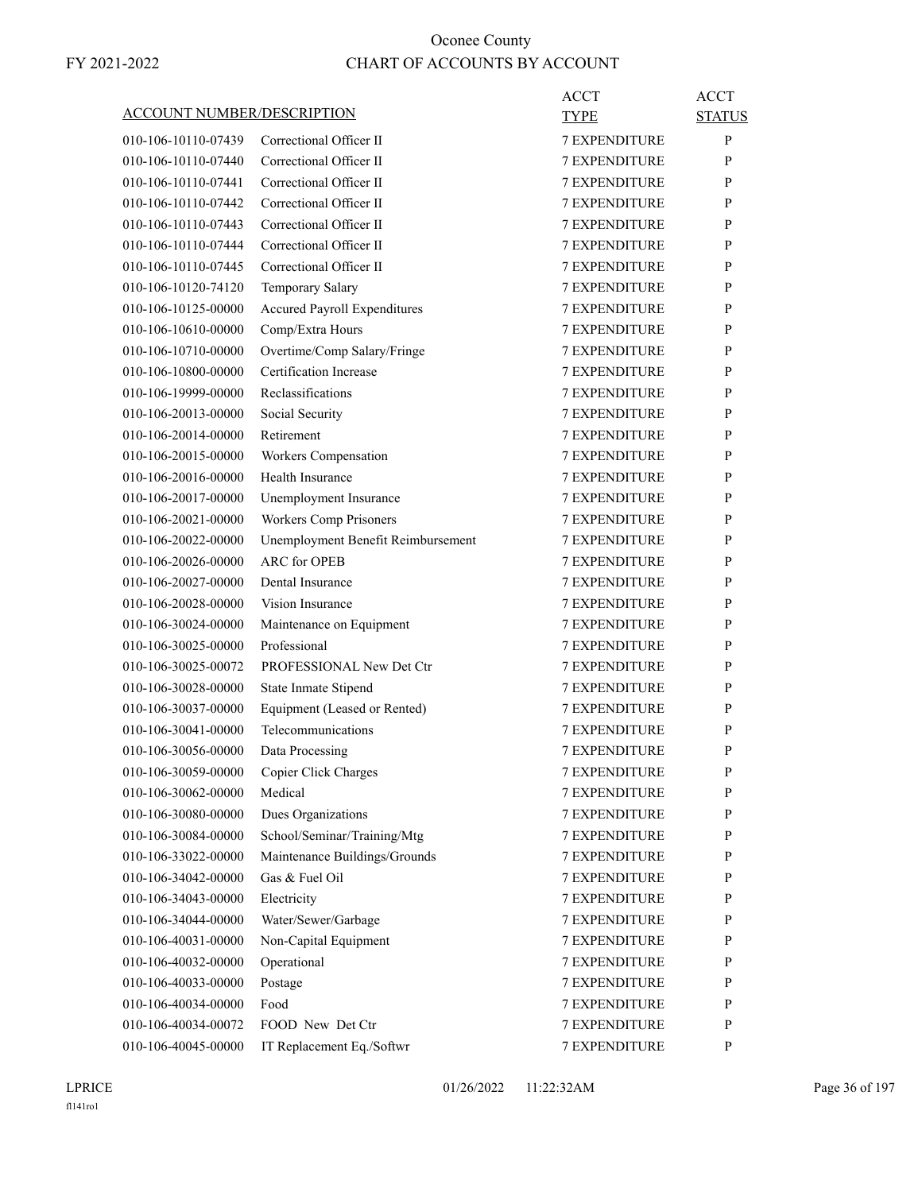|                                   |                                    | <b>ACCT</b>                                  | <b>ACCT</b>   |
|-----------------------------------|------------------------------------|----------------------------------------------|---------------|
| <b>ACCOUNT NUMBER/DESCRIPTION</b> |                                    | TYPE                                         | <b>STATUS</b> |
| 010-106-10110-07439               | Correctional Officer II            | <b>7 EXPENDITURE</b>                         | P             |
| 010-106-10110-07440               | Correctional Officer II            | <b>7 EXPENDITURE</b>                         | P             |
| 010-106-10110-07441               | Correctional Officer II            | <b>7 EXPENDITURE</b>                         | P             |
| 010-106-10110-07442               | Correctional Officer II            | <b>7 EXPENDITURE</b>                         | P             |
| 010-106-10110-07443               | Correctional Officer II            | <b>7 EXPENDITURE</b>                         | P             |
| 010-106-10110-07444               | Correctional Officer II            | <b>7 EXPENDITURE</b>                         | P             |
| 010-106-10110-07445               | Correctional Officer II            | <b>7 EXPENDITURE</b>                         | P             |
| 010-106-10120-74120               | Temporary Salary                   | <b>7 EXPENDITURE</b>                         | P             |
| 010-106-10125-00000               | Accured Payroll Expenditures       | <b>7 EXPENDITURE</b>                         | P             |
| 010-106-10610-00000               | Comp/Extra Hours                   | <b>7 EXPENDITURE</b>                         | P             |
| 010-106-10710-00000               | Overtime/Comp Salary/Fringe        | <b>7 EXPENDITURE</b>                         | P             |
| 010-106-10800-00000               | Certification Increase             | <b>7 EXPENDITURE</b>                         | P             |
| 010-106-19999-00000               | Reclassifications                  | <b>7 EXPENDITURE</b>                         | P             |
| 010-106-20013-00000               | Social Security                    | <b>7 EXPENDITURE</b>                         | P             |
| 010-106-20014-00000               | Retirement                         | <b>7 EXPENDITURE</b>                         | P             |
| 010-106-20015-00000               | Workers Compensation               | <b>7 EXPENDITURE</b>                         | P             |
| 010-106-20016-00000               | Health Insurance                   | <b>7 EXPENDITURE</b>                         | P             |
| 010-106-20017-00000               | Unemployment Insurance             | <b>7 EXPENDITURE</b>                         | P             |
| 010-106-20021-00000               | Workers Comp Prisoners             | <b>7 EXPENDITURE</b>                         | P             |
| 010-106-20022-00000               | Unemployment Benefit Reimbursement | <b>7 EXPENDITURE</b>                         | P             |
| 010-106-20026-00000               | <b>ARC</b> for OPEB                | <b>7 EXPENDITURE</b>                         | P             |
| 010-106-20027-00000               | Dental Insurance                   | <b>7 EXPENDITURE</b>                         | P             |
| 010-106-20028-00000               | Vision Insurance                   | <b>7 EXPENDITURE</b>                         | P             |
| 010-106-30024-00000               | Maintenance on Equipment           | <b>7 EXPENDITURE</b>                         | P             |
| 010-106-30025-00000               | Professional                       | <b>7 EXPENDITURE</b>                         | P             |
| 010-106-30025-00072               | PROFESSIONAL New Det Ctr           | <b>7 EXPENDITURE</b>                         | P             |
| 010-106-30028-00000               | State Inmate Stipend               | <b>7 EXPENDITURE</b>                         | P             |
| 010-106-30037-00000               | Equipment (Leased or Rented)       | 7 EXPENDITURE                                | P             |
| 010-106-30041-00000               | Telecommunications                 | <b>7 EXPENDITURE</b>                         | P             |
| 010-106-30056-00000               | Data Processing                    | <b>7 EXPENDITURE</b>                         | P             |
| 010-106-30059-00000               | Copier Click Charges               | <b>7 EXPENDITURE</b>                         | ${\bf P}$     |
| 010-106-30062-00000               | Medical                            | <b>7 EXPENDITURE</b>                         | P             |
| 010-106-30080-00000               | Dues Organizations                 | <b>7 EXPENDITURE</b>                         | P             |
| 010-106-30084-00000               | School/Seminar/Training/Mtg        | <b>7 EXPENDITURE</b>                         | P             |
| 010-106-33022-00000               | Maintenance Buildings/Grounds      | <b>7 EXPENDITURE</b>                         | P             |
| 010-106-34042-00000               | Gas & Fuel Oil                     | 7 EXPENDITURE                                | P             |
| 010-106-34043-00000               | Electricity                        | 7 EXPENDITURE                                | P             |
|                                   |                                    |                                              |               |
| 010-106-34044-00000               | Water/Sewer/Garbage                | <b>7 EXPENDITURE</b>                         | P             |
| 010-106-40031-00000               | Non-Capital Equipment              | <b>7 EXPENDITURE</b><br><b>7 EXPENDITURE</b> | P             |
| 010-106-40032-00000               | Operational                        |                                              | P             |
| 010-106-40033-00000               | Postage                            | <b>7 EXPENDITURE</b>                         | P             |
| 010-106-40034-00000               | Food                               | 7 EXPENDITURE                                | P             |
| 010-106-40034-00072               | FOOD New Det Ctr                   | 7 EXPENDITURE                                | $\mathbf{P}$  |
| 010-106-40045-00000               | IT Replacement Eq./Softwr          | 7 EXPENDITURE                                | $\mathbf{P}$  |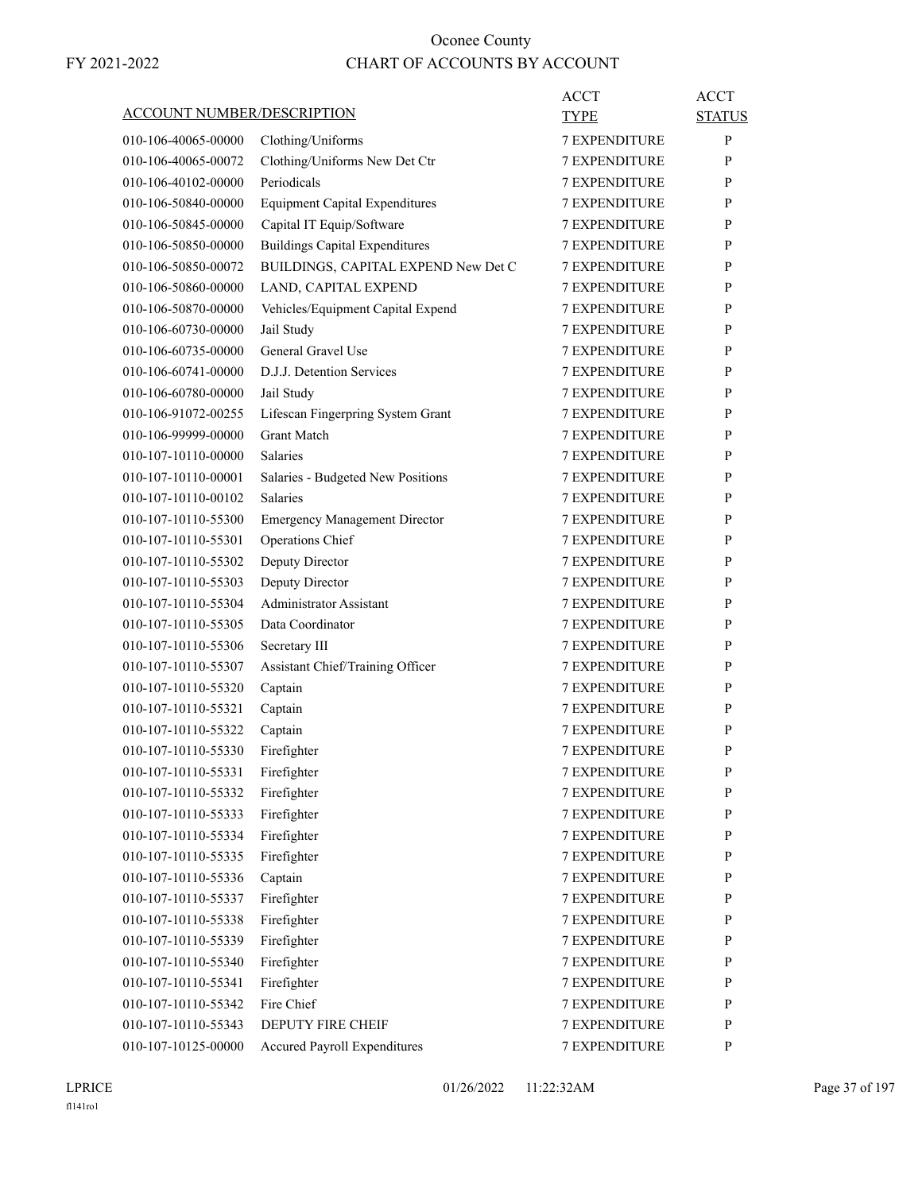| <b>ACCOUNT NUMBER/DESCRIPTION</b>          |                                             | ACCT<br><b>TYPE</b>                          | <b>ACCT</b><br><b>STATUS</b> |
|--------------------------------------------|---------------------------------------------|----------------------------------------------|------------------------------|
| 010-106-40065-00000                        | Clothing/Uniforms                           | <b>7 EXPENDITURE</b>                         | P                            |
| 010-106-40065-00072                        | Clothing/Uniforms New Det Ctr               | <b>7 EXPENDITURE</b>                         | P                            |
| 010-106-40102-00000                        | Periodicals                                 | <b>7 EXPENDITURE</b>                         | P                            |
| 010-106-50840-00000                        | <b>Equipment Capital Expenditures</b>       | <b>7 EXPENDITURE</b>                         | P                            |
| 010-106-50845-00000                        | Capital IT Equip/Software                   | <b>7 EXPENDITURE</b>                         | P                            |
| 010-106-50850-00000                        | <b>Buildings Capital Expenditures</b>       | <b>7 EXPENDITURE</b>                         | P                            |
| 010-106-50850-00072                        | BUILDINGS, CAPITAL EXPEND New Det C         | <b>7 EXPENDITURE</b>                         | P                            |
| 010-106-50860-00000                        | LAND, CAPITAL EXPEND                        | 7 EXPENDITURE                                | P                            |
| 010-106-50870-00000                        | Vehicles/Equipment Capital Expend           | <b>7 EXPENDITURE</b>                         | P                            |
| 010-106-60730-00000                        | Jail Study                                  | <b>7 EXPENDITURE</b>                         | P                            |
| 010-106-60735-00000                        | General Gravel Use                          | <b>7 EXPENDITURE</b>                         | P                            |
| 010-106-60741-00000                        | D.J.J. Detention Services                   | <b>7 EXPENDITURE</b>                         | P                            |
| 010-106-60780-00000                        | Jail Study                                  | <b>7 EXPENDITURE</b>                         | P                            |
| 010-106-91072-00255                        | Lifescan Fingerpring System Grant           | 7 EXPENDITURE                                | P                            |
| 010-106-99999-00000                        | <b>Grant Match</b>                          | <b>7 EXPENDITURE</b>                         | P                            |
| 010-107-10110-00000                        | <b>Salaries</b>                             | <b>7 EXPENDITURE</b>                         | P                            |
| 010-107-10110-00001                        | Salaries - Budgeted New Positions           | <b>7 EXPENDITURE</b>                         | P                            |
| 010-107-10110-00102                        | <b>Salaries</b>                             | <b>7 EXPENDITURE</b>                         | P                            |
| 010-107-10110-55300                        | <b>Emergency Management Director</b>        | <b>7 EXPENDITURE</b>                         | P                            |
| 010-107-10110-55301                        | Operations Chief                            | 7 EXPENDITURE                                | P                            |
| 010-107-10110-55302                        | Deputy Director                             | <b>7 EXPENDITURE</b>                         | P                            |
| 010-107-10110-55303                        | Deputy Director                             | <b>7 EXPENDITURE</b>                         | P                            |
| 010-107-10110-55304                        | <b>Administrator Assistant</b>              | <b>7 EXPENDITURE</b>                         | P                            |
| 010-107-10110-55305                        | Data Coordinator                            | <b>7 EXPENDITURE</b>                         | P                            |
| 010-107-10110-55306                        | Secretary III                               | <b>7 EXPENDITURE</b>                         | P                            |
| 010-107-10110-55307                        |                                             | 7 EXPENDITURE                                | P                            |
| 010-107-10110-55320                        | Assistant Chief/Training Officer<br>Captain | <b>7 EXPENDITURE</b>                         | P                            |
| 010-107-10110-55321                        |                                             | <b>7 EXPENDITURE</b>                         | P                            |
|                                            | Captain<br>Captain                          | <b>7 EXPENDITURE</b>                         |                              |
| 010-107-10110-55322                        |                                             |                                              | P<br>P                       |
| 010-107-10110-55330                        | Firefighter                                 | <b>7 EXPENDITURE</b><br><b>7 EXPENDITURE</b> | $\mathbf{P}$                 |
| 010-107-10110-55331                        | Firefighter                                 |                                              |                              |
| 010-107-10110-55332                        | Firefighter                                 | 7 EXPENDITURE                                | P                            |
| 010-107-10110-55333<br>010-107-10110-55334 | Firefighter                                 | 7 EXPENDITURE                                | P<br>P                       |
|                                            | Firefighter                                 | 7 EXPENDITURE<br><b>7 EXPENDITURE</b>        |                              |
| 010-107-10110-55335                        | Firefighter                                 |                                              | $\mathbf{P}$                 |
| 010-107-10110-55336                        | Captain                                     | 7 EXPENDITURE                                | P                            |
| 010-107-10110-55337                        | Firefighter                                 | <b>7 EXPENDITURE</b>                         | P                            |
| 010-107-10110-55338                        | Firefighter                                 | 7 EXPENDITURE                                | P                            |
| 010-107-10110-55339                        | Firefighter                                 | 7 EXPENDITURE                                | P                            |
| 010-107-10110-55340                        | Firefighter                                 | 7 EXPENDITURE                                | P                            |
| 010-107-10110-55341                        | Firefighter                                 | 7 EXPENDITURE                                | $\mathbf{P}$                 |
| 010-107-10110-55342                        | Fire Chief                                  | 7 EXPENDITURE                                | P                            |
| 010-107-10110-55343                        | <b>DEPUTY FIRE CHEIF</b>                    | 7 EXPENDITURE                                | $\mathbf{P}$                 |
| 010-107-10125-00000                        | Accured Payroll Expenditures                | 7 EXPENDITURE                                | $\mathbf{P}$                 |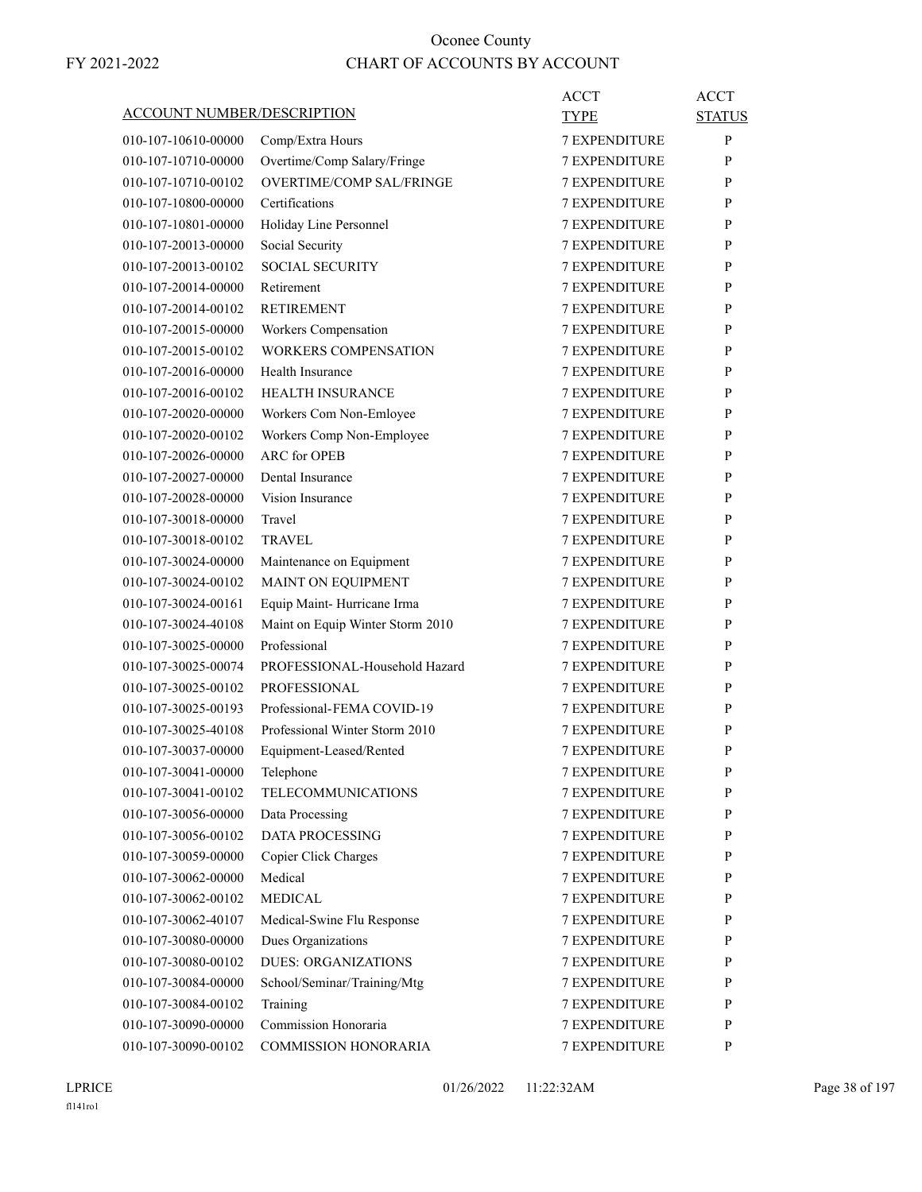| ACCOUNT NUMBER/DESCRIPTION |                                  | ACCT<br><b>TYPE</b>                          | <b>ACCT</b><br><b>STATUS</b> |
|----------------------------|----------------------------------|----------------------------------------------|------------------------------|
| 010-107-10610-00000        | Comp/Extra Hours                 | <b>7 EXPENDITURE</b>                         | P                            |
| 010-107-10710-00000        | Overtime/Comp Salary/Fringe      | <b>7 EXPENDITURE</b>                         | P                            |
| 010-107-10710-00102        | <b>OVERTIME/COMP SAL/FRINGE</b>  | <b>7 EXPENDITURE</b>                         | P                            |
| 010-107-10800-00000        | Certifications                   | <b>7 EXPENDITURE</b>                         | P                            |
| 010-107-10801-00000        | Holiday Line Personnel           | <b>7 EXPENDITURE</b>                         | P                            |
| 010-107-20013-00000        | Social Security                  | <b>7 EXPENDITURE</b>                         | P                            |
| 010-107-20013-00102        | <b>SOCIAL SECURITY</b>           | <b>7 EXPENDITURE</b>                         | P                            |
| 010-107-20014-00000        | Retirement                       | 7 EXPENDITURE                                | P                            |
| 010-107-20014-00102        | <b>RETIREMENT</b>                | <b>7 EXPENDITURE</b>                         | P                            |
| 010-107-20015-00000        | Workers Compensation             | <b>7 EXPENDITURE</b>                         | P                            |
| 010-107-20015-00102        | <b>WORKERS COMPENSATION</b>      | <b>7 EXPENDITURE</b>                         | P                            |
| 010-107-20016-00000        | Health Insurance                 | <b>7 EXPENDITURE</b>                         | P                            |
| 010-107-20016-00102        | <b>HEALTH INSURANCE</b>          | <b>7 EXPENDITURE</b>                         | P                            |
| 010-107-20020-00000        | Workers Com Non-Emloyee          | 7 EXPENDITURE                                | P                            |
| 010-107-20020-00102        | Workers Comp Non-Employee        | <b>7 EXPENDITURE</b>                         | P                            |
| 010-107-20026-00000        | ARC for OPEB                     | <b>7 EXPENDITURE</b>                         | P                            |
| 010-107-20027-00000        | Dental Insurance                 | <b>7 EXPENDITURE</b>                         | P                            |
| 010-107-20028-00000        | Vision Insurance                 | <b>7 EXPENDITURE</b>                         | P                            |
| 010-107-30018-00000        | Travel                           | <b>7 EXPENDITURE</b>                         | P                            |
| 010-107-30018-00102        | <b>TRAVEL</b>                    | 7 EXPENDITURE                                | P                            |
| 010-107-30024-00000        | Maintenance on Equipment         | <b>7 EXPENDITURE</b>                         | P                            |
| 010-107-30024-00102        | MAINT ON EQUIPMENT               | <b>7 EXPENDITURE</b>                         | P                            |
| 010-107-30024-00161        | Equip Maint-Hurricane Irma       | <b>7 EXPENDITURE</b>                         | P                            |
| 010-107-30024-40108        | Maint on Equip Winter Storm 2010 | <b>7 EXPENDITURE</b>                         | P                            |
| 010-107-30025-00000        | Professional                     | <b>7 EXPENDITURE</b>                         | P                            |
| 010-107-30025-00074        | PROFESSIONAL-Household Hazard    | 7 EXPENDITURE                                | P                            |
| 010-107-30025-00102        | <b>PROFESSIONAL</b>              | <b>7 EXPENDITURE</b>                         | P                            |
| 010-107-30025-00193        | Professional-FEMA COVID-19       | <b>7 EXPENDITURE</b>                         | P                            |
| 010-107-30025-40108        | Professional Winter Storm 2010   | <b>7 EXPENDITURE</b>                         | P                            |
|                            |                                  |                                              |                              |
| 010-107-30037-00000        | Equipment-Leased/Rented          | <b>7 EXPENDITURE</b>                         | P                            |
| 010-107-30041-00000        | Telephone                        | <b>7 EXPENDITURE</b><br><b>7 EXPENDITURE</b> | $\mathbf{P}$                 |
| 010-107-30041-00102        | <b>TELECOMMUNICATIONS</b>        |                                              | P                            |
| 010-107-30056-00000        | Data Processing                  | 7 EXPENDITURE                                | P                            |
| 010-107-30056-00102        | <b>DATA PROCESSING</b>           | 7 EXPENDITURE<br><b>7 EXPENDITURE</b>        | P                            |
| 010-107-30059-00000        | Copier Click Charges<br>Medical  | <b>7 EXPENDITURE</b>                         | P                            |
| 010-107-30062-00000        |                                  |                                              | P                            |
| 010-107-30062-00102        | <b>MEDICAL</b>                   | <b>7 EXPENDITURE</b>                         | P                            |
| 010-107-30062-40107        | Medical-Swine Flu Response       | <b>7 EXPENDITURE</b>                         | P                            |
| 010-107-30080-00000        | Dues Organizations               | 7 EXPENDITURE                                | P                            |
| 010-107-30080-00102        | <b>DUES: ORGANIZATIONS</b>       | 7 EXPENDITURE                                | P                            |
| 010-107-30084-00000        | School/Seminar/Training/Mtg      | 7 EXPENDITURE                                | P                            |
| 010-107-30084-00102        | Training                         | <b>7 EXPENDITURE</b>                         | P                            |
| 010-107-30090-00000        | Commission Honoraria             | 7 EXPENDITURE                                | $\mathbf{P}$                 |
| 010-107-30090-00102        | COMMISSION HONORARIA             | 7 EXPENDITURE                                | P                            |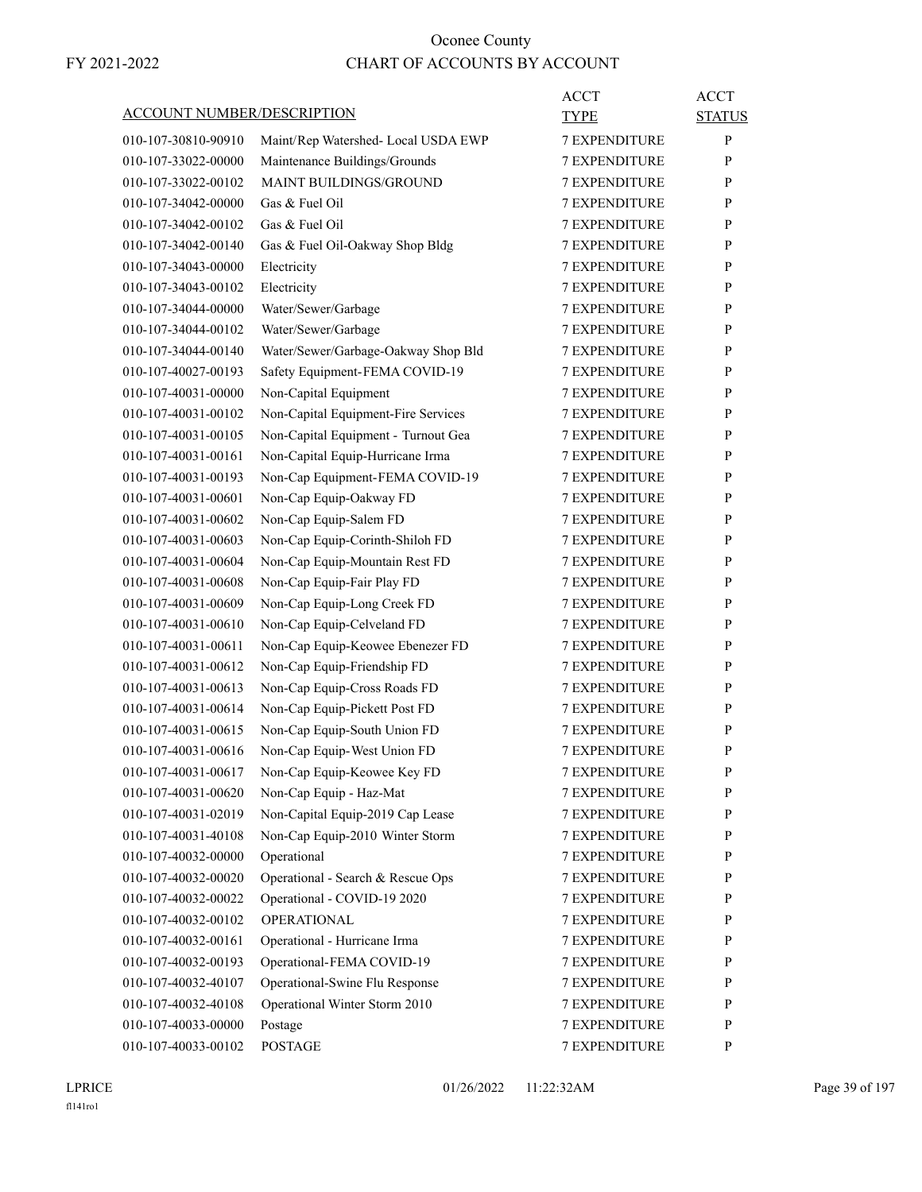| ACCOUNT NUMBER/DESCRIPTION |                                     | <b>ACCT</b><br>TYPE  | <b>ACCT</b><br><b>STATUS</b> |
|----------------------------|-------------------------------------|----------------------|------------------------------|
| 010-107-30810-90910        | Maint/Rep Watershed-Local USDA EWP  | <b>7 EXPENDITURE</b> | $\mathbf{P}$                 |
| 010-107-33022-00000        | Maintenance Buildings/Grounds       | <b>7 EXPENDITURE</b> | P                            |
| 010-107-33022-00102        | MAINT BUILDINGS/GROUND              | <b>7 EXPENDITURE</b> | P                            |
| 010-107-34042-00000        | Gas & Fuel Oil                      | <b>7 EXPENDITURE</b> | P                            |
| 010-107-34042-00102        | Gas & Fuel Oil                      | <b>7 EXPENDITURE</b> | P                            |
| 010-107-34042-00140        | Gas & Fuel Oil-Oakway Shop Bldg     | <b>7 EXPENDITURE</b> | P                            |
| 010-107-34043-00000        | Electricity                         | <b>7 EXPENDITURE</b> | P                            |
| 010-107-34043-00102        | Electricity                         | 7 EXPENDITURE        | P                            |
| 010-107-34044-00000        | Water/Sewer/Garbage                 | <b>7 EXPENDITURE</b> | P                            |
| 010-107-34044-00102        | Water/Sewer/Garbage                 | <b>7 EXPENDITURE</b> | P                            |
| 010-107-34044-00140        | Water/Sewer/Garbage-Oakway Shop Bld | <b>7 EXPENDITURE</b> | P                            |
| 010-107-40027-00193        | Safety Equipment-FEMA COVID-19      | <b>7 EXPENDITURE</b> | P                            |
| 010-107-40031-00000        | Non-Capital Equipment               | <b>7 EXPENDITURE</b> | P                            |
| 010-107-40031-00102        | Non-Capital Equipment-Fire Services | 7 EXPENDITURE        | P                            |
| 010-107-40031-00105        | Non-Capital Equipment - Turnout Gea | <b>7 EXPENDITURE</b> | P                            |
| 010-107-40031-00161        | Non-Capital Equip-Hurricane Irma    | <b>7 EXPENDITURE</b> | P                            |
| 010-107-40031-00193        | Non-Cap Equipment-FEMA COVID-19     | <b>7 EXPENDITURE</b> | P                            |
| 010-107-40031-00601        | Non-Cap Equip-Oakway FD             | <b>7 EXPENDITURE</b> | P                            |
| 010-107-40031-00602        | Non-Cap Equip-Salem FD              | <b>7 EXPENDITURE</b> | P                            |
| 010-107-40031-00603        | Non-Cap Equip-Corinth-Shiloh FD     | 7 EXPENDITURE        | P                            |
| 010-107-40031-00604        | Non-Cap Equip-Mountain Rest FD      | <b>7 EXPENDITURE</b> | P                            |
| 010-107-40031-00608        | Non-Cap Equip-Fair Play FD          | <b>7 EXPENDITURE</b> | P                            |
| 010-107-40031-00609        | Non-Cap Equip-Long Creek FD         | <b>7 EXPENDITURE</b> | P                            |
| 010-107-40031-00610        | Non-Cap Equip-Celveland FD          | <b>7 EXPENDITURE</b> | P                            |
| 010-107-40031-00611        | Non-Cap Equip-Keowee Ebenezer FD    | <b>7 EXPENDITURE</b> | P                            |
| 010-107-40031-00612        | Non-Cap Equip-Friendship FD         | 7 EXPENDITURE        | P                            |
| 010-107-40031-00613        | Non-Cap Equip-Cross Roads FD        | <b>7 EXPENDITURE</b> | P                            |
| 010-107-40031-00614        | Non-Cap Equip-Pickett Post FD       | <b>7 EXPENDITURE</b> | P                            |
| 010-107-40031-00615        | Non-Cap Equip-South Union FD        | <b>7 EXPENDITURE</b> | P                            |
| 010-107-40031-00616        | Non-Cap Equip-West Union FD         | <b>7 EXPENDITURE</b> | P                            |
| 010-107-40031-00617        | Non-Cap Equip-Keowee Key FD         | <b>7 EXPENDITURE</b> | $\mathbf{P}$                 |
| 010-107-40031-00620        | Non-Cap Equip - Haz-Mat             | 7 EXPENDITURE        | P                            |
| 010-107-40031-02019        | Non-Capital Equip-2019 Cap Lease    | 7 EXPENDITURE        | $\mathbf{P}$                 |
| 010-107-40031-40108        | Non-Cap Equip-2010 Winter Storm     | 7 EXPENDITURE        | $\mathbf{P}$                 |
| 010-107-40032-00000        | Operational                         | 7 EXPENDITURE        | P                            |
| 010-107-40032-00020        | Operational - Search & Rescue Ops   | 7 EXPENDITURE        | $\mathbf{P}$                 |
| 010-107-40032-00022        | Operational - COVID-19 2020         | 7 EXPENDITURE        | P                            |
| 010-107-40032-00102        | <b>OPERATIONAL</b>                  | 7 EXPENDITURE        | P                            |
| 010-107-40032-00161        | Operational - Hurricane Irma        | 7 EXPENDITURE        | $\mathbf{P}$                 |
| 010-107-40032-00193        | Operational-FEMA COVID-19           | 7 EXPENDITURE        | $\mathbf{P}$                 |
| 010-107-40032-40107        | Operational-Swine Flu Response      | 7 EXPENDITURE        | P                            |
| 010-107-40032-40108        | Operational Winter Storm 2010       | 7 EXPENDITURE        | $\mathbf{P}$                 |
| 010-107-40033-00000        | Postage                             | 7 EXPENDITURE        | P                            |
| 010-107-40033-00102        | <b>POSTAGE</b>                      | 7 EXPENDITURE        | P                            |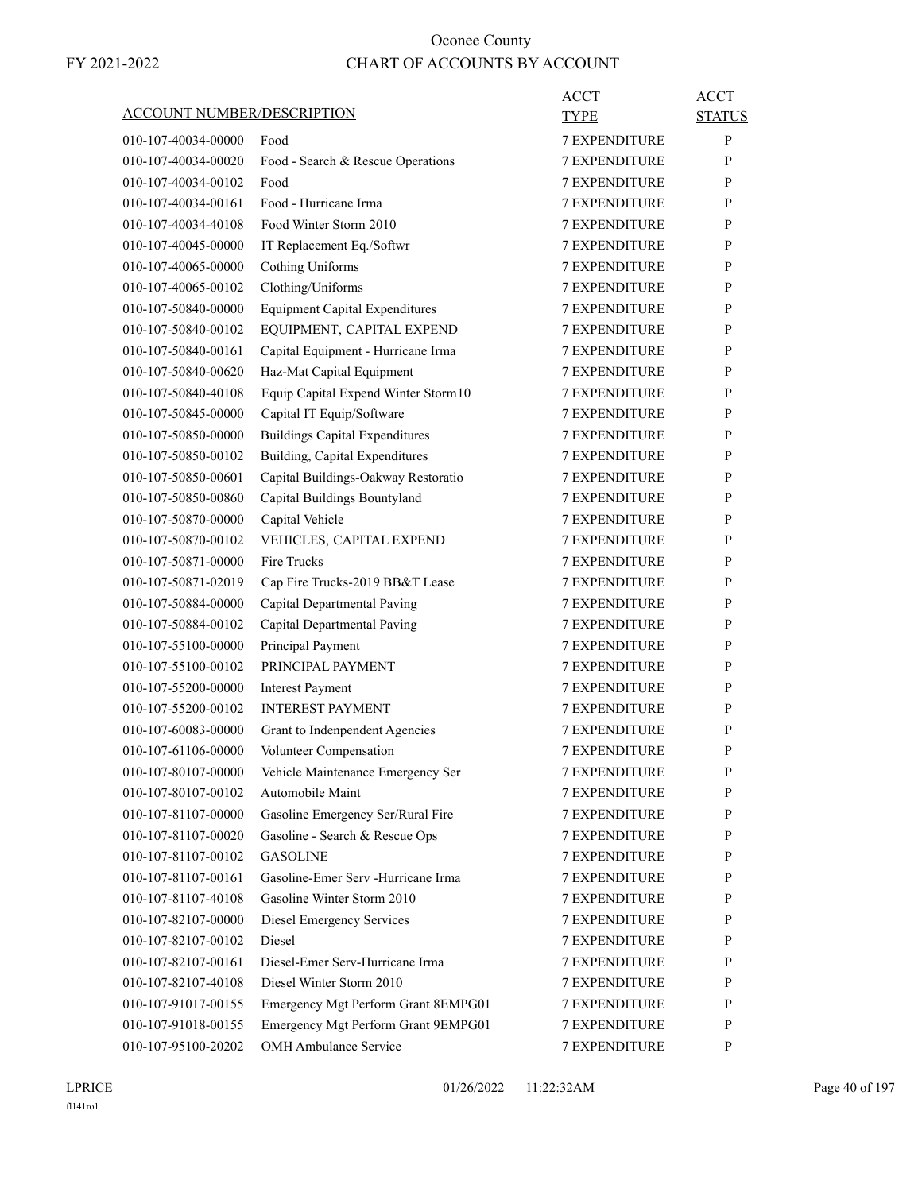| <b>ACCOUNT NUMBER/DESCRIPTION</b> |                                       | ACCT<br><b>TYPE</b>  | <b>ACCT</b><br><b>STATUS</b> |
|-----------------------------------|---------------------------------------|----------------------|------------------------------|
| 010-107-40034-00000               | Food                                  | <b>7 EXPENDITURE</b> | P                            |
| 010-107-40034-00020               | Food - Search & Rescue Operations     | 7 EXPENDITURE        | P                            |
| 010-107-40034-00102               | Food                                  | <b>7 EXPENDITURE</b> | P                            |
| 010-107-40034-00161               | Food - Hurricane Irma                 | <b>7 EXPENDITURE</b> | P                            |
| 010-107-40034-40108               | Food Winter Storm 2010                | <b>7 EXPENDITURE</b> | P                            |
| 010-107-40045-00000               | IT Replacement Eq./Softwr             | <b>7 EXPENDITURE</b> | P                            |
| 010-107-40065-00000               | Cothing Uniforms                      | <b>7 EXPENDITURE</b> | P                            |
| 010-107-40065-00102               | Clothing/Uniforms                     | 7 EXPENDITURE        | P                            |
| 010-107-50840-00000               | <b>Equipment Capital Expenditures</b> | <b>7 EXPENDITURE</b> | P                            |
| 010-107-50840-00102               | EQUIPMENT, CAPITAL EXPEND             | <b>7 EXPENDITURE</b> | P                            |
| 010-107-50840-00161               | Capital Equipment - Hurricane Irma    | <b>7 EXPENDITURE</b> | P                            |
| 010-107-50840-00620               | Haz-Mat Capital Equipment             | <b>7 EXPENDITURE</b> | P                            |
| 010-107-50840-40108               | Equip Capital Expend Winter Storm10   | <b>7 EXPENDITURE</b> | P                            |
| 010-107-50845-00000               | Capital IT Equip/Software             | 7 EXPENDITURE        | P                            |
| 010-107-50850-00000               | <b>Buildings Capital Expenditures</b> | <b>7 EXPENDITURE</b> | P                            |
| 010-107-50850-00102               | Building, Capital Expenditures        | <b>7 EXPENDITURE</b> | P                            |
| 010-107-50850-00601               | Capital Buildings-Oakway Restoratio   | <b>7 EXPENDITURE</b> | P                            |
| 010-107-50850-00860               | Capital Buildings Bountyland          | <b>7 EXPENDITURE</b> | P                            |
| 010-107-50870-00000               | Capital Vehicle                       | <b>7 EXPENDITURE</b> | P                            |
| 010-107-50870-00102               | VEHICLES, CAPITAL EXPEND              | 7 EXPENDITURE        | P                            |
| 010-107-50871-00000               | Fire Trucks                           | <b>7 EXPENDITURE</b> | P                            |
|                                   |                                       |                      | P                            |
| 010-107-50871-02019               | Cap Fire Trucks-2019 BB&T Lease       | <b>7 EXPENDITURE</b> |                              |
| 010-107-50884-00000               | Capital Departmental Paving           | <b>7 EXPENDITURE</b> | P                            |
| 010-107-50884-00102               | Capital Departmental Paving           | <b>7 EXPENDITURE</b> | P                            |
| 010-107-55100-00000               | Principal Payment                     | <b>7 EXPENDITURE</b> | P                            |
| 010-107-55100-00102               | PRINCIPAL PAYMENT                     | 7 EXPENDITURE        | P                            |
| 010-107-55200-00000               | <b>Interest Payment</b>               | <b>7 EXPENDITURE</b> | P                            |
| 010-107-55200-00102               | <b>INTEREST PAYMENT</b>               | <b>7 EXPENDITURE</b> | P                            |
| 010-107-60083-00000               | Grant to Indenpendent Agencies        | <b>7 EXPENDITURE</b> | P                            |
| 010-107-61106-00000               | Volunteer Compensation                | <b>7 EXPENDITURE</b> | P                            |
| 010-107-80107-00000               | Vehicle Maintenance Emergency Ser     | 7 EXPENDITURE        | $\mathbf{P}$                 |
| 010-107-80107-00102               | Automobile Maint                      | <b>7 EXPENDITURE</b> | P                            |
| 010-107-81107-00000               | Gasoline Emergency Ser/Rural Fire     | 7 EXPENDITURE        | P                            |
| 010-107-81107-00020               | Gasoline - Search & Rescue Ops        | 7 EXPENDITURE        | P                            |
| 010-107-81107-00102               | <b>GASOLINE</b>                       | 7 EXPENDITURE        | P                            |
| 010-107-81107-00161               | Gasoline-Emer Serv -Hurricane Irma    | 7 EXPENDITURE        | P                            |
| 010-107-81107-40108               | Gasoline Winter Storm 2010            | 7 EXPENDITURE        | P                            |
| 010-107-82107-00000               | <b>Diesel Emergency Services</b>      | 7 EXPENDITURE        | P                            |
| 010-107-82107-00102               | Diesel                                | 7 EXPENDITURE        | P                            |
| 010-107-82107-00161               | Diesel-Emer Serv-Hurricane Irma       | 7 EXPENDITURE        | P                            |
| 010-107-82107-40108               | Diesel Winter Storm 2010              | 7 EXPENDITURE        | P                            |
| 010-107-91017-00155               | Emergency Mgt Perform Grant 8EMPG01   | 7 EXPENDITURE        | P                            |
| 010-107-91018-00155               | Emergency Mgt Perform Grant 9EMPG01   | 7 EXPENDITURE        | P                            |
| 010-107-95100-20202               | OMH Ambulance Service                 | 7 EXPENDITURE        | P                            |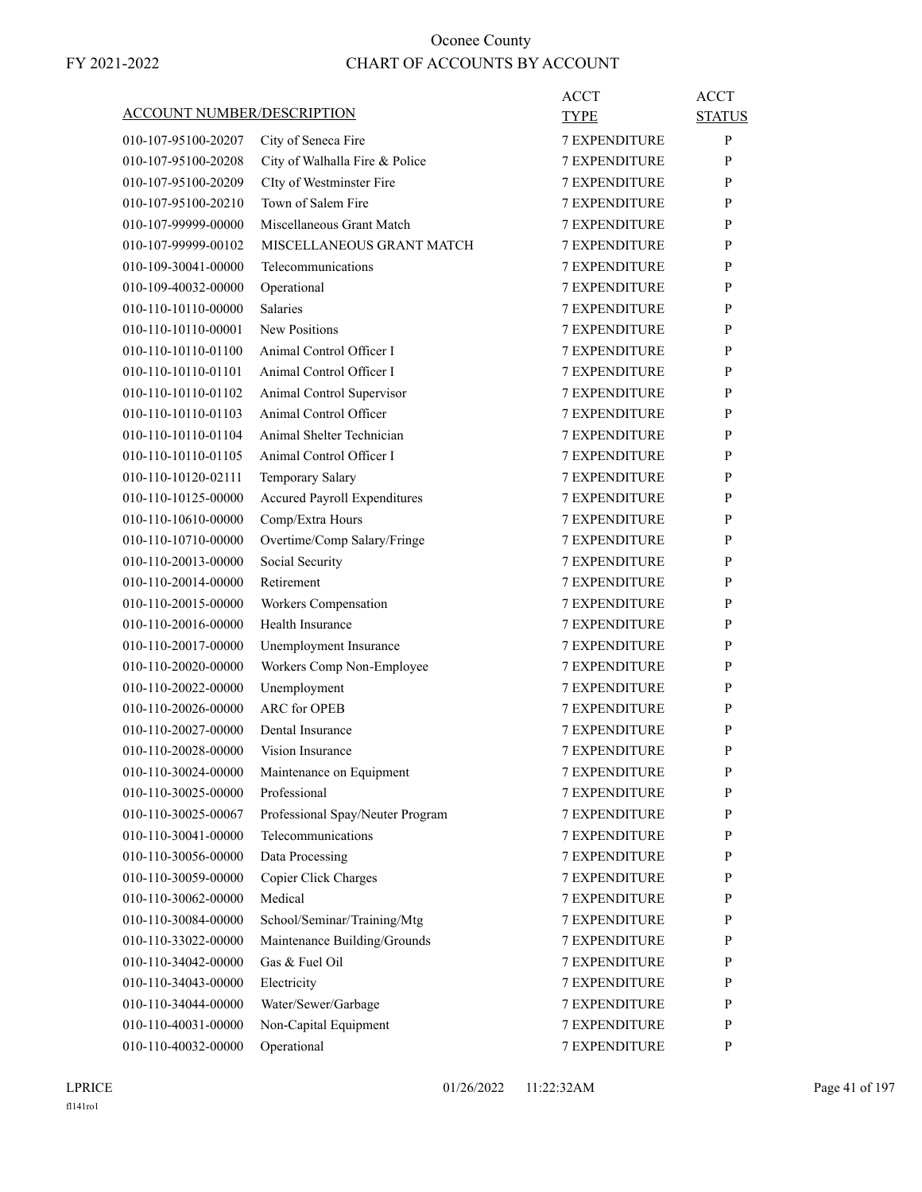| <b>ACCOUNT NUMBER/DESCRIPTION</b>          |                                     | ACCT<br>TYPE                   | ACCT<br><b>STATUS</b> |
|--------------------------------------------|-------------------------------------|--------------------------------|-----------------------|
| 010-107-95100-20207                        | City of Seneca Fire                 | <b>7 EXPENDITURE</b>           | P                     |
| 010-107-95100-20208                        | City of Walhalla Fire & Police      | 7 EXPENDITURE                  | P                     |
| 010-107-95100-20209                        | CIty of Westminster Fire            | <b>7 EXPENDITURE</b>           | P                     |
| 010-107-95100-20210                        | Town of Salem Fire                  | <b>7 EXPENDITURE</b>           | P                     |
| 010-107-99999-00000                        | Miscellaneous Grant Match           | <b>7 EXPENDITURE</b>           | P                     |
| 010-107-99999-00102                        | MISCELLANEOUS GRANT MATCH           | <b>7 EXPENDITURE</b>           | P                     |
| 010-109-30041-00000                        | Telecommunications                  | <b>7 EXPENDITURE</b>           | P                     |
| 010-109-40032-00000                        | Operational                         | 7 EXPENDITURE                  | P                     |
| 010-110-10110-00000                        | Salaries                            | <b>7 EXPENDITURE</b>           | P                     |
| 010-110-10110-00001                        | <b>New Positions</b>                | <b>7 EXPENDITURE</b>           | P                     |
| 010-110-10110-01100                        | Animal Control Officer I            | <b>7 EXPENDITURE</b>           | P                     |
| 010-110-10110-01101                        | Animal Control Officer I            | <b>7 EXPENDITURE</b>           | P                     |
| 010-110-10110-01102                        | Animal Control Supervisor           | <b>7 EXPENDITURE</b>           | P                     |
| 010-110-10110-01103                        | Animal Control Officer              | 7 EXPENDITURE                  | P                     |
| 010-110-10110-01104                        | Animal Shelter Technician           | <b>7 EXPENDITURE</b>           | P                     |
| 010-110-10110-01105                        | Animal Control Officer I            | <b>7 EXPENDITURE</b>           | P                     |
| 010-110-10120-02111                        | Temporary Salary                    | <b>7 EXPENDITURE</b>           | P                     |
| 010-110-10125-00000                        | <b>Accured Payroll Expenditures</b> | <b>7 EXPENDITURE</b>           | P                     |
| 010-110-10610-00000                        | Comp/Extra Hours                    | <b>7 EXPENDITURE</b>           | P                     |
| 010-110-10710-00000                        | Overtime/Comp Salary/Fringe         | 7 EXPENDITURE                  | P                     |
| 010-110-20013-00000                        | Social Security                     | <b>7 EXPENDITURE</b>           | P                     |
| 010-110-20014-00000                        | Retirement                          | <b>7 EXPENDITURE</b>           | P                     |
| 010-110-20015-00000                        | Workers Compensation                | <b>7 EXPENDITURE</b>           | P                     |
| 010-110-20016-00000                        | Health Insurance                    | <b>7 EXPENDITURE</b>           | P                     |
| 010-110-20017-00000                        | Unemployment Insurance              | <b>7 EXPENDITURE</b>           | P                     |
| 010-110-20020-00000                        | Workers Comp Non-Employee           | 7 EXPENDITURE                  | P                     |
| 010-110-20022-00000                        | Unemployment                        | <b>7 EXPENDITURE</b>           | P                     |
| 010-110-20026-00000                        | <b>ARC</b> for OPEB                 | <b>7 EXPENDITURE</b>           | P                     |
| 010-110-20027-00000                        | Dental Insurance                    | <b>7 EXPENDITURE</b>           | P                     |
| 010-110-20028-00000                        | Vision Insurance                    | <b>7 EXPENDITURE</b>           | P                     |
| 010-110-30024-00000                        | Maintenance on Equipment            | <b>7 EXPENDITURE</b>           | $\mathbf{P}$          |
| 010-110-30025-00000                        | Professional                        | <b>7 EXPENDITURE</b>           | P                     |
| 010-110-30025-00067                        | Professional Spay/Neuter Program    | 7 EXPENDITURE                  | P                     |
| 010-110-30041-00000                        | Telecommunications                  | 7 EXPENDITURE                  | P                     |
| 010-110-30056-00000                        | Data Processing                     | 7 EXPENDITURE                  | P                     |
| 010-110-30059-00000                        | Copier Click Charges                | 7 EXPENDITURE                  | P                     |
| 010-110-30062-00000                        | Medical                             | 7 EXPENDITURE                  | P                     |
| 010-110-30084-00000                        | School/Seminar/Training/Mtg         | 7 EXPENDITURE                  | P                     |
| 010-110-33022-00000                        | Maintenance Building/Grounds        | 7 EXPENDITURE                  | P                     |
|                                            | Gas & Fuel Oil                      |                                |                       |
| 010-110-34042-00000<br>010-110-34043-00000 |                                     | 7 EXPENDITURE<br>7 EXPENDITURE | P                     |
|                                            | Electricity                         |                                | P                     |
| 010-110-34044-00000                        | Water/Sewer/Garbage                 | 7 EXPENDITURE                  | P                     |
| 010-110-40031-00000                        | Non-Capital Equipment               | 7 EXPENDITURE                  | P                     |
| 010-110-40032-00000                        | Operational                         | 7 EXPENDITURE                  | P                     |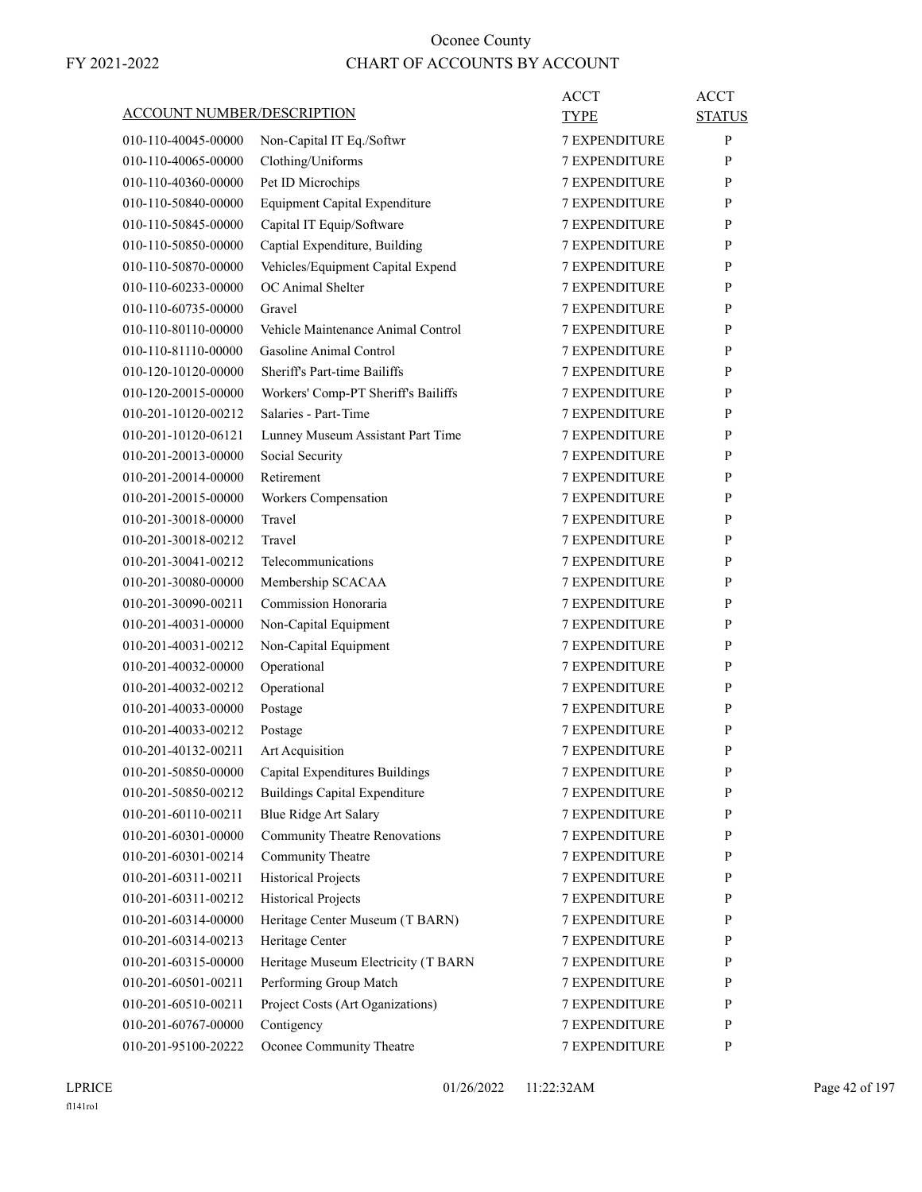| ACCOUNT NUMBER/DESCRIPTION |                                      | ACCT<br>TYPE         | <b>ACCT</b><br><b>STATUS</b> |
|----------------------------|--------------------------------------|----------------------|------------------------------|
| 010-110-40045-00000        |                                      | <b>7 EXPENDITURE</b> | P                            |
|                            | Non-Capital IT Eq./Softwr            |                      |                              |
| 010-110-40065-00000        | Clothing/Uniforms                    | <b>7 EXPENDITURE</b> | P                            |
| 010-110-40360-00000        | Pet ID Microchips                    | <b>7 EXPENDITURE</b> | P                            |
| 010-110-50840-00000        | Equipment Capital Expenditure        | <b>7 EXPENDITURE</b> | P                            |
| 010-110-50845-00000        | Capital IT Equip/Software            | <b>7 EXPENDITURE</b> | P                            |
| 010-110-50850-00000        | Captial Expenditure, Building        | <b>7 EXPENDITURE</b> | P                            |
| 010-110-50870-00000        | Vehicles/Equipment Capital Expend    | <b>7 EXPENDITURE</b> | P                            |
| 010-110-60233-00000        | OC Animal Shelter                    | <b>7 EXPENDITURE</b> | P                            |
| 010-110-60735-00000        | Gravel                               | <b>7 EXPENDITURE</b> | P                            |
| 010-110-80110-00000        | Vehicle Maintenance Animal Control   | 7 EXPENDITURE        | P                            |
| 010-110-81110-00000        | Gasoline Animal Control              | <b>7 EXPENDITURE</b> | P                            |
| 010-120-10120-00000        | Sheriff's Part-time Bailiffs         | <b>7 EXPENDITURE</b> | P                            |
| 010-120-20015-00000        | Workers' Comp-PT Sheriff's Bailiffs  | <b>7 EXPENDITURE</b> | P                            |
| 010-201-10120-00212        | Salaries - Part-Time                 | <b>7 EXPENDITURE</b> | P                            |
| 010-201-10120-06121        | Lunney Museum Assistant Part Time    | <b>7 EXPENDITURE</b> | P                            |
| 010-201-20013-00000        | Social Security                      | <b>7 EXPENDITURE</b> | P                            |
| 010-201-20014-00000        | Retirement                           | <b>7 EXPENDITURE</b> | P                            |
| 010-201-20015-00000        | Workers Compensation                 | <b>7 EXPENDITURE</b> | P                            |
| 010-201-30018-00000        | Travel                               | <b>7 EXPENDITURE</b> | P                            |
| 010-201-30018-00212        | Travel                               | <b>7 EXPENDITURE</b> | P                            |
| 010-201-30041-00212        | Telecommunications                   | <b>7 EXPENDITURE</b> | P                            |
| 010-201-30080-00000        | Membership SCACAA                    | <b>7 EXPENDITURE</b> | P                            |
| 010-201-30090-00211        | Commission Honoraria                 | <b>7 EXPENDITURE</b> | P                            |
| 010-201-40031-00000        | Non-Capital Equipment                | <b>7 EXPENDITURE</b> | P                            |
| 010-201-40031-00212        | Non-Capital Equipment                | <b>7 EXPENDITURE</b> | P                            |
| 010-201-40032-00000        | Operational                          | 7 EXPENDITURE        | P                            |
| 010-201-40032-00212        | Operational                          | <b>7 EXPENDITURE</b> | P                            |
| 010-201-40033-00000        | Postage                              | <b>7 EXPENDITURE</b> | P                            |
| 010-201-40033-00212        | Postage                              | <b>7 EXPENDITURE</b> | P                            |
| 010-201-40132-00211        | Art Acquisition                      | <b>7 EXPENDITURE</b> | P                            |
| 010-201-50850-00000        | Capital Expenditures Buildings       | <b>7 EXPENDITURE</b> | $\mathbf{P}$                 |
| 010-201-50850-00212        | <b>Buildings Capital Expenditure</b> | <b>7 EXPENDITURE</b> | P                            |
| 010-201-60110-00211        | <b>Blue Ridge Art Salary</b>         | 7 EXPENDITURE        | P                            |
| 010-201-60301-00000        | <b>Community Theatre Renovations</b> | 7 EXPENDITURE        | P                            |
| 010-201-60301-00214        | Community Theatre                    | <b>7 EXPENDITURE</b> | $\mathbf{P}$                 |
| 010-201-60311-00211        | <b>Historical Projects</b>           | 7 EXPENDITURE        | P                            |
| 010-201-60311-00212        | <b>Historical Projects</b>           | 7 EXPENDITURE        | P                            |
| 010-201-60314-00000        | Heritage Center Museum (T BARN)      | 7 EXPENDITURE        | P                            |
| 010-201-60314-00213        | Heritage Center                      | 7 EXPENDITURE        | $\mathbf{P}$                 |
| 010-201-60315-00000        | Heritage Museum Electricity (T BARN  | 7 EXPENDITURE        | $\mathbf{P}$                 |
| 010-201-60501-00211        | Performing Group Match               | 7 EXPENDITURE        | $\mathbf{P}$                 |
| 010-201-60510-00211        | Project Costs (Art Oganizations)     | 7 EXPENDITURE        | P                            |
| 010-201-60767-00000        | Contigency                           | <b>7 EXPENDITURE</b> | $\mathbf{P}$                 |
| 010-201-95100-20222        | Oconee Community Theatre             | 7 EXPENDITURE        | P                            |
|                            |                                      |                      |                              |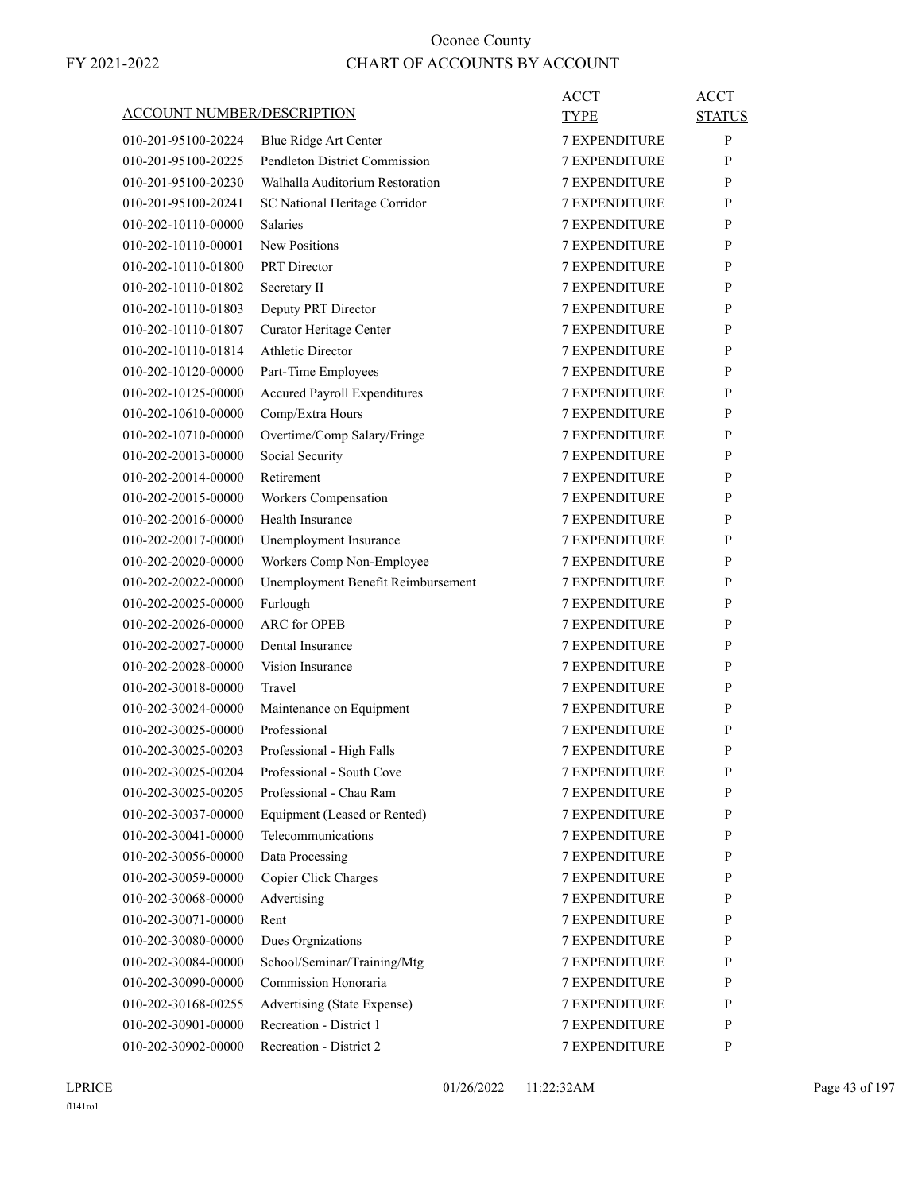|                                   |                                     | <b>ACCT</b>          | <b>ACCT</b>   |
|-----------------------------------|-------------------------------------|----------------------|---------------|
| <b>ACCOUNT NUMBER/DESCRIPTION</b> |                                     | <b>TYPE</b>          | <b>STATUS</b> |
| 010-201-95100-20224               | Blue Ridge Art Center               | <b>7 EXPENDITURE</b> | P             |
| 010-201-95100-20225               | Pendleton District Commission       | <b>7 EXPENDITURE</b> | P             |
| 010-201-95100-20230               | Walhalla Auditorium Restoration     | <b>7 EXPENDITURE</b> | P             |
| 010-201-95100-20241               | SC National Heritage Corridor       | 7 EXPENDITURE        | P             |
| 010-202-10110-00000               | <b>Salaries</b>                     | <b>7 EXPENDITURE</b> | P             |
| 010-202-10110-00001               | New Positions                       | <b>7 EXPENDITURE</b> | P             |
| 010-202-10110-01800               | <b>PRT</b> Director                 | <b>7 EXPENDITURE</b> | P             |
| 010-202-10110-01802               | Secretary II                        | <b>7 EXPENDITURE</b> | P             |
| 010-202-10110-01803               | Deputy PRT Director                 | <b>7 EXPENDITURE</b> | P             |
| 010-202-10110-01807               | Curator Heritage Center             | 7 EXPENDITURE        | P             |
| 010-202-10110-01814               | <b>Athletic Director</b>            | <b>7 EXPENDITURE</b> | P             |
| 010-202-10120-00000               | Part-Time Employees                 | <b>7 EXPENDITURE</b> | P             |
| 010-202-10125-00000               | <b>Accured Payroll Expenditures</b> | <b>7 EXPENDITURE</b> | P             |
| 010-202-10610-00000               | Comp/Extra Hours                    | <b>7 EXPENDITURE</b> | P             |
| 010-202-10710-00000               | Overtime/Comp Salary/Fringe         | <b>7 EXPENDITURE</b> | P             |
| 010-202-20013-00000               | Social Security                     | <b>7 EXPENDITURE</b> | P             |
| 010-202-20014-00000               | Retirement                          | <b>7 EXPENDITURE</b> | P             |
| 010-202-20015-00000               | Workers Compensation                | <b>7 EXPENDITURE</b> | P             |
| 010-202-20016-00000               | Health Insurance                    | <b>7 EXPENDITURE</b> | P             |
| 010-202-20017-00000               | Unemployment Insurance              | <b>7 EXPENDITURE</b> | P             |
| 010-202-20020-00000               | Workers Comp Non-Employee           | <b>7 EXPENDITURE</b> | P             |
| 010-202-20022-00000               | Unemployment Benefit Reimbursement  | 7 EXPENDITURE        | P             |
| 010-202-20025-00000               | Furlough                            | <b>7 EXPENDITURE</b> | P             |
| 010-202-20026-00000               | <b>ARC</b> for OPEB                 | <b>7 EXPENDITURE</b> | P             |
| 010-202-20027-00000               | Dental Insurance                    | <b>7 EXPENDITURE</b> | P             |
| 010-202-20028-00000               | Vision Insurance                    | <b>7 EXPENDITURE</b> | P             |
| 010-202-30018-00000               | Travel                              | <b>7 EXPENDITURE</b> | P             |
| 010-202-30024-00000               | Maintenance on Equipment            | 7 EXPENDITURE        | P             |
| 010-202-30025-00000               | Professional                        | <b>7 EXPENDITURE</b> | P             |
| 010-202-30025-00203               | Professional - High Falls           | <b>7 EXPENDITURE</b> | P             |
| 010-202-30025-00204               | Professional - South Cove           | 7 EXPENDITURE        | ${\bf P}$     |
| 010-202-30025-00205               | Professional - Chau Ram             | <b>7 EXPENDITURE</b> | P             |
| 010-202-30037-00000               | Equipment (Leased or Rented)        | <b>7 EXPENDITURE</b> | P             |
| 010-202-30041-00000               | Telecommunications                  | <b>7 EXPENDITURE</b> | P             |
| 010-202-30056-00000               | Data Processing                     | <b>7 EXPENDITURE</b> | P             |
| 010-202-30059-00000               | Copier Click Charges                | <b>7 EXPENDITURE</b> | P             |
| 010-202-30068-00000               | Advertising                         | 7 EXPENDITURE        | P             |
| 010-202-30071-00000               | Rent                                | <b>7 EXPENDITURE</b> | P             |
| 010-202-30080-00000               | Dues Orgnizations                   | <b>7 EXPENDITURE</b> | P             |
| 010-202-30084-00000               | School/Seminar/Training/Mtg         | <b>7 EXPENDITURE</b> | P             |
| 010-202-30090-00000               | Commission Honoraria                | <b>7 EXPENDITURE</b> | P             |
| 010-202-30168-00255               | Advertising (State Expense)         | <b>7 EXPENDITURE</b> | P             |
| 010-202-30901-00000               | Recreation - District 1             | 7 EXPENDITURE        | P             |
| 010-202-30902-00000               | Recreation - District 2             | 7 EXPENDITURE        | P             |
|                                   |                                     |                      |               |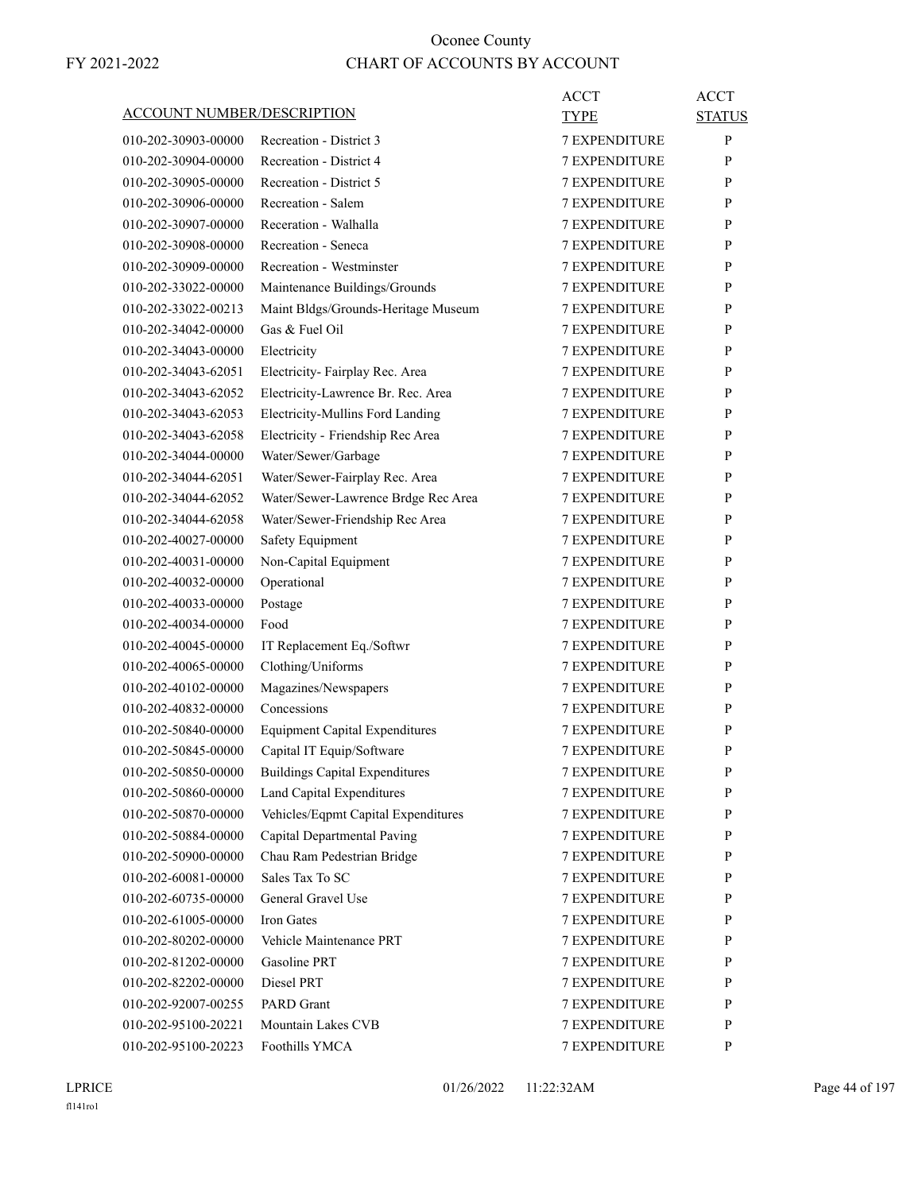|                                   |                                       | ACCT                 | <b>ACCT</b>   |
|-----------------------------------|---------------------------------------|----------------------|---------------|
| <b>ACCOUNT NUMBER/DESCRIPTION</b> |                                       | TYPE                 | <b>STATUS</b> |
| 010-202-30903-00000               | Recreation - District 3               | <b>7 EXPENDITURE</b> | P             |
| 010-202-30904-00000               | Recreation - District 4               | <b>7 EXPENDITURE</b> | P             |
| 010-202-30905-00000               | Recreation - District 5               | <b>7 EXPENDITURE</b> | P             |
| 010-202-30906-00000               | Recreation - Salem                    | <b>7 EXPENDITURE</b> | P             |
| 010-202-30907-00000               | Receration - Walhalla                 | <b>7 EXPENDITURE</b> | P             |
| 010-202-30908-00000               | Recreation - Seneca                   | <b>7 EXPENDITURE</b> | P             |
| 010-202-30909-00000               | Recreation - Westminster              | <b>7 EXPENDITURE</b> | P             |
| 010-202-33022-00000               | Maintenance Buildings/Grounds         | <b>7 EXPENDITURE</b> | P             |
| 010-202-33022-00213               | Maint Bldgs/Grounds-Heritage Museum   | <b>7 EXPENDITURE</b> | P             |
| 010-202-34042-00000               | Gas & Fuel Oil                        | <b>7 EXPENDITURE</b> | P             |
| 010-202-34043-00000               | Electricity                           | <b>7 EXPENDITURE</b> | P             |
| 010-202-34043-62051               | Electricity- Fairplay Rec. Area       | <b>7 EXPENDITURE</b> | P             |
| 010-202-34043-62052               | Electricity-Lawrence Br. Rec. Area    | <b>7 EXPENDITURE</b> | P             |
| 010-202-34043-62053               | Electricity-Mullins Ford Landing      | <b>7 EXPENDITURE</b> | P             |
| 010-202-34043-62058               | Electricity - Friendship Rec Area     | <b>7 EXPENDITURE</b> | P             |
| 010-202-34044-00000               | Water/Sewer/Garbage                   | <b>7 EXPENDITURE</b> | P             |
| 010-202-34044-62051               | Water/Sewer-Fairplay Rec. Area        | <b>7 EXPENDITURE</b> | P             |
| 010-202-34044-62052               | Water/Sewer-Lawrence Brdge Rec Area   | <b>7 EXPENDITURE</b> | P             |
| 010-202-34044-62058               | Water/Sewer-Friendship Rec Area       | <b>7 EXPENDITURE</b> | P             |
| 010-202-40027-00000               | Safety Equipment                      | <b>7 EXPENDITURE</b> | P             |
| 010-202-40031-00000               | Non-Capital Equipment                 | <b>7 EXPENDITURE</b> | P             |
| 010-202-40032-00000               | Operational                           | <b>7 EXPENDITURE</b> | P             |
| 010-202-40033-00000               | Postage                               | <b>7 EXPENDITURE</b> | P             |
| 010-202-40034-00000               | Food                                  | <b>7 EXPENDITURE</b> | P             |
| 010-202-40045-00000               | IT Replacement Eq./Softwr             | <b>7 EXPENDITURE</b> | P             |
| 010-202-40065-00000               | Clothing/Uniforms                     | <b>7 EXPENDITURE</b> | P             |
| 010-202-40102-00000               | Magazines/Newspapers                  | <b>7 EXPENDITURE</b> | P             |
| 010-202-40832-00000               | Concessions                           | <b>7 EXPENDITURE</b> | P             |
| 010-202-50840-00000               | <b>Equipment Capital Expenditures</b> | <b>7 EXPENDITURE</b> | P             |
| 010-202-50845-00000               | Capital IT Equip/Software             | <b>7 EXPENDITURE</b> | P             |
| 010-202-50850-00000               | <b>Buildings Capital Expenditures</b> | 7 EXPENDITURE        | P             |
| 010-202-50860-00000               | Land Capital Expenditures             | 7 EXPENDITURE        | P             |
| 010-202-50870-00000               | Vehicles/Eqpmt Capital Expenditures   | 7 EXPENDITURE        | P             |
| 010-202-50884-00000               | Capital Departmental Paving           | 7 EXPENDITURE        | P             |
| 010-202-50900-00000               | Chau Ram Pedestrian Bridge            | 7 EXPENDITURE        | $\mathbf{P}$  |
| 010-202-60081-00000               | Sales Tax To SC                       | <b>7 EXPENDITURE</b> | P             |
| 010-202-60735-00000               | General Gravel Use                    | <b>7 EXPENDITURE</b> | P             |
| 010-202-61005-00000               | Iron Gates                            | 7 EXPENDITURE        | P             |
| 010-202-80202-00000               | Vehicle Maintenance PRT               | 7 EXPENDITURE        | P             |
| 010-202-81202-00000               | Gasoline PRT                          | 7 EXPENDITURE        | P             |
| 010-202-82202-00000               | Diesel PRT                            | 7 EXPENDITURE        | P             |
| 010-202-92007-00255               | PARD Grant                            | <b>7 EXPENDITURE</b> | P             |
| 010-202-95100-20221               | Mountain Lakes CVB                    | 7 EXPENDITURE        | P             |
| 010-202-95100-20223               | Foothills YMCA                        | 7 EXPENDITURE        | P             |
|                                   |                                       |                      |               |

LPRICE 01/26/2022 11:22:32AM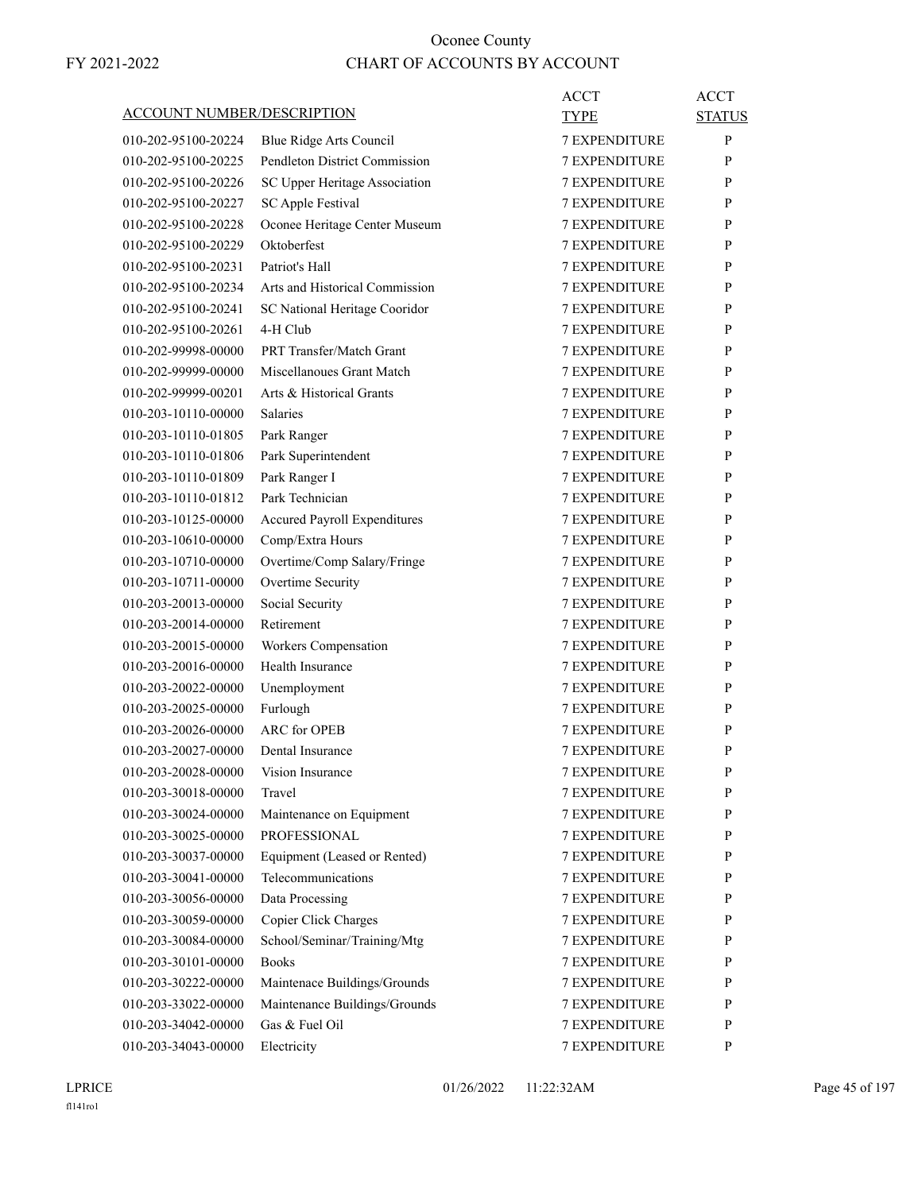|                                   |                                | <b>ACCT</b>          | <b>ACCT</b>   |
|-----------------------------------|--------------------------------|----------------------|---------------|
| <b>ACCOUNT NUMBER/DESCRIPTION</b> |                                | TYPE                 | <b>STATUS</b> |
| 010-202-95100-20224               | Blue Ridge Arts Council        | <b>7 EXPENDITURE</b> | P             |
| 010-202-95100-20225               | Pendleton District Commission  | <b>7 EXPENDITURE</b> | P             |
| 010-202-95100-20226               | SC Upper Heritage Association  | <b>7 EXPENDITURE</b> | P             |
| 010-202-95100-20227               | <b>SC Apple Festival</b>       | 7 EXPENDITURE        | P             |
| 010-202-95100-20228               | Oconee Heritage Center Museum  | <b>7 EXPENDITURE</b> | P             |
| 010-202-95100-20229               | Oktoberfest                    | <b>7 EXPENDITURE</b> | P             |
| 010-202-95100-20231               | Patriot's Hall                 | <b>7 EXPENDITURE</b> | P             |
| 010-202-95100-20234               | Arts and Historical Commission | <b>7 EXPENDITURE</b> | P             |
| 010-202-95100-20241               | SC National Heritage Cooridor  | <b>7 EXPENDITURE</b> | P             |
| 010-202-95100-20261               | 4-H Club                       | <b>7 EXPENDITURE</b> | P             |
| 010-202-99998-00000               | PRT Transfer/Match Grant       | <b>7 EXPENDITURE</b> | P             |
| 010-202-99999-00000               | Miscellanoues Grant Match      | <b>7 EXPENDITURE</b> | P             |
| 010-202-99999-00201               | Arts & Historical Grants       | <b>7 EXPENDITURE</b> | P             |
| 010-203-10110-00000               | <b>Salaries</b>                | <b>7 EXPENDITURE</b> | P             |
| 010-203-10110-01805               | Park Ranger                    | <b>7 EXPENDITURE</b> | P             |
| 010-203-10110-01806               | Park Superintendent            | 7 EXPENDITURE        | P             |
| 010-203-10110-01809               | Park Ranger I                  | <b>7 EXPENDITURE</b> | P             |
| 010-203-10110-01812               | Park Technician                | <b>7 EXPENDITURE</b> | P             |
| 010-203-10125-00000               | Accured Payroll Expenditures   | <b>7 EXPENDITURE</b> | P             |
| 010-203-10610-00000               | Comp/Extra Hours               | <b>7 EXPENDITURE</b> | P             |
| 010-203-10710-00000               | Overtime/Comp Salary/Fringe    | <b>7 EXPENDITURE</b> | P             |
| 010-203-10711-00000               | Overtime Security              | 7 EXPENDITURE        | P             |
| 010-203-20013-00000               | Social Security                | <b>7 EXPENDITURE</b> | P             |
| 010-203-20014-00000               | Retirement                     | <b>7 EXPENDITURE</b> | P             |
| 010-203-20015-00000               | Workers Compensation           | <b>7 EXPENDITURE</b> | P             |
| 010-203-20016-00000               | Health Insurance               | <b>7 EXPENDITURE</b> | P             |
| 010-203-20022-00000               | Unemployment                   | <b>7 EXPENDITURE</b> | P             |
| 010-203-20025-00000               | Furlough                       | 7 EXPENDITURE        | P             |
| 010-203-20026-00000               | <b>ARC</b> for OPEB            | <b>7 EXPENDITURE</b> | P             |
| 010-203-20027-00000               | Dental Insurance               | <b>7 EXPENDITURE</b> | P             |
| 010-203-20028-00000               | Vision Insurance               | <b>7 EXPENDITURE</b> | ${\bf P}$     |
| 010-203-30018-00000               | Travel                         | <b>7 EXPENDITURE</b> | P             |
| 010-203-30024-00000               | Maintenance on Equipment       | <b>7 EXPENDITURE</b> | P             |
| 010-203-30025-00000               | <b>PROFESSIONAL</b>            | <b>7 EXPENDITURE</b> | P             |
| 010-203-30037-00000               | Equipment (Leased or Rented)   | <b>7 EXPENDITURE</b> | P             |
| 010-203-30041-00000               | Telecommunications             | 7 EXPENDITURE        | P             |
| 010-203-30056-00000               | Data Processing                | 7 EXPENDITURE        | P             |
| 010-203-30059-00000               | Copier Click Charges           | <b>7 EXPENDITURE</b> | P             |
| 010-203-30084-00000               | School/Seminar/Training/Mtg    | <b>7 EXPENDITURE</b> | P             |
| 010-203-30101-00000               | <b>Books</b>                   | <b>7 EXPENDITURE</b> | P             |
| 010-203-30222-00000               | Maintenace Buildings/Grounds   | <b>7 EXPENDITURE</b> | P             |
| 010-203-33022-00000               | Maintenance Buildings/Grounds  | 7 EXPENDITURE        | P             |
| 010-203-34042-00000               | Gas & Fuel Oil                 | 7 EXPENDITURE        | P             |
| 010-203-34043-00000               | Electricity                    | 7 EXPENDITURE        | P             |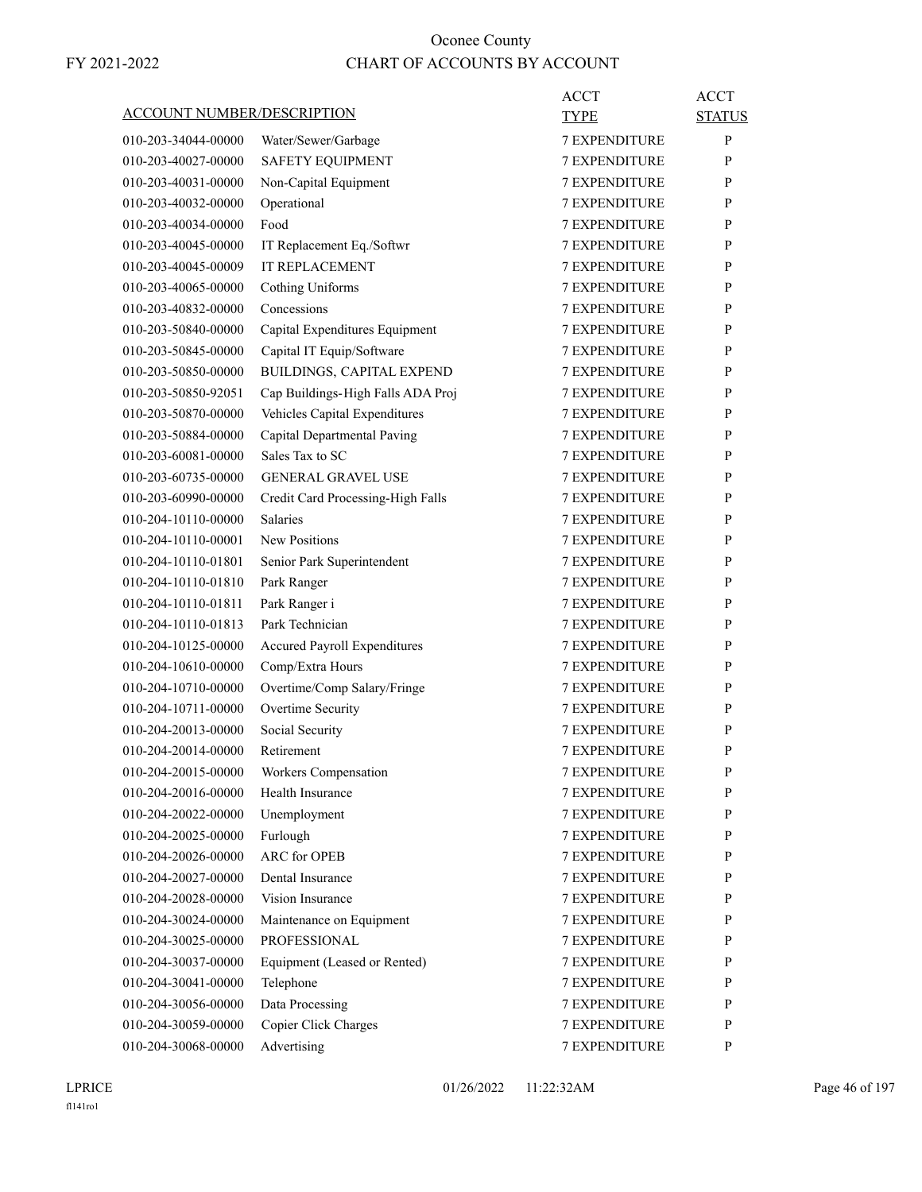| ACCOUNT NUMBER/DESCRIPTION |                                   | ACCT                 | ACCT          |
|----------------------------|-----------------------------------|----------------------|---------------|
|                            |                                   | <b>TYPE</b>          | <b>STATUS</b> |
| 010-203-34044-00000        | Water/Sewer/Garbage               | <b>7 EXPENDITURE</b> | P             |
| 010-203-40027-00000        | <b>SAFETY EQUIPMENT</b>           | <b>7 EXPENDITURE</b> | P             |
| 010-203-40031-00000        | Non-Capital Equipment             | <b>7 EXPENDITURE</b> | P             |
| 010-203-40032-00000        | Operational                       | <b>7 EXPENDITURE</b> | P             |
| 010-203-40034-00000        | Food                              | <b>7 EXPENDITURE</b> | P             |
| 010-203-40045-00000        | IT Replacement Eq./Softwr         | <b>7 EXPENDITURE</b> | P             |
| 010-203-40045-00009        | <b>IT REPLACEMENT</b>             | <b>7 EXPENDITURE</b> | P             |
| 010-203-40065-00000        | Cothing Uniforms                  | <b>7 EXPENDITURE</b> | P             |
| 010-203-40832-00000        | Concessions                       | <b>7 EXPENDITURE</b> | P             |
| 010-203-50840-00000        | Capital Expenditures Equipment    | <b>7 EXPENDITURE</b> | P             |
| 010-203-50845-00000        | Capital IT Equip/Software         | <b>7 EXPENDITURE</b> | P             |
| 010-203-50850-00000        | BUILDINGS, CAPITAL EXPEND         | <b>7 EXPENDITURE</b> | P             |
| 010-203-50850-92051        | Cap Buildings-High Falls ADA Proj | <b>7 EXPENDITURE</b> | P             |
| 010-203-50870-00000        | Vehicles Capital Expenditures     | <b>7 EXPENDITURE</b> | P             |
| 010-203-50884-00000        | Capital Departmental Paving       | <b>7 EXPENDITURE</b> | P             |
| 010-203-60081-00000        | Sales Tax to SC                   | <b>7 EXPENDITURE</b> | P             |
| 010-203-60735-00000        | <b>GENERAL GRAVEL USE</b>         | <b>7 EXPENDITURE</b> | P             |
| 010-203-60990-00000        | Credit Card Processing-High Falls | <b>7 EXPENDITURE</b> | P             |
| 010-204-10110-00000        | <b>Salaries</b>                   | <b>7 EXPENDITURE</b> | P             |
| 010-204-10110-00001        | <b>New Positions</b>              | <b>7 EXPENDITURE</b> | P             |
| 010-204-10110-01801        | Senior Park Superintendent        | <b>7 EXPENDITURE</b> | P             |
| 010-204-10110-01810        | Park Ranger                       | <b>7 EXPENDITURE</b> | P             |
| 010-204-10110-01811        | Park Ranger i                     | <b>7 EXPENDITURE</b> | P             |
| 010-204-10110-01813        | Park Technician                   | <b>7 EXPENDITURE</b> | P             |
| 010-204-10125-00000        | Accured Payroll Expenditures      | <b>7 EXPENDITURE</b> | P             |
| 010-204-10610-00000        | Comp/Extra Hours                  | <b>7 EXPENDITURE</b> | P             |
| 010-204-10710-00000        | Overtime/Comp Salary/Fringe       | <b>7 EXPENDITURE</b> | P             |
| 010-204-10711-00000        | Overtime Security                 | <b>7 EXPENDITURE</b> | P             |
| 010-204-20013-00000        | Social Security                   | <b>7 EXPENDITURE</b> | P             |
| 010-204-20014-00000        | Retirement                        | <b>7 EXPENDITURE</b> | P             |
| 010-204-20015-00000        | Workers Compensation              | <b>7 EXPENDITURE</b> | P             |
| 010-204-20016-00000        | Health Insurance                  | 7 EXPENDITURE        | P             |
| 010-204-20022-00000        | Unemployment                      | 7 EXPENDITURE        | P             |
| 010-204-20025-00000        | Furlough                          | 7 EXPENDITURE        | P             |
| 010-204-20026-00000        | <b>ARC</b> for OPEB               | 7 EXPENDITURE        | P             |
| 010-204-20027-00000        | Dental Insurance                  | <b>7 EXPENDITURE</b> | P             |
| 010-204-20028-00000        | Vision Insurance                  | <b>7 EXPENDITURE</b> | P             |
| 010-204-30024-00000        | Maintenance on Equipment          | 7 EXPENDITURE        | P             |
| 010-204-30025-00000        | PROFESSIONAL                      | 7 EXPENDITURE        | P             |
| 010-204-30037-00000        | Equipment (Leased or Rented)      | 7 EXPENDITURE        | P             |
| 010-204-30041-00000        | Telephone                         | 7 EXPENDITURE        | P             |
| 010-204-30056-00000        | Data Processing                   | <b>7 EXPENDITURE</b> | P             |
| 010-204-30059-00000        | Copier Click Charges              | 7 EXPENDITURE        | P             |
| 010-204-30068-00000        | Advertising                       | 7 EXPENDITURE        | P             |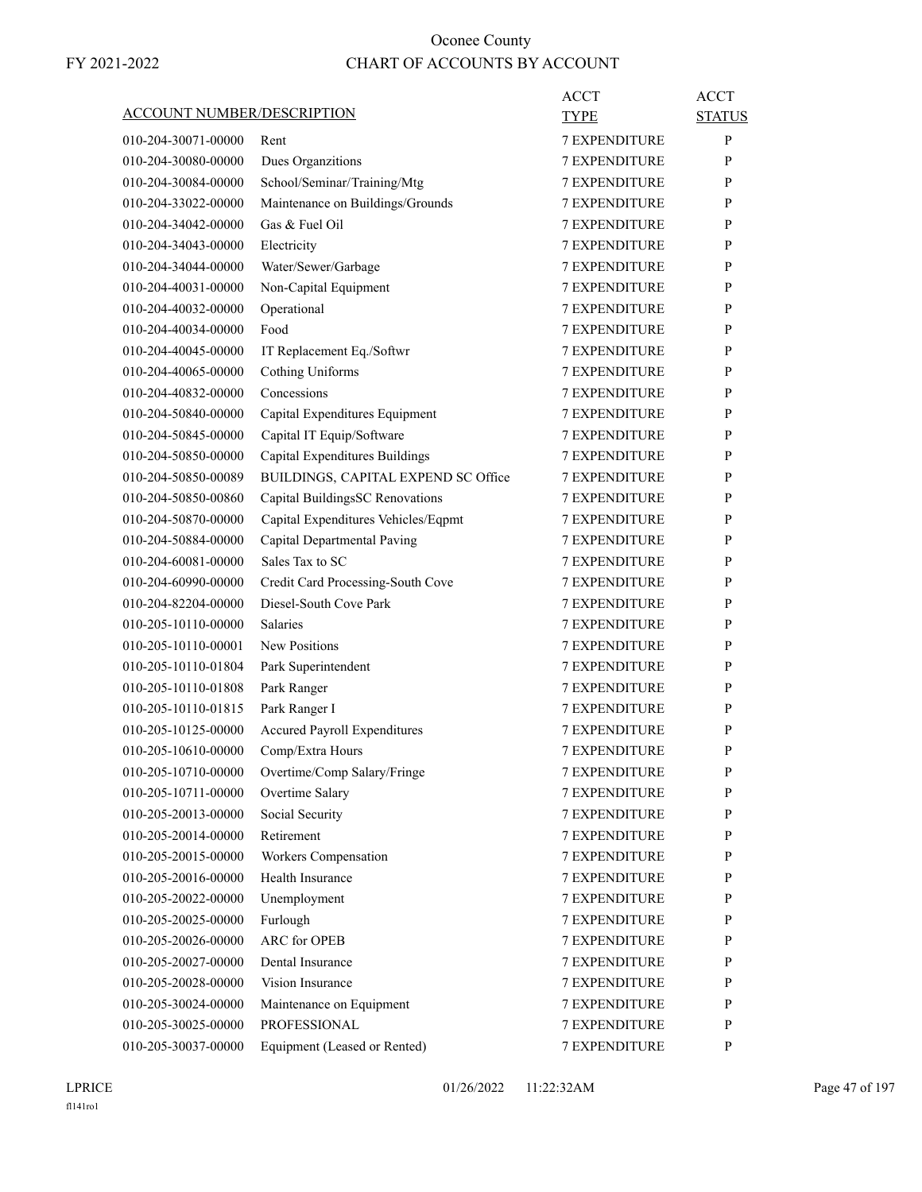|                                   |                                     | <b>ACCT</b>          | <b>ACCT</b>   |
|-----------------------------------|-------------------------------------|----------------------|---------------|
| <b>ACCOUNT NUMBER/DESCRIPTION</b> |                                     | TYPE                 | <b>STATUS</b> |
| 010-204-30071-00000               | Rent                                | <b>7 EXPENDITURE</b> | P             |
| 010-204-30080-00000               | Dues Organzitions                   | <b>7 EXPENDITURE</b> | P             |
| 010-204-30084-00000               | School/Seminar/Training/Mtg         | <b>7 EXPENDITURE</b> | P             |
| 010-204-33022-00000               | Maintenance on Buildings/Grounds    | 7 EXPENDITURE        | P             |
| 010-204-34042-00000               | Gas & Fuel Oil                      | <b>7 EXPENDITURE</b> | P             |
| 010-204-34043-00000               | Electricity                         | <b>7 EXPENDITURE</b> | P             |
| 010-204-34044-00000               | Water/Sewer/Garbage                 | <b>7 EXPENDITURE</b> | P             |
| 010-204-40031-00000               | Non-Capital Equipment               | <b>7 EXPENDITURE</b> | P             |
| 010-204-40032-00000               | Operational                         | <b>7 EXPENDITURE</b> | P             |
| 010-204-40034-00000               | Food                                | <b>7 EXPENDITURE</b> | P             |
| 010-204-40045-00000               | IT Replacement Eq./Softwr           | <b>7 EXPENDITURE</b> | P             |
| 010-204-40065-00000               | <b>Cothing Uniforms</b>             | <b>7 EXPENDITURE</b> | P             |
| 010-204-40832-00000               | Concessions                         | <b>7 EXPENDITURE</b> | P             |
| 010-204-50840-00000               | Capital Expenditures Equipment      | <b>7 EXPENDITURE</b> | P             |
| 010-204-50845-00000               | Capital IT Equip/Software           | <b>7 EXPENDITURE</b> | P             |
| 010-204-50850-00000               | Capital Expenditures Buildings      | 7 EXPENDITURE        | P             |
| 010-204-50850-00089               | BUILDINGS, CAPITAL EXPEND SC Office | <b>7 EXPENDITURE</b> | P             |
| 010-204-50850-00860               | Capital BuildingsSC Renovations     | <b>7 EXPENDITURE</b> | P             |
| 010-204-50870-00000               | Capital Expenditures Vehicles/Eqpmt | <b>7 EXPENDITURE</b> | P             |
| 010-204-50884-00000               | Capital Departmental Paving         | <b>7 EXPENDITURE</b> | P             |
| 010-204-60081-00000               | Sales Tax to SC                     | <b>7 EXPENDITURE</b> | P             |
| 010-204-60990-00000               | Credit Card Processing-South Cove   | 7 EXPENDITURE        | P             |
| 010-204-82204-00000               | Diesel-South Cove Park              | <b>7 EXPENDITURE</b> | P             |
| 010-205-10110-00000               | <b>Salaries</b>                     | <b>7 EXPENDITURE</b> | P             |
| 010-205-10110-00001               | <b>New Positions</b>                | <b>7 EXPENDITURE</b> | P             |
| 010-205-10110-01804               | Park Superintendent                 | <b>7 EXPENDITURE</b> | P             |
| 010-205-10110-01808               | Park Ranger                         | <b>7 EXPENDITURE</b> | P             |
| 010-205-10110-01815               | Park Ranger I                       | 7 EXPENDITURE        | P             |
| 010-205-10125-00000               | <b>Accured Payroll Expenditures</b> | <b>7 EXPENDITURE</b> | P             |
| 010-205-10610-00000               | Comp/Extra Hours                    | <b>7 EXPENDITURE</b> | P             |
| 010-205-10710-00000               | Overtime/Comp Salary/Fringe         | 7 EXPENDITURE        | ${\bf P}$     |
| 010-205-10711-00000               | Overtime Salary                     | <b>7 EXPENDITURE</b> | P             |
| 010-205-20013-00000               | Social Security                     | <b>7 EXPENDITURE</b> | P             |
| 010-205-20014-00000               | Retirement                          | 7 EXPENDITURE        | P             |
| 010-205-20015-00000               | Workers Compensation                | <b>7 EXPENDITURE</b> | P             |
| 010-205-20016-00000               | Health Insurance                    | <b>7 EXPENDITURE</b> | P             |
| 010-205-20022-00000               | Unemployment                        | 7 EXPENDITURE        | P             |
| 010-205-20025-00000               | Furlough                            | 7 EXPENDITURE        | P             |
| 010-205-20026-00000               | ARC for OPEB                        | <b>7 EXPENDITURE</b> | P             |
| 010-205-20027-00000               | Dental Insurance                    | 7 EXPENDITURE        | P             |
| 010-205-20028-00000               | Vision Insurance                    | <b>7 EXPENDITURE</b> | P             |
| 010-205-30024-00000               | Maintenance on Equipment            | <b>7 EXPENDITURE</b> | P             |
| 010-205-30025-00000               | <b>PROFESSIONAL</b>                 | 7 EXPENDITURE        | P             |
| 010-205-30037-00000               | Equipment (Leased or Rented)        | 7 EXPENDITURE        | P             |
|                                   |                                     |                      |               |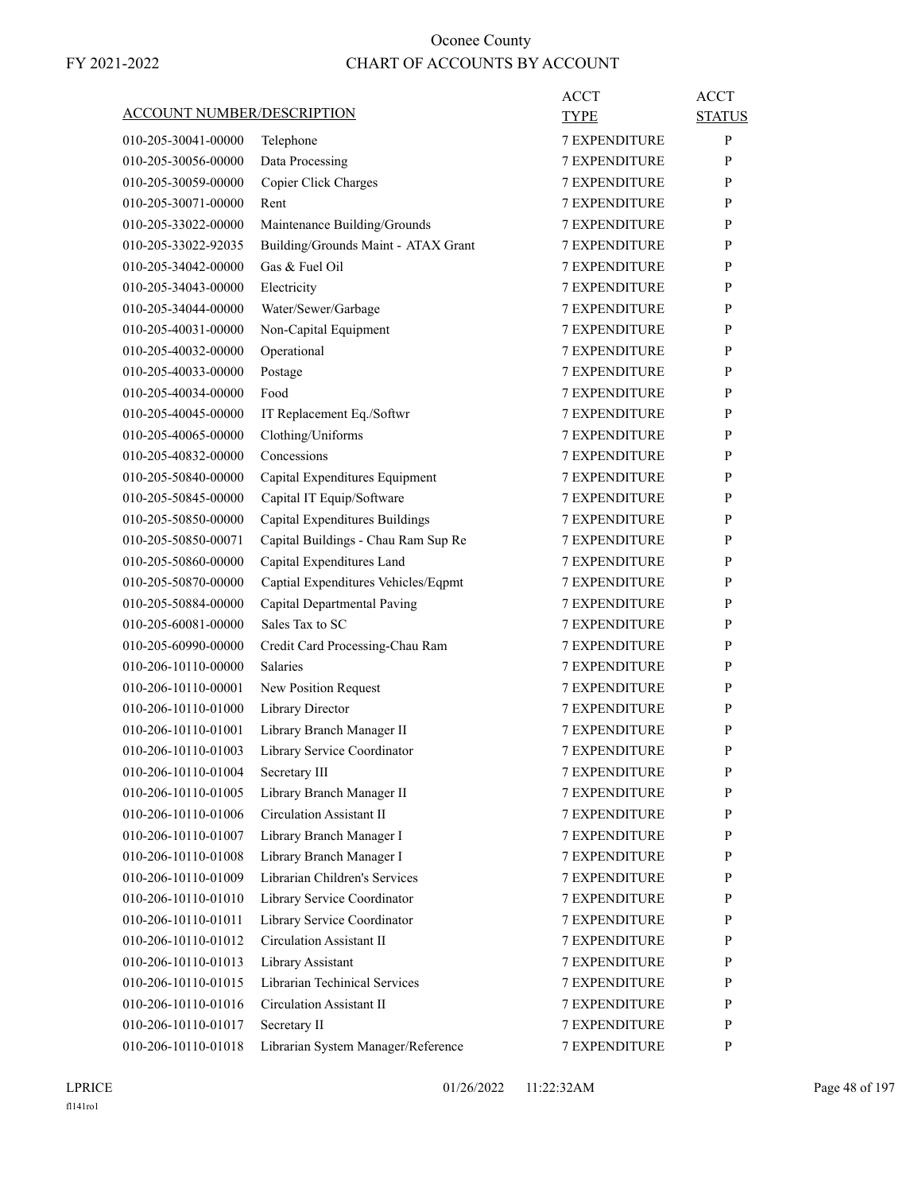| <b>ACCOUNT NUMBER/DESCRIPTION</b>          |                                                              | ACCT<br>TYPE                                 | <b>ACCT</b><br><b>STATUS</b> |
|--------------------------------------------|--------------------------------------------------------------|----------------------------------------------|------------------------------|
| 010-205-30041-00000                        | Telephone                                                    | <b>7 EXPENDITURE</b>                         | P                            |
| 010-205-30056-00000                        | Data Processing                                              | <b>7 EXPENDITURE</b>                         | P                            |
| 010-205-30059-00000                        | Copier Click Charges                                         | <b>7 EXPENDITURE</b>                         | P                            |
| 010-205-30071-00000                        | Rent                                                         | <b>7 EXPENDITURE</b>                         | P                            |
| 010-205-33022-00000                        | Maintenance Building/Grounds                                 | <b>7 EXPENDITURE</b>                         | P                            |
| 010-205-33022-92035                        | Building/Grounds Maint - ATAX Grant                          | <b>7 EXPENDITURE</b>                         | P                            |
| 010-205-34042-00000                        | Gas & Fuel Oil                                               | <b>7 EXPENDITURE</b>                         | P                            |
| 010-205-34043-00000                        | Electricity                                                  | 7 EXPENDITURE                                | P                            |
| 010-205-34044-00000                        | Water/Sewer/Garbage                                          | <b>7 EXPENDITURE</b>                         | P                            |
| 010-205-40031-00000                        | Non-Capital Equipment                                        | <b>7 EXPENDITURE</b>                         | P                            |
| 010-205-40032-00000                        | Operational                                                  | <b>7 EXPENDITURE</b>                         | P                            |
| 010-205-40033-00000                        | Postage                                                      | <b>7 EXPENDITURE</b>                         | P                            |
| 010-205-40034-00000                        | Food                                                         | <b>7 EXPENDITURE</b>                         | P                            |
| 010-205-40045-00000                        | IT Replacement Eq./Softwr                                    | 7 EXPENDITURE                                | P                            |
| 010-205-40065-00000                        | Clothing/Uniforms                                            | <b>7 EXPENDITURE</b>                         | P                            |
| 010-205-40832-00000                        | Concessions                                                  | <b>7 EXPENDITURE</b>                         | P                            |
| 010-205-50840-00000                        | Capital Expenditures Equipment                               | <b>7 EXPENDITURE</b>                         | P                            |
| 010-205-50845-00000                        | Capital IT Equip/Software                                    | <b>7 EXPENDITURE</b>                         | P                            |
| 010-205-50850-00000                        | Capital Expenditures Buildings                               | <b>7 EXPENDITURE</b>                         | P                            |
| 010-205-50850-00071                        | Capital Buildings - Chau Ram Sup Re                          | 7 EXPENDITURE                                | P                            |
| 010-205-50860-00000                        | Capital Expenditures Land                                    | <b>7 EXPENDITURE</b>                         | P                            |
| 010-205-50870-00000                        | Captial Expenditures Vehicles/Eqpmt                          | <b>7 EXPENDITURE</b>                         | P                            |
| 010-205-50884-00000                        | Capital Departmental Paving                                  | <b>7 EXPENDITURE</b>                         | P                            |
| 010-205-60081-00000                        | Sales Tax to SC                                              | <b>7 EXPENDITURE</b>                         | P                            |
| 010-205-60990-00000                        | Credit Card Processing-Chau Ram                              | <b>7 EXPENDITURE</b>                         | P                            |
| 010-206-10110-00000                        | Salaries                                                     | 7 EXPENDITURE                                | P                            |
| 010-206-10110-00001                        |                                                              | <b>7 EXPENDITURE</b>                         | P                            |
| 010-206-10110-01000                        | New Position Request<br>Library Director                     | <b>7 EXPENDITURE</b>                         | P                            |
| 010-206-10110-01001                        |                                                              | <b>7 EXPENDITURE</b>                         |                              |
|                                            | Library Branch Manager II<br>Library Service Coordinator     |                                              | P<br>P                       |
| 010-206-10110-01003                        |                                                              | <b>7 EXPENDITURE</b><br><b>7 EXPENDITURE</b> |                              |
| 010-206-10110-01004                        | Secretary III                                                |                                              | P                            |
| 010-206-10110-01005                        | Library Branch Manager II<br><b>Circulation Assistant II</b> | <b>7 EXPENDITURE</b>                         | P                            |
| 010-206-10110-01006<br>010-206-10110-01007 |                                                              | <b>7 EXPENDITURE</b><br>7 EXPENDITURE        | P                            |
|                                            | Library Branch Manager I                                     | 7 EXPENDITURE                                | P                            |
| 010-206-10110-01008                        | Library Branch Manager I<br>Librarian Children's Services    |                                              | P                            |
| 010-206-10110-01009                        |                                                              | 7 EXPENDITURE                                | P                            |
| 010-206-10110-01010                        | Library Service Coordinator                                  | <b>7 EXPENDITURE</b>                         | P                            |
| 010-206-10110-01011                        | Library Service Coordinator                                  | <b>7 EXPENDITURE</b>                         | P                            |
| 010-206-10110-01012                        | <b>Circulation Assistant II</b>                              | 7 EXPENDITURE                                | P                            |
| 010-206-10110-01013                        | Library Assistant                                            | 7 EXPENDITURE                                | P                            |
| 010-206-10110-01015                        | Librarian Techinical Services                                | 7 EXPENDITURE                                | P                            |
| 010-206-10110-01016                        | <b>Circulation Assistant II</b>                              | 7 EXPENDITURE                                | P                            |
| 010-206-10110-01017                        | Secretary II                                                 | <b>7 EXPENDITURE</b>                         | P                            |
| 010-206-10110-01018                        | Librarian System Manager/Reference                           | 7 EXPENDITURE                                | P                            |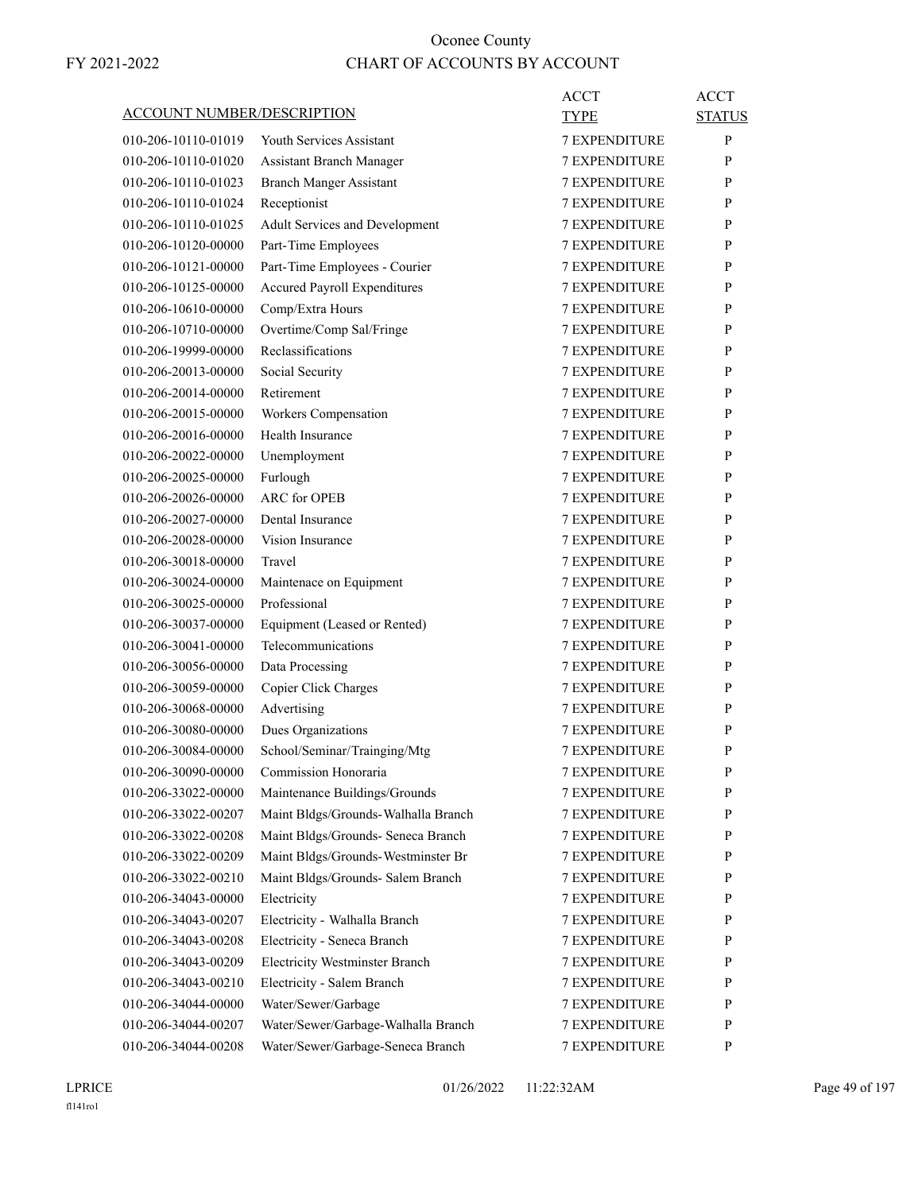| <u>ACCOUNT NUMBER/DESCRIPTION</u> |                                                                      | ACCT<br>TYPE         | <b>ACCT</b><br><b>STATUS</b> |
|-----------------------------------|----------------------------------------------------------------------|----------------------|------------------------------|
| 010-206-10110-01019               | <b>Youth Services Assistant</b>                                      | <b>7 EXPENDITURE</b> | P                            |
| 010-206-10110-01020               | <b>Assistant Branch Manager</b>                                      | <b>7 EXPENDITURE</b> | P                            |
| 010-206-10110-01023               | <b>Branch Manger Assistant</b>                                       | <b>7 EXPENDITURE</b> | P                            |
| 010-206-10110-01024               | Receptionist                                                         | <b>7 EXPENDITURE</b> | P                            |
| 010-206-10110-01025               | Adult Services and Development                                       | <b>7 EXPENDITURE</b> | P                            |
| 010-206-10120-00000               | Part-Time Employees                                                  | <b>7 EXPENDITURE</b> | P                            |
| 010-206-10121-00000               | Part-Time Employees - Courier                                        | <b>7 EXPENDITURE</b> | P                            |
| 010-206-10125-00000               | <b>Accured Payroll Expenditures</b>                                  | 7 EXPENDITURE        | P                            |
| 010-206-10610-00000               | Comp/Extra Hours                                                     | <b>7 EXPENDITURE</b> | P                            |
| 010-206-10710-00000               | Overtime/Comp Sal/Fringe                                             | <b>7 EXPENDITURE</b> | P                            |
| 010-206-19999-00000               | Reclassifications                                                    | <b>7 EXPENDITURE</b> | P                            |
| 010-206-20013-00000               | Social Security                                                      | <b>7 EXPENDITURE</b> | P                            |
| 010-206-20014-00000               | Retirement                                                           | <b>7 EXPENDITURE</b> | P                            |
| 010-206-20015-00000               | Workers Compensation                                                 | 7 EXPENDITURE        | P                            |
| 010-206-20016-00000               | Health Insurance                                                     | <b>7 EXPENDITURE</b> | P                            |
| 010-206-20022-00000               | Unemployment                                                         | <b>7 EXPENDITURE</b> | P                            |
| 010-206-20025-00000               | Furlough                                                             | <b>7 EXPENDITURE</b> | P                            |
| 010-206-20026-00000               | <b>ARC</b> for OPEB                                                  | <b>7 EXPENDITURE</b> | P                            |
| 010-206-20027-00000               | Dental Insurance                                                     | <b>7 EXPENDITURE</b> | P                            |
| 010-206-20028-00000               | Vision Insurance                                                     | 7 EXPENDITURE        | P                            |
| 010-206-30018-00000               | Travel                                                               | <b>7 EXPENDITURE</b> | P                            |
| 010-206-30024-00000               | Maintenace on Equipment                                              | <b>7 EXPENDITURE</b> | P                            |
| 010-206-30025-00000               | Professional                                                         | <b>7 EXPENDITURE</b> | P                            |
| 010-206-30037-00000               | Equipment (Leased or Rented)                                         | <b>7 EXPENDITURE</b> | P                            |
| 010-206-30041-00000               | Telecommunications                                                   | <b>7 EXPENDITURE</b> | P                            |
| 010-206-30056-00000               |                                                                      | 7 EXPENDITURE        | P                            |
| 010-206-30059-00000               | Data Processing<br>Copier Click Charges                              | <b>7 EXPENDITURE</b> | P                            |
| 010-206-30068-00000               | Advertising                                                          | <b>7 EXPENDITURE</b> | P                            |
|                                   |                                                                      | <b>7 EXPENDITURE</b> |                              |
| 010-206-30080-00000               | Dues Organizations                                                   |                      | P<br>P                       |
| 010-206-30084-00000               | School/Seminar/Trainging/Mtg                                         | <b>7 EXPENDITURE</b> |                              |
| 010-206-30090-00000               | Commission Honoraria                                                 | 7 EXPENDITURE        | $\mathbf{P}$                 |
| 010-206-33022-00000               | Maintenance Buildings/Grounds<br>Maint Bldgs/Grounds-Walhalla Branch | <b>7 EXPENDITURE</b> | P                            |
| 010-206-33022-00207               |                                                                      | 7 EXPENDITURE        | P                            |
| 010-206-33022-00208               | Maint Bldgs/Grounds- Seneca Branch                                   | 7 EXPENDITURE        | P                            |
| 010-206-33022-00209               | Maint Bldgs/Grounds-Westminster Br                                   | 7 EXPENDITURE        | P                            |
| 010-206-33022-00210               | Maint Bldgs/Grounds- Salem Branch                                    | 7 EXPENDITURE        | P                            |
| 010-206-34043-00000               | Electricity                                                          | <b>7 EXPENDITURE</b> | P                            |
| 010-206-34043-00207               | Electricity - Walhalla Branch                                        | 7 EXPENDITURE        | P                            |
| 010-206-34043-00208               | Electricity - Seneca Branch                                          | <b>7 EXPENDITURE</b> | P                            |
| 010-206-34043-00209               | <b>Electricity Westminster Branch</b>                                | 7 EXPENDITURE        | P                            |
| 010-206-34043-00210               | Electricity - Salem Branch                                           | 7 EXPENDITURE        | P                            |
| 010-206-34044-00000               | Water/Sewer/Garbage                                                  | 7 EXPENDITURE        | P                            |
| 010-206-34044-00207               | Water/Sewer/Garbage-Walhalla Branch                                  | 7 EXPENDITURE        | P                            |
| 010-206-34044-00208               | Water/Sewer/Garbage-Seneca Branch                                    | 7 EXPENDITURE        | P                            |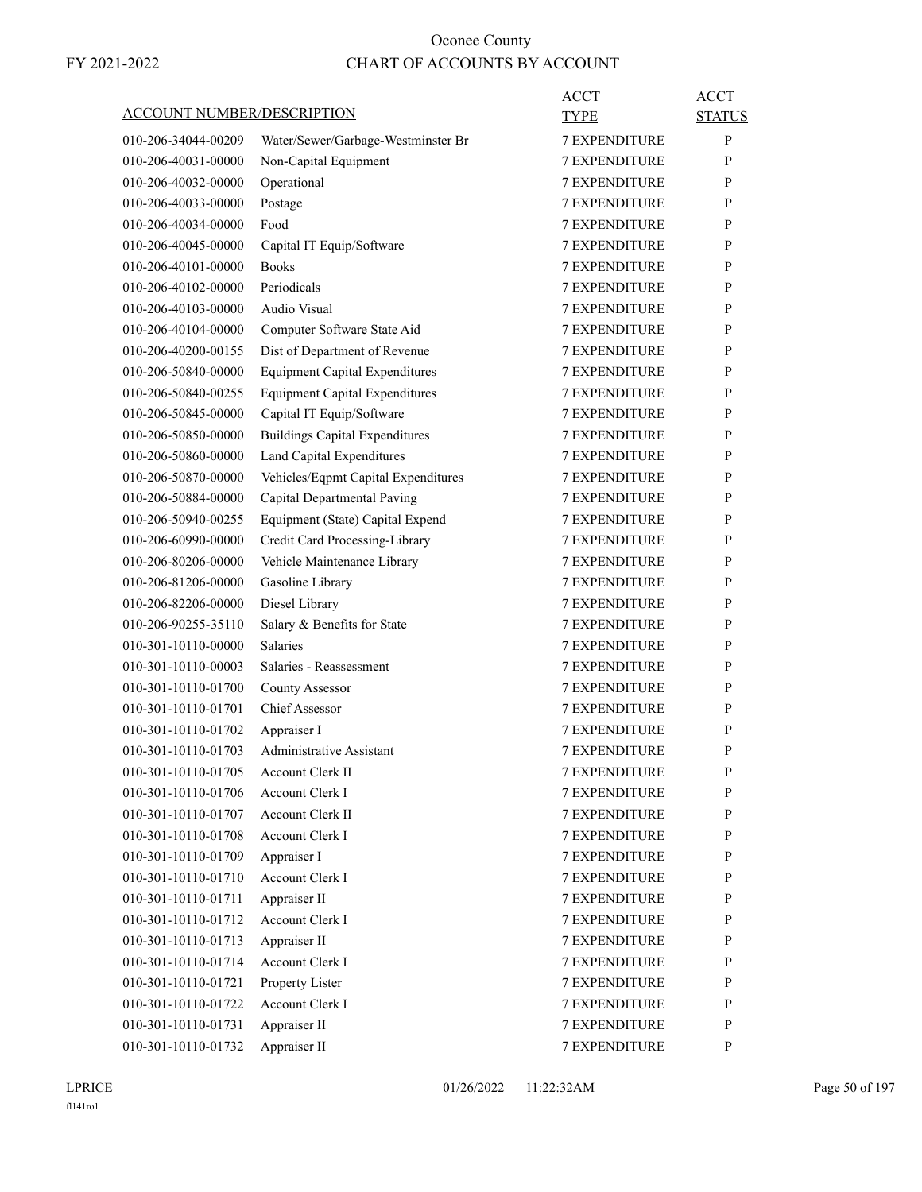| ACCOUNT NUMBER/DESCRIPTION |                                       | ACCT<br><b>TYPE</b>  | ACCT<br><b>STATUS</b> |
|----------------------------|---------------------------------------|----------------------|-----------------------|
| 010-206-34044-00209        | Water/Sewer/Garbage-Westminster Br    | <b>7 EXPENDITURE</b> | P                     |
| 010-206-40031-00000        | Non-Capital Equipment                 | <b>7 EXPENDITURE</b> | P                     |
| 010-206-40032-00000        | Operational                           | <b>7 EXPENDITURE</b> | P                     |
| 010-206-40033-00000        | Postage                               | <b>7 EXPENDITURE</b> | P                     |
| 010-206-40034-00000        | Food                                  | <b>7 EXPENDITURE</b> | P                     |
| 010-206-40045-00000        | Capital IT Equip/Software             | <b>7 EXPENDITURE</b> | P                     |
| 010-206-40101-00000        | <b>Books</b>                          | <b>7 EXPENDITURE</b> | P                     |
| 010-206-40102-00000        | Periodicals                           | <b>7 EXPENDITURE</b> | P                     |
| 010-206-40103-00000        | Audio Visual                          | <b>7 EXPENDITURE</b> | P                     |
| 010-206-40104-00000        | Computer Software State Aid           | <b>7 EXPENDITURE</b> | P                     |
| 010-206-40200-00155        | Dist of Department of Revenue         | <b>7 EXPENDITURE</b> | P                     |
| 010-206-50840-00000        | <b>Equipment Capital Expenditures</b> | <b>7 EXPENDITURE</b> | P                     |
| 010-206-50840-00255        | <b>Equipment Capital Expenditures</b> | <b>7 EXPENDITURE</b> | P                     |
| 010-206-50845-00000        | Capital IT Equip/Software             | <b>7 EXPENDITURE</b> | P                     |
| 010-206-50850-00000        | <b>Buildings Capital Expenditures</b> | <b>7 EXPENDITURE</b> | P                     |
| 010-206-50860-00000        | Land Capital Expenditures             | <b>7 EXPENDITURE</b> | P                     |
| 010-206-50870-00000        | Vehicles/Eqpmt Capital Expenditures   | <b>7 EXPENDITURE</b> | P                     |
| 010-206-50884-00000        | Capital Departmental Paving           | <b>7 EXPENDITURE</b> | P                     |
| 010-206-50940-00255        | Equipment (State) Capital Expend      | <b>7 EXPENDITURE</b> | P                     |
| 010-206-60990-00000        | Credit Card Processing-Library        | <b>7 EXPENDITURE</b> | P                     |
| 010-206-80206-00000        | Vehicle Maintenance Library           | <b>7 EXPENDITURE</b> | P                     |
| 010-206-81206-00000        | Gasoline Library                      | <b>7 EXPENDITURE</b> | P                     |
| 010-206-82206-00000        | Diesel Library                        | <b>7 EXPENDITURE</b> | P                     |
| 010-206-90255-35110        | Salary & Benefits for State           | <b>7 EXPENDITURE</b> | P                     |
| 010-301-10110-00000        | <b>Salaries</b>                       | <b>7 EXPENDITURE</b> | P                     |
| 010-301-10110-00003        | Salaries - Reassessment               | 7 EXPENDITURE        | P                     |
| 010-301-10110-01700        | <b>County Assessor</b>                | <b>7 EXPENDITURE</b> | P                     |
| 010-301-10110-01701        | Chief Assessor                        | <b>7 EXPENDITURE</b> | P                     |
| 010-301-10110-01702        | Appraiser I                           | <b>7 EXPENDITURE</b> | P                     |
| 010-301-10110-01703        | Administrative Assistant              | <b>7 EXPENDITURE</b> | P                     |
| 010-301-10110-01705        | Account Clerk II                      | 7 EXPENDITURE        | P                     |
| 010-301-10110-01706        | Account Clerk I                       | <b>7 EXPENDITURE</b> | P                     |
| 010-301-10110-01707        | Account Clerk II                      | 7 EXPENDITURE        | P                     |
| 010-301-10110-01708        | Account Clerk I                       | 7 EXPENDITURE        | P                     |
| 010-301-10110-01709        | Appraiser I                           | 7 EXPENDITURE        | P                     |
| 010-301-10110-01710        | Account Clerk I                       | <b>7 EXPENDITURE</b> | P                     |
| 010-301-10110-01711        | Appraiser II                          | <b>7 EXPENDITURE</b> | P                     |
| 010-301-10110-01712        | Account Clerk I                       | 7 EXPENDITURE        | P                     |
| 010-301-10110-01713        | Appraiser II                          | 7 EXPENDITURE        | P                     |
| 010-301-10110-01714        | Account Clerk I                       | 7 EXPENDITURE        | P                     |
| 010-301-10110-01721        | Property Lister                       | 7 EXPENDITURE        | P                     |
| 010-301-10110-01722        | Account Clerk I                       | <b>7 EXPENDITURE</b> | P                     |
| 010-301-10110-01731        | Appraiser II                          | 7 EXPENDITURE        | P                     |
| 010-301-10110-01732        | Appraiser II                          | 7 EXPENDITURE        | P                     |
|                            |                                       |                      |                       |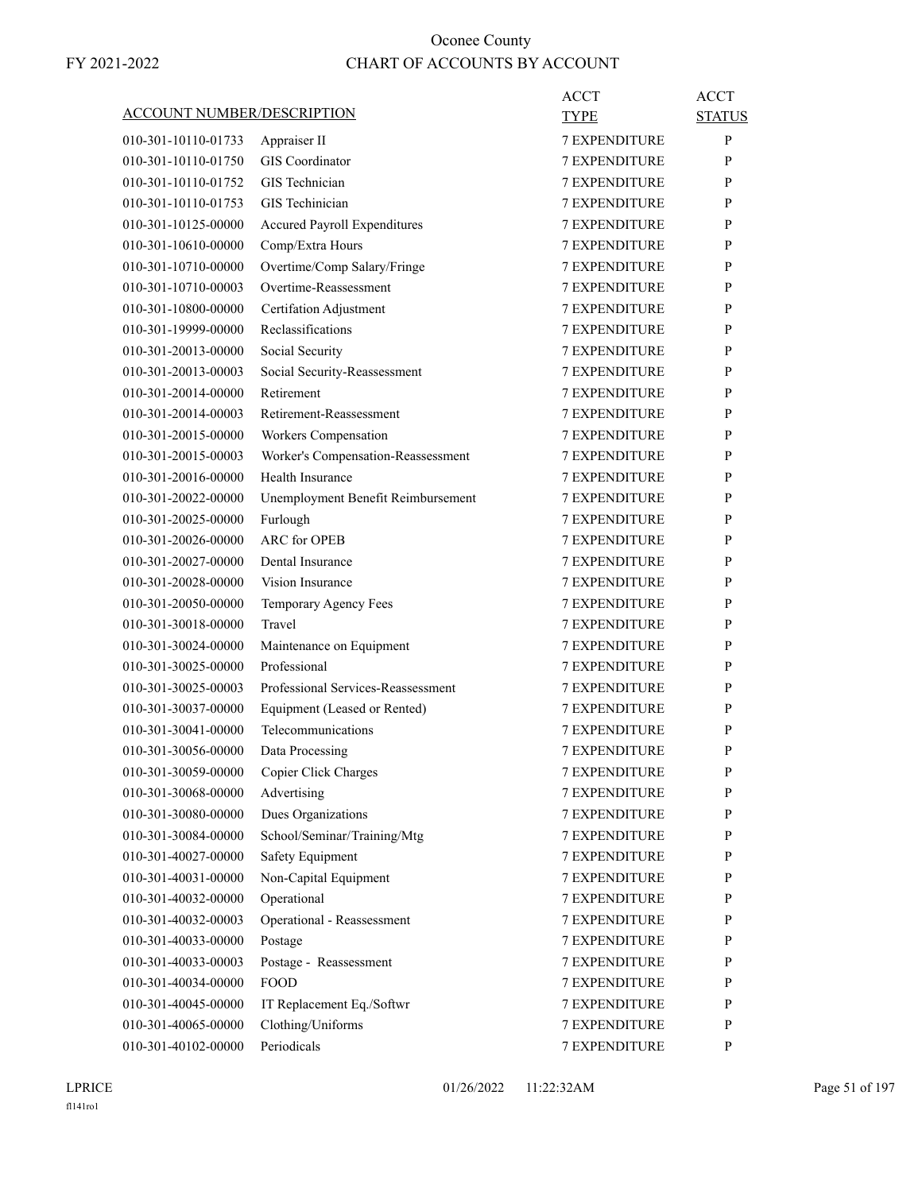|                                   |                                    | <b>ACCT</b>          | <b>ACCT</b>   |
|-----------------------------------|------------------------------------|----------------------|---------------|
| <b>ACCOUNT NUMBER/DESCRIPTION</b> |                                    | TYPE                 | <b>STATUS</b> |
| 010-301-10110-01733               | Appraiser II                       | <b>7 EXPENDITURE</b> | P             |
| 010-301-10110-01750               | <b>GIS</b> Coordinator             | <b>7 EXPENDITURE</b> | P             |
| 010-301-10110-01752               | GIS Technician                     | <b>7 EXPENDITURE</b> | P             |
| 010-301-10110-01753               | GIS Techinician                    | 7 EXPENDITURE        | P             |
| 010-301-10125-00000               | Accured Payroll Expenditures       | <b>7 EXPENDITURE</b> | P             |
| 010-301-10610-00000               | Comp/Extra Hours                   | <b>7 EXPENDITURE</b> | P             |
| 010-301-10710-00000               | Overtime/Comp Salary/Fringe        | <b>7 EXPENDITURE</b> | P             |
| 010-301-10710-00003               | Overtime-Reassessment              | <b>7 EXPENDITURE</b> | P             |
| 010-301-10800-00000               | <b>Certifation Adjustment</b>      | <b>7 EXPENDITURE</b> | P             |
| 010-301-19999-00000               | Reclassifications                  | <b>7 EXPENDITURE</b> | P             |
| 010-301-20013-00000               | Social Security                    | <b>7 EXPENDITURE</b> | P             |
| 010-301-20013-00003               | Social Security-Reassessment       | <b>7 EXPENDITURE</b> | P             |
| 010-301-20014-00000               | Retirement                         | <b>7 EXPENDITURE</b> | P             |
| 010-301-20014-00003               | Retirement-Reassessment            | <b>7 EXPENDITURE</b> | P             |
| 010-301-20015-00000               | Workers Compensation               | <b>7 EXPENDITURE</b> | P             |
| 010-301-20015-00003               | Worker's Compensation-Reassessment | 7 EXPENDITURE        | P             |
| 010-301-20016-00000               | Health Insurance                   | <b>7 EXPENDITURE</b> | P             |
| 010-301-20022-00000               | Unemployment Benefit Reimbursement | <b>7 EXPENDITURE</b> | P             |
| 010-301-20025-00000               | Furlough                           | <b>7 EXPENDITURE</b> | P             |
| 010-301-20026-00000               | <b>ARC</b> for OPEB                | <b>7 EXPENDITURE</b> | P             |
| 010-301-20027-00000               | Dental Insurance                   | <b>7 EXPENDITURE</b> | P             |
| 010-301-20028-00000               | Vision Insurance                   | 7 EXPENDITURE        | P             |
| 010-301-20050-00000               | Temporary Agency Fees              | <b>7 EXPENDITURE</b> | P             |
| 010-301-30018-00000               | Travel                             | <b>7 EXPENDITURE</b> | P             |
| 010-301-30024-00000               | Maintenance on Equipment           | <b>7 EXPENDITURE</b> | P             |
| 010-301-30025-00000               | Professional                       | <b>7 EXPENDITURE</b> | P             |
| 010-301-30025-00003               | Professional Services-Reassessment | <b>7 EXPENDITURE</b> | P             |
| 010-301-30037-00000               | Equipment (Leased or Rented)       | 7 EXPENDITURE        | P             |
| 010-301-30041-00000               | Telecommunications                 | <b>7 EXPENDITURE</b> | P             |
| 010-301-30056-00000               | Data Processing                    | <b>7 EXPENDITURE</b> | P             |
| 010-301-30059-00000               | Copier Click Charges               | <b>7 EXPENDITURE</b> | ${\bf P}$     |
| 010-301-30068-00000               | Advertising                        | <b>7 EXPENDITURE</b> | P             |
| 010-301-30080-00000               | Dues Organizations                 | <b>7 EXPENDITURE</b> | P             |
| 010-301-30084-00000               | School/Seminar/Training/Mtg        | 7 EXPENDITURE        | P             |
| 010-301-40027-00000               | Safety Equipment                   | 7 EXPENDITURE        | P             |
| 010-301-40031-00000               | Non-Capital Equipment              | 7 EXPENDITURE        | P             |
| 010-301-40032-00000               | Operational                        | 7 EXPENDITURE        | P             |
| 010-301-40032-00003               | Operational - Reassessment         | <b>7 EXPENDITURE</b> | P             |
| 010-301-40033-00000               | Postage                            | <b>7 EXPENDITURE</b> | P             |
| 010-301-40033-00003               | Postage - Reassessment             | 7 EXPENDITURE        | P             |
| 010-301-40034-00000               | <b>FOOD</b>                        | 7 EXPENDITURE        | P             |
| 010-301-40045-00000               | IT Replacement Eq./Softwr          | 7 EXPENDITURE        | P             |
| 010-301-40065-00000               | Clothing/Uniforms                  | 7 EXPENDITURE        | P             |
| 010-301-40102-00000               | Periodicals                        | 7 EXPENDITURE        | P             |
|                                   |                                    |                      |               |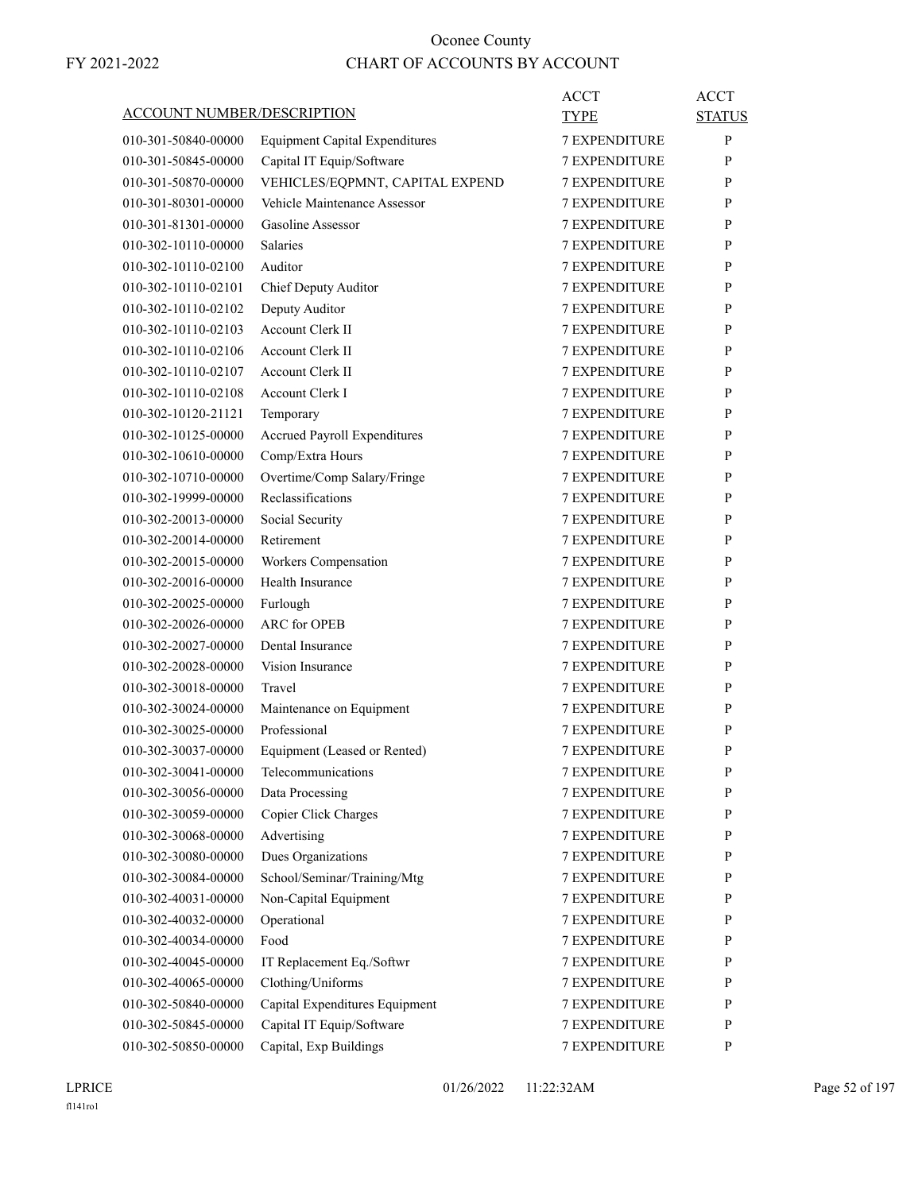| <b>ACCOUNT NUMBER/DESCRIPTION</b> |                                                | ACCT                 | <b>ACCT</b>   |
|-----------------------------------|------------------------------------------------|----------------------|---------------|
|                                   |                                                | <b>TYPE</b>          | <b>STATUS</b> |
| 010-301-50840-00000               | <b>Equipment Capital Expenditures</b>          | <b>7 EXPENDITURE</b> | P             |
| 010-301-50845-00000               | Capital IT Equip/Software                      | 7 EXPENDITURE        | P             |
| 010-301-50870-00000               | VEHICLES/EQPMNT, CAPITAL EXPEND                | <b>7 EXPENDITURE</b> | P             |
| 010-301-80301-00000               | Vehicle Maintenance Assessor                   | <b>7 EXPENDITURE</b> | P             |
| 010-301-81301-00000               | Gasoline Assessor                              | <b>7 EXPENDITURE</b> | P             |
| 010-302-10110-00000               | <b>Salaries</b>                                | <b>7 EXPENDITURE</b> | P             |
| 010-302-10110-02100               | Auditor                                        | <b>7 EXPENDITURE</b> | P             |
| 010-302-10110-02101               | Chief Deputy Auditor                           | <b>7 EXPENDITURE</b> | P             |
| 010-302-10110-02102               | Deputy Auditor                                 | <b>7 EXPENDITURE</b> | P             |
| 010-302-10110-02103               | Account Clerk II                               | <b>7 EXPENDITURE</b> | P             |
| 010-302-10110-02106               | Account Clerk II                               | <b>7 EXPENDITURE</b> | P             |
| 010-302-10110-02107               | <b>Account Clerk II</b>                        | <b>7 EXPENDITURE</b> | P             |
| 010-302-10110-02108               | <b>Account Clerk I</b>                         | <b>7 EXPENDITURE</b> | P             |
| 010-302-10120-21121               | Temporary                                      | <b>7 EXPENDITURE</b> | P             |
| 010-302-10125-00000               | Accrued Payroll Expenditures                   | <b>7 EXPENDITURE</b> | P             |
| 010-302-10610-00000               | Comp/Extra Hours                               | <b>7 EXPENDITURE</b> | P             |
| 010-302-10710-00000               | Overtime/Comp Salary/Fringe                    | <b>7 EXPENDITURE</b> | P             |
| 010-302-19999-00000               | Reclassifications                              | <b>7 EXPENDITURE</b> | P             |
| 010-302-20013-00000               | Social Security                                | <b>7 EXPENDITURE</b> | P             |
| 010-302-20014-00000               | Retirement                                     | 7 EXPENDITURE        | P             |
| 010-302-20015-00000               | Workers Compensation                           | <b>7 EXPENDITURE</b> | P             |
| 010-302-20016-00000               | Health Insurance                               | <b>7 EXPENDITURE</b> | P             |
| 010-302-20025-00000               | Furlough                                       | <b>7 EXPENDITURE</b> | P             |
| 010-302-20026-00000               | <b>ARC</b> for OPEB                            | <b>7 EXPENDITURE</b> | P             |
| 010-302-20027-00000               | Dental Insurance                               | <b>7 EXPENDITURE</b> | P             |
| 010-302-20028-00000               | Vision Insurance                               | 7 EXPENDITURE        | P             |
| 010-302-30018-00000               | Travel                                         | <b>7 EXPENDITURE</b> | P             |
| 010-302-30024-00000               | Maintenance on Equipment                       | <b>7 EXPENDITURE</b> | P             |
| 010-302-30025-00000               | Professional                                   | <b>7 EXPENDITURE</b> | P             |
| 010-302-30037-00000               | Equipment (Leased or Rented)                   | <b>7 EXPENDITURE</b> | P             |
| 010-302-30041-00000               | Telecommunications                             | <b>7 EXPENDITURE</b> | P             |
| 010-302-30056-00000               | Data Processing                                | <b>7 EXPENDITURE</b> | P             |
| 010-302-30059-00000               | Copier Click Charges                           | 7 EXPENDITURE        | $\mathbf{P}$  |
| 010-302-30068-00000               | Advertising                                    | 7 EXPENDITURE        | P             |
| 010-302-30080-00000               | Dues Organizations                             | 7 EXPENDITURE        | P             |
| 010-302-30084-00000               | School/Seminar/Training/Mtg                    | 7 EXPENDITURE        | P             |
| 010-302-40031-00000               | Non-Capital Equipment                          | 7 EXPENDITURE        | P             |
| 010-302-40032-00000               | Operational                                    | <b>7 EXPENDITURE</b> | P             |
| 010-302-40034-00000               | Food                                           | 7 EXPENDITURE        | $\mathbf{P}$  |
| 010-302-40045-00000               |                                                | 7 EXPENDITURE        | P             |
|                                   | IT Replacement Eq./Softwr<br>Clothing/Uniforms | 7 EXPENDITURE        | $\mathbf{P}$  |
| 010-302-40065-00000               |                                                |                      | P             |
| 010-302-50840-00000               | Capital Expenditures Equipment                 | 7 EXPENDITURE        |               |
| 010-302-50845-00000               | Capital IT Equip/Software                      | 7 EXPENDITURE        | P             |
| 010-302-50850-00000               | Capital, Exp Buildings                         | 7 EXPENDITURE        | P             |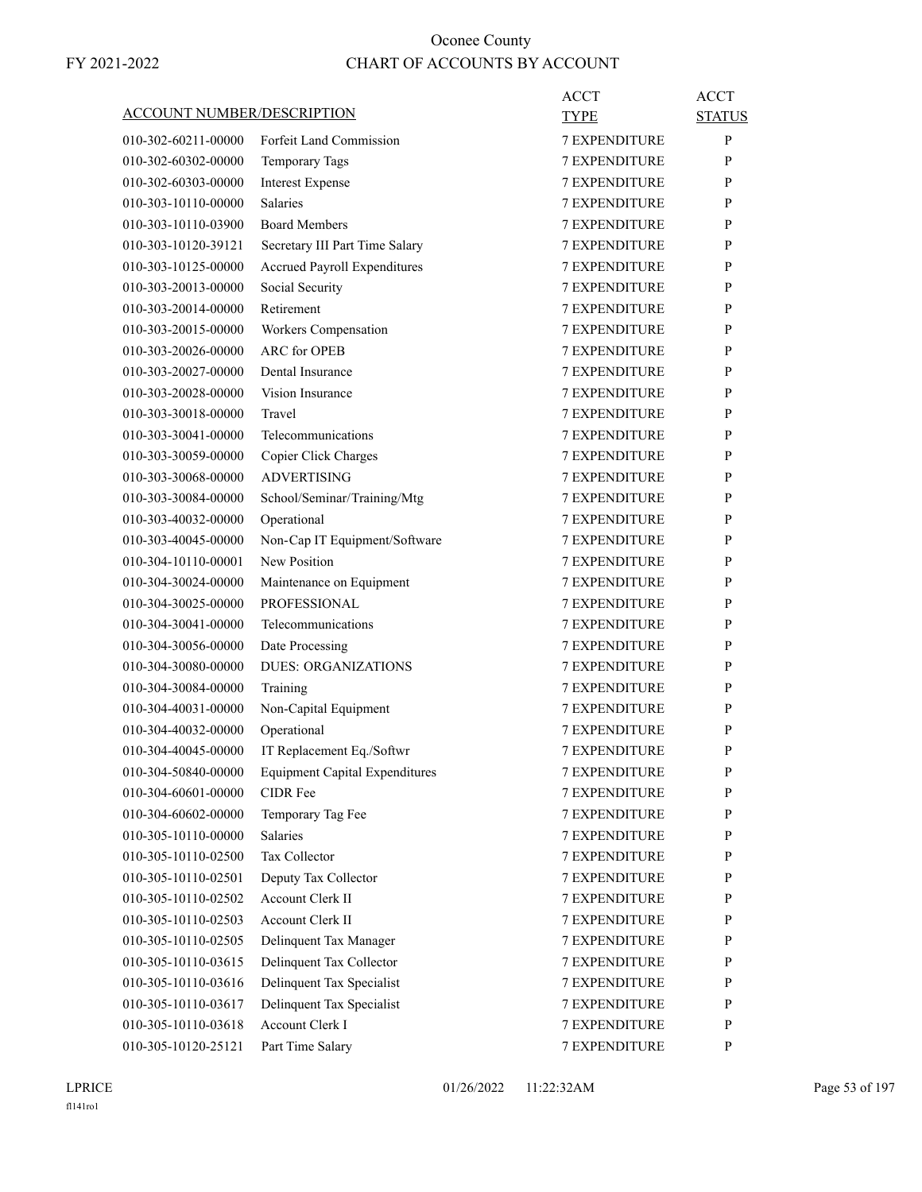|                                   |                                       | <b>ACCT</b>          | <b>ACCT</b>   |
|-----------------------------------|---------------------------------------|----------------------|---------------|
| <b>ACCOUNT NUMBER/DESCRIPTION</b> |                                       | <b>TYPE</b>          | <b>STATUS</b> |
| 010-302-60211-00000               | Forfeit Land Commission               | <b>7 EXPENDITURE</b> | P             |
| 010-302-60302-00000               | <b>Temporary Tags</b>                 | <b>7 EXPENDITURE</b> | P             |
| 010-302-60303-00000               | <b>Interest Expense</b>               | <b>7 EXPENDITURE</b> | P             |
| 010-303-10110-00000               | <b>Salaries</b>                       | 7 EXPENDITURE        | P             |
| 010-303-10110-03900               | <b>Board Members</b>                  | <b>7 EXPENDITURE</b> | P             |
| 010-303-10120-39121               | Secretary III Part Time Salary        | <b>7 EXPENDITURE</b> | P             |
| 010-303-10125-00000               | <b>Accrued Payroll Expenditures</b>   | <b>7 EXPENDITURE</b> | P             |
| 010-303-20013-00000               | Social Security                       | <b>7 EXPENDITURE</b> | P             |
| 010-303-20014-00000               | Retirement                            | <b>7 EXPENDITURE</b> | P             |
| 010-303-20015-00000               | Workers Compensation                  | 7 EXPENDITURE        | P             |
| 010-303-20026-00000               | <b>ARC</b> for OPEB                   | <b>7 EXPENDITURE</b> | P             |
| 010-303-20027-00000               | Dental Insurance                      | <b>7 EXPENDITURE</b> | P             |
| 010-303-20028-00000               | Vision Insurance                      | <b>7 EXPENDITURE</b> | P             |
| 010-303-30018-00000               | Travel                                | <b>7 EXPENDITURE</b> | P             |
| 010-303-30041-00000               | Telecommunications                    | <b>7 EXPENDITURE</b> | P             |
| 010-303-30059-00000               | Copier Click Charges                  | 7 EXPENDITURE        | P             |
| 010-303-30068-00000               | <b>ADVERTISING</b>                    | <b>7 EXPENDITURE</b> | P             |
| 010-303-30084-00000               | School/Seminar/Training/Mtg           | <b>7 EXPENDITURE</b> | P             |
| 010-303-40032-00000               | Operational                           | <b>7 EXPENDITURE</b> | P             |
| 010-303-40045-00000               | Non-Cap IT Equipment/Software         | <b>7 EXPENDITURE</b> | P             |
| 010-304-10110-00001               | New Position                          | <b>7 EXPENDITURE</b> | P             |
| 010-304-30024-00000               | Maintenance on Equipment              | 7 EXPENDITURE        | P             |
| 010-304-30025-00000               | <b>PROFESSIONAL</b>                   | <b>7 EXPENDITURE</b> | P             |
| 010-304-30041-00000               | Telecommunications                    | <b>7 EXPENDITURE</b> | P             |
| 010-304-30056-00000               | Date Processing                       | <b>7 EXPENDITURE</b> | P             |
| 010-304-30080-00000               | <b>DUES: ORGANIZATIONS</b>            | <b>7 EXPENDITURE</b> | P             |
| 010-304-30084-00000               | Training                              | <b>7 EXPENDITURE</b> | P             |
| 010-304-40031-00000               | Non-Capital Equipment                 | <b>7 EXPENDITURE</b> | P             |
| 010-304-40032-00000               | Operational                           | <b>7 EXPENDITURE</b> | P             |
| 010-304-40045-00000               | IT Replacement Eq./Softwr             | <b>7 EXPENDITURE</b> | P             |
| 010-304-50840-00000               | <b>Equipment Capital Expenditures</b> | 7 EXPENDITURE        | ${\bf P}$     |
| 010-304-60601-00000               | <b>CIDR</b> Fee                       | <b>7 EXPENDITURE</b> | P             |
| 010-304-60602-00000               | Temporary Tag Fee                     | <b>7 EXPENDITURE</b> | P             |
| 010-305-10110-00000               | Salaries                              | 7 EXPENDITURE        | P             |
| 010-305-10110-02500               | Tax Collector                         | 7 EXPENDITURE        | P             |
| 010-305-10110-02501               | Deputy Tax Collector                  | 7 EXPENDITURE        | P             |
| 010-305-10110-02502               | Account Clerk II                      | 7 EXPENDITURE        | P             |
| 010-305-10110-02503               | Account Clerk II                      | <b>7 EXPENDITURE</b> | P             |
| 010-305-10110-02505               | Delinquent Tax Manager                | <b>7 EXPENDITURE</b> | P             |
| 010-305-10110-03615               | Delinquent Tax Collector              | <b>7 EXPENDITURE</b> | P             |
| 010-305-10110-03616               | Delinquent Tax Specialist             | 7 EXPENDITURE        | P             |
| 010-305-10110-03617               | Delinquent Tax Specialist             | 7 EXPENDITURE        | P             |
| 010-305-10110-03618               | Account Clerk I                       | 7 EXPENDITURE        | $\mathbf{P}$  |
| 010-305-10120-25121               | Part Time Salary                      | 7 EXPENDITURE        | P             |
|                                   |                                       |                      |               |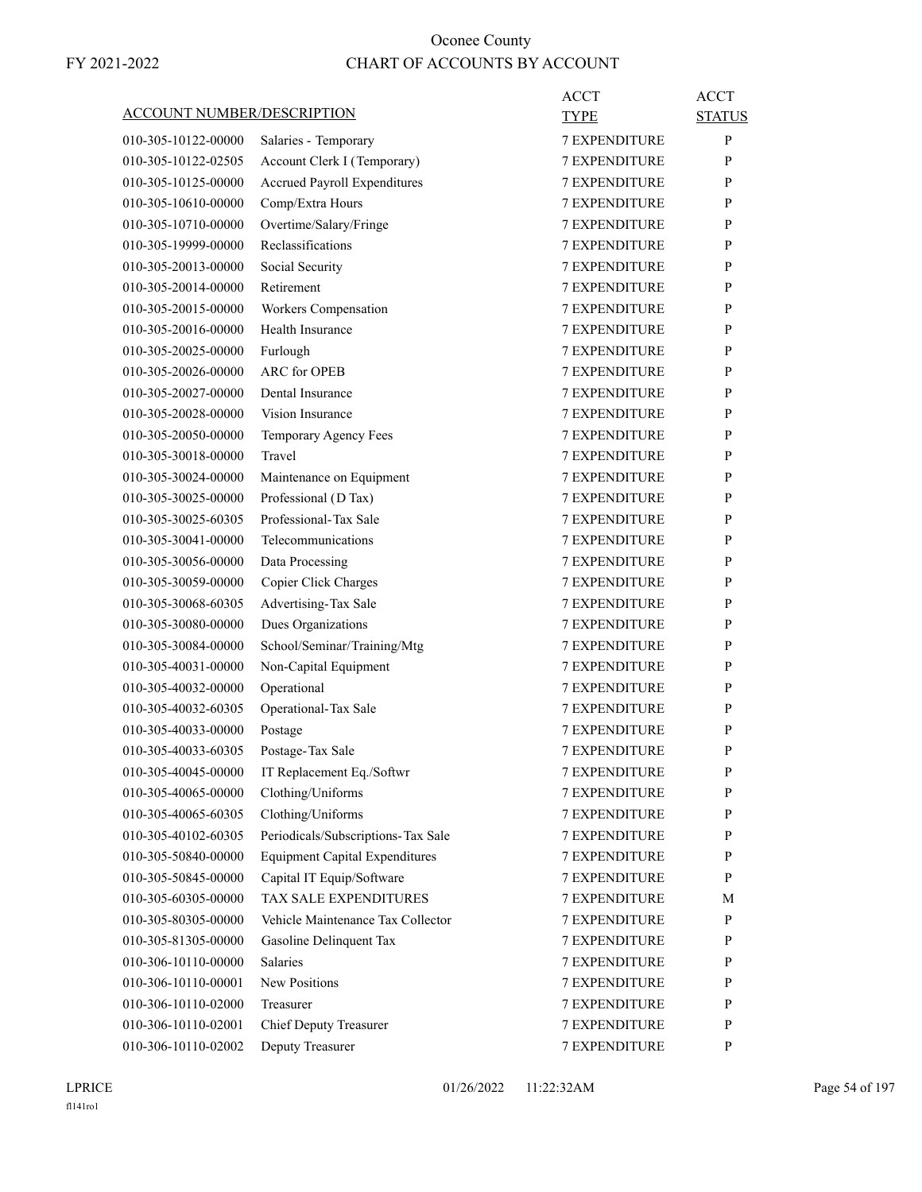| <b>ACCOUNT NUMBER/DESCRIPTION</b> |                                       | ACCT<br><b>TYPE</b>  | <b>ACCT</b><br><b>STATUS</b> |
|-----------------------------------|---------------------------------------|----------------------|------------------------------|
| 010-305-10122-00000               | Salaries - Temporary                  | <b>7 EXPENDITURE</b> | P                            |
| 010-305-10122-02505               | Account Clerk I (Temporary)           | <b>7 EXPENDITURE</b> | P                            |
| 010-305-10125-00000               | <b>Accrued Payroll Expenditures</b>   | <b>7 EXPENDITURE</b> | P                            |
| 010-305-10610-00000               | Comp/Extra Hours                      | <b>7 EXPENDITURE</b> | P                            |
| 010-305-10710-00000               | Overtime/Salary/Fringe                | <b>7 EXPENDITURE</b> | P                            |
| 010-305-19999-00000               | Reclassifications                     | <b>7 EXPENDITURE</b> | P                            |
| 010-305-20013-00000               | Social Security                       | <b>7 EXPENDITURE</b> | P                            |
| 010-305-20014-00000               | Retirement                            | <b>7 EXPENDITURE</b> | P                            |
| 010-305-20015-00000               | Workers Compensation                  | <b>7 EXPENDITURE</b> | P                            |
| 010-305-20016-00000               | Health Insurance                      | <b>7 EXPENDITURE</b> | P                            |
| 010-305-20025-00000               | Furlough                              | <b>7 EXPENDITURE</b> | P                            |
| 010-305-20026-00000               | <b>ARC</b> for OPEB                   | <b>7 EXPENDITURE</b> | P                            |
| 010-305-20027-00000               | Dental Insurance                      | <b>7 EXPENDITURE</b> | P                            |
| 010-305-20028-00000               | Vision Insurance                      | 7 EXPENDITURE        | P                            |
| 010-305-20050-00000               | Temporary Agency Fees                 | <b>7 EXPENDITURE</b> | P                            |
| 010-305-30018-00000               | Travel                                | <b>7 EXPENDITURE</b> | P                            |
| 010-305-30024-00000               | Maintenance on Equipment              | <b>7 EXPENDITURE</b> | P                            |
| 010-305-30025-00000               | Professional (D Tax)                  | <b>7 EXPENDITURE</b> | P                            |
| 010-305-30025-60305               | Professional-Tax Sale                 | <b>7 EXPENDITURE</b> | P                            |
| 010-305-30041-00000               | Telecommunications                    | 7 EXPENDITURE        | P                            |
| 010-305-30056-00000               | Data Processing                       | <b>7 EXPENDITURE</b> | P                            |
| 010-305-30059-00000               | Copier Click Charges                  | <b>7 EXPENDITURE</b> | P                            |
| 010-305-30068-60305               | Advertising-Tax Sale                  | <b>7 EXPENDITURE</b> | P                            |
| 010-305-30080-00000               | Dues Organizations                    | <b>7 EXPENDITURE</b> | P                            |
| 010-305-30084-00000               | School/Seminar/Training/Mtg           | <b>7 EXPENDITURE</b> | P                            |
| 010-305-40031-00000               | Non-Capital Equipment                 | 7 EXPENDITURE        | P                            |
| 010-305-40032-00000               | Operational                           | <b>7 EXPENDITURE</b> | P                            |
| 010-305-40032-60305               | Operational-Tax Sale                  | <b>7 EXPENDITURE</b> | P                            |
| 010-305-40033-00000               | Postage                               | <b>7 EXPENDITURE</b> | P                            |
| 010-305-40033-60305               | Postage-Tax Sale                      | <b>7 EXPENDITURE</b> | P                            |
| 010-305-40045-00000               | IT Replacement Eq./Softwr             | 7 EXPENDITURE        | $\mathbf{P}$                 |
| 010-305-40065-00000               | Clothing/Uniforms                     | <b>7 EXPENDITURE</b> | P                            |
| 010-305-40065-60305               | Clothing/Uniforms                     | 7 EXPENDITURE        | P                            |
| 010-305-40102-60305               | Periodicals/Subscriptions-Tax Sale    | 7 EXPENDITURE        | P                            |
| 010-305-50840-00000               | <b>Equipment Capital Expenditures</b> | 7 EXPENDITURE        | P                            |
| 010-305-50845-00000               | Capital IT Equip/Software             | 7 EXPENDITURE        | P                            |
| 010-305-60305-00000               | TAX SALE EXPENDITURES                 | <b>7 EXPENDITURE</b> | М                            |
| 010-305-80305-00000               | Vehicle Maintenance Tax Collector     | 7 EXPENDITURE        | P                            |
| 010-305-81305-00000               | Gasoline Delinquent Tax               | 7 EXPENDITURE        | P                            |
| 010-306-10110-00000               | Salaries                              | 7 EXPENDITURE        | P                            |
| 010-306-10110-00001               | <b>New Positions</b>                  | 7 EXPENDITURE        | P                            |
| 010-306-10110-02000               | Treasurer                             | 7 EXPENDITURE        | P                            |
| 010-306-10110-02001               | <b>Chief Deputy Treasurer</b>         | 7 EXPENDITURE        | P                            |
| 010-306-10110-02002               | Deputy Treasurer                      | 7 EXPENDITURE        | P                            |
|                                   |                                       |                      |                              |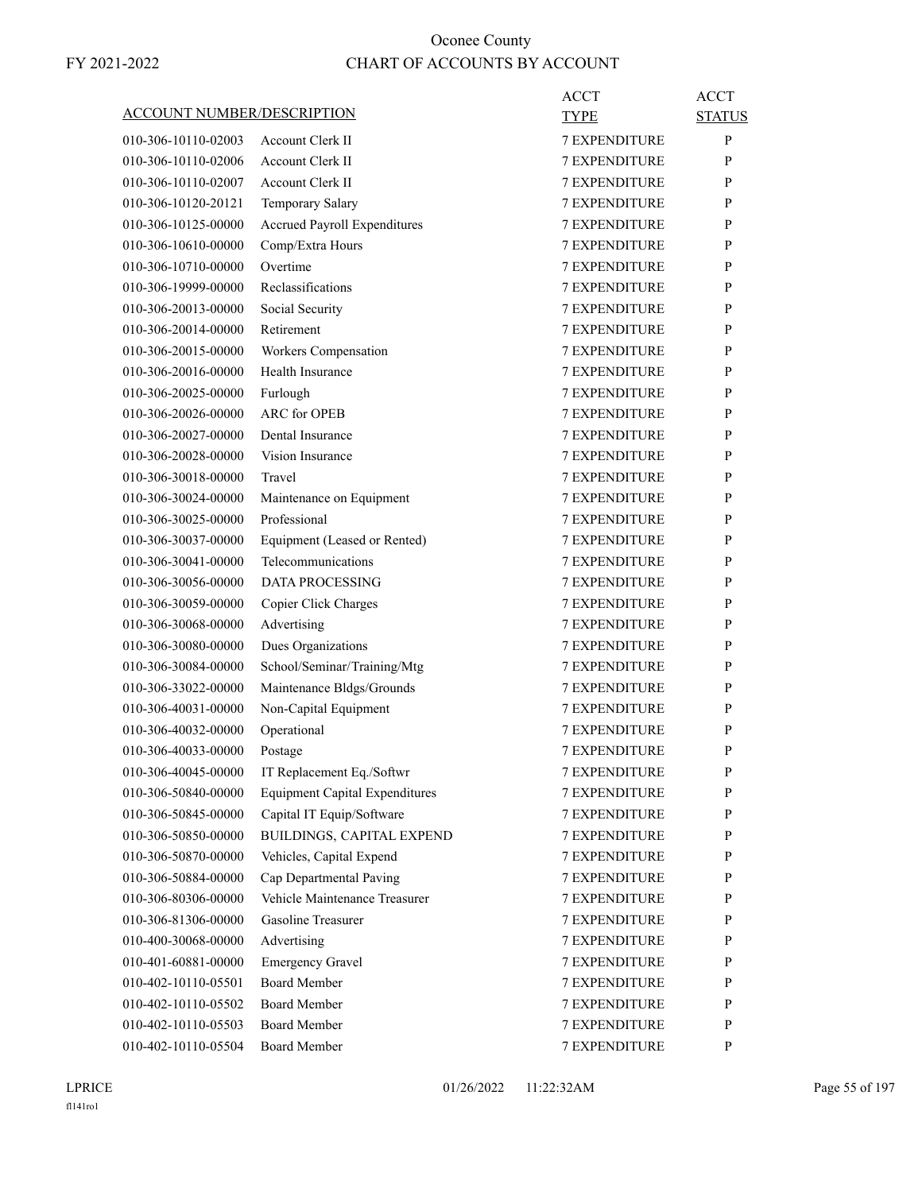| ACCOUNT NUMBER/DESCRIPTION                 |                                                          | ACCT<br>TYPE                                 | ACCT<br><b>STATUS</b> |
|--------------------------------------------|----------------------------------------------------------|----------------------------------------------|-----------------------|
| 010-306-10110-02003                        | <b>Account Clerk II</b>                                  | <b>7 EXPENDITURE</b>                         | P                     |
| 010-306-10110-02006                        | <b>Account Clerk II</b>                                  | <b>7 EXPENDITURE</b>                         | P                     |
| 010-306-10110-02007                        | <b>Account Clerk II</b>                                  | <b>7 EXPENDITURE</b>                         | P                     |
| 010-306-10120-20121                        | Temporary Salary                                         | <b>7 EXPENDITURE</b>                         | P                     |
| 010-306-10125-00000                        | Accrued Payroll Expenditures                             | <b>7 EXPENDITURE</b>                         | P                     |
| 010-306-10610-00000                        | Comp/Extra Hours                                         | <b>7 EXPENDITURE</b>                         | P                     |
| 010-306-10710-00000                        | Overtime                                                 | <b>7 EXPENDITURE</b>                         | P                     |
| 010-306-19999-00000                        | Reclassifications                                        | <b>7 EXPENDITURE</b>                         | P                     |
| 010-306-20013-00000                        | Social Security                                          | <b>7 EXPENDITURE</b>                         | P                     |
| 010-306-20014-00000                        | Retirement                                               | <b>7 EXPENDITURE</b>                         | P                     |
| 010-306-20015-00000                        | Workers Compensation                                     | <b>7 EXPENDITURE</b>                         | P                     |
| 010-306-20016-00000                        | Health Insurance                                         | <b>7 EXPENDITURE</b>                         | P                     |
| 010-306-20025-00000                        | Furlough                                                 | <b>7 EXPENDITURE</b>                         | P                     |
| 010-306-20026-00000                        | <b>ARC</b> for OPEB                                      | 7 EXPENDITURE                                | P                     |
| 010-306-20027-00000                        | Dental Insurance                                         | <b>7 EXPENDITURE</b>                         | P                     |
| 010-306-20028-00000                        | Vision Insurance                                         | <b>7 EXPENDITURE</b>                         | P                     |
| 010-306-30018-00000                        | Travel                                                   | <b>7 EXPENDITURE</b>                         | P                     |
| 010-306-30024-00000                        | Maintenance on Equipment                                 | <b>7 EXPENDITURE</b>                         | P                     |
| 010-306-30025-00000                        | Professional                                             | <b>7 EXPENDITURE</b>                         | P                     |
| 010-306-30037-00000                        | Equipment (Leased or Rented)                             | 7 EXPENDITURE                                | P                     |
| 010-306-30041-00000                        | Telecommunications                                       | <b>7 EXPENDITURE</b>                         | P                     |
| 010-306-30056-00000                        | DATA PROCESSING                                          | <b>7 EXPENDITURE</b>                         | P                     |
| 010-306-30059-00000                        | Copier Click Charges                                     | <b>7 EXPENDITURE</b>                         | P                     |
| 010-306-30068-00000                        | Advertising                                              | <b>7 EXPENDITURE</b>                         | P                     |
| 010-306-30080-00000                        | Dues Organizations                                       | <b>7 EXPENDITURE</b>                         | P                     |
| 010-306-30084-00000                        |                                                          | 7 EXPENDITURE                                | P                     |
| 010-306-33022-00000                        | School/Seminar/Training/Mtg<br>Maintenance Bldgs/Grounds | <b>7 EXPENDITURE</b>                         | P                     |
| 010-306-40031-00000                        |                                                          | <b>7 EXPENDITURE</b>                         | P                     |
|                                            | Non-Capital Equipment                                    | <b>7 EXPENDITURE</b>                         |                       |
| 010-306-40032-00000<br>010-306-40033-00000 | Operational                                              |                                              | P<br>P                |
|                                            | Postage                                                  | <b>7 EXPENDITURE</b><br><b>7 EXPENDITURE</b> | P                     |
| 010-306-40045-00000                        | IT Replacement Eq./Softwr                                |                                              |                       |
| 010-306-50840-00000                        | <b>Equipment Capital Expenditures</b>                    | 7 EXPENDITURE                                | P                     |
| 010-306-50845-00000<br>010-306-50850-00000 | Capital IT Equip/Software<br>BUILDINGS, CAPITAL EXPEND   | 7 EXPENDITURE                                | P                     |
|                                            |                                                          | 7 EXPENDITURE<br><b>7 EXPENDITURE</b>        | P                     |
| 010-306-50870-00000                        | Vehicles, Capital Expend                                 |                                              | P                     |
| 010-306-50884-00000                        | Cap Departmental Paving                                  | <b>7 EXPENDITURE</b>                         | P                     |
| 010-306-80306-00000                        | Vehicle Maintenance Treasurer                            | <b>7 EXPENDITURE</b>                         | P                     |
| 010-306-81306-00000                        | Gasoline Treasurer                                       | <b>7 EXPENDITURE</b>                         | P                     |
| 010-400-30068-00000                        | Advertising                                              | 7 EXPENDITURE                                | P                     |
| 010-401-60881-00000                        | <b>Emergency Gravel</b>                                  | 7 EXPENDITURE                                | P                     |
| 010-402-10110-05501                        | <b>Board Member</b>                                      | 7 EXPENDITURE                                | P                     |
| 010-402-10110-05502                        | <b>Board Member</b>                                      | 7 EXPENDITURE                                | P                     |
| 010-402-10110-05503                        | <b>Board Member</b>                                      | 7 EXPENDITURE                                | P                     |
| 010-402-10110-05504                        | <b>Board Member</b>                                      | 7 EXPENDITURE                                | P                     |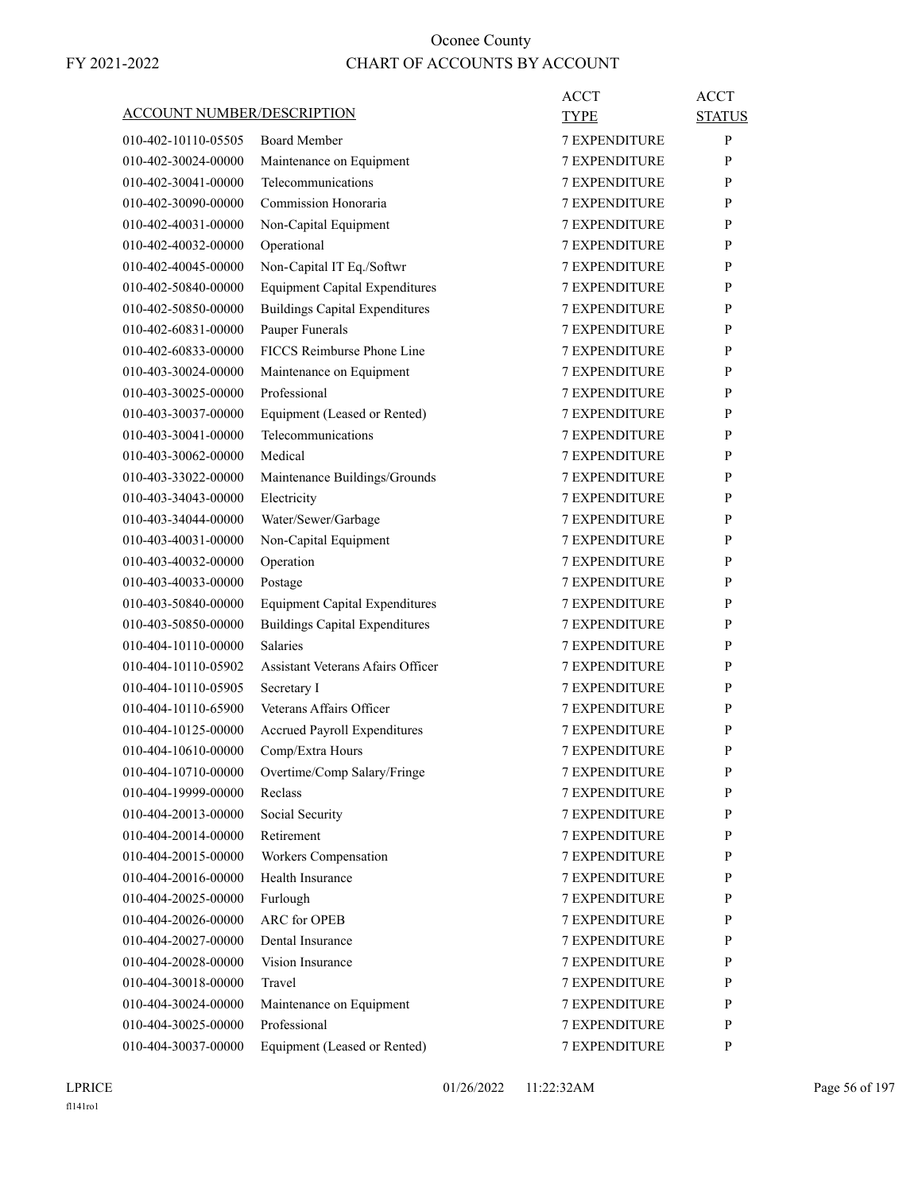|                                   |                                          | <b>ACCT</b>          | <b>ACCT</b>   |
|-----------------------------------|------------------------------------------|----------------------|---------------|
| <b>ACCOUNT NUMBER/DESCRIPTION</b> |                                          | TYPE                 | <b>STATUS</b> |
| 010-402-10110-05505               | <b>Board Member</b>                      | <b>7 EXPENDITURE</b> | P             |
| 010-402-30024-00000               | Maintenance on Equipment                 | <b>7 EXPENDITURE</b> | P             |
| 010-402-30041-00000               | Telecommunications                       | <b>7 EXPENDITURE</b> | P             |
| 010-402-30090-00000               | Commission Honoraria                     | <b>7 EXPENDITURE</b> | P             |
| 010-402-40031-00000               | Non-Capital Equipment                    | <b>7 EXPENDITURE</b> | P             |
| 010-402-40032-00000               | Operational                              | <b>7 EXPENDITURE</b> | P             |
| 010-402-40045-00000               | Non-Capital IT Eq./Softwr                | <b>7 EXPENDITURE</b> | P             |
| 010-402-50840-00000               | <b>Equipment Capital Expenditures</b>    | <b>7 EXPENDITURE</b> | P             |
| 010-402-50850-00000               | <b>Buildings Capital Expenditures</b>    | <b>7 EXPENDITURE</b> | P             |
| 010-402-60831-00000               | Pauper Funerals                          | <b>7 EXPENDITURE</b> | P             |
| 010-402-60833-00000               | FICCS Reimburse Phone Line               | <b>7 EXPENDITURE</b> | P             |
| 010-403-30024-00000               | Maintenance on Equipment                 | <b>7 EXPENDITURE</b> | P             |
| 010-403-30025-00000               | Professional                             | <b>7 EXPENDITURE</b> | P             |
| 010-403-30037-00000               | Equipment (Leased or Rented)             | <b>7 EXPENDITURE</b> | P             |
| 010-403-30041-00000               | Telecommunications                       | <b>7 EXPENDITURE</b> | P             |
| 010-403-30062-00000               | Medical                                  | <b>7 EXPENDITURE</b> | P             |
| 010-403-33022-00000               | Maintenance Buildings/Grounds            | <b>7 EXPENDITURE</b> | P             |
| 010-403-34043-00000               | Electricity                              | <b>7 EXPENDITURE</b> | P             |
| 010-403-34044-00000               | Water/Sewer/Garbage                      | <b>7 EXPENDITURE</b> | P             |
| 010-403-40031-00000               | Non-Capital Equipment                    | <b>7 EXPENDITURE</b> | P             |
| 010-403-40032-00000               | Operation                                | <b>7 EXPENDITURE</b> | P             |
| 010-403-40033-00000               | Postage                                  | <b>7 EXPENDITURE</b> | P             |
| 010-403-50840-00000               | <b>Equipment Capital Expenditures</b>    | <b>7 EXPENDITURE</b> | P             |
| 010-403-50850-00000               | <b>Buildings Capital Expenditures</b>    | <b>7 EXPENDITURE</b> | P             |
| 010-404-10110-00000               | <b>Salaries</b>                          | <b>7 EXPENDITURE</b> | P             |
| 010-404-10110-05902               | <b>Assistant Veterans Afairs Officer</b> | <b>7 EXPENDITURE</b> | P             |
| 010-404-10110-05905               | Secretary I                              | <b>7 EXPENDITURE</b> | P             |
| 010-404-10110-65900               | Veterans Affairs Officer                 | 7 EXPENDITURE        | P             |
| 010-404-10125-00000               | Accrued Payroll Expenditures             | <b>7 EXPENDITURE</b> | P             |
| 010-404-10610-00000               | Comp/Extra Hours                         | <b>7 EXPENDITURE</b> | P             |
| 010-404-10710-00000               | Overtime/Comp Salary/Fringe              | <b>7 EXPENDITURE</b> | ${\bf P}$     |
| 010-404-19999-00000               | Reclass                                  | 7 EXPENDITURE        | P             |
| 010-404-20013-00000               | Social Security                          | <b>7 EXPENDITURE</b> | P             |
| 010-404-20014-00000               | Retirement                               | 7 EXPENDITURE        | P             |
| 010-404-20015-00000               | Workers Compensation                     | <b>7 EXPENDITURE</b> | P             |
| 010-404-20016-00000               | Health Insurance                         | <b>7 EXPENDITURE</b> | P             |
| 010-404-20025-00000               | Furlough                                 | <b>7 EXPENDITURE</b> | P             |
| 010-404-20026-00000               | <b>ARC</b> for OPEB                      | 7 EXPENDITURE        | P             |
| 010-404-20027-00000               | Dental Insurance                         | <b>7 EXPENDITURE</b> | P             |
| 010-404-20028-00000               | Vision Insurance                         | <b>7 EXPENDITURE</b> | P             |
| 010-404-30018-00000               | Travel                                   | <b>7 EXPENDITURE</b> | P             |
| 010-404-30024-00000               | Maintenance on Equipment                 | <b>7 EXPENDITURE</b> | P             |
| 010-404-30025-00000               | Professional                             | 7 EXPENDITURE        | $\mathbf{P}$  |
| 010-404-30037-00000               | Equipment (Leased or Rented)             | 7 EXPENDITURE        | P             |
|                                   |                                          |                      |               |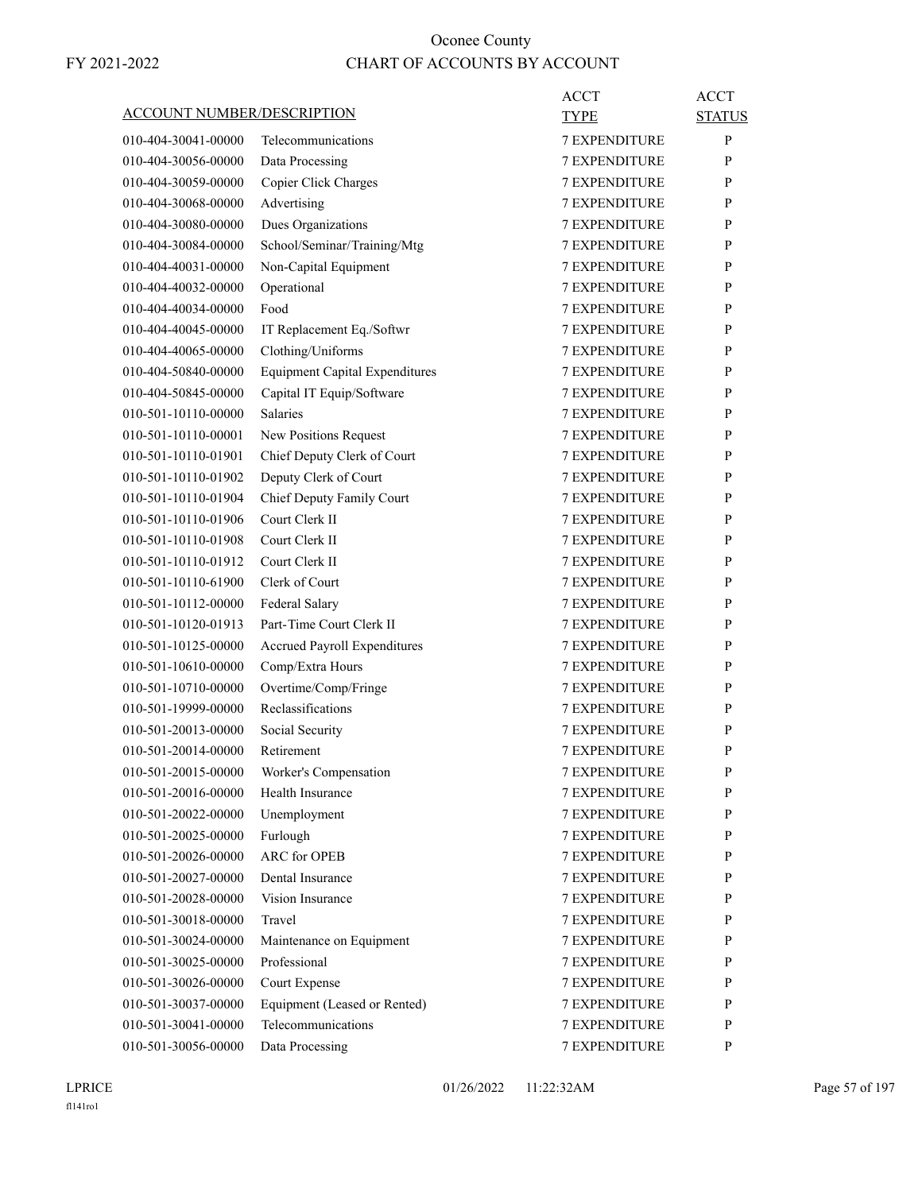| <b>ACCOUNT NUMBER/DESCRIPTION</b> |                                       | ACCT                 | <b>ACCT</b>   |
|-----------------------------------|---------------------------------------|----------------------|---------------|
|                                   |                                       | TYPE                 | <b>STATUS</b> |
| 010-404-30041-00000               | Telecommunications                    | <b>7 EXPENDITURE</b> | P             |
| 010-404-30056-00000               | Data Processing                       | <b>7 EXPENDITURE</b> | P             |
| 010-404-30059-00000               | Copier Click Charges                  | <b>7 EXPENDITURE</b> | P             |
| 010-404-30068-00000               | Advertising                           | <b>7 EXPENDITURE</b> | P             |
| 010-404-30080-00000               | Dues Organizations                    | <b>7 EXPENDITURE</b> | P             |
| 010-404-30084-00000               | School/Seminar/Training/Mtg           | <b>7 EXPENDITURE</b> | P             |
| 010-404-40031-00000               | Non-Capital Equipment                 | <b>7 EXPENDITURE</b> | P             |
| 010-404-40032-00000               | Operational                           | <b>7 EXPENDITURE</b> | P             |
| 010-404-40034-00000               | Food                                  | <b>7 EXPENDITURE</b> | P             |
| 010-404-40045-00000               | IT Replacement Eq./Softwr             | <b>7 EXPENDITURE</b> | P             |
| 010-404-40065-00000               | Clothing/Uniforms                     | <b>7 EXPENDITURE</b> | P             |
| 010-404-50840-00000               | <b>Equipment Capital Expenditures</b> | <b>7 EXPENDITURE</b> | P             |
| 010-404-50845-00000               | Capital IT Equip/Software             | <b>7 EXPENDITURE</b> | P             |
| 010-501-10110-00000               | <b>Salaries</b>                       | <b>7 EXPENDITURE</b> | P             |
| 010-501-10110-00001               | New Positions Request                 | <b>7 EXPENDITURE</b> | P             |
| 010-501-10110-01901               | Chief Deputy Clerk of Court           | <b>7 EXPENDITURE</b> | P             |
| 010-501-10110-01902               | Deputy Clerk of Court                 | <b>7 EXPENDITURE</b> | P             |
| 010-501-10110-01904               | Chief Deputy Family Court             | <b>7 EXPENDITURE</b> | P             |
| 010-501-10110-01906               | Court Clerk II                        | <b>7 EXPENDITURE</b> | P             |
| 010-501-10110-01908               | Court Clerk II                        | 7 EXPENDITURE        | P             |
| 010-501-10110-01912               | Court Clerk II                        | <b>7 EXPENDITURE</b> | P             |
| 010-501-10110-61900               | Clerk of Court                        | <b>7 EXPENDITURE</b> | P             |
| 010-501-10112-00000               | Federal Salary                        | <b>7 EXPENDITURE</b> | P             |
| 010-501-10120-01913               | Part-Time Court Clerk II              | <b>7 EXPENDITURE</b> | P             |
| 010-501-10125-00000               | Accrued Payroll Expenditures          | <b>7 EXPENDITURE</b> | P             |
| 010-501-10610-00000               | Comp/Extra Hours                      | 7 EXPENDITURE        | P             |
| 010-501-10710-00000               | Overtime/Comp/Fringe                  | <b>7 EXPENDITURE</b> | P             |
| 010-501-19999-00000               | Reclassifications                     | <b>7 EXPENDITURE</b> | P             |
| 010-501-20013-00000               | Social Security                       | <b>7 EXPENDITURE</b> | P             |
| 010-501-20014-00000               | Retirement                            | <b>7 EXPENDITURE</b> | P             |
| 010-501-20015-00000               | Worker's Compensation                 | 7 EXPENDITURE        | $\mathbf{P}$  |
| 010-501-20016-00000               | Health Insurance                      | <b>7 EXPENDITURE</b> | P             |
| 010-501-20022-00000               | Unemployment                          | 7 EXPENDITURE        | P             |
| 010-501-20025-00000               | Furlough                              | 7 EXPENDITURE        | P             |
| 010-501-20026-00000               | ARC for OPEB                          | <b>7 EXPENDITURE</b> | P             |
| 010-501-20027-00000               | Dental Insurance                      | 7 EXPENDITURE        | P             |
| 010-501-20028-00000               | Vision Insurance                      | <b>7 EXPENDITURE</b> | P             |
| 010-501-30018-00000               | Travel                                | 7 EXPENDITURE        | P             |
| 010-501-30024-00000               | Maintenance on Equipment              | 7 EXPENDITURE        | P             |
| 010-501-30025-00000               | Professional                          | 7 EXPENDITURE        | P             |
| 010-501-30026-00000               | Court Expense                         | 7 EXPENDITURE        | P             |
| 010-501-30037-00000               | Equipment (Leased or Rented)          | 7 EXPENDITURE        | P             |
| 010-501-30041-00000               | Telecommunications                    | 7 EXPENDITURE        | P             |
| 010-501-30056-00000               | Data Processing                       | 7 EXPENDITURE        | P             |
|                                   |                                       |                      |               |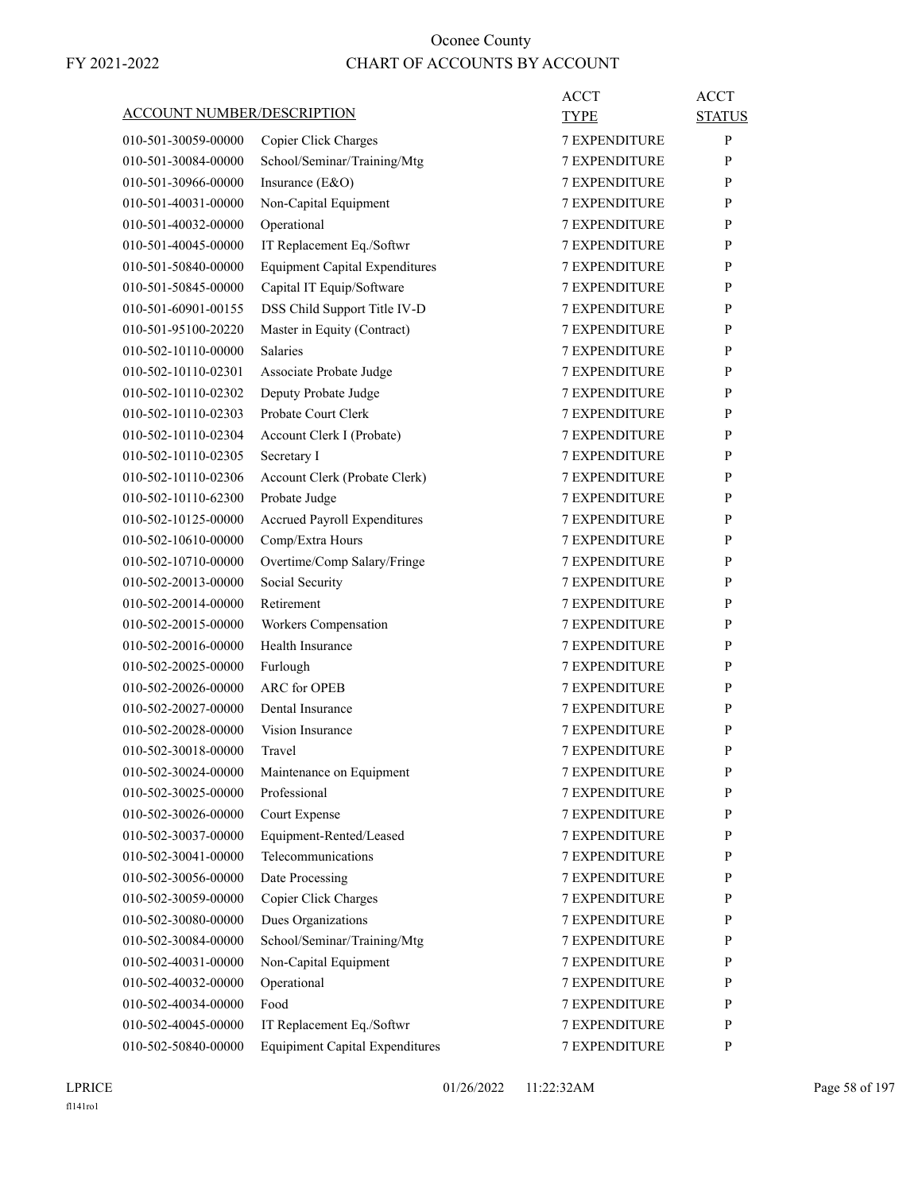| <b>ACCOUNT NUMBER/DESCRIPTION</b>          |                                            | ACCT<br><b>TYPE</b>  | ACCT<br><b>STATUS</b> |
|--------------------------------------------|--------------------------------------------|----------------------|-----------------------|
| 010-501-30059-00000                        | Copier Click Charges                       | <b>7 EXPENDITURE</b> | P                     |
| 010-501-30084-00000                        | School/Seminar/Training/Mtg                | 7 EXPENDITURE        | P                     |
| 010-501-30966-00000                        | Insurance (E&O)                            | <b>7 EXPENDITURE</b> | P                     |
| 010-501-40031-00000                        | Non-Capital Equipment                      | <b>7 EXPENDITURE</b> | P                     |
| 010-501-40032-00000                        | Operational                                | <b>7 EXPENDITURE</b> | P                     |
| 010-501-40045-00000                        | IT Replacement Eq./Softwr                  | <b>7 EXPENDITURE</b> | P                     |
| 010-501-50840-00000                        | <b>Equipment Capital Expenditures</b>      | <b>7 EXPENDITURE</b> | P                     |
| 010-501-50845-00000                        | Capital IT Equip/Software                  | <b>7 EXPENDITURE</b> | P                     |
| 010-501-60901-00155                        | DSS Child Support Title IV-D               | <b>7 EXPENDITURE</b> | P                     |
| 010-501-95100-20220                        | Master in Equity (Contract)                | <b>7 EXPENDITURE</b> | P                     |
| 010-502-10110-00000                        | Salaries                                   | <b>7 EXPENDITURE</b> | P                     |
| 010-502-10110-02301                        | Associate Probate Judge                    | <b>7 EXPENDITURE</b> | P                     |
| 010-502-10110-02302                        | Deputy Probate Judge                       | <b>7 EXPENDITURE</b> | P                     |
| 010-502-10110-02303                        | Probate Court Clerk                        | 7 EXPENDITURE        | P                     |
| 010-502-10110-02304                        | Account Clerk I (Probate)                  | <b>7 EXPENDITURE</b> | P                     |
| 010-502-10110-02305                        | Secretary I                                | <b>7 EXPENDITURE</b> | P                     |
| 010-502-10110-02306                        | Account Clerk (Probate Clerk)              | <b>7 EXPENDITURE</b> | P                     |
| 010-502-10110-62300                        | Probate Judge                              | <b>7 EXPENDITURE</b> | P                     |
| 010-502-10125-00000                        | Accrued Payroll Expenditures               | <b>7 EXPENDITURE</b> | P                     |
| 010-502-10610-00000                        | Comp/Extra Hours                           | 7 EXPENDITURE        | P                     |
| 010-502-10710-00000                        | Overtime/Comp Salary/Fringe                | <b>7 EXPENDITURE</b> | P                     |
| 010-502-20013-00000                        | Social Security                            | <b>7 EXPENDITURE</b> | P                     |
| 010-502-20014-00000                        | Retirement                                 | <b>7 EXPENDITURE</b> | P                     |
| 010-502-20015-00000                        | Workers Compensation                       | <b>7 EXPENDITURE</b> | P                     |
| 010-502-20016-00000                        | Health Insurance                           | <b>7 EXPENDITURE</b> | P                     |
| 010-502-20025-00000                        | Furlough                                   | 7 EXPENDITURE        | P                     |
| 010-502-20026-00000                        | <b>ARC</b> for OPEB                        | <b>7 EXPENDITURE</b> | P                     |
| 010-502-20027-00000                        | Dental Insurance                           | <b>7 EXPENDITURE</b> | P                     |
| 010-502-20028-00000                        | Vision Insurance                           | <b>7 EXPENDITURE</b> | P                     |
| 010-502-30018-00000                        | Travel                                     | <b>7 EXPENDITURE</b> | P                     |
| 010-502-30024-00000                        |                                            | <b>7 EXPENDITURE</b> | P                     |
| 010-502-30025-00000                        | Maintenance on Equipment<br>Professional   | 7 EXPENDITURE        | P                     |
| 010-502-30026-00000                        | Court Expense                              | 7 EXPENDITURE        | P                     |
| 010-502-30037-00000                        | Equipment-Rented/Leased                    | 7 EXPENDITURE        | P                     |
|                                            | Telecommunications                         | 7 EXPENDITURE        |                       |
| 010-502-30041-00000<br>010-502-30056-00000 | Date Processing                            |                      | P<br>P                |
|                                            |                                            | 7 EXPENDITURE        | P                     |
| 010-502-30059-00000                        | Copier Click Charges<br>Dues Organizations | 7 EXPENDITURE        |                       |
| 010-502-30080-00000                        |                                            | 7 EXPENDITURE        | P                     |
| 010-502-30084-00000                        | School/Seminar/Training/Mtg                | 7 EXPENDITURE        | P                     |
| 010-502-40031-00000                        | Non-Capital Equipment                      | 7 EXPENDITURE        | P                     |
| 010-502-40032-00000                        | Operational                                | 7 EXPENDITURE        | P                     |
| 010-502-40034-00000                        | Food                                       | 7 EXPENDITURE        | P                     |
| 010-502-40045-00000                        | IT Replacement Eq./Softwr                  | 7 EXPENDITURE        | P                     |
| 010-502-50840-00000                        | <b>Equipiment Capital Expenditures</b>     | 7 EXPENDITURE        | P                     |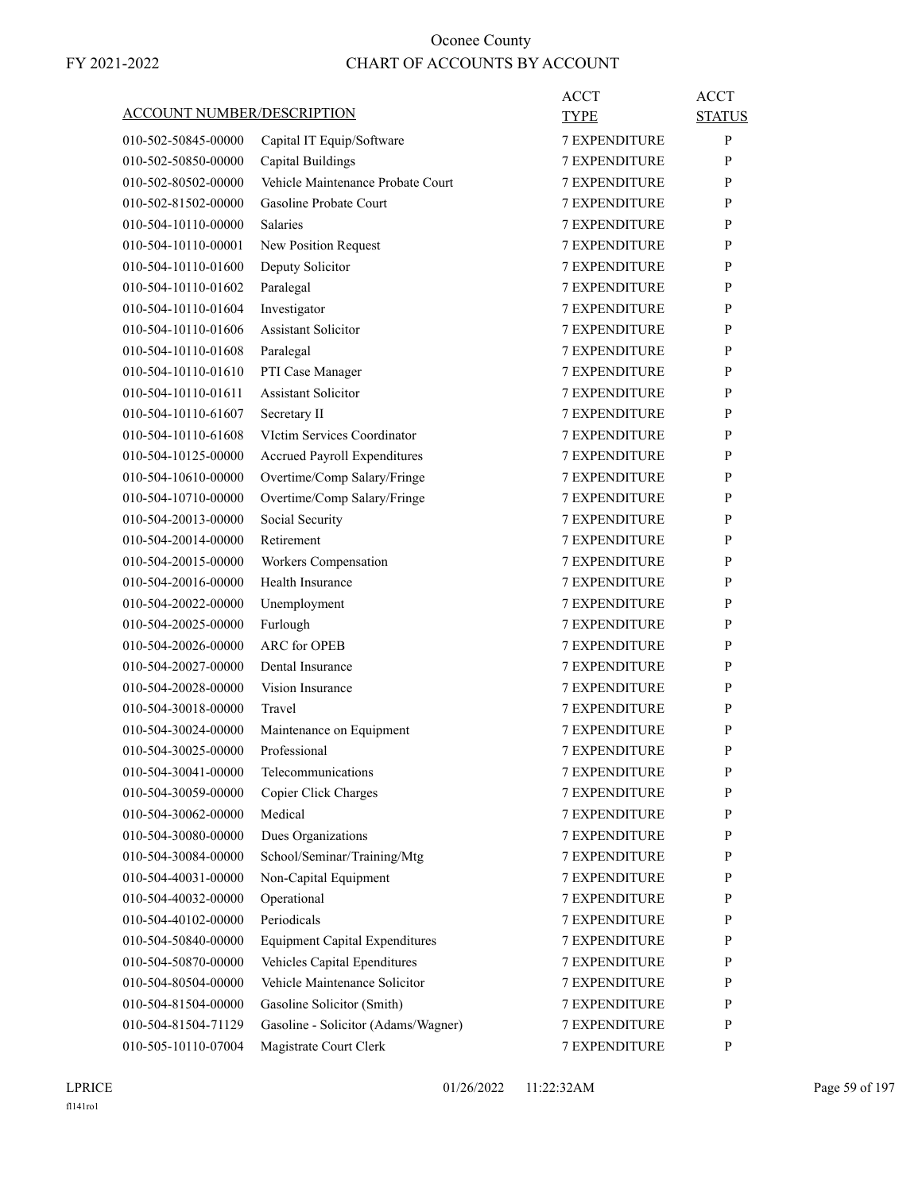| <b>ACCOUNT NUMBER/DESCRIPTION</b> |                                       | ACCT<br><b>TYPE</b>  | <b>ACCT</b><br><b>STATUS</b> |
|-----------------------------------|---------------------------------------|----------------------|------------------------------|
| 010-502-50845-00000               | Capital IT Equip/Software             | <b>7 EXPENDITURE</b> | P                            |
| 010-502-50850-00000               | <b>Capital Buildings</b>              | <b>7 EXPENDITURE</b> | P                            |
| 010-502-80502-00000               | Vehicle Maintenance Probate Court     | <b>7 EXPENDITURE</b> | P                            |
| 010-502-81502-00000               | Gasoline Probate Court                | <b>7 EXPENDITURE</b> | P                            |
| 010-504-10110-00000               | <b>Salaries</b>                       | <b>7 EXPENDITURE</b> | P                            |
| 010-504-10110-00001               | New Position Request                  | <b>7 EXPENDITURE</b> | P                            |
| 010-504-10110-01600               | Deputy Solicitor                      | <b>7 EXPENDITURE</b> | P                            |
| 010-504-10110-01602               | Paralegal                             | <b>7 EXPENDITURE</b> | P                            |
| 010-504-10110-01604               | Investigator                          | <b>7 EXPENDITURE</b> | P                            |
| 010-504-10110-01606               | <b>Assistant Solicitor</b>            | <b>7 EXPENDITURE</b> | P                            |
| 010-504-10110-01608               | Paralegal                             | <b>7 EXPENDITURE</b> | P                            |
| 010-504-10110-01610               | PTI Case Manager                      | <b>7 EXPENDITURE</b> | P                            |
| 010-504-10110-01611               | <b>Assistant Solicitor</b>            | <b>7 EXPENDITURE</b> | P                            |
| 010-504-10110-61607               | Secretary II                          | <b>7 EXPENDITURE</b> | P                            |
| 010-504-10110-61608               | VIctim Services Coordinator           | <b>7 EXPENDITURE</b> | P                            |
| 010-504-10125-00000               | <b>Accrued Payroll Expenditures</b>   | <b>7 EXPENDITURE</b> | P                            |
| 010-504-10610-00000               | Overtime/Comp Salary/Fringe           | <b>7 EXPENDITURE</b> | P                            |
| 010-504-10710-00000               | Overtime/Comp Salary/Fringe           | <b>7 EXPENDITURE</b> | P                            |
| 010-504-20013-00000               | Social Security                       | <b>7 EXPENDITURE</b> | P                            |
| 010-504-20014-00000               | Retirement                            | <b>7 EXPENDITURE</b> | P                            |
| 010-504-20015-00000               | Workers Compensation                  | <b>7 EXPENDITURE</b> | P                            |
| 010-504-20016-00000               | Health Insurance                      | <b>7 EXPENDITURE</b> | P                            |
| 010-504-20022-00000               | Unemployment                          | <b>7 EXPENDITURE</b> | P                            |
| 010-504-20025-00000               | Furlough                              | <b>7 EXPENDITURE</b> | P                            |
| 010-504-20026-00000               | <b>ARC</b> for OPEB                   | <b>7 EXPENDITURE</b> | P                            |
| 010-504-20027-00000               | Dental Insurance                      | <b>7 EXPENDITURE</b> | P                            |
| 010-504-20028-00000               | Vision Insurance                      | <b>7 EXPENDITURE</b> | P                            |
| 010-504-30018-00000               | Travel                                | <b>7 EXPENDITURE</b> | P                            |
| 010-504-30024-00000               | Maintenance on Equipment              | <b>7 EXPENDITURE</b> | P                            |
| 010-504-30025-00000               | Professional                          | <b>7 EXPENDITURE</b> | P                            |
| 010-504-30041-00000               | Telecommunications                    | <b>7 EXPENDITURE</b> | P                            |
| 010-504-30059-00000               | Copier Click Charges                  | <b>7 EXPENDITURE</b> | P                            |
| 010-504-30062-00000               | Medical                               | 7 EXPENDITURE        | P                            |
| 010-504-30080-00000               | Dues Organizations                    | 7 EXPENDITURE        | P                            |
| 010-504-30084-00000               | School/Seminar/Training/Mtg           | 7 EXPENDITURE        | $\mathbf{P}$                 |
| 010-504-40031-00000               | Non-Capital Equipment                 | 7 EXPENDITURE        | P                            |
| 010-504-40032-00000               | Operational                           | <b>7 EXPENDITURE</b> | P                            |
| 010-504-40102-00000               | Periodicals                           | 7 EXPENDITURE        | P                            |
| 010-504-50840-00000               | <b>Equipment Capital Expenditures</b> | 7 EXPENDITURE        | P                            |
| 010-504-50870-00000               | Vehicles Capital Ependitures          | 7 EXPENDITURE        | P                            |
| 010-504-80504-00000               | Vehicle Maintenance Solicitor         | 7 EXPENDITURE        | P                            |
| 010-504-81504-00000               | Gasoline Solicitor (Smith)            | 7 EXPENDITURE        | P                            |
| 010-504-81504-71129               | Gasoline - Solicitor (Adams/Wagner)   | 7 EXPENDITURE        | $\mathbf{P}$                 |
| 010-505-10110-07004               | Magistrate Court Clerk                | 7 EXPENDITURE        | P                            |
|                                   |                                       |                      |                              |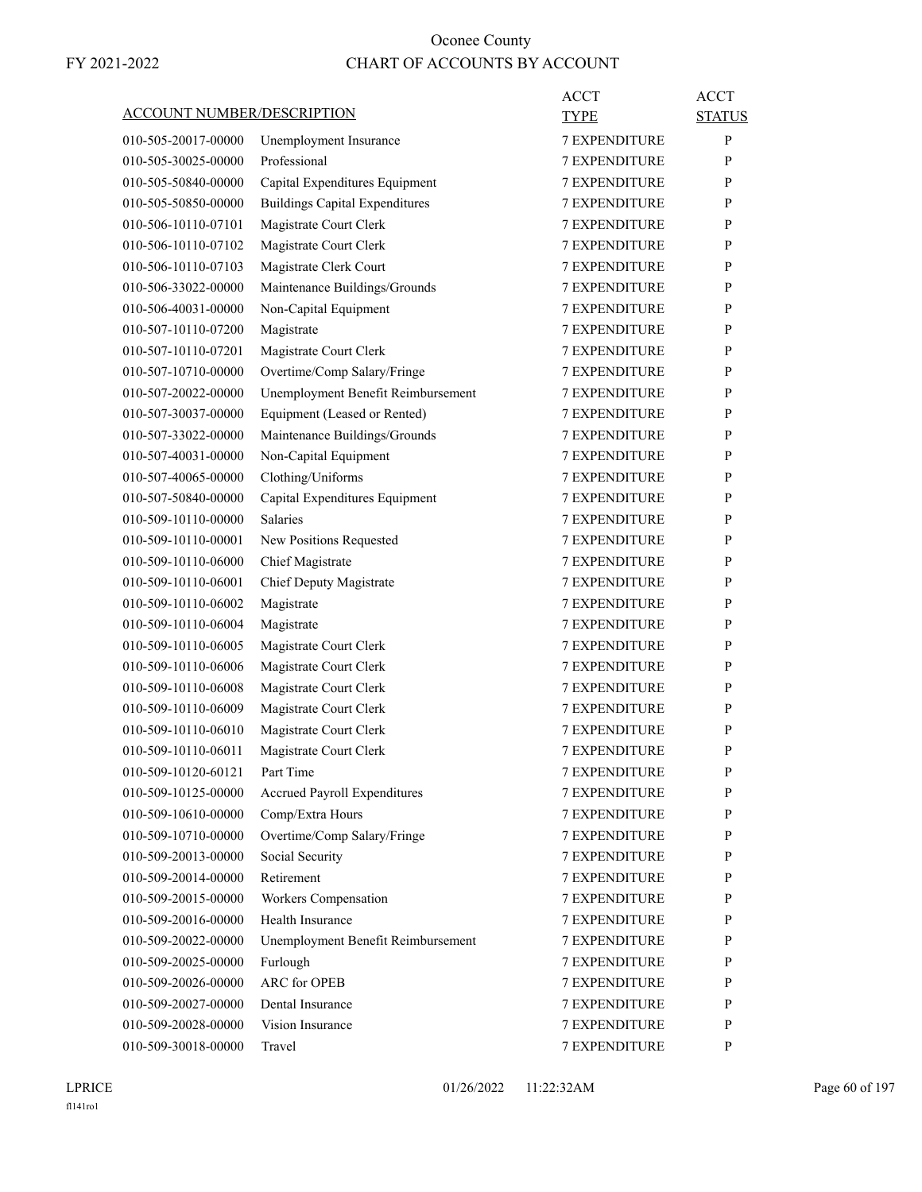| <b>ACCOUNT NUMBER/DESCRIPTION</b> |                                       | ACCT<br>TYPE         | <b>ACCT</b><br><b>STATUS</b> |
|-----------------------------------|---------------------------------------|----------------------|------------------------------|
| 010-505-20017-00000               | Unemployment Insurance                | <b>7 EXPENDITURE</b> | P                            |
| 010-505-30025-00000               | Professional                          | <b>7 EXPENDITURE</b> | P                            |
| 010-505-50840-00000               | Capital Expenditures Equipment        | <b>7 EXPENDITURE</b> | P                            |
| 010-505-50850-00000               | <b>Buildings Capital Expenditures</b> | <b>7 EXPENDITURE</b> | P                            |
| 010-506-10110-07101               | Magistrate Court Clerk                | <b>7 EXPENDITURE</b> | P                            |
| 010-506-10110-07102               | Magistrate Court Clerk                | <b>7 EXPENDITURE</b> | P                            |
| 010-506-10110-07103               | Magistrate Clerk Court                | <b>7 EXPENDITURE</b> | P                            |
| 010-506-33022-00000               | Maintenance Buildings/Grounds         | 7 EXPENDITURE        | P                            |
| 010-506-40031-00000               |                                       | <b>7 EXPENDITURE</b> | P                            |
| 010-507-10110-07200               | Non-Capital Equipment                 | <b>7 EXPENDITURE</b> | P                            |
|                                   | Magistrate                            |                      |                              |
| 010-507-10110-07201               | Magistrate Court Clerk                | <b>7 EXPENDITURE</b> | P                            |
| 010-507-10710-00000               | Overtime/Comp Salary/Fringe           | <b>7 EXPENDITURE</b> | P                            |
| 010-507-20022-00000               | Unemployment Benefit Reimbursement    | <b>7 EXPENDITURE</b> | P                            |
| 010-507-30037-00000               | Equipment (Leased or Rented)          | 7 EXPENDITURE        | P                            |
| 010-507-33022-00000               | Maintenance Buildings/Grounds         | <b>7 EXPENDITURE</b> | P                            |
| 010-507-40031-00000               | Non-Capital Equipment                 | <b>7 EXPENDITURE</b> | P                            |
| 010-507-40065-00000               | Clothing/Uniforms                     | <b>7 EXPENDITURE</b> | P                            |
| 010-507-50840-00000               | Capital Expenditures Equipment        | <b>7 EXPENDITURE</b> | P                            |
| 010-509-10110-00000               | <b>Salaries</b>                       | <b>7 EXPENDITURE</b> | P                            |
| 010-509-10110-00001               | New Positions Requested               | 7 EXPENDITURE        | P                            |
| 010-509-10110-06000               | Chief Magistrate                      | <b>7 EXPENDITURE</b> | P                            |
| 010-509-10110-06001               | Chief Deputy Magistrate               | <b>7 EXPENDITURE</b> | P                            |
| 010-509-10110-06002               | Magistrate                            | <b>7 EXPENDITURE</b> | P                            |
| 010-509-10110-06004               | Magistrate                            | <b>7 EXPENDITURE</b> | P                            |
| 010-509-10110-06005               | Magistrate Court Clerk                | <b>7 EXPENDITURE</b> | P                            |
| 010-509-10110-06006               | Magistrate Court Clerk                | 7 EXPENDITURE        | P                            |
| 010-509-10110-06008               | Magistrate Court Clerk                | <b>7 EXPENDITURE</b> | P                            |
| 010-509-10110-06009               | Magistrate Court Clerk                | <b>7 EXPENDITURE</b> | P                            |
| 010-509-10110-06010               | Magistrate Court Clerk                | <b>7 EXPENDITURE</b> | P                            |
| 010-509-10110-06011               | Magistrate Court Clerk                | <b>7 EXPENDITURE</b> | P                            |
| 010-509-10120-60121               | Part Time                             | 7 EXPENDITURE        | P                            |
| 010-509-10125-00000               | <b>Accrued Payroll Expenditures</b>   | <b>7 EXPENDITURE</b> | P                            |
| 010-509-10610-00000               | Comp/Extra Hours                      | 7 EXPENDITURE        | P                            |
| 010-509-10710-00000               | Overtime/Comp Salary/Fringe           | 7 EXPENDITURE        | P                            |
| 010-509-20013-00000               | Social Security                       | 7 EXPENDITURE        | P                            |
| 010-509-20014-00000               | Retirement                            | <b>7 EXPENDITURE</b> | P                            |
| 010-509-20015-00000               | Workers Compensation                  | <b>7 EXPENDITURE</b> | P                            |
| 010-509-20016-00000               | Health Insurance                      | <b>7 EXPENDITURE</b> | P                            |
| 010-509-20022-00000               | Unemployment Benefit Reimbursement    | 7 EXPENDITURE        | P                            |
| 010-509-20025-00000               | Furlough                              | 7 EXPENDITURE        | P                            |
| 010-509-20026-00000               | <b>ARC</b> for OPEB                   | 7 EXPENDITURE        | P                            |
| 010-509-20027-00000               | Dental Insurance                      | 7 EXPENDITURE        | P                            |
| 010-509-20028-00000               | Vision Insurance                      | 7 EXPENDITURE        | P                            |
| 010-509-30018-00000               | Travel                                |                      | P                            |
|                                   |                                       | 7 EXPENDITURE        |                              |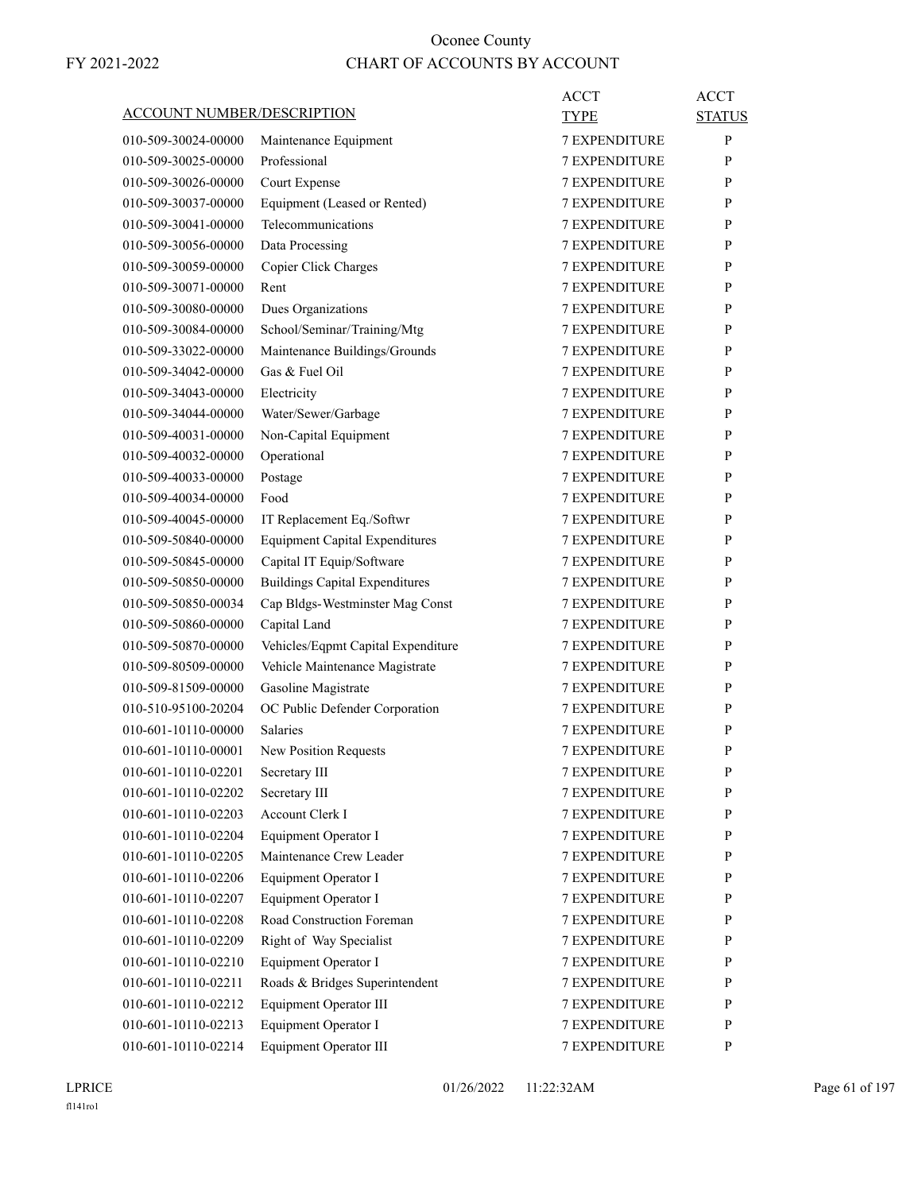| ACCOUNT NUMBER/DESCRIPTION |                                                 | ACCT<br>TYPE         | <b>ACCT</b><br><b>STATUS</b> |
|----------------------------|-------------------------------------------------|----------------------|------------------------------|
| 010-509-30024-00000        | Maintenance Equipment                           | <b>7 EXPENDITURE</b> | P                            |
| 010-509-30025-00000        | Professional                                    | <b>7 EXPENDITURE</b> | P                            |
| 010-509-30026-00000        | Court Expense                                   | <b>7 EXPENDITURE</b> | P                            |
| 010-509-30037-00000        | Equipment (Leased or Rented)                    | <b>7 EXPENDITURE</b> | P                            |
| 010-509-30041-00000        | Telecommunications                              | <b>7 EXPENDITURE</b> | P                            |
| 010-509-30056-00000        | Data Processing                                 | <b>7 EXPENDITURE</b> | P                            |
| 010-509-30059-00000        | Copier Click Charges                            | <b>7 EXPENDITURE</b> | P                            |
| 010-509-30071-00000        | Rent                                            | <b>7 EXPENDITURE</b> | P                            |
| 010-509-30080-00000        | Dues Organizations                              | <b>7 EXPENDITURE</b> | P                            |
| 010-509-30084-00000        | School/Seminar/Training/Mtg                     | <b>7 EXPENDITURE</b> | P                            |
| 010-509-33022-00000        | Maintenance Buildings/Grounds                   | <b>7 EXPENDITURE</b> | P                            |
| 010-509-34042-00000        | Gas & Fuel Oil                                  | <b>7 EXPENDITURE</b> | P                            |
| 010-509-34043-00000        | Electricity                                     | <b>7 EXPENDITURE</b> | P                            |
| 010-509-34044-00000        | Water/Sewer/Garbage                             | <b>7 EXPENDITURE</b> | P                            |
| 010-509-40031-00000        | Non-Capital Equipment                           | <b>7 EXPENDITURE</b> | P                            |
| 010-509-40032-00000        | Operational                                     | <b>7 EXPENDITURE</b> | P                            |
| 010-509-40033-00000        | Postage                                         | <b>7 EXPENDITURE</b> | P                            |
| 010-509-40034-00000        | Food                                            | <b>7 EXPENDITURE</b> | P                            |
| 010-509-40045-00000        | IT Replacement Eq./Softwr                       | <b>7 EXPENDITURE</b> | P                            |
| 010-509-50840-00000        | <b>Equipment Capital Expenditures</b>           | <b>7 EXPENDITURE</b> | P                            |
| 010-509-50845-00000        | Capital IT Equip/Software                       | <b>7 EXPENDITURE</b> | P                            |
| 010-509-50850-00000        | <b>Buildings Capital Expenditures</b>           | <b>7 EXPENDITURE</b> | P                            |
| 010-509-50850-00034        | Cap Bldgs-Westminster Mag Const                 | <b>7 EXPENDITURE</b> | P                            |
| 010-509-50860-00000        | Capital Land                                    | <b>7 EXPENDITURE</b> | P                            |
| 010-509-50870-00000        | Vehicles/Eqpmt Capital Expenditure              | <b>7 EXPENDITURE</b> | P                            |
| 010-509-80509-00000        | Vehicle Maintenance Magistrate                  | 7 EXPENDITURE        | P                            |
| 010-509-81509-00000        | Gasoline Magistrate                             | <b>7 EXPENDITURE</b> | P                            |
| 010-510-95100-20204        | OC Public Defender Corporation                  | <b>7 EXPENDITURE</b> | P                            |
| 010-601-10110-00000        | <b>Salaries</b>                                 | <b>7 EXPENDITURE</b> | P                            |
|                            |                                                 |                      | P                            |
| 010-601-10110-00001        | New Position Requests                           | <b>7 EXPENDITURE</b> |                              |
| 010-601-10110-02201        | Secretary III                                   | 7 EXPENDITURE        | P                            |
| 010-601-10110-02202        | Secretary III<br>Account Clerk I                | 7 EXPENDITURE        | P                            |
| 010-601-10110-02203        |                                                 | 7 EXPENDITURE        | P                            |
| 010-601-10110-02204        | Equipment Operator I<br>Maintenance Crew Leader | 7 EXPENDITURE        | P                            |
| 010-601-10110-02205        |                                                 | 7 EXPENDITURE        | P                            |
| 010-601-10110-02206        | Equipment Operator I                            | 7 EXPENDITURE        | P                            |
| 010-601-10110-02207        | Equipment Operator I                            | 7 EXPENDITURE        | P                            |
| 010-601-10110-02208        | Road Construction Foreman                       | 7 EXPENDITURE        | P                            |
| 010-601-10110-02209        | Right of Way Specialist                         | 7 EXPENDITURE        | P                            |
| 010-601-10110-02210        | Equipment Operator I                            | 7 EXPENDITURE        | P                            |
| 010-601-10110-02211        | Roads & Bridges Superintendent                  | 7 EXPENDITURE        | P                            |
| 010-601-10110-02212        | Equipment Operator III                          | 7 EXPENDITURE        | P                            |
| 010-601-10110-02213        | Equipment Operator I                            | 7 EXPENDITURE        | P                            |
| 010-601-10110-02214        | Equipment Operator III                          | 7 EXPENDITURE        | P                            |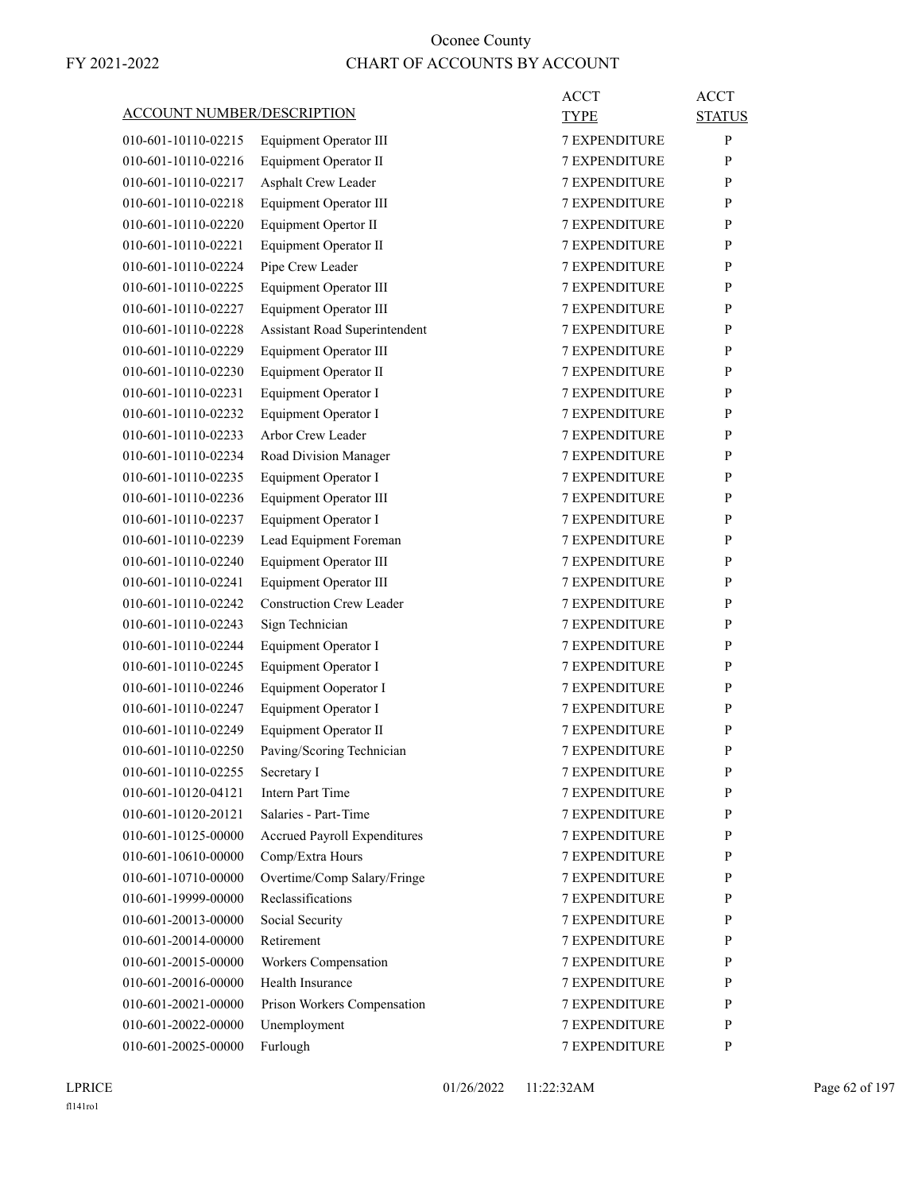|                                   |                                     | <b>ACCT</b>          | ACCT          |
|-----------------------------------|-------------------------------------|----------------------|---------------|
| <b>ACCOUNT NUMBER/DESCRIPTION</b> |                                     | <b>TYPE</b>          | <b>STATUS</b> |
| 010-601-10110-02215               | Equipment Operator III              | <b>7 EXPENDITURE</b> | P             |
| 010-601-10110-02216               | Equipment Operator II               | <b>7 EXPENDITURE</b> | $\mathbf{P}$  |
| 010-601-10110-02217               | Asphalt Crew Leader                 | <b>7 EXPENDITURE</b> | P             |
| 010-601-10110-02218               | Equipment Operator III              | <b>7 EXPENDITURE</b> | P             |
| 010-601-10110-02220               | Equipment Opertor II                | 7 EXPENDITURE        | P             |
| 010-601-10110-02221               | Equipment Operator II               | <b>7 EXPENDITURE</b> | P             |
| 010-601-10110-02224               | Pipe Crew Leader                    | <b>7 EXPENDITURE</b> | P             |
| 010-601-10110-02225               | Equipment Operator III              | <b>7 EXPENDITURE</b> | P             |
| 010-601-10110-02227               | <b>Equipment Operator III</b>       | <b>7 EXPENDITURE</b> | P             |
| 010-601-10110-02228               | Assistant Road Superintendent       | 7 EXPENDITURE        | P             |
| 010-601-10110-02229               | Equipment Operator III              | 7 EXPENDITURE        | P             |
| 010-601-10110-02230               | Equipment Operator II               | <b>7 EXPENDITURE</b> | P             |
| 010-601-10110-02231               | Equipment Operator I                | <b>7 EXPENDITURE</b> | P             |
| 010-601-10110-02232               | Equipment Operator I                | <b>7 EXPENDITURE</b> | P             |
| 010-601-10110-02233               | Arbor Crew Leader                   | <b>7 EXPENDITURE</b> | P             |
| 010-601-10110-02234               | Road Division Manager               | 7 EXPENDITURE        | P             |
| 010-601-10110-02235               | Equipment Operator I                | 7 EXPENDITURE        | P             |
| 010-601-10110-02236               | Equipment Operator III              | <b>7 EXPENDITURE</b> | P             |
| 010-601-10110-02237               | Equipment Operator I                | <b>7 EXPENDITURE</b> | P             |
| 010-601-10110-02239               | Lead Equipment Foreman              | <b>7 EXPENDITURE</b> | P             |
| 010-601-10110-02240               | Equipment Operator III              | <b>7 EXPENDITURE</b> | P             |
| 010-601-10110-02241               | Equipment Operator III              | 7 EXPENDITURE        | P             |
| 010-601-10110-02242               | <b>Construction Crew Leader</b>     | 7 EXPENDITURE        | P             |
| 010-601-10110-02243               | Sign Technician                     | <b>7 EXPENDITURE</b> | P             |
| 010-601-10110-02244               | Equipment Operator I                | <b>7 EXPENDITURE</b> | P             |
| 010-601-10110-02245               | Equipment Operator I                | <b>7 EXPENDITURE</b> | P             |
| 010-601-10110-02246               | Equipment Ooperator I               | <b>7 EXPENDITURE</b> | P             |
| 010-601-10110-02247               | Equipment Operator I                | 7 EXPENDITURE        | P             |
| 010-601-10110-02249               | Equipment Operator II               | <b>7 EXPENDITURE</b> | P             |
| 010-601-10110-02250               | Paving/Scoring Technician           | <b>7 EXPENDITURE</b> | P             |
| 010-601-10110-02255               | Secretary I                         | 7 EXPENDITURE        | P             |
| 010-601-10120-04121               | Intern Part Time                    | <b>7 EXPENDITURE</b> | P             |
| 010-601-10120-20121               | Salaries - Part-Time                | <b>7 EXPENDITURE</b> | P             |
| 010-601-10125-00000               | <b>Accrued Payroll Expenditures</b> | <b>7 EXPENDITURE</b> | P             |
| 010-601-10610-00000               | Comp/Extra Hours                    | <b>7 EXPENDITURE</b> | P             |
| 010-601-10710-00000               | Overtime/Comp Salary/Fringe         | <b>7 EXPENDITURE</b> | P             |
| 010-601-19999-00000               | Reclassifications                   | <b>7 EXPENDITURE</b> | P             |
| 010-601-20013-00000               | Social Security                     | <b>7 EXPENDITURE</b> | P             |
| 010-601-20014-00000               | Retirement                          | <b>7 EXPENDITURE</b> | P             |
| 010-601-20015-00000               | Workers Compensation                | <b>7 EXPENDITURE</b> | P             |
| 010-601-20016-00000               | Health Insurance                    | <b>7 EXPENDITURE</b> | P             |
| 010-601-20021-00000               | Prison Workers Compensation         | <b>7 EXPENDITURE</b> | P             |
| 010-601-20022-00000               | Unemployment                        | <b>7 EXPENDITURE</b> | P             |
| 010-601-20025-00000               | Furlough                            | 7 EXPENDITURE        | P             |
|                                   |                                     |                      |               |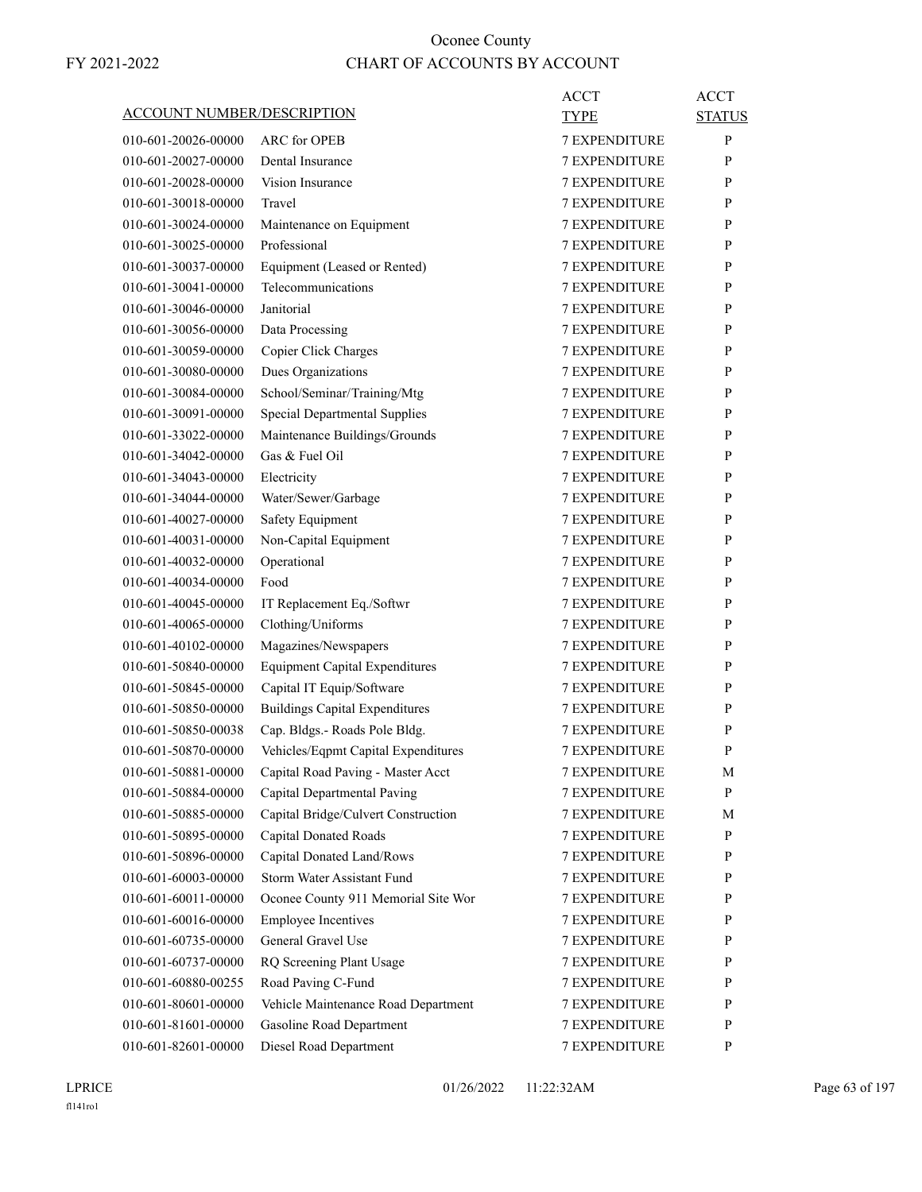| <b>ACCOUNT NUMBER/DESCRIPTION</b> |                                                                      | ACCT<br><b>TYPE</b>                   | <b>ACCT</b><br><b>STATUS</b> |
|-----------------------------------|----------------------------------------------------------------------|---------------------------------------|------------------------------|
| 010-601-20026-00000               | ARC for OPEB                                                         | <b>7 EXPENDITURE</b>                  | P                            |
| 010-601-20027-00000               | Dental Insurance                                                     | <b>7 EXPENDITURE</b>                  | P                            |
| 010-601-20028-00000               | Vision Insurance                                                     | <b>7 EXPENDITURE</b>                  | P                            |
| 010-601-30018-00000               | Travel                                                               | <b>7 EXPENDITURE</b>                  | P                            |
| 010-601-30024-00000               | Maintenance on Equipment                                             | <b>7 EXPENDITURE</b>                  | P                            |
| 010-601-30025-00000               | Professional                                                         | <b>7 EXPENDITURE</b>                  | P                            |
| 010-601-30037-00000               | Equipment (Leased or Rented)                                         | <b>7 EXPENDITURE</b>                  | P                            |
| 010-601-30041-00000               | Telecommunications                                                   | <b>7 EXPENDITURE</b>                  | P                            |
| 010-601-30046-00000               | Janitorial                                                           | <b>7 EXPENDITURE</b>                  | P                            |
| 010-601-30056-00000               | Data Processing                                                      | <b>7 EXPENDITURE</b>                  | P                            |
| 010-601-30059-00000               | Copier Click Charges                                                 | <b>7 EXPENDITURE</b>                  | P                            |
| 010-601-30080-00000               | Dues Organizations                                                   | <b>7 EXPENDITURE</b>                  | P                            |
| 010-601-30084-00000               | School/Seminar/Training/Mtg                                          | <b>7 EXPENDITURE</b>                  | P                            |
| 010-601-30091-00000               | <b>Special Departmental Supplies</b>                                 | <b>7 EXPENDITURE</b>                  | P                            |
| 010-601-33022-00000               | Maintenance Buildings/Grounds                                        | <b>7 EXPENDITURE</b>                  | P                            |
| 010-601-34042-00000               | Gas & Fuel Oil                                                       | <b>7 EXPENDITURE</b>                  | P                            |
| 010-601-34043-00000               | Electricity                                                          | <b>7 EXPENDITURE</b>                  | P                            |
| 010-601-34044-00000               | Water/Sewer/Garbage                                                  | <b>7 EXPENDITURE</b>                  | P                            |
| 010-601-40027-00000               | Safety Equipment                                                     | <b>7 EXPENDITURE</b>                  | P                            |
| 010-601-40031-00000               | Non-Capital Equipment                                                | 7 EXPENDITURE                         | P                            |
| 010-601-40032-00000               | Operational                                                          | <b>7 EXPENDITURE</b>                  | P                            |
| 010-601-40034-00000               | Food                                                                 | <b>7 EXPENDITURE</b>                  | P                            |
| 010-601-40045-00000               | IT Replacement Eq./Softwr                                            | <b>7 EXPENDITURE</b>                  | P                            |
| 010-601-40065-00000               | Clothing/Uniforms                                                    | <b>7 EXPENDITURE</b>                  | P                            |
| 010-601-40102-00000               | Magazines/Newspapers                                                 | <b>7 EXPENDITURE</b>                  | P                            |
| 010-601-50840-00000               | <b>Equipment Capital Expenditures</b>                                | 7 EXPENDITURE                         | P                            |
| 010-601-50845-00000               | Capital IT Equip/Software                                            | <b>7 EXPENDITURE</b>                  | P                            |
| 010-601-50850-00000               | <b>Buildings Capital Expenditures</b>                                | <b>7 EXPENDITURE</b>                  | P                            |
| 010-601-50850-00038               |                                                                      | <b>7 EXPENDITURE</b>                  | P                            |
|                                   | Cap. Bldgs.- Roads Pole Bldg.<br>Vehicles/Eqpmt Capital Expenditures | <b>7 EXPENDITURE</b>                  | P                            |
| 010-601-50870-00000               |                                                                      |                                       |                              |
| 010-601-50881-00000               | Capital Road Paving - Master Acct                                    | 7 EXPENDITURE<br><b>7 EXPENDITURE</b> | М                            |
| 010-601-50884-00000               | Capital Departmental Paving                                          |                                       | P                            |
| 010-601-50885-00000               | Capital Bridge/Culvert Construction                                  | 7 EXPENDITURE                         | М                            |
| 010-601-50895-00000               | <b>Capital Donated Roads</b>                                         | 7 EXPENDITURE                         | P                            |
| 010-601-50896-00000               | Capital Donated Land/Rows<br>Storm Water Assistant Fund              | 7 EXPENDITURE                         | P                            |
| 010-601-60003-00000               |                                                                      | 7 EXPENDITURE                         | P                            |
| 010-601-60011-00000               | Oconee County 911 Memorial Site Wor                                  | 7 EXPENDITURE                         | P                            |
| 010-601-60016-00000               | <b>Employee Incentives</b>                                           | <b>7 EXPENDITURE</b>                  | P                            |
| 010-601-60735-00000               | General Gravel Use                                                   | 7 EXPENDITURE                         | P                            |
| 010-601-60737-00000               | RQ Screening Plant Usage                                             | 7 EXPENDITURE                         | P                            |
| 010-601-60880-00255               | Road Paving C-Fund                                                   | 7 EXPENDITURE                         | P                            |
| 010-601-80601-00000               | Vehicle Maintenance Road Department                                  | 7 EXPENDITURE                         | P                            |
| 010-601-81601-00000               | Gasoline Road Department                                             | 7 EXPENDITURE                         | $\mathbf{P}$                 |
| 010-601-82601-00000               | Diesel Road Department                                               | 7 EXPENDITURE                         | P                            |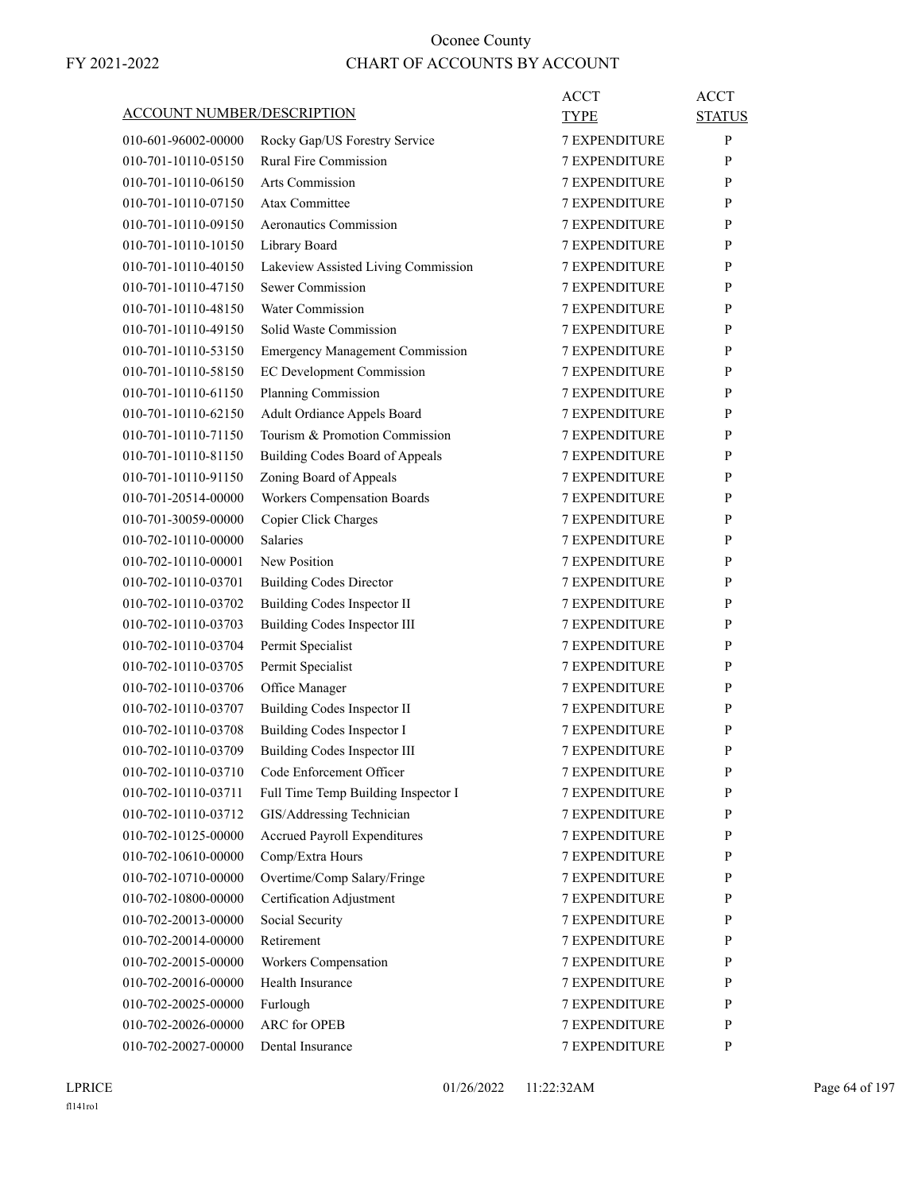|                            |                                        | ACCT                 | <b>ACCT</b>   |
|----------------------------|----------------------------------------|----------------------|---------------|
| ACCOUNT NUMBER/DESCRIPTION |                                        | TYPE                 | <b>STATUS</b> |
| 010-601-96002-00000        | Rocky Gap/US Forestry Service          | <b>7 EXPENDITURE</b> | P             |
| 010-701-10110-05150        | <b>Rural Fire Commission</b>           | <b>7 EXPENDITURE</b> | P             |
| 010-701-10110-06150        | <b>Arts Commission</b>                 | <b>7 EXPENDITURE</b> | P             |
| 010-701-10110-07150        | Atax Committee                         | <b>7 EXPENDITURE</b> | P             |
| 010-701-10110-09150        | Aeronautics Commission                 | <b>7 EXPENDITURE</b> | P             |
| 010-701-10110-10150        | Library Board                          | <b>7 EXPENDITURE</b> | P             |
| 010-701-10110-40150        | Lakeview Assisted Living Commission    | <b>7 EXPENDITURE</b> | P             |
| 010-701-10110-47150        | Sewer Commission                       | <b>7 EXPENDITURE</b> | P             |
| 010-701-10110-48150        | Water Commission                       | <b>7 EXPENDITURE</b> | P             |
| 010-701-10110-49150        | Solid Waste Commission                 | <b>7 EXPENDITURE</b> | P             |
| 010-701-10110-53150        | <b>Emergency Management Commission</b> | <b>7 EXPENDITURE</b> | P             |
| 010-701-10110-58150        | EC Development Commission              | <b>7 EXPENDITURE</b> | P             |
| 010-701-10110-61150        | Planning Commission                    | <b>7 EXPENDITURE</b> | P             |
| 010-701-10110-62150        | Adult Ordiance Appels Board            | 7 EXPENDITURE        | P             |
| 010-701-10110-71150        | Tourism & Promotion Commission         | <b>7 EXPENDITURE</b> | P             |
| 010-701-10110-81150        | Building Codes Board of Appeals        | <b>7 EXPENDITURE</b> | P             |
| 010-701-10110-91150        | Zoning Board of Appeals                | <b>7 EXPENDITURE</b> | P             |
| 010-701-20514-00000        | Workers Compensation Boards            | <b>7 EXPENDITURE</b> | P             |
| 010-701-30059-00000        | Copier Click Charges                   | <b>7 EXPENDITURE</b> | P             |
| 010-702-10110-00000        | <b>Salaries</b>                        | 7 EXPENDITURE        | P             |
| 010-702-10110-00001        | New Position                           | <b>7 EXPENDITURE</b> | P             |
| 010-702-10110-03701        | <b>Building Codes Director</b>         | <b>7 EXPENDITURE</b> | P             |
| 010-702-10110-03702        | Building Codes Inspector II            | <b>7 EXPENDITURE</b> | P             |
| 010-702-10110-03703        | Building Codes Inspector III           | <b>7 EXPENDITURE</b> | P             |
| 010-702-10110-03704        | Permit Specialist                      | <b>7 EXPENDITURE</b> | P             |
| 010-702-10110-03705        | Permit Specialist                      | 7 EXPENDITURE        | P             |
| 010-702-10110-03706        | Office Manager                         | <b>7 EXPENDITURE</b> | P             |
| 010-702-10110-03707        | Building Codes Inspector II            | <b>7 EXPENDITURE</b> | P             |
| 010-702-10110-03708        | Building Codes Inspector I             | <b>7 EXPENDITURE</b> | P             |
| 010-702-10110-03709        | <b>Building Codes Inspector III</b>    | <b>7 EXPENDITURE</b> | P             |
| 010-702-10110-03710        | Code Enforcement Officer               | 7 EXPENDITURE        | P             |
| 010-702-10110-03711        | Full Time Temp Building Inspector I    | 7 EXPENDITURE        | P             |
| 010-702-10110-03712        | GIS/Addressing Technician              | 7 EXPENDITURE        | P             |
| 010-702-10125-00000        | <b>Accrued Payroll Expenditures</b>    | 7 EXPENDITURE        | P             |
| 010-702-10610-00000        | Comp/Extra Hours                       | 7 EXPENDITURE        | $\mathbf{P}$  |
| 010-702-10710-00000        | Overtime/Comp Salary/Fringe            | 7 EXPENDITURE        | P             |
| 010-702-10800-00000        | Certification Adjustment               | <b>7 EXPENDITURE</b> | P             |
| 010-702-20013-00000        | Social Security                        | 7 EXPENDITURE        | P             |
| 010-702-20014-00000        | Retirement                             | 7 EXPENDITURE        | P             |
| 010-702-20015-00000        | Workers Compensation                   | 7 EXPENDITURE        | P             |
| 010-702-20016-00000        | Health Insurance                       | 7 EXPENDITURE        | P             |
| 010-702-20025-00000        | Furlough                               | 7 EXPENDITURE        | P             |
| 010-702-20026-00000        | ARC for OPEB                           | 7 EXPENDITURE        | P             |
| 010-702-20027-00000        | Dental Insurance                       | 7 EXPENDITURE        | P             |
|                            |                                        |                      |               |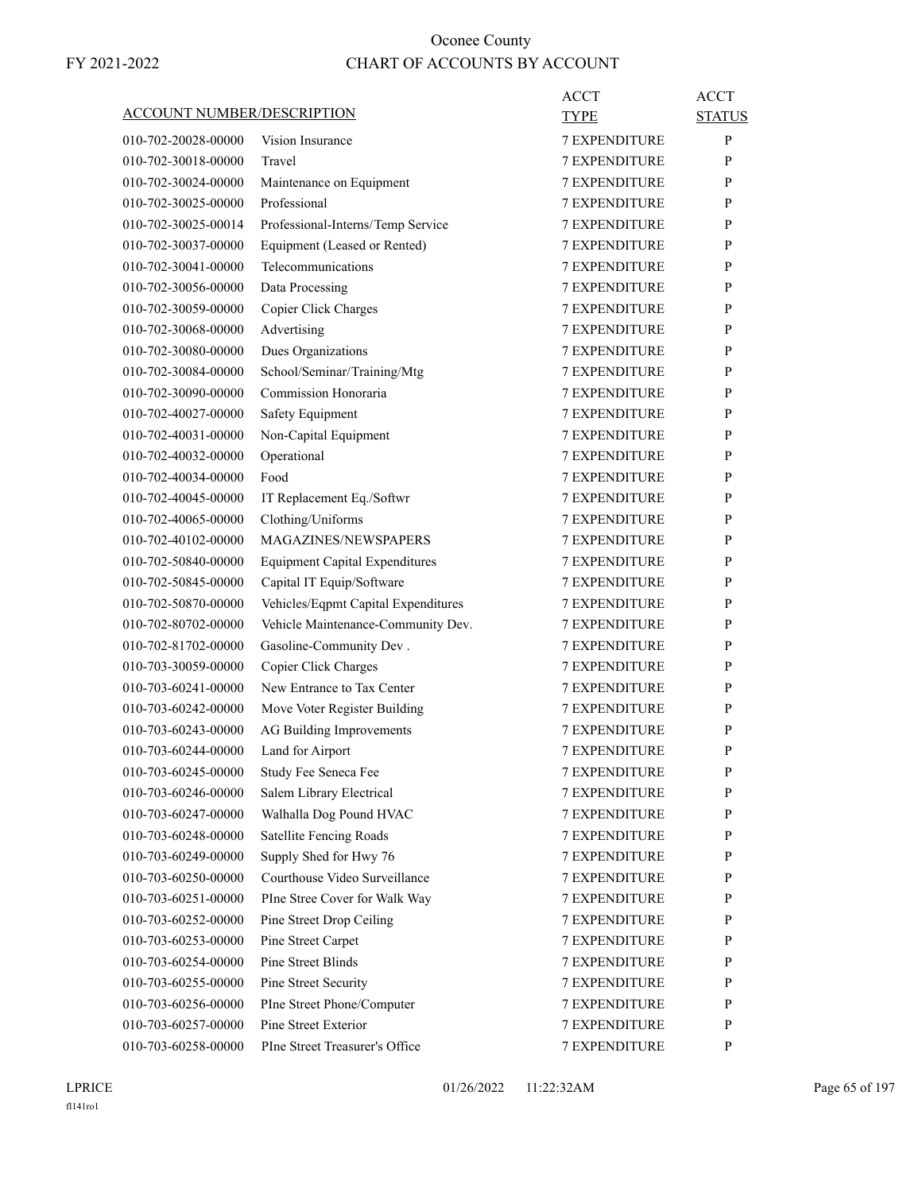|                                   |                                       | <b>ACCT</b>          | <b>ACCT</b>   |
|-----------------------------------|---------------------------------------|----------------------|---------------|
| <b>ACCOUNT NUMBER/DESCRIPTION</b> |                                       | <b>TYPE</b>          | <b>STATUS</b> |
| 010-702-20028-00000               | Vision Insurance                      | <b>7 EXPENDITURE</b> | P             |
| 010-702-30018-00000               | Travel                                | <b>7 EXPENDITURE</b> | P             |
| 010-702-30024-00000               | Maintenance on Equipment              | <b>7 EXPENDITURE</b> | P             |
| 010-702-30025-00000               | Professional                          | 7 EXPENDITURE        | P             |
| 010-702-30025-00014               | Professional-Interns/Temp Service     | <b>7 EXPENDITURE</b> | P             |
| 010-702-30037-00000               | Equipment (Leased or Rented)          | <b>7 EXPENDITURE</b> | P             |
| 010-702-30041-00000               | Telecommunications                    | <b>7 EXPENDITURE</b> | P             |
| 010-702-30056-00000               | Data Processing                       | <b>7 EXPENDITURE</b> | P             |
| 010-702-30059-00000               | Copier Click Charges                  | <b>7 EXPENDITURE</b> | P             |
| 010-702-30068-00000               | Advertising                           | 7 EXPENDITURE        | P             |
| 010-702-30080-00000               | Dues Organizations                    | <b>7 EXPENDITURE</b> | P             |
| 010-702-30084-00000               | School/Seminar/Training/Mtg           | <b>7 EXPENDITURE</b> | P             |
| 010-702-30090-00000               | Commission Honoraria                  | <b>7 EXPENDITURE</b> | P             |
| 010-702-40027-00000               | Safety Equipment                      | <b>7 EXPENDITURE</b> | P             |
| 010-702-40031-00000               | Non-Capital Equipment                 | <b>7 EXPENDITURE</b> | P             |
| 010-702-40032-00000               | Operational                           | 7 EXPENDITURE        | P             |
| 010-702-40034-00000               | Food                                  | <b>7 EXPENDITURE</b> | P             |
| 010-702-40045-00000               | IT Replacement Eq./Softwr             | <b>7 EXPENDITURE</b> | P             |
| 010-702-40065-00000               | Clothing/Uniforms                     | <b>7 EXPENDITURE</b> | P             |
| 010-702-40102-00000               | MAGAZINES/NEWSPAPERS                  | <b>7 EXPENDITURE</b> | P             |
| 010-702-50840-00000               | <b>Equipment Capital Expenditures</b> | <b>7 EXPENDITURE</b> | P             |
| 010-702-50845-00000               | Capital IT Equip/Software             | 7 EXPENDITURE        | P             |
| 010-702-50870-00000               | Vehicles/Eqpmt Capital Expenditures   | <b>7 EXPENDITURE</b> | P             |
| 010-702-80702-00000               | Vehicle Maintenance-Community Dev.    | <b>7 EXPENDITURE</b> | P             |
| 010-702-81702-00000               | Gasoline-Community Dev.               | <b>7 EXPENDITURE</b> | P             |
| 010-703-30059-00000               | Copier Click Charges                  | <b>7 EXPENDITURE</b> | P             |
| 010-703-60241-00000               | New Entrance to Tax Center            | <b>7 EXPENDITURE</b> | P             |
| 010-703-60242-00000               | Move Voter Register Building          | <b>7 EXPENDITURE</b> | P             |
| 010-703-60243-00000               | AG Building Improvements              | <b>7 EXPENDITURE</b> | P             |
| 010-703-60244-00000               | Land for Airport                      | <b>7 EXPENDITURE</b> | P             |
| 010-703-60245-00000               | Study Fee Seneca Fee                  | <b>7 EXPENDITURE</b> | ${\bf P}$     |
| 010-703-60246-00000               | Salem Library Electrical              | <b>7 EXPENDITURE</b> | P             |
| 010-703-60247-00000               | Walhalla Dog Pound HVAC               | <b>7 EXPENDITURE</b> | P             |
| 010-703-60248-00000               | Satellite Fencing Roads               | <b>7 EXPENDITURE</b> | P             |
| 010-703-60249-00000               | Supply Shed for Hwy 76                | <b>7 EXPENDITURE</b> | P             |
| 010-703-60250-00000               | Courthouse Video Surveillance         | <b>7 EXPENDITURE</b> | P             |
| 010-703-60251-00000               | PIne Stree Cover for Walk Way         | 7 EXPENDITURE        | P             |
| 010-703-60252-00000               | Pine Street Drop Ceiling              | <b>7 EXPENDITURE</b> | P             |
| 010-703-60253-00000               | Pine Street Carpet                    | <b>7 EXPENDITURE</b> | P             |
| 010-703-60254-00000               | Pine Street Blinds                    | <b>7 EXPENDITURE</b> | P             |
| 010-703-60255-00000               | Pine Street Security                  | <b>7 EXPENDITURE</b> | P             |
| 010-703-60256-00000               | PIne Street Phone/Computer            | 7 EXPENDITURE        | P             |
| 010-703-60257-00000               | Pine Street Exterior                  | 7 EXPENDITURE        | P             |
| 010-703-60258-00000               | PIne Street Treasurer's Office        | 7 EXPENDITURE        | P             |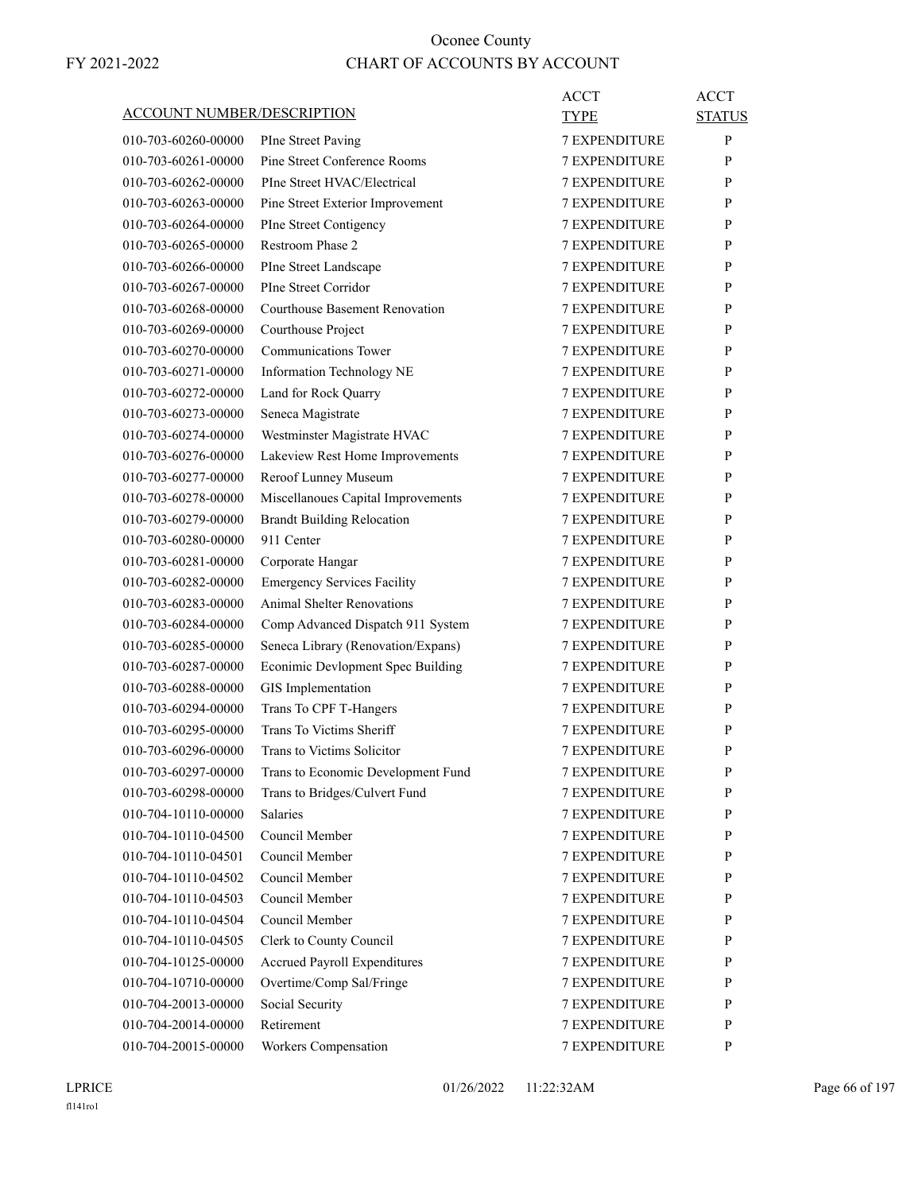|                                   |                                     | ACCT                 | ACCT          |
|-----------------------------------|-------------------------------------|----------------------|---------------|
| <b>ACCOUNT NUMBER/DESCRIPTION</b> |                                     | <b>TYPE</b>          | <b>STATUS</b> |
| 010-703-60260-00000               | PIne Street Paving                  | <b>7 EXPENDITURE</b> | P             |
| 010-703-60261-00000               | Pine Street Conference Rooms        | <b>7 EXPENDITURE</b> | P             |
| 010-703-60262-00000               | PIne Street HVAC/Electrical         | <b>7 EXPENDITURE</b> | P             |
| 010-703-60263-00000               | Pine Street Exterior Improvement    | 7 EXPENDITURE        | P             |
| 010-703-60264-00000               | PIne Street Contigency              | <b>7 EXPENDITURE</b> | P             |
| 010-703-60265-00000               | Restroom Phase 2                    | <b>7 EXPENDITURE</b> | P             |
| 010-703-60266-00000               | PIne Street Landscape               | <b>7 EXPENDITURE</b> | P             |
| 010-703-60267-00000               | PIne Street Corridor                | <b>7 EXPENDITURE</b> | P             |
| 010-703-60268-00000               | Courthouse Basement Renovation      | <b>7 EXPENDITURE</b> | P             |
| 010-703-60269-00000               | Courthouse Project                  | 7 EXPENDITURE        | P             |
| 010-703-60270-00000               | Communications Tower                | <b>7 EXPENDITURE</b> | P             |
| 010-703-60271-00000               | Information Technology NE           | <b>7 EXPENDITURE</b> | P             |
| 010-703-60272-00000               | Land for Rock Quarry                | <b>7 EXPENDITURE</b> | P             |
| 010-703-60273-00000               | Seneca Magistrate                   | <b>7 EXPENDITURE</b> | P             |
| 010-703-60274-00000               | Westminster Magistrate HVAC         | <b>7 EXPENDITURE</b> | P             |
| 010-703-60276-00000               | Lakeview Rest Home Improvements     | 7 EXPENDITURE        | P             |
| 010-703-60277-00000               | Reroof Lunney Museum                | <b>7 EXPENDITURE</b> | P             |
| 010-703-60278-00000               | Miscellanoues Capital Improvements  | <b>7 EXPENDITURE</b> | P             |
| 010-703-60279-00000               | <b>Brandt Building Relocation</b>   | <b>7 EXPENDITURE</b> | P             |
| 010-703-60280-00000               | 911 Center                          | <b>7 EXPENDITURE</b> | P             |
| 010-703-60281-00000               | Corporate Hangar                    | <b>7 EXPENDITURE</b> | P             |
| 010-703-60282-00000               | <b>Emergency Services Facility</b>  | 7 EXPENDITURE        | P             |
| 010-703-60283-00000               | <b>Animal Shelter Renovations</b>   | <b>7 EXPENDITURE</b> | P             |
| 010-703-60284-00000               | Comp Advanced Dispatch 911 System   | <b>7 EXPENDITURE</b> | P             |
| 010-703-60285-00000               | Seneca Library (Renovation/Expans)  | <b>7 EXPENDITURE</b> | P             |
| 010-703-60287-00000               | Econimic Devlopment Spec Building   | <b>7 EXPENDITURE</b> | P             |
| 010-703-60288-00000               | GIS Implementation                  | <b>7 EXPENDITURE</b> | P             |
| 010-703-60294-00000               | Trans To CPF T-Hangers              | 7 EXPENDITURE        | P             |
| 010-703-60295-00000               | Trans To Victims Sheriff            | <b>7 EXPENDITURE</b> | P             |
| 010-703-60296-00000               | Trans to Victims Solicitor          | <b>7 EXPENDITURE</b> | P             |
| 010-703-60297-00000               | Trans to Economic Development Fund  | 7 EXPENDITURE        | ${\bf P}$     |
| 010-703-60298-00000               | Trans to Bridges/Culvert Fund       | <b>7 EXPENDITURE</b> | P             |
| 010-704-10110-00000               | Salaries                            | <b>7 EXPENDITURE</b> | P             |
| 010-704-10110-04500               | Council Member                      | 7 EXPENDITURE        | P             |
| 010-704-10110-04501               | Council Member                      | <b>7 EXPENDITURE</b> | P             |
| 010-704-10110-04502               | Council Member                      | <b>7 EXPENDITURE</b> | P             |
| 010-704-10110-04503               | Council Member                      | 7 EXPENDITURE        | P             |
| 010-704-10110-04504               | Council Member                      | 7 EXPENDITURE        | P             |
| 010-704-10110-04505               | Clerk to County Council             | <b>7 EXPENDITURE</b> | P             |
| 010-704-10125-00000               | <b>Accrued Payroll Expenditures</b> | <b>7 EXPENDITURE</b> | P             |
| 010-704-10710-00000               | Overtime/Comp Sal/Fringe            | <b>7 EXPENDITURE</b> | P             |
| 010-704-20013-00000               | Social Security                     | <b>7 EXPENDITURE</b> | P             |
| 010-704-20014-00000               | Retirement                          | 7 EXPENDITURE        | P             |
| 010-704-20015-00000               | Workers Compensation                | 7 EXPENDITURE        | P             |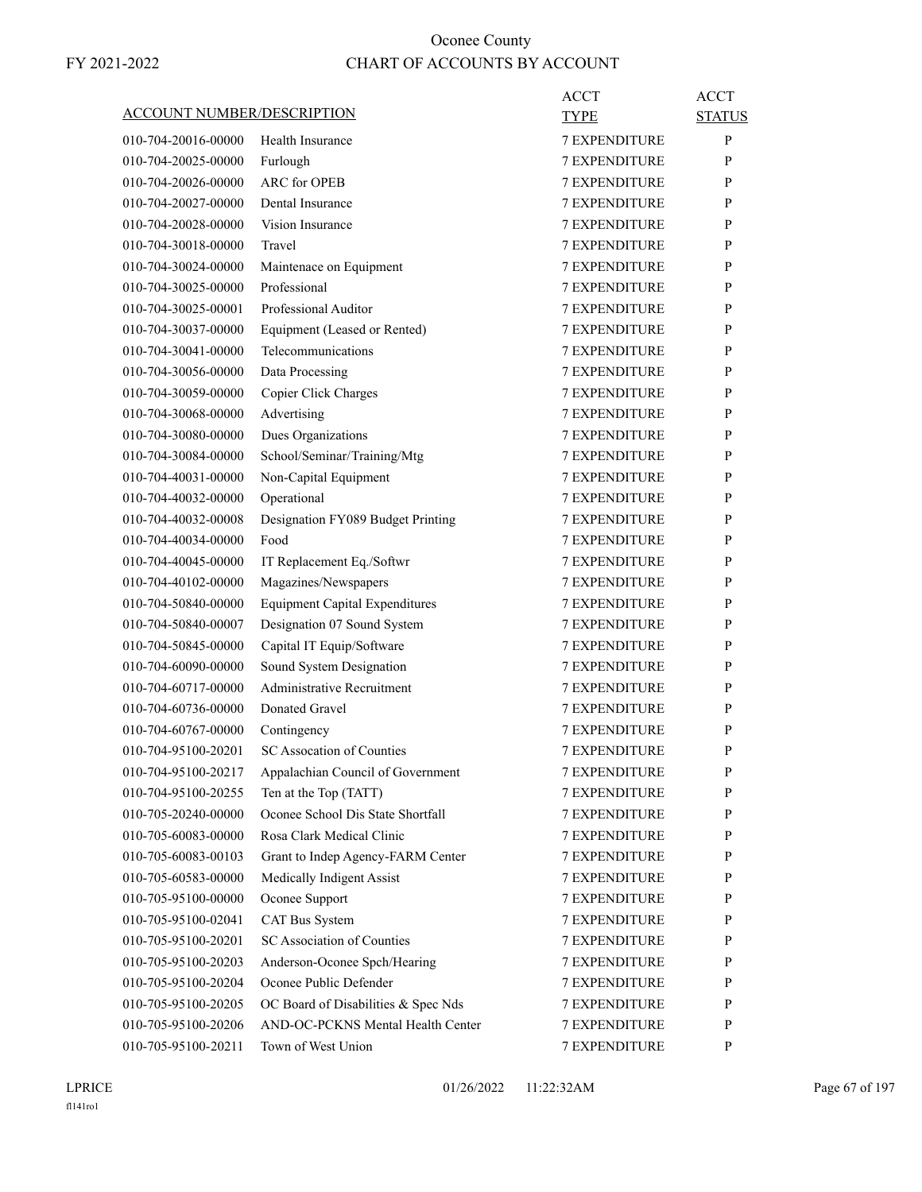|                            |                                       | ACCT                 | <b>ACCT</b>   |
|----------------------------|---------------------------------------|----------------------|---------------|
| ACCOUNT NUMBER/DESCRIPTION |                                       | <b>TYPE</b>          | <b>STATUS</b> |
| 010-704-20016-00000        | Health Insurance                      | <b>7 EXPENDITURE</b> | P             |
| 010-704-20025-00000        | Furlough                              | <b>7 EXPENDITURE</b> | P             |
| 010-704-20026-00000        | <b>ARC</b> for OPEB                   | <b>7 EXPENDITURE</b> | P             |
| 010-704-20027-00000        | Dental Insurance                      | <b>7 EXPENDITURE</b> | P             |
| 010-704-20028-00000        | Vision Insurance                      | <b>7 EXPENDITURE</b> | P             |
| 010-704-30018-00000        | Travel                                | <b>7 EXPENDITURE</b> | P             |
| 010-704-30024-00000        | Maintenace on Equipment               | <b>7 EXPENDITURE</b> | P             |
| 010-704-30025-00000        | Professional                          | <b>7 EXPENDITURE</b> | P             |
| 010-704-30025-00001        | Professional Auditor                  | <b>7 EXPENDITURE</b> | P             |
| 010-704-30037-00000        | Equipment (Leased or Rented)          | <b>7 EXPENDITURE</b> | P             |
| 010-704-30041-00000        | Telecommunications                    | <b>7 EXPENDITURE</b> | P             |
| 010-704-30056-00000        | Data Processing                       | <b>7 EXPENDITURE</b> | P             |
| 010-704-30059-00000        | Copier Click Charges                  | <b>7 EXPENDITURE</b> | P             |
| 010-704-30068-00000        | Advertising                           | <b>7 EXPENDITURE</b> | P             |
| 010-704-30080-00000        | Dues Organizations                    | <b>7 EXPENDITURE</b> | P             |
| 010-704-30084-00000        | School/Seminar/Training/Mtg           | <b>7 EXPENDITURE</b> | P             |
| 010-704-40031-00000        | Non-Capital Equipment                 | <b>7 EXPENDITURE</b> | P             |
| 010-704-40032-00000        | Operational                           | <b>7 EXPENDITURE</b> | P             |
| 010-704-40032-00008        | Designation FY089 Budget Printing     | <b>7 EXPENDITURE</b> | P             |
| 010-704-40034-00000        | Food                                  | <b>7 EXPENDITURE</b> | P             |
| 010-704-40045-00000        | IT Replacement Eq./Softwr             | <b>7 EXPENDITURE</b> | P             |
| 010-704-40102-00000        | Magazines/Newspapers                  | <b>7 EXPENDITURE</b> | P             |
| 010-704-50840-00000        | <b>Equipment Capital Expenditures</b> | <b>7 EXPENDITURE</b> | P             |
| 010-704-50840-00007        | Designation 07 Sound System           | <b>7 EXPENDITURE</b> | P             |
| 010-704-50845-00000        | Capital IT Equip/Software             | <b>7 EXPENDITURE</b> | P             |
| 010-704-60090-00000        | Sound System Designation              | 7 EXPENDITURE        | P             |
| 010-704-60717-00000        | <b>Administrative Recruitment</b>     | <b>7 EXPENDITURE</b> | P             |
| 010-704-60736-00000        | Donated Gravel                        | <b>7 EXPENDITURE</b> | P             |
| 010-704-60767-00000        | Contingency                           | <b>7 EXPENDITURE</b> | P             |
| 010-704-95100-20201        | SC Assocation of Counties             | <b>7 EXPENDITURE</b> | P             |
| 010-704-95100-20217        | Appalachian Council of Government     | 7 EXPENDITURE        | $\mathbf{P}$  |
| 010-704-95100-20255        | Ten at the Top (TATT)                 | <b>7 EXPENDITURE</b> | P             |
| 010-705-20240-00000        | Oconee School Dis State Shortfall     | 7 EXPENDITURE        | P             |
| 010-705-60083-00000        | Rosa Clark Medical Clinic             | 7 EXPENDITURE        | P             |
| 010-705-60083-00103        | Grant to Indep Agency-FARM Center     | 7 EXPENDITURE        | P             |
| 010-705-60583-00000        | Medically Indigent Assist             | <b>7 EXPENDITURE</b> | P             |
| 010-705-95100-00000        | Oconee Support                        | <b>7 EXPENDITURE</b> | P             |
| 010-705-95100-02041        | CAT Bus System                        | <b>7 EXPENDITURE</b> | P             |
| 010-705-95100-20201        | SC Association of Counties            | <b>7 EXPENDITURE</b> | P             |
| 010-705-95100-20203        | Anderson-Oconee Spch/Hearing          | <b>7 EXPENDITURE</b> | P             |
| 010-705-95100-20204        | Oconee Public Defender                | 7 EXPENDITURE        | P             |
| 010-705-95100-20205        | OC Board of Disabilities & Spec Nds   | 7 EXPENDITURE        | P             |
| 010-705-95100-20206        | AND-OC-PCKNS Mental Health Center     | <b>7 EXPENDITURE</b> | $\mathbf{P}$  |
| 010-705-95100-20211        | Town of West Union                    |                      | P             |
|                            |                                       | 7 EXPENDITURE        |               |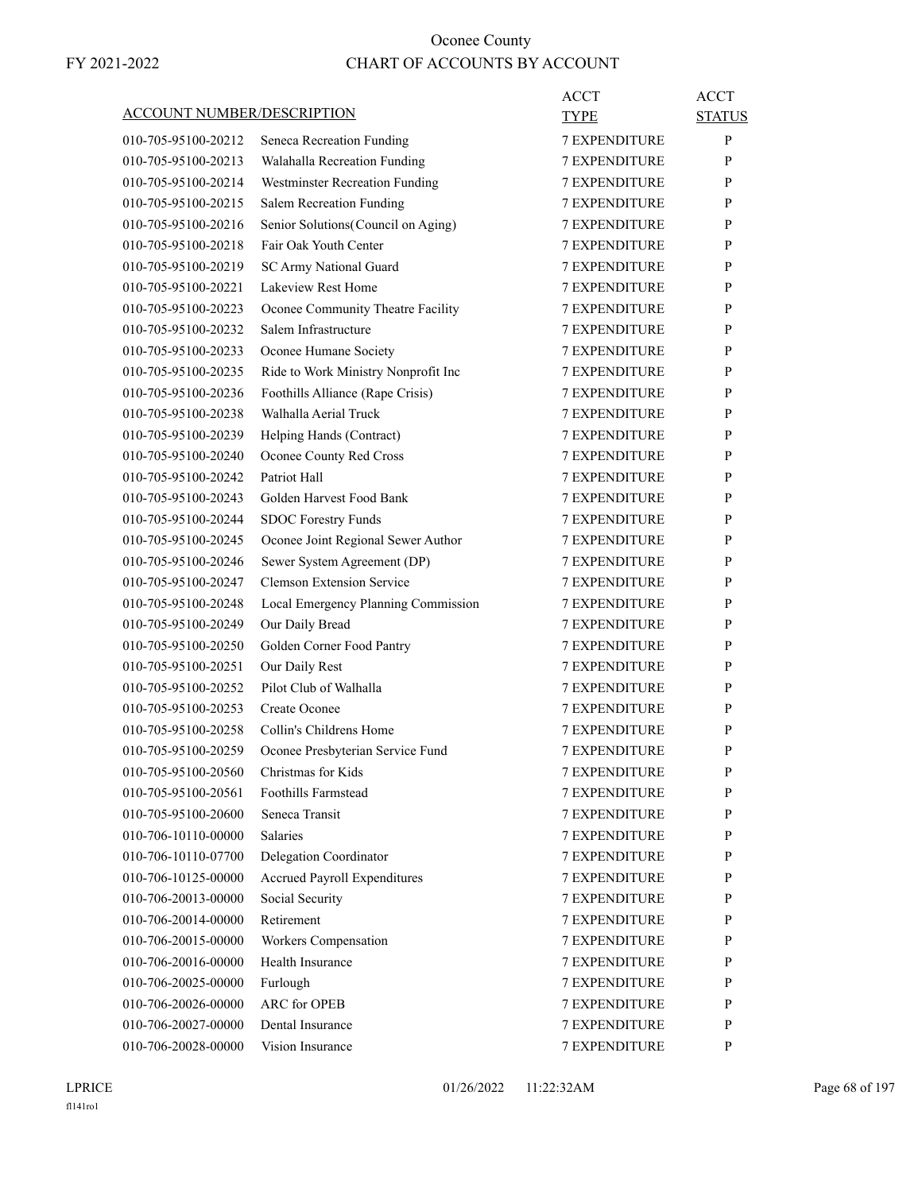|                                   |                                     | <b>ACCT</b>          | <b>ACCT</b>   |
|-----------------------------------|-------------------------------------|----------------------|---------------|
| <b>ACCOUNT NUMBER/DESCRIPTION</b> |                                     | TYPE                 | <b>STATUS</b> |
| 010-705-95100-20212               | Seneca Recreation Funding           | <b>7 EXPENDITURE</b> | $\mathbf{P}$  |
| 010-705-95100-20213               | Walahalla Recreation Funding        | <b>7 EXPENDITURE</b> | P             |
| 010-705-95100-20214               | Westminster Recreation Funding      | <b>7 EXPENDITURE</b> | P             |
| 010-705-95100-20215               | Salem Recreation Funding            | <b>7 EXPENDITURE</b> | P             |
| 010-705-95100-20216               | Senior Solutions (Council on Aging) | <b>7 EXPENDITURE</b> | P             |
| 010-705-95100-20218               | Fair Oak Youth Center               | <b>7 EXPENDITURE</b> | P             |
| 010-705-95100-20219               | SC Army National Guard              | <b>7 EXPENDITURE</b> | P             |
| 010-705-95100-20221               | Lakeview Rest Home                  | <b>7 EXPENDITURE</b> | P             |
| 010-705-95100-20223               | Oconee Community Theatre Facility   | <b>7 EXPENDITURE</b> | P             |
| 010-705-95100-20232               | Salem Infrastructure                | <b>7 EXPENDITURE</b> | P             |
| 010-705-95100-20233               | Oconee Humane Society               | <b>7 EXPENDITURE</b> | P             |
| 010-705-95100-20235               | Ride to Work Ministry Nonprofit Inc | <b>7 EXPENDITURE</b> | P             |
| 010-705-95100-20236               | Foothills Alliance (Rape Crisis)    | <b>7 EXPENDITURE</b> | P             |
| 010-705-95100-20238               | Walhalla Aerial Truck               | <b>7 EXPENDITURE</b> | P             |
| 010-705-95100-20239               | Helping Hands (Contract)            | <b>7 EXPENDITURE</b> | P             |
| 010-705-95100-20240               | Oconee County Red Cross             | <b>7 EXPENDITURE</b> | P             |
| 010-705-95100-20242               | Patriot Hall                        | <b>7 EXPENDITURE</b> | P             |
| 010-705-95100-20243               | Golden Harvest Food Bank            | <b>7 EXPENDITURE</b> | P             |
| 010-705-95100-20244               | <b>SDOC Forestry Funds</b>          | <b>7 EXPENDITURE</b> | P             |
| 010-705-95100-20245               | Oconee Joint Regional Sewer Author  | <b>7 EXPENDITURE</b> | P             |
| 010-705-95100-20246               | Sewer System Agreement (DP)         | <b>7 EXPENDITURE</b> | P             |
| 010-705-95100-20247               | <b>Clemson Extension Service</b>    | <b>7 EXPENDITURE</b> | P             |
| 010-705-95100-20248               | Local Emergency Planning Commission | <b>7 EXPENDITURE</b> | P             |
| 010-705-95100-20249               | Our Daily Bread                     | <b>7 EXPENDITURE</b> | P             |
| 010-705-95100-20250               | Golden Corner Food Pantry           | <b>7 EXPENDITURE</b> | P             |
| 010-705-95100-20251               | Our Daily Rest                      | <b>7 EXPENDITURE</b> | P             |
| 010-705-95100-20252               | Pilot Club of Walhalla              | <b>7 EXPENDITURE</b> | P             |
| 010-705-95100-20253               | <b>Create Oconee</b>                | 7 EXPENDITURE        | P             |
| 010-705-95100-20258               | Collin's Childrens Home             | <b>7 EXPENDITURE</b> | P             |
| 010-705-95100-20259               | Oconee Presbyterian Service Fund    | <b>7 EXPENDITURE</b> | P             |
| 010-705-95100-20560               | Christmas for Kids                  | 7 EXPENDITURE        | $\, {\bf p}$  |
| 010-705-95100-20561               | Foothills Farmstead                 | <b>7 EXPENDITURE</b> | P             |
| 010-705-95100-20600               | Seneca Transit                      | <b>7 EXPENDITURE</b> | P             |
| 010-706-10110-00000               | <b>Salaries</b>                     | 7 EXPENDITURE        | P             |
| 010-706-10110-07700               | Delegation Coordinator              | <b>7 EXPENDITURE</b> | P             |
| 010-706-10125-00000               | <b>Accrued Payroll Expenditures</b> | <b>7 EXPENDITURE</b> | P             |
| 010-706-20013-00000               | Social Security                     | 7 EXPENDITURE        | P             |
| 010-706-20014-00000               | Retirement                          | 7 EXPENDITURE        | P             |
| 010-706-20015-00000               | Workers Compensation                | <b>7 EXPENDITURE</b> | P             |
| 010-706-20016-00000               | Health Insurance                    | 7 EXPENDITURE        | P             |
| 010-706-20025-00000               | Furlough                            | <b>7 EXPENDITURE</b> | P             |
| 010-706-20026-00000               | ARC for OPEB                        | <b>7 EXPENDITURE</b> | P             |
| 010-706-20027-00000               | Dental Insurance                    | 7 EXPENDITURE        | P             |
| 010-706-20028-00000               | Vision Insurance                    | 7 EXPENDITURE        | P             |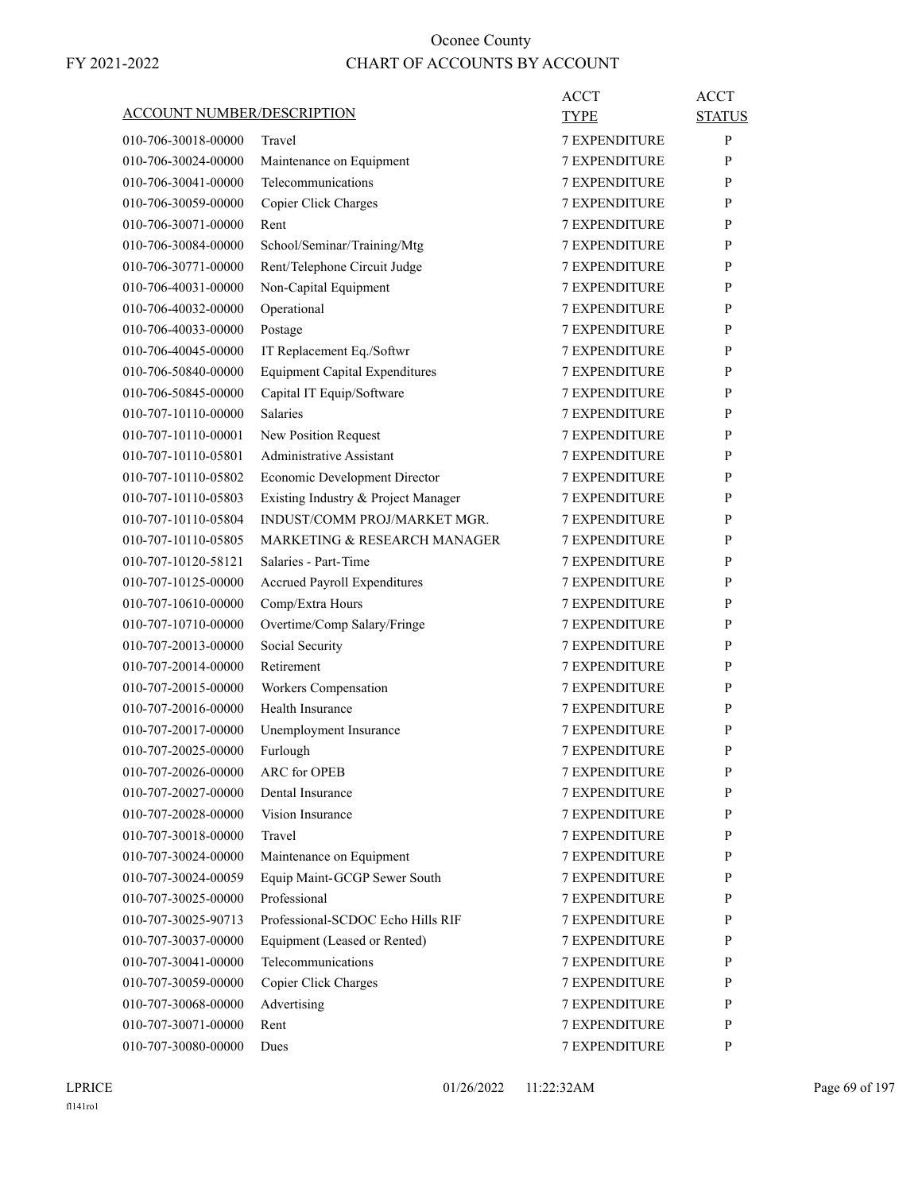|                                   |                                       | ACCT                 | <b>ACCT</b>   |
|-----------------------------------|---------------------------------------|----------------------|---------------|
| <b>ACCOUNT NUMBER/DESCRIPTION</b> |                                       | TYPE                 | <b>STATUS</b> |
| 010-706-30018-00000               | Travel                                | <b>7 EXPENDITURE</b> | P             |
| 010-706-30024-00000               | Maintenance on Equipment              | <b>7 EXPENDITURE</b> | P             |
| 010-706-30041-00000               | Telecommunications                    | <b>7 EXPENDITURE</b> | P             |
| 010-706-30059-00000               | Copier Click Charges                  | <b>7 EXPENDITURE</b> | P             |
| 010-706-30071-00000               | Rent                                  | <b>7 EXPENDITURE</b> | P             |
| 010-706-30084-00000               | School/Seminar/Training/Mtg           | <b>7 EXPENDITURE</b> | P             |
| 010-706-30771-00000               | Rent/Telephone Circuit Judge          | <b>7 EXPENDITURE</b> | P             |
| 010-706-40031-00000               | Non-Capital Equipment                 | <b>7 EXPENDITURE</b> | P             |
| 010-706-40032-00000               | Operational                           | <b>7 EXPENDITURE</b> | P             |
| 010-706-40033-00000               | Postage                               | <b>7 EXPENDITURE</b> | P             |
| 010-706-40045-00000               | IT Replacement Eq./Softwr             | <b>7 EXPENDITURE</b> | P             |
| 010-706-50840-00000               | <b>Equipment Capital Expenditures</b> | <b>7 EXPENDITURE</b> | P             |
| 010-706-50845-00000               | Capital IT Equip/Software             | <b>7 EXPENDITURE</b> | P             |
| 010-707-10110-00000               | Salaries                              | <b>7 EXPENDITURE</b> | P             |
| 010-707-10110-00001               | New Position Request                  | <b>7 EXPENDITURE</b> | P             |
| 010-707-10110-05801               | Administrative Assistant              | <b>7 EXPENDITURE</b> | P             |
| 010-707-10110-05802               | Economic Development Director         | <b>7 EXPENDITURE</b> | P             |
| 010-707-10110-05803               | Existing Industry & Project Manager   | <b>7 EXPENDITURE</b> | P             |
| 010-707-10110-05804               | INDUST/COMM PROJ/MARKET MGR.          | <b>7 EXPENDITURE</b> | P             |
| 010-707-10110-05805               | MARKETING & RESEARCH MANAGER          | 7 EXPENDITURE        | P             |
| 010-707-10120-58121               | Salaries - Part-Time                  | <b>7 EXPENDITURE</b> | P             |
| 010-707-10125-00000               | <b>Accrued Payroll Expenditures</b>   | <b>7 EXPENDITURE</b> | P             |
| 010-707-10610-00000               | Comp/Extra Hours                      | <b>7 EXPENDITURE</b> | P             |
| 010-707-10710-00000               | Overtime/Comp Salary/Fringe           | <b>7 EXPENDITURE</b> | P             |
| 010-707-20013-00000               | Social Security                       | <b>7 EXPENDITURE</b> | P             |
| 010-707-20014-00000               | Retirement                            | 7 EXPENDITURE        | P             |
| 010-707-20015-00000               | Workers Compensation                  | <b>7 EXPENDITURE</b> | P             |
| 010-707-20016-00000               | Health Insurance                      | <b>7 EXPENDITURE</b> | P             |
| 010-707-20017-00000               | Unemployment Insurance                | <b>7 EXPENDITURE</b> | P             |
| 010-707-20025-00000               | Furlough                              | <b>7 EXPENDITURE</b> | P             |
| 010-707-20026-00000               | ARC for OPEB                          | 7 EXPENDITURE        | P             |
| 010-707-20027-00000               | Dental Insurance                      | <b>7 EXPENDITURE</b> | P             |
| 010-707-20028-00000               | Vision Insurance                      | 7 EXPENDITURE        | P             |
| 010-707-30018-00000               | Travel                                | 7 EXPENDITURE        | P             |
| 010-707-30024-00000               | Maintenance on Equipment              | <b>7 EXPENDITURE</b> | P             |
| 010-707-30024-00059               | Equip Maint-GCGP Sewer South          | <b>7 EXPENDITURE</b> | P             |
| 010-707-30025-00000               | Professional                          | <b>7 EXPENDITURE</b> | P             |
| 010-707-30025-90713               | Professional-SCDOC Echo Hills RIF     | 7 EXPENDITURE        | P             |
| 010-707-30037-00000               | Equipment (Leased or Rented)          | 7 EXPENDITURE        | P             |
| 010-707-30041-00000               | Telecommunications                    | 7 EXPENDITURE        | P             |
| 010-707-30059-00000               | Copier Click Charges                  | 7 EXPENDITURE        | P             |
| 010-707-30068-00000               | Advertising                           | <b>7 EXPENDITURE</b> | P             |
| 010-707-30071-00000               | Rent                                  | <b>7 EXPENDITURE</b> | P             |
| 010-707-30080-00000               | Dues                                  | 7 EXPENDITURE        | P             |
|                                   |                                       |                      |               |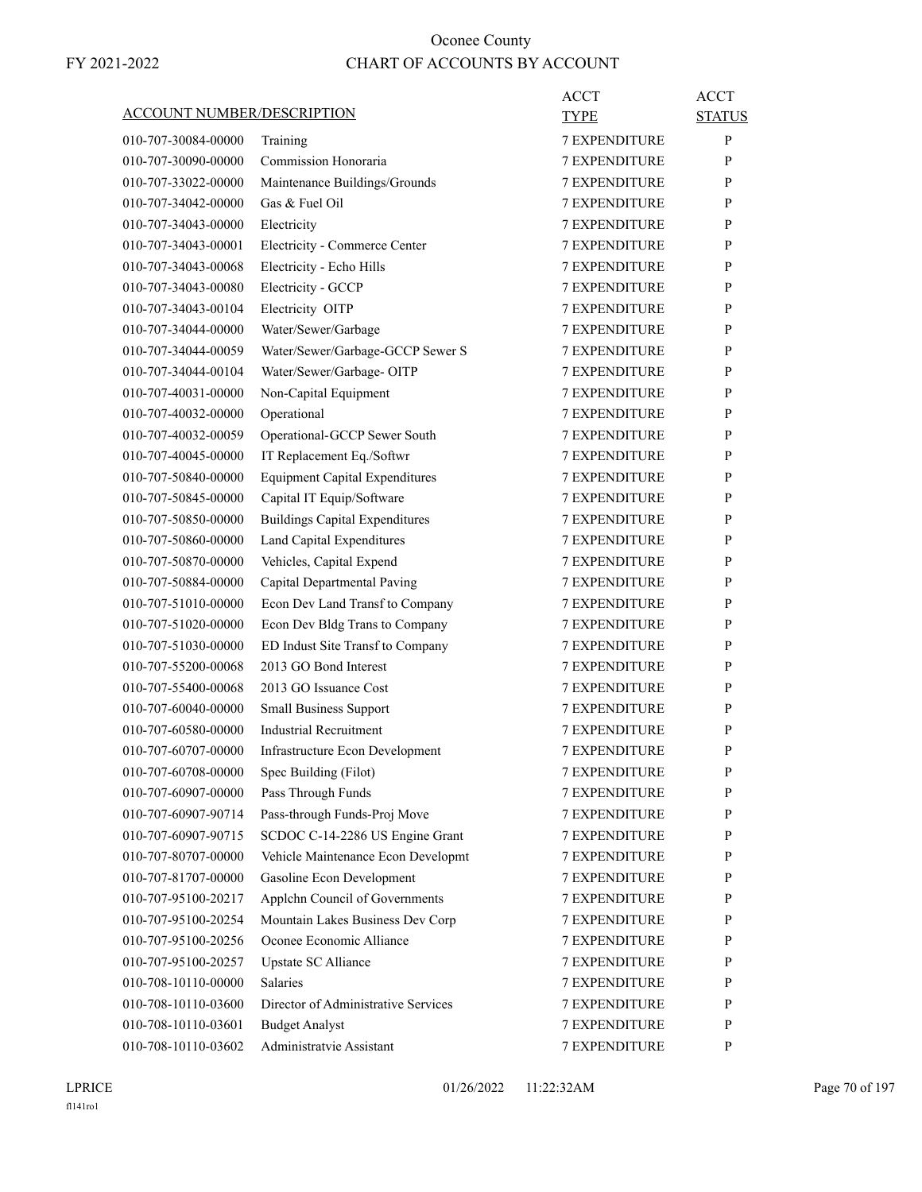|                                   |                                       | <b>ACCT</b>          | <b>ACCT</b>   |
|-----------------------------------|---------------------------------------|----------------------|---------------|
| <b>ACCOUNT NUMBER/DESCRIPTION</b> |                                       | <b>TYPE</b>          | <b>STATUS</b> |
| 010-707-30084-00000               | Training                              | <b>7 EXPENDITURE</b> | P             |
| 010-707-30090-00000               | Commission Honoraria                  | <b>7 EXPENDITURE</b> | P             |
| 010-707-33022-00000               | Maintenance Buildings/Grounds         | <b>7 EXPENDITURE</b> | P             |
| 010-707-34042-00000               | Gas & Fuel Oil                        | <b>7 EXPENDITURE</b> | P             |
| 010-707-34043-00000               | Electricity                           | <b>7 EXPENDITURE</b> | P             |
| 010-707-34043-00001               | Electricity - Commerce Center         | <b>7 EXPENDITURE</b> | P             |
| 010-707-34043-00068               | Electricity - Echo Hills              | <b>7 EXPENDITURE</b> | P             |
| 010-707-34043-00080               | Electricity - GCCP                    | <b>7 EXPENDITURE</b> | P             |
| 010-707-34043-00104               | Electricity OITP                      | <b>7 EXPENDITURE</b> | P             |
| 010-707-34044-00000               | Water/Sewer/Garbage                   | <b>7 EXPENDITURE</b> | P             |
| 010-707-34044-00059               | Water/Sewer/Garbage-GCCP Sewer S      | <b>7 EXPENDITURE</b> | P             |
| 010-707-34044-00104               | Water/Sewer/Garbage-OITP              | <b>7 EXPENDITURE</b> | P             |
| 010-707-40031-00000               | Non-Capital Equipment                 | <b>7 EXPENDITURE</b> | P             |
| 010-707-40032-00000               | Operational                           | <b>7 EXPENDITURE</b> | P             |
| 010-707-40032-00059               | Operational-GCCP Sewer South          | <b>7 EXPENDITURE</b> | P             |
| 010-707-40045-00000               | IT Replacement Eq./Softwr             | <b>7 EXPENDITURE</b> | P             |
| 010-707-50840-00000               | <b>Equipment Capital Expenditures</b> | <b>7 EXPENDITURE</b> | P             |
| 010-707-50845-00000               | Capital IT Equip/Software             | <b>7 EXPENDITURE</b> | P             |
| 010-707-50850-00000               | <b>Buildings Capital Expenditures</b> | <b>7 EXPENDITURE</b> | P             |
| 010-707-50860-00000               | Land Capital Expenditures             | <b>7 EXPENDITURE</b> | P             |
| 010-707-50870-00000               | Vehicles, Capital Expend              | <b>7 EXPENDITURE</b> | P             |
| 010-707-50884-00000               | Capital Departmental Paving           | 7 EXPENDITURE        | P             |
| 010-707-51010-00000               | Econ Dev Land Transf to Company       | <b>7 EXPENDITURE</b> | P             |
| 010-707-51020-00000               | Econ Dev Bldg Trans to Company        | <b>7 EXPENDITURE</b> | P             |
| 010-707-51030-00000               | ED Indust Site Transf to Company      | <b>7 EXPENDITURE</b> | P             |
| 010-707-55200-00068               | 2013 GO Bond Interest                 | <b>7 EXPENDITURE</b> | P             |
| 010-707-55400-00068               | 2013 GO Issuance Cost                 | <b>7 EXPENDITURE</b> | P             |
| 010-707-60040-00000               | <b>Small Business Support</b>         | <b>7 EXPENDITURE</b> | P             |
| 010-707-60580-00000               | <b>Industrial Recruitment</b>         | <b>7 EXPENDITURE</b> | P             |
| 010-707-60707-00000               | Infrastructure Econ Development       | <b>7 EXPENDITURE</b> | P             |
| 010-707-60708-00000               | Spec Building (Filot)                 | 7 EXPENDITURE        | ${\bf P}$     |
| 010-707-60907-00000               | Pass Through Funds                    | <b>7 EXPENDITURE</b> | P             |
| 010-707-60907-90714               | Pass-through Funds-Proj Move          | <b>7 EXPENDITURE</b> | P             |
| 010-707-60907-90715               | SCDOC C-14-2286 US Engine Grant       | <b>7 EXPENDITURE</b> | P             |
| 010-707-80707-00000               | Vehicle Maintenance Econ Developmt    | 7 EXPENDITURE        | P             |
| 010-707-81707-00000               | Gasoline Econ Development             | 7 EXPENDITURE        | P             |
| 010-707-95100-20217               | Applchn Council of Governments        | 7 EXPENDITURE        | P             |
| 010-707-95100-20254               | Mountain Lakes Business Dev Corp      | <b>7 EXPENDITURE</b> | P             |
| 010-707-95100-20256               | Oconee Economic Alliance              | <b>7 EXPENDITURE</b> | P             |
| 010-707-95100-20257               | Upstate SC Alliance                   | <b>7 EXPENDITURE</b> | P             |
| 010-708-10110-00000               | <b>Salaries</b>                       | 7 EXPENDITURE        | P             |
| 010-708-10110-03600               | Director of Administrative Services   | 7 EXPENDITURE        | P             |
| 010-708-10110-03601               | <b>Budget Analyst</b>                 | 7 EXPENDITURE        | P             |
| 010-708-10110-03602               | Administratvie Assistant              | 7 EXPENDITURE        | P             |
|                                   |                                       |                      |               |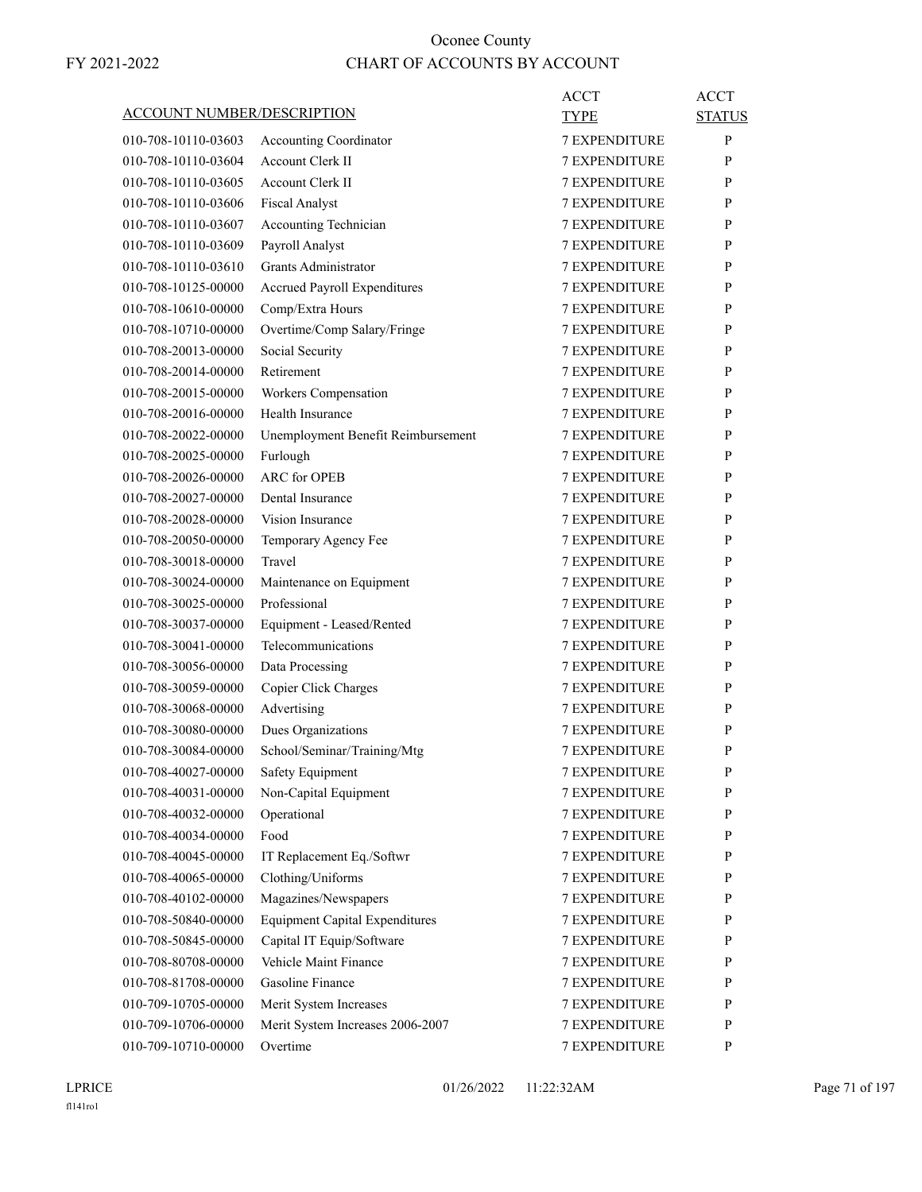|                                   |                                       | ACCT                 | ACCT          |
|-----------------------------------|---------------------------------------|----------------------|---------------|
| <b>ACCOUNT NUMBER/DESCRIPTION</b> |                                       | <b>TYPE</b>          | <b>STATUS</b> |
| 010-708-10110-03603               | Accounting Coordinator                | <b>7 EXPENDITURE</b> | P             |
| 010-708-10110-03604               | <b>Account Clerk II</b>               | 7 EXPENDITURE        | P             |
| 010-708-10110-03605               | <b>Account Clerk II</b>               | <b>7 EXPENDITURE</b> | P             |
| 010-708-10110-03606               | <b>Fiscal Analyst</b>                 | <b>7 EXPENDITURE</b> | P             |
| 010-708-10110-03607               | Accounting Technician                 | <b>7 EXPENDITURE</b> | P             |
| 010-708-10110-03609               | Payroll Analyst                       | <b>7 EXPENDITURE</b> | P             |
| 010-708-10110-03610               | Grants Administrator                  | <b>7 EXPENDITURE</b> | P             |
| 010-708-10125-00000               | <b>Accrued Payroll Expenditures</b>   | 7 EXPENDITURE        | P             |
| 010-708-10610-00000               | Comp/Extra Hours                      | <b>7 EXPENDITURE</b> | P             |
| 010-708-10710-00000               | Overtime/Comp Salary/Fringe           | <b>7 EXPENDITURE</b> | P             |
| 010-708-20013-00000               | Social Security                       | <b>7 EXPENDITURE</b> | P             |
| 010-708-20014-00000               | Retirement                            | <b>7 EXPENDITURE</b> | P             |
| 010-708-20015-00000               | Workers Compensation                  | <b>7 EXPENDITURE</b> | P             |
| 010-708-20016-00000               | Health Insurance                      | 7 EXPENDITURE        | P             |
| 010-708-20022-00000               | Unemployment Benefit Reimbursement    | <b>7 EXPENDITURE</b> | P             |
| 010-708-20025-00000               | Furlough                              | <b>7 EXPENDITURE</b> | P             |
| 010-708-20026-00000               | <b>ARC</b> for OPEB                   | <b>7 EXPENDITURE</b> | P             |
| 010-708-20027-00000               | Dental Insurance                      | <b>7 EXPENDITURE</b> | P             |
| 010-708-20028-00000               | Vision Insurance                      | <b>7 EXPENDITURE</b> | P             |
| 010-708-20050-00000               | Temporary Agency Fee                  | 7 EXPENDITURE        | P             |
| 010-708-30018-00000               | Travel                                | <b>7 EXPENDITURE</b> | P             |
| 010-708-30024-00000               | Maintenance on Equipment              | <b>7 EXPENDITURE</b> | P             |
| 010-708-30025-00000               | Professional                          | <b>7 EXPENDITURE</b> | P             |
| 010-708-30037-00000               | Equipment - Leased/Rented             | <b>7 EXPENDITURE</b> | P             |
| 010-708-30041-00000               | Telecommunications                    | <b>7 EXPENDITURE</b> | P             |
| 010-708-30056-00000               | Data Processing                       | 7 EXPENDITURE        | P             |
| 010-708-30059-00000               | Copier Click Charges                  | <b>7 EXPENDITURE</b> | P             |
| 010-708-30068-00000               | Advertising                           | <b>7 EXPENDITURE</b> | P             |
| 010-708-30080-00000               | Dues Organizations                    | <b>7 EXPENDITURE</b> | P             |
| 010-708-30084-00000               | School/Seminar/Training/Mtg           | <b>7 EXPENDITURE</b> | P             |
| 010-708-40027-00000               | Safety Equipment                      | <b>7 EXPENDITURE</b> | P             |
| 010-708-40031-00000               | Non-Capital Equipment                 | <b>7 EXPENDITURE</b> | P             |
| 010-708-40032-00000               | Operational                           | 7 EXPENDITURE        | P             |
| 010-708-40034-00000               | Food                                  | 7 EXPENDITURE        | P             |
| 010-708-40045-00000               | IT Replacement Eq./Softwr             | 7 EXPENDITURE        | P             |
| 010-708-40065-00000               | Clothing/Uniforms                     | 7 EXPENDITURE        | P             |
| 010-708-40102-00000               | Magazines/Newspapers                  | 7 EXPENDITURE        | P             |
| 010-708-50840-00000               | <b>Equipment Capital Expenditures</b> | 7 EXPENDITURE        | P             |
| 010-708-50845-00000               | Capital IT Equip/Software             | 7 EXPENDITURE        | P             |
| 010-708-80708-00000               | Vehicle Maint Finance                 | 7 EXPENDITURE        | P             |
| 010-708-81708-00000               | Gasoline Finance                      | 7 EXPENDITURE        | P             |
| 010-709-10705-00000               | Merit System Increases                | 7 EXPENDITURE        | P             |
| 010-709-10706-00000               | Merit System Increases 2006-2007      | 7 EXPENDITURE        | $\mathbf{P}$  |
| 010-709-10710-00000               | Overtime                              | 7 EXPENDITURE        | P             |
|                                   |                                       |                      |               |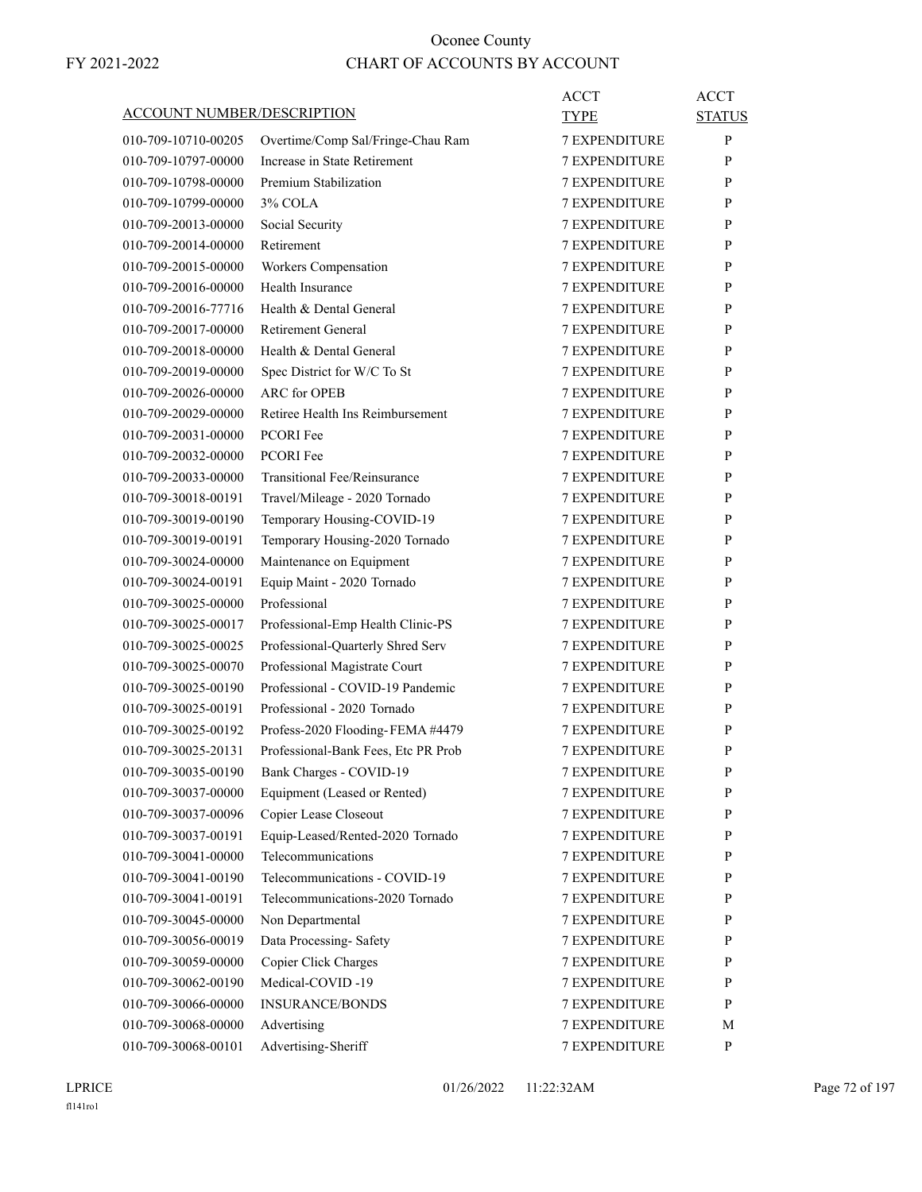| <b>ACCOUNT NUMBER/DESCRIPTION</b>          |                                                               | ACCT<br>TYPE         | <b>ACCT</b><br><b>STATUS</b> |
|--------------------------------------------|---------------------------------------------------------------|----------------------|------------------------------|
| 010-709-10710-00205                        | Overtime/Comp Sal/Fringe-Chau Ram                             | <b>7 EXPENDITURE</b> | P                            |
| 010-709-10797-00000                        | Increase in State Retirement                                  | <b>7 EXPENDITURE</b> | P                            |
| 010-709-10798-00000                        | Premium Stabilization                                         | <b>7 EXPENDITURE</b> | P                            |
| 010-709-10799-00000                        | $3\%$ COLA                                                    | <b>7 EXPENDITURE</b> | P                            |
| 010-709-20013-00000                        | Social Security                                               | <b>7 EXPENDITURE</b> | P                            |
| 010-709-20014-00000                        | Retirement                                                    | <b>7 EXPENDITURE</b> | P                            |
| 010-709-20015-00000                        | Workers Compensation                                          | <b>7 EXPENDITURE</b> | P                            |
| 010-709-20016-00000                        | Health Insurance                                              | 7 EXPENDITURE        | P                            |
| 010-709-20016-77716                        | Health & Dental General                                       | <b>7 EXPENDITURE</b> | P                            |
| 010-709-20017-00000                        | Retirement General                                            | <b>7 EXPENDITURE</b> | P                            |
| 010-709-20018-00000                        | Health & Dental General                                       | <b>7 EXPENDITURE</b> | P                            |
| 010-709-20019-00000                        | Spec District for W/C To St                                   | <b>7 EXPENDITURE</b> | P                            |
| 010-709-20026-00000                        | <b>ARC</b> for OPEB                                           | <b>7 EXPENDITURE</b> | P                            |
| 010-709-20029-00000                        | Retiree Health Ins Reimbursement                              | 7 EXPENDITURE        | P                            |
| 010-709-20031-00000                        | PCORI Fee                                                     | <b>7 EXPENDITURE</b> | P                            |
| 010-709-20032-00000                        | <b>PCORI Fee</b>                                              | <b>7 EXPENDITURE</b> | P                            |
|                                            |                                                               | <b>7 EXPENDITURE</b> |                              |
| 010-709-20033-00000                        | Transitional Fee/Reinsurance<br>Travel/Mileage - 2020 Tornado |                      | P<br>P                       |
| 010-709-30018-00191<br>010-709-30019-00190 |                                                               | <b>7 EXPENDITURE</b> | P                            |
|                                            | Temporary Housing-COVID-19                                    | <b>7 EXPENDITURE</b> |                              |
| 010-709-30019-00191                        | Temporary Housing-2020 Tornado                                | 7 EXPENDITURE        | P                            |
| 010-709-30024-00000                        | Maintenance on Equipment                                      | <b>7 EXPENDITURE</b> | P                            |
| 010-709-30024-00191                        | Equip Maint - 2020 Tornado                                    | <b>7 EXPENDITURE</b> | P                            |
| 010-709-30025-00000                        | Professional                                                  | <b>7 EXPENDITURE</b> | P                            |
| 010-709-30025-00017                        | Professional-Emp Health Clinic-PS                             | <b>7 EXPENDITURE</b> | P                            |
| 010-709-30025-00025                        | Professional-Quarterly Shred Serv                             | <b>7 EXPENDITURE</b> | P                            |
| 010-709-30025-00070                        | Professional Magistrate Court                                 | 7 EXPENDITURE        | P                            |
| 010-709-30025-00190                        | Professional - COVID-19 Pandemic                              | <b>7 EXPENDITURE</b> | P                            |
| 010-709-30025-00191                        | Professional - 2020 Tornado                                   | <b>7 EXPENDITURE</b> | P                            |
| 010-709-30025-00192                        | Profess-2020 Flooding-FEMA #4479                              | <b>7 EXPENDITURE</b> | P                            |
| 010-709-30025-20131                        | Professional-Bank Fees, Etc PR Prob                           | <b>7 EXPENDITURE</b> | P                            |
| 010-709-30035-00190                        | Bank Charges - COVID-19                                       | <b>7 EXPENDITURE</b> | P                            |
| 010-709-30037-00000                        | Equipment (Leased or Rented)                                  | <b>7 EXPENDITURE</b> | P                            |
| 010-709-30037-00096                        | Copier Lease Closeout                                         | 7 EXPENDITURE        | P                            |
| 010-709-30037-00191                        | Equip-Leased/Rented-2020 Tornado                              | 7 EXPENDITURE        | P                            |
| 010-709-30041-00000                        | Telecommunications                                            | 7 EXPENDITURE        | $\mathbf{P}$                 |
| 010-709-30041-00190                        | Telecommunications - COVID-19                                 | 7 EXPENDITURE        | P                            |
| 010-709-30041-00191                        | Telecommunications-2020 Tornado                               | <b>7 EXPENDITURE</b> | P                            |
| 010-709-30045-00000                        | Non Departmental                                              | <b>7 EXPENDITURE</b> | P                            |
| 010-709-30056-00019                        | Data Processing-Safety                                        | 7 EXPENDITURE        | P                            |
| 010-709-30059-00000                        | Copier Click Charges                                          | 7 EXPENDITURE        | P                            |
| 010-709-30062-00190                        | Medical-COVID-19                                              | 7 EXPENDITURE        | $\mathbf{P}$                 |
| 010-709-30066-00000                        | <b>INSURANCE/BONDS</b>                                        | 7 EXPENDITURE        | P                            |
| 010-709-30068-00000                        | Advertising                                                   | 7 EXPENDITURE        | М                            |
| 010-709-30068-00101                        | Advertising-Sheriff                                           | 7 EXPENDITURE        | P                            |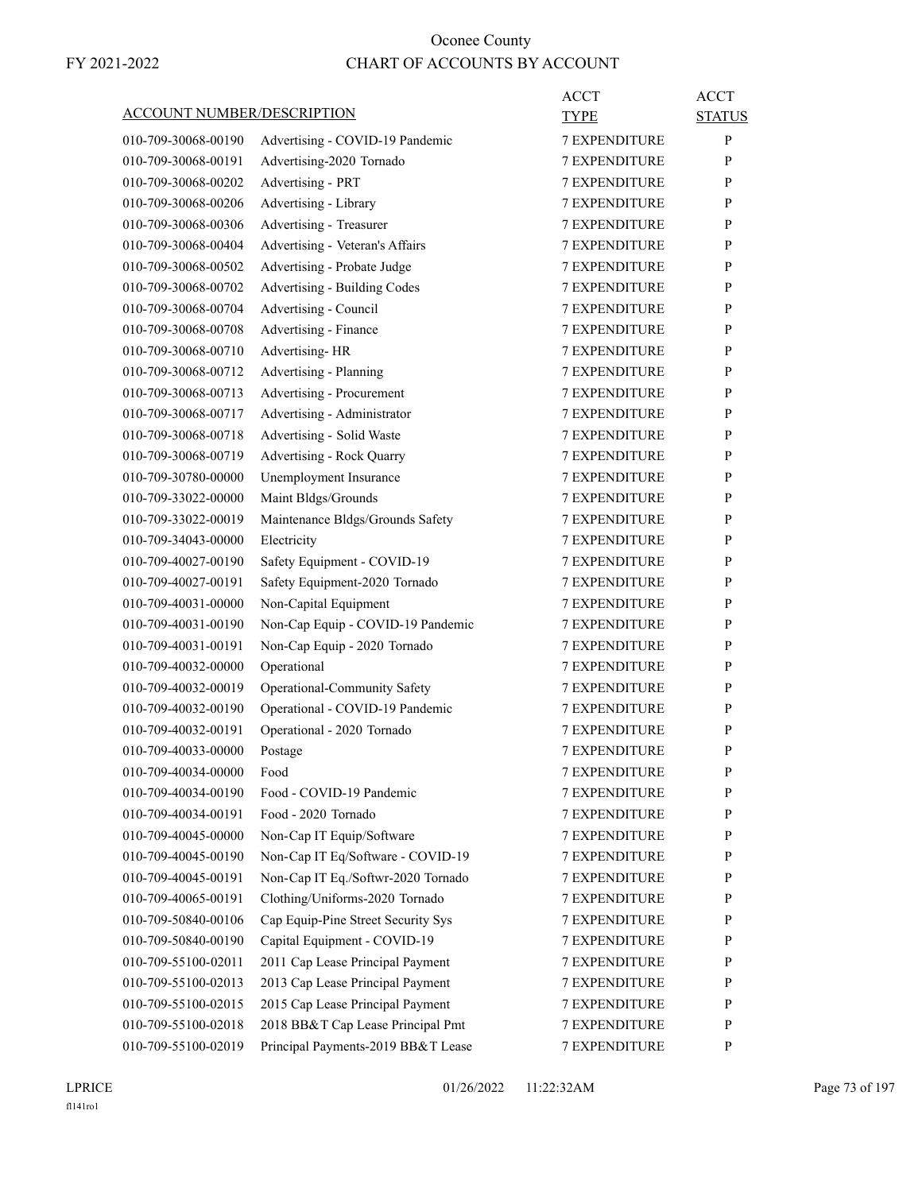| <u>ACCOUNT NUMBER/DESCRIPTION</u> |                                    | ACCT<br>TYPE         | <b>ACCT</b><br><b>STATUS</b> |
|-----------------------------------|------------------------------------|----------------------|------------------------------|
| 010-709-30068-00190               | Advertising - COVID-19 Pandemic    | <b>7 EXPENDITURE</b> | P                            |
| 010-709-30068-00191               | Advertising-2020 Tornado           | <b>7 EXPENDITURE</b> | P                            |
| 010-709-30068-00202               | Advertising - PRT                  | <b>7 EXPENDITURE</b> | P                            |
| 010-709-30068-00206               | Advertising - Library              | <b>7 EXPENDITURE</b> | P                            |
| 010-709-30068-00306               | Advertising - Treasurer            | <b>7 EXPENDITURE</b> | P                            |
| 010-709-30068-00404               | Advertising - Veteran's Affairs    | <b>7 EXPENDITURE</b> | P                            |
| 010-709-30068-00502               | Advertising - Probate Judge        | <b>7 EXPENDITURE</b> | P                            |
| 010-709-30068-00702               | Advertising - Building Codes       | <b>7 EXPENDITURE</b> | P                            |
| 010-709-30068-00704               | Advertising - Council              | <b>7 EXPENDITURE</b> | P                            |
| 010-709-30068-00708               | Advertising - Finance              | <b>7 EXPENDITURE</b> | P                            |
| 010-709-30068-00710               | Advertising-HR                     | <b>7 EXPENDITURE</b> | P                            |
| 010-709-30068-00712               | Advertising - Planning             | <b>7 EXPENDITURE</b> | P                            |
| 010-709-30068-00713               | Advertising - Procurement          | <b>7 EXPENDITURE</b> | P                            |
| 010-709-30068-00717               | Advertising - Administrator        | <b>7 EXPENDITURE</b> | P                            |
| 010-709-30068-00718               | Advertising - Solid Waste          | <b>7 EXPENDITURE</b> | P                            |
| 010-709-30068-00719               | Advertising - Rock Quarry          | <b>7 EXPENDITURE</b> | P                            |
| 010-709-30780-00000               | Unemployment Insurance             | <b>7 EXPENDITURE</b> | P                            |
| 010-709-33022-00000               | Maint Bldgs/Grounds                | <b>7 EXPENDITURE</b> | P                            |
| 010-709-33022-00019               | Maintenance Bldgs/Grounds Safety   | <b>7 EXPENDITURE</b> | P                            |
| 010-709-34043-00000               | Electricity                        | <b>7 EXPENDITURE</b> | P                            |
| 010-709-40027-00190               | Safety Equipment - COVID-19        | <b>7 EXPENDITURE</b> | P                            |
| 010-709-40027-00191               | Safety Equipment-2020 Tornado      | <b>7 EXPENDITURE</b> | P                            |
| 010-709-40031-00000               | Non-Capital Equipment              | <b>7 EXPENDITURE</b> | P                            |
| 010-709-40031-00190               | Non-Cap Equip - COVID-19 Pandemic  | <b>7 EXPENDITURE</b> | P                            |
| 010-709-40031-00191               | Non-Cap Equip - 2020 Tornado       | <b>7 EXPENDITURE</b> | P                            |
| 010-709-40032-00000               | Operational                        | 7 EXPENDITURE        | P                            |
| 010-709-40032-00019               | Operational-Community Safety       | <b>7 EXPENDITURE</b> | P                            |
| 010-709-40032-00190               | Operational - COVID-19 Pandemic    | <b>7 EXPENDITURE</b> | P                            |
| 010-709-40032-00191               | Operational - 2020 Tornado         | <b>7 EXPENDITURE</b> | P                            |
| 010-709-40033-00000               | Postage                            | <b>7 EXPENDITURE</b> | P                            |
| 010-709-40034-00000               | Food                               | 7 EXPENDITURE        | $\mathbf{P}$                 |
| 010-709-40034-00190               | Food - COVID-19 Pandemic           | <b>7 EXPENDITURE</b> | P                            |
| 010-709-40034-00191               | Food - 2020 Tornado                | <b>7 EXPENDITURE</b> | P                            |
| 010-709-40045-00000               | Non-Cap IT Equip/Software          | 7 EXPENDITURE        | P                            |
| 010-709-40045-00190               | Non-Cap IT Eq/Software - COVID-19  | 7 EXPENDITURE        | P                            |
| 010-709-40045-00191               | Non-Cap IT Eq./Softwr-2020 Tornado | 7 EXPENDITURE        | P                            |
| 010-709-40065-00191               | Clothing/Uniforms-2020 Tornado     | <b>7 EXPENDITURE</b> | P                            |
| 010-709-50840-00106               | Cap Equip-Pine Street Security Sys | 7 EXPENDITURE        | P                            |
| 010-709-50840-00190               | Capital Equipment - COVID-19       | <b>7 EXPENDITURE</b> | P                            |
| 010-709-55100-02011               | 2011 Cap Lease Principal Payment   | 7 EXPENDITURE        | P                            |
| 010-709-55100-02013               | 2013 Cap Lease Principal Payment   | 7 EXPENDITURE        | P                            |
| 010-709-55100-02015               | 2015 Cap Lease Principal Payment   | 7 EXPENDITURE        | P                            |
| 010-709-55100-02018               | 2018 BB&T Cap Lease Principal Pmt  | <b>7 EXPENDITURE</b> | P                            |
| 010-709-55100-02019               | Principal Payments-2019 BB&T Lease | 7 EXPENDITURE        | P                            |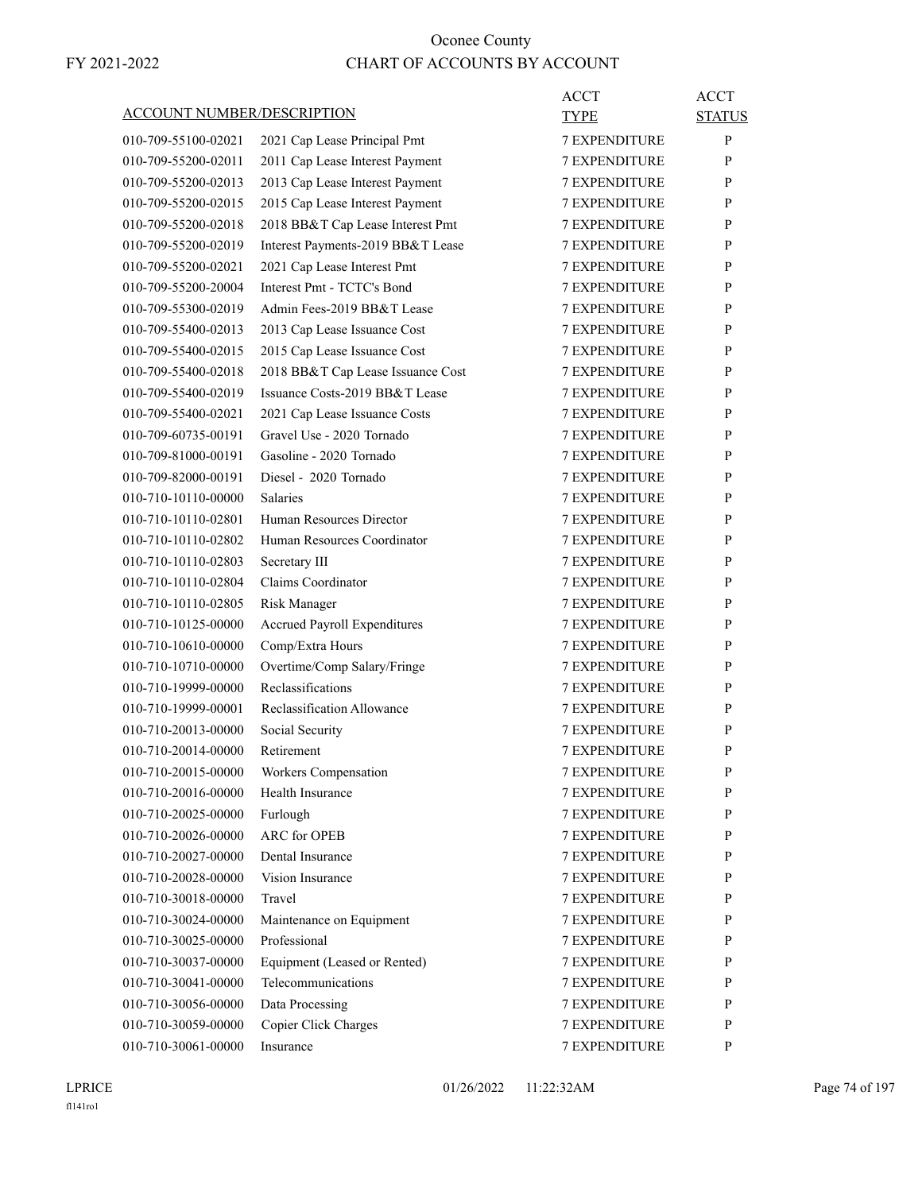| <b>ACCOUNT NUMBER/DESCRIPTION</b> |                                                           | <b>ACCT</b><br><b>TYPE</b> | <b>ACCT</b><br><b>STATUS</b> |
|-----------------------------------|-----------------------------------------------------------|----------------------------|------------------------------|
| 010-709-55100-02021               | 2021 Cap Lease Principal Pmt                              | <b>7 EXPENDITURE</b>       | P                            |
| 010-709-55200-02011               | 2011 Cap Lease Interest Payment                           | 7 EXPENDITURE              | P                            |
| 010-709-55200-02013               | 2013 Cap Lease Interest Payment                           | <b>7 EXPENDITURE</b>       | P                            |
| 010-709-55200-02015               | 2015 Cap Lease Interest Payment                           | <b>7 EXPENDITURE</b>       | P                            |
| 010-709-55200-02018               | 2018 BB&T Cap Lease Interest Pmt                          | <b>7 EXPENDITURE</b>       | P                            |
| 010-709-55200-02019               |                                                           | <b>7 EXPENDITURE</b>       | P                            |
| 010-709-55200-02021               | Interest Payments-2019 BB&T Lease                         | <b>7 EXPENDITURE</b>       | P                            |
| 010-709-55200-20004               | 2021 Cap Lease Interest Pmt<br>Interest Pmt - TCTC's Bond | <b>7 EXPENDITURE</b>       |                              |
|                                   | Admin Fees-2019 BB&T Lease                                |                            | P                            |
| 010-709-55300-02019               |                                                           | <b>7 EXPENDITURE</b>       | P                            |
| 010-709-55400-02013               | 2013 Cap Lease Issuance Cost                              | <b>7 EXPENDITURE</b>       | P                            |
| 010-709-55400-02015               | 2015 Cap Lease Issuance Cost                              | <b>7 EXPENDITURE</b>       | P                            |
| 010-709-55400-02018               | 2018 BB&T Cap Lease Issuance Cost                         | <b>7 EXPENDITURE</b>       | P                            |
| 010-709-55400-02019               | Issuance Costs-2019 BB&T Lease                            | <b>7 EXPENDITURE</b>       | P                            |
| 010-709-55400-02021               | 2021 Cap Lease Issuance Costs                             | <b>7 EXPENDITURE</b>       | P                            |
| 010-709-60735-00191               | Gravel Use - 2020 Tornado                                 | <b>7 EXPENDITURE</b>       | P                            |
| 010-709-81000-00191               | Gasoline - 2020 Tornado                                   | <b>7 EXPENDITURE</b>       | P                            |
| 010-709-82000-00191               | Diesel - 2020 Tornado                                     | <b>7 EXPENDITURE</b>       | P                            |
| 010-710-10110-00000               | <b>Salaries</b>                                           | <b>7 EXPENDITURE</b>       | P                            |
| 010-710-10110-02801               | Human Resources Director                                  | <b>7 EXPENDITURE</b>       | P                            |
| 010-710-10110-02802               | Human Resources Coordinator                               | <b>7 EXPENDITURE</b>       | P                            |
| 010-710-10110-02803               | Secretary III                                             | <b>7 EXPENDITURE</b>       | P                            |
| 010-710-10110-02804               | Claims Coordinator                                        | <b>7 EXPENDITURE</b>       | P                            |
| 010-710-10110-02805               | Risk Manager                                              | <b>7 EXPENDITURE</b>       | P                            |
| 010-710-10125-00000               | Accrued Payroll Expenditures                              | <b>7 EXPENDITURE</b>       | P                            |
| 010-710-10610-00000               | Comp/Extra Hours                                          | <b>7 EXPENDITURE</b>       | P                            |
| 010-710-10710-00000               | Overtime/Comp Salary/Fringe                               | 7 EXPENDITURE              | P                            |
| 010-710-19999-00000               | Reclassifications                                         | <b>7 EXPENDITURE</b>       | P                            |
| 010-710-19999-00001               | Reclassification Allowance                                | <b>7 EXPENDITURE</b>       | P                            |
| 010-710-20013-00000               | Social Security                                           | <b>7 EXPENDITURE</b>       | P                            |
| 010-710-20014-00000               | Retirement                                                | <b>7 EXPENDITURE</b>       | P                            |
| 010-710-20015-00000               | Workers Compensation                                      | <b>7 EXPENDITURE</b>       | P                            |
| 010-710-20016-00000               | Health Insurance                                          | <b>7 EXPENDITURE</b>       | P                            |
| 010-710-20025-00000               | Furlough                                                  | 7 EXPENDITURE              | P                            |
| 010-710-20026-00000               | ARC for OPEB                                              | 7 EXPENDITURE              | P                            |
| 010-710-20027-00000               | Dental Insurance                                          | <b>7 EXPENDITURE</b>       | P                            |
| 010-710-20028-00000               | Vision Insurance                                          | <b>7 EXPENDITURE</b>       | P                            |
| 010-710-30018-00000               | Travel                                                    | <b>7 EXPENDITURE</b>       | P                            |
| 010-710-30024-00000               | Maintenance on Equipment                                  | 7 EXPENDITURE              | P                            |
| 010-710-30025-00000               | Professional                                              | 7 EXPENDITURE              | P                            |
| 010-710-30037-00000               | Equipment (Leased or Rented)                              | 7 EXPENDITURE              | P                            |
| 010-710-30041-00000               | Telecommunications                                        | 7 EXPENDITURE              | P                            |
| 010-710-30056-00000               | Data Processing                                           | <b>7 EXPENDITURE</b>       | P                            |
| 010-710-30059-00000               | Copier Click Charges                                      | 7 EXPENDITURE              | P                            |
| 010-710-30061-00000               | Insurance                                                 | 7 EXPENDITURE              | P                            |
|                                   |                                                           |                            |                              |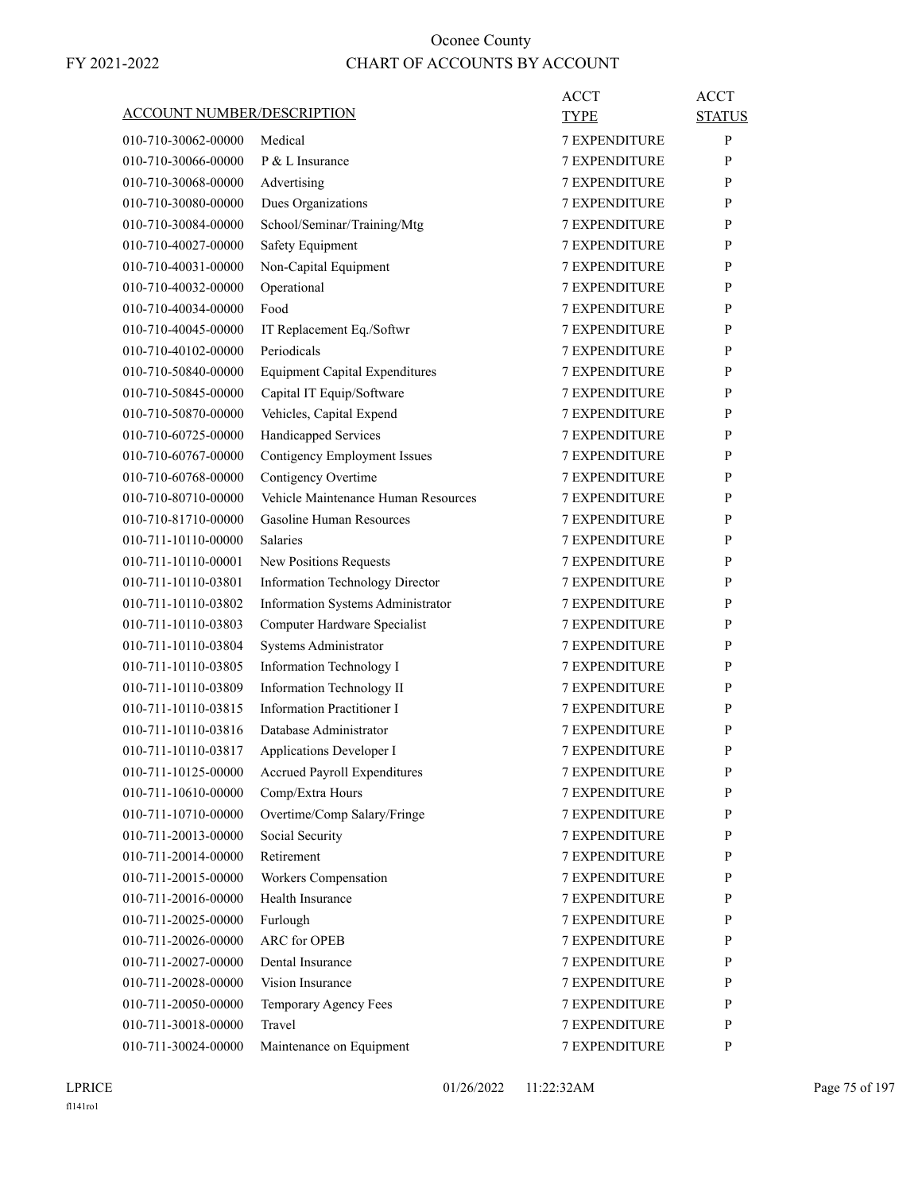| <b>ACCOUNT NUMBER/DESCRIPTION</b>          |                                                 | ACCT<br><b>TYPE</b>                          | <b>ACCT</b><br><b>STATUS</b> |
|--------------------------------------------|-------------------------------------------------|----------------------------------------------|------------------------------|
| 010-710-30062-00000                        | Medical                                         | <b>7 EXPENDITURE</b>                         | P                            |
| 010-710-30066-00000                        | P & L Insurance                                 | <b>7 EXPENDITURE</b>                         | P                            |
| 010-710-30068-00000                        | Advertising                                     | <b>7 EXPENDITURE</b>                         | P                            |
| 010-710-30080-00000                        | Dues Organizations                              | <b>7 EXPENDITURE</b>                         | P                            |
| 010-710-30084-00000                        | School/Seminar/Training/Mtg                     | <b>7 EXPENDITURE</b>                         | P                            |
| 010-710-40027-00000                        | Safety Equipment                                | <b>7 EXPENDITURE</b>                         | P                            |
| 010-710-40031-00000                        | Non-Capital Equipment                           | <b>7 EXPENDITURE</b>                         | P                            |
| 010-710-40032-00000                        | Operational                                     | <b>7 EXPENDITURE</b>                         | P                            |
| 010-710-40034-00000                        | Food                                            | <b>7 EXPENDITURE</b>                         | P                            |
| 010-710-40045-00000                        | IT Replacement Eq./Softwr                       | <b>7 EXPENDITURE</b>                         | P                            |
| 010-710-40102-00000                        | Periodicals                                     | <b>7 EXPENDITURE</b>                         | P                            |
| 010-710-50840-00000                        | <b>Equipment Capital Expenditures</b>           | <b>7 EXPENDITURE</b>                         | P                            |
| 010-710-50845-00000                        | Capital IT Equip/Software                       | <b>7 EXPENDITURE</b>                         | P                            |
| 010-710-50870-00000                        | Vehicles, Capital Expend                        | 7 EXPENDITURE                                | P                            |
| 010-710-60725-00000                        | Handicapped Services                            | <b>7 EXPENDITURE</b>                         | P                            |
| 010-710-60767-00000                        | Contigency Employment Issues                    | <b>7 EXPENDITURE</b>                         | P                            |
| 010-710-60768-00000                        | Contigency Overtime                             | <b>7 EXPENDITURE</b>                         | P                            |
| 010-710-80710-00000                        | Vehicle Maintenance Human Resources             | <b>7 EXPENDITURE</b>                         | P                            |
| 010-710-81710-00000                        | Gasoline Human Resources                        | <b>7 EXPENDITURE</b>                         | P                            |
| 010-711-10110-00000                        | <b>Salaries</b>                                 | 7 EXPENDITURE                                | P                            |
| 010-711-10110-00001                        | New Positions Requests                          | <b>7 EXPENDITURE</b>                         | P                            |
| 010-711-10110-03801                        | Information Technology Director                 | <b>7 EXPENDITURE</b>                         | P                            |
| 010-711-10110-03802                        | Information Systems Administrator               | <b>7 EXPENDITURE</b>                         | P                            |
| 010-711-10110-03803                        | Computer Hardware Specialist                    | <b>7 EXPENDITURE</b>                         | P                            |
| 010-711-10110-03804                        | Systems Administrator                           | <b>7 EXPENDITURE</b>                         | P                            |
| 010-711-10110-03805                        | Information Technology I                        | 7 EXPENDITURE                                | P                            |
| 010-711-10110-03809                        | Information Technology II                       | <b>7 EXPENDITURE</b>                         | P                            |
| 010-711-10110-03815                        | <b>Information Practitioner I</b>               | <b>7 EXPENDITURE</b>                         | P                            |
| 010-711-10110-03816                        | Database Administrator                          | <b>7 EXPENDITURE</b>                         | P                            |
|                                            |                                                 |                                              | P                            |
| 010-711-10110-03817                        | Applications Developer I                        | <b>7 EXPENDITURE</b>                         |                              |
| 010-711-10125-00000                        | <b>Accrued Payroll Expenditures</b>             | <b>7 EXPENDITURE</b><br><b>7 EXPENDITURE</b> | P                            |
| 010-711-10610-00000                        | Comp/Extra Hours<br>Overtime/Comp Salary/Fringe |                                              | P                            |
| 010-711-10710-00000                        |                                                 | 7 EXPENDITURE                                | $\mathbf{P}$                 |
| 010-711-20013-00000                        | Social Security<br>Retirement                   | 7 EXPENDITURE<br><b>7 EXPENDITURE</b>        | P                            |
| 010-711-20014-00000<br>010-711-20015-00000 |                                                 |                                              | $\mathbf{P}$                 |
|                                            | Workers Compensation                            | 7 EXPENDITURE                                | P                            |
| 010-711-20016-00000                        | Health Insurance                                | <b>7 EXPENDITURE</b>                         | P                            |
| 010-711-20025-00000                        | Furlough                                        | 7 EXPENDITURE                                | P                            |
| 010-711-20026-00000                        | <b>ARC</b> for OPEB                             | 7 EXPENDITURE                                | P                            |
| 010-711-20027-00000                        | Dental Insurance                                | 7 EXPENDITURE                                | P                            |
| 010-711-20028-00000                        | Vision Insurance                                | 7 EXPENDITURE                                | $\mathbf{P}$                 |
| 010-711-20050-00000                        | Temporary Agency Fees                           | 7 EXPENDITURE                                | P                            |
| 010-711-30018-00000                        | Travel                                          | 7 EXPENDITURE                                | $\mathbf{P}$                 |
| 010-711-30024-00000                        | Maintenance on Equipment                        | 7 EXPENDITURE                                | $\mathbf{P}$                 |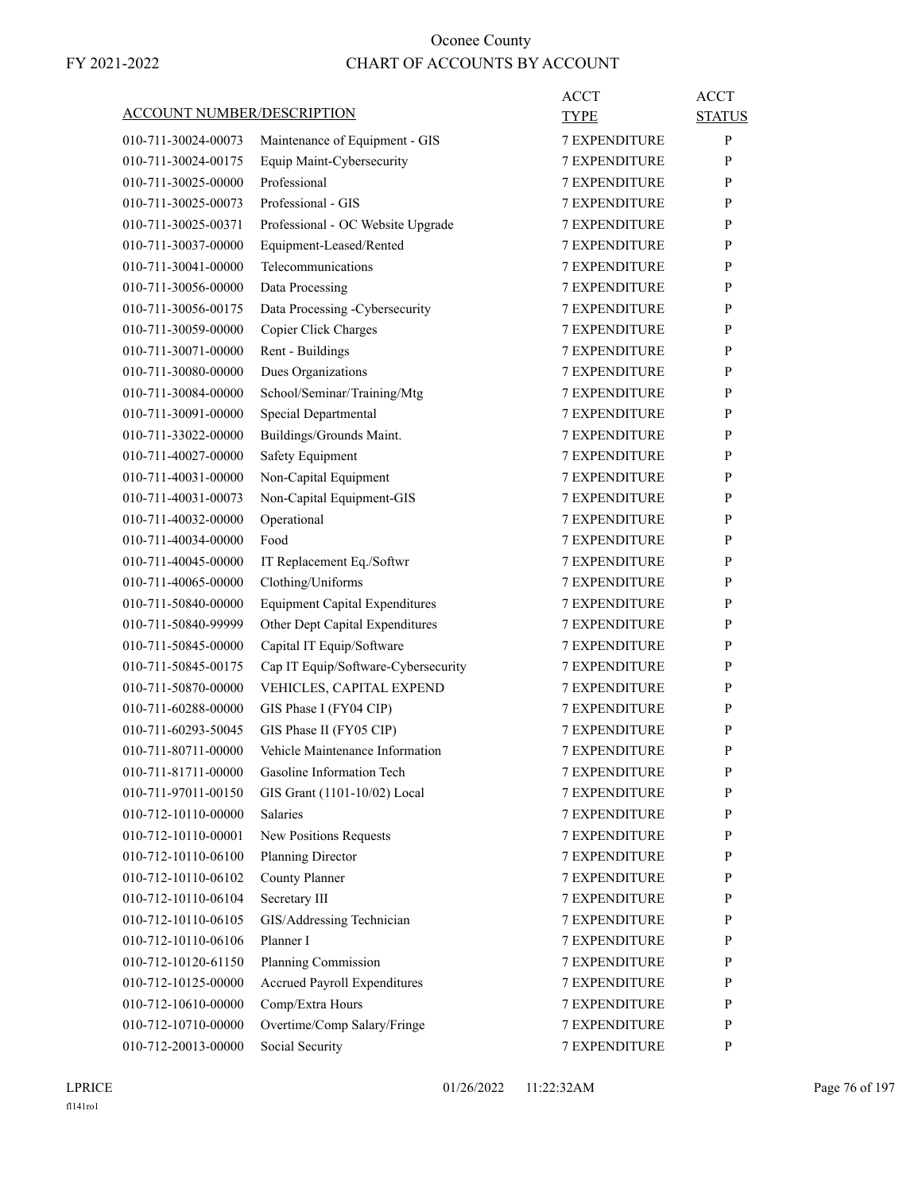| ACCOUNT NUMBER/DESCRIPTION                 |                                        | ACCT<br>TYPE                   | <b>ACCT</b><br><b>STATUS</b> |
|--------------------------------------------|----------------------------------------|--------------------------------|------------------------------|
| 010-711-30024-00073                        | Maintenance of Equipment - GIS         | <b>7 EXPENDITURE</b>           | P                            |
| 010-711-30024-00175                        | Equip Maint-Cybersecurity              | 7 EXPENDITURE                  | P                            |
| 010-711-30025-00000                        | Professional                           | <b>7 EXPENDITURE</b>           | P                            |
| 010-711-30025-00073                        | Professional - GIS                     | <b>7 EXPENDITURE</b>           | P                            |
| 010-711-30025-00371                        | Professional - OC Website Upgrade      | <b>7 EXPENDITURE</b>           | P                            |
| 010-711-30037-00000                        | Equipment-Leased/Rented                | <b>7 EXPENDITURE</b>           | P                            |
| 010-711-30041-00000                        | Telecommunications                     | <b>7 EXPENDITURE</b>           | P                            |
| 010-711-30056-00000                        | Data Processing                        | 7 EXPENDITURE                  | P                            |
| 010-711-30056-00175                        | Data Processing -Cybersecurity         | <b>7 EXPENDITURE</b>           | P                            |
| 010-711-30059-00000                        | Copier Click Charges                   | <b>7 EXPENDITURE</b>           | P                            |
| 010-711-30071-00000                        | Rent - Buildings                       | <b>7 EXPENDITURE</b>           | P                            |
| 010-711-30080-00000                        | Dues Organizations                     | <b>7 EXPENDITURE</b>           | P                            |
| 010-711-30084-00000                        | School/Seminar/Training/Mtg            | <b>7 EXPENDITURE</b>           | P                            |
| 010-711-30091-00000                        | Special Departmental                   | 7 EXPENDITURE                  | P                            |
| 010-711-33022-00000                        | Buildings/Grounds Maint.               | <b>7 EXPENDITURE</b>           | P                            |
| 010-711-40027-00000                        | Safety Equipment                       | <b>7 EXPENDITURE</b>           | P                            |
| 010-711-40031-00000                        | Non-Capital Equipment                  | <b>7 EXPENDITURE</b>           | P                            |
| 010-711-40031-00073                        | Non-Capital Equipment-GIS              | <b>7 EXPENDITURE</b>           | P                            |
| 010-711-40032-00000                        | Operational                            | <b>7 EXPENDITURE</b>           | P                            |
| 010-711-40034-00000                        | Food                                   | 7 EXPENDITURE                  | P                            |
| 010-711-40045-00000                        | IT Replacement Eq./Softwr              | <b>7 EXPENDITURE</b>           | P                            |
| 010-711-40065-00000                        | Clothing/Uniforms                      | <b>7 EXPENDITURE</b>           | P                            |
| 010-711-50840-00000                        | <b>Equipment Capital Expenditures</b>  | <b>7 EXPENDITURE</b>           | P                            |
| 010-711-50840-99999                        | Other Dept Capital Expenditures        | <b>7 EXPENDITURE</b>           | P                            |
| 010-711-50845-00000                        | Capital IT Equip/Software              | <b>7 EXPENDITURE</b>           | P                            |
| 010-711-50845-00175                        | Cap IT Equip/Software-Cybersecurity    | 7 EXPENDITURE                  | P                            |
| 010-711-50870-00000                        | VEHICLES, CAPITAL EXPEND               | <b>7 EXPENDITURE</b>           | P                            |
| 010-711-60288-00000                        | GIS Phase I (FY04 CIP)                 | <b>7 EXPENDITURE</b>           | P                            |
| 010-711-60293-50045                        | GIS Phase II (FY05 CIP)                | <b>7 EXPENDITURE</b>           | P                            |
| 010-711-80711-00000                        | Vehicle Maintenance Information        | <b>7 EXPENDITURE</b>           | P                            |
| 010-711-81711-00000                        | Gasoline Information Tech              | <b>7 EXPENDITURE</b>           | P                            |
| 010-711-97011-00150                        | GIS Grant (1101-10/02) Local           | 7 EXPENDITURE                  | P                            |
| 010-712-10110-00000                        | Salaries                               | 7 EXPENDITURE                  | P                            |
| 010-712-10110-00001                        | New Positions Requests                 | 7 EXPENDITURE                  | P                            |
| 010-712-10110-06100                        | Planning Director                      | <b>7 EXPENDITURE</b>           |                              |
|                                            | <b>County Planner</b>                  |                                | P<br>P                       |
| 010-712-10110-06102                        | Secretary III                          | 7 EXPENDITURE                  | P                            |
| 010-712-10110-06104<br>010-712-10110-06105 |                                        | 7 EXPENDITURE<br>7 EXPENDITURE |                              |
|                                            | GIS/Addressing Technician<br>Planner I |                                | P                            |
| 010-712-10110-06106                        |                                        | 7 EXPENDITURE                  | P                            |
| 010-712-10120-61150                        | Planning Commission                    | 7 EXPENDITURE                  | P                            |
| 010-712-10125-00000                        | <b>Accrued Payroll Expenditures</b>    | 7 EXPENDITURE                  | P                            |
| 010-712-10610-00000                        | Comp/Extra Hours                       | 7 EXPENDITURE                  | P                            |
| 010-712-10710-00000                        | Overtime/Comp Salary/Fringe            | 7 EXPENDITURE                  | P                            |
| 010-712-20013-00000                        | Social Security                        | 7 EXPENDITURE                  | P                            |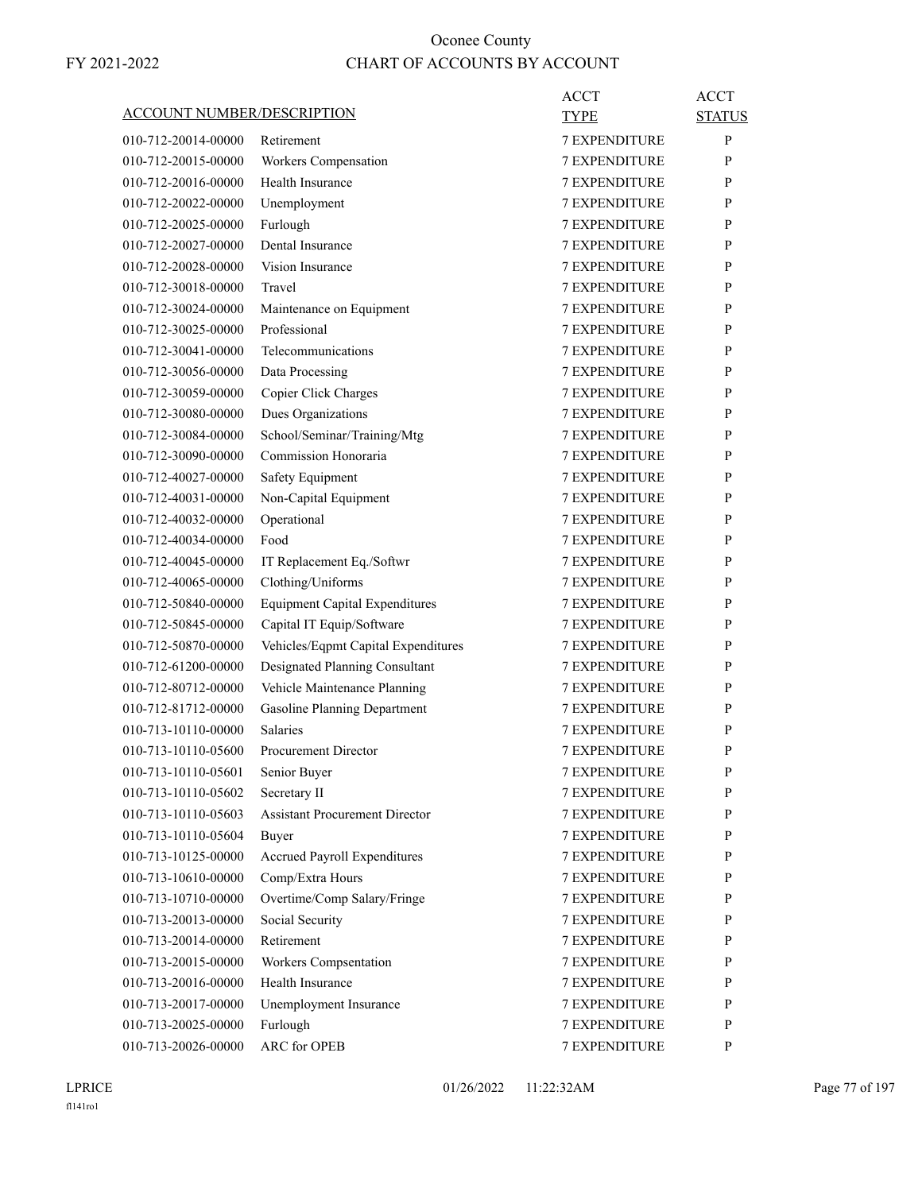| ACCOUNT NUMBER/DESCRIPTION |                                       | ACCT                 | <b>ACCT</b>   |
|----------------------------|---------------------------------------|----------------------|---------------|
|                            |                                       | TYPE                 | <b>STATUS</b> |
| 010-712-20014-00000        | Retirement                            | <b>7 EXPENDITURE</b> | P             |
| 010-712-20015-00000        | Workers Compensation                  | <b>7 EXPENDITURE</b> | P             |
| 010-712-20016-00000        | Health Insurance                      | <b>7 EXPENDITURE</b> | P             |
| 010-712-20022-00000        | Unemployment                          | <b>7 EXPENDITURE</b> | P             |
| 010-712-20025-00000        | Furlough                              | <b>7 EXPENDITURE</b> | P             |
| 010-712-20027-00000        | Dental Insurance                      | <b>7 EXPENDITURE</b> | P             |
| 010-712-20028-00000        | Vision Insurance                      | <b>7 EXPENDITURE</b> | P             |
| 010-712-30018-00000        | Travel                                | <b>7 EXPENDITURE</b> | P             |
| 010-712-30024-00000        | Maintenance on Equipment              | <b>7 EXPENDITURE</b> | P             |
| 010-712-30025-00000        | Professional                          | <b>7 EXPENDITURE</b> | P             |
| 010-712-30041-00000        | Telecommunications                    | <b>7 EXPENDITURE</b> | P             |
| 010-712-30056-00000        | Data Processing                       | <b>7 EXPENDITURE</b> | P             |
| 010-712-30059-00000        | Copier Click Charges                  | <b>7 EXPENDITURE</b> | P             |
| 010-712-30080-00000        | Dues Organizations                    | <b>7 EXPENDITURE</b> | P             |
| 010-712-30084-00000        | School/Seminar/Training/Mtg           | <b>7 EXPENDITURE</b> | P             |
| 010-712-30090-00000        | Commission Honoraria                  | <b>7 EXPENDITURE</b> | P             |
| 010-712-40027-00000        | Safety Equipment                      | <b>7 EXPENDITURE</b> | P             |
| 010-712-40031-00000        | Non-Capital Equipment                 | <b>7 EXPENDITURE</b> | P             |
| 010-712-40032-00000        | Operational                           | <b>7 EXPENDITURE</b> | P             |
| 010-712-40034-00000        | Food                                  | <b>7 EXPENDITURE</b> | P             |
| 010-712-40045-00000        | IT Replacement Eq./Softwr             | <b>7 EXPENDITURE</b> | P             |
| 010-712-40065-00000        | Clothing/Uniforms                     | <b>7 EXPENDITURE</b> | P             |
| 010-712-50840-00000        | <b>Equipment Capital Expenditures</b> | <b>7 EXPENDITURE</b> | P             |
| 010-712-50845-00000        | Capital IT Equip/Software             | <b>7 EXPENDITURE</b> | P             |
| 010-712-50870-00000        | Vehicles/Eqpmt Capital Expenditures   | <b>7 EXPENDITURE</b> | P             |
| 010-712-61200-00000        | Designated Planning Consultant        | 7 EXPENDITURE        | P             |
| 010-712-80712-00000        | Vehicle Maintenance Planning          | <b>7 EXPENDITURE</b> | P             |
| 010-712-81712-00000        | <b>Gasoline Planning Department</b>   | <b>7 EXPENDITURE</b> | P             |
| 010-713-10110-00000        | <b>Salaries</b>                       | <b>7 EXPENDITURE</b> | P             |
| 010-713-10110-05600        | <b>Procurement Director</b>           | <b>7 EXPENDITURE</b> | P             |
| 010-713-10110-05601        | Senior Buyer                          | 7 EXPENDITURE        | P             |
| 010-713-10110-05602        | Secretary II                          | <b>7 EXPENDITURE</b> | P             |
| 010-713-10110-05603        | <b>Assistant Procurement Director</b> | 7 EXPENDITURE        | P             |
| 010-713-10110-05604        | Buyer                                 | 7 EXPENDITURE        | P             |
| 010-713-10125-00000        | <b>Accrued Payroll Expenditures</b>   | <b>7 EXPENDITURE</b> | P             |
| 010-713-10610-00000        | Comp/Extra Hours                      | <b>7 EXPENDITURE</b> | P             |
| 010-713-10710-00000        | Overtime/Comp Salary/Fringe           | <b>7 EXPENDITURE</b> | P             |
| 010-713-20013-00000        | Social Security                       | <b>7 EXPENDITURE</b> | P             |
| 010-713-20014-00000        | Retirement                            | 7 EXPENDITURE        | P             |
| 010-713-20015-00000        | Workers Compsentation                 | 7 EXPENDITURE        | P             |
| 010-713-20016-00000        | Health Insurance                      | 7 EXPENDITURE        | $\mathbf{P}$  |
| 010-713-20017-00000        | Unemployment Insurance                | <b>7 EXPENDITURE</b> | P             |
| 010-713-20025-00000        | Furlough                              | 7 EXPENDITURE        | P             |
| 010-713-20026-00000        | <b>ARC</b> for OPEB                   | 7 EXPENDITURE        | $\mathbf{P}$  |
|                            |                                       |                      |               |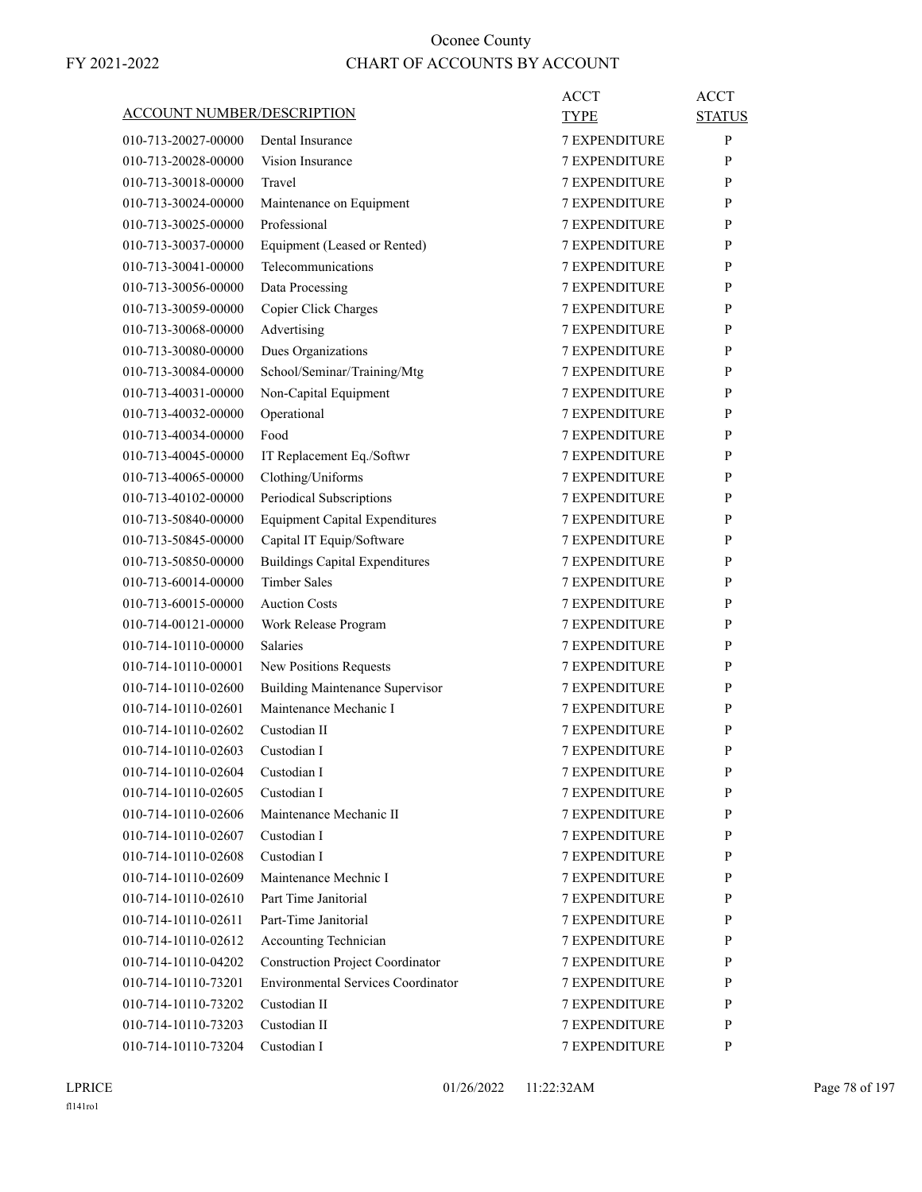|                                   |                                           | <b>ACCT</b>          | <b>ACCT</b>   |
|-----------------------------------|-------------------------------------------|----------------------|---------------|
| <b>ACCOUNT NUMBER/DESCRIPTION</b> |                                           | TYPE                 | <b>STATUS</b> |
| 010-713-20027-00000               | Dental Insurance                          | <b>7 EXPENDITURE</b> | $\mathbf{P}$  |
| 010-713-20028-00000               | Vision Insurance                          | <b>7 EXPENDITURE</b> | P             |
| 010-713-30018-00000               | Travel                                    | <b>7 EXPENDITURE</b> | P             |
| 010-713-30024-00000               | Maintenance on Equipment                  | 7 EXPENDITURE        | P             |
| 010-713-30025-00000               | Professional                              | <b>7 EXPENDITURE</b> | P             |
| 010-713-30037-00000               | Equipment (Leased or Rented)              | <b>7 EXPENDITURE</b> | P             |
| 010-713-30041-00000               | Telecommunications                        | <b>7 EXPENDITURE</b> | P             |
| 010-713-30056-00000               | Data Processing                           | <b>7 EXPENDITURE</b> | P             |
| 010-713-30059-00000               | Copier Click Charges                      | <b>7 EXPENDITURE</b> | P             |
| 010-713-30068-00000               | Advertising                               | 7 EXPENDITURE        | P             |
| 010-713-30080-00000               | Dues Organizations                        | <b>7 EXPENDITURE</b> | P             |
| 010-713-30084-00000               | School/Seminar/Training/Mtg               | <b>7 EXPENDITURE</b> | P             |
| 010-713-40031-00000               | Non-Capital Equipment                     | <b>7 EXPENDITURE</b> | P             |
| 010-713-40032-00000               | Operational                               | <b>7 EXPENDITURE</b> | P             |
| 010-713-40034-00000               | Food                                      | <b>7 EXPENDITURE</b> | P             |
| 010-713-40045-00000               | IT Replacement Eq./Softwr                 | 7 EXPENDITURE        | P             |
| 010-713-40065-00000               | Clothing/Uniforms                         | <b>7 EXPENDITURE</b> | P             |
| 010-713-40102-00000               | Periodical Subscriptions                  | <b>7 EXPENDITURE</b> | P             |
| 010-713-50840-00000               | <b>Equipment Capital Expenditures</b>     | <b>7 EXPENDITURE</b> | P             |
| 010-713-50845-00000               | Capital IT Equip/Software                 | <b>7 EXPENDITURE</b> | P             |
| 010-713-50850-00000               | <b>Buildings Capital Expenditures</b>     | <b>7 EXPENDITURE</b> | P             |
| 010-713-60014-00000               | <b>Timber Sales</b>                       | 7 EXPENDITURE        | P             |
| 010-713-60015-00000               | <b>Auction Costs</b>                      | <b>7 EXPENDITURE</b> | P             |
| 010-714-00121-00000               | Work Release Program                      | <b>7 EXPENDITURE</b> | P             |
| 010-714-10110-00000               | Salaries                                  | <b>7 EXPENDITURE</b> | P             |
| 010-714-10110-00001               | New Positions Requests                    | <b>7 EXPENDITURE</b> | P             |
| 010-714-10110-02600               | <b>Building Maintenance Supervisor</b>    | <b>7 EXPENDITURE</b> | P             |
| 010-714-10110-02601               | Maintenance Mechanic I                    | 7 EXPENDITURE        | P             |
| 010-714-10110-02602               | Custodian II                              | <b>7 EXPENDITURE</b> | P             |
| 010-714-10110-02603               | Custodian I                               | <b>7 EXPENDITURE</b> | P             |
| 010-714-10110-02604               | Custodian I                               | 7 EXPENDITURE        | ${\bf P}$     |
| 010-714-10110-02605               | Custodian I                               | <b>7 EXPENDITURE</b> | P             |
| 010-714-10110-02606               | Maintenance Mechanic II                   | <b>7 EXPENDITURE</b> | P             |
| 010-714-10110-02607               | Custodian I                               | <b>7 EXPENDITURE</b> | P             |
| 010-714-10110-02608               | Custodian I                               | <b>7 EXPENDITURE</b> | P             |
| 010-714-10110-02609               | Maintenance Mechnic I                     | 7 EXPENDITURE        | P             |
| 010-714-10110-02610               | Part Time Janitorial                      | 7 EXPENDITURE        | P             |
| 010-714-10110-02611               | Part-Time Janitorial                      | <b>7 EXPENDITURE</b> | P             |
| 010-714-10110-02612               | Accounting Technician                     | <b>7 EXPENDITURE</b> | P             |
| 010-714-10110-04202               | <b>Construction Project Coordinator</b>   | <b>7 EXPENDITURE</b> | P             |
| 010-714-10110-73201               | <b>Environmental Services Coordinator</b> | 7 EXPENDITURE        | P             |
| 010-714-10110-73202               | Custodian II                              | 7 EXPENDITURE        | P             |
| 010-714-10110-73203               | Custodian II                              | 7 EXPENDITURE        | P             |
| 010-714-10110-73204               | Custodian I                               | 7 EXPENDITURE        | P             |
|                                   |                                           |                      |               |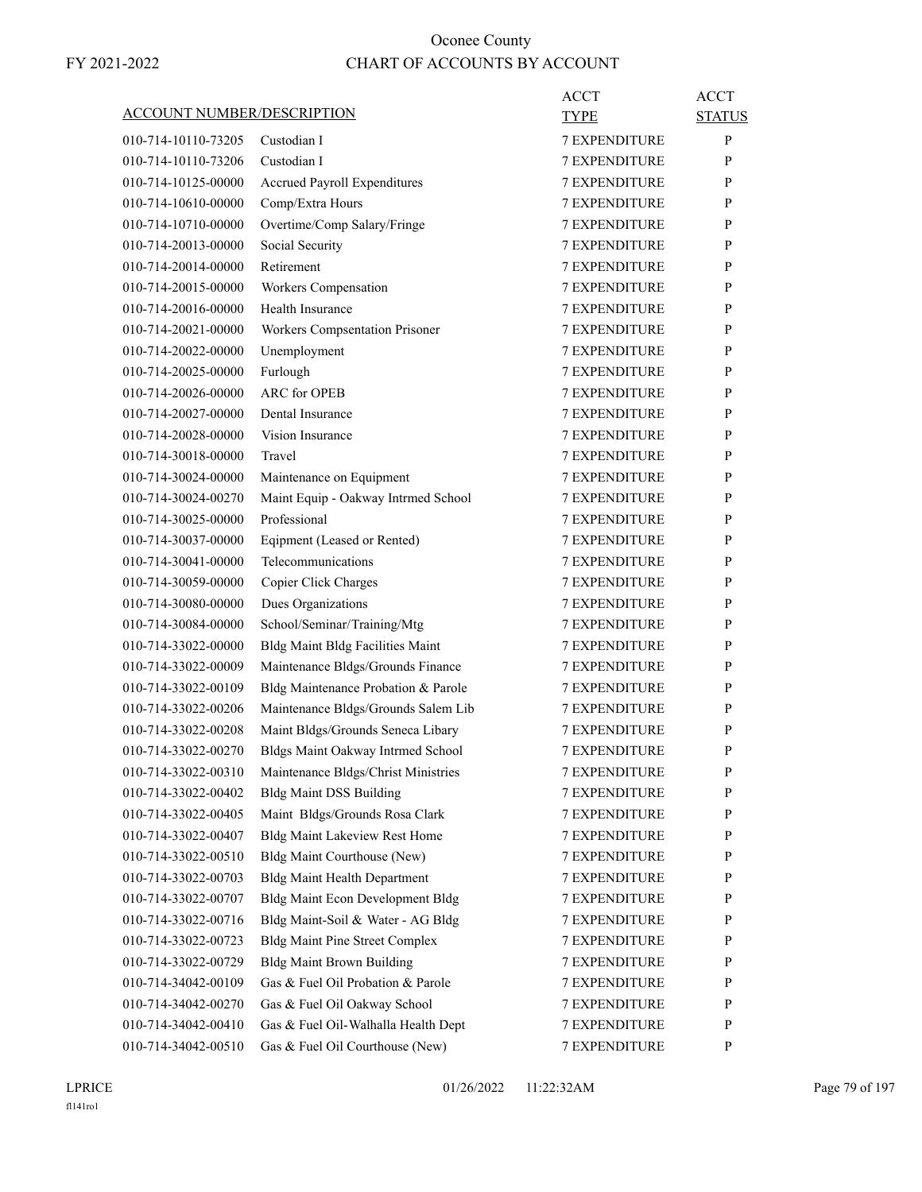|                                   |                                         | <b>ACCT</b>          | <b>ACCT</b>   |
|-----------------------------------|-----------------------------------------|----------------------|---------------|
| <b>ACCOUNT NUMBER/DESCRIPTION</b> |                                         | TYPE                 | <b>STATUS</b> |
| 010-714-10110-73205               | Custodian I                             | <b>7 EXPENDITURE</b> | P             |
| 010-714-10110-73206               | Custodian I                             | <b>7 EXPENDITURE</b> | P             |
| 010-714-10125-00000               | <b>Accrued Payroll Expenditures</b>     | <b>7 EXPENDITURE</b> | P             |
| 010-714-10610-00000               | Comp/Extra Hours                        | <b>7 EXPENDITURE</b> | P             |
| 010-714-10710-00000               | Overtime/Comp Salary/Fringe             | <b>7 EXPENDITURE</b> | P             |
| 010-714-20013-00000               | Social Security                         | <b>7 EXPENDITURE</b> | P             |
| 010-714-20014-00000               | Retirement                              | <b>7 EXPENDITURE</b> | P             |
| 010-714-20015-00000               | Workers Compensation                    | <b>7 EXPENDITURE</b> | P             |
| 010-714-20016-00000               | Health Insurance                        | <b>7 EXPENDITURE</b> | P             |
| 010-714-20021-00000               | Workers Compsentation Prisoner          | <b>7 EXPENDITURE</b> | P             |
| 010-714-20022-00000               | Unemployment                            | <b>7 EXPENDITURE</b> | P             |
| 010-714-20025-00000               | Furlough                                | <b>7 EXPENDITURE</b> | P             |
| 010-714-20026-00000               | <b>ARC</b> for OPEB                     | <b>7 EXPENDITURE</b> | P             |
| 010-714-20027-00000               | Dental Insurance                        | <b>7 EXPENDITURE</b> | P             |
| 010-714-20028-00000               | Vision Insurance                        | <b>7 EXPENDITURE</b> | P             |
| 010-714-30018-00000               | Travel                                  | <b>7 EXPENDITURE</b> | P             |
| 010-714-30024-00000               | Maintenance on Equipment                | <b>7 EXPENDITURE</b> | P             |
| 010-714-30024-00270               | Maint Equip - Oakway Intrmed School     | <b>7 EXPENDITURE</b> | P             |
| 010-714-30025-00000               | Professional                            | <b>7 EXPENDITURE</b> | P             |
| 010-714-30037-00000               | Eqipment (Leased or Rented)             | <b>7 EXPENDITURE</b> | P             |
| 010-714-30041-00000               | Telecommunications                      | <b>7 EXPENDITURE</b> | P             |
| 010-714-30059-00000               | Copier Click Charges                    | 7 EXPENDITURE        | P             |
| 010-714-30080-00000               | Dues Organizations                      | <b>7 EXPENDITURE</b> | P             |
| 010-714-30084-00000               | School/Seminar/Training/Mtg             | <b>7 EXPENDITURE</b> | P             |
| 010-714-33022-00000               | <b>Bldg Maint Bldg Facilities Maint</b> | <b>7 EXPENDITURE</b> | P             |
| 010-714-33022-00009               | Maintenance Bldgs/Grounds Finance       | <b>7 EXPENDITURE</b> | P             |
| 010-714-33022-00109               | Bldg Maintenance Probation & Parole     | <b>7 EXPENDITURE</b> | P             |
| 010-714-33022-00206               | Maintenance Bldgs/Grounds Salem Lib     | 7 EXPENDITURE        | P             |
| 010-714-33022-00208               | Maint Bldgs/Grounds Seneca Libary       | <b>7 EXPENDITURE</b> | P             |
| 010-714-33022-00270               | Bldgs Maint Oakway Intrmed School       | <b>7 EXPENDITURE</b> | P             |
| 010-714-33022-00310               | Maintenance Bldgs/Christ Ministries     | 7 EXPENDITURE        | ${\bf P}$     |
| 010-714-33022-00402               | <b>Bldg Maint DSS Building</b>          | <b>7 EXPENDITURE</b> | P             |
| 010-714-33022-00405               | Maint Bldgs/Grounds Rosa Clark          | 7 EXPENDITURE        | $\mathbf{P}$  |
| 010-714-33022-00407               | <b>Bldg Maint Lakeview Rest Home</b>    | 7 EXPENDITURE        | P             |
| 010-714-33022-00510               | Bldg Maint Courthouse (New)             | 7 EXPENDITURE        | P             |
| 010-714-33022-00703               | <b>Bldg Maint Health Department</b>     | 7 EXPENDITURE        | P             |
| 010-714-33022-00707               | <b>Bldg Maint Econ Development Bldg</b> | 7 EXPENDITURE        | P             |
| 010-714-33022-00716               | Bldg Maint-Soil & Water - AG Bldg       | <b>7 EXPENDITURE</b> | $\mathbf{P}$  |
| 010-714-33022-00723               | <b>Bldg Maint Pine Street Complex</b>   | 7 EXPENDITURE        | P             |
| 010-714-33022-00729               | <b>Bldg Maint Brown Building</b>        | 7 EXPENDITURE        | P             |
| 010-714-34042-00109               | Gas & Fuel Oil Probation & Parole       | <b>7 EXPENDITURE</b> | P             |
| 010-714-34042-00270               | Gas & Fuel Oil Oakway School            | 7 EXPENDITURE        | P             |
| 010-714-34042-00410               | Gas & Fuel Oil-Walhalla Health Dept     | 7 EXPENDITURE        | P             |
| 010-714-34042-00510               | Gas & Fuel Oil Courthouse (New)         | 7 EXPENDITURE        | P             |
|                                   |                                         |                      |               |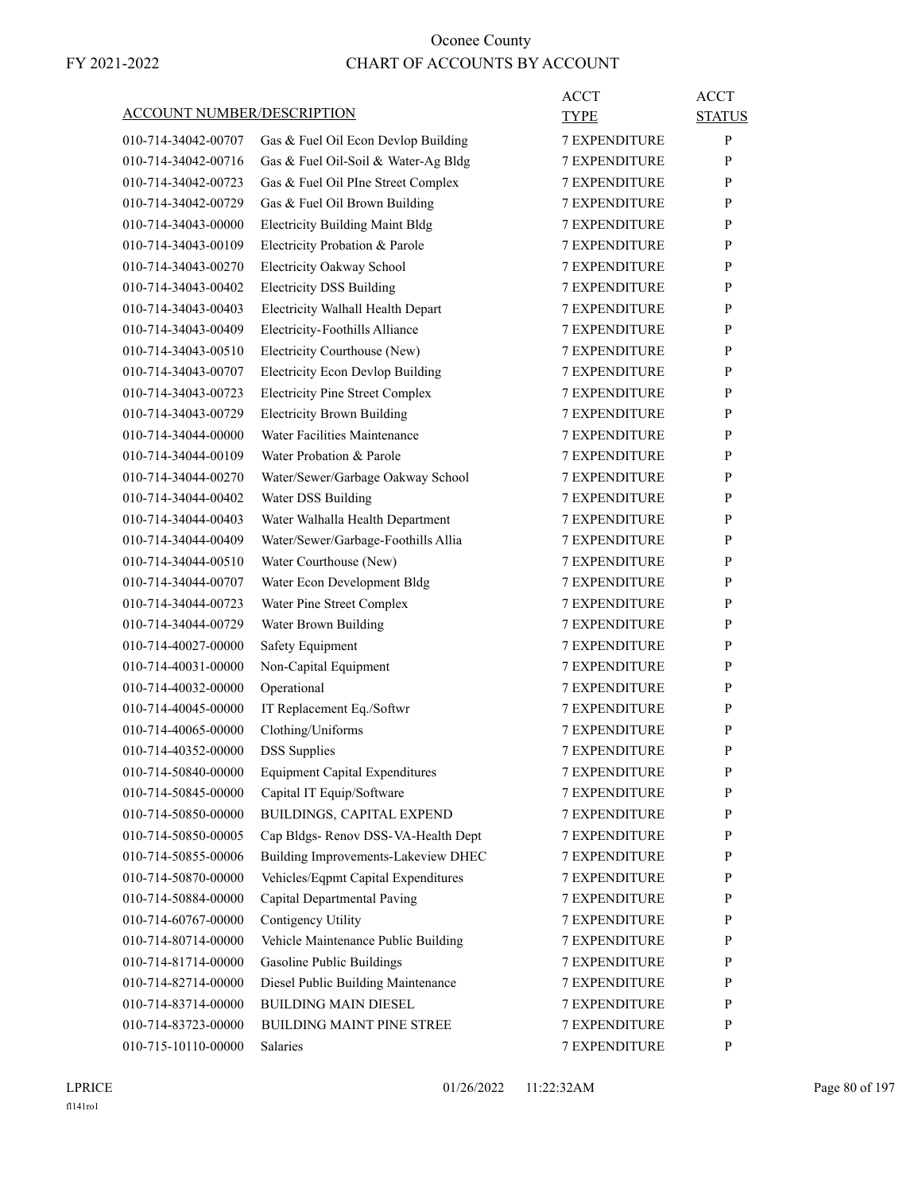|                                   |                                         | <b>ACCT</b>          | <b>ACCT</b>   |
|-----------------------------------|-----------------------------------------|----------------------|---------------|
| <b>ACCOUNT NUMBER/DESCRIPTION</b> |                                         | <b>TYPE</b>          | <b>STATUS</b> |
| 010-714-34042-00707               | Gas & Fuel Oil Econ Devlop Building     | <b>7 EXPENDITURE</b> | $\mathbf{P}$  |
| 010-714-34042-00716               | Gas & Fuel Oil-Soil & Water-Ag Bldg     | <b>7 EXPENDITURE</b> | P             |
| 010-714-34042-00723               | Gas & Fuel Oil PIne Street Complex      | <b>7 EXPENDITURE</b> | P             |
| 010-714-34042-00729               | Gas & Fuel Oil Brown Building           | 7 EXPENDITURE        | P             |
| 010-714-34043-00000               | <b>Electricity Building Maint Bldg</b>  | <b>7 EXPENDITURE</b> | P             |
| 010-714-34043-00109               | Electricity Probation & Parole          | <b>7 EXPENDITURE</b> | P             |
| 010-714-34043-00270               | Electricity Oakway School               | <b>7 EXPENDITURE</b> | P             |
| 010-714-34043-00402               | <b>Electricity DSS Building</b>         | <b>7 EXPENDITURE</b> | P             |
| 010-714-34043-00403               | Electricity Walhall Health Depart       | <b>7 EXPENDITURE</b> | P             |
| 010-714-34043-00409               | Electricity-Foothills Alliance          | <b>7 EXPENDITURE</b> | P             |
| 010-714-34043-00510               | Electricity Courthouse (New)            | <b>7 EXPENDITURE</b> | P             |
| 010-714-34043-00707               | <b>Electricity Econ Devlop Building</b> | <b>7 EXPENDITURE</b> | P             |
| 010-714-34043-00723               | <b>Electricity Pine Street Complex</b>  | <b>7 EXPENDITURE</b> | P             |
| 010-714-34043-00729               | <b>Electricity Brown Building</b>       | <b>7 EXPENDITURE</b> | P             |
| 010-714-34044-00000               | Water Facilities Maintenance            | <b>7 EXPENDITURE</b> | P             |
| 010-714-34044-00109               | Water Probation & Parole                | <b>7 EXPENDITURE</b> | P             |
| 010-714-34044-00270               | Water/Sewer/Garbage Oakway School       | <b>7 EXPENDITURE</b> | P             |
| 010-714-34044-00402               | Water DSS Building                      | <b>7 EXPENDITURE</b> | P             |
| 010-714-34044-00403               | Water Walhalla Health Department        | <b>7 EXPENDITURE</b> | P             |
| 010-714-34044-00409               | Water/Sewer/Garbage-Foothills Allia     | <b>7 EXPENDITURE</b> | P             |
| 010-714-34044-00510               | Water Courthouse (New)                  | <b>7 EXPENDITURE</b> | P             |
| 010-714-34044-00707               | Water Econ Development Bldg             | 7 EXPENDITURE        | P             |
| 010-714-34044-00723               | Water Pine Street Complex               | <b>7 EXPENDITURE</b> | P             |
| 010-714-34044-00729               | Water Brown Building                    | <b>7 EXPENDITURE</b> | P             |
| 010-714-40027-00000               | Safety Equipment                        | <b>7 EXPENDITURE</b> | P             |
| 010-714-40031-00000               | Non-Capital Equipment                   | <b>7 EXPENDITURE</b> | P             |
| 010-714-40032-00000               | Operational                             | <b>7 EXPENDITURE</b> | P             |
| 010-714-40045-00000               | IT Replacement Eq./Softwr               | 7 EXPENDITURE        | P             |
| 010-714-40065-00000               | Clothing/Uniforms                       | <b>7 EXPENDITURE</b> | P             |
| 010-714-40352-00000               | <b>DSS</b> Supplies                     | <b>7 EXPENDITURE</b> | P             |
| 010-714-50840-00000               | <b>Equipment Capital Expenditures</b>   | 7 EXPENDITURE        | ${\bf P}$     |
| 010-714-50845-00000               | Capital IT Equip/Software               | <b>7 EXPENDITURE</b> | P             |
| 010-714-50850-00000               | BUILDINGS, CAPITAL EXPEND               | <b>7 EXPENDITURE</b> | P             |
| 010-714-50850-00005               | Cap Bldgs- Renov DSS-VA-Health Dept     | 7 EXPENDITURE        | P             |
| 010-714-50855-00006               | Building Improvements-Lakeview DHEC     | 7 EXPENDITURE        | P             |
| 010-714-50870-00000               | Vehicles/Eqpmt Capital Expenditures     | 7 EXPENDITURE        | P             |
| 010-714-50884-00000               | Capital Departmental Paving             | 7 EXPENDITURE        | P             |
| 010-714-60767-00000               | Contigency Utility                      | <b>7 EXPENDITURE</b> | P             |
| 010-714-80714-00000               | Vehicle Maintenance Public Building     | <b>7 EXPENDITURE</b> | P             |
| 010-714-81714-00000               | Gasoline Public Buildings               | 7 EXPENDITURE        | P             |
| 010-714-82714-00000               | Diesel Public Building Maintenance      | 7 EXPENDITURE        | P             |
| 010-714-83714-00000               | <b>BUILDING MAIN DIESEL</b>             | 7 EXPENDITURE        | P             |
| 010-714-83723-00000               | BUILDING MAINT PINE STREE               | 7 EXPENDITURE        | P             |
| 010-715-10110-00000               | Salaries                                | 7 EXPENDITURE        | P             |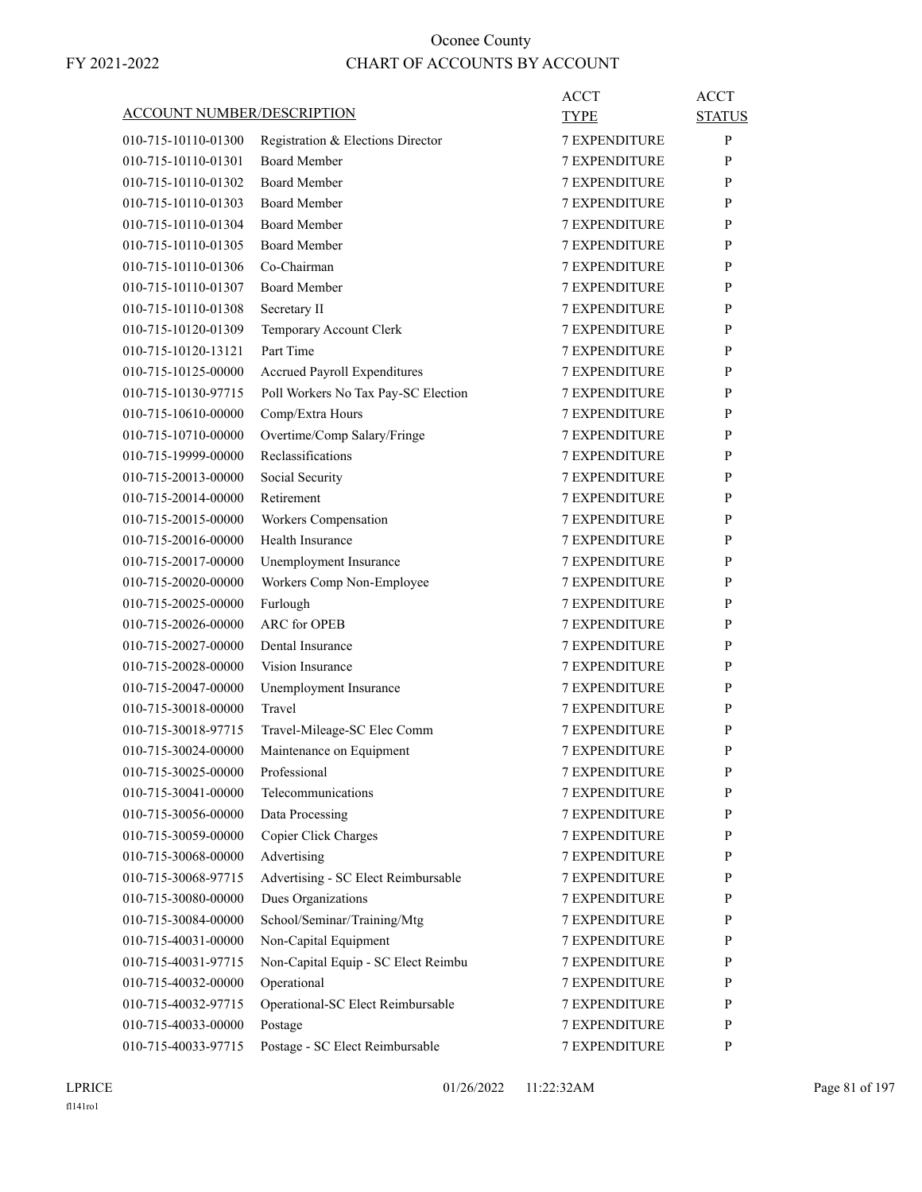| <b>ACCOUNT NUMBER/DESCRIPTION</b> |                                     | ACCT<br><b>TYPE</b>  | ACCT<br><b>STATUS</b> |
|-----------------------------------|-------------------------------------|----------------------|-----------------------|
| 010-715-10110-01300               | Registration & Elections Director   | <b>7 EXPENDITURE</b> | P                     |
| 010-715-10110-01301               | <b>Board Member</b>                 | <b>7 EXPENDITURE</b> | P                     |
| 010-715-10110-01302               | <b>Board Member</b>                 | <b>7 EXPENDITURE</b> | P                     |
| 010-715-10110-01303               | <b>Board Member</b>                 | <b>7 EXPENDITURE</b> | P                     |
| 010-715-10110-01304               | <b>Board Member</b>                 | <b>7 EXPENDITURE</b> | P                     |
| 010-715-10110-01305               | <b>Board Member</b>                 | <b>7 EXPENDITURE</b> | P                     |
| 010-715-10110-01306               | Co-Chairman                         | <b>7 EXPENDITURE</b> | P                     |
| 010-715-10110-01307               | <b>Board Member</b>                 |                      |                       |
|                                   |                                     | 7 EXPENDITURE        | P                     |
| 010-715-10110-01308               | Secretary II                        | <b>7 EXPENDITURE</b> | P                     |
| 010-715-10120-01309               | Temporary Account Clerk             | <b>7 EXPENDITURE</b> | P                     |
| 010-715-10120-13121               | Part Time                           | <b>7 EXPENDITURE</b> | P                     |
| 010-715-10125-00000               | Accrued Payroll Expenditures        | <b>7 EXPENDITURE</b> | P                     |
| 010-715-10130-97715               | Poll Workers No Tax Pay-SC Election | <b>7 EXPENDITURE</b> | P                     |
| 010-715-10610-00000               | Comp/Extra Hours                    | 7 EXPENDITURE        | P                     |
| 010-715-10710-00000               | Overtime/Comp Salary/Fringe         | <b>7 EXPENDITURE</b> | P                     |
| 010-715-19999-00000               | Reclassifications                   | <b>7 EXPENDITURE</b> | P                     |
| 010-715-20013-00000               | Social Security                     | <b>7 EXPENDITURE</b> | P                     |
| 010-715-20014-00000               | Retirement                          | <b>7 EXPENDITURE</b> | P                     |
| 010-715-20015-00000               | Workers Compensation                | <b>7 EXPENDITURE</b> | P                     |
| 010-715-20016-00000               | Health Insurance                    | 7 EXPENDITURE        | P                     |
| 010-715-20017-00000               | Unemployment Insurance              | <b>7 EXPENDITURE</b> | P                     |
| 010-715-20020-00000               | Workers Comp Non-Employee           | <b>7 EXPENDITURE</b> | P                     |
| 010-715-20025-00000               | Furlough                            | <b>7 EXPENDITURE</b> | P                     |
| 010-715-20026-00000               | <b>ARC</b> for OPEB                 | <b>7 EXPENDITURE</b> | P                     |
| 010-715-20027-00000               | Dental Insurance                    | <b>7 EXPENDITURE</b> | P                     |
| 010-715-20028-00000               | Vision Insurance                    | 7 EXPENDITURE        | P                     |
| 010-715-20047-00000               | Unemployment Insurance              | <b>7 EXPENDITURE</b> | P                     |
| 010-715-30018-00000               | Travel                              | <b>7 EXPENDITURE</b> | P                     |
| 010-715-30018-97715               | Travel-Mileage-SC Elec Comm         | <b>7 EXPENDITURE</b> | P                     |
| 010-715-30024-00000               | Maintenance on Equipment            | <b>7 EXPENDITURE</b> | P                     |
| 010-715-30025-00000               | Professional                        | 7 EXPENDITURE        | P                     |
| 010-715-30041-00000               | Telecommunications                  | <b>7 EXPENDITURE</b> | P                     |
| 010-715-30056-00000               | Data Processing                     | 7 EXPENDITURE        | P                     |
| 010-715-30059-00000               | Copier Click Charges                | 7 EXPENDITURE        | P                     |
| 010-715-30068-00000               | Advertising                         | 7 EXPENDITURE        | P                     |
| 010-715-30068-97715               | Advertising - SC Elect Reimbursable | <b>7 EXPENDITURE</b> | P                     |
| 010-715-30080-00000               | Dues Organizations                  | <b>7 EXPENDITURE</b> | P                     |
| 010-715-30084-00000               | School/Seminar/Training/Mtg         | <b>7 EXPENDITURE</b> | P                     |
| 010-715-40031-00000               | Non-Capital Equipment               | 7 EXPENDITURE        | P                     |
| 010-715-40031-97715               | Non-Capital Equip - SC Elect Reimbu | 7 EXPENDITURE        | P                     |
| 010-715-40032-00000               | Operational                         | 7 EXPENDITURE        | P                     |
| 010-715-40032-97715               | Operational-SC Elect Reimbursable   | <b>7 EXPENDITURE</b> | P                     |
| 010-715-40033-00000               | Postage                             | <b>7 EXPENDITURE</b> | P                     |
| 010-715-40033-97715               | Postage - SC Elect Reimbursable     | 7 EXPENDITURE        | P                     |
|                                   |                                     |                      |                       |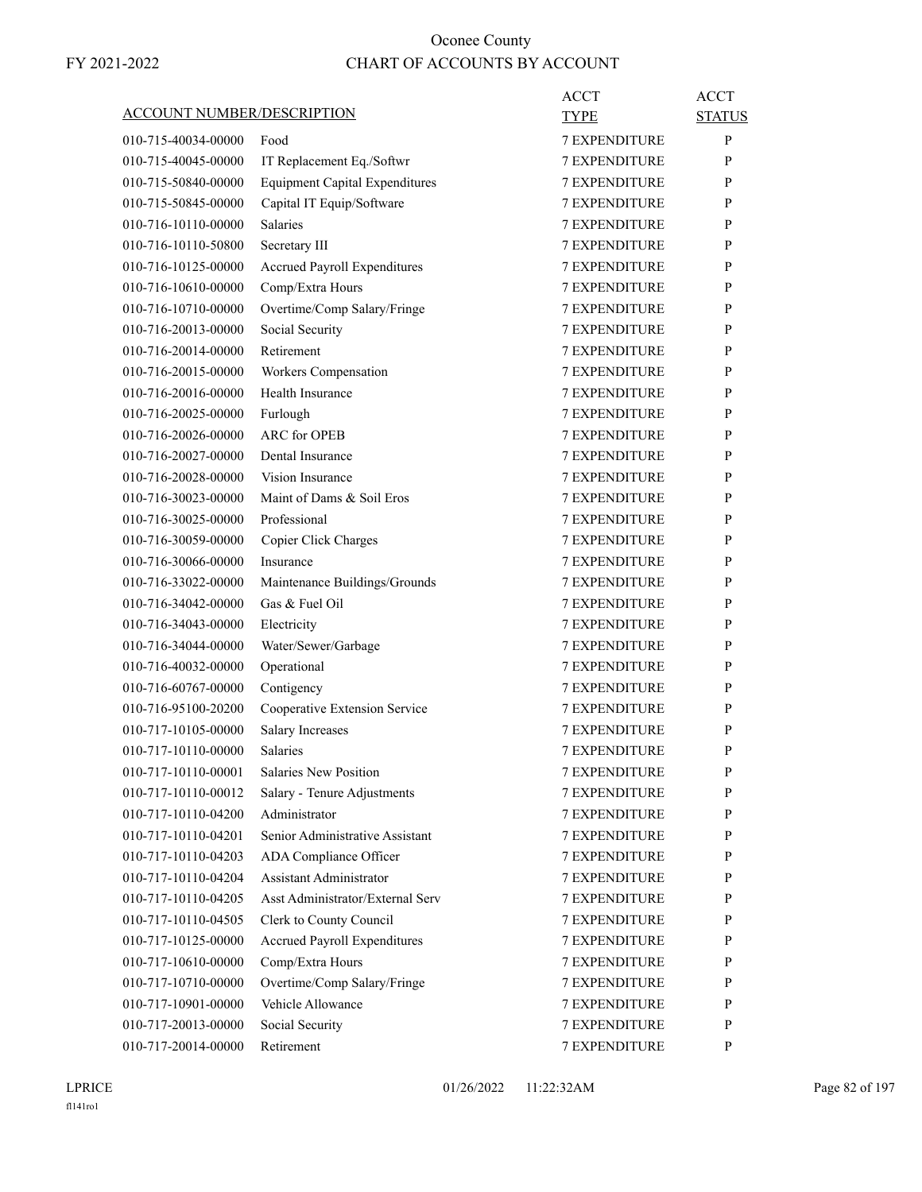|                                   |                                            | ACCT                 | ACCT          |
|-----------------------------------|--------------------------------------------|----------------------|---------------|
| <b>ACCOUNT NUMBER/DESCRIPTION</b> |                                            | <b>TYPE</b>          | <b>STATUS</b> |
| 010-715-40034-00000               | Food                                       | <b>7 EXPENDITURE</b> | P             |
| 010-715-40045-00000               | IT Replacement Eq./Softwr                  | <b>7 EXPENDITURE</b> | P             |
| 010-715-50840-00000               | <b>Equipment Capital Expenditures</b>      | <b>7 EXPENDITURE</b> | P             |
| 010-715-50845-00000               | Capital IT Equip/Software                  | 7 EXPENDITURE        | P             |
| 010-716-10110-00000               | <b>Salaries</b>                            | <b>7 EXPENDITURE</b> | P             |
| 010-716-10110-50800               | Secretary III                              | <b>7 EXPENDITURE</b> | P             |
| 010-716-10125-00000               | Accrued Payroll Expenditures               | <b>7 EXPENDITURE</b> | P             |
| 010-716-10610-00000               | Comp/Extra Hours                           | <b>7 EXPENDITURE</b> | P             |
| 010-716-10710-00000               | Overtime/Comp Salary/Fringe                | <b>7 EXPENDITURE</b> | P             |
| 010-716-20013-00000               | Social Security                            | <b>7 EXPENDITURE</b> | P             |
| 010-716-20014-00000               | Retirement                                 | <b>7 EXPENDITURE</b> | P             |
| 010-716-20015-00000               | Workers Compensation                       | <b>7 EXPENDITURE</b> | P             |
| 010-716-20016-00000               | Health Insurance                           | <b>7 EXPENDITURE</b> | P             |
| 010-716-20025-00000               | Furlough                                   | <b>7 EXPENDITURE</b> | P             |
| 010-716-20026-00000               | <b>ARC</b> for OPEB                        | <b>7 EXPENDITURE</b> | P             |
| 010-716-20027-00000               | Dental Insurance                           | <b>7 EXPENDITURE</b> | P             |
| 010-716-20028-00000               | Vision Insurance                           | <b>7 EXPENDITURE</b> | P             |
| 010-716-30023-00000               | Maint of Dams & Soil Eros                  | <b>7 EXPENDITURE</b> | P             |
| 010-716-30025-00000               | Professional                               | <b>7 EXPENDITURE</b> | P             |
| 010-716-30059-00000               | Copier Click Charges                       | <b>7 EXPENDITURE</b> | P             |
| 010-716-30066-00000               | Insurance                                  | <b>7 EXPENDITURE</b> | P             |
| 010-716-33022-00000               | Maintenance Buildings/Grounds              | 7 EXPENDITURE        | P             |
| 010-716-34042-00000               | Gas & Fuel Oil                             | <b>7 EXPENDITURE</b> | P             |
| 010-716-34043-00000               | Electricity                                | <b>7 EXPENDITURE</b> | P             |
| 010-716-34044-00000               | Water/Sewer/Garbage                        | <b>7 EXPENDITURE</b> | P             |
| 010-716-40032-00000               | Operational                                | <b>7 EXPENDITURE</b> | P             |
| 010-716-60767-00000               | Contigency                                 | <b>7 EXPENDITURE</b> | P             |
| 010-716-95100-20200               | Cooperative Extension Service              | 7 EXPENDITURE        | P             |
| 010-717-10105-00000               |                                            | <b>7 EXPENDITURE</b> | P             |
|                                   | <b>Salary Increases</b><br><b>Salaries</b> |                      | P             |
| 010-717-10110-00000               | Salaries New Position                      | <b>7 EXPENDITURE</b> |               |
| 010-717-10110-00001               |                                            | 7 EXPENDITURE        | ${\bf P}$     |
| 010-717-10110-00012               | Salary - Tenure Adjustments                | <b>7 EXPENDITURE</b> | P             |
| 010-717-10110-04200               | Administrator                              | <b>7 EXPENDITURE</b> | P             |
| 010-717-10110-04201               | Senior Administrative Assistant            | 7 EXPENDITURE        | P             |
| 010-717-10110-04203               | ADA Compliance Officer                     | <b>7 EXPENDITURE</b> | P             |
| 010-717-10110-04204               | <b>Assistant Administrator</b>             | <b>7 EXPENDITURE</b> | P             |
| 010-717-10110-04205               | Asst Administrator/External Serv           | 7 EXPENDITURE        | P             |
| 010-717-10110-04505               | Clerk to County Council                    | <b>7 EXPENDITURE</b> | P             |
| 010-717-10125-00000               | <b>Accrued Payroll Expenditures</b>        | <b>7 EXPENDITURE</b> | P             |
| 010-717-10610-00000               | Comp/Extra Hours                           | 7 EXPENDITURE        | P             |
| 010-717-10710-00000               | Overtime/Comp Salary/Fringe                | <b>7 EXPENDITURE</b> | P             |
| 010-717-10901-00000               | Vehicle Allowance                          | <b>7 EXPENDITURE</b> | P             |
| 010-717-20013-00000               | Social Security                            | 7 EXPENDITURE        | P             |
| 010-717-20014-00000               | Retirement                                 | 7 EXPENDITURE        | P             |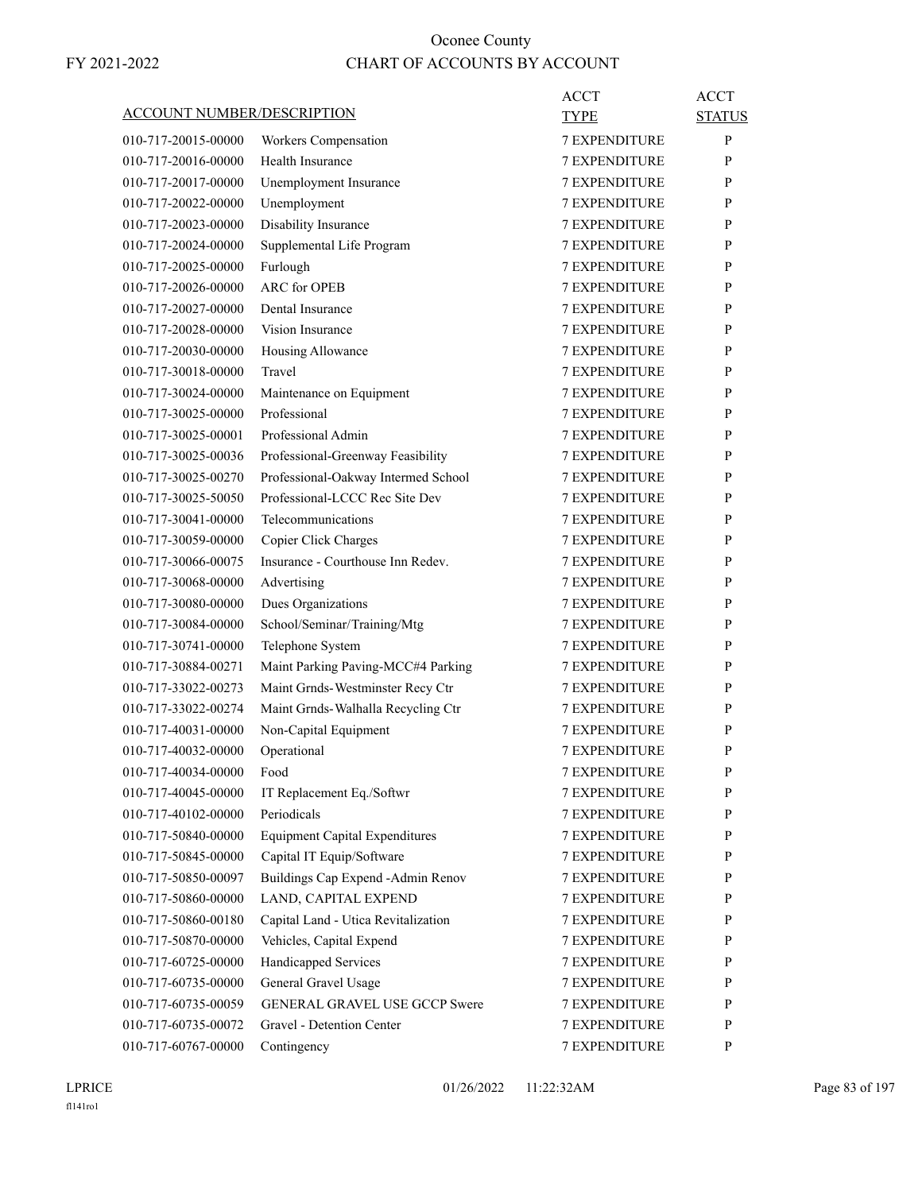| <u>ACCOUNT NUMBER/DESCRIPTION</u> |                                          | ACCT<br><b>TYPE</b>                   | <b>ACCT</b><br><b>STATUS</b> |
|-----------------------------------|------------------------------------------|---------------------------------------|------------------------------|
| 010-717-20015-00000               | Workers Compensation                     | <b>7 EXPENDITURE</b>                  | P                            |
| 010-717-20016-00000               | Health Insurance                         | <b>7 EXPENDITURE</b>                  | P                            |
| 010-717-20017-00000               | Unemployment Insurance                   | <b>7 EXPENDITURE</b>                  | P                            |
| 010-717-20022-00000               | Unemployment                             | <b>7 EXPENDITURE</b>                  | P                            |
| 010-717-20023-00000               | Disability Insurance                     | <b>7 EXPENDITURE</b>                  | P                            |
| 010-717-20024-00000               |                                          | <b>7 EXPENDITURE</b>                  | P                            |
| 010-717-20025-00000               | Supplemental Life Program<br>Furlough    | <b>7 EXPENDITURE</b>                  | P                            |
| 010-717-20026-00000               | <b>ARC</b> for OPEB                      | <b>7 EXPENDITURE</b>                  | P                            |
| 010-717-20027-00000               | Dental Insurance                         | <b>7 EXPENDITURE</b>                  | P                            |
| 010-717-20028-00000               | Vision Insurance                         | <b>7 EXPENDITURE</b>                  | P                            |
| 010-717-20030-00000               |                                          | <b>7 EXPENDITURE</b>                  | P                            |
|                                   | Housing Allowance<br>Travel              |                                       |                              |
| 010-717-30018-00000               |                                          | <b>7 EXPENDITURE</b>                  | P<br>P                       |
| 010-717-30024-00000               | Maintenance on Equipment<br>Professional | <b>7 EXPENDITURE</b><br>7 EXPENDITURE |                              |
| 010-717-30025-00000               |                                          |                                       | P                            |
| 010-717-30025-00001               | Professional Admin                       | <b>7 EXPENDITURE</b>                  | P                            |
| 010-717-30025-00036               | Professional-Greenway Feasibility        | <b>7 EXPENDITURE</b>                  | P                            |
| 010-717-30025-00270               | Professional-Oakway Intermed School      | <b>7 EXPENDITURE</b>                  | P                            |
| 010-717-30025-50050               | Professional-LCCC Rec Site Dev           | <b>7 EXPENDITURE</b>                  | P                            |
| 010-717-30041-00000               | Telecommunications                       | <b>7 EXPENDITURE</b>                  | P                            |
| 010-717-30059-00000               | Copier Click Charges                     | 7 EXPENDITURE                         | P                            |
| 010-717-30066-00075               | Insurance - Courthouse Inn Redev.        | <b>7 EXPENDITURE</b>                  | P                            |
| 010-717-30068-00000               | Advertising                              | <b>7 EXPENDITURE</b>                  | P                            |
| 010-717-30080-00000               | Dues Organizations                       | <b>7 EXPENDITURE</b>                  | P                            |
| 010-717-30084-00000               | School/Seminar/Training/Mtg              | <b>7 EXPENDITURE</b>                  | P                            |
| 010-717-30741-00000               | Telephone System                         | <b>7 EXPENDITURE</b>                  | P                            |
| 010-717-30884-00271               | Maint Parking Paving-MCC#4 Parking       | 7 EXPENDITURE                         | P                            |
| 010-717-33022-00273               | Maint Grnds-Westminster Recy Ctr         | <b>7 EXPENDITURE</b>                  | P                            |
| 010-717-33022-00274               | Maint Grnds-Walhalla Recycling Ctr       | <b>7 EXPENDITURE</b>                  | P                            |
| 010-717-40031-00000               | Non-Capital Equipment                    | <b>7 EXPENDITURE</b>                  | P                            |
| 010-717-40032-00000               | Operational                              | <b>7 EXPENDITURE</b>                  | P                            |
| 010-717-40034-00000               | Food                                     | 7 EXPENDITURE                         | P                            |
| 010-717-40045-00000               | IT Replacement Eq./Softwr                | 7 EXPENDITURE                         | P                            |
| 010-717-40102-00000               | Periodicals                              | 7 EXPENDITURE                         | P                            |
| 010-717-50840-00000               | <b>Equipment Capital Expenditures</b>    | 7 EXPENDITURE                         | P                            |
| 010-717-50845-00000               | Capital IT Equip/Software                | 7 EXPENDITURE                         | P                            |
| 010-717-50850-00097               | Buildings Cap Expend - Admin Renov       | <b>7 EXPENDITURE</b>                  | P                            |
| 010-717-50860-00000               | LAND, CAPITAL EXPEND                     | <b>7 EXPENDITURE</b>                  | P                            |
| 010-717-50860-00180               | Capital Land - Utica Revitalization      | 7 EXPENDITURE                         | P                            |
| 010-717-50870-00000               | Vehicles, Capital Expend                 | 7 EXPENDITURE                         | P                            |
| 010-717-60725-00000               | Handicapped Services                     | 7 EXPENDITURE                         | P                            |
| 010-717-60735-00000               | General Gravel Usage                     | 7 EXPENDITURE                         | P                            |
| 010-717-60735-00059               | GENERAL GRAVEL USE GCCP Swere            | <b>7 EXPENDITURE</b>                  | P                            |
| 010-717-60735-00072               | Gravel - Detention Center                | 7 EXPENDITURE                         | P                            |
| 010-717-60767-00000               | Contingency                              | 7 EXPENDITURE                         | P                            |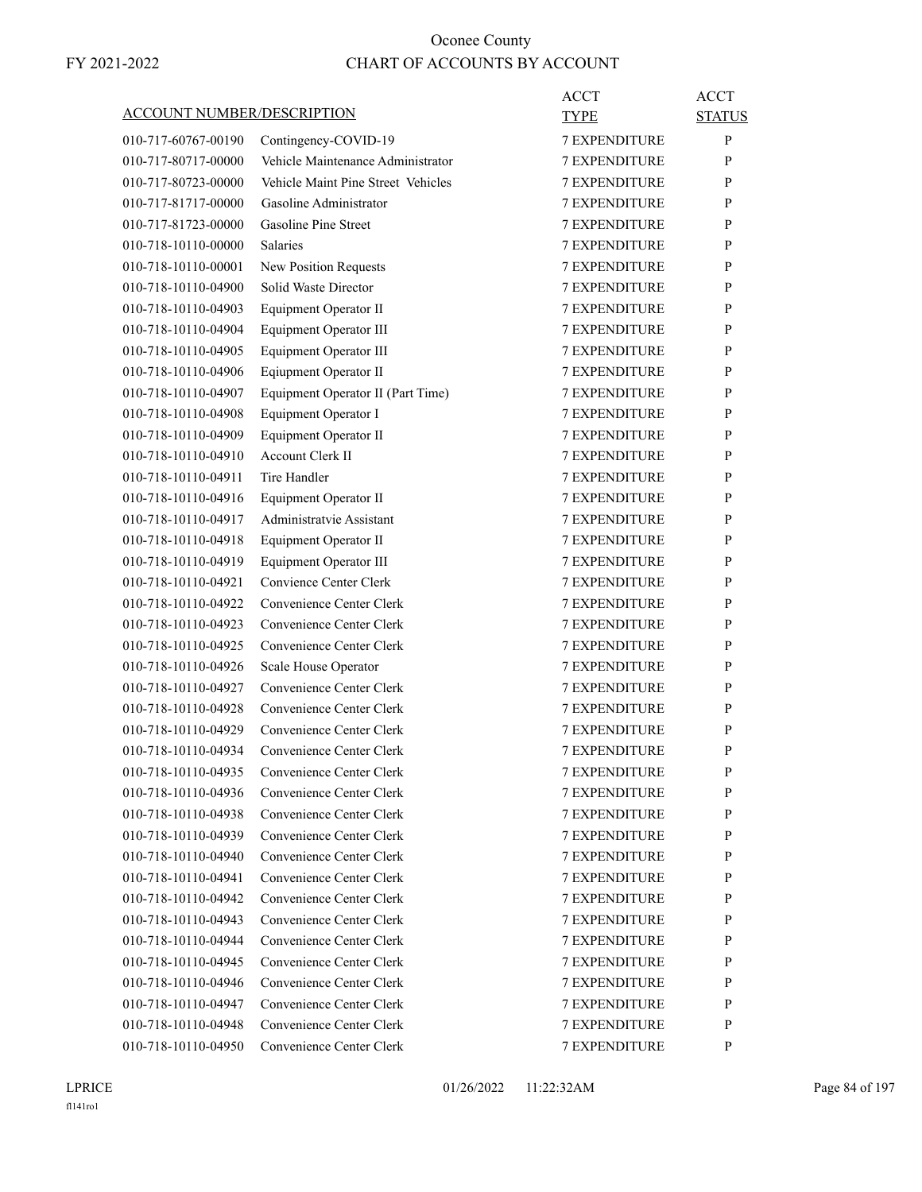| <b>ACCOUNT NUMBER/DESCRIPTION</b> |                                    | ACCT<br>TYPE         | ACCT<br><b>STATUS</b> |
|-----------------------------------|------------------------------------|----------------------|-----------------------|
| 010-717-60767-00190               | Contingency-COVID-19               | <b>7 EXPENDITURE</b> | P                     |
| 010-717-80717-00000               | Vehicle Maintenance Administrator  | 7 EXPENDITURE        | P                     |
| 010-717-80723-00000               | Vehicle Maint Pine Street Vehicles | <b>7 EXPENDITURE</b> | P                     |
| 010-717-81717-00000               | Gasoline Administrator             | <b>7 EXPENDITURE</b> | P                     |
| 010-717-81723-00000               | Gasoline Pine Street               | <b>7 EXPENDITURE</b> | P                     |
| 010-718-10110-00000               | <b>Salaries</b>                    | <b>7 EXPENDITURE</b> | P                     |
| 010-718-10110-00001               | New Position Requests              | <b>7 EXPENDITURE</b> | P                     |
| 010-718-10110-04900               | Solid Waste Director               | 7 EXPENDITURE        | P                     |
| 010-718-10110-04903               | Equipment Operator II              | <b>7 EXPENDITURE</b> | P                     |
| 010-718-10110-04904               | Equipment Operator III             | <b>7 EXPENDITURE</b> | P                     |
| 010-718-10110-04905               | Equipment Operator III             | <b>7 EXPENDITURE</b> | P                     |
| 010-718-10110-04906               | Eqiupment Operator II              | <b>7 EXPENDITURE</b> | P                     |
| 010-718-10110-04907               | Equipment Operator II (Part Time)  | <b>7 EXPENDITURE</b> | P                     |
| 010-718-10110-04908               | Equipment Operator I               | 7 EXPENDITURE        | P                     |
| 010-718-10110-04909               | Equipment Operator II              | <b>7 EXPENDITURE</b> | P                     |
| 010-718-10110-04910               | <b>Account Clerk II</b>            | <b>7 EXPENDITURE</b> | P                     |
| 010-718-10110-04911               | Tire Handler                       | <b>7 EXPENDITURE</b> | P                     |
| 010-718-10110-04916               | Equipment Operator II              | <b>7 EXPENDITURE</b> | P                     |
| 010-718-10110-04917               | Administratvie Assistant           | <b>7 EXPENDITURE</b> | P                     |
| 010-718-10110-04918               | Equipment Operator II              | 7 EXPENDITURE        | P                     |
| 010-718-10110-04919               | Equipment Operator III             | <b>7 EXPENDITURE</b> | P                     |
| 010-718-10110-04921               | Convience Center Clerk             | <b>7 EXPENDITURE</b> | P                     |
| 010-718-10110-04922               | Convenience Center Clerk           | <b>7 EXPENDITURE</b> | P                     |
| 010-718-10110-04923               | Convenience Center Clerk           | <b>7 EXPENDITURE</b> | P                     |
| 010-718-10110-04925               | Convenience Center Clerk           | <b>7 EXPENDITURE</b> | P                     |
| 010-718-10110-04926               | Scale House Operator               | 7 EXPENDITURE        | P                     |
| 010-718-10110-04927               | Convenience Center Clerk           | <b>7 EXPENDITURE</b> | P                     |
| 010-718-10110-04928               | Convenience Center Clerk           | <b>7 EXPENDITURE</b> | P                     |
| 010-718-10110-04929               | Convenience Center Clerk           | <b>7 EXPENDITURE</b> | P                     |
| 010-718-10110-04934               | Convenience Center Clerk           | <b>7 EXPENDITURE</b> | P                     |
| 010-718-10110-04935               | Convenience Center Clerk           | 7 EXPENDITURE        | P                     |
| 010-718-10110-04936               | Convenience Center Clerk           | <b>7 EXPENDITURE</b> | P                     |
| 010-718-10110-04938               | Convenience Center Clerk           | 7 EXPENDITURE        | P                     |
| 010-718-10110-04939               | Convenience Center Clerk           | 7 EXPENDITURE        | P                     |
| 010-718-10110-04940               | Convenience Center Clerk           | 7 EXPENDITURE        | P                     |
| 010-718-10110-04941               | Convenience Center Clerk           | 7 EXPENDITURE        | P                     |
| 010-718-10110-04942               | Convenience Center Clerk           | 7 EXPENDITURE        | P                     |
|                                   |                                    |                      |                       |
| 010-718-10110-04943               | Convenience Center Clerk           | <b>7 EXPENDITURE</b> | P                     |
| 010-718-10110-04944               | Convenience Center Clerk           | 7 EXPENDITURE        | P                     |
| 010-718-10110-04945               | Convenience Center Clerk           | 7 EXPENDITURE        | P                     |
| 010-718-10110-04946               | Convenience Center Clerk           | 7 EXPENDITURE        | P                     |
| 010-718-10110-04947               | Convenience Center Clerk           | 7 EXPENDITURE        | P                     |
| 010-718-10110-04948               | Convenience Center Clerk           | 7 EXPENDITURE        | P                     |
| 010-718-10110-04950               | Convenience Center Clerk           | 7 EXPENDITURE        | P                     |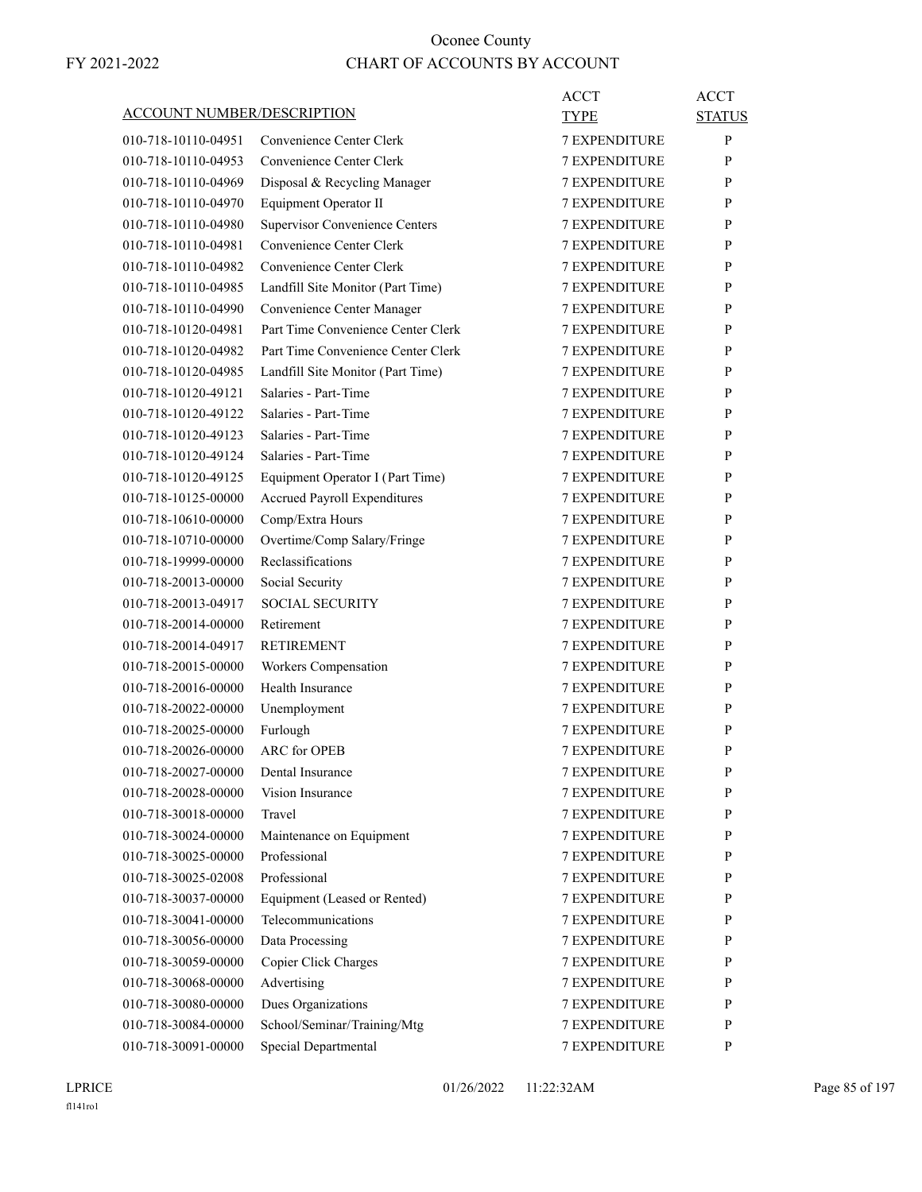| ACCOUNT NUMBER/DESCRIPTION |                                                                  | ACCT<br>TYPE         | ACCT<br><b>STATUS</b> |
|----------------------------|------------------------------------------------------------------|----------------------|-----------------------|
| 010-718-10110-04951        | Convenience Center Clerk                                         | <b>7 EXPENDITURE</b> | P                     |
| 010-718-10110-04953        | Convenience Center Clerk                                         | <b>7 EXPENDITURE</b> | P                     |
| 010-718-10110-04969        | Disposal & Recycling Manager                                     | <b>7 EXPENDITURE</b> | P                     |
| 010-718-10110-04970        | Equipment Operator II                                            | <b>7 EXPENDITURE</b> | P                     |
| 010-718-10110-04980        | <b>Supervisor Convenience Centers</b>                            | <b>7 EXPENDITURE</b> | P                     |
| 010-718-10110-04981        | Convenience Center Clerk                                         | <b>7 EXPENDITURE</b> | P                     |
| 010-718-10110-04982        | Convenience Center Clerk                                         | <b>7 EXPENDITURE</b> | P                     |
| 010-718-10110-04985        | Landfill Site Monitor (Part Time)                                | <b>7 EXPENDITURE</b> | P                     |
| 010-718-10110-04990        |                                                                  | <b>7 EXPENDITURE</b> | P                     |
| 010-718-10120-04981        | Convenience Center Manager<br>Part Time Convenience Center Clerk | <b>7 EXPENDITURE</b> | P                     |
|                            | Part Time Convenience Center Clerk                               | <b>7 EXPENDITURE</b> |                       |
| 010-718-10120-04982        |                                                                  |                      | P                     |
| 010-718-10120-04985        | Landfill Site Monitor (Part Time)                                | <b>7 EXPENDITURE</b> | P                     |
| 010-718-10120-49121        | Salaries - Part-Time                                             | <b>7 EXPENDITURE</b> | P                     |
| 010-718-10120-49122        | Salaries - Part-Time                                             | <b>7 EXPENDITURE</b> | P                     |
| 010-718-10120-49123        | Salaries - Part-Time                                             | <b>7 EXPENDITURE</b> | P                     |
| 010-718-10120-49124        | Salaries - Part-Time                                             | <b>7 EXPENDITURE</b> | P                     |
| 010-718-10120-49125        | Equipment Operator I (Part Time)                                 | <b>7 EXPENDITURE</b> | P                     |
| 010-718-10125-00000        | Accrued Payroll Expenditures                                     | <b>7 EXPENDITURE</b> | P                     |
| 010-718-10610-00000        | Comp/Extra Hours                                                 | <b>7 EXPENDITURE</b> | P                     |
| 010-718-10710-00000        | Overtime/Comp Salary/Fringe                                      | <b>7 EXPENDITURE</b> | P                     |
| 010-718-19999-00000        | Reclassifications                                                | <b>7 EXPENDITURE</b> | P                     |
| 010-718-20013-00000        | Social Security                                                  | <b>7 EXPENDITURE</b> | P                     |
| 010-718-20013-04917        | <b>SOCIAL SECURITY</b>                                           | <b>7 EXPENDITURE</b> | P                     |
| 010-718-20014-00000        | Retirement                                                       | <b>7 EXPENDITURE</b> | P                     |
| 010-718-20014-04917        | <b>RETIREMENT</b>                                                | <b>7 EXPENDITURE</b> | P                     |
| 010-718-20015-00000        | Workers Compensation                                             | 7 EXPENDITURE        | P                     |
| 010-718-20016-00000        | Health Insurance                                                 | <b>7 EXPENDITURE</b> | P                     |
| 010-718-20022-00000        | Unemployment                                                     | <b>7 EXPENDITURE</b> | P                     |
| 010-718-20025-00000        | Furlough                                                         | <b>7 EXPENDITURE</b> | P                     |
| 010-718-20026-00000        | <b>ARC</b> for OPEB                                              | <b>7 EXPENDITURE</b> | P                     |
| 010-718-20027-00000        | Dental Insurance                                                 | <b>7 EXPENDITURE</b> | P                     |
| 010-718-20028-00000        | Vision Insurance                                                 | 7 EXPENDITURE        | P                     |
| 010-718-30018-00000        | Travel                                                           | 7 EXPENDITURE        | P                     |
| 010-718-30024-00000        | Maintenance on Equipment                                         | 7 EXPENDITURE        | P                     |
| 010-718-30025-00000        | Professional                                                     | 7 EXPENDITURE        | P                     |
| 010-718-30025-02008        | Professional                                                     | <b>7 EXPENDITURE</b> | P                     |
| 010-718-30037-00000        | Equipment (Leased or Rented)                                     | <b>7 EXPENDITURE</b> | P                     |
| 010-718-30041-00000        | Telecommunications                                               | 7 EXPENDITURE        | P                     |
| 010-718-30056-00000        | Data Processing                                                  | 7 EXPENDITURE        | P                     |
| 010-718-30059-00000        | Copier Click Charges                                             | 7 EXPENDITURE        | P                     |
| 010-718-30068-00000        | Advertising                                                      | 7 EXPENDITURE        | P                     |
| 010-718-30080-00000        | Dues Organizations                                               | <b>7 EXPENDITURE</b> | P                     |
| 010-718-30084-00000        | School/Seminar/Training/Mtg                                      | 7 EXPENDITURE        | P                     |
|                            |                                                                  |                      |                       |
| 010-718-30091-00000        | Special Departmental                                             | 7 EXPENDITURE        | P                     |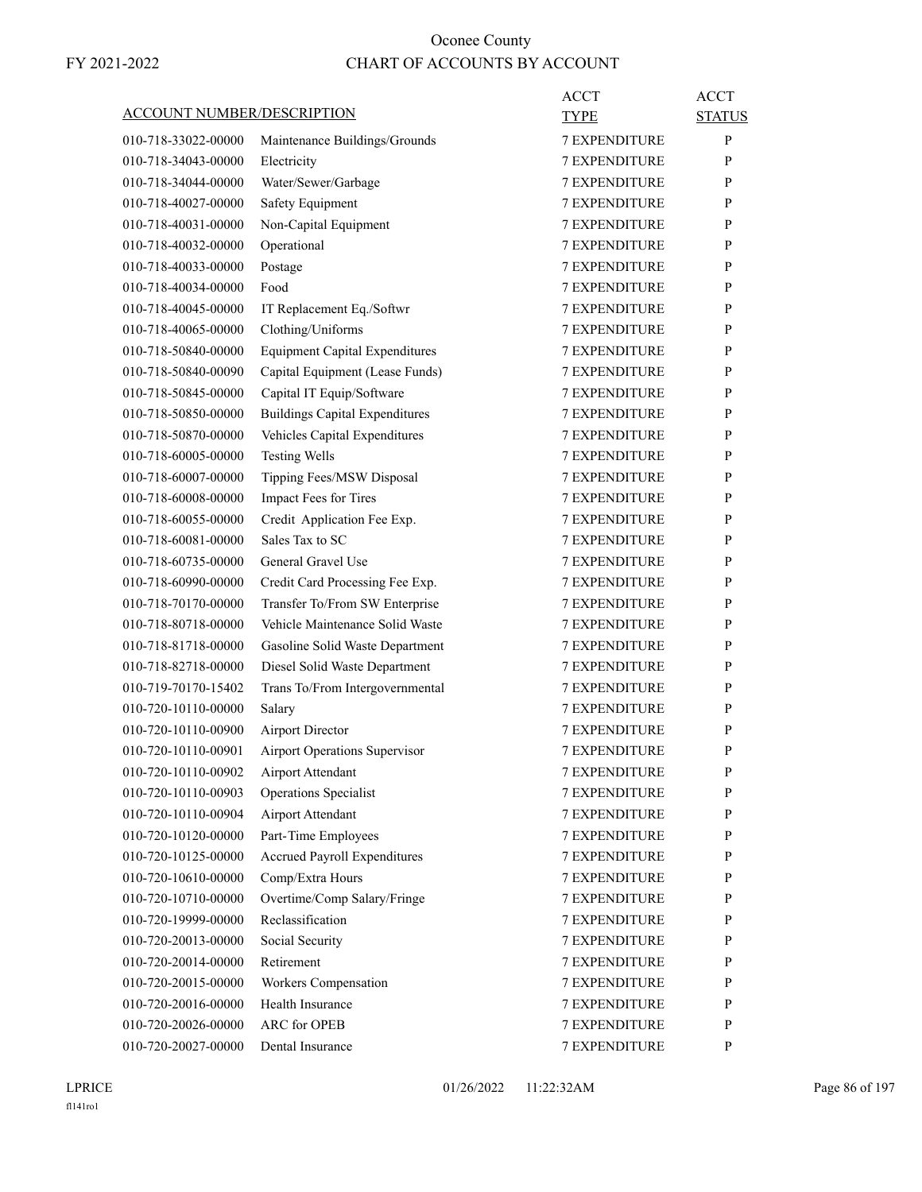| <u>ACCOUNT NUMBER/DESCRIPTION</u> |                                          | ACCT<br>TYPE         | ACCT<br><b>STATUS</b> |
|-----------------------------------|------------------------------------------|----------------------|-----------------------|
|                                   |                                          | <b>7 EXPENDITURE</b> | P                     |
| 010-718-33022-00000               | Maintenance Buildings/Grounds            |                      |                       |
| 010-718-34043-00000               | Electricity                              | <b>7 EXPENDITURE</b> | P                     |
| 010-718-34044-00000               | Water/Sewer/Garbage                      | <b>7 EXPENDITURE</b> | P                     |
| 010-718-40027-00000               | Safety Equipment                         | <b>7 EXPENDITURE</b> | P                     |
| 010-718-40031-00000               | Non-Capital Equipment                    | <b>7 EXPENDITURE</b> | P                     |
| 010-718-40032-00000               | Operational                              | <b>7 EXPENDITURE</b> | P                     |
| 010-718-40033-00000               | Postage                                  | <b>7 EXPENDITURE</b> | P                     |
| 010-718-40034-00000               | Food                                     | <b>7 EXPENDITURE</b> | P                     |
| 010-718-40045-00000               | IT Replacement Eq./Softwr                | <b>7 EXPENDITURE</b> | P                     |
| 010-718-40065-00000               | Clothing/Uniforms                        | <b>7 EXPENDITURE</b> | P                     |
| 010-718-50840-00000               | <b>Equipment Capital Expenditures</b>    | <b>7 EXPENDITURE</b> | P                     |
| 010-718-50840-00090               | Capital Equipment (Lease Funds)          | <b>7 EXPENDITURE</b> | P                     |
| 010-718-50845-00000               | Capital IT Equip/Software                | <b>7 EXPENDITURE</b> | P                     |
| 010-718-50850-00000               | <b>Buildings Capital Expenditures</b>    | 7 EXPENDITURE        | P                     |
| 010-718-50870-00000               | Vehicles Capital Expenditures            | <b>7 EXPENDITURE</b> | P                     |
| 010-718-60005-00000               | <b>Testing Wells</b>                     | <b>7 EXPENDITURE</b> | P                     |
| 010-718-60007-00000               | Tipping Fees/MSW Disposal                | <b>7 EXPENDITURE</b> | P                     |
| 010-718-60008-00000               | Impact Fees for Tires                    | <b>7 EXPENDITURE</b> | P                     |
| 010-718-60055-00000               | Credit Application Fee Exp.              | <b>7 EXPENDITURE</b> | P                     |
| 010-718-60081-00000               | Sales Tax to SC                          | 7 EXPENDITURE        | P                     |
| 010-718-60735-00000               | General Gravel Use                       | <b>7 EXPENDITURE</b> | P                     |
| 010-718-60990-00000               | Credit Card Processing Fee Exp.          | <b>7 EXPENDITURE</b> | P                     |
| 010-718-70170-00000               | Transfer To/From SW Enterprise           | <b>7 EXPENDITURE</b> | P                     |
| 010-718-80718-00000               | Vehicle Maintenance Solid Waste          | <b>7 EXPENDITURE</b> | P                     |
| 010-718-81718-00000               | Gasoline Solid Waste Department          | <b>7 EXPENDITURE</b> | P                     |
| 010-718-82718-00000               | Diesel Solid Waste Department            | <b>7 EXPENDITURE</b> | P                     |
| 010-719-70170-15402               | Trans To/From Intergovernmental          | <b>7 EXPENDITURE</b> | P                     |
| 010-720-10110-00000               | Salary                                   | <b>7 EXPENDITURE</b> | P                     |
| 010-720-10110-00900               | <b>Airport Director</b>                  | <b>7 EXPENDITURE</b> | P                     |
| 010-720-10110-00901               | Airport Operations Supervisor            | <b>7 EXPENDITURE</b> | P                     |
| 010-720-10110-00902               | Airport Attendant                        | 7 EXPENDITURE        | $\mathbf{P}$          |
| 010-720-10110-00903               | <b>Operations Specialist</b>             | <b>7 EXPENDITURE</b> | P                     |
| 010-720-10110-00904               | Airport Attendant                        | 7 EXPENDITURE        | P                     |
| 010-720-10120-00000               | Part-Time Employees                      | 7 EXPENDITURE        | P                     |
| 010-720-10125-00000               | Accrued Payroll Expenditures             | 7 EXPENDITURE        | P                     |
| 010-720-10610-00000               | Comp/Extra Hours                         | 7 EXPENDITURE        | P                     |
| 010-720-10710-00000               | Overtime/Comp Salary/Fringe              | <b>7 EXPENDITURE</b> | P                     |
| 010-720-19999-00000               | Reclassification                         | <b>7 EXPENDITURE</b> | P                     |
| 010-720-20013-00000               | Social Security                          | 7 EXPENDITURE        | P                     |
| 010-720-20014-00000               | Retirement                               | 7 EXPENDITURE        | P                     |
|                                   |                                          | 7 EXPENDITURE        |                       |
| 010-720-20015-00000               | Workers Compensation<br>Health Insurance |                      | P                     |
| 010-720-20016-00000               |                                          | 7 EXPENDITURE        | P                     |
| 010-720-20026-00000               | <b>ARC</b> for OPEB                      | 7 EXPENDITURE        | P                     |
| 010-720-20027-00000               | Dental Insurance                         | 7 EXPENDITURE        | P                     |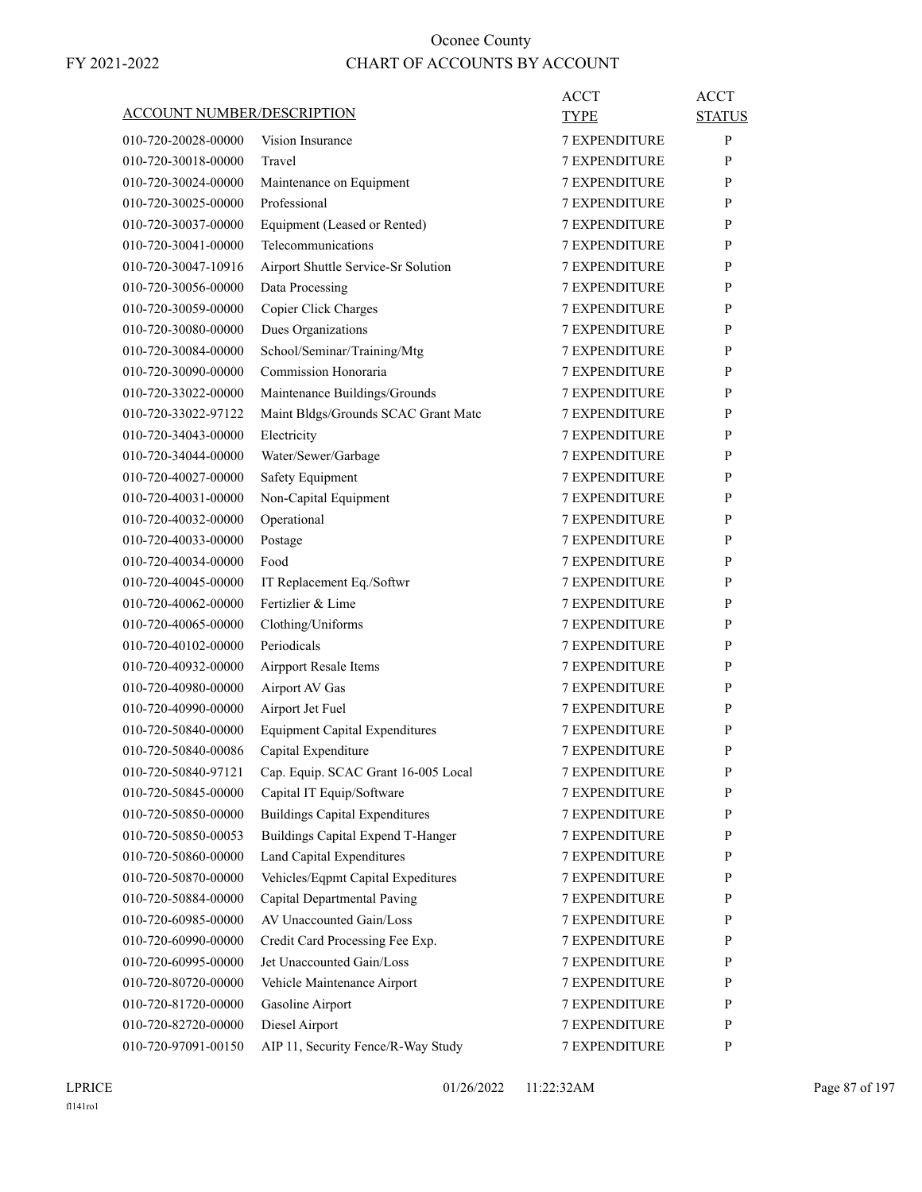|                                   |                                       | <b>ACCT</b>          | <b>ACCT</b>   |
|-----------------------------------|---------------------------------------|----------------------|---------------|
| <b>ACCOUNT NUMBER/DESCRIPTION</b> |                                       | TYPE                 | <b>STATUS</b> |
| 010-720-20028-00000               | Vision Insurance                      | <b>7 EXPENDITURE</b> | P             |
| 010-720-30018-00000               | Travel                                | <b>7 EXPENDITURE</b> | P             |
| 010-720-30024-00000               | Maintenance on Equipment              | <b>7 EXPENDITURE</b> | P             |
| 010-720-30025-00000               | Professional                          | 7 EXPENDITURE        | P             |
| 010-720-30037-00000               | Equipment (Leased or Rented)          | <b>7 EXPENDITURE</b> | P             |
| 010-720-30041-00000               | Telecommunications                    | <b>7 EXPENDITURE</b> | P             |
| 010-720-30047-10916               | Airport Shuttle Service-Sr Solution   | <b>7 EXPENDITURE</b> | P             |
| 010-720-30056-00000               | Data Processing                       | <b>7 EXPENDITURE</b> | P             |
| 010-720-30059-00000               | Copier Click Charges                  | <b>7 EXPENDITURE</b> | P             |
| 010-720-30080-00000               | Dues Organizations                    | <b>7 EXPENDITURE</b> | P             |
| 010-720-30084-00000               | School/Seminar/Training/Mtg           | <b>7 EXPENDITURE</b> | P             |
| 010-720-30090-00000               | Commission Honoraria                  | <b>7 EXPENDITURE</b> | P             |
| 010-720-33022-00000               | Maintenance Buildings/Grounds         | <b>7 EXPENDITURE</b> | P             |
| 010-720-33022-97122               | Maint Bldgs/Grounds SCAC Grant Matc   | <b>7 EXPENDITURE</b> | P             |
| 010-720-34043-00000               | Electricity                           | <b>7 EXPENDITURE</b> | P             |
| 010-720-34044-00000               | Water/Sewer/Garbage                   | <b>7 EXPENDITURE</b> | P             |
| 010-720-40027-00000               | <b>Safety Equipment</b>               | <b>7 EXPENDITURE</b> | P             |
| 010-720-40031-00000               | Non-Capital Equipment                 | <b>7 EXPENDITURE</b> | P             |
| 010-720-40032-00000               | Operational                           | <b>7 EXPENDITURE</b> | P             |
| 010-720-40033-00000               | Postage                               | <b>7 EXPENDITURE</b> | P             |
| 010-720-40034-00000               | Food                                  | <b>7 EXPENDITURE</b> | P             |
| 010-720-40045-00000               | IT Replacement Eq./Softwr             | 7 EXPENDITURE        | P             |
| 010-720-40062-00000               | Fertizlier & Lime                     | <b>7 EXPENDITURE</b> | P             |
| 010-720-40065-00000               | Clothing/Uniforms                     | <b>7 EXPENDITURE</b> | P             |
| 010-720-40102-00000               | Periodicals                           | <b>7 EXPENDITURE</b> | P             |
| 010-720-40932-00000               | <b>Airpport Resale Items</b>          | <b>7 EXPENDITURE</b> | P             |
| 010-720-40980-00000               | Airport AV Gas                        | <b>7 EXPENDITURE</b> | P             |
| 010-720-40990-00000               | Airport Jet Fuel                      | 7 EXPENDITURE        | P             |
| 010-720-50840-00000               | <b>Equipment Capital Expenditures</b> | <b>7 EXPENDITURE</b> | P             |
| 010-720-50840-00086               | Capital Expenditure                   | <b>7 EXPENDITURE</b> | P             |
| 010-720-50840-97121               | Cap. Equip. SCAC Grant 16-005 Local   | 7 EXPENDITURE        | ${\bf P}$     |
| 010-720-50845-00000               | Capital IT Equip/Software             | <b>7 EXPENDITURE</b> | P             |
| 010-720-50850-00000               | <b>Buildings Capital Expenditures</b> | <b>7 EXPENDITURE</b> | P             |
| 010-720-50850-00053               | Buildings Capital Expend T-Hanger     | 7 EXPENDITURE        | P             |
| 010-720-50860-00000               | Land Capital Expenditures             | <b>7 EXPENDITURE</b> | $\mathbf{P}$  |
| 010-720-50870-00000               | Vehicles/Eqpmt Capital Expeditures    | 7 EXPENDITURE        | P             |
| 010-720-50884-00000               | Capital Departmental Paving           | 7 EXPENDITURE        | P             |
| 010-720-60985-00000               | AV Unaccounted Gain/Loss              | <b>7 EXPENDITURE</b> | P             |
| 010-720-60990-00000               | Credit Card Processing Fee Exp.       | <b>7 EXPENDITURE</b> | P             |
| 010-720-60995-00000               | Jet Unaccounted Gain/Loss             | 7 EXPENDITURE        | P             |
| 010-720-80720-00000               | Vehicle Maintenance Airport           | 7 EXPENDITURE        | $\mathbf{P}$  |
| 010-720-81720-00000               | Gasoline Airport                      | 7 EXPENDITURE        | P             |
| 010-720-82720-00000               | Diesel Airport                        | 7 EXPENDITURE        | P             |
| 010-720-97091-00150               | AIP 11, Security Fence/R-Way Study    | 7 EXPENDITURE        | P             |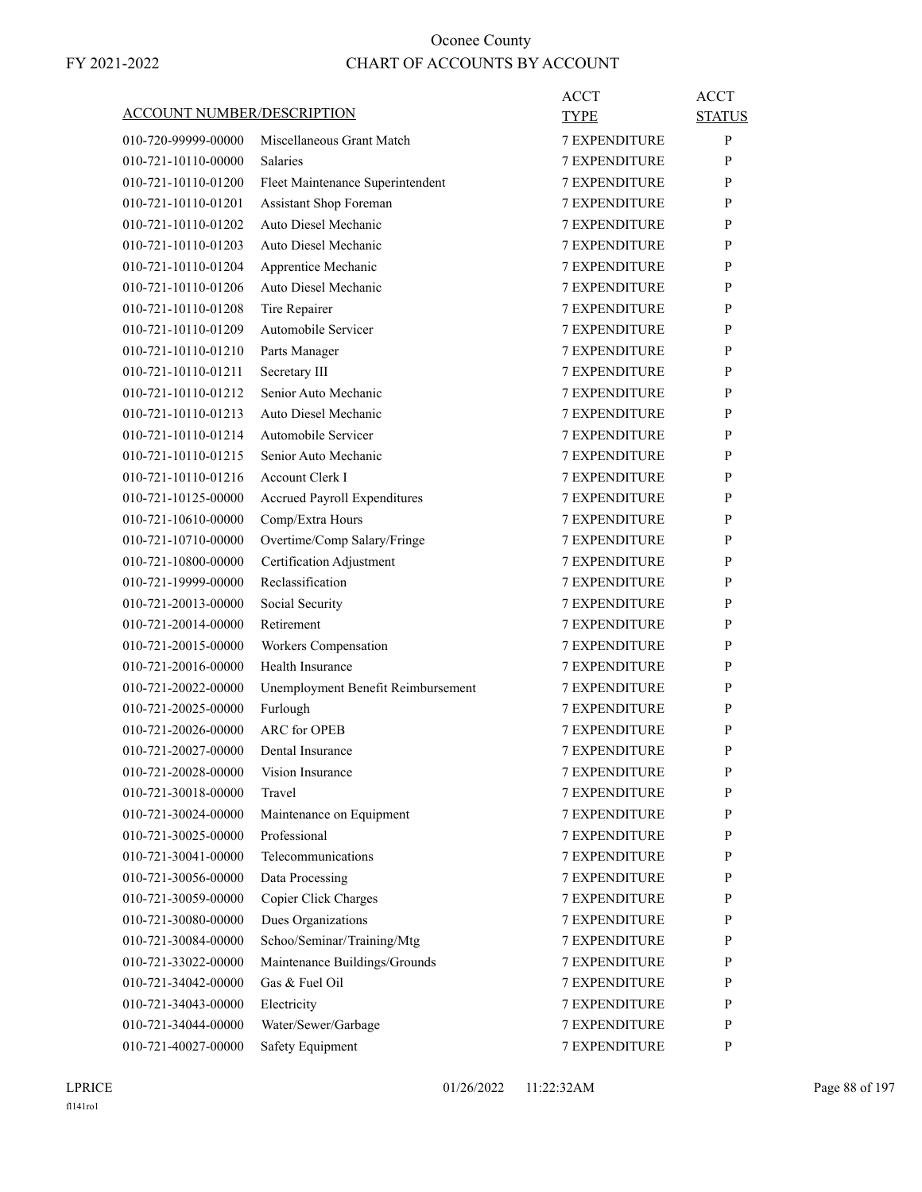| <b>ACCOUNT NUMBER/DESCRIPTION</b> |                                      | <b>ACCT</b><br><b>TYPE</b> | <b>ACCT</b><br><b>STATUS</b> |
|-----------------------------------|--------------------------------------|----------------------------|------------------------------|
| 010-720-99999-00000               | Miscellaneous Grant Match            | <b>7 EXPENDITURE</b>       | P                            |
| 010-721-10110-00000               | <b>Salaries</b>                      | <b>7 EXPENDITURE</b>       | P                            |
| 010-721-10110-01200               | Fleet Maintenance Superintendent     | <b>7 EXPENDITURE</b>       | P                            |
| 010-721-10110-01201               | Assistant Shop Foreman               | <b>7 EXPENDITURE</b>       | P                            |
| 010-721-10110-01202               | Auto Diesel Mechanic                 | <b>7 EXPENDITURE</b>       | P                            |
| 010-721-10110-01203               | Auto Diesel Mechanic                 | <b>7 EXPENDITURE</b>       | P                            |
| 010-721-10110-01204               | Apprentice Mechanic                  | <b>7 EXPENDITURE</b>       | P                            |
| 010-721-10110-01206               | Auto Diesel Mechanic                 | <b>7 EXPENDITURE</b>       | P                            |
| 010-721-10110-01208               | Tire Repairer                        | <b>7 EXPENDITURE</b>       | P                            |
| 010-721-10110-01209               | Automobile Servicer                  | <b>7 EXPENDITURE</b>       | P                            |
| 010-721-10110-01210               | Parts Manager                        | <b>7 EXPENDITURE</b>       | P                            |
| 010-721-10110-01211               | Secretary III                        | <b>7 EXPENDITURE</b>       | P                            |
| 010-721-10110-01212               | Senior Auto Mechanic                 | <b>7 EXPENDITURE</b>       | P                            |
| 010-721-10110-01213               | Auto Diesel Mechanic                 | <b>7 EXPENDITURE</b>       | P                            |
| 010-721-10110-01214               | Automobile Servicer                  | <b>7 EXPENDITURE</b>       | P                            |
| 010-721-10110-01215               | Senior Auto Mechanic                 | <b>7 EXPENDITURE</b>       | P                            |
| 010-721-10110-01216               | Account Clerk I                      | <b>7 EXPENDITURE</b>       | P                            |
| 010-721-10125-00000               | Accrued Payroll Expenditures         | <b>7 EXPENDITURE</b>       | P                            |
| 010-721-10610-00000               | Comp/Extra Hours                     | <b>7 EXPENDITURE</b>       | P                            |
| 010-721-10710-00000               | Overtime/Comp Salary/Fringe          | 7 EXPENDITURE              | P                            |
| 010-721-10800-00000               | Certification Adjustment             | <b>7 EXPENDITURE</b>       | P                            |
| 010-721-19999-00000               | Reclassification                     | <b>7 EXPENDITURE</b>       | P                            |
| 010-721-20013-00000               | Social Security                      | <b>7 EXPENDITURE</b>       | P                            |
| 010-721-20014-00000               | Retirement                           | <b>7 EXPENDITURE</b>       | P                            |
| 010-721-20015-00000               | Workers Compensation                 | <b>7 EXPENDITURE</b>       | P                            |
| 010-721-20016-00000               | Health Insurance                     | 7 EXPENDITURE              | P                            |
| 010-721-20022-00000               | Unemployment Benefit Reimbursement   | <b>7 EXPENDITURE</b>       | P                            |
| 010-721-20025-00000               | Furlough                             | <b>7 EXPENDITURE</b>       | P                            |
| 010-721-20026-00000               | <b>ARC</b> for OPEB                  | <b>7 EXPENDITURE</b>       | P                            |
|                                   |                                      | <b>7 EXPENDITURE</b>       | P                            |
| 010-721-20027-00000               | Dental Insurance<br>Vision Insurance |                            |                              |
| 010-721-20028-00000               |                                      | <b>7 EXPENDITURE</b>       | P                            |
| 010-721-30018-00000               | Travel                               | 7 EXPENDITURE              | P                            |
| 010-721-30024-00000               | Maintenance on Equipment             | 7 EXPENDITURE              | P                            |
| 010-721-30025-00000               | Professional                         | 7 EXPENDITURE              | P                            |
| 010-721-30041-00000               | Telecommunications                   | 7 EXPENDITURE              | $\mathbf{P}$                 |
| 010-721-30056-00000               | Data Processing                      | <b>7 EXPENDITURE</b>       | P                            |
| 010-721-30059-00000               | Copier Click Charges                 | <b>7 EXPENDITURE</b>       | P                            |
| 010-721-30080-00000               | Dues Organizations                   | 7 EXPENDITURE              | P                            |
| 010-721-30084-00000               | Schoo/Seminar/Training/Mtg           | 7 EXPENDITURE              | P                            |
| 010-721-33022-00000               | Maintenance Buildings/Grounds        | 7 EXPENDITURE              | P                            |
| 010-721-34042-00000               | Gas & Fuel Oil                       | 7 EXPENDITURE              | P                            |
| 010-721-34043-00000               | Electricity                          | 7 EXPENDITURE              | P                            |
| 010-721-34044-00000               | Water/Sewer/Garbage                  | 7 EXPENDITURE              | P                            |
| 010-721-40027-00000               | Safety Equipment                     | 7 EXPENDITURE              | P                            |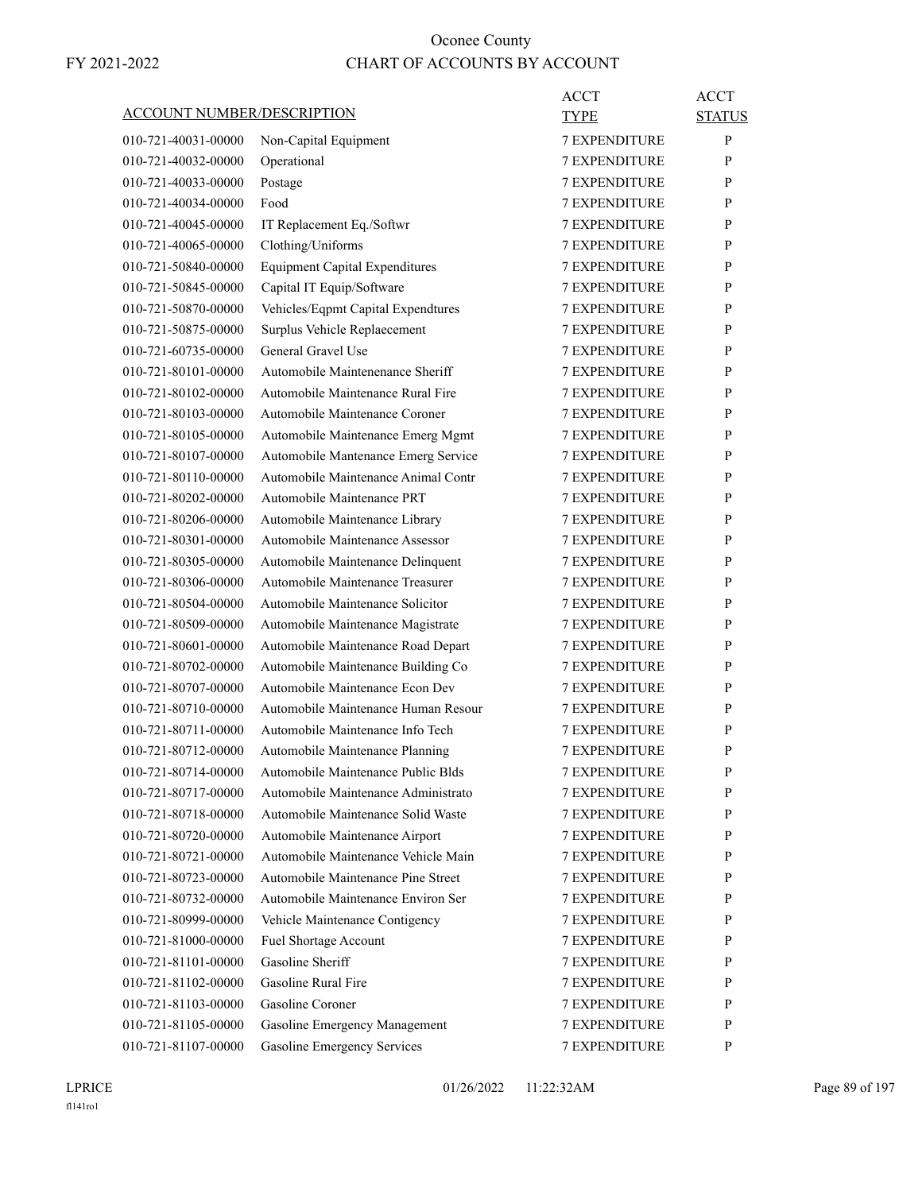| ACCOUNT NUMBER/DESCRIPTION |                                       | ACCT<br><b>TYPE</b>  | <b>ACCT</b>   |
|----------------------------|---------------------------------------|----------------------|---------------|
|                            |                                       |                      | <b>STATUS</b> |
| 010-721-40031-00000        | Non-Capital Equipment                 | <b>7 EXPENDITURE</b> | P             |
| 010-721-40032-00000        | Operational                           | 7 EXPENDITURE        | P             |
| 010-721-40033-00000        | Postage                               | <b>7 EXPENDITURE</b> | P             |
| 010-721-40034-00000        | Food                                  | <b>7 EXPENDITURE</b> | P             |
| 010-721-40045-00000        | IT Replacement Eq./Softwr             | <b>7 EXPENDITURE</b> | P             |
| 010-721-40065-00000        | Clothing/Uniforms                     | <b>7 EXPENDITURE</b> | P             |
| 010-721-50840-00000        | <b>Equipment Capital Expenditures</b> | <b>7 EXPENDITURE</b> | P             |
| 010-721-50845-00000        | Capital IT Equip/Software             | <b>7 EXPENDITURE</b> | P             |
| 010-721-50870-00000        | Vehicles/Eqpmt Capital Expendtures    | <b>7 EXPENDITURE</b> | P             |
| 010-721-50875-00000        | Surplus Vehicle Replaecement          | <b>7 EXPENDITURE</b> | P             |
| 010-721-60735-00000        | General Gravel Use                    | <b>7 EXPENDITURE</b> | P             |
| 010-721-80101-00000        | Automobile Maintenenance Sheriff      | <b>7 EXPENDITURE</b> | P             |
| 010-721-80102-00000        | Automobile Maintenance Rural Fire     | <b>7 EXPENDITURE</b> | P             |
| 010-721-80103-00000        | Automobile Maintenance Coroner        | 7 EXPENDITURE        | P             |
| 010-721-80105-00000        | Automobile Maintenance Emerg Mgmt     | <b>7 EXPENDITURE</b> | P             |
| 010-721-80107-00000        | Automobile Mantenance Emerg Service   | <b>7 EXPENDITURE</b> | P             |
| 010-721-80110-00000        | Automobile Maintenance Animal Contr   | <b>7 EXPENDITURE</b> | P             |
| 010-721-80202-00000        | Automobile Maintenance PRT            | <b>7 EXPENDITURE</b> | P             |
| 010-721-80206-00000        | Automobile Maintenance Library        | <b>7 EXPENDITURE</b> | P             |
| 010-721-80301-00000        | Automobile Maintenance Assessor       | 7 EXPENDITURE        | P             |
| 010-721-80305-00000        | Automobile Maintenance Delinquent     | <b>7 EXPENDITURE</b> | P             |
| 010-721-80306-00000        | Automobile Maintenance Treasurer      | <b>7 EXPENDITURE</b> | P             |
| 010-721-80504-00000        | Automobile Maintenance Solicitor      | <b>7 EXPENDITURE</b> | P             |
| 010-721-80509-00000        | Automobile Maintenance Magistrate     | <b>7 EXPENDITURE</b> | P             |
| 010-721-80601-00000        | Automobile Maintenance Road Depart    | <b>7 EXPENDITURE</b> | P             |
| 010-721-80702-00000        | Automobile Maintenance Building Co    | 7 EXPENDITURE        | P             |
| 010-721-80707-00000        | Automobile Maintenance Econ Dev       | <b>7 EXPENDITURE</b> | P             |
| 010-721-80710-00000        | Automobile Maintenance Human Resour   | <b>7 EXPENDITURE</b> | P             |
| 010-721-80711-00000        | Automobile Maintenance Info Tech      | <b>7 EXPENDITURE</b> | P             |
| 010-721-80712-00000        | Automobile Maintenance Planning       | <b>7 EXPENDITURE</b> | P             |
| 010-721-80714-00000        | Automobile Maintenance Public Blds    | <b>7 EXPENDITURE</b> | P             |
| 010-721-80717-00000        | Automobile Maintenance Administrato   | 7 EXPENDITURE        | P             |
| 010-721-80718-00000        | Automobile Maintenance Solid Waste    | 7 EXPENDITURE        | P             |
| 010-721-80720-00000        | Automobile Maintenance Airport        | 7 EXPENDITURE        | P             |
| 010-721-80721-00000        | Automobile Maintenance Vehicle Main   | 7 EXPENDITURE        | P             |
| 010-721-80723-00000        | Automobile Maintenance Pine Street    | 7 EXPENDITURE        | P             |
| 010-721-80732-00000        | Automobile Maintenance Environ Ser    | <b>7 EXPENDITURE</b> | P             |
| 010-721-80999-00000        | Vehicle Maintenance Contigency        | 7 EXPENDITURE        | P             |
| 010-721-81000-00000        | Fuel Shortage Account                 | 7 EXPENDITURE        | P             |
| 010-721-81101-00000        | Gasoline Sheriff                      | 7 EXPENDITURE        | P             |
| 010-721-81102-00000        | Gasoline Rural Fire                   | 7 EXPENDITURE        | P             |
| 010-721-81103-00000        | Gasoline Coroner                      | 7 EXPENDITURE        | P             |
| 010-721-81105-00000        | Gasoline Emergency Management         | 7 EXPENDITURE        | P             |
| 010-721-81107-00000        | <b>Gasoline Emergency Services</b>    | 7 EXPENDITURE        | P             |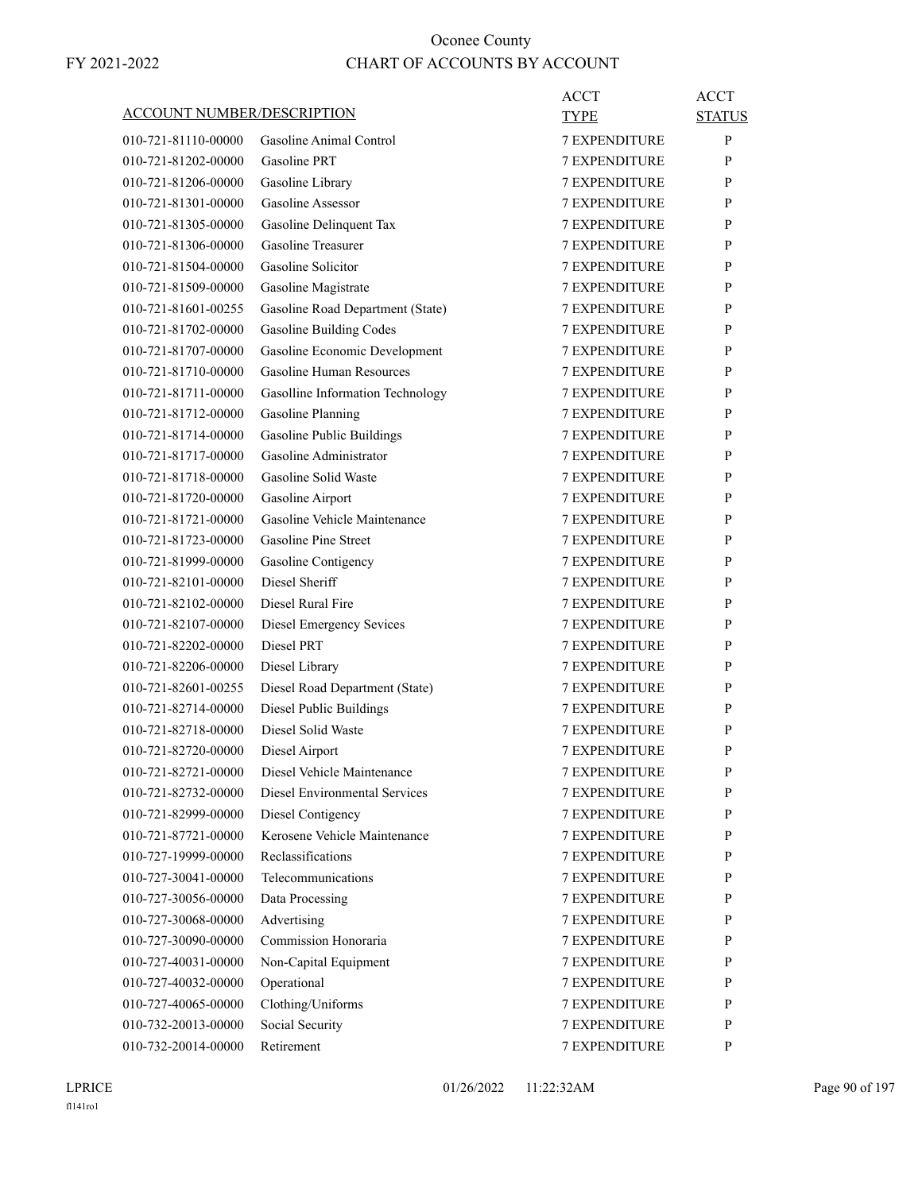| ACCOUNT NUMBER/DESCRIPTION |                                  | ACCT                 | <b>ACCT</b>   |
|----------------------------|----------------------------------|----------------------|---------------|
|                            |                                  | TYPE                 | <b>STATUS</b> |
| 010-721-81110-00000        | Gasoline Animal Control          | <b>7 EXPENDITURE</b> | P             |
| 010-721-81202-00000        | <b>Gasoline PRT</b>              | <b>7 EXPENDITURE</b> | P             |
| 010-721-81206-00000        | Gasoline Library                 | <b>7 EXPENDITURE</b> | P             |
| 010-721-81301-00000        | Gasoline Assessor                | <b>7 EXPENDITURE</b> | P             |
| 010-721-81305-00000        | Gasoline Delinquent Tax          | <b>7 EXPENDITURE</b> | P             |
| 010-721-81306-00000        | <b>Gasoline Treasurer</b>        | <b>7 EXPENDITURE</b> | P             |
| 010-721-81504-00000        | Gasoline Solicitor               | <b>7 EXPENDITURE</b> | P             |
| 010-721-81509-00000        | Gasoline Magistrate              | <b>7 EXPENDITURE</b> | P             |
| 010-721-81601-00255        | Gasoline Road Department (State) | <b>7 EXPENDITURE</b> | P             |
| 010-721-81702-00000        | <b>Gasoline Building Codes</b>   | <b>7 EXPENDITURE</b> | P             |
| 010-721-81707-00000        | Gasoline Economic Development    | <b>7 EXPENDITURE</b> | P             |
| 010-721-81710-00000        | Gasoline Human Resources         | <b>7 EXPENDITURE</b> | P             |
| 010-721-81711-00000        | Gasolline Information Technology | <b>7 EXPENDITURE</b> | P             |
| 010-721-81712-00000        | <b>Gasoline Planning</b>         | <b>7 EXPENDITURE</b> | P             |
| 010-721-81714-00000        | Gasoline Public Buildings        | <b>7 EXPENDITURE</b> | P             |
| 010-721-81717-00000        | Gasoline Administrator           | <b>7 EXPENDITURE</b> | P             |
| 010-721-81718-00000        | Gasoline Solid Waste             | <b>7 EXPENDITURE</b> | P             |
| 010-721-81720-00000        | Gasoline Airport                 | <b>7 EXPENDITURE</b> | P             |
| 010-721-81721-00000        | Gasoline Vehicle Maintenance     | <b>7 EXPENDITURE</b> | P             |
| 010-721-81723-00000        | Gasoline Pine Street             | <b>7 EXPENDITURE</b> | P             |
| 010-721-81999-00000        | Gasoline Contigency              | <b>7 EXPENDITURE</b> | P             |
| 010-721-82101-00000        | Diesel Sheriff                   | <b>7 EXPENDITURE</b> | P             |
| 010-721-82102-00000        | Diesel Rural Fire                | <b>7 EXPENDITURE</b> | P             |
| 010-721-82107-00000        | Diesel Emergency Sevices         | <b>7 EXPENDITURE</b> | P             |
| 010-721-82202-00000        | Diesel PRT                       | <b>7 EXPENDITURE</b> | P             |
| 010-721-82206-00000        | Diesel Library                   | 7 EXPENDITURE        | P             |
| 010-721-82601-00255        | Diesel Road Department (State)   | <b>7 EXPENDITURE</b> | P             |
| 010-721-82714-00000        | Diesel Public Buildings          | <b>7 EXPENDITURE</b> | P             |
| 010-721-82718-00000        | Diesel Solid Waste               | <b>7 EXPENDITURE</b> | P             |
| 010-721-82720-00000        | Diesel Airport                   | <b>7 EXPENDITURE</b> | P             |
| 010-721-82721-00000        | Diesel Vehicle Maintenance       | <b>7 EXPENDITURE</b> | P             |
| 010-721-82732-00000        | Diesel Environmental Services    | 7 EXPENDITURE        | P             |
| 010-721-82999-00000        | Diesel Contigency                | <b>7 EXPENDITURE</b> | P             |
| 010-721-87721-00000        | Kerosene Vehicle Maintenance     | <b>7 EXPENDITURE</b> | P             |
| 010-727-19999-00000        | Reclassifications                | 7 EXPENDITURE        | P             |
| 010-727-30041-00000        | Telecommunications               | <b>7 EXPENDITURE</b> | P             |
| 010-727-30056-00000        | Data Processing                  | <b>7 EXPENDITURE</b> | P             |
| 010-727-30068-00000        | Advertising                      | 7 EXPENDITURE        | P             |
| 010-727-30090-00000        | Commission Honoraria             | <b>7 EXPENDITURE</b> | P             |
| 010-727-40031-00000        | Non-Capital Equipment            | 7 EXPENDITURE        | P             |
| 010-727-40032-00000        | Operational                      | 7 EXPENDITURE        | P             |
| 010-727-40065-00000        | Clothing/Uniforms                | <b>7 EXPENDITURE</b> | P             |
| 010-732-20013-00000        | Social Security                  | 7 EXPENDITURE        | P             |
| 010-732-20014-00000        | Retirement                       | 7 EXPENDITURE        | P             |
|                            |                                  |                      |               |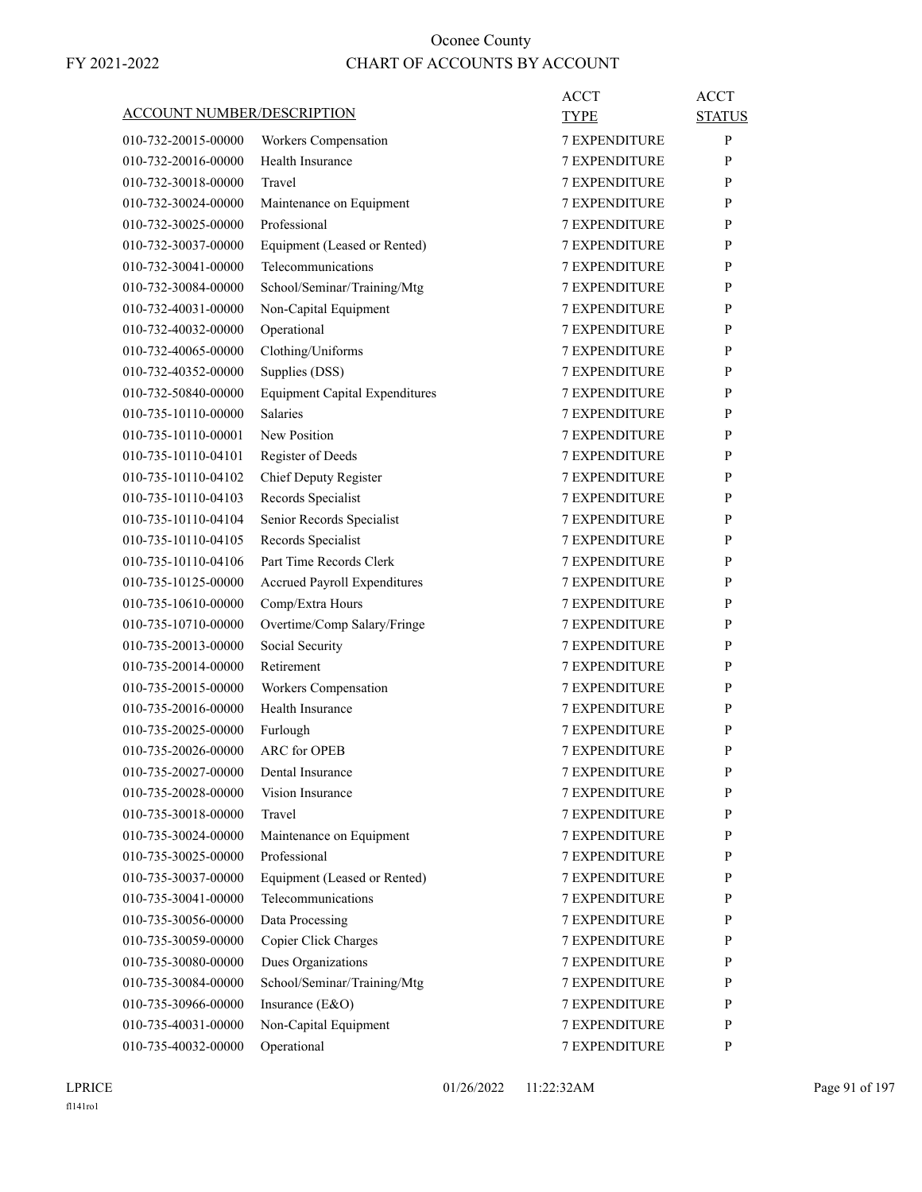| <b>TYPE</b><br>010-732-20015-00000<br>Workers Compensation<br><b>7 EXPENDITURE</b><br>Health Insurance<br>010-732-20016-00000<br><b>7 EXPENDITURE</b><br>010-732-30018-00000<br>Travel<br><b>7 EXPENDITURE</b><br>010-732-30024-00000<br>Maintenance on Equipment<br><b>7 EXPENDITURE</b><br>Professional<br><b>7 EXPENDITURE</b><br>010-732-30025-00000<br>Equipment (Leased or Rented)<br><b>7 EXPENDITURE</b><br>010-732-30037-00000<br>Telecommunications<br>010-732-30041-00000<br><b>7 EXPENDITURE</b><br>School/Seminar/Training/Mtg<br><b>7 EXPENDITURE</b><br>010-732-30084-00000<br>Non-Capital Equipment<br>010-732-40031-00000<br><b>7 EXPENDITURE</b><br>Operational<br>010-732-40032-00000<br><b>7 EXPENDITURE</b><br>Clothing/Uniforms<br><b>7 EXPENDITURE</b><br>010-732-40065-00000<br>Supplies (DSS)<br><b>7 EXPENDITURE</b><br>010-732-40352-00000<br><b>Equipment Capital Expenditures</b><br>010-732-50840-00000<br><b>7 EXPENDITURE</b><br><b>Salaries</b><br><b>7 EXPENDITURE</b><br>010-735-10110-00000<br>New Position<br>010-735-10110-00001<br><b>7 EXPENDITURE</b><br>010-735-10110-04101<br>Register of Deeds<br><b>7 EXPENDITURE</b><br>Chief Deputy Register<br><b>7 EXPENDITURE</b><br>010-735-10110-04102<br>Records Specialist<br>010-735-10110-04103<br><b>7 EXPENDITURE</b><br>Senior Records Specialist<br>010-735-10110-04104<br><b>7 EXPENDITURE</b><br>Records Specialist<br>7 EXPENDITURE<br>010-735-10110-04105<br>Part Time Records Clerk<br>010-735-10110-04106<br><b>7 EXPENDITURE</b> | <b>STATUS</b><br>P<br>P<br>P |
|-------------------------------------------------------------------------------------------------------------------------------------------------------------------------------------------------------------------------------------------------------------------------------------------------------------------------------------------------------------------------------------------------------------------------------------------------------------------------------------------------------------------------------------------------------------------------------------------------------------------------------------------------------------------------------------------------------------------------------------------------------------------------------------------------------------------------------------------------------------------------------------------------------------------------------------------------------------------------------------------------------------------------------------------------------------------------------------------------------------------------------------------------------------------------------------------------------------------------------------------------------------------------------------------------------------------------------------------------------------------------------------------------------------------------------------------------------------------------------------------------------------------------------------|------------------------------|
|                                                                                                                                                                                                                                                                                                                                                                                                                                                                                                                                                                                                                                                                                                                                                                                                                                                                                                                                                                                                                                                                                                                                                                                                                                                                                                                                                                                                                                                                                                                                     |                              |
|                                                                                                                                                                                                                                                                                                                                                                                                                                                                                                                                                                                                                                                                                                                                                                                                                                                                                                                                                                                                                                                                                                                                                                                                                                                                                                                                                                                                                                                                                                                                     |                              |
|                                                                                                                                                                                                                                                                                                                                                                                                                                                                                                                                                                                                                                                                                                                                                                                                                                                                                                                                                                                                                                                                                                                                                                                                                                                                                                                                                                                                                                                                                                                                     |                              |
|                                                                                                                                                                                                                                                                                                                                                                                                                                                                                                                                                                                                                                                                                                                                                                                                                                                                                                                                                                                                                                                                                                                                                                                                                                                                                                                                                                                                                                                                                                                                     | P                            |
|                                                                                                                                                                                                                                                                                                                                                                                                                                                                                                                                                                                                                                                                                                                                                                                                                                                                                                                                                                                                                                                                                                                                                                                                                                                                                                                                                                                                                                                                                                                                     | P                            |
|                                                                                                                                                                                                                                                                                                                                                                                                                                                                                                                                                                                                                                                                                                                                                                                                                                                                                                                                                                                                                                                                                                                                                                                                                                                                                                                                                                                                                                                                                                                                     | P                            |
|                                                                                                                                                                                                                                                                                                                                                                                                                                                                                                                                                                                                                                                                                                                                                                                                                                                                                                                                                                                                                                                                                                                                                                                                                                                                                                                                                                                                                                                                                                                                     | P                            |
|                                                                                                                                                                                                                                                                                                                                                                                                                                                                                                                                                                                                                                                                                                                                                                                                                                                                                                                                                                                                                                                                                                                                                                                                                                                                                                                                                                                                                                                                                                                                     | P                            |
|                                                                                                                                                                                                                                                                                                                                                                                                                                                                                                                                                                                                                                                                                                                                                                                                                                                                                                                                                                                                                                                                                                                                                                                                                                                                                                                                                                                                                                                                                                                                     | P                            |
|                                                                                                                                                                                                                                                                                                                                                                                                                                                                                                                                                                                                                                                                                                                                                                                                                                                                                                                                                                                                                                                                                                                                                                                                                                                                                                                                                                                                                                                                                                                                     | P                            |
|                                                                                                                                                                                                                                                                                                                                                                                                                                                                                                                                                                                                                                                                                                                                                                                                                                                                                                                                                                                                                                                                                                                                                                                                                                                                                                                                                                                                                                                                                                                                     | P                            |
|                                                                                                                                                                                                                                                                                                                                                                                                                                                                                                                                                                                                                                                                                                                                                                                                                                                                                                                                                                                                                                                                                                                                                                                                                                                                                                                                                                                                                                                                                                                                     | P                            |
|                                                                                                                                                                                                                                                                                                                                                                                                                                                                                                                                                                                                                                                                                                                                                                                                                                                                                                                                                                                                                                                                                                                                                                                                                                                                                                                                                                                                                                                                                                                                     | P                            |
|                                                                                                                                                                                                                                                                                                                                                                                                                                                                                                                                                                                                                                                                                                                                                                                                                                                                                                                                                                                                                                                                                                                                                                                                                                                                                                                                                                                                                                                                                                                                     | P                            |
|                                                                                                                                                                                                                                                                                                                                                                                                                                                                                                                                                                                                                                                                                                                                                                                                                                                                                                                                                                                                                                                                                                                                                                                                                                                                                                                                                                                                                                                                                                                                     | P                            |
|                                                                                                                                                                                                                                                                                                                                                                                                                                                                                                                                                                                                                                                                                                                                                                                                                                                                                                                                                                                                                                                                                                                                                                                                                                                                                                                                                                                                                                                                                                                                     | P                            |
|                                                                                                                                                                                                                                                                                                                                                                                                                                                                                                                                                                                                                                                                                                                                                                                                                                                                                                                                                                                                                                                                                                                                                                                                                                                                                                                                                                                                                                                                                                                                     | P                            |
|                                                                                                                                                                                                                                                                                                                                                                                                                                                                                                                                                                                                                                                                                                                                                                                                                                                                                                                                                                                                                                                                                                                                                                                                                                                                                                                                                                                                                                                                                                                                     | P                            |
|                                                                                                                                                                                                                                                                                                                                                                                                                                                                                                                                                                                                                                                                                                                                                                                                                                                                                                                                                                                                                                                                                                                                                                                                                                                                                                                                                                                                                                                                                                                                     | P                            |
|                                                                                                                                                                                                                                                                                                                                                                                                                                                                                                                                                                                                                                                                                                                                                                                                                                                                                                                                                                                                                                                                                                                                                                                                                                                                                                                                                                                                                                                                                                                                     | P                            |
|                                                                                                                                                                                                                                                                                                                                                                                                                                                                                                                                                                                                                                                                                                                                                                                                                                                                                                                                                                                                                                                                                                                                                                                                                                                                                                                                                                                                                                                                                                                                     | P                            |
| 010-735-10125-00000<br>Accrued Payroll Expenditures<br><b>7 EXPENDITURE</b>                                                                                                                                                                                                                                                                                                                                                                                                                                                                                                                                                                                                                                                                                                                                                                                                                                                                                                                                                                                                                                                                                                                                                                                                                                                                                                                                                                                                                                                         | P                            |
| <b>7 EXPENDITURE</b><br>010-735-10610-00000<br>Comp/Extra Hours                                                                                                                                                                                                                                                                                                                                                                                                                                                                                                                                                                                                                                                                                                                                                                                                                                                                                                                                                                                                                                                                                                                                                                                                                                                                                                                                                                                                                                                                     | P                            |
| Overtime/Comp Salary/Fringe<br><b>7 EXPENDITURE</b><br>010-735-10710-00000                                                                                                                                                                                                                                                                                                                                                                                                                                                                                                                                                                                                                                                                                                                                                                                                                                                                                                                                                                                                                                                                                                                                                                                                                                                                                                                                                                                                                                                          | P                            |
| Social Security<br>010-735-20013-00000<br><b>7 EXPENDITURE</b>                                                                                                                                                                                                                                                                                                                                                                                                                                                                                                                                                                                                                                                                                                                                                                                                                                                                                                                                                                                                                                                                                                                                                                                                                                                                                                                                                                                                                                                                      | P                            |
| Retirement<br>7 EXPENDITURE<br>010-735-20014-00000                                                                                                                                                                                                                                                                                                                                                                                                                                                                                                                                                                                                                                                                                                                                                                                                                                                                                                                                                                                                                                                                                                                                                                                                                                                                                                                                                                                                                                                                                  | P                            |
| 010-735-20015-00000<br>Workers Compensation<br><b>7 EXPENDITURE</b>                                                                                                                                                                                                                                                                                                                                                                                                                                                                                                                                                                                                                                                                                                                                                                                                                                                                                                                                                                                                                                                                                                                                                                                                                                                                                                                                                                                                                                                                 | P                            |
| Health Insurance<br>010-735-20016-00000<br><b>7 EXPENDITURE</b>                                                                                                                                                                                                                                                                                                                                                                                                                                                                                                                                                                                                                                                                                                                                                                                                                                                                                                                                                                                                                                                                                                                                                                                                                                                                                                                                                                                                                                                                     | P                            |
| Furlough<br><b>7 EXPENDITURE</b><br>010-735-20025-00000                                                                                                                                                                                                                                                                                                                                                                                                                                                                                                                                                                                                                                                                                                                                                                                                                                                                                                                                                                                                                                                                                                                                                                                                                                                                                                                                                                                                                                                                             | P                            |
| <b>ARC</b> for OPEB<br>010-735-20026-00000<br><b>7 EXPENDITURE</b>                                                                                                                                                                                                                                                                                                                                                                                                                                                                                                                                                                                                                                                                                                                                                                                                                                                                                                                                                                                                                                                                                                                                                                                                                                                                                                                                                                                                                                                                  | P                            |
| 010-735-20027-00000<br>Dental Insurance<br><b>7 EXPENDITURE</b>                                                                                                                                                                                                                                                                                                                                                                                                                                                                                                                                                                                                                                                                                                                                                                                                                                                                                                                                                                                                                                                                                                                                                                                                                                                                                                                                                                                                                                                                     | P                            |
| Vision Insurance<br>7 EXPENDITURE<br>010-735-20028-00000                                                                                                                                                                                                                                                                                                                                                                                                                                                                                                                                                                                                                                                                                                                                                                                                                                                                                                                                                                                                                                                                                                                                                                                                                                                                                                                                                                                                                                                                            | P                            |
| 010-735-30018-00000<br>Travel<br>7 EXPENDITURE                                                                                                                                                                                                                                                                                                                                                                                                                                                                                                                                                                                                                                                                                                                                                                                                                                                                                                                                                                                                                                                                                                                                                                                                                                                                                                                                                                                                                                                                                      | P                            |
| 010-735-30024-00000<br>Maintenance on Equipment<br>7 EXPENDITURE                                                                                                                                                                                                                                                                                                                                                                                                                                                                                                                                                                                                                                                                                                                                                                                                                                                                                                                                                                                                                                                                                                                                                                                                                                                                                                                                                                                                                                                                    | P                            |
| Professional<br>7 EXPENDITURE<br>010-735-30025-00000                                                                                                                                                                                                                                                                                                                                                                                                                                                                                                                                                                                                                                                                                                                                                                                                                                                                                                                                                                                                                                                                                                                                                                                                                                                                                                                                                                                                                                                                                | P                            |
| Equipment (Leased or Rented)<br>010-735-30037-00000<br><b>7 EXPENDITURE</b>                                                                                                                                                                                                                                                                                                                                                                                                                                                                                                                                                                                                                                                                                                                                                                                                                                                                                                                                                                                                                                                                                                                                                                                                                                                                                                                                                                                                                                                         | P                            |
| Telecommunications<br>010-735-30041-00000<br><b>7 EXPENDITURE</b>                                                                                                                                                                                                                                                                                                                                                                                                                                                                                                                                                                                                                                                                                                                                                                                                                                                                                                                                                                                                                                                                                                                                                                                                                                                                                                                                                                                                                                                                   | P                            |
| 7 EXPENDITURE<br>010-735-30056-00000<br>Data Processing                                                                                                                                                                                                                                                                                                                                                                                                                                                                                                                                                                                                                                                                                                                                                                                                                                                                                                                                                                                                                                                                                                                                                                                                                                                                                                                                                                                                                                                                             | P                            |
| Copier Click Charges<br>7 EXPENDITURE<br>010-735-30059-00000                                                                                                                                                                                                                                                                                                                                                                                                                                                                                                                                                                                                                                                                                                                                                                                                                                                                                                                                                                                                                                                                                                                                                                                                                                                                                                                                                                                                                                                                        | P                            |
| Dues Organizations<br>010-735-30080-00000<br>7 EXPENDITURE                                                                                                                                                                                                                                                                                                                                                                                                                                                                                                                                                                                                                                                                                                                                                                                                                                                                                                                                                                                                                                                                                                                                                                                                                                                                                                                                                                                                                                                                          | P                            |
| School/Seminar/Training/Mtg<br>7 EXPENDITURE<br>010-735-30084-00000                                                                                                                                                                                                                                                                                                                                                                                                                                                                                                                                                                                                                                                                                                                                                                                                                                                                                                                                                                                                                                                                                                                                                                                                                                                                                                                                                                                                                                                                 | P                            |
| Insurance (E&O)<br>010-735-30966-00000<br><b>7 EXPENDITURE</b>                                                                                                                                                                                                                                                                                                                                                                                                                                                                                                                                                                                                                                                                                                                                                                                                                                                                                                                                                                                                                                                                                                                                                                                                                                                                                                                                                                                                                                                                      | P                            |
| Non-Capital Equipment<br>010-735-40031-00000<br>7 EXPENDITURE                                                                                                                                                                                                                                                                                                                                                                                                                                                                                                                                                                                                                                                                                                                                                                                                                                                                                                                                                                                                                                                                                                                                                                                                                                                                                                                                                                                                                                                                       |                              |
| Operational<br>010-735-40032-00000<br>7 EXPENDITURE                                                                                                                                                                                                                                                                                                                                                                                                                                                                                                                                                                                                                                                                                                                                                                                                                                                                                                                                                                                                                                                                                                                                                                                                                                                                                                                                                                                                                                                                                 | P                            |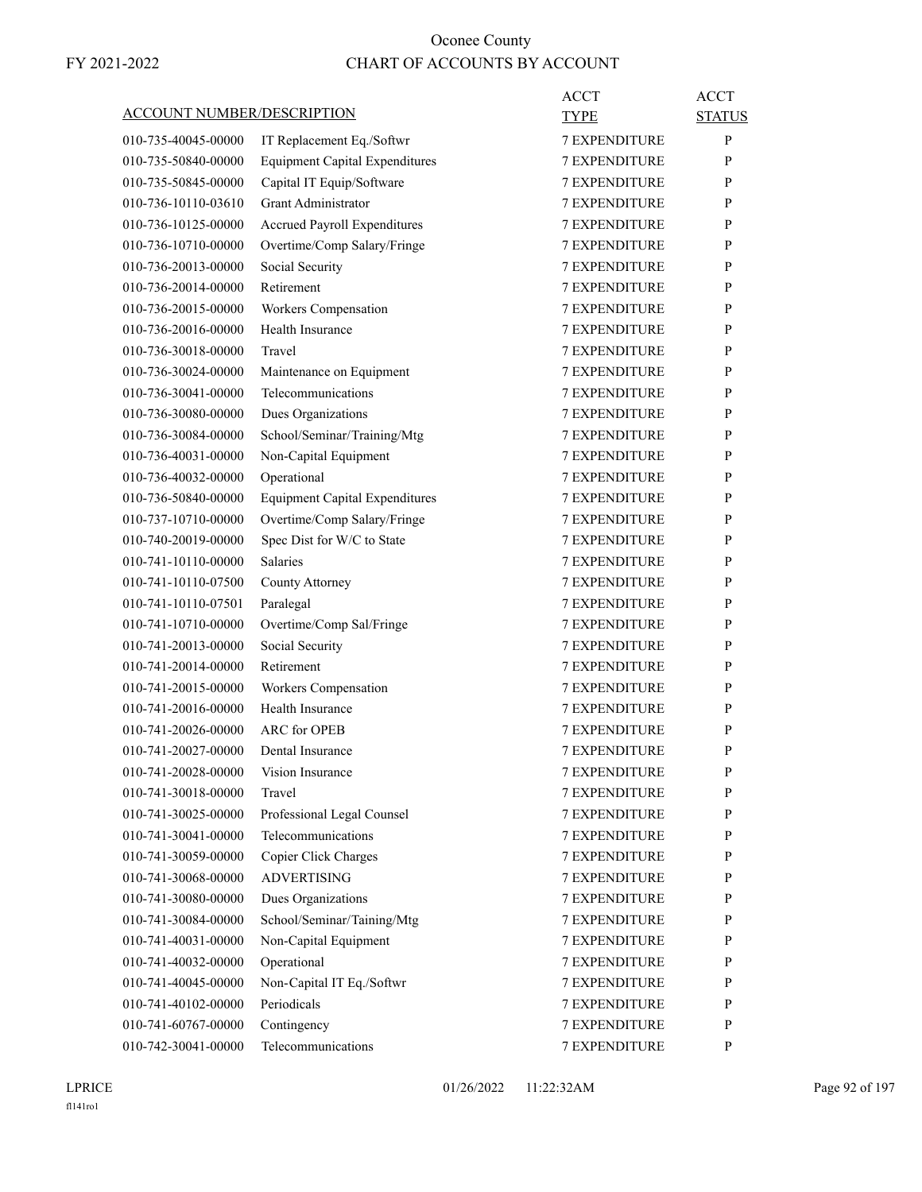| <b>ACCOUNT NUMBER/DESCRIPTION</b> |                                            | ACCT<br>TYPE                          | <b>ACCT</b><br><b>STATUS</b> |
|-----------------------------------|--------------------------------------------|---------------------------------------|------------------------------|
| 010-735-40045-00000               | IT Replacement Eq./Softwr                  | <b>7 EXPENDITURE</b>                  | P                            |
| 010-735-50840-00000               | <b>Equipment Capital Expenditures</b>      | <b>7 EXPENDITURE</b>                  | P                            |
| 010-735-50845-00000               | Capital IT Equip/Software                  | <b>7 EXPENDITURE</b>                  | P                            |
| 010-736-10110-03610               | <b>Grant Administrator</b>                 | <b>7 EXPENDITURE</b>                  | P                            |
| 010-736-10125-00000               | <b>Accrued Payroll Expenditures</b>        | <b>7 EXPENDITURE</b>                  | P                            |
| 010-736-10710-00000               | Overtime/Comp Salary/Fringe                | <b>7 EXPENDITURE</b>                  | P                            |
| 010-736-20013-00000               | Social Security                            | <b>7 EXPENDITURE</b>                  | P                            |
| 010-736-20014-00000               | Retirement                                 | <b>7 EXPENDITURE</b>                  | P                            |
| 010-736-20015-00000               | Workers Compensation                       | <b>7 EXPENDITURE</b>                  | P                            |
| 010-736-20016-00000               | Health Insurance                           | <b>7 EXPENDITURE</b>                  | P                            |
| 010-736-30018-00000               | Travel                                     | <b>7 EXPENDITURE</b>                  | P                            |
| 010-736-30024-00000               | Maintenance on Equipment                   | <b>7 EXPENDITURE</b>                  | P                            |
| 010-736-30041-00000               | Telecommunications                         | <b>7 EXPENDITURE</b>                  | P                            |
| 010-736-30080-00000               | Dues Organizations                         | 7 EXPENDITURE                         | P                            |
| 010-736-30084-00000               | School/Seminar/Training/Mtg                | <b>7 EXPENDITURE</b>                  | P                            |
| 010-736-40031-00000               | Non-Capital Equipment                      | <b>7 EXPENDITURE</b>                  | P                            |
| 010-736-40032-00000               | Operational                                | <b>7 EXPENDITURE</b>                  | P                            |
| 010-736-50840-00000               | <b>Equipment Capital Expenditures</b>      | <b>7 EXPENDITURE</b>                  | P                            |
| 010-737-10710-00000               | Overtime/Comp Salary/Fringe                | <b>7 EXPENDITURE</b>                  | P                            |
| 010-740-20019-00000               | Spec Dist for W/C to State                 | 7 EXPENDITURE                         | P                            |
| 010-741-10110-00000               | <b>Salaries</b>                            | <b>7 EXPENDITURE</b>                  | P                            |
| 010-741-10110-07500               | County Attorney                            | <b>7 EXPENDITURE</b>                  | P                            |
| 010-741-10110-07501               | Paralegal                                  | <b>7 EXPENDITURE</b>                  | P                            |
| 010-741-10710-00000               | Overtime/Comp Sal/Fringe                   | <b>7 EXPENDITURE</b>                  | P                            |
| 010-741-20013-00000               | Social Security                            | <b>7 EXPENDITURE</b>                  | P                            |
| 010-741-20014-00000               | Retirement                                 | 7 EXPENDITURE                         | P                            |
| 010-741-20015-00000               |                                            | <b>7 EXPENDITURE</b>                  | P                            |
| 010-741-20016-00000               | Workers Compensation<br>Health Insurance   | <b>7 EXPENDITURE</b>                  | P                            |
| 010-741-20026-00000               | <b>ARC</b> for OPEB                        | <b>7 EXPENDITURE</b>                  |                              |
|                                   |                                            | <b>7 EXPENDITURE</b>                  | P<br>P                       |
| 010-741-20027-00000               | Dental Insurance                           |                                       |                              |
| 010-741-20028-00000               | Vision Insurance                           | <b>7 EXPENDITURE</b>                  | P                            |
| 010-741-30018-00000               | Travel                                     | 7 EXPENDITURE                         | P                            |
| 010-741-30025-00000               | Professional Legal Counsel                 | 7 EXPENDITURE                         | P                            |
| 010-741-30041-00000               | Telecommunications                         | 7 EXPENDITURE                         | P                            |
| 010-741-30059-00000               | Copier Click Charges<br><b>ADVERTISING</b> | 7 EXPENDITURE<br><b>7 EXPENDITURE</b> | P                            |
| 010-741-30068-00000               |                                            |                                       | P                            |
| 010-741-30080-00000               | Dues Organizations                         | 7 EXPENDITURE                         | P                            |
| 010-741-30084-00000               | School/Seminar/Taining/Mtg                 | 7 EXPENDITURE                         | P                            |
| 010-741-40031-00000               | Non-Capital Equipment                      | 7 EXPENDITURE                         | P                            |
| 010-741-40032-00000               | Operational                                | 7 EXPENDITURE                         | P                            |
| 010-741-40045-00000               | Non-Capital IT Eq./Softwr                  | 7 EXPENDITURE                         | P                            |
| 010-741-40102-00000               | Periodicals                                | 7 EXPENDITURE                         | P                            |
| 010-741-60767-00000               | Contingency                                | 7 EXPENDITURE                         | P                            |
| 010-742-30041-00000               | Telecommunications                         | 7 EXPENDITURE                         | P                            |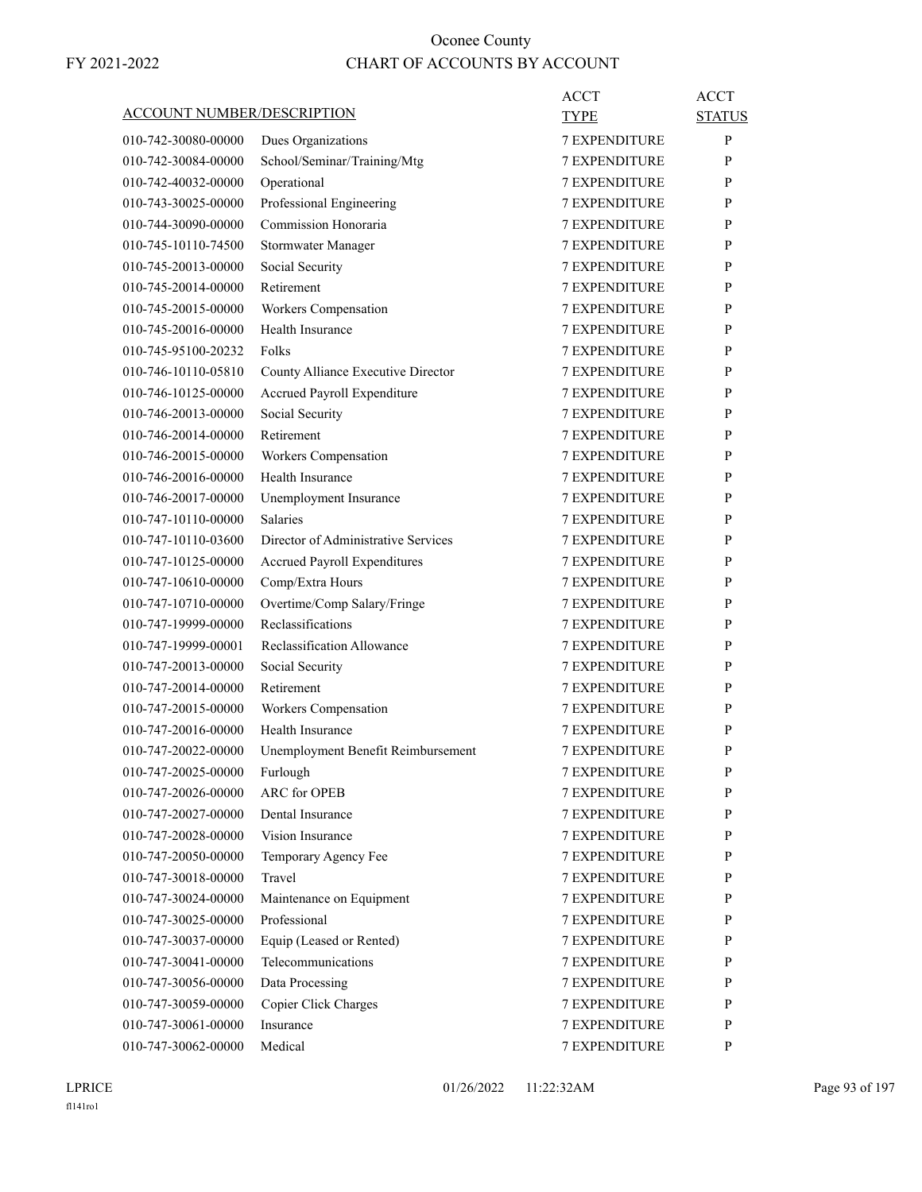| <u>ACCOUNT NUMBER/DESCRIPTION</u> |                                     | <b>ACCT</b>          | <b>ACCT</b>   |
|-----------------------------------|-------------------------------------|----------------------|---------------|
|                                   |                                     | <b>TYPE</b>          | <b>STATUS</b> |
| 010-742-30080-00000               | Dues Organizations                  | <b>7 EXPENDITURE</b> | P             |
| 010-742-30084-00000               | School/Seminar/Training/Mtg         | <b>7 EXPENDITURE</b> | P             |
| 010-742-40032-00000               | Operational                         | <b>7 EXPENDITURE</b> | P             |
| 010-743-30025-00000               | Professional Engineering            | <b>7 EXPENDITURE</b> | P             |
| 010-744-30090-00000               | Commission Honoraria                | <b>7 EXPENDITURE</b> | P             |
| 010-745-10110-74500               | Stormwater Manager                  | <b>7 EXPENDITURE</b> | P             |
| 010-745-20013-00000               | Social Security                     | <b>7 EXPENDITURE</b> | P             |
| 010-745-20014-00000               | Retirement                          | <b>7 EXPENDITURE</b> | P             |
| 010-745-20015-00000               | Workers Compensation                | <b>7 EXPENDITURE</b> | P             |
| 010-745-20016-00000               | Health Insurance                    | <b>7 EXPENDITURE</b> | P             |
| 010-745-95100-20232               | Folks                               | <b>7 EXPENDITURE</b> | P             |
| 010-746-10110-05810               | County Alliance Executive Director  | <b>7 EXPENDITURE</b> | P             |
| 010-746-10125-00000               | Accrued Payroll Expenditure         | <b>7 EXPENDITURE</b> | P             |
| 010-746-20013-00000               | Social Security                     | <b>7 EXPENDITURE</b> | P             |
| 010-746-20014-00000               | Retirement                          | <b>7 EXPENDITURE</b> | P             |
| 010-746-20015-00000               | Workers Compensation                | <b>7 EXPENDITURE</b> | P             |
| 010-746-20016-00000               | Health Insurance                    | <b>7 EXPENDITURE</b> | P             |
| 010-746-20017-00000               | Unemployment Insurance              | <b>7 EXPENDITURE</b> | P             |
| 010-747-10110-00000               | <b>Salaries</b>                     | <b>7 EXPENDITURE</b> | P             |
| 010-747-10110-03600               | Director of Administrative Services | <b>7 EXPENDITURE</b> | P             |
| 010-747-10125-00000               | Accrued Payroll Expenditures        | <b>7 EXPENDITURE</b> | P             |
| 010-747-10610-00000               | Comp/Extra Hours                    | <b>7 EXPENDITURE</b> | P             |
| 010-747-10710-00000               | Overtime/Comp Salary/Fringe         | <b>7 EXPENDITURE</b> | P             |
| 010-747-19999-00000               | Reclassifications                   | <b>7 EXPENDITURE</b> | P             |
| 010-747-19999-00001               | Reclassification Allowance          | <b>7 EXPENDITURE</b> | P             |
| 010-747-20013-00000               | Social Security                     | <b>7 EXPENDITURE</b> | P             |
| 010-747-20014-00000               | Retirement                          | <b>7 EXPENDITURE</b> | P             |
| 010-747-20015-00000               | Workers Compensation                | <b>7 EXPENDITURE</b> | P             |
| 010-747-20016-00000               | Health Insurance                    | <b>7 EXPENDITURE</b> | P             |
| 010-747-20022-00000               | Unemployment Benefit Reimbursement  | <b>7 EXPENDITURE</b> | P             |
| 010-747-20025-00000               | Furlough                            | <b>7 EXPENDITURE</b> | P             |
| 010-747-20026-00000               | <b>ARC</b> for OPEB                 | 7 EXPENDITURE        | P             |
| 010-747-20027-00000               | Dental Insurance                    | 7 EXPENDITURE        | P             |
| 010-747-20028-00000               | Vision Insurance                    | 7 EXPENDITURE        | P             |
| 010-747-20050-00000               | Temporary Agency Fee                | 7 EXPENDITURE        | P             |
| 010-747-30018-00000               | Travel                              | <b>7 EXPENDITURE</b> | P             |
| 010-747-30024-00000               | Maintenance on Equipment            | <b>7 EXPENDITURE</b> | P             |
| 010-747-30025-00000               | Professional                        | 7 EXPENDITURE        | P             |
| 010-747-30037-00000               | Equip (Leased or Rented)            | 7 EXPENDITURE        | P             |
| 010-747-30041-00000               | Telecommunications                  | 7 EXPENDITURE        | P             |
| 010-747-30056-00000               | Data Processing                     | 7 EXPENDITURE        | P             |
| 010-747-30059-00000               | Copier Click Charges                | <b>7 EXPENDITURE</b> | P             |
| 010-747-30061-00000               | Insurance                           | 7 EXPENDITURE        | P             |
| 010-747-30062-00000               | Medical                             | 7 EXPENDITURE        | P             |
|                                   |                                     |                      |               |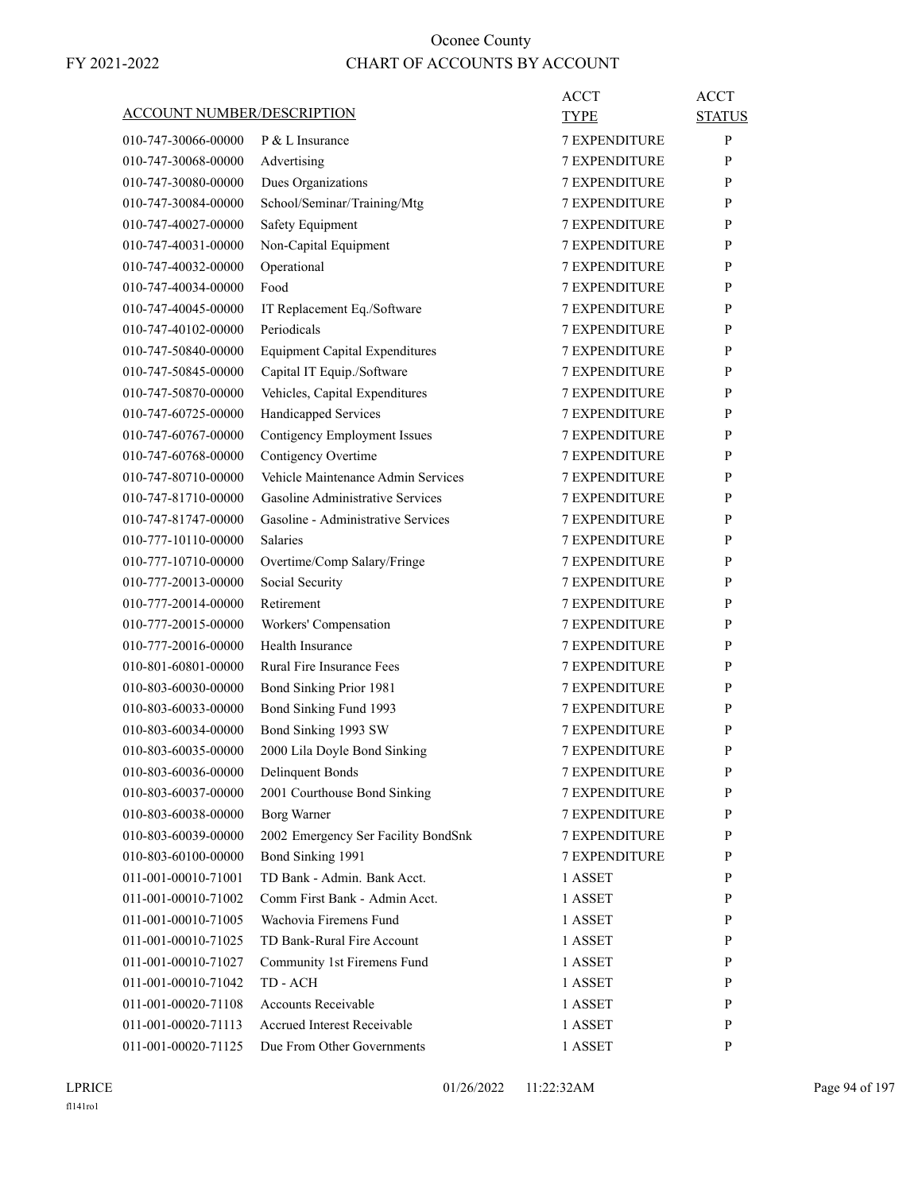| <b>ACCOUNT NUMBER/DESCRIPTION</b> |                                       | <b>ACCT</b><br>TYPE  | <b>ACCT</b><br><b>STATUS</b> |
|-----------------------------------|---------------------------------------|----------------------|------------------------------|
| 010-747-30066-00000               | P & L Insurance                       | <b>7 EXPENDITURE</b> | P                            |
| 010-747-30068-00000               | Advertising                           | 7 EXPENDITURE        | P                            |
| 010-747-30080-00000               | Dues Organizations                    | <b>7 EXPENDITURE</b> | P                            |
| 010-747-30084-00000               | School/Seminar/Training/Mtg           | <b>7 EXPENDITURE</b> | P                            |
| 010-747-40027-00000               | Safety Equipment                      | <b>7 EXPENDITURE</b> | P                            |
| 010-747-40031-00000               | Non-Capital Equipment                 | <b>7 EXPENDITURE</b> | P                            |
| 010-747-40032-00000               | Operational                           | <b>7 EXPENDITURE</b> | P                            |
| 010-747-40034-00000               | Food                                  | 7 EXPENDITURE        | P                            |
| 010-747-40045-00000               | IT Replacement Eq./Software           | <b>7 EXPENDITURE</b> | P                            |
| 010-747-40102-00000               | Periodicals                           | <b>7 EXPENDITURE</b> | P                            |
| 010-747-50840-00000               | <b>Equipment Capital Expenditures</b> | <b>7 EXPENDITURE</b> | P                            |
| 010-747-50845-00000               | Capital IT Equip./Software            | <b>7 EXPENDITURE</b> | P                            |
| 010-747-50870-00000               | Vehicles, Capital Expenditures        | <b>7 EXPENDITURE</b> | P                            |
| 010-747-60725-00000               | Handicapped Services                  | 7 EXPENDITURE        | P                            |
| 010-747-60767-00000               | <b>Contigency Employment Issues</b>   | <b>7 EXPENDITURE</b> | P                            |
| 010-747-60768-00000               | Contigency Overtime                   | <b>7 EXPENDITURE</b> | P                            |
| 010-747-80710-00000               | Vehicle Maintenance Admin Services    | <b>7 EXPENDITURE</b> | P                            |
| 010-747-81710-00000               | Gasoline Administrative Services      | <b>7 EXPENDITURE</b> | P                            |
| 010-747-81747-00000               | Gasoline - Administrative Services    | <b>7 EXPENDITURE</b> | P                            |
| 010-777-10110-00000               | <b>Salaries</b>                       | 7 EXPENDITURE        | P                            |
| 010-777-10710-00000               | Overtime/Comp Salary/Fringe           | <b>7 EXPENDITURE</b> | P                            |
| 010-777-20013-00000               | Social Security                       | <b>7 EXPENDITURE</b> | P                            |
| 010-777-20014-00000               | Retirement                            | <b>7 EXPENDITURE</b> | P                            |
| 010-777-20015-00000               | Workers' Compensation                 | <b>7 EXPENDITURE</b> | P                            |
| 010-777-20016-00000               | Health Insurance                      | <b>7 EXPENDITURE</b> | P                            |
| 010-801-60801-00000               | <b>Rural Fire Insurance Fees</b>      | 7 EXPENDITURE        | P                            |
| 010-803-60030-00000               | Bond Sinking Prior 1981               | <b>7 EXPENDITURE</b> | P                            |
| 010-803-60033-00000               | Bond Sinking Fund 1993                | <b>7 EXPENDITURE</b> | P                            |
| 010-803-60034-00000               | Bond Sinking 1993 SW                  | <b>7 EXPENDITURE</b> | P                            |
| 010-803-60035-00000               | 2000 Lila Doyle Bond Sinking          | <b>7 EXPENDITURE</b> | P                            |
| 010-803-60036-00000               | <b>Delinquent Bonds</b>               | <b>7 EXPENDITURE</b> | P                            |
| 010-803-60037-00000               | 2001 Courthouse Bond Sinking          | <b>7 EXPENDITURE</b> | P                            |
| 010-803-60038-00000               | <b>Borg Warner</b>                    | <b>7 EXPENDITURE</b> | P                            |
| 010-803-60039-00000               | 2002 Emergency Ser Facility BondSnk   | 7 EXPENDITURE        | P                            |
| 010-803-60100-00000               | Bond Sinking 1991                     | 7 EXPENDITURE        | P                            |
| 011-001-00010-71001               | TD Bank - Admin. Bank Acct.           | 1 ASSET              | P                            |
| 011-001-00010-71002               | Comm First Bank - Admin Acct.         | 1 ASSET              | P                            |
| 011-001-00010-71005               | Wachovia Firemens Fund                | 1 ASSET              | P                            |
| 011-001-00010-71025               | TD Bank-Rural Fire Account            | 1 ASSET              | P                            |
| 011-001-00010-71027               | Community 1st Firemens Fund           | 1 ASSET              | P                            |
| 011-001-00010-71042               | TD - ACH                              | 1 ASSET              | P                            |
| 011-001-00020-71108               | Accounts Receivable                   | 1 ASSET              | P                            |
| 011-001-00020-71113               | Accrued Interest Receivable           | 1 ASSET              | P                            |
| 011-001-00020-71125               | Due From Other Governments            | 1 ASSET              | P                            |
|                                   |                                       |                      |                              |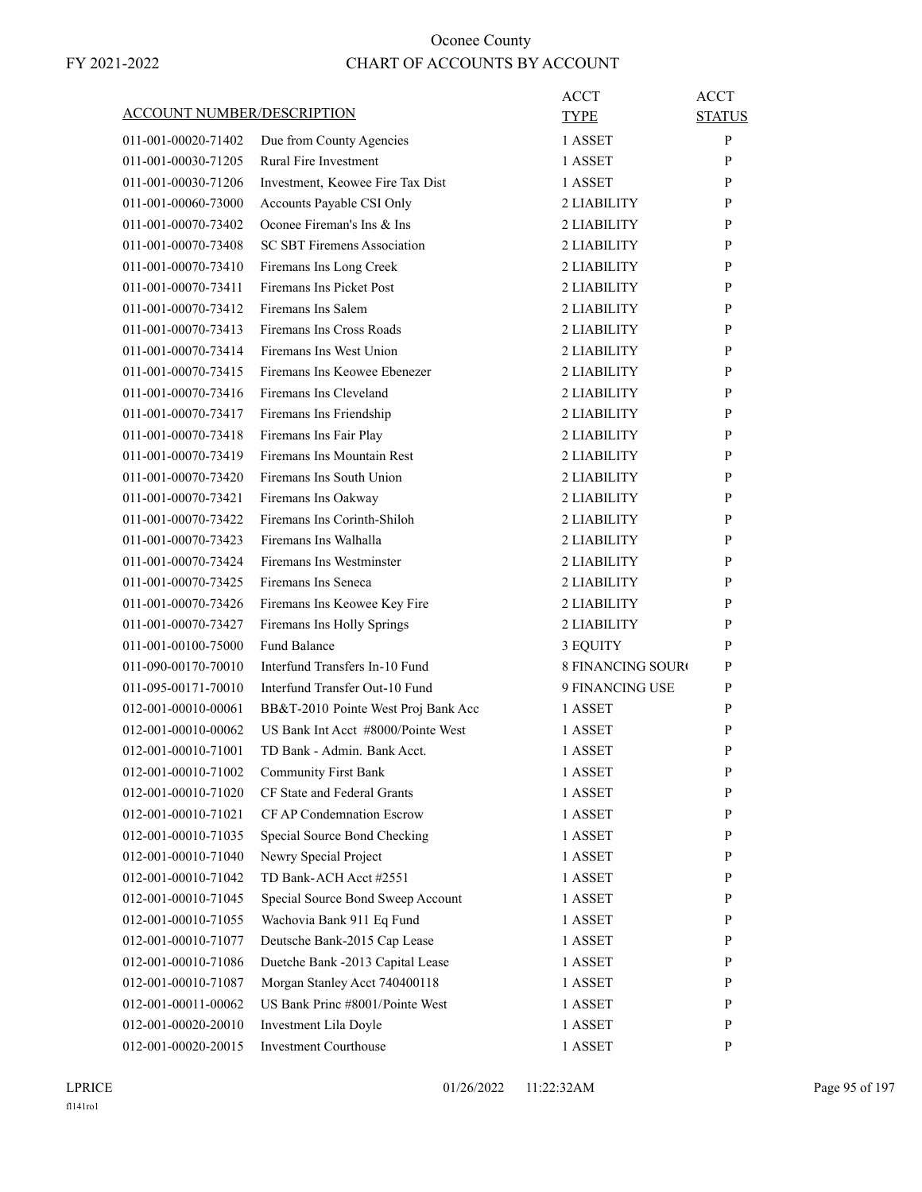|                                   |                                     | <b>ACCT</b>              | <b>ACCT</b>   |
|-----------------------------------|-------------------------------------|--------------------------|---------------|
| <b>ACCOUNT NUMBER/DESCRIPTION</b> |                                     | <b>TYPE</b>              | <b>STATUS</b> |
| 011-001-00020-71402               | Due from County Agencies            | 1 ASSET                  | P             |
| 011-001-00030-71205               | <b>Rural Fire Investment</b>        | 1 ASSET                  | P             |
| 011-001-00030-71206               | Investment, Keowee Fire Tax Dist    | 1 ASSET                  | P             |
| 011-001-00060-73000               | Accounts Payable CSI Only           | 2 LIABILITY              | P             |
| 011-001-00070-73402               | Oconee Fireman's Ins & Ins          | 2 LIABILITY              | P             |
| 011-001-00070-73408               | <b>SC SBT Firemens Association</b>  | 2 LIABILITY              | P             |
| 011-001-00070-73410               | Firemans Ins Long Creek             | 2 LIABILITY              | P             |
| 011-001-00070-73411               | Firemans Ins Picket Post            | 2 LIABILITY              | P             |
| 011-001-00070-73412               | Firemans Ins Salem                  | 2 LIABILITY              | P             |
| 011-001-00070-73413               | Firemans Ins Cross Roads            | 2 LIABILITY              | P             |
| 011-001-00070-73414               | Firemans Ins West Union             | 2 LIABILITY              | P             |
| 011-001-00070-73415               | Firemans Ins Keowee Ebenezer        | 2 LIABILITY              | P             |
| 011-001-00070-73416               | Firemans Ins Cleveland              | 2 LIABILITY              | P             |
| 011-001-00070-73417               | Firemans Ins Friendship             | 2 LIABILITY              | P             |
| 011-001-00070-73418               | Firemans Ins Fair Play              | 2 LIABILITY              | P             |
| 011-001-00070-73419               | Firemans Ins Mountain Rest          | 2 LIABILITY              | P             |
| 011-001-00070-73420               | Firemans Ins South Union            | 2 LIABILITY              | P             |
| 011-001-00070-73421               | Firemans Ins Oakway                 | 2 LIABILITY              | P             |
| 011-001-00070-73422               | Firemans Ins Corinth-Shiloh         | 2 LIABILITY              | P             |
| 011-001-00070-73423               | Firemans Ins Walhalla               | 2 LIABILITY              | P             |
| 011-001-00070-73424               | Firemans Ins Westminster            | 2 LIABILITY              | P             |
| 011-001-00070-73425               | Firemans Ins Seneca                 | 2 LIABILITY              | P             |
| 011-001-00070-73426               | Firemans Ins Keowee Key Fire        | 2 LIABILITY              | P             |
| 011-001-00070-73427               | Firemans Ins Holly Springs          | 2 LIABILITY              | P             |
| 011-001-00100-75000               | <b>Fund Balance</b>                 | 3 EQUITY                 | P             |
| 011-090-00170-70010               | Interfund Transfers In-10 Fund      | <b>8 FINANCING SOURO</b> | P             |
| 011-095-00171-70010               | Interfund Transfer Out-10 Fund      | 9 FINANCING USE          | P             |
| 012-001-00010-00061               | BB&T-2010 Pointe West Proj Bank Acc | 1 ASSET                  | P             |
| 012-001-00010-00062               | US Bank Int Acct #8000/Pointe West  | 1 ASSET                  | P             |
| 012-001-00010-71001               | TD Bank - Admin. Bank Acct.         | 1 ASSET                  | P             |
| 012-001-00010-71002               | <b>Community First Bank</b>         | 1 ASSET                  | ${\bf P}$     |
| 012-001-00010-71020               | CF State and Federal Grants         | 1 ASSET                  | P             |
| 012-001-00010-71021               | CF AP Condemnation Escrow           | 1 ASSET                  | P             |
| 012-001-00010-71035               | Special Source Bond Checking        | 1 ASSET                  | P             |
| 012-001-00010-71040               | Newry Special Project               | 1 ASSET                  | P             |
| 012-001-00010-71042               | TD Bank-ACH Acct #2551              | 1 ASSET                  | P             |
| 012-001-00010-71045               | Special Source Bond Sweep Account   | 1 ASSET                  | P             |
| 012-001-00010-71055               | Wachovia Bank 911 Eq Fund           | 1 ASSET                  | P             |
| 012-001-00010-71077               | Deutsche Bank-2015 Cap Lease        | 1 ASSET                  | P             |
| 012-001-00010-71086               | Duetche Bank -2013 Capital Lease    | 1 ASSET                  | P             |
| 012-001-00010-71087               | Morgan Stanley Acct 740400118       | 1 ASSET                  | P             |
| 012-001-00011-00062               | US Bank Princ #8001/Pointe West     | 1 ASSET                  | P             |
| 012-001-00020-20010               | Investment Lila Doyle               | 1 ASSET                  | P             |
| 012-001-00020-20015               | Investment Courthouse               | 1 ASSET                  | P             |
|                                   |                                     |                          |               |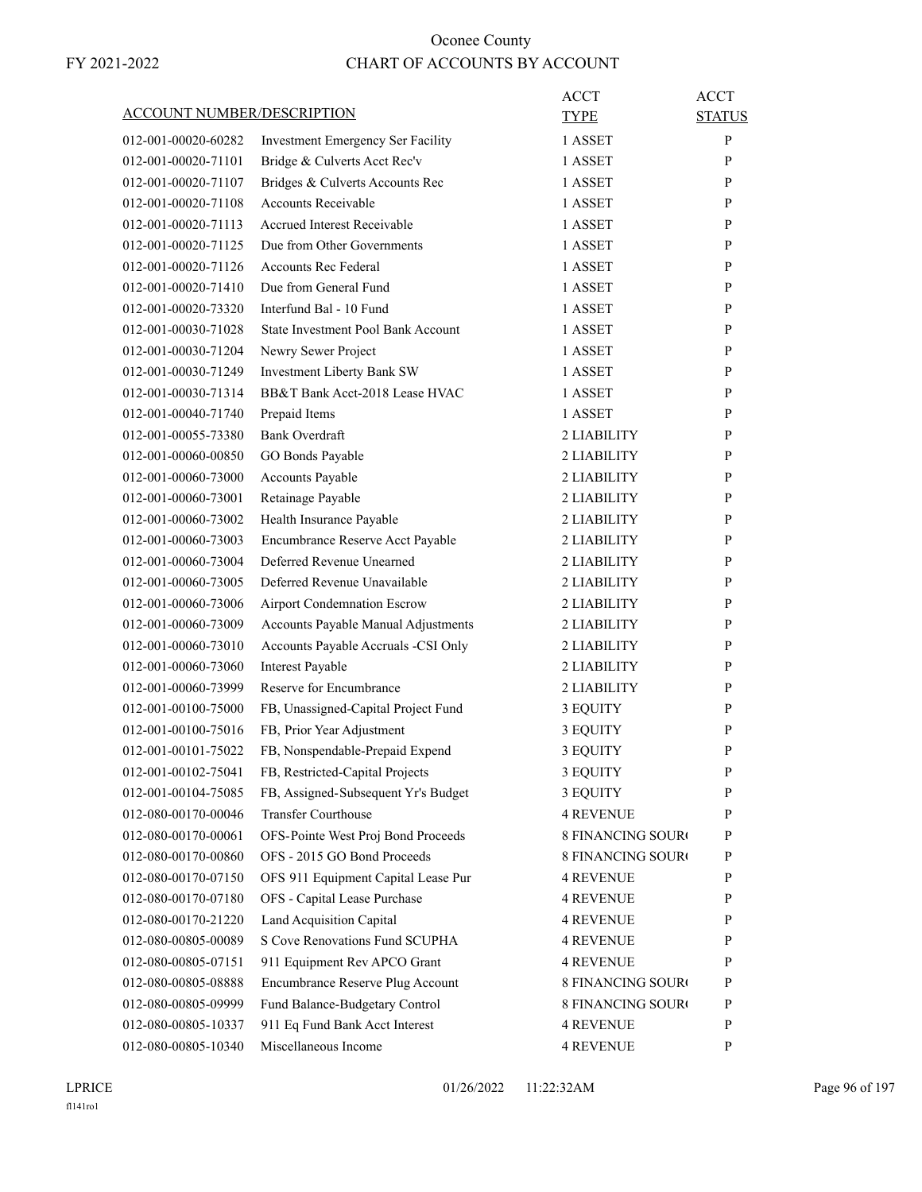| <b>ACCOUNT NUMBER/DESCRIPTION</b> |                                                               | <b>ACCT</b><br><b>TYPE</b> | <b>ACCT</b><br><b>STATUS</b> |
|-----------------------------------|---------------------------------------------------------------|----------------------------|------------------------------|
| 012-001-00020-60282               |                                                               | 1 ASSET                    | P                            |
|                                   | Investment Emergency Ser Facility                             |                            |                              |
| 012-001-00020-71101               | Bridge & Culverts Acct Rec'v                                  | 1 ASSET                    | P                            |
| 012-001-00020-71107               | Bridges & Culverts Accounts Rec<br><b>Accounts Receivable</b> | 1 ASSET                    | P                            |
| 012-001-00020-71108               |                                                               | 1 ASSET                    | P                            |
| 012-001-00020-71113               | Accrued Interest Receivable                                   | 1 ASSET                    | P                            |
| 012-001-00020-71125               | Due from Other Governments                                    | 1 ASSET                    | P                            |
| 012-001-00020-71126               | <b>Accounts Rec Federal</b>                                   | 1 ASSET                    | P                            |
| 012-001-00020-71410               | Due from General Fund                                         | 1 ASSET                    | P                            |
| 012-001-00020-73320               | Interfund Bal - 10 Fund                                       | 1 ASSET                    | P                            |
| 012-001-00030-71028               | State Investment Pool Bank Account                            | 1 ASSET                    | P                            |
| 012-001-00030-71204               | Newry Sewer Project                                           | 1 ASSET                    | P                            |
| 012-001-00030-71249               | Investment Liberty Bank SW                                    | 1 ASSET                    | P                            |
| 012-001-00030-71314               | BB&T Bank Acct-2018 Lease HVAC                                | 1 ASSET                    | P                            |
| 012-001-00040-71740               | Prepaid Items                                                 | 1 ASSET                    | P                            |
| 012-001-00055-73380               | <b>Bank Overdraft</b>                                         | 2 LIABILITY                | P                            |
| 012-001-00060-00850               | GO Bonds Payable                                              | 2 LIABILITY                | P                            |
| 012-001-00060-73000               | <b>Accounts Payable</b>                                       | 2 LIABILITY                | P                            |
| 012-001-00060-73001               | Retainage Payable                                             | 2 LIABILITY                | P                            |
| 012-001-00060-73002               | Health Insurance Payable                                      | 2 LIABILITY                | P                            |
| 012-001-00060-73003               | Encumbrance Reserve Acct Payable                              | 2 LIABILITY                | P                            |
| 012-001-00060-73004               | Deferred Revenue Unearned                                     | 2 LIABILITY                | P                            |
| 012-001-00060-73005               | Deferred Revenue Unavailable                                  | 2 LIABILITY                | P                            |
| 012-001-00060-73006               | <b>Airport Condemnation Escrow</b>                            | 2 LIABILITY                | P                            |
| 012-001-00060-73009               | Accounts Payable Manual Adjustments                           | 2 LIABILITY                | P                            |
| 012-001-00060-73010               | Accounts Payable Accruals -CSI Only                           | 2 LIABILITY                | P                            |
| 012-001-00060-73060               | <b>Interest Payable</b>                                       | 2 LIABILITY                | P                            |
| 012-001-00060-73999               | Reserve for Encumbrance                                       | 2 LIABILITY                | P                            |
| 012-001-00100-75000               | FB, Unassigned-Capital Project Fund                           | 3 EQUITY                   | P                            |
| 012-001-00100-75016               | FB, Prior Year Adjustment                                     | 3 EQUITY                   | P                            |
| 012-001-00101-75022               | FB, Nonspendable-Prepaid Expend                               | 3 EQUITY                   | P                            |
| 012-001-00102-75041               | FB, Restricted-Capital Projects                               | 3 EQUITY                   | P                            |
| 012-001-00104-75085               | FB, Assigned-Subsequent Yr's Budget                           | 3 EQUITY                   | P                            |
| 012-080-00170-00046               | <b>Transfer Courthouse</b>                                    | <b>4 REVENUE</b>           | P                            |
| 012-080-00170-00061               | OFS-Pointe West Proj Bond Proceeds                            | <b>8 FINANCING SOURO</b>   | P                            |
| 012-080-00170-00860               | OFS - 2015 GO Bond Proceeds                                   | 8 FINANCING SOURO          | P                            |
| 012-080-00170-07150               | OFS 911 Equipment Capital Lease Pur                           | <b>4 REVENUE</b>           | P                            |
| 012-080-00170-07180               | OFS - Capital Lease Purchase                                  | <b>4 REVENUE</b>           | P                            |
| 012-080-00170-21220               | Land Acquisition Capital                                      | <b>4 REVENUE</b>           | P                            |
| 012-080-00805-00089               | S Cove Renovations Fund SCUPHA                                | 4 REVENUE                  | P                            |
| 012-080-00805-07151               | 911 Equipment Rev APCO Grant                                  | <b>4 REVENUE</b>           | P                            |
| 012-080-00805-08888               | Encumbrance Reserve Plug Account                              | 8 FINANCING SOURO          | P                            |
| 012-080-00805-09999               | Fund Balance-Budgetary Control                                | 8 FINANCING SOURO          | P                            |
| 012-080-00805-10337               | 911 Eq Fund Bank Acct Interest                                | <b>4 REVENUE</b>           | P                            |
| 012-080-00805-10340               | Miscellaneous Income                                          | 4 REVENUE                  | P                            |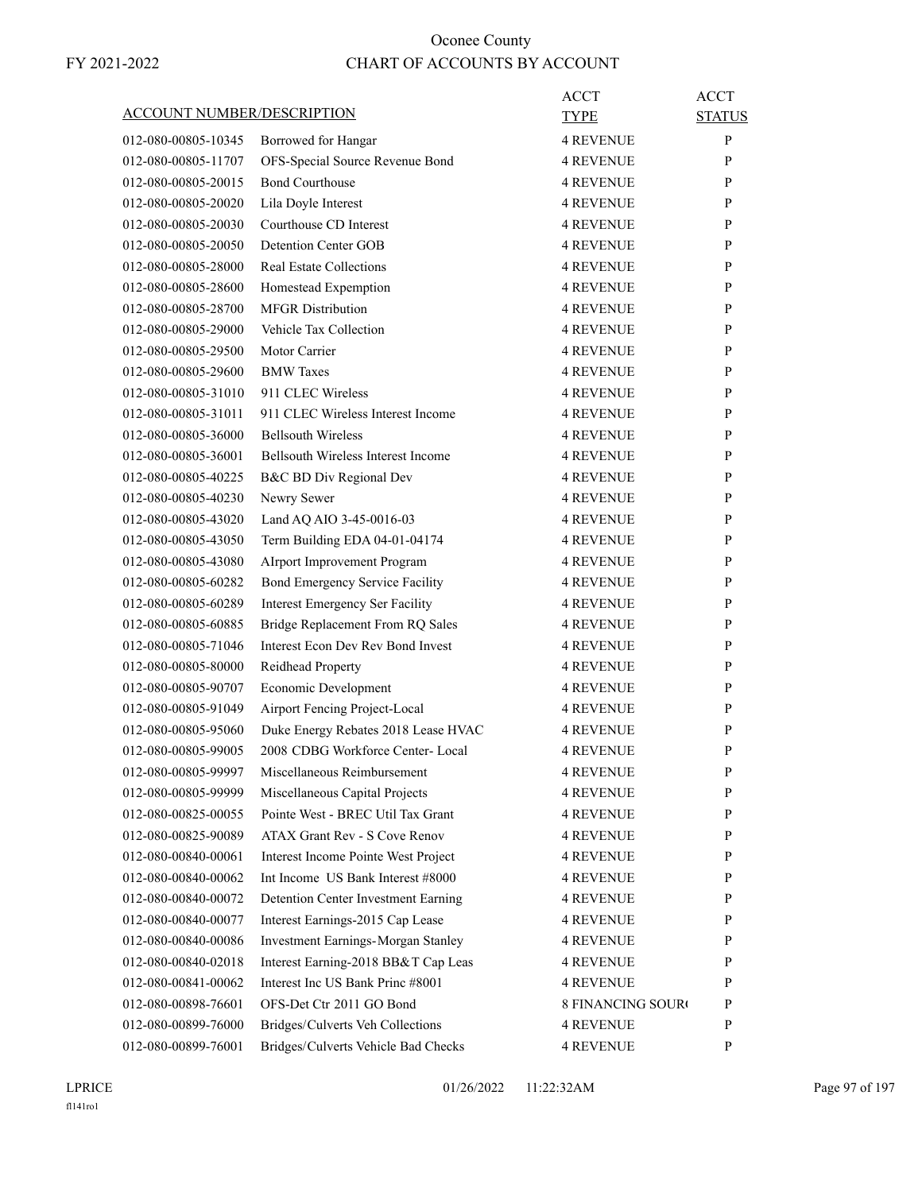| <b>ACCOUNT NUMBER/DESCRIPTION</b> |                                                           | ACCT<br>TYPE             | <b>ACCT</b><br><b>STATUS</b> |
|-----------------------------------|-----------------------------------------------------------|--------------------------|------------------------------|
|                                   |                                                           | <b>4 REVENUE</b>         | P                            |
| 012-080-00805-10345               | Borrowed for Hangar                                       |                          |                              |
| 012-080-00805-11707               | OFS-Special Source Revenue Bond<br><b>Bond Courthouse</b> | <b>4 REVENUE</b>         | P                            |
| 012-080-00805-20015               |                                                           | <b>4 REVENUE</b>         | P                            |
| 012-080-00805-20020               | Lila Doyle Interest                                       | <b>4 REVENUE</b>         | P                            |
| 012-080-00805-20030               | Courthouse CD Interest                                    | <b>4 REVENUE</b>         | P                            |
| 012-080-00805-20050               | Detention Center GOB                                      | <b>4 REVENUE</b>         | P                            |
| 012-080-00805-28000               | <b>Real Estate Collections</b>                            | <b>4 REVENUE</b>         | P                            |
| 012-080-00805-28600               | Homestead Expemption                                      | <b>4 REVENUE</b>         | P                            |
| 012-080-00805-28700               | <b>MFGR</b> Distribution                                  | <b>4 REVENUE</b>         | P                            |
| 012-080-00805-29000               | Vehicle Tax Collection                                    | <b>4 REVENUE</b>         | P                            |
| 012-080-00805-29500               | Motor Carrier                                             | <b>4 REVENUE</b>         | P                            |
| 012-080-00805-29600               | <b>BMW</b> Taxes                                          | <b>4 REVENUE</b>         | P                            |
| 012-080-00805-31010               | 911 CLEC Wireless                                         | <b>4 REVENUE</b>         | P                            |
| 012-080-00805-31011               | 911 CLEC Wireless Interest Income                         | <b>4 REVENUE</b>         | P                            |
| 012-080-00805-36000               | <b>Bellsouth Wireless</b>                                 | <b>4 REVENUE</b>         | P                            |
| 012-080-00805-36001               | <b>Bellsouth Wireless Interest Income</b>                 | <b>4 REVENUE</b>         | P                            |
| 012-080-00805-40225               | B&C BD Div Regional Dev                                   | <b>4 REVENUE</b>         | P                            |
| 012-080-00805-40230               | Newry Sewer                                               | <b>4 REVENUE</b>         | P                            |
| 012-080-00805-43020               | Land AQ AIO 3-45-0016-03                                  | <b>4 REVENUE</b>         | P                            |
| 012-080-00805-43050               | Term Building EDA 04-01-04174                             | <b>4 REVENUE</b>         | P                            |
| 012-080-00805-43080               | Alrport Improvement Program                               | <b>4 REVENUE</b>         | P                            |
| 012-080-00805-60282               | Bond Emergency Service Facility                           | <b>4 REVENUE</b>         | P                            |
| 012-080-00805-60289               | Interest Emergency Ser Facility                           | <b>4 REVENUE</b>         | P                            |
| 012-080-00805-60885               | Bridge Replacement From RQ Sales                          | <b>4 REVENUE</b>         | P                            |
| 012-080-00805-71046               | Interest Econ Dev Rev Bond Invest                         | <b>4 REVENUE</b>         | P                            |
| 012-080-00805-80000               | Reidhead Property                                         | <b>4 REVENUE</b>         | P                            |
| 012-080-00805-90707               | Economic Development                                      | <b>4 REVENUE</b>         | P                            |
| 012-080-00805-91049               | Airport Fencing Project-Local                             | <b>4 REVENUE</b>         | P                            |
| 012-080-00805-95060               | Duke Energy Rebates 2018 Lease HVAC                       | <b>4 REVENUE</b>         | P                            |
| 012-080-00805-99005               | 2008 CDBG Workforce Center- Local                         | <b>4 REVENUE</b>         | P                            |
| 012-080-00805-99997               | Miscellaneous Reimbursement                               | <b>4 REVENUE</b>         | P                            |
| 012-080-00805-99999               | Miscellaneous Capital Projects                            | <b>4 REVENUE</b>         | P                            |
| 012-080-00825-00055               | Pointe West - BREC Util Tax Grant                         | <b>4 REVENUE</b>         | P                            |
| 012-080-00825-90089               | ATAX Grant Rev - S Cove Renov                             | <b>4 REVENUE</b>         | P                            |
| 012-080-00840-00061               | Interest Income Pointe West Project                       | <b>4 REVENUE</b>         | P                            |
| 012-080-00840-00062               | Int Income US Bank Interest #8000                         | <b>4 REVENUE</b>         | P                            |
| 012-080-00840-00072               | Detention Center Investment Earning                       | <b>4 REVENUE</b>         | P                            |
| 012-080-00840-00077               | Interest Earnings-2015 Cap Lease                          | <b>4 REVENUE</b>         | P                            |
| 012-080-00840-00086               | <b>Investment Earnings-Morgan Stanley</b>                 | <b>4 REVENUE</b>         | P                            |
| 012-080-00840-02018               | Interest Earning-2018 BB&T Cap Leas                       | <b>4 REVENUE</b>         | P                            |
| 012-080-00841-00062               | Interest Inc US Bank Princ #8001                          | <b>4 REVENUE</b>         | P                            |
| 012-080-00898-76601               | OFS-Det Ctr 2011 GO Bond                                  | <b>8 FINANCING SOURO</b> | P                            |
| 012-080-00899-76000               | Bridges/Culverts Veh Collections                          | <b>4 REVENUE</b>         | P                            |
| 012-080-00899-76001               | Bridges/Culverts Vehicle Bad Checks                       | 4 REVENUE                | P                            |
|                                   |                                                           |                          |                              |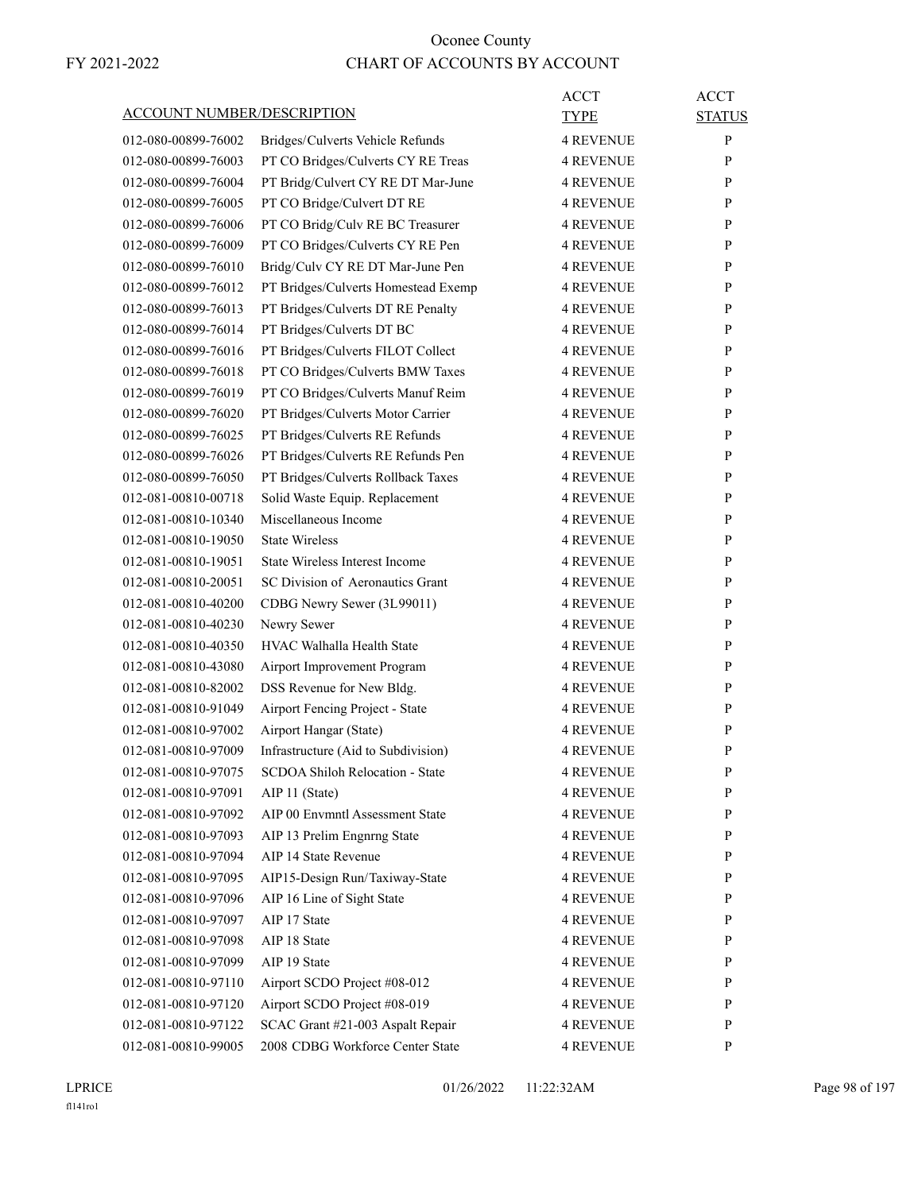|                                   |                                       | <b>ACCT</b>      | <b>ACCT</b>   |
|-----------------------------------|---------------------------------------|------------------|---------------|
| <b>ACCOUNT NUMBER/DESCRIPTION</b> |                                       | TYPE             | <b>STATUS</b> |
| 012-080-00899-76002               | Bridges/Culverts Vehicle Refunds      | <b>4 REVENUE</b> | P             |
| 012-080-00899-76003               | PT CO Bridges/Culverts CY RE Treas    | <b>4 REVENUE</b> | P             |
| 012-080-00899-76004               | PT Bridg/Culvert CY RE DT Mar-June    | <b>4 REVENUE</b> | P             |
| 012-080-00899-76005               | PT CO Bridge/Culvert DT RE            | <b>4 REVENUE</b> | P             |
| 012-080-00899-76006               | PT CO Bridg/Culv RE BC Treasurer      | <b>4 REVENUE</b> | P             |
| 012-080-00899-76009               | PT CO Bridges/Culverts CY RE Pen      | <b>4 REVENUE</b> | P             |
| 012-080-00899-76010               | Bridg/Culv CY RE DT Mar-June Pen      | <b>4 REVENUE</b> | P             |
| 012-080-00899-76012               | PT Bridges/Culverts Homestead Exemp   | <b>4 REVENUE</b> | P             |
| 012-080-00899-76013               | PT Bridges/Culverts DT RE Penalty     | <b>4 REVENUE</b> | P             |
| 012-080-00899-76014               | PT Bridges/Culverts DT BC             | <b>4 REVENUE</b> | P             |
| 012-080-00899-76016               | PT Bridges/Culverts FILOT Collect     | <b>4 REVENUE</b> | P             |
| 012-080-00899-76018               | PT CO Bridges/Culverts BMW Taxes      | <b>4 REVENUE</b> | P             |
| 012-080-00899-76019               | PT CO Bridges/Culverts Manuf Reim     | <b>4 REVENUE</b> | P             |
| 012-080-00899-76020               | PT Bridges/Culverts Motor Carrier     | <b>4 REVENUE</b> | P             |
| 012-080-00899-76025               | PT Bridges/Culverts RE Refunds        | <b>4 REVENUE</b> | P             |
| 012-080-00899-76026               | PT Bridges/Culverts RE Refunds Pen    | <b>4 REVENUE</b> | P             |
| 012-080-00899-76050               | PT Bridges/Culverts Rollback Taxes    | <b>4 REVENUE</b> | P             |
| 012-081-00810-00718               | Solid Waste Equip. Replacement        | <b>4 REVENUE</b> | P             |
| 012-081-00810-10340               | Miscellaneous Income                  | <b>4 REVENUE</b> | P             |
| 012-081-00810-19050               | <b>State Wireless</b>                 | <b>4 REVENUE</b> | P             |
| 012-081-00810-19051               | <b>State Wireless Interest Income</b> | <b>4 REVENUE</b> | P             |
| 012-081-00810-20051               | SC Division of Aeronautics Grant      | <b>4 REVENUE</b> | P             |
| 012-081-00810-40200               | CDBG Newry Sewer (3L99011)            | <b>4 REVENUE</b> | P             |
| 012-081-00810-40230               | Newry Sewer                           | <b>4 REVENUE</b> | P             |
| 012-081-00810-40350               | HVAC Walhalla Health State            | <b>4 REVENUE</b> | P             |
| 012-081-00810-43080               | Airport Improvement Program           | <b>4 REVENUE</b> | P             |
| 012-081-00810-82002               | DSS Revenue for New Bldg.             | <b>4 REVENUE</b> | P             |
| 012-081-00810-91049               | Airport Fencing Project - State       | <b>4 REVENUE</b> | P             |
| 012-081-00810-97002               | Airport Hangar (State)                | <b>4 REVENUE</b> | P             |
| 012-081-00810-97009               | Infrastructure (Aid to Subdivision)   | <b>4 REVENUE</b> | P             |
| 012-081-00810-97075               | SCDOA Shiloh Relocation - State       | <b>4 REVENUE</b> | ${\bf P}$     |
| 012-081-00810-97091               | AIP 11 (State)                        | <b>4 REVENUE</b> | P             |
| 012-081-00810-97092               | AIP 00 Envmntl Assessment State       | <b>4 REVENUE</b> | P             |
| 012-081-00810-97093               | AIP 13 Prelim Engnrng State           | <b>4 REVENUE</b> | P             |
| 012-081-00810-97094               | AIP 14 State Revenue                  | <b>4 REVENUE</b> | P             |
| 012-081-00810-97095               | AIP15-Design Run/Taxiway-State        | <b>4 REVENUE</b> | P             |
| 012-081-00810-97096               | AIP 16 Line of Sight State            | <b>4 REVENUE</b> | P             |
| 012-081-00810-97097               | AIP 17 State                          | <b>4 REVENUE</b> | $\mathbf{P}$  |
| 012-081-00810-97098               | AIP 18 State                          | <b>4 REVENUE</b> | P             |
| 012-081-00810-97099               | AIP 19 State                          | <b>4 REVENUE</b> | P             |
| 012-081-00810-97110               | Airport SCDO Project #08-012          | 4 REVENUE        | P             |
| 012-081-00810-97120               | Airport SCDO Project #08-019          | <b>4 REVENUE</b> | P             |
| 012-081-00810-97122               | SCAC Grant #21-003 Aspalt Repair      | <b>4 REVENUE</b> | P             |
| 012-081-00810-99005               | 2008 CDBG Workforce Center State      | <b>4 REVENUE</b> | P             |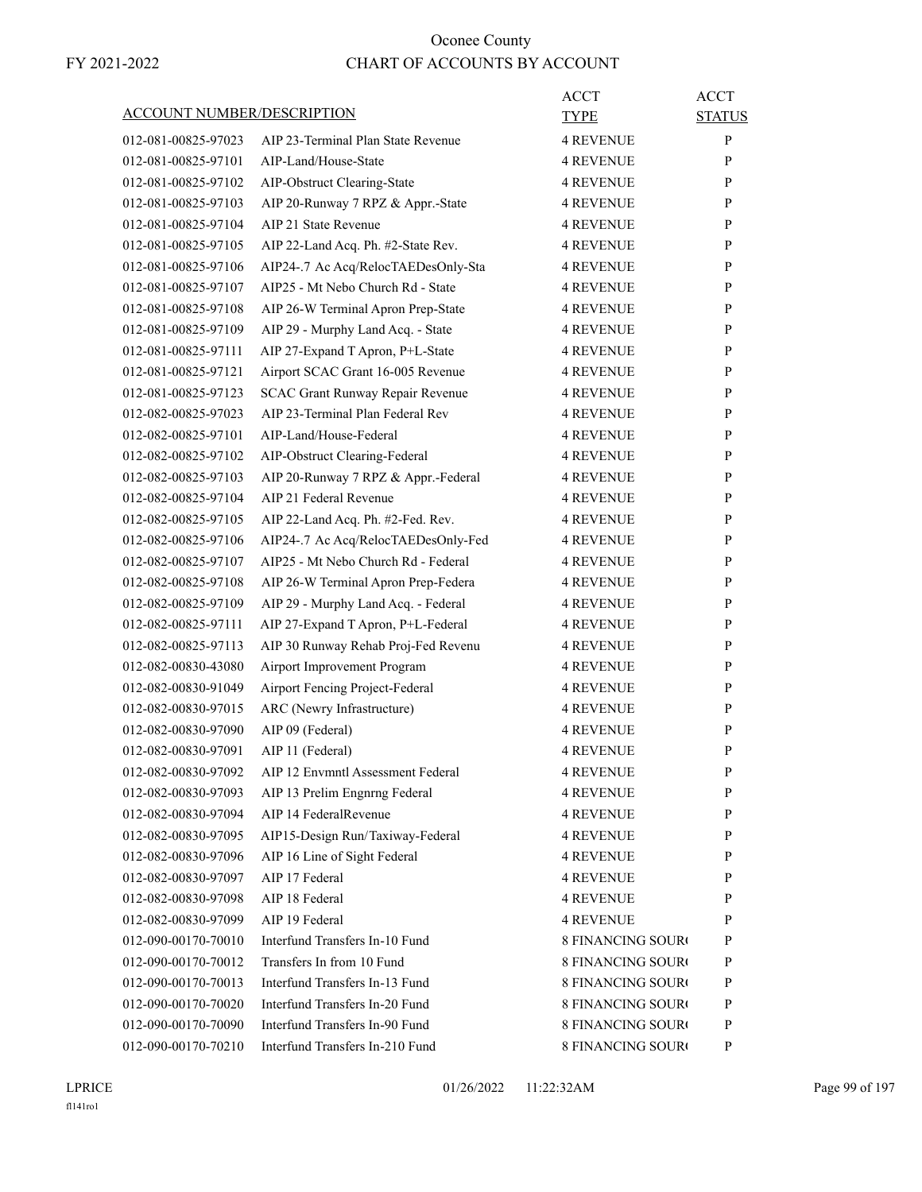|                                   |                                     | <b>ACCT</b>              | <b>ACCT</b>   |
|-----------------------------------|-------------------------------------|--------------------------|---------------|
| <b>ACCOUNT NUMBER/DESCRIPTION</b> |                                     | <b>TYPE</b>              | <b>STATUS</b> |
| 012-081-00825-97023               | AIP 23-Terminal Plan State Revenue  | <b>4 REVENUE</b>         | P             |
| 012-081-00825-97101               | AIP-Land/House-State                | <b>4 REVENUE</b>         | P             |
| 012-081-00825-97102               | AIP-Obstruct Clearing-State         | <b>4 REVENUE</b>         | P             |
| 012-081-00825-97103               | AIP 20-Runway 7 RPZ & Appr.-State   | <b>4 REVENUE</b>         | P             |
| 012-081-00825-97104               | AIP 21 State Revenue                | <b>4 REVENUE</b>         | P             |
| 012-081-00825-97105               | AIP 22-Land Acq. Ph. #2-State Rev.  | <b>4 REVENUE</b>         | P             |
| 012-081-00825-97106               | AIP24-.7 Ac Acq/RelocTAEDesOnly-Sta | <b>4 REVENUE</b>         | P             |
| 012-081-00825-97107               | AIP25 - Mt Nebo Church Rd - State   | <b>4 REVENUE</b>         | P             |
| 012-081-00825-97108               | AIP 26-W Terminal Apron Prep-State  | <b>4 REVENUE</b>         | P             |
| 012-081-00825-97109               | AIP 29 - Murphy Land Acq. - State   | <b>4 REVENUE</b>         | P             |
| 012-081-00825-97111               | AIP 27-Expand T Apron, P+L-State    | <b>4 REVENUE</b>         | P             |
| 012-081-00825-97121               | Airport SCAC Grant 16-005 Revenue   | <b>4 REVENUE</b>         | P             |
| 012-081-00825-97123               | SCAC Grant Runway Repair Revenue    | <b>4 REVENUE</b>         | P             |
| 012-082-00825-97023               | AIP 23-Terminal Plan Federal Rev    | <b>4 REVENUE</b>         | P             |
| 012-082-00825-97101               | AIP-Land/House-Federal              | <b>4 REVENUE</b>         | P             |
| 012-082-00825-97102               | AIP-Obstruct Clearing-Federal       | <b>4 REVENUE</b>         | P             |
| 012-082-00825-97103               | AIP 20-Runway 7 RPZ & Appr.-Federal | <b>4 REVENUE</b>         | P             |
| 012-082-00825-97104               | AIP 21 Federal Revenue              | <b>4 REVENUE</b>         | P             |
| 012-082-00825-97105               | AIP 22-Land Acq. Ph. #2-Fed. Rev.   | <b>4 REVENUE</b>         | P             |
| 012-082-00825-97106               | AIP24-.7 Ac Acq/RelocTAEDesOnly-Fed | <b>4 REVENUE</b>         | P             |
| 012-082-00825-97107               | AIP25 - Mt Nebo Church Rd - Federal | 4 REVENUE                | P             |
| 012-082-00825-97108               | AIP 26-W Terminal Apron Prep-Federa | <b>4 REVENUE</b>         | P             |
| 012-082-00825-97109               | AIP 29 - Murphy Land Acq. - Federal | <b>4 REVENUE</b>         | P             |
| 012-082-00825-97111               | AIP 27-Expand T Apron, P+L-Federal  | 4 REVENUE                | P             |
| 012-082-00825-97113               | AIP 30 Runway Rehab Proj-Fed Revenu | <b>4 REVENUE</b>         | P             |
| 012-082-00830-43080               | Airport Improvement Program         | <b>4 REVENUE</b>         | P             |
| 012-082-00830-91049               | Airport Fencing Project-Federal     | <b>4 REVENUE</b>         | P             |
| 012-082-00830-97015               | ARC (Newry Infrastructure)          | <b>4 REVENUE</b>         | P             |
| 012-082-00830-97090               | AIP 09 (Federal)                    | <b>4 REVENUE</b>         | P             |
| 012-082-00830-97091               | AIP 11 (Federal)                    | 4 REVENUE                | P             |
| 012-082-00830-97092               | AIP 12 Envmntl Assessment Federal   | <b>4 REVENUE</b>         | ${\bf P}$     |
| 012-082-00830-97093               | AIP 13 Prelim Engnrng Federal       | <b>4 REVENUE</b>         | P             |
| 012-082-00830-97094               | AIP 14 FederalRevenue               | <b>4 REVENUE</b>         | P             |
| 012-082-00830-97095               | AIP15-Design Run/Taxiway-Federal    | <b>4 REVENUE</b>         | P             |
| 012-082-00830-97096               | AIP 16 Line of Sight Federal        | <b>4 REVENUE</b>         | P             |
| 012-082-00830-97097               | AIP 17 Federal                      | <b>4 REVENUE</b>         | P             |
| 012-082-00830-97098               | AIP 18 Federal                      | <b>4 REVENUE</b>         | P             |
| 012-082-00830-97099               | AIP 19 Federal                      | <b>4 REVENUE</b>         | P             |
| 012-090-00170-70010               | Interfund Transfers In-10 Fund      | <b>8 FINANCING SOURO</b> | P             |
| 012-090-00170-70012               | Transfers In from 10 Fund           | <b>8 FINANCING SOURO</b> | P             |
| 012-090-00170-70013               | Interfund Transfers In-13 Fund      | <b>8 FINANCING SOURO</b> | P             |
| 012-090-00170-70020               | Interfund Transfers In-20 Fund      | <b>8 FINANCING SOURO</b> | P             |
| 012-090-00170-70090               | Interfund Transfers In-90 Fund      | 8 FINANCING SOURO        | P             |
| 012-090-00170-70210               | Interfund Transfers In-210 Fund     | 8 FINANCING SOURO        | P             |
|                                   |                                     |                          |               |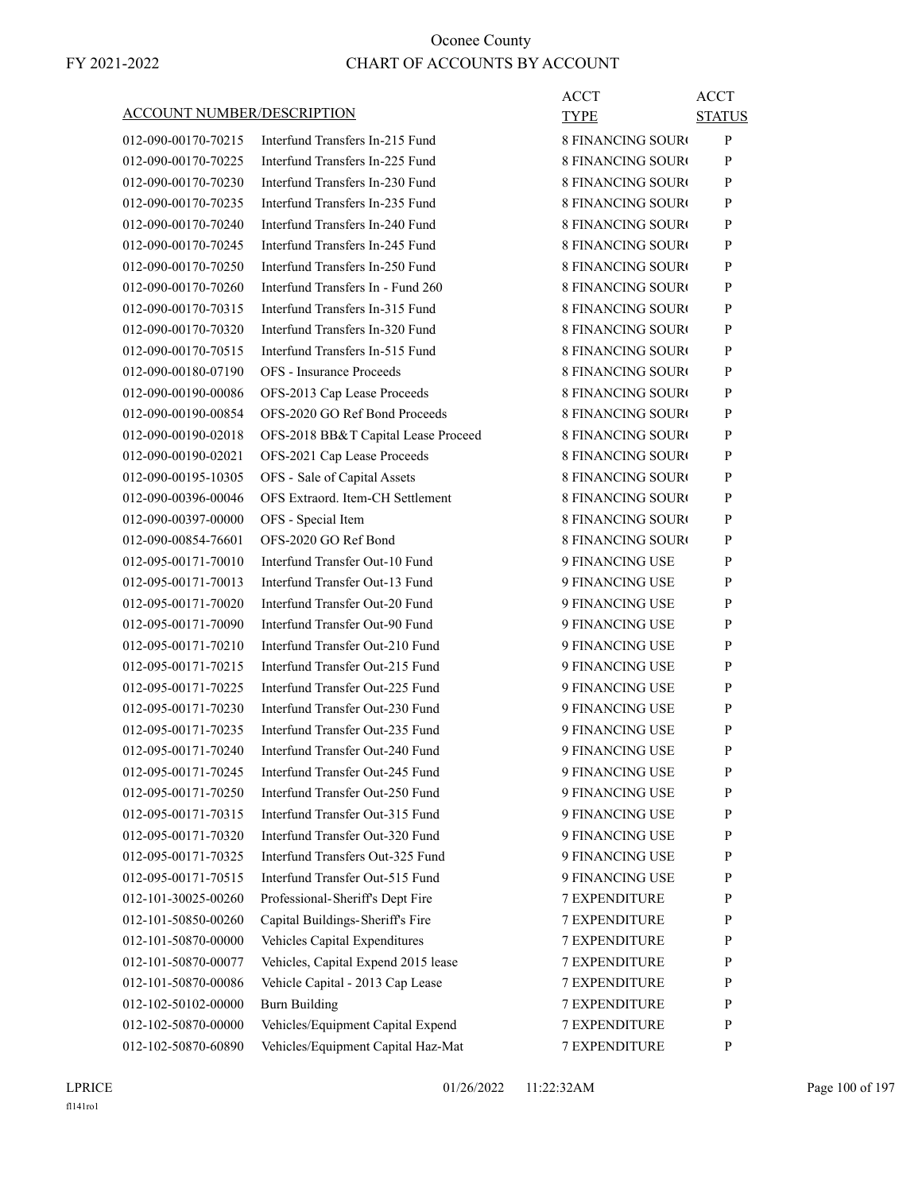|                                   |                                     | <b>ACCT</b>              | <b>ACCT</b>   |
|-----------------------------------|-------------------------------------|--------------------------|---------------|
| <b>ACCOUNT NUMBER/DESCRIPTION</b> |                                     | TYPE                     | <b>STATUS</b> |
| 012-090-00170-70215               | Interfund Transfers In-215 Fund     | <b>8 FINANCING SOURO</b> | $\mathbf{P}$  |
| 012-090-00170-70225               | Interfund Transfers In-225 Fund     | <b>8 FINANCING SOURO</b> | P             |
| 012-090-00170-70230               | Interfund Transfers In-230 Fund     | <b>8 FINANCING SOURO</b> | P             |
| 012-090-00170-70235               | Interfund Transfers In-235 Fund     | 8 FINANCING SOURO        | P             |
| 012-090-00170-70240               | Interfund Transfers In-240 Fund     | 8 FINANCING SOURO        | P             |
| 012-090-00170-70245               | Interfund Transfers In-245 Fund     | <b>8 FINANCING SOURO</b> | P             |
| 012-090-00170-70250               | Interfund Transfers In-250 Fund     | <b>8 FINANCING SOURC</b> | P             |
| 012-090-00170-70260               | Interfund Transfers In - Fund 260   | <b>8 FINANCING SOURO</b> | P             |
| 012-090-00170-70315               | Interfund Transfers In-315 Fund     | <b>8 FINANCING SOURO</b> | P             |
| 012-090-00170-70320               | Interfund Transfers In-320 Fund     | 8 FINANCING SOURO        | P             |
| 012-090-00170-70515               | Interfund Transfers In-515 Fund     | 8 FINANCING SOURO        | P             |
| 012-090-00180-07190               | <b>OFS</b> - Insurance Proceeds     | <b>8 FINANCING SOURO</b> | P             |
| 012-090-00190-00086               | OFS-2013 Cap Lease Proceeds         | <b>8 FINANCING SOURO</b> | P             |
| 012-090-00190-00854               | OFS-2020 GO Ref Bond Proceeds       | <b>8 FINANCING SOURO</b> | P             |
| 012-090-00190-02018               | OFS-2018 BB&T Capital Lease Proceed | <b>8 FINANCING SOURO</b> | P             |
| 012-090-00190-02021               | OFS-2021 Cap Lease Proceeds         | 8 FINANCING SOURO        | P             |
| 012-090-00195-10305               | OFS - Sale of Capital Assets        | 8 FINANCING SOURO        | P             |
| 012-090-00396-00046               | OFS Extraord. Item-CH Settlement    | <b>8 FINANCING SOURO</b> | P             |
| 012-090-00397-00000               | OFS - Special Item                  | <b>8 FINANCING SOURO</b> | P             |
| 012-090-00854-76601               | OFS-2020 GO Ref Bond                | <b>8 FINANCING SOURO</b> | P             |
| 012-095-00171-70010               | Interfund Transfer Out-10 Fund      | 9 FINANCING USE          | P             |
| 012-095-00171-70013               | Interfund Transfer Out-13 Fund      | 9 FINANCING USE          | P             |
| 012-095-00171-70020               | Interfund Transfer Out-20 Fund      | 9 FINANCING USE          | P             |
| 012-095-00171-70090               | Interfund Transfer Out-90 Fund      | 9 FINANCING USE          | P             |
| 012-095-00171-70210               | Interfund Transfer Out-210 Fund     | 9 FINANCING USE          | P             |
| 012-095-00171-70215               | Interfund Transfer Out-215 Fund     | 9 FINANCING USE          | P             |
| 012-095-00171-70225               | Interfund Transfer Out-225 Fund     | 9 FINANCING USE          | P             |
| 012-095-00171-70230               | Interfund Transfer Out-230 Fund     | 9 FINANCING USE          | P             |
| 012-095-00171-70235               | Interfund Transfer Out-235 Fund     | 9 FINANCING USE          | P             |
| 012-095-00171-70240               | Interfund Transfer Out-240 Fund     | 9 FINANCING USE          | P             |
| 012-095-00171-70245               | Interfund Transfer Out-245 Fund     | 9 FINANCING USE          | ${\bf P}$     |
| 012-095-00171-70250               | Interfund Transfer Out-250 Fund     | 9 FINANCING USE          | P             |
| 012-095-00171-70315               | Interfund Transfer Out-315 Fund     | 9 FINANCING USE          | P             |
| 012-095-00171-70320               | Interfund Transfer Out-320 Fund     | 9 FINANCING USE          | P             |
| 012-095-00171-70325               | Interfund Transfers Out-325 Fund    | 9 FINANCING USE          | P             |
| 012-095-00171-70515               | Interfund Transfer Out-515 Fund     | 9 FINANCING USE          | P             |
| 012-101-30025-00260               | Professional-Sheriff's Dept Fire    | 7 EXPENDITURE            | P             |
| 012-101-50850-00260               | Capital Buildings-Sheriff's Fire    | <b>7 EXPENDITURE</b>     | P             |
| 012-101-50870-00000               | Vehicles Capital Expenditures       | <b>7 EXPENDITURE</b>     | P             |
| 012-101-50870-00077               | Vehicles, Capital Expend 2015 lease | 7 EXPENDITURE            | P             |
| 012-101-50870-00086               | Vehicle Capital - 2013 Cap Lease    | 7 EXPENDITURE            | P             |
| 012-102-50102-00000               | <b>Burn Building</b>                | 7 EXPENDITURE            | P             |
| 012-102-50870-00000               | Vehicles/Equipment Capital Expend   | 7 EXPENDITURE            | P             |
| 012-102-50870-60890               | Vehicles/Equipment Capital Haz-Mat  | 7 EXPENDITURE            | P             |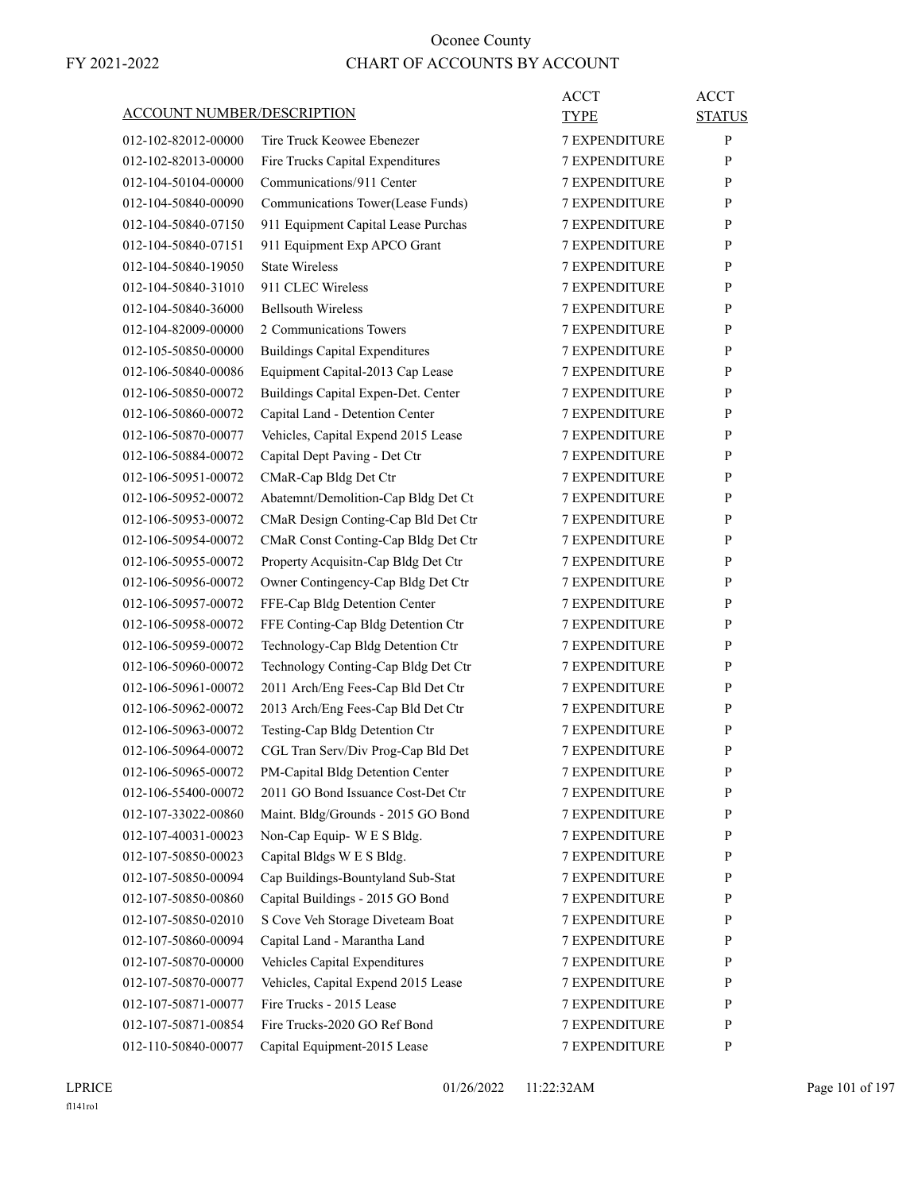| <b>ACCOUNT NUMBER/DESCRIPTION</b> |                                       | <b>ACCT</b><br><b>TYPE</b> | <b>ACCT</b><br><b>STATUS</b> |
|-----------------------------------|---------------------------------------|----------------------------|------------------------------|
| 012-102-82012-00000               | Tire Truck Keowee Ebenezer            | <b>7 EXPENDITURE</b>       | P                            |
| 012-102-82013-00000               | Fire Trucks Capital Expenditures      | <b>7 EXPENDITURE</b>       | P                            |
| 012-104-50104-00000               | Communications/911 Center             | <b>7 EXPENDITURE</b>       | P                            |
| 012-104-50840-00090               | Communications Tower(Lease Funds)     | <b>7 EXPENDITURE</b>       | P                            |
| 012-104-50840-07150               | 911 Equipment Capital Lease Purchas   | <b>7 EXPENDITURE</b>       | P                            |
| 012-104-50840-07151               | 911 Equipment Exp APCO Grant          | <b>7 EXPENDITURE</b>       | P                            |
| 012-104-50840-19050               | <b>State Wireless</b>                 | <b>7 EXPENDITURE</b>       | P                            |
| 012-104-50840-31010               | 911 CLEC Wireless                     | 7 EXPENDITURE              | P                            |
| 012-104-50840-36000               | <b>Bellsouth Wireless</b>             | <b>7 EXPENDITURE</b>       | P                            |
| 012-104-82009-00000               | 2 Communications Towers               | <b>7 EXPENDITURE</b>       | P                            |
| 012-105-50850-00000               | <b>Buildings Capital Expenditures</b> | <b>7 EXPENDITURE</b>       | P                            |
| 012-106-50840-00086               | Equipment Capital-2013 Cap Lease      | <b>7 EXPENDITURE</b>       | P                            |
| 012-106-50850-00072               | Buildings Capital Expen-Det. Center   | <b>7 EXPENDITURE</b>       | P                            |
| 012-106-50860-00072               | Capital Land - Detention Center       | 7 EXPENDITURE              | P                            |
| 012-106-50870-00077               | Vehicles, Capital Expend 2015 Lease   | <b>7 EXPENDITURE</b>       | P                            |
| 012-106-50884-00072               | Capital Dept Paving - Det Ctr         | <b>7 EXPENDITURE</b>       | P                            |
| 012-106-50951-00072               | CMaR-Cap Bldg Det Ctr                 | <b>7 EXPENDITURE</b>       | P                            |
| 012-106-50952-00072               | Abatemnt/Demolition-Cap Bldg Det Ct   | <b>7 EXPENDITURE</b>       | P                            |
| 012-106-50953-00072               | CMaR Design Conting-Cap Bld Det Ctr   | <b>7 EXPENDITURE</b>       | P                            |
| 012-106-50954-00072               | CMaR Const Conting-Cap Bldg Det Ctr   | 7 EXPENDITURE              | P                            |
| 012-106-50955-00072               | Property Acquisitn-Cap Bldg Det Ctr   | <b>7 EXPENDITURE</b>       | P                            |
| 012-106-50956-00072               | Owner Contingency-Cap Bldg Det Ctr    | <b>7 EXPENDITURE</b>       | P                            |
| 012-106-50957-00072               | FFE-Cap Bldg Detention Center         | <b>7 EXPENDITURE</b>       | P                            |
| 012-106-50958-00072               | FFE Conting-Cap Bldg Detention Ctr    | <b>7 EXPENDITURE</b>       | P                            |
| 012-106-50959-00072               | Technology-Cap Bldg Detention Ctr     | <b>7 EXPENDITURE</b>       | P                            |
| 012-106-50960-00072               | Technology Conting-Cap Bldg Det Ctr   | 7 EXPENDITURE              | P                            |
| 012-106-50961-00072               | 2011 Arch/Eng Fees-Cap Bld Det Ctr    | <b>7 EXPENDITURE</b>       | P                            |
| 012-106-50962-00072               | 2013 Arch/Eng Fees-Cap Bld Det Ctr    | <b>7 EXPENDITURE</b>       | P                            |
| 012-106-50963-00072               | Testing-Cap Bldg Detention Ctr        | <b>7 EXPENDITURE</b>       | P                            |
| 012-106-50964-00072               | CGL Tran Serv/Div Prog-Cap Bld Det    | <b>7 EXPENDITURE</b>       | P                            |
| 012-106-50965-00072               | PM-Capital Bldg Detention Center      | 7 EXPENDITURE              | $\mathbf{P}$                 |
| 012-106-55400-00072               | 2011 GO Bond Issuance Cost-Det Ctr    | <b>7 EXPENDITURE</b>       | P                            |
| 012-107-33022-00860               | Maint. Bldg/Grounds - 2015 GO Bond    | <b>7 EXPENDITURE</b>       | P                            |
| 012-107-40031-00023               | Non-Cap Equip- W E S Bldg.            | 7 EXPENDITURE              | P                            |
| 012-107-50850-00023               | Capital Bldgs W E S Bldg.             | 7 EXPENDITURE              | P                            |
| 012-107-50850-00094               | Cap Buildings-Bountyland Sub-Stat     | 7 EXPENDITURE              | P                            |
| 012-107-50850-00860               | Capital Buildings - 2015 GO Bond      | <b>7 EXPENDITURE</b>       | P                            |
| 012-107-50850-02010               | S Cove Veh Storage Diveteam Boat      | 7 EXPENDITURE              | P                            |
| 012-107-50860-00094               | Capital Land - Marantha Land          | 7 EXPENDITURE              | P                            |
| 012-107-50870-00000               | Vehicles Capital Expenditures         | 7 EXPENDITURE              | P                            |
| 012-107-50870-00077               | Vehicles, Capital Expend 2015 Lease   | 7 EXPENDITURE              | P                            |
| 012-107-50871-00077               | Fire Trucks - 2015 Lease              | 7 EXPENDITURE              | P                            |
| 012-107-50871-00854               | Fire Trucks-2020 GO Ref Bond          | <b>7 EXPENDITURE</b>       | P                            |
| 012-110-50840-00077               | Capital Equipment-2015 Lease          | 7 EXPENDITURE              | P                            |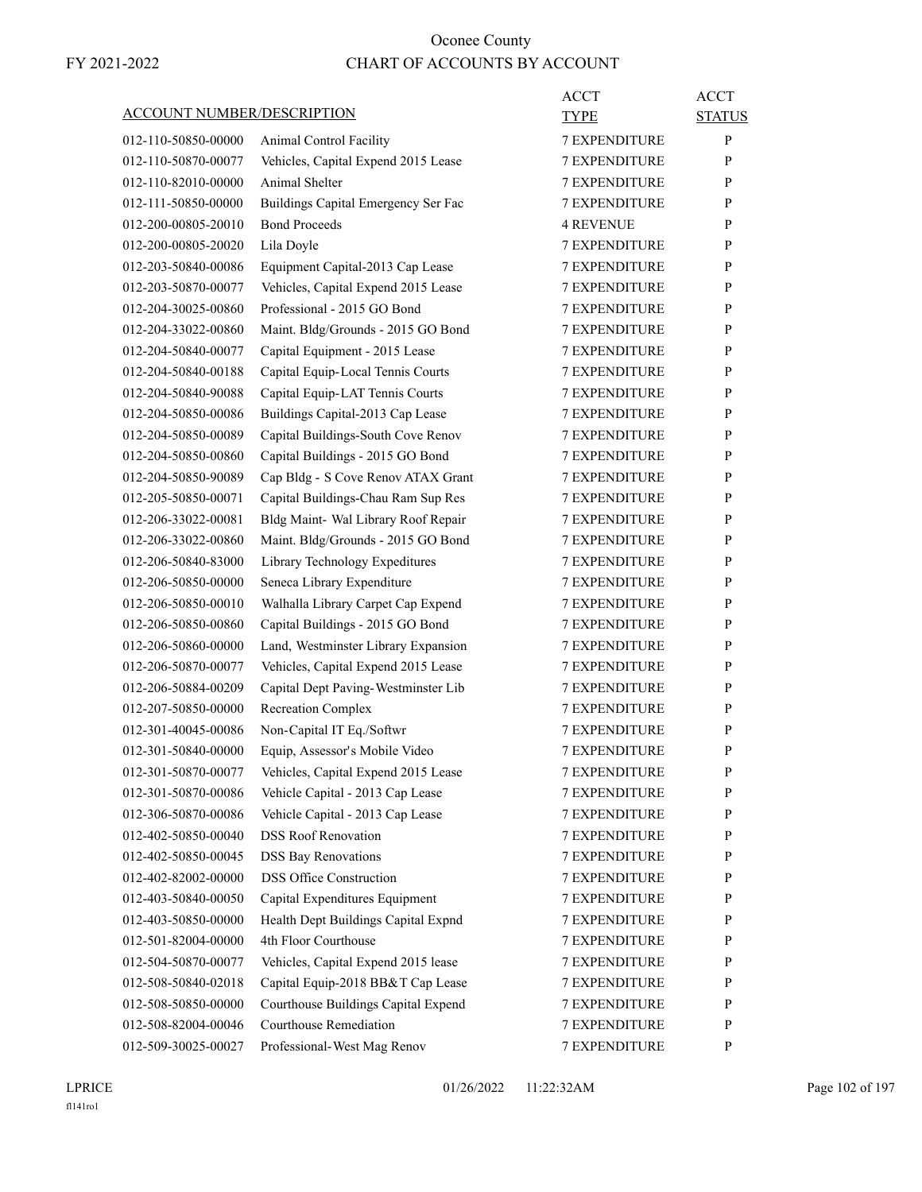| ACCOUNT NUMBER/DESCRIPTION |                                     | ACCT<br><b>TYPE</b>  | <b>ACCT</b><br><b>STATUS</b> |
|----------------------------|-------------------------------------|----------------------|------------------------------|
| 012-110-50850-00000        |                                     | <b>7 EXPENDITURE</b> | P                            |
| 012-110-50870-00077        | Animal Control Facility             |                      |                              |
|                            | Vehicles, Capital Expend 2015 Lease | <b>7 EXPENDITURE</b> | P                            |
| 012-110-82010-00000        | Animal Shelter                      | <b>7 EXPENDITURE</b> | P                            |
| 012-111-50850-00000        | Buildings Capital Emergency Ser Fac | <b>7 EXPENDITURE</b> | P                            |
| 012-200-00805-20010        | <b>Bond Proceeds</b>                | <b>4 REVENUE</b>     | P                            |
| 012-200-00805-20020        | Lila Doyle                          | <b>7 EXPENDITURE</b> | P                            |
| 012-203-50840-00086        | Equipment Capital-2013 Cap Lease    | <b>7 EXPENDITURE</b> | P                            |
| 012-203-50870-00077        | Vehicles, Capital Expend 2015 Lease | <b>7 EXPENDITURE</b> | P                            |
| 012-204-30025-00860        | Professional - 2015 GO Bond         | <b>7 EXPENDITURE</b> | P                            |
| 012-204-33022-00860        | Maint. Bldg/Grounds - 2015 GO Bond  | <b>7 EXPENDITURE</b> | P                            |
| 012-204-50840-00077        | Capital Equipment - 2015 Lease      | <b>7 EXPENDITURE</b> | P                            |
| 012-204-50840-00188        | Capital Equip-Local Tennis Courts   | <b>7 EXPENDITURE</b> | P                            |
| 012-204-50840-90088        | Capital Equip-LAT Tennis Courts     | <b>7 EXPENDITURE</b> | P                            |
| 012-204-50850-00086        | Buildings Capital-2013 Cap Lease    | <b>7 EXPENDITURE</b> | P                            |
| 012-204-50850-00089        | Capital Buildings-South Cove Renov  | <b>7 EXPENDITURE</b> | P                            |
| 012-204-50850-00860        | Capital Buildings - 2015 GO Bond    | <b>7 EXPENDITURE</b> | P                            |
| 012-204-50850-90089        | Cap Bldg - S Cove Renov ATAX Grant  | <b>7 EXPENDITURE</b> | P                            |
| 012-205-50850-00071        | Capital Buildings-Chau Ram Sup Res  | <b>7 EXPENDITURE</b> | P                            |
| 012-206-33022-00081        | Bldg Maint- Wal Library Roof Repair | <b>7 EXPENDITURE</b> | P                            |
| 012-206-33022-00860        | Maint. Bldg/Grounds - 2015 GO Bond  | <b>7 EXPENDITURE</b> | P                            |
| 012-206-50840-83000        | Library Technology Expeditures      | <b>7 EXPENDITURE</b> | P                            |
| 012-206-50850-00000        | Seneca Library Expenditure          | <b>7 EXPENDITURE</b> | P                            |
| 012-206-50850-00010        | Walhalla Library Carpet Cap Expend  | <b>7 EXPENDITURE</b> | P                            |
| 012-206-50850-00860        | Capital Buildings - 2015 GO Bond    | <b>7 EXPENDITURE</b> | P                            |
| 012-206-50860-00000        | Land, Westminster Library Expansion | <b>7 EXPENDITURE</b> | P                            |
| 012-206-50870-00077        | Vehicles, Capital Expend 2015 Lease | <b>7 EXPENDITURE</b> | P                            |
| 012-206-50884-00209        | Capital Dept Paving-Westminster Lib | <b>7 EXPENDITURE</b> | P                            |
| 012-207-50850-00000        | <b>Recreation Complex</b>           | <b>7 EXPENDITURE</b> | P                            |
| 012-301-40045-00086        | Non-Capital IT Eq./Softwr           | <b>7 EXPENDITURE</b> | P                            |
| 012-301-50840-00000        | Equip, Assessor's Mobile Video      | <b>7 EXPENDITURE</b> | P                            |
| 012-301-50870-00077        | Vehicles, Capital Expend 2015 Lease | 7 EXPENDITURE        | P                            |
| 012-301-50870-00086        | Vehicle Capital - 2013 Cap Lease    | <b>7 EXPENDITURE</b> | P                            |
| 012-306-50870-00086        | Vehicle Capital - 2013 Cap Lease    | 7 EXPENDITURE        | P                            |
| 012-402-50850-00040        | <b>DSS Roof Renovation</b>          | 7 EXPENDITURE        | P                            |
| 012-402-50850-00045        | <b>DSS Bay Renovations</b>          | 7 EXPENDITURE        | $\mathbf{P}$                 |
| 012-402-82002-00000        | <b>DSS Office Construction</b>      | 7 EXPENDITURE        | P                            |
| 012-403-50840-00050        | Capital Expenditures Equipment      | <b>7 EXPENDITURE</b> | P                            |
| 012-403-50850-00000        | Health Dept Buildings Capital Expnd | 7 EXPENDITURE        | P                            |
| 012-501-82004-00000        | 4th Floor Courthouse                | 7 EXPENDITURE        | $\mathbf{P}$                 |
| 012-504-50870-00077        | Vehicles, Capital Expend 2015 lease | <b>7 EXPENDITURE</b> | $\mathbf{P}$                 |
| 012-508-50840-02018        | Capital Equip-2018 BB&T Cap Lease   | 7 EXPENDITURE        | P                            |
| 012-508-50850-00000        | Courthouse Buildings Capital Expend | 7 EXPENDITURE        | P                            |
| 012-508-82004-00046        | Courthouse Remediation              | <b>7 EXPENDITURE</b> | $\mathbf{P}$                 |
| 012-509-30025-00027        | Professional-West Mag Renov         | 7 EXPENDITURE        | P                            |
|                            |                                     |                      |                              |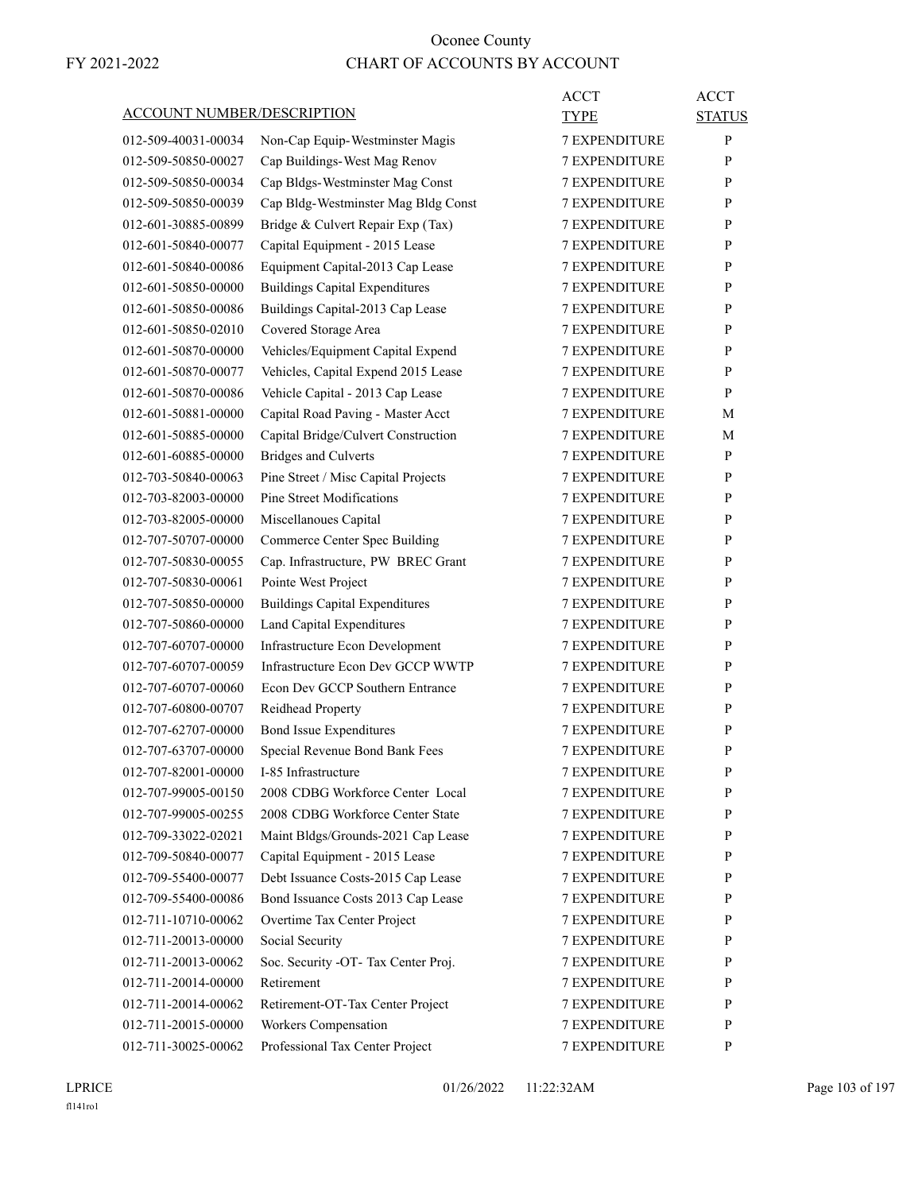| <b>ACCOUNT NUMBER/DESCRIPTION</b> |                                                   | ACCT<br><b>TYPE</b>  | <b>ACCT</b><br><b>STATUS</b> |
|-----------------------------------|---------------------------------------------------|----------------------|------------------------------|
| 012-509-40031-00034               | Non-Cap Equip-Westminster Magis                   | 7 EXPENDITURE        | P                            |
| 012-509-50850-00027               | Cap Buildings-West Mag Renov                      | <b>7 EXPENDITURE</b> | P                            |
| 012-509-50850-00034               | Cap Bldgs-Westminster Mag Const                   | <b>7 EXPENDITURE</b> | P                            |
| 012-509-50850-00039               | Cap Bldg-Westminster Mag Bldg Const               | <b>7 EXPENDITURE</b> | P                            |
| 012-601-30885-00899               | Bridge & Culvert Repair Exp (Tax)                 | <b>7 EXPENDITURE</b> | P                            |
| 012-601-50840-00077               | Capital Equipment - 2015 Lease                    | <b>7 EXPENDITURE</b> | P                            |
| 012-601-50840-00086               | Equipment Capital-2013 Cap Lease                  | <b>7 EXPENDITURE</b> | P                            |
| 012-601-50850-00000               | <b>Buildings Capital Expenditures</b>             | <b>7 EXPENDITURE</b> | P                            |
| 012-601-50850-00086               | Buildings Capital-2013 Cap Lease                  | <b>7 EXPENDITURE</b> | P                            |
| 012-601-50850-02010               | Covered Storage Area                              | <b>7 EXPENDITURE</b> | P                            |
| 012-601-50870-00000               | Vehicles/Equipment Capital Expend                 | <b>7 EXPENDITURE</b> | P                            |
| 012-601-50870-00077               | Vehicles, Capital Expend 2015 Lease               | <b>7 EXPENDITURE</b> | P                            |
| 012-601-50870-00086               | Vehicle Capital - 2013 Cap Lease                  | <b>7 EXPENDITURE</b> | P                            |
| 012-601-50881-00000               | Capital Road Paving - Master Acct                 | <b>7 EXPENDITURE</b> | М                            |
| 012-601-50885-00000               | Capital Bridge/Culvert Construction               | <b>7 EXPENDITURE</b> | М                            |
| 012-601-60885-00000               | <b>Bridges and Culverts</b>                       | <b>7 EXPENDITURE</b> | P                            |
| 012-703-50840-00063               | Pine Street / Misc Capital Projects               | <b>7 EXPENDITURE</b> | P                            |
| 012-703-82003-00000               | Pine Street Modifications                         | <b>7 EXPENDITURE</b> | P                            |
| 012-703-82005-00000               | Miscellanoues Capital                             | <b>7 EXPENDITURE</b> | P                            |
| 012-707-50707-00000               | <b>Commerce Center Spec Building</b>              | <b>7 EXPENDITURE</b> | P                            |
| 012-707-50830-00055               | Cap. Infrastructure, PW BREC Grant                | <b>7 EXPENDITURE</b> | P                            |
| 012-707-50830-00061               | Pointe West Project                               | <b>7 EXPENDITURE</b> | P                            |
| 012-707-50850-00000               | <b>Buildings Capital Expenditures</b>             | <b>7 EXPENDITURE</b> | P                            |
| 012-707-50860-00000               | Land Capital Expenditures                         | <b>7 EXPENDITURE</b> | P                            |
| 012-707-60707-00000               | Infrastructure Econ Development                   | <b>7 EXPENDITURE</b> | P                            |
| 012-707-60707-00059               | Infrastructure Econ Dev GCCP WWTP                 | <b>7 EXPENDITURE</b> | P                            |
| 012-707-60707-00060               | Econ Dev GCCP Southern Entrance                   | <b>7 EXPENDITURE</b> | P                            |
| 012-707-60800-00707               | Reidhead Property                                 | <b>7 EXPENDITURE</b> | P                            |
| 012-707-62707-00000               | <b>Bond Issue Expenditures</b>                    | <b>7 EXPENDITURE</b> | P                            |
| 012-707-63707-00000               | Special Revenue Bond Bank Fees                    | <b>7 EXPENDITURE</b> | P                            |
| 012-707-82001-00000               | I-85 Infrastructure                               | 7 EXPENDITURE        | P                            |
| 012-707-99005-00150               | 2008 CDBG Workforce Center Local                  | <b>7 EXPENDITURE</b> | P                            |
| 012-707-99005-00255               | 2008 CDBG Workforce Center State                  | 7 EXPENDITURE        | $\mathbf{P}$                 |
| 012-709-33022-02021               | Maint Bldgs/Grounds-2021 Cap Lease                | 7 EXPENDITURE        | P                            |
| 012-709-50840-00077               | Capital Equipment - 2015 Lease                    | 7 EXPENDITURE        | P                            |
| 012-709-55400-00077               | Debt Issuance Costs-2015 Cap Lease                | 7 EXPENDITURE        | $\mathbf{P}$                 |
| 012-709-55400-00086               | Bond Issuance Costs 2013 Cap Lease                | 7 EXPENDITURE        | P                            |
| 012-711-10710-00062               | Overtime Tax Center Project                       | <b>7 EXPENDITURE</b> | P                            |
| 012-711-20013-00000               | Social Security                                   | 7 EXPENDITURE        | P                            |
|                                   |                                                   |                      | P                            |
| 012-711-20013-00062               | Soc. Security -OT- Tax Center Proj.<br>Retirement | 7 EXPENDITURE        |                              |
| 012-711-20014-00000               |                                                   | 7 EXPENDITURE        | P<br>$\mathbf{P}$            |
| 012-711-20014-00062               | Retirement-OT-Tax Center Project                  | 7 EXPENDITURE        |                              |
| 012-711-20015-00000               | Workers Compensation                              | 7 EXPENDITURE        | P                            |
| 012-711-30025-00062               | Professional Tax Center Project                   | 7 EXPENDITURE        | P                            |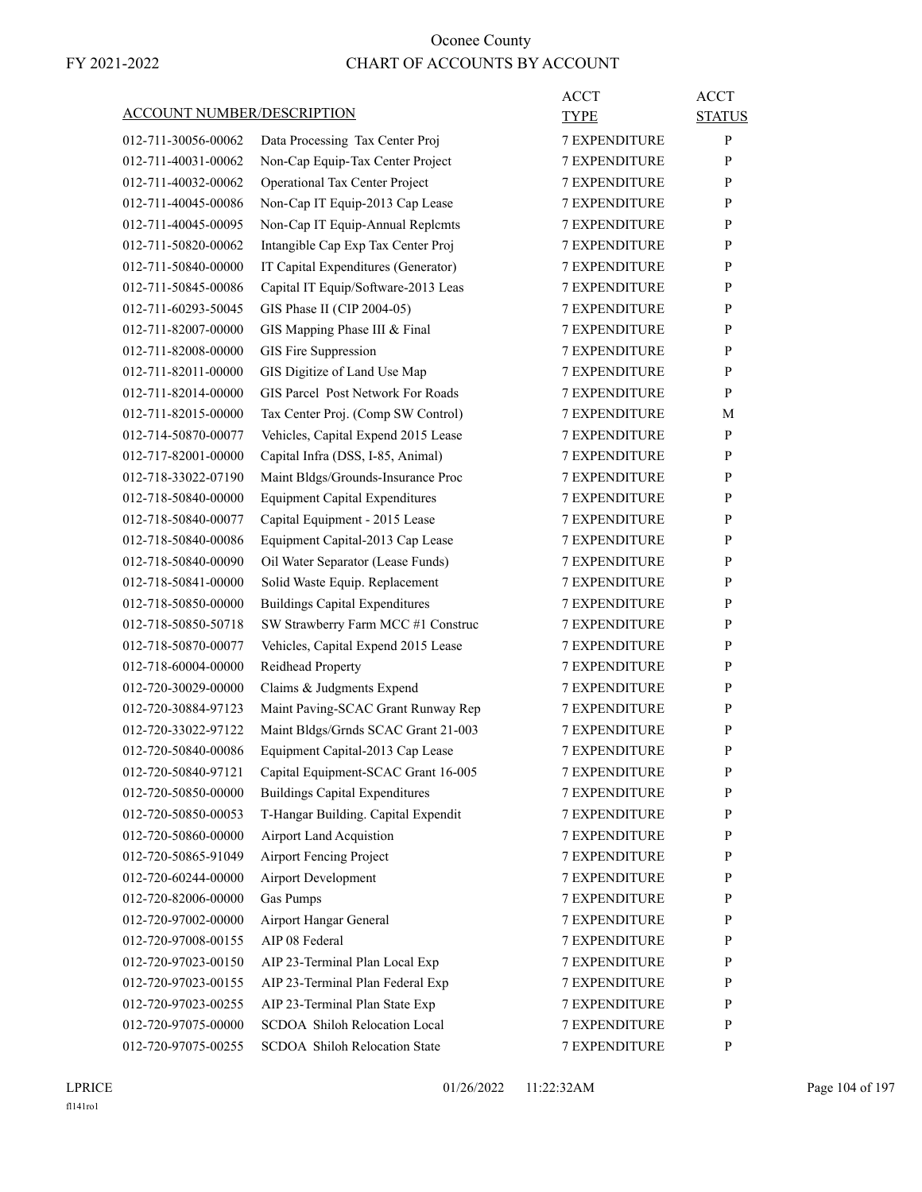|                                   |                                       | ACCT                 | <b>ACCT</b>   |
|-----------------------------------|---------------------------------------|----------------------|---------------|
| <b>ACCOUNT NUMBER/DESCRIPTION</b> |                                       | TYPE                 | <b>STATUS</b> |
| 012-711-30056-00062               | Data Processing Tax Center Proj       | 7 EXPENDITURE        | P             |
| 012-711-40031-00062               | Non-Cap Equip-Tax Center Project      | <b>7 EXPENDITURE</b> | P             |
| 012-711-40032-00062               | <b>Operational Tax Center Project</b> | <b>7 EXPENDITURE</b> | P             |
| 012-711-40045-00086               | Non-Cap IT Equip-2013 Cap Lease       | 7 EXPENDITURE        | P             |
| 012-711-40045-00095               | Non-Cap IT Equip-Annual Replcmts      | <b>7 EXPENDITURE</b> | P             |
| 012-711-50820-00062               | Intangible Cap Exp Tax Center Proj    | <b>7 EXPENDITURE</b> | P             |
| 012-711-50840-00000               | IT Capital Expenditures (Generator)   | <b>7 EXPENDITURE</b> | P             |
| 012-711-50845-00086               | Capital IT Equip/Software-2013 Leas   | <b>7 EXPENDITURE</b> | P             |
| 012-711-60293-50045               | GIS Phase II (CIP 2004-05)            | <b>7 EXPENDITURE</b> | P             |
| 012-711-82007-00000               | GIS Mapping Phase III & Final         | 7 EXPENDITURE        | P             |
| 012-711-82008-00000               | GIS Fire Suppression                  | <b>7 EXPENDITURE</b> | P             |
| 012-711-82011-00000               | GIS Digitize of Land Use Map          | <b>7 EXPENDITURE</b> | P             |
| 012-711-82014-00000               | GIS Parcel Post Network For Roads     | <b>7 EXPENDITURE</b> | P             |
| 012-711-82015-00000               | Tax Center Proj. (Comp SW Control)    | <b>7 EXPENDITURE</b> | М             |
| 012-714-50870-00077               | Vehicles, Capital Expend 2015 Lease   | <b>7 EXPENDITURE</b> | P             |
| 012-717-82001-00000               | Capital Infra (DSS, I-85, Animal)     | 7 EXPENDITURE        | P             |
| 012-718-33022-07190               | Maint Bldgs/Grounds-Insurance Proc    | <b>7 EXPENDITURE</b> | P             |
| 012-718-50840-00000               | <b>Equipment Capital Expenditures</b> | <b>7 EXPENDITURE</b> | P             |
| 012-718-50840-00077               | Capital Equipment - 2015 Lease        | 7 EXPENDITURE        | P             |
| 012-718-50840-00086               | Equipment Capital-2013 Cap Lease      | <b>7 EXPENDITURE</b> | P             |
| 012-718-50840-00090               | Oil Water Separator (Lease Funds)     | <b>7 EXPENDITURE</b> | P             |
| 012-718-50841-00000               | Solid Waste Equip. Replacement        | 7 EXPENDITURE        | P             |
| 012-718-50850-00000               | <b>Buildings Capital Expenditures</b> | <b>7 EXPENDITURE</b> | P             |
| 012-718-50850-50718               | SW Strawberry Farm MCC #1 Construc    | <b>7 EXPENDITURE</b> | P             |
| 012-718-50870-00077               | Vehicles, Capital Expend 2015 Lease   | <b>7 EXPENDITURE</b> | P             |
| 012-718-60004-00000               | Reidhead Property                     | <b>7 EXPENDITURE</b> | P             |
| 012-720-30029-00000               | Claims & Judgments Expend             | <b>7 EXPENDITURE</b> | P             |
| 012-720-30884-97123               | Maint Paving-SCAC Grant Runway Rep    | 7 EXPENDITURE        | P             |
| 012-720-33022-97122               | Maint Bldgs/Grnds SCAC Grant 21-003   | <b>7 EXPENDITURE</b> | P             |
| 012-720-50840-00086               | Equipment Capital-2013 Cap Lease      | <b>7 EXPENDITURE</b> | P             |
| 012-720-50840-97121               | Capital Equipment-SCAC Grant 16-005   | 7 EXPENDITURE        | ${\bf P}$     |
| 012-720-50850-00000               | <b>Buildings Capital Expenditures</b> | <b>7 EXPENDITURE</b> | P             |
| 012-720-50850-00053               | T-Hangar Building. Capital Expendit   | <b>7 EXPENDITURE</b> | P             |
| 012-720-50860-00000               | <b>Airport Land Acquistion</b>        | <b>7 EXPENDITURE</b> | P             |
| 012-720-50865-91049               | <b>Airport Fencing Project</b>        | <b>7 EXPENDITURE</b> | $\mathbf{P}$  |
| 012-720-60244-00000               | <b>Airport Development</b>            | 7 EXPENDITURE        | P             |
| 012-720-82006-00000               | Gas Pumps                             | 7 EXPENDITURE        | P             |
| 012-720-97002-00000               | Airport Hangar General                | <b>7 EXPENDITURE</b> | P             |
| 012-720-97008-00155               | AIP 08 Federal                        | <b>7 EXPENDITURE</b> | P             |
| 012-720-97023-00150               | AIP 23-Terminal Plan Local Exp        | 7 EXPENDITURE        | P             |
| 012-720-97023-00155               | AIP 23-Terminal Plan Federal Exp      | 7 EXPENDITURE        | P             |
| 012-720-97023-00255               | AIP 23-Terminal Plan State Exp        | 7 EXPENDITURE        | P             |
| 012-720-97075-00000               | SCDOA Shiloh Relocation Local         | 7 EXPENDITURE        | P             |
| 012-720-97075-00255               | SCDOA Shiloh Relocation State         | 7 EXPENDITURE        | P             |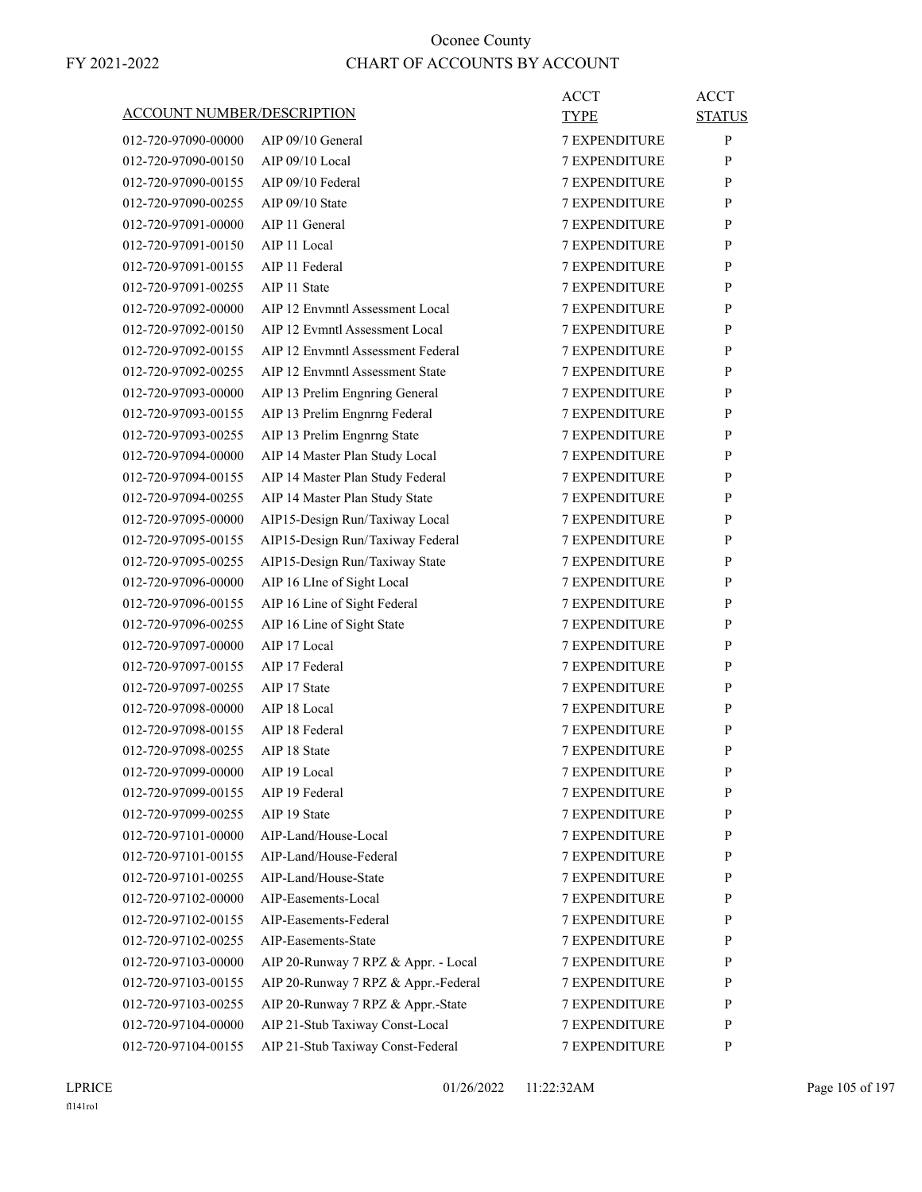|                                   |                                     | <b>ACCT</b>          | <b>ACCT</b>   |
|-----------------------------------|-------------------------------------|----------------------|---------------|
| <b>ACCOUNT NUMBER/DESCRIPTION</b> |                                     | <b>TYPE</b>          | <b>STATUS</b> |
| 012-720-97090-00000               | AIP 09/10 General                   | <b>7 EXPENDITURE</b> | P             |
| 012-720-97090-00150               | $AIP 09/10$ Local                   | <b>7 EXPENDITURE</b> | P             |
| 012-720-97090-00155               | AIP 09/10 Federal                   | <b>7 EXPENDITURE</b> | P             |
| 012-720-97090-00255               | AIP 09/10 State                     | <b>7 EXPENDITURE</b> | P             |
| 012-720-97091-00000               | AIP 11 General                      | 7 EXPENDITURE        | P             |
| 012-720-97091-00150               | AIP 11 Local                        | <b>7 EXPENDITURE</b> | P             |
| 012-720-97091-00155               | AIP 11 Federal                      | <b>7 EXPENDITURE</b> | P             |
| 012-720-97091-00255               | AIP 11 State                        | 7 EXPENDITURE        | P             |
| 012-720-97092-00000               | AIP 12 Envmntl Assessment Local     | <b>7 EXPENDITURE</b> | P             |
| 012-720-97092-00150               | AIP 12 Evmntl Assessment Local      | <b>7 EXPENDITURE</b> | P             |
| 012-720-97092-00155               | AIP 12 Envmntl Assessment Federal   | 7 EXPENDITURE        | P             |
| 012-720-97092-00255               | AIP 12 Envmntl Assessment State     | <b>7 EXPENDITURE</b> | P             |
| 012-720-97093-00000               | AIP 13 Prelim Engnring General      | <b>7 EXPENDITURE</b> | P             |
| 012-720-97093-00155               | AIP 13 Prelim Engnrng Federal       | <b>7 EXPENDITURE</b> | P             |
| 012-720-97093-00255               | AIP 13 Prelim Engnrng State         | <b>7 EXPENDITURE</b> | P             |
| 012-720-97094-00000               | AIP 14 Master Plan Study Local      | <b>7 EXPENDITURE</b> | P             |
| 012-720-97094-00155               | AIP 14 Master Plan Study Federal    | 7 EXPENDITURE        | P             |
| 012-720-97094-00255               | AIP 14 Master Plan Study State      | <b>7 EXPENDITURE</b> | P             |
| 012-720-97095-00000               | AIP15-Design Run/Taxiway Local      | <b>7 EXPENDITURE</b> | P             |
| 012-720-97095-00155               | AIP15-Design Run/Taxiway Federal    | 7 EXPENDITURE        | P             |
| 012-720-97095-00255               | AIP15-Design Run/Taxiway State      | <b>7 EXPENDITURE</b> | P             |
| 012-720-97096-00000               | AIP 16 LIne of Sight Local          | <b>7 EXPENDITURE</b> | P             |
| 012-720-97096-00155               | AIP 16 Line of Sight Federal        | 7 EXPENDITURE        | P             |
| 012-720-97096-00255               | AIP 16 Line of Sight State          | <b>7 EXPENDITURE</b> | P             |
| 012-720-97097-00000               | AIP 17 Local                        | <b>7 EXPENDITURE</b> | P             |
| 012-720-97097-00155               | AIP 17 Federal                      | 7 EXPENDITURE        | P             |
| 012-720-97097-00255               | AIP 17 State                        | <b>7 EXPENDITURE</b> | P             |
| 012-720-97098-00000               | AIP 18 Local                        | 7 EXPENDITURE        | P             |
| 012-720-97098-00155               | AIP 18 Federal                      | 7 EXPENDITURE        | P             |
| 012-720-97098-00255               | AIP 18 State                        | <b>7 EXPENDITURE</b> | P             |
| 012-720-97099-00000               | AIP 19 Local                        | 7 EXPENDITURE        | ${\bf P}$     |
| 012-720-97099-00155               | AIP 19 Federal                      | <b>7 EXPENDITURE</b> | P             |
| 012-720-97099-00255               | AIP 19 State                        | <b>7 EXPENDITURE</b> | P             |
| 012-720-97101-00000               | AIP-Land/House-Local                | <b>7 EXPENDITURE</b> | P             |
| 012-720-97101-00155               | AIP-Land/House-Federal              | <b>7 EXPENDITURE</b> | P             |
| 012-720-97101-00255               | AIP-Land/House-State                | <b>7 EXPENDITURE</b> | P             |
| 012-720-97102-00000               | AIP-Easements-Local                 | 7 EXPENDITURE        | P             |
| 012-720-97102-00155               | AIP-Easements-Federal               | <b>7 EXPENDITURE</b> | P             |
| 012-720-97102-00255               | AIP-Easements-State                 | <b>7 EXPENDITURE</b> | P             |
| 012-720-97103-00000               | AIP 20-Runway 7 RPZ & Appr. - Local | <b>7 EXPENDITURE</b> | P             |
| 012-720-97103-00155               | AIP 20-Runway 7 RPZ & Appr.-Federal | 7 EXPENDITURE        | P             |
| 012-720-97103-00255               | AIP 20-Runway 7 RPZ & Appr.-State   | 7 EXPENDITURE        | P             |
| 012-720-97104-00000               | AIP 21-Stub Taxiway Const-Local     | 7 EXPENDITURE        | P             |
| 012-720-97104-00155               | AIP 21-Stub Taxiway Const-Federal   | <b>7 EXPENDITURE</b> | P             |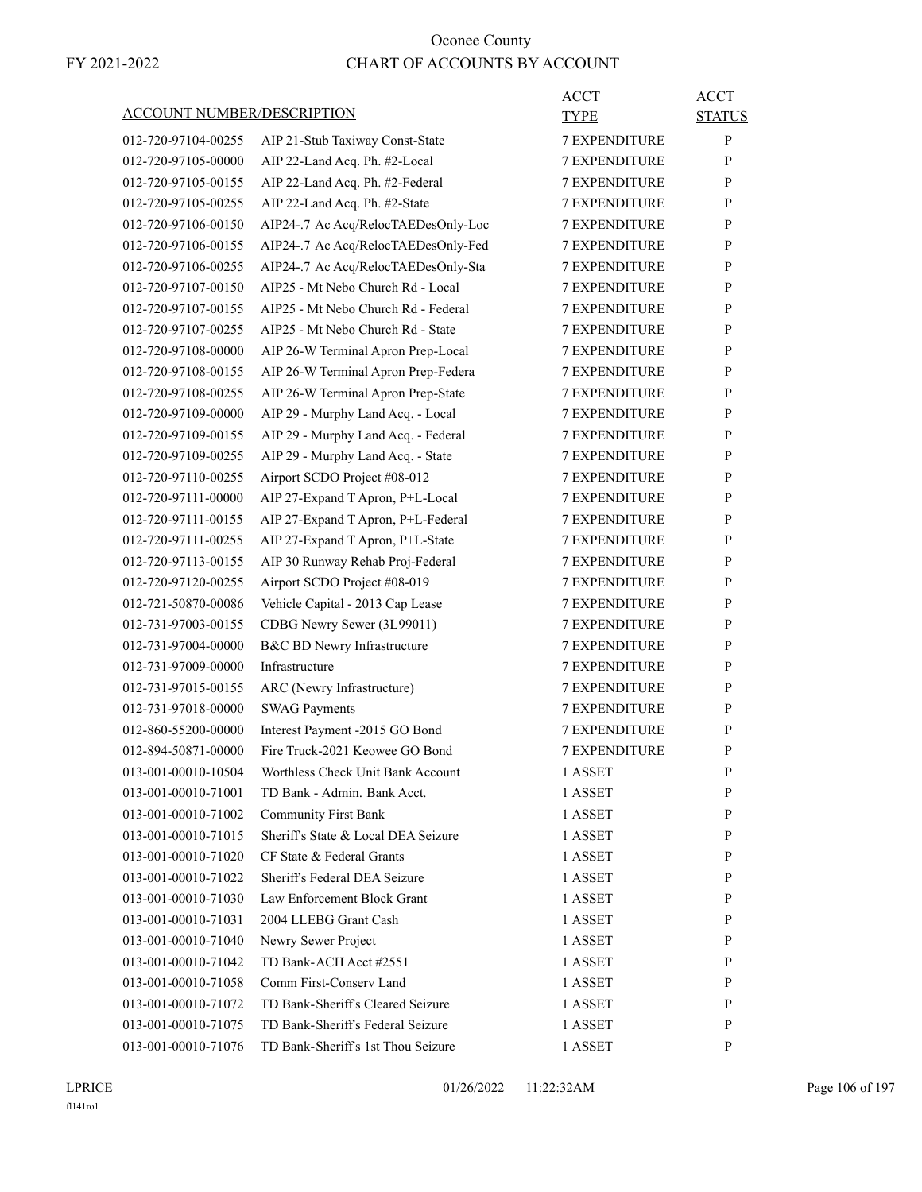|                                   |                                     | <b>ACCT</b>          | <b>ACCT</b>   |
|-----------------------------------|-------------------------------------|----------------------|---------------|
| <b>ACCOUNT NUMBER/DESCRIPTION</b> |                                     | <b>TYPE</b>          | <b>STATUS</b> |
| 012-720-97104-00255               | AIP 21-Stub Taxiway Const-State     | <b>7 EXPENDITURE</b> | P             |
| 012-720-97105-00000               | AIP 22-Land Acq. Ph. #2-Local       | <b>7 EXPENDITURE</b> | P             |
| 012-720-97105-00155               | AIP 22-Land Acq. Ph. #2-Federal     | <b>7 EXPENDITURE</b> | P             |
| 012-720-97105-00255               | AIP 22-Land Acq. Ph. #2-State       | 7 EXPENDITURE        | P             |
| 012-720-97106-00150               | AIP24-.7 Ac Acq/RelocTAEDesOnly-Loc | <b>7 EXPENDITURE</b> | P             |
| 012-720-97106-00155               | AIP24-.7 Ac Acq/RelocTAEDesOnly-Fed | <b>7 EXPENDITURE</b> | P             |
| 012-720-97106-00255               | AIP24-.7 Ac Acq/RelocTAEDesOnly-Sta | <b>7 EXPENDITURE</b> | P             |
| 012-720-97107-00150               | AIP25 - Mt Nebo Church Rd - Local   | <b>7 EXPENDITURE</b> | P             |
| 012-720-97107-00155               | AIP25 - Mt Nebo Church Rd - Federal | <b>7 EXPENDITURE</b> | P             |
| 012-720-97107-00255               | AIP25 - Mt Nebo Church Rd - State   | 7 EXPENDITURE        | P             |
| 012-720-97108-00000               | AIP 26-W Terminal Apron Prep-Local  | <b>7 EXPENDITURE</b> | P             |
| 012-720-97108-00155               | AIP 26-W Terminal Apron Prep-Federa | <b>7 EXPENDITURE</b> | P             |
| 012-720-97108-00255               | AIP 26-W Terminal Apron Prep-State  | <b>7 EXPENDITURE</b> | P             |
| 012-720-97109-00000               | AIP 29 - Murphy Land Acq. - Local   | <b>7 EXPENDITURE</b> | P             |
| 012-720-97109-00155               | AIP 29 - Murphy Land Acq. - Federal | <b>7 EXPENDITURE</b> | P             |
| 012-720-97109-00255               | AIP 29 - Murphy Land Acq. - State   | 7 EXPENDITURE        | P             |
| 012-720-97110-00255               | Airport SCDO Project #08-012        | <b>7 EXPENDITURE</b> | P             |
| 012-720-97111-00000               | AIP 27-Expand T Apron, P+L-Local    | <b>7 EXPENDITURE</b> | P             |
| 012-720-97111-00155               | AIP 27-Expand T Apron, P+L-Federal  | 7 EXPENDITURE        | P             |
| 012-720-97111-00255               | AIP 27-Expand T Apron, P+L-State    | <b>7 EXPENDITURE</b> | P             |
| 012-720-97113-00155               | AIP 30 Runway Rehab Proj-Federal    | <b>7 EXPENDITURE</b> | P             |
| 012-720-97120-00255               | Airport SCDO Project #08-019        | 7 EXPENDITURE        | P             |
| 012-721-50870-00086               | Vehicle Capital - 2013 Cap Lease    | <b>7 EXPENDITURE</b> | P             |
| 012-731-97003-00155               | CDBG Newry Sewer (3L99011)          | <b>7 EXPENDITURE</b> | P             |
| 012-731-97004-00000               | B&C BD Newry Infrastructure         | 7 EXPENDITURE        | P             |
| 012-731-97009-00000               | Infrastructure                      | <b>7 EXPENDITURE</b> | P             |
| 012-731-97015-00155               | ARC (Newry Infrastructure)          | <b>7 EXPENDITURE</b> | P             |
| 012-731-97018-00000               | <b>SWAG Payments</b>                | 7 EXPENDITURE        | P             |
| 012-860-55200-00000               | Interest Payment -2015 GO Bond      | <b>7 EXPENDITURE</b> | P             |
| 012-894-50871-00000               | Fire Truck-2021 Keowee GO Bond      | <b>7 EXPENDITURE</b> | P             |
| 013-001-00010-10504               | Worthless Check Unit Bank Account   | 1 ASSET              | ${\bf P}$     |
| 013-001-00010-71001               | TD Bank - Admin. Bank Acct.         | 1 ASSET              | P             |
| 013-001-00010-71002               | <b>Community First Bank</b>         | 1 ASSET              | P             |
| 013-001-00010-71015               | Sheriff's State & Local DEA Seizure | 1 ASSET              | P             |
| 013-001-00010-71020               | CF State & Federal Grants           | 1 ASSET              | P             |
| 013-001-00010-71022               | Sheriff's Federal DEA Seizure       | 1 ASSET              | P             |
| 013-001-00010-71030               | Law Enforcement Block Grant         | 1 ASSET              | P             |
| 013-001-00010-71031               | 2004 LLEBG Grant Cash               | 1 ASSET              | P             |
| 013-001-00010-71040               | Newry Sewer Project                 | 1 ASSET              | P             |
| 013-001-00010-71042               | TD Bank-ACH Acct #2551              | 1 ASSET              | P             |
| 013-001-00010-71058               | Comm First-Conserv Land             | 1 ASSET              | P             |
| 013-001-00010-71072               | TD Bank-Sheriff's Cleared Seizure   | 1 ASSET              | P             |
| 013-001-00010-71075               | TD Bank-Sheriff's Federal Seizure   | 1 ASSET              | P             |
| 013-001-00010-71076               | TD Bank-Sheriff's 1st Thou Seizure  | 1 ASSET              | P             |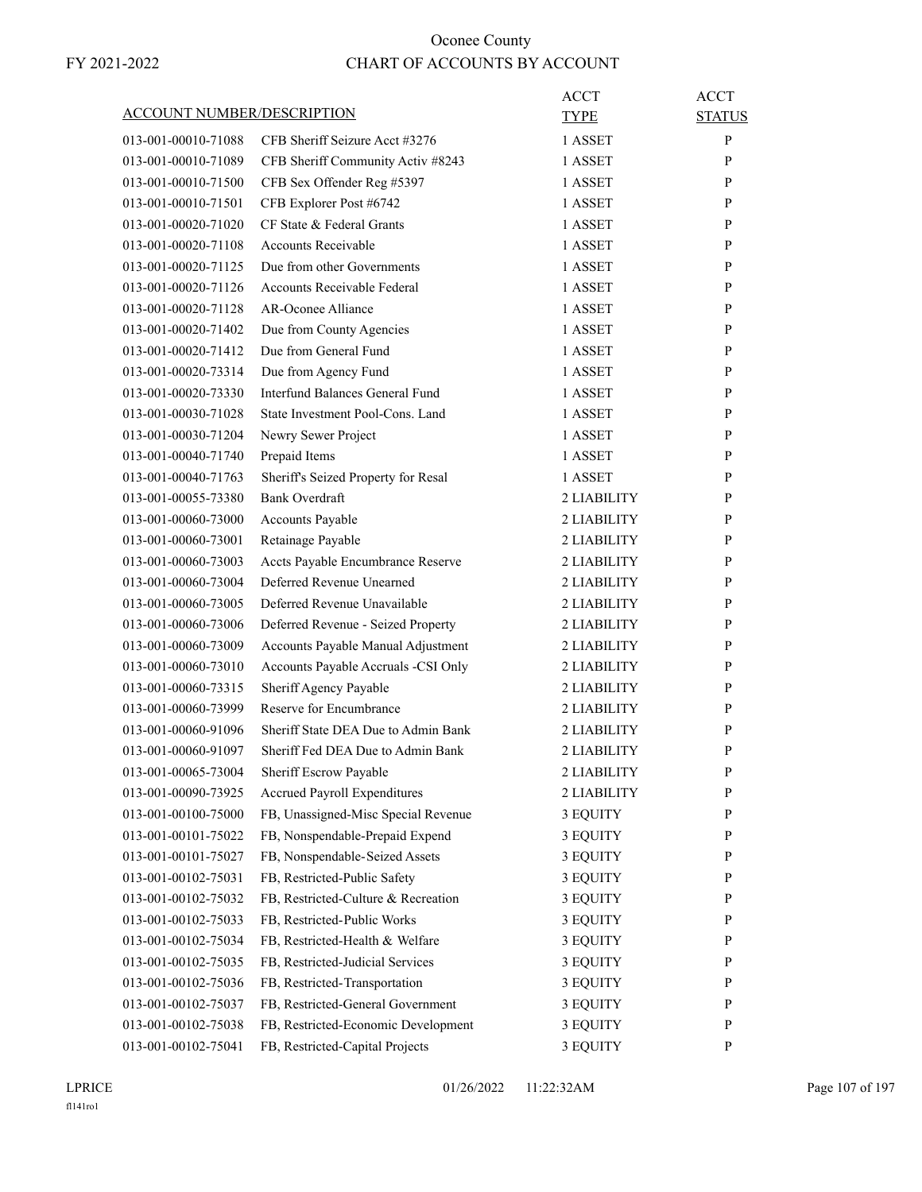| <b>ACCOUNT NUMBER/DESCRIPTION</b> |                                                               | <b>ACCT</b><br><b>TYPE</b> | <b>ACCT</b><br><b>STATUS</b> |
|-----------------------------------|---------------------------------------------------------------|----------------------------|------------------------------|
| 013-001-00010-71088               | CFB Sheriff Seizure Acct #3276                                | 1 ASSET                    | P                            |
| 013-001-00010-71089               | CFB Sheriff Community Activ #8243                             | 1 ASSET                    | P                            |
| 013-001-00010-71500               | CFB Sex Offender Reg #5397                                    | 1 ASSET                    | P                            |
| 013-001-00010-71501               | CFB Explorer Post #6742                                       | 1 ASSET                    | P                            |
| 013-001-00020-71020               | CF State & Federal Grants                                     | 1 ASSET                    | P                            |
| 013-001-00020-71108               | <b>Accounts Receivable</b>                                    | 1 ASSET                    | P                            |
| 013-001-00020-71125               | Due from other Governments                                    | 1 ASSET                    | P                            |
| 013-001-00020-71126               | Accounts Receivable Federal                                   | 1 ASSET                    | P                            |
| 013-001-00020-71128               | AR-Oconee Alliance                                            | 1 ASSET                    | P                            |
| 013-001-00020-71402               | Due from County Agencies                                      | 1 ASSET                    | P                            |
| 013-001-00020-71412               | Due from General Fund                                         | 1 ASSET                    | P                            |
| 013-001-00020-73314               | Due from Agency Fund                                          | 1 ASSET                    | P                            |
| 013-001-00020-73330               | Interfund Balances General Fund                               | 1 ASSET                    | P                            |
| 013-001-00030-71028               | State Investment Pool-Cons. Land                              | 1 ASSET                    | P                            |
| 013-001-00030-71204               | Newry Sewer Project                                           | 1 ASSET                    | P                            |
| 013-001-00040-71740               | Prepaid Items                                                 | 1 ASSET                    | P                            |
| 013-001-00040-71763               | Sheriff's Seized Property for Resal                           | 1 ASSET                    | P                            |
| 013-001-00055-73380               | Bank Overdraft                                                | 2 LIABILITY                | P                            |
| 013-001-00060-73000               | Accounts Payable                                              | 2 LIABILITY                | P                            |
| 013-001-00060-73001               | Retainage Payable                                             | 2 LIABILITY                | P                            |
| 013-001-00060-73003               | Accts Payable Encumbrance Reserve                             | 2 LIABILITY                | P                            |
| 013-001-00060-73004               | Deferred Revenue Unearned                                     | 2 LIABILITY                | P                            |
| 013-001-00060-73005               | Deferred Revenue Unavailable                                  | 2 LIABILITY                | P                            |
| 013-001-00060-73006               | Deferred Revenue - Seized Property                            | 2 LIABILITY                | P                            |
| 013-001-00060-73009               | Accounts Payable Manual Adjustment                            | 2 LIABILITY                | P                            |
| 013-001-00060-73010               | Accounts Payable Accruals -CSI Only                           | 2 LIABILITY                | P                            |
| 013-001-00060-73315               | Sheriff Agency Payable                                        | 2 LIABILITY                | P                            |
| 013-001-00060-73999               | Reserve for Encumbrance                                       | 2 LIABILITY                | P                            |
| 013-001-00060-91096               | Sheriff State DEA Due to Admin Bank                           | 2 LIABILITY                | P                            |
|                                   | Sheriff Fed DEA Due to Admin Bank                             |                            | P                            |
| 013-001-00060-91097               |                                                               | 2 LIABILITY                | $\mathbf{P}$                 |
| 013-001-00065-73004               | Sheriff Escrow Payable<br><b>Accrued Payroll Expenditures</b> | 2 LIABILITY                |                              |
| 013-001-00090-73925               |                                                               | 2 LIABILITY                | P                            |
| 013-001-00100-75000               | FB, Unassigned-Misc Special Revenue                           | 3 EQUITY                   | P<br>P                       |
| 013-001-00101-75022               | FB, Nonspendable-Prepaid Expend                               | 3 EQUITY                   |                              |
| 013-001-00101-75027               | FB, Nonspendable-Seized Assets                                | 3 EQUITY                   | P                            |
| 013-001-00102-75031               | FB, Restricted-Public Safety                                  | 3 EQUITY                   | P                            |
| 013-001-00102-75032               | FB, Restricted-Culture & Recreation                           | 3 EQUITY                   | P                            |
| 013-001-00102-75033               | FB, Restricted-Public Works                                   | 3 EQUITY                   | P                            |
| 013-001-00102-75034               | FB, Restricted-Health & Welfare                               | 3 EQUITY                   | P                            |
| 013-001-00102-75035               | FB, Restricted-Judicial Services                              | 3 EQUITY                   | P                            |
| 013-001-00102-75036               | FB, Restricted-Transportation                                 | 3 EQUITY                   | P                            |
| 013-001-00102-75037               | FB, Restricted-General Government                             | 3 EQUITY                   | P                            |
| 013-001-00102-75038               | FB, Restricted-Economic Development                           | 3 EQUITY                   | P                            |
| 013-001-00102-75041               | FB, Restricted-Capital Projects                               | 3 EQUITY                   | P                            |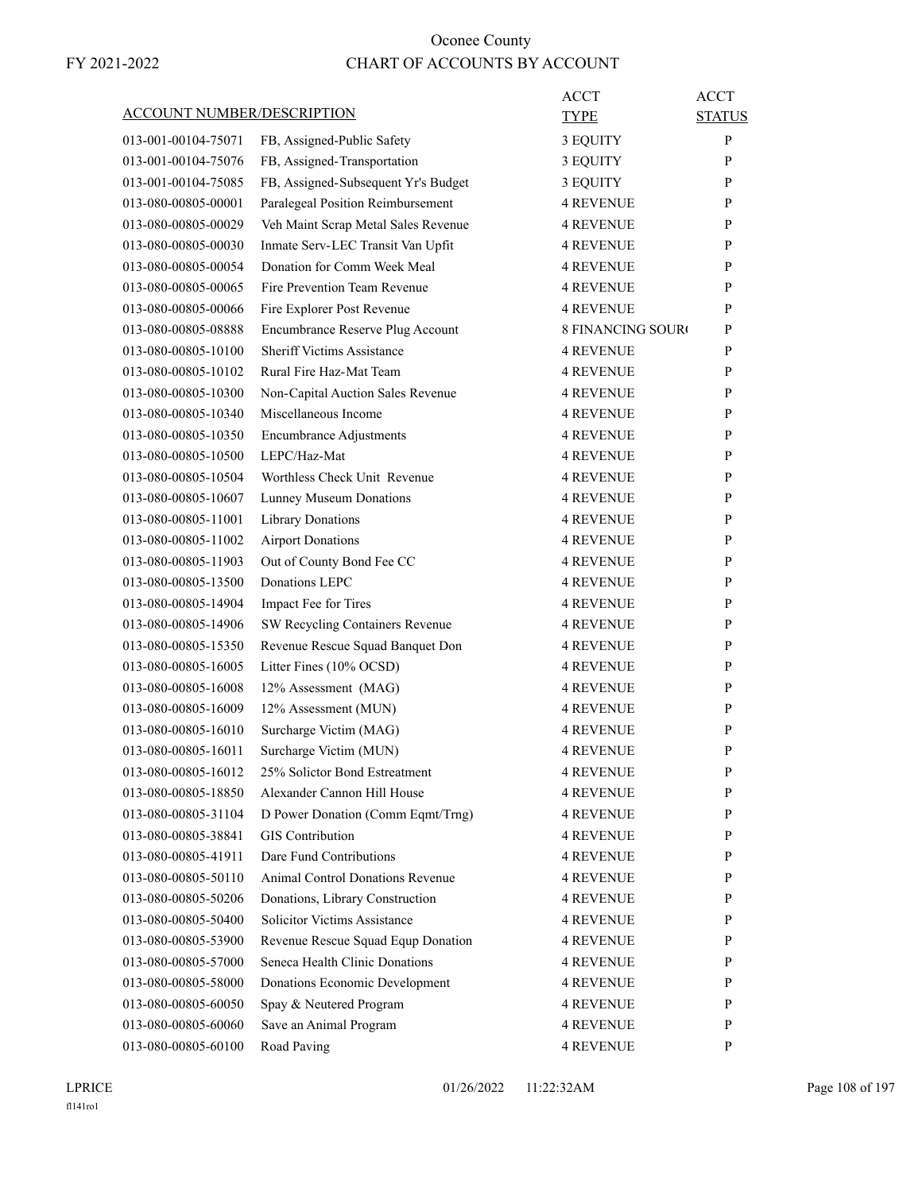| <b>ACCOUNT NUMBER/DESCRIPTION</b> |                                     | ACCT<br>TYPE             | <b>ACCT</b><br><b>STATUS</b> |
|-----------------------------------|-------------------------------------|--------------------------|------------------------------|
| 013-001-00104-75071               | FB, Assigned-Public Safety          | 3 EQUITY                 | P                            |
| 013-001-00104-75076               | FB, Assigned-Transportation         | 3 EQUITY                 | P                            |
| 013-001-00104-75085               | FB, Assigned-Subsequent Yr's Budget | 3 EQUITY                 | P                            |
| 013-080-00805-00001               | Paralegeal Position Reimbursement   | <b>4 REVENUE</b>         | P                            |
| 013-080-00805-00029               | Veh Maint Scrap Metal Sales Revenue | <b>4 REVENUE</b>         | P                            |
| 013-080-00805-00030               | Inmate Serv-LEC Transit Van Upfit   | 4 REVENUE                | P                            |
| 013-080-00805-00054               | Donation for Comm Week Meal         | <b>4 REVENUE</b>         | P                            |
| 013-080-00805-00065               | Fire Prevention Team Revenue        | <b>4 REVENUE</b>         | P                            |
| 013-080-00805-00066               | Fire Explorer Post Revenue          | <b>4 REVENUE</b>         | P                            |
| 013-080-00805-08888               | Encumbrance Reserve Plug Account    | <b>8 FINANCING SOURO</b> | P                            |
| 013-080-00805-10100               | <b>Sheriff Victims Assistance</b>   | <b>4 REVENUE</b>         | P                            |
| 013-080-00805-10102               | Rural Fire Haz-Mat Team             | <b>4 REVENUE</b>         | P                            |
| 013-080-00805-10300               | Non-Capital Auction Sales Revenue   | <b>4 REVENUE</b>         | P                            |
| 013-080-00805-10340               | Miscellaneous Income                | <b>4 REVENUE</b>         | P                            |
| 013-080-00805-10350               | <b>Encumbrance Adjustments</b>      | <b>4 REVENUE</b>         | P                            |
| 013-080-00805-10500               | LEPC/Haz-Mat                        | <b>4 REVENUE</b>         | P                            |
| 013-080-00805-10504               | Worthless Check Unit Revenue        | <b>4 REVENUE</b>         | P                            |
| 013-080-00805-10607               | Lunney Museum Donations             | <b>4 REVENUE</b>         | P                            |
| 013-080-00805-11001               | Library Donations                   | <b>4 REVENUE</b>         | P                            |
| 013-080-00805-11002               | <b>Airport Donations</b>            | <b>4 REVENUE</b>         | P                            |
| 013-080-00805-11903               | Out of County Bond Fee CC           | <b>4 REVENUE</b>         | P                            |
| 013-080-00805-13500               | Donations LEPC                      | <b>4 REVENUE</b>         | P                            |
| 013-080-00805-14904               | Impact Fee for Tires                | <b>4 REVENUE</b>         | P                            |
| 013-080-00805-14906               | SW Recycling Containers Revenue     | 4 REVENUE                | P                            |
| 013-080-00805-15350               | Revenue Rescue Squad Banquet Don    | 4 REVENUE                | P                            |
| 013-080-00805-16005               | Litter Fines (10% OCSD)             | <b>4 REVENUE</b>         | P                            |
| 013-080-00805-16008               | 12% Assessment (MAG)                | <b>4 REVENUE</b>         | P                            |
| 013-080-00805-16009               | 12% Assessment (MUN)                | 4 REVENUE                | P                            |
| 013-080-00805-16010               | Surcharge Victim (MAG)              | <b>4 REVENUE</b>         | P                            |
| 013-080-00805-16011               | Surcharge Victim (MUN)              | 4 REVENUE                | P                            |
| 013-080-00805-16012               | 25% Solictor Bond Estreatment       | <b>4 REVENUE</b>         | P                            |
| 013-080-00805-18850               | Alexander Cannon Hill House         | <b>4 REVENUE</b>         | P                            |
| 013-080-00805-31104               | D Power Donation (Comm Eqmt/Trng)   | 4 REVENUE                | P                            |
| 013-080-00805-38841               | <b>GIS</b> Contribution             | <b>4 REVENUE</b>         | P                            |
| 013-080-00805-41911               | Dare Fund Contributions             | <b>4 REVENUE</b>         | P                            |
| 013-080-00805-50110               | Animal Control Donations Revenue    | <b>4 REVENUE</b>         | P                            |
| 013-080-00805-50206               | Donations, Library Construction     | 4 REVENUE                | P                            |
| 013-080-00805-50400               | Solicitor Victims Assistance        | <b>4 REVENUE</b>         | P                            |
| 013-080-00805-53900               | Revenue Rescue Squad Equp Donation  | 4 REVENUE                | P                            |
| 013-080-00805-57000               | Seneca Health Clinic Donations      | 4 REVENUE                | P                            |
| 013-080-00805-58000               | Donations Economic Development      | <b>4 REVENUE</b>         | P                            |
| 013-080-00805-60050               | Spay & Neutered Program             | <b>4 REVENUE</b>         | P                            |
| 013-080-00805-60060               | Save an Animal Program              | <b>4 REVENUE</b>         | P                            |
| 013-080-00805-60100               | Road Paving                         | 4 REVENUE                | P                            |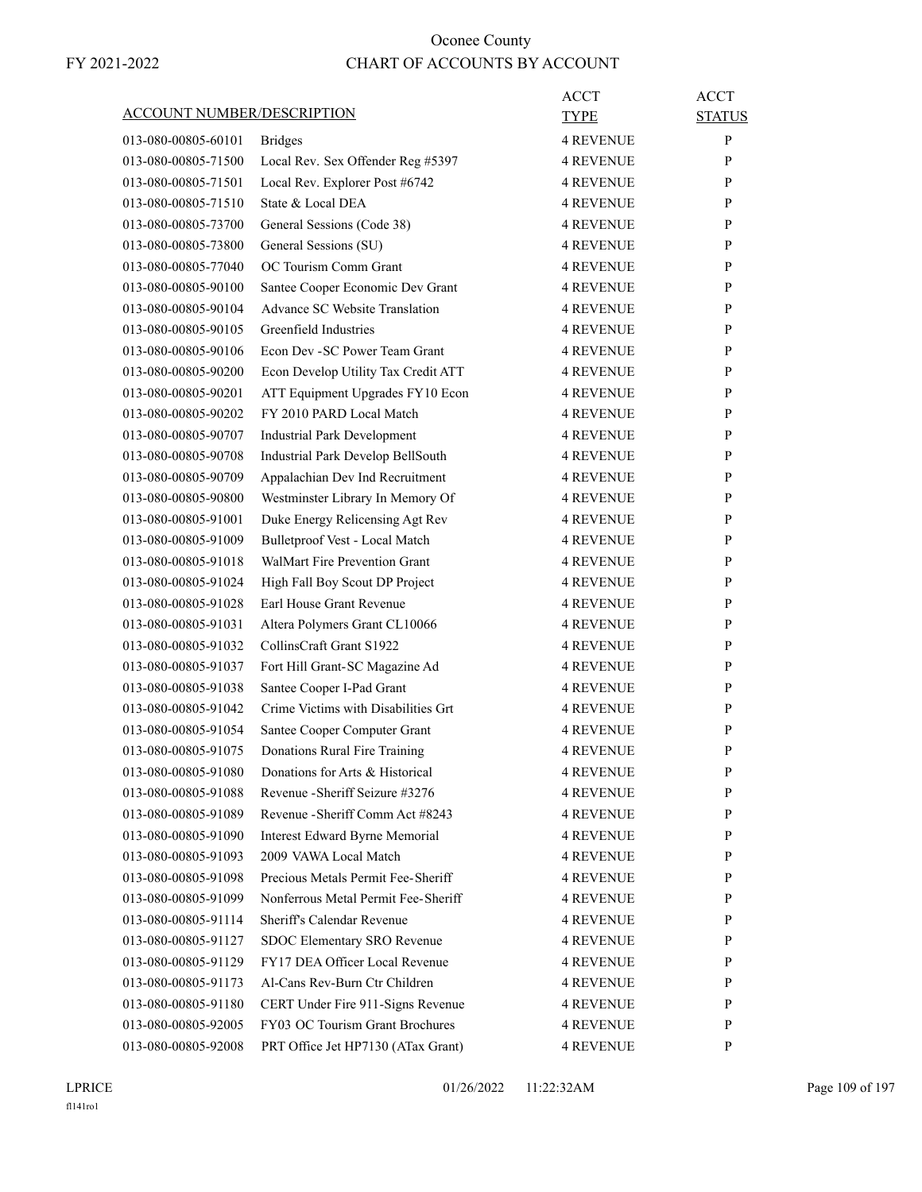|                                   |                                      | ACCT             | <b>ACCT</b>   |
|-----------------------------------|--------------------------------------|------------------|---------------|
| <b>ACCOUNT NUMBER/DESCRIPTION</b> |                                      | TYPE             | <b>STATUS</b> |
| 013-080-00805-60101               | <b>Bridges</b>                       | <b>4 REVENUE</b> | P             |
| 013-080-00805-71500               | Local Rev. Sex Offender Reg #5397    | <b>4 REVENUE</b> | P             |
| 013-080-00805-71501               | Local Rev. Explorer Post #6742       | <b>4 REVENUE</b> | P             |
| 013-080-00805-71510               | State & Local DEA                    | <b>4 REVENUE</b> | P             |
| 013-080-00805-73700               | General Sessions (Code 38)           | 4 REVENUE        | P             |
| 013-080-00805-73800               | General Sessions (SU)                | <b>4 REVENUE</b> | P             |
| 013-080-00805-77040               | OC Tourism Comm Grant                | <b>4 REVENUE</b> | P             |
| 013-080-00805-90100               | Santee Cooper Economic Dev Grant     | <b>4 REVENUE</b> | P             |
| 013-080-00805-90104               | Advance SC Website Translation       | <b>4 REVENUE</b> | P             |
| 013-080-00805-90105               | Greenfield Industries                | <b>4 REVENUE</b> | P             |
| 013-080-00805-90106               | Econ Dev - SC Power Team Grant       | 4 REVENUE        | P             |
| 013-080-00805-90200               | Econ Develop Utility Tax Credit ATT  | <b>4 REVENUE</b> | P             |
| 013-080-00805-90201               | ATT Equipment Upgrades FY10 Econ     | <b>4 REVENUE</b> | P             |
| 013-080-00805-90202               | FY 2010 PARD Local Match             | <b>4 REVENUE</b> | P             |
| 013-080-00805-90707               | <b>Industrial Park Development</b>   | <b>4 REVENUE</b> | P             |
| 013-080-00805-90708               | Industrial Park Develop BellSouth    | <b>4 REVENUE</b> | P             |
| 013-080-00805-90709               | Appalachian Dev Ind Recruitment      | 4 REVENUE        | P             |
| 013-080-00805-90800               | Westminster Library In Memory Of     | <b>4 REVENUE</b> | P             |
| 013-080-00805-91001               | Duke Energy Relicensing Agt Rev      | <b>4 REVENUE</b> | P             |
| 013-080-00805-91009               | Bulletproof Vest - Local Match       | <b>4 REVENUE</b> | P             |
| 013-080-00805-91018               | <b>WalMart Fire Prevention Grant</b> | <b>4 REVENUE</b> | P             |
| 013-080-00805-91024               | High Fall Boy Scout DP Project       | <b>4 REVENUE</b> | P             |
| 013-080-00805-91028               | Earl House Grant Revenue             | 4 REVENUE        | P             |
| 013-080-00805-91031               | Altera Polymers Grant CL10066        | <b>4 REVENUE</b> | P             |
| 013-080-00805-91032               | CollinsCraft Grant S1922             | <b>4 REVENUE</b> | P             |
| 013-080-00805-91037               | Fort Hill Grant-SC Magazine Ad       | <b>4 REVENUE</b> | P             |
| 013-080-00805-91038               | Santee Cooper I-Pad Grant            | <b>4 REVENUE</b> | P             |
| 013-080-00805-91042               | Crime Victims with Disabilities Grt  | <b>4 REVENUE</b> | P             |
| 013-080-00805-91054               | Santee Cooper Computer Grant         | <b>4 REVENUE</b> | P             |
| 013-080-00805-91075               | Donations Rural Fire Training        | <b>4 REVENUE</b> | P             |
| 013-080-00805-91080               | Donations for Arts & Historical      | <b>4 REVENUE</b> | ${\bf P}$     |
| 013-080-00805-91088               | Revenue - Sheriff Seizure #3276      | <b>4 REVENUE</b> | P             |
| 013-080-00805-91089               | Revenue - Sheriff Comm Act #8243     | <b>4 REVENUE</b> | P             |
| 013-080-00805-91090               | Interest Edward Byrne Memorial       | <b>4 REVENUE</b> | P             |
| 013-080-00805-91093               | 2009 VAWA Local Match                | <b>4 REVENUE</b> | P             |
| 013-080-00805-91098               | Precious Metals Permit Fee-Sheriff   | <b>4 REVENUE</b> | P             |
| 013-080-00805-91099               | Nonferrous Metal Permit Fee-Sheriff  | <b>4 REVENUE</b> | P             |
| 013-080-00805-91114               | Sheriff's Calendar Revenue           | <b>4 REVENUE</b> | P             |
| 013-080-00805-91127               | SDOC Elementary SRO Revenue          | <b>4 REVENUE</b> | P             |
| 013-080-00805-91129               | FY17 DEA Officer Local Revenue       | <b>4 REVENUE</b> | P             |
| 013-080-00805-91173               | Al-Cans Rev-Burn Ctr Children        | <b>4 REVENUE</b> | P             |
| 013-080-00805-91180               | CERT Under Fire 911-Signs Revenue    | <b>4 REVENUE</b> | P             |
| 013-080-00805-92005               | FY03 OC Tourism Grant Brochures      | <b>4 REVENUE</b> | P             |
| 013-080-00805-92008               | PRT Office Jet HP7130 (ATax Grant)   | <b>4 REVENUE</b> | P             |
|                                   |                                      |                  |               |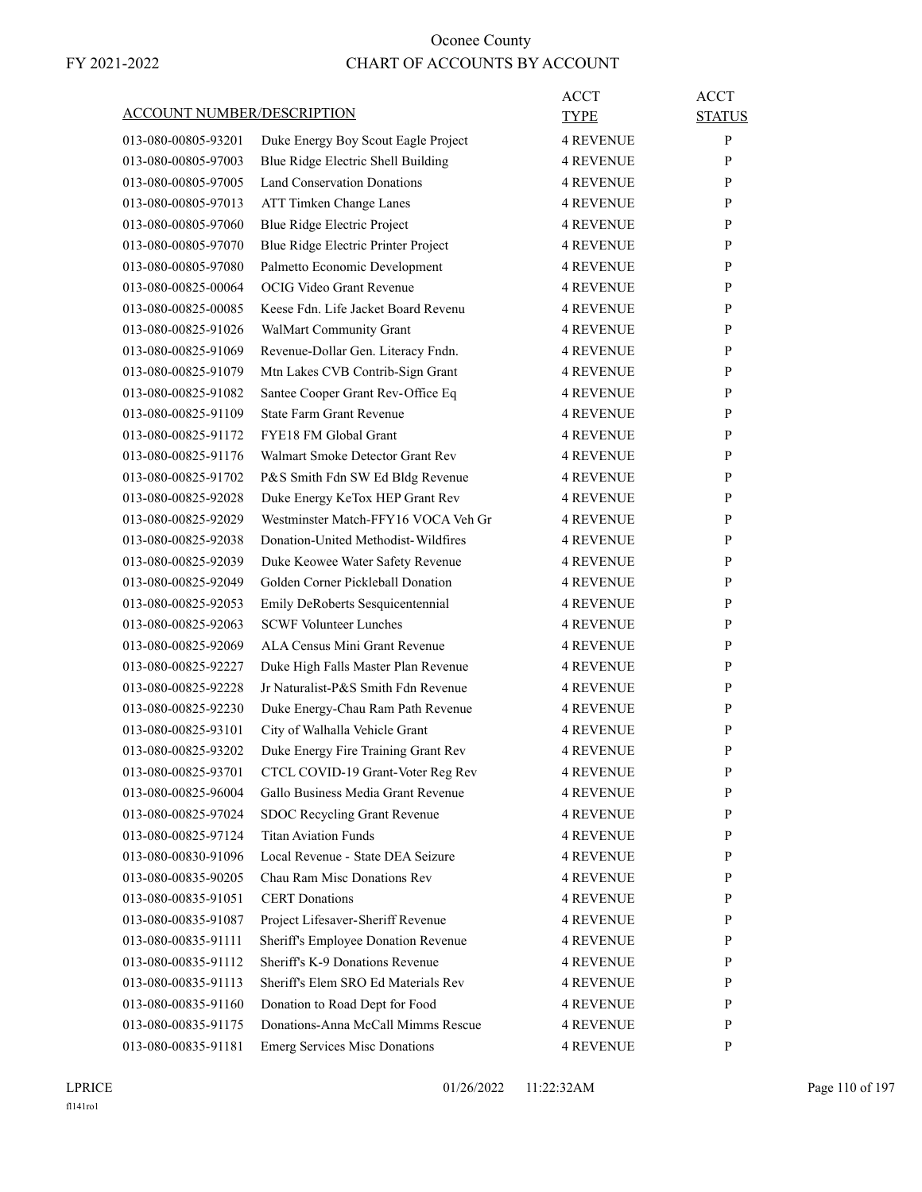| <b>ACCOUNT NUMBER/DESCRIPTION</b> |                                      | ACCT<br>TYPE     | <b>ACCT</b><br><b>STATUS</b> |
|-----------------------------------|--------------------------------------|------------------|------------------------------|
| 013-080-00805-93201               | Duke Energy Boy Scout Eagle Project  | <b>4 REVENUE</b> | P                            |
| 013-080-00805-97003               | Blue Ridge Electric Shell Building   | <b>4 REVENUE</b> | P                            |
| 013-080-00805-97005               | <b>Land Conservation Donations</b>   | <b>4 REVENUE</b> | P                            |
| 013-080-00805-97013               | ATT Timken Change Lanes              | 4 REVENUE        | P                            |
| 013-080-00805-97060               | Blue Ridge Electric Project          | <b>4 REVENUE</b> | P                            |
| 013-080-00805-97070               | Blue Ridge Electric Printer Project  | <b>4 REVENUE</b> | P                            |
| 013-080-00805-97080               | Palmetto Economic Development        | <b>4 REVENUE</b> | P                            |
| 013-080-00825-00064               | OCIG Video Grant Revenue             | <b>4 REVENUE</b> | P                            |
| 013-080-00825-00085               | Keese Fdn. Life Jacket Board Revenu  | <b>4 REVENUE</b> | P                            |
| 013-080-00825-91026               | WalMart Community Grant              | <b>4 REVENUE</b> | P                            |
| 013-080-00825-91069               | Revenue-Dollar Gen. Literacy Fndn.   | <b>4 REVENUE</b> | P                            |
| 013-080-00825-91079               | Mtn Lakes CVB Contrib-Sign Grant     | <b>4 REVENUE</b> | P                            |
| 013-080-00825-91082               | Santee Cooper Grant Rev-Office Eq    | <b>4 REVENUE</b> | P                            |
| 013-080-00825-91109               | <b>State Farm Grant Revenue</b>      | <b>4 REVENUE</b> | P                            |
| 013-080-00825-91172               | <b>FYE18 FM Global Grant</b>         | <b>4 REVENUE</b> | P                            |
| 013-080-00825-91176               | Walmart Smoke Detector Grant Rev     | <b>4 REVENUE</b> | P                            |
| 013-080-00825-91702               | P&S Smith Fdn SW Ed Bldg Revenue     | <b>4 REVENUE</b> | P                            |
| 013-080-00825-92028               | Duke Energy KeTox HEP Grant Rev      | <b>4 REVENUE</b> | P                            |
| 013-080-00825-92029               | Westminster Match-FFY16 VOCA Veh Gr  | <b>4 REVENUE</b> | P                            |
| 013-080-00825-92038               | Donation-United Methodist-Wildfires  | <b>4 REVENUE</b> | P                            |
| 013-080-00825-92039               | Duke Keowee Water Safety Revenue     | <b>4 REVENUE</b> | P                            |
| 013-080-00825-92049               | Golden Corner Pickleball Donation    | <b>4 REVENUE</b> | P                            |
| 013-080-00825-92053               | Emily DeRoberts Sesquicentennial     | <b>4 REVENUE</b> | P                            |
| 013-080-00825-92063               | <b>SCWF Volunteer Lunches</b>        | <b>4 REVENUE</b> | P                            |
| 013-080-00825-92069               | ALA Census Mini Grant Revenue        | <b>4 REVENUE</b> | P                            |
| 013-080-00825-92227               | Duke High Falls Master Plan Revenue  | <b>4 REVENUE</b> | P                            |
| 013-080-00825-92228               | Jr Naturalist-P&S Smith Fdn Revenue  | <b>4 REVENUE</b> | P                            |
| 013-080-00825-92230               | Duke Energy-Chau Ram Path Revenue    | <b>4 REVENUE</b> | P                            |
| 013-080-00825-93101               | City of Walhalla Vehicle Grant       | 4 REVENUE        | P                            |
| 013-080-00825-93202               | Duke Energy Fire Training Grant Rev  | <b>4 REVENUE</b> | P                            |
| 013-080-00825-93701               | CTCL COVID-19 Grant-Voter Reg Rev    | <b>4 REVENUE</b> | P                            |
| 013-080-00825-96004               | Gallo Business Media Grant Revenue   | <b>4 REVENUE</b> | P                            |
| 013-080-00825-97024               | SDOC Recycling Grant Revenue         | 4 REVENUE        | P                            |
| 013-080-00825-97124               | <b>Titan Aviation Funds</b>          | 4 REVENUE        | P                            |
| 013-080-00830-91096               | Local Revenue - State DEA Seizure    | <b>4 REVENUE</b> | P                            |
| 013-080-00835-90205               | Chau Ram Misc Donations Rev          | <b>4 REVENUE</b> | P                            |
| 013-080-00835-91051               | <b>CERT</b> Donations                | 4 REVENUE        | P                            |
| 013-080-00835-91087               | Project Lifesaver-Sheriff Revenue    | 4 REVENUE        | P                            |
| 013-080-00835-91111               | Sheriff's Employee Donation Revenue  | 4 REVENUE        | P                            |
| 013-080-00835-91112               | Sheriff's K-9 Donations Revenue      | 4 REVENUE        | P                            |
| 013-080-00835-91113               | Sheriff's Elem SRO Ed Materials Rev  | <b>4 REVENUE</b> | P                            |
| 013-080-00835-91160               | Donation to Road Dept for Food       | 4 REVENUE        | P                            |
| 013-080-00835-91175               | Donations-Anna McCall Mimms Rescue   | 4 REVENUE        | P                            |
|                                   |                                      |                  |                              |
| 013-080-00835-91181               | <b>Emerg Services Misc Donations</b> | 4 REVENUE        | P                            |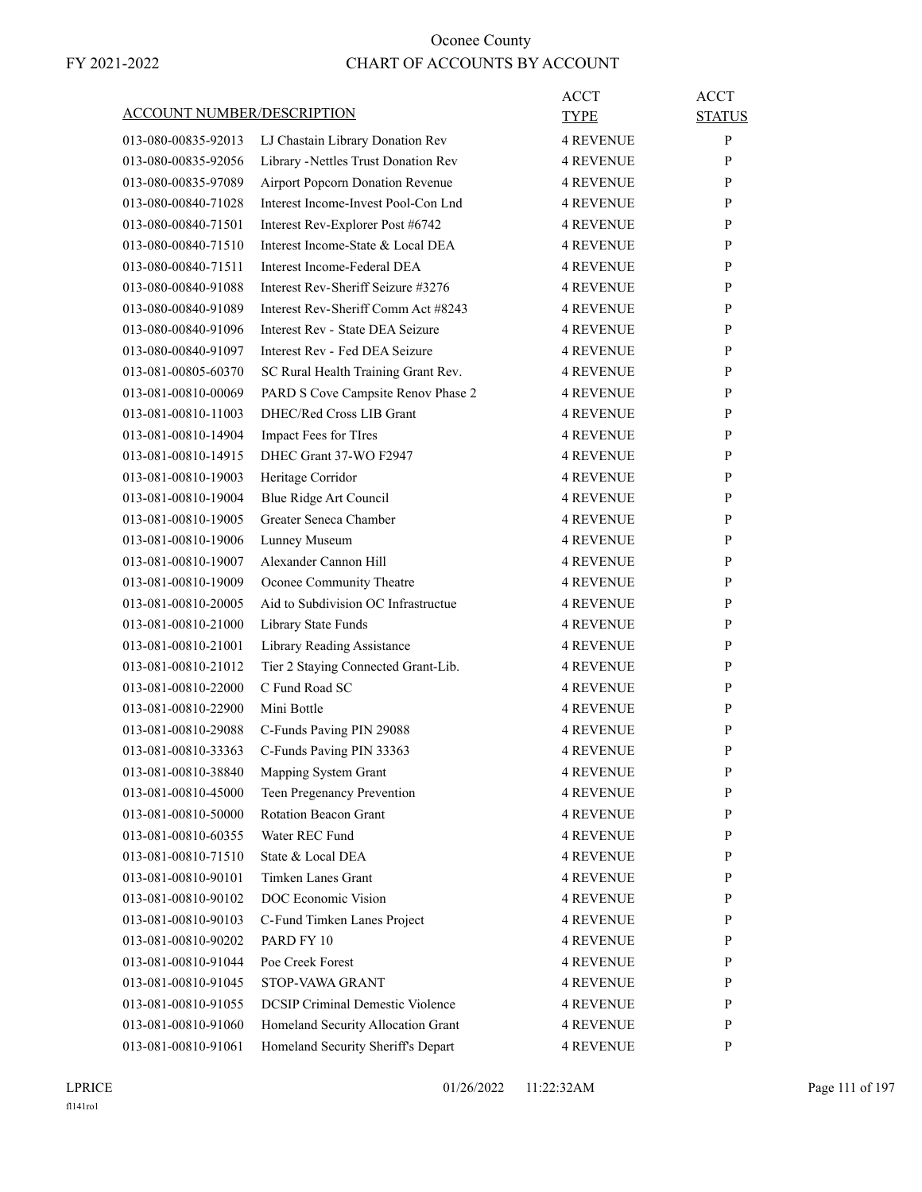|                                   |                                         | <b>ACCT</b>      | <b>ACCT</b>   |
|-----------------------------------|-----------------------------------------|------------------|---------------|
| <b>ACCOUNT NUMBER/DESCRIPTION</b> |                                         | <b>TYPE</b>      | <b>STATUS</b> |
| 013-080-00835-92013               | LJ Chastain Library Donation Rev        | <b>4 REVENUE</b> | P             |
| 013-080-00835-92056               | Library - Nettles Trust Donation Rev    | <b>4 REVENUE</b> | P             |
| 013-080-00835-97089               | Airport Popcorn Donation Revenue        | <b>4 REVENUE</b> | P             |
| 013-080-00840-71028               | Interest Income-Invest Pool-Con Lnd     | <b>4 REVENUE</b> | P             |
| 013-080-00840-71501               | Interest Rev-Explorer Post #6742        | <b>4 REVENUE</b> | P             |
| 013-080-00840-71510               | Interest Income-State & Local DEA       | <b>4 REVENUE</b> | P             |
| 013-080-00840-71511               | Interest Income-Federal DEA             | <b>4 REVENUE</b> | P             |
| 013-080-00840-91088               | Interest Rev-Sheriff Seizure #3276      | <b>4 REVENUE</b> | P             |
| 013-080-00840-91089               | Interest Rev-Sheriff Comm Act #8243     | <b>4 REVENUE</b> | P             |
| 013-080-00840-91096               | Interest Rev - State DEA Seizure        | <b>4 REVENUE</b> | P             |
| 013-080-00840-91097               | Interest Rev - Fed DEA Seizure          | <b>4 REVENUE</b> | P             |
| 013-081-00805-60370               | SC Rural Health Training Grant Rev.     | <b>4 REVENUE</b> | P             |
| 013-081-00810-00069               | PARD S Cove Campsite Renov Phase 2      | <b>4 REVENUE</b> | P             |
| 013-081-00810-11003               | DHEC/Red Cross LIB Grant                | <b>4 REVENUE</b> | P             |
| 013-081-00810-14904               | Impact Fees for TIres                   | <b>4 REVENUE</b> | P             |
| 013-081-00810-14915               | DHEC Grant 37-WO F2947                  | <b>4 REVENUE</b> | P             |
| 013-081-00810-19003               | Heritage Corridor                       | <b>4 REVENUE</b> | P             |
| 013-081-00810-19004               | Blue Ridge Art Council                  | <b>4 REVENUE</b> | P             |
| 013-081-00810-19005               | Greater Seneca Chamber                  | <b>4 REVENUE</b> | P             |
| 013-081-00810-19006               | Lunney Museum                           | <b>4 REVENUE</b> | P             |
| 013-081-00810-19007               | Alexander Cannon Hill                   | <b>4 REVENUE</b> | P             |
| 013-081-00810-19009               | Oconee Community Theatre                | <b>4 REVENUE</b> | P             |
| 013-081-00810-20005               | Aid to Subdivision OC Infrastructue     | <b>4 REVENUE</b> | P             |
| 013-081-00810-21000               | Library State Funds                     | <b>4 REVENUE</b> | P             |
| 013-081-00810-21001               | Library Reading Assistance              | <b>4 REVENUE</b> | P             |
| 013-081-00810-21012               | Tier 2 Staying Connected Grant-Lib.     | <b>4 REVENUE</b> | P             |
| 013-081-00810-22000               | C Fund Road SC                          | <b>4 REVENUE</b> | P             |
| 013-081-00810-22900               | Mini Bottle                             | <b>4 REVENUE</b> | P             |
| 013-081-00810-29088               | C-Funds Paving PIN 29088                | <b>4 REVENUE</b> | P             |
| 013-081-00810-33363               | C-Funds Paving PIN 33363                | <b>4 REVENUE</b> | P             |
| 013-081-00810-38840               | Mapping System Grant                    | <b>4 REVENUE</b> | ${\bf P}$     |
| 013-081-00810-45000               | Teen Pregenancy Prevention              | <b>4 REVENUE</b> | P             |
| 013-081-00810-50000               | Rotation Beacon Grant                   | <b>4 REVENUE</b> | P             |
| 013-081-00810-60355               | Water REC Fund                          | <b>4 REVENUE</b> | P             |
| 013-081-00810-71510               | State & Local DEA                       | <b>4 REVENUE</b> | P             |
| 013-081-00810-90101               | Timken Lanes Grant                      | <b>4 REVENUE</b> | P             |
| 013-081-00810-90102               | DOC Economic Vision                     | <b>4 REVENUE</b> | P             |
| 013-081-00810-90103               | C-Fund Timken Lanes Project             | <b>4 REVENUE</b> | P             |
| 013-081-00810-90202               | PARD FY 10                              | <b>4 REVENUE</b> | P             |
| 013-081-00810-91044               | Poe Creek Forest                        | <b>4 REVENUE</b> | P             |
| 013-081-00810-91045               | STOP-VAWA GRANT                         | <b>4 REVENUE</b> | P             |
| 013-081-00810-91055               | <b>DCSIP Criminal Demestic Violence</b> | <b>4 REVENUE</b> | P             |
| 013-081-00810-91060               | Homeland Security Allocation Grant      | <b>4 REVENUE</b> | P             |
| 013-081-00810-91061               | Homeland Security Sheriff's Depart      | <b>4 REVENUE</b> | P             |
|                                   |                                         |                  |               |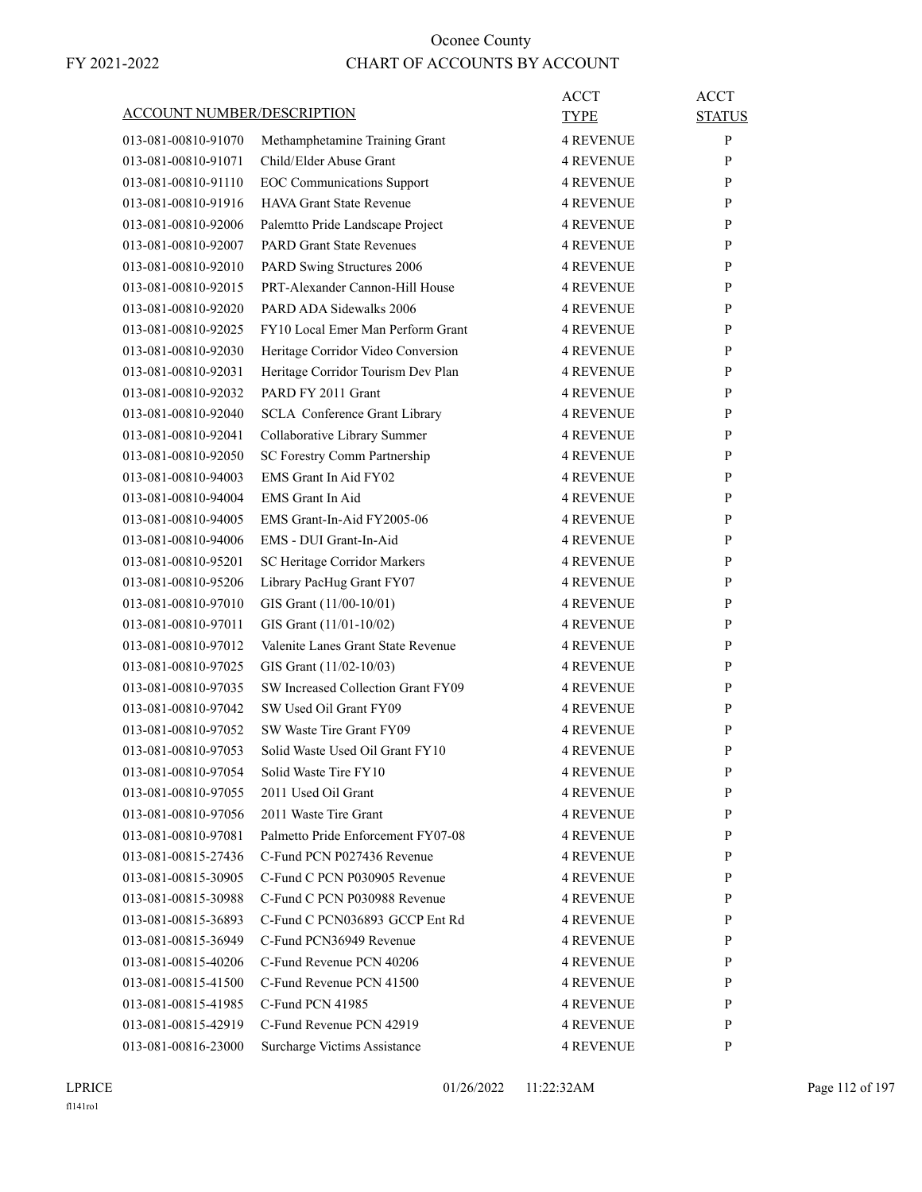| <b>ACCOUNT NUMBER/DESCRIPTION</b> |                                      | <b>ACCT</b>      | <b>ACCT</b>   |
|-----------------------------------|--------------------------------------|------------------|---------------|
|                                   |                                      | TYPE             | <b>STATUS</b> |
| 013-081-00810-91070               | Methamphetamine Training Grant       | <b>4 REVENUE</b> | P             |
| 013-081-00810-91071               | Child/Elder Abuse Grant              | <b>4 REVENUE</b> | P             |
| 013-081-00810-91110               | <b>EOC</b> Communications Support    | <b>4 REVENUE</b> | P             |
| 013-081-00810-91916               | HAVA Grant State Revenue             | <b>4 REVENUE</b> | P             |
| 013-081-00810-92006               | Palemtto Pride Landscape Project     | <b>4 REVENUE</b> | P             |
| 013-081-00810-92007               | <b>PARD Grant State Revenues</b>     | <b>4 REVENUE</b> | P             |
| 013-081-00810-92010               | PARD Swing Structures 2006           | <b>4 REVENUE</b> | P             |
| 013-081-00810-92015               | PRT-Alexander Cannon-Hill House      | <b>4 REVENUE</b> | P             |
| 013-081-00810-92020               | PARD ADA Sidewalks 2006              | <b>4 REVENUE</b> | P             |
| 013-081-00810-92025               | FY10 Local Emer Man Perform Grant    | <b>4 REVENUE</b> | P             |
| 013-081-00810-92030               | Heritage Corridor Video Conversion   | <b>4 REVENUE</b> | P             |
| 013-081-00810-92031               | Heritage Corridor Tourism Dev Plan   | <b>4 REVENUE</b> | P             |
| 013-081-00810-92032               | PARD FY 2011 Grant                   | <b>4 REVENUE</b> | P             |
| 013-081-00810-92040               | <b>SCLA</b> Conference Grant Library | <b>4 REVENUE</b> | P             |
| 013-081-00810-92041               | Collaborative Library Summer         | <b>4 REVENUE</b> | P             |
| 013-081-00810-92050               | SC Forestry Comm Partnership         | <b>4 REVENUE</b> | P             |
| 013-081-00810-94003               | EMS Grant In Aid FY02                | <b>4 REVENUE</b> | P             |
| 013-081-00810-94004               | EMS Grant In Aid                     | <b>4 REVENUE</b> | P             |
| 013-081-00810-94005               | EMS Grant-In-Aid FY2005-06           | <b>4 REVENUE</b> | P             |
| 013-081-00810-94006               | EMS - DUI Grant-In-Aid               | <b>4 REVENUE</b> | P             |
| 013-081-00810-95201               | SC Heritage Corridor Markers         | <b>4 REVENUE</b> | P             |
| 013-081-00810-95206               | Library PacHug Grant FY07            | <b>4 REVENUE</b> | P             |
| 013-081-00810-97010               | GIS Grant (11/00-10/01)              | <b>4 REVENUE</b> | P             |
| 013-081-00810-97011               | GIS Grant (11/01-10/02)              | <b>4 REVENUE</b> | P             |
| 013-081-00810-97012               | Valenite Lanes Grant State Revenue   | <b>4 REVENUE</b> | P             |
| 013-081-00810-97025               | GIS Grant (11/02-10/03)              | <b>4 REVENUE</b> | P             |
| 013-081-00810-97035               | SW Increased Collection Grant FY09   | <b>4 REVENUE</b> | P             |
| 013-081-00810-97042               | SW Used Oil Grant FY09               | 4 REVENUE        | P             |
| 013-081-00810-97052               | SW Waste Tire Grant FY09             | <b>4 REVENUE</b> | P             |
| 013-081-00810-97053               | Solid Waste Used Oil Grant FY10      | <b>4 REVENUE</b> | P             |
| 013-081-00810-97054               | Solid Waste Tire FY10                | 4 REVENUE        | P             |
| 013-081-00810-97055               | 2011 Used Oil Grant                  | <b>4 REVENUE</b> | P             |
| 013-081-00810-97056               | 2011 Waste Tire Grant                | <b>4 REVENUE</b> | P             |
| 013-081-00810-97081               | Palmetto Pride Enforcement FY07-08   | <b>4 REVENUE</b> | P             |
| 013-081-00815-27436               | C-Fund PCN P027436 Revenue           | <b>4 REVENUE</b> | P             |
| 013-081-00815-30905               | C-Fund C PCN P030905 Revenue         | <b>4 REVENUE</b> | P             |
| 013-081-00815-30988               | C-Fund C PCN P030988 Revenue         | <b>4 REVENUE</b> | P             |
| 013-081-00815-36893               | C-Fund C PCN036893 GCCP Ent Rd       | <b>4 REVENUE</b> | P             |
| 013-081-00815-36949               | C-Fund PCN36949 Revenue              | <b>4 REVENUE</b> | P             |
| 013-081-00815-40206               | C-Fund Revenue PCN 40206             | <b>4 REVENUE</b> | P             |
| 013-081-00815-41500               | C-Fund Revenue PCN 41500             | <b>4 REVENUE</b> | P             |
| 013-081-00815-41985               | C-Fund PCN 41985                     | <b>4 REVENUE</b> | P             |
| 013-081-00815-42919               | C-Fund Revenue PCN 42919             | <b>4 REVENUE</b> | P             |
| 013-081-00816-23000               | Surcharge Victims Assistance         | <b>4 REVENUE</b> | P             |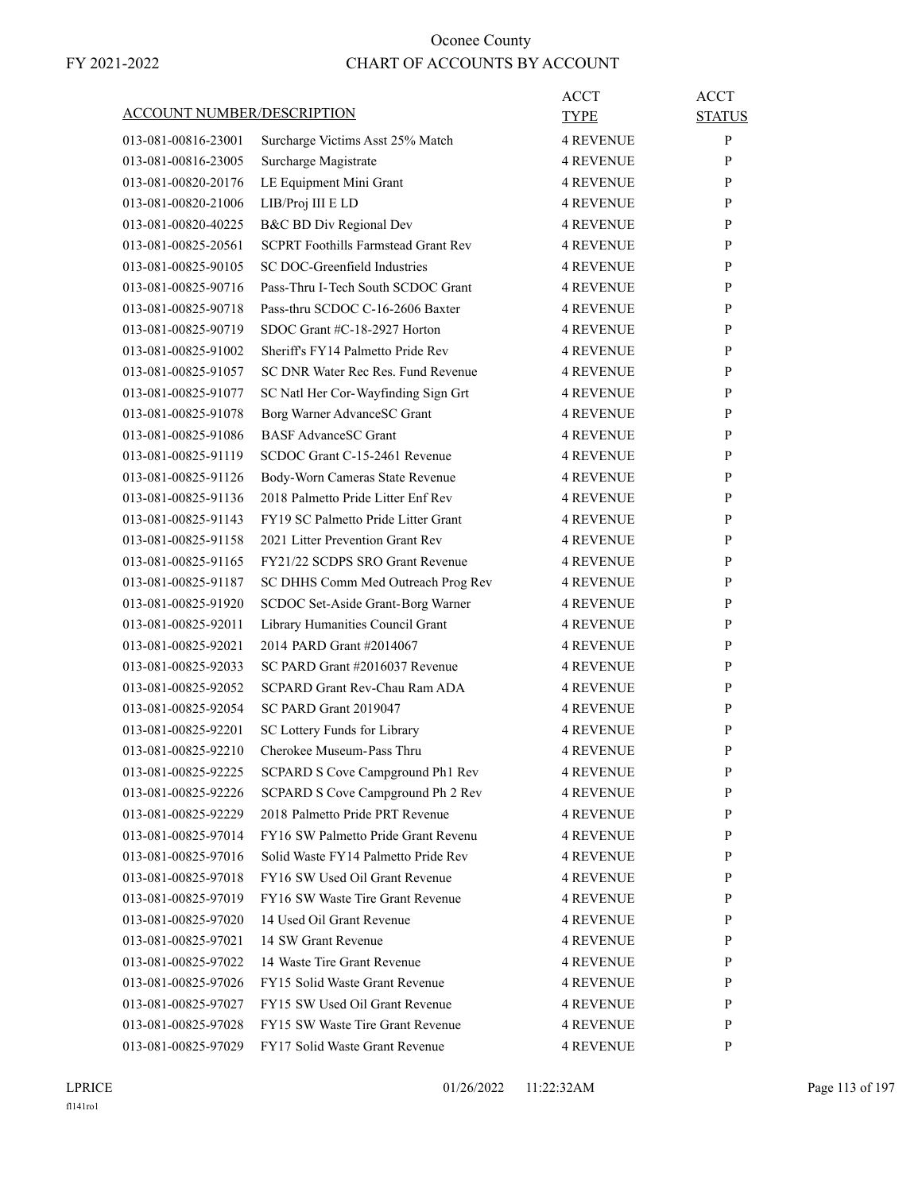| <b>ACCOUNT NUMBER/DESCRIPTION</b> |                                            | ACCT<br><b>TYPE</b> | <b>ACCT</b><br><b>STATUS</b> |
|-----------------------------------|--------------------------------------------|---------------------|------------------------------|
| 013-081-00816-23001               | Surcharge Victims Asst 25% Match           | <b>4 REVENUE</b>    | P                            |
| 013-081-00816-23005               | Surcharge Magistrate                       | <b>4 REVENUE</b>    | P                            |
| 013-081-00820-20176               | LE Equipment Mini Grant                    | <b>4 REVENUE</b>    | P                            |
| 013-081-00820-21006               | LIB/Proj III E LD                          | <b>4 REVENUE</b>    | P                            |
| 013-081-00820-40225               | B&C BD Div Regional Dev                    | <b>4 REVENUE</b>    | P                            |
| 013-081-00825-20561               | <b>SCPRT Foothills Farmstead Grant Rev</b> | <b>4 REVENUE</b>    | P                            |
| 013-081-00825-90105               | SC DOC-Greenfield Industries               | <b>4 REVENUE</b>    | P                            |
| 013-081-00825-90716               | Pass-Thru I-Tech South SCDOC Grant         | <b>4 REVENUE</b>    | P                            |
| 013-081-00825-90718               | Pass-thru SCDOC C-16-2606 Baxter           | <b>4 REVENUE</b>    | P                            |
| 013-081-00825-90719               | SDOC Grant #C-18-2927 Horton               | <b>4 REVENUE</b>    | P                            |
| 013-081-00825-91002               | Sheriff's FY14 Palmetto Pride Rev          | <b>4 REVENUE</b>    | P                            |
| 013-081-00825-91057               | SC DNR Water Rec Res. Fund Revenue         | <b>4 REVENUE</b>    | P                            |
| 013-081-00825-91077               | SC Natl Her Cor-Wayfinding Sign Grt        | <b>4 REVENUE</b>    | P                            |
| 013-081-00825-91078               | Borg Warner AdvanceSC Grant                | <b>4 REVENUE</b>    | P                            |
| 013-081-00825-91086               | <b>BASF AdvanceSC Grant</b>                | <b>4 REVENUE</b>    | P                            |
| 013-081-00825-91119               | SCDOC Grant C-15-2461 Revenue              | <b>4 REVENUE</b>    | P                            |
| 013-081-00825-91126               | Body-Worn Cameras State Revenue            | <b>4 REVENUE</b>    | P                            |
| 013-081-00825-91136               | 2018 Palmetto Pride Litter Enf Rev         | <b>4 REVENUE</b>    | P                            |
| 013-081-00825-91143               | FY19 SC Palmetto Pride Litter Grant        | <b>4 REVENUE</b>    | P                            |
| 013-081-00825-91158               | 2021 Litter Prevention Grant Rev           | <b>4 REVENUE</b>    | P                            |
| 013-081-00825-91165               | FY21/22 SCDPS SRO Grant Revenue            | <b>4 REVENUE</b>    | P                            |
| 013-081-00825-91187               | SC DHHS Comm Med Outreach Prog Rev         | <b>4 REVENUE</b>    | P                            |
| 013-081-00825-91920               | SCDOC Set-Aside Grant-Borg Warner          | <b>4 REVENUE</b>    | P                            |
| 013-081-00825-92011               | Library Humanities Council Grant           | <b>4 REVENUE</b>    | P                            |
| 013-081-00825-92021               | 2014 PARD Grant #2014067                   | <b>4 REVENUE</b>    | P                            |
| 013-081-00825-92033               | SC PARD Grant #2016037 Revenue             | <b>4 REVENUE</b>    | P                            |
| 013-081-00825-92052               | SCPARD Grant Rev-Chau Ram ADA              | <b>4 REVENUE</b>    | P                            |
| 013-081-00825-92054               | SC PARD Grant 2019047                      | <b>4 REVENUE</b>    | P                            |
| 013-081-00825-92201               | SC Lottery Funds for Library               | <b>4 REVENUE</b>    | P                            |
| 013-081-00825-92210               | Cherokee Museum-Pass Thru                  | <b>4 REVENUE</b>    | P                            |
| 013-081-00825-92225               | SCPARD S Cove Campground Ph1 Rev           | <b>4 REVENUE</b>    | P                            |
| 013-081-00825-92226               | SCPARD S Cove Campground Ph 2 Rev          | <b>4 REVENUE</b>    | P                            |
| 013-081-00825-92229               | 2018 Palmetto Pride PRT Revenue            | <b>4 REVENUE</b>    | P                            |
| 013-081-00825-97014               | FY16 SW Palmetto Pride Grant Revenu        | <b>4 REVENUE</b>    | P                            |
| 013-081-00825-97016               | Solid Waste FY14 Palmetto Pride Rev        | <b>4 REVENUE</b>    | P                            |
| 013-081-00825-97018               | FY16 SW Used Oil Grant Revenue             | <b>4 REVENUE</b>    | P                            |
| 013-081-00825-97019               | FY16 SW Waste Tire Grant Revenue           | <b>4 REVENUE</b>    | P                            |
| 013-081-00825-97020               | 14 Used Oil Grant Revenue                  | <b>4 REVENUE</b>    | P                            |
| 013-081-00825-97021               | 14 SW Grant Revenue                        | <b>4 REVENUE</b>    | P                            |
| 013-081-00825-97022               | 14 Waste Tire Grant Revenue                | <b>4 REVENUE</b>    | P                            |
| 013-081-00825-97026               | FY15 Solid Waste Grant Revenue             | <b>4 REVENUE</b>    | P                            |
| 013-081-00825-97027               | FY15 SW Used Oil Grant Revenue             | <b>4 REVENUE</b>    | P                            |
| 013-081-00825-97028               | FY15 SW Waste Tire Grant Revenue           | <b>4 REVENUE</b>    | P                            |
| 013-081-00825-97029               | FY17 Solid Waste Grant Revenue             | 4 REVENUE           | P                            |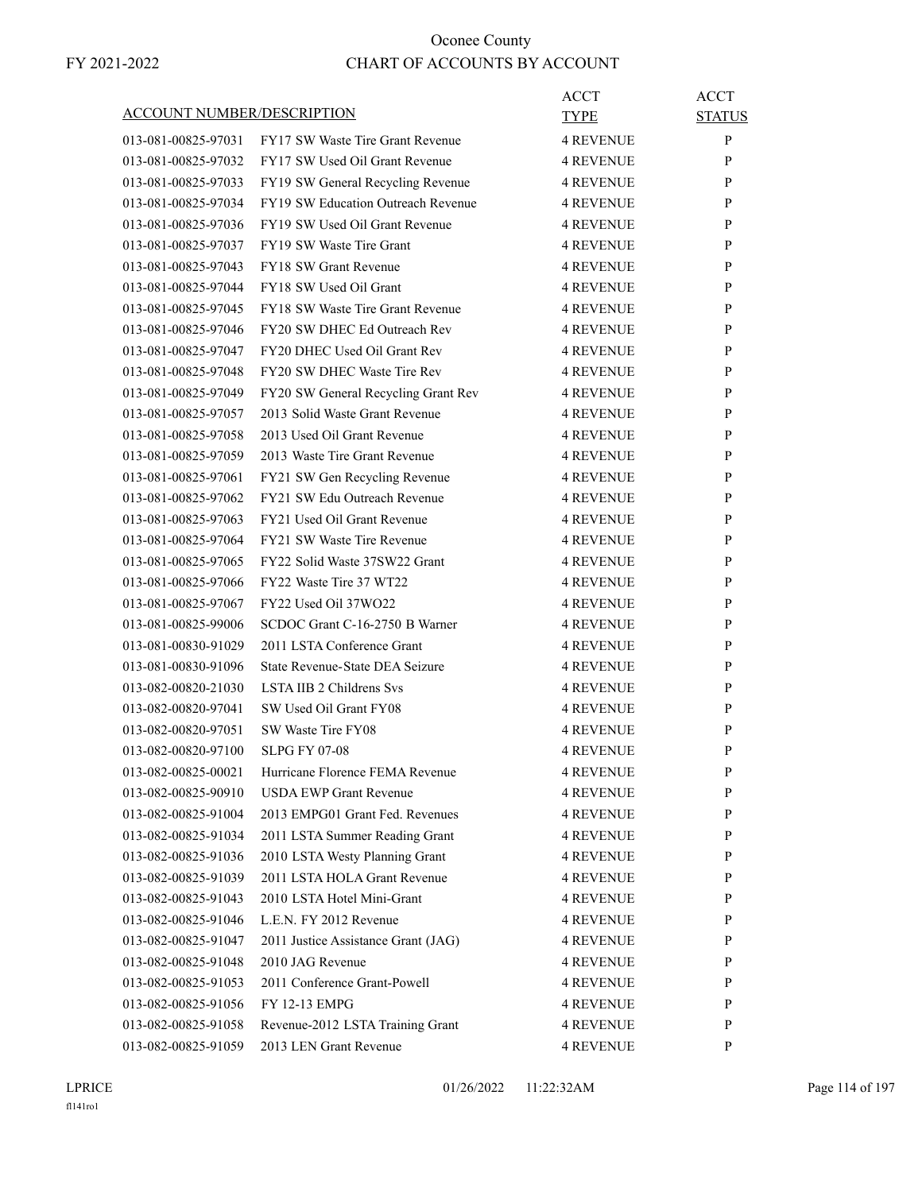| ACCOUNT NUMBER/DESCRIPTION |                                     | ACCT<br>TYPE     | <b>ACCT</b><br><b>STATUS</b> |
|----------------------------|-------------------------------------|------------------|------------------------------|
| 013-081-00825-97031        | FY17 SW Waste Tire Grant Revenue    | <b>4 REVENUE</b> | P                            |
| 013-081-00825-97032        | FY17 SW Used Oil Grant Revenue      | <b>4 REVENUE</b> | P                            |
| 013-081-00825-97033        | FY19 SW General Recycling Revenue   | <b>4 REVENUE</b> | P                            |
| 013-081-00825-97034        | FY19 SW Education Outreach Revenue  | <b>4 REVENUE</b> | P                            |
| 013-081-00825-97036        | FY19 SW Used Oil Grant Revenue      | <b>4 REVENUE</b> | P                            |
| 013-081-00825-97037        | FY19 SW Waste Tire Grant            | <b>4 REVENUE</b> | P                            |
| 013-081-00825-97043        | <b>FY18 SW Grant Revenue</b>        | <b>4 REVENUE</b> | P                            |
| 013-081-00825-97044        | FY18 SW Used Oil Grant              | <b>4 REVENUE</b> | P                            |
| 013-081-00825-97045        | FY18 SW Waste Tire Grant Revenue    | <b>4 REVENUE</b> | P                            |
| 013-081-00825-97046        | FY20 SW DHEC Ed Outreach Rev        | <b>4 REVENUE</b> | P                            |
| 013-081-00825-97047        | FY20 DHEC Used Oil Grant Rev        | <b>4 REVENUE</b> | P                            |
| 013-081-00825-97048        | FY20 SW DHEC Waste Tire Rev         | <b>4 REVENUE</b> | P                            |
| 013-081-00825-97049        | FY20 SW General Recycling Grant Rev | <b>4 REVENUE</b> | P                            |
| 013-081-00825-97057        | 2013 Solid Waste Grant Revenue      | <b>4 REVENUE</b> | P                            |
| 013-081-00825-97058        | 2013 Used Oil Grant Revenue         | <b>4 REVENUE</b> | P                            |
| 013-081-00825-97059        | 2013 Waste Tire Grant Revenue       | <b>4 REVENUE</b> | P                            |
| 013-081-00825-97061        | FY21 SW Gen Recycling Revenue       | <b>4 REVENUE</b> | P                            |
| 013-081-00825-97062        | FY21 SW Edu Outreach Revenue        | <b>4 REVENUE</b> | P                            |
| 013-081-00825-97063        | FY21 Used Oil Grant Revenue         | <b>4 REVENUE</b> | P                            |
| 013-081-00825-97064        | FY21 SW Waste Tire Revenue          | <b>4 REVENUE</b> | P                            |
| 013-081-00825-97065        | FY22 Solid Waste 37SW22 Grant       | <b>4 REVENUE</b> | P                            |
| 013-081-00825-97066        | FY22 Waste Tire 37 WT22             | <b>4 REVENUE</b> | P                            |
| 013-081-00825-97067        | FY22 Used Oil 37WO22                | <b>4 REVENUE</b> | P                            |
| 013-081-00825-99006        | SCDOC Grant C-16-2750 B Warner      | <b>4 REVENUE</b> | P                            |
| 013-081-00830-91029        | 2011 LSTA Conference Grant          | <b>4 REVENUE</b> | P                            |
| 013-081-00830-91096        | State Revenue-State DEA Seizure     | <b>4 REVENUE</b> | P                            |
| 013-082-00820-21030        | LSTA IIB 2 Childrens Svs            | <b>4 REVENUE</b> | P                            |
| 013-082-00820-97041        | SW Used Oil Grant FY08              | <b>4 REVENUE</b> | P                            |
| 013-082-00820-97051        | SW Waste Tire FY08                  | <b>4 REVENUE</b> | P                            |
| 013-082-00820-97100        | <b>SLPG FY 07-08</b>                | <b>4 REVENUE</b> | P                            |
| 013-082-00825-00021        | Hurricane Florence FEMA Revenue     | <b>4 REVENUE</b> | P                            |
| 013-082-00825-90910        | <b>USDA EWP Grant Revenue</b>       | <b>4 REVENUE</b> | P                            |
| 013-082-00825-91004        | 2013 EMPG01 Grant Fed. Revenues     | 4 REVENUE        | $\mathbf{P}$                 |
| 013-082-00825-91034        | 2011 LSTA Summer Reading Grant      | <b>4 REVENUE</b> | P                            |
| 013-082-00825-91036        | 2010 LSTA Westy Planning Grant      | <b>4 REVENUE</b> | P                            |
| 013-082-00825-91039        | 2011 LSTA HOLA Grant Revenue        | <b>4 REVENUE</b> | P                            |
| 013-082-00825-91043        | 2010 LSTA Hotel Mini-Grant          | 4 REVENUE        | P                            |
| 013-082-00825-91046        | L.E.N. FY 2012 Revenue              | <b>4 REVENUE</b> | P                            |
| 013-082-00825-91047        | 2011 Justice Assistance Grant (JAG) | 4 REVENUE        | $\mathbf{P}$                 |
| 013-082-00825-91048        | 2010 JAG Revenue                    | 4 REVENUE        | P                            |
| 013-082-00825-91053        | 2011 Conference Grant-Powell        | 4 REVENUE        | P                            |
| 013-082-00825-91056        | FY 12-13 EMPG                       | <b>4 REVENUE</b> | P                            |
| 013-082-00825-91058        | Revenue-2012 LSTA Training Grant    | 4 REVENUE        | P                            |
| 013-082-00825-91059        | 2013 LEN Grant Revenue              | 4 REVENUE        | P                            |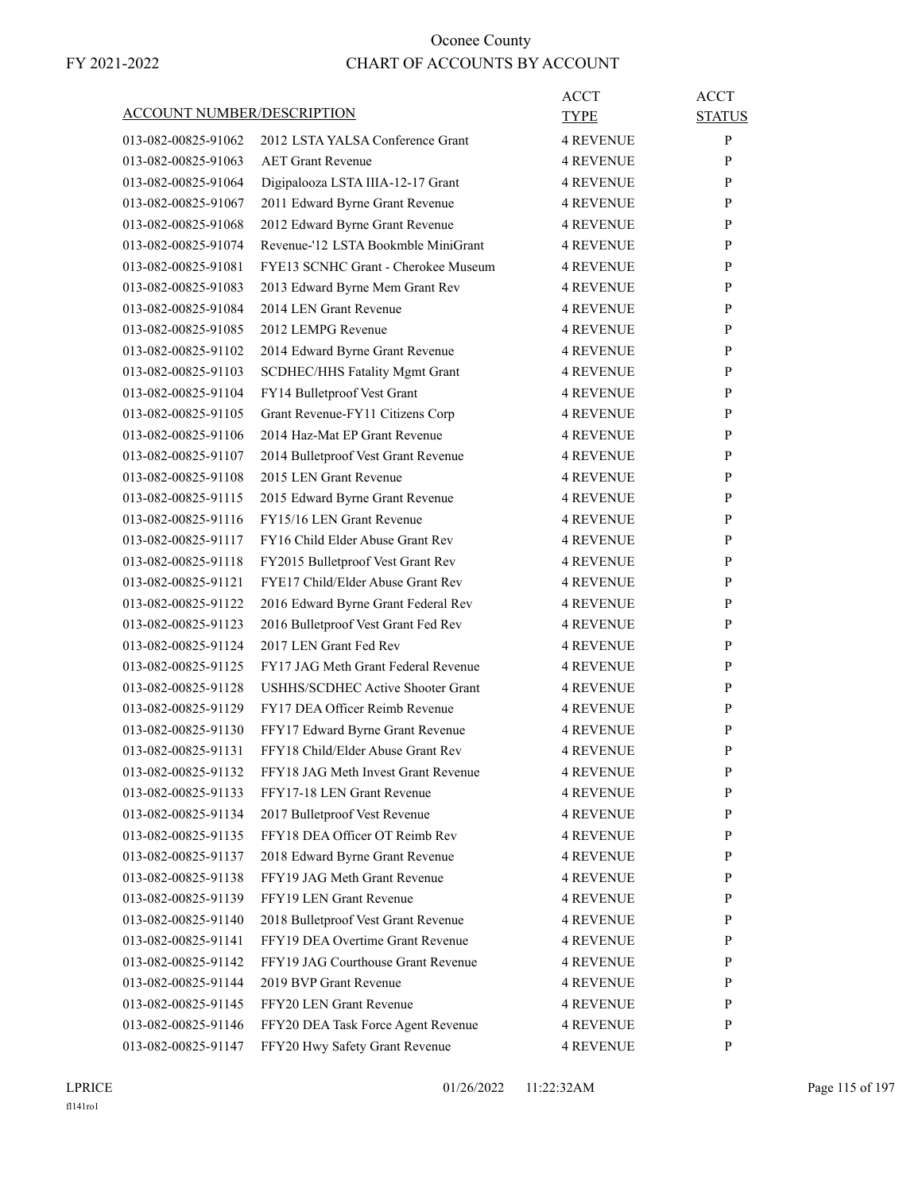| <b>ACCOUNT NUMBER/DESCRIPTION</b> |                                          | ACCT<br>TYPE     | <b>ACCT</b><br><b>STATUS</b> |
|-----------------------------------|------------------------------------------|------------------|------------------------------|
| 013-082-00825-91062               | 2012 LSTA YALSA Conference Grant         | <b>4 REVENUE</b> | $\mathbf{P}$                 |
| 013-082-00825-91063               | <b>AET Grant Revenue</b>                 | <b>4 REVENUE</b> | P                            |
| 013-082-00825-91064               | Digipalooza LSTA IIIA-12-17 Grant        | <b>4 REVENUE</b> | P                            |
| 013-082-00825-91067               | 2011 Edward Byrne Grant Revenue          | <b>4 REVENUE</b> | P                            |
| 013-082-00825-91068               | 2012 Edward Byrne Grant Revenue          | <b>4 REVENUE</b> | P                            |
| 013-082-00825-91074               | Revenue-'12 LSTA Bookmble MiniGrant      | <b>4 REVENUE</b> | P                            |
| 013-082-00825-91081               | FYE13 SCNHC Grant - Cherokee Museum      | <b>4 REVENUE</b> | P                            |
| 013-082-00825-91083               | 2013 Edward Byrne Mem Grant Rev          | <b>4 REVENUE</b> | P                            |
| 013-082-00825-91084               | 2014 LEN Grant Revenue                   | <b>4 REVENUE</b> | P                            |
| 013-082-00825-91085               | 2012 LEMPG Revenue                       | <b>4 REVENUE</b> | P                            |
| 013-082-00825-91102               | 2014 Edward Byrne Grant Revenue          | <b>4 REVENUE</b> | P                            |
| 013-082-00825-91103               | SCDHEC/HHS Fatality Mgmt Grant           | <b>4 REVENUE</b> | P                            |
| 013-082-00825-91104               | FY14 Bulletproof Vest Grant              | <b>4 REVENUE</b> | P                            |
| 013-082-00825-91105               | Grant Revenue-FY11 Citizens Corp         | <b>4 REVENUE</b> | P                            |
| 013-082-00825-91106               | 2014 Haz-Mat EP Grant Revenue            | <b>4 REVENUE</b> | P                            |
| 013-082-00825-91107               | 2014 Bulletproof Vest Grant Revenue      | <b>4 REVENUE</b> | P                            |
| 013-082-00825-91108               | 2015 LEN Grant Revenue                   | <b>4 REVENUE</b> | P                            |
| 013-082-00825-91115               | 2015 Edward Byrne Grant Revenue          | <b>4 REVENUE</b> | P                            |
| 013-082-00825-91116               | FY15/16 LEN Grant Revenue                | <b>4 REVENUE</b> | P                            |
| 013-082-00825-91117               | FY16 Child Elder Abuse Grant Rev         | <b>4 REVENUE</b> | P                            |
| 013-082-00825-91118               | FY2015 Bulletproof Vest Grant Rev        | <b>4 REVENUE</b> | P                            |
| 013-082-00825-91121               | FYE17 Child/Elder Abuse Grant Rev        | <b>4 REVENUE</b> | P                            |
| 013-082-00825-91122               | 2016 Edward Byrne Grant Federal Rev      | <b>4 REVENUE</b> | P                            |
| 013-082-00825-91123               | 2016 Bulletproof Vest Grant Fed Rev      | <b>4 REVENUE</b> | P                            |
| 013-082-00825-91124               | 2017 LEN Grant Fed Rev                   | <b>4 REVENUE</b> | P                            |
| 013-082-00825-91125               | FY17 JAG Meth Grant Federal Revenue      | <b>4 REVENUE</b> | P                            |
| 013-082-00825-91128               | <b>USHHS/SCDHEC Active Shooter Grant</b> | <b>4 REVENUE</b> | P                            |
| 013-082-00825-91129               | FY17 DEA Officer Reimb Revenue           | <b>4 REVENUE</b> | P                            |
| 013-082-00825-91130               | FFY17 Edward Byrne Grant Revenue         | <b>4 REVENUE</b> | P                            |
| 013-082-00825-91131               | FFY18 Child/Elder Abuse Grant Rev        | <b>4 REVENUE</b> | P                            |
| 013-082-00825-91132               | FFY18 JAG Meth Invest Grant Revenue      | <b>4 REVENUE</b> | P                            |
| 013-082-00825-91133               | FFY17-18 LEN Grant Revenue               | <b>4 REVENUE</b> | P                            |
| 013-082-00825-91134               | 2017 Bulletproof Vest Revenue            | 4 REVENUE        | $\mathbf{P}$                 |
| 013-082-00825-91135               | FFY18 DEA Officer OT Reimb Rev           | <b>4 REVENUE</b> | $\mathbf{P}$                 |
| 013-082-00825-91137               | 2018 Edward Byrne Grant Revenue          | <b>4 REVENUE</b> | P                            |
| 013-082-00825-91138               | FFY19 JAG Meth Grant Revenue             | <b>4 REVENUE</b> | P                            |
| 013-082-00825-91139               | FFY19 LEN Grant Revenue                  | 4 REVENUE        | P                            |
| 013-082-00825-91140               | 2018 Bulletproof Vest Grant Revenue      | <b>4 REVENUE</b> | P                            |
| 013-082-00825-91141               | FFY19 DEA Overtime Grant Revenue         | <b>4 REVENUE</b> | P                            |
| 013-082-00825-91142               | FFY19 JAG Courthouse Grant Revenue       | <b>4 REVENUE</b> | P                            |
| 013-082-00825-91144               | 2019 BVP Grant Revenue                   | <b>4 REVENUE</b> | P                            |
| 013-082-00825-91145               | FFY20 LEN Grant Revenue                  | <b>4 REVENUE</b> | P                            |
| 013-082-00825-91146               | FFY20 DEA Task Force Agent Revenue       | 4 REVENUE        | P                            |
|                                   | FFY20 Hwy Safety Grant Revenue           |                  | P                            |
| 013-082-00825-91147               |                                          | 4 REVENUE        |                              |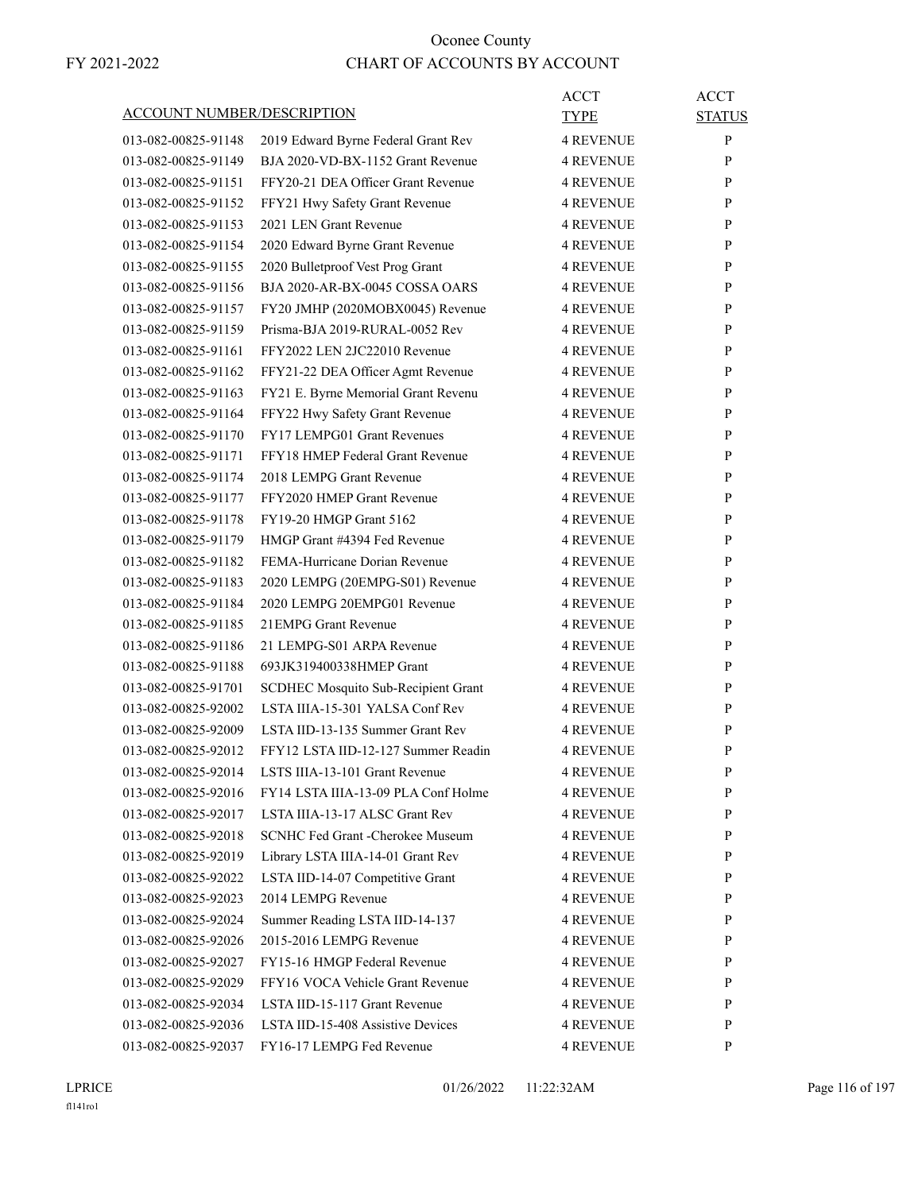|                                   |                                     | <b>ACCT</b>      | <b>ACCT</b>   |
|-----------------------------------|-------------------------------------|------------------|---------------|
| <b>ACCOUNT NUMBER/DESCRIPTION</b> |                                     | <b>TYPE</b>      | <b>STATUS</b> |
| 013-082-00825-91148               | 2019 Edward Byrne Federal Grant Rev | <b>4 REVENUE</b> | P             |
| 013-082-00825-91149               | BJA 2020-VD-BX-1152 Grant Revenue   | <b>4 REVENUE</b> | P             |
| 013-082-00825-91151               | FFY20-21 DEA Officer Grant Revenue  | <b>4 REVENUE</b> | P             |
| 013-082-00825-91152               | FFY21 Hwy Safety Grant Revenue      | <b>4 REVENUE</b> | P             |
| 013-082-00825-91153               | 2021 LEN Grant Revenue              | <b>4 REVENUE</b> | P             |
| 013-082-00825-91154               | 2020 Edward Byrne Grant Revenue     | <b>4 REVENUE</b> | P             |
| 013-082-00825-91155               | 2020 Bulletproof Vest Prog Grant    | <b>4 REVENUE</b> | P             |
| 013-082-00825-91156               | BJA 2020-AR-BX-0045 COSSA OARS      | <b>4 REVENUE</b> | P             |
| 013-082-00825-91157               | FY20 JMHP (2020MOBX0045) Revenue    | <b>4 REVENUE</b> | P             |
| 013-082-00825-91159               | Prisma-BJA 2019-RURAL-0052 Rev      | <b>4 REVENUE</b> | P             |
| 013-082-00825-91161               | FFY2022 LEN 2JC22010 Revenue        | <b>4 REVENUE</b> | P             |
| 013-082-00825-91162               | FFY21-22 DEA Officer Agmt Revenue   | <b>4 REVENUE</b> | P             |
| 013-082-00825-91163               | FY21 E. Byrne Memorial Grant Revenu | <b>4 REVENUE</b> | P             |
| 013-082-00825-91164               | FFY22 Hwy Safety Grant Revenue      | <b>4 REVENUE</b> | P             |
| 013-082-00825-91170               | FY17 LEMPG01 Grant Revenues         | <b>4 REVENUE</b> | P             |
| 013-082-00825-91171               | FFY18 HMEP Federal Grant Revenue    | <b>4 REVENUE</b> | P             |
| 013-082-00825-91174               | 2018 LEMPG Grant Revenue            | <b>4 REVENUE</b> | P             |
| 013-082-00825-91177               | FFY2020 HMEP Grant Revenue          | <b>4 REVENUE</b> | P             |
| 013-082-00825-91178               | <b>FY19-20 HMGP Grant 5162</b>      | <b>4 REVENUE</b> | P             |
| 013-082-00825-91179               | HMGP Grant #4394 Fed Revenue        | <b>4 REVENUE</b> | P             |
| 013-082-00825-91182               | FEMA-Hurricane Dorian Revenue       | <b>4 REVENUE</b> | P             |
| 013-082-00825-91183               | 2020 LEMPG (20EMPG-S01) Revenue     | <b>4 REVENUE</b> | P             |
| 013-082-00825-91184               | 2020 LEMPG 20EMPG01 Revenue         | <b>4 REVENUE</b> | P             |
| 013-082-00825-91185               | 21 EMPG Grant Revenue               | <b>4 REVENUE</b> | P             |
| 013-082-00825-91186               | 21 LEMPG-S01 ARPA Revenue           | <b>4 REVENUE</b> | P             |
| 013-082-00825-91188               | 693JK319400338HMEP Grant            | <b>4 REVENUE</b> | P             |
| 013-082-00825-91701               | SCDHEC Mosquito Sub-Recipient Grant | <b>4 REVENUE</b> | P             |
| 013-082-00825-92002               | LSTA IIIA-15-301 YALSA Conf Rev     | <b>4 REVENUE</b> | P             |
| 013-082-00825-92009               | LSTA IID-13-135 Summer Grant Rev    | <b>4 REVENUE</b> | P             |
| 013-082-00825-92012               | FFY12 LSTA IID-12-127 Summer Readin | <b>4 REVENUE</b> | P             |
| 013-082-00825-92014               | LSTS IIIA-13-101 Grant Revenue      | <b>4 REVENUE</b> | ${\bf P}$     |
| 013-082-00825-92016               | FY14 LSTA IIIA-13-09 PLA Conf Holme | <b>4 REVENUE</b> | P             |
| 013-082-00825-92017               | LSTA IIIA-13-17 ALSC Grant Rev      | <b>4 REVENUE</b> | P             |
| 013-082-00825-92018               | SCNHC Fed Grant - Cherokee Museum   | <b>4 REVENUE</b> | P             |
| 013-082-00825-92019               | Library LSTA IIIA-14-01 Grant Rev   | <b>4 REVENUE</b> | P             |
| 013-082-00825-92022               | LSTA IID-14-07 Competitive Grant    | <b>4 REVENUE</b> | P             |
| 013-082-00825-92023               | 2014 LEMPG Revenue                  | <b>4 REVENUE</b> | P             |
| 013-082-00825-92024               | Summer Reading LSTA IID-14-137      | <b>4 REVENUE</b> | P             |
| 013-082-00825-92026               | 2015-2016 LEMPG Revenue             | <b>4 REVENUE</b> | P             |
| 013-082-00825-92027               | FY15-16 HMGP Federal Revenue        | <b>4 REVENUE</b> | P             |
| 013-082-00825-92029               | FFY16 VOCA Vehicle Grant Revenue    | <b>4 REVENUE</b> | P             |
| 013-082-00825-92034               | LSTA IID-15-117 Grant Revenue       | <b>4 REVENUE</b> | P             |
| 013-082-00825-92036               | LSTA IID-15-408 Assistive Devices   | <b>4 REVENUE</b> | P             |
| 013-082-00825-92037               | FY16-17 LEMPG Fed Revenue           | <b>4 REVENUE</b> | P             |
|                                   |                                     |                  |               |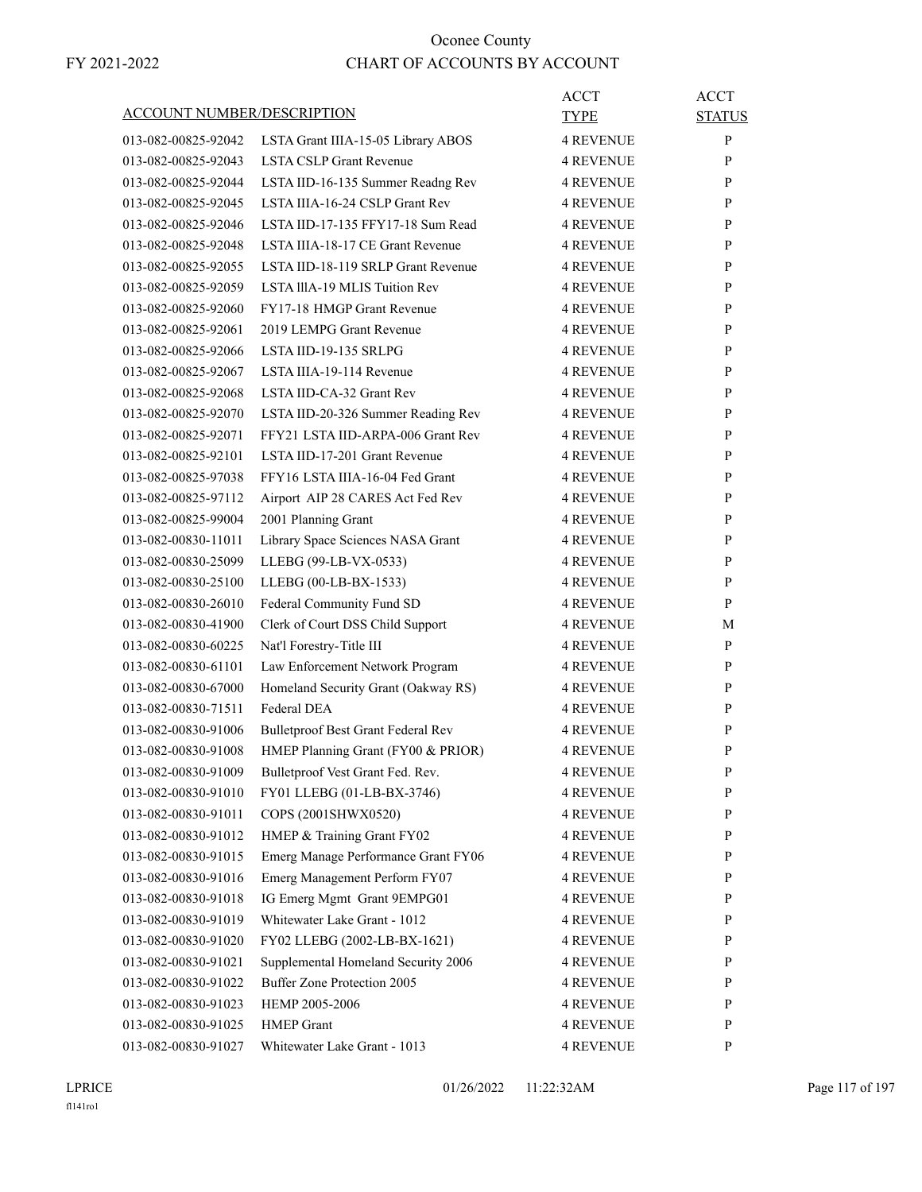| <b>ACCOUNT NUMBER/DESCRIPTION</b> |                                           | ACCT<br>TYPE     | <b>ACCT</b><br><b>STATUS</b> |
|-----------------------------------|-------------------------------------------|------------------|------------------------------|
| 013-082-00825-92042               | LSTA Grant IIIA-15-05 Library ABOS        | <b>4 REVENUE</b> | P                            |
| 013-082-00825-92043               | <b>LSTA CSLP Grant Revenue</b>            | <b>4 REVENUE</b> | P                            |
| 013-082-00825-92044               | LSTA IID-16-135 Summer Readng Rev         | <b>4 REVENUE</b> | P                            |
| 013-082-00825-92045               | LSTA IIIA-16-24 CSLP Grant Rev            | <b>4 REVENUE</b> | P                            |
| 013-082-00825-92046               | LSTA IID-17-135 FFY17-18 Sum Read         | 4 REVENUE        | P                            |
| 013-082-00825-92048               | LSTA IIIA-18-17 CE Grant Revenue          | <b>4 REVENUE</b> | P                            |
| 013-082-00825-92055               | LSTA IID-18-119 SRLP Grant Revenue        | <b>4 REVENUE</b> | P                            |
| 013-082-00825-92059               | LSTA IIIA-19 MLIS Tuition Rev             | <b>4 REVENUE</b> | P                            |
| 013-082-00825-92060               | FY17-18 HMGP Grant Revenue                | 4 REVENUE        | P                            |
| 013-082-00825-92061               | 2019 LEMPG Grant Revenue                  | 4 REVENUE        | P                            |
| 013-082-00825-92066               | LSTA IID-19-135 SRLPG                     | 4 REVENUE        | P                            |
| 013-082-00825-92067               | LSTA IIIA-19-114 Revenue                  | <b>4 REVENUE</b> | P                            |
| 013-082-00825-92068               | LSTA IID-CA-32 Grant Rev                  | <b>4 REVENUE</b> | P                            |
| 013-082-00825-92070               | LSTA IID-20-326 Summer Reading Rev        | <b>4 REVENUE</b> | P                            |
| 013-082-00825-92071               | FFY21 LSTA IID-ARPA-006 Grant Rev         | 4 REVENUE        | P                            |
| 013-082-00825-92101               | LSTA IID-17-201 Grant Revenue             | 4 REVENUE        | P                            |
| 013-082-00825-97038               | FFY16 LSTA IIIA-16-04 Fed Grant           | <b>4 REVENUE</b> | P                            |
| 013-082-00825-97112               | Airport AIP 28 CARES Act Fed Rev          | <b>4 REVENUE</b> | P                            |
| 013-082-00825-99004               | 2001 Planning Grant                       | <b>4 REVENUE</b> | P                            |
| 013-082-00830-11011               | Library Space Sciences NASA Grant         | 4 REVENUE        | P                            |
| 013-082-00830-25099               | LLEBG (99-LB-VX-0533)                     | 4 REVENUE        | P                            |
| 013-082-00830-25100               | LLEBG (00-LB-BX-1533)                     | <b>4 REVENUE</b> | P                            |
| 013-082-00830-26010               | Federal Community Fund SD                 | 4 REVENUE        | P                            |
| 013-082-00830-41900               | Clerk of Court DSS Child Support          | <b>4 REVENUE</b> | М                            |
| 013-082-00830-60225               | Nat'l Forestry-Title III                  | <b>4 REVENUE</b> | P                            |
| 013-082-00830-61101               | Law Enforcement Network Program           | <b>4 REVENUE</b> | P                            |
| 013-082-00830-67000               | Homeland Security Grant (Oakway RS)       | <b>4 REVENUE</b> | P                            |
| 013-082-00830-71511               | Federal DEA                               | <b>4 REVENUE</b> | P                            |
| 013-082-00830-91006               | <b>Bulletproof Best Grant Federal Rev</b> | 4 REVENUE        | P                            |
| 013-082-00830-91008               | HMEP Planning Grant (FY00 & PRIOR)        | <b>4 REVENUE</b> | P                            |
| 013-082-00830-91009               | Bulletproof Vest Grant Fed. Rev.          | <b>4 REVENUE</b> | P                            |
| 013-082-00830-91010               | FY01 LLEBG (01-LB-BX-3746)                | 4 REVENUE        | P                            |
| 013-082-00830-91011               | COPS (2001SHWX0520)                       | 4 REVENUE        | $\mathbf{P}$                 |
| 013-082-00830-91012               | HMEP & Training Grant FY02                | 4 REVENUE        | P                            |
| 013-082-00830-91015               | Emerg Manage Performance Grant FY06       | 4 REVENUE        | P                            |
| 013-082-00830-91016               | Emerg Management Perform FY07             | 4 REVENUE        | P                            |
| 013-082-00830-91018               | IG Emerg Mgmt Grant 9EMPG01               | 4 REVENUE        | P                            |
| 013-082-00830-91019               | Whitewater Lake Grant - 1012              | 4 REVENUE        | P                            |
| 013-082-00830-91020               | FY02 LLEBG (2002-LB-BX-1621)              | 4 REVENUE        | $\mathbf{P}$                 |
| 013-082-00830-91021               | Supplemental Homeland Security 2006       | 4 REVENUE        | P                            |
| 013-082-00830-91022               | <b>Buffer Zone Protection 2005</b>        | 4 REVENUE        | P                            |
| 013-082-00830-91023               | HEMP 2005-2006                            | 4 REVENUE        | P                            |
| 013-082-00830-91025               | <b>HMEP</b> Grant                         | 4 REVENUE        | P                            |
| 013-082-00830-91027               | Whitewater Lake Grant - 1013              | 4 REVENUE        | P                            |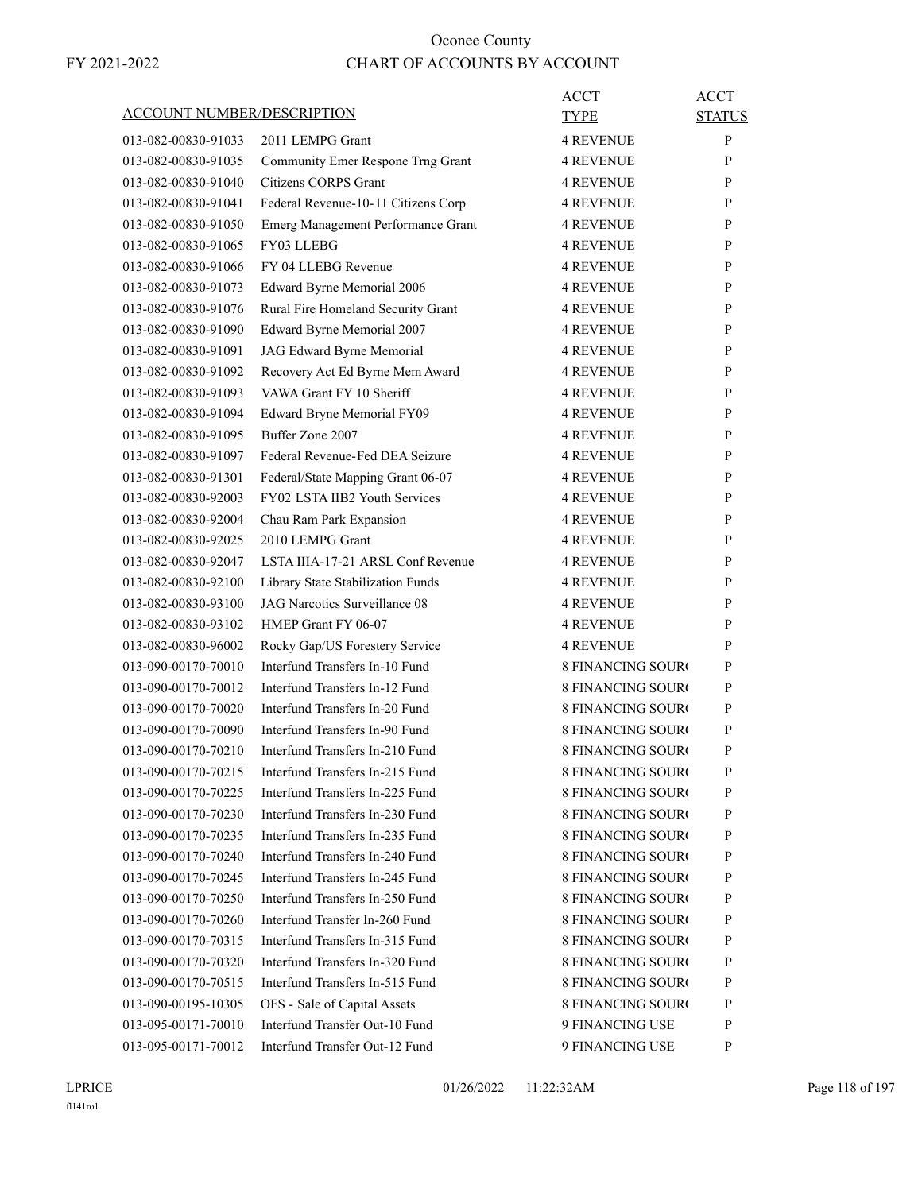| <b>ACCOUNT NUMBER/DESCRIPTION</b> |                                     | ACCT                     | <b>ACCT</b>   |
|-----------------------------------|-------------------------------------|--------------------------|---------------|
|                                   |                                     | <b>TYPE</b>              | <b>STATUS</b> |
| 013-082-00830-91033               | 2011 LEMPG Grant                    | <b>4 REVENUE</b>         | P             |
| 013-082-00830-91035               | Community Emer Respone Trng Grant   | <b>4 REVENUE</b>         | P             |
| 013-082-00830-91040               | Citizens CORPS Grant                | <b>4 REVENUE</b>         | P             |
| 013-082-00830-91041               | Federal Revenue-10-11 Citizens Corp | <b>4 REVENUE</b>         | P             |
| 013-082-00830-91050               | Emerg Management Performance Grant  | <b>4 REVENUE</b>         | P             |
| 013-082-00830-91065               | FY03 LLEBG                          | <b>4 REVENUE</b>         | P             |
| 013-082-00830-91066               | FY 04 LLEBG Revenue                 | <b>4 REVENUE</b>         | P             |
| 013-082-00830-91073               | Edward Byrne Memorial 2006          | <b>4 REVENUE</b>         | P             |
| 013-082-00830-91076               | Rural Fire Homeland Security Grant  | <b>4 REVENUE</b>         | P             |
| 013-082-00830-91090               | Edward Byrne Memorial 2007          | <b>4 REVENUE</b>         | P             |
| 013-082-00830-91091               | JAG Edward Byrne Memorial           | <b>4 REVENUE</b>         | P             |
| 013-082-00830-91092               | Recovery Act Ed Byrne Mem Award     | <b>4 REVENUE</b>         | P             |
| 013-082-00830-91093               | VAWA Grant FY 10 Sheriff            | <b>4 REVENUE</b>         | P             |
| 013-082-00830-91094               | Edward Bryne Memorial FY09          | <b>4 REVENUE</b>         | P             |
| 013-082-00830-91095               | Buffer Zone 2007                    | <b>4 REVENUE</b>         | P             |
| 013-082-00830-91097               | Federal Revenue-Fed DEA Seizure     | <b>4 REVENUE</b>         | P             |
| 013-082-00830-91301               | Federal/State Mapping Grant 06-07   | <b>4 REVENUE</b>         | P             |
| 013-082-00830-92003               | FY02 LSTA IIB2 Youth Services       | <b>4 REVENUE</b>         | P             |
| 013-082-00830-92004               | Chau Ram Park Expansion             | <b>4 REVENUE</b>         | P             |
| 013-082-00830-92025               | 2010 LEMPG Grant                    | <b>4 REVENUE</b>         | P             |
| 013-082-00830-92047               | LSTA IIIA-17-21 ARSL Conf Revenue   | <b>4 REVENUE</b>         | P             |
| 013-082-00830-92100               | Library State Stabilization Funds   | <b>4 REVENUE</b>         | P             |
| 013-082-00830-93100               | JAG Narcotics Surveillance 08       | <b>4 REVENUE</b>         | P             |
| 013-082-00830-93102               | HMEP Grant FY 06-07                 | <b>4 REVENUE</b>         | P             |
| 013-082-00830-96002               | Rocky Gap/US Forestery Service      | <b>4 REVENUE</b>         | P             |
| 013-090-00170-70010               | Interfund Transfers In-10 Fund      | <b>8 FINANCING SOURO</b> | P             |
| 013-090-00170-70012               | Interfund Transfers In-12 Fund      | <b>8 FINANCING SOURO</b> | P             |
| 013-090-00170-70020               | Interfund Transfers In-20 Fund      | <b>8 FINANCING SOURO</b> | P             |
| 013-090-00170-70090               | Interfund Transfers In-90 Fund      | <b>8 FINANCING SOURC</b> | P             |
| 013-090-00170-70210               | Interfund Transfers In-210 Fund     | <b>8 FINANCING SOURO</b> | P             |
| 013-090-00170-70215               | Interfund Transfers In-215 Fund     | <b>8 FINANCING SOURO</b> | P             |
| 013-090-00170-70225               | Interfund Transfers In-225 Fund     | <b>8 FINANCING SOURO</b> | P             |
| 013-090-00170-70230               | Interfund Transfers In-230 Fund     | <b>8 FINANCING SOURO</b> | P             |
| 013-090-00170-70235               | Interfund Transfers In-235 Fund     | 8 FINANCING SOURO        | P             |
| 013-090-00170-70240               | Interfund Transfers In-240 Fund     | 8 FINANCING SOURO        | P             |
| 013-090-00170-70245               | Interfund Transfers In-245 Fund     | <b>8 FINANCING SOURO</b> | P             |
| 013-090-00170-70250               | Interfund Transfers In-250 Fund     | <b>8 FINANCING SOURO</b> | P             |
| 013-090-00170-70260               | Interfund Transfer In-260 Fund      | <b>8 FINANCING SOURO</b> | P             |
| 013-090-00170-70315               | Interfund Transfers In-315 Fund     | <b>8 FINANCING SOURO</b> | P             |
| 013-090-00170-70320               | Interfund Transfers In-320 Fund     | 8 FINANCING SOURO        | P             |
|                                   |                                     |                          |               |
| 013-090-00170-70515               | Interfund Transfers In-515 Fund     | 8 FINANCING SOURO        | P             |
| 013-090-00195-10305               | OFS - Sale of Capital Assets        | <b>8 FINANCING SOURO</b> | P             |
| 013-095-00171-70010               | Interfund Transfer Out-10 Fund      | 9 FINANCING USE          | P             |
| 013-095-00171-70012               | Interfund Transfer Out-12 Fund      | 9 FINANCING USE          | P             |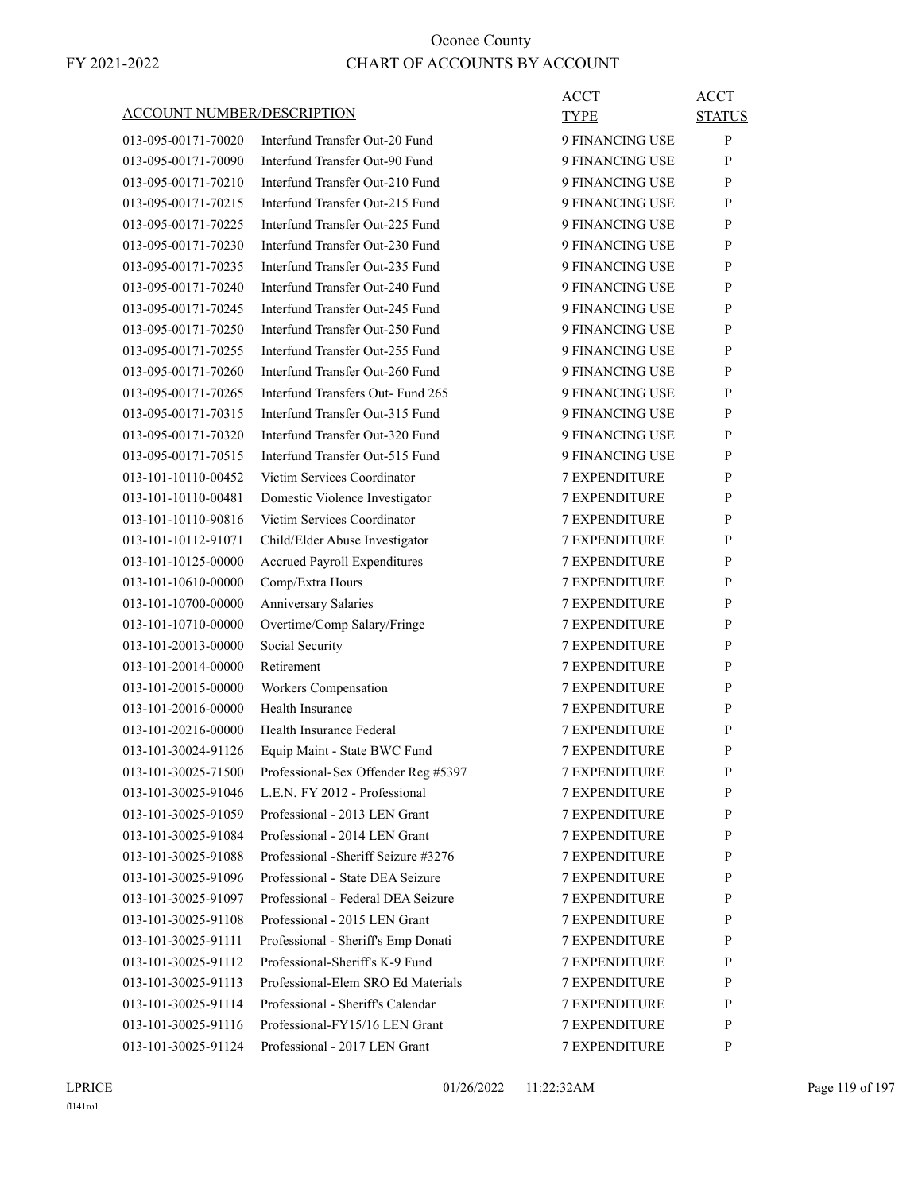|                                   |                                      | <b>ACCT</b>          | <b>ACCT</b>   |
|-----------------------------------|--------------------------------------|----------------------|---------------|
| <u>ACCOUNT NUMBER/DESCRIPTION</u> |                                      | <b>TYPE</b>          | <b>STATUS</b> |
| 013-095-00171-70020               | Interfund Transfer Out-20 Fund       | 9 FINANCING USE      | P             |
| 013-095-00171-70090               | Interfund Transfer Out-90 Fund       | 9 FINANCING USE      | P             |
| 013-095-00171-70210               | Interfund Transfer Out-210 Fund      | 9 FINANCING USE      | P             |
| 013-095-00171-70215               | Interfund Transfer Out-215 Fund      | 9 FINANCING USE      | P             |
| 013-095-00171-70225               | Interfund Transfer Out-225 Fund      | 9 FINANCING USE      | P             |
| 013-095-00171-70230               | Interfund Transfer Out-230 Fund      | 9 FINANCING USE      | P             |
| 013-095-00171-70235               | Interfund Transfer Out-235 Fund      | 9 FINANCING USE      | P             |
| 013-095-00171-70240               | Interfund Transfer Out-240 Fund      | 9 FINANCING USE      | P             |
| 013-095-00171-70245               | Interfund Transfer Out-245 Fund      | 9 FINANCING USE      | P             |
| 013-095-00171-70250               | Interfund Transfer Out-250 Fund      | 9 FINANCING USE      | P             |
| 013-095-00171-70255               | Interfund Transfer Out-255 Fund      | 9 FINANCING USE      | P             |
| 013-095-00171-70260               | Interfund Transfer Out-260 Fund      | 9 FINANCING USE      | P             |
| 013-095-00171-70265               | Interfund Transfers Out- Fund 265    | 9 FINANCING USE      | P             |
| 013-095-00171-70315               | Interfund Transfer Out-315 Fund      | 9 FINANCING USE      | P             |
| 013-095-00171-70320               | Interfund Transfer Out-320 Fund      | 9 FINANCING USE      | P             |
| 013-095-00171-70515               | Interfund Transfer Out-515 Fund      | 9 FINANCING USE      | P             |
| 013-101-10110-00452               | Victim Services Coordinator          | <b>7 EXPENDITURE</b> | P             |
| 013-101-10110-00481               | Domestic Violence Investigator       | 7 EXPENDITURE        | P             |
| 013-101-10110-90816               | Victim Services Coordinator          | <b>7 EXPENDITURE</b> | P             |
| 013-101-10112-91071               | Child/Elder Abuse Investigator       | <b>7 EXPENDITURE</b> | P             |
| 013-101-10125-00000               | <b>Accrued Payroll Expenditures</b>  | 7 EXPENDITURE        | P             |
| 013-101-10610-00000               | Comp/Extra Hours                     | <b>7 EXPENDITURE</b> | P             |
| 013-101-10700-00000               | <b>Anniversary Salaries</b>          | <b>7 EXPENDITURE</b> | P             |
| 013-101-10710-00000               | Overtime/Comp Salary/Fringe          | 7 EXPENDITURE        | P             |
| 013-101-20013-00000               | Social Security                      | <b>7 EXPENDITURE</b> | P             |
| 013-101-20014-00000               | Retirement                           | <b>7 EXPENDITURE</b> | P             |
| 013-101-20015-00000               | Workers Compensation                 | <b>7 EXPENDITURE</b> | P             |
| 013-101-20016-00000               | Health Insurance                     | <b>7 EXPENDITURE</b> | P             |
| 013-101-20216-00000               | Health Insurance Federal             | <b>7 EXPENDITURE</b> | P             |
| 013-101-30024-91126               | Equip Maint - State BWC Fund         | <b>7 EXPENDITURE</b> | P             |
| 013-101-30025-71500               | Professional-Sex Offender Reg #5397  | 7 EXPENDITURE        | $\mathbf{P}$  |
| 013-101-30025-91046               | L.E.N. FY 2012 - Professional        | <b>7 EXPENDITURE</b> | P             |
| 013-101-30025-91059               | Professional - 2013 LEN Grant        | 7 EXPENDITURE        | $\mathbf{P}$  |
| 013-101-30025-91084               | Professional - 2014 LEN Grant        | 7 EXPENDITURE        | P             |
| 013-101-30025-91088               | Professional - Sheriff Seizure #3276 | 7 EXPENDITURE        | P             |
| 013-101-30025-91096               | Professional - State DEA Seizure     | 7 EXPENDITURE        | $\mathbf{P}$  |
| 013-101-30025-91097               | Professional - Federal DEA Seizure   | 7 EXPENDITURE        | P             |
| 013-101-30025-91108               | Professional - 2015 LEN Grant        | <b>7 EXPENDITURE</b> | P             |
| 013-101-30025-91111               | Professional - Sheriff's Emp Donati  | 7 EXPENDITURE        | P             |
| 013-101-30025-91112               | Professional-Sheriff's K-9 Fund      | 7 EXPENDITURE        | P             |
| 013-101-30025-91113               | Professional-Elem SRO Ed Materials   | 7 EXPENDITURE        | P             |
| 013-101-30025-91114               | Professional - Sheriff's Calendar    | 7 EXPENDITURE        | $\mathbf{P}$  |
|                                   | Professional-FY15/16 LEN Grant       |                      | $\mathbf{P}$  |
| 013-101-30025-91116               |                                      | 7 EXPENDITURE        |               |
| 013-101-30025-91124               | Professional - 2017 LEN Grant        | 7 EXPENDITURE        | P             |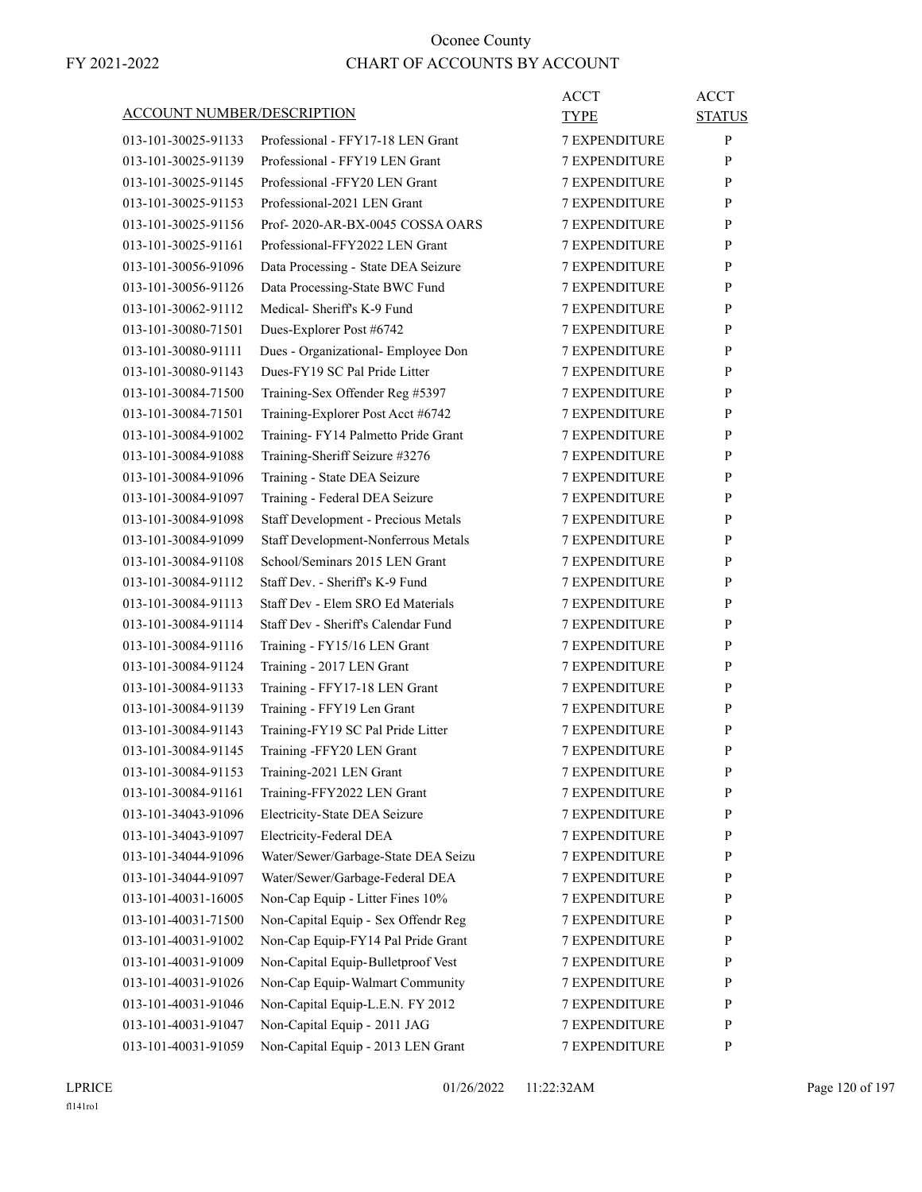| ACCOUNT NUMBER/DESCRIPTION |                                     | ACCT<br>TYPE         | <b>ACCT</b><br><b>STATUS</b> |
|----------------------------|-------------------------------------|----------------------|------------------------------|
| 013-101-30025-91133        | Professional - FFY17-18 LEN Grant   | <b>7 EXPENDITURE</b> | P                            |
| 013-101-30025-91139        | Professional - FFY19 LEN Grant      | 7 EXPENDITURE        | P                            |
| 013-101-30025-91145        | Professional -FFY20 LEN Grant       | <b>7 EXPENDITURE</b> | P                            |
| 013-101-30025-91153        | Professional-2021 LEN Grant         | <b>7 EXPENDITURE</b> | P                            |
| 013-101-30025-91156        | Prof-2020-AR-BX-0045 COSSA OARS     | <b>7 EXPENDITURE</b> | P                            |
| 013-101-30025-91161        | Professional-FFY2022 LEN Grant      | <b>7 EXPENDITURE</b> | P                            |
| 013-101-30056-91096        | Data Processing - State DEA Seizure | <b>7 EXPENDITURE</b> | P                            |
| 013-101-30056-91126        | Data Processing-State BWC Fund      | 7 EXPENDITURE        | P                            |
| 013-101-30062-91112        | Medical- Sheriff's K-9 Fund         | <b>7 EXPENDITURE</b> | P                            |
| 013-101-30080-71501        | Dues-Explorer Post #6742            | <b>7 EXPENDITURE</b> | P                            |
| 013-101-30080-91111        | Dues - Organizational- Employee Don | <b>7 EXPENDITURE</b> | P                            |
| 013-101-30080-91143        | Dues-FY19 SC Pal Pride Litter       | <b>7 EXPENDITURE</b> | P                            |
| 013-101-30084-71500        | Training-Sex Offender Reg #5397     | <b>7 EXPENDITURE</b> | P                            |
| 013-101-30084-71501        | Training-Explorer Post Acct #6742   | 7 EXPENDITURE        | P                            |
| 013-101-30084-91002        | Training-FY14 Palmetto Pride Grant  | <b>7 EXPENDITURE</b> | P                            |
| 013-101-30084-91088        | Training-Sheriff Seizure #3276      | <b>7 EXPENDITURE</b> | P                            |
| 013-101-30084-91096        | Training - State DEA Seizure        | <b>7 EXPENDITURE</b> | P                            |
| 013-101-30084-91097        | Training - Federal DEA Seizure      | <b>7 EXPENDITURE</b> | P                            |
| 013-101-30084-91098        | Staff Development - Precious Metals | <b>7 EXPENDITURE</b> | P                            |
| 013-101-30084-91099        | Staff Development-Nonferrous Metals | 7 EXPENDITURE        | P                            |
| 013-101-30084-91108        | School/Seminars 2015 LEN Grant      | <b>7 EXPENDITURE</b> | P                            |
| 013-101-30084-91112        | Staff Dev. - Sheriff's K-9 Fund     | <b>7 EXPENDITURE</b> | P                            |
| 013-101-30084-91113        | Staff Dev - Elem SRO Ed Materials   | <b>7 EXPENDITURE</b> | P                            |
| 013-101-30084-91114        | Staff Dev - Sheriff's Calendar Fund | <b>7 EXPENDITURE</b> | P                            |
| 013-101-30084-91116        | Training - FY15/16 LEN Grant        | <b>7 EXPENDITURE</b> | P                            |
| 013-101-30084-91124        | Training - 2017 LEN Grant           | 7 EXPENDITURE        | P                            |
| 013-101-30084-91133        | Training - FFY17-18 LEN Grant       | <b>7 EXPENDITURE</b> | P                            |
| 013-101-30084-91139        | Training - FFY19 Len Grant          | <b>7 EXPENDITURE</b> | P                            |
| 013-101-30084-91143        | Training-FY19 SC Pal Pride Litter   | <b>7 EXPENDITURE</b> | P                            |
| 013-101-30084-91145        | Training -FFY20 LEN Grant           | <b>7 EXPENDITURE</b> | P                            |
| 013-101-30084-91153        | Training-2021 LEN Grant             | <b>7 EXPENDITURE</b> | P                            |
| 013-101-30084-91161        | Training-FFY2022 LEN Grant          | 7 EXPENDITURE        | P                            |
| 013-101-34043-91096        | Electricity-State DEA Seizure       | <b>7 EXPENDITURE</b> | $\mathbf{P}$                 |
| 013-101-34043-91097        | Electricity-Federal DEA             | 7 EXPENDITURE        | P                            |
| 013-101-34044-91096        | Water/Sewer/Garbage-State DEA Seizu | 7 EXPENDITURE        | P                            |
| 013-101-34044-91097        | Water/Sewer/Garbage-Federal DEA     | 7 EXPENDITURE        | $\mathbf{P}$                 |
| 013-101-40031-16005        | Non-Cap Equip - Litter Fines 10%    | <b>7 EXPENDITURE</b> | P                            |
| 013-101-40031-71500        | Non-Capital Equip - Sex Offendr Reg | 7 EXPENDITURE        | P                            |
| 013-101-40031-91002        | Non-Cap Equip-FY14 Pal Pride Grant  | <b>7 EXPENDITURE</b> | P                            |
| 013-101-40031-91009        | Non-Capital Equip-Bulletproof Vest  | 7 EXPENDITURE        | P                            |
| 013-101-40031-91026        | Non-Cap Equip-Walmart Community     | 7 EXPENDITURE        | P                            |
| 013-101-40031-91046        | Non-Capital Equip-L.E.N. FY 2012    | 7 EXPENDITURE        | P                            |
| 013-101-40031-91047        | Non-Capital Equip - 2011 JAG        | <b>7 EXPENDITURE</b> | P                            |
| 013-101-40031-91059        | Non-Capital Equip - 2013 LEN Grant  | 7 EXPENDITURE        | P                            |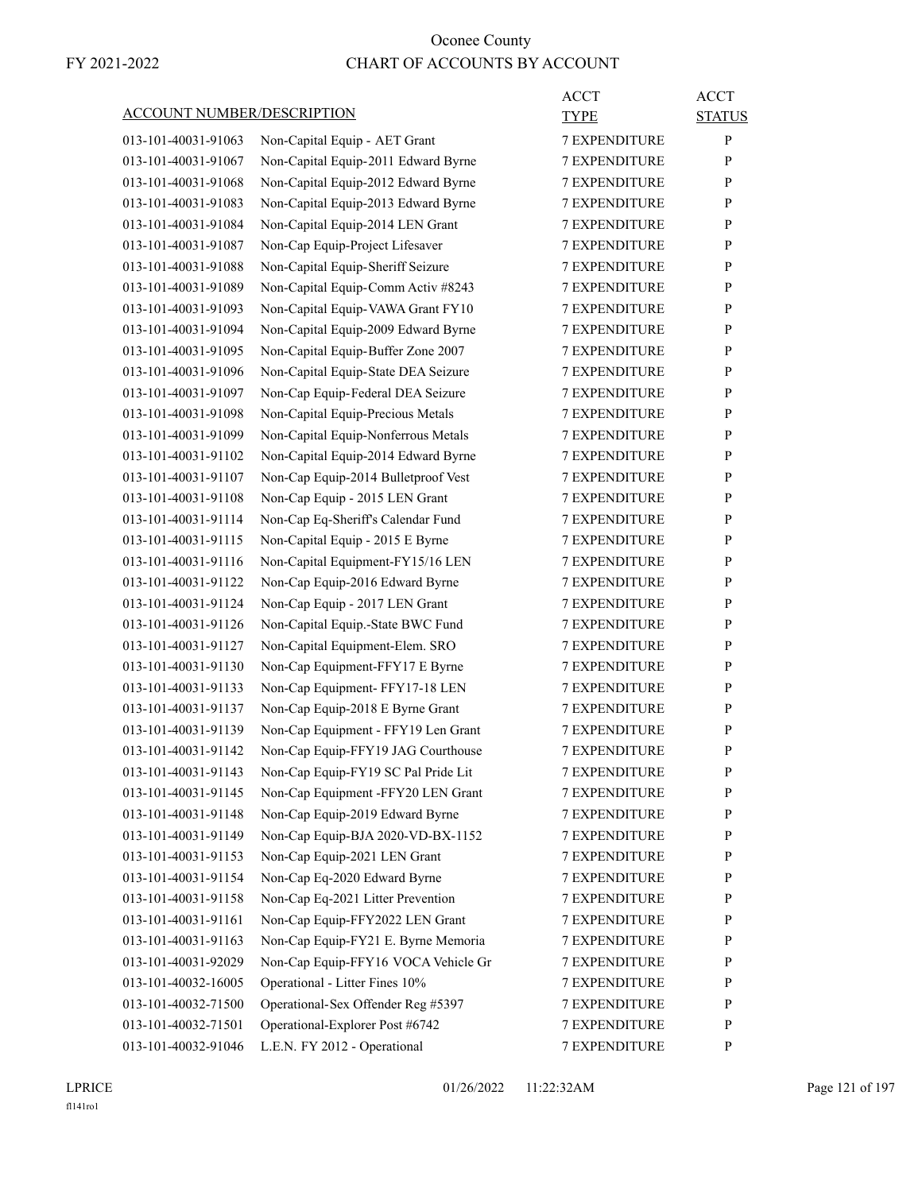|                                   |                                     | <b>ACCT</b>          | <b>ACCT</b>   |
|-----------------------------------|-------------------------------------|----------------------|---------------|
| <b>ACCOUNT NUMBER/DESCRIPTION</b> |                                     | TYPE                 | <b>STATUS</b> |
| 013-101-40031-91063               | Non-Capital Equip - AET Grant       | <b>7 EXPENDITURE</b> | $\mathbf{P}$  |
| 013-101-40031-91067               | Non-Capital Equip-2011 Edward Byrne | <b>7 EXPENDITURE</b> | P             |
| 013-101-40031-91068               | Non-Capital Equip-2012 Edward Byrne | <b>7 EXPENDITURE</b> | P             |
| 013-101-40031-91083               | Non-Capital Equip-2013 Edward Byrne | 7 EXPENDITURE        | P             |
| 013-101-40031-91084               | Non-Capital Equip-2014 LEN Grant    | <b>7 EXPENDITURE</b> | P             |
| 013-101-40031-91087               | Non-Cap Equip-Project Lifesaver     | <b>7 EXPENDITURE</b> | P             |
| 013-101-40031-91088               | Non-Capital Equip-Sheriff Seizure   | <b>7 EXPENDITURE</b> | P             |
| 013-101-40031-91089               | Non-Capital Equip-Comm Activ #8243  | <b>7 EXPENDITURE</b> | P             |
| 013-101-40031-91093               | Non-Capital Equip-VAWA Grant FY10   | <b>7 EXPENDITURE</b> | P             |
| 013-101-40031-91094               | Non-Capital Equip-2009 Edward Byrne | 7 EXPENDITURE        | $\mathbf{P}$  |
| 013-101-40031-91095               | Non-Capital Equip-Buffer Zone 2007  | <b>7 EXPENDITURE</b> | P             |
| 013-101-40031-91096               | Non-Capital Equip-State DEA Seizure | <b>7 EXPENDITURE</b> | P             |
| 013-101-40031-91097               | Non-Cap Equip-Federal DEA Seizure   | <b>7 EXPENDITURE</b> | P             |
| 013-101-40031-91098               | Non-Capital Equip-Precious Metals   | <b>7 EXPENDITURE</b> | P             |
| 013-101-40031-91099               | Non-Capital Equip-Nonferrous Metals | <b>7 EXPENDITURE</b> | P             |
| 013-101-40031-91102               | Non-Capital Equip-2014 Edward Byrne | 7 EXPENDITURE        | $\mathbf{P}$  |
| 013-101-40031-91107               | Non-Cap Equip-2014 Bulletproof Vest | <b>7 EXPENDITURE</b> | P             |
| 013-101-40031-91108               | Non-Cap Equip - 2015 LEN Grant      | <b>7 EXPENDITURE</b> | P             |
| 013-101-40031-91114               | Non-Cap Eq-Sheriff's Calendar Fund  | <b>7 EXPENDITURE</b> | P             |
| 013-101-40031-91115               | Non-Capital Equip - 2015 E Byrne    | <b>7 EXPENDITURE</b> | P             |
| 013-101-40031-91116               | Non-Capital Equipment-FY15/16 LEN   | <b>7 EXPENDITURE</b> | P             |
| 013-101-40031-91122               | Non-Cap Equip-2016 Edward Byrne     | 7 EXPENDITURE        | $\mathbf{P}$  |
| 013-101-40031-91124               | Non-Cap Equip - 2017 LEN Grant      | <b>7 EXPENDITURE</b> | P             |
| 013-101-40031-91126               | Non-Capital Equip.-State BWC Fund   | <b>7 EXPENDITURE</b> | P             |
| 013-101-40031-91127               | Non-Capital Equipment-Elem. SRO     | <b>7 EXPENDITURE</b> | P             |
| 013-101-40031-91130               | Non-Cap Equipment-FFY17 E Byrne     | <b>7 EXPENDITURE</b> | P             |
| 013-101-40031-91133               | Non-Cap Equipment- FFY17-18 LEN     | <b>7 EXPENDITURE</b> | P             |
| 013-101-40031-91137               | Non-Cap Equip-2018 E Byrne Grant    | 7 EXPENDITURE        | P             |
| 013-101-40031-91139               | Non-Cap Equipment - FFY19 Len Grant | <b>7 EXPENDITURE</b> | P             |
| 013-101-40031-91142               | Non-Cap Equip-FFY19 JAG Courthouse  | <b>7 EXPENDITURE</b> | P             |
| 013-101-40031-91143               | Non-Cap Equip-FY19 SC Pal Pride Lit | <b>7 EXPENDITURE</b> | ${\bf P}$     |
| 013-101-40031-91145               | Non-Cap Equipment -FFY20 LEN Grant  | 7 EXPENDITURE        | P             |
| 013-101-40031-91148               | Non-Cap Equip-2019 Edward Byrne     | 7 EXPENDITURE        | $\mathbf{P}$  |
| 013-101-40031-91149               | Non-Cap Equip-BJA 2020-VD-BX-1152   | 7 EXPENDITURE        | P             |
| 013-101-40031-91153               | Non-Cap Equip-2021 LEN Grant        | 7 EXPENDITURE        | P             |
| 013-101-40031-91154               | Non-Cap Eq-2020 Edward Byrne        | 7 EXPENDITURE        | $\mathbf{P}$  |
| 013-101-40031-91158               | Non-Cap Eq-2021 Litter Prevention   | 7 EXPENDITURE        | P             |
| 013-101-40031-91161               | Non-Cap Equip-FFY2022 LEN Grant     | 7 EXPENDITURE        | $\mathbf{P}$  |
| 013-101-40031-91163               | Non-Cap Equip-FY21 E. Byrne Memoria | <b>7 EXPENDITURE</b> | P             |
| 013-101-40031-92029               | Non-Cap Equip-FFY16 VOCA Vehicle Gr | 7 EXPENDITURE        | P             |
| 013-101-40032-16005               | Operational - Litter Fines 10%      | <b>7 EXPENDITURE</b> | P             |
| 013-101-40032-71500               | Operational-Sex Offender Reg #5397  | 7 EXPENDITURE        | $\mathbf{P}$  |
| 013-101-40032-71501               | Operational-Explorer Post #6742     | 7 EXPENDITURE        | P             |
| 013-101-40032-91046               | L.E.N. FY 2012 - Operational        | 7 EXPENDITURE        | P             |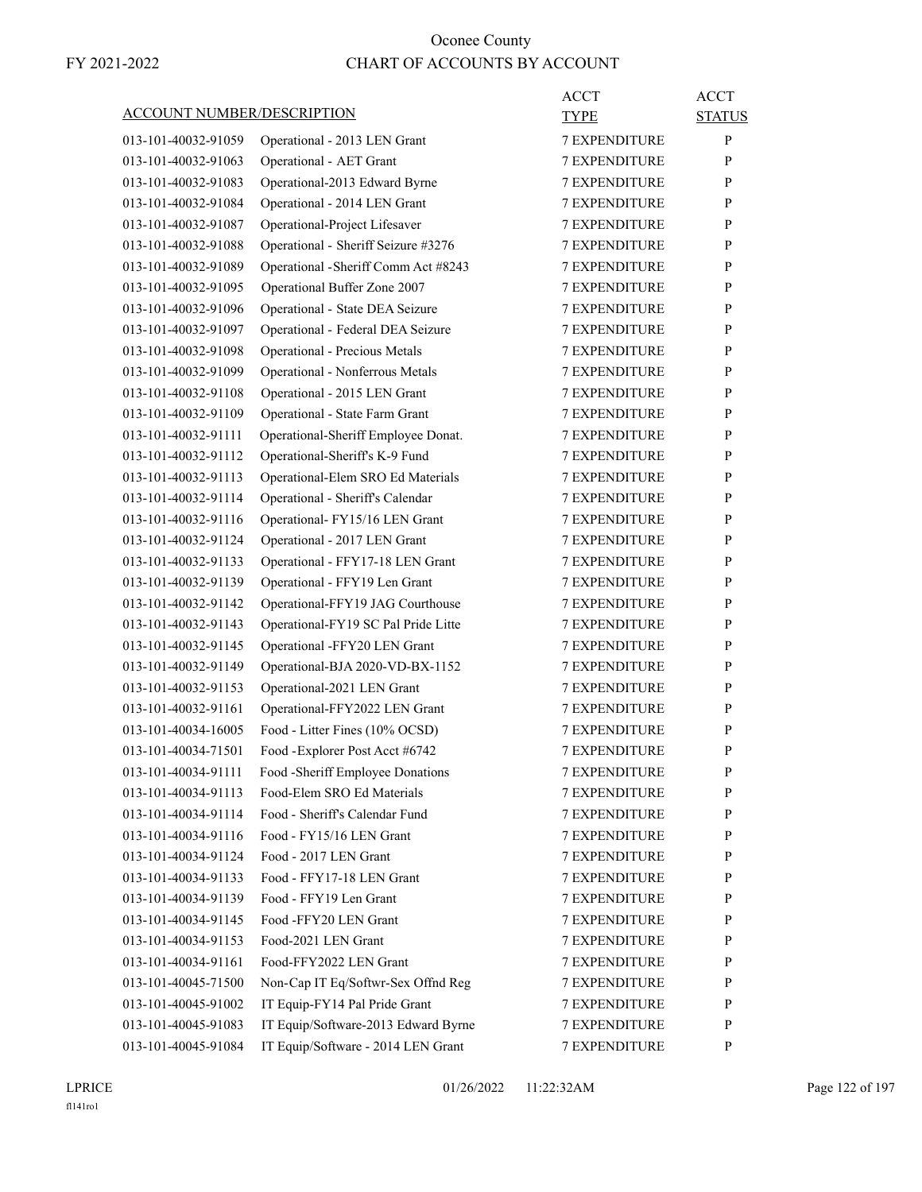|                                   |                                      | <b>ACCT</b>          | <b>ACCT</b>   |
|-----------------------------------|--------------------------------------|----------------------|---------------|
| <b>ACCOUNT NUMBER/DESCRIPTION</b> |                                      | TYPE                 | <b>STATUS</b> |
| 013-101-40032-91059               | Operational - 2013 LEN Grant         | <b>7 EXPENDITURE</b> | P             |
| 013-101-40032-91063               | Operational - AET Grant              | <b>7 EXPENDITURE</b> | P             |
| 013-101-40032-91083               | Operational-2013 Edward Byrne        | <b>7 EXPENDITURE</b> | P             |
| 013-101-40032-91084               | Operational - 2014 LEN Grant         | 7 EXPENDITURE        | P             |
| 013-101-40032-91087               | Operational-Project Lifesaver        | <b>7 EXPENDITURE</b> | P             |
| 013-101-40032-91088               | Operational - Sheriff Seizure #3276  | <b>7 EXPENDITURE</b> | P             |
| 013-101-40032-91089               | Operational - Sheriff Comm Act #8243 | 7 EXPENDITURE        | P             |
| 013-101-40032-91095               | Operational Buffer Zone 2007         | <b>7 EXPENDITURE</b> | P             |
| 013-101-40032-91096               | Operational - State DEA Seizure      | <b>7 EXPENDITURE</b> | P             |
| 013-101-40032-91097               | Operational - Federal DEA Seizure    | 7 EXPENDITURE        | P             |
| 013-101-40032-91098               | Operational - Precious Metals        | <b>7 EXPENDITURE</b> | P             |
| 013-101-40032-91099               | Operational - Nonferrous Metals      | <b>7 EXPENDITURE</b> | P             |
| 013-101-40032-91108               | Operational - 2015 LEN Grant         | 7 EXPENDITURE        | P             |
| 013-101-40032-91109               | Operational - State Farm Grant       | <b>7 EXPENDITURE</b> | P             |
| 013-101-40032-91111               | Operational-Sheriff Employee Donat.  | <b>7 EXPENDITURE</b> | P             |
| 013-101-40032-91112               | Operational-Sheriff's K-9 Fund       | 7 EXPENDITURE        | P             |
| 013-101-40032-91113               | Operational-Elem SRO Ed Materials    | <b>7 EXPENDITURE</b> | P             |
| 013-101-40032-91114               | Operational - Sheriff's Calendar     | <b>7 EXPENDITURE</b> | P             |
| 013-101-40032-91116               | Operational- FY15/16 LEN Grant       | 7 EXPENDITURE        | P             |
| 013-101-40032-91124               | Operational - 2017 LEN Grant         | <b>7 EXPENDITURE</b> | P             |
| 013-101-40032-91133               | Operational - FFY17-18 LEN Grant     | <b>7 EXPENDITURE</b> | P             |
| 013-101-40032-91139               | Operational - FFY19 Len Grant        | 7 EXPENDITURE        | P             |
| 013-101-40032-91142               | Operational-FFY19 JAG Courthouse     | <b>7 EXPENDITURE</b> | P             |
| 013-101-40032-91143               | Operational-FY19 SC Pal Pride Litte  | <b>7 EXPENDITURE</b> | P             |
| 013-101-40032-91145               | Operational -FFY20 LEN Grant         | <b>7 EXPENDITURE</b> | P             |
| 013-101-40032-91149               | Operational-BJA 2020-VD-BX-1152      | <b>7 EXPENDITURE</b> | P             |
| 013-101-40032-91153               | Operational-2021 LEN Grant           | <b>7 EXPENDITURE</b> | P             |
| 013-101-40032-91161               | Operational-FFY2022 LEN Grant        | 7 EXPENDITURE        | P             |
| 013-101-40034-16005               | Food - Litter Fines (10% OCSD)       | <b>7 EXPENDITURE</b> | P             |
| 013-101-40034-71501               | Food - Explorer Post Acct #6742      | <b>7 EXPENDITURE</b> | P             |
| 013-101-40034-91111               | Food -Sheriff Employee Donations     | 7 EXPENDITURE        | ${\bf P}$     |
| 013-101-40034-91113               | Food-Elem SRO Ed Materials           | <b>7 EXPENDITURE</b> | P             |
| 013-101-40034-91114               | Food - Sheriff's Calendar Fund       | <b>7 EXPENDITURE</b> | $\mathbf{P}$  |
| 013-101-40034-91116               | Food - FY15/16 LEN Grant             | <b>7 EXPENDITURE</b> | P             |
| 013-101-40034-91124               | Food - 2017 LEN Grant                | 7 EXPENDITURE        | P             |
| 013-101-40034-91133               | Food - FFY17-18 LEN Grant            | 7 EXPENDITURE        | P             |
| 013-101-40034-91139               | Food - FFY19 Len Grant               | 7 EXPENDITURE        | P             |
| 013-101-40034-91145               | Food -FFY20 LEN Grant                | <b>7 EXPENDITURE</b> | P             |
| 013-101-40034-91153               | Food-2021 LEN Grant                  | <b>7 EXPENDITURE</b> | P             |
| 013-101-40034-91161               | Food-FFY2022 LEN Grant               | 7 EXPENDITURE        | P             |
| 013-101-40045-71500               | Non-Cap IT Eq/Softwr-Sex Offnd Reg   | 7 EXPENDITURE        | P             |
| 013-101-40045-91002               | IT Equip-FY14 Pal Pride Grant        | 7 EXPENDITURE        | P             |
| 013-101-40045-91083               | IT Equip/Software-2013 Edward Byrne  | 7 EXPENDITURE        | P             |
| 013-101-40045-91084               | IT Equip/Software - 2014 LEN Grant   | 7 EXPENDITURE        | $\mathbf{P}$  |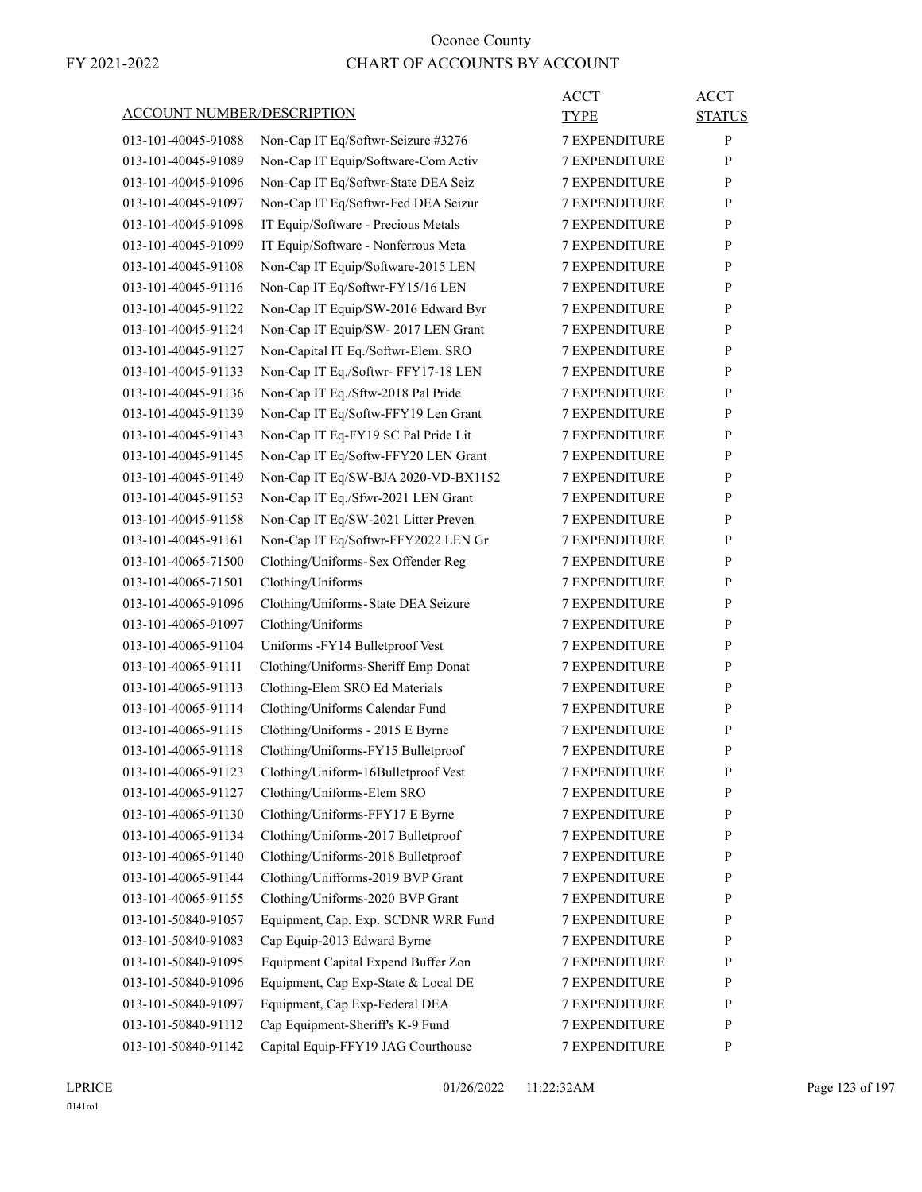|                                   |                                     | <b>ACCT</b>          | <b>ACCT</b>   |
|-----------------------------------|-------------------------------------|----------------------|---------------|
| <b>ACCOUNT NUMBER/DESCRIPTION</b> |                                     | TYPE                 | <b>STATUS</b> |
| 013-101-40045-91088               | Non-Cap IT Eq/Softwr-Seizure #3276  | <b>7 EXPENDITURE</b> | P             |
| 013-101-40045-91089               | Non-Cap IT Equip/Software-Com Activ | <b>7 EXPENDITURE</b> | P             |
| 013-101-40045-91096               | Non-Cap IT Eq/Softwr-State DEA Seiz | <b>7 EXPENDITURE</b> | P             |
| 013-101-40045-91097               | Non-Cap IT Eq/Softwr-Fed DEA Seizur | 7 EXPENDITURE        | P             |
| 013-101-40045-91098               | IT Equip/Software - Precious Metals | <b>7 EXPENDITURE</b> | P             |
| 013-101-40045-91099               | IT Equip/Software - Nonferrous Meta | <b>7 EXPENDITURE</b> | P             |
| 013-101-40045-91108               | Non-Cap IT Equip/Software-2015 LEN  | <b>7 EXPENDITURE</b> | P             |
| 013-101-40045-91116               | Non-Cap IT Eq/Softwr-FY15/16 LEN    | <b>7 EXPENDITURE</b> | P             |
| 013-101-40045-91122               | Non-Cap IT Equip/SW-2016 Edward Byr | <b>7 EXPENDITURE</b> | P             |
| 013-101-40045-91124               | Non-Cap IT Equip/SW- 2017 LEN Grant | 7 EXPENDITURE        | P             |
| 013-101-40045-91127               | Non-Capital IT Eq./Softwr-Elem. SRO | <b>7 EXPENDITURE</b> | P             |
| 013-101-40045-91133               | Non-Cap IT Eq./Softwr-FFY17-18 LEN  | <b>7 EXPENDITURE</b> | P             |
| 013-101-40045-91136               | Non-Cap IT Eq./Sftw-2018 Pal Pride  | <b>7 EXPENDITURE</b> | P             |
| 013-101-40045-91139               | Non-Cap IT Eq/Softw-FFY19 Len Grant | <b>7 EXPENDITURE</b> | P             |
| 013-101-40045-91143               | Non-Cap IT Eq-FY19 SC Pal Pride Lit | <b>7 EXPENDITURE</b> | P             |
| 013-101-40045-91145               | Non-Cap IT Eq/Softw-FFY20 LEN Grant | 7 EXPENDITURE        | P             |
| 013-101-40045-91149               | Non-Cap IT Eq/SW-BJA 2020-VD-BX1152 | <b>7 EXPENDITURE</b> | P             |
| 013-101-40045-91153               | Non-Cap IT Eq./Sfwr-2021 LEN Grant  | <b>7 EXPENDITURE</b> | P             |
| 013-101-40045-91158               | Non-Cap IT Eq/SW-2021 Litter Preven | <b>7 EXPENDITURE</b> | P             |
| 013-101-40045-91161               | Non-Cap IT Eq/Softwr-FFY2022 LEN Gr | <b>7 EXPENDITURE</b> | P             |
| 013-101-40065-71500               | Clothing/Uniforms-Sex Offender Reg  | <b>7 EXPENDITURE</b> | P             |
| 013-101-40065-71501               | Clothing/Uniforms                   | 7 EXPENDITURE        | P             |
| 013-101-40065-91096               | Clothing/Uniforms-State DEA Seizure | <b>7 EXPENDITURE</b> | P             |
| 013-101-40065-91097               | Clothing/Uniforms                   | <b>7 EXPENDITURE</b> | P             |
| 013-101-40065-91104               | Uniforms -FY14 Bulletproof Vest     | <b>7 EXPENDITURE</b> | P             |
| 013-101-40065-91111               | Clothing/Uniforms-Sheriff Emp Donat | <b>7 EXPENDITURE</b> | P             |
| 013-101-40065-91113               | Clothing-Elem SRO Ed Materials      | <b>7 EXPENDITURE</b> | P             |
| 013-101-40065-91114               | Clothing/Uniforms Calendar Fund     | <b>7 EXPENDITURE</b> | P             |
| 013-101-40065-91115               | Clothing/Uniforms - 2015 E Byrne    | <b>7 EXPENDITURE</b> | P             |
| 013-101-40065-91118               | Clothing/Uniforms-FY15 Bulletproof  | <b>7 EXPENDITURE</b> | P             |
| 013-101-40065-91123               | Clothing/Uniform-16Bulletproof Vest | 7 EXPENDITURE        | ${\bf P}$     |
| 013-101-40065-91127               | Clothing/Uniforms-Elem SRO          | 7 EXPENDITURE        | P             |
| 013-101-40065-91130               | Clothing/Uniforms-FFY17 E Byrne     | 7 EXPENDITURE        | $\mathbf{P}$  |
| 013-101-40065-91134               | Clothing/Uniforms-2017 Bulletproof  | 7 EXPENDITURE        | P             |
| 013-101-40065-91140               | Clothing/Uniforms-2018 Bulletproof  | 7 EXPENDITURE        | P             |
| 013-101-40065-91144               | Clothing/Unifforms-2019 BVP Grant   | 7 EXPENDITURE        | $\mathbf{P}$  |
| 013-101-40065-91155               | Clothing/Uniforms-2020 BVP Grant    | 7 EXPENDITURE        | P             |
| 013-101-50840-91057               | Equipment, Cap. Exp. SCDNR WRR Fund | 7 EXPENDITURE        | $\mathbf{P}$  |
| 013-101-50840-91083               | Cap Equip-2013 Edward Byrne         | 7 EXPENDITURE        | P             |
| 013-101-50840-91095               | Equipment Capital Expend Buffer Zon | 7 EXPENDITURE        | P             |
| 013-101-50840-91096               | Equipment, Cap Exp-State & Local DE | <b>7 EXPENDITURE</b> | P             |
| 013-101-50840-91097               | Equipment, Cap Exp-Federal DEA      | 7 EXPENDITURE        | $\mathbf{P}$  |
| 013-101-50840-91112               | Cap Equipment-Sheriff's K-9 Fund    | 7 EXPENDITURE        | P             |
| 013-101-50840-91142               | Capital Equip-FFY19 JAG Courthouse  | 7 EXPENDITURE        | $\mathbf{P}$  |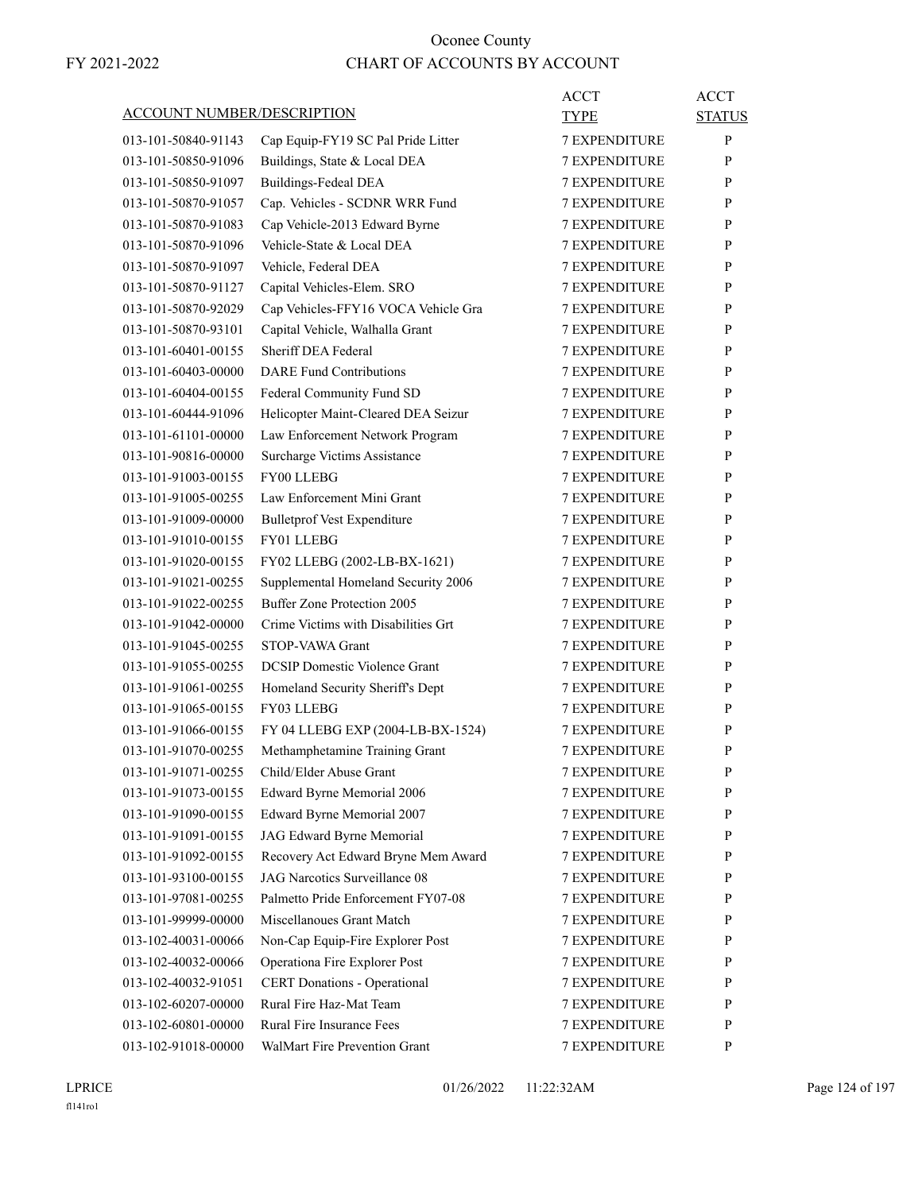| <b>ACCOUNT NUMBER/DESCRIPTION</b> |                                      | <b>ACCT</b><br>TYPE  | <b>ACCT</b><br><b>STATUS</b> |
|-----------------------------------|--------------------------------------|----------------------|------------------------------|
| 013-101-50840-91143               | Cap Equip-FY19 SC Pal Pride Litter   | <b>7 EXPENDITURE</b> | P                            |
| 013-101-50850-91096               | Buildings, State & Local DEA         | <b>7 EXPENDITURE</b> | P                            |
| 013-101-50850-91097               | <b>Buildings-Fedeal DEA</b>          | <b>7 EXPENDITURE</b> | P                            |
| 013-101-50870-91057               | Cap. Vehicles - SCDNR WRR Fund       | <b>7 EXPENDITURE</b> | P                            |
| 013-101-50870-91083               | Cap Vehicle-2013 Edward Byrne        | <b>7 EXPENDITURE</b> | P                            |
| 013-101-50870-91096               | Vehicle-State & Local DEA            | <b>7 EXPENDITURE</b> | P                            |
| 013-101-50870-91097               | Vehicle, Federal DEA                 | <b>7 EXPENDITURE</b> | P                            |
| 013-101-50870-91127               | Capital Vehicles-Elem. SRO           | <b>7 EXPENDITURE</b> | P                            |
| 013-101-50870-92029               | Cap Vehicles-FFY16 VOCA Vehicle Gra  | <b>7 EXPENDITURE</b> | P                            |
| 013-101-50870-93101               | Capital Vehicle, Walhalla Grant      | 7 EXPENDITURE        | P                            |
| 013-101-60401-00155               | Sheriff DEA Federal                  | <b>7 EXPENDITURE</b> | P                            |
| 013-101-60403-00000               | <b>DARE Fund Contributions</b>       | <b>7 EXPENDITURE</b> | P                            |
| 013-101-60404-00155               | Federal Community Fund SD            | <b>7 EXPENDITURE</b> | P                            |
| 013-101-60444-91096               | Helicopter Maint-Cleared DEA Seizur  | <b>7 EXPENDITURE</b> | P                            |
| 013-101-61101-00000               | Law Enforcement Network Program      | <b>7 EXPENDITURE</b> | P                            |
| 013-101-90816-00000               | Surcharge Victims Assistance         | <b>7 EXPENDITURE</b> | P                            |
| 013-101-91003-00155               | FY00 LLEBG                           | <b>7 EXPENDITURE</b> | P                            |
| 013-101-91005-00255               | Law Enforcement Mini Grant           | <b>7 EXPENDITURE</b> | P                            |
| 013-101-91009-00000               | <b>Bulletprof Vest Expenditure</b>   | <b>7 EXPENDITURE</b> | P                            |
| 013-101-91010-00155               | FY01 LLEBG                           | <b>7 EXPENDITURE</b> | P                            |
| 013-101-91020-00155               | FY02 LLEBG (2002-LB-BX-1621)         | <b>7 EXPENDITURE</b> | P                            |
| 013-101-91021-00255               | Supplemental Homeland Security 2006  | <b>7 EXPENDITURE</b> | P                            |
| 013-101-91022-00255               | <b>Buffer Zone Protection 2005</b>   | <b>7 EXPENDITURE</b> | P                            |
| 013-101-91042-00000               | Crime Victims with Disabilities Grt  | <b>7 EXPENDITURE</b> | P                            |
| 013-101-91045-00255               | STOP-VAWA Grant                      | <b>7 EXPENDITURE</b> | P                            |
| 013-101-91055-00255               | <b>DCSIP</b> Domestic Violence Grant | 7 EXPENDITURE        | P                            |
| 013-101-91061-00255               | Homeland Security Sheriff's Dept     | <b>7 EXPENDITURE</b> | P                            |
| 013-101-91065-00155               | FY03 LLEBG                           | <b>7 EXPENDITURE</b> | P                            |
| 013-101-91066-00155               | FY 04 LLEBG EXP (2004-LB-BX-1524)    | <b>7 EXPENDITURE</b> | P                            |
| 013-101-91070-00255               | Methamphetamine Training Grant       | <b>7 EXPENDITURE</b> | P                            |
| 013-101-91071-00255               | Child/Elder Abuse Grant              | <b>7 EXPENDITURE</b> | $\mathbf{P}$                 |
| 013-101-91073-00155               | Edward Byrne Memorial 2006           | <b>7 EXPENDITURE</b> | P                            |
| 013-101-91090-00155               | Edward Byrne Memorial 2007           | <b>7 EXPENDITURE</b> | P                            |
| 013-101-91091-00155               | JAG Edward Byrne Memorial            | 7 EXPENDITURE        | P                            |
| 013-101-91092-00155               | Recovery Act Edward Bryne Mem Award  | 7 EXPENDITURE        | P                            |
| 013-101-93100-00155               | JAG Narcotics Surveillance 08        | 7 EXPENDITURE        | P                            |
| 013-101-97081-00255               | Palmetto Pride Enforcement FY07-08   | <b>7 EXPENDITURE</b> | P                            |
| 013-101-99999-00000               | Miscellanoues Grant Match            | <b>7 EXPENDITURE</b> | P                            |
| 013-102-40031-00066               | Non-Cap Equip-Fire Explorer Post     | <b>7 EXPENDITURE</b> | P                            |
| 013-102-40032-00066               | Operationa Fire Explorer Post        | 7 EXPENDITURE        | P                            |
| 013-102-40032-91051               | <b>CERT Donations - Operational</b>  | 7 EXPENDITURE        | P                            |
| 013-102-60207-00000               | Rural Fire Haz-Mat Team              | 7 EXPENDITURE        | P                            |
| 013-102-60801-00000               | Rural Fire Insurance Fees            | <b>7 EXPENDITURE</b> | P                            |
| 013-102-91018-00000               | WalMart Fire Prevention Grant        | 7 EXPENDITURE        | P                            |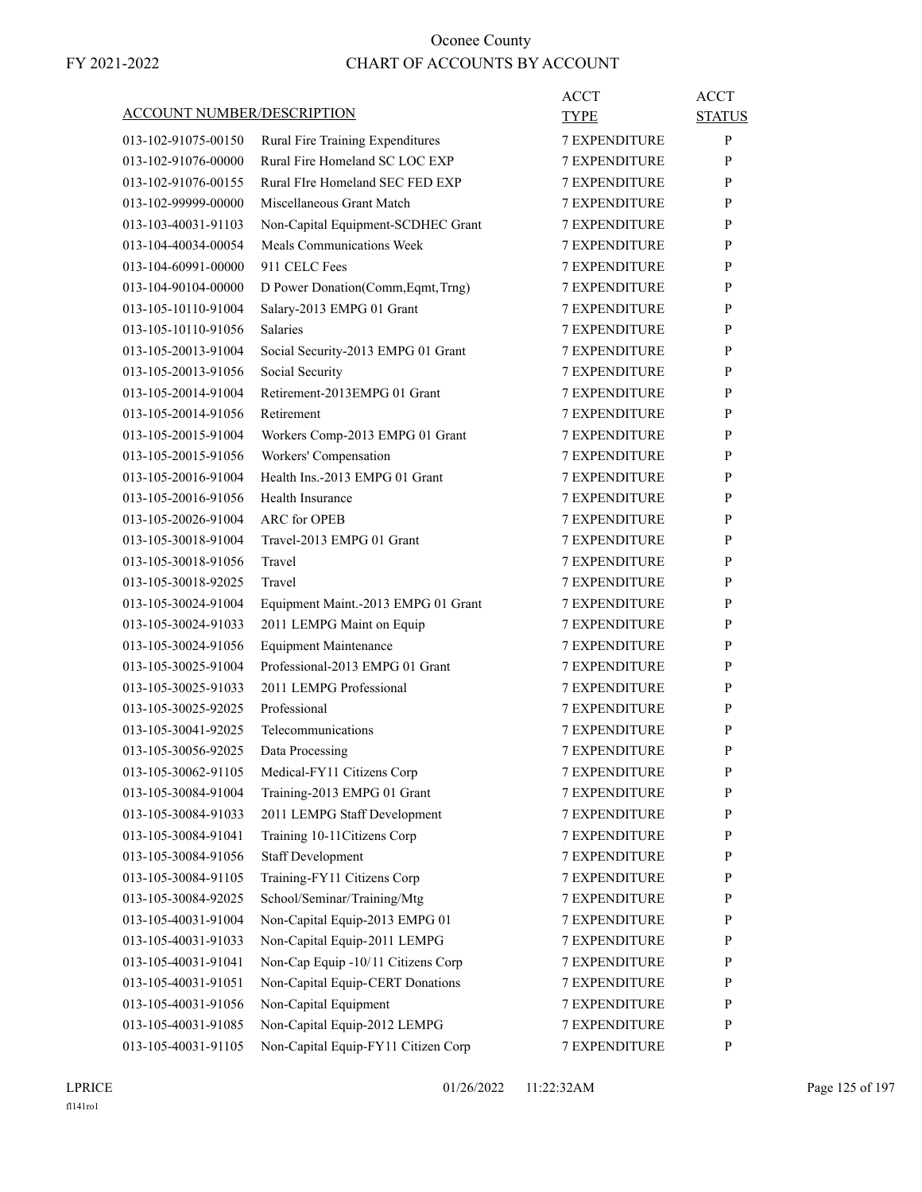|                                   |                                     | <b>ACCT</b>          | <b>ACCT</b>   |
|-----------------------------------|-------------------------------------|----------------------|---------------|
| <b>ACCOUNT NUMBER/DESCRIPTION</b> |                                     | TYPE                 | <b>STATUS</b> |
| 013-102-91075-00150               | Rural Fire Training Expenditures    | <b>7 EXPENDITURE</b> | $\mathbf{P}$  |
| 013-102-91076-00000               | Rural Fire Homeland SC LOC EXP      | <b>7 EXPENDITURE</b> | P             |
| 013-102-91076-00155               | Rural FIre Homeland SEC FED EXP     | <b>7 EXPENDITURE</b> | P             |
| 013-102-99999-00000               | Miscellaneous Grant Match           | <b>7 EXPENDITURE</b> | P             |
| 013-103-40031-91103               | Non-Capital Equipment-SCDHEC Grant  | <b>7 EXPENDITURE</b> | P             |
| 013-104-40034-00054               | Meals Communications Week           | <b>7 EXPENDITURE</b> | P             |
| 013-104-60991-00000               | 911 CELC Fees                       | <b>7 EXPENDITURE</b> | P             |
| 013-104-90104-00000               | D Power Donation(Comm, Eqmt, Trng)  | <b>7 EXPENDITURE</b> | P             |
| 013-105-10110-91004               | Salary-2013 EMPG 01 Grant           | <b>7 EXPENDITURE</b> | P             |
| 013-105-10110-91056               | <b>Salaries</b>                     | <b>7 EXPENDITURE</b> | P             |
| 013-105-20013-91004               | Social Security-2013 EMPG 01 Grant  | <b>7 EXPENDITURE</b> | P             |
| 013-105-20013-91056               | Social Security                     | <b>7 EXPENDITURE</b> | P             |
| 013-105-20014-91004               | Retirement-2013EMPG 01 Grant        | <b>7 EXPENDITURE</b> | P             |
| 013-105-20014-91056               | Retirement                          | <b>7 EXPENDITURE</b> | P             |
| 013-105-20015-91004               | Workers Comp-2013 EMPG 01 Grant     | <b>7 EXPENDITURE</b> | P             |
| 013-105-20015-91056               | Workers' Compensation               | <b>7 EXPENDITURE</b> | P             |
| 013-105-20016-91004               | Health Ins.-2013 EMPG 01 Grant      | <b>7 EXPENDITURE</b> | P             |
| 013-105-20016-91056               | Health Insurance                    | <b>7 EXPENDITURE</b> | P             |
| 013-105-20026-91004               | <b>ARC</b> for OPEB                 | <b>7 EXPENDITURE</b> | P             |
| 013-105-30018-91004               | Travel-2013 EMPG 01 Grant           | <b>7 EXPENDITURE</b> | P             |
| 013-105-30018-91056               | Travel                              | <b>7 EXPENDITURE</b> | P             |
| 013-105-30018-92025               | Travel                              | <b>7 EXPENDITURE</b> | P             |
| 013-105-30024-91004               | Equipment Maint.-2013 EMPG 01 Grant | <b>7 EXPENDITURE</b> | P             |
| 013-105-30024-91033               | 2011 LEMPG Maint on Equip           | <b>7 EXPENDITURE</b> | P             |
| 013-105-30024-91056               | <b>Equipment Maintenance</b>        | <b>7 EXPENDITURE</b> | P             |
| 013-105-30025-91004               | Professional-2013 EMPG 01 Grant     | <b>7 EXPENDITURE</b> | P             |
| 013-105-30025-91033               | 2011 LEMPG Professional             | <b>7 EXPENDITURE</b> | P             |
| 013-105-30025-92025               | Professional                        | 7 EXPENDITURE        | P             |
| 013-105-30041-92025               | Telecommunications                  | <b>7 EXPENDITURE</b> | P             |
| 013-105-30056-92025               | Data Processing                     | <b>7 EXPENDITURE</b> | P             |
| 013-105-30062-91105               | Medical-FY11 Citizens Corp          | 7 EXPENDITURE        | ${\bf P}$     |
| 013-105-30084-91004               | Training-2013 EMPG 01 Grant         | <b>7 EXPENDITURE</b> | P             |
| 013-105-30084-91033               | 2011 LEMPG Staff Development        | <b>7 EXPENDITURE</b> | $\mathbf{P}$  |
| 013-105-30084-91041               | Training 10-11Citizens Corp         | <b>7 EXPENDITURE</b> | P             |
| 013-105-30084-91056               | <b>Staff Development</b>            | 7 EXPENDITURE        | P             |
| 013-105-30084-91105               | Training-FY11 Citizens Corp         | 7 EXPENDITURE        | $\mathbf{P}$  |
| 013-105-30084-92025               | School/Seminar/Training/Mtg         | 7 EXPENDITURE        | P             |
| 013-105-40031-91004               | Non-Capital Equip-2013 EMPG 01      | <b>7 EXPENDITURE</b> | $\mathbf{P}$  |
| 013-105-40031-91033               | Non-Capital Equip-2011 LEMPG        | <b>7 EXPENDITURE</b> | P             |
| 013-105-40031-91041               | Non-Cap Equip -10/11 Citizens Corp  | 7 EXPENDITURE        | P             |
| 013-105-40031-91051               | Non-Capital Equip-CERT Donations    | 7 EXPENDITURE        | P             |
| 013-105-40031-91056               | Non-Capital Equipment               | 7 EXPENDITURE        | $\mathbf{P}$  |
| 013-105-40031-91085               | Non-Capital Equip-2012 LEMPG        | 7 EXPENDITURE        | P             |
| 013-105-40031-91105               | Non-Capital Equip-FY11 Citizen Corp | 7 EXPENDITURE        | $\mathbf{P}$  |
|                                   |                                     |                      |               |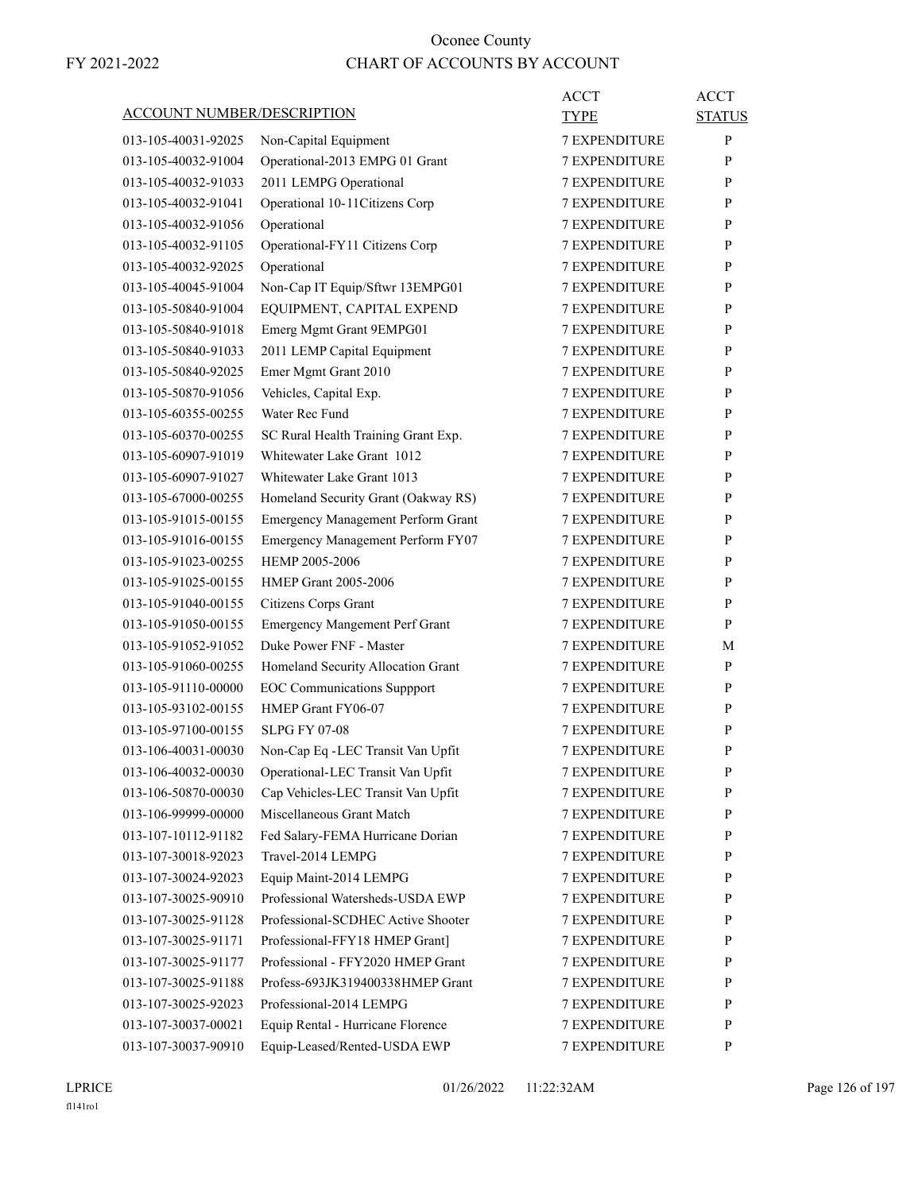| <b>ACCOUNT NUMBER/DESCRIPTION</b> |                                                            | ACCT<br>TYPE         | <b>ACCT</b><br><b>STATUS</b> |
|-----------------------------------|------------------------------------------------------------|----------------------|------------------------------|
| 013-105-40031-92025               | Non-Capital Equipment                                      | <b>7 EXPENDITURE</b> | P                            |
| 013-105-40032-91004               | Operational-2013 EMPG 01 Grant                             | <b>7 EXPENDITURE</b> | P                            |
| 013-105-40032-91033               | 2011 LEMPG Operational                                     | <b>7 EXPENDITURE</b> | P                            |
| 013-105-40032-91041               | Operational 10-11 Citizens Corp                            | <b>7 EXPENDITURE</b> | P                            |
| 013-105-40032-91056               | Operational                                                | <b>7 EXPENDITURE</b> | P                            |
| 013-105-40032-91105               | Operational-FY11 Citizens Corp                             | <b>7 EXPENDITURE</b> | P                            |
| 013-105-40032-92025               | Operational                                                | <b>7 EXPENDITURE</b> | P                            |
| 013-105-40045-91004               | Non-Cap IT Equip/Sftwr 13EMPG01                            | 7 EXPENDITURE        | P                            |
| 013-105-50840-91004               | EQUIPMENT, CAPITAL EXPEND                                  | <b>7 EXPENDITURE</b> | P                            |
| 013-105-50840-91018               | Emerg Mgmt Grant 9EMPG01                                   | <b>7 EXPENDITURE</b> | P                            |
| 013-105-50840-91033               | 2011 LEMP Capital Equipment                                | <b>7 EXPENDITURE</b> | P                            |
| 013-105-50840-92025               | Emer Mgmt Grant 2010                                       | <b>7 EXPENDITURE</b> | P                            |
| 013-105-50870-91056               | Vehicles, Capital Exp.                                     | <b>7 EXPENDITURE</b> | P                            |
| 013-105-60355-00255               | Water Rec Fund                                             | 7 EXPENDITURE        | P                            |
| 013-105-60370-00255               | SC Rural Health Training Grant Exp.                        | <b>7 EXPENDITURE</b> | P                            |
| 013-105-60907-91019               | Whitewater Lake Grant 1012                                 | <b>7 EXPENDITURE</b> | P                            |
| 013-105-60907-91027               | Whitewater Lake Grant 1013                                 | <b>7 EXPENDITURE</b> | P                            |
| 013-105-67000-00255               | Homeland Security Grant (Oakway RS)                        | <b>7 EXPENDITURE</b> | P                            |
| 013-105-91015-00155               | <b>Emergency Management Perform Grant</b>                  | <b>7 EXPENDITURE</b> | P                            |
| 013-105-91016-00155               | Emergency Management Perform FY07                          | 7 EXPENDITURE        | P                            |
| 013-105-91023-00255               | HEMP 2005-2006                                             | <b>7 EXPENDITURE</b> | P                            |
| 013-105-91025-00155               | <b>HMEP Grant 2005-2006</b>                                | <b>7 EXPENDITURE</b> | P                            |
| 013-105-91040-00155               | Citizens Corps Grant                                       | <b>7 EXPENDITURE</b> | P                            |
| 013-105-91050-00155               | <b>Emergency Mangement Perf Grant</b>                      | <b>7 EXPENDITURE</b> | P                            |
| 013-105-91052-91052               | Duke Power FNF - Master                                    | <b>7 EXPENDITURE</b> | М                            |
| 013-105-91060-00255               | Homeland Security Allocation Grant                         | 7 EXPENDITURE        | P                            |
| 013-105-91110-00000               | <b>EOC</b> Communications Suppport                         | <b>7 EXPENDITURE</b> | P                            |
| 013-105-93102-00155               | HMEP Grant FY06-07                                         | <b>7 EXPENDITURE</b> | P                            |
| 013-105-97100-00155               | <b>SLPG FY 07-08</b>                                       | <b>7 EXPENDITURE</b> | P                            |
| 013-106-40031-00030               | Non-Cap Eq -LEC Transit Van Upfit                          | <b>7 EXPENDITURE</b> | P                            |
| 013-106-40032-00030               | Operational-LEC Transit Van Upfit                          | <b>7 EXPENDITURE</b> | P                            |
| 013-106-50870-00030               | Cap Vehicles-LEC Transit Van Upfit                         | <b>7 EXPENDITURE</b> | P                            |
| 013-106-99999-00000               | Miscellaneous Grant Match                                  | <b>7 EXPENDITURE</b> | P                            |
| 013-107-10112-91182               | Fed Salary-FEMA Hurricane Dorian                           | 7 EXPENDITURE        | P                            |
| 013-107-30018-92023               | Travel-2014 LEMPG                                          | 7 EXPENDITURE        |                              |
| 013-107-30024-92023               |                                                            |                      | P                            |
| 013-107-30025-90910               | Equip Maint-2014 LEMPG<br>Professional Watersheds-USDA EWP | 7 EXPENDITURE        | P<br>P                       |
| 013-107-30025-91128               | Professional-SCDHEC Active Shooter                         | <b>7 EXPENDITURE</b> |                              |
|                                   |                                                            | <b>7 EXPENDITURE</b> | P                            |
| 013-107-30025-91171               | Professional-FFY18 HMEP Grant]                             | <b>7 EXPENDITURE</b> | P                            |
| 013-107-30025-91177               | Professional - FFY2020 HMEP Grant                          | 7 EXPENDITURE        | P                            |
| 013-107-30025-91188               | Profess-693JK319400338HMEP Grant                           | 7 EXPENDITURE        | P                            |
| 013-107-30025-92023               | Professional-2014 LEMPG                                    | 7 EXPENDITURE        | P                            |
| 013-107-30037-00021               | Equip Rental - Hurricane Florence                          | <b>7 EXPENDITURE</b> | P                            |
| 013-107-30037-90910               | Equip-Leased/Rented-USDA EWP                               | 7 EXPENDITURE        | P                            |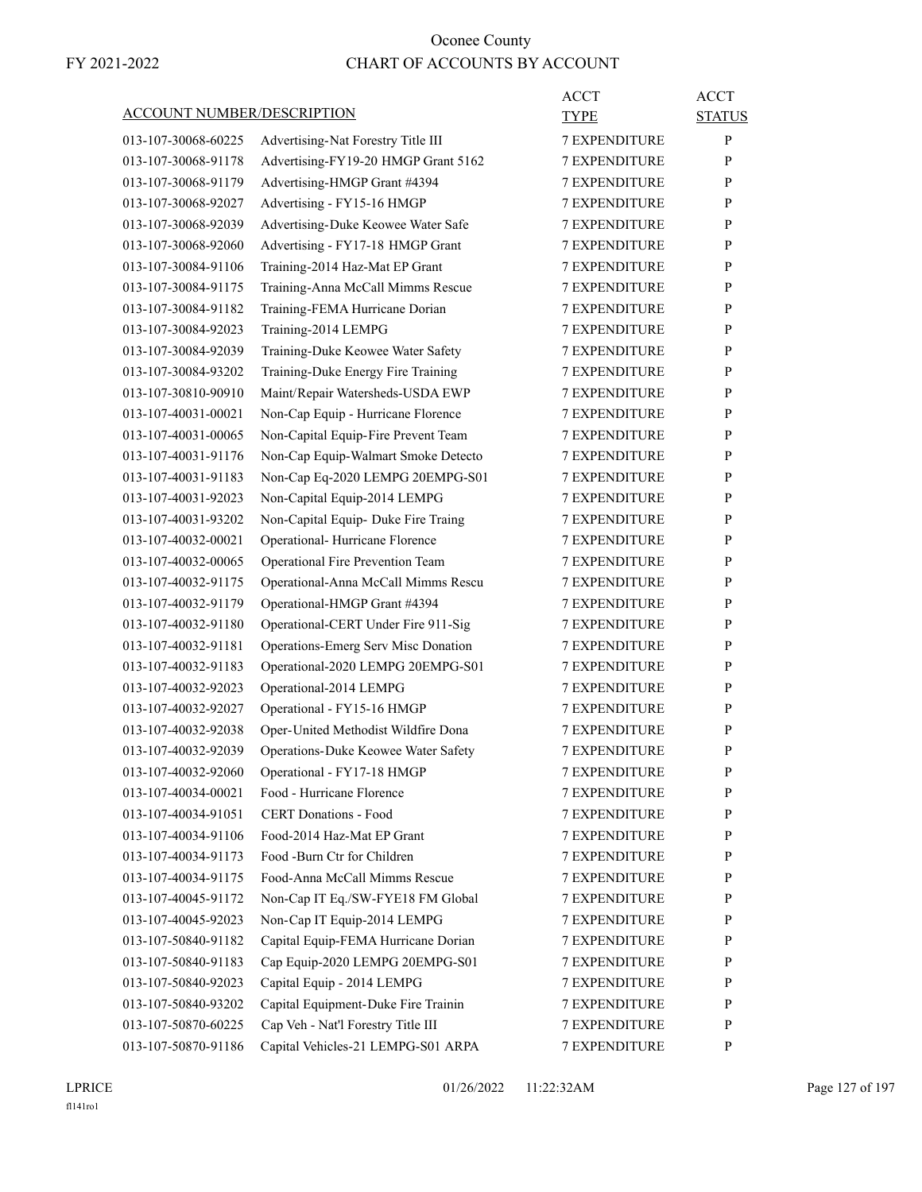|                                   |                                     | <b>ACCT</b>          | <b>ACCT</b>   |
|-----------------------------------|-------------------------------------|----------------------|---------------|
| <b>ACCOUNT NUMBER/DESCRIPTION</b> |                                     | TYPE                 | <b>STATUS</b> |
| 013-107-30068-60225               | Advertising-Nat Forestry Title III  | <b>7 EXPENDITURE</b> | P             |
| 013-107-30068-91178               | Advertising-FY19-20 HMGP Grant 5162 | <b>7 EXPENDITURE</b> | P             |
| 013-107-30068-91179               | Advertising-HMGP Grant #4394        | <b>7 EXPENDITURE</b> | P             |
| 013-107-30068-92027               | Advertising - FY15-16 HMGP          | 7 EXPENDITURE        | P             |
| 013-107-30068-92039               | Advertising-Duke Keowee Water Safe  | <b>7 EXPENDITURE</b> | P             |
| 013-107-30068-92060               | Advertising - FY17-18 HMGP Grant    | <b>7 EXPENDITURE</b> | P             |
| 013-107-30084-91106               | Training-2014 Haz-Mat EP Grant      | 7 EXPENDITURE        | P             |
| 013-107-30084-91175               | Training-Anna McCall Mimms Rescue   | <b>7 EXPENDITURE</b> | P             |
| 013-107-30084-91182               | Training-FEMA Hurricane Dorian      | <b>7 EXPENDITURE</b> | P             |
| 013-107-30084-92023               | Training-2014 LEMPG                 | 7 EXPENDITURE        | P             |
| 013-107-30084-92039               | Training-Duke Keowee Water Safety   | <b>7 EXPENDITURE</b> | P             |
| 013-107-30084-93202               | Training-Duke Energy Fire Training  | <b>7 EXPENDITURE</b> | P             |
| 013-107-30810-90910               | Maint/Repair Watersheds-USDA EWP    | <b>7 EXPENDITURE</b> | P             |
| 013-107-40031-00021               | Non-Cap Equip - Hurricane Florence  | <b>7 EXPENDITURE</b> | P             |
| 013-107-40031-00065               | Non-Capital Equip-Fire Prevent Team | <b>7 EXPENDITURE</b> | P             |
| 013-107-40031-91176               | Non-Cap Equip-Walmart Smoke Detecto | 7 EXPENDITURE        | P             |
| 013-107-40031-91183               | Non-Cap Eq-2020 LEMPG 20EMPG-S01    | <b>7 EXPENDITURE</b> | P             |
| 013-107-40031-92023               | Non-Capital Equip-2014 LEMPG        | <b>7 EXPENDITURE</b> | P             |
| 013-107-40031-93202               | Non-Capital Equip- Duke Fire Traing | <b>7 EXPENDITURE</b> | P             |
| 013-107-40032-00021               | Operational- Hurricane Florence     | <b>7 EXPENDITURE</b> | P             |
| 013-107-40032-00065               | Operational Fire Prevention Team    | <b>7 EXPENDITURE</b> | P             |
| 013-107-40032-91175               | Operational-Anna McCall Mimms Rescu | 7 EXPENDITURE        | P             |
| 013-107-40032-91179               | Operational-HMGP Grant #4394        | <b>7 EXPENDITURE</b> | P             |
| 013-107-40032-91180               | Operational-CERT Under Fire 911-Sig | <b>7 EXPENDITURE</b> | P             |
| 013-107-40032-91181               | Operations-Emerg Serv Misc Donation | <b>7 EXPENDITURE</b> | P             |
| 013-107-40032-91183               | Operational-2020 LEMPG 20EMPG-S01   | <b>7 EXPENDITURE</b> | P             |
| 013-107-40032-92023               | Operational-2014 LEMPG              | <b>7 EXPENDITURE</b> | P             |
| 013-107-40032-92027               | Operational - FY15-16 HMGP          | <b>7 EXPENDITURE</b> | P             |
| 013-107-40032-92038               | Oper-United Methodist Wildfire Dona | <b>7 EXPENDITURE</b> | P             |
| 013-107-40032-92039               | Operations-Duke Keowee Water Safety | <b>7 EXPENDITURE</b> | P             |
| 013-107-40032-92060               | Operational - FY17-18 HMGP          | 7 EXPENDITURE        | ${\bf P}$     |
| 013-107-40034-00021               | Food - Hurricane Florence           | <b>7 EXPENDITURE</b> | P             |
| 013-107-40034-91051               | <b>CERT Donations - Food</b>        | <b>7 EXPENDITURE</b> | P             |
| 013-107-40034-91106               | Food-2014 Haz-Mat EP Grant          | <b>7 EXPENDITURE</b> | P             |
| 013-107-40034-91173               | Food -Burn Ctr for Children         | <b>7 EXPENDITURE</b> | P             |
| 013-107-40034-91175               | Food-Anna McCall Mimms Rescue       | 7 EXPENDITURE        | P             |
| 013-107-40045-91172               | Non-Cap IT Eq./SW-FYE18 FM Global   | 7 EXPENDITURE        | P             |
| 013-107-40045-92023               | Non-Cap IT Equip-2014 LEMPG         | <b>7 EXPENDITURE</b> | P             |
| 013-107-50840-91182               | Capital Equip-FEMA Hurricane Dorian | <b>7 EXPENDITURE</b> | P             |
| 013-107-50840-91183               | Cap Equip-2020 LEMPG 20EMPG-S01     | 7 EXPENDITURE        | P             |
| 013-107-50840-92023               | Capital Equip - 2014 LEMPG          | <b>7 EXPENDITURE</b> | P             |
| 013-107-50840-93202               | Capital Equipment-Duke Fire Trainin | 7 EXPENDITURE        | P             |
| 013-107-50870-60225               | Cap Veh - Nat'l Forestry Title III  | 7 EXPENDITURE        | P             |
| 013-107-50870-91186               | Capital Vehicles-21 LEMPG-S01 ARPA  | 7 EXPENDITURE        | P             |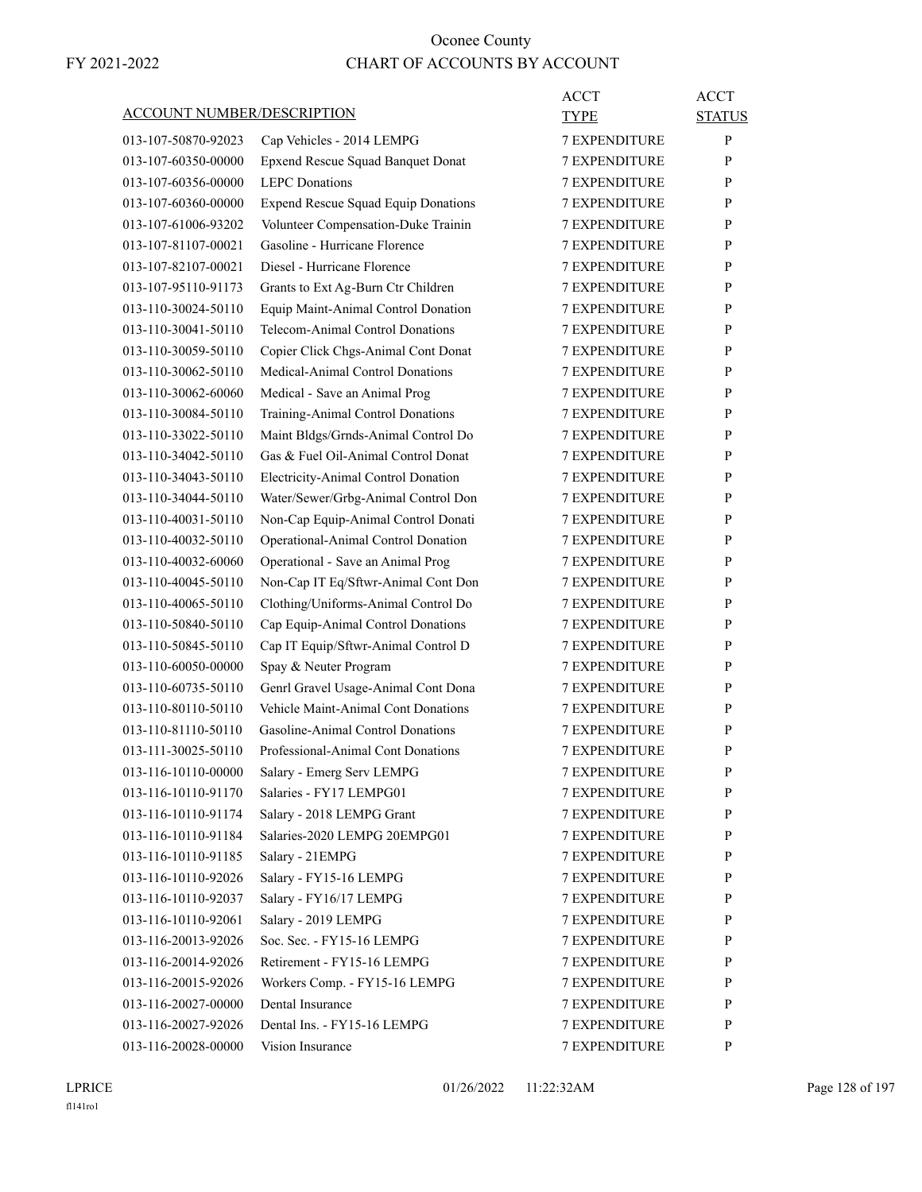| <b>ACCOUNT NUMBER/DESCRIPTION</b> |                                            | <b>ACCT</b><br>TYPE  | <b>ACCT</b><br><b>STATUS</b> |
|-----------------------------------|--------------------------------------------|----------------------|------------------------------|
| 013-107-50870-92023               | Cap Vehicles - 2014 LEMPG                  | <b>7 EXPENDITURE</b> | P                            |
| 013-107-60350-00000               | Epxend Rescue Squad Banquet Donat          | <b>7 EXPENDITURE</b> | P                            |
| 013-107-60356-00000               | <b>LEPC</b> Donations                      | <b>7 EXPENDITURE</b> | P                            |
| 013-107-60360-00000               | <b>Expend Rescue Squad Equip Donations</b> | <b>7 EXPENDITURE</b> | P                            |
| 013-107-61006-93202               | Volunteer Compensation-Duke Trainin        | <b>7 EXPENDITURE</b> | P                            |
| 013-107-81107-00021               | Gasoline - Hurricane Florence              | <b>7 EXPENDITURE</b> | P                            |
| 013-107-82107-00021               | Diesel - Hurricane Florence                | <b>7 EXPENDITURE</b> | P                            |
| 013-107-95110-91173               | Grants to Ext Ag-Burn Ctr Children         | <b>7 EXPENDITURE</b> | P                            |
| 013-110-30024-50110               | Equip Maint-Animal Control Donation        | <b>7 EXPENDITURE</b> | P                            |
| 013-110-30041-50110               | Telecom-Animal Control Donations           | <b>7 EXPENDITURE</b> | P                            |
| 013-110-30059-50110               | Copier Click Chgs-Animal Cont Donat        | <b>7 EXPENDITURE</b> | P                            |
| 013-110-30062-50110               | Medical-Animal Control Donations           | <b>7 EXPENDITURE</b> | P                            |
| 013-110-30062-60060               | Medical - Save an Animal Prog              | <b>7 EXPENDITURE</b> | P                            |
| 013-110-30084-50110               | Training-Animal Control Donations          | <b>7 EXPENDITURE</b> | P                            |
| 013-110-33022-50110               | Maint Bldgs/Grnds-Animal Control Do        | <b>7 EXPENDITURE</b> | P                            |
| 013-110-34042-50110               | Gas & Fuel Oil-Animal Control Donat        | <b>7 EXPENDITURE</b> | P                            |
| 013-110-34043-50110               | Electricity-Animal Control Donation        | <b>7 EXPENDITURE</b> | P                            |
| 013-110-34044-50110               | Water/Sewer/Grbg-Animal Control Don        | <b>7 EXPENDITURE</b> | P                            |
| 013-110-40031-50110               | Non-Cap Equip-Animal Control Donati        | <b>7 EXPENDITURE</b> | P                            |
| 013-110-40032-50110               | Operational-Animal Control Donation        | <b>7 EXPENDITURE</b> | P                            |
| 013-110-40032-60060               | Operational - Save an Animal Prog          | <b>7 EXPENDITURE</b> | P                            |
| 013-110-40045-50110               | Non-Cap IT Eq/Sftwr-Animal Cont Don        | <b>7 EXPENDITURE</b> | P                            |
| 013-110-40065-50110               | Clothing/Uniforms-Animal Control Do        | <b>7 EXPENDITURE</b> | P                            |
| 013-110-50840-50110               | Cap Equip-Animal Control Donations         | <b>7 EXPENDITURE</b> | P                            |
| 013-110-50845-50110               | Cap IT Equip/Sftwr-Animal Control D        | <b>7 EXPENDITURE</b> | P                            |
| 013-110-60050-00000               | Spay & Neuter Program                      | 7 EXPENDITURE        | P                            |
| 013-110-60735-50110               | Genrl Gravel Usage-Animal Cont Dona        | <b>7 EXPENDITURE</b> | P                            |
| 013-110-80110-50110               | Vehicle Maint-Animal Cont Donations        | <b>7 EXPENDITURE</b> | P                            |
| 013-110-81110-50110               | Gasoline-Animal Control Donations          | <b>7 EXPENDITURE</b> | P                            |
| 013-111-30025-50110               | Professional-Animal Cont Donations         | <b>7 EXPENDITURE</b> | P                            |
| 013-116-10110-00000               | Salary - Emerg Serv LEMPG                  | 7 EXPENDITURE        | P                            |
| 013-116-10110-91170               | Salaries - FY17 LEMPG01                    | 7 EXPENDITURE        | P                            |
| 013-116-10110-91174               | Salary - 2018 LEMPG Grant                  | <b>7 EXPENDITURE</b> | $\mathbf{P}$                 |
| 013-116-10110-91184               | Salaries-2020 LEMPG 20EMPG01               | 7 EXPENDITURE        | P                            |
| 013-116-10110-91185               | Salary - 21EMPG                            | 7 EXPENDITURE        | P                            |
| 013-116-10110-92026               | Salary - FY15-16 LEMPG                     | <b>7 EXPENDITURE</b> | P                            |
| 013-116-10110-92037               | Salary - FY16/17 LEMPG                     | <b>7 EXPENDITURE</b> | P                            |
| 013-116-10110-92061               | Salary - 2019 LEMPG                        | <b>7 EXPENDITURE</b> | P                            |
| 013-116-20013-92026               | Soc. Sec. - FY15-16 LEMPG                  | 7 EXPENDITURE        | P                            |
| 013-116-20014-92026               | Retirement - FY15-16 LEMPG                 | 7 EXPENDITURE        | P                            |
| 013-116-20015-92026               | Workers Comp. - FY15-16 LEMPG              | 7 EXPENDITURE        | P                            |
| 013-116-20027-00000               | Dental Insurance                           | <b>7 EXPENDITURE</b> | $\mathbf{P}$                 |
| 013-116-20027-92026               | Dental Ins. - FY15-16 LEMPG                | <b>7 EXPENDITURE</b> | P                            |
| 013-116-20028-00000               | Vision Insurance                           | 7 EXPENDITURE        | P                            |
|                                   |                                            |                      |                              |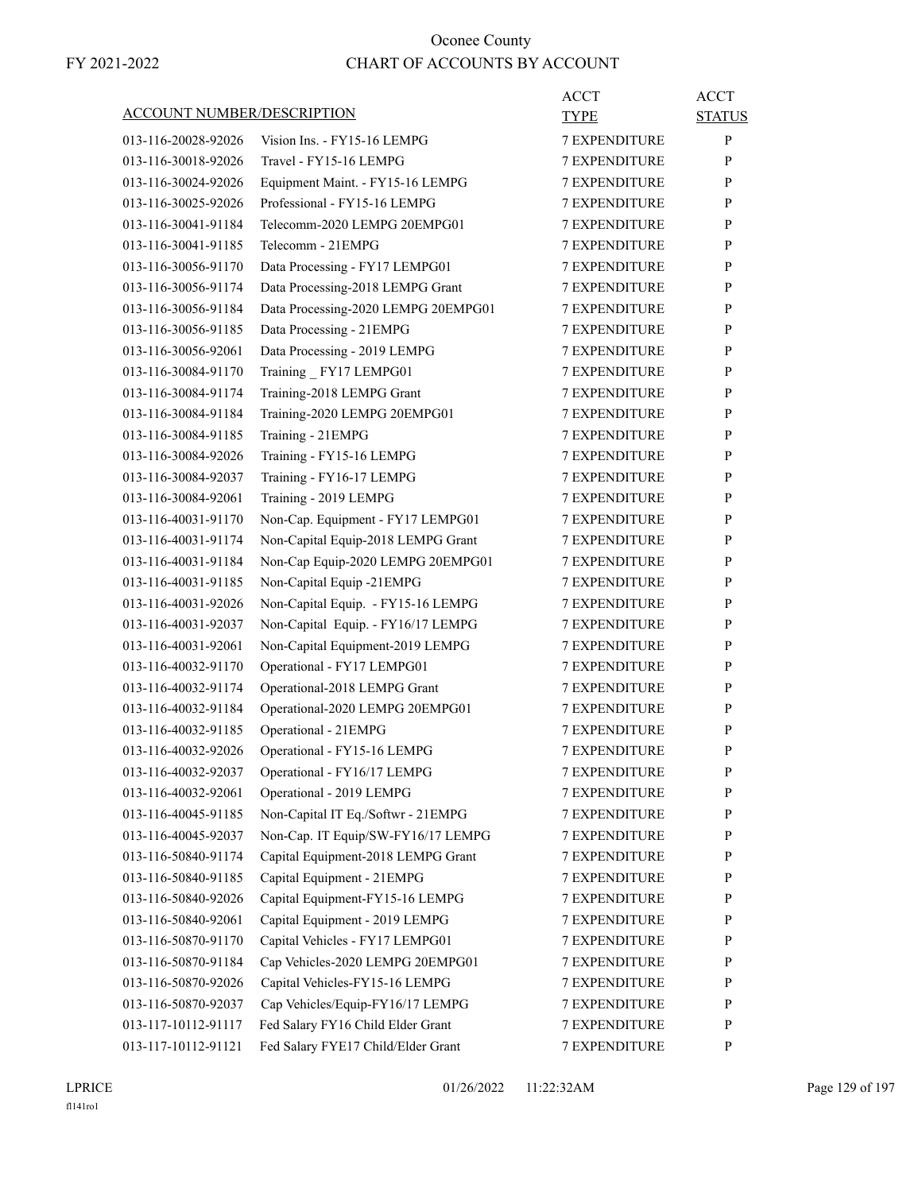| ACCOUNT NUMBER/DESCRIPTION |                                     | <b>ACCT</b><br><b>TYPE</b> | <b>ACCT</b><br><b>STATUS</b> |
|----------------------------|-------------------------------------|----------------------------|------------------------------|
| 013-116-20028-92026        | Vision Ins. - FY15-16 LEMPG         | <b>7 EXPENDITURE</b>       | P                            |
| 013-116-30018-92026        | Travel - FY15-16 LEMPG              | 7 EXPENDITURE              | P                            |
| 013-116-30024-92026        | Equipment Maint. - FY15-16 LEMPG    | <b>7 EXPENDITURE</b>       | P                            |
| 013-116-30025-92026        | Professional - FY15-16 LEMPG        | <b>7 EXPENDITURE</b>       | P                            |
| 013-116-30041-91184        | Telecomm-2020 LEMPG 20EMPG01        | <b>7 EXPENDITURE</b>       | P                            |
| 013-116-30041-91185        | Telecomm - 21EMPG                   | <b>7 EXPENDITURE</b>       | P                            |
| 013-116-30056-91170        | Data Processing - FY17 LEMPG01      | <b>7 EXPENDITURE</b>       | P                            |
| 013-116-30056-91174        | Data Processing-2018 LEMPG Grant    | 7 EXPENDITURE              | P                            |
| 013-116-30056-91184        | Data Processing-2020 LEMPG 20EMPG01 | <b>7 EXPENDITURE</b>       | P                            |
| 013-116-30056-91185        | Data Processing - 21EMPG            | <b>7 EXPENDITURE</b>       | P                            |
| 013-116-30056-92061        | Data Processing - 2019 LEMPG        | <b>7 EXPENDITURE</b>       | P                            |
| 013-116-30084-91170        | Training FY17 LEMPG01               | <b>7 EXPENDITURE</b>       | P                            |
| 013-116-30084-91174        | Training-2018 LEMPG Grant           | <b>7 EXPENDITURE</b>       | P                            |
| 013-116-30084-91184        | Training-2020 LEMPG 20EMPG01        | 7 EXPENDITURE              | P                            |
| 013-116-30084-91185        | Training - 21EMPG                   | <b>7 EXPENDITURE</b>       | P                            |
| 013-116-30084-92026        | Training - FY15-16 LEMPG            | <b>7 EXPENDITURE</b>       | P                            |
| 013-116-30084-92037        | Training - FY16-17 LEMPG            | <b>7 EXPENDITURE</b>       | P                            |
| 013-116-30084-92061        | Training - 2019 LEMPG               | <b>7 EXPENDITURE</b>       | P                            |
| 013-116-40031-91170        | Non-Cap. Equipment - FY17 LEMPG01   | <b>7 EXPENDITURE</b>       | P                            |
| 013-116-40031-91174        | Non-Capital Equip-2018 LEMPG Grant  | 7 EXPENDITURE              | P                            |
| 013-116-40031-91184        | Non-Cap Equip-2020 LEMPG 20EMPG01   | <b>7 EXPENDITURE</b>       | P                            |
| 013-116-40031-91185        | Non-Capital Equip -21EMPG           | <b>7 EXPENDITURE</b>       | P                            |
| 013-116-40031-92026        | Non-Capital Equip. - FY15-16 LEMPG  | <b>7 EXPENDITURE</b>       | P                            |
| 013-116-40031-92037        | Non-Capital Equip. - FY16/17 LEMPG  | <b>7 EXPENDITURE</b>       | P                            |
| 013-116-40031-92061        | Non-Capital Equipment-2019 LEMPG    | <b>7 EXPENDITURE</b>       | P                            |
| 013-116-40032-91170        | Operational - FY17 LEMPG01          | 7 EXPENDITURE              | P                            |
| 013-116-40032-91174        | Operational-2018 LEMPG Grant        | <b>7 EXPENDITURE</b>       | P                            |
| 013-116-40032-91184        | Operational-2020 LEMPG 20EMPG01     | <b>7 EXPENDITURE</b>       | P                            |
| 013-116-40032-91185        | Operational - 21EMPG                | <b>7 EXPENDITURE</b>       | P                            |
| 013-116-40032-92026        | Operational - FY15-16 LEMPG         | <b>7 EXPENDITURE</b>       | P                            |
| 013-116-40032-92037        | Operational - FY16/17 LEMPG         | <b>7 EXPENDITURE</b>       | P                            |
| 013-116-40032-92061        | Operational - 2019 LEMPG            | <b>7 EXPENDITURE</b>       | P                            |
| 013-116-40045-91185        | Non-Capital IT Eq./Softwr - 21EMPG  | <b>7 EXPENDITURE</b>       | $\mathbf{P}$                 |
| 013-116-40045-92037        | Non-Cap. IT Equip/SW-FY16/17 LEMPG  | <b>7 EXPENDITURE</b>       | $\mathbf{P}$                 |
| 013-116-50840-91174        | Capital Equipment-2018 LEMPG Grant  | 7 EXPENDITURE              | P                            |
| 013-116-50840-91185        | Capital Equipment - 21EMPG          | 7 EXPENDITURE              | $\mathbf{P}$                 |
| 013-116-50840-92026        | Capital Equipment-FY15-16 LEMPG     | <b>7 EXPENDITURE</b>       | P                            |
| 013-116-50840-92061        | Capital Equipment - 2019 LEMPG      | 7 EXPENDITURE              | P                            |
| 013-116-50870-91170        | Capital Vehicles - FY17 LEMPG01     | <b>7 EXPENDITURE</b>       | P                            |
| 013-116-50870-91184        | Cap Vehicles-2020 LEMPG 20EMPG01    | <b>7 EXPENDITURE</b>       | P                            |
| 013-116-50870-92026        | Capital Vehicles-FY15-16 LEMPG      | 7 EXPENDITURE              | P                            |
| 013-116-50870-92037        | Cap Vehicles/Equip-FY16/17 LEMPG    | 7 EXPENDITURE              | $\mathbf{P}$                 |
| 013-117-10112-91117        | Fed Salary FY16 Child Elder Grant   | <b>7 EXPENDITURE</b>       | P                            |
| 013-117-10112-91121        | Fed Salary FYE17 Child/Elder Grant  | 7 EXPENDITURE              | P                            |
|                            |                                     |                            |                              |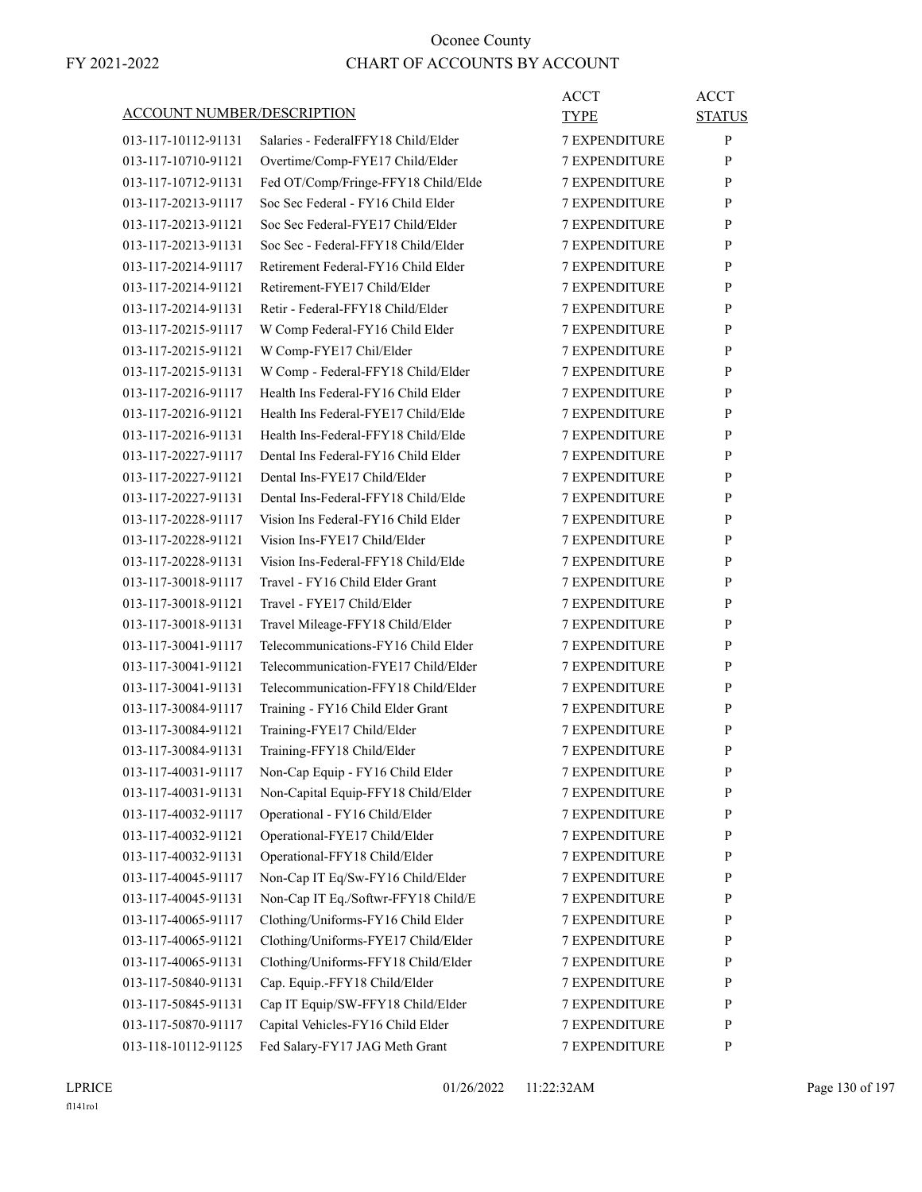|                                   |                                     | <b>ACCT</b>          | <b>ACCT</b>   |
|-----------------------------------|-------------------------------------|----------------------|---------------|
| <b>ACCOUNT NUMBER/DESCRIPTION</b> |                                     | <b>TYPE</b>          | <b>STATUS</b> |
| 013-117-10112-91131               | Salaries - FederalFFY18 Child/Elder | <b>7 EXPENDITURE</b> | $\mathbf{P}$  |
| 013-117-10710-91121               | Overtime/Comp-FYE17 Child/Elder     | <b>7 EXPENDITURE</b> | P             |
| 013-117-10712-91131               | Fed OT/Comp/Fringe-FFY18 Child/Elde | <b>7 EXPENDITURE</b> | P             |
| 013-117-20213-91117               | Soc Sec Federal - FY16 Child Elder  | 7 EXPENDITURE        | P             |
| 013-117-20213-91121               | Soc Sec Federal-FYE17 Child/Elder   | 7 EXPENDITURE        | P             |
| 013-117-20213-91131               | Soc Sec - Federal-FFY18 Child/Elder | <b>7 EXPENDITURE</b> | P             |
| 013-117-20214-91117               | Retirement Federal-FY16 Child Elder | <b>7 EXPENDITURE</b> | P             |
| 013-117-20214-91121               | Retirement-FYE17 Child/Elder        | <b>7 EXPENDITURE</b> | P             |
| 013-117-20214-91131               | Retir - Federal-FFY18 Child/Elder   | <b>7 EXPENDITURE</b> | P             |
| 013-117-20215-91117               | W Comp Federal-FY16 Child Elder     | 7 EXPENDITURE        | P             |
| 013-117-20215-91121               | W Comp-FYE17 Chil/Elder             | 7 EXPENDITURE        | P             |
| 013-117-20215-91131               | W Comp - Federal-FFY18 Child/Elder  | <b>7 EXPENDITURE</b> | P             |
| 013-117-20216-91117               | Health Ins Federal-FY16 Child Elder | <b>7 EXPENDITURE</b> | P             |
| 013-117-20216-91121               | Health Ins Federal-FYE17 Child/Elde | <b>7 EXPENDITURE</b> | P             |
| 013-117-20216-91131               | Health Ins-Federal-FFY18 Child/Elde | 7 EXPENDITURE        | P             |
| 013-117-20227-91117               | Dental Ins Federal-FY16 Child Elder | 7 EXPENDITURE        | P             |
| 013-117-20227-91121               | Dental Ins-FYE17 Child/Elder        | 7 EXPENDITURE        | P             |
| 013-117-20227-91131               | Dental Ins-Federal-FFY18 Child/Elde | <b>7 EXPENDITURE</b> | P             |
| 013-117-20228-91117               | Vision Ins Federal-FY16 Child Elder | <b>7 EXPENDITURE</b> | P             |
| 013-117-20228-91121               | Vision Ins-FYE17 Child/Elder        | <b>7 EXPENDITURE</b> | P             |
| 013-117-20228-91131               | Vision Ins-Federal-FFY18 Child/Elde | 7 EXPENDITURE        | P             |
| 013-117-30018-91117               | Travel - FY16 Child Elder Grant     | 7 EXPENDITURE        | P             |
| 013-117-30018-91121               | Travel - FYE17 Child/Elder          | 7 EXPENDITURE        | P             |
| 013-117-30018-91131               | Travel Mileage-FFY18 Child/Elder    | <b>7 EXPENDITURE</b> | P             |
| 013-117-30041-91117               | Telecommunications-FY16 Child Elder | 7 EXPENDITURE        | P             |
| 013-117-30041-91121               | Telecommunication-FYE17 Child/Elder | <b>7 EXPENDITURE</b> | P             |
| 013-117-30041-91131               | Telecommunication-FFY18 Child/Elder | <b>7 EXPENDITURE</b> | P             |
| 013-117-30084-91117               | Training - FY16 Child Elder Grant   | 7 EXPENDITURE        | P             |
| 013-117-30084-91121               | Training-FYE17 Child/Elder          | <b>7 EXPENDITURE</b> | P             |
| 013-117-30084-91131               | Training-FFY18 Child/Elder          | <b>7 EXPENDITURE</b> | P             |
| 013-117-40031-91117               | Non-Cap Equip - FY16 Child Elder    | 7 EXPENDITURE        | ${\bf P}$     |
| 013-117-40031-91131               | Non-Capital Equip-FFY18 Child/Elder | <b>7 EXPENDITURE</b> | P             |
| 013-117-40032-91117               | Operational - FY16 Child/Elder      | <b>7 EXPENDITURE</b> | $\mathbf{P}$  |
| 013-117-40032-91121               | Operational-FYE17 Child/Elder       | 7 EXPENDITURE        | P             |
| 013-117-40032-91131               | Operational-FFY18 Child/Elder       | 7 EXPENDITURE        | P             |
| 013-117-40045-91117               | Non-Cap IT Eq/Sw-FY16 Child/Elder   | 7 EXPENDITURE        | $\mathbf{P}$  |
| 013-117-40045-91131               | Non-Cap IT Eq./Softwr-FFY18 Child/E | 7 EXPENDITURE        | P             |
| 013-117-40065-91117               | Clothing/Uniforms-FY16 Child Elder  | <b>7 EXPENDITURE</b> | P             |
| 013-117-40065-91121               | Clothing/Uniforms-FYE17 Child/Elder | 7 EXPENDITURE        | P             |
| 013-117-40065-91131               | Clothing/Uniforms-FFY18 Child/Elder | 7 EXPENDITURE        | P             |
| 013-117-50840-91131               | Cap. Equip.-FFY18 Child/Elder       | 7 EXPENDITURE        | P             |
| 013-117-50845-91131               | Cap IT Equip/SW-FFY18 Child/Elder   | 7 EXPENDITURE        | $\mathbf{P}$  |
| 013-117-50870-91117               | Capital Vehicles-FY16 Child Elder   | 7 EXPENDITURE        | P             |
| 013-118-10112-91125               | Fed Salary-FY17 JAG Meth Grant      | 7 EXPENDITURE        | $\mathbf{P}$  |
|                                   |                                     |                      |               |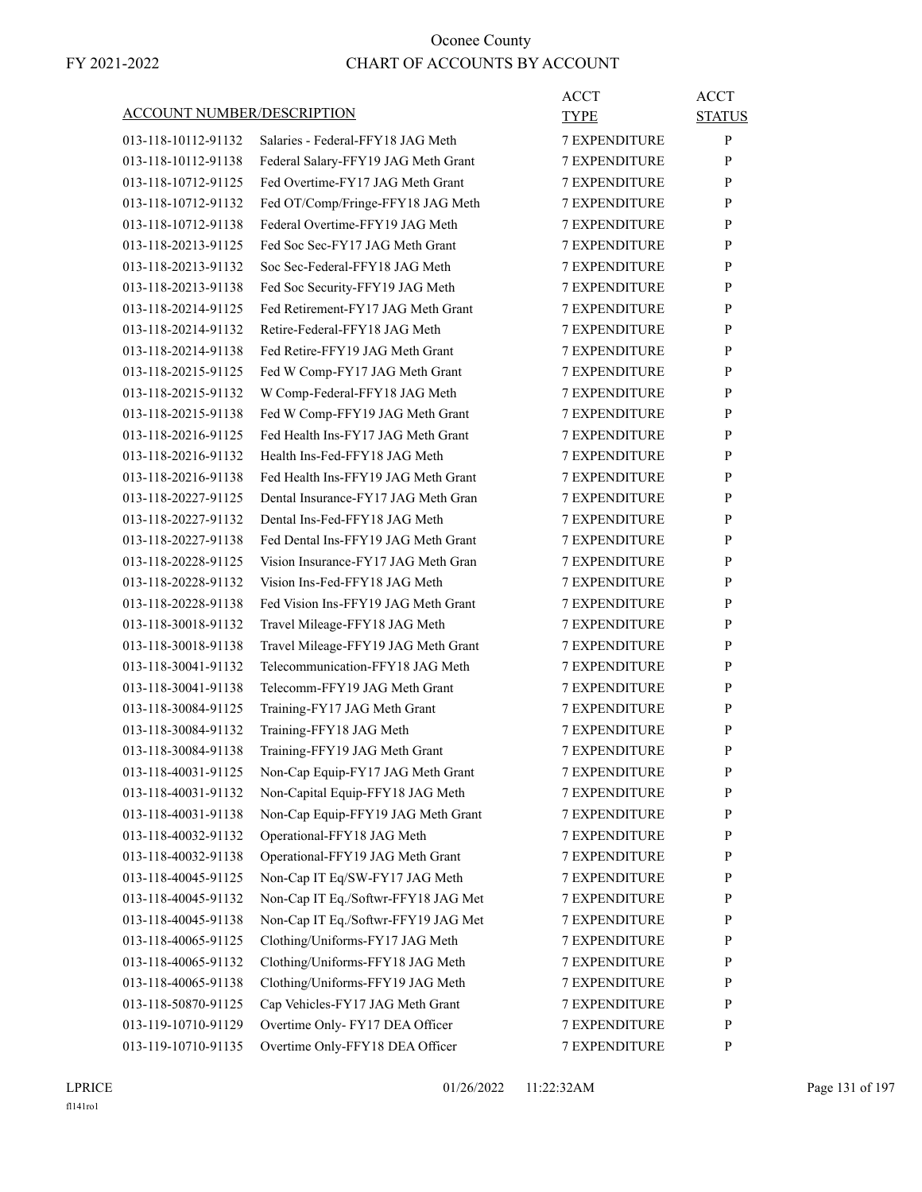|                                   |                                     | <b>ACCT</b>          | <b>ACCT</b>   |
|-----------------------------------|-------------------------------------|----------------------|---------------|
| <b>ACCOUNT NUMBER/DESCRIPTION</b> |                                     | TYPE                 | <b>STATUS</b> |
| 013-118-10112-91132               | Salaries - Federal-FFY18 JAG Meth   | <b>7 EXPENDITURE</b> | P             |
| 013-118-10112-91138               | Federal Salary-FFY19 JAG Meth Grant | <b>7 EXPENDITURE</b> | P             |
| 013-118-10712-91125               | Fed Overtime-FY17 JAG Meth Grant    | <b>7 EXPENDITURE</b> | P             |
| 013-118-10712-91132               | Fed OT/Comp/Fringe-FFY18 JAG Meth   | 7 EXPENDITURE        | P             |
| 013-118-10712-91138               | Federal Overtime-FFY19 JAG Meth     | <b>7 EXPENDITURE</b> | P             |
| 013-118-20213-91125               | Fed Soc Sec-FY17 JAG Meth Grant     | <b>7 EXPENDITURE</b> | P             |
| 013-118-20213-91132               | Soc Sec-Federal-FFY18 JAG Meth      | <b>7 EXPENDITURE</b> | P             |
| 013-118-20213-91138               | Fed Soc Security-FFY19 JAG Meth     | <b>7 EXPENDITURE</b> | P             |
| 013-118-20214-91125               | Fed Retirement-FY17 JAG Meth Grant  | <b>7 EXPENDITURE</b> | P             |
| 013-118-20214-91132               | Retire-Federal-FFY18 JAG Meth       | 7 EXPENDITURE        | P             |
| 013-118-20214-91138               | Fed Retire-FFY19 JAG Meth Grant     | <b>7 EXPENDITURE</b> | P             |
| 013-118-20215-91125               | Fed W Comp-FY17 JAG Meth Grant      | <b>7 EXPENDITURE</b> | P             |
| 013-118-20215-91132               | W Comp-Federal-FFY18 JAG Meth       | <b>7 EXPENDITURE</b> | P             |
| 013-118-20215-91138               | Fed W Comp-FFY19 JAG Meth Grant     | <b>7 EXPENDITURE</b> | P             |
| 013-118-20216-91125               | Fed Health Ins-FY17 JAG Meth Grant  | <b>7 EXPENDITURE</b> | P             |
| 013-118-20216-91132               | Health Ins-Fed-FFY18 JAG Meth       | 7 EXPENDITURE        | P             |
| 013-118-20216-91138               | Fed Health Ins-FFY19 JAG Meth Grant | <b>7 EXPENDITURE</b> | P             |
| 013-118-20227-91125               | Dental Insurance-FY17 JAG Meth Gran | <b>7 EXPENDITURE</b> | P             |
| 013-118-20227-91132               | Dental Ins-Fed-FFY18 JAG Meth       | <b>7 EXPENDITURE</b> | P             |
| 013-118-20227-91138               | Fed Dental Ins-FFY19 JAG Meth Grant | <b>7 EXPENDITURE</b> | P             |
| 013-118-20228-91125               | Vision Insurance-FY17 JAG Meth Gran | <b>7 EXPENDITURE</b> | P             |
| 013-118-20228-91132               | Vision Ins-Fed-FFY18 JAG Meth       | 7 EXPENDITURE        | P             |
| 013-118-20228-91138               | Fed Vision Ins-FFY19 JAG Meth Grant | <b>7 EXPENDITURE</b> | P             |
| 013-118-30018-91132               | Travel Mileage-FFY18 JAG Meth       | <b>7 EXPENDITURE</b> | P             |
| 013-118-30018-91138               | Travel Mileage-FFY19 JAG Meth Grant | 7 EXPENDITURE        | P             |
| 013-118-30041-91132               | Telecommunication-FFY18 JAG Meth    | <b>7 EXPENDITURE</b> | P             |
| 013-118-30041-91138               | Telecomm-FFY19 JAG Meth Grant       | <b>7 EXPENDITURE</b> | P             |
| 013-118-30084-91125               | Training-FY17 JAG Meth Grant        | 7 EXPENDITURE        | P             |
| 013-118-30084-91132               | Training-FFY18 JAG Meth             | <b>7 EXPENDITURE</b> | P             |
| 013-118-30084-91138               | Training-FFY19 JAG Meth Grant       | <b>7 EXPENDITURE</b> | P             |
| 013-118-40031-91125               | Non-Cap Equip-FY17 JAG Meth Grant   | 7 EXPENDITURE        | ${\bf P}$     |
| 013-118-40031-91132               | Non-Capital Equip-FFY18 JAG Meth    | 7 EXPENDITURE        | P             |
| 013-118-40031-91138               | Non-Cap Equip-FFY19 JAG Meth Grant  | 7 EXPENDITURE        | $\mathbf{P}$  |
| 013-118-40032-91132               | Operational-FFY18 JAG Meth          | 7 EXPENDITURE        | P             |
| 013-118-40032-91138               | Operational-FFY19 JAG Meth Grant    | 7 EXPENDITURE        | P             |
| 013-118-40045-91125               | Non-Cap IT Eq/SW-FY17 JAG Meth      | 7 EXPENDITURE        | $\mathbf{P}$  |
| 013-118-40045-91132               | Non-Cap IT Eq./Softwr-FFY18 JAG Met | 7 EXPENDITURE        | P             |
| 013-118-40045-91138               | Non-Cap IT Eq./Softwr-FFY19 JAG Met | <b>7 EXPENDITURE</b> | $\mathbf{P}$  |
| 013-118-40065-91125               | Clothing/Uniforms-FY17 JAG Meth     | 7 EXPENDITURE        | P             |
| 013-118-40065-91132               | Clothing/Uniforms-FFY18 JAG Meth    | 7 EXPENDITURE        | P             |
| 013-118-40065-91138               | Clothing/Uniforms-FFY19 JAG Meth    | <b>7 EXPENDITURE</b> | P             |
| 013-118-50870-91125               | Cap Vehicles-FY17 JAG Meth Grant    | 7 EXPENDITURE        | $\mathbf{P}$  |
| 013-119-10710-91129               | Overtime Only- FY17 DEA Officer     | 7 EXPENDITURE        | P             |
| 013-119-10710-91135               | Overtime Only-FFY18 DEA Officer     | 7 EXPENDITURE        | P             |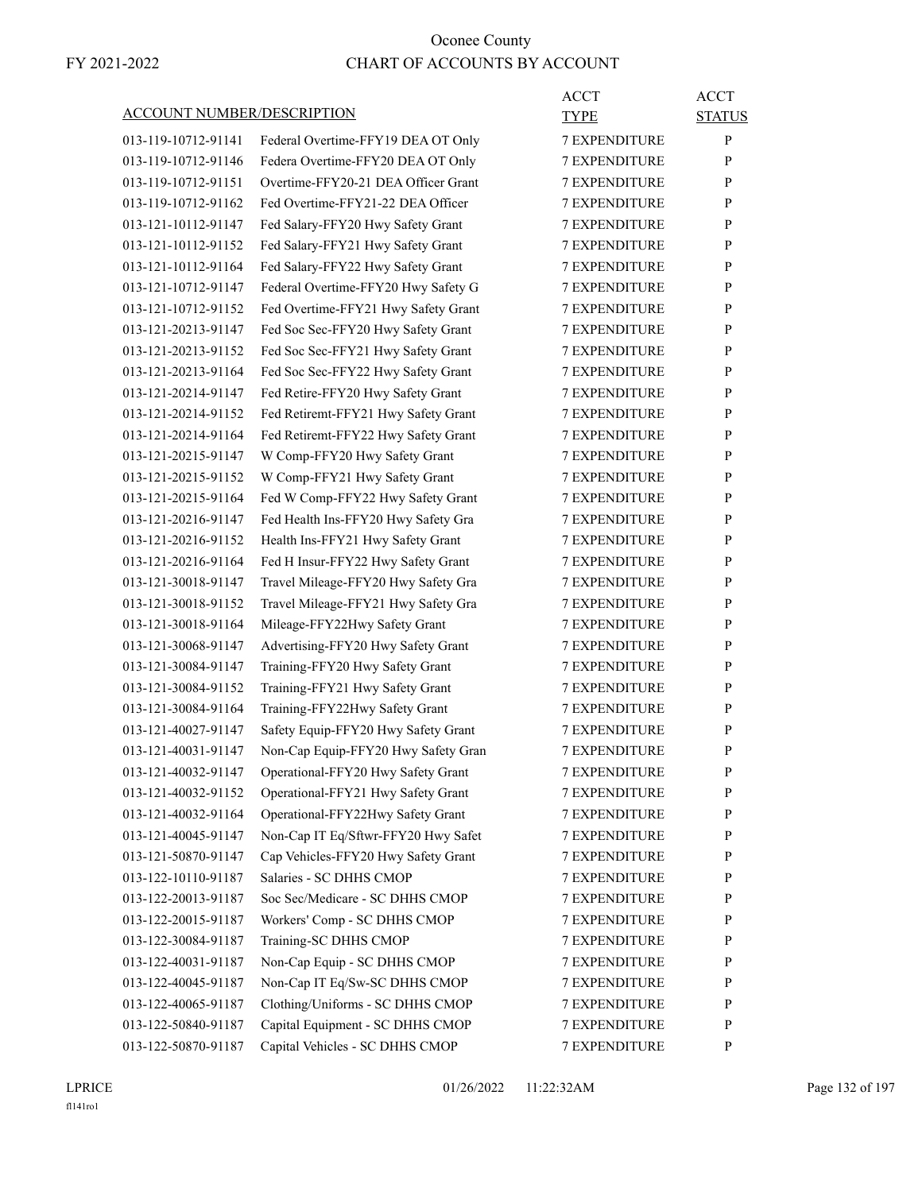|                                   |                                     | <b>ACCT</b>          | <b>ACCT</b>   |
|-----------------------------------|-------------------------------------|----------------------|---------------|
| <b>ACCOUNT NUMBER/DESCRIPTION</b> |                                     | TYPE                 | <b>STATUS</b> |
| 013-119-10712-91141               | Federal Overtime-FFY19 DEA OT Only  | <b>7 EXPENDITURE</b> | P             |
| 013-119-10712-91146               | Federa Overtime-FFY20 DEA OT Only   | <b>7 EXPENDITURE</b> | P             |
| 013-119-10712-91151               | Overtime-FFY20-21 DEA Officer Grant | <b>7 EXPENDITURE</b> | P             |
| 013-119-10712-91162               | Fed Overtime-FFY21-22 DEA Officer   | <b>7 EXPENDITURE</b> | P             |
| 013-121-10112-91147               | Fed Salary-FFY20 Hwy Safety Grant   | <b>7 EXPENDITURE</b> | P             |
| 013-121-10112-91152               | Fed Salary-FFY21 Hwy Safety Grant   | <b>7 EXPENDITURE</b> | P             |
| 013-121-10112-91164               | Fed Salary-FFY22 Hwy Safety Grant   | <b>7 EXPENDITURE</b> | P             |
| 013-121-10712-91147               | Federal Overtime-FFY20 Hwy Safety G | <b>7 EXPENDITURE</b> | P             |
| 013-121-10712-91152               | Fed Overtime-FFY21 Hwy Safety Grant | <b>7 EXPENDITURE</b> | P             |
| 013-121-20213-91147               | Fed Soc Sec-FFY20 Hwy Safety Grant  | <b>7 EXPENDITURE</b> | P             |
| 013-121-20213-91152               | Fed Soc Sec-FFY21 Hwy Safety Grant  | <b>7 EXPENDITURE</b> | P             |
| 013-121-20213-91164               | Fed Soc Sec-FFY22 Hwy Safety Grant  | <b>7 EXPENDITURE</b> | P             |
| 013-121-20214-91147               | Fed Retire-FFY20 Hwy Safety Grant   | <b>7 EXPENDITURE</b> | P             |
| 013-121-20214-91152               | Fed Retiremt-FFY21 Hwy Safety Grant | <b>7 EXPENDITURE</b> | P             |
| 013-121-20214-91164               | Fed Retiremt-FFY22 Hwy Safety Grant | <b>7 EXPENDITURE</b> | P             |
| 013-121-20215-91147               | W Comp-FFY20 Hwy Safety Grant       | <b>7 EXPENDITURE</b> | P             |
| 013-121-20215-91152               | W Comp-FFY21 Hwy Safety Grant       | <b>7 EXPENDITURE</b> | P             |
| 013-121-20215-91164               | Fed W Comp-FFY22 Hwy Safety Grant   | <b>7 EXPENDITURE</b> | P             |
| 013-121-20216-91147               | Fed Health Ins-FFY20 Hwy Safety Gra | <b>7 EXPENDITURE</b> | P             |
| 013-121-20216-91152               | Health Ins-FFY21 Hwy Safety Grant   | <b>7 EXPENDITURE</b> | P             |
| 013-121-20216-91164               | Fed H Insur-FFY22 Hwy Safety Grant  | <b>7 EXPENDITURE</b> | P             |
| 013-121-30018-91147               | Travel Mileage-FFY20 Hwy Safety Gra | 7 EXPENDITURE        | P             |
| 013-121-30018-91152               | Travel Mileage-FFY21 Hwy Safety Gra | <b>7 EXPENDITURE</b> | P             |
| 013-121-30018-91164               | Mileage-FFY22Hwy Safety Grant       | <b>7 EXPENDITURE</b> | P             |
| 013-121-30068-91147               | Advertising-FFY20 Hwy Safety Grant  | <b>7 EXPENDITURE</b> | P             |
| 013-121-30084-91147               | Training-FFY20 Hwy Safety Grant     | <b>7 EXPENDITURE</b> | P             |
| 013-121-30084-91152               | Training-FFY21 Hwy Safety Grant     | <b>7 EXPENDITURE</b> | P             |
| 013-121-30084-91164               | Training-FFY22Hwy Safety Grant      | 7 EXPENDITURE        | P             |
| 013-121-40027-91147               | Safety Equip-FFY20 Hwy Safety Grant | <b>7 EXPENDITURE</b> | P             |
| 013-121-40031-91147               | Non-Cap Equip-FFY20 Hwy Safety Gran | <b>7 EXPENDITURE</b> | P             |
| 013-121-40032-91147               | Operational-FFY20 Hwy Safety Grant  | 7 EXPENDITURE        | ${\bf P}$     |
| 013-121-40032-91152               | Operational-FFY21 Hwy Safety Grant  | 7 EXPENDITURE        | P             |
| 013-121-40032-91164               | Operational-FFY22Hwy Safety Grant   | <b>7 EXPENDITURE</b> | $\mathbf{P}$  |
| 013-121-40045-91147               | Non-Cap IT Eq/Sftwr-FFY20 Hwy Safet | 7 EXPENDITURE        | P             |
| 013-121-50870-91147               | Cap Vehicles-FFY20 Hwy Safety Grant | 7 EXPENDITURE        | P             |
| 013-122-10110-91187               | Salaries - SC DHHS CMOP             | 7 EXPENDITURE        | P             |
| 013-122-20013-91187               | Soc Sec/Medicare - SC DHHS CMOP     | 7 EXPENDITURE        | P             |
| 013-122-20015-91187               | Workers' Comp - SC DHHS CMOP        | <b>7 EXPENDITURE</b> | P             |
| 013-122-30084-91187               | Training-SC DHHS CMOP               | <b>7 EXPENDITURE</b> | P             |
| 013-122-40031-91187               | Non-Cap Equip - SC DHHS CMOP        | 7 EXPENDITURE        | P             |
| 013-122-40045-91187               | Non-Cap IT Eq/Sw-SC DHHS CMOP       | 7 EXPENDITURE        | P             |
| 013-122-40065-91187               | Clothing/Uniforms - SC DHHS CMOP    | 7 EXPENDITURE        | $\mathbf{P}$  |
| 013-122-50840-91187               | Capital Equipment - SC DHHS CMOP    | 7 EXPENDITURE        | P             |
| 013-122-50870-91187               | Capital Vehicles - SC DHHS CMOP     | 7 EXPENDITURE        | P             |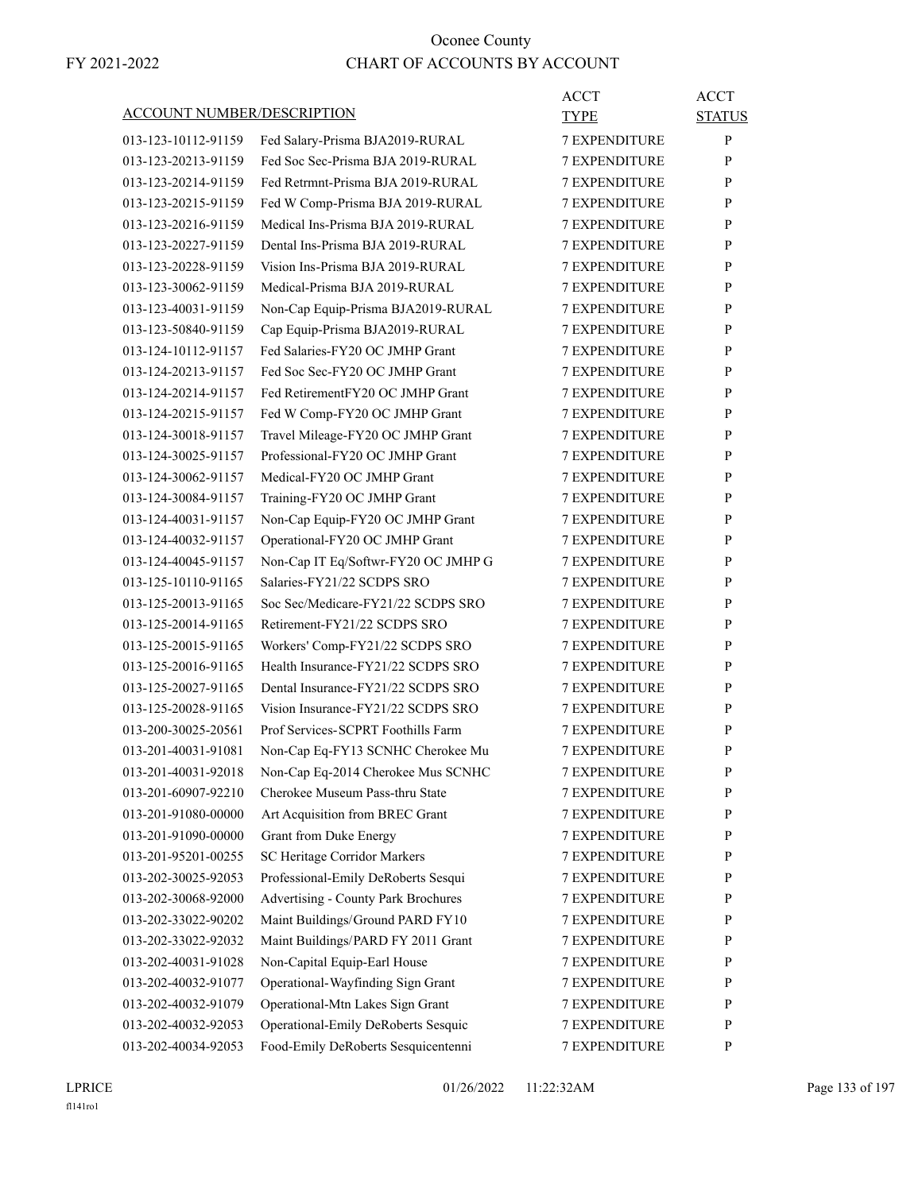|                                   |                                     | <b>ACCT</b>          | <b>ACCT</b>   |
|-----------------------------------|-------------------------------------|----------------------|---------------|
| <b>ACCOUNT NUMBER/DESCRIPTION</b> |                                     | TYPE                 | <b>STATUS</b> |
| 013-123-10112-91159               | Fed Salary-Prisma BJA2019-RURAL     | <b>7 EXPENDITURE</b> | P             |
| 013-123-20213-91159               | Fed Soc Sec-Prisma BJA 2019-RURAL   | <b>7 EXPENDITURE</b> | P             |
| 013-123-20214-91159               | Fed Retrmnt-Prisma BJA 2019-RURAL   | <b>7 EXPENDITURE</b> | P             |
| 013-123-20215-91159               | Fed W Comp-Prisma BJA 2019-RURAL    | 7 EXPENDITURE        | P             |
| 013-123-20216-91159               | Medical Ins-Prisma BJA 2019-RURAL   | <b>7 EXPENDITURE</b> | P             |
| 013-123-20227-91159               | Dental Ins-Prisma BJA 2019-RURAL    | <b>7 EXPENDITURE</b> | P             |
| 013-123-20228-91159               | Vision Ins-Prisma BJA 2019-RURAL    | <b>7 EXPENDITURE</b> | P             |
| 013-123-30062-91159               | Medical-Prisma BJA 2019-RURAL       | <b>7 EXPENDITURE</b> | P             |
| 013-123-40031-91159               | Non-Cap Equip-Prisma BJA2019-RURAL  | <b>7 EXPENDITURE</b> | P             |
| 013-123-50840-91159               | Cap Equip-Prisma BJA2019-RURAL      | 7 EXPENDITURE        | P             |
| 013-124-10112-91157               | Fed Salaries-FY20 OC JMHP Grant     | <b>7 EXPENDITURE</b> | P             |
| 013-124-20213-91157               | Fed Soc Sec-FY20 OC JMHP Grant      | <b>7 EXPENDITURE</b> | P             |
| 013-124-20214-91157               | Fed RetirementFY20 OC JMHP Grant    | <b>7 EXPENDITURE</b> | P             |
| 013-124-20215-91157               | Fed W Comp-FY20 OC JMHP Grant       | <b>7 EXPENDITURE</b> | P             |
| 013-124-30018-91157               | Travel Mileage-FY20 OC JMHP Grant   | <b>7 EXPENDITURE</b> | P             |
| 013-124-30025-91157               | Professional-FY20 OC JMHP Grant     | 7 EXPENDITURE        | P             |
| 013-124-30062-91157               | Medical-FY20 OC JMHP Grant          | <b>7 EXPENDITURE</b> | P             |
| 013-124-30084-91157               | Training-FY20 OC JMHP Grant         | <b>7 EXPENDITURE</b> | P             |
| 013-124-40031-91157               | Non-Cap Equip-FY20 OC JMHP Grant    | <b>7 EXPENDITURE</b> | P             |
| 013-124-40032-91157               | Operational-FY20 OC JMHP Grant      | <b>7 EXPENDITURE</b> | P             |
| 013-124-40045-91157               | Non-Cap IT Eq/Softwr-FY20 OC JMHP G | <b>7 EXPENDITURE</b> | P             |
| 013-125-10110-91165               | Salaries-FY21/22 SCDPS SRO          | 7 EXPENDITURE        | P             |
| 013-125-20013-91165               | Soc Sec/Medicare-FY21/22 SCDPS SRO  | <b>7 EXPENDITURE</b> | P             |
| 013-125-20014-91165               | Retirement-FY21/22 SCDPS SRO        | <b>7 EXPENDITURE</b> | P             |
| 013-125-20015-91165               | Workers' Comp-FY21/22 SCDPS SRO     | 7 EXPENDITURE        | P             |
| 013-125-20016-91165               | Health Insurance-FY21/22 SCDPS SRO  | <b>7 EXPENDITURE</b> | P             |
| 013-125-20027-91165               | Dental Insurance-FY21/22 SCDPS SRO  | <b>7 EXPENDITURE</b> | P             |
| 013-125-20028-91165               | Vision Insurance-FY21/22 SCDPS SRO  | 7 EXPENDITURE        | P             |
| 013-200-30025-20561               | Prof Services-SCPRT Foothills Farm  | <b>7 EXPENDITURE</b> | P             |
| 013-201-40031-91081               | Non-Cap Eq-FY13 SCNHC Cherokee Mu   | <b>7 EXPENDITURE</b> | P             |
| 013-201-40031-92018               | Non-Cap Eq-2014 Cherokee Mus SCNHC  | 7 EXPENDITURE        | ${\bf P}$     |
| 013-201-60907-92210               | Cherokee Museum Pass-thru State     | <b>7 EXPENDITURE</b> | P             |
| 013-201-91080-00000               | Art Acquisition from BREC Grant     | <b>7 EXPENDITURE</b> | $\mathbf{P}$  |
| 013-201-91090-00000               | Grant from Duke Energy              | 7 EXPENDITURE        | P             |
| 013-201-95201-00255               | SC Heritage Corridor Markers        | 7 EXPENDITURE        | $\mathbf{P}$  |
| 013-202-30025-92053               | Professional-Emily DeRoberts Sesqui | 7 EXPENDITURE        | $\mathbf{P}$  |
| 013-202-30068-92000               | Advertising - County Park Brochures | 7 EXPENDITURE        | P             |
| 013-202-33022-90202               | Maint Buildings/Ground PARD FY10    | <b>7 EXPENDITURE</b> | P             |
| 013-202-33022-92032               | Maint Buildings/PARD FY 2011 Grant  | <b>7 EXPENDITURE</b> | P             |
| 013-202-40031-91028               | Non-Capital Equip-Earl House        | 7 EXPENDITURE        | P             |
| 013-202-40032-91077               | Operational-Wayfinding Sign Grant   | 7 EXPENDITURE        | P             |
| 013-202-40032-91079               | Operational-Mtn Lakes Sign Grant    | 7 EXPENDITURE        | $\mathbf{P}$  |
| 013-202-40032-92053               | Operational-Emily DeRoberts Sesquic | 7 EXPENDITURE        | P             |
| 013-202-40034-92053               | Food-Emily DeRoberts Sesquicentenni | 7 EXPENDITURE        | $\mathbf{P}$  |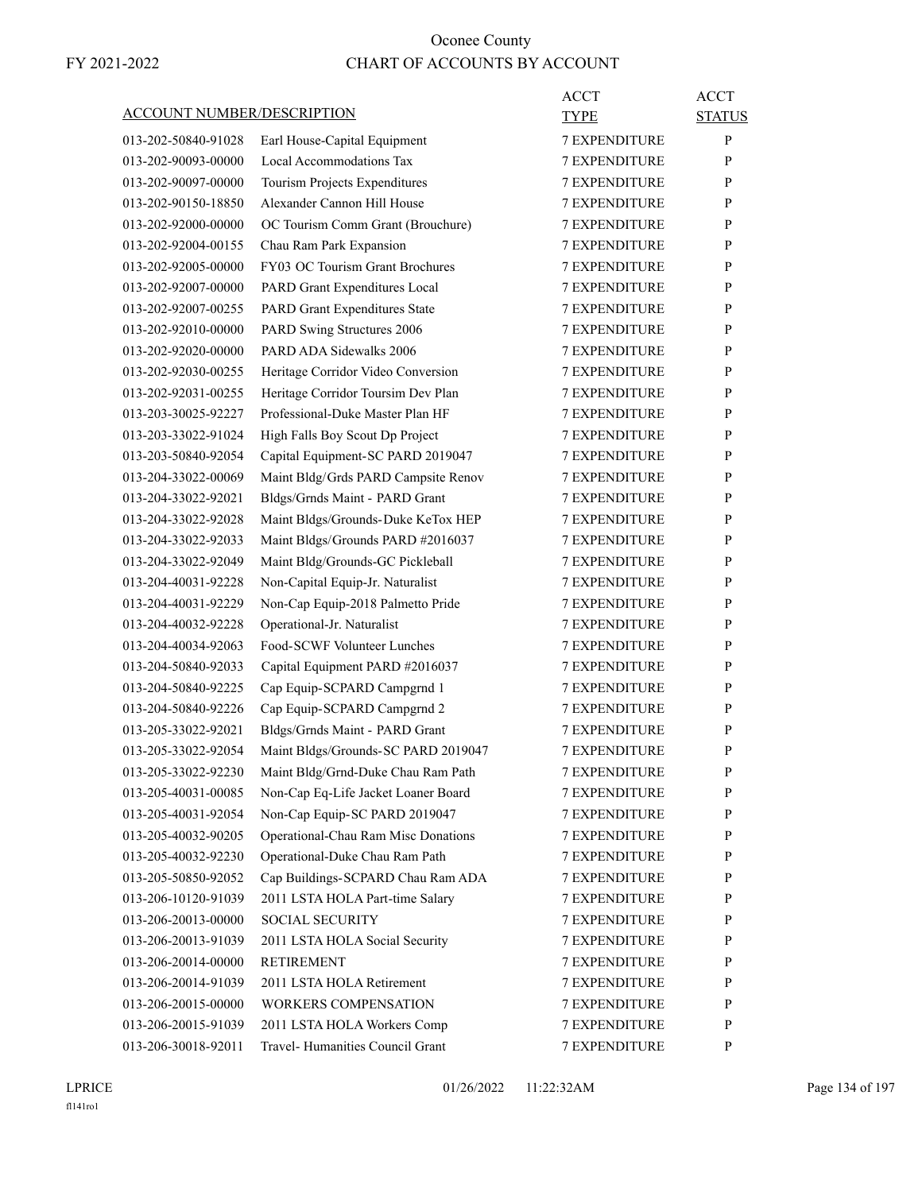|                                   |                                      | <b>ACCT</b>          | <b>ACCT</b>   |
|-----------------------------------|--------------------------------------|----------------------|---------------|
| <b>ACCOUNT NUMBER/DESCRIPTION</b> |                                      | <b>TYPE</b>          | <b>STATUS</b> |
| 013-202-50840-91028               | Earl House-Capital Equipment         | <b>7 EXPENDITURE</b> | P             |
| 013-202-90093-00000               | Local Accommodations Tax             | <b>7 EXPENDITURE</b> | P             |
| 013-202-90097-00000               | Tourism Projects Expenditures        | <b>7 EXPENDITURE</b> | P             |
| 013-202-90150-18850               | Alexander Cannon Hill House          | 7 EXPENDITURE        | P             |
| 013-202-92000-00000               | OC Tourism Comm Grant (Brouchure)    | <b>7 EXPENDITURE</b> | P             |
| 013-202-92004-00155               | Chau Ram Park Expansion              | <b>7 EXPENDITURE</b> | P             |
| 013-202-92005-00000               | FY03 OC Tourism Grant Brochures      | <b>7 EXPENDITURE</b> | P             |
| 013-202-92007-00000               | PARD Grant Expenditures Local        | <b>7 EXPENDITURE</b> | P             |
| 013-202-92007-00255               | <b>PARD Grant Expenditures State</b> | <b>7 EXPENDITURE</b> | P             |
| 013-202-92010-00000               | PARD Swing Structures 2006           | 7 EXPENDITURE        | P             |
| 013-202-92020-00000               | PARD ADA Sidewalks 2006              | <b>7 EXPENDITURE</b> | P             |
| 013-202-92030-00255               | Heritage Corridor Video Conversion   | <b>7 EXPENDITURE</b> | P             |
| 013-202-92031-00255               | Heritage Corridor Toursim Dev Plan   | <b>7 EXPENDITURE</b> | P             |
| 013-203-30025-92227               | Professional-Duke Master Plan HF     | <b>7 EXPENDITURE</b> | P             |
| 013-203-33022-91024               | High Falls Boy Scout Dp Project      | <b>7 EXPENDITURE</b> | P             |
| 013-203-50840-92054               | Capital Equipment-SC PARD 2019047    | 7 EXPENDITURE        | P             |
| 013-204-33022-00069               | Maint Bldg/Grds PARD Campsite Renov  | <b>7 EXPENDITURE</b> | P             |
| 013-204-33022-92021               | Bldgs/Grnds Maint - PARD Grant       | <b>7 EXPENDITURE</b> | P             |
| 013-204-33022-92028               | Maint Bldgs/Grounds-Duke KeTox HEP   | <b>7 EXPENDITURE</b> | P             |
| 013-204-33022-92033               | Maint Bldgs/Grounds PARD #2016037    | <b>7 EXPENDITURE</b> | P             |
| 013-204-33022-92049               | Maint Bldg/Grounds-GC Pickleball     | <b>7 EXPENDITURE</b> | P             |
| 013-204-40031-92228               | Non-Capital Equip-Jr. Naturalist     | 7 EXPENDITURE        | P             |
| 013-204-40031-92229               | Non-Cap Equip-2018 Palmetto Pride    | <b>7 EXPENDITURE</b> | P             |
| 013-204-40032-92228               | Operational-Jr. Naturalist           | <b>7 EXPENDITURE</b> | P             |
| 013-204-40034-92063               | Food-SCWF Volunteer Lunches          | <b>7 EXPENDITURE</b> | P             |
| 013-204-50840-92033               | Capital Equipment PARD #2016037      | <b>7 EXPENDITURE</b> | P             |
| 013-204-50840-92225               | Cap Equip-SCPARD Campgrnd 1          | <b>7 EXPENDITURE</b> | P             |
| 013-204-50840-92226               | Cap Equip-SCPARD Campgrnd 2          | 7 EXPENDITURE        | P             |
| 013-205-33022-92021               | Bldgs/Grnds Maint - PARD Grant       | <b>7 EXPENDITURE</b> | P             |
| 013-205-33022-92054               | Maint Bldgs/Grounds-SC PARD 2019047  | <b>7 EXPENDITURE</b> | P             |
| 013-205-33022-92230               | Maint Bldg/Grnd-Duke Chau Ram Path   | 7 EXPENDITURE        | ${\bf P}$     |
| 013-205-40031-00085               | Non-Cap Eq-Life Jacket Loaner Board  | <b>7 EXPENDITURE</b> | P             |
| 013-205-40031-92054               | Non-Cap Equip-SC PARD 2019047        | <b>7 EXPENDITURE</b> | P             |
| 013-205-40032-90205               | Operational-Chau Ram Misc Donations  | 7 EXPENDITURE        | P             |
| 013-205-40032-92230               | Operational-Duke Chau Ram Path       | <b>7 EXPENDITURE</b> | P             |
| 013-205-50850-92052               | Cap Buildings-SCPARD Chau Ram ADA    | 7 EXPENDITURE        | P             |
| 013-206-10120-91039               | 2011 LSTA HOLA Part-time Salary      | 7 EXPENDITURE        | P             |
| 013-206-20013-00000               | <b>SOCIAL SECURITY</b>               | <b>7 EXPENDITURE</b> | P             |
| 013-206-20013-91039               | 2011 LSTA HOLA Social Security       | <b>7 EXPENDITURE</b> | P             |
| 013-206-20014-00000               | <b>RETIREMENT</b>                    | 7 EXPENDITURE        | P             |
| 013-206-20014-91039               | 2011 LSTA HOLA Retirement            | <b>7 EXPENDITURE</b> | P             |
| 013-206-20015-00000               | <b>WORKERS COMPENSATION</b>          | 7 EXPENDITURE        | P             |
| 013-206-20015-91039               | 2011 LSTA HOLA Workers Comp          | 7 EXPENDITURE        | P             |
| 013-206-30018-92011               | Travel- Humanities Council Grant     | 7 EXPENDITURE        | $\mathbf{P}$  |
|                                   |                                      |                      |               |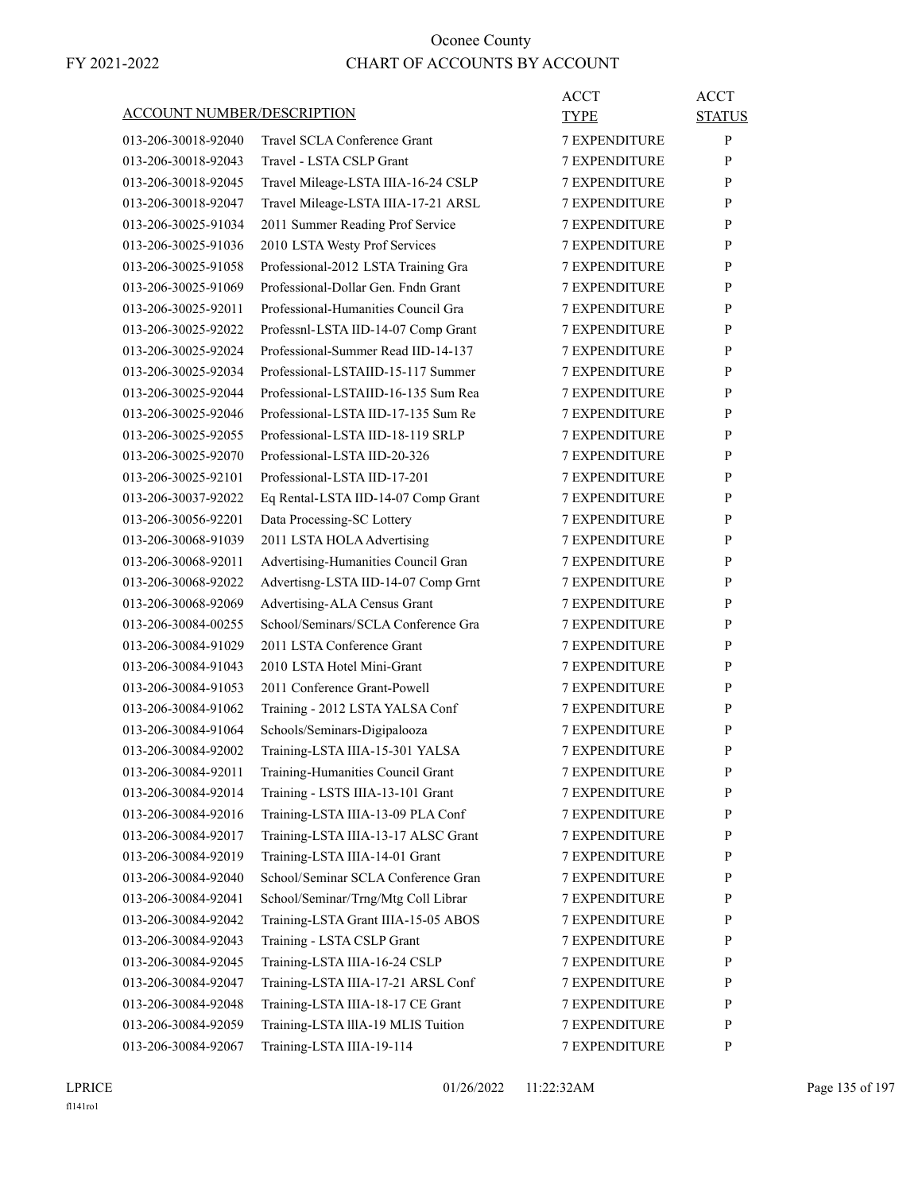|                                   |                                     | <b>ACCT</b>          | <b>ACCT</b>   |
|-----------------------------------|-------------------------------------|----------------------|---------------|
| <b>ACCOUNT NUMBER/DESCRIPTION</b> |                                     | TYPE                 | <b>STATUS</b> |
| 013-206-30018-92040               | Travel SCLA Conference Grant        | <b>7 EXPENDITURE</b> | P             |
| 013-206-30018-92043               | Travel - LSTA CSLP Grant            | <b>7 EXPENDITURE</b> | P             |
| 013-206-30018-92045               | Travel Mileage-LSTA IIIA-16-24 CSLP | <b>7 EXPENDITURE</b> | P             |
| 013-206-30018-92047               | Travel Mileage-LSTA IIIA-17-21 ARSL | 7 EXPENDITURE        | P             |
| 013-206-30025-91034               | 2011 Summer Reading Prof Service    | <b>7 EXPENDITURE</b> | P             |
| 013-206-30025-91036               | 2010 LSTA Westy Prof Services       | <b>7 EXPENDITURE</b> | P             |
| 013-206-30025-91058               | Professional-2012 LSTA Training Gra | <b>7 EXPENDITURE</b> | P             |
| 013-206-30025-91069               | Professional-Dollar Gen. Fndn Grant | <b>7 EXPENDITURE</b> | P             |
| 013-206-30025-92011               | Professional-Humanities Council Gra | <b>7 EXPENDITURE</b> | P             |
| 013-206-30025-92022               | Professnl-LSTA IID-14-07 Comp Grant | 7 EXPENDITURE        | P             |
| 013-206-30025-92024               | Professional-Summer Read IID-14-137 | <b>7 EXPENDITURE</b> | P             |
| 013-206-30025-92034               | Professional-LSTAIID-15-117 Summer  | <b>7 EXPENDITURE</b> | P             |
| 013-206-30025-92044               | Professional-LSTAIID-16-135 Sum Rea | <b>7 EXPENDITURE</b> | P             |
| 013-206-30025-92046               | Professional-LSTA IID-17-135 Sum Re | <b>7 EXPENDITURE</b> | P             |
| 013-206-30025-92055               | Professional-LSTA IID-18-119 SRLP   | <b>7 EXPENDITURE</b> | P             |
| 013-206-30025-92070               | Professional-LSTA IID-20-326        | <b>7 EXPENDITURE</b> | P             |
| 013-206-30025-92101               | Professional-LSTA IID-17-201        | <b>7 EXPENDITURE</b> | P             |
| 013-206-30037-92022               | Eq Rental-LSTA IID-14-07 Comp Grant | <b>7 EXPENDITURE</b> | P             |
| 013-206-30056-92201               | Data Processing-SC Lottery          | <b>7 EXPENDITURE</b> | P             |
| 013-206-30068-91039               | 2011 LSTA HOLA Advertising          | <b>7 EXPENDITURE</b> | P             |
| 013-206-30068-92011               | Advertising-Humanities Council Gran | <b>7 EXPENDITURE</b> | P             |
| 013-206-30068-92022               | Advertisng-LSTA IID-14-07 Comp Grnt | 7 EXPENDITURE        | P             |
| 013-206-30068-92069               | Advertising-ALA Census Grant        | <b>7 EXPENDITURE</b> | P             |
| 013-206-30084-00255               | School/Seminars/SCLA Conference Gra | <b>7 EXPENDITURE</b> | P             |
| 013-206-30084-91029               | 2011 LSTA Conference Grant          | <b>7 EXPENDITURE</b> | P             |
| 013-206-30084-91043               | 2010 LSTA Hotel Mini-Grant          | <b>7 EXPENDITURE</b> | P             |
| 013-206-30084-91053               | 2011 Conference Grant-Powell        | <b>7 EXPENDITURE</b> | P             |
| 013-206-30084-91062               | Training - 2012 LSTA YALSA Conf     | 7 EXPENDITURE        | P             |
| 013-206-30084-91064               | Schools/Seminars-Digipalooza        | <b>7 EXPENDITURE</b> | P             |
| 013-206-30084-92002               | Training-LSTA IIIA-15-301 YALSA     | <b>7 EXPENDITURE</b> | P             |
| 013-206-30084-92011               | Training-Humanities Council Grant   | 7 EXPENDITURE        | ${\bf P}$     |
| 013-206-30084-92014               | Training - LSTS IIIA-13-101 Grant   | <b>7 EXPENDITURE</b> | P             |
| 013-206-30084-92016               | Training-LSTA IIIA-13-09 PLA Conf   | <b>7 EXPENDITURE</b> | P             |
| 013-206-30084-92017               | Training-LSTA IIIA-13-17 ALSC Grant | 7 EXPENDITURE        | P             |
| 013-206-30084-92019               | Training-LSTA IIIA-14-01 Grant      | <b>7 EXPENDITURE</b> | P             |
| 013-206-30084-92040               | School/Seminar SCLA Conference Gran | 7 EXPENDITURE        | P             |
| 013-206-30084-92041               | School/Seminar/Trng/Mtg Coll Librar | 7 EXPENDITURE        | P             |
| 013-206-30084-92042               | Training-LSTA Grant IIIA-15-05 ABOS | <b>7 EXPENDITURE</b> | P             |
| 013-206-30084-92043               | Training - LSTA CSLP Grant          | <b>7 EXPENDITURE</b> | P             |
| 013-206-30084-92045               | Training-LSTA IIIA-16-24 CSLP       | 7 EXPENDITURE        | P             |
| 013-206-30084-92047               | Training-LSTA IIIA-17-21 ARSL Conf  | 7 EXPENDITURE        | P             |
| 013-206-30084-92048               | Training-LSTA IIIA-18-17 CE Grant   | 7 EXPENDITURE        | P             |
| 013-206-30084-92059               | Training-LSTA lllA-19 MLIS Tuition  | 7 EXPENDITURE        | P             |
| 013-206-30084-92067               | Training-LSTA IIIA-19-114           | 7 EXPENDITURE        | P             |

LPRICE 01/26/2022 11:22:32AM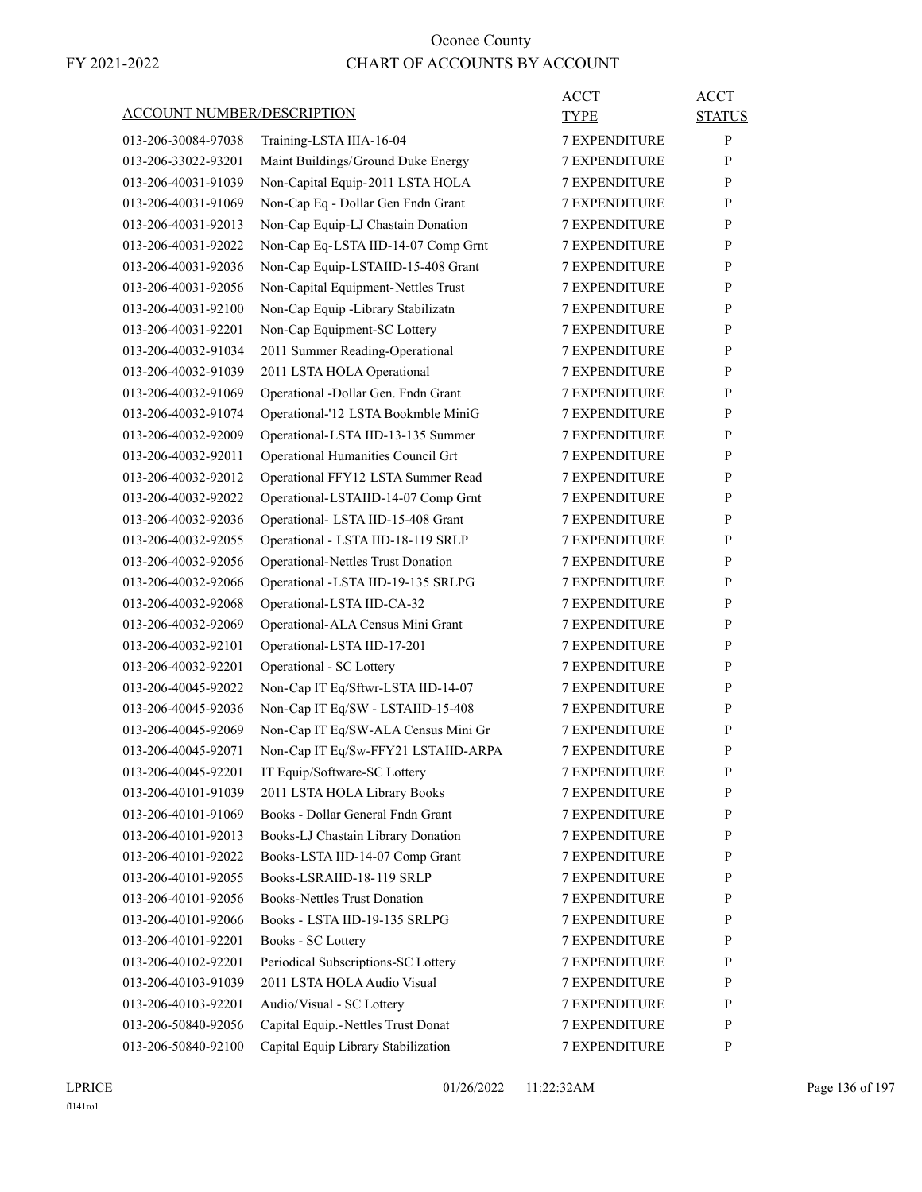| <b>ACCOUNT NUMBER/DESCRIPTION</b> |                                           | <b>ACCT</b><br><b>TYPE</b> | <b>ACCT</b><br><b>STATUS</b> |
|-----------------------------------|-------------------------------------------|----------------------------|------------------------------|
| 013-206-30084-97038               | Training-LSTA IIIA-16-04                  | <b>7 EXPENDITURE</b>       | P                            |
| 013-206-33022-93201               | Maint Buildings/Ground Duke Energy        | <b>7 EXPENDITURE</b>       | P                            |
| 013-206-40031-91039               | Non-Capital Equip-2011 LSTA HOLA          | <b>7 EXPENDITURE</b>       | P                            |
| 013-206-40031-91069               | Non-Cap Eq - Dollar Gen Fndn Grant        | <b>7 EXPENDITURE</b>       | P                            |
| 013-206-40031-92013               | Non-Cap Equip-LJ Chastain Donation        | <b>7 EXPENDITURE</b>       | P                            |
| 013-206-40031-92022               | Non-Cap Eq-LSTA IID-14-07 Comp Grnt       | <b>7 EXPENDITURE</b>       | P                            |
| 013-206-40031-92036               | Non-Cap Equip-LSTAIID-15-408 Grant        | <b>7 EXPENDITURE</b>       | P                            |
| 013-206-40031-92056               | Non-Capital Equipment-Nettles Trust       | <b>7 EXPENDITURE</b>       | P                            |
| 013-206-40031-92100               | Non-Cap Equip -Library Stabilizatn        | <b>7 EXPENDITURE</b>       | P                            |
| 013-206-40031-92201               | Non-Cap Equipment-SC Lottery              | <b>7 EXPENDITURE</b>       | P                            |
| 013-206-40032-91034               | 2011 Summer Reading-Operational           | <b>7 EXPENDITURE</b>       | P                            |
| 013-206-40032-91039               | 2011 LSTA HOLA Operational                | <b>7 EXPENDITURE</b>       | P                            |
| 013-206-40032-91069               | Operational -Dollar Gen. Fndn Grant       | <b>7 EXPENDITURE</b>       | P                            |
| 013-206-40032-91074               | Operational-'12 LSTA Bookmble MiniG       | <b>7 EXPENDITURE</b>       | P                            |
| 013-206-40032-92009               | Operational-LSTA IID-13-135 Summer        | <b>7 EXPENDITURE</b>       | P                            |
| 013-206-40032-92011               | Operational Humanities Council Grt        | <b>7 EXPENDITURE</b>       | P                            |
| 013-206-40032-92012               | Operational FFY12 LSTA Summer Read        | <b>7 EXPENDITURE</b>       | P                            |
| 013-206-40032-92022               | Operational-LSTAIID-14-07 Comp Grnt       | <b>7 EXPENDITURE</b>       | P                            |
| 013-206-40032-92036               | Operational- LSTA IID-15-408 Grant        | <b>7 EXPENDITURE</b>       | P                            |
| 013-206-40032-92055               | Operational - LSTA IID-18-119 SRLP        | 7 EXPENDITURE              | P                            |
| 013-206-40032-92056               | <b>Operational-Nettles Trust Donation</b> | <b>7 EXPENDITURE</b>       | P                            |
| 013-206-40032-92066               | Operational -LSTA IID-19-135 SRLPG        | <b>7 EXPENDITURE</b>       | P                            |
| 013-206-40032-92068               | Operational-LSTA IID-CA-32                | <b>7 EXPENDITURE</b>       | P                            |
| 013-206-40032-92069               | Operational-ALA Census Mini Grant         | <b>7 EXPENDITURE</b>       | P                            |
| 013-206-40032-92101               | Operational-LSTA IID-17-201               | <b>7 EXPENDITURE</b>       | P                            |
| 013-206-40032-92201               | Operational - SC Lottery                  | 7 EXPENDITURE              | P                            |
| 013-206-40045-92022               | Non-Cap IT Eq/Sftwr-LSTA IID-14-07        | <b>7 EXPENDITURE</b>       | P                            |
| 013-206-40045-92036               | Non-Cap IT Eq/SW - LSTAIID-15-408         | <b>7 EXPENDITURE</b>       | P                            |
| 013-206-40045-92069               | Non-Cap IT Eq/SW-ALA Census Mini Gr       | <b>7 EXPENDITURE</b>       | P                            |
| 013-206-40045-92071               | Non-Cap IT Eq/Sw-FFY21 LSTAIID-ARPA       | <b>7 EXPENDITURE</b>       | P                            |
| 013-206-40045-92201               | IT Equip/Software-SC Lottery              | <b>7 EXPENDITURE</b>       | P                            |
| 013-206-40101-91039               | 2011 LSTA HOLA Library Books              | <b>7 EXPENDITURE</b>       | P                            |
| 013-206-40101-91069               | Books - Dollar General Fndn Grant         | <b>7 EXPENDITURE</b>       | P                            |
| 013-206-40101-92013               | Books-LJ Chastain Library Donation        | 7 EXPENDITURE              | P                            |
| 013-206-40101-92022               | Books-LSTA IID-14-07 Comp Grant           | 7 EXPENDITURE              | P                            |
| 013-206-40101-92055               | Books-LSRAIID-18-119 SRLP                 | 7 EXPENDITURE              | $\mathbf{P}$                 |
| 013-206-40101-92056               | <b>Books-Nettles Trust Donation</b>       | 7 EXPENDITURE              | P                            |
| 013-206-40101-92066               | Books - LSTA IID-19-135 SRLPG             | <b>7 EXPENDITURE</b>       | P                            |
| 013-206-40101-92201               | Books - SC Lottery                        | <b>7 EXPENDITURE</b>       | P                            |
| 013-206-40102-92201               | Periodical Subscriptions-SC Lottery       | <b>7 EXPENDITURE</b>       | P                            |
| 013-206-40103-91039               | 2011 LSTA HOLA Audio Visual               | 7 EXPENDITURE              | P                            |
| 013-206-40103-92201               | Audio/Visual - SC Lottery                 | 7 EXPENDITURE              | $\mathbf{P}$                 |
| 013-206-50840-92056               | Capital Equip.-Nettles Trust Donat        | <b>7 EXPENDITURE</b>       | P                            |
| 013-206-50840-92100               | Capital Equip Library Stabilization       | 7 EXPENDITURE              | P                            |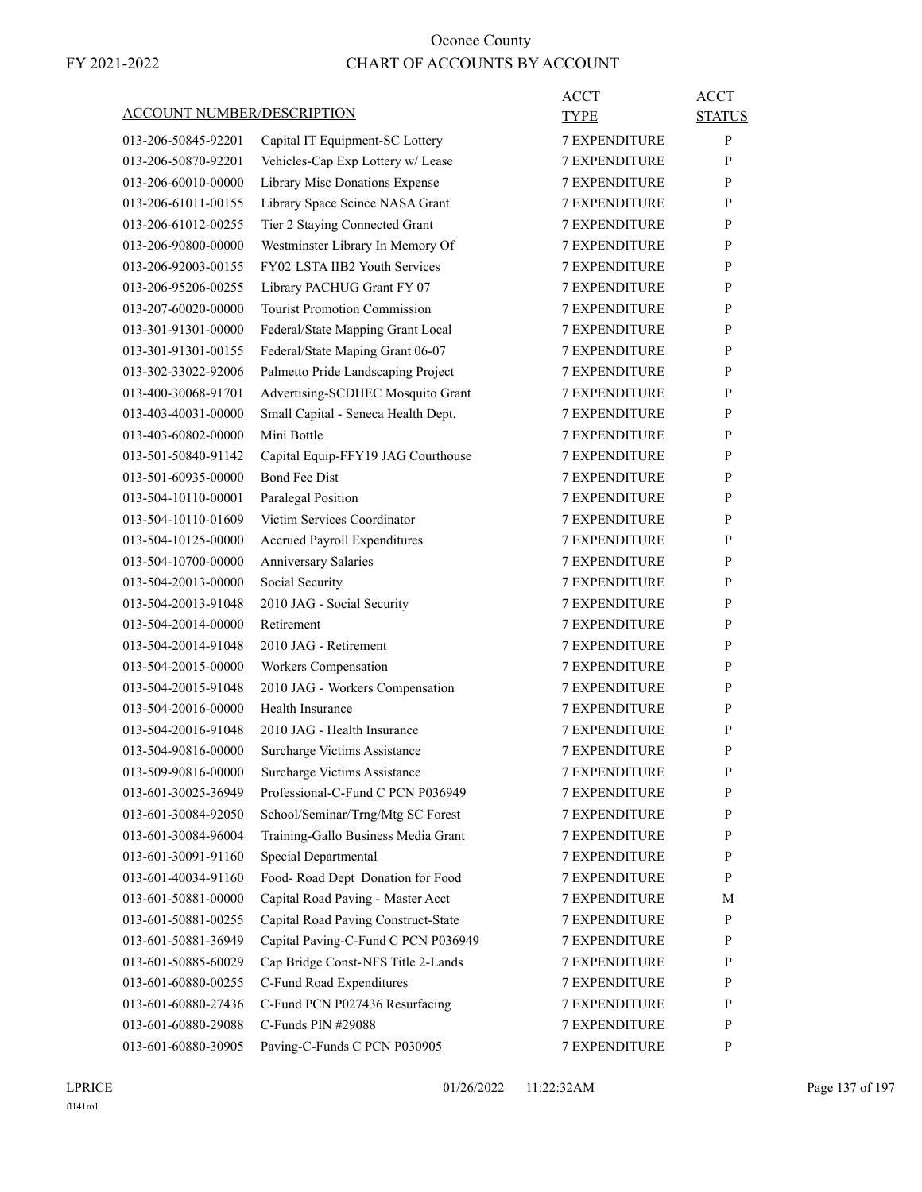|                                   |                                     | <b>ACCT</b>          | <b>ACCT</b>   |
|-----------------------------------|-------------------------------------|----------------------|---------------|
| <b>ACCOUNT NUMBER/DESCRIPTION</b> |                                     | TYPE                 | <b>STATUS</b> |
| 013-206-50845-92201               | Capital IT Equipment-SC Lottery     | <b>7 EXPENDITURE</b> | P             |
| 013-206-50870-92201               | Vehicles-Cap Exp Lottery w/ Lease   | 7 EXPENDITURE        | P             |
| 013-206-60010-00000               | Library Misc Donations Expense      | <b>7 EXPENDITURE</b> | P             |
| 013-206-61011-00155               | Library Space Scince NASA Grant     | <b>7 EXPENDITURE</b> | P             |
| 013-206-61012-00255               | Tier 2 Staying Connected Grant      | 7 EXPENDITURE        | P             |
| 013-206-90800-00000               | Westminster Library In Memory Of    | <b>7 EXPENDITURE</b> | P             |
| 013-206-92003-00155               | FY02 LSTA IIB2 Youth Services       | <b>7 EXPENDITURE</b> | P             |
| 013-206-95206-00255               | Library PACHUG Grant FY 07          | <b>7 EXPENDITURE</b> | P             |
| 013-207-60020-00000               | <b>Tourist Promotion Commission</b> | <b>7 EXPENDITURE</b> | P             |
| 013-301-91301-00000               | Federal/State Mapping Grant Local   | <b>7 EXPENDITURE</b> | P             |
| 013-301-91301-00155               | Federal/State Maping Grant 06-07    | 7 EXPENDITURE        | P             |
| 013-302-33022-92006               | Palmetto Pride Landscaping Project  | <b>7 EXPENDITURE</b> | P             |
| 013-400-30068-91701               | Advertising-SCDHEC Mosquito Grant   | <b>7 EXPENDITURE</b> | P             |
| 013-403-40031-00000               | Small Capital - Seneca Health Dept. | <b>7 EXPENDITURE</b> | P             |
| 013-403-60802-00000               | Mini Bottle                         | <b>7 EXPENDITURE</b> | P             |
| 013-501-50840-91142               | Capital Equip-FFY19 JAG Courthouse  | <b>7 EXPENDITURE</b> | P             |
| 013-501-60935-00000               | <b>Bond Fee Dist</b>                | 7 EXPENDITURE        | P             |
| 013-504-10110-00001               | Paralegal Position                  | <b>7 EXPENDITURE</b> | P             |
| 013-504-10110-01609               | Victim Services Coordinator         | <b>7 EXPENDITURE</b> | P             |
| 013-504-10125-00000               | Accrued Payroll Expenditures        | 7 EXPENDITURE        | P             |
| 013-504-10700-00000               | Anniversary Salaries                | <b>7 EXPENDITURE</b> | P             |
| 013-504-20013-00000               | Social Security                     | <b>7 EXPENDITURE</b> | P             |
| 013-504-20013-91048               | 2010 JAG - Social Security          | 7 EXPENDITURE        | P             |
| 013-504-20014-00000               | Retirement                          | <b>7 EXPENDITURE</b> | P             |
| 013-504-20014-91048               | 2010 JAG - Retirement               | <b>7 EXPENDITURE</b> | P             |
| 013-504-20015-00000               | Workers Compensation                | <b>7 EXPENDITURE</b> | P             |
| 013-504-20015-91048               | 2010 JAG - Workers Compensation     | <b>7 EXPENDITURE</b> | P             |
| 013-504-20016-00000               | Health Insurance                    | 7 EXPENDITURE        | P             |
| 013-504-20016-91048               | 2010 JAG - Health Insurance         | 7 EXPENDITURE        | P             |
| 013-504-90816-00000               | Surcharge Victims Assistance        | <b>7 EXPENDITURE</b> | P             |
| 013-509-90816-00000               | Surcharge Victims Assistance        | 7 EXPENDITURE        | ${\bf P}$     |
| 013-601-30025-36949               | Professional-C-Fund C PCN P036949   | <b>7 EXPENDITURE</b> | P             |
| 013-601-30084-92050               | School/Seminar/Trng/Mtg SC Forest   | 7 EXPENDITURE        | P             |
| 013-601-30084-96004               | Training-Gallo Business Media Grant | 7 EXPENDITURE        | P             |
| 013-601-30091-91160               | Special Departmental                | 7 EXPENDITURE        | $\mathbf{P}$  |
| 013-601-40034-91160               | Food-Road Dept Donation for Food    | 7 EXPENDITURE        | P             |
| 013-601-50881-00000               | Capital Road Paving - Master Acct   | 7 EXPENDITURE        | М             |
| 013-601-50881-00255               | Capital Road Paving Construct-State | <b>7 EXPENDITURE</b> | $\mathbf{P}$  |
| 013-601-50881-36949               | Capital Paving-C-Fund C PCN P036949 | 7 EXPENDITURE        | P             |
| 013-601-50885-60029               | Cap Bridge Const-NFS Title 2-Lands  | 7 EXPENDITURE        | P             |
| 013-601-60880-00255               | C-Fund Road Expenditures            | 7 EXPENDITURE        | P             |
| 013-601-60880-27436               | C-Fund PCN P027436 Resurfacing      | 7 EXPENDITURE        | P             |
| 013-601-60880-29088               | C-Funds PIN #29088                  | 7 EXPENDITURE        | P             |
| 013-601-60880-30905               | Paving-C-Funds C PCN P030905        | 7 EXPENDITURE        | P             |
|                                   |                                     |                      |               |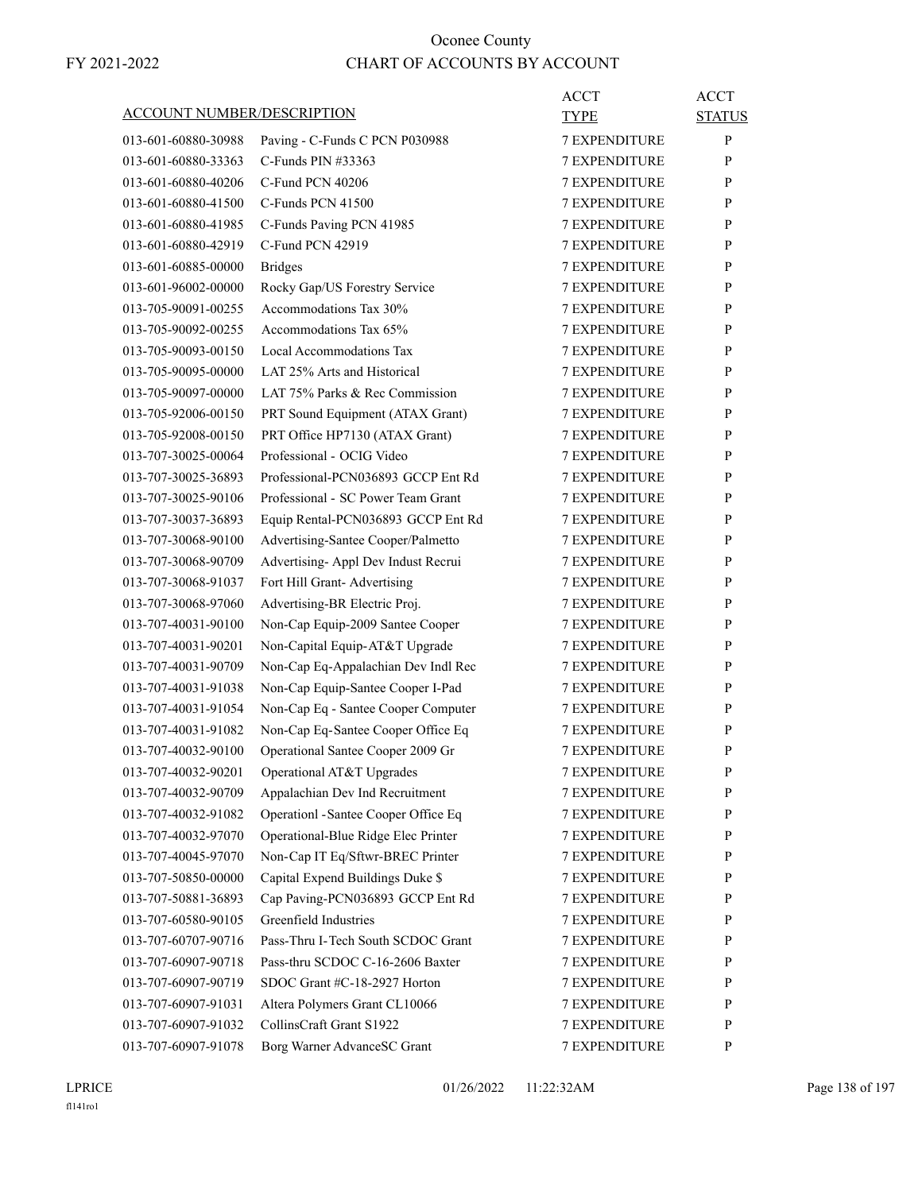| <u>ACCOUNT NUMBER/DESCRIPTION</u> |                                      | ACCT<br>TYPE         | <b>ACCT</b><br><b>STATUS</b> |
|-----------------------------------|--------------------------------------|----------------------|------------------------------|
| 013-601-60880-30988               | Paving - C-Funds C PCN P030988       | <b>7 EXPENDITURE</b> | P                            |
| 013-601-60880-33363               | C-Funds PIN $\#33363$                | 7 EXPENDITURE        | P                            |
| 013-601-60880-40206               | C-Fund PCN 40206                     | <b>7 EXPENDITURE</b> | P                            |
| 013-601-60880-41500               | C-Funds PCN 41500                    | <b>7 EXPENDITURE</b> | P                            |
| 013-601-60880-41985               | C-Funds Paving PCN 41985             | <b>7 EXPENDITURE</b> | P                            |
| 013-601-60880-42919               | C-Fund PCN 42919                     | <b>7 EXPENDITURE</b> | P                            |
| 013-601-60885-00000               | <b>Bridges</b>                       | <b>7 EXPENDITURE</b> | P                            |
| 013-601-96002-00000               | Rocky Gap/US Forestry Service        | 7 EXPENDITURE        | P                            |
| 013-705-90091-00255               | Accommodations Tax 30%               | <b>7 EXPENDITURE</b> | P                            |
| 013-705-90092-00255               | Accommodations Tax 65%               | <b>7 EXPENDITURE</b> | P                            |
| 013-705-90093-00150               | Local Accommodations Tax             | <b>7 EXPENDITURE</b> | P                            |
| 013-705-90095-00000               | LAT 25% Arts and Historical          | <b>7 EXPENDITURE</b> | P                            |
| 013-705-90097-00000               | LAT 75% Parks & Rec Commission       | <b>7 EXPENDITURE</b> | P                            |
| 013-705-92006-00150               | PRT Sound Equipment (ATAX Grant)     | 7 EXPENDITURE        | P                            |
| 013-705-92008-00150               | PRT Office HP7130 (ATAX Grant)       | <b>7 EXPENDITURE</b> | P                            |
| 013-707-30025-00064               | Professional - OCIG Video            | <b>7 EXPENDITURE</b> | P                            |
| 013-707-30025-36893               | Professional-PCN036893 GCCP Ent Rd   | <b>7 EXPENDITURE</b> | P                            |
| 013-707-30025-90106               | Professional - SC Power Team Grant   | <b>7 EXPENDITURE</b> | P                            |
| 013-707-30037-36893               | Equip Rental-PCN036893 GCCP Ent Rd   | <b>7 EXPENDITURE</b> | P                            |
| 013-707-30068-90100               | Advertising-Santee Cooper/Palmetto   | 7 EXPENDITURE        | P                            |
| 013-707-30068-90709               | Advertising- Appl Dev Indust Recrui  | <b>7 EXPENDITURE</b> | P                            |
| 013-707-30068-91037               | Fort Hill Grant-Advertising          | <b>7 EXPENDITURE</b> | P                            |
| 013-707-30068-97060               | Advertising-BR Electric Proj.        | <b>7 EXPENDITURE</b> | P                            |
| 013-707-40031-90100               | Non-Cap Equip-2009 Santee Cooper     | <b>7 EXPENDITURE</b> | P                            |
| 013-707-40031-90201               | Non-Capital Equip-AT&T Upgrade       | <b>7 EXPENDITURE</b> | P                            |
| 013-707-40031-90709               | Non-Cap Eq-Appalachian Dev Indl Rec  | 7 EXPENDITURE        | P                            |
| 013-707-40031-91038               | Non-Cap Equip-Santee Cooper I-Pad    | <b>7 EXPENDITURE</b> | P                            |
| 013-707-40031-91054               | Non-Cap Eq - Santee Cooper Computer  | <b>7 EXPENDITURE</b> | P                            |
| 013-707-40031-91082               | Non-Cap Eq-Santee Cooper Office Eq   | <b>7 EXPENDITURE</b> | P                            |
| 013-707-40032-90100               | Operational Santee Cooper 2009 Gr    | <b>7 EXPENDITURE</b> | P                            |
| 013-707-40032-90201               | Operational AT&T Upgrades            | <b>7 EXPENDITURE</b> | P                            |
| 013-707-40032-90709               | Appalachian Dev Ind Recruitment      | <b>7 EXPENDITURE</b> | P                            |
| 013-707-40032-91082               | Operationl - Santee Cooper Office Eq | <b>7 EXPENDITURE</b> | P                            |
| 013-707-40032-97070               | Operational-Blue Ridge Elec Printer  | 7 EXPENDITURE        | P                            |
| 013-707-40045-97070               | Non-Cap IT Eq/Sftwr-BREC Printer     | 7 EXPENDITURE        | P                            |
| 013-707-50850-00000               | Capital Expend Buildings Duke \$     | 7 EXPENDITURE        | P                            |
| 013-707-50881-36893               | Cap Paving-PCN036893 GCCP Ent Rd     | <b>7 EXPENDITURE</b> | P                            |
| 013-707-60580-90105               | Greenfield Industries                | <b>7 EXPENDITURE</b> | P                            |
| 013-707-60707-90716               | Pass-Thru I-Tech South SCDOC Grant   | <b>7 EXPENDITURE</b> | P                            |
| 013-707-60907-90718               | Pass-thru SCDOC C-16-2606 Baxter     | 7 EXPENDITURE        | P                            |
| 013-707-60907-90719               | SDOC Grant #C-18-2927 Horton         | 7 EXPENDITURE        | P                            |
| 013-707-60907-91031               | Altera Polymers Grant CL10066        | <b>7 EXPENDITURE</b> | P                            |
|                                   | CollinsCraft Grant S1922             | 7 EXPENDITURE        |                              |
| 013-707-60907-91032               |                                      |                      | P                            |
| 013-707-60907-91078               | Borg Warner AdvanceSC Grant          | 7 EXPENDITURE        | P                            |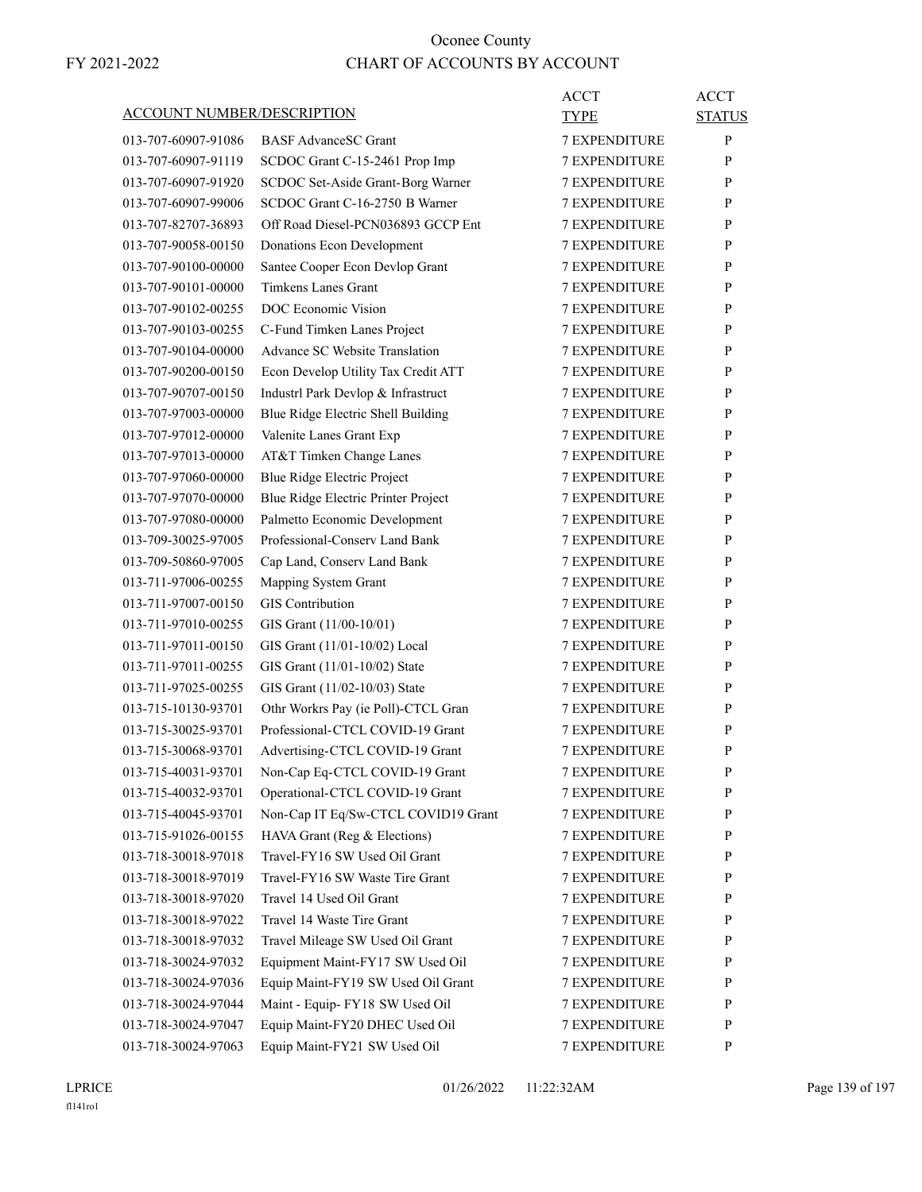|                     | ACCOUNT NUMBER/DESCRIPTION            | ACCT<br>TYPE         | <b>ACCT</b><br><b>STATUS</b> |
|---------------------|---------------------------------------|----------------------|------------------------------|
| 013-707-60907-91086 | <b>BASF AdvanceSC Grant</b>           | <b>7 EXPENDITURE</b> | P                            |
| 013-707-60907-91119 | SCDOC Grant C-15-2461 Prop Imp        | <b>7 EXPENDITURE</b> | P                            |
| 013-707-60907-91920 | SCDOC Set-Aside Grant-Borg Warner     | <b>7 EXPENDITURE</b> | P                            |
| 013-707-60907-99006 | SCDOC Grant C-16-2750 B Warner        | <b>7 EXPENDITURE</b> | P                            |
| 013-707-82707-36893 | Off Road Diesel-PCN036893 GCCP Ent    | <b>7 EXPENDITURE</b> | P                            |
| 013-707-90058-00150 | Donations Econ Development            | <b>7 EXPENDITURE</b> | P                            |
| 013-707-90100-00000 | Santee Cooper Econ Devlop Grant       | <b>7 EXPENDITURE</b> | P                            |
| 013-707-90101-00000 | <b>Timkens Lanes Grant</b>            | 7 EXPENDITURE        | P                            |
| 013-707-90102-00255 | DOC Economic Vision                   | <b>7 EXPENDITURE</b> | P                            |
| 013-707-90103-00255 | C-Fund Timken Lanes Project           | <b>7 EXPENDITURE</b> | P                            |
| 013-707-90104-00000 | <b>Advance SC Website Translation</b> | <b>7 EXPENDITURE</b> | P                            |
| 013-707-90200-00150 | Econ Develop Utility Tax Credit ATT   | <b>7 EXPENDITURE</b> | P                            |
| 013-707-90707-00150 | Industrl Park Devlop & Infrastruct    | <b>7 EXPENDITURE</b> | P                            |
| 013-707-97003-00000 | Blue Ridge Electric Shell Building    | 7 EXPENDITURE        | P                            |
| 013-707-97012-00000 | Valenite Lanes Grant Exp              | <b>7 EXPENDITURE</b> | P                            |
| 013-707-97013-00000 | AT&T Timken Change Lanes              | <b>7 EXPENDITURE</b> | P                            |
| 013-707-97060-00000 | Blue Ridge Electric Project           | <b>7 EXPENDITURE</b> | P                            |
| 013-707-97070-00000 | Blue Ridge Electric Printer Project   | <b>7 EXPENDITURE</b> | P                            |
| 013-707-97080-00000 | Palmetto Economic Development         | <b>7 EXPENDITURE</b> | P                            |
| 013-709-30025-97005 | Professional-Conserv Land Bank        | 7 EXPENDITURE        | P                            |
| 013-709-50860-97005 | Cap Land, Conserv Land Bank           | <b>7 EXPENDITURE</b> | P                            |
| 013-711-97006-00255 | Mapping System Grant                  | <b>7 EXPENDITURE</b> | P                            |
| 013-711-97007-00150 | <b>GIS</b> Contribution               | <b>7 EXPENDITURE</b> | P                            |
| 013-711-97010-00255 | GIS Grant (11/00-10/01)               | <b>7 EXPENDITURE</b> | P                            |
| 013-711-97011-00150 | GIS Grant (11/01-10/02) Local         | <b>7 EXPENDITURE</b> | P                            |
| 013-711-97011-00255 | GIS Grant (11/01-10/02) State         | 7 EXPENDITURE        | P                            |
| 013-711-97025-00255 | GIS Grant (11/02-10/03) State         | <b>7 EXPENDITURE</b> | P                            |
| 013-715-10130-93701 | Othr Workrs Pay (ie Poll)-CTCL Gran   | <b>7 EXPENDITURE</b> | P                            |
| 013-715-30025-93701 | Professional-CTCL COVID-19 Grant      | <b>7 EXPENDITURE</b> | P                            |
| 013-715-30068-93701 | Advertising-CTCL COVID-19 Grant       | <b>7 EXPENDITURE</b> | P                            |
| 013-715-40031-93701 | Non-Cap Eq-CTCL COVID-19 Grant        | <b>7 EXPENDITURE</b> | $\mathbf{P}$                 |
| 013-715-40032-93701 | Operational-CTCL COVID-19 Grant       | <b>7 EXPENDITURE</b> | P                            |
| 013-715-40045-93701 | Non-Cap IT Eq/Sw-CTCL COVID19 Grant   | <b>7 EXPENDITURE</b> | $\mathbf{P}$                 |
| 013-715-91026-00155 | HAVA Grant (Reg & Elections)          | 7 EXPENDITURE        | P                            |
| 013-718-30018-97018 | Travel-FY16 SW Used Oil Grant         | 7 EXPENDITURE        | P                            |
| 013-718-30018-97019 | Travel-FY16 SW Waste Tire Grant       | 7 EXPENDITURE        | P                            |
| 013-718-30018-97020 | Travel 14 Used Oil Grant              | <b>7 EXPENDITURE</b> | P                            |
| 013-718-30018-97022 | Travel 14 Waste Tire Grant            | <b>7 EXPENDITURE</b> | P                            |
| 013-718-30018-97032 | Travel Mileage SW Used Oil Grant      | <b>7 EXPENDITURE</b> | $\mathbf{P}$                 |
| 013-718-30024-97032 | Equipment Maint-FY17 SW Used Oil      | <b>7 EXPENDITURE</b> | P                            |
| 013-718-30024-97036 | Equip Maint-FY19 SW Used Oil Grant    | 7 EXPENDITURE        | P                            |
| 013-718-30024-97044 | Maint - Equip- FY18 SW Used Oil       | 7 EXPENDITURE        | P                            |
| 013-718-30024-97047 | Equip Maint-FY20 DHEC Used Oil        | <b>7 EXPENDITURE</b> | P                            |
| 013-718-30024-97063 | Equip Maint-FY21 SW Used Oil          | 7 EXPENDITURE        | P                            |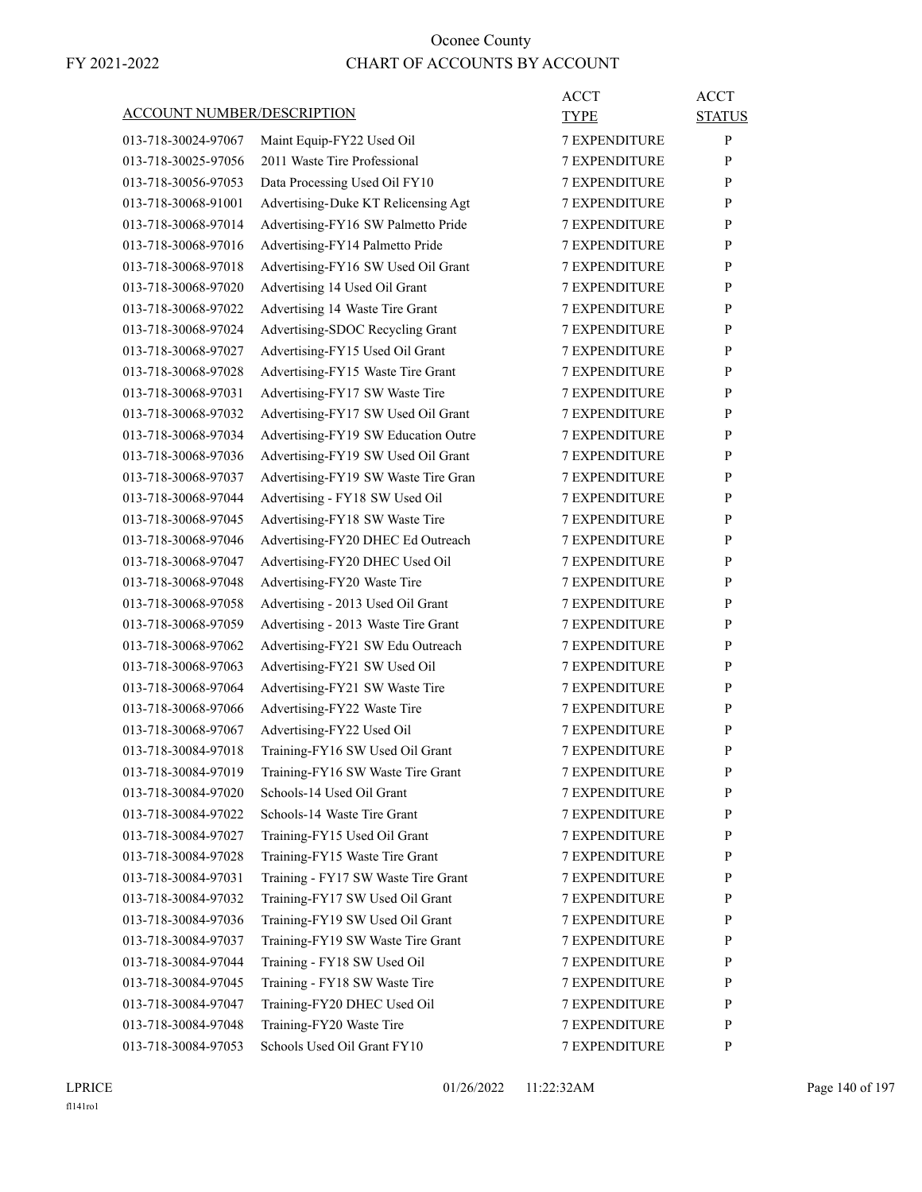|                                   |                                     | <b>ACCT</b>          | <b>ACCT</b>   |
|-----------------------------------|-------------------------------------|----------------------|---------------|
| <b>ACCOUNT NUMBER/DESCRIPTION</b> |                                     | TYPE                 | <b>STATUS</b> |
| 013-718-30024-97067               | Maint Equip-FY22 Used Oil           | <b>7 EXPENDITURE</b> | P             |
| 013-718-30025-97056               | 2011 Waste Tire Professional        | <b>7 EXPENDITURE</b> | P             |
| 013-718-30056-97053               | Data Processing Used Oil FY10       | <b>7 EXPENDITURE</b> | P             |
| 013-718-30068-91001               | Advertising-Duke KT Relicensing Agt | 7 EXPENDITURE        | P             |
| 013-718-30068-97014               | Advertising-FY16 SW Palmetto Pride  | <b>7 EXPENDITURE</b> | P             |
| 013-718-30068-97016               | Advertising-FY14 Palmetto Pride     | <b>7 EXPENDITURE</b> | P             |
| 013-718-30068-97018               | Advertising-FY16 SW Used Oil Grant  | <b>7 EXPENDITURE</b> | P             |
| 013-718-30068-97020               | Advertising 14 Used Oil Grant       | <b>7 EXPENDITURE</b> | P             |
| 013-718-30068-97022               | Advertising 14 Waste Tire Grant     | <b>7 EXPENDITURE</b> | P             |
| 013-718-30068-97024               | Advertising-SDOC Recycling Grant    | 7 EXPENDITURE        | P             |
| 013-718-30068-97027               | Advertising-FY15 Used Oil Grant     | <b>7 EXPENDITURE</b> | P             |
| 013-718-30068-97028               | Advertising-FY15 Waste Tire Grant   | <b>7 EXPENDITURE</b> | P             |
| 013-718-30068-97031               | Advertising-FY17 SW Waste Tire      | <b>7 EXPENDITURE</b> | P             |
| 013-718-30068-97032               | Advertising-FY17 SW Used Oil Grant  | <b>7 EXPENDITURE</b> | P             |
| 013-718-30068-97034               | Advertising-FY19 SW Education Outre | <b>7 EXPENDITURE</b> | P             |
| 013-718-30068-97036               | Advertising-FY19 SW Used Oil Grant  | 7 EXPENDITURE        | P             |
| 013-718-30068-97037               | Advertising-FY19 SW Waste Tire Gran | <b>7 EXPENDITURE</b> | P             |
| 013-718-30068-97044               | Advertising - FY18 SW Used Oil      | <b>7 EXPENDITURE</b> | P             |
| 013-718-30068-97045               | Advertising-FY18 SW Waste Tire      | <b>7 EXPENDITURE</b> | P             |
| 013-718-30068-97046               | Advertising-FY20 DHEC Ed Outreach   | <b>7 EXPENDITURE</b> | P             |
| 013-718-30068-97047               | Advertising-FY20 DHEC Used Oil      | <b>7 EXPENDITURE</b> | P             |
| 013-718-30068-97048               | Advertising-FY20 Waste Tire         | 7 EXPENDITURE        | P             |
| 013-718-30068-97058               | Advertising - 2013 Used Oil Grant   | <b>7 EXPENDITURE</b> | P             |
| 013-718-30068-97059               | Advertising - 2013 Waste Tire Grant | <b>7 EXPENDITURE</b> | P             |
| 013-718-30068-97062               | Advertising-FY21 SW Edu Outreach    | <b>7 EXPENDITURE</b> | P             |
| 013-718-30068-97063               | Advertising-FY21 SW Used Oil        | <b>7 EXPENDITURE</b> | P             |
| 013-718-30068-97064               | Advertising-FY21 SW Waste Tire      | <b>7 EXPENDITURE</b> | P             |
| 013-718-30068-97066               | Advertising-FY22 Waste Tire         | 7 EXPENDITURE        | P             |
| 013-718-30068-97067               | Advertising-FY22 Used Oil           | <b>7 EXPENDITURE</b> | P             |
| 013-718-30084-97018               | Training-FY16 SW Used Oil Grant     | <b>7 EXPENDITURE</b> | P             |
| 013-718-30084-97019               | Training-FY16 SW Waste Tire Grant   | 7 EXPENDITURE        | ${\bf P}$     |
| 013-718-30084-97020               | Schools-14 Used Oil Grant           | <b>7 EXPENDITURE</b> | P             |
| 013-718-30084-97022               | Schools-14 Waste Tire Grant         | <b>7 EXPENDITURE</b> | P             |
| 013-718-30084-97027               | Training-FY15 Used Oil Grant        | <b>7 EXPENDITURE</b> | P             |
| 013-718-30084-97028               | Training-FY15 Waste Tire Grant      | <b>7 EXPENDITURE</b> | P             |
| 013-718-30084-97031               | Training - FY17 SW Waste Tire Grant | 7 EXPENDITURE        | P             |
| 013-718-30084-97032               | Training-FY17 SW Used Oil Grant     | 7 EXPENDITURE        | P             |
| 013-718-30084-97036               | Training-FY19 SW Used Oil Grant     | <b>7 EXPENDITURE</b> | P             |
| 013-718-30084-97037               | Training-FY19 SW Waste Tire Grant   | <b>7 EXPENDITURE</b> | P             |
| 013-718-30084-97044               | Training - FY18 SW Used Oil         | <b>7 EXPENDITURE</b> | P             |
| 013-718-30084-97045               | Training - FY18 SW Waste Tire       | <b>7 EXPENDITURE</b> | P             |
| 013-718-30084-97047               | Training-FY20 DHEC Used Oil         | <b>7 EXPENDITURE</b> | P             |
| 013-718-30084-97048               | Training-FY20 Waste Tire            | 7 EXPENDITURE        | P             |
| 013-718-30084-97053               | Schools Used Oil Grant FY10         | 7 EXPENDITURE        | $\mathbf{P}$  |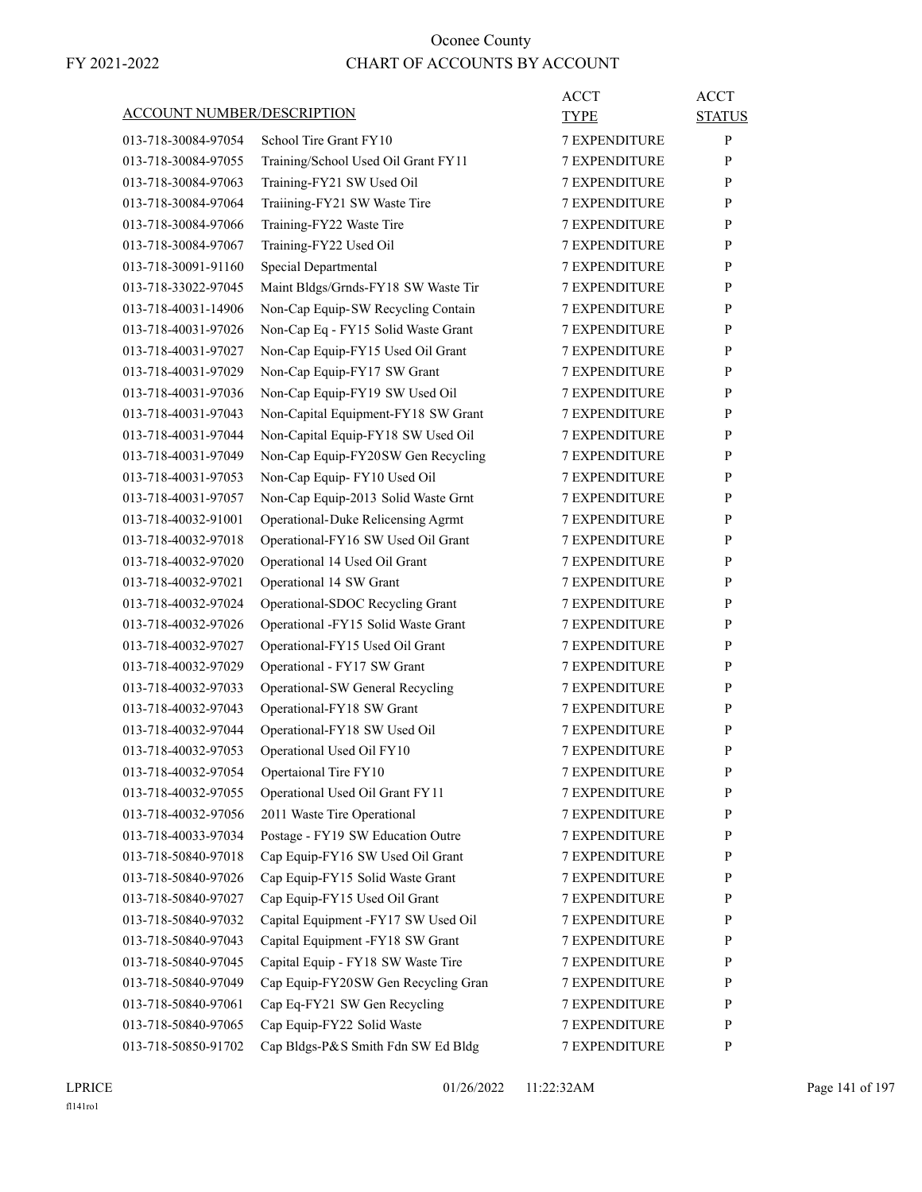| <b>ACCOUNT NUMBER/DESCRIPTION</b> |                                     | <b>ACCT</b><br>TYPE  | <b>ACCT</b><br><b>STATUS</b> |
|-----------------------------------|-------------------------------------|----------------------|------------------------------|
| 013-718-30084-97054               | School Tire Grant FY10              | <b>7 EXPENDITURE</b> | P                            |
| 013-718-30084-97055               | Training/School Used Oil Grant FY11 | <b>7 EXPENDITURE</b> | P                            |
| 013-718-30084-97063               | Training-FY21 SW Used Oil           | <b>7 EXPENDITURE</b> | P                            |
| 013-718-30084-97064               | Traiining-FY21 SW Waste Tire        | <b>7 EXPENDITURE</b> | P                            |
| 013-718-30084-97066               | Training-FY22 Waste Tire            | <b>7 EXPENDITURE</b> | P                            |
| 013-718-30084-97067               | Training-FY22 Used Oil              | <b>7 EXPENDITURE</b> | P                            |
| 013-718-30091-91160               | Special Departmental                | <b>7 EXPENDITURE</b> | P                            |
| 013-718-33022-97045               | Maint Bldgs/Grnds-FY18 SW Waste Tir | <b>7 EXPENDITURE</b> | P                            |
| 013-718-40031-14906               | Non-Cap Equip-SW Recycling Contain  | <b>7 EXPENDITURE</b> | P                            |
| 013-718-40031-97026               | Non-Cap Eq - FY15 Solid Waste Grant | <b>7 EXPENDITURE</b> | P                            |
| 013-718-40031-97027               | Non-Cap Equip-FY15 Used Oil Grant   | <b>7 EXPENDITURE</b> | P                            |
| 013-718-40031-97029               | Non-Cap Equip-FY17 SW Grant         | <b>7 EXPENDITURE</b> | P                            |
| 013-718-40031-97036               | Non-Cap Equip-FY19 SW Used Oil      | <b>7 EXPENDITURE</b> | P                            |
| 013-718-40031-97043               | Non-Capital Equipment-FY18 SW Grant | 7 EXPENDITURE        | P                            |
| 013-718-40031-97044               | Non-Capital Equip-FY18 SW Used Oil  | <b>7 EXPENDITURE</b> | P                            |
| 013-718-40031-97049               | Non-Cap Equip-FY20SW Gen Recycling  | <b>7 EXPENDITURE</b> | P                            |
| 013-718-40031-97053               | Non-Cap Equip- FY10 Used Oil        | <b>7 EXPENDITURE</b> | P                            |
| 013-718-40031-97057               | Non-Cap Equip-2013 Solid Waste Grnt | <b>7 EXPENDITURE</b> | P                            |
| 013-718-40032-91001               | Operational-Duke Relicensing Agrmt  | <b>7 EXPENDITURE</b> | P                            |
| 013-718-40032-97018               | Operational-FY16 SW Used Oil Grant  | 7 EXPENDITURE        | P                            |
| 013-718-40032-97020               | Operational 14 Used Oil Grant       | <b>7 EXPENDITURE</b> | P                            |
| 013-718-40032-97021               | Operational 14 SW Grant             | <b>7 EXPENDITURE</b> | P                            |
| 013-718-40032-97024               | Operational-SDOC Recycling Grant    | <b>7 EXPENDITURE</b> | P                            |
| 013-718-40032-97026               | Operational -FY15 Solid Waste Grant | <b>7 EXPENDITURE</b> | P                            |
| 013-718-40032-97027               | Operational-FY15 Used Oil Grant     | <b>7 EXPENDITURE</b> | P                            |
| 013-718-40032-97029               | Operational - FY17 SW Grant         | 7 EXPENDITURE        | P                            |
| 013-718-40032-97033               | Operational-SW General Recycling    | <b>7 EXPENDITURE</b> | P                            |
| 013-718-40032-97043               | Operational-FY18 SW Grant           | <b>7 EXPENDITURE</b> | P                            |
| 013-718-40032-97044               | Operational-FY18 SW Used Oil        | <b>7 EXPENDITURE</b> | P                            |
| 013-718-40032-97053               | Operational Used Oil FY10           | <b>7 EXPENDITURE</b> | P                            |
| 013-718-40032-97054               | Opertaional Tire FY10               | <b>7 EXPENDITURE</b> | $\mathbf{P}$                 |
| 013-718-40032-97055               | Operational Used Oil Grant FY11     | 7 EXPENDITURE        | P                            |
| 013-718-40032-97056               | 2011 Waste Tire Operational         | <b>7 EXPENDITURE</b> | P                            |
| 013-718-40033-97034               | Postage - FY19 SW Education Outre   | <b>7 EXPENDITURE</b> | P                            |
| 013-718-50840-97018               | Cap Equip-FY16 SW Used Oil Grant    | 7 EXPENDITURE        | P                            |
| 013-718-50840-97026               | Cap Equip-FY15 Solid Waste Grant    | 7 EXPENDITURE        | P                            |
| 013-718-50840-97027               | Cap Equip-FY15 Used Oil Grant       | <b>7 EXPENDITURE</b> | P                            |
| 013-718-50840-97032               | Capital Equipment -FY17 SW Used Oil | 7 EXPENDITURE        | P                            |
| 013-718-50840-97043               | Capital Equipment -FY18 SW Grant    | <b>7 EXPENDITURE</b> | P                            |
| 013-718-50840-97045               | Capital Equip - FY18 SW Waste Tire  | <b>7 EXPENDITURE</b> | P                            |
| 013-718-50840-97049               | Cap Equip-FY20SW Gen Recycling Gran | 7 EXPENDITURE        | P                            |
| 013-718-50840-97061               | Cap Eq-FY21 SW Gen Recycling        | 7 EXPENDITURE        | P                            |
| 013-718-50840-97065               | Cap Equip-FY22 Solid Waste          | <b>7 EXPENDITURE</b> | P                            |
| 013-718-50850-91702               | Cap Bldgs-P&S Smith Fdn SW Ed Bldg  | 7 EXPENDITURE        | P                            |
|                                   |                                     |                      |                              |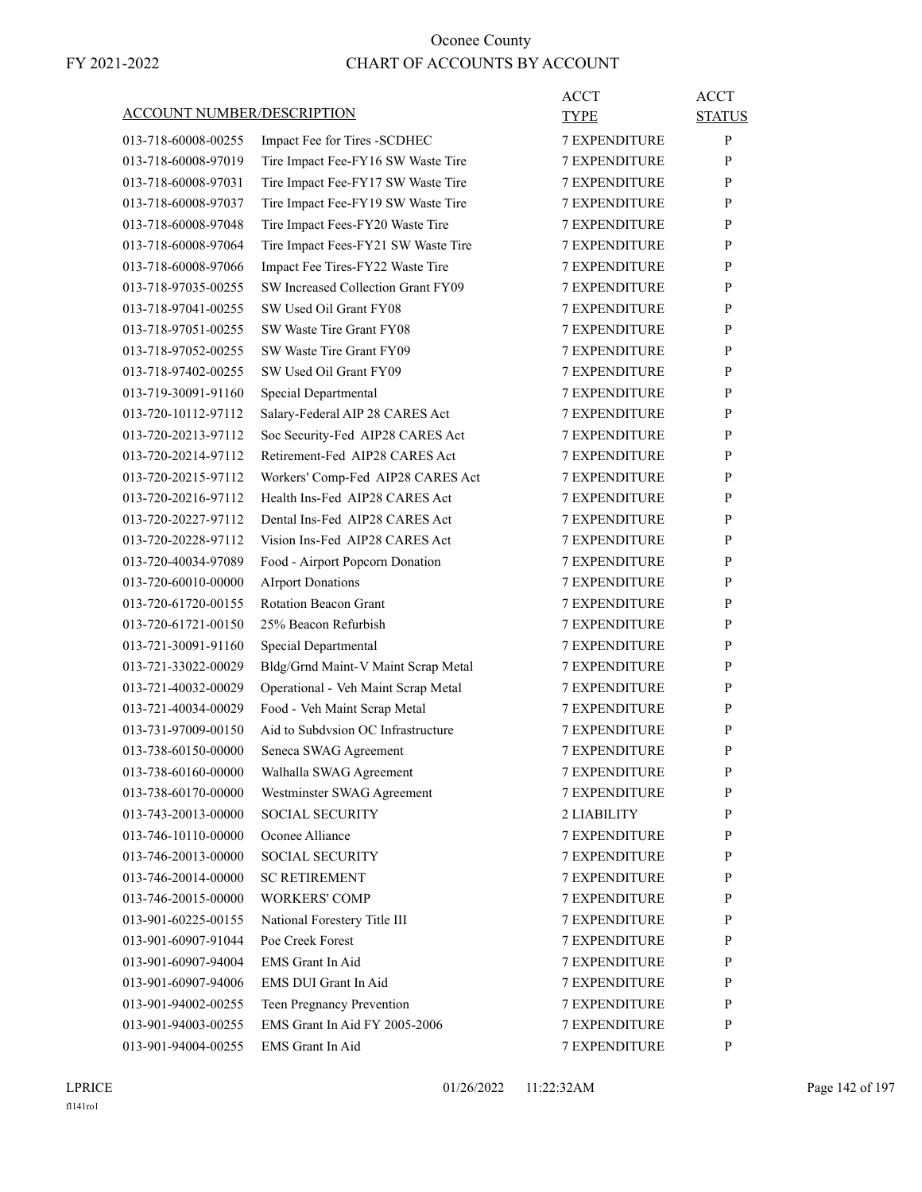| <b>ACCOUNT NUMBER/DESCRIPTION</b> |                                     | ACCT<br>TYPE         | <b>ACCT</b><br><b>STATUS</b> |
|-----------------------------------|-------------------------------------|----------------------|------------------------------|
| 013-718-60008-00255               | Impact Fee for Tires - SCDHEC       | <b>7 EXPENDITURE</b> | P                            |
| 013-718-60008-97019               | Tire Impact Fee-FY16 SW Waste Tire  | <b>7 EXPENDITURE</b> | P                            |
| 013-718-60008-97031               | Tire Impact Fee-FY17 SW Waste Tire  | <b>7 EXPENDITURE</b> | P                            |
| 013-718-60008-97037               | Tire Impact Fee-FY19 SW Waste Tire  | <b>7 EXPENDITURE</b> | P                            |
| 013-718-60008-97048               | Tire Impact Fees-FY20 Waste Tire    | <b>7 EXPENDITURE</b> | P                            |
| 013-718-60008-97064               | Tire Impact Fees-FY21 SW Waste Tire | <b>7 EXPENDITURE</b> | P                            |
| 013-718-60008-97066               | Impact Fee Tires-FY22 Waste Tire    | <b>7 EXPENDITURE</b> | P                            |
| 013-718-97035-00255               | SW Increased Collection Grant FY09  | <b>7 EXPENDITURE</b> | P                            |
| 013-718-97041-00255               | SW Used Oil Grant FY08              | <b>7 EXPENDITURE</b> | P                            |
| 013-718-97051-00255               | SW Waste Tire Grant FY08            | <b>7 EXPENDITURE</b> | P                            |
| 013-718-97052-00255               | SW Waste Tire Grant FY09            | <b>7 EXPENDITURE</b> | P                            |
| 013-718-97402-00255               | SW Used Oil Grant FY09              | <b>7 EXPENDITURE</b> | P                            |
| 013-719-30091-91160               | Special Departmental                | <b>7 EXPENDITURE</b> | P                            |
| 013-720-10112-97112               | Salary-Federal AIP 28 CARES Act     | <b>7 EXPENDITURE</b> | P                            |
| 013-720-20213-97112               | Soc Security-Fed AIP28 CARES Act    | <b>7 EXPENDITURE</b> | P                            |
| 013-720-20214-97112               | Retirement-Fed AIP28 CARES Act      | <b>7 EXPENDITURE</b> | P                            |
| 013-720-20215-97112               | Workers' Comp-Fed AIP28 CARES Act   | <b>7 EXPENDITURE</b> | P                            |
| 013-720-20216-97112               | Health Ins-Fed AIP28 CARES Act      | <b>7 EXPENDITURE</b> | P                            |
| 013-720-20227-97112               | Dental Ins-Fed AIP28 CARES Act      | <b>7 EXPENDITURE</b> | P                            |
| 013-720-20228-97112               | Vision Ins-Fed AIP28 CARES Act      | <b>7 EXPENDITURE</b> | P                            |
| 013-720-40034-97089               | Food - Airport Popcorn Donation     | <b>7 EXPENDITURE</b> | P                            |
| 013-720-60010-00000               | <b>AIrport Donations</b>            | <b>7 EXPENDITURE</b> | P                            |
| 013-720-61720-00155               | <b>Rotation Beacon Grant</b>        | <b>7 EXPENDITURE</b> | P                            |
| 013-720-61721-00150               | 25% Beacon Refurbish                | <b>7 EXPENDITURE</b> | P                            |
| 013-721-30091-91160               | Special Departmental                | <b>7 EXPENDITURE</b> | P                            |
| 013-721-33022-00029               | Bldg/Grnd Maint-V Maint Scrap Metal | <b>7 EXPENDITURE</b> | P                            |
| 013-721-40032-00029               | Operational - Veh Maint Scrap Metal | <b>7 EXPENDITURE</b> | P                            |
| 013-721-40034-00029               | Food - Veh Maint Scrap Metal        | <b>7 EXPENDITURE</b> | P                            |
| 013-731-97009-00150               | Aid to Subdysion OC Infrastructure  | <b>7 EXPENDITURE</b> | P                            |
| 013-738-60150-00000               | Seneca SWAG Agreement               | <b>7 EXPENDITURE</b> | P                            |
| 013-738-60160-00000               | Walhalla SWAG Agreement             | <b>7 EXPENDITURE</b> | P                            |
| 013-738-60170-00000               | Westminster SWAG Agreement          | <b>7 EXPENDITURE</b> | P                            |
| 013-743-20013-00000               | <b>SOCIAL SECURITY</b>              | 2 LIABILITY          | $\mathbf{P}$                 |
| 013-746-10110-00000               | Oconee Alliance                     | <b>7 EXPENDITURE</b> | P                            |
| 013-746-20013-00000               | <b>SOCIAL SECURITY</b>              | 7 EXPENDITURE        | P                            |
| 013-746-20014-00000               | <b>SC RETIREMENT</b>                | <b>7 EXPENDITURE</b> | P                            |
| 013-746-20015-00000               | <b>WORKERS' COMP</b>                | <b>7 EXPENDITURE</b> | P                            |
| 013-901-60225-00155               | National Forestery Title III        | <b>7 EXPENDITURE</b> | P                            |
| 013-901-60907-91044               | Poe Creek Forest                    | 7 EXPENDITURE        | P                            |
| 013-901-60907-94004               | EMS Grant In Aid                    | 7 EXPENDITURE        | P                            |
| 013-901-60907-94006               | EMS DUI Grant In Aid                | 7 EXPENDITURE        | P                            |
| 013-901-94002-00255               | Teen Pregnancy Prevention           | <b>7 EXPENDITURE</b> | $\mathbf{P}$                 |
| 013-901-94003-00255               | EMS Grant In Aid FY 2005-2006       | 7 EXPENDITURE        | P                            |
| 013-901-94004-00255               | EMS Grant In Aid                    | 7 EXPENDITURE        | P                            |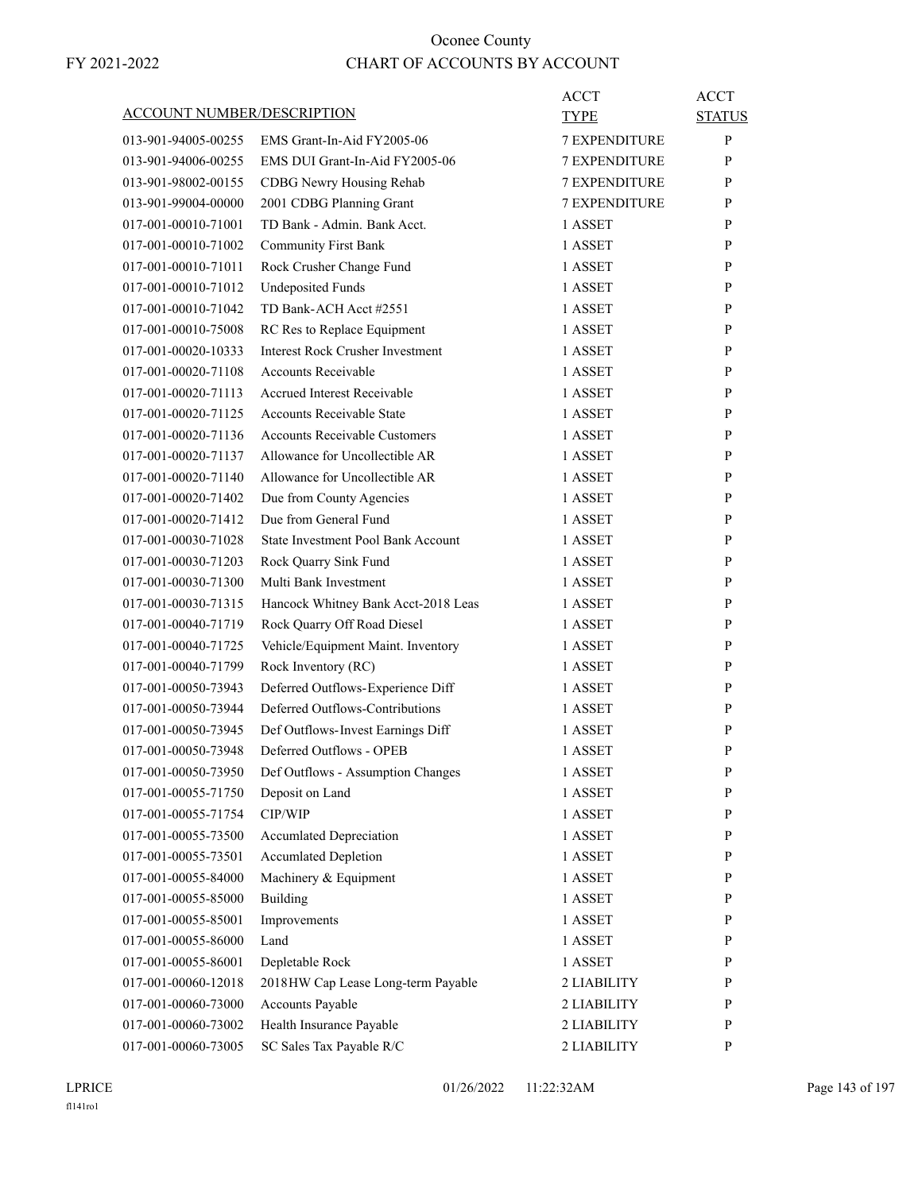| <b>ACCOUNT NUMBER/DESCRIPTION</b> |                                         | ACCT<br>TYPE         | <b>ACCT</b><br><b>STATUS</b> |
|-----------------------------------|-----------------------------------------|----------------------|------------------------------|
| 013-901-94005-00255               | EMS Grant-In-Aid FY2005-06              | <b>7 EXPENDITURE</b> | P                            |
| 013-901-94006-00255               | EMS DUI Grant-In-Aid FY2005-06          | 7 EXPENDITURE        | P                            |
| 013-901-98002-00155               | CDBG Newry Housing Rehab                | <b>7 EXPENDITURE</b> | P                            |
| 013-901-99004-00000               | 2001 CDBG Planning Grant                | <b>7 EXPENDITURE</b> | P                            |
| 017-001-00010-71001               | TD Bank - Admin. Bank Acct.             | 1 ASSET              | P                            |
| 017-001-00010-71002               | <b>Community First Bank</b>             | 1 ASSET              | P                            |
| 017-001-00010-71011               | Rock Crusher Change Fund                | 1 ASSET              | P                            |
| 017-001-00010-71012               | <b>Undeposited Funds</b>                | 1 ASSET              | P                            |
| 017-001-00010-71042               | TD Bank-ACH Acct #2551                  | 1 ASSET              | P                            |
| 017-001-00010-75008               | RC Res to Replace Equipment             | 1 ASSET              | P                            |
| 017-001-00020-10333               | <b>Interest Rock Crusher Investment</b> | 1 ASSET              | P                            |
| 017-001-00020-71108               | <b>Accounts Receivable</b>              | 1 ASSET              | P                            |
| 017-001-00020-71113               | <b>Accrued Interest Receivable</b>      | 1 ASSET              | $\mathbf{P}$                 |
| 017-001-00020-71125               | <b>Accounts Receivable State</b>        | 1 ASSET              | P                            |
| 017-001-00020-71136               | <b>Accounts Receivable Customers</b>    | 1 ASSET              | P                            |
| 017-001-00020-71137               | Allowance for Uncollectible AR          | 1 ASSET              | P                            |
| 017-001-00020-71140               | Allowance for Uncollectible AR          | 1 ASSET              | P                            |
| 017-001-00020-71402               | Due from County Agencies                | 1 ASSET              | P                            |
| 017-001-00020-71412               | Due from General Fund                   | 1 ASSET              | $\mathbf{P}$                 |
| 017-001-00030-71028               | State Investment Pool Bank Account      | 1 ASSET              | P                            |
| 017-001-00030-71203               | Rock Quarry Sink Fund                   | 1 ASSET              | P                            |
| 017-001-00030-71300               | Multi Bank Investment                   | 1 ASSET              | P                            |
| 017-001-00030-71315               | Hancock Whitney Bank Acct-2018 Leas     | 1 ASSET              | P                            |
| 017-001-00040-71719               | Rock Quarry Off Road Diesel             | 1 ASSET              | P                            |
| 017-001-00040-71725               | Vehicle/Equipment Maint. Inventory      | 1 ASSET              | $\mathbf{P}$                 |
| 017-001-00040-71799               | Rock Inventory (RC)                     | 1 ASSET              | P                            |
| 017-001-00050-73943               | Deferred Outflows-Experience Diff       | 1 ASSET              | P                            |
| 017-001-00050-73944               | Deferred Outflows-Contributions         | 1 ASSET              | P                            |
| 017-001-00050-73945               | Def Outflows-Invest Earnings Diff       | 1 ASSET              | P                            |
| 017-001-00050-73948               | Deferred Outflows - OPEB                | 1 ASSET              | P                            |
| 017-001-00050-73950               | Def Outflows - Assumption Changes       | 1 ASSET              | P                            |
| 017-001-00055-71750               | Deposit on Land                         | 1 ASSET              | P                            |
| 017-001-00055-71754               | CIP/WIP                                 | 1 ASSET              | P                            |
| 017-001-00055-73500               | <b>Accumlated Depreciation</b>          | 1 ASSET              | P                            |
| 017-001-00055-73501               | <b>Accumlated Depletion</b>             | 1 ASSET              | $\mathbf{P}$                 |
| 017-001-00055-84000               | Machinery & Equipment                   | 1 ASSET              | P                            |
| 017-001-00055-85000               | Building                                | 1 ASSET              | P                            |
| 017-001-00055-85001               | Improvements                            | 1 ASSET              | P                            |
| 017-001-00055-86000               | Land                                    | 1 ASSET              | P                            |
| 017-001-00055-86001               | Depletable Rock                         | 1 ASSET              | P                            |
| 017-001-00060-12018               | 2018HW Cap Lease Long-term Payable      | 2 LIABILITY          | P                            |
| 017-001-00060-73000               | Accounts Payable                        | 2 LIABILITY          | P                            |
| 017-001-00060-73002               | Health Insurance Payable                | 2 LIABILITY          | P                            |
| 017-001-00060-73005               | SC Sales Tax Payable R/C                | 2 LIABILITY          | P                            |
|                                   |                                         |                      |                              |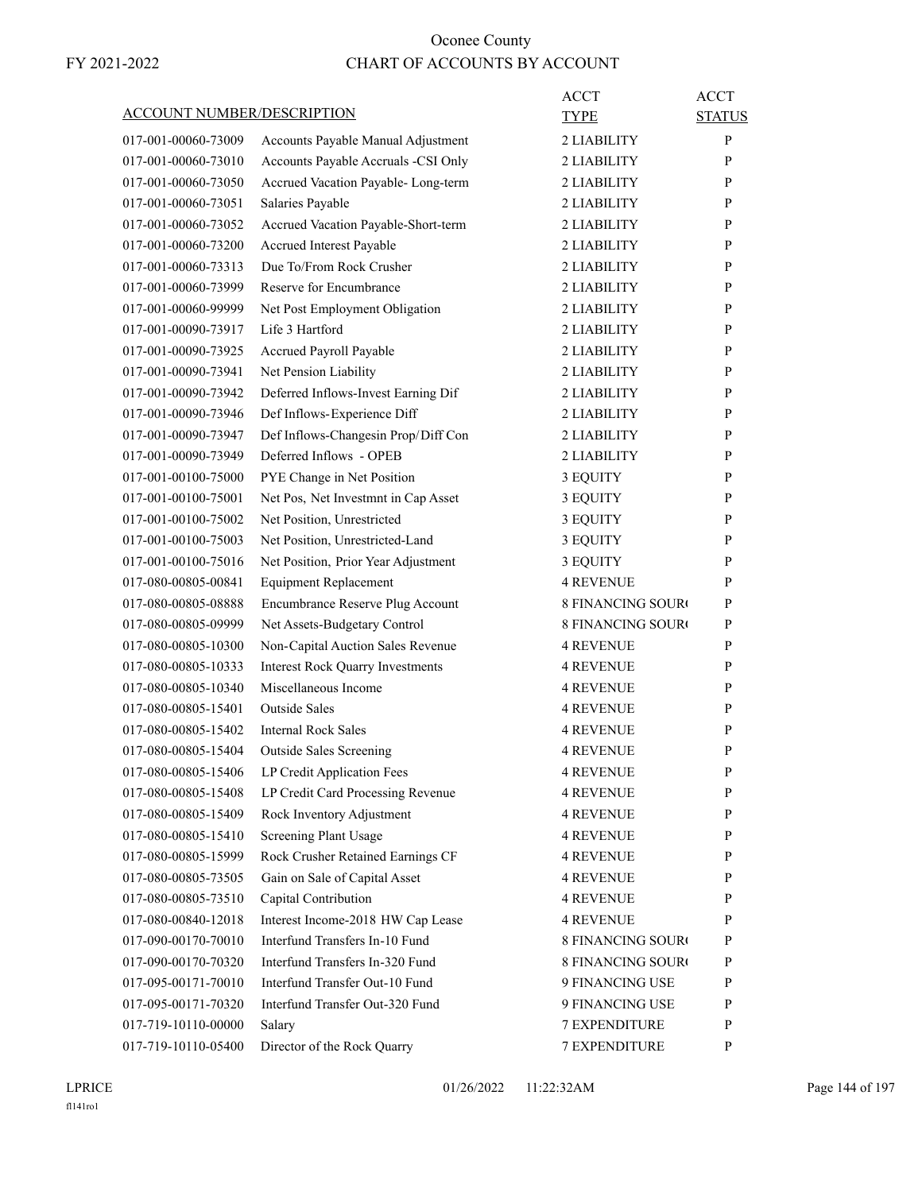| <b>ACCOUNT NUMBER/DESCRIPTION</b> |                                         | ACCT<br><b>TYPE</b>      | <b>ACCT</b><br><b>STATUS</b> |
|-----------------------------------|-----------------------------------------|--------------------------|------------------------------|
| 017-001-00060-73009               | Accounts Payable Manual Adjustment      | 2 LIABILITY              | P                            |
| 017-001-00060-73010               | Accounts Payable Accruals -CSI Only     | 2 LIABILITY              | P                            |
| 017-001-00060-73050               | Accrued Vacation Payable-Long-term      | 2 LIABILITY              | P                            |
| 017-001-00060-73051               | Salaries Payable                        | 2 LIABILITY              | P                            |
| 017-001-00060-73052               | Accrued Vacation Payable-Short-term     | 2 LIABILITY              | P                            |
| 017-001-00060-73200               | Accrued Interest Payable                | 2 LIABILITY              | P                            |
| 017-001-00060-73313               | Due To/From Rock Crusher                | 2 LIABILITY              | P                            |
| 017-001-00060-73999               | Reserve for Encumbrance                 | 2 LIABILITY              | P                            |
| 017-001-00060-99999               | Net Post Employment Obligation          | 2 LIABILITY              | P                            |
| 017-001-00090-73917               | Life 3 Hartford                         | 2 LIABILITY              | P                            |
| 017-001-00090-73925               | Accrued Payroll Payable                 | 2 LIABILITY              | P                            |
| 017-001-00090-73941               | Net Pension Liability                   | 2 LIABILITY              | P                            |
| 017-001-00090-73942               | Deferred Inflows-Invest Earning Dif     | 2 LIABILITY              | P                            |
| 017-001-00090-73946               | Def Inflows-Experience Diff             | 2 LIABILITY              | P                            |
| 017-001-00090-73947               | Def Inflows-Changesin Prop/Diff Con     | 2 LIABILITY              | P                            |
| 017-001-00090-73949               | Deferred Inflows - OPEB                 | 2 LIABILITY              | P                            |
| 017-001-00100-75000               | PYE Change in Net Position              | 3 EQUITY                 | P                            |
| 017-001-00100-75001               | Net Pos, Net Investmnt in Cap Asset     | 3 EQUITY                 | P                            |
| 017-001-00100-75002               | Net Position, Unrestricted              | 3 EQUITY                 | P                            |
| 017-001-00100-75003               | Net Position, Unrestricted-Land         | 3 EQUITY                 | P                            |
| 017-001-00100-75016               | Net Position, Prior Year Adjustment     | 3 EQUITY                 | P                            |
| 017-080-00805-00841               | <b>Equipment Replacement</b>            | <b>4 REVENUE</b>         | P                            |
|                                   |                                         |                          |                              |
| 017-080-00805-08888               | Encumbrance Reserve Plug Account        | <b>8 FINANCING SOURO</b> | P                            |
| 017-080-00805-09999               | Net Assets-Budgetary Control            | <b>8 FINANCING SOURO</b> | P                            |
| 017-080-00805-10300               | Non-Capital Auction Sales Revenue       | <b>4 REVENUE</b>         | P                            |
| 017-080-00805-10333               | <b>Interest Rock Quarry Investments</b> | <b>4 REVENUE</b>         | P                            |
| 017-080-00805-10340               | Miscellaneous Income                    | <b>4 REVENUE</b>         | P                            |
| 017-080-00805-15401               | <b>Outside Sales</b>                    | 4 REVENUE                | P                            |
| 017-080-00805-15402               | <b>Internal Rock Sales</b>              | 4 REVENUE                | P                            |
| 017-080-00805-15404               | <b>Outside Sales Screening</b>          | <b>4 REVENUE</b>         | P                            |
| 017-080-00805-15406               | LP Credit Application Fees              | <b>4 REVENUE</b>         | P                            |
| 017-080-00805-15408               | LP Credit Card Processing Revenue       | <b>4 REVENUE</b>         | P                            |
| 017-080-00805-15409               | Rock Inventory Adjustment               | 4 REVENUE                | P                            |
| 017-080-00805-15410               | Screening Plant Usage                   | 4 REVENUE                | P                            |
| 017-080-00805-15999               | Rock Crusher Retained Earnings CF       | <b>4 REVENUE</b>         | P                            |
| 017-080-00805-73505               | Gain on Sale of Capital Asset           | <b>4 REVENUE</b>         | P                            |
| 017-080-00805-73510               | Capital Contribution                    | 4 REVENUE                | P                            |
| 017-080-00840-12018               | Interest Income-2018 HW Cap Lease       | <b>4 REVENUE</b>         | P                            |
| 017-090-00170-70010               | Interfund Transfers In-10 Fund          | <b>8 FINANCING SOURO</b> | P                            |
| 017-090-00170-70320               | Interfund Transfers In-320 Fund         | 8 FINANCING SOURO        | P                            |
| 017-095-00171-70010               | Interfund Transfer Out-10 Fund          | 9 FINANCING USE          | P                            |
| 017-095-00171-70320               | Interfund Transfer Out-320 Fund         | 9 FINANCING USE          | P                            |
| 017-719-10110-00000               | Salary                                  | 7 EXPENDITURE            | P                            |
| 017-719-10110-05400               | Director of the Rock Quarry             | 7 EXPENDITURE            | P                            |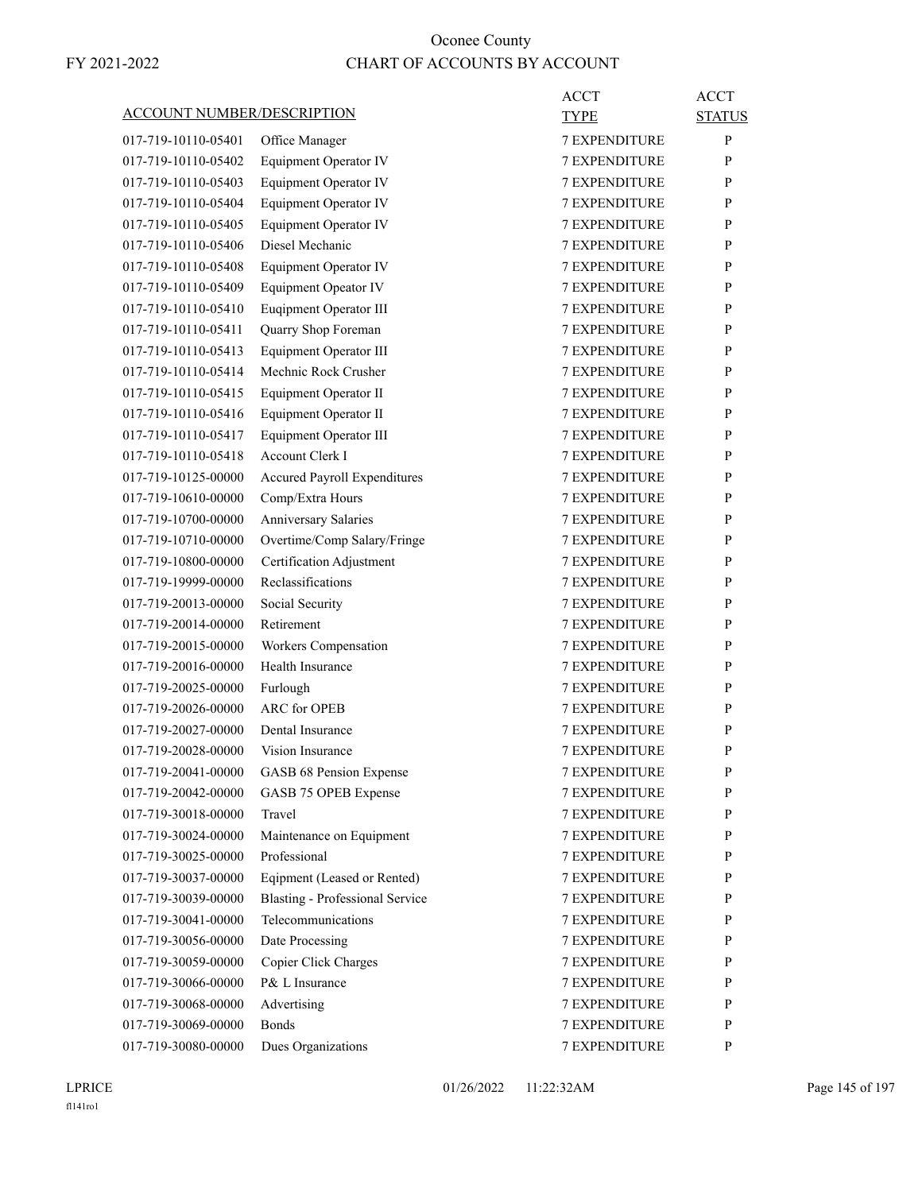|                                   |                                        | <b>ACCT</b>          | <b>ACCT</b>   |
|-----------------------------------|----------------------------------------|----------------------|---------------|
| <b>ACCOUNT NUMBER/DESCRIPTION</b> |                                        | TYPE                 | <b>STATUS</b> |
| 017-719-10110-05401               | Office Manager                         | <b>7 EXPENDITURE</b> | P             |
| 017-719-10110-05402               | <b>Equipment Operator IV</b>           | <b>7 EXPENDITURE</b> | P             |
| 017-719-10110-05403               | <b>Equipment Operator IV</b>           | <b>7 EXPENDITURE</b> | P             |
| 017-719-10110-05404               | <b>Equipment Operator IV</b>           | 7 EXPENDITURE        | P             |
| 017-719-10110-05405               | <b>Equipment Operator IV</b>           | <b>7 EXPENDITURE</b> | P             |
| 017-719-10110-05406               | Diesel Mechanic                        | <b>7 EXPENDITURE</b> | P             |
| 017-719-10110-05408               | Equipment Operator IV                  | <b>7 EXPENDITURE</b> | P             |
| 017-719-10110-05409               | Equipment Opeator IV                   | <b>7 EXPENDITURE</b> | P             |
| 017-719-10110-05410               | Euqipment Operator III                 | <b>7 EXPENDITURE</b> | P             |
| 017-719-10110-05411               | Quarry Shop Foreman                    | <b>7 EXPENDITURE</b> | P             |
| 017-719-10110-05413               | Equipment Operator III                 | <b>7 EXPENDITURE</b> | P             |
| 017-719-10110-05414               | Mechnic Rock Crusher                   | <b>7 EXPENDITURE</b> | P             |
| 017-719-10110-05415               | Equipment Operator II                  | <b>7 EXPENDITURE</b> | P             |
| 017-719-10110-05416               | Equipment Operator II                  | <b>7 EXPENDITURE</b> | P             |
| 017-719-10110-05417               | Equipment Operator III                 | <b>7 EXPENDITURE</b> | P             |
| 017-719-10110-05418               | Account Clerk I                        | 7 EXPENDITURE        | P             |
| 017-719-10125-00000               | <b>Accured Payroll Expenditures</b>    | <b>7 EXPENDITURE</b> | P             |
| 017-719-10610-00000               | Comp/Extra Hours                       | <b>7 EXPENDITURE</b> | P             |
| 017-719-10700-00000               | Anniversary Salaries                   | <b>7 EXPENDITURE</b> | P             |
| 017-719-10710-00000               | Overtime/Comp Salary/Fringe            | <b>7 EXPENDITURE</b> | P             |
| 017-719-10800-00000               | Certification Adjustment               | <b>7 EXPENDITURE</b> | P             |
| 017-719-19999-00000               | Reclassifications                      | 7 EXPENDITURE        | P             |
| 017-719-20013-00000               | Social Security                        | <b>7 EXPENDITURE</b> | P             |
| 017-719-20014-00000               | Retirement                             | <b>7 EXPENDITURE</b> | P             |
| 017-719-20015-00000               | Workers Compensation                   | <b>7 EXPENDITURE</b> | P             |
| 017-719-20016-00000               | Health Insurance                       | <b>7 EXPENDITURE</b> | P             |
| 017-719-20025-00000               | Furlough                               | <b>7 EXPENDITURE</b> | P             |
| 017-719-20026-00000               | <b>ARC</b> for OPEB                    | 7 EXPENDITURE        | P             |
| 017-719-20027-00000               | Dental Insurance                       | <b>7 EXPENDITURE</b> | P             |
| 017-719-20028-00000               | Vision Insurance                       | <b>7 EXPENDITURE</b> | P             |
| 017-719-20041-00000               | GASB 68 Pension Expense                | 7 EXPENDITURE        | ${\bf P}$     |
| 017-719-20042-00000               | GASB 75 OPEB Expense                   | 7 EXPENDITURE        | P             |
| 017-719-30018-00000               | Travel                                 | <b>7 EXPENDITURE</b> | P             |
| 017-719-30024-00000               | Maintenance on Equipment               | 7 EXPENDITURE        | P             |
| 017-719-30025-00000               | Professional                           | <b>7 EXPENDITURE</b> | P             |
| 017-719-30037-00000               | Eqipment (Leased or Rented)            | <b>7 EXPENDITURE</b> | P             |
| 017-719-30039-00000               | <b>Blasting - Professional Service</b> | 7 EXPENDITURE        | P             |
| 017-719-30041-00000               | Telecommunications                     | 7 EXPENDITURE        | P             |
| 017-719-30056-00000               | Date Processing                        | <b>7 EXPENDITURE</b> | P             |
| 017-719-30059-00000               | Copier Click Charges                   | 7 EXPENDITURE        | P             |
| 017-719-30066-00000               | P& L Insurance                         | <b>7 EXPENDITURE</b> | P             |
| 017-719-30068-00000               | Advertising                            | <b>7 EXPENDITURE</b> | P             |
| 017-719-30069-00000               | <b>Bonds</b>                           | 7 EXPENDITURE        | P             |
| 017-719-30080-00000               | Dues Organizations                     | 7 EXPENDITURE        | P             |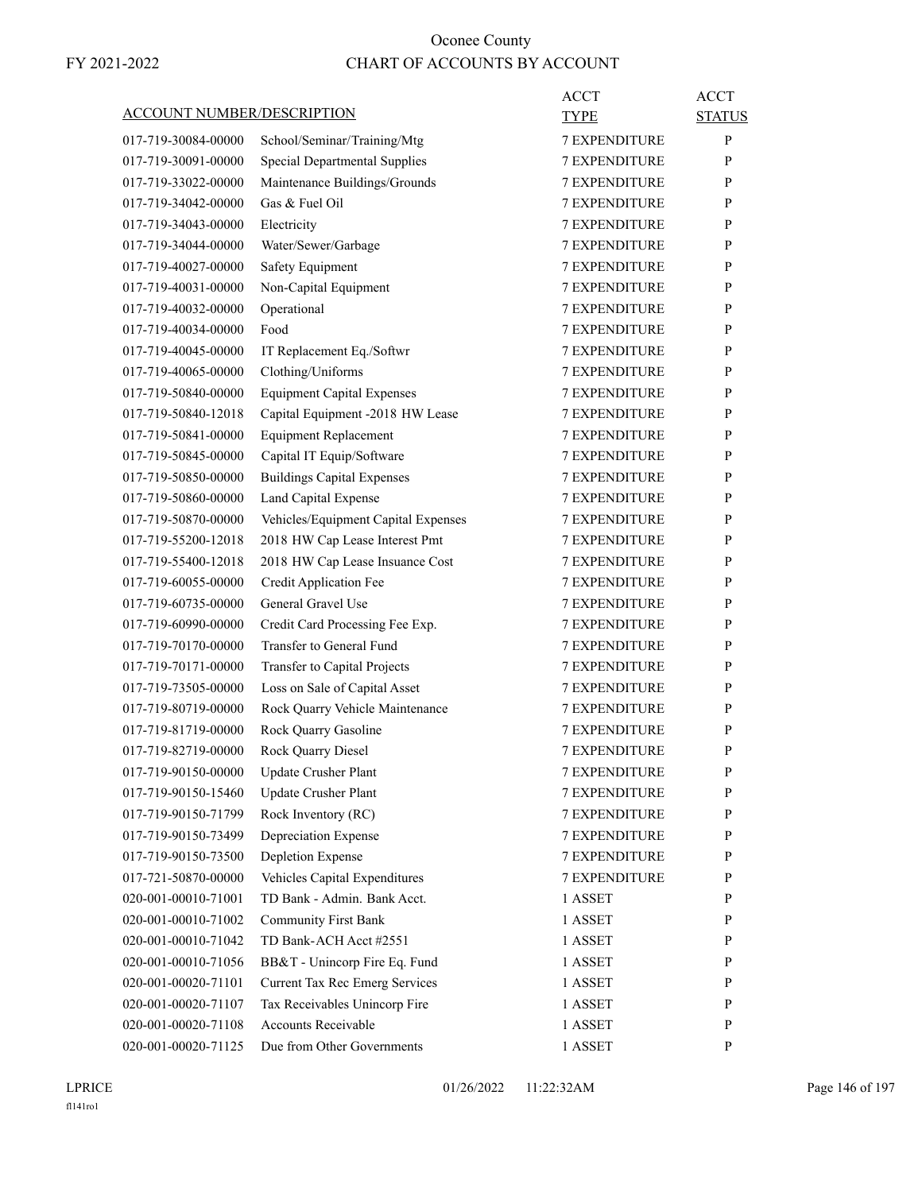| ACCOUNT NUMBER/DESCRIPTION |                                                               | ACCT<br>TYPE         | <b>ACCT</b><br><b>STATUS</b> |
|----------------------------|---------------------------------------------------------------|----------------------|------------------------------|
| 017-719-30084-00000        | School/Seminar/Training/Mtg                                   | <b>7 EXPENDITURE</b> | P                            |
| 017-719-30091-00000        | <b>Special Departmental Supplies</b>                          | <b>7 EXPENDITURE</b> | P                            |
| 017-719-33022-00000        | Maintenance Buildings/Grounds                                 | <b>7 EXPENDITURE</b> | P                            |
| 017-719-34042-00000        | Gas & Fuel Oil                                                | <b>7 EXPENDITURE</b> | P                            |
| 017-719-34043-00000        | Electricity                                                   | <b>7 EXPENDITURE</b> | P                            |
| 017-719-34044-00000        | Water/Sewer/Garbage                                           | <b>7 EXPENDITURE</b> | P                            |
| 017-719-40027-00000        | Safety Equipment                                              | <b>7 EXPENDITURE</b> | P                            |
| 017-719-40031-00000        | Non-Capital Equipment                                         | <b>7 EXPENDITURE</b> | P                            |
| 017-719-40032-00000        | Operational                                                   | <b>7 EXPENDITURE</b> | P                            |
| 017-719-40034-00000        | Food                                                          | <b>7 EXPENDITURE</b> | P                            |
| 017-719-40045-00000        | IT Replacement Eq./Softwr                                     | <b>7 EXPENDITURE</b> | P                            |
| 017-719-40065-00000        | Clothing/Uniforms                                             | <b>7 EXPENDITURE</b> | P                            |
| 017-719-50840-00000        | <b>Equipment Capital Expenses</b>                             | <b>7 EXPENDITURE</b> | P                            |
| 017-719-50840-12018        | Capital Equipment -2018 HW Lease                              | <b>7 EXPENDITURE</b> | P                            |
| 017-719-50841-00000        | <b>Equipment Replacement</b>                                  | <b>7 EXPENDITURE</b> | P                            |
| 017-719-50845-00000        | Capital IT Equip/Software                                     | <b>7 EXPENDITURE</b> | P                            |
| 017-719-50850-00000        | <b>Buildings Capital Expenses</b>                             | <b>7 EXPENDITURE</b> | P                            |
| 017-719-50860-00000        | Land Capital Expense                                          | <b>7 EXPENDITURE</b> | P                            |
| 017-719-50870-00000        | Vehicles/Equipment Capital Expenses                           | <b>7 EXPENDITURE</b> | P                            |
| 017-719-55200-12018        | 2018 HW Cap Lease Interest Pmt                                | <b>7 EXPENDITURE</b> | P                            |
| 017-719-55400-12018        | 2018 HW Cap Lease Insuance Cost                               | <b>7 EXPENDITURE</b> | P                            |
| 017-719-60055-00000        | Credit Application Fee                                        | <b>7 EXPENDITURE</b> | P                            |
| 017-719-60735-00000        | General Gravel Use                                            | <b>7 EXPENDITURE</b> | P                            |
| 017-719-60990-00000        | Credit Card Processing Fee Exp.                               | <b>7 EXPENDITURE</b> | P                            |
| 017-719-70170-00000        | Transfer to General Fund                                      | <b>7 EXPENDITURE</b> | P                            |
| 017-719-70171-00000        |                                                               | 7 EXPENDITURE        | P                            |
| 017-719-73505-00000        | Transfer to Capital Projects<br>Loss on Sale of Capital Asset | <b>7 EXPENDITURE</b> | P                            |
| 017-719-80719-00000        | Rock Quarry Vehicle Maintenance                               | <b>7 EXPENDITURE</b> | P                            |
|                            |                                                               | <b>7 EXPENDITURE</b> |                              |
| 017-719-81719-00000        | Rock Quarry Gasoline                                          |                      | P<br>P                       |
| 017-719-82719-00000        | Rock Quarry Diesel                                            | <b>7 EXPENDITURE</b> |                              |
| 017-719-90150-00000        | Update Crusher Plant                                          | <b>7 EXPENDITURE</b> | P                            |
| 017-719-90150-15460        | Update Crusher Plant                                          | 7 EXPENDITURE        | P                            |
| 017-719-90150-71799        | Rock Inventory (RC)                                           | 7 EXPENDITURE        | P                            |
| 017-719-90150-73499        | Depreciation Expense                                          | 7 EXPENDITURE        | P                            |
| 017-719-90150-73500        | <b>Depletion Expense</b>                                      | 7 EXPENDITURE        | P                            |
| 017-721-50870-00000        | Vehicles Capital Expenditures                                 | <b>7 EXPENDITURE</b> | P                            |
| 020-001-00010-71001        | TD Bank - Admin. Bank Acct.                                   | 1 ASSET              | P                            |
| 020-001-00010-71002        | <b>Community First Bank</b>                                   | 1 ASSET              | P                            |
| 020-001-00010-71042        | TD Bank-ACH Acct #2551                                        | 1 ASSET              | P                            |
| 020-001-00010-71056        | BB&T - Unincorp Fire Eq. Fund                                 | 1 ASSET              | P                            |
| 020-001-00020-71101        | Current Tax Rec Emerg Services                                | 1 ASSET              | P                            |
| 020-001-00020-71107        | Tax Receivables Unincorp Fire                                 | 1 ASSET              | P                            |
| 020-001-00020-71108        | Accounts Receivable                                           | 1 ASSET              | P                            |
| 020-001-00020-71125        | Due from Other Governments                                    | 1 ASSET              | P                            |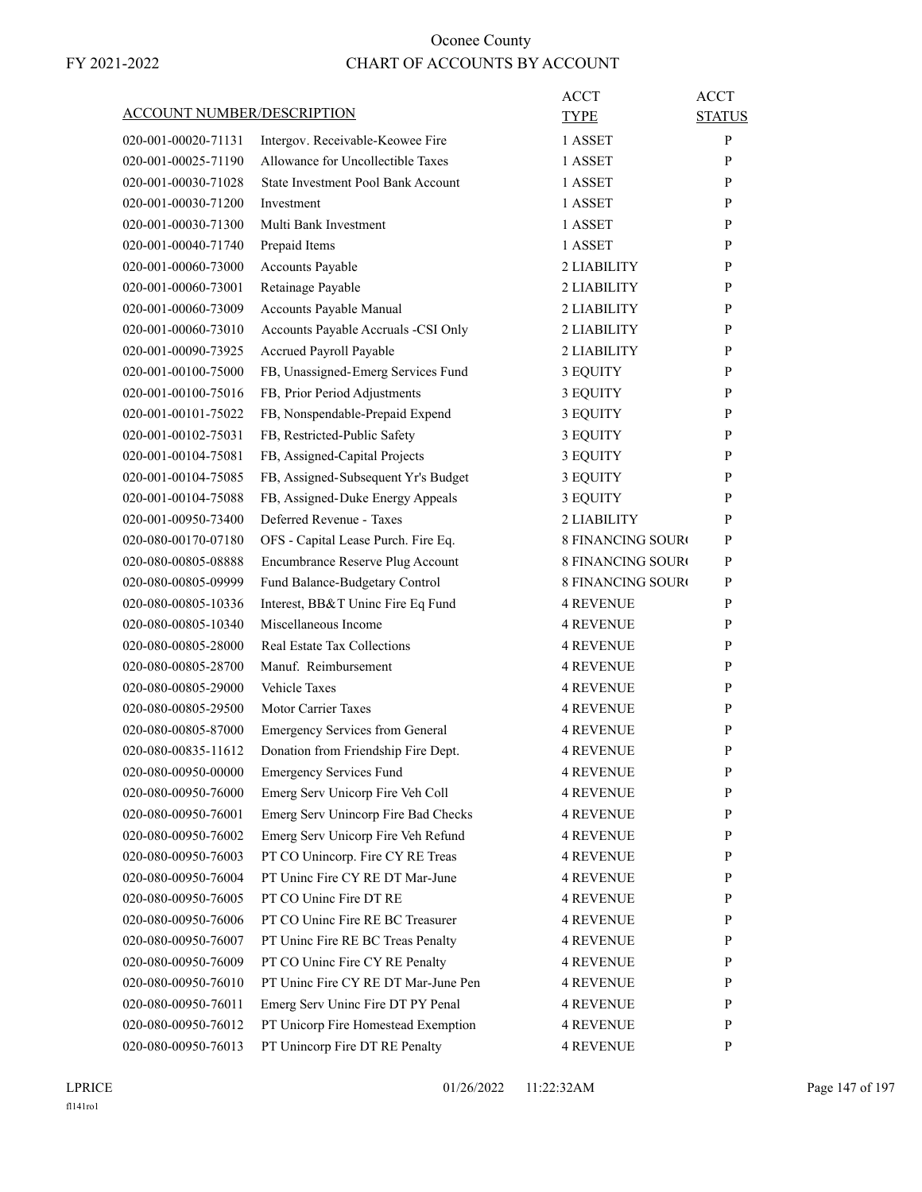|                                   |                                           | <b>ACCT</b>              | <b>ACCT</b>   |
|-----------------------------------|-------------------------------------------|--------------------------|---------------|
| <b>ACCOUNT NUMBER/DESCRIPTION</b> |                                           | <b>TYPE</b>              | <b>STATUS</b> |
| 020-001-00020-71131               | Intergov. Receivable-Keowee Fire          | 1 ASSET                  | P             |
| 020-001-00025-71190               | Allowance for Uncollectible Taxes         | 1 ASSET                  | P             |
| 020-001-00030-71028               | <b>State Investment Pool Bank Account</b> | 1 ASSET                  | P             |
| 020-001-00030-71200               | Investment                                | 1 ASSET                  | P             |
| 020-001-00030-71300               | Multi Bank Investment                     | 1 ASSET                  | P             |
| 020-001-00040-71740               | Prepaid Items                             | 1 ASSET                  | P             |
| 020-001-00060-73000               | Accounts Payable                          | 2 LIABILITY              | P             |
| 020-001-00060-73001               | Retainage Payable                         | 2 LIABILITY              | P             |
| 020-001-00060-73009               | Accounts Payable Manual                   | 2 LIABILITY              | P             |
| 020-001-00060-73010               | Accounts Payable Accruals -CSI Only       | 2 LIABILITY              | P             |
| 020-001-00090-73925               | Accrued Payroll Payable                   | 2 LIABILITY              | P             |
| 020-001-00100-75000               | FB, Unassigned-Emerg Services Fund        | 3 EQUITY                 | P             |
| 020-001-00100-75016               | FB, Prior Period Adjustments              | 3 EQUITY                 | P             |
| 020-001-00101-75022               | FB, Nonspendable-Prepaid Expend           | 3 EQUITY                 | P             |
| 020-001-00102-75031               | FB, Restricted-Public Safety              | 3 EQUITY                 | P             |
| 020-001-00104-75081               | FB, Assigned-Capital Projects             | 3 EQUITY                 | P             |
| 020-001-00104-75085               | FB, Assigned-Subsequent Yr's Budget       | 3 EQUITY                 | P             |
| 020-001-00104-75088               | FB, Assigned-Duke Energy Appeals          | 3 EQUITY                 | P             |
| 020-001-00950-73400               | Deferred Revenue - Taxes                  | 2 LIABILITY              | P             |
| 020-080-00170-07180               | OFS - Capital Lease Purch. Fire Eq.       | <b>8 FINANCING SOURO</b> | P             |
| 020-080-00805-08888               | Encumbrance Reserve Plug Account          | <b>8 FINANCING SOURO</b> | P             |
| 020-080-00805-09999               | Fund Balance-Budgetary Control            | <b>8 FINANCING SOURO</b> | P             |
| 020-080-00805-10336               | Interest, BB&T Uninc Fire Eq Fund         | <b>4 REVENUE</b>         | P             |
| 020-080-00805-10340               | Miscellaneous Income                      | <b>4 REVENUE</b>         | P             |
| 020-080-00805-28000               | Real Estate Tax Collections               | 4 REVENUE                | P             |
| 020-080-00805-28700               | Manuf. Reimbursement                      | <b>4 REVENUE</b>         | P             |
| 020-080-00805-29000               | <b>Vehicle Taxes</b>                      | <b>4 REVENUE</b>         | P             |
| 020-080-00805-29500               | <b>Motor Carrier Taxes</b>                | <b>4 REVENUE</b>         | P             |
| 020-080-00805-87000               | <b>Emergency Services from General</b>    | <b>4 REVENUE</b>         | P             |
| 020-080-00835-11612               | Donation from Friendship Fire Dept.       | <b>4 REVENUE</b>         | P             |
| 020-080-00950-00000               | <b>Emergency Services Fund</b>            | <b>4 REVENUE</b>         | P             |
| 020-080-00950-76000               | Emerg Serv Unicorp Fire Veh Coll          | <b>4 REVENUE</b>         | P             |
| 020-080-00950-76001               | Emerg Serv Unincorp Fire Bad Checks       | <b>4 REVENUE</b>         | P             |
| 020-080-00950-76002               | Emerg Serv Unicorp Fire Veh Refund        | <b>4 REVENUE</b>         | P             |
| 020-080-00950-76003               | PT CO Unincorp. Fire CY RE Treas          | <b>4 REVENUE</b>         | P             |
| 020-080-00950-76004               | PT Unine Fire CY RE DT Mar-June           | <b>4 REVENUE</b>         | P             |
| 020-080-00950-76005               | PT CO Uninc Fire DT RE                    | <b>4 REVENUE</b>         | P             |
| 020-080-00950-76006               | PT CO Uninc Fire RE BC Treasurer          | <b>4 REVENUE</b>         | P             |
| 020-080-00950-76007               | PT Uninc Fire RE BC Treas Penalty         | <b>4 REVENUE</b>         | P             |
| 020-080-00950-76009               | PT CO Uninc Fire CY RE Penalty            | <b>4 REVENUE</b>         | P             |
| 020-080-00950-76010               | PT Uninc Fire CY RE DT Mar-June Pen       | <b>4 REVENUE</b>         | P             |
| 020-080-00950-76011               | Emerg Serv Uninc Fire DT PY Penal         | <b>4 REVENUE</b>         | P             |
| 020-080-00950-76012               | PT Unicorp Fire Homestead Exemption       | <b>4 REVENUE</b>         | P             |
| 020-080-00950-76013               | PT Unincorp Fire DT RE Penalty            | <b>4 REVENUE</b>         | P             |
|                                   |                                           |                          |               |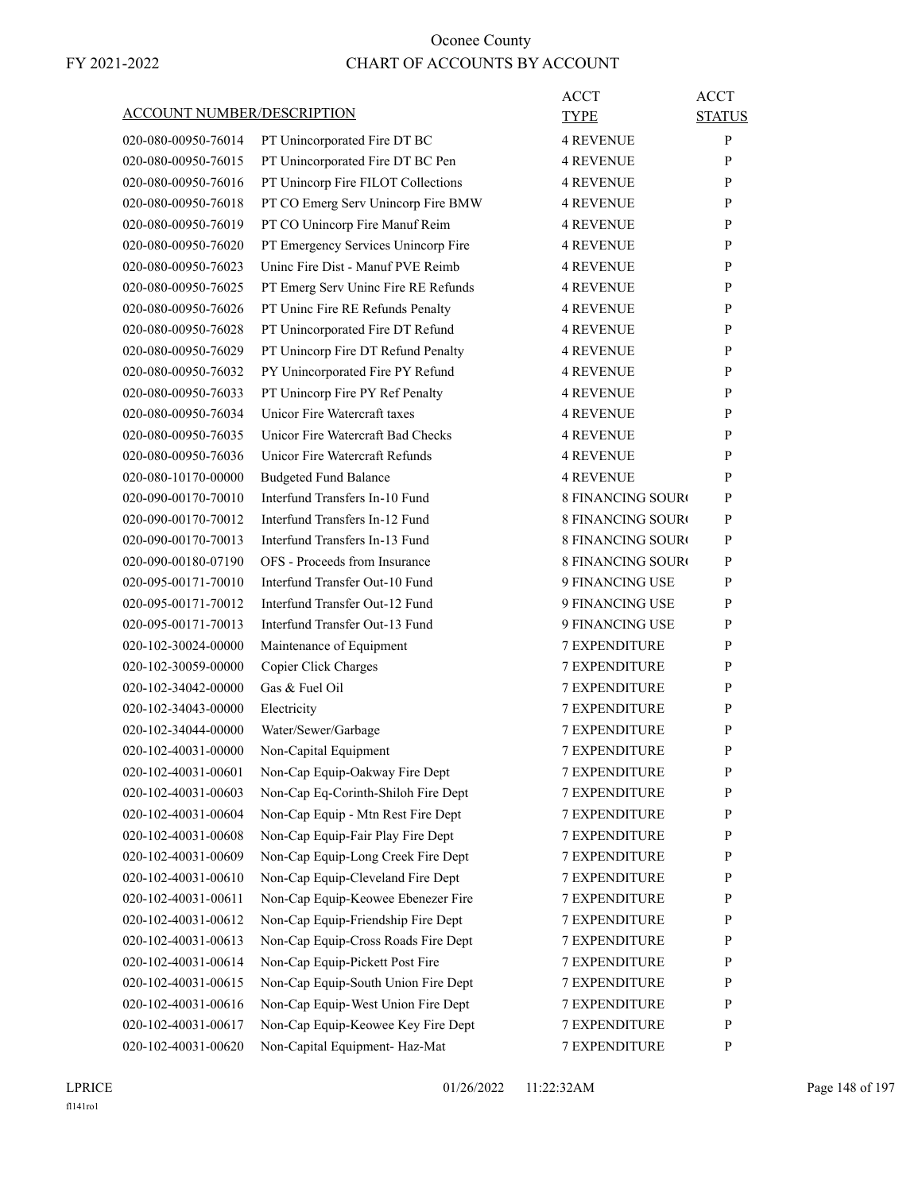| <b>ACCOUNT NUMBER/DESCRIPTION</b> |                                                                           | ACCT<br><b>TYPE</b>                          | <b>ACCT</b><br><b>STATUS</b> |
|-----------------------------------|---------------------------------------------------------------------------|----------------------------------------------|------------------------------|
| 020-080-00950-76014               | PT Unincorporated Fire DT BC                                              | <b>4 REVENUE</b>                             | P                            |
| 020-080-00950-76015               | PT Unincorporated Fire DT BC Pen                                          | <b>4 REVENUE</b>                             | P                            |
| 020-080-00950-76016               | PT Unincorp Fire FILOT Collections                                        | <b>4 REVENUE</b>                             | P                            |
| 020-080-00950-76018               | PT CO Emerg Serv Unincorp Fire BMW                                        | <b>4 REVENUE</b>                             | P                            |
| 020-080-00950-76019               | PT CO Unincorp Fire Manuf Reim                                            | <b>4 REVENUE</b>                             | P                            |
| 020-080-00950-76020               | PT Emergency Services Unincorp Fire                                       | <b>4 REVENUE</b>                             | P                            |
| 020-080-00950-76023               | Uning Fire Dist - Manuf PVE Reimb                                         | <b>4 REVENUE</b>                             | P                            |
| 020-080-00950-76025               | PT Emerg Serv Uninc Fire RE Refunds                                       | <b>4 REVENUE</b>                             | P                            |
| 020-080-00950-76026               | PT Uninc Fire RE Refunds Penalty                                          | <b>4 REVENUE</b>                             | P                            |
| 020-080-00950-76028               | PT Unincorporated Fire DT Refund                                          | <b>4 REVENUE</b>                             | P                            |
| 020-080-00950-76029               | PT Unincorp Fire DT Refund Penalty                                        | <b>4 REVENUE</b>                             | P                            |
| 020-080-00950-76032               | PY Unincorporated Fire PY Refund                                          | <b>4 REVENUE</b>                             | P                            |
| 020-080-00950-76033               | PT Unincorp Fire PY Ref Penalty                                           | <b>4 REVENUE</b>                             | P                            |
| 020-080-00950-76034               | Unicor Fire Watercraft taxes                                              | <b>4 REVENUE</b>                             | P                            |
| 020-080-00950-76035               | Unicor Fire Watercraft Bad Checks                                         | <b>4 REVENUE</b>                             | P                            |
| 020-080-00950-76036               | Unicor Fire Watercraft Refunds                                            | <b>4 REVENUE</b>                             | P                            |
| 020-080-10170-00000               | <b>Budgeted Fund Balance</b>                                              | <b>4 REVENUE</b>                             | P                            |
| 020-090-00170-70010               | Interfund Transfers In-10 Fund                                            | <b>8 FINANCING SOURC</b>                     | P                            |
| 020-090-00170-70012               | Interfund Transfers In-12 Fund                                            | <b>8 FINANCING SOURO</b>                     | P                            |
| 020-090-00170-70013               | Interfund Transfers In-13 Fund                                            | <b>8 FINANCING SOUR</b>                      | P                            |
| 020-090-00180-07190               | OFS - Proceeds from Insurance                                             | <b>8 FINANCING SOURC</b>                     | P                            |
| 020-095-00171-70010               | Interfund Transfer Out-10 Fund                                            | 9 FINANCING USE                              | P                            |
| 020-095-00171-70012               | Interfund Transfer Out-12 Fund                                            | 9 FINANCING USE                              | P                            |
| 020-095-00171-70013               | Interfund Transfer Out-13 Fund                                            | 9 FINANCING USE                              | P                            |
| 020-102-30024-00000               | Maintenance of Equipment                                                  | <b>7 EXPENDITURE</b>                         | P                            |
| 020-102-30059-00000               | Copier Click Charges                                                      | 7 EXPENDITURE                                | P                            |
| 020-102-34042-00000               | Gas & Fuel Oil                                                            | <b>7 EXPENDITURE</b>                         | P                            |
| 020-102-34043-00000               | Electricity                                                               | <b>7 EXPENDITURE</b>                         | P                            |
| 020-102-34044-00000               |                                                                           | <b>7 EXPENDITURE</b>                         | P                            |
| 020-102-40031-00000               | Water/Sewer/Garbage                                                       | <b>7 EXPENDITURE</b>                         | P                            |
| 020-102-40031-00601               | Non-Capital Equipment<br>Non-Cap Equip-Oakway Fire Dept                   | <b>7 EXPENDITURE</b>                         | P                            |
|                                   |                                                                           |                                              |                              |
| 020-102-40031-00603               | Non-Cap Eq-Corinth-Shiloh Fire Dept<br>Non-Cap Equip - Mtn Rest Fire Dept | 7 EXPENDITURE                                | P<br>$\mathbf{P}$            |
| 020-102-40031-00604               | Non-Cap Equip-Fair Play Fire Dept                                         | <b>7 EXPENDITURE</b><br><b>7 EXPENDITURE</b> | P                            |
| 020-102-40031-00608               |                                                                           |                                              |                              |
| 020-102-40031-00609               | Non-Cap Equip-Long Creek Fire Dept                                        | 7 EXPENDITURE                                | P                            |
| 020-102-40031-00610               | Non-Cap Equip-Cleveland Fire Dept                                         | 7 EXPENDITURE                                | $\mathbf{P}$                 |
| 020-102-40031-00611               | Non-Cap Equip-Keowee Ebenezer Fire                                        | <b>7 EXPENDITURE</b>                         | P                            |
| 020-102-40031-00612               | Non-Cap Equip-Friendship Fire Dept                                        | 7 EXPENDITURE                                | P                            |
| 020-102-40031-00613               | Non-Cap Equip-Cross Roads Fire Dept                                       | <b>7 EXPENDITURE</b>                         | $\mathbf{P}$                 |
| 020-102-40031-00614               | Non-Cap Equip-Pickett Post Fire                                           | <b>7 EXPENDITURE</b>                         | P                            |
| 020-102-40031-00615               | Non-Cap Equip-South Union Fire Dept                                       | 7 EXPENDITURE                                | P                            |
| 020-102-40031-00616               | Non-Cap Equip-West Union Fire Dept                                        | 7 EXPENDITURE                                | $\mathbf{P}$                 |
| 020-102-40031-00617               | Non-Cap Equip-Keowee Key Fire Dept                                        | <b>7 EXPENDITURE</b>                         | P                            |
| 020-102-40031-00620               | Non-Capital Equipment- Haz-Mat                                            | 7 EXPENDITURE                                | P                            |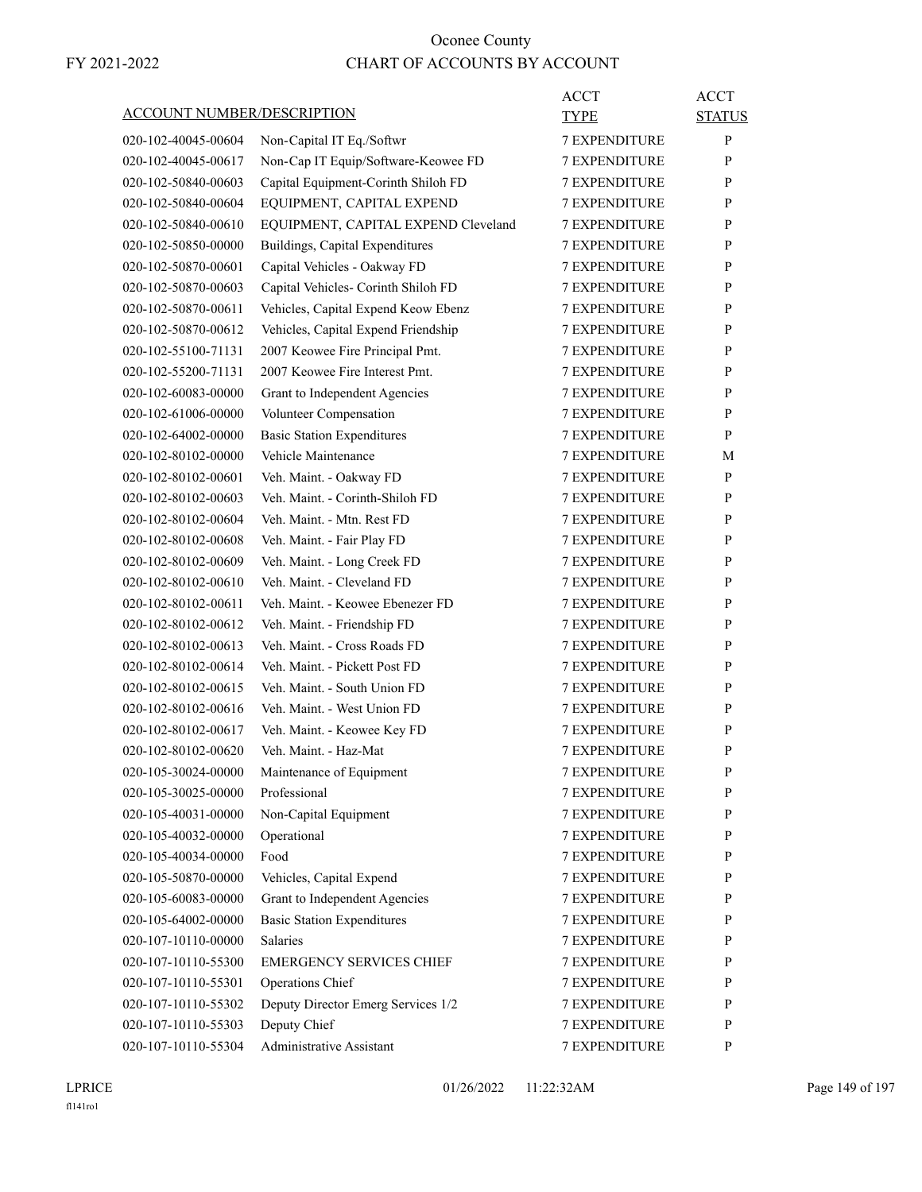| <b>ACCOUNT NUMBER/DESCRIPTION</b>          |                                                             | ACCT<br><b>TYPE</b>                          | <b>ACCT</b><br><b>STATUS</b> |
|--------------------------------------------|-------------------------------------------------------------|----------------------------------------------|------------------------------|
| 020-102-40045-00604                        | Non-Capital IT Eq./Softwr                                   | <b>7 EXPENDITURE</b>                         | P                            |
| 020-102-40045-00617                        | Non-Cap IT Equip/Software-Keowee FD                         | <b>7 EXPENDITURE</b>                         | P                            |
| 020-102-50840-00603                        | Capital Equipment-Corinth Shiloh FD                         | <b>7 EXPENDITURE</b>                         | P                            |
| 020-102-50840-00604                        | EQUIPMENT, CAPITAL EXPEND                                   | <b>7 EXPENDITURE</b>                         | P                            |
| 020-102-50840-00610                        | EQUIPMENT, CAPITAL EXPEND Cleveland                         | <b>7 EXPENDITURE</b>                         | P                            |
| 020-102-50850-00000                        | Buildings, Capital Expenditures                             | <b>7 EXPENDITURE</b>                         | P                            |
| 020-102-50870-00601                        | Capital Vehicles - Oakway FD                                | <b>7 EXPENDITURE</b>                         | P                            |
| 020-102-50870-00603                        | Capital Vehicles- Corinth Shiloh FD                         | <b>7 EXPENDITURE</b>                         | P                            |
| 020-102-50870-00611                        | Vehicles, Capital Expend Keow Ebenz                         | <b>7 EXPENDITURE</b>                         | P                            |
| 020-102-50870-00612                        | Vehicles, Capital Expend Friendship                         | <b>7 EXPENDITURE</b>                         | P                            |
| 020-102-55100-71131                        | 2007 Keowee Fire Principal Pmt.                             | <b>7 EXPENDITURE</b>                         | P                            |
| 020-102-55200-71131                        | 2007 Keowee Fire Interest Pmt.                              | <b>7 EXPENDITURE</b>                         | P                            |
| 020-102-60083-00000                        | Grant to Independent Agencies                               | <b>7 EXPENDITURE</b>                         | P                            |
| 020-102-61006-00000                        | Volunteer Compensation                                      | <b>7 EXPENDITURE</b>                         | P                            |
| 020-102-64002-00000                        | <b>Basic Station Expenditures</b>                           | <b>7 EXPENDITURE</b>                         | P                            |
| 020-102-80102-00000                        | Vehicle Maintenance                                         | <b>7 EXPENDITURE</b>                         | М                            |
| 020-102-80102-00601                        | Veh. Maint. - Oakway FD                                     | <b>7 EXPENDITURE</b>                         | P                            |
| 020-102-80102-00603                        | Veh. Maint. - Corinth-Shiloh FD                             | <b>7 EXPENDITURE</b>                         | P                            |
| 020-102-80102-00604                        | Veh. Maint. - Mtn. Rest FD                                  | <b>7 EXPENDITURE</b>                         | P                            |
| 020-102-80102-00608                        | Veh. Maint. - Fair Play FD                                  | <b>7 EXPENDITURE</b>                         | P                            |
| 020-102-80102-00609                        | Veh. Maint. - Long Creek FD                                 | <b>7 EXPENDITURE</b>                         | P                            |
| 020-102-80102-00610                        | Veh. Maint. - Cleveland FD                                  | <b>7 EXPENDITURE</b>                         | P                            |
| 020-102-80102-00611                        | Veh. Maint. - Keowee Ebenezer FD                            | <b>7 EXPENDITURE</b>                         | P                            |
| 020-102-80102-00612                        |                                                             | <b>7 EXPENDITURE</b>                         | P                            |
|                                            | Veh. Maint. - Friendship FD<br>Veh. Maint. - Cross Roads FD |                                              | P                            |
| 020-102-80102-00613<br>020-102-80102-00614 | Veh. Maint. - Pickett Post FD                               | <b>7 EXPENDITURE</b>                         |                              |
|                                            | Veh. Maint. - South Union FD                                | <b>7 EXPENDITURE</b>                         | P<br>P                       |
| 020-102-80102-00615                        |                                                             | <b>7 EXPENDITURE</b><br><b>7 EXPENDITURE</b> |                              |
| 020-102-80102-00616                        | Veh. Maint. - West Union FD                                 |                                              | P                            |
| 020-102-80102-00617                        | Veh. Maint. - Keowee Key FD                                 | <b>7 EXPENDITURE</b>                         | P                            |
| 020-102-80102-00620                        | Veh. Maint. - Haz-Mat                                       | <b>7 EXPENDITURE</b>                         | P                            |
| 020-105-30024-00000                        | Maintenance of Equipment                                    | <b>7 EXPENDITURE</b>                         | P                            |
| 020-105-30025-00000                        | Professional                                                | <b>7 EXPENDITURE</b>                         | P                            |
| 020-105-40031-00000                        | Non-Capital Equipment                                       | 7 EXPENDITURE                                | P                            |
| 020-105-40032-00000                        | Operational                                                 | 7 EXPENDITURE                                | P                            |
| 020-105-40034-00000                        | Food                                                        | <b>7 EXPENDITURE</b>                         | P                            |
| 020-105-50870-00000                        | Vehicles, Capital Expend                                    | <b>7 EXPENDITURE</b>                         | P                            |
| 020-105-60083-00000                        | Grant to Independent Agencies                               | 7 EXPENDITURE                                | P                            |
| 020-105-64002-00000                        | <b>Basic Station Expenditures</b>                           | 7 EXPENDITURE                                | P                            |
| 020-107-10110-00000                        | Salaries                                                    | 7 EXPENDITURE                                | P                            |
| 020-107-10110-55300                        | <b>EMERGENCY SERVICES CHIEF</b>                             | 7 EXPENDITURE                                | P                            |
| 020-107-10110-55301                        | Operations Chief                                            | 7 EXPENDITURE                                | $\mathbf{P}$                 |
| 020-107-10110-55302                        | Deputy Director Emerg Services 1/2                          | <b>7 EXPENDITURE</b>                         | P                            |
| 020-107-10110-55303                        | Deputy Chief                                                | <b>7 EXPENDITURE</b>                         | P                            |
| 020-107-10110-55304                        | Administrative Assistant                                    | 7 EXPENDITURE                                | P                            |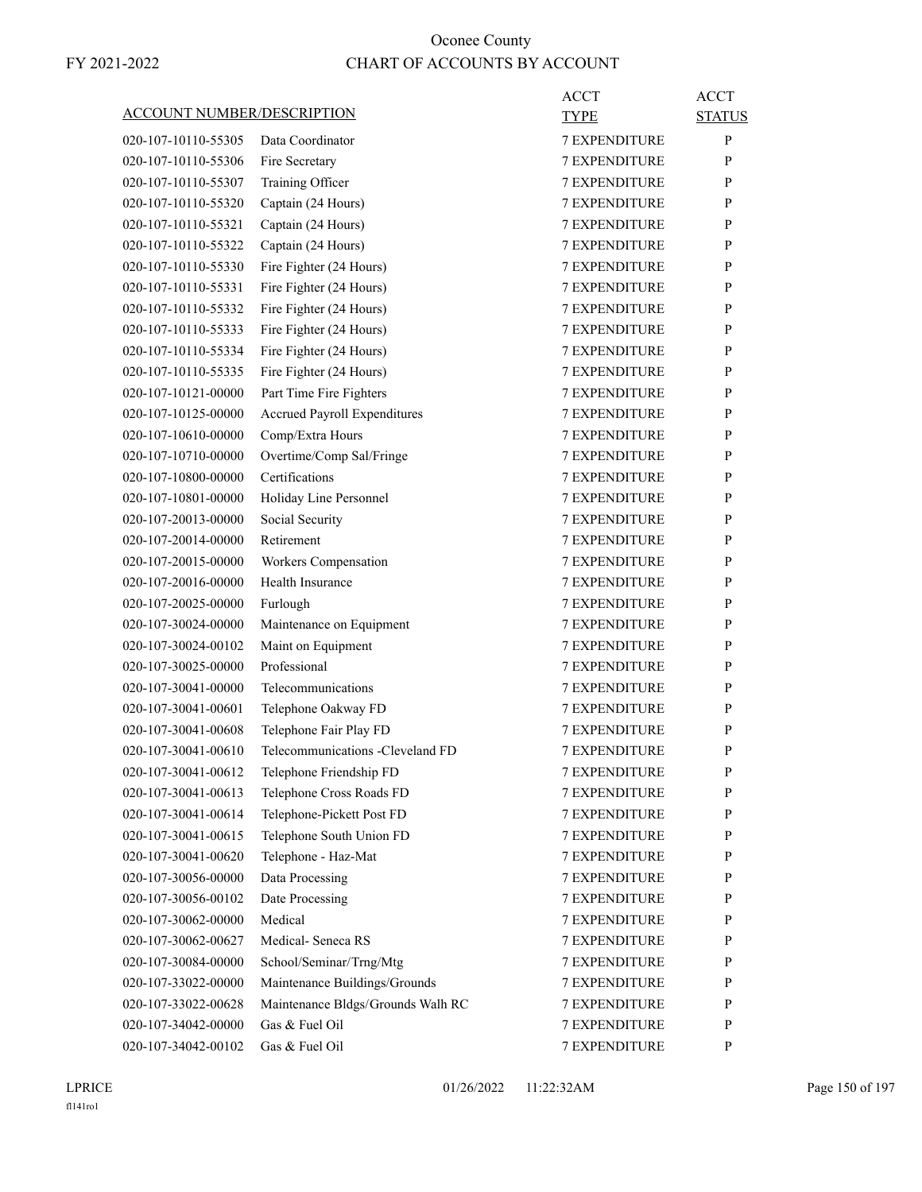|                                   |                                     | <b>ACCT</b>          | <b>ACCT</b>   |
|-----------------------------------|-------------------------------------|----------------------|---------------|
| <b>ACCOUNT NUMBER/DESCRIPTION</b> |                                     | <b>TYPE</b>          | <b>STATUS</b> |
| 020-107-10110-55305               | Data Coordinator                    | <b>7 EXPENDITURE</b> | $\mathbf{P}$  |
| 020-107-10110-55306               | Fire Secretary                      | <b>7 EXPENDITURE</b> | P             |
| 020-107-10110-55307               | Training Officer                    | <b>7 EXPENDITURE</b> | P             |
| 020-107-10110-55320               | Captain (24 Hours)                  | 7 EXPENDITURE        | $\mathbf{P}$  |
| 020-107-10110-55321               | Captain (24 Hours)                  | <b>7 EXPENDITURE</b> | P             |
| 020-107-10110-55322               | Captain (24 Hours)                  | <b>7 EXPENDITURE</b> | P             |
| 020-107-10110-55330               | Fire Fighter (24 Hours)             | <b>7 EXPENDITURE</b> | P             |
| 020-107-10110-55331               | Fire Fighter (24 Hours)             | <b>7 EXPENDITURE</b> | P             |
| 020-107-10110-55332               | Fire Fighter (24 Hours)             | <b>7 EXPENDITURE</b> | P             |
| 020-107-10110-55333               | Fire Fighter (24 Hours)             | 7 EXPENDITURE        | P             |
| 020-107-10110-55334               | Fire Fighter (24 Hours)             | <b>7 EXPENDITURE</b> | P             |
| 020-107-10110-55335               | Fire Fighter (24 Hours)             | <b>7 EXPENDITURE</b> | P             |
| 020-107-10121-00000               | Part Time Fire Fighters             | <b>7 EXPENDITURE</b> | P             |
| 020-107-10125-00000               | <b>Accrued Payroll Expenditures</b> | <b>7 EXPENDITURE</b> | P             |
| 020-107-10610-00000               | Comp/Extra Hours                    | <b>7 EXPENDITURE</b> | P             |
| 020-107-10710-00000               | Overtime/Comp Sal/Fringe            | 7 EXPENDITURE        | P             |
| 020-107-10800-00000               | Certifications                      | <b>7 EXPENDITURE</b> | P             |
| 020-107-10801-00000               | Holiday Line Personnel              | <b>7 EXPENDITURE</b> | P             |
| 020-107-20013-00000               | Social Security                     | <b>7 EXPENDITURE</b> | P             |
| 020-107-20014-00000               | Retirement                          | <b>7 EXPENDITURE</b> | P             |
| 020-107-20015-00000               | Workers Compensation                | <b>7 EXPENDITURE</b> | P             |
| 020-107-20016-00000               | Health Insurance                    | 7 EXPENDITURE        | P             |
| 020-107-20025-00000               | Furlough                            | <b>7 EXPENDITURE</b> | P             |
| 020-107-30024-00000               | Maintenance on Equipment            | <b>7 EXPENDITURE</b> | P             |
| 020-107-30024-00102               | Maint on Equipment                  | <b>7 EXPENDITURE</b> | P             |
| 020-107-30025-00000               | Professional                        | <b>7 EXPENDITURE</b> | P             |
| 020-107-30041-00000               | Telecommunications                  | <b>7 EXPENDITURE</b> | P             |
| 020-107-30041-00601               | Telephone Oakway FD                 | 7 EXPENDITURE        | P             |
| 020-107-30041-00608               | Telephone Fair Play FD              | <b>7 EXPENDITURE</b> | P             |
| 020-107-30041-00610               | Telecommunications -Cleveland FD    | <b>7 EXPENDITURE</b> | P             |
| 020-107-30041-00612               | Telephone Friendship FD             | 7 EXPENDITURE        | ${\bf P}$     |
| 020-107-30041-00613               | Telephone Cross Roads FD            | <b>7 EXPENDITURE</b> | P             |
| 020-107-30041-00614               | Telephone-Pickett Post FD           | <b>7 EXPENDITURE</b> | P             |
| 020-107-30041-00615               | Telephone South Union FD            | <b>7 EXPENDITURE</b> | P             |
| 020-107-30041-00620               | Telephone - Haz-Mat                 | 7 EXPENDITURE        | P             |
| 020-107-30056-00000               | Data Processing                     | 7 EXPENDITURE        | P             |
| 020-107-30056-00102               | Date Processing                     | 7 EXPENDITURE        | P             |
| 020-107-30062-00000               | Medical                             | <b>7 EXPENDITURE</b> | P             |
| 020-107-30062-00627               | Medical-Seneca RS                   | <b>7 EXPENDITURE</b> | P             |
| 020-107-30084-00000               | School/Seminar/Trng/Mtg             | <b>7 EXPENDITURE</b> | P             |
| 020-107-33022-00000               | Maintenance Buildings/Grounds       | 7 EXPENDITURE        | P             |
| 020-107-33022-00628               | Maintenance Bldgs/Grounds Walh RC   | 7 EXPENDITURE        | P             |
| 020-107-34042-00000               | Gas & Fuel Oil                      | 7 EXPENDITURE        | $\mathbf{P}$  |
| 020-107-34042-00102               | Gas & Fuel Oil                      | 7 EXPENDITURE        | P             |
|                                   |                                     |                      |               |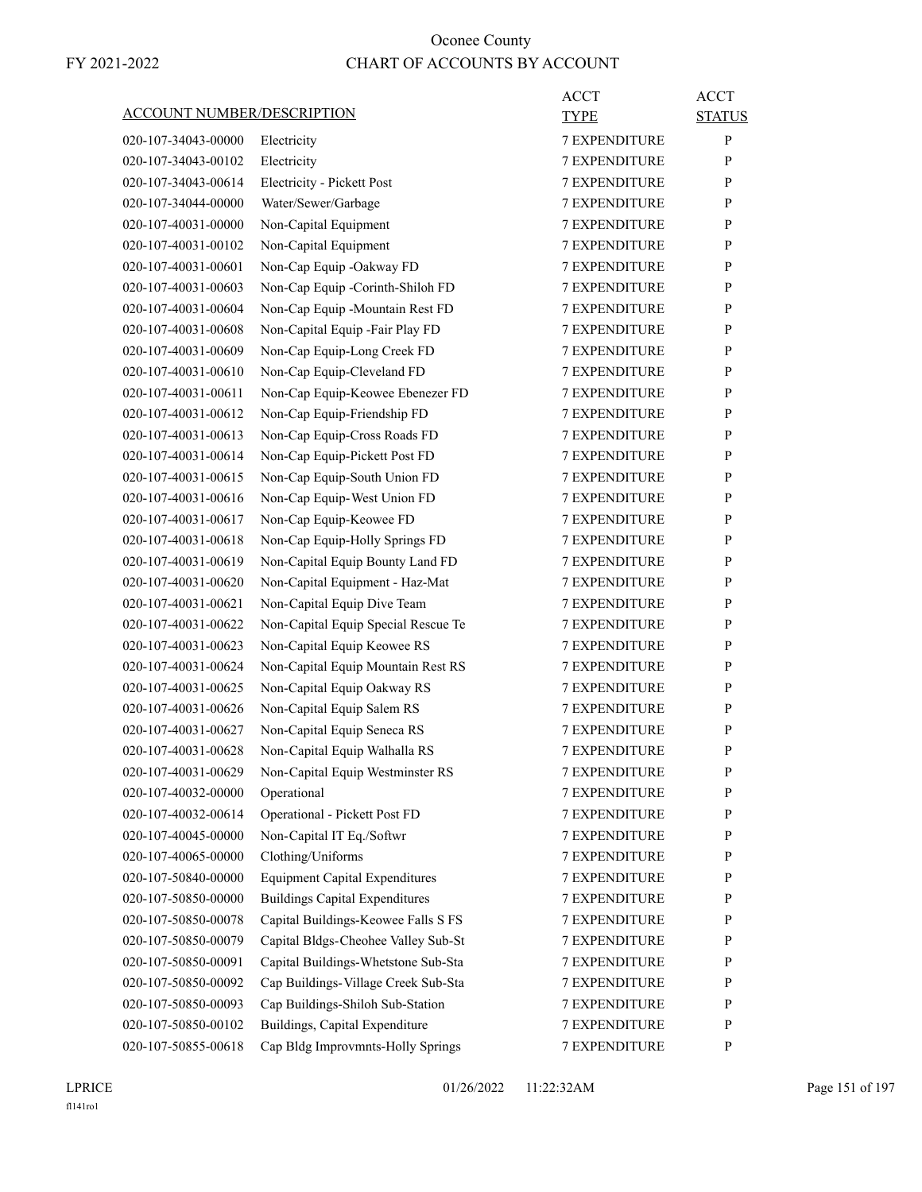|                                   |                                       | <b>ACCT</b>          | <b>ACCT</b>   |
|-----------------------------------|---------------------------------------|----------------------|---------------|
| <b>ACCOUNT NUMBER/DESCRIPTION</b> |                                       | <b>TYPE</b>          | <b>STATUS</b> |
| 020-107-34043-00000               | Electricity                           | <b>7 EXPENDITURE</b> | P             |
| 020-107-34043-00102               | Electricity                           | <b>7 EXPENDITURE</b> | P             |
| 020-107-34043-00614               | Electricity - Pickett Post            | <b>7 EXPENDITURE</b> | P             |
| 020-107-34044-00000               | Water/Sewer/Garbage                   | 7 EXPENDITURE        | P             |
| 020-107-40031-00000               | Non-Capital Equipment                 | <b>7 EXPENDITURE</b> | P             |
| 020-107-40031-00102               | Non-Capital Equipment                 | <b>7 EXPENDITURE</b> | P             |
| 020-107-40031-00601               | Non-Cap Equip -Oakway FD              | <b>7 EXPENDITURE</b> | P             |
| 020-107-40031-00603               | Non-Cap Equip -Corinth-Shiloh FD      | <b>7 EXPENDITURE</b> | P             |
| 020-107-40031-00604               | Non-Cap Equip -Mountain Rest FD       | <b>7 EXPENDITURE</b> | P             |
| 020-107-40031-00608               | Non-Capital Equip -Fair Play FD       | 7 EXPENDITURE        | P             |
| 020-107-40031-00609               | Non-Cap Equip-Long Creek FD           | <b>7 EXPENDITURE</b> | P             |
| 020-107-40031-00610               | Non-Cap Equip-Cleveland FD            | <b>7 EXPENDITURE</b> | P             |
| 020-107-40031-00611               | Non-Cap Equip-Keowee Ebenezer FD      | <b>7 EXPENDITURE</b> | P             |
| 020-107-40031-00612               | Non-Cap Equip-Friendship FD           | <b>7 EXPENDITURE</b> | P             |
| 020-107-40031-00613               | Non-Cap Equip-Cross Roads FD          | <b>7 EXPENDITURE</b> | P             |
| 020-107-40031-00614               | Non-Cap Equip-Pickett Post FD         | 7 EXPENDITURE        | P             |
| 020-107-40031-00615               | Non-Cap Equip-South Union FD          | <b>7 EXPENDITURE</b> | P             |
| 020-107-40031-00616               | Non-Cap Equip-West Union FD           | <b>7 EXPENDITURE</b> | P             |
| 020-107-40031-00617               | Non-Cap Equip-Keowee FD               | <b>7 EXPENDITURE</b> | P             |
| 020-107-40031-00618               | Non-Cap Equip-Holly Springs FD        | <b>7 EXPENDITURE</b> | P             |
| 020-107-40031-00619               | Non-Capital Equip Bounty Land FD      | <b>7 EXPENDITURE</b> | P             |
| 020-107-40031-00620               | Non-Capital Equipment - Haz-Mat       | 7 EXPENDITURE        | P             |
| 020-107-40031-00621               | Non-Capital Equip Dive Team           | <b>7 EXPENDITURE</b> | P             |
| 020-107-40031-00622               | Non-Capital Equip Special Rescue Te   | <b>7 EXPENDITURE</b> | P             |
| 020-107-40031-00623               | Non-Capital Equip Keowee RS           | <b>7 EXPENDITURE</b> | P             |
| 020-107-40031-00624               | Non-Capital Equip Mountain Rest RS    | <b>7 EXPENDITURE</b> | P             |
| 020-107-40031-00625               | Non-Capital Equip Oakway RS           | <b>7 EXPENDITURE</b> | P             |
| 020-107-40031-00626               | Non-Capital Equip Salem RS            | 7 EXPENDITURE        | P             |
| 020-107-40031-00627               | Non-Capital Equip Seneca RS           | <b>7 EXPENDITURE</b> | P             |
| 020-107-40031-00628               | Non-Capital Equip Walhalla RS         | <b>7 EXPENDITURE</b> | P             |
| 020-107-40031-00629               | Non-Capital Equip Westminster RS      | 7 EXPENDITURE        | ${\bf P}$     |
| 020-107-40032-00000               | Operational                           | <b>7 EXPENDITURE</b> | P             |
| 020-107-40032-00614               | Operational - Pickett Post FD         | 7 EXPENDITURE        | P             |
| 020-107-40045-00000               | Non-Capital IT Eq./Softwr             | 7 EXPENDITURE        | P             |
| 020-107-40065-00000               | Clothing/Uniforms                     | 7 EXPENDITURE        | $\mathbf{P}$  |
| 020-107-50840-00000               | <b>Equipment Capital Expenditures</b> | 7 EXPENDITURE        | $\mathbf{P}$  |
| 020-107-50850-00000               | <b>Buildings Capital Expenditures</b> | 7 EXPENDITURE        | P             |
| 020-107-50850-00078               | Capital Buildings-Keowee Falls S FS   | <b>7 EXPENDITURE</b> | P             |
| 020-107-50850-00079               | Capital Bldgs-Cheohee Valley Sub-St   | 7 EXPENDITURE        | P             |
| 020-107-50850-00091               | Capital Buildings-Whetstone Sub-Sta   | 7 EXPENDITURE        | P             |
| 020-107-50850-00092               | Cap Buildings-Village Creek Sub-Sta   | 7 EXPENDITURE        | $\mathbf{P}$  |
| 020-107-50850-00093               | Cap Buildings-Shiloh Sub-Station      | 7 EXPENDITURE        | P             |
| 020-107-50850-00102               | Buildings, Capital Expenditure        | 7 EXPENDITURE        | P             |
| 020-107-50855-00618               | Cap Bldg Improvmnts-Holly Springs     | 7 EXPENDITURE        | P             |
|                                   |                                       |                      |               |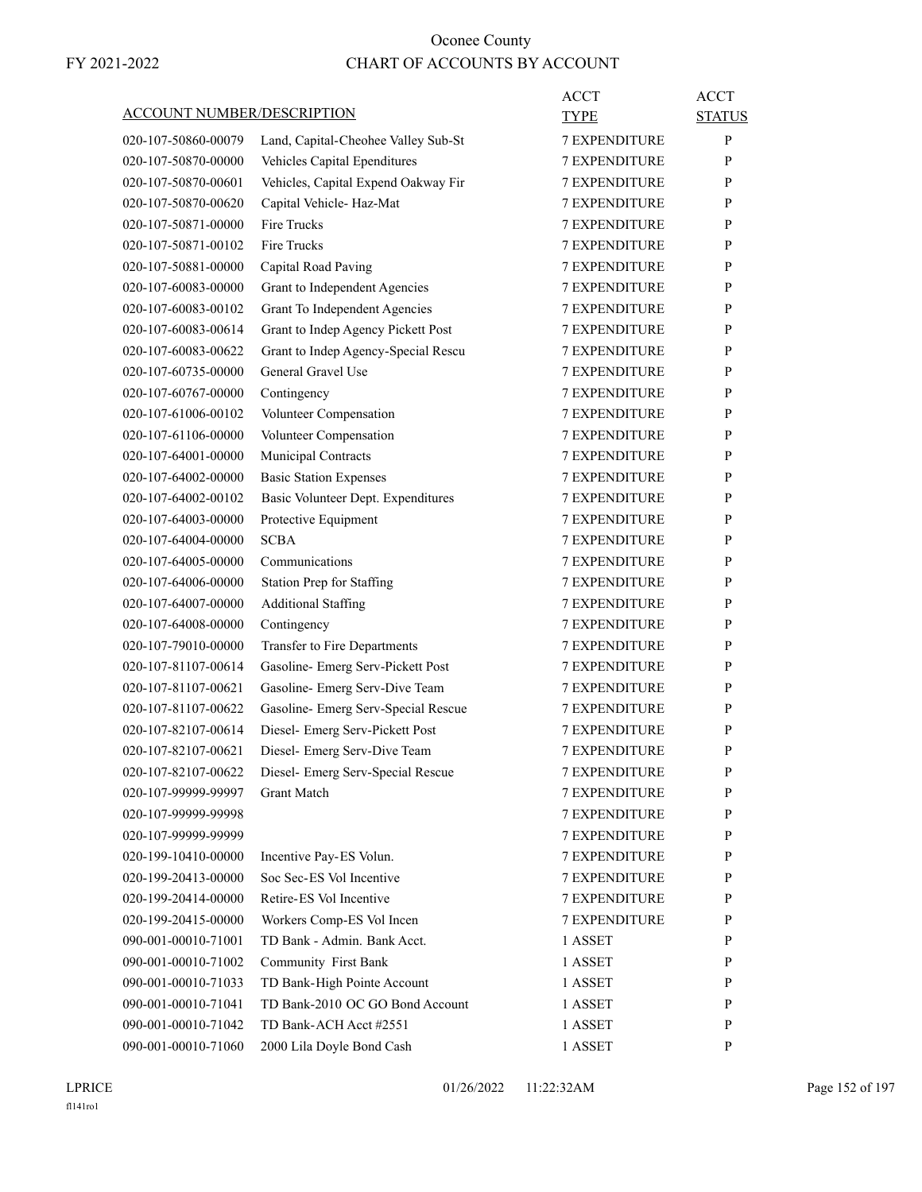| <b>ACCOUNT NUMBER/DESCRIPTION</b> |                                     | ACCT<br>TYPE         | <b>ACCT</b><br><b>STATUS</b> |
|-----------------------------------|-------------------------------------|----------------------|------------------------------|
| 020-107-50860-00079               | Land, Capital-Cheohee Valley Sub-St | <b>7 EXPENDITURE</b> | P                            |
| 020-107-50870-00000               | Vehicles Capital Ependitures        | <b>7 EXPENDITURE</b> | P                            |
| 020-107-50870-00601               | Vehicles, Capital Expend Oakway Fir | <b>7 EXPENDITURE</b> | P                            |
| 020-107-50870-00620               | Capital Vehicle-Haz-Mat             | <b>7 EXPENDITURE</b> | P                            |
| 020-107-50871-00000               | Fire Trucks                         | <b>7 EXPENDITURE</b> | P                            |
| 020-107-50871-00102               | <b>Fire Trucks</b>                  | <b>7 EXPENDITURE</b> | P                            |
| 020-107-50881-00000               | Capital Road Paving                 | <b>7 EXPENDITURE</b> | P                            |
| 020-107-60083-00000               | Grant to Independent Agencies       | 7 EXPENDITURE        | P                            |
| 020-107-60083-00102               | Grant To Independent Agencies       | <b>7 EXPENDITURE</b> | P                            |
| 020-107-60083-00614               | Grant to Indep Agency Pickett Post  | <b>7 EXPENDITURE</b> | P                            |
| 020-107-60083-00622               | Grant to Indep Agency-Special Rescu | <b>7 EXPENDITURE</b> | P                            |
| 020-107-60735-00000               | General Gravel Use                  | <b>7 EXPENDITURE</b> | P                            |
| 020-107-60767-00000               | Contingency                         | <b>7 EXPENDITURE</b> | P                            |
| 020-107-61006-00102               | Volunteer Compensation              | <b>7 EXPENDITURE</b> | P                            |
| 020-107-61106-00000               | Volunteer Compensation              | <b>7 EXPENDITURE</b> | P                            |
| 020-107-64001-00000               | Municipal Contracts                 | <b>7 EXPENDITURE</b> | P                            |
| 020-107-64002-00000               | <b>Basic Station Expenses</b>       | <b>7 EXPENDITURE</b> | P                            |
| 020-107-64002-00102               | Basic Volunteer Dept. Expenditures  | <b>7 EXPENDITURE</b> | P                            |
| 020-107-64003-00000               | Protective Equipment                | <b>7 EXPENDITURE</b> | P                            |
| 020-107-64004-00000               | <b>SCBA</b>                         | <b>7 EXPENDITURE</b> | P                            |
| 020-107-64005-00000               | Communications                      | <b>7 EXPENDITURE</b> | P                            |
| 020-107-64006-00000               | <b>Station Prep for Staffing</b>    | <b>7 EXPENDITURE</b> | P                            |
| 020-107-64007-00000               | <b>Additional Staffing</b>          | <b>7 EXPENDITURE</b> | P                            |
| 020-107-64008-00000               | Contingency                         | <b>7 EXPENDITURE</b> | P                            |
| 020-107-79010-00000               | Transfer to Fire Departments        | <b>7 EXPENDITURE</b> | P                            |
| 020-107-81107-00614               | Gasoline- Emerg Serv-Pickett Post   | 7 EXPENDITURE        | P                            |
| 020-107-81107-00621               | Gasoline- Emerg Serv-Dive Team      | <b>7 EXPENDITURE</b> | P                            |
| 020-107-81107-00622               | Gasoline- Emerg Serv-Special Rescue | <b>7 EXPENDITURE</b> | P                            |
| 020-107-82107-00614               | Diesel- Emerg Serv-Pickett Post     | <b>7 EXPENDITURE</b> | P                            |
| 020-107-82107-00621               | Diesel- Emerg Serv-Dive Team        | <b>7 EXPENDITURE</b> | P                            |
| 020-107-82107-00622               | Diesel- Emerg Serv-Special Rescue   | 7 EXPENDITURE        | P                            |
| 020-107-99999-99997               | <b>Grant Match</b>                  | 7 EXPENDITURE        | P                            |
| 020-107-99999-99998               |                                     | 7 EXPENDITURE        | P                            |
| 020-107-99999-99999               |                                     | 7 EXPENDITURE        | P                            |
| 020-199-10410-00000               | Incentive Pay-ES Volun.             | 7 EXPENDITURE        | P                            |
| 020-199-20413-00000               | Soc Sec-ES Vol Incentive            | 7 EXPENDITURE        | P                            |
| 020-199-20414-00000               | Retire-ES Vol Incentive             | <b>7 EXPENDITURE</b> | P                            |
| 020-199-20415-00000               | Workers Comp-ES Vol Incen           | <b>7 EXPENDITURE</b> | P                            |
| 090-001-00010-71001               | TD Bank - Admin. Bank Acct.         | 1 ASSET              | P                            |
| 090-001-00010-71002               | Community First Bank                | 1 ASSET              | P                            |
| 090-001-00010-71033               | TD Bank-High Pointe Account         | 1 ASSET              | P                            |
| 090-001-00010-71041               | TD Bank-2010 OC GO Bond Account     | 1 ASSET              | P                            |
| 090-001-00010-71042               | TD Bank-ACH Acct #2551              | 1 ASSET              | P                            |
| 090-001-00010-71060               | 2000 Lila Doyle Bond Cash           | 1 ASSET              | P                            |
|                                   |                                     |                      |                              |

LPRICE 01/26/2022 11:22:32AM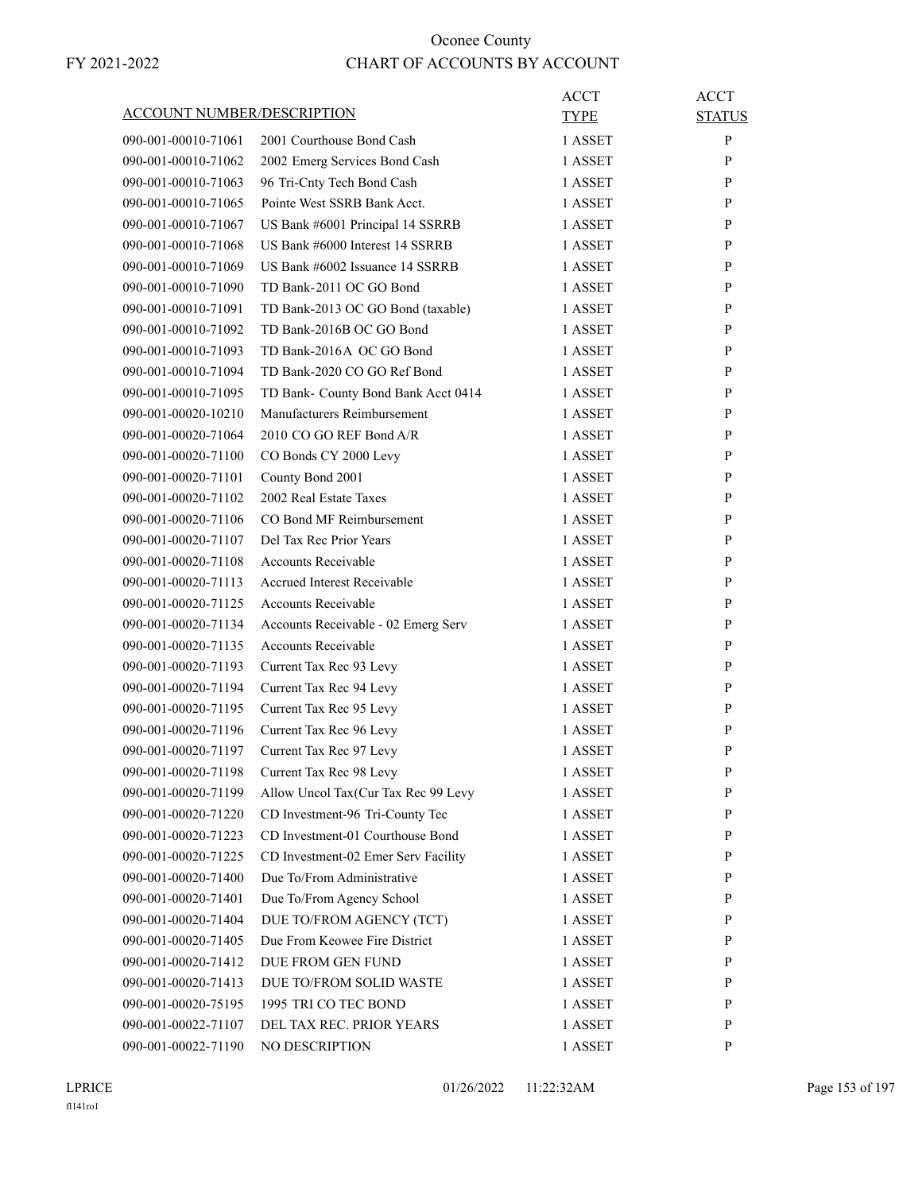| ACCOUNT NUMBER/DESCRIPTION                 |                                                                     | <b>ACCT</b><br><b>TYPE</b> | <b>ACCT</b><br><b>STATUS</b> |
|--------------------------------------------|---------------------------------------------------------------------|----------------------------|------------------------------|
| 090-001-00010-71061                        | 2001 Courthouse Bond Cash                                           | 1 ASSET                    | P                            |
| 090-001-00010-71062                        | 2002 Emerg Services Bond Cash                                       | 1 ASSET                    | P                            |
| 090-001-00010-71063                        | 96 Tri-Cnty Tech Bond Cash                                          | 1 ASSET                    | P                            |
| 090-001-00010-71065                        | Pointe West SSRB Bank Acct.                                         | 1 ASSET                    | P                            |
|                                            |                                                                     |                            |                              |
| 090-001-00010-71067<br>090-001-00010-71068 | US Bank #6001 Principal 14 SSRRB<br>US Bank #6000 Interest 14 SSRRB | 1 ASSET                    | P                            |
|                                            | US Bank #6002 Issuance 14 SSRRB                                     | 1 ASSET                    | P                            |
| 090-001-00010-71069                        |                                                                     | 1 ASSET                    | P                            |
| 090-001-00010-71090                        | TD Bank-2011 OC GO Bond                                             | 1 ASSET                    | P                            |
| 090-001-00010-71091                        | TD Bank-2013 OC GO Bond (taxable)                                   | 1 ASSET                    | P                            |
| 090-001-00010-71092                        | TD Bank-2016B OC GO Bond                                            | 1 ASSET                    | P                            |
| 090-001-00010-71093                        | TD Bank-2016A OC GO Bond                                            | 1 ASSET                    | P                            |
| 090-001-00010-71094                        | TD Bank-2020 CO GO Ref Bond                                         | 1 ASSET                    | P                            |
| 090-001-00010-71095                        | TD Bank- County Bond Bank Acct 0414                                 | 1 ASSET                    | P                            |
| 090-001-00020-10210                        | Manufacturers Reimbursement                                         | 1 ASSET                    | P                            |
| 090-001-00020-71064                        | 2010 CO GO REF Bond A/R                                             | 1 ASSET                    | P                            |
| 090-001-00020-71100                        | CO Bonds CY 2000 Levy                                               | 1 ASSET                    | P                            |
| 090-001-00020-71101                        | County Bond 2001                                                    | 1 ASSET                    | P                            |
| 090-001-00020-71102                        | 2002 Real Estate Taxes                                              | 1 ASSET                    | P                            |
| 090-001-00020-71106                        | CO Bond MF Reimbursement                                            | 1 ASSET                    | P                            |
| 090-001-00020-71107                        | Del Tax Rec Prior Years                                             | 1 ASSET                    | P                            |
| 090-001-00020-71108                        | <b>Accounts Receivable</b>                                          | 1 ASSET                    | P                            |
| 090-001-00020-71113                        | <b>Accrued Interest Receivable</b>                                  | 1 ASSET                    | P                            |
| 090-001-00020-71125                        | <b>Accounts Receivable</b>                                          | 1 ASSET                    | P                            |
| 090-001-00020-71134                        | Accounts Receivable - 02 Emerg Serv                                 | 1 ASSET                    | P                            |
| 090-001-00020-71135                        | <b>Accounts Receivable</b>                                          | 1 ASSET                    | P                            |
| 090-001-00020-71193                        | Current Tax Rec 93 Levy                                             | 1 ASSET                    | P                            |
| 090-001-00020-71194                        | Current Tax Rec 94 Levy                                             | 1 ASSET                    | P                            |
| 090-001-00020-71195                        | Current Tax Rec 95 Levy                                             | 1 ASSET                    | P                            |
| 090-001-00020-71196                        | Current Tax Rec 96 Levy                                             | 1 ASSET                    | P                            |
| 090-001-00020-71197                        | Current Tax Rec 97 Levy                                             | 1 ASSET                    | P                            |
| 090-001-00020-71198                        | Current Tax Rec 98 Levy                                             | 1 ASSET                    | P                            |
| 090-001-00020-71199                        | Allow Uncol Tax(Cur Tax Rec 99 Levy                                 | 1 ASSET                    | P                            |
| 090-001-00020-71220                        | CD Investment-96 Tri-County Tec                                     | 1 ASSET                    | P                            |
| 090-001-00020-71223                        | CD Investment-01 Courthouse Bond                                    | 1 ASSET                    | P                            |
| 090-001-00020-71225                        | CD Investment-02 Emer Serv Facility                                 | 1 ASSET                    | P                            |
| 090-001-00020-71400                        | Due To/From Administrative                                          | 1 ASSET                    | P                            |
| 090-001-00020-71401                        | Due To/From Agency School                                           | 1 ASSET                    | P                            |
| 090-001-00020-71404                        | DUE TO/FROM AGENCY (TCT)                                            | 1 ASSET                    | P                            |
| 090-001-00020-71405                        | Due From Keowee Fire District                                       | 1 ASSET                    | P                            |
| 090-001-00020-71412                        | DUE FROM GEN FUND                                                   | 1 ASSET                    | P                            |
| 090-001-00020-71413                        | DUE TO/FROM SOLID WASTE                                             | 1 ASSET                    | P                            |
| 090-001-00020-75195                        | 1995 TRI CO TEC BOND                                                | 1 ASSET                    | P                            |
| 090-001-00022-71107                        | DEL TAX REC. PRIOR YEARS                                            | 1 ASSET                    | P                            |
| 090-001-00022-71190                        | NO DESCRIPTION                                                      | 1 ASSET                    | P                            |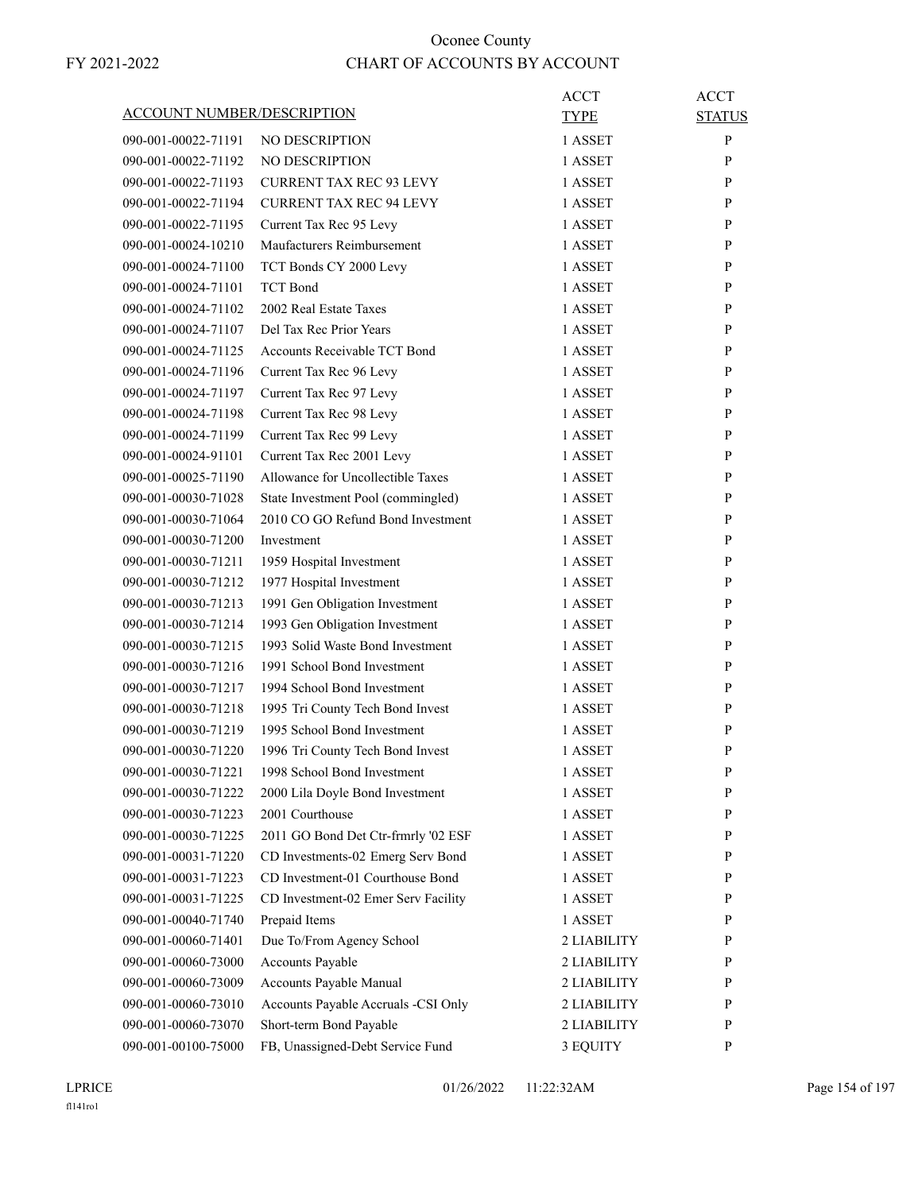| <b>ACCOUNT NUMBER/DESCRIPTION</b> |                                     | ACCT        | <b>ACCT</b>   |
|-----------------------------------|-------------------------------------|-------------|---------------|
|                                   |                                     | <b>TYPE</b> | <b>STATUS</b> |
| 090-001-00022-71191               | NO DESCRIPTION                      | 1 ASSET     | P             |
| 090-001-00022-71192               | <b>NO DESCRIPTION</b>               | 1 ASSET     | P             |
| 090-001-00022-71193               | <b>CURRENT TAX REC 93 LEVY</b>      | 1 ASSET     | P             |
| 090-001-00022-71194               | <b>CURRENT TAX REC 94 LEVY</b>      | 1 ASSET     | P             |
| 090-001-00022-71195               | Current Tax Rec 95 Levy             | 1 ASSET     | P             |
| 090-001-00024-10210               | Maufacturers Reimbursement          | 1 ASSET     | P             |
| 090-001-00024-71100               | TCT Bonds CY 2000 Levy              | 1 ASSET     | P             |
| 090-001-00024-71101               | <b>TCT</b> Bond                     | 1 ASSET     | P             |
| 090-001-00024-71102               | 2002 Real Estate Taxes              | 1 ASSET     | P             |
| 090-001-00024-71107               | Del Tax Rec Prior Years             | 1 ASSET     | P             |
| 090-001-00024-71125               | Accounts Receivable TCT Bond        | 1 ASSET     | P             |
| 090-001-00024-71196               | Current Tax Rec 96 Levy             | 1 ASSET     | P             |
| 090-001-00024-71197               | Current Tax Rec 97 Levy             | 1 ASSET     | P             |
| 090-001-00024-71198               | Current Tax Rec 98 Levy             | 1 ASSET     | P             |
| 090-001-00024-71199               | Current Tax Rec 99 Levy             | 1 ASSET     | P             |
| 090-001-00024-91101               | Current Tax Rec 2001 Levy           | 1 ASSET     | P             |
| 090-001-00025-71190               | Allowance for Uncollectible Taxes   | 1 ASSET     | P             |
| 090-001-00030-71028               | State Investment Pool (commingled)  | 1 ASSET     | P             |
| 090-001-00030-71064               | 2010 CO GO Refund Bond Investment   | 1 ASSET     | P             |
| 090-001-00030-71200               | Investment                          | 1 ASSET     | P             |
| 090-001-00030-71211               | 1959 Hospital Investment            | 1 ASSET     | P             |
| 090-001-00030-71212               | 1977 Hospital Investment            | 1 ASSET     | P             |
| 090-001-00030-71213               | 1991 Gen Obligation Investment      | 1 ASSET     | P             |
| 090-001-00030-71214               | 1993 Gen Obligation Investment      | 1 ASSET     | P             |
| 090-001-00030-71215               | 1993 Solid Waste Bond Investment    | 1 ASSET     | P             |
| 090-001-00030-71216               | 1991 School Bond Investment         | 1 ASSET     | P             |
| 090-001-00030-71217               | 1994 School Bond Investment         | 1 ASSET     | P             |
| 090-001-00030-71218               | 1995 Tri County Tech Bond Invest    | 1 ASSET     | P             |
| 090-001-00030-71219               | 1995 School Bond Investment         | 1 ASSET     | P             |
| 090-001-00030-71220               | 1996 Tri County Tech Bond Invest    | 1 ASSET     | P             |
| 090-001-00030-71221               | 1998 School Bond Investment         | 1 ASSET     | P             |
| 090-001-00030-71222               | 2000 Lila Doyle Bond Investment     | 1 ASSET     | P             |
| 090-001-00030-71223               | 2001 Courthouse                     | 1 ASSET     | $\mathbf{P}$  |
| 090-001-00030-71225               | 2011 GO Bond Det Ctr-frmrly '02 ESF | 1 ASSET     | P             |
| 090-001-00031-71220               | CD Investments-02 Emerg Serv Bond   | 1 ASSET     | P             |
| 090-001-00031-71223               | CD Investment-01 Courthouse Bond    | 1 ASSET     | P             |
| 090-001-00031-71225               | CD Investment-02 Emer Serv Facility | 1 ASSET     | P             |
| 090-001-00040-71740               | Prepaid Items                       | 1 ASSET     | P             |
| 090-001-00060-71401               | Due To/From Agency School           | 2 LIABILITY | $\mathbf{P}$  |
| 090-001-00060-73000               | Accounts Payable                    | 2 LIABILITY | P             |
|                                   |                                     |             |               |
| 090-001-00060-73009               | Accounts Payable Manual             | 2 LIABILITY | P<br>P        |
| 090-001-00060-73010               | Accounts Payable Accruals -CSI Only | 2 LIABILITY |               |
| 090-001-00060-73070               | Short-term Bond Payable             | 2 LIABILITY | P             |
| 090-001-00100-75000               | FB, Unassigned-Debt Service Fund    | 3 EQUITY    | P             |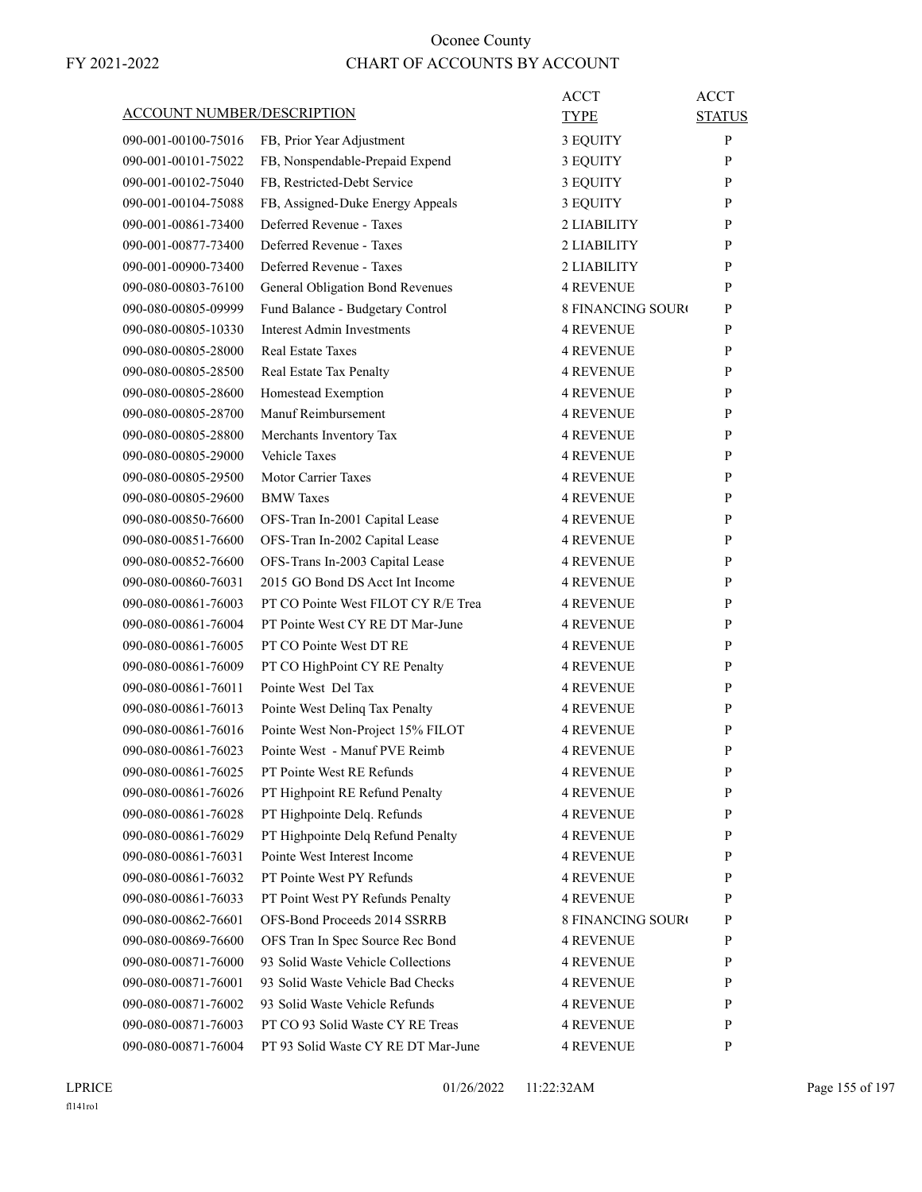| ACCOUNT NUMBER/DESCRIPTION | ACCT<br>TYPE                                                                           | <b>ACCT</b><br><b>STATUS</b> |
|----------------------------|----------------------------------------------------------------------------------------|------------------------------|
| 090-001-00100-75016        | FB, Prior Year Adjustment<br>3 EQUITY                                                  | $\mathbf{P}$                 |
| 090-001-00101-75022        | FB, Nonspendable-Prepaid Expend<br>3 EQUITY                                            | P                            |
| 090-001-00102-75040        | FB, Restricted-Debt Service<br>3 EQUITY                                                | P                            |
| 090-001-00104-75088        | FB, Assigned-Duke Energy Appeals<br>3 EQUITY                                           | P                            |
| 090-001-00861-73400        | Deferred Revenue - Taxes<br>2 LIABILITY                                                | P                            |
| 090-001-00877-73400        | Deferred Revenue - Taxes<br>2 LIABILITY                                                | P                            |
| 090-001-00900-73400        | Deferred Revenue - Taxes<br>2 LIABILITY                                                | P                            |
| 090-080-00803-76100        | General Obligation Bond Revenues<br><b>4 REVENUE</b>                                   | P                            |
| 090-080-00805-09999        | Fund Balance - Budgetary Control<br><b>8 FINANCING SOURO</b>                           | P                            |
| 090-080-00805-10330        | <b>Interest Admin Investments</b><br><b>4 REVENUE</b>                                  | P                            |
| 090-080-00805-28000        | Real Estate Taxes<br>4 REVENUE                                                         | P                            |
| 090-080-00805-28500        | Real Estate Tax Penalty<br><b>4 REVENUE</b>                                            | P                            |
| 090-080-00805-28600        | Homestead Exemption<br><b>4 REVENUE</b>                                                | P                            |
| 090-080-00805-28700        | Manuf Reimbursement<br><b>4 REVENUE</b>                                                | P                            |
| 090-080-00805-28800        | Merchants Inventory Tax<br>4 REVENUE                                                   | P                            |
| 090-080-00805-29000        | Vehicle Taxes<br><b>4 REVENUE</b>                                                      | P                            |
| 090-080-00805-29500        | <b>Motor Carrier Taxes</b><br><b>4 REVENUE</b>                                         | P                            |
| 090-080-00805-29600        | <b>BMW</b> Taxes<br><b>4 REVENUE</b>                                                   | P                            |
| 090-080-00850-76600        | OFS-Tran In-2001 Capital Lease<br><b>4 REVENUE</b>                                     | P                            |
| 090-080-00851-76600        | <b>4 REVENUE</b>                                                                       | P                            |
| 090-080-00852-76600        | OFS-Tran In-2002 Capital Lease<br><b>4 REVENUE</b>                                     | P                            |
| 090-080-00860-76031        | OFS-Trans In-2003 Capital Lease<br>2015 GO Bond DS Acct Int Income<br><b>4 REVENUE</b> | P                            |
| 090-080-00861-76003        | PT CO Pointe West FILOT CY R/E Trea<br><b>4 REVENUE</b>                                | P                            |
| 090-080-00861-76004        | PT Pointe West CY RE DT Mar-June<br><b>4 REVENUE</b>                                   | P                            |
|                            |                                                                                        |                              |
| 090-080-00861-76005        | PT CO Pointe West DT RE<br><b>4 REVENUE</b>                                            | P                            |
| 090-080-00861-76009        | PT CO HighPoint CY RE Penalty<br><b>4 REVENUE</b><br>Pointe West Del Tax               | P<br>P                       |
| 090-080-00861-76011        | <b>4 REVENUE</b>                                                                       |                              |
| 090-080-00861-76013        | Pointe West Delinq Tax Penalty<br>4 REVENUE                                            | P                            |
| 090-080-00861-76016        | Pointe West Non-Project 15% FILOT<br><b>4 REVENUE</b>                                  | P                            |
| 090-080-00861-76023        | Pointe West - Manuf PVE Reimb<br><b>4 REVENUE</b>                                      | P                            |
| 090-080-00861-76025        | PT Pointe West RE Refunds<br><b>4 REVENUE</b>                                          | $\mathbf{P}$                 |
| 090-080-00861-76026        | PT Highpoint RE Refund Penalty<br><b>4 REVENUE</b>                                     | P                            |
| 090-080-00861-76028        | PT Highpointe Delq. Refunds<br>4 REVENUE                                               | P                            |
| 090-080-00861-76029        | PT Highpointe Delq Refund Penalty<br>4 REVENUE                                         | P                            |
| 090-080-00861-76031        | Pointe West Interest Income<br><b>4 REVENUE</b>                                        | P                            |
| 090-080-00861-76032        | PT Pointe West PY Refunds<br><b>4 REVENUE</b>                                          | P                            |
| 090-080-00861-76033        | PT Point West PY Refunds Penalty<br>4 REVENUE                                          | P                            |
| 090-080-00862-76601        | OFS-Bond Proceeds 2014 SSRRB<br><b>8 FINANCING SOURO</b>                               | P                            |
| 090-080-00869-76600        | OFS Tran In Spec Source Rec Bond<br>4 REVENUE                                          | P                            |
| 090-080-00871-76000        | 93 Solid Waste Vehicle Collections<br>4 REVENUE                                        | P                            |
| 090-080-00871-76001        | 93 Solid Waste Vehicle Bad Checks<br><b>4 REVENUE</b>                                  | P                            |
| 090-080-00871-76002        | 93 Solid Waste Vehicle Refunds<br><b>4 REVENUE</b>                                     | P                            |
| 090-080-00871-76003        | PT CO 93 Solid Waste CY RE Treas<br>4 REVENUE                                          | P                            |
| 090-080-00871-76004        | PT 93 Solid Waste CY RE DT Mar-June<br>4 REVENUE                                       | P                            |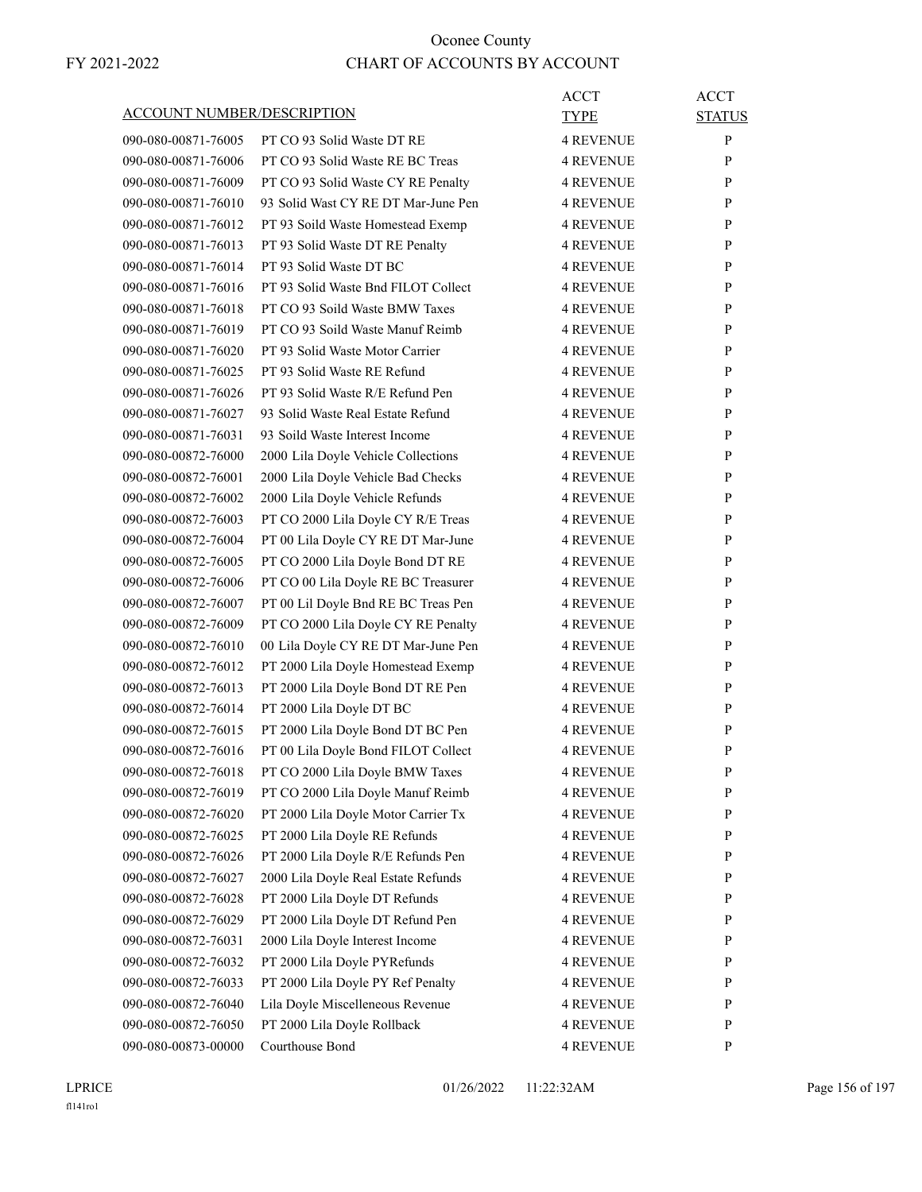|                                            | ACCOUNT NUMBER/DESCRIPTION          | ACCT<br><b>TYPE</b>                  | <b>ACCT</b><br><b>STATUS</b> |
|--------------------------------------------|-------------------------------------|--------------------------------------|------------------------------|
| 090-080-00871-76005                        | PT CO 93 Solid Waste DT RE          | <b>4 REVENUE</b>                     | P                            |
| 090-080-00871-76006                        | PT CO 93 Solid Waste RE BC Treas    | <b>4 REVENUE</b>                     | P                            |
| 090-080-00871-76009                        | PT CO 93 Solid Waste CY RE Penalty  | <b>4 REVENUE</b>                     | P                            |
| 090-080-00871-76010                        | 93 Solid Wast CY RE DT Mar-June Pen | <b>4 REVENUE</b>                     | P                            |
| 090-080-00871-76012                        | PT 93 Soild Waste Homestead Exemp   | <b>4 REVENUE</b>                     | P                            |
| 090-080-00871-76013                        | PT 93 Solid Waste DT RE Penalty     | <b>4 REVENUE</b>                     | P                            |
| 090-080-00871-76014                        | PT 93 Solid Waste DT BC             | <b>4 REVENUE</b>                     | P                            |
| 090-080-00871-76016                        | PT 93 Solid Waste Bnd FILOT Collect | <b>4 REVENUE</b>                     | P                            |
| 090-080-00871-76018                        | PT CO 93 Soild Waste BMW Taxes      | <b>4 REVENUE</b>                     | P                            |
| 090-080-00871-76019                        | PT CO 93 Soild Waste Manuf Reimb    | <b>4 REVENUE</b>                     | P                            |
| 090-080-00871-76020                        | PT 93 Solid Waste Motor Carrier     | <b>4 REVENUE</b>                     | P                            |
| 090-080-00871-76025                        | PT 93 Solid Waste RE Refund         | <b>4 REVENUE</b>                     | P                            |
| 090-080-00871-76026                        | PT 93 Solid Waste R/E Refund Pen    | <b>4 REVENUE</b>                     | P                            |
| 090-080-00871-76027                        | 93 Solid Waste Real Estate Refund   | <b>4 REVENUE</b>                     | P                            |
| 090-080-00871-76031                        | 93 Soild Waste Interest Income      | <b>4 REVENUE</b>                     | P                            |
| 090-080-00872-76000                        | 2000 Lila Doyle Vehicle Collections | <b>4 REVENUE</b>                     | P                            |
| 090-080-00872-76001                        | 2000 Lila Doyle Vehicle Bad Checks  | <b>4 REVENUE</b>                     | P                            |
| 090-080-00872-76002                        | 2000 Lila Doyle Vehicle Refunds     | <b>4 REVENUE</b>                     | P                            |
| 090-080-00872-76003                        | PT CO 2000 Lila Doyle CY R/E Treas  | <b>4 REVENUE</b>                     | P                            |
| 090-080-00872-76004                        | PT 00 Lila Doyle CY RE DT Mar-June  | <b>4 REVENUE</b>                     | P                            |
| 090-080-00872-76005                        | PT CO 2000 Lila Doyle Bond DT RE    | <b>4 REVENUE</b>                     | P                            |
| 090-080-00872-76006                        | PT CO 00 Lila Doyle RE BC Treasurer | <b>4 REVENUE</b>                     | P                            |
| 090-080-00872-76007                        |                                     | <b>4 REVENUE</b>                     | P                            |
|                                            | PT 00 Lil Doyle Bnd RE BC Treas Pen |                                      | P                            |
| 090-080-00872-76009                        | PT CO 2000 Lila Doyle CY RE Penalty | 4 REVENUE<br><b>4 REVENUE</b>        | P                            |
| 090-080-00872-76010                        | 00 Lila Doyle CY RE DT Mar-June Pen |                                      |                              |
| 090-080-00872-76012<br>090-080-00872-76013 | PT 2000 Lila Doyle Homestead Exemp  | <b>4 REVENUE</b><br><b>4 REVENUE</b> | P<br>P                       |
| 090-080-00872-76014                        | PT 2000 Lila Doyle Bond DT RE Pen   | <b>4 REVENUE</b>                     | P                            |
| 090-080-00872-76015                        | PT 2000 Lila Doyle DT BC            |                                      |                              |
|                                            | PT 2000 Lila Doyle Bond DT BC Pen   | <b>4 REVENUE</b>                     | P                            |
| 090-080-00872-76016                        | PT 00 Lila Doyle Bond FILOT Collect | <b>4 REVENUE</b>                     | P                            |
| 090-080-00872-76018                        | PT CO 2000 Lila Doyle BMW Taxes     | <b>4 REVENUE</b>                     | P                            |
| 090-080-00872-76019                        | PT CO 2000 Lila Doyle Manuf Reimb   | <b>4 REVENUE</b>                     | P                            |
| 090-080-00872-76020                        | PT 2000 Lila Doyle Motor Carrier Tx | <b>4 REVENUE</b>                     | $\mathbf{P}$                 |
| 090-080-00872-76025                        | PT 2000 Lila Doyle RE Refunds       | <b>4 REVENUE</b>                     | $\mathbf{P}$                 |
| 090-080-00872-76026                        | PT 2000 Lila Doyle R/E Refunds Pen  | <b>4 REVENUE</b>                     | $\mathbf{P}$                 |
| 090-080-00872-76027                        | 2000 Lila Doyle Real Estate Refunds | <b>4 REVENUE</b>                     | $\mathbf{P}$                 |
| 090-080-00872-76028                        | PT 2000 Lila Doyle DT Refunds       | 4 REVENUE                            | P                            |
| 090-080-00872-76029                        | PT 2000 Lila Doyle DT Refund Pen    | <b>4 REVENUE</b>                     | P                            |
| 090-080-00872-76031                        | 2000 Lila Doyle Interest Income     | <b>4 REVENUE</b>                     | $\mathbf{P}$                 |
| 090-080-00872-76032                        | PT 2000 Lila Doyle PYRefunds        | 4 REVENUE                            | P                            |
| 090-080-00872-76033                        | PT 2000 Lila Doyle PY Ref Penalty   | <b>4 REVENUE</b>                     | P                            |
| 090-080-00872-76040                        | Lila Doyle Miscelleneous Revenue    | <b>4 REVENUE</b>                     | $\mathbf{P}$                 |
| 090-080-00872-76050                        | PT 2000 Lila Doyle Rollback         | <b>4 REVENUE</b>                     | P                            |
| 090-080-00873-00000                        | Courthouse Bond                     | 4 REVENUE                            | P                            |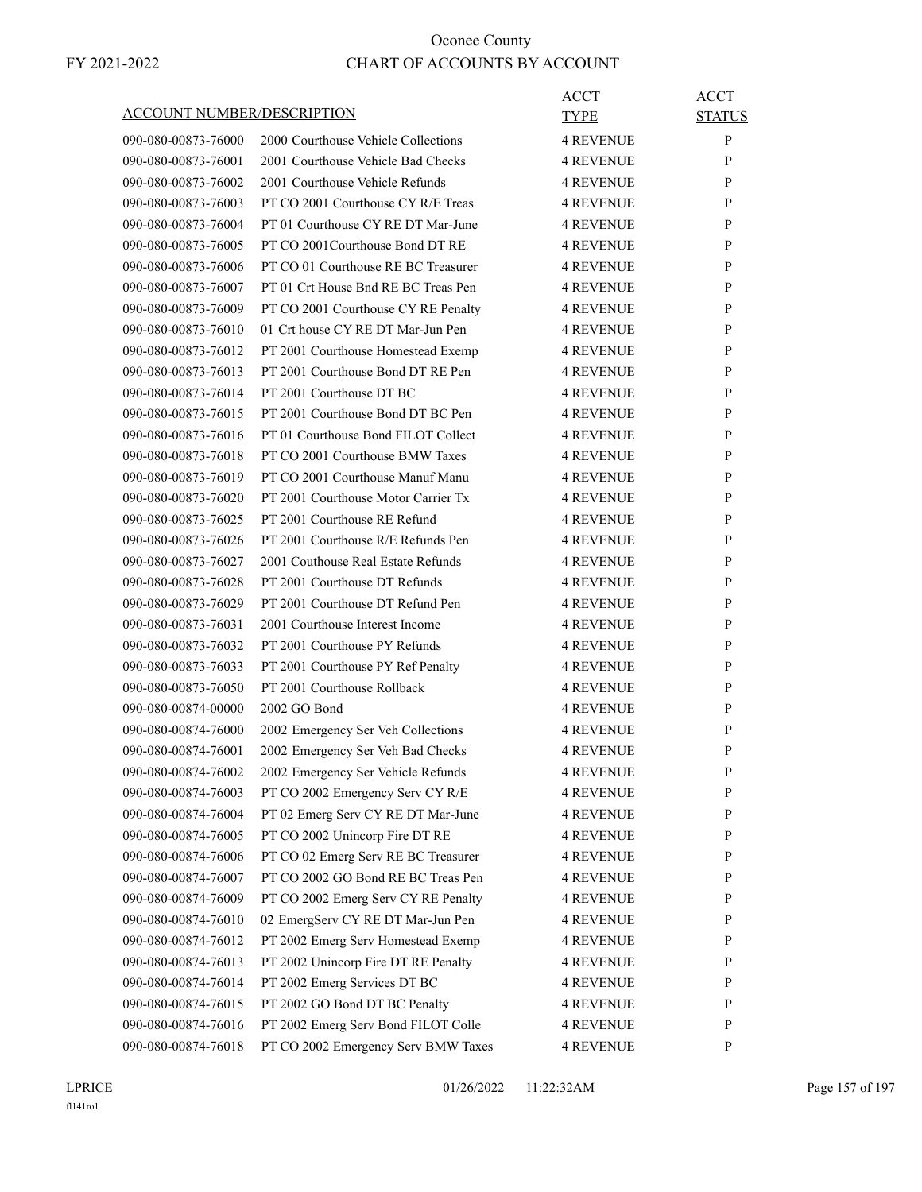| ACCOUNT NUMBER/DESCRIPTION |                                     | ACCT<br><b>TYPE</b> | <b>ACCT</b><br><b>STATUS</b> |
|----------------------------|-------------------------------------|---------------------|------------------------------|
| 090-080-00873-76000        | 2000 Courthouse Vehicle Collections | <b>4 REVENUE</b>    | $\mathbf{P}$                 |
| 090-080-00873-76001        | 2001 Courthouse Vehicle Bad Checks  | <b>4 REVENUE</b>    | P                            |
| 090-080-00873-76002        | 2001 Courthouse Vehicle Refunds     | <b>4 REVENUE</b>    | P                            |
| 090-080-00873-76003        | PT CO 2001 Courthouse CY R/E Treas  | <b>4 REVENUE</b>    | P                            |
| 090-080-00873-76004        | PT 01 Courthouse CY RE DT Mar-June  | <b>4 REVENUE</b>    | P                            |
| 090-080-00873-76005        | PT CO 2001 Courthouse Bond DT RE    | <b>4 REVENUE</b>    | P                            |
| 090-080-00873-76006        | PT CO 01 Courthouse RE BC Treasurer | <b>4 REVENUE</b>    | P                            |
| 090-080-00873-76007        | PT 01 Crt House Bnd RE BC Treas Pen | <b>4 REVENUE</b>    | P                            |
| 090-080-00873-76009        | PT CO 2001 Courthouse CY RE Penalty | <b>4 REVENUE</b>    | P                            |
| 090-080-00873-76010        | 01 Crt house CY RE DT Mar-Jun Pen   | <b>4 REVENUE</b>    | P                            |
| 090-080-00873-76012        | PT 2001 Courthouse Homestead Exemp  | <b>4 REVENUE</b>    | P                            |
| 090-080-00873-76013        | PT 2001 Courthouse Bond DT RE Pen   | <b>4 REVENUE</b>    | P                            |
| 090-080-00873-76014        | PT 2001 Courthouse DT BC            | <b>4 REVENUE</b>    | P                            |
| 090-080-00873-76015        | PT 2001 Courthouse Bond DT BC Pen   | <b>4 REVENUE</b>    | P                            |
| 090-080-00873-76016        | PT 01 Courthouse Bond FILOT Collect | <b>4 REVENUE</b>    | P                            |
| 090-080-00873-76018        | PT CO 2001 Courthouse BMW Taxes     | <b>4 REVENUE</b>    | P                            |
| 090-080-00873-76019        | PT CO 2001 Courthouse Manuf Manu    | <b>4 REVENUE</b>    | P                            |
| 090-080-00873-76020        | PT 2001 Courthouse Motor Carrier Tx | <b>4 REVENUE</b>    | P                            |
| 090-080-00873-76025        | PT 2001 Courthouse RE Refund        | <b>4 REVENUE</b>    | P                            |
| 090-080-00873-76026        | PT 2001 Courthouse R/E Refunds Pen  | <b>4 REVENUE</b>    | P                            |
| 090-080-00873-76027        | 2001 Couthouse Real Estate Refunds  | <b>4 REVENUE</b>    | P                            |
| 090-080-00873-76028        | PT 2001 Courthouse DT Refunds       | <b>4 REVENUE</b>    | P                            |
|                            |                                     |                     |                              |
| 090-080-00873-76029        | PT 2001 Courthouse DT Refund Pen    | <b>4 REVENUE</b>    | P                            |
| 090-080-00873-76031        | 2001 Courthouse Interest Income     | <b>4 REVENUE</b>    | P                            |
| 090-080-00873-76032        | PT 2001 Courthouse PY Refunds       | <b>4 REVENUE</b>    | P                            |
| 090-080-00873-76033        | PT 2001 Courthouse PY Ref Penalty   | <b>4 REVENUE</b>    | P                            |
| 090-080-00873-76050        | PT 2001 Courthouse Rollback         | <b>4 REVENUE</b>    | P                            |
| 090-080-00874-00000        | 2002 GO Bond                        | <b>4 REVENUE</b>    | P                            |
| 090-080-00874-76000        | 2002 Emergency Ser Veh Collections  | <b>4 REVENUE</b>    | P                            |
| 090-080-00874-76001        | 2002 Emergency Ser Veh Bad Checks   | <b>4 REVENUE</b>    | P                            |
| 090-080-00874-76002        | 2002 Emergency Ser Vehicle Refunds  | <b>4 REVENUE</b>    | P                            |
| 090-080-00874-76003        | PT CO 2002 Emergency Serv CY R/E    | <b>4 REVENUE</b>    | P                            |
| 090-080-00874-76004        | PT 02 Emerg Serv CY RE DT Mar-June  | <b>4 REVENUE</b>    | $\mathbf{P}$                 |
| 090-080-00874-76005        | PT CO 2002 Unincorp Fire DT RE      | <b>4 REVENUE</b>    | P                            |
| 090-080-00874-76006        | PT CO 02 Emerg Serv RE BC Treasurer | <b>4 REVENUE</b>    | P                            |
| 090-080-00874-76007        | PT CO 2002 GO Bond RE BC Treas Pen  | <b>4 REVENUE</b>    | $\mathbf{P}$                 |
| 090-080-00874-76009        | PT CO 2002 Emerg Serv CY RE Penalty | <b>4 REVENUE</b>    | P                            |
| 090-080-00874-76010        | 02 EmergServ CY RE DT Mar-Jun Pen   | <b>4 REVENUE</b>    | P                            |
| 090-080-00874-76012        | PT 2002 Emerg Serv Homestead Exemp  | <b>4 REVENUE</b>    | $\mathbf{P}$                 |
| 090-080-00874-76013        | PT 2002 Unincorp Fire DT RE Penalty | <b>4 REVENUE</b>    | P                            |
| 090-080-00874-76014        | PT 2002 Emerg Services DT BC        | <b>4 REVENUE</b>    | P                            |
| 090-080-00874-76015        | PT 2002 GO Bond DT BC Penalty       | <b>4 REVENUE</b>    | $\mathbf{P}$                 |
| 090-080-00874-76016        | PT 2002 Emerg Serv Bond FILOT Colle | <b>4 REVENUE</b>    | P                            |
| 090-080-00874-76018        | PT CO 2002 Emergency Serv BMW Taxes | <b>4 REVENUE</b>    | P                            |

LPRICE 01/26/2022 11:22:32AM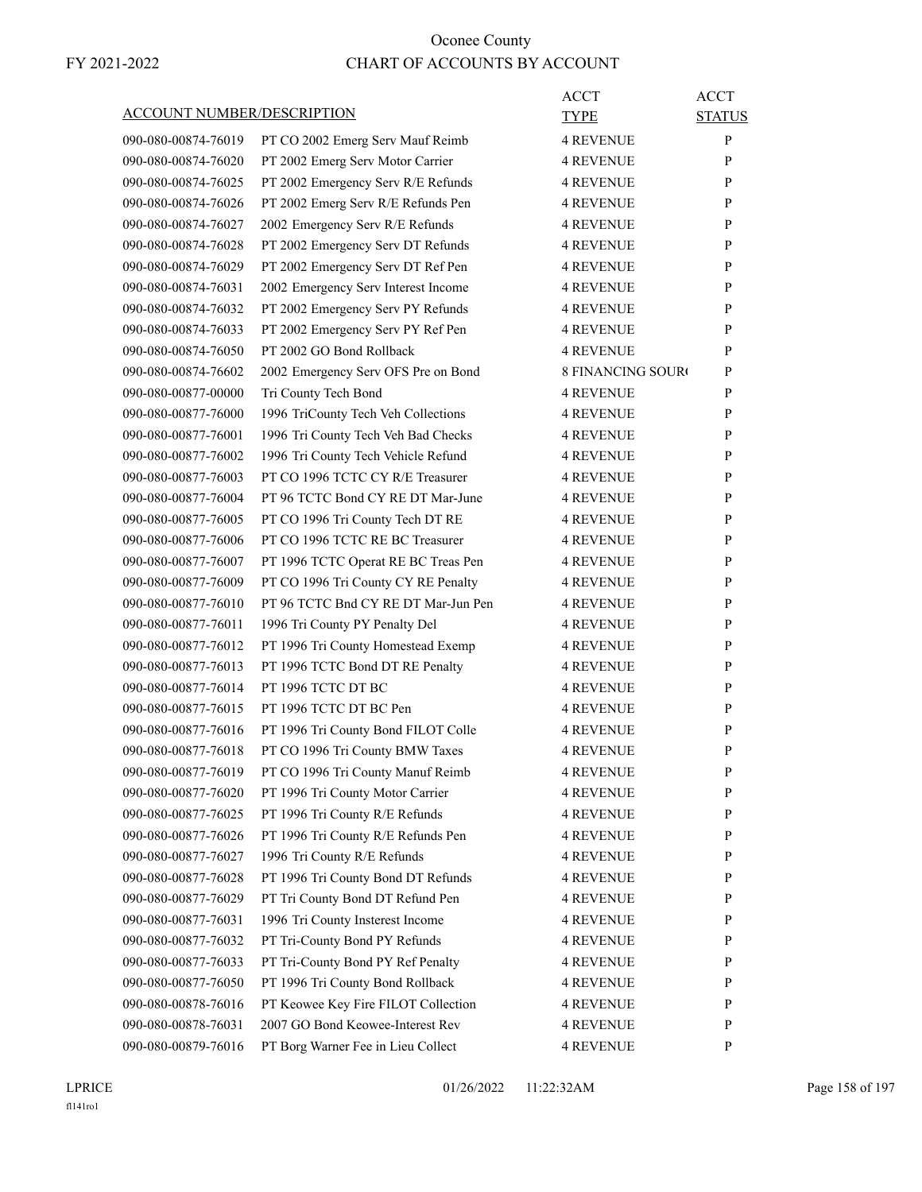| ACCOUNT NUMBER/DESCRIPTION | ACCT<br><b>TYPE</b>                                     | <b>ACCT</b><br><b>STATUS</b>  |
|----------------------------|---------------------------------------------------------|-------------------------------|
| 090-080-00874-76019        | <b>4 REVENUE</b><br>PT CO 2002 Emerg Serv Mauf Reimb    | P                             |
| 090-080-00874-76020        | <b>4 REVENUE</b><br>PT 2002 Emerg Serv Motor Carrier    | P                             |
| 090-080-00874-76025        | PT 2002 Emergency Serv R/E Refunds<br><b>4 REVENUE</b>  | P                             |
| 090-080-00874-76026        | PT 2002 Emerg Serv R/E Refunds Pen<br><b>4 REVENUE</b>  | P                             |
| 090-080-00874-76027        | 2002 Emergency Serv R/E Refunds<br><b>4 REVENUE</b>     | P                             |
| 090-080-00874-76028        | PT 2002 Emergency Serv DT Refunds<br><b>4 REVENUE</b>   | P                             |
| 090-080-00874-76029        | <b>4 REVENUE</b><br>PT 2002 Emergency Serv DT Ref Pen   | P                             |
| 090-080-00874-76031        | 2002 Emergency Serv Interest Income<br><b>4 REVENUE</b> | P                             |
| 090-080-00874-76032        | PT 2002 Emergency Serv PY Refunds<br><b>4 REVENUE</b>   | P                             |
| 090-080-00874-76033        | PT 2002 Emergency Serv PY Ref Pen<br><b>4 REVENUE</b>   | P                             |
| 090-080-00874-76050        | PT 2002 GO Bond Rollback<br><b>4 REVENUE</b>            | P                             |
| 090-080-00874-76602        | 2002 Emergency Serv OFS Pre on Bond                     | <b>8 FINANCING SOURO</b><br>P |
| 090-080-00877-00000        | Tri County Tech Bond<br><b>4 REVENUE</b>                | P                             |
| 090-080-00877-76000        | 1996 TriCounty Tech Veh Collections<br><b>4 REVENUE</b> | P                             |
| 090-080-00877-76001        | 1996 Tri County Tech Veh Bad Checks<br><b>4 REVENUE</b> | P                             |
| 090-080-00877-76002        | 1996 Tri County Tech Vehicle Refund<br><b>4 REVENUE</b> | P                             |
| 090-080-00877-76003        | PT CO 1996 TCTC CY R/E Treasurer<br><b>4 REVENUE</b>    | P                             |
| 090-080-00877-76004        | PT 96 TCTC Bond CY RE DT Mar-June<br><b>4 REVENUE</b>   | P                             |
| 090-080-00877-76005        | PT CO 1996 Tri County Tech DT RE<br><b>4 REVENUE</b>    | P                             |
| 090-080-00877-76006        | PT CO 1996 TCTC RE BC Treasurer<br><b>4 REVENUE</b>     | P                             |
| 090-080-00877-76007        | PT 1996 TCTC Operat RE BC Treas Pen<br><b>4 REVENUE</b> | P                             |
| 090-080-00877-76009        | PT CO 1996 Tri County CY RE Penalty<br><b>4 REVENUE</b> | P                             |
| 090-080-00877-76010        | PT 96 TCTC Bnd CY RE DT Mar-Jun Pen<br><b>4 REVENUE</b> | P                             |
| 090-080-00877-76011        | <b>4 REVENUE</b><br>1996 Tri County PY Penalty Del      | P                             |
| 090-080-00877-76012        | PT 1996 Tri County Homestead Exemp<br><b>4 REVENUE</b>  | P                             |
| 090-080-00877-76013        | PT 1996 TCTC Bond DT RE Penalty<br><b>4 REVENUE</b>     | P                             |
| 090-080-00877-76014        | PT 1996 TCTC DT BC<br><b>4 REVENUE</b>                  | P                             |
| 090-080-00877-76015        | PT 1996 TCTC DT BC Pen<br><b>4 REVENUE</b>              | P                             |
| 090-080-00877-76016        | PT 1996 Tri County Bond FILOT Colle<br><b>4 REVENUE</b> | P                             |
| 090-080-00877-76018        | PT CO 1996 Tri County BMW Taxes<br><b>4 REVENUE</b>     | P                             |
| 090-080-00877-76019        | PT CO 1996 Tri County Manuf Reimb<br><b>4 REVENUE</b>   | P                             |
| 090-080-00877-76020        | PT 1996 Tri County Motor Carrier<br><b>4 REVENUE</b>    | P                             |
| 090-080-00877-76025        | PT 1996 Tri County R/E Refunds<br><b>4 REVENUE</b>      | P                             |
| 090-080-00877-76026        | PT 1996 Tri County R/E Refunds Pen<br><b>4 REVENUE</b>  | $\mathbf{P}$                  |
| 090-080-00877-76027        | 1996 Tri County R/E Refunds<br><b>4 REVENUE</b>         | $\mathbf{P}$                  |
| 090-080-00877-76028        | PT 1996 Tri County Bond DT Refunds<br><b>4 REVENUE</b>  | P                             |
| 090-080-00877-76029        | PT Tri County Bond DT Refund Pen<br><b>4 REVENUE</b>    | P                             |
| 090-080-00877-76031        | 1996 Tri County Insterest Income<br><b>4 REVENUE</b>    | P                             |
| 090-080-00877-76032        | PT Tri-County Bond PY Refunds<br><b>4 REVENUE</b>       | P                             |
| 090-080-00877-76033        | PT Tri-County Bond PY Ref Penalty<br><b>4 REVENUE</b>   | P                             |
| 090-080-00877-76050        | PT 1996 Tri County Bond Rollback<br><b>4 REVENUE</b>    | P                             |
| 090-080-00878-76016        | PT Keowee Key Fire FILOT Collection<br><b>4 REVENUE</b> | P                             |
| 090-080-00878-76031        | 2007 GO Bond Keowee-Interest Rev<br><b>4 REVENUE</b>    | P                             |
| 090-080-00879-76016        | PT Borg Warner Fee in Lieu Collect<br><b>4 REVENUE</b>  | P                             |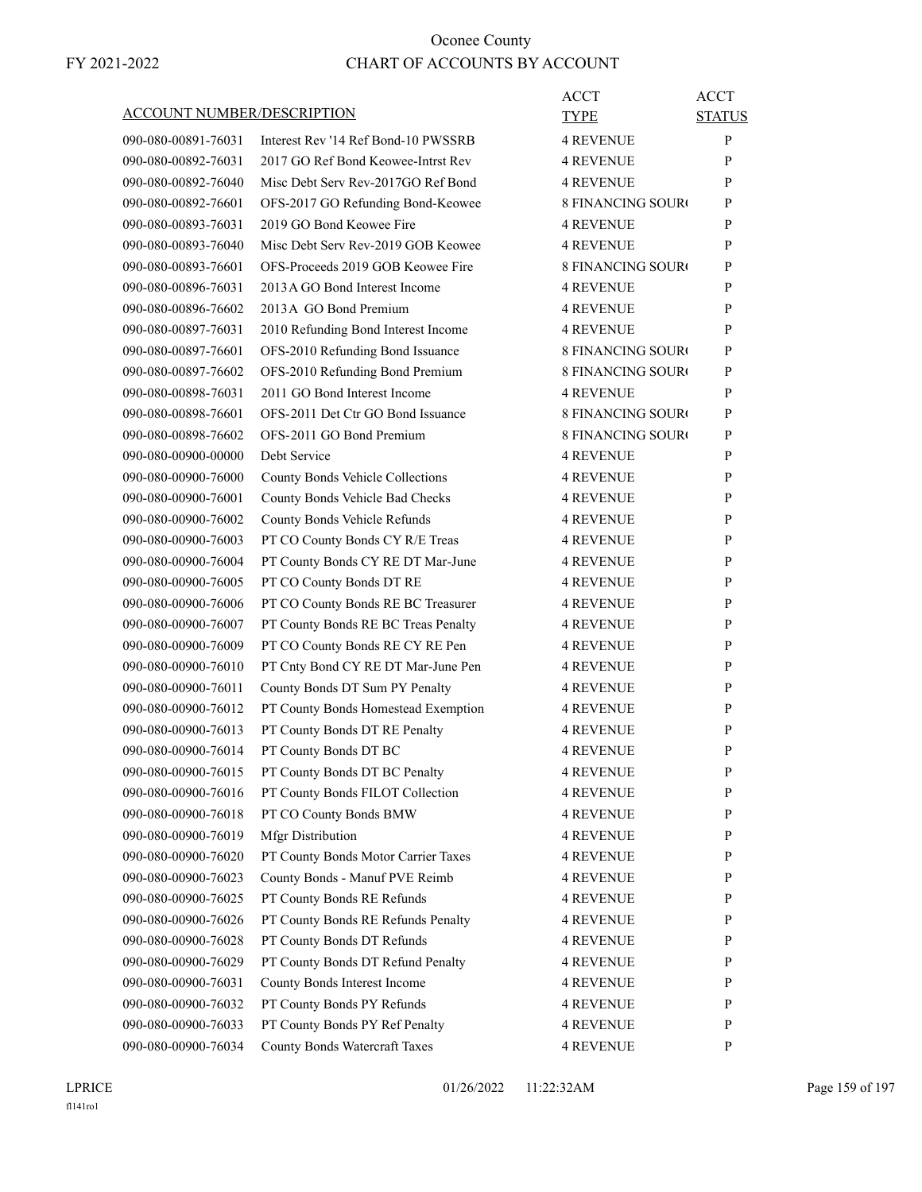| ACCOUNT NUMBER/DESCRIPTION | ACCT<br>TYPE                                                  | <b>ACCT</b><br><b>STATUS</b> |
|----------------------------|---------------------------------------------------------------|------------------------------|
| 090-080-00891-76031        | Interest Rev '14 Ref Bond-10 PWSSRB<br><b>4 REVENUE</b>       | P                            |
| 090-080-00892-76031        | 2017 GO Ref Bond Keowee-Intrst Rev<br>4 REVENUE               | P                            |
| 090-080-00892-76040        | Misc Debt Serv Rev-2017GO Ref Bond<br><b>4 REVENUE</b>        | P                            |
| 090-080-00892-76601        | OFS-2017 GO Refunding Bond-Keowee<br><b>8 FINANCING SOURO</b> | P                            |
| 090-080-00893-76031        | 2019 GO Bond Keowee Fire<br>4 REVENUE                         | P                            |
| 090-080-00893-76040        | Misc Debt Serv Rev-2019 GOB Keowee<br><b>4 REVENUE</b>        | P                            |
| 090-080-00893-76601        | OFS-Proceeds 2019 GOB Keowee Fire<br><b>8 FINANCING SOURO</b> | P                            |
| 090-080-00896-76031        | 2013 A GO Bond Interest Income<br>4 REVENUE                   | P                            |
| 090-080-00896-76602        | 2013A GO Bond Premium<br>4 REVENUE                            | P                            |
| 090-080-00897-76031        | 2010 Refunding Bond Interest Income<br>4 REVENUE              | P                            |
| 090-080-00897-76601        | OFS-2010 Refunding Bond Issuance<br><b>8 FINANCING SOURO</b>  | P                            |
| 090-080-00897-76602        | OFS-2010 Refunding Bond Premium<br><b>8 FINANCING SOUR</b>    | P                            |
| 090-080-00898-76031        | 2011 GO Bond Interest Income<br><b>4 REVENUE</b>              | P                            |
| 090-080-00898-76601        | OFS-2011 Det Ctr GO Bond Issuance<br><b>8 FINANCING SOURC</b> | P                            |
| 090-080-00898-76602        | OFS-2011 GO Bond Premium<br><b>8 FINANCING SOUR</b>           | P                            |
| 090-080-00900-00000        | Debt Service<br>4 REVENUE                                     | P                            |
| 090-080-00900-76000        | 4 REVENUE<br>County Bonds Vehicle Collections                 | P                            |
| 090-080-00900-76001        | <b>4 REVENUE</b><br>County Bonds Vehicle Bad Checks           | P                            |
| 090-080-00900-76002        | County Bonds Vehicle Refunds<br><b>4 REVENUE</b>              | P                            |
| 090-080-00900-76003        | PT CO County Bonds CY R/E Treas<br>4 REVENUE                  | P                            |
| 090-080-00900-76004        | PT County Bonds CY RE DT Mar-June<br>4 REVENUE                | P                            |
| 090-080-00900-76005        | PT CO County Bonds DT RE<br><b>4 REVENUE</b>                  | P                            |
| 090-080-00900-76006        | PT CO County Bonds RE BC Treasurer<br>4 REVENUE               | P                            |
| 090-080-00900-76007        | <b>4 REVENUE</b><br>PT County Bonds RE BC Treas Penalty       | P                            |
| 090-080-00900-76009        | <b>4 REVENUE</b><br>PT CO County Bonds RE CY RE Pen           | P                            |
| 090-080-00900-76010        | PT Cnty Bond CY RE DT Mar-June Pen<br><b>4 REVENUE</b>        | P                            |
| 090-080-00900-76011        | County Bonds DT Sum PY Penalty<br><b>4 REVENUE</b>            | P                            |
| 090-080-00900-76012        | PT County Bonds Homestead Exemption<br>4 REVENUE              | P                            |
| 090-080-00900-76013        | PT County Bonds DT RE Penalty<br>4 REVENUE                    | P                            |
| 090-080-00900-76014        | PT County Bonds DT BC<br><b>4 REVENUE</b>                     | P                            |
| 090-080-00900-76015        | PT County Bonds DT BC Penalty<br><b>4 REVENUE</b>             | $\mathbf{P}$                 |
| 090-080-00900-76016        | PT County Bonds FILOT Collection<br><b>4 REVENUE</b>          | P                            |
| 090-080-00900-76018        | PT CO County Bonds BMW<br>4 REVENUE                           | P                            |
| 090-080-00900-76019        | <b>Mfgr Distribution</b><br><b>4 REVENUE</b>                  | P                            |
| 090-080-00900-76020        | PT County Bonds Motor Carrier Taxes<br><b>4 REVENUE</b>       | P                            |
| 090-080-00900-76023        | County Bonds - Manuf PVE Reimb<br><b>4 REVENUE</b>            | P                            |
| 090-080-00900-76025        | PT County Bonds RE Refunds<br>4 REVENUE                       | P                            |
| 090-080-00900-76026        | PT County Bonds RE Refunds Penalty<br>4 REVENUE               | P                            |
| 090-080-00900-76028        | PT County Bonds DT Refunds<br>4 REVENUE                       | P                            |
| 090-080-00900-76029        | PT County Bonds DT Refund Penalty<br><b>4 REVENUE</b>         | P                            |
| 090-080-00900-76031        | County Bonds Interest Income<br><b>4 REVENUE</b>              | P                            |
| 090-080-00900-76032        | PT County Bonds PY Refunds<br><b>4 REVENUE</b>                | P                            |
| 090-080-00900-76033        | PT County Bonds PY Ref Penalty<br>4 REVENUE                   | P                            |
| 090-080-00900-76034        | County Bonds Watercraft Taxes<br><b>4 REVENUE</b>             | P                            |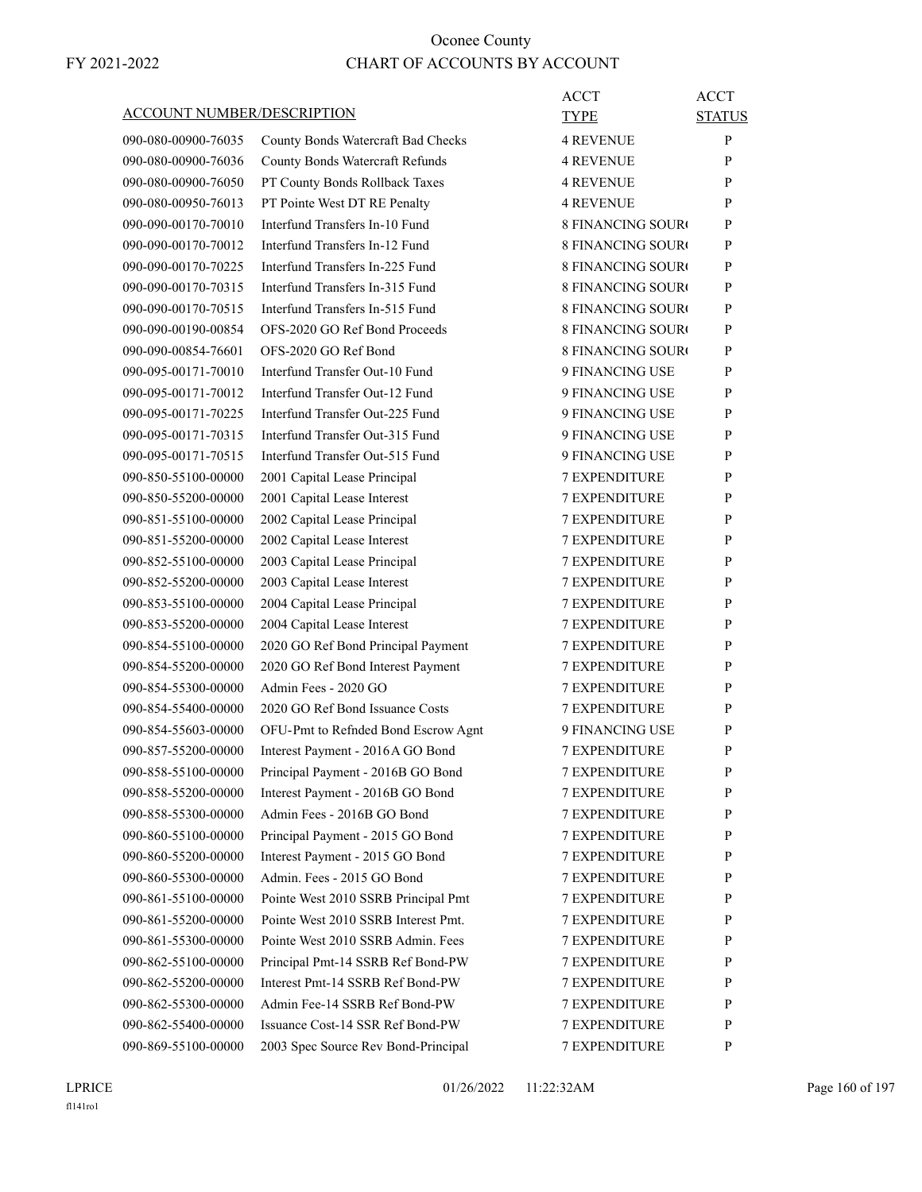| ACCOUNT NUMBER/DESCRIPTION |                                     | ACCT<br>TYPE             | <b>ACCT</b><br><b>STATUS</b> |
|----------------------------|-------------------------------------|--------------------------|------------------------------|
| 090-080-00900-76035        | County Bonds Watercraft Bad Checks  | <b>4 REVENUE</b>         | P                            |
| 090-080-00900-76036        | County Bonds Watercraft Refunds     | <b>4 REVENUE</b>         | P                            |
| 090-080-00900-76050        | PT County Bonds Rollback Taxes      | <b>4 REVENUE</b>         | P                            |
| 090-080-00950-76013        | PT Pointe West DT RE Penalty        | <b>4 REVENUE</b>         | P                            |
| 090-090-00170-70010        | Interfund Transfers In-10 Fund      | <b>8 FINANCING SOURO</b> | P                            |
| 090-090-00170-70012        | Interfund Transfers In-12 Fund      | <b>8 FINANCING SOURC</b> | P                            |
| 090-090-00170-70225        | Interfund Transfers In-225 Fund     | <b>8 FINANCING SOURO</b> | P                            |
| 090-090-00170-70315        | Interfund Transfers In-315 Fund     | <b>8 FINANCING SOURO</b> | P                            |
| 090-090-00170-70515        | Interfund Transfers In-515 Fund     | <b>8 FINANCING SOURC</b> | P                            |
| 090-090-00190-00854        | OFS-2020 GO Ref Bond Proceeds       | <b>8 FINANCING SOUR</b>  | P                            |
| 090-090-00854-76601        | OFS-2020 GO Ref Bond                | <b>8 FINANCING SOURC</b> | P                            |
| 090-095-00171-70010        | Interfund Transfer Out-10 Fund      | 9 FINANCING USE          | P                            |
| 090-095-00171-70012        | Interfund Transfer Out-12 Fund      | 9 FINANCING USE          | P                            |
| 090-095-00171-70225        | Interfund Transfer Out-225 Fund     | 9 FINANCING USE          | P                            |
| 090-095-00171-70315        | Interfund Transfer Out-315 Fund     | 9 FINANCING USE          | P                            |
| 090-095-00171-70515        | Interfund Transfer Out-515 Fund     | 9 FINANCING USE          | P                            |
| 090-850-55100-00000        | 2001 Capital Lease Principal        | <b>7 EXPENDITURE</b>     | P                            |
| 090-850-55200-00000        | 2001 Capital Lease Interest         | <b>7 EXPENDITURE</b>     | P                            |
| 090-851-55100-00000        | 2002 Capital Lease Principal        | <b>7 EXPENDITURE</b>     | P                            |
| 090-851-55200-00000        | 2002 Capital Lease Interest         | <b>7 EXPENDITURE</b>     | P                            |
| 090-852-55100-00000        | 2003 Capital Lease Principal        | <b>7 EXPENDITURE</b>     | P                            |
| 090-852-55200-00000        | 2003 Capital Lease Interest         | <b>7 EXPENDITURE</b>     | P                            |
| 090-853-55100-00000        | 2004 Capital Lease Principal        | <b>7 EXPENDITURE</b>     | P                            |
| 090-853-55200-00000        | 2004 Capital Lease Interest         | <b>7 EXPENDITURE</b>     | P                            |
| 090-854-55100-00000        | 2020 GO Ref Bond Principal Payment  | <b>7 EXPENDITURE</b>     | P                            |
| 090-854-55200-00000        | 2020 GO Ref Bond Interest Payment   | 7 EXPENDITURE            | P                            |
| 090-854-55300-00000        | Admin Fees - 2020 GO                | <b>7 EXPENDITURE</b>     | P                            |
| 090-854-55400-00000        | 2020 GO Ref Bond Issuance Costs     | <b>7 EXPENDITURE</b>     | P                            |
| 090-854-55603-00000        | OFU-Pmt to Refnded Bond Escrow Agnt | 9 FINANCING USE          | P                            |
| 090-857-55200-00000        | Interest Payment - 2016A GO Bond    | <b>7 EXPENDITURE</b>     | P                            |
| 090-858-55100-00000        | Principal Payment - 2016B GO Bond   | <b>7 EXPENDITURE</b>     | P                            |
| 090-858-55200-00000        | Interest Payment - 2016B GO Bond    | 7 EXPENDITURE            | P                            |
| 090-858-55300-00000        | Admin Fees - 2016B GO Bond          | <b>7 EXPENDITURE</b>     | P                            |
| 090-860-55100-00000        | Principal Payment - 2015 GO Bond    | 7 EXPENDITURE            | P                            |
| 090-860-55200-00000        | Interest Payment - 2015 GO Bond     | 7 EXPENDITURE            | P                            |
| 090-860-55300-00000        | Admin. Fees - 2015 GO Bond          | 7 EXPENDITURE            | $\mathbf{P}$                 |
| 090-861-55100-00000        | Pointe West 2010 SSRB Principal Pmt | <b>7 EXPENDITURE</b>     | P                            |
| 090-861-55200-00000        | Pointe West 2010 SSRB Interest Pmt. | 7 EXPENDITURE            | P                            |
| 090-861-55300-00000        | Pointe West 2010 SSRB Admin. Fees   | <b>7 EXPENDITURE</b>     | P                            |
| 090-862-55100-00000        | Principal Pmt-14 SSRB Ref Bond-PW   | <b>7 EXPENDITURE</b>     | P                            |
| 090-862-55200-00000        | Interest Pmt-14 SSRB Ref Bond-PW    | 7 EXPENDITURE            | P                            |
| 090-862-55300-00000        | Admin Fee-14 SSRB Ref Bond-PW       | 7 EXPENDITURE            | $\mathbf{P}$                 |
| 090-862-55400-00000        | Issuance Cost-14 SSR Ref Bond-PW    | <b>7 EXPENDITURE</b>     | P                            |
| 090-869-55100-00000        | 2003 Spec Source Rev Bond-Principal | 7 EXPENDITURE            | P                            |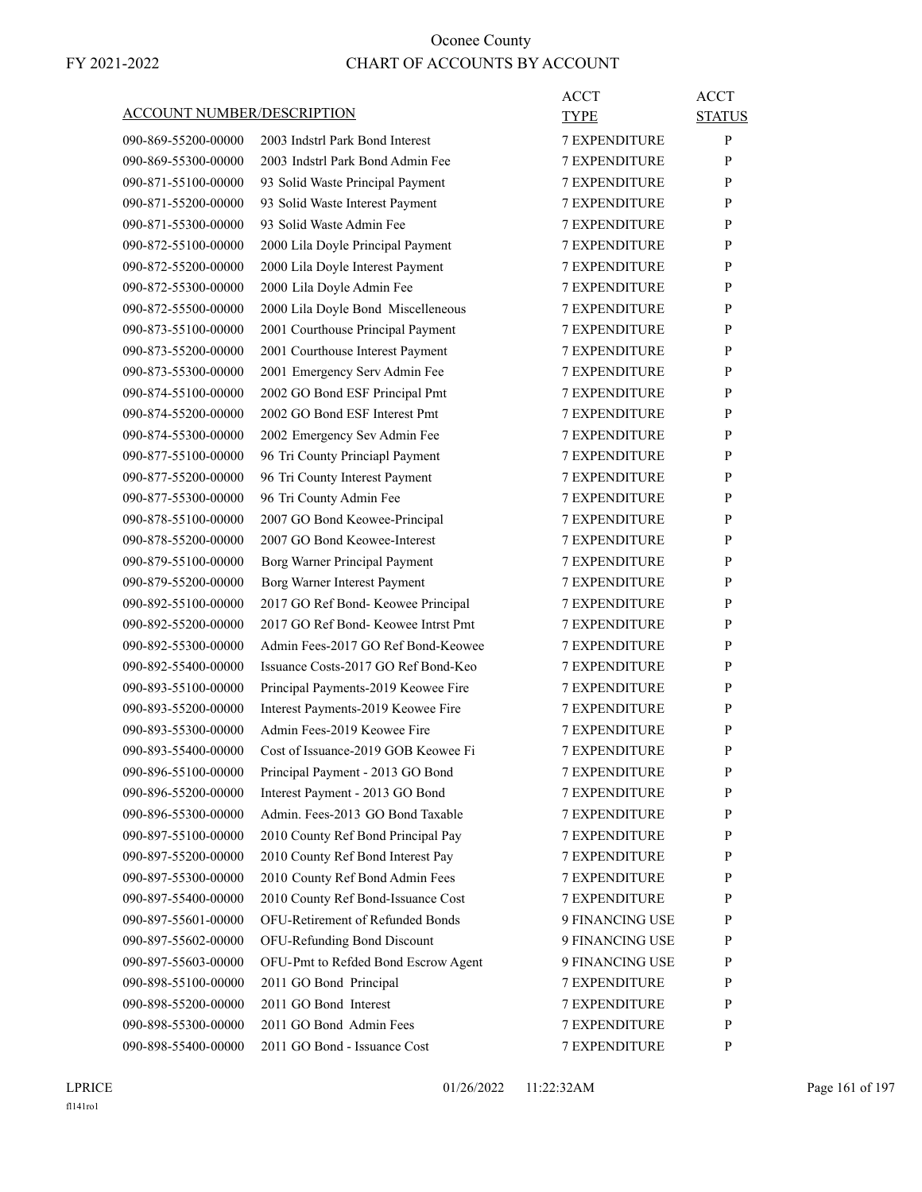| ACCOUNT NUMBER/DESCRIPTION |                                     | ACCT<br><b>TYPE</b>  | <b>ACCT</b><br><b>STATUS</b> |
|----------------------------|-------------------------------------|----------------------|------------------------------|
| 090-869-55200-00000        | 2003 Indstrl Park Bond Interest     | <b>7 EXPENDITURE</b> | P                            |
| 090-869-55300-00000        | 2003 Indstrl Park Bond Admin Fee    | <b>7 EXPENDITURE</b> | P                            |
| 090-871-55100-00000        | 93 Solid Waste Principal Payment    | <b>7 EXPENDITURE</b> | P                            |
| 090-871-55200-00000        | 93 Solid Waste Interest Payment     | <b>7 EXPENDITURE</b> | P                            |
| 090-871-55300-00000        | 93 Solid Waste Admin Fee            | <b>7 EXPENDITURE</b> | P                            |
| 090-872-55100-00000        | 2000 Lila Doyle Principal Payment   | <b>7 EXPENDITURE</b> | P                            |
| 090-872-55200-00000        | 2000 Lila Doyle Interest Payment    | <b>7 EXPENDITURE</b> | P                            |
| 090-872-55300-00000        | 2000 Lila Doyle Admin Fee           | <b>7 EXPENDITURE</b> | P                            |
| 090-872-55500-00000        | 2000 Lila Doyle Bond Miscelleneous  | <b>7 EXPENDITURE</b> | P                            |
| 090-873-55100-00000        | 2001 Courthouse Principal Payment   | <b>7 EXPENDITURE</b> | P                            |
| 090-873-55200-00000        | 2001 Courthouse Interest Payment    | <b>7 EXPENDITURE</b> | P                            |
| 090-873-55300-00000        | 2001 Emergency Serv Admin Fee       | <b>7 EXPENDITURE</b> | P                            |
| 090-874-55100-00000        | 2002 GO Bond ESF Principal Pmt      | <b>7 EXPENDITURE</b> | P                            |
| 090-874-55200-00000        | 2002 GO Bond ESF Interest Pmt       | <b>7 EXPENDITURE</b> | P                            |
| 090-874-55300-00000        | 2002 Emergency Sev Admin Fee        | <b>7 EXPENDITURE</b> | P                            |
| 090-877-55100-00000        | 96 Tri County Princiapl Payment     | <b>7 EXPENDITURE</b> | P                            |
| 090-877-55200-00000        | 96 Tri County Interest Payment      | <b>7 EXPENDITURE</b> | P                            |
| 090-877-55300-00000        | 96 Tri County Admin Fee             | <b>7 EXPENDITURE</b> | P                            |
| 090-878-55100-00000        | 2007 GO Bond Keowee-Principal       | <b>7 EXPENDITURE</b> | P                            |
| 090-878-55200-00000        | 2007 GO Bond Keowee-Interest        | <b>7 EXPENDITURE</b> | P                            |
| 090-879-55100-00000        | Borg Warner Principal Payment       | <b>7 EXPENDITURE</b> | P                            |
| 090-879-55200-00000        | Borg Warner Interest Payment        | <b>7 EXPENDITURE</b> | P                            |
| 090-892-55100-00000        | 2017 GO Ref Bond- Keowee Principal  | <b>7 EXPENDITURE</b> | P                            |
| 090-892-55200-00000        | 2017 GO Ref Bond- Keowee Intrst Pmt | <b>7 EXPENDITURE</b> | P                            |
| 090-892-55300-00000        | Admin Fees-2017 GO Ref Bond-Keowee  | <b>7 EXPENDITURE</b> | P                            |
| 090-892-55400-00000        | Issuance Costs-2017 GO Ref Bond-Keo | 7 EXPENDITURE        | P                            |
| 090-893-55100-00000        | Principal Payments-2019 Keowee Fire | <b>7 EXPENDITURE</b> | P                            |
| 090-893-55200-00000        | Interest Payments-2019 Keowee Fire  | <b>7 EXPENDITURE</b> | P                            |
| 090-893-55300-00000        | Admin Fees-2019 Keowee Fire         | <b>7 EXPENDITURE</b> | P                            |
| 090-893-55400-00000        | Cost of Issuance-2019 GOB Keowee Fi | <b>7 EXPENDITURE</b> | P                            |
| 090-896-55100-00000        | Principal Payment - 2013 GO Bond    | 7 EXPENDITURE        | P                            |
| 090-896-55200-00000        | Interest Payment - 2013 GO Bond     | <b>7 EXPENDITURE</b> | P                            |
| 090-896-55300-00000        | Admin. Fees-2013 GO Bond Taxable    | <b>7 EXPENDITURE</b> | $\mathbf{P}$                 |
| 090-897-55100-00000        | 2010 County Ref Bond Principal Pay  | <b>7 EXPENDITURE</b> | P                            |
| 090-897-55200-00000        | 2010 County Ref Bond Interest Pay   | 7 EXPENDITURE        | P                            |
| 090-897-55300-00000        | 2010 County Ref Bond Admin Fees     | 7 EXPENDITURE        | P                            |
| 090-897-55400-00000        | 2010 County Ref Bond-Issuance Cost  | <b>7 EXPENDITURE</b> | P                            |
| 090-897-55601-00000        | OFU-Retirement of Refunded Bonds    | 9 FINANCING USE      | P                            |
| 090-897-55602-00000        | OFU-Refunding Bond Discount         | 9 FINANCING USE      | P                            |
| 090-897-55603-00000        | OFU-Pmt to Refded Bond Escrow Agent | 9 FINANCING USE      | P                            |
| 090-898-55100-00000        | 2011 GO Bond Principal              | <b>7 EXPENDITURE</b> | P                            |
| 090-898-55200-00000        | 2011 GO Bond Interest               | 7 EXPENDITURE        | P                            |
| 090-898-55300-00000        | 2011 GO Bond Admin Fees             | <b>7 EXPENDITURE</b> | P                            |
| 090-898-55400-00000        | 2011 GO Bond - Issuance Cost        | 7 EXPENDITURE        | P                            |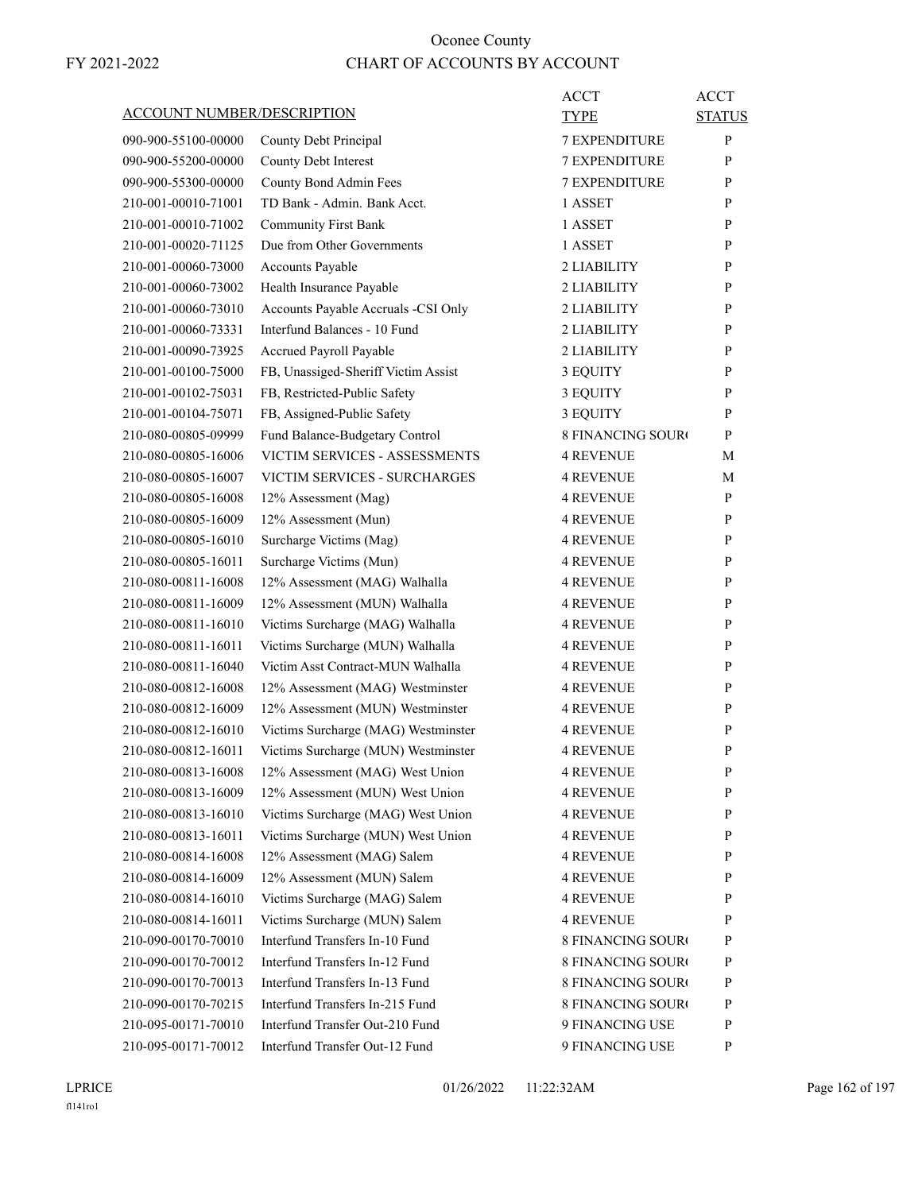| <b>ACCOUNT NUMBER/DESCRIPTION</b> | <b>ACCT</b><br>TYPE                                         | <b>ACCT</b><br><b>STATUS</b> |
|-----------------------------------|-------------------------------------------------------------|------------------------------|
|                                   | <b>7 EXPENDITURE</b>                                        | P                            |
| 090-900-55100-00000               | County Debt Principal                                       |                              |
| 090-900-55200-00000               | 7 EXPENDITURE<br>County Debt Interest                       | P                            |
| 090-900-55300-00000               | County Bond Admin Fees<br><b>7 EXPENDITURE</b>              | P                            |
| 210-001-00010-71001               | TD Bank - Admin. Bank Acct.<br>1 ASSET                      | P                            |
| 210-001-00010-71002               | <b>Community First Bank</b><br>1 ASSET                      | P                            |
| 210-001-00020-71125               | Due from Other Governments<br>1 ASSET                       | P                            |
| 210-001-00060-73000               | Accounts Payable<br>2 LIABILITY                             | P                            |
| 210-001-00060-73002               | Health Insurance Payable<br>2 LIABILITY                     | P                            |
| 210-001-00060-73010               | Accounts Payable Accruals -CSI Only<br>2 LIABILITY          | P                            |
| 210-001-00060-73331               | Interfund Balances - 10 Fund<br>2 LIABILITY                 | P                            |
| 210-001-00090-73925               | Accrued Payroll Payable<br>2 LIABILITY                      | P                            |
| 210-001-00100-75000               | FB, Unassiged-Sheriff Victim Assist<br>3 EQUITY             | P                            |
| 210-001-00102-75031               | FB, Restricted-Public Safety<br>3 EQUITY                    | P                            |
| 210-001-00104-75071               | FB, Assigned-Public Safety<br>3 EQUITY                      | P                            |
| 210-080-00805-09999               | Fund Balance-Budgetary Control<br><b>8 FINANCING SOURC</b>  | P                            |
| 210-080-00805-16006               | VICTIM SERVICES - ASSESSMENTS<br><b>4 REVENUE</b>           | М                            |
| 210-080-00805-16007               | VICTIM SERVICES - SURCHARGES<br><b>4 REVENUE</b>            | М                            |
| 210-080-00805-16008               | <b>4 REVENUE</b><br>12% Assessment (Mag)                    | P                            |
| 210-080-00805-16009               | 12% Assessment (Mun)<br><b>4 REVENUE</b>                    | P                            |
| 210-080-00805-16010               | Surcharge Victims (Mag)<br><b>4 REVENUE</b>                 | P                            |
| 210-080-00805-16011               | Surcharge Victims (Mun)<br><b>4 REVENUE</b>                 | P                            |
| 210-080-00811-16008               | 12% Assessment (MAG) Walhalla<br><b>4 REVENUE</b>           | P                            |
| 210-080-00811-16009               | 12% Assessment (MUN) Walhalla<br><b>4 REVENUE</b>           | P                            |
| 210-080-00811-16010               | Victims Surcharge (MAG) Walhalla<br><b>4 REVENUE</b>        | P                            |
| 210-080-00811-16011               | Victims Surcharge (MUN) Walhalla<br><b>4 REVENUE</b>        | P                            |
| 210-080-00811-16040               | Victim Asst Contract-MUN Walhalla<br><b>4 REVENUE</b>       | P                            |
| 210-080-00812-16008               | 12% Assessment (MAG) Westminster<br><b>4 REVENUE</b>        | P                            |
| 210-080-00812-16009               | 12% Assessment (MUN) Westminster<br><b>4 REVENUE</b>        | P                            |
| 210-080-00812-16010               | Victims Surcharge (MAG) Westminster<br><b>4 REVENUE</b>     | P                            |
| 210-080-00812-16011               | Victims Surcharge (MUN) Westminster<br><b>4 REVENUE</b>     | $\mathbf{P}$                 |
| 210-080-00813-16008               | 12% Assessment (MAG) West Union<br><b>4 REVENUE</b>         | P                            |
| 210-080-00813-16009               | 12% Assessment (MUN) West Union<br><b>4 REVENUE</b>         | P                            |
| 210-080-00813-16010               | Victims Surcharge (MAG) West Union<br><b>4 REVENUE</b>      | P                            |
| 210-080-00813-16011               | Victims Surcharge (MUN) West Union<br><b>4 REVENUE</b>      | P                            |
| 210-080-00814-16008               | 12% Assessment (MAG) Salem<br><b>4 REVENUE</b>              | P                            |
| 210-080-00814-16009               | 12% Assessment (MUN) Salem<br><b>4 REVENUE</b>              | P                            |
| 210-080-00814-16010               | Victims Surcharge (MAG) Salem<br><b>4 REVENUE</b>           | P                            |
| 210-080-00814-16011               | Victims Surcharge (MUN) Salem<br><b>4 REVENUE</b>           | P                            |
| 210-090-00170-70010               | Interfund Transfers In-10 Fund<br><b>8 FINANCING SOUR</b>   | P                            |
| 210-090-00170-70012               | Interfund Transfers In-12 Fund<br>8 FINANCING SOURO         | P                            |
| 210-090-00170-70013               | Interfund Transfers In-13 Fund<br>8 FINANCING SOURO         | P                            |
| 210-090-00170-70215               | Interfund Transfers In-215 Fund<br><b>8 FINANCING SOURO</b> | P                            |
| 210-095-00171-70010               | Interfund Transfer Out-210 Fund<br>9 FINANCING USE          | P                            |
| 210-095-00171-70012               | Interfund Transfer Out-12 Fund<br>9 FINANCING USE           | P                            |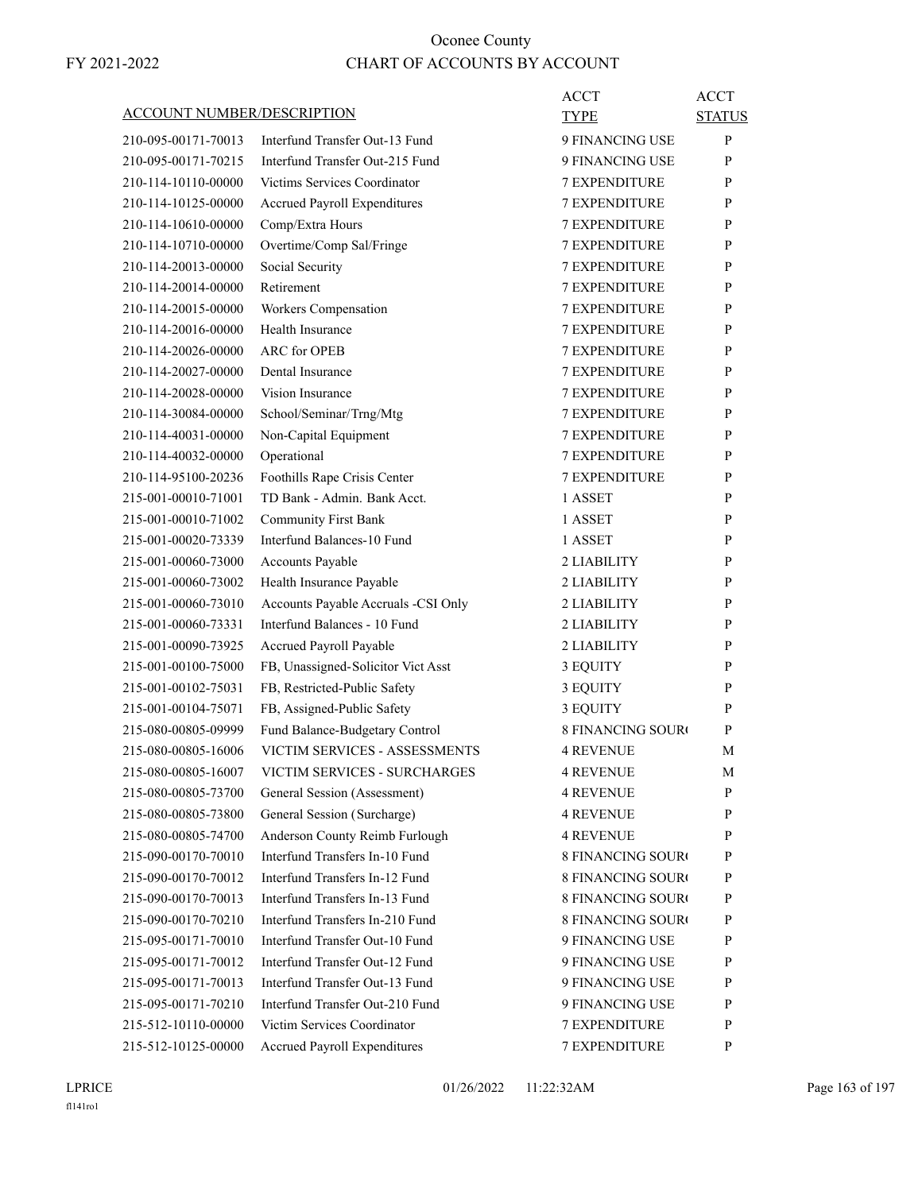| ACCOUNT NUMBER/DESCRIPTION                 |                                                                 | ACCT<br><b>TYPE</b>                  | <b>ACCT</b><br><b>STATUS</b> |
|--------------------------------------------|-----------------------------------------------------------------|--------------------------------------|------------------------------|
| 210-095-00171-70013                        | Interfund Transfer Out-13 Fund                                  | 9 FINANCING USE                      | P                            |
| 210-095-00171-70215                        | Interfund Transfer Out-215 Fund                                 | 9 FINANCING USE                      | P                            |
| 210-114-10110-00000                        | Victims Services Coordinator                                    | <b>7 EXPENDITURE</b>                 | P                            |
| 210-114-10125-00000                        | <b>Accrued Payroll Expenditures</b>                             | <b>7 EXPENDITURE</b>                 | P                            |
| 210-114-10610-00000                        | Comp/Extra Hours                                                | <b>7 EXPENDITURE</b>                 | P                            |
| 210-114-10710-00000                        | Overtime/Comp Sal/Fringe                                        | <b>7 EXPENDITURE</b>                 | P                            |
| 210-114-20013-00000                        | Social Security                                                 | <b>7 EXPENDITURE</b>                 | P                            |
| 210-114-20014-00000                        | Retirement                                                      | <b>7 EXPENDITURE</b>                 | P                            |
| 210-114-20015-00000                        | Workers Compensation                                            | <b>7 EXPENDITURE</b>                 | P                            |
| 210-114-20016-00000                        | Health Insurance                                                | <b>7 EXPENDITURE</b>                 | P                            |
| 210-114-20026-00000                        | <b>ARC</b> for OPEB                                             | <b>7 EXPENDITURE</b>                 | P                            |
| 210-114-20027-00000                        | Dental Insurance                                                | <b>7 EXPENDITURE</b>                 | P                            |
| 210-114-20028-00000                        | Vision Insurance                                                | <b>7 EXPENDITURE</b>                 | P                            |
| 210-114-30084-00000                        | School/Seminar/Trng/Mtg                                         | <b>7 EXPENDITURE</b>                 | P                            |
| 210-114-40031-00000                        | Non-Capital Equipment                                           | <b>7 EXPENDITURE</b>                 | P                            |
| 210-114-40032-00000                        | Operational                                                     | <b>7 EXPENDITURE</b>                 | P                            |
| 210-114-95100-20236                        | Foothills Rape Crisis Center                                    | <b>7 EXPENDITURE</b>                 | P                            |
| 215-001-00010-71001                        | TD Bank - Admin. Bank Acct.                                     | 1 ASSET                              | P                            |
| 215-001-00010-71002                        | <b>Community First Bank</b>                                     | 1 ASSET                              | P                            |
| 215-001-00020-73339                        | Interfund Balances-10 Fund                                      | 1 ASSET                              | P                            |
| 215-001-00060-73000                        | Accounts Payable                                                | 2 LIABILITY                          | P                            |
| 215-001-00060-73002                        | Health Insurance Payable                                        | 2 LIABILITY                          | P                            |
| 215-001-00060-73010                        | Accounts Payable Accruals -CSI Only                             | 2 LIABILITY                          | P                            |
| 215-001-00060-73331                        | Interfund Balances - 10 Fund                                    | 2 LIABILITY                          | P                            |
| 215-001-00090-73925                        | Accrued Payroll Payable                                         | 2 LIABILITY                          | P                            |
| 215-001-00100-75000                        | FB, Unassigned-Solicitor Vict Asst                              |                                      | P                            |
| 215-001-00102-75031                        | FB, Restricted-Public Safety                                    | 3 EQUITY                             | P                            |
| 215-001-00104-75071                        | FB, Assigned-Public Safety                                      | 3 EQUITY<br>3 EQUITY                 | P                            |
| 215-080-00805-09999                        |                                                                 | 8 FINANCING SOUR¢                    |                              |
|                                            | Fund Balance-Budgetary Control<br>VICTIM SERVICES - ASSESSMENTS |                                      | P                            |
| 215-080-00805-16006                        | VICTIM SERVICES - SURCHARGES                                    | <b>4 REVENUE</b>                     | М                            |
| 215-080-00805-16007                        |                                                                 | <b>4 REVENUE</b>                     | М                            |
| 215-080-00805-73700                        | General Session (Assessment)                                    | <b>4 REVENUE</b>                     | P                            |
| 215-080-00805-73800                        | General Session (Surcharge)<br>Anderson County Reimb Furlough   | <b>4 REVENUE</b><br><b>4 REVENUE</b> | P<br>P                       |
| 215-080-00805-74700                        | Interfund Transfers In-10 Fund                                  |                                      |                              |
| 215-090-00170-70010<br>215-090-00170-70012 | Interfund Transfers In-12 Fund                                  | <b>8 FINANCING SOURO</b>             | P                            |
|                                            | Interfund Transfers In-13 Fund                                  | <b>8 FINANCING SOURO</b>             | P                            |
| 215-090-00170-70013                        |                                                                 | <b>8 FINANCING SOURO</b>             | P                            |
| 215-090-00170-70210                        | Interfund Transfers In-210 Fund                                 | <b>8 FINANCING SOURO</b>             | P                            |
| 215-095-00171-70010                        | Interfund Transfer Out-10 Fund                                  | 9 FINANCING USE                      | P                            |
| 215-095-00171-70012                        | Interfund Transfer Out-12 Fund                                  | 9 FINANCING USE                      | P                            |
| 215-095-00171-70013                        | Interfund Transfer Out-13 Fund                                  | 9 FINANCING USE                      | P                            |
| 215-095-00171-70210                        | Interfund Transfer Out-210 Fund                                 | 9 FINANCING USE                      | P                            |
| 215-512-10110-00000                        | Victim Services Coordinator                                     | 7 EXPENDITURE                        | P                            |
| 215-512-10125-00000                        | Accrued Payroll Expenditures                                    | 7 EXPENDITURE                        | P                            |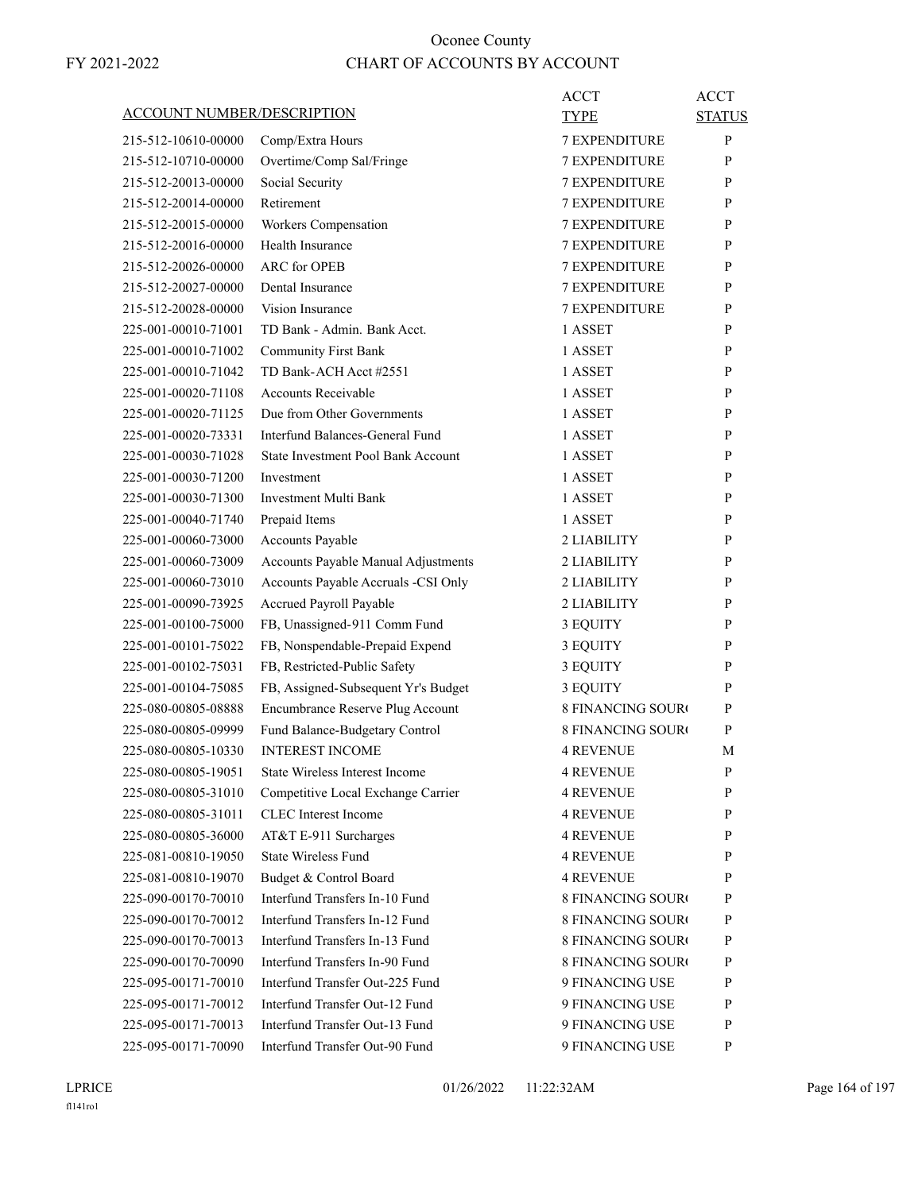| <b>ACCOUNT NUMBER/DESCRIPTION</b>          | ACCT<br>TYPE                                                    | <b>ACCT</b><br><b>STATUS</b> |
|--------------------------------------------|-----------------------------------------------------------------|------------------------------|
| 215-512-10610-00000                        | Comp/Extra Hours<br><b>7 EXPENDITURE</b>                        | P                            |
| 215-512-10710-00000                        | Overtime/Comp Sal/Fringe<br><b>7 EXPENDITURE</b>                | P                            |
| 215-512-20013-00000                        | Social Security<br><b>7 EXPENDITURE</b>                         | P                            |
| 215-512-20014-00000                        | Retirement<br><b>7 EXPENDITURE</b>                              | P                            |
| 215-512-20015-00000                        | Workers Compensation<br><b>7 EXPENDITURE</b>                    | P                            |
| 215-512-20016-00000                        | Health Insurance<br><b>7 EXPENDITURE</b>                        | P                            |
| 215-512-20026-00000                        | <b>ARC</b> for OPEB<br><b>7 EXPENDITURE</b>                     | P                            |
| 215-512-20027-00000                        | Dental Insurance<br>7 EXPENDITURE                               | P                            |
| 215-512-20028-00000                        | Vision Insurance<br><b>7 EXPENDITURE</b>                        | P                            |
| 225-001-00010-71001                        | TD Bank - Admin. Bank Acct.<br>1 ASSET                          | P                            |
| 225-001-00010-71002                        | <b>Community First Bank</b><br>1 ASSET                          | P                            |
| 225-001-00010-71042                        | TD Bank-ACH Acct #2551<br>1 ASSET                               | P                            |
| 225-001-00020-71108                        | <b>Accounts Receivable</b><br>1 ASSET                           | P                            |
| 225-001-00020-71125                        | Due from Other Governments<br>1 ASSET                           | P                            |
| 225-001-00020-73331                        | Interfund Balances-General Fund<br>1 ASSET                      | P                            |
| 225-001-00030-71028                        | State Investment Pool Bank Account<br>1 ASSET                   | P                            |
| 225-001-00030-71200                        | 1 ASSET<br>Investment                                           | P                            |
| 225-001-00030-71300                        | Investment Multi Bank<br>1 ASSET                                | P                            |
| 225-001-00040-71740                        | Prepaid Items<br>1 ASSET                                        | P                            |
| 225-001-00060-73000                        | Accounts Payable<br>2 LIABILITY                                 | P                            |
| 225-001-00060-73009                        | Accounts Payable Manual Adjustments<br>2 LIABILITY              | P                            |
| 225-001-00060-73010                        | Accounts Payable Accruals -CSI Only<br>2 LIABILITY              | P                            |
| 225-001-00090-73925                        | Accrued Payroll Payable<br>2 LIABILITY                          | P                            |
| 225-001-00100-75000                        | FB, Unassigned-911 Comm Fund<br>3 EQUITY                        | P                            |
| 225-001-00101-75022                        | FB, Nonspendable-Prepaid Expend<br>3 EQUITY                     | P                            |
| 225-001-00102-75031                        | FB, Restricted-Public Safety<br>3 EQUITY                        | P                            |
| 225-001-00104-75085                        | FB, Assigned-Subsequent Yr's Budget<br>3 EQUITY                 | P                            |
| 225-080-00805-08888                        | Encumbrance Reserve Plug Account<br><b>8 FINANCING SOURO</b>    | P                            |
|                                            | <b>8 FINANCING SOURO</b>                                        | P                            |
| 225-080-00805-09999<br>225-080-00805-10330 | Fund Balance-Budgetary Control<br><b>INTEREST INCOME</b>        |                              |
| 225-080-00805-19051                        | 4 REVENUE<br>State Wireless Interest Income<br><b>4 REVENUE</b> | М<br>P                       |
| 225-080-00805-31010                        | Competitive Local Exchange Carrier                              |                              |
|                                            | <b>4 REVENUE</b><br><b>CLEC</b> Interest Income                 | P<br>P                       |
| 225-080-00805-31011<br>225-080-00805-36000 | 4 REVENUE<br>AT&T E-911 Surcharges<br><b>4 REVENUE</b>          | P                            |
| 225-081-00810-19050                        | <b>State Wireless Fund</b><br><b>4 REVENUE</b>                  |                              |
| 225-081-00810-19070                        | Budget & Control Board<br><b>4 REVENUE</b>                      | P<br>P                       |
|                                            | Interfund Transfers In-10 Fund                                  | P                            |
| 225-090-00170-70010                        | 8 FINANCING SOUR(<br>Interfund Transfers In-12 Fund             |                              |
| 225-090-00170-70012                        | <b>8 FINANCING SOURO</b>                                        | P                            |
| 225-090-00170-70013                        | Interfund Transfers In-13 Fund<br><b>8 FINANCING SOURO</b>      | P                            |
| 225-090-00170-70090                        | Interfund Transfers In-90 Fund<br>8 FINANCING SOURO             | P                            |
| 225-095-00171-70010                        | Interfund Transfer Out-225 Fund<br>9 FINANCING USE              | P                            |
| 225-095-00171-70012                        | Interfund Transfer Out-12 Fund<br>9 FINANCING USE               | P                            |
| 225-095-00171-70013                        | Interfund Transfer Out-13 Fund<br>9 FINANCING USE               | P                            |
| 225-095-00171-70090                        | Interfund Transfer Out-90 Fund<br>9 FINANCING USE               | P                            |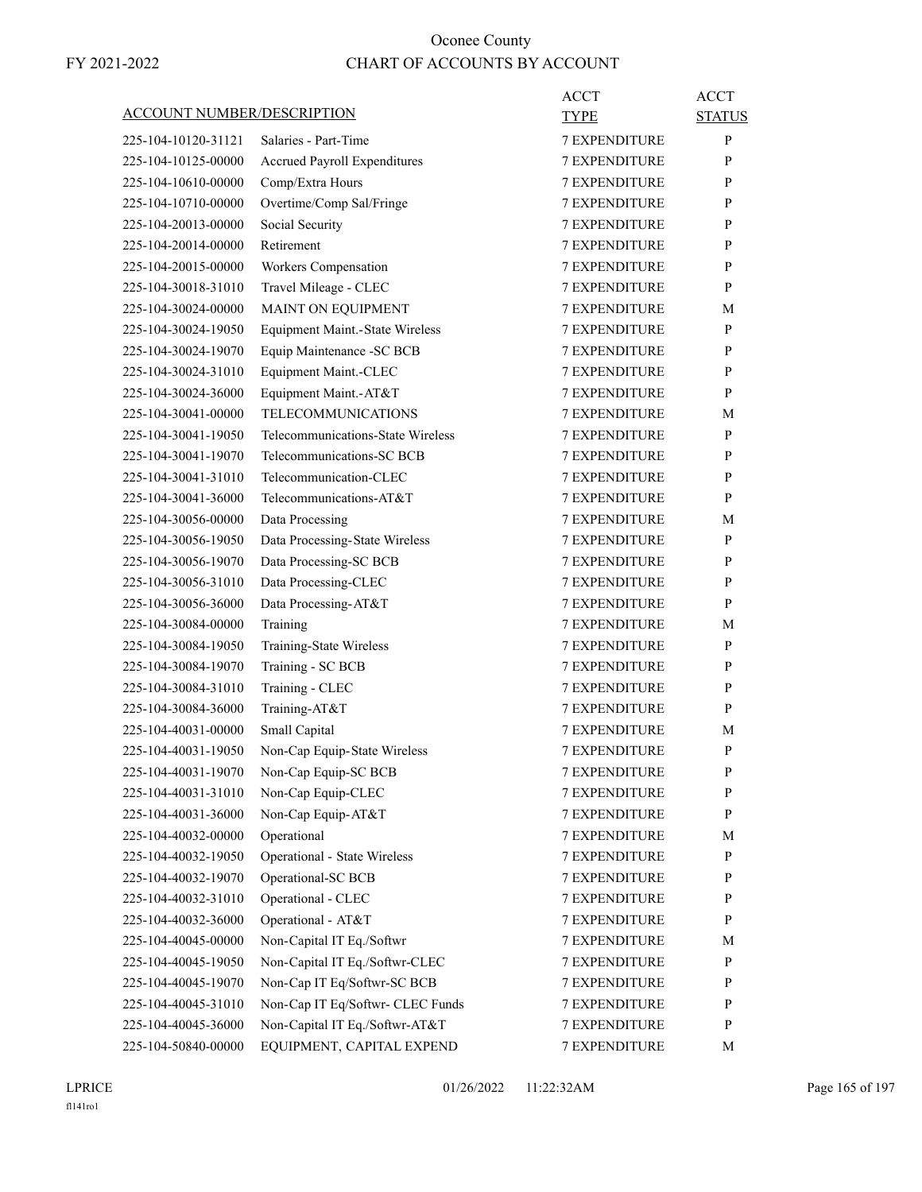| ACCOUNT NUMBER/DESCRIPTION                 |                                        | ACCT<br>TYPE                          | <b>ACCT</b><br><b>STATUS</b> |
|--------------------------------------------|----------------------------------------|---------------------------------------|------------------------------|
| 225-104-10120-31121                        | Salaries - Part-Time                   | <b>7 EXPENDITURE</b>                  | P                            |
| 225-104-10125-00000                        | <b>Accrued Payroll Expenditures</b>    | <b>7 EXPENDITURE</b>                  | P                            |
| 225-104-10610-00000                        | Comp/Extra Hours                       | <b>7 EXPENDITURE</b>                  | P                            |
| 225-104-10710-00000                        | Overtime/Comp Sal/Fringe               | <b>7 EXPENDITURE</b>                  | P                            |
| 225-104-20013-00000                        | Social Security                        | <b>7 EXPENDITURE</b>                  | P                            |
| 225-104-20014-00000                        | Retirement                             | <b>7 EXPENDITURE</b>                  | P                            |
| 225-104-20015-00000                        | Workers Compensation                   | <b>7 EXPENDITURE</b>                  | P                            |
| 225-104-30018-31010                        | Travel Mileage - CLEC                  | <b>7 EXPENDITURE</b>                  | P                            |
| 225-104-30024-00000                        | MAINT ON EQUIPMENT                     | <b>7 EXPENDITURE</b>                  | М                            |
| 225-104-30024-19050                        | <b>Equipment Maint.-State Wireless</b> | <b>7 EXPENDITURE</b>                  | P                            |
| 225-104-30024-19070                        | Equip Maintenance -SC BCB              | <b>7 EXPENDITURE</b>                  | P                            |
| 225-104-30024-31010                        | Equipment Maint.-CLEC                  | <b>7 EXPENDITURE</b>                  | P                            |
| 225-104-30024-36000                        | Equipment Maint.-AT&T                  | <b>7 EXPENDITURE</b>                  | P                            |
| 225-104-30041-00000                        | <b>TELECOMMUNICATIONS</b>              | <b>7 EXPENDITURE</b>                  | М                            |
| 225-104-30041-19050                        | Telecommunications-State Wireless      | <b>7 EXPENDITURE</b>                  | P                            |
| 225-104-30041-19070                        | Telecommunications-SC BCB              | <b>7 EXPENDITURE</b>                  | P                            |
| 225-104-30041-31010                        | Telecommunication-CLEC                 | <b>7 EXPENDITURE</b>                  | P                            |
| 225-104-30041-36000                        | Telecommunications-AT&T                | <b>7 EXPENDITURE</b>                  | P                            |
| 225-104-30056-00000                        | Data Processing                        | <b>7 EXPENDITURE</b>                  | М                            |
| 225-104-30056-19050                        | Data Processing-State Wireless         | <b>7 EXPENDITURE</b>                  | P                            |
| 225-104-30056-19070                        | Data Processing-SC BCB                 | <b>7 EXPENDITURE</b>                  | P                            |
| 225-104-30056-31010                        | Data Processing-CLEC                   | <b>7 EXPENDITURE</b>                  | P                            |
| 225-104-30056-36000                        | Data Processing-AT&T                   | <b>7 EXPENDITURE</b>                  | P                            |
| 225-104-30084-00000                        |                                        | <b>7 EXPENDITURE</b>                  |                              |
|                                            | Training                               |                                       | М<br>P                       |
| 225-104-30084-19050                        | Training-State Wireless                | <b>7 EXPENDITURE</b>                  |                              |
| 225-104-30084-19070<br>225-104-30084-31010 | Training - SC BCB                      | 7 EXPENDITURE<br><b>7 EXPENDITURE</b> | P<br>P                       |
|                                            | Training - CLEC                        |                                       |                              |
| 225-104-30084-36000                        | Training-AT&T                          | <b>7 EXPENDITURE</b>                  | P                            |
| 225-104-40031-00000                        | Small Capital                          | <b>7 EXPENDITURE</b>                  | М                            |
| 225-104-40031-19050                        | Non-Cap Equip-State Wireless           | <b>7 EXPENDITURE</b>                  | P                            |
| 225-104-40031-19070                        | Non-Cap Equip-SC BCB                   | <b>7 EXPENDITURE</b>                  | $\mathbf{P}$                 |
| 225-104-40031-31010                        | Non-Cap Equip-CLEC                     | <b>7 EXPENDITURE</b>                  | P                            |
| 225-104-40031-36000                        | Non-Cap Equip-AT&T                     | 7 EXPENDITURE                         | $\mathbf{P}$                 |
| 225-104-40032-00000                        | Operational                            | 7 EXPENDITURE                         | М                            |
| 225-104-40032-19050                        | <b>Operational - State Wireless</b>    | 7 EXPENDITURE                         | P                            |
| 225-104-40032-19070                        | Operational-SC BCB                     | 7 EXPENDITURE                         | P                            |
| 225-104-40032-31010                        | Operational - CLEC                     | 7 EXPENDITURE                         | P                            |
| 225-104-40032-36000                        | Operational - AT&T                     | 7 EXPENDITURE                         | P                            |
| 225-104-40045-00000                        | Non-Capital IT Eq./Softwr              | 7 EXPENDITURE                         | М                            |
| 225-104-40045-19050                        | Non-Capital IT Eq./Softwr-CLEC         | 7 EXPENDITURE                         | $\mathbf{P}$                 |
| 225-104-40045-19070                        | Non-Cap IT Eq/Softwr-SC BCB            | 7 EXPENDITURE                         | P                            |
| 225-104-40045-31010                        | Non-Cap IT Eq/Softwr- CLEC Funds       | 7 EXPENDITURE                         | $\mathbf{P}$                 |
| 225-104-40045-36000                        | Non-Capital IT Eq./Softwr-AT&T         | <b>7 EXPENDITURE</b>                  | $\mathbf{P}$                 |
| 225-104-50840-00000                        | EQUIPMENT, CAPITAL EXPEND              | 7 EXPENDITURE                         | M                            |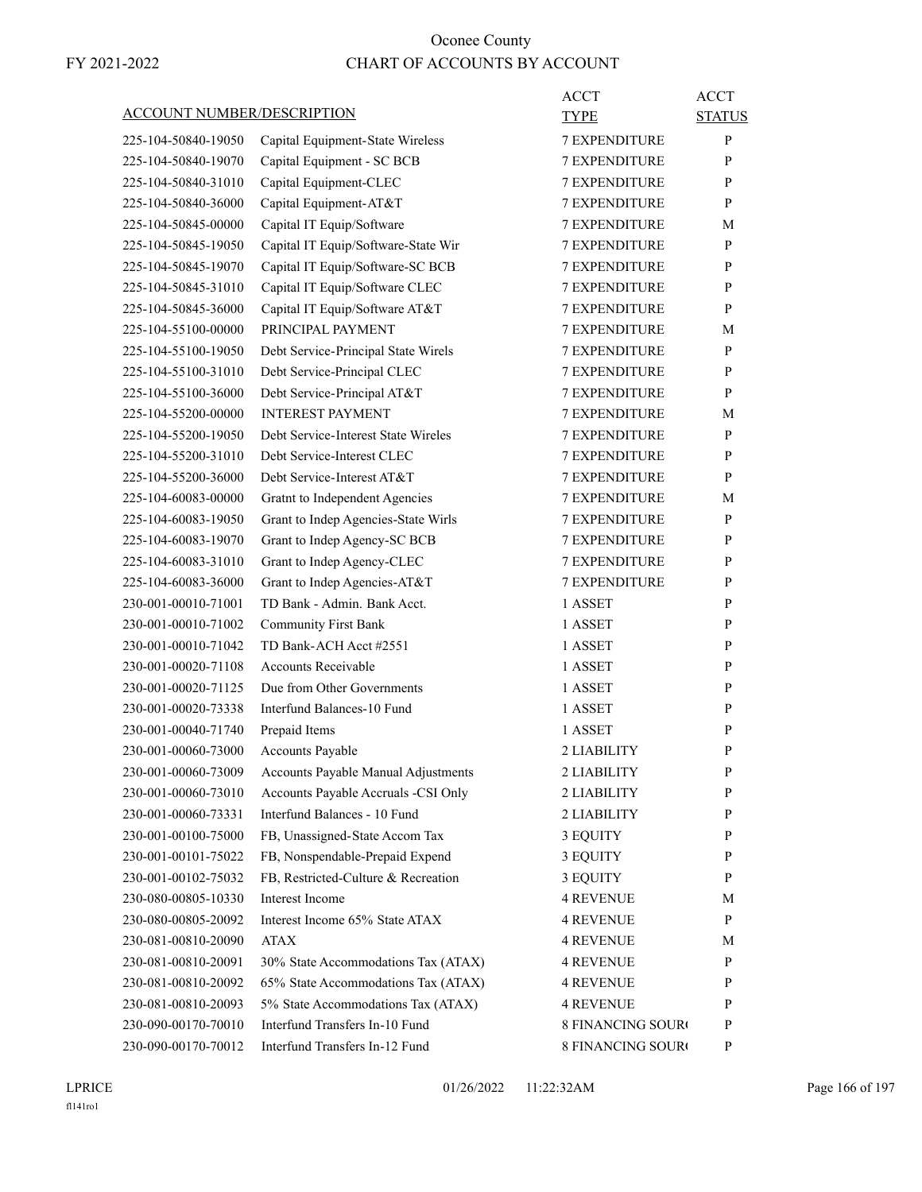| <b>ACCOUNT NUMBER/DESCRIPTION</b> |                                     | <b>ACCT</b><br><b>TYPE</b> | <b>ACCT</b>   |
|-----------------------------------|-------------------------------------|----------------------------|---------------|
|                                   |                                     |                            | <b>STATUS</b> |
| 225-104-50840-19050               | Capital Equipment-State Wireless    | <b>7 EXPENDITURE</b>       | P             |
| 225-104-50840-19070               | Capital Equipment - SC BCB          | <b>7 EXPENDITURE</b>       | P             |
| 225-104-50840-31010               | Capital Equipment-CLEC              | <b>7 EXPENDITURE</b>       | P             |
| 225-104-50840-36000               | Capital Equipment-AT&T              | <b>7 EXPENDITURE</b>       | P             |
| 225-104-50845-00000               | Capital IT Equip/Software           | <b>7 EXPENDITURE</b>       | М             |
| 225-104-50845-19050               | Capital IT Equip/Software-State Wir | <b>7 EXPENDITURE</b>       | P             |
| 225-104-50845-19070               | Capital IT Equip/Software-SC BCB    | <b>7 EXPENDITURE</b>       | P             |
| 225-104-50845-31010               | Capital IT Equip/Software CLEC      | <b>7 EXPENDITURE</b>       | P             |
| 225-104-50845-36000               | Capital IT Equip/Software AT&T      | <b>7 EXPENDITURE</b>       | P             |
| 225-104-55100-00000               | PRINCIPAL PAYMENT                   | <b>7 EXPENDITURE</b>       | М             |
| 225-104-55100-19050               | Debt Service-Principal State Wirels | <b>7 EXPENDITURE</b>       | P             |
| 225-104-55100-31010               | Debt Service-Principal CLEC         | <b>7 EXPENDITURE</b>       | P             |
| 225-104-55100-36000               | Debt Service-Principal AT&T         | <b>7 EXPENDITURE</b>       | P             |
| 225-104-55200-00000               | <b>INTEREST PAYMENT</b>             | <b>7 EXPENDITURE</b>       | М             |
| 225-104-55200-19050               | Debt Service-Interest State Wireles | <b>7 EXPENDITURE</b>       | P             |
| 225-104-55200-31010               | Debt Service-Interest CLEC          | <b>7 EXPENDITURE</b>       | P             |
| 225-104-55200-36000               | Debt Service-Interest AT&T          | <b>7 EXPENDITURE</b>       | P             |
| 225-104-60083-00000               | Gratnt to Independent Agencies      | <b>7 EXPENDITURE</b>       | М             |
| 225-104-60083-19050               | Grant to Indep Agencies-State Wirls | <b>7 EXPENDITURE</b>       | P             |
| 225-104-60083-19070               | Grant to Indep Agency-SC BCB        | <b>7 EXPENDITURE</b>       | P             |
| 225-104-60083-31010               | Grant to Indep Agency-CLEC          | <b>7 EXPENDITURE</b>       | P             |
| 225-104-60083-36000               | Grant to Indep Agencies-AT&T        | <b>7 EXPENDITURE</b>       | P             |
| 230-001-00010-71001               | TD Bank - Admin. Bank Acct.         | 1 ASSET                    | P             |
| 230-001-00010-71002               | <b>Community First Bank</b>         | 1 ASSET                    | P             |
| 230-001-00010-71042               | TD Bank-ACH Acct #2551              | 1 ASSET                    | P             |
| 230-001-00020-71108               | <b>Accounts Receivable</b>          | 1 ASSET                    | P             |
| 230-001-00020-71125               | Due from Other Governments          | 1 ASSET                    | P             |
| 230-001-00020-73338               | Interfund Balances-10 Fund          | 1 ASSET                    | P             |
| 230-001-00040-71740               | Prepaid Items                       | 1 ASSET                    | P             |
| 230-001-00060-73000               | <b>Accounts Payable</b>             | 2 LIABILITY                | P             |
| 230-001-00060-73009               | Accounts Payable Manual Adjustments | 2 LIABILITY                | $\mathbf{P}$  |
| 230-001-00060-73010               | Accounts Payable Accruals -CSI Only | 2 LIABILITY                | P             |
| 230-001-00060-73331               | Interfund Balances - 10 Fund        | 2 LIABILITY                | $\mathbf{P}$  |
| 230-001-00100-75000               | FB, Unassigned-State Accom Tax      | 3 EQUITY                   | P             |
| 230-001-00101-75022               | FB, Nonspendable-Prepaid Expend     | 3 EQUITY                   | P             |
| 230-001-00102-75032               | FB, Restricted-Culture & Recreation | 3 EQUITY                   | $\mathbf{P}$  |
| 230-080-00805-10330               | Interest Income                     | <b>4 REVENUE</b>           | М             |
| 230-080-00805-20092               | Interest Income 65% State ATAX      | 4 REVENUE                  | $\mathbf{P}$  |
| 230-081-00810-20090               | <b>ATAX</b>                         | 4 REVENUE                  | М             |
| 230-081-00810-20091               | 30% State Accommodations Tax (ATAX) | <b>4 REVENUE</b>           | $\mathbf{P}$  |
| 230-081-00810-20092               | 65% State Accommodations Tax (ATAX) | <b>4 REVENUE</b>           | P             |
| 230-081-00810-20093               | 5% State Accommodations Tax (ATAX)  | <b>4 REVENUE</b>           | $\mathbf{P}$  |
| 230-090-00170-70010               | Interfund Transfers In-10 Fund      | <b>8 FINANCING SOURO</b>   | P             |
| 230-090-00170-70012               | Interfund Transfers In-12 Fund      | 8 FINANCING SOURO          | P             |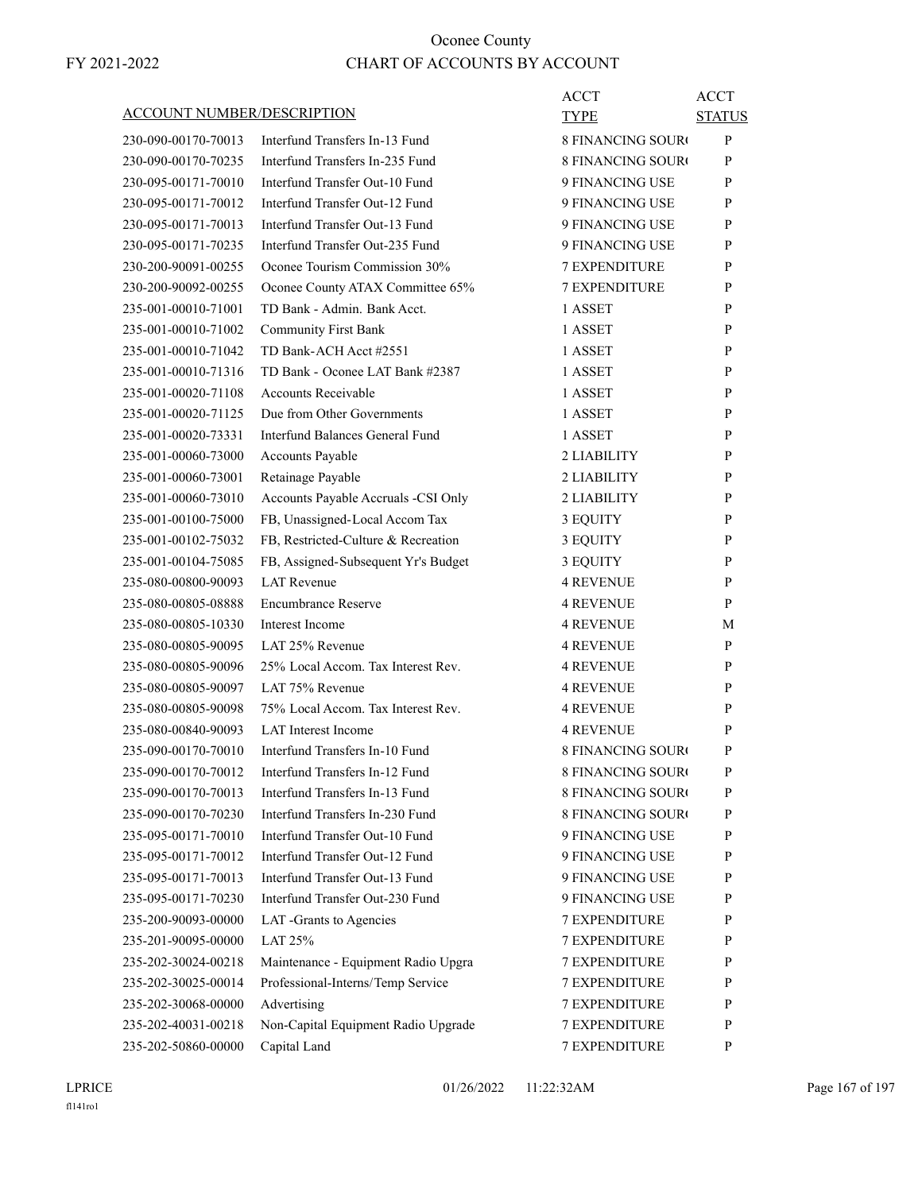|                                   |                                     | <b>ACCT</b>              | <b>ACCT</b>   |
|-----------------------------------|-------------------------------------|--------------------------|---------------|
| <b>ACCOUNT NUMBER/DESCRIPTION</b> |                                     | TYPE                     | <b>STATUS</b> |
| 230-090-00170-70013               | Interfund Transfers In-13 Fund      | <b>8 FINANCING SOURO</b> | P             |
| 230-090-00170-70235               | Interfund Transfers In-235 Fund     | <b>8 FINANCING SOURC</b> | P             |
| 230-095-00171-70010               | Interfund Transfer Out-10 Fund      | 9 FINANCING USE          | P             |
| 230-095-00171-70012               | Interfund Transfer Out-12 Fund      | 9 FINANCING USE          | P             |
| 230-095-00171-70013               | Interfund Transfer Out-13 Fund      | 9 FINANCING USE          | P             |
| 230-095-00171-70235               | Interfund Transfer Out-235 Fund     | 9 FINANCING USE          | P             |
| 230-200-90091-00255               | Oconee Tourism Commission 30%       | <b>7 EXPENDITURE</b>     | P             |
| 230-200-90092-00255               | Oconee County ATAX Committee 65%    | <b>7 EXPENDITURE</b>     | P             |
| 235-001-00010-71001               | TD Bank - Admin. Bank Acct.         | 1 ASSET                  | P             |
| 235-001-00010-71002               | <b>Community First Bank</b>         | 1 ASSET                  | P             |
| 235-001-00010-71042               | TD Bank-ACH Acct #2551              | 1 ASSET                  | P             |
| 235-001-00010-71316               | TD Bank - Oconee LAT Bank #2387     | 1 ASSET                  | P             |
| 235-001-00020-71108               | <b>Accounts Receivable</b>          | 1 ASSET                  | P             |
| 235-001-00020-71125               | Due from Other Governments          | 1 ASSET                  | P             |
| 235-001-00020-73331               | Interfund Balances General Fund     | 1 ASSET                  | P             |
| 235-001-00060-73000               | Accounts Payable                    | 2 LIABILITY              | P             |
| 235-001-00060-73001               | Retainage Payable                   | 2 LIABILITY              | P             |
| 235-001-00060-73010               | Accounts Payable Accruals -CSI Only | 2 LIABILITY              | P             |
| 235-001-00100-75000               | FB, Unassigned-Local Accom Tax      | 3 EQUITY                 | P             |
| 235-001-00102-75032               | FB, Restricted-Culture & Recreation | 3 EQUITY                 | P             |
| 235-001-00104-75085               | FB, Assigned-Subsequent Yr's Budget | 3 EQUITY                 | P             |
| 235-080-00800-90093               | <b>LAT Revenue</b>                  | <b>4 REVENUE</b>         | P             |
| 235-080-00805-08888               | <b>Encumbrance Reserve</b>          | <b>4 REVENUE</b>         | P             |
| 235-080-00805-10330               | Interest Income                     | <b>4 REVENUE</b>         | М             |
| 235-080-00805-90095               | LAT 25% Revenue                     | <b>4 REVENUE</b>         | P             |
| 235-080-00805-90096               | 25% Local Accom. Tax Interest Rev.  | <b>4 REVENUE</b>         | P             |
| 235-080-00805-90097               | LAT 75% Revenue                     | <b>4 REVENUE</b>         | P             |
| 235-080-00805-90098               | 75% Local Accom. Tax Interest Rev.  | <b>4 REVENUE</b>         | P             |
| 235-080-00840-90093               | <b>LAT</b> Interest Income          | <b>4 REVENUE</b>         | P             |
| 235-090-00170-70010               | Interfund Transfers In-10 Fund      | <b>8 FINANCING SOURO</b> | P             |
| 235-090-00170-70012               | Interfund Transfers In-12 Fund      | 8 FINANCING SOURO        | ${\bf P}$     |
| 235-090-00170-70013               | Interfund Transfers In-13 Fund      | <b>8 FINANCING SOURO</b> | P             |
| 235-090-00170-70230               | Interfund Transfers In-230 Fund     | <b>8 FINANCING SOURO</b> | P             |
| 235-095-00171-70010               | Interfund Transfer Out-10 Fund      | 9 FINANCING USE          | P             |
| 235-095-00171-70012               | Interfund Transfer Out-12 Fund      | 9 FINANCING USE          | P             |
| 235-095-00171-70013               | Interfund Transfer Out-13 Fund      | 9 FINANCING USE          | P             |
| 235-095-00171-70230               | Interfund Transfer Out-230 Fund     | 9 FINANCING USE          | P             |
| 235-200-90093-00000               | LAT -Grants to Agencies             | <b>7 EXPENDITURE</b>     | P             |
| 235-201-90095-00000               | LAT 25%                             | <b>7 EXPENDITURE</b>     | P             |
| 235-202-30024-00218               | Maintenance - Equipment Radio Upgra | 7 EXPENDITURE            | P             |
| 235-202-30025-00014               | Professional-Interns/Temp Service   | 7 EXPENDITURE            | P             |
| 235-202-30068-00000               | Advertising                         | 7 EXPENDITURE            | P             |
| 235-202-40031-00218               | Non-Capital Equipment Radio Upgrade | 7 EXPENDITURE            | P             |
| 235-202-50860-00000               | Capital Land                        | 7 EXPENDITURE            | P             |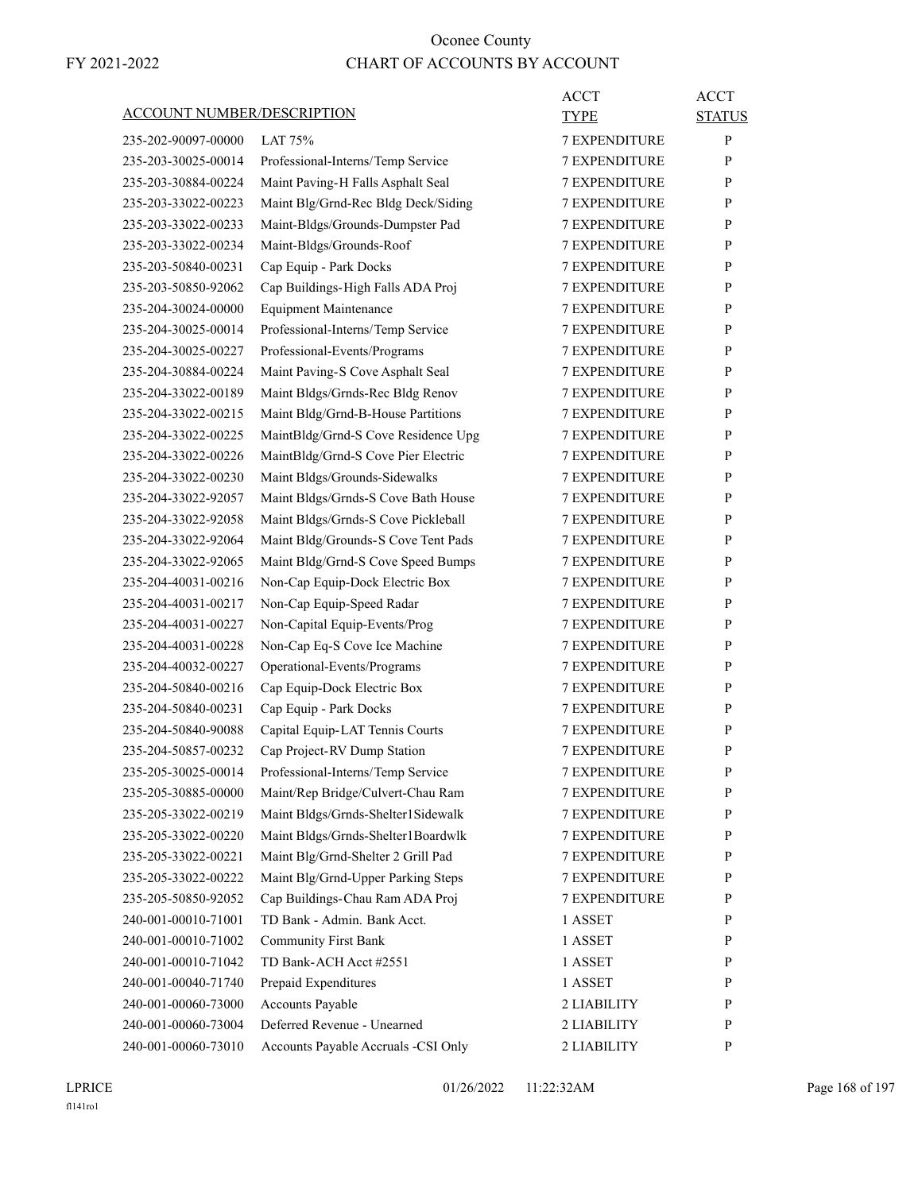| <b>ACCOUNT NUMBER/DESCRIPTION</b> |                                     | <b>ACCT</b><br>TYPE  | <b>ACCT</b><br><b>STATUS</b> |
|-----------------------------------|-------------------------------------|----------------------|------------------------------|
| 235-202-90097-00000               | LAT $75%$                           | <b>7 EXPENDITURE</b> | P                            |
| 235-203-30025-00014               | Professional-Interns/Temp Service   | <b>7 EXPENDITURE</b> | P                            |
| 235-203-30884-00224               | Maint Paving-H Falls Asphalt Seal   | <b>7 EXPENDITURE</b> | P                            |
| 235-203-33022-00223               | Maint Blg/Grnd-Rec Bldg Deck/Siding | <b>7 EXPENDITURE</b> | P                            |
| 235-203-33022-00233               | Maint-Bldgs/Grounds-Dumpster Pad    | <b>7 EXPENDITURE</b> | P                            |
| 235-203-33022-00234               | Maint-Bldgs/Grounds-Roof            | <b>7 EXPENDITURE</b> | P                            |
| 235-203-50840-00231               | Cap Equip - Park Docks              | <b>7 EXPENDITURE</b> | P                            |
| 235-203-50850-92062               | Cap Buildings-High Falls ADA Proj   | <b>7 EXPENDITURE</b> | P                            |
| 235-204-30024-00000               | <b>Equipment Maintenance</b>        | <b>7 EXPENDITURE</b> | P                            |
| 235-204-30025-00014               | Professional-Interns/Temp Service   | <b>7 EXPENDITURE</b> | P                            |
| 235-204-30025-00227               | Professional-Events/Programs        | <b>7 EXPENDITURE</b> | P                            |
| 235-204-30884-00224               | Maint Paving-S Cove Asphalt Seal    | <b>7 EXPENDITURE</b> | P                            |
| 235-204-33022-00189               | Maint Bldgs/Grnds-Rec Bldg Renov    | <b>7 EXPENDITURE</b> | P                            |
| 235-204-33022-00215               | Maint Bldg/Grnd-B-House Partitions  | <b>7 EXPENDITURE</b> | P                            |
| 235-204-33022-00225               | MaintBldg/Grnd-S Cove Residence Upg | <b>7 EXPENDITURE</b> | P                            |
| 235-204-33022-00226               | MaintBldg/Grnd-S Cove Pier Electric | <b>7 EXPENDITURE</b> | P                            |
| 235-204-33022-00230               | Maint Bldgs/Grounds-Sidewalks       | <b>7 EXPENDITURE</b> | P                            |
| 235-204-33022-92057               | Maint Bldgs/Grnds-S Cove Bath House | <b>7 EXPENDITURE</b> | P                            |
| 235-204-33022-92058               | Maint Bldgs/Grnds-S Cove Pickleball | <b>7 EXPENDITURE</b> | P                            |
| 235-204-33022-92064               | Maint Bldg/Grounds-S Cove Tent Pads | 7 EXPENDITURE        | P                            |
| 235-204-33022-92065               | Maint Bldg/Grnd-S Cove Speed Bumps  | <b>7 EXPENDITURE</b> | P                            |
| 235-204-40031-00216               | Non-Cap Equip-Dock Electric Box     | <b>7 EXPENDITURE</b> | P                            |
| 235-204-40031-00217               | Non-Cap Equip-Speed Radar           | <b>7 EXPENDITURE</b> | P                            |
| 235-204-40031-00227               | Non-Capital Equip-Events/Prog       | <b>7 EXPENDITURE</b> | P                            |
| 235-204-40031-00228               | Non-Cap Eq-S Cove Ice Machine       | <b>7 EXPENDITURE</b> | P                            |
| 235-204-40032-00227               | Operational-Events/Programs         | <b>7 EXPENDITURE</b> | P                            |
| 235-204-50840-00216               | Cap Equip-Dock Electric Box         | <b>7 EXPENDITURE</b> | P                            |
| 235-204-50840-00231               | Cap Equip - Park Docks              | <b>7 EXPENDITURE</b> | P                            |
| 235-204-50840-90088               | Capital Equip-LAT Tennis Courts     | <b>7 EXPENDITURE</b> | P                            |
| 235-204-50857-00232               | Cap Project-RV Dump Station         | <b>7 EXPENDITURE</b> | P                            |
| 235-205-30025-00014               | Professional-Interns/Temp Service   | 7 EXPENDITURE        | P                            |
| 235-205-30885-00000               | Maint/Rep Bridge/Culvert-Chau Ram   | <b>7 EXPENDITURE</b> | P                            |
| 235-205-33022-00219               | Maint Bldgs/Grnds-Shelter1Sidewalk  | <b>7 EXPENDITURE</b> | $\mathbf{P}$                 |
| 235-205-33022-00220               | Maint Bldgs/Grnds-Shelter1Boardwlk  | 7 EXPENDITURE        | P                            |
| 235-205-33022-00221               | Maint Blg/Grnd-Shelter 2 Grill Pad  | 7 EXPENDITURE        | P                            |
| 235-205-33022-00222               | Maint Blg/Grnd-Upper Parking Steps  | 7 EXPENDITURE        | $\mathbf{P}$                 |
| 235-205-50850-92052               | Cap Buildings-Chau Ram ADA Proj     | 7 EXPENDITURE        | P                            |
| 240-001-00010-71001               | TD Bank - Admin. Bank Acct.         | 1 ASSET              | P                            |
| 240-001-00010-71002               | <b>Community First Bank</b>         | 1 ASSET              | $\mathbf{P}$                 |
| 240-001-00010-71042               | TD Bank-ACH Acct #2551              | 1 ASSET              | P                            |
| 240-001-00040-71740               | Prepaid Expenditures                | 1 ASSET              | P                            |
| 240-001-00060-73000               | Accounts Payable                    | 2 LIABILITY          | P                            |
| 240-001-00060-73004               | Deferred Revenue - Unearned         | 2 LIABILITY          | P                            |
| 240-001-00060-73010               | Accounts Payable Accruals -CSI Only | 2 LIABILITY          | P                            |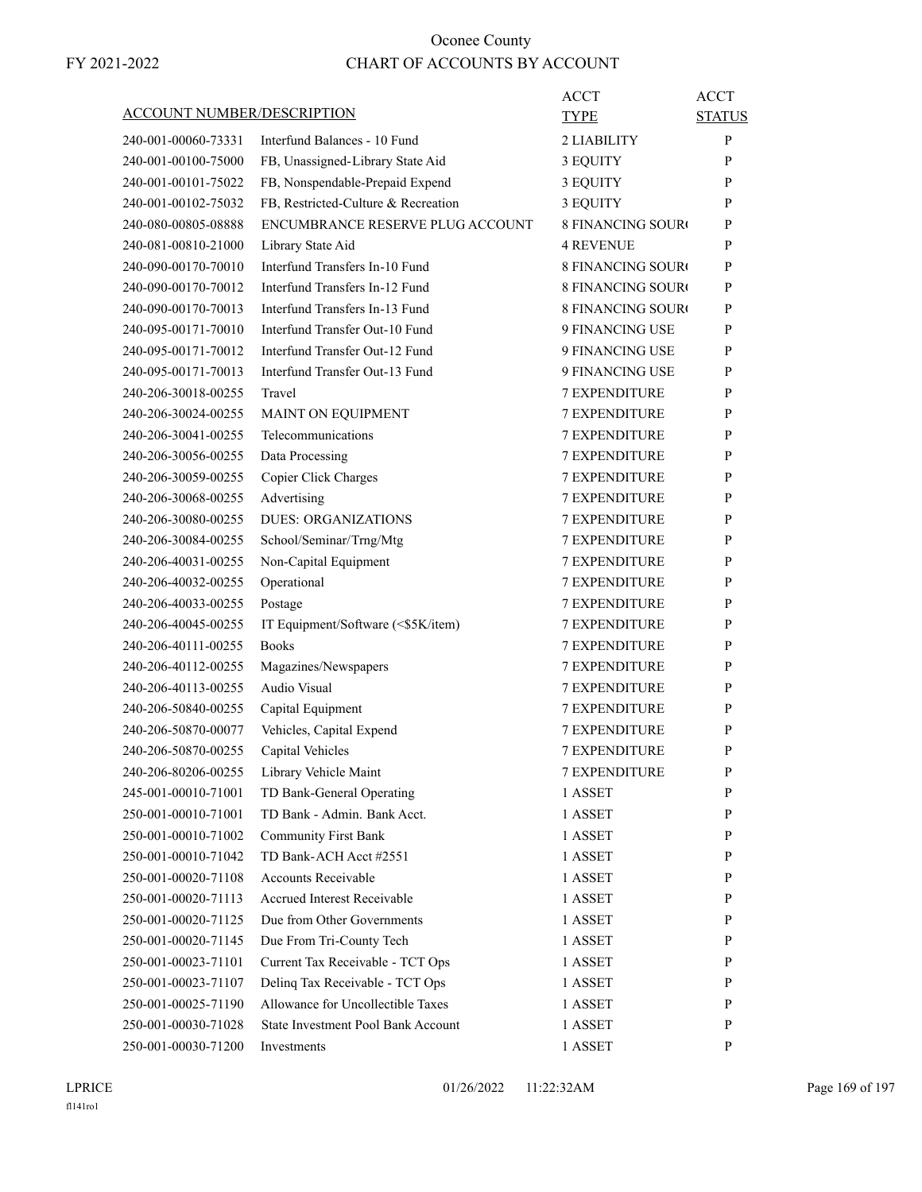| ACCOUNT NUMBER/DESCRIPTION |                                         | ACCT<br><b>TYPE</b>      | <b>ACCT</b><br><b>STATUS</b> |
|----------------------------|-----------------------------------------|--------------------------|------------------------------|
| 240-001-00060-73331        | Interfund Balances - 10 Fund            | 2 LIABILITY              | P                            |
| 240-001-00100-75000        | FB, Unassigned-Library State Aid        | 3 EQUITY                 | P                            |
| 240-001-00101-75022        | FB, Nonspendable-Prepaid Expend         | 3 EQUITY                 | P                            |
| 240-001-00102-75032        | FB, Restricted-Culture & Recreation     | 3 EQUITY                 | P                            |
| 240-080-00805-08888        | <b>ENCUMBRANCE RESERVE PLUG ACCOUNT</b> | <b>8 FINANCING SOURO</b> | P                            |
| 240-081-00810-21000        | Library State Aid                       | <b>4 REVENUE</b>         | P                            |
| 240-090-00170-70010        | Interfund Transfers In-10 Fund          | <b>8 FINANCING SOURO</b> | P                            |
| 240-090-00170-70012        | Interfund Transfers In-12 Fund          | <b>8 FINANCING SOURO</b> | P                            |
| 240-090-00170-70013        | Interfund Transfers In-13 Fund          | <b>8 FINANCING SOURO</b> | P                            |
| 240-095-00171-70010        | Interfund Transfer Out-10 Fund          | 9 FINANCING USE          | P                            |
| 240-095-00171-70012        | Interfund Transfer Out-12 Fund          | 9 FINANCING USE          | P                            |
| 240-095-00171-70013        | Interfund Transfer Out-13 Fund          | 9 FINANCING USE          | P                            |
| 240-206-30018-00255        | Travel                                  | <b>7 EXPENDITURE</b>     | P                            |
| 240-206-30024-00255        | MAINT ON EQUIPMENT                      | <b>7 EXPENDITURE</b>     | P                            |
| 240-206-30041-00255        | Telecommunications                      | <b>7 EXPENDITURE</b>     | P                            |
| 240-206-30056-00255        | Data Processing                         | <b>7 EXPENDITURE</b>     | P                            |
| 240-206-30059-00255        | Copier Click Charges                    | <b>7 EXPENDITURE</b>     | P                            |
| 240-206-30068-00255        | Advertising                             | <b>7 EXPENDITURE</b>     | P                            |
| 240-206-30080-00255        | <b>DUES: ORGANIZATIONS</b>              | <b>7 EXPENDITURE</b>     | P                            |
| 240-206-30084-00255        | School/Seminar/Trng/Mtg                 | <b>7 EXPENDITURE</b>     | P                            |
| 240-206-40031-00255        | Non-Capital Equipment                   | <b>7 EXPENDITURE</b>     | P                            |
| 240-206-40032-00255        | Operational                             | <b>7 EXPENDITURE</b>     | P                            |
| 240-206-40033-00255        | Postage                                 | <b>7 EXPENDITURE</b>     | P                            |
| 240-206-40045-00255        | IT Equipment/Software (<\$5K/item)      | <b>7 EXPENDITURE</b>     | P                            |
| 240-206-40111-00255        | <b>Books</b>                            | <b>7 EXPENDITURE</b>     | P                            |
| 240-206-40112-00255        | Magazines/Newspapers                    | <b>7 EXPENDITURE</b>     | P                            |
| 240-206-40113-00255        | Audio Visual                            | <b>7 EXPENDITURE</b>     | P                            |
| 240-206-50840-00255        | Capital Equipment                       | <b>7 EXPENDITURE</b>     | P                            |
| 240-206-50870-00077        | Vehicles, Capital Expend                | <b>7 EXPENDITURE</b>     | P                            |
| 240-206-50870-00255        | Capital Vehicles                        | <b>7 EXPENDITURE</b>     | P                            |
| 240-206-80206-00255        | Library Vehicle Maint                   | <b>7 EXPENDITURE</b>     | P                            |
| 245-001-00010-71001        | TD Bank-General Operating               | 1 ASSET                  | P                            |
| 250-001-00010-71001        | TD Bank - Admin. Bank Acct.             | 1 ASSET                  | $\mathbf{P}$                 |
| 250-001-00010-71002        | <b>Community First Bank</b>             | 1 ASSET                  | P                            |
| 250-001-00010-71042        | TD Bank-ACH Acct #2551                  | 1 ASSET                  | P                            |
| 250-001-00020-71108        | Accounts Receivable                     | 1 ASSET                  | P                            |
| 250-001-00020-71113        | Accrued Interest Receivable             | 1 ASSET                  | P                            |
| 250-001-00020-71125        | Due from Other Governments              | 1 ASSET                  | P                            |
| 250-001-00020-71145        | Due From Tri-County Tech                | 1 ASSET                  | P                            |
| 250-001-00023-71101        | Current Tax Receivable - TCT Ops        | 1 ASSET                  | P                            |
| 250-001-00023-71107        | Delinq Tax Receivable - TCT Ops         | 1 ASSET                  | P                            |
| 250-001-00025-71190        | Allowance for Uncollectible Taxes       | 1 ASSET                  | P                            |
| 250-001-00030-71028        | State Investment Pool Bank Account      | 1 ASSET                  | P                            |
| 250-001-00030-71200        | Investments                             | 1 ASSET                  | P                            |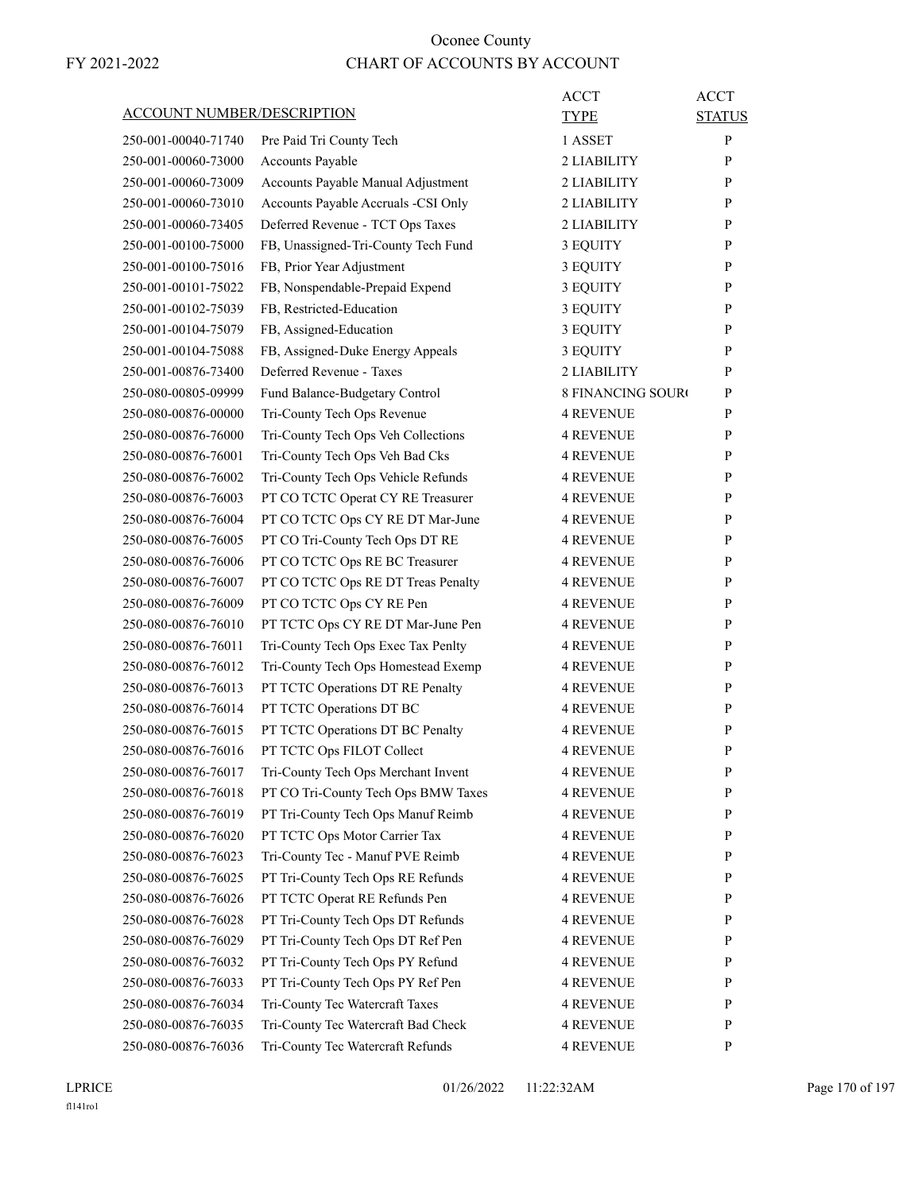|                                   |                                     | <b>ACCT</b>              | <b>ACCT</b>   |
|-----------------------------------|-------------------------------------|--------------------------|---------------|
| <b>ACCOUNT NUMBER/DESCRIPTION</b> |                                     | TYPE                     | <b>STATUS</b> |
| 250-001-00040-71740               | Pre Paid Tri County Tech            | 1 ASSET                  | P             |
| 250-001-00060-73000               | Accounts Payable                    | 2 LIABILITY              | P             |
| 250-001-00060-73009               | Accounts Payable Manual Adjustment  | 2 LIABILITY              | P             |
| 250-001-00060-73010               | Accounts Payable Accruals -CSI Only | 2 LIABILITY              | P             |
| 250-001-00060-73405               | Deferred Revenue - TCT Ops Taxes    | 2 LIABILITY              | P             |
| 250-001-00100-75000               | FB, Unassigned-Tri-County Tech Fund | 3 EQUITY                 | P             |
| 250-001-00100-75016               | FB, Prior Year Adjustment           | 3 EQUITY                 | P             |
| 250-001-00101-75022               | FB, Nonspendable-Prepaid Expend     | 3 EQUITY                 | P             |
| 250-001-00102-75039               | FB, Restricted-Education            | 3 EQUITY                 | P             |
| 250-001-00104-75079               | FB, Assigned-Education              | 3 EQUITY                 | P             |
| 250-001-00104-75088               | FB, Assigned-Duke Energy Appeals    | 3 EQUITY                 | P             |
| 250-001-00876-73400               | Deferred Revenue - Taxes            | 2 LIABILITY              | P             |
| 250-080-00805-09999               | Fund Balance-Budgetary Control      | <b>8 FINANCING SOURO</b> | P             |
| 250-080-00876-00000               | Tri-County Tech Ops Revenue         | <b>4 REVENUE</b>         | P             |
| 250-080-00876-76000               | Tri-County Tech Ops Veh Collections | <b>4 REVENUE</b>         | P             |
| 250-080-00876-76001               | Tri-County Tech Ops Veh Bad Cks     | 4 REVENUE                | P             |
| 250-080-00876-76002               | Tri-County Tech Ops Vehicle Refunds | <b>4 REVENUE</b>         | P             |
| 250-080-00876-76003               | PT CO TCTC Operat CY RE Treasurer   | 4 REVENUE                | P             |
| 250-080-00876-76004               | PT CO TCTC Ops CY RE DT Mar-June    | 4 REVENUE                | P             |
| 250-080-00876-76005               | PT CO Tri-County Tech Ops DT RE     | <b>4 REVENUE</b>         | P             |
| 250-080-00876-76006               | PT CO TCTC Ops RE BC Treasurer      | <b>4 REVENUE</b>         | P             |
| 250-080-00876-76007               | PT CO TCTC Ops RE DT Treas Penalty  | 4 REVENUE                | P             |
| 250-080-00876-76009               | PT CO TCTC Ops CY RE Pen            | <b>4 REVENUE</b>         | P             |
| 250-080-00876-76010               | PT TCTC Ops CY RE DT Mar-June Pen   | 4 REVENUE                | P             |
| 250-080-00876-76011               | Tri-County Tech Ops Exec Tax Penlty | 4 REVENUE                | P             |
| 250-080-00876-76012               | Tri-County Tech Ops Homestead Exemp | <b>4 REVENUE</b>         | P             |
| 250-080-00876-76013               | PT TCTC Operations DT RE Penalty    | <b>4 REVENUE</b>         | P             |
| 250-080-00876-76014               | PT TCTC Operations DT BC            | 4 REVENUE                | P             |
| 250-080-00876-76015               | PT TCTC Operations DT BC Penalty    | <b>4 REVENUE</b>         | P             |
| 250-080-00876-76016               | PT TCTC Ops FILOT Collect           | 4 REVENUE                | P             |
| 250-080-00876-76017               | Tri-County Tech Ops Merchant Invent | <b>4 REVENUE</b>         | P             |
| 250-080-00876-76018               | PT CO Tri-County Tech Ops BMW Taxes | <b>4 REVENUE</b>         | P             |
| 250-080-00876-76019               | PT Tri-County Tech Ops Manuf Reimb  | <b>4 REVENUE</b>         | P             |
| 250-080-00876-76020               | PT TCTC Ops Motor Carrier Tax       | <b>4 REVENUE</b>         | P             |
| 250-080-00876-76023               | Tri-County Tec - Manuf PVE Reimb    | <b>4 REVENUE</b>         | P             |
| 250-080-00876-76025               | PT Tri-County Tech Ops RE Refunds   | <b>4 REVENUE</b>         | P             |
| 250-080-00876-76026               | PT TCTC Operat RE Refunds Pen       | <b>4 REVENUE</b>         | P             |
| 250-080-00876-76028               |                                     | <b>4 REVENUE</b>         |               |
|                                   | PT Tri-County Tech Ops DT Refunds   |                          | P             |
| 250-080-00876-76029               | PT Tri-County Tech Ops DT Ref Pen   | <b>4 REVENUE</b>         | P             |
| 250-080-00876-76032               | PT Tri-County Tech Ops PY Refund    | <b>4 REVENUE</b>         | P             |
| 250-080-00876-76033               | PT Tri-County Tech Ops PY Ref Pen   | <b>4 REVENUE</b>         | P             |
| 250-080-00876-76034               | Tri-County Tec Watercraft Taxes     | <b>4 REVENUE</b>         | P             |
| 250-080-00876-76035               | Tri-County Tec Watercraft Bad Check | <b>4 REVENUE</b>         | P             |
| 250-080-00876-76036               | Tri-County Tec Watercraft Refunds   | 4 REVENUE                | P             |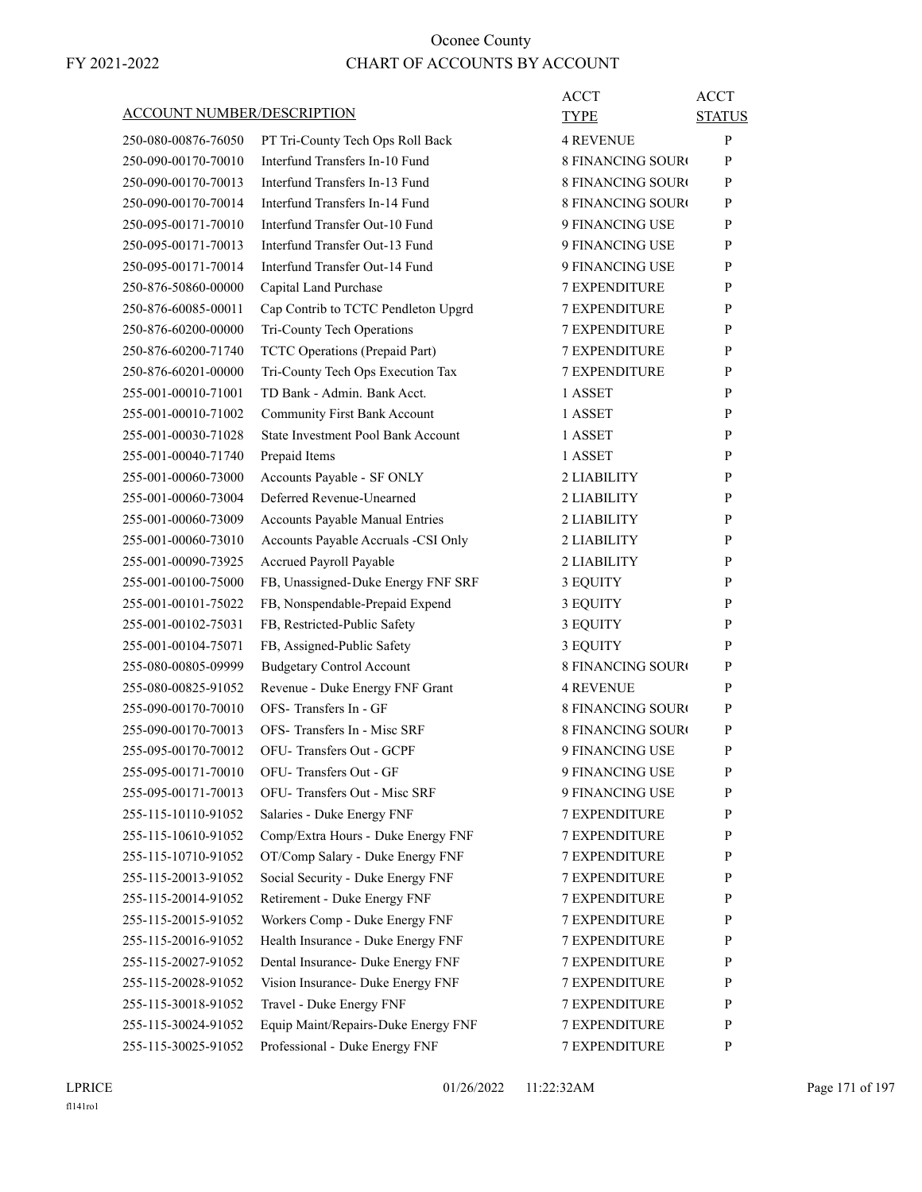| <b>ACCOUNT NUMBER/DESCRIPTION</b> |                                           | ACCT<br>TYPE             | <b>ACCT</b><br><b>STATUS</b> |
|-----------------------------------|-------------------------------------------|--------------------------|------------------------------|
| 250-080-00876-76050               | PT Tri-County Tech Ops Roll Back          | <b>4 REVENUE</b>         | P                            |
| 250-090-00170-70010               | Interfund Transfers In-10 Fund            | <b>8 FINANCING SOUR</b>  | P                            |
| 250-090-00170-70013               | Interfund Transfers In-13 Fund            | <b>8 FINANCING SOURO</b> | P                            |
| 250-090-00170-70014               | Interfund Transfers In-14 Fund            | 8 FINANCING SOURC        | P                            |
| 250-095-00171-70010               | Interfund Transfer Out-10 Fund            | 9 FINANCING USE          | P                            |
| 250-095-00171-70013               | Interfund Transfer Out-13 Fund            | 9 FINANCING USE          | P                            |
| 250-095-00171-70014               | Interfund Transfer Out-14 Fund            | 9 FINANCING USE          | P                            |
| 250-876-50860-00000               | Capital Land Purchase                     | <b>7 EXPENDITURE</b>     | P                            |
| 250-876-60085-00011               | Cap Contrib to TCTC Pendleton Upgrd       | <b>7 EXPENDITURE</b>     | P                            |
| 250-876-60200-00000               | Tri-County Tech Operations                | <b>7 EXPENDITURE</b>     | P                            |
| 250-876-60200-71740               | TCTC Operations (Prepaid Part)            | <b>7 EXPENDITURE</b>     | P                            |
| 250-876-60201-00000               | Tri-County Tech Ops Execution Tax         | <b>7 EXPENDITURE</b>     | P                            |
| 255-001-00010-71001               | TD Bank - Admin. Bank Acct.               | 1 ASSET                  | P                            |
| 255-001-00010-71002               | <b>Community First Bank Account</b>       | 1 ASSET                  | P                            |
| 255-001-00030-71028               | <b>State Investment Pool Bank Account</b> | 1 ASSET                  | P                            |
| 255-001-00040-71740               | Prepaid Items                             | 1 ASSET                  | P                            |
| 255-001-00060-73000               | Accounts Payable - SF ONLY                | 2 LIABILITY              | P                            |
| 255-001-00060-73004               | Deferred Revenue-Unearned                 | 2 LIABILITY              | P                            |
| 255-001-00060-73009               | Accounts Payable Manual Entries           | 2 LIABILITY              | P                            |
| 255-001-00060-73010               | Accounts Payable Accruals -CSI Only       | 2 LIABILITY              | P                            |
| 255-001-00090-73925               | Accrued Payroll Payable                   | 2 LIABILITY              | P                            |
| 255-001-00100-75000               | FB, Unassigned-Duke Energy FNF SRF        | 3 EQUITY                 | P                            |
| 255-001-00101-75022               | FB, Nonspendable-Prepaid Expend           | 3 EQUITY                 | P                            |
| 255-001-00102-75031               | FB, Restricted-Public Safety              | 3 EQUITY                 | P                            |
| 255-001-00104-75071               | FB, Assigned-Public Safety                | 3 EQUITY                 | P                            |
| 255-080-00805-09999               | <b>Budgetary Control Account</b>          | <b>8 FINANCING SOURO</b> | P                            |
| 255-080-00825-91052               | Revenue - Duke Energy FNF Grant           | <b>4 REVENUE</b>         | P                            |
| 255-090-00170-70010               | OFS-Transfers In - GF                     | <b>8 FINANCING SOURO</b> | P                            |
| 255-090-00170-70013               | OFS- Transfers In - Misc SRF              | <b>8 FINANCING SOUR</b>  | P                            |
| 255-095-00170-70012               | OFU-Transfers Out - GCPF                  | 9 FINANCING USE          | P                            |
| 255-095-00171-70010               | OFU-Transfers Out - GF                    | 9 FINANCING USE          | P                            |
| 255-095-00171-70013               | OFU- Transfers Out - Misc SRF             | 9 FINANCING USE          | P                            |
| 255-115-10110-91052               | Salaries - Duke Energy FNF                | <b>7 EXPENDITURE</b>     | P                            |
| 255-115-10610-91052               | Comp/Extra Hours - Duke Energy FNF        | <b>7 EXPENDITURE</b>     | P                            |
| 255-115-10710-91052               | OT/Comp Salary - Duke Energy FNF          | <b>7 EXPENDITURE</b>     | P                            |
| 255-115-20013-91052               | Social Security - Duke Energy FNF         | 7 EXPENDITURE            | P                            |
| 255-115-20014-91052               | Retirement - Duke Energy FNF              | <b>7 EXPENDITURE</b>     | P                            |
| 255-115-20015-91052               | Workers Comp - Duke Energy FNF            | <b>7 EXPENDITURE</b>     | P                            |
| 255-115-20016-91052               | Health Insurance - Duke Energy FNF        | 7 EXPENDITURE            | P                            |
| 255-115-20027-91052               | Dental Insurance- Duke Energy FNF         | <b>7 EXPENDITURE</b>     | P                            |
| 255-115-20028-91052               | Vision Insurance- Duke Energy FNF         | <b>7 EXPENDITURE</b>     | P                            |
| 255-115-30018-91052               | Travel - Duke Energy FNF                  | 7 EXPENDITURE            | P                            |
| 255-115-30024-91052               | Equip Maint/Repairs-Duke Energy FNF       | <b>7 EXPENDITURE</b>     | P                            |
| 255-115-30025-91052               | Professional - Duke Energy FNF            | 7 EXPENDITURE            | P                            |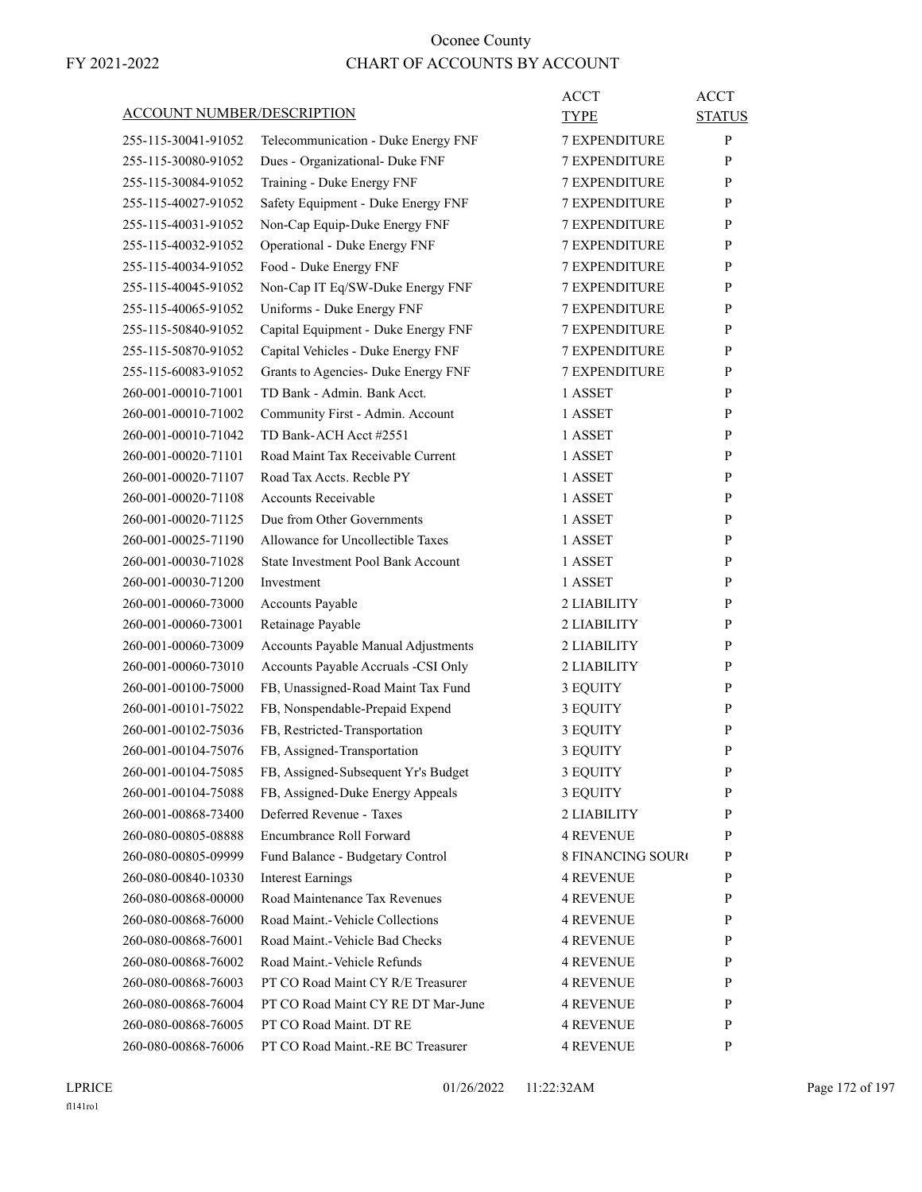| <b>ACCOUNT NUMBER/DESCRIPTION</b> |                                                         | ACCT<br>TYPE             | <b>ACCT</b><br><b>STATUS</b> |
|-----------------------------------|---------------------------------------------------------|--------------------------|------------------------------|
| 255-115-30041-91052               | Telecommunication - Duke Energy FNF                     | 7 EXPENDITURE            | P                            |
| 255-115-30080-91052               | Dues - Organizational- Duke FNF                         | <b>7 EXPENDITURE</b>     | P                            |
| 255-115-30084-91052               | Training - Duke Energy FNF                              | <b>7 EXPENDITURE</b>     | P                            |
| 255-115-40027-91052               | Safety Equipment - Duke Energy FNF                      | 7 EXPENDITURE            | P                            |
| 255-115-40031-91052               |                                                         | <b>7 EXPENDITURE</b>     | P                            |
|                                   | Non-Cap Equip-Duke Energy FNF                           | <b>7 EXPENDITURE</b>     | P                            |
| 255-115-40032-91052               | Operational - Duke Energy FNF<br>Food - Duke Energy FNF |                          | P                            |
| 255-115-40034-91052               |                                                         | 7 EXPENDITURE            |                              |
| 255-115-40045-91052               | Non-Cap IT Eq/SW-Duke Energy FNF                        | <b>7 EXPENDITURE</b>     | P                            |
| 255-115-40065-91052               | Uniforms - Duke Energy FNF                              | <b>7 EXPENDITURE</b>     | P                            |
| 255-115-50840-91052               | Capital Equipment - Duke Energy FNF                     | 7 EXPENDITURE            | P                            |
| 255-115-50870-91052               | Capital Vehicles - Duke Energy FNF                      | <b>7 EXPENDITURE</b>     | P                            |
| 255-115-60083-91052               | Grants to Agencies- Duke Energy FNF                     | <b>7 EXPENDITURE</b>     | P                            |
| 260-001-00010-71001               | TD Bank - Admin. Bank Acct.                             | 1 ASSET                  | P                            |
| 260-001-00010-71002               | Community First - Admin. Account                        | 1 ASSET                  | P                            |
| 260-001-00010-71042               | TD Bank-ACH Acct #2551                                  | 1 ASSET                  | P                            |
| 260-001-00020-71101               | Road Maint Tax Receivable Current                       | 1 ASSET                  | P                            |
| 260-001-00020-71107               | Road Tax Accts. Recble PY                               | 1 ASSET                  | P                            |
| 260-001-00020-71108               | <b>Accounts Receivable</b>                              | 1 ASSET                  | P                            |
| 260-001-00020-71125               | Due from Other Governments                              | 1 ASSET                  | P                            |
| 260-001-00025-71190               | Allowance for Uncollectible Taxes                       | 1 ASSET                  | P                            |
| 260-001-00030-71028               | <b>State Investment Pool Bank Account</b>               | 1 ASSET                  | P                            |
| 260-001-00030-71200               | Investment                                              | 1 ASSET                  | P                            |
| 260-001-00060-73000               | Accounts Payable                                        | 2 LIABILITY              | P                            |
| 260-001-00060-73001               | Retainage Payable                                       | 2 LIABILITY              | P                            |
| 260-001-00060-73009               | Accounts Payable Manual Adjustments                     | 2 LIABILITY              | P                            |
| 260-001-00060-73010               | Accounts Payable Accruals -CSI Only                     | 2 LIABILITY              | P                            |
| 260-001-00100-75000               | FB, Unassigned-Road Maint Tax Fund                      | 3 EQUITY                 | P                            |
| 260-001-00101-75022               | FB, Nonspendable-Prepaid Expend                         | 3 EQUITY                 | P                            |
| 260-001-00102-75036               | FB, Restricted-Transportation                           | 3 EQUITY                 | P                            |
| 260-001-00104-75076               | FB, Assigned-Transportation                             | 3 EQUITY                 | P                            |
| 260-001-00104-75085               | FB, Assigned-Subsequent Yr's Budget                     |                          | P                            |
|                                   |                                                         | 3 EQUITY                 |                              |
| 260-001-00104-75088               | FB, Assigned-Duke Energy Appeals                        | 3 EQUITY                 | P                            |
| 260-001-00868-73400               | Deferred Revenue - Taxes                                | 2 LIABILITY              | P                            |
| 260-080-00805-08888               | Encumbrance Roll Forward                                | <b>4 REVENUE</b>         | P                            |
| 260-080-00805-09999               | Fund Balance - Budgetary Control                        | <b>8 FINANCING SOURO</b> | P                            |
| 260-080-00840-10330               | <b>Interest Earnings</b>                                | <b>4 REVENUE</b>         | P                            |
| 260-080-00868-00000               | Road Maintenance Tax Revenues                           | <b>4 REVENUE</b>         | P                            |
| 260-080-00868-76000               | Road Maint.-Vehicle Collections                         | <b>4 REVENUE</b>         | P                            |
| 260-080-00868-76001               | Road Maint.-Vehicle Bad Checks                          | <b>4 REVENUE</b>         | P                            |
| 260-080-00868-76002               | Road Maint.-Vehicle Refunds                             | <b>4 REVENUE</b>         | P                            |
| 260-080-00868-76003               | PT CO Road Maint CY R/E Treasurer                       | <b>4 REVENUE</b>         | P                            |
| 260-080-00868-76004               | PT CO Road Maint CY RE DT Mar-June                      | <b>4 REVENUE</b>         | P                            |
| 260-080-00868-76005               | PT CO Road Maint. DT RE                                 | <b>4 REVENUE</b>         | P                            |
| 260-080-00868-76006               | PT CO Road Maint.-RE BC Treasurer                       | <b>4 REVENUE</b>         | P                            |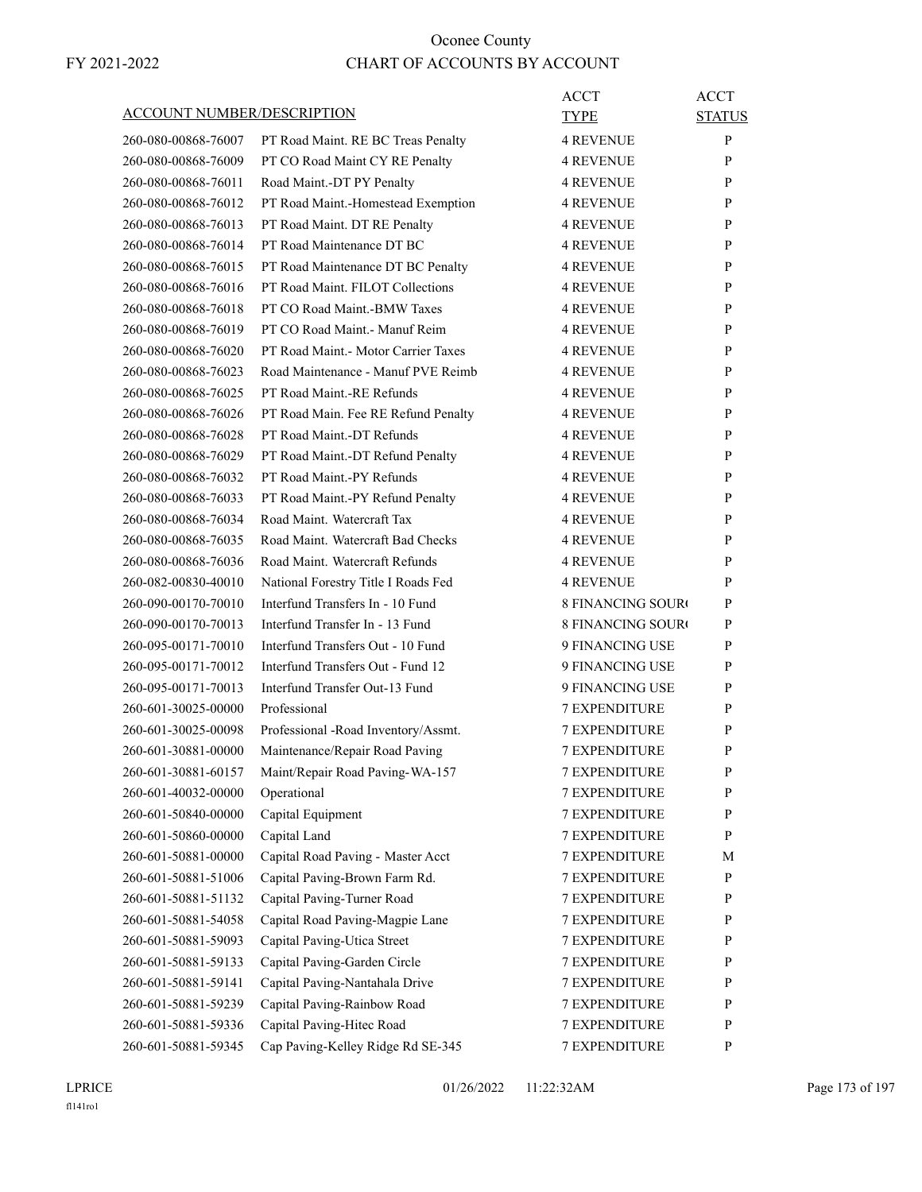| ACCOUNT NUMBER/DESCRIPTION |                                     | ACCT<br>TYPE             | <b>ACCT</b><br><b>STATUS</b> |
|----------------------------|-------------------------------------|--------------------------|------------------------------|
| 260-080-00868-76007        | PT Road Maint. RE BC Treas Penalty  | <b>4 REVENUE</b>         | P                            |
| 260-080-00868-76009        | PT CO Road Maint CY RE Penalty      | <b>4 REVENUE</b>         | P                            |
| 260-080-00868-76011        | Road Maint.-DT PY Penalty           | <b>4 REVENUE</b>         | P                            |
| 260-080-00868-76012        | PT Road Maint.-Homestead Exemption  | <b>4 REVENUE</b>         | P                            |
| 260-080-00868-76013        | PT Road Maint. DT RE Penalty        | <b>4 REVENUE</b>         | P                            |
| 260-080-00868-76014        | PT Road Maintenance DT BC           | <b>4 REVENUE</b>         | P                            |
| 260-080-00868-76015        | PT Road Maintenance DT BC Penalty   | <b>4 REVENUE</b>         | P                            |
| 260-080-00868-76016        | PT Road Maint. FILOT Collections    | <b>4 REVENUE</b>         | P                            |
| 260-080-00868-76018        | PT CO Road Maint.-BMW Taxes         | <b>4 REVENUE</b>         | P                            |
| 260-080-00868-76019        | PT CO Road Maint.- Manuf Reim       | <b>4 REVENUE</b>         | P                            |
| 260-080-00868-76020        | PT Road Maint.- Motor Carrier Taxes | <b>4 REVENUE</b>         | P                            |
| 260-080-00868-76023        | Road Maintenance - Manuf PVE Reimb  | <b>4 REVENUE</b>         | P                            |
|                            | PT Road Maint.-RE Refunds           |                          | P                            |
| 260-080-00868-76025        |                                     | <b>4 REVENUE</b>         |                              |
| 260-080-00868-76026        | PT Road Main. Fee RE Refund Penalty | <b>4 REVENUE</b>         | P                            |
| 260-080-00868-76028        | PT Road Maint.-DT Refunds           | <b>4 REVENUE</b>         | P                            |
| 260-080-00868-76029        | PT Road Maint.-DT Refund Penalty    | <b>4 REVENUE</b>         | P                            |
| 260-080-00868-76032        | PT Road Maint.-PY Refunds           | <b>4 REVENUE</b>         | P                            |
| 260-080-00868-76033        | PT Road Maint.-PY Refund Penalty    | <b>4 REVENUE</b>         | P                            |
| 260-080-00868-76034        | Road Maint. Watercraft Tax          | <b>4 REVENUE</b>         | P                            |
| 260-080-00868-76035        | Road Maint. Watercraft Bad Checks   | <b>4 REVENUE</b>         | P                            |
| 260-080-00868-76036        | Road Maint. Watercraft Refunds      | <b>4 REVENUE</b>         | P                            |
| 260-082-00830-40010        | National Forestry Title I Roads Fed | <b>4 REVENUE</b>         | P                            |
| 260-090-00170-70010        | Interfund Transfers In - 10 Fund    | <b>8 FINANCING SOUR</b>  | P                            |
| 260-090-00170-70013        | Interfund Transfer In - 13 Fund     | <b>8 FINANCING SOURC</b> | P                            |
| 260-095-00171-70010        | Interfund Transfers Out - 10 Fund   | 9 FINANCING USE          | P                            |
| 260-095-00171-70012        | Interfund Transfers Out - Fund 12   | 9 FINANCING USE          | P                            |
| 260-095-00171-70013        | Interfund Transfer Out-13 Fund      | 9 FINANCING USE          | P                            |
| 260-601-30025-00000        | Professional                        | <b>7 EXPENDITURE</b>     | P                            |
| 260-601-30025-00098        | Professional -Road Inventory/Assmt. | 7 EXPENDITURE            | P                            |
| 260-601-30881-00000        | Maintenance/Repair Road Paving      | <b>7 EXPENDITURE</b>     | P                            |
| 260-601-30881-60157        | Maint/Repair Road Paving-WA-157     | <b>7 EXPENDITURE</b>     | P                            |
| 260-601-40032-00000        | Operational                         | <b>7 EXPENDITURE</b>     | P                            |
| 260-601-50840-00000        | Capital Equipment                   | 7 EXPENDITURE            | $\mathbf{P}$                 |
| 260-601-50860-00000        | Capital Land                        | 7 EXPENDITURE            | P                            |
| 260-601-50881-00000        | Capital Road Paving - Master Acct   | 7 EXPENDITURE            | М                            |
|                            | Capital Paving-Brown Farm Rd.       | 7 EXPENDITURE            | P                            |
| 260-601-50881-51006        |                                     |                          |                              |
| 260-601-50881-51132        | Capital Paving-Turner Road          | <b>7 EXPENDITURE</b>     | P                            |
| 260-601-50881-54058        | Capital Road Paving-Magpie Lane     | <b>7 EXPENDITURE</b>     | P                            |
| 260-601-50881-59093        | Capital Paving-Utica Street         | 7 EXPENDITURE            | P                            |
| 260-601-50881-59133        | Capital Paving-Garden Circle        | 7 EXPENDITURE            | P                            |
| 260-601-50881-59141        | Capital Paving-Nantahala Drive      | 7 EXPENDITURE            | P                            |
| 260-601-50881-59239        | Capital Paving-Rainbow Road         | 7 EXPENDITURE            | P                            |
| 260-601-50881-59336        | Capital Paving-Hitec Road           | <b>7 EXPENDITURE</b>     | P                            |
| 260-601-50881-59345        | Cap Paving-Kelley Ridge Rd SE-345   | 7 EXPENDITURE            | P                            |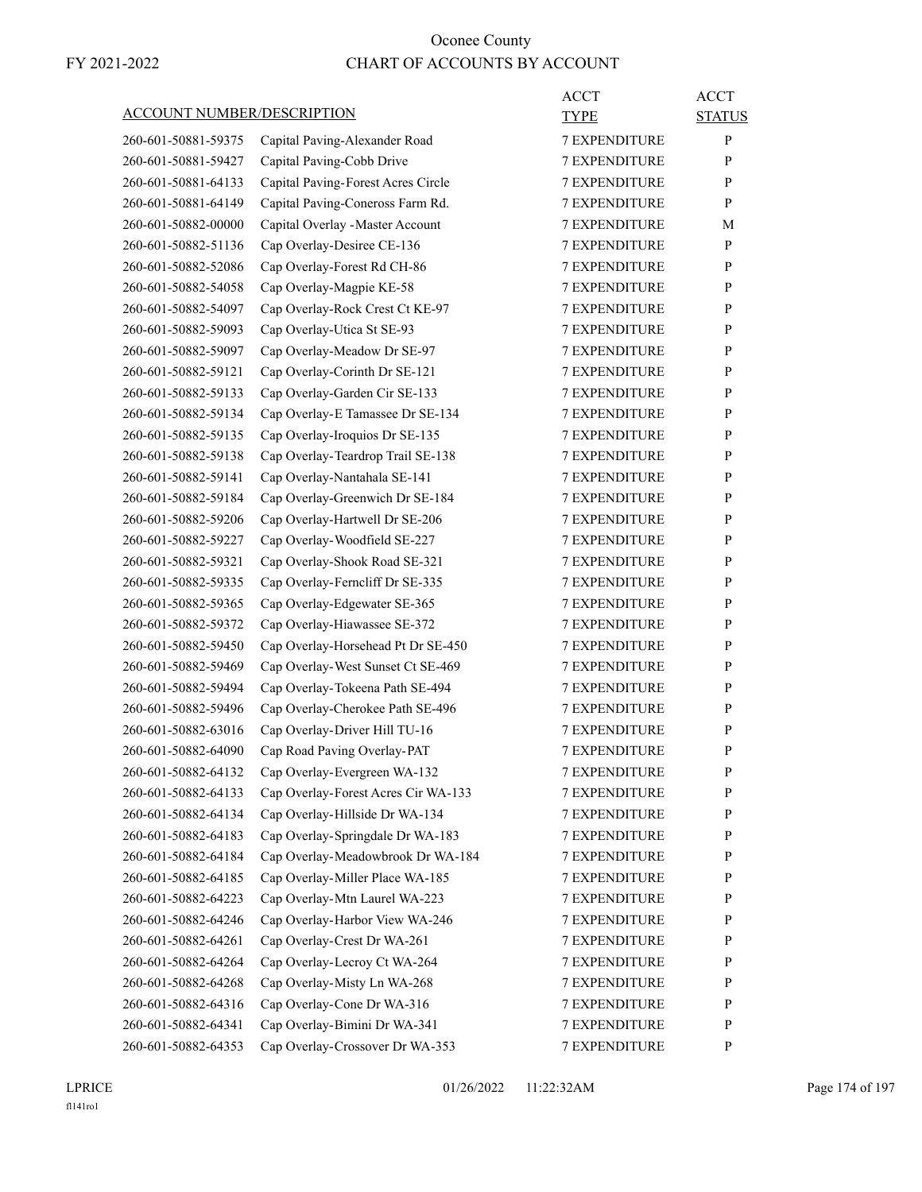|                                   |                                     | <b>ACCT</b>          | <b>ACCT</b>   |
|-----------------------------------|-------------------------------------|----------------------|---------------|
| <b>ACCOUNT NUMBER/DESCRIPTION</b> |                                     | TYPE                 | <b>STATUS</b> |
| 260-601-50881-59375               | Capital Paving-Alexander Road       | <b>7 EXPENDITURE</b> | P             |
| 260-601-50881-59427               | Capital Paving-Cobb Drive           | <b>7 EXPENDITURE</b> | P             |
| 260-601-50881-64133               | Capital Paving-Forest Acres Circle  | <b>7 EXPENDITURE</b> | P             |
| 260-601-50881-64149               | Capital Paving-Coneross Farm Rd.    | 7 EXPENDITURE        | P             |
| 260-601-50882-00000               | Capital Overlay - Master Account    | <b>7 EXPENDITURE</b> | М             |
| 260-601-50882-51136               | Cap Overlay-Desiree CE-136          | <b>7 EXPENDITURE</b> | P             |
| 260-601-50882-52086               | Cap Overlay-Forest Rd CH-86         | 7 EXPENDITURE        | P             |
| 260-601-50882-54058               | Cap Overlay-Magpie KE-58            | <b>7 EXPENDITURE</b> | P             |
| 260-601-50882-54097               | Cap Overlay-Rock Crest Ct KE-97     | <b>7 EXPENDITURE</b> | P             |
| 260-601-50882-59093               | Cap Overlay-Utica St SE-93          | 7 EXPENDITURE        | P             |
| 260-601-50882-59097               | Cap Overlay-Meadow Dr SE-97         | <b>7 EXPENDITURE</b> | P             |
| 260-601-50882-59121               | Cap Overlay-Corinth Dr SE-121       | <b>7 EXPENDITURE</b> | P             |
| 260-601-50882-59133               | Cap Overlay-Garden Cir SE-133       | 7 EXPENDITURE        | P             |
| 260-601-50882-59134               | Cap Overlay-E Tamassee Dr SE-134    | <b>7 EXPENDITURE</b> | P             |
| 260-601-50882-59135               | Cap Overlay-Iroquios Dr SE-135      | <b>7 EXPENDITURE</b> | P             |
| 260-601-50882-59138               | Cap Overlay-Teardrop Trail SE-138   | 7 EXPENDITURE        | P             |
| 260-601-50882-59141               | Cap Overlay-Nantahala SE-141        | <b>7 EXPENDITURE</b> | P             |
| 260-601-50882-59184               | Cap Overlay-Greenwich Dr SE-184     | <b>7 EXPENDITURE</b> | P             |
| 260-601-50882-59206               | Cap Overlay-Hartwell Dr SE-206      | 7 EXPENDITURE        | P             |
| 260-601-50882-59227               | Cap Overlay-Woodfield SE-227        | <b>7 EXPENDITURE</b> | P             |
| 260-601-50882-59321               | Cap Overlay-Shook Road SE-321       | <b>7 EXPENDITURE</b> | P             |
| 260-601-50882-59335               | Cap Overlay-Ferncliff Dr SE-335     | 7 EXPENDITURE        | P             |
| 260-601-50882-59365               | Cap Overlay-Edgewater SE-365        | <b>7 EXPENDITURE</b> | P             |
| 260-601-50882-59372               | Cap Overlay-Hiawassee SE-372        | <b>7 EXPENDITURE</b> | P             |
| 260-601-50882-59450               | Cap Overlay-Horsehead Pt Dr SE-450  | 7 EXPENDITURE        | P             |
| 260-601-50882-59469               | Cap Overlay-West Sunset Ct SE-469   | <b>7 EXPENDITURE</b> | P             |
| 260-601-50882-59494               | Cap Overlay-Tokeena Path SE-494     | <b>7 EXPENDITURE</b> | P             |
| 260-601-50882-59496               | Cap Overlay-Cherokee Path SE-496    | 7 EXPENDITURE        | P             |
| 260-601-50882-63016               | Cap Overlay-Driver Hill TU-16       | <b>7 EXPENDITURE</b> | P             |
| 260-601-50882-64090               | Cap Road Paving Overlay-PAT         | <b>7 EXPENDITURE</b> | P             |
| 260-601-50882-64132               | Cap Overlay-Evergreen WA-132        | <b>7 EXPENDITURE</b> | ${\bf P}$     |
| 260-601-50882-64133               | Cap Overlay-Forest Acres Cir WA-133 | <b>7 EXPENDITURE</b> | P             |
| 260-601-50882-64134               | Cap Overlay-Hillside Dr WA-134      | <b>7 EXPENDITURE</b> | P             |
| 260-601-50882-64183               | Cap Overlay-Springdale Dr WA-183    | <b>7 EXPENDITURE</b> | P             |
| 260-601-50882-64184               | Cap Overlay-Meadowbrook Dr WA-184   | 7 EXPENDITURE        | P             |
| 260-601-50882-64185               | Cap Overlay-Miller Place WA-185     | 7 EXPENDITURE        | $\mathbf{P}$  |
| 260-601-50882-64223               | Cap Overlay-Mtn Laurel WA-223       | 7 EXPENDITURE        | P             |
| 260-601-50882-64246               | Cap Overlay-Harbor View WA-246      | <b>7 EXPENDITURE</b> | P             |
| 260-601-50882-64261               | Cap Overlay-Crest Dr WA-261         | <b>7 EXPENDITURE</b> | P             |
| 260-601-50882-64264               | Cap Overlay-Lecroy Ct WA-264        | <b>7 EXPENDITURE</b> | P             |
| 260-601-50882-64268               | Cap Overlay-Misty Ln WA-268         | 7 EXPENDITURE        | P             |
| 260-601-50882-64316               | Cap Overlay-Cone Dr WA-316          | 7 EXPENDITURE        | P             |
| 260-601-50882-64341               | Cap Overlay-Bimini Dr WA-341        | 7 EXPENDITURE        | P             |
| 260-601-50882-64353               | Cap Overlay-Crossover Dr WA-353     | 7 EXPENDITURE        | $\mathbf{P}$  |
|                                   |                                     |                      |               |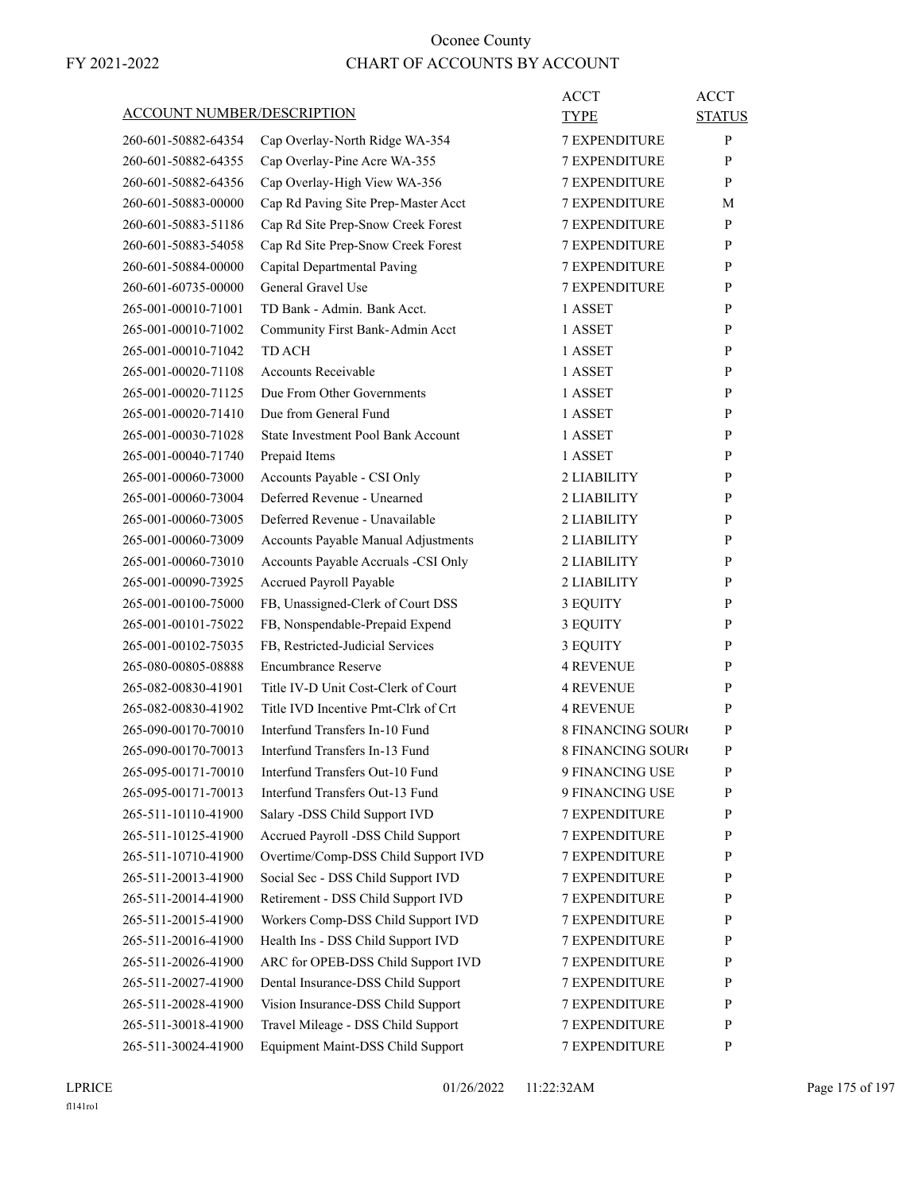| ACCOUNT NUMBER/DESCRIPTION |                                     | ACCT<br>TYPE             | <b>ACCT</b><br><b>STATUS</b> |
|----------------------------|-------------------------------------|--------------------------|------------------------------|
| 260-601-50882-64354        | Cap Overlay-North Ridge WA-354      | <b>7 EXPENDITURE</b>     | P                            |
| 260-601-50882-64355        | Cap Overlay-Pine Acre WA-355        | 7 EXPENDITURE            | P                            |
| 260-601-50882-64356        | Cap Overlay-High View WA-356        | <b>7 EXPENDITURE</b>     | P                            |
| 260-601-50883-00000        | Cap Rd Paving Site Prep-Master Acct | <b>7 EXPENDITURE</b>     | М                            |
| 260-601-50883-51186        | Cap Rd Site Prep-Snow Creek Forest  | <b>7 EXPENDITURE</b>     | P                            |
| 260-601-50883-54058        | Cap Rd Site Prep-Snow Creek Forest  | <b>7 EXPENDITURE</b>     | P                            |
| 260-601-50884-00000        | Capital Departmental Paving         | <b>7 EXPENDITURE</b>     | P                            |
| 260-601-60735-00000        | General Gravel Use                  | 7 EXPENDITURE            | P                            |
| 265-001-00010-71001        | TD Bank - Admin. Bank Acct.         | 1 ASSET                  | P                            |
| 265-001-00010-71002        | Community First Bank-Admin Acct     | 1 ASSET                  | P                            |
| 265-001-00010-71042        | TD ACH                              | 1 ASSET                  | P                            |
| 265-001-00020-71108        | <b>Accounts Receivable</b>          | 1 ASSET                  | P                            |
| 265-001-00020-71125        | Due From Other Governments          | 1 ASSET                  | P                            |
| 265-001-00020-71410        | Due from General Fund               | 1 ASSET                  | P                            |
| 265-001-00030-71028        | State Investment Pool Bank Account  | 1 ASSET                  | P                            |
| 265-001-00040-71740        | Prepaid Items                       | 1 ASSET                  | P                            |
| 265-001-00060-73000        | Accounts Payable - CSI Only         | 2 LIABILITY              | P                            |
| 265-001-00060-73004        | Deferred Revenue - Unearned         | 2 LIABILITY              | P                            |
| 265-001-00060-73005        | Deferred Revenue - Unavailable      | 2 LIABILITY              | P                            |
| 265-001-00060-73009        | Accounts Payable Manual Adjustments | 2 LIABILITY              | P                            |
| 265-001-00060-73010        | Accounts Payable Accruals -CSI Only | 2 LIABILITY              | P                            |
| 265-001-00090-73925        | Accrued Payroll Payable             | 2 LIABILITY              | P                            |
| 265-001-00100-75000        | FB, Unassigned-Clerk of Court DSS   | 3 EQUITY                 | P                            |
| 265-001-00101-75022        | FB, Nonspendable-Prepaid Expend     | 3 EQUITY                 | P                            |
| 265-001-00102-75035        | FB, Restricted-Judicial Services    | 3 EQUITY                 | P                            |
| 265-080-00805-08888        | <b>Encumbrance Reserve</b>          | <b>4 REVENUE</b>         | P                            |
| 265-082-00830-41901        | Title IV-D Unit Cost-Clerk of Court | <b>4 REVENUE</b>         | P                            |
| 265-082-00830-41902        | Title IVD Incentive Pmt-Clrk of Crt | <b>4 REVENUE</b>         | P                            |
| 265-090-00170-70010        | Interfund Transfers In-10 Fund      | <b>8 FINANCING SOURO</b> | P                            |
| 265-090-00170-70013        | Interfund Transfers In-13 Fund      | <b>8 FINANCING SOURO</b> | P                            |
| 265-095-00171-70010        | Interfund Transfers Out-10 Fund     | 9 FINANCING USE          | P                            |
| 265-095-00171-70013        | Interfund Transfers Out-13 Fund     | 9 FINANCING USE          | P                            |
| 265-511-10110-41900        | Salary -DSS Child Support IVD       | <b>7 EXPENDITURE</b>     | $\mathbf{P}$                 |
| 265-511-10125-41900        | Accrued Payroll -DSS Child Support  | <b>7 EXPENDITURE</b>     | P                            |
| 265-511-10710-41900        | Overtime/Comp-DSS Child Support IVD | 7 EXPENDITURE            | P                            |
| 265-511-20013-41900        | Social Sec - DSS Child Support IVD  | 7 EXPENDITURE            | $\mathbf{P}$                 |
| 265-511-20014-41900        | Retirement - DSS Child Support IVD  | <b>7 EXPENDITURE</b>     | P                            |
| 265-511-20015-41900        | Workers Comp-DSS Child Support IVD  | 7 EXPENDITURE            | P                            |
| 265-511-20016-41900        | Health Ins - DSS Child Support IVD  | <b>7 EXPENDITURE</b>     | P                            |
| 265-511-20026-41900        | ARC for OPEB-DSS Child Support IVD  | <b>7 EXPENDITURE</b>     | P                            |
| 265-511-20027-41900        | Dental Insurance-DSS Child Support  | 7 EXPENDITURE            | P                            |
| 265-511-20028-41900        | Vision Insurance-DSS Child Support  | 7 EXPENDITURE            | $\mathbf{P}$                 |
| 265-511-30018-41900        | Travel Mileage - DSS Child Support  | <b>7 EXPENDITURE</b>     | P                            |
| 265-511-30024-41900        | Equipment Maint-DSS Child Support   | 7 EXPENDITURE            | P                            |
|                            |                                     |                          |                              |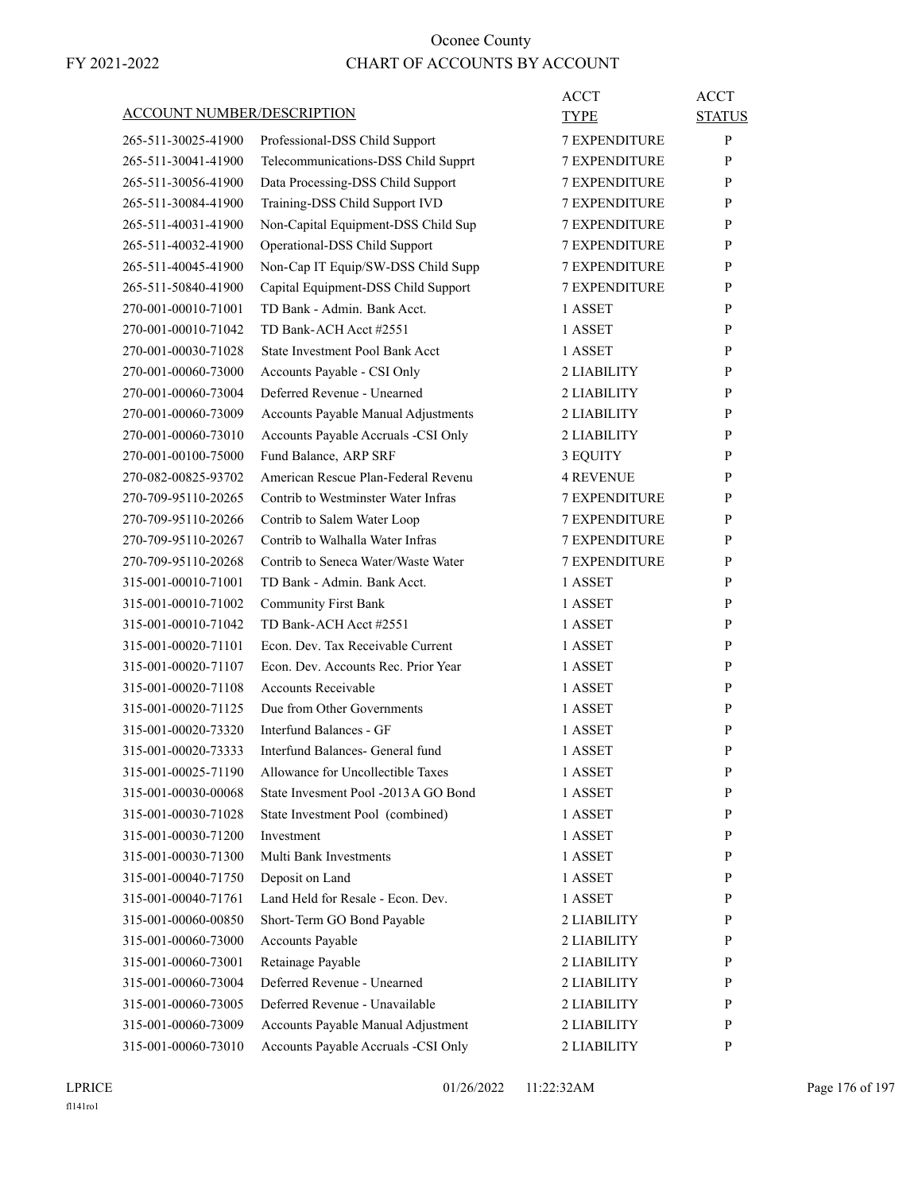|                                   |                                        | ACCT                 | <b>ACCT</b>   |
|-----------------------------------|----------------------------------------|----------------------|---------------|
| <b>ACCOUNT NUMBER/DESCRIPTION</b> |                                        | <b>TYPE</b>          | <b>STATUS</b> |
| 265-511-30025-41900               | Professional-DSS Child Support         | 7 EXPENDITURE        | P             |
| 265-511-30041-41900               | Telecommunications-DSS Child Supprt    | <b>7 EXPENDITURE</b> | P             |
| 265-511-30056-41900               | Data Processing-DSS Child Support      | <b>7 EXPENDITURE</b> | P             |
| 265-511-30084-41900               | Training-DSS Child Support IVD         | 7 EXPENDITURE        | P             |
| 265-511-40031-41900               | Non-Capital Equipment-DSS Child Sup    | 7 EXPENDITURE        | P             |
| 265-511-40032-41900               | Operational-DSS Child Support          | <b>7 EXPENDITURE</b> | P             |
| 265-511-40045-41900               | Non-Cap IT Equip/SW-DSS Child Supp     | 7 EXPENDITURE        | P             |
| 265-511-50840-41900               | Capital Equipment-DSS Child Support    | <b>7 EXPENDITURE</b> | P             |
| 270-001-00010-71001               | TD Bank - Admin. Bank Acct.            | 1 ASSET              | P             |
| 270-001-00010-71042               | TD Bank-ACH Acct #2551                 | 1 ASSET              | P             |
| 270-001-00030-71028               | <b>State Investment Pool Bank Acct</b> | 1 ASSET              | P             |
| 270-001-00060-73000               | Accounts Payable - CSI Only            | 2 LIABILITY          | P             |
| 270-001-00060-73004               | Deferred Revenue - Unearned            | 2 LIABILITY          | P             |
| 270-001-00060-73009               | Accounts Payable Manual Adjustments    | 2 LIABILITY          | P             |
| 270-001-00060-73010               | Accounts Payable Accruals -CSI Only    | 2 LIABILITY          | P             |
| 270-001-00100-75000               | Fund Balance, ARP SRF                  | 3 EQUITY             | P             |
| 270-082-00825-93702               | American Rescue Plan-Federal Revenu    | <b>4 REVENUE</b>     | P             |
| 270-709-95110-20265               | Contrib to Westminster Water Infras    | <b>7 EXPENDITURE</b> | P             |
| 270-709-95110-20266               | Contrib to Salem Water Loop            | 7 EXPENDITURE        | P             |
| 270-709-95110-20267               | Contrib to Walhalla Water Infras       | <b>7 EXPENDITURE</b> | P             |
| 270-709-95110-20268               | Contrib to Seneca Water/Waste Water    | <b>7 EXPENDITURE</b> | P             |
| 315-001-00010-71001               | TD Bank - Admin. Bank Acct.            | 1 ASSET              | P             |
| 315-001-00010-71002               | <b>Community First Bank</b>            | 1 ASSET              | P             |
| 315-001-00010-71042               | TD Bank-ACH Acct #2551                 | 1 ASSET              | P             |
| 315-001-00020-71101               | Econ. Dev. Tax Receivable Current      | 1 ASSET              | P             |
| 315-001-00020-71107               | Econ. Dev. Accounts Rec. Prior Year    | 1 ASSET              | P             |
| 315-001-00020-71108               | <b>Accounts Receivable</b>             | 1 ASSET              | P             |
| 315-001-00020-71125               | Due from Other Governments             | 1 ASSET              | P             |
| 315-001-00020-73320               | Interfund Balances - GF                | 1 ASSET              | P             |
| 315-001-00020-73333               | Interfund Balances- General fund       | 1 ASSET              | P             |
| 315-001-00025-71190               | Allowance for Uncollectible Taxes      | 1 ASSET              | ${\bf P}$     |
| 315-001-00030-00068               | State Invesment Pool -2013 A GO Bond   | 1 ASSET              | P             |
| 315-001-00030-71028               | State Investment Pool (combined)       | 1 ASSET              | P             |
| 315-001-00030-71200               | Investment                             | 1 ASSET              | P             |
| 315-001-00030-71300               | Multi Bank Investments                 | 1 ASSET              | P             |
| 315-001-00040-71750               | Deposit on Land                        | 1 ASSET              | P             |
| 315-001-00040-71761               | Land Held for Resale - Econ. Dev.      | 1 ASSET              | P             |
| 315-001-00060-00850               | Short-Term GO Bond Payable             | 2 LIABILITY          | P             |
| 315-001-00060-73000               | Accounts Payable                       | 2 LIABILITY          | P             |
| 315-001-00060-73001               | Retainage Payable                      | 2 LIABILITY          | P             |
| 315-001-00060-73004               | Deferred Revenue - Unearned            | 2 LIABILITY          | P             |
| 315-001-00060-73005               | Deferred Revenue - Unavailable         | 2 LIABILITY          | P             |
| 315-001-00060-73009               | Accounts Payable Manual Adjustment     | 2 LIABILITY          | P             |
| 315-001-00060-73010               | Accounts Payable Accruals -CSI Only    | 2 LIABILITY          | P             |
|                                   |                                        |                      |               |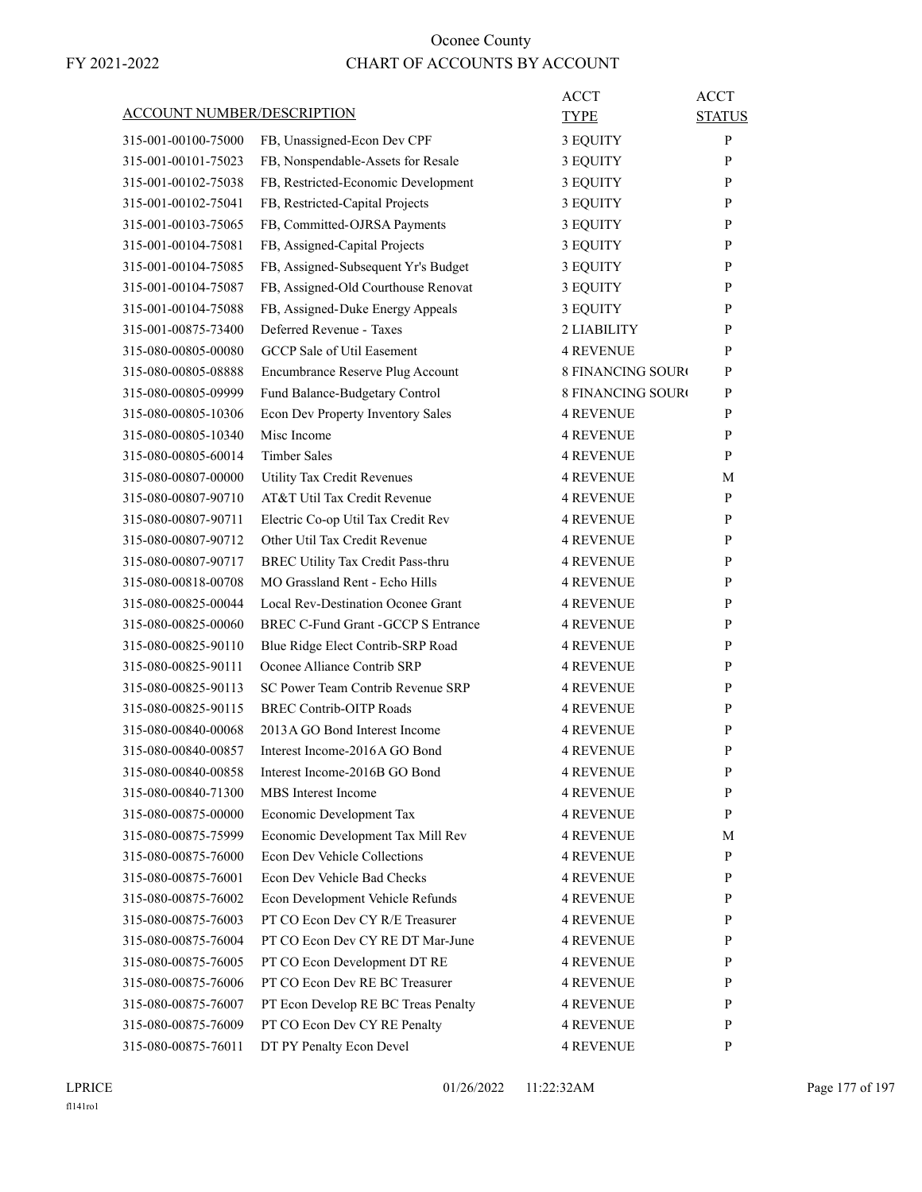| <b>ACCOUNT NUMBER/DESCRIPTION</b> | ACCT<br>TYPE                                                                  | <b>ACCT</b><br><b>STATUS</b> |
|-----------------------------------|-------------------------------------------------------------------------------|------------------------------|
| 315-001-00100-75000               | FB, Unassigned-Econ Dev CPF<br>3 EQUITY                                       | $\mathbf{P}$                 |
| 315-001-00101-75023               | FB, Nonspendable-Assets for Resale<br>3 EQUITY                                | P                            |
| 315-001-00102-75038               | FB, Restricted-Economic Development<br>3 EQUITY                               | P                            |
| 315-001-00102-75041               | FB, Restricted-Capital Projects<br>3 EQUITY                                   | P                            |
| 315-001-00103-75065               | FB, Committed-OJRSA Payments<br>3 EQUITY                                      | P                            |
| 315-001-00104-75081               | FB, Assigned-Capital Projects<br>3 EQUITY                                     | P                            |
| 315-001-00104-75085               | FB, Assigned-Subsequent Yr's Budget<br>3 EQUITY                               | P                            |
| 315-001-00104-75087               | FB, Assigned-Old Courthouse Renovat<br>3 EQUITY                               | P                            |
| 315-001-00104-75088               | FB, Assigned-Duke Energy Appeals<br>3 EQUITY                                  | P                            |
| 315-001-00875-73400               | Deferred Revenue - Taxes<br>2 LIABILITY                                       | P                            |
| 315-080-00805-00080               | <b>GCCP</b> Sale of Util Easement<br><b>4 REVENUE</b>                         | P                            |
| 315-080-00805-08888               | Encumbrance Reserve Plug Account<br><b>8 FINANCING SOURO</b>                  | P                            |
| 315-080-00805-09999               | Fund Balance-Budgetary Control<br><b>8 FINANCING SOURO</b>                    | $\mathbf{P}$                 |
| 315-080-00805-10306               | Econ Dev Property Inventory Sales<br><b>4 REVENUE</b>                         | P                            |
| 315-080-00805-10340               | Misc Income<br><b>4 REVENUE</b>                                               | P                            |
| 315-080-00805-60014               | <b>Timber Sales</b><br>4 REVENUE                                              | P                            |
| 315-080-00807-00000               | <b>Utility Tax Credit Revenues</b><br><b>4 REVENUE</b>                        | М                            |
| 315-080-00807-90710               | AT&T Util Tax Credit Revenue<br><b>4 REVENUE</b>                              | P                            |
| 315-080-00807-90711               | Electric Co-op Util Tax Credit Rev<br>4 REVENUE                               | P                            |
| 315-080-00807-90712               | Other Util Tax Credit Revenue<br><b>4 REVENUE</b>                             | P                            |
| 315-080-00807-90717               | BREC Utility Tax Credit Pass-thru<br><b>4 REVENUE</b>                         | P                            |
| 315-080-00818-00708               | MO Grassland Rent - Echo Hills<br>4 REVENUE                                   | P                            |
|                                   | Local Rev-Destination Oconee Grant<br><b>4 REVENUE</b>                        | P                            |
| 315-080-00825-00044               | <b>BREC C-Fund Grant - GCCP S Entrance</b>                                    |                              |
| 315-080-00825-00060               | 4 REVENUE                                                                     | P                            |
| 315-080-00825-90110               | Blue Ridge Elect Contrib-SRP Road<br>4 REVENUE<br>Oconee Alliance Contrib SRP | P                            |
| 315-080-00825-90111               | <b>4 REVENUE</b><br>SC Power Team Contrib Revenue SRP                         | P                            |
| 315-080-00825-90113               | <b>4 REVENUE</b><br><b>BREC Contrib-OITP Roads</b>                            | P                            |
| 315-080-00825-90115               | <b>4 REVENUE</b>                                                              | P                            |
| 315-080-00840-00068               | 2013 A GO Bond Interest Income<br><b>4 REVENUE</b>                            | P                            |
| 315-080-00840-00857               | Interest Income-2016A GO Bond<br><b>4 REVENUE</b>                             | P                            |
| 315-080-00840-00858               | Interest Income-2016B GO Bond<br><b>4 REVENUE</b>                             | P                            |
| 315-080-00840-71300               | MBS Interest Income<br><b>4 REVENUE</b>                                       | P                            |
| 315-080-00875-00000               | Economic Development Tax<br><b>4 REVENUE</b>                                  | $\mathbf{P}$                 |
| 315-080-00875-75999               | Economic Development Tax Mill Rev<br><b>4 REVENUE</b>                         | М                            |
| 315-080-00875-76000               | Econ Dev Vehicle Collections<br><b>4 REVENUE</b>                              | $\mathbf{P}$                 |
| 315-080-00875-76001               | Econ Dev Vehicle Bad Checks<br><b>4 REVENUE</b>                               | P                            |
| 315-080-00875-76002               | Econ Development Vehicle Refunds<br><b>4 REVENUE</b>                          | P                            |
| 315-080-00875-76003               | PT CO Econ Dev CY R/E Treasurer<br><b>4 REVENUE</b>                           | P                            |
| 315-080-00875-76004               | PT CO Econ Dev CY RE DT Mar-June<br><b>4 REVENUE</b>                          | P                            |
| 315-080-00875-76005               | PT CO Econ Development DT RE<br><b>4 REVENUE</b>                              | P                            |
| 315-080-00875-76006               | PT CO Econ Dev RE BC Treasurer<br><b>4 REVENUE</b>                            | P                            |
| 315-080-00875-76007               | PT Econ Develop RE BC Treas Penalty<br><b>4 REVENUE</b>                       | P                            |
| 315-080-00875-76009               | PT CO Econ Dev CY RE Penalty<br><b>4 REVENUE</b>                              | P                            |
| 315-080-00875-76011               | DT PY Penalty Econ Devel<br>4 REVENUE                                         | P                            |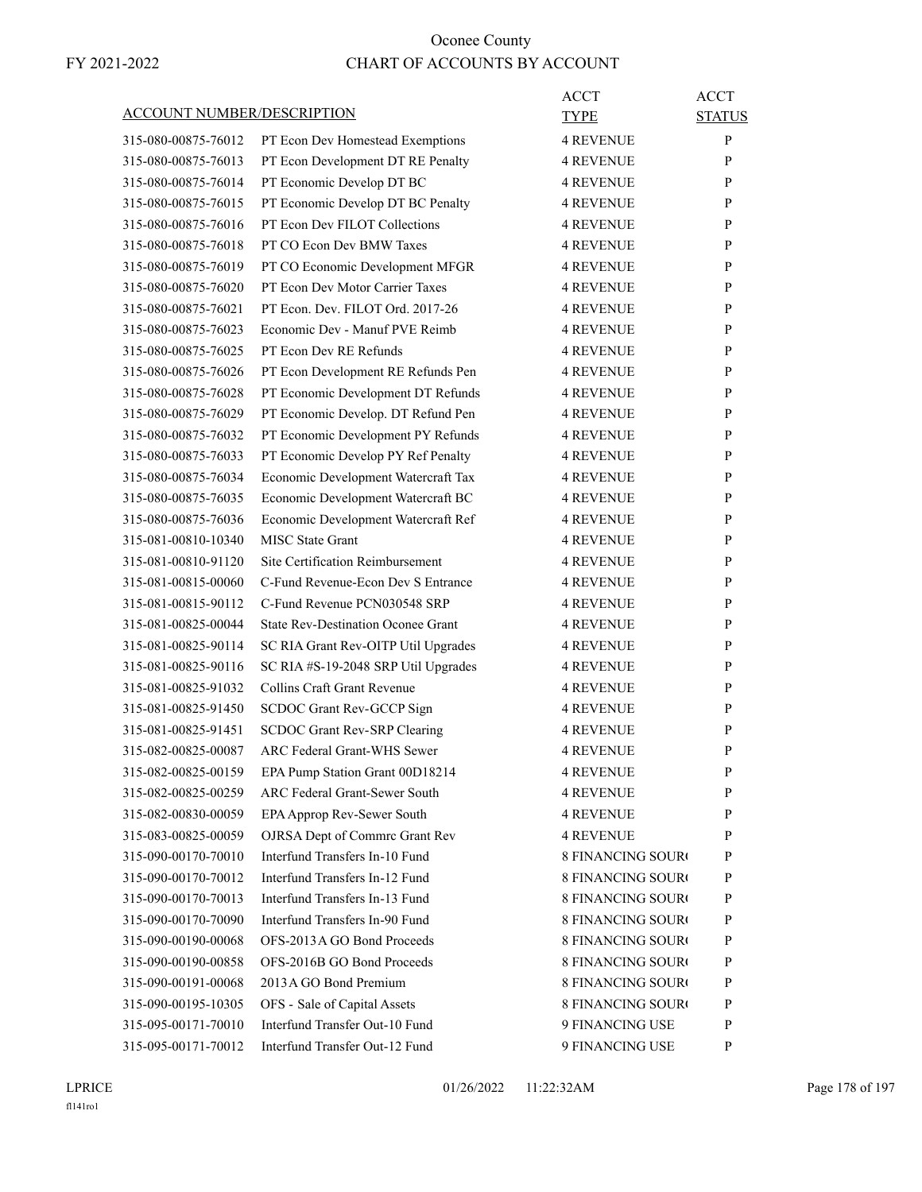| <b>ACCOUNT NUMBER/DESCRIPTION</b> |                                           | ACCT<br><b>TYPE</b>      | <b>ACCT</b><br><b>STATUS</b> |
|-----------------------------------|-------------------------------------------|--------------------------|------------------------------|
|                                   |                                           |                          |                              |
| 315-080-00875-76012               | PT Econ Dev Homestead Exemptions          | <b>4 REVENUE</b>         | P                            |
| 315-080-00875-76013               | PT Econ Development DT RE Penalty         | <b>4 REVENUE</b>         | P                            |
| 315-080-00875-76014               | PT Economic Develop DT BC                 | <b>4 REVENUE</b>         | P                            |
| 315-080-00875-76015               | PT Economic Develop DT BC Penalty         | <b>4 REVENUE</b>         | P                            |
| 315-080-00875-76016               | PT Econ Dev FILOT Collections             | <b>4 REVENUE</b>         | P                            |
| 315-080-00875-76018               | PT CO Econ Dev BMW Taxes                  | <b>4 REVENUE</b>         | P                            |
| 315-080-00875-76019               | PT CO Economic Development MFGR           | <b>4 REVENUE</b>         | P                            |
| 315-080-00875-76020               | PT Econ Dev Motor Carrier Taxes           | <b>4 REVENUE</b>         | P                            |
| 315-080-00875-76021               | PT Econ. Dev. FILOT Ord. 2017-26          | <b>4 REVENUE</b>         | P                            |
| 315-080-00875-76023               | Economic Dev - Manuf PVE Reimb            | <b>4 REVENUE</b>         | P                            |
| 315-080-00875-76025               | PT Econ Dev RE Refunds                    | <b>4 REVENUE</b>         | P                            |
| 315-080-00875-76026               | PT Econ Development RE Refunds Pen        | <b>4 REVENUE</b>         | P                            |
| 315-080-00875-76028               | PT Economic Development DT Refunds        | <b>4 REVENUE</b>         | P                            |
| 315-080-00875-76029               | PT Economic Develop. DT Refund Pen        | <b>4 REVENUE</b>         | P                            |
| 315-080-00875-76032               | PT Economic Development PY Refunds        | <b>4 REVENUE</b>         | P                            |
| 315-080-00875-76033               | PT Economic Develop PY Ref Penalty        | <b>4 REVENUE</b>         | P                            |
| 315-080-00875-76034               | Economic Development Watercraft Tax       | <b>4 REVENUE</b>         | P                            |
| 315-080-00875-76035               | Economic Development Watercraft BC        | <b>4 REVENUE</b>         | P                            |
| 315-080-00875-76036               | Economic Development Watercraft Ref       | <b>4 REVENUE</b>         | P                            |
| 315-081-00810-10340               | <b>MISC State Grant</b>                   | <b>4 REVENUE</b>         | P                            |
| 315-081-00810-91120               | Site Certification Reimbursement          | <b>4 REVENUE</b>         | P                            |
| 315-081-00815-00060               | C-Fund Revenue-Econ Dev S Entrance        | <b>4 REVENUE</b>         | P                            |
| 315-081-00815-90112               | C-Fund Revenue PCN030548 SRP              | <b>4 REVENUE</b>         | P                            |
| 315-081-00825-00044               | <b>State Rev-Destination Oconee Grant</b> | <b>4 REVENUE</b>         | P                            |
| 315-081-00825-90114               | SC RIA Grant Rev-OITP Util Upgrades       | <b>4 REVENUE</b>         | P                            |
| 315-081-00825-90116               | SC RIA #S-19-2048 SRP Util Upgrades       | <b>4 REVENUE</b>         | P                            |
| 315-081-00825-91032               | Collins Craft Grant Revenue               | <b>4 REVENUE</b>         | P                            |
| 315-081-00825-91450               | SCDOC Grant Rev-GCCP Sign                 | 4 REVENUE                | P                            |
| 315-081-00825-91451               | SCDOC Grant Rev-SRP Clearing              | <b>4 REVENUE</b>         | P                            |
| 315-082-00825-00087               | ARC Federal Grant-WHS Sewer               | <b>4 REVENUE</b>         | P                            |
| 315-082-00825-00159               | EPA Pump Station Grant 00D18214           | <b>4 REVENUE</b>         | P                            |
| 315-082-00825-00259               | ARC Federal Grant-Sewer South             | <b>4 REVENUE</b>         | P                            |
| 315-082-00830-00059               | EPA Approp Rev-Sewer South                | <b>4 REVENUE</b>         | P                            |
| 315-083-00825-00059               | OJRSA Dept of Commrc Grant Rev            | <b>4 REVENUE</b>         | P                            |
| 315-090-00170-70010               | Interfund Transfers In-10 Fund            | <b>8 FINANCING SOURO</b> | P                            |
| 315-090-00170-70012               | Interfund Transfers In-12 Fund            | <b>8 FINANCING SOURO</b> | $\mathbf{P}$                 |
| 315-090-00170-70013               | Interfund Transfers In-13 Fund            | <b>8 FINANCING SOURO</b> | P                            |
| 315-090-00170-70090               | Interfund Transfers In-90 Fund            | <b>8 FINANCING SOURO</b> | P                            |
| 315-090-00190-00068               | OFS-2013A GO Bond Proceeds                | 8 FINANCING SOURO        | $\mathbf{P}$                 |
| 315-090-00190-00858               | OFS-2016B GO Bond Proceeds                | 8 FINANCING SOURO        | P                            |
| 315-090-00191-00068               | 2013 A GO Bond Premium                    | <b>8 FINANCING SOURO</b> | P                            |
| 315-090-00195-10305               | OFS - Sale of Capital Assets              | <b>8 FINANCING SOURO</b> | $\mathbf{P}$                 |
| 315-095-00171-70010               | Interfund Transfer Out-10 Fund            | 9 FINANCING USE          | $\mathbf{P}$                 |
| 315-095-00171-70012               | Interfund Transfer Out-12 Fund            | 9 FINANCING USE          | P                            |
|                                   |                                           |                          |                              |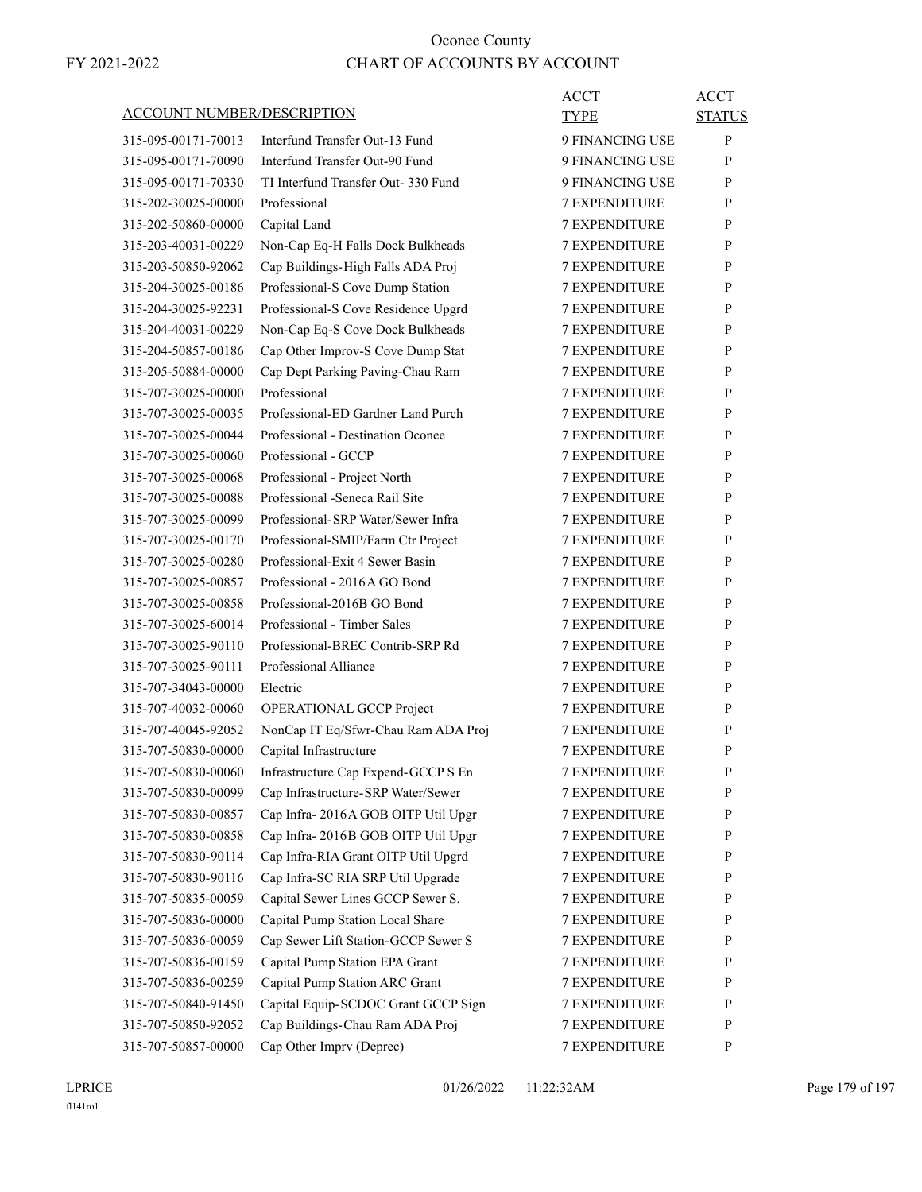| <b>ACCOUNT NUMBER/DESCRIPTION</b> |                                     | <b>ACCT</b><br>TYPE  | <b>ACCT</b><br><b>STATUS</b> |
|-----------------------------------|-------------------------------------|----------------------|------------------------------|
| 315-095-00171-70013               | Interfund Transfer Out-13 Fund      | 9 FINANCING USE      | P                            |
| 315-095-00171-70090               | Interfund Transfer Out-90 Fund      | 9 FINANCING USE      | P                            |
| 315-095-00171-70330               | TI Interfund Transfer Out- 330 Fund | 9 FINANCING USE      | P                            |
| 315-202-30025-00000               | Professional                        | <b>7 EXPENDITURE</b> | P                            |
| 315-202-50860-00000               | Capital Land                        | <b>7 EXPENDITURE</b> | P                            |
| 315-203-40031-00229               | Non-Cap Eq-H Falls Dock Bulkheads   | <b>7 EXPENDITURE</b> | P                            |
| 315-203-50850-92062               | Cap Buildings-High Falls ADA Proj   | <b>7 EXPENDITURE</b> | P                            |
| 315-204-30025-00186               | Professional-S Cove Dump Station    | <b>7 EXPENDITURE</b> | P                            |
| 315-204-30025-92231               | Professional-S Cove Residence Upgrd | <b>7 EXPENDITURE</b> | P                            |
| 315-204-40031-00229               | Non-Cap Eq-S Cove Dock Bulkheads    | <b>7 EXPENDITURE</b> | P                            |
| 315-204-50857-00186               | Cap Other Improv-S Cove Dump Stat   | <b>7 EXPENDITURE</b> | P                            |
| 315-205-50884-00000               | Cap Dept Parking Paving-Chau Ram    | <b>7 EXPENDITURE</b> | P                            |
| 315-707-30025-00000               | Professional                        | <b>7 EXPENDITURE</b> | P                            |
| 315-707-30025-00035               | Professional-ED Gardner Land Purch  | <b>7 EXPENDITURE</b> | P                            |
| 315-707-30025-00044               | Professional - Destination Oconee   | <b>7 EXPENDITURE</b> | P                            |
| 315-707-30025-00060               | Professional - GCCP                 | <b>7 EXPENDITURE</b> | P                            |
| 315-707-30025-00068               | Professional - Project North        | <b>7 EXPENDITURE</b> | P                            |
| 315-707-30025-00088               | Professional - Seneca Rail Site     | <b>7 EXPENDITURE</b> | P                            |
| 315-707-30025-00099               | Professional-SRP Water/Sewer Infra  | <b>7 EXPENDITURE</b> | P                            |
| 315-707-30025-00170               | Professional-SMIP/Farm Ctr Project  | <b>7 EXPENDITURE</b> | P                            |
| 315-707-30025-00280               | Professional-Exit 4 Sewer Basin     | <b>7 EXPENDITURE</b> | P                            |
| 315-707-30025-00857               | Professional - 2016A GO Bond        | <b>7 EXPENDITURE</b> | P                            |
| 315-707-30025-00858               | Professional-2016B GO Bond          | <b>7 EXPENDITURE</b> | P                            |
| 315-707-30025-60014               | Professional - Timber Sales         | <b>7 EXPENDITURE</b> | P                            |
| 315-707-30025-90110               | Professional-BREC Contrib-SRP Rd    | <b>7 EXPENDITURE</b> | P                            |
| 315-707-30025-90111               | Professional Alliance               | 7 EXPENDITURE        | P                            |
| 315-707-34043-00000               | Electric                            | <b>7 EXPENDITURE</b> | P                            |
| 315-707-40032-00060               | OPERATIONAL GCCP Project            | <b>7 EXPENDITURE</b> | P                            |
| 315-707-40045-92052               | NonCap IT Eq/Sfwr-Chau Ram ADA Proj | <b>7 EXPENDITURE</b> | P                            |
| 315-707-50830-00000               | Capital Infrastructure              | <b>7 EXPENDITURE</b> | P                            |
| 315-707-50830-00060               | Infrastructure Cap Expend-GCCP S En | <b>7 EXPENDITURE</b> | P                            |
| 315-707-50830-00099               | Cap Infrastructure-SRP Water/Sewer  | 7 EXPENDITURE        | P                            |
| 315-707-50830-00857               | Cap Infra-2016A GOB OITP Util Upgr  | <b>7 EXPENDITURE</b> | P                            |
| 315-707-50830-00858               | Cap Infra-2016B GOB OITP Util Upgr  | <b>7 EXPENDITURE</b> | P                            |
| 315-707-50830-90114               | Cap Infra-RIA Grant OITP Util Upgrd | 7 EXPENDITURE        | P                            |
| 315-707-50830-90116               | Cap Infra-SC RIA SRP Util Upgrade   | 7 EXPENDITURE        | $\mathbf{P}$                 |
| 315-707-50835-00059               | Capital Sewer Lines GCCP Sewer S.   | <b>7 EXPENDITURE</b> | P                            |
| 315-707-50836-00000               | Capital Pump Station Local Share    | 7 EXPENDITURE        | P                            |
| 315-707-50836-00059               | Cap Sewer Lift Station-GCCP Sewer S | <b>7 EXPENDITURE</b> | P                            |
| 315-707-50836-00159               | Capital Pump Station EPA Grant      | <b>7 EXPENDITURE</b> | P                            |
| 315-707-50836-00259               | Capital Pump Station ARC Grant      | 7 EXPENDITURE        | P                            |
| 315-707-50840-91450               | Capital Equip-SCDOC Grant GCCP Sign | 7 EXPENDITURE        | $\mathbf{P}$                 |
| 315-707-50850-92052               | Cap Buildings-Chau Ram ADA Proj     | <b>7 EXPENDITURE</b> | P                            |
| 315-707-50857-00000               | Cap Other Imprv (Deprec)            | 7 EXPENDITURE        | P                            |
|                                   |                                     |                      |                              |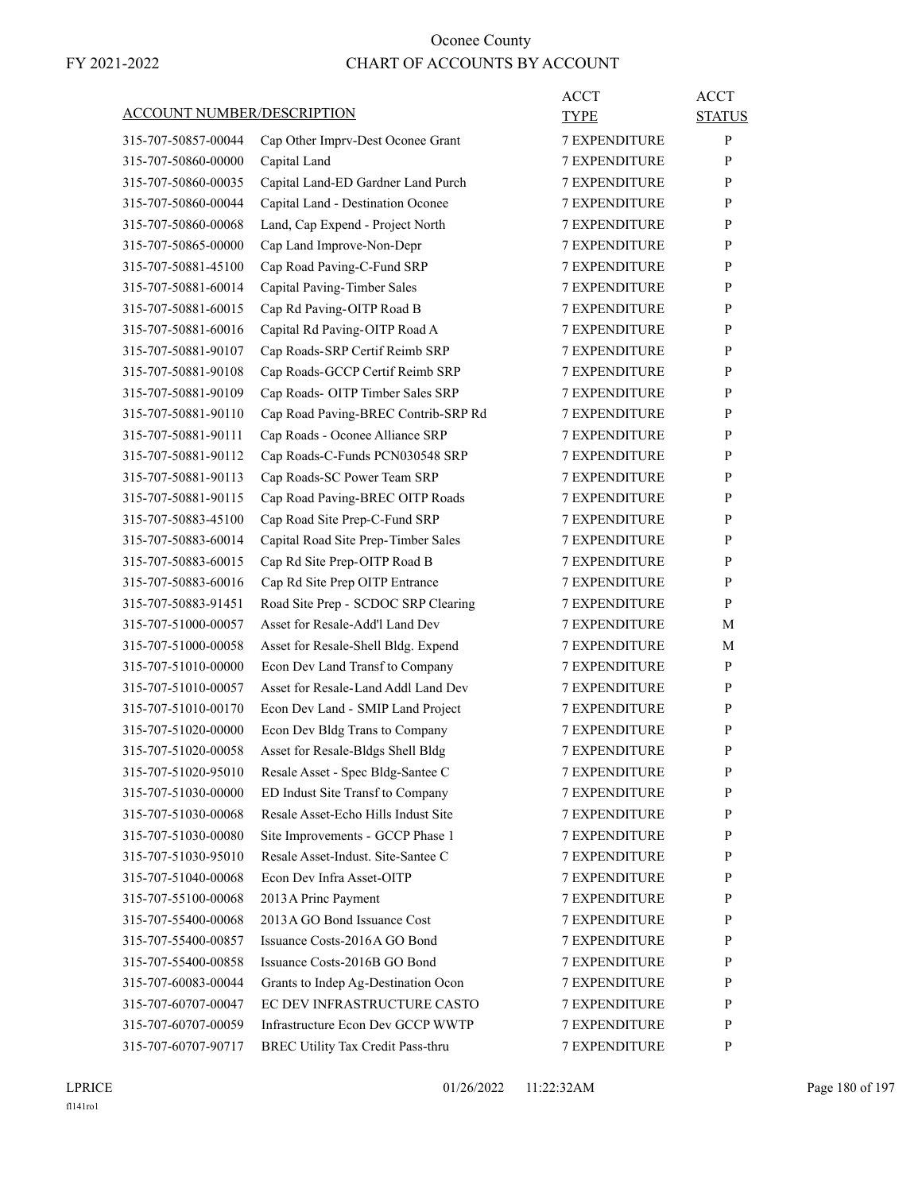| <b>ACCOUNT NUMBER/DESCRIPTION</b> |                                     | ACCT<br><b>TYPE</b>  | <b>ACCT</b><br><b>STATUS</b> |
|-----------------------------------|-------------------------------------|----------------------|------------------------------|
| 315-707-50857-00044               | Cap Other Imprv-Dest Oconee Grant   | <b>7 EXPENDITURE</b> | P                            |
| 315-707-50860-00000               | Capital Land                        | <b>7 EXPENDITURE</b> | P                            |
| 315-707-50860-00035               | Capital Land-ED Gardner Land Purch  | <b>7 EXPENDITURE</b> | P                            |
| 315-707-50860-00044               | Capital Land - Destination Oconee   | <b>7 EXPENDITURE</b> | P                            |
| 315-707-50860-00068               | Land, Cap Expend - Project North    | <b>7 EXPENDITURE</b> | P                            |
| 315-707-50865-00000               | Cap Land Improve-Non-Depr           | <b>7 EXPENDITURE</b> | P                            |
| 315-707-50881-45100               | Cap Road Paving-C-Fund SRP          | <b>7 EXPENDITURE</b> | P                            |
| 315-707-50881-60014               | Capital Paving-Timber Sales         | <b>7 EXPENDITURE</b> | P                            |
| 315-707-50881-60015               | Cap Rd Paving-OITP Road B           | <b>7 EXPENDITURE</b> | P                            |
| 315-707-50881-60016               | Capital Rd Paving-OITP Road A       | <b>7 EXPENDITURE</b> | P                            |
| 315-707-50881-90107               | Cap Roads-SRP Certif Reimb SRP      | <b>7 EXPENDITURE</b> | P                            |
| 315-707-50881-90108               | Cap Roads-GCCP Certif Reimb SRP     | <b>7 EXPENDITURE</b> | P                            |
| 315-707-50881-90109               | Cap Roads- OITP Timber Sales SRP    | <b>7 EXPENDITURE</b> | P                            |
| 315-707-50881-90110               | Cap Road Paving-BREC Contrib-SRP Rd | <b>7 EXPENDITURE</b> | P                            |
| 315-707-50881-90111               | Cap Roads - Oconee Alliance SRP     | <b>7 EXPENDITURE</b> | P                            |
| 315-707-50881-90112               | Cap Roads-C-Funds PCN030548 SRP     | <b>7 EXPENDITURE</b> | P                            |
| 315-707-50881-90113               | Cap Roads-SC Power Team SRP         | <b>7 EXPENDITURE</b> | P                            |
| 315-707-50881-90115               | Cap Road Paving-BREC OITP Roads     | <b>7 EXPENDITURE</b> | P                            |
| 315-707-50883-45100               | Cap Road Site Prep-C-Fund SRP       | <b>7 EXPENDITURE</b> | P                            |
| 315-707-50883-60014               | Capital Road Site Prep-Timber Sales | <b>7 EXPENDITURE</b> | P                            |
| 315-707-50883-60015               | Cap Rd Site Prep-OITP Road B        | <b>7 EXPENDITURE</b> | P                            |
| 315-707-50883-60016               | Cap Rd Site Prep OITP Entrance      | <b>7 EXPENDITURE</b> | P                            |
| 315-707-50883-91451               | Road Site Prep - SCDOC SRP Clearing | <b>7 EXPENDITURE</b> | P                            |
| 315-707-51000-00057               | Asset for Resale-Add'l Land Dev     | <b>7 EXPENDITURE</b> | М                            |
| 315-707-51000-00058               | Asset for Resale-Shell Bldg. Expend | <b>7 EXPENDITURE</b> | М                            |
| 315-707-51010-00000               | Econ Dev Land Transf to Company     | <b>7 EXPENDITURE</b> | P                            |
| 315-707-51010-00057               | Asset for Resale-Land Addl Land Dev | <b>7 EXPENDITURE</b> | P                            |
| 315-707-51010-00170               | Econ Dev Land - SMIP Land Project   | <b>7 EXPENDITURE</b> | P                            |
| 315-707-51020-00000               | Econ Dev Bldg Trans to Company      | <b>7 EXPENDITURE</b> | P                            |
| 315-707-51020-00058               | Asset for Resale-Bldgs Shell Bldg   | <b>7 EXPENDITURE</b> | P                            |
| 315-707-51020-95010               | Resale Asset - Spec Bldg-Santee C   | <b>7 EXPENDITURE</b> | $\mathbf{P}$                 |
| 315-707-51030-00000               | ED Indust Site Transf to Company    | <b>7 EXPENDITURE</b> | P                            |
| 315-707-51030-00068               | Resale Asset-Echo Hills Indust Site | <b>7 EXPENDITURE</b> | P                            |
| 315-707-51030-00080               | Site Improvements - GCCP Phase 1    | 7 EXPENDITURE        | P                            |
| 315-707-51030-95010               | Resale Asset-Indust. Site-Santee C  | 7 EXPENDITURE        | P                            |
| 315-707-51040-00068               | Econ Dev Infra Asset-OITP           | 7 EXPENDITURE        | $\mathbf{P}$                 |
| 315-707-55100-00068               | 2013 A Princ Payment                | 7 EXPENDITURE        | P                            |
| 315-707-55400-00068               | 2013 A GO Bond Issuance Cost        | <b>7 EXPENDITURE</b> | P                            |
| 315-707-55400-00857               | Issuance Costs-2016A GO Bond        | <b>7 EXPENDITURE</b> | P                            |
| 315-707-55400-00858               | Issuance Costs-2016B GO Bond        | 7 EXPENDITURE        | P                            |
| 315-707-60083-00044               | Grants to Indep Ag-Destination Ocon | 7 EXPENDITURE        | P                            |
| 315-707-60707-00047               | EC DEV INFRASTRUCTURE CASTO         | 7 EXPENDITURE        | $\mathbf{P}$                 |
| 315-707-60707-00059               | Infrastructure Econ Dev GCCP WWTP   | 7 EXPENDITURE        | P                            |
| 315-707-60707-90717               | BREC Utility Tax Credit Pass-thru   | 7 EXPENDITURE        | P                            |
|                                   |                                     |                      |                              |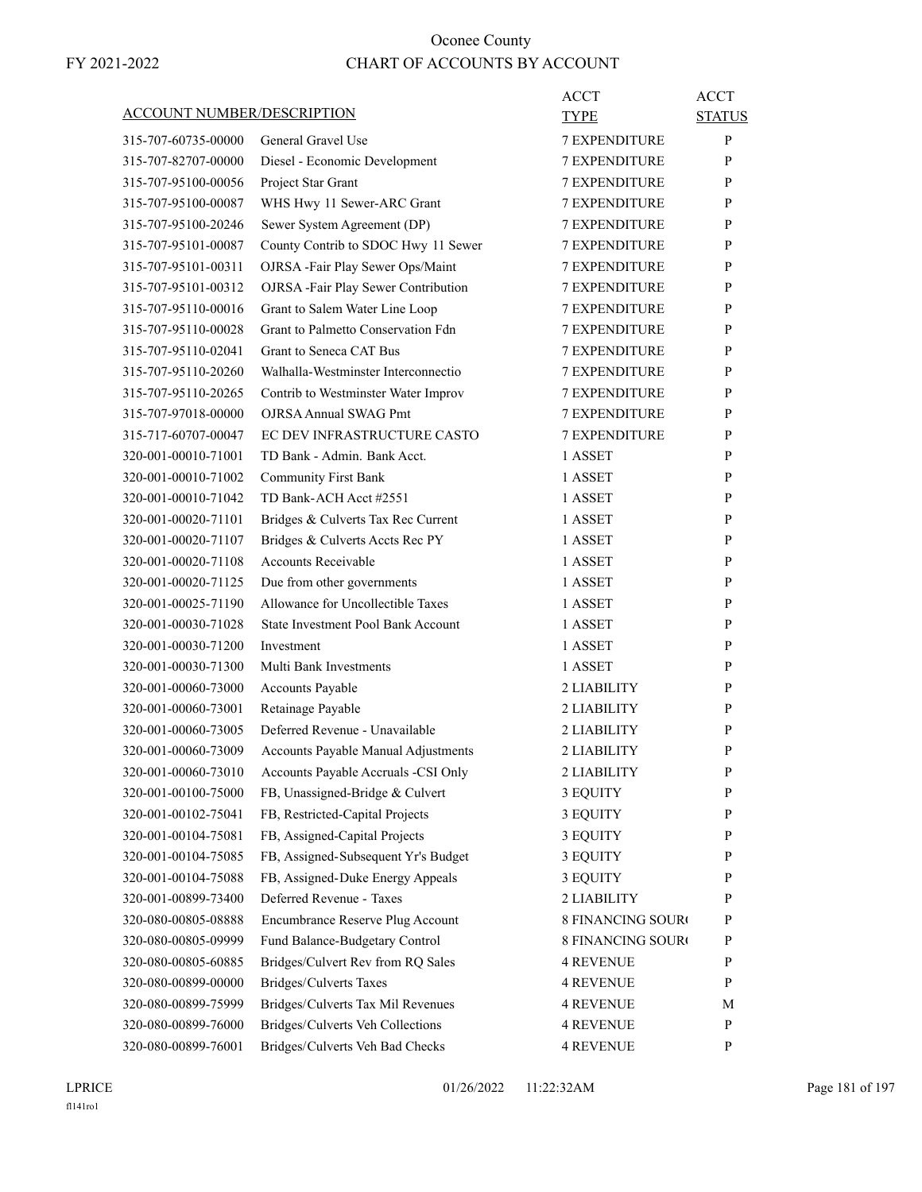| ACCOUNT NUMBER/DESCRIPTION |                                                                        | ACCT<br>TYPE         | <b>ACCT</b><br><b>STATUS</b> |
|----------------------------|------------------------------------------------------------------------|----------------------|------------------------------|
| 315-707-60735-00000        | General Gravel Use                                                     | <b>7 EXPENDITURE</b> | P                            |
| 315-707-82707-00000        | Diesel - Economic Development                                          | <b>7 EXPENDITURE</b> | P                            |
| 315-707-95100-00056        | Project Star Grant                                                     | <b>7 EXPENDITURE</b> | P                            |
| 315-707-95100-00087        | WHS Hwy 11 Sewer-ARC Grant                                             | <b>7 EXPENDITURE</b> | P                            |
| 315-707-95100-20246        | Sewer System Agreement (DP)                                            | <b>7 EXPENDITURE</b> | P                            |
| 315-707-95101-00087        | County Contrib to SDOC Hwy 11 Sewer                                    | <b>7 EXPENDITURE</b> | P                            |
| 315-707-95101-00311        | OJRSA -Fair Play Sewer Ops/Maint                                       | <b>7 EXPENDITURE</b> | P                            |
| 315-707-95101-00312        | OJRSA -Fair Play Sewer Contribution                                    | <b>7 EXPENDITURE</b> | P                            |
| 315-707-95110-00016        | Grant to Salem Water Line Loop                                         | <b>7 EXPENDITURE</b> | P                            |
| 315-707-95110-00028        | Grant to Palmetto Conservation Fdn                                     | <b>7 EXPENDITURE</b> | P                            |
| 315-707-95110-02041        | Grant to Seneca CAT Bus                                                | <b>7 EXPENDITURE</b> | P                            |
| 315-707-95110-20260        | Walhalla-Westminster Interconnectio                                    | <b>7 EXPENDITURE</b> | P                            |
| 315-707-95110-20265        | Contrib to Westminster Water Improv                                    | <b>7 EXPENDITURE</b> | P                            |
| 315-707-97018-00000        | <b>OJRSA Annual SWAG Pmt</b>                                           | <b>7 EXPENDITURE</b> | P                            |
| 315-717-60707-00047        | EC DEV INFRASTRUCTURE CASTO                                            | <b>7 EXPENDITURE</b> | P                            |
| 320-001-00010-71001        | TD Bank - Admin. Bank Acct.                                            | 1 ASSET              | P                            |
| 320-001-00010-71002        | <b>Community First Bank</b>                                            | 1 ASSET              | P                            |
| 320-001-00010-71042        | TD Bank-ACH Acct #2551                                                 | 1 ASSET              | P                            |
| 320-001-00020-71101        | Bridges & Culverts Tax Rec Current                                     | 1 ASSET              | P                            |
| 320-001-00020-71107        | Bridges & Culverts Accts Rec PY                                        | 1 ASSET              | P                            |
| 320-001-00020-71108        | Accounts Receivable                                                    | 1 ASSET              | P                            |
| 320-001-00020-71125        | Due from other governments                                             | 1 ASSET              | P                            |
| 320-001-00025-71190        | Allowance for Uncollectible Taxes                                      | 1 ASSET              | P                            |
| 320-001-00030-71028        | State Investment Pool Bank Account                                     | 1 ASSET              | P                            |
| 320-001-00030-71200        | Investment                                                             | 1 ASSET              | P                            |
| 320-001-00030-71300        | Multi Bank Investments                                                 | 1 ASSET              | P                            |
| 320-001-00060-73000        | Accounts Payable                                                       | 2 LIABILITY          | P                            |
| 320-001-00060-73001        | Retainage Payable                                                      | 2 LIABILITY          | P                            |
| 320-001-00060-73005        | Deferred Revenue - Unavailable                                         | 2 LIABILITY          |                              |
| 320-001-00060-73009        | Accounts Payable Manual Adjustments                                    | 2 LIABILITY          | P<br>P                       |
|                            |                                                                        | 2 LIABILITY          | P                            |
| 320-001-00060-73010        | Accounts Payable Accruals -CSI Only<br>FB, Unassigned-Bridge & Culvert |                      |                              |
| 320-001-00100-75000        |                                                                        | 3 EQUITY             | P                            |
| 320-001-00102-75041        | FB, Restricted-Capital Projects                                        | 3 EQUITY             | $\mathbf{P}$                 |
| 320-001-00104-75081        | FB, Assigned-Capital Projects                                          | 3 EQUITY             | P                            |
| 320-001-00104-75085        | FB, Assigned-Subsequent Yr's Budget                                    | 3 EQUITY             | P                            |
| 320-001-00104-75088        | FB, Assigned-Duke Energy Appeals                                       | 3 EQUITY             | $\mathbf{P}$                 |
| 320-001-00899-73400        | Deferred Revenue - Taxes                                               | 2 LIABILITY          | $\mathbf{P}$                 |
| 320-080-00805-08888        | Encumbrance Reserve Plug Account                                       | 8 FINANCING SOURO    | P                            |
| 320-080-00805-09999        | Fund Balance-Budgetary Control                                         | 8 FINANCING SOURO    | P                            |
| 320-080-00805-60885        | Bridges/Culvert Rev from RQ Sales                                      | 4 REVENUE            | P                            |
| 320-080-00899-00000        | Bridges/Culverts Taxes                                                 | <b>4 REVENUE</b>     | P                            |
| 320-080-00899-75999        | Bridges/Culverts Tax Mil Revenues                                      | 4 REVENUE            | M                            |
| 320-080-00899-76000        | Bridges/Culverts Veh Collections                                       | 4 REVENUE            | P                            |
| 320-080-00899-76001        | Bridges/Culverts Veh Bad Checks                                        | 4 REVENUE            | P                            |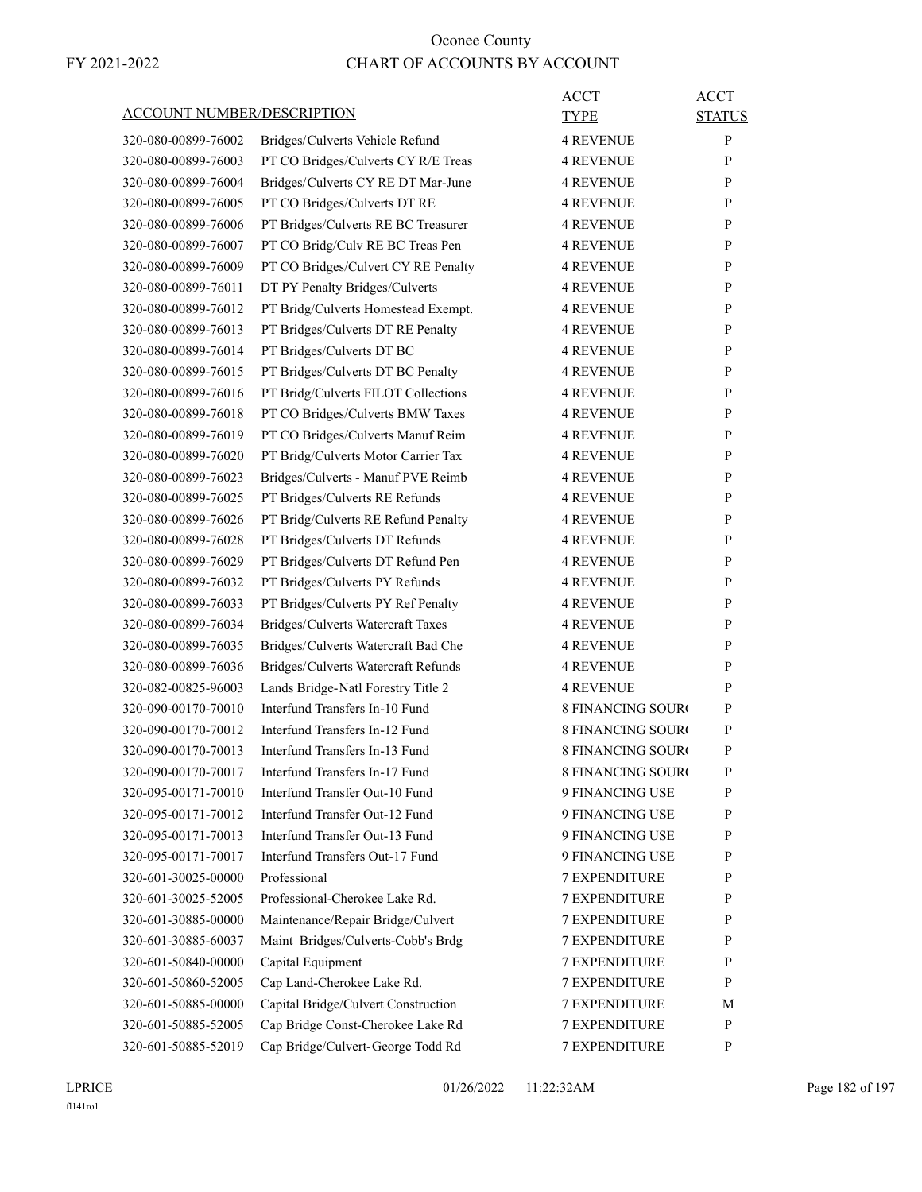| <b>ACCOUNT NUMBER/DESCRIPTION</b> |                                                                      | ACCT<br><b>TYPE</b>      | <b>ACCT</b><br><b>STATUS</b> |
|-----------------------------------|----------------------------------------------------------------------|--------------------------|------------------------------|
| 320-080-00899-76002               | Bridges/Culverts Vehicle Refund                                      | <b>4 REVENUE</b>         | P                            |
| 320-080-00899-76003               | PT CO Bridges/Culverts CY R/E Treas                                  | <b>4 REVENUE</b>         | P                            |
| 320-080-00899-76004               | Bridges/Culverts CY RE DT Mar-June                                   | <b>4 REVENUE</b>         | P                            |
| 320-080-00899-76005               | PT CO Bridges/Culverts DT RE                                         | <b>4 REVENUE</b>         | P                            |
| 320-080-00899-76006               | PT Bridges/Culverts RE BC Treasurer                                  | <b>4 REVENUE</b>         | P                            |
| 320-080-00899-76007               | PT CO Bridg/Culv RE BC Treas Pen                                     | <b>4 REVENUE</b>         | P                            |
| 320-080-00899-76009               | PT CO Bridges/Culvert CY RE Penalty                                  | <b>4 REVENUE</b>         | P                            |
| 320-080-00899-76011               | DT PY Penalty Bridges/Culverts                                       | <b>4 REVENUE</b>         | P                            |
| 320-080-00899-76012               | PT Bridg/Culverts Homestead Exempt.                                  | <b>4 REVENUE</b>         | P                            |
| 320-080-00899-76013               | PT Bridges/Culverts DT RE Penalty                                    | <b>4 REVENUE</b>         | P                            |
| 320-080-00899-76014               | PT Bridges/Culverts DT BC                                            | <b>4 REVENUE</b>         | P                            |
| 320-080-00899-76015               | PT Bridges/Culverts DT BC Penalty                                    | <b>4 REVENUE</b>         | P                            |
| 320-080-00899-76016               | PT Bridg/Culverts FILOT Collections                                  | <b>4 REVENUE</b>         | P                            |
| 320-080-00899-76018               | PT CO Bridges/Culverts BMW Taxes                                     | <b>4 REVENUE</b>         | P                            |
| 320-080-00899-76019               | PT CO Bridges/Culverts Manuf Reim                                    | <b>4 REVENUE</b>         | P                            |
| 320-080-00899-76020               | PT Bridg/Culverts Motor Carrier Tax                                  | <b>4 REVENUE</b>         | P                            |
| 320-080-00899-76023               | Bridges/Culverts - Manuf PVE Reimb                                   | <b>4 REVENUE</b>         | P                            |
| 320-080-00899-76025               | PT Bridges/Culverts RE Refunds                                       | <b>4 REVENUE</b>         | P                            |
| 320-080-00899-76026               | PT Bridg/Culverts RE Refund Penalty                                  | <b>4 REVENUE</b>         | P                            |
| 320-080-00899-76028               | PT Bridges/Culverts DT Refunds                                       | <b>4 REVENUE</b>         | P                            |
| 320-080-00899-76029               | PT Bridges/Culverts DT Refund Pen                                    | <b>4 REVENUE</b>         | P                            |
| 320-080-00899-76032               | PT Bridges/Culverts PY Refunds                                       | <b>4 REVENUE</b>         | P                            |
| 320-080-00899-76033               | PT Bridges/Culverts PY Ref Penalty                                   | <b>4 REVENUE</b>         | P                            |
| 320-080-00899-76034               | Bridges/Culverts Watercraft Taxes                                    | <b>4 REVENUE</b>         | P                            |
| 320-080-00899-76035               |                                                                      | <b>4 REVENUE</b>         | P                            |
| 320-080-00899-76036               | Bridges/Culverts Watercraft Bad Che                                  | <b>4 REVENUE</b>         | P                            |
| 320-082-00825-96003               | Bridges/Culverts Watercraft Refunds                                  | <b>4 REVENUE</b>         | P                            |
| 320-090-00170-70010               | Lands Bridge-Natl Forestry Title 2<br>Interfund Transfers In-10 Fund | <b>8 FINANCING SOURO</b> | P                            |
| 320-090-00170-70012               | Interfund Transfers In-12 Fund                                       | <b>8 FINANCING SOURC</b> |                              |
|                                   | Interfund Transfers In-13 Fund                                       | <b>8 FINANCING SOURO</b> | P<br>P                       |
| 320-090-00170-70013               | Interfund Transfers In-17 Fund                                       | 8 FINANCING SOURC        | P                            |
| 320-090-00170-70017               | Interfund Transfer Out-10 Fund                                       |                          |                              |
| 320-095-00171-70010               |                                                                      | 9 FINANCING USE          | P                            |
| 320-095-00171-70012               | Interfund Transfer Out-12 Fund                                       | 9 FINANCING USE          | P                            |
| 320-095-00171-70013               | Interfund Transfer Out-13 Fund                                       | 9 FINANCING USE          | P                            |
| 320-095-00171-70017               | Interfund Transfers Out-17 Fund                                      | 9 FINANCING USE          | P                            |
| 320-601-30025-00000               | Professional                                                         | 7 EXPENDITURE            | P                            |
| 320-601-30025-52005               | Professional-Cherokee Lake Rd.                                       | <b>7 EXPENDITURE</b>     | P                            |
| 320-601-30885-00000               | Maintenance/Repair Bridge/Culvert                                    | <b>7 EXPENDITURE</b>     | P                            |
| 320-601-30885-60037               | Maint Bridges/Culverts-Cobb's Brdg                                   | 7 EXPENDITURE            | P                            |
| 320-601-50840-00000               | Capital Equipment                                                    | 7 EXPENDITURE            | P                            |
| 320-601-50860-52005               | Cap Land-Cherokee Lake Rd.                                           | 7 EXPENDITURE            | P                            |
| 320-601-50885-00000               | Capital Bridge/Culvert Construction                                  | <b>7 EXPENDITURE</b>     | М                            |
| 320-601-50885-52005               | Cap Bridge Const-Cherokee Lake Rd                                    | <b>7 EXPENDITURE</b>     | P                            |
| 320-601-50885-52019               | Cap Bridge/Culvert-George Todd Rd                                    | <b>7 EXPENDITURE</b>     | P                            |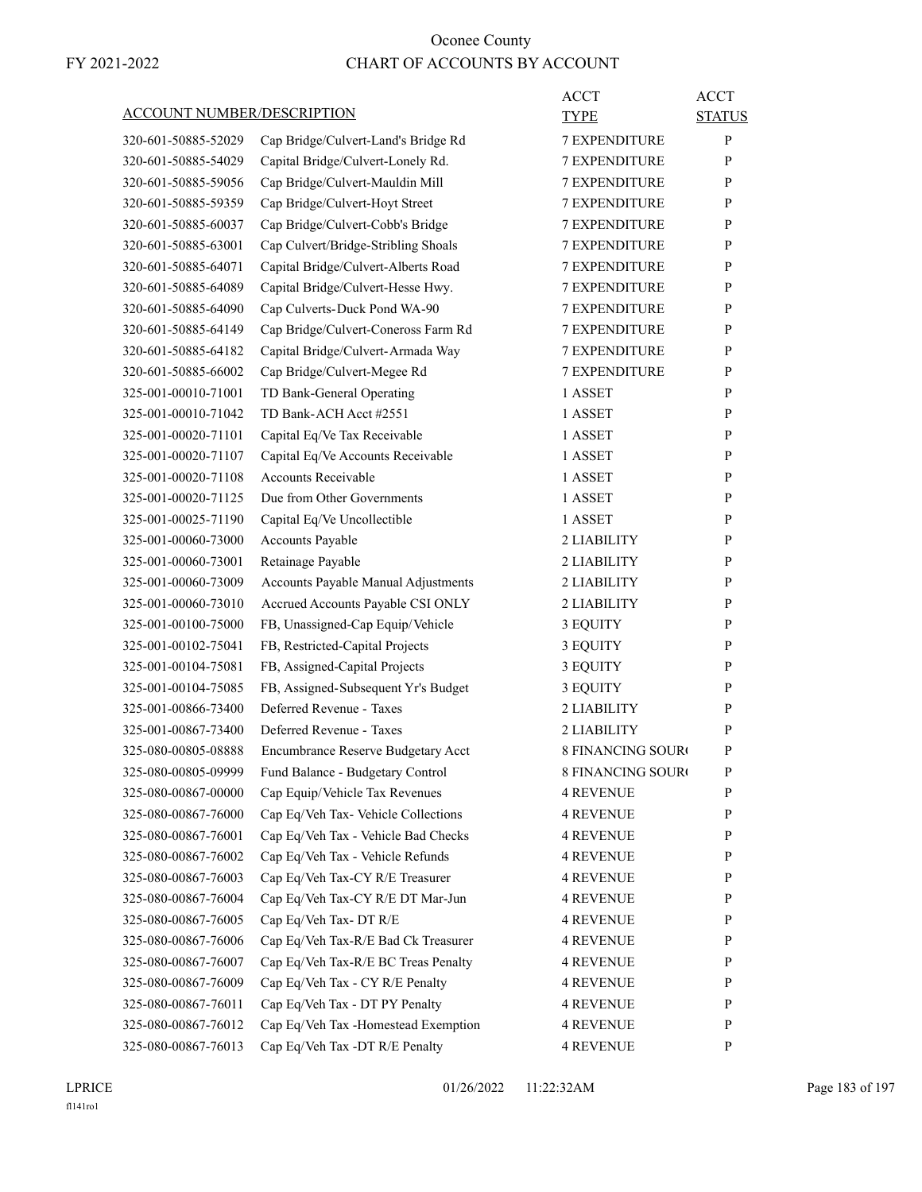|                                   |                                     | ACCT                     | <b>ACCT</b>   |
|-----------------------------------|-------------------------------------|--------------------------|---------------|
| <b>ACCOUNT NUMBER/DESCRIPTION</b> |                                     | TYPE                     | <b>STATUS</b> |
| 320-601-50885-52029               | Cap Bridge/Culvert-Land's Bridge Rd | <b>7 EXPENDITURE</b>     | P             |
| 320-601-50885-54029               | Capital Bridge/Culvert-Lonely Rd.   | <b>7 EXPENDITURE</b>     | P             |
| 320-601-50885-59056               | Cap Bridge/Culvert-Mauldin Mill     | <b>7 EXPENDITURE</b>     | P             |
| 320-601-50885-59359               | Cap Bridge/Culvert-Hoyt Street      | 7 EXPENDITURE            | P             |
| 320-601-50885-60037               | Cap Bridge/Culvert-Cobb's Bridge    | <b>7 EXPENDITURE</b>     | P             |
| 320-601-50885-63001               | Cap Culvert/Bridge-Stribling Shoals | <b>7 EXPENDITURE</b>     | P             |
| 320-601-50885-64071               | Capital Bridge/Culvert-Alberts Road | 7 EXPENDITURE            | P             |
| 320-601-50885-64089               | Capital Bridge/Culvert-Hesse Hwy.   | <b>7 EXPENDITURE</b>     | P             |
| 320-601-50885-64090               | Cap Culverts-Duck Pond WA-90        | <b>7 EXPENDITURE</b>     | P             |
| 320-601-50885-64149               | Cap Bridge/Culvert-Coneross Farm Rd | 7 EXPENDITURE            | P             |
| 320-601-50885-64182               | Capital Bridge/Culvert-Armada Way   | <b>7 EXPENDITURE</b>     | P             |
| 320-601-50885-66002               | Cap Bridge/Culvert-Megee Rd         | <b>7 EXPENDITURE</b>     | P             |
| 325-001-00010-71001               | TD Bank-General Operating           | 1 ASSET                  | P             |
| 325-001-00010-71042               | TD Bank-ACH Acct #2551              | 1 ASSET                  | P             |
| 325-001-00020-71101               | Capital Eq/Ve Tax Receivable        | 1 ASSET                  | P             |
| 325-001-00020-71107               | Capital Eq/Ve Accounts Receivable   | 1 ASSET                  | P             |
| 325-001-00020-71108               | Accounts Receivable                 | 1 ASSET                  | P             |
| 325-001-00020-71125               | Due from Other Governments          | 1 ASSET                  | P             |
| 325-001-00025-71190               | Capital Eq/Ve Uncollectible         | 1 ASSET                  | P             |
| 325-001-00060-73000               | Accounts Payable                    | 2 LIABILITY              | P             |
| 325-001-00060-73001               | Retainage Payable                   | 2 LIABILITY              | P             |
| 325-001-00060-73009               | Accounts Payable Manual Adjustments | 2 LIABILITY              | P             |
| 325-001-00060-73010               | Accrued Accounts Payable CSI ONLY   | 2 LIABILITY              | P             |
| 325-001-00100-75000               | FB, Unassigned-Cap Equip/Vehicle    | 3 EQUITY                 | P             |
| 325-001-00102-75041               | FB, Restricted-Capital Projects     | 3 EQUITY                 | P             |
| 325-001-00104-75081               | FB, Assigned-Capital Projects       | 3 EQUITY                 | P             |
| 325-001-00104-75085               | FB, Assigned-Subsequent Yr's Budget | 3 EQUITY                 | P             |
| 325-001-00866-73400               | Deferred Revenue - Taxes            | 2 LIABILITY              | P             |
| 325-001-00867-73400               | Deferred Revenue - Taxes            | 2 LIABILITY              | P             |
| 325-080-00805-08888               | Encumbrance Reserve Budgetary Acct  | <b>8 FINANCING SOURO</b> | P             |
| 325-080-00805-09999               | Fund Balance - Budgetary Control    | 8 FINANCING SOURO        | ${\bf P}$     |
| 325-080-00867-00000               | Cap Equip/Vehicle Tax Revenues      | <b>4 REVENUE</b>         | P             |
| 325-080-00867-76000               | Cap Eq/Veh Tax- Vehicle Collections | <b>4 REVENUE</b>         | P             |
| 325-080-00867-76001               | Cap Eq/Veh Tax - Vehicle Bad Checks | <b>4 REVENUE</b>         | P             |
| 325-080-00867-76002               | Cap Eq/Veh Tax - Vehicle Refunds    | <b>4 REVENUE</b>         | P             |
| 325-080-00867-76003               | Cap Eq/Veh Tax-CY R/E Treasurer     | <b>4 REVENUE</b>         | P             |
| 325-080-00867-76004               | Cap Eq/Veh Tax-CY R/E DT Mar-Jun    | <b>4 REVENUE</b>         | P             |
| 325-080-00867-76005               | Cap Eq/Veh Tax-DT R/E               | <b>4 REVENUE</b>         | P             |
| 325-080-00867-76006               | Cap Eq/Veh Tax-R/E Bad Ck Treasurer | <b>4 REVENUE</b>         | P             |
| 325-080-00867-76007               | Cap Eq/Veh Tax-R/E BC Treas Penalty | <b>4 REVENUE</b>         | P             |
| 325-080-00867-76009               | Cap Eq/Veh Tax - CY R/E Penalty     | <b>4 REVENUE</b>         | P             |
| 325-080-00867-76011               | Cap Eq/Veh Tax - DT PY Penalty      | <b>4 REVENUE</b>         | P             |
| 325-080-00867-76012               | Cap Eq/Veh Tax -Homestead Exemption | <b>4 REVENUE</b>         | P             |
| 325-080-00867-76013               | Cap Eq/Veh Tax -DT R/E Penalty      | <b>4 REVENUE</b>         | P             |

LPRICE 01/26/2022 11:22:32AM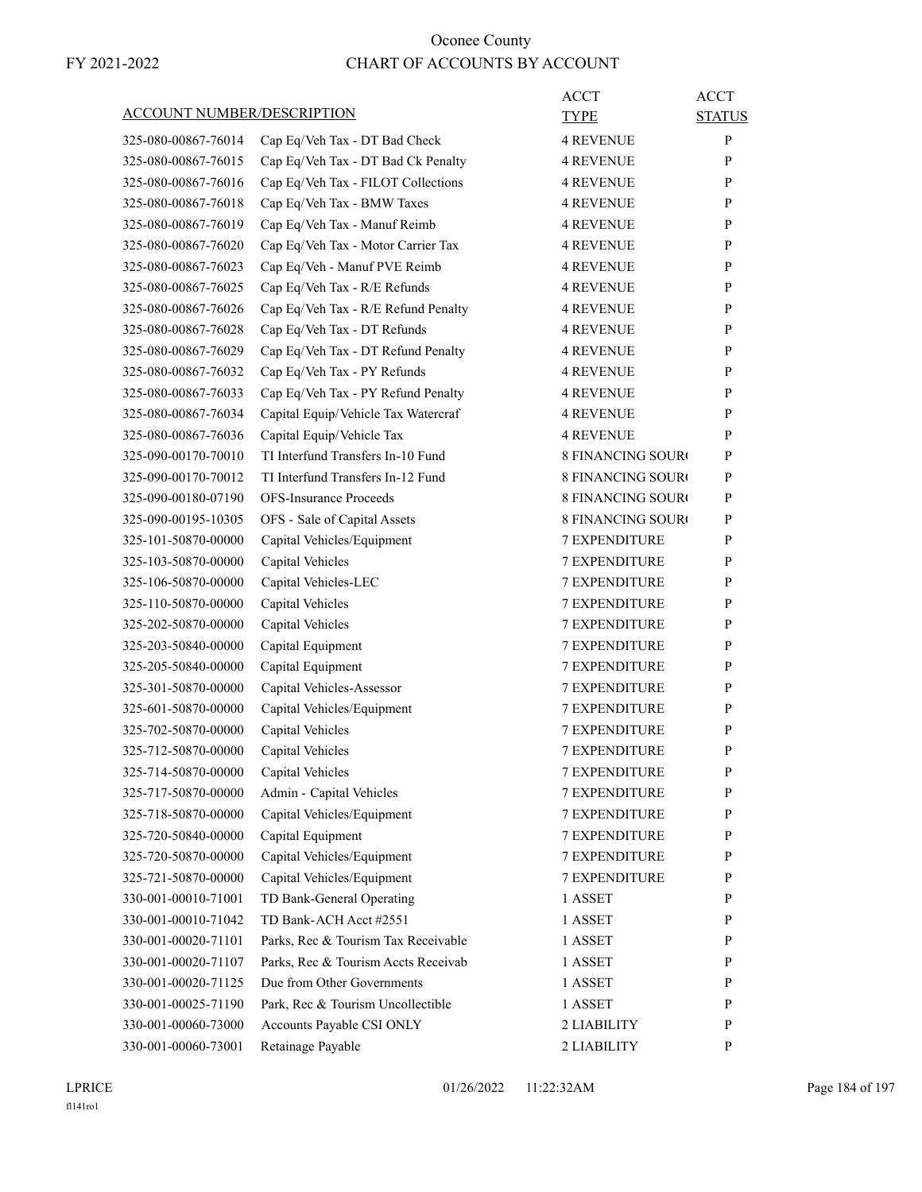| <b>ACCOUNT NUMBER/DESCRIPTION</b> |                                     | ACCT<br>TYPE             | <b>ACCT</b><br><b>STATUS</b> |
|-----------------------------------|-------------------------------------|--------------------------|------------------------------|
|                                   |                                     |                          |                              |
| 325-080-00867-76014               | Cap Eq/Veh Tax - DT Bad Check       | 4 REVENUE                | P                            |
| 325-080-00867-76015               | Cap Eq/Veh Tax - DT Bad Ck Penalty  | <b>4 REVENUE</b>         | P                            |
| 325-080-00867-76016               | Cap Eq/Veh Tax - FILOT Collections  | <b>4 REVENUE</b>         | P                            |
| 325-080-00867-76018               | Cap Eq/Veh Tax - BMW Taxes          | 4 REVENUE                | P                            |
| 325-080-00867-76019               | Cap Eq/Veh Tax - Manuf Reimb        | <b>4 REVENUE</b>         | P                            |
| 325-080-00867-76020               | Cap Eq/Veh Tax - Motor Carrier Tax  | 4 REVENUE                | P                            |
| 325-080-00867-76023               | Cap Eq/Veh - Manuf PVE Reimb        | <b>4 REVENUE</b>         | P                            |
| 325-080-00867-76025               | Cap Eq/Veh Tax - R/E Refunds        | <b>4 REVENUE</b>         | P                            |
| 325-080-00867-76026               | Cap Eq/Veh Tax - R/E Refund Penalty | <b>4 REVENUE</b>         | P                            |
| 325-080-00867-76028               | Cap Eq/Veh Tax - DT Refunds         | 4 REVENUE                | P                            |
| 325-080-00867-76029               | Cap Eq/Veh Tax - DT Refund Penalty  | <b>4 REVENUE</b>         | P                            |
| 325-080-00867-76032               | Cap Eq/Veh Tax - PY Refunds         | 4 REVENUE                | P                            |
| 325-080-00867-76033               | Cap Eq/Veh Tax - PY Refund Penalty  | 4 REVENUE                | P                            |
| 325-080-00867-76034               | Capital Equip/Vehicle Tax Watercraf | <b>4 REVENUE</b>         | P                            |
| 325-080-00867-76036               | Capital Equip/Vehicle Tax           | <b>4 REVENUE</b>         | P                            |
| 325-090-00170-70010               | TI Interfund Transfers In-10 Fund   | 8 FINANCING SOURC        | P                            |
| 325-090-00170-70012               | TI Interfund Transfers In-12 Fund   | 8 FINANCING SOURC        | P                            |
| 325-090-00180-07190               | <b>OFS-Insurance Proceeds</b>       | <b>8 FINANCING SOURO</b> | P                            |
| 325-090-00195-10305               | OFS - Sale of Capital Assets        | <b>8 FINANCING SOURO</b> | P                            |
| 325-101-50870-00000               | Capital Vehicles/Equipment          | <b>7 EXPENDITURE</b>     | P                            |
| 325-103-50870-00000               | Capital Vehicles                    | <b>7 EXPENDITURE</b>     | P                            |
| 325-106-50870-00000               | Capital Vehicles-LEC                | <b>7 EXPENDITURE</b>     | P                            |
| 325-110-50870-00000               | Capital Vehicles                    | <b>7 EXPENDITURE</b>     | P                            |
| 325-202-50870-00000               | Capital Vehicles                    | <b>7 EXPENDITURE</b>     | P                            |
| 325-203-50840-00000               | Capital Equipment                   | <b>7 EXPENDITURE</b>     | P                            |
| 325-205-50840-00000               | Capital Equipment                   | <b>7 EXPENDITURE</b>     | P                            |
| 325-301-50870-00000               | Capital Vehicles-Assessor           | <b>7 EXPENDITURE</b>     | P                            |
| 325-601-50870-00000               | Capital Vehicles/Equipment          | <b>7 EXPENDITURE</b>     | P                            |
| 325-702-50870-00000               | Capital Vehicles                    | <b>7 EXPENDITURE</b>     | P                            |
| 325-712-50870-00000               | Capital Vehicles                    | <b>7 EXPENDITURE</b>     | P                            |
| 325-714-50870-00000               | Capital Vehicles                    | 7 EXPENDITURE            | P                            |
| 325-717-50870-00000               | Admin - Capital Vehicles            | 7 EXPENDITURE            | P                            |
| 325-718-50870-00000               | Capital Vehicles/Equipment          | 7 EXPENDITURE            | $\mathbf{P}$                 |
| 325-720-50840-00000               | Capital Equipment                   | 7 EXPENDITURE            | P                            |
| 325-720-50870-00000               | Capital Vehicles/Equipment          | 7 EXPENDITURE            | P                            |
| 325-721-50870-00000               | Capital Vehicles/Equipment          | <b>7 EXPENDITURE</b>     | P                            |
| 330-001-00010-71001               | TD Bank-General Operating           | 1 ASSET                  | P                            |
| 330-001-00010-71042               | TD Bank-ACH Acct #2551              | 1 ASSET                  | P                            |
| 330-001-00020-71101               | Parks, Rec & Tourism Tax Receivable | 1 ASSET                  | $\mathbf{P}$                 |
| 330-001-00020-71107               | Parks, Rec & Tourism Accts Receivab | 1 ASSET                  | P                            |
| 330-001-00020-71125               | Due from Other Governments          | 1 ASSET                  | P                            |
| 330-001-00025-71190               | Park, Rec & Tourism Uncollectible   | 1 ASSET                  | P                            |
| 330-001-00060-73000               | Accounts Payable CSI ONLY           | 2 LIABILITY              | P                            |
| 330-001-00060-73001               | Retainage Payable                   | 2 LIABILITY              | P                            |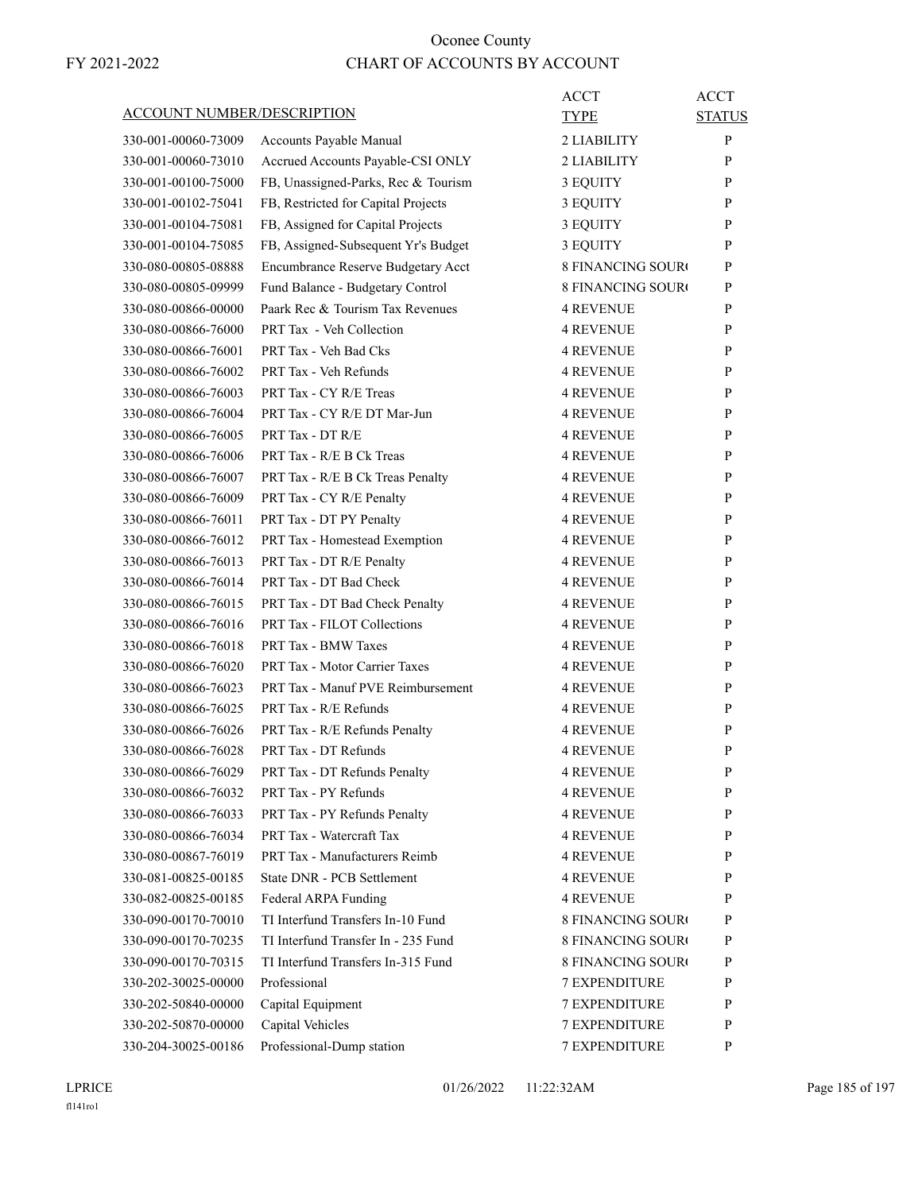| ACCOUNT NUMBER/DESCRIPTION |                                     | ACCT<br>TYPE             | <b>ACCT</b><br><b>STATUS</b> |
|----------------------------|-------------------------------------|--------------------------|------------------------------|
| 330-001-00060-73009        | Accounts Payable Manual             | 2 LIABILITY              | P                            |
| 330-001-00060-73010        | Accrued Accounts Payable-CSI ONLY   | 2 LIABILITY              | P                            |
| 330-001-00100-75000        | FB, Unassigned-Parks, Rec & Tourism | 3 EQUITY                 | P                            |
| 330-001-00102-75041        | FB, Restricted for Capital Projects | 3 EQUITY                 | P                            |
| 330-001-00104-75081        | FB, Assigned for Capital Projects   | 3 EQUITY                 | P                            |
| 330-001-00104-75085        | FB, Assigned-Subsequent Yr's Budget | 3 EQUITY                 | P                            |
| 330-080-00805-08888        | Encumbrance Reserve Budgetary Acct  | <b>8 FINANCING SOURO</b> | P                            |
| 330-080-00805-09999        | Fund Balance - Budgetary Control    | <b>8 FINANCING SOURO</b> | P                            |
| 330-080-00866-00000        | Paark Rec & Tourism Tax Revenues    | <b>4 REVENUE</b>         | P                            |
| 330-080-00866-76000        | <b>PRT Tax - Veh Collection</b>     | <b>4 REVENUE</b>         | P                            |
| 330-080-00866-76001        | PRT Tax - Veh Bad Cks               | 4 REVENUE                | P                            |
| 330-080-00866-76002        | PRT Tax - Veh Refunds               | <b>4 REVENUE</b>         | P                            |
| 330-080-00866-76003        | PRT Tax - CY R/E Treas              | <b>4 REVENUE</b>         | P                            |
| 330-080-00866-76004        | PRT Tax - CY R/E DT Mar-Jun         | <b>4 REVENUE</b>         | P                            |
| 330-080-00866-76005        | PRT Tax - DT R/E                    | 4 REVENUE                | P                            |
| 330-080-00866-76006        | PRT Tax - R/E B Ck Treas            | <b>4 REVENUE</b>         | P                            |
| 330-080-00866-76007        | PRT Tax - R/E B Ck Treas Penalty    | <b>4 REVENUE</b>         | P                            |
| 330-080-00866-76009        | PRT Tax - CY R/E Penalty            | <b>4 REVENUE</b>         | P                            |
| 330-080-00866-76011        | PRT Tax - DT PY Penalty             | <b>4 REVENUE</b>         | P                            |
| 330-080-00866-76012        | PRT Tax - Homestead Exemption       | <b>4 REVENUE</b>         | P                            |
| 330-080-00866-76013        | PRT Tax - DT R/E Penalty            | 4 REVENUE                | P                            |
| 330-080-00866-76014        | PRT Tax - DT Bad Check              | <b>4 REVENUE</b>         | P                            |
| 330-080-00866-76015        | PRT Tax - DT Bad Check Penalty      | 4 REVENUE                | P                            |
| 330-080-00866-76016        | <b>PRT Tax - FILOT Collections</b>  | <b>4 REVENUE</b>         | P                            |
| 330-080-00866-76018        | <b>PRT Tax - BMW Taxes</b>          | <b>4 REVENUE</b>         | P                            |
| 330-080-00866-76020        | PRT Tax - Motor Carrier Taxes       | <b>4 REVENUE</b>         | P                            |
| 330-080-00866-76023        | PRT Tax - Manuf PVE Reimbursement   | <b>4 REVENUE</b>         | P                            |
| 330-080-00866-76025        | PRT Tax - R/E Refunds               | 4 REVENUE                | P                            |
| 330-080-00866-76026        | PRT Tax - R/E Refunds Penalty       | <b>4 REVENUE</b>         | P                            |
| 330-080-00866-76028        | PRT Tax - DT Refunds                | <b>4 REVENUE</b>         | P                            |
| 330-080-00866-76029        | PRT Tax - DT Refunds Penalty        | <b>4 REVENUE</b>         | P                            |
| 330-080-00866-76032        | PRT Tax - PY Refunds                | <b>4 REVENUE</b>         | P                            |
| 330-080-00866-76033        | PRT Tax - PY Refunds Penalty        | 4 REVENUE                | P                            |
| 330-080-00866-76034        | PRT Tax - Watercraft Tax            | 4 REVENUE                | P                            |
| 330-080-00867-76019        | PRT Tax - Manufacturers Reimb       | <b>4 REVENUE</b>         | P                            |
| 330-081-00825-00185        | State DNR - PCB Settlement          | <b>4 REVENUE</b>         | P                            |
| 330-082-00825-00185        | Federal ARPA Funding                | 4 REVENUE                | P                            |
| 330-090-00170-70010        | TI Interfund Transfers In-10 Fund   | <b>8 FINANCING SOURO</b> | P                            |
| 330-090-00170-70235        | TI Interfund Transfer In - 235 Fund | <b>8 FINANCING SOURO</b> | P                            |
| 330-090-00170-70315        | TI Interfund Transfers In-315 Fund  | 8 FINANCING SOURO        | P                            |
| 330-202-30025-00000        | Professional                        | <b>7 EXPENDITURE</b>     | P                            |
| 330-202-50840-00000        | Capital Equipment                   | <b>7 EXPENDITURE</b>     | P                            |
| 330-202-50870-00000        | Capital Vehicles                    | <b>7 EXPENDITURE</b>     | P                            |
| 330-204-30025-00186        | Professional-Dump station           | 7 EXPENDITURE            | P                            |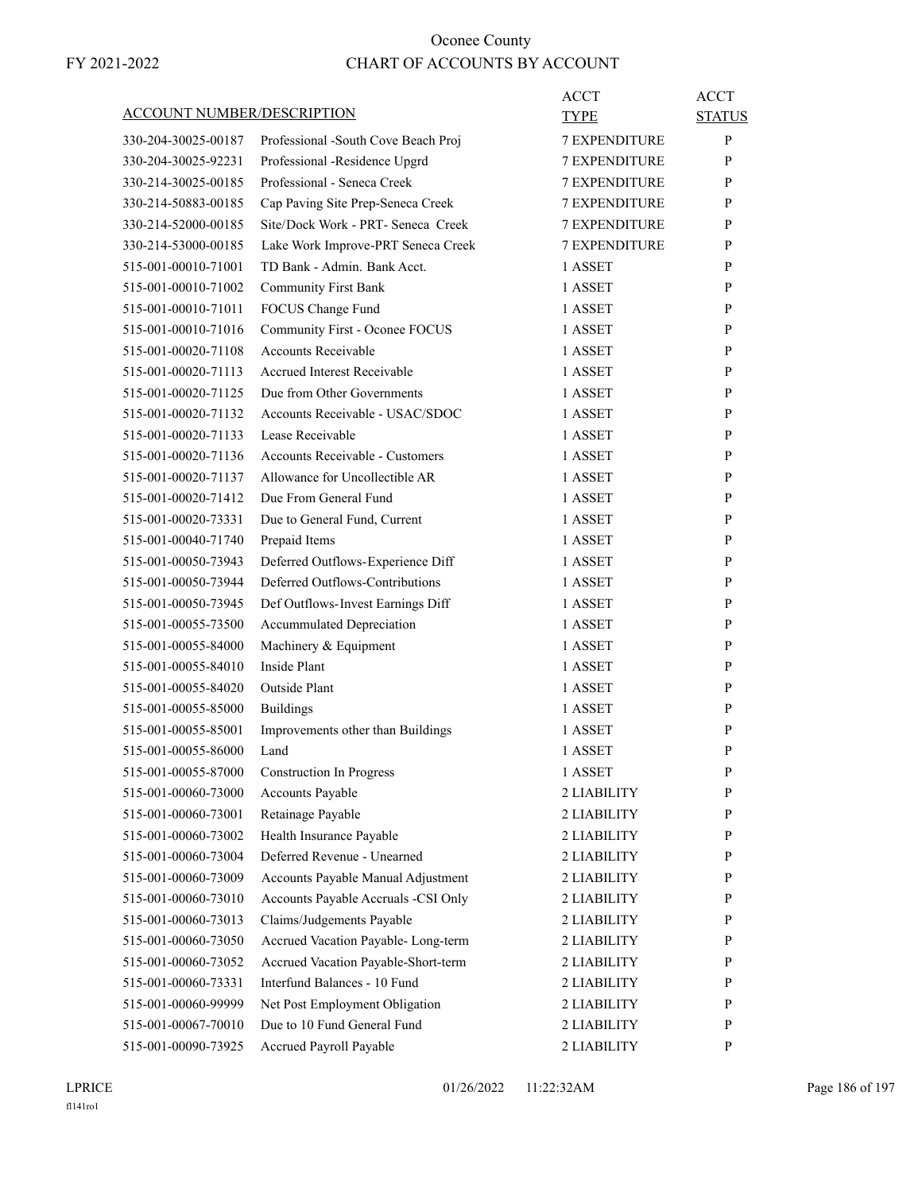|                                   |                                        | <b>ACCT</b>          | <b>ACCT</b>   |
|-----------------------------------|----------------------------------------|----------------------|---------------|
| <b>ACCOUNT NUMBER/DESCRIPTION</b> |                                        | <b>TYPE</b>          | <b>STATUS</b> |
| 330-204-30025-00187               | Professional -South Cove Beach Proj    | <b>7 EXPENDITURE</b> | P             |
| 330-204-30025-92231               | Professional -Residence Upgrd          | <b>7 EXPENDITURE</b> | P             |
| 330-214-30025-00185               | Professional - Seneca Creek            | <b>7 EXPENDITURE</b> | P             |
| 330-214-50883-00185               | Cap Paving Site Prep-Seneca Creek      | <b>7 EXPENDITURE</b> | P             |
| 330-214-52000-00185               | Site/Dock Work - PRT- Seneca Creek     | 7 EXPENDITURE        | P             |
| 330-214-53000-00185               | Lake Work Improve-PRT Seneca Creek     | <b>7 EXPENDITURE</b> | P             |
| 515-001-00010-71001               | TD Bank - Admin. Bank Acct.            | 1 ASSET              | P             |
| 515-001-00010-71002               | <b>Community First Bank</b>            | 1 ASSET              | P             |
| 515-001-00010-71011               | FOCUS Change Fund                      | 1 ASSET              | P             |
| 515-001-00010-71016               | Community First - Oconee FOCUS         | 1 ASSET              | P             |
| 515-001-00020-71108               | Accounts Receivable                    | 1 ASSET              | P             |
| 515-001-00020-71113               | Accrued Interest Receivable            | 1 ASSET              | P             |
| 515-001-00020-71125               | Due from Other Governments             | 1 ASSET              | P             |
| 515-001-00020-71132               | Accounts Receivable - USAC/SDOC        | 1 ASSET              | P             |
| 515-001-00020-71133               | Lease Receivable                       | 1 ASSET              | P             |
| 515-001-00020-71136               | <b>Accounts Receivable - Customers</b> | 1 ASSET              | P             |
| 515-001-00020-71137               | Allowance for Uncollectible AR         | 1 ASSET              | P             |
| 515-001-00020-71412               | Due From General Fund                  | 1 ASSET              | P             |
| 515-001-00020-73331               | Due to General Fund, Current           | 1 ASSET              | P             |
| 515-001-00040-71740               | Prepaid Items                          | 1 ASSET              | P             |
| 515-001-00050-73943               | Deferred Outflows-Experience Diff      | 1 ASSET              | $\mathbf{P}$  |
| 515-001-00050-73944               | Deferred Outflows-Contributions        | 1 ASSET              | P             |
| 515-001-00050-73945               | Def Outflows-Invest Earnings Diff      | 1 ASSET              | P             |
| 515-001-00055-73500               | Accummulated Depreciation              | 1 ASSET              | P             |
| 515-001-00055-84000               | Machinery & Equipment                  | 1 ASSET              | P             |
| 515-001-00055-84010               | Inside Plant                           | 1 ASSET              | P             |
| 515-001-00055-84020               | Outside Plant                          | 1 ASSET              | P             |
| 515-001-00055-85000               | <b>Buildings</b>                       | 1 ASSET              | P             |
| 515-001-00055-85001               | Improvements other than Buildings      | 1 ASSET              | P             |
| 515-001-00055-86000               | Land                                   | 1 ASSET              | P             |
| 515-001-00055-87000               | <b>Construction In Progress</b>        | 1 ASSET              | ${\bf P}$     |
| 515-001-00060-73000               | Accounts Payable                       | 2 LIABILITY          | P             |
| 515-001-00060-73001               | Retainage Payable                      | 2 LIABILITY          | P             |
| 515-001-00060-73002               | Health Insurance Payable               | 2 LIABILITY          | P             |
| 515-001-00060-73004               | Deferred Revenue - Unearned            | 2 LIABILITY          | P             |
| 515-001-00060-73009               | Accounts Payable Manual Adjustment     | 2 LIABILITY          | P             |
| 515-001-00060-73010               | Accounts Payable Accruals -CSI Only    | 2 LIABILITY          | P             |
| 515-001-00060-73013               | Claims/Judgements Payable              | 2 LIABILITY          | P             |
| 515-001-00060-73050               | Accrued Vacation Payable- Long-term    | 2 LIABILITY          | P             |
| 515-001-00060-73052               | Accrued Vacation Payable-Short-term    | 2 LIABILITY          | P             |
| 515-001-00060-73331               | Interfund Balances - 10 Fund           | 2 LIABILITY          | P             |
| 515-001-00060-99999               | Net Post Employment Obligation         | 2 LIABILITY          | P             |
| 515-001-00067-70010               | Due to 10 Fund General Fund            | 2 LIABILITY          | P             |
| 515-001-00090-73925               | Accrued Payroll Payable                | 2 LIABILITY          | P             |
|                                   |                                        |                      |               |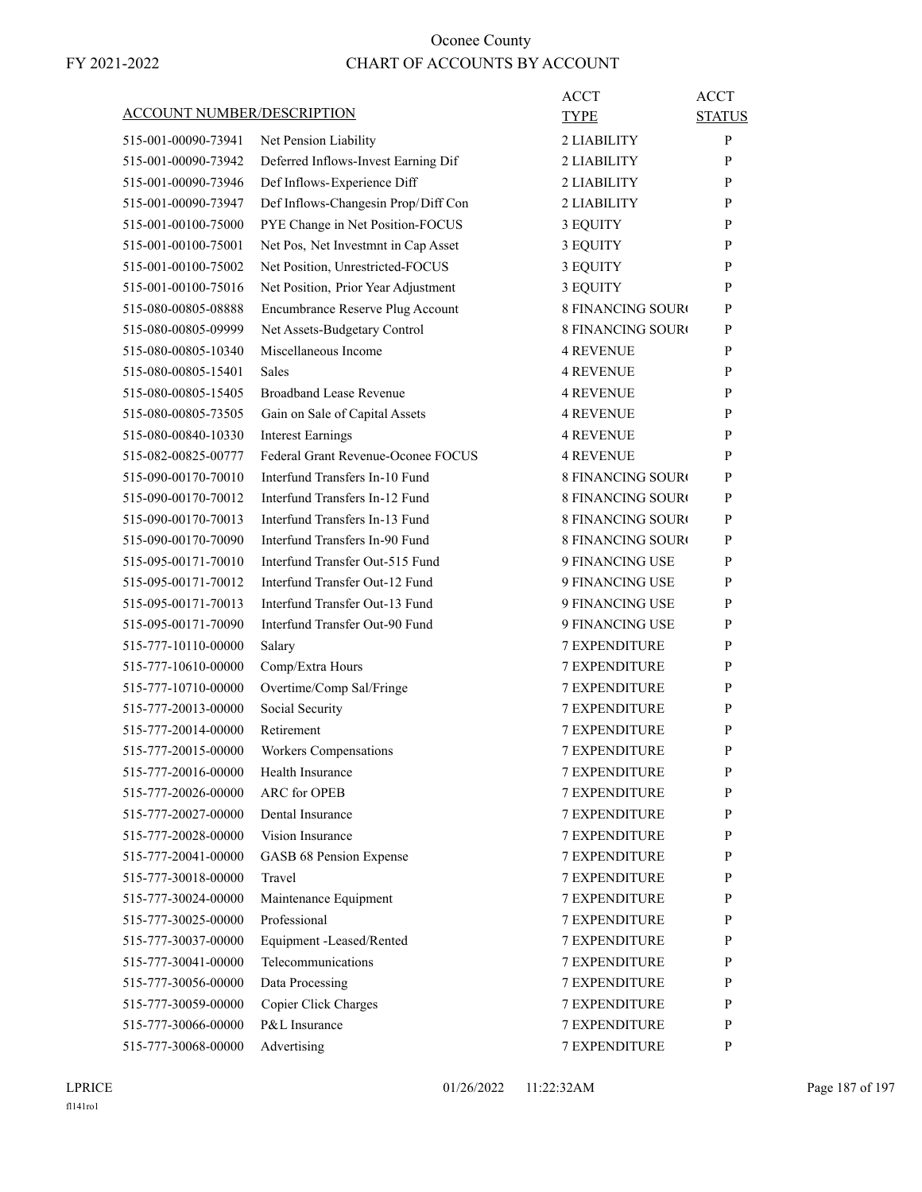| <b>ACCOUNT NUMBER/DESCRIPTION</b> |                                     | ACCT<br><b>TYPE</b>      | <b>ACCT</b><br><b>STATUS</b> |
|-----------------------------------|-------------------------------------|--------------------------|------------------------------|
| 515-001-00090-73941               | Net Pension Liability               | 2 LIABILITY              | P                            |
| 515-001-00090-73942               | Deferred Inflows-Invest Earning Dif | 2 LIABILITY              | P                            |
| 515-001-00090-73946               | Def Inflows-Experience Diff         | 2 LIABILITY              | P                            |
| 515-001-00090-73947               | Def Inflows-Changesin Prop/Diff Con | 2 LIABILITY              | P                            |
| 515-001-00100-75000               | PYE Change in Net Position-FOCUS    | 3 EQUITY                 | P                            |
| 515-001-00100-75001               | Net Pos, Net Investmnt in Cap Asset | 3 EQUITY                 | P                            |
| 515-001-00100-75002               | Net Position, Unrestricted-FOCUS    | 3 EQUITY                 | P                            |
| 515-001-00100-75016               | Net Position, Prior Year Adjustment | 3 EQUITY                 | P                            |
| 515-080-00805-08888               | Encumbrance Reserve Plug Account    | <b>8 FINANCING SOURO</b> | P                            |
| 515-080-00805-09999               | Net Assets-Budgetary Control        | <b>8 FINANCING SOURO</b> | P                            |
| 515-080-00805-10340               | Miscellaneous Income                | 4 REVENUE                | P                            |
| 515-080-00805-15401               | <b>Sales</b>                        | <b>4 REVENUE</b>         | P                            |
| 515-080-00805-15405               | <b>Broadband Lease Revenue</b>      | <b>4 REVENUE</b>         | P                            |
| 515-080-00805-73505               | Gain on Sale of Capital Assets      | 4 REVENUE                | P                            |
| 515-080-00840-10330               | <b>Interest Earnings</b>            | 4 REVENUE                | P                            |
| 515-082-00825-00777               | Federal Grant Revenue-Oconee FOCUS  | <b>4 REVENUE</b>         | P                            |
| 515-090-00170-70010               | Interfund Transfers In-10 Fund      | <b>8 FINANCING SOURC</b> | P                            |
| 515-090-00170-70012               | Interfund Transfers In-12 Fund      | <b>8 FINANCING SOURO</b> | P                            |
| 515-090-00170-70013               | Interfund Transfers In-13 Fund      | <b>8 FINANCING SOURO</b> | P                            |
| 515-090-00170-70090               | Interfund Transfers In-90 Fund      | <b>8 FINANCING SOURO</b> | P                            |
| 515-095-00171-70010               | Interfund Transfer Out-515 Fund     | 9 FINANCING USE          | P                            |
| 515-095-00171-70012               | Interfund Transfer Out-12 Fund      | 9 FINANCING USE          | P                            |
| 515-095-00171-70013               | Interfund Transfer Out-13 Fund      | 9 FINANCING USE          | P                            |
| 515-095-00171-70090               | Interfund Transfer Out-90 Fund      | 9 FINANCING USE          | P                            |
| 515-777-10110-00000               | Salary                              | <b>7 EXPENDITURE</b>     | P                            |
| 515-777-10610-00000               | Comp/Extra Hours                    | 7 EXPENDITURE            | P                            |
| 515-777-10710-00000               | Overtime/Comp Sal/Fringe            | <b>7 EXPENDITURE</b>     | P                            |
| 515-777-20013-00000               | Social Security                     | <b>7 EXPENDITURE</b>     | P                            |
| 515-777-20014-00000               | Retirement                          | <b>7 EXPENDITURE</b>     | P                            |
| 515-777-20015-00000               | Workers Compensations               | <b>7 EXPENDITURE</b>     | P                            |
| 515-777-20016-00000               | Health Insurance                    | <b>7 EXPENDITURE</b>     | P                            |
| 515-777-20026-00000               | <b>ARC</b> for OPEB                 | 7 EXPENDITURE            | P                            |
| 515-777-20027-00000               | Dental Insurance                    | 7 EXPENDITURE            | P                            |
| 515-777-20028-00000               | Vision Insurance                    | 7 EXPENDITURE            | P                            |
| 515-777-20041-00000               | GASB 68 Pension Expense             | 7 EXPENDITURE            | P                            |
| 515-777-30018-00000               | Travel                              | <b>7 EXPENDITURE</b>     | P                            |
| 515-777-30024-00000               | Maintenance Equipment               | <b>7 EXPENDITURE</b>     | P                            |
| 515-777-30025-00000               | Professional                        | 7 EXPENDITURE            | P                            |
| 515-777-30037-00000               | Equipment -Leased/Rented            | 7 EXPENDITURE            | P                            |
| 515-777-30041-00000               | Telecommunications                  | 7 EXPENDITURE            | P                            |
| 515-777-30056-00000               | Data Processing                     | 7 EXPENDITURE            | P                            |
| 515-777-30059-00000               | Copier Click Charges                | <b>7 EXPENDITURE</b>     | P                            |
| 515-777-30066-00000               | P&L Insurance                       | <b>7 EXPENDITURE</b>     | P                            |
| 515-777-30068-00000               | Advertising                         | 7 EXPENDITURE            | P                            |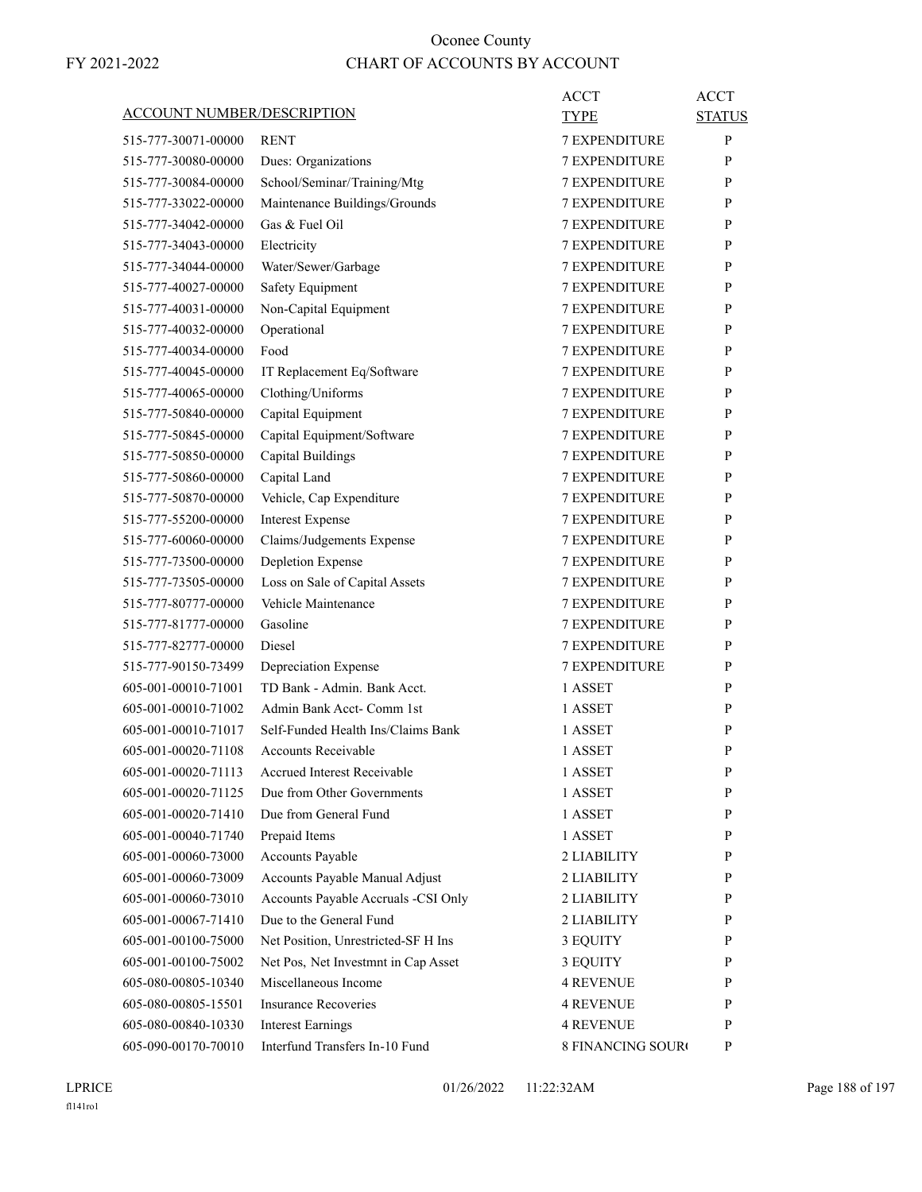| <b>ACCOUNT NUMBER/DESCRIPTION</b> |                                     | <b>ACCT</b><br><b>TYPE</b> | <b>ACCT</b><br><b>STATUS</b> |
|-----------------------------------|-------------------------------------|----------------------------|------------------------------|
| 515-777-30071-00000               | <b>RENT</b>                         | <b>7 EXPENDITURE</b>       | P                            |
| 515-777-30080-00000               | Dues: Organizations                 | <b>7 EXPENDITURE</b>       | P                            |
| 515-777-30084-00000               | School/Seminar/Training/Mtg         | <b>7 EXPENDITURE</b>       | P                            |
| 515-777-33022-00000               | Maintenance Buildings/Grounds       | <b>7 EXPENDITURE</b>       | P                            |
| 515-777-34042-00000               | Gas & Fuel Oil                      | <b>7 EXPENDITURE</b>       | P                            |
| 515-777-34043-00000               | Electricity                         | <b>7 EXPENDITURE</b>       | P                            |
| 515-777-34044-00000               | Water/Sewer/Garbage                 | <b>7 EXPENDITURE</b>       | P                            |
| 515-777-40027-00000               | Safety Equipment                    | <b>7 EXPENDITURE</b>       | P                            |
| 515-777-40031-00000               | Non-Capital Equipment               | <b>7 EXPENDITURE</b>       | P                            |
| 515-777-40032-00000               | Operational                         | <b>7 EXPENDITURE</b>       | P                            |
| 515-777-40034-00000               | Food                                | <b>7 EXPENDITURE</b>       | P                            |
| 515-777-40045-00000               | IT Replacement Eq/Software          | <b>7 EXPENDITURE</b>       | P                            |
| 515-777-40065-00000               | Clothing/Uniforms                   | <b>7 EXPENDITURE</b>       | P                            |
| 515-777-50840-00000               | Capital Equipment                   | <b>7 EXPENDITURE</b>       | P                            |
| 515-777-50845-00000               | Capital Equipment/Software          | <b>7 EXPENDITURE</b>       | P                            |
| 515-777-50850-00000               | <b>Capital Buildings</b>            | <b>7 EXPENDITURE</b>       | P                            |
| 515-777-50860-00000               | Capital Land                        | <b>7 EXPENDITURE</b>       | P                            |
| 515-777-50870-00000               | Vehicle, Cap Expenditure            | <b>7 EXPENDITURE</b>       | P                            |
| 515-777-55200-00000               | <b>Interest Expense</b>             | <b>7 EXPENDITURE</b>       | P                            |
| 515-777-60060-00000               | Claims/Judgements Expense           | <b>7 EXPENDITURE</b>       | P                            |
| 515-777-73500-00000               | Depletion Expense                   | <b>7 EXPENDITURE</b>       | P                            |
| 515-777-73505-00000               | Loss on Sale of Capital Assets      | <b>7 EXPENDITURE</b>       | P                            |
| 515-777-80777-00000               | Vehicle Maintenance                 | <b>7 EXPENDITURE</b>       | P                            |
| 515-777-81777-00000               | Gasoline                            | <b>7 EXPENDITURE</b>       | P                            |
| 515-777-82777-00000               | Diesel                              | <b>7 EXPENDITURE</b>       | P                            |
| 515-777-90150-73499               | Depreciation Expense                | <b>7 EXPENDITURE</b>       | P                            |
| 605-001-00010-71001               | TD Bank - Admin. Bank Acct.         | 1 ASSET                    | P                            |
| 605-001-00010-71002               | Admin Bank Acct- Comm 1st           | 1 ASSET                    | P                            |
| 605-001-00010-71017               | Self-Funded Health Ins/Claims Bank  | 1 ASSET                    | P                            |
| 605-001-00020-71108               | <b>Accounts Receivable</b>          | 1 ASSET                    | P                            |
| 605-001-00020-71113               | <b>Accrued Interest Receivable</b>  | 1 ASSET                    | P                            |
| 605-001-00020-71125               | Due from Other Governments          | 1 ASSET                    | P                            |
| 605-001-00020-71410               | Due from General Fund               | 1 ASSET                    | P                            |
| 605-001-00040-71740               | Prepaid Items                       | 1 ASSET                    | P                            |
| 605-001-00060-73000               | <b>Accounts Payable</b>             | 2 LIABILITY                | P                            |
| 605-001-00060-73009               | Accounts Payable Manual Adjust      | 2 LIABILITY                | P                            |
| 605-001-00060-73010               | Accounts Payable Accruals -CSI Only | 2 LIABILITY                | P                            |
| 605-001-00067-71410               | Due to the General Fund             | 2 LIABILITY                | P                            |
| 605-001-00100-75000               | Net Position, Unrestricted-SF H Ins | 3 EQUITY                   | P                            |
| 605-001-00100-75002               | Net Pos, Net Investmnt in Cap Asset | 3 EQUITY                   | P                            |
| 605-080-00805-10340               | Miscellaneous Income                | <b>4 REVENUE</b>           | P                            |
| 605-080-00805-15501               | <b>Insurance Recoveries</b>         | <b>4 REVENUE</b>           | P                            |
| 605-080-00840-10330               | <b>Interest Earnings</b>            | 4 REVENUE                  | P                            |
| 605-090-00170-70010               | Interfund Transfers In-10 Fund      | 8 FINANCING SOURO          | P                            |
|                                   |                                     |                            |                              |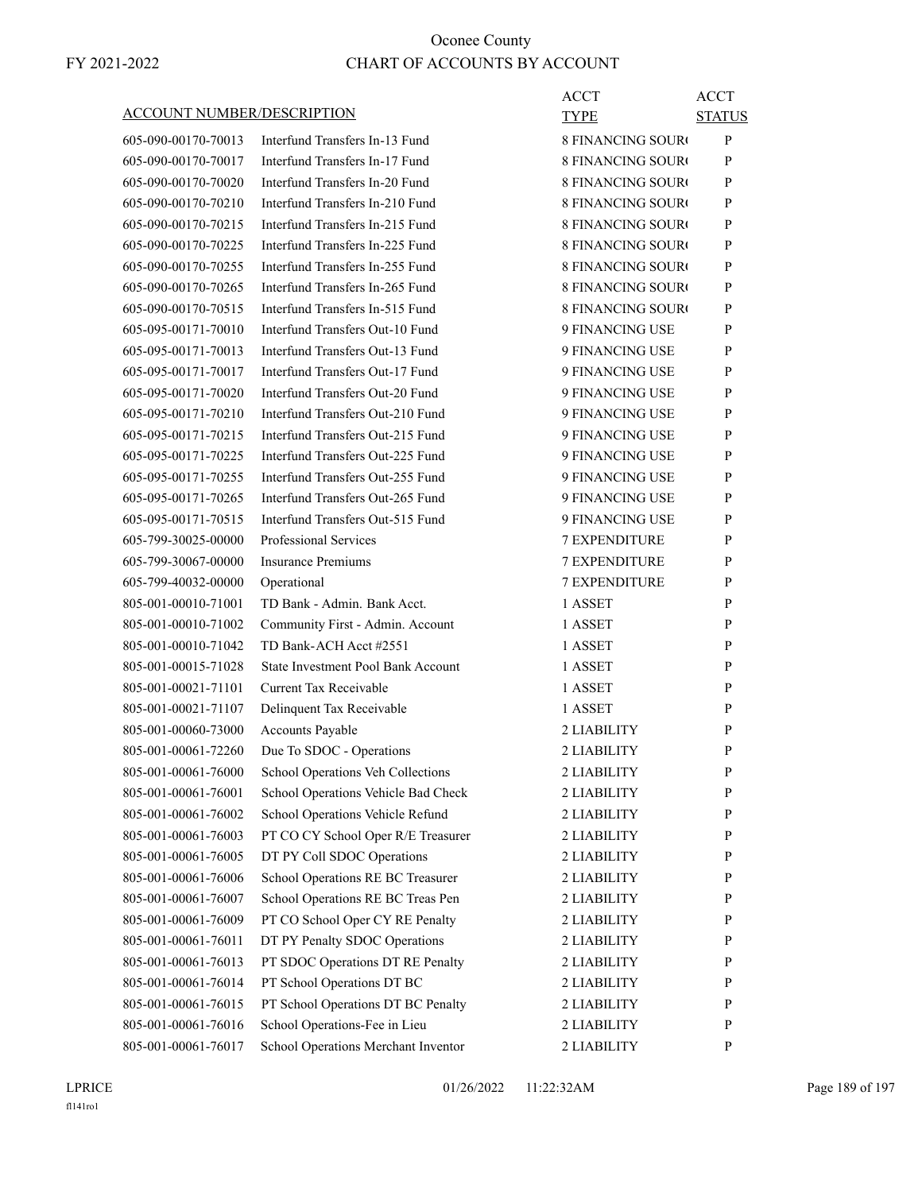ACCT

ACCT

| <b>ACCOUNT NUMBER/DESCRIPTION</b> |
|-----------------------------------|
|-----------------------------------|

| <b>ACCOUNT NUMBER/DESCRIPTION</b> |                                     | TYPE                     | <b>STATUS</b> |
|-----------------------------------|-------------------------------------|--------------------------|---------------|
| 605-090-00170-70013               | Interfund Transfers In-13 Fund      | <b>8 FINANCING SOUR</b>  | P             |
| 605-090-00170-70017               | Interfund Transfers In-17 Fund      | <b>8 FINANCING SOURO</b> | P             |
| 605-090-00170-70020               | Interfund Transfers In-20 Fund      | <b>8 FINANCING SOURO</b> | P             |
| 605-090-00170-70210               | Interfund Transfers In-210 Fund     | <b>8 FINANCING SOURO</b> | P             |
| 605-090-00170-70215               | Interfund Transfers In-215 Fund     | <b>8 FINANCING SOURC</b> | P             |
| 605-090-00170-70225               | Interfund Transfers In-225 Fund     | <b>8 FINANCING SOURC</b> | P             |
| 605-090-00170-70255               | Interfund Transfers In-255 Fund     | <b>8 FINANCING SOURC</b> | P             |
| 605-090-00170-70265               | Interfund Transfers In-265 Fund     | <b>8 FINANCING SOURO</b> | P             |
| 605-090-00170-70515               | Interfund Transfers In-515 Fund     | <b>8 FINANCING SOURO</b> | P             |
| 605-095-00171-70010               | Interfund Transfers Out-10 Fund     | 9 FINANCING USE          | P             |
| 605-095-00171-70013               | Interfund Transfers Out-13 Fund     | 9 FINANCING USE          | P             |
| 605-095-00171-70017               | Interfund Transfers Out-17 Fund     | 9 FINANCING USE          | P             |
| 605-095-00171-70020               | Interfund Transfers Out-20 Fund     | 9 FINANCING USE          | P             |
| 605-095-00171-70210               | Interfund Transfers Out-210 Fund    | 9 FINANCING USE          | P             |
| 605-095-00171-70215               | Interfund Transfers Out-215 Fund    | 9 FINANCING USE          | P             |
| 605-095-00171-70225               | Interfund Transfers Out-225 Fund    | 9 FINANCING USE          | P             |
| 605-095-00171-70255               | Interfund Transfers Out-255 Fund    | 9 FINANCING USE          | P             |
| 605-095-00171-70265               | Interfund Transfers Out-265 Fund    | 9 FINANCING USE          | P             |
| 605-095-00171-70515               | Interfund Transfers Out-515 Fund    | 9 FINANCING USE          | P             |
| 605-799-30025-00000               | Professional Services               | <b>7 EXPENDITURE</b>     | P             |
| 605-799-30067-00000               | <b>Insurance Premiums</b>           | 7 EXPENDITURE            | P             |
| 605-799-40032-00000               | Operational                         | 7 EXPENDITURE            | P             |
| 805-001-00010-71001               | TD Bank - Admin. Bank Acct.         | 1 ASSET                  | P             |
| 805-001-00010-71002               | Community First - Admin. Account    | 1 ASSET                  | P             |
| 805-001-00010-71042               | TD Bank-ACH Acct #2551              | 1 ASSET                  | P             |
| 805-001-00015-71028               | State Investment Pool Bank Account  | 1 ASSET                  | P             |
| 805-001-00021-71101               | Current Tax Receivable              | 1 ASSET                  | P             |
| 805-001-00021-71107               | Delinquent Tax Receivable           | 1 ASSET                  | P             |
| 805-001-00060-73000               | Accounts Payable                    | 2 LIABILITY              | P             |
| 805-001-00061-72260               | Due To SDOC - Operations            | 2 LIABILITY              | P             |
| 805-001-00061-76000               | School Operations Veh Collections   | 2 LIABILITY              | P             |
| 805-001-00061-76001               | School Operations Vehicle Bad Check | 2 LIABILITY              | $\mathbf{P}$  |
| 805-001-00061-76002               | School Operations Vehicle Refund    | 2 LIABILITY              | P             |
| 805-001-00061-76003               | PT CO CY School Oper R/E Treasurer  | 2 LIABILITY              | P             |
| 805-001-00061-76005               | DT PY Coll SDOC Operations          | 2 LIABILITY              | P             |
| 805-001-00061-76006               | School Operations RE BC Treasurer   | 2 LIABILITY              | P             |
| 805-001-00061-76007               | School Operations RE BC Treas Pen   | 2 LIABILITY              | P             |
| 805-001-00061-76009               | PT CO School Oper CY RE Penalty     | 2 LIABILITY              | P             |
| 805-001-00061-76011               | DT PY Penalty SDOC Operations       | 2 LIABILITY              | P             |
| 805-001-00061-76013               | PT SDOC Operations DT RE Penalty    | 2 LIABILITY              | P             |
| 805-001-00061-76014               | PT School Operations DT BC          | 2 LIABILITY              | P             |
| 805-001-00061-76015               | PT School Operations DT BC Penalty  | 2 LIABILITY              | P             |
| 805-001-00061-76016               | School Operations-Fee in Lieu       | 2 LIABILITY              | P             |
| 805-001-00061-76017               | School Operations Merchant Inventor | 2 LIABILITY              | P             |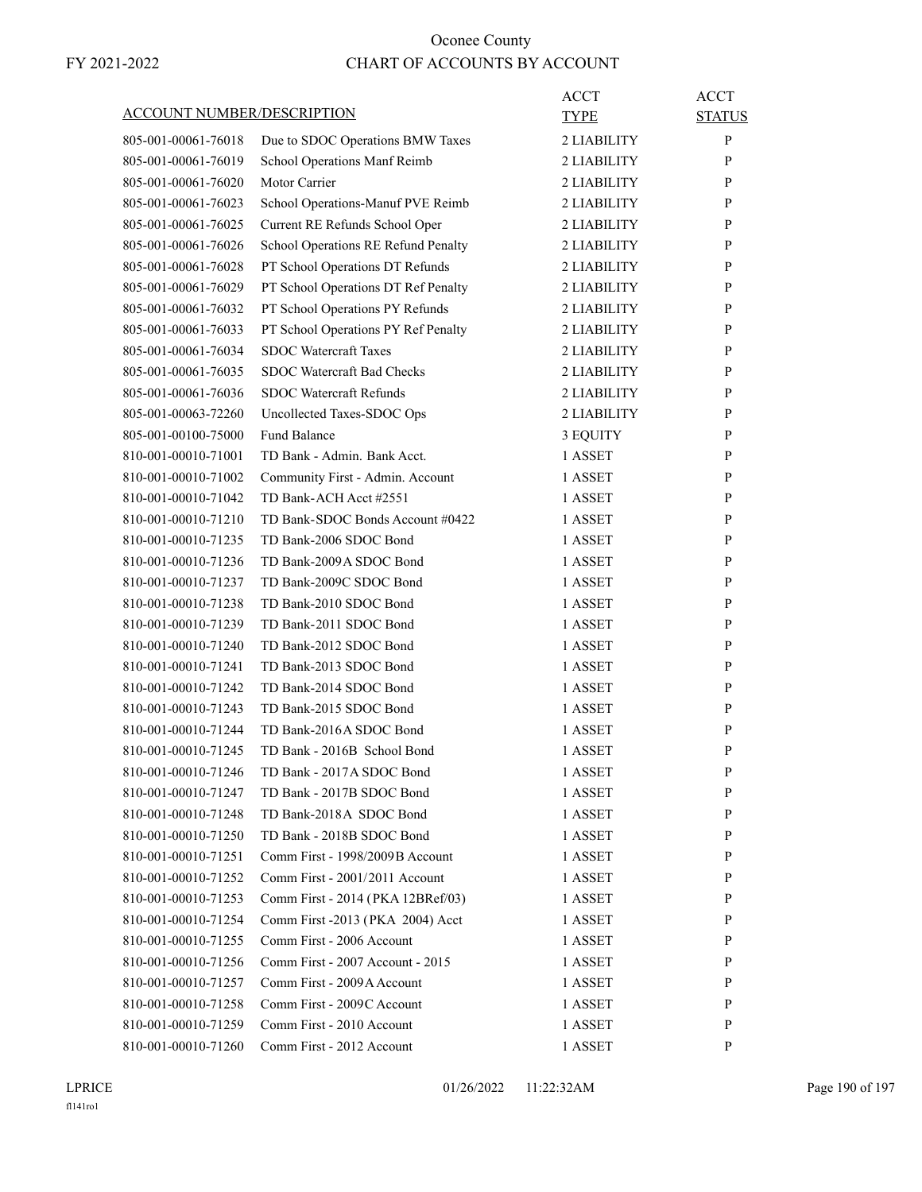| ACCOUNT NUMBER/DESCRIPTION                 |                                     | ACCT<br>TYPE       | <b>ACCT</b><br><b>STATUS</b> |
|--------------------------------------------|-------------------------------------|--------------------|------------------------------|
| 805-001-00061-76018                        | Due to SDOC Operations BMW Taxes    | 2 LIABILITY        | P                            |
| 805-001-00061-76019                        | School Operations Manf Reimb        | 2 LIABILITY        | P                            |
| 805-001-00061-76020                        | Motor Carrier                       | 2 LIABILITY        | P                            |
| 805-001-00061-76023                        | School Operations-Manuf PVE Reimb   | 2 LIABILITY        | P                            |
| 805-001-00061-76025                        | Current RE Refunds School Oper      | 2 LIABILITY        | P                            |
| 805-001-00061-76026                        | School Operations RE Refund Penalty | 2 LIABILITY        | P                            |
| 805-001-00061-76028                        | PT School Operations DT Refunds     | 2 LIABILITY        | P                            |
| 805-001-00061-76029                        | PT School Operations DT Ref Penalty | 2 LIABILITY        | P                            |
| 805-001-00061-76032                        | PT School Operations PY Refunds     | 2 LIABILITY        | P                            |
| 805-001-00061-76033                        | PT School Operations PY Ref Penalty | 2 LIABILITY        | P                            |
| 805-001-00061-76034                        | <b>SDOC</b> Watercraft Taxes        | 2 LIABILITY        | P                            |
| 805-001-00061-76035                        | SDOC Watercraft Bad Checks          | 2 LIABILITY        | P                            |
| 805-001-00061-76036                        | <b>SDOC</b> Watercraft Refunds      | 2 LIABILITY        | P                            |
| 805-001-00063-72260                        | Uncollected Taxes-SDOC Ops          | 2 LIABILITY        | P                            |
| 805-001-00100-75000                        | <b>Fund Balance</b>                 | 3 EQUITY           | P                            |
| 810-001-00010-71001                        | TD Bank - Admin. Bank Acct.         | 1 ASSET            | P                            |
| 810-001-00010-71002                        | Community First - Admin. Account    | 1 ASSET            | P                            |
| 810-001-00010-71042                        | TD Bank-ACH Acct #2551              | 1 ASSET            | P                            |
| 810-001-00010-71210                        | TD Bank-SDOC Bonds Account #0422    | 1 ASSET            | P                            |
| 810-001-00010-71235                        | TD Bank-2006 SDOC Bond              | 1 ASSET            | P                            |
| 810-001-00010-71236                        | TD Bank-2009A SDOC Bond             | 1 ASSET            | P                            |
| 810-001-00010-71237                        | TD Bank-2009C SDOC Bond             | 1 ASSET            | P                            |
| 810-001-00010-71238                        | TD Bank-2010 SDOC Bond              | 1 ASSET            | P                            |
| 810-001-00010-71239                        | TD Bank-2011 SDOC Bond              | 1 ASSET            | P                            |
| 810-001-00010-71240                        | TD Bank-2012 SDOC Bond              | 1 ASSET            | P                            |
| 810-001-00010-71241                        | TD Bank-2013 SDOC Bond              | 1 ASSET            | P                            |
| 810-001-00010-71242                        | TD Bank-2014 SDOC Bond              | 1 ASSET            | P                            |
| 810-001-00010-71243                        | TD Bank-2015 SDOC Bond              | 1 ASSET            | P                            |
| 810-001-00010-71244                        | TD Bank-2016A SDOC Bond             | 1 ASSET            | P                            |
| 810-001-00010-71245                        | TD Bank - 2016B School Bond         | 1 ASSET            | P                            |
| 810-001-00010-71246                        | TD Bank - 2017A SDOC Bond           | 1 ASSET            | P                            |
| 810-001-00010-71247                        | TD Bank - 2017B SDOC Bond           | 1 ASSET            | P                            |
| 810-001-00010-71248                        | TD Bank-2018A SDOC Bond             | 1 ASSET            | P                            |
| 810-001-00010-71250                        | TD Bank - 2018B SDOC Bond           | 1 ASSET            | P                            |
| 810-001-00010-71251                        | Comm First - 1998/2009 B Account    | 1 ASSET            | P                            |
| 810-001-00010-71252                        | Comm First - 2001/2011 Account      | 1 ASSET            | P                            |
| 810-001-00010-71253                        | Comm First - 2014 (PKA 12BRef/03)   | 1 ASSET            | P                            |
| 810-001-00010-71254                        | Comm First -2013 (PKA 2004) Acct    |                    | P                            |
| 810-001-00010-71255                        | Comm First - 2006 Account           | 1 ASSET<br>1 ASSET | P                            |
|                                            | Comm First - 2007 Account - 2015    |                    |                              |
| 810-001-00010-71256<br>810-001-00010-71257 | Comm First - 2009 A Account         | 1 ASSET            | P                            |
|                                            |                                     | 1 ASSET            | P                            |
| 810-001-00010-71258                        | Comm First - 2009C Account          | 1 ASSET            | P                            |
| 810-001-00010-71259                        | Comm First - 2010 Account           | 1 ASSET            | P                            |
| 810-001-00010-71260                        | Comm First - 2012 Account           | 1 ASSET            | P                            |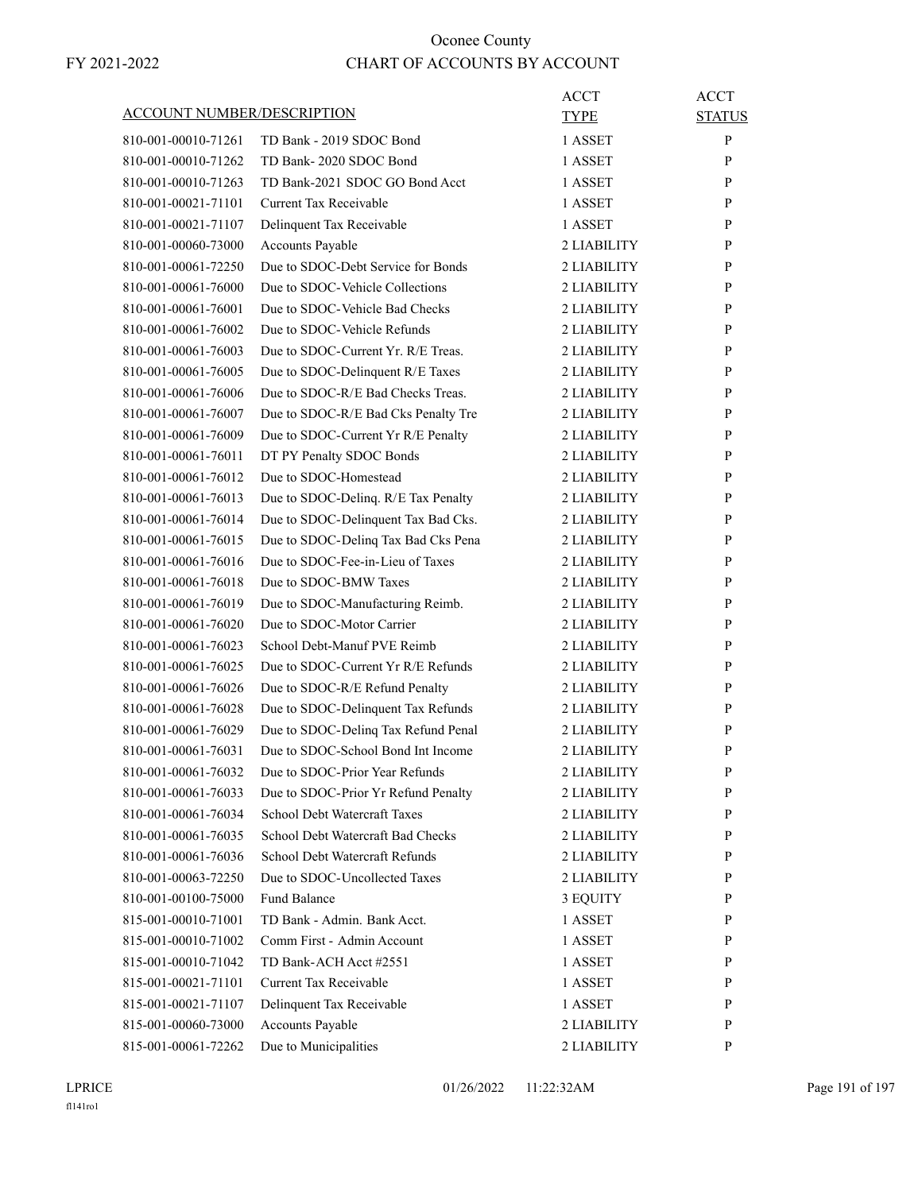|                                   |                                     | ACCT        | <b>ACCT</b>   |
|-----------------------------------|-------------------------------------|-------------|---------------|
| <b>ACCOUNT NUMBER/DESCRIPTION</b> |                                     | <b>TYPE</b> | <b>STATUS</b> |
| 810-001-00010-71261               | TD Bank - 2019 SDOC Bond            | 1 ASSET     | P             |
| 810-001-00010-71262               | TD Bank-2020 SDOC Bond              | 1 ASSET     | P             |
| 810-001-00010-71263               | TD Bank-2021 SDOC GO Bond Acct      | 1 ASSET     | P             |
| 810-001-00021-71101               | <b>Current Tax Receivable</b>       | 1 ASSET     | P             |
| 810-001-00021-71107               | Delinquent Tax Receivable           | 1 ASSET     | P             |
| 810-001-00060-73000               | Accounts Payable                    | 2 LIABILITY | P             |
| 810-001-00061-72250               | Due to SDOC-Debt Service for Bonds  | 2 LIABILITY | P             |
| 810-001-00061-76000               | Due to SDOC-Vehicle Collections     | 2 LIABILITY | P             |
| 810-001-00061-76001               | Due to SDOC-Vehicle Bad Checks      | 2 LIABILITY | P             |
| 810-001-00061-76002               | Due to SDOC-Vehicle Refunds         | 2 LIABILITY | P             |
| 810-001-00061-76003               | Due to SDOC-Current Yr. R/E Treas.  | 2 LIABILITY | P             |
| 810-001-00061-76005               | Due to SDOC-Delinquent R/E Taxes    | 2 LIABILITY | P             |
| 810-001-00061-76006               | Due to SDOC-R/E Bad Checks Treas.   | 2 LIABILITY | P             |
| 810-001-00061-76007               | Due to SDOC-R/E Bad Cks Penalty Tre | 2 LIABILITY | P             |
| 810-001-00061-76009               | Due to SDOC-Current Yr R/E Penalty  | 2 LIABILITY | P             |
| 810-001-00061-76011               | DT PY Penalty SDOC Bonds            | 2 LIABILITY | P             |
| 810-001-00061-76012               | Due to SDOC-Homestead               | 2 LIABILITY | P             |
| 810-001-00061-76013               | Due to SDOC-Delinq. R/E Tax Penalty | 2 LIABILITY | P             |
| 810-001-00061-76014               | Due to SDOC-Delinquent Tax Bad Cks. | 2 LIABILITY | P             |
| 810-001-00061-76015               | Due to SDOC-Delinq Tax Bad Cks Pena | 2 LIABILITY | P             |
| 810-001-00061-76016               | Due to SDOC-Fee-in-Lieu of Taxes    | 2 LIABILITY | P             |
| 810-001-00061-76018               | Due to SDOC-BMW Taxes               | 2 LIABILITY | P             |
| 810-001-00061-76019               | Due to SDOC-Manufacturing Reimb.    | 2 LIABILITY | P             |
| 810-001-00061-76020               | Due to SDOC-Motor Carrier           | 2 LIABILITY | P             |
| 810-001-00061-76023               | School Debt-Manuf PVE Reimb         | 2 LIABILITY | P             |
| 810-001-00061-76025               | Due to SDOC-Current Yr R/E Refunds  | 2 LIABILITY | P             |
| 810-001-00061-76026               | Due to SDOC-R/E Refund Penalty      | 2 LIABILITY | P             |
| 810-001-00061-76028               | Due to SDOC-Delinquent Tax Refunds  | 2 LIABILITY | P             |
| 810-001-00061-76029               | Due to SDOC-Delinq Tax Refund Penal | 2 LIABILITY | P             |
| 810-001-00061-76031               | Due to SDOC-School Bond Int Income  | 2 LIABILITY | P             |
| 810-001-00061-76032               | Due to SDOC-Prior Year Refunds      | 2 LIABILITY | P             |
| 810-001-00061-76033               | Due to SDOC-Prior Yr Refund Penalty | 2 LIABILITY | P             |
| 810-001-00061-76034               | School Debt Watercraft Taxes        | 2 LIABILITY | P             |
| 810-001-00061-76035               | School Debt Watercraft Bad Checks   | 2 LIABILITY | P             |
| 810-001-00061-76036               | School Debt Watercraft Refunds      | 2 LIABILITY | P             |
| 810-001-00063-72250               | Due to SDOC-Uncollected Taxes       | 2 LIABILITY | P             |
| 810-001-00100-75000               | <b>Fund Balance</b>                 | 3 EQUITY    | P             |
| 815-001-00010-71001               | TD Bank - Admin. Bank Acct.         | 1 ASSET     | P             |
| 815-001-00010-71002               | Comm First - Admin Account          | 1 ASSET     | P             |
| 815-001-00010-71042               | TD Bank-ACH Acct #2551              | 1 ASSET     | P             |
| 815-001-00021-71101               | <b>Current Tax Receivable</b>       | 1 ASSET     | P             |
| 815-001-00021-71107               | Delinquent Tax Receivable           | 1 ASSET     | P             |
| 815-001-00060-73000               | Accounts Payable                    | 2 LIABILITY | P             |
| 815-001-00061-72262               | Due to Municipalities               | 2 LIABILITY | P             |
|                                   |                                     |             |               |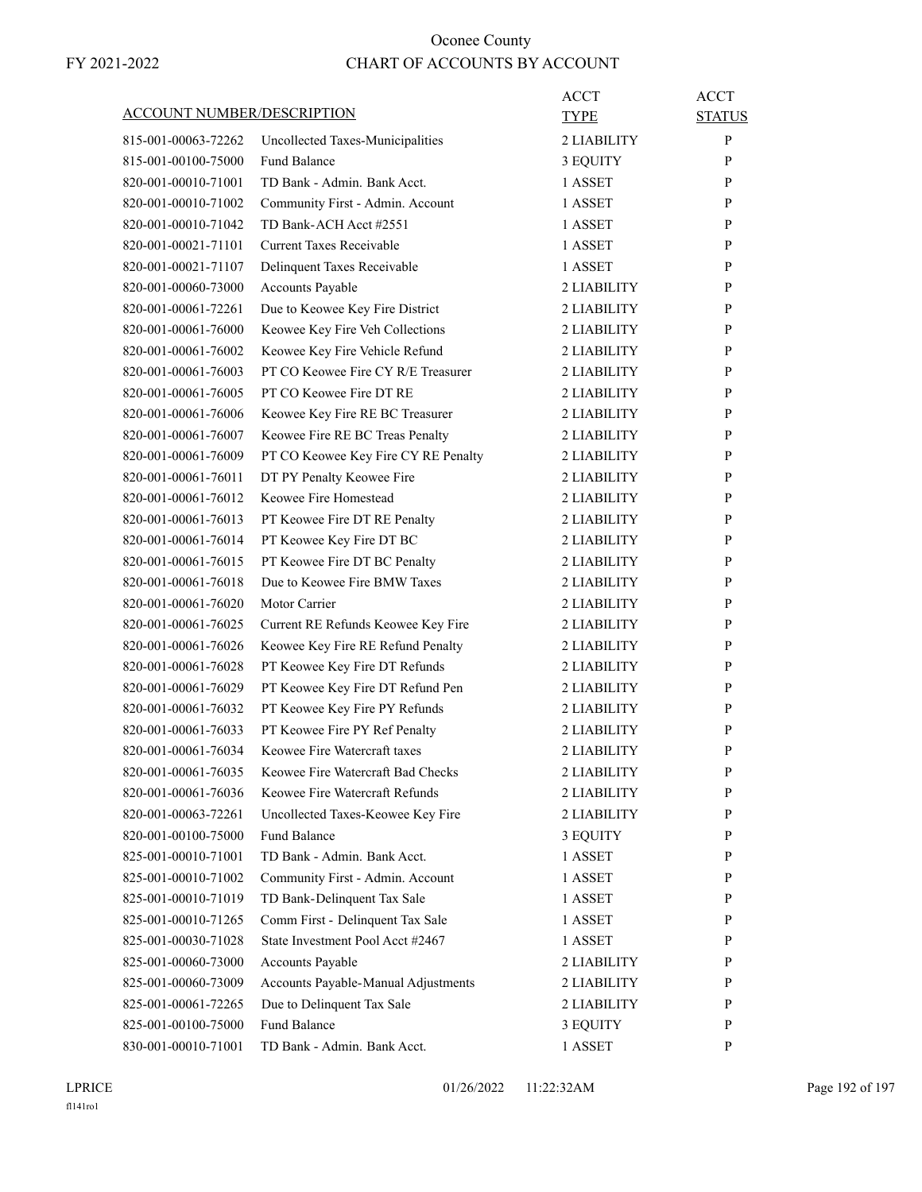|                     | <b>ACCOUNT NUMBER/DESCRIPTION</b> |                                                                      | ACCT<br>TYPE | <b>ACCT</b><br><b>STATUS</b> |
|---------------------|-----------------------------------|----------------------------------------------------------------------|--------------|------------------------------|
| 815-001-00063-72262 |                                   | Uncollected Taxes-Municipalities                                     | 2 LIABILITY  | P                            |
|                     | 815-001-00100-75000               | <b>Fund Balance</b>                                                  | 3 EQUITY     | P                            |
|                     | 820-001-00010-71001               | TD Bank - Admin. Bank Acct.                                          | 1 ASSET      | P                            |
|                     | 820-001-00010-71002               | Community First - Admin. Account                                     | 1 ASSET      | P                            |
|                     | 820-001-00010-71042               | TD Bank-ACH Acct #2551                                               | 1 ASSET      | P                            |
|                     | 820-001-00021-71101               | <b>Current Taxes Receivable</b>                                      | 1 ASSET      | P                            |
|                     | 820-001-00021-71107               | Delinquent Taxes Receivable                                          | 1 ASSET      | P                            |
|                     | 820-001-00060-73000               | Accounts Payable                                                     | 2 LIABILITY  | P                            |
|                     | 820-001-00061-72261               | Due to Keowee Key Fire District                                      | 2 LIABILITY  | P                            |
|                     | 820-001-00061-76000               |                                                                      | 2 LIABILITY  | P                            |
|                     |                                   | Keowee Key Fire Veh Collections                                      |              |                              |
|                     | 820-001-00061-76002               | Keowee Key Fire Vehicle Refund<br>PT CO Keowee Fire CY R/E Treasurer | 2 LIABILITY  | P                            |
|                     | 820-001-00061-76003               |                                                                      | 2 LIABILITY  | P                            |
|                     | 820-001-00061-76005               | PT CO Keowee Fire DT RE                                              | 2 LIABILITY  | P                            |
|                     | 820-001-00061-76006               | Keowee Key Fire RE BC Treasurer                                      | 2 LIABILITY  | P                            |
|                     | 820-001-00061-76007               | Keowee Fire RE BC Treas Penalty                                      | 2 LIABILITY  | P                            |
|                     | 820-001-00061-76009               | PT CO Keowee Key Fire CY RE Penalty                                  | 2 LIABILITY  | P                            |
|                     | 820-001-00061-76011               | DT PY Penalty Keowee Fire                                            | 2 LIABILITY  | P                            |
|                     | 820-001-00061-76012               | Keowee Fire Homestead                                                | 2 LIABILITY  | P                            |
|                     | 820-001-00061-76013               | PT Keowee Fire DT RE Penalty                                         | 2 LIABILITY  | P                            |
|                     | 820-001-00061-76014               | PT Keowee Key Fire DT BC                                             | 2 LIABILITY  | P                            |
|                     | 820-001-00061-76015               | PT Keowee Fire DT BC Penalty                                         | 2 LIABILITY  | P                            |
|                     | 820-001-00061-76018               | Due to Keowee Fire BMW Taxes                                         | 2 LIABILITY  | P                            |
|                     | 820-001-00061-76020               | Motor Carrier                                                        | 2 LIABILITY  | P                            |
|                     | 820-001-00061-76025               | Current RE Refunds Keowee Key Fire                                   | 2 LIABILITY  | P                            |
|                     | 820-001-00061-76026               | Keowee Key Fire RE Refund Penalty                                    | 2 LIABILITY  | P                            |
|                     | 820-001-00061-76028               | PT Keowee Key Fire DT Refunds                                        | 2 LIABILITY  | P                            |
|                     | 820-001-00061-76029               | PT Keowee Key Fire DT Refund Pen                                     | 2 LIABILITY  | P                            |
|                     | 820-001-00061-76032               | PT Keowee Key Fire PY Refunds                                        | 2 LIABILITY  | P                            |
|                     | 820-001-00061-76033               | PT Keowee Fire PY Ref Penalty                                        | 2 LIABILITY  | P                            |
|                     | 820-001-00061-76034               | Keowee Fire Watercraft taxes                                         | 2 LIABILITY  | P                            |
|                     | 820-001-00061-76035               | Keowee Fire Watercraft Bad Checks                                    | 2 LIABILITY  | P                            |
|                     | 820-001-00061-76036               | Keowee Fire Watercraft Refunds                                       | 2 LIABILITY  | P                            |
|                     | 820-001-00063-72261               | Uncollected Taxes-Keowee Key Fire                                    | 2 LIABILITY  | P                            |
|                     | 820-001-00100-75000               | Fund Balance                                                         | 3 EQUITY     | P                            |
|                     | 825-001-00010-71001               | TD Bank - Admin. Bank Acct.                                          | 1 ASSET      | P                            |
|                     | 825-001-00010-71002               | Community First - Admin. Account                                     | 1 ASSET      | P                            |
|                     | 825-001-00010-71019               | TD Bank-Delinquent Tax Sale                                          | 1 ASSET      | P                            |
|                     | 825-001-00010-71265               | Comm First - Delinquent Tax Sale                                     | 1 ASSET      | P                            |
|                     | 825-001-00030-71028               | State Investment Pool Acct #2467                                     | 1 ASSET      | $\mathbf{P}$                 |
|                     | 825-001-00060-73000               | Accounts Payable                                                     | 2 LIABILITY  | P                            |
|                     | 825-001-00060-73009               | Accounts Payable-Manual Adjustments                                  | 2 LIABILITY  | P                            |
|                     | 825-001-00061-72265               | Due to Delinquent Tax Sale                                           | 2 LIABILITY  | P                            |
|                     |                                   |                                                                      |              |                              |
|                     | 825-001-00100-75000               | Fund Balance                                                         | 3 EQUITY     | P                            |
|                     | 830-001-00010-71001               | TD Bank - Admin. Bank Acct.                                          | 1 ASSET      | P                            |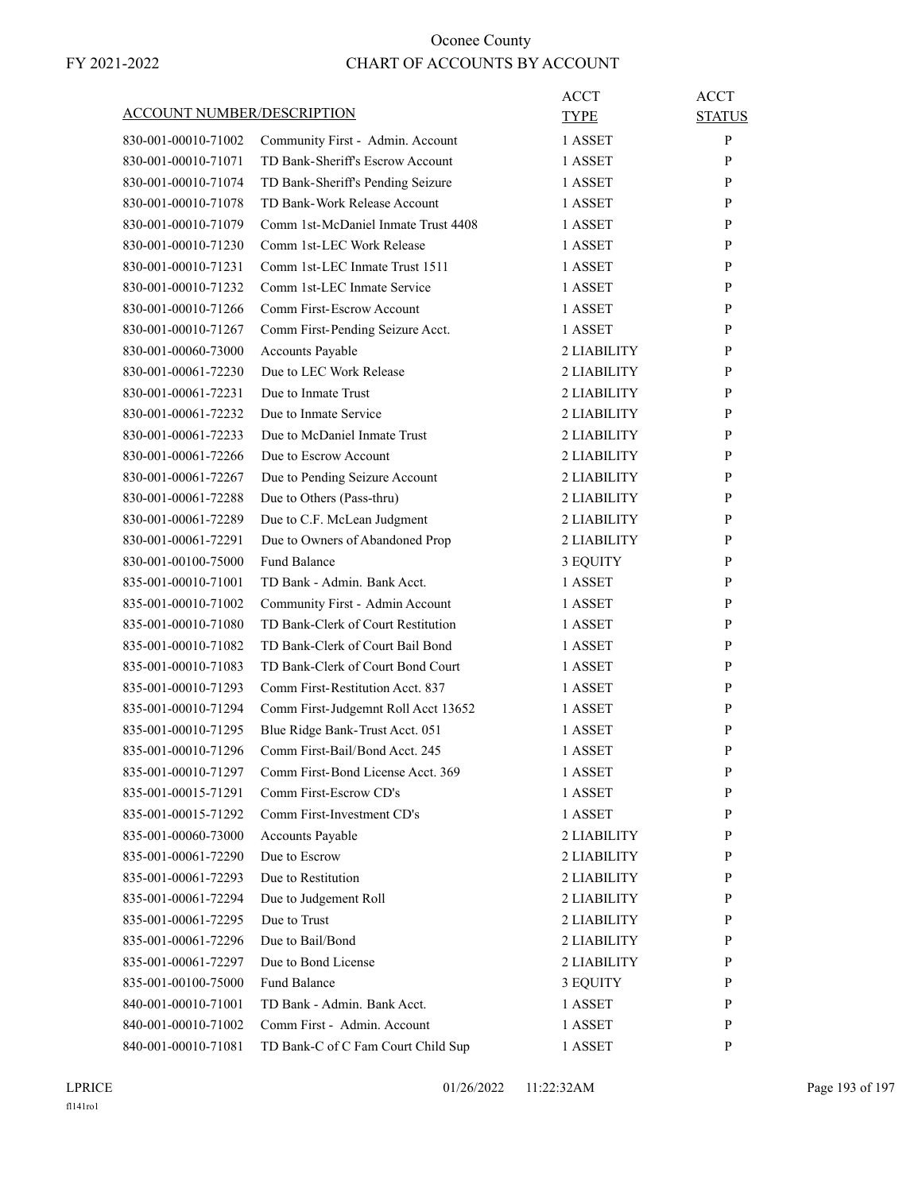| <b>ACCOUNT NUMBER/DESCRIPTION</b>          |                                                                     | ACCT<br><b>TYPE</b> | <b>ACCT</b><br><b>STATUS</b> |
|--------------------------------------------|---------------------------------------------------------------------|---------------------|------------------------------|
| 830-001-00010-71002                        | Community First - Admin. Account                                    | 1 ASSET             | P                            |
| 830-001-00010-71071                        | TD Bank-Sheriff's Escrow Account                                    | 1 ASSET             | P                            |
| 830-001-00010-71074                        | TD Bank-Sheriff's Pending Seizure                                   | 1 ASSET             | P                            |
| 830-001-00010-71078                        | TD Bank-Work Release Account                                        | 1 ASSET             | P                            |
| 830-001-00010-71079                        | Comm 1st-McDaniel Inmate Trust 4408                                 | 1 ASSET             | P                            |
| 830-001-00010-71230                        | Comm 1st-LEC Work Release                                           | 1 ASSET             | P                            |
| 830-001-00010-71231                        | Comm 1st-LEC Inmate Trust 1511                                      | 1 ASSET             | P                            |
| 830-001-00010-71232                        | Comm 1st-LEC Inmate Service                                         | 1 ASSET             | P                            |
| 830-001-00010-71266                        | Comm First-Escrow Account                                           | 1 ASSET             | P                            |
| 830-001-00010-71267                        | Comm First-Pending Seizure Acct.                                    | 1 ASSET             | P                            |
| 830-001-00060-73000                        | Accounts Payable                                                    | 2 LIABILITY         | P                            |
| 830-001-00061-72230                        | Due to LEC Work Release                                             | 2 LIABILITY         | P                            |
| 830-001-00061-72231                        | Due to Inmate Trust                                                 | 2 LIABILITY         | P                            |
| 830-001-00061-72232                        | Due to Inmate Service                                               | 2 LIABILITY         | P                            |
| 830-001-00061-72233                        | Due to McDaniel Inmate Trust                                        | 2 LIABILITY         | P                            |
| 830-001-00061-72266                        | Due to Escrow Account                                               | 2 LIABILITY         | P                            |
| 830-001-00061-72267                        | Due to Pending Seizure Account                                      | 2 LIABILITY         | P                            |
| 830-001-00061-72288                        | Due to Others (Pass-thru)                                           | 2 LIABILITY         | P                            |
| 830-001-00061-72289                        | Due to C.F. McLean Judgment                                         | 2 LIABILITY         | P                            |
| 830-001-00061-72291                        | Due to Owners of Abandoned Prop                                     | 2 LIABILITY         | P                            |
| 830-001-00100-75000                        | <b>Fund Balance</b>                                                 | 3 EQUITY            | P                            |
| 835-001-00010-71001                        | TD Bank - Admin. Bank Acct.                                         | 1 ASSET             | P                            |
| 835-001-00010-71002                        | Community First - Admin Account                                     | 1 ASSET             | P                            |
| 835-001-00010-71080                        | TD Bank-Clerk of Court Restitution                                  | 1 ASSET             | P                            |
| 835-001-00010-71082                        | TD Bank-Clerk of Court Bail Bond                                    | 1 ASSET             | P                            |
| 835-001-00010-71083                        | TD Bank-Clerk of Court Bond Court                                   | 1 ASSET             | P                            |
| 835-001-00010-71293                        | Comm First-Restitution Acct. 837                                    | 1 ASSET             | P                            |
| 835-001-00010-71294                        |                                                                     | 1 ASSET             | P                            |
| 835-001-00010-71295                        | Comm First-Judgemnt Roll Acct 13652                                 | 1 ASSET             | P                            |
|                                            | Blue Ridge Bank-Trust Acct. 051                                     |                     | P                            |
| 835-001-00010-71296                        | Comm First-Bail/Bond Acct. 245<br>Comm First-Bond License Acct. 369 | 1 ASSET             | P                            |
| 835-001-00010-71297<br>835-001-00015-71291 | Comm First-Escrow CD's                                              | 1 ASSET<br>1 ASSET  |                              |
|                                            | Comm First-Investment CD's                                          |                     | P<br>P                       |
| 835-001-00015-71292                        |                                                                     | 1 ASSET             | P                            |
| 835-001-00060-73000<br>835-001-00061-72290 | Accounts Payable<br>Due to Escrow                                   | 2 LIABILITY         |                              |
|                                            | Due to Restitution                                                  | 2 LIABILITY         | P                            |
| 835-001-00061-72293                        |                                                                     | 2 LIABILITY         | P                            |
| 835-001-00061-72294                        | Due to Judgement Roll<br>Due to Trust                               | 2 LIABILITY         | P                            |
| 835-001-00061-72295                        |                                                                     | 2 LIABILITY         | P                            |
| 835-001-00061-72296                        | Due to Bail/Bond                                                    | 2 LIABILITY         | P                            |
| 835-001-00061-72297                        | Due to Bond License                                                 | 2 LIABILITY         | P                            |
| 835-001-00100-75000                        | <b>Fund Balance</b>                                                 | 3 EQUITY            | P                            |
| 840-001-00010-71001                        | TD Bank - Admin. Bank Acct.                                         | 1 ASSET             | P                            |
| 840-001-00010-71002                        | Comm First - Admin. Account                                         | 1 ASSET             | P                            |
| 840-001-00010-71081                        | TD Bank-C of C Fam Court Child Sup                                  | 1 ASSET             | P                            |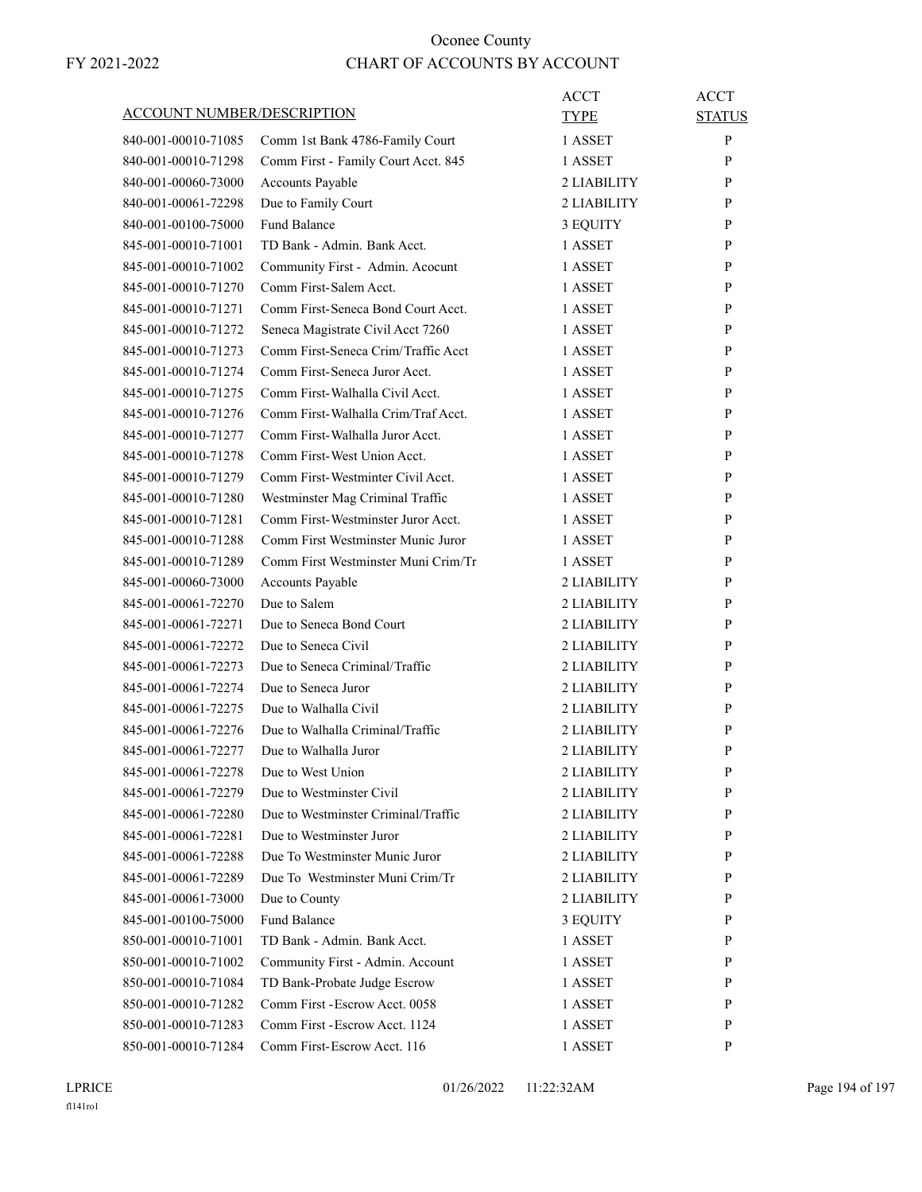| <b>ACCOUNT NUMBER/DESCRIPTION</b> |                                                                | ACCT<br>TYPE | <b>ACCT</b><br><b>STATUS</b> |
|-----------------------------------|----------------------------------------------------------------|--------------|------------------------------|
| 840-001-00010-71085               | Comm 1st Bank 4786-Family Court                                | 1 ASSET      | P                            |
| 840-001-00010-71298               | Comm First - Family Court Acct. 845                            | 1 ASSET      | P                            |
| 840-001-00060-73000               | Accounts Payable                                               | 2 LIABILITY  | P                            |
| 840-001-00061-72298               | Due to Family Court                                            | 2 LIABILITY  | P                            |
| 840-001-00100-75000               | <b>Fund Balance</b>                                            | 3 EQUITY     | P                            |
| 845-001-00010-71001               | TD Bank - Admin. Bank Acct.                                    | 1 ASSET      | P                            |
| 845-001-00010-71002               | Community First - Admin. Acocunt                               | 1 ASSET      | P                            |
| 845-001-00010-71270               | Comm First-Salem Acct.                                         | 1 ASSET      | P                            |
| 845-001-00010-71271               | Comm First-Seneca Bond Court Acct.                             | 1 ASSET      | P                            |
| 845-001-00010-71272               | Seneca Magistrate Civil Acct 7260                              | 1 ASSET      | P                            |
| 845-001-00010-71273               | Comm First-Seneca Crim/Traffic Acct                            | 1 ASSET      | P                            |
| 845-001-00010-71274               | Comm First-Seneca Juror Acct.                                  | 1 ASSET      | P                            |
| 845-001-00010-71275               | Comm First-Walhalla Civil Acct.                                | 1 ASSET      | P                            |
| 845-001-00010-71276               | Comm First-Walhalla Crim/Traf Acct.                            | 1 ASSET      | P                            |
| 845-001-00010-71277               | Comm First-Walhalla Juror Acct.                                | 1 ASSET      | P                            |
| 845-001-00010-71278               | Comm First-West Union Acct.                                    | 1 ASSET      | P                            |
| 845-001-00010-71279               | Comm First-Westminter Civil Acct.                              | 1 ASSET      | P                            |
| 845-001-00010-71280               | Westminster Mag Criminal Traffic                               | 1 ASSET      | P                            |
| 845-001-00010-71281               | Comm First-Westminster Juror Acct.                             | 1 ASSET      | P                            |
| 845-001-00010-71288               | Comm First Westminster Munic Juror                             | 1 ASSET      | P                            |
| 845-001-00010-71289               | Comm First Westminster Muni Crim/Tr                            | 1 ASSET      | P                            |
| 845-001-00060-73000               | Accounts Payable                                               | 2 LIABILITY  | P                            |
| 845-001-00061-72270               | Due to Salem                                                   | 2 LIABILITY  | P                            |
| 845-001-00061-72271               | Due to Seneca Bond Court                                       | 2 LIABILITY  | P                            |
| 845-001-00061-72272               | Due to Seneca Civil                                            | 2 LIABILITY  | P                            |
| 845-001-00061-72273               | Due to Seneca Criminal/Traffic                                 | 2 LIABILITY  | P                            |
| 845-001-00061-72274               | Due to Seneca Juror                                            | 2 LIABILITY  | P                            |
| 845-001-00061-72275               | Due to Walhalla Civil                                          | 2 LIABILITY  | P                            |
| 845-001-00061-72276               | Due to Walhalla Criminal/Traffic                               | 2 LIABILITY  | P                            |
| 845-001-00061-72277               | Due to Walhalla Juror                                          | 2 LIABILITY  | P                            |
| 845-001-00061-72278               | Due to West Union                                              | 2 LIABILITY  | P                            |
| 845-001-00061-72279               | Due to Westminster Civil                                       | 2 LIABILITY  | P                            |
| 845-001-00061-72280               | Due to Westminster Criminal/Traffic                            | 2 LIABILITY  | P                            |
| 845-001-00061-72281               | Due to Westminster Juror                                       | 2 LIABILITY  | P                            |
| 845-001-00061-72288               | Due To Westminster Munic Juror                                 | 2 LIABILITY  | P                            |
| 845-001-00061-72289               | Due To Westminster Muni Crim/Tr                                | 2 LIABILITY  | P                            |
| 845-001-00061-73000               | Due to County                                                  | 2 LIABILITY  | P                            |
| 845-001-00100-75000               | <b>Fund Balance</b>                                            | 3 EQUITY     | P                            |
| 850-001-00010-71001               | TD Bank - Admin. Bank Acct.                                    | 1 ASSET      | P                            |
| 850-001-00010-71002               | Community First - Admin. Account                               | 1 ASSET      | P                            |
| 850-001-00010-71084               |                                                                |              | P                            |
| 850-001-00010-71282               | TD Bank-Probate Judge Escrow<br>Comm First - Escrow Acct. 0058 | 1 ASSET      | P                            |
|                                   |                                                                | 1 ASSET      |                              |
| 850-001-00010-71283               | Comm First - Escrow Acct. 1124                                 | 1 ASSET      | P                            |
| 850-001-00010-71284               | Comm First-Escrow Acct. 116                                    | 1 ASSET      | P                            |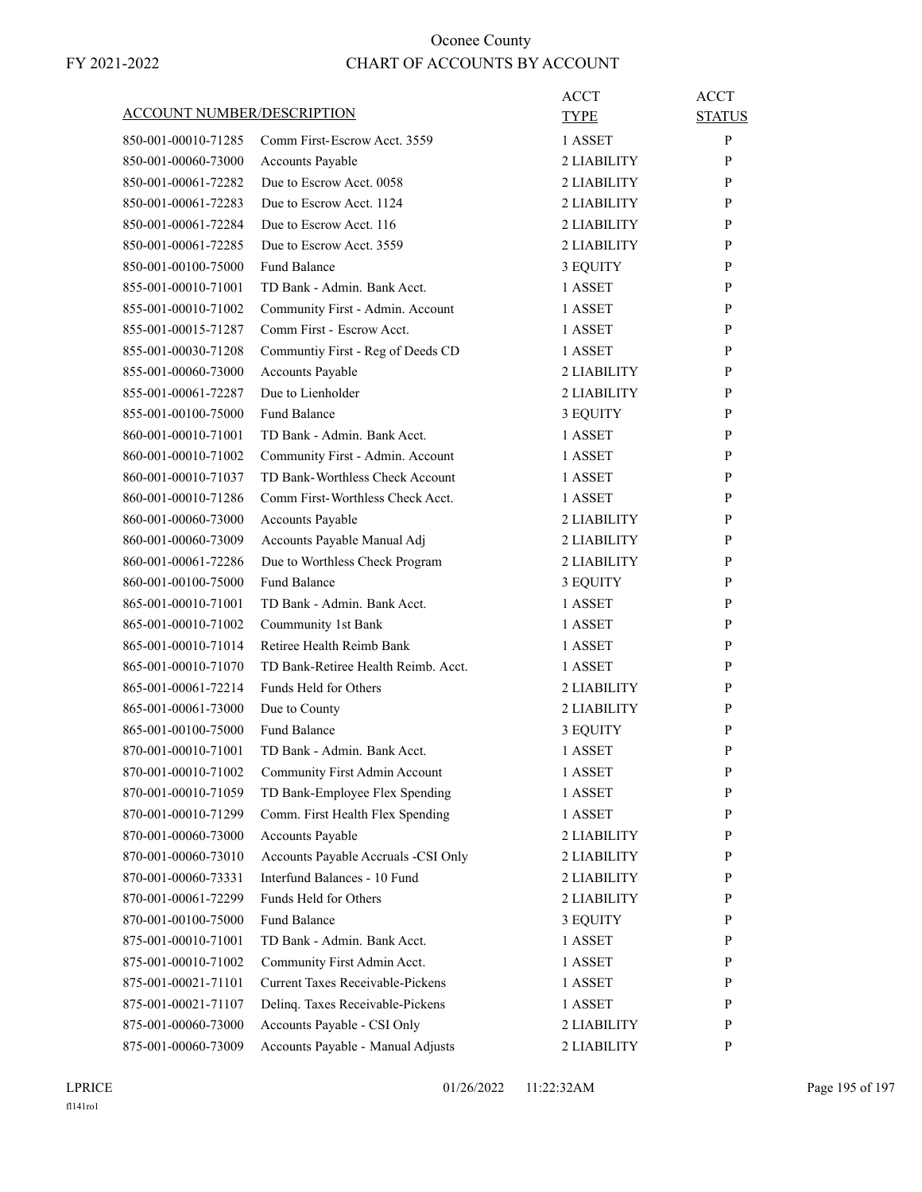| ACCOUNT NUMBER/DESCRIPTION |                                         | ACCT        | ACCT          |
|----------------------------|-----------------------------------------|-------------|---------------|
|                            |                                         | TYPE        | <b>STATUS</b> |
| 850-001-00010-71285        | Comm First-Escrow Acct. 3559            | 1 ASSET     | P             |
| 850-001-00060-73000        | Accounts Payable                        | 2 LIABILITY | P             |
| 850-001-00061-72282        | Due to Escrow Acct. 0058                | 2 LIABILITY | P             |
| 850-001-00061-72283        | Due to Escrow Acct. 1124                | 2 LIABILITY | P             |
| 850-001-00061-72284        | Due to Escrow Acct. 116                 | 2 LIABILITY | P             |
| 850-001-00061-72285        | Due to Escrow Acct. 3559                | 2 LIABILITY | P             |
| 850-001-00100-75000        | <b>Fund Balance</b>                     | 3 EQUITY    | P             |
| 855-001-00010-71001        | TD Bank - Admin, Bank Acct.             | 1 ASSET     | P             |
| 855-001-00010-71002        | Community First - Admin. Account        | 1 ASSET     | P             |
| 855-001-00015-71287        | Comm First - Escrow Acct.               | 1 ASSET     | P             |
| 855-001-00030-71208        | Communtiy First - Reg of Deeds CD       | 1 ASSET     | P             |
| 855-001-00060-73000        | Accounts Payable                        | 2 LIABILITY | P             |
| 855-001-00061-72287        | Due to Lienholder                       | 2 LIABILITY | P             |
| 855-001-00100-75000        | <b>Fund Balance</b>                     | 3 EQUITY    | P             |
| 860-001-00010-71001        | TD Bank - Admin. Bank Acct.             | 1 ASSET     | P             |
| 860-001-00010-71002        | Community First - Admin. Account        | 1 ASSET     | P             |
| 860-001-00010-71037        | TD Bank-Worthless Check Account         | 1 ASSET     | P             |
| 860-001-00010-71286        | Comm First-Worthless Check Acct.        | 1 ASSET     | P             |
| 860-001-00060-73000        | Accounts Payable                        | 2 LIABILITY | P             |
| 860-001-00060-73009        | Accounts Payable Manual Adj             | 2 LIABILITY | P             |
| 860-001-00061-72286        | Due to Worthless Check Program          | 2 LIABILITY | P             |
| 860-001-00100-75000        | <b>Fund Balance</b>                     | 3 EQUITY    | P             |
| 865-001-00010-71001        | TD Bank - Admin. Bank Acct.             | 1 ASSET     | P             |
| 865-001-00010-71002        | Coummunity 1st Bank                     | 1 ASSET     | P             |
| 865-001-00010-71014        | Retiree Health Reimb Bank               | 1 ASSET     | P             |
| 865-001-00010-71070        | TD Bank-Retiree Health Reimb. Acct.     | 1 ASSET     | P             |
| 865-001-00061-72214        | Funds Held for Others                   | 2 LIABILITY | P             |
| 865-001-00061-73000        | Due to County                           | 2 LIABILITY | P             |
| 865-001-00100-75000        | Fund Balance                            | 3 EQUITY    | P             |
| 870-001-00010-71001        | TD Bank - Admin. Bank Acct.             | 1 ASSET     | P             |
| 870-001-00010-71002        | Community First Admin Account           | 1 ASSET     | $\mathbf{P}$  |
| 870-001-00010-71059        | TD Bank-Employee Flex Spending          | 1 ASSET     | P             |
| 870-001-00010-71299        | Comm. First Health Flex Spending        | 1 ASSET     | P             |
| 870-001-00060-73000        | Accounts Payable                        | 2 LIABILITY | $\mathbf{P}$  |
| 870-001-00060-73010        | Accounts Payable Accruals -CSI Only     | 2 LIABILITY | P             |
| 870-001-00060-73331        | Interfund Balances - 10 Fund            | 2 LIABILITY | P             |
| 870-001-00061-72299        | Funds Held for Others                   | 2 LIABILITY | $\mathbf{P}$  |
| 870-001-00100-75000        | <b>Fund Balance</b>                     | 3 EQUITY    | P             |
| 875-001-00010-71001        | TD Bank - Admin. Bank Acct.             | 1 ASSET     | $\mathbf{P}$  |
| 875-001-00010-71002        | Community First Admin Acct.             | 1 ASSET     | $\mathbf{P}$  |
| 875-001-00021-71101        | <b>Current Taxes Receivable-Pickens</b> | 1 ASSET     | P             |
| 875-001-00021-71107        | Delinq. Taxes Receivable-Pickens        | 1 ASSET     | P             |
| 875-001-00060-73000        | Accounts Payable - CSI Only             | 2 LIABILITY | $\mathbf{P}$  |
| 875-001-00060-73009        | Accounts Payable - Manual Adjusts       | 2 LIABILITY | P             |
|                            |                                         |             |               |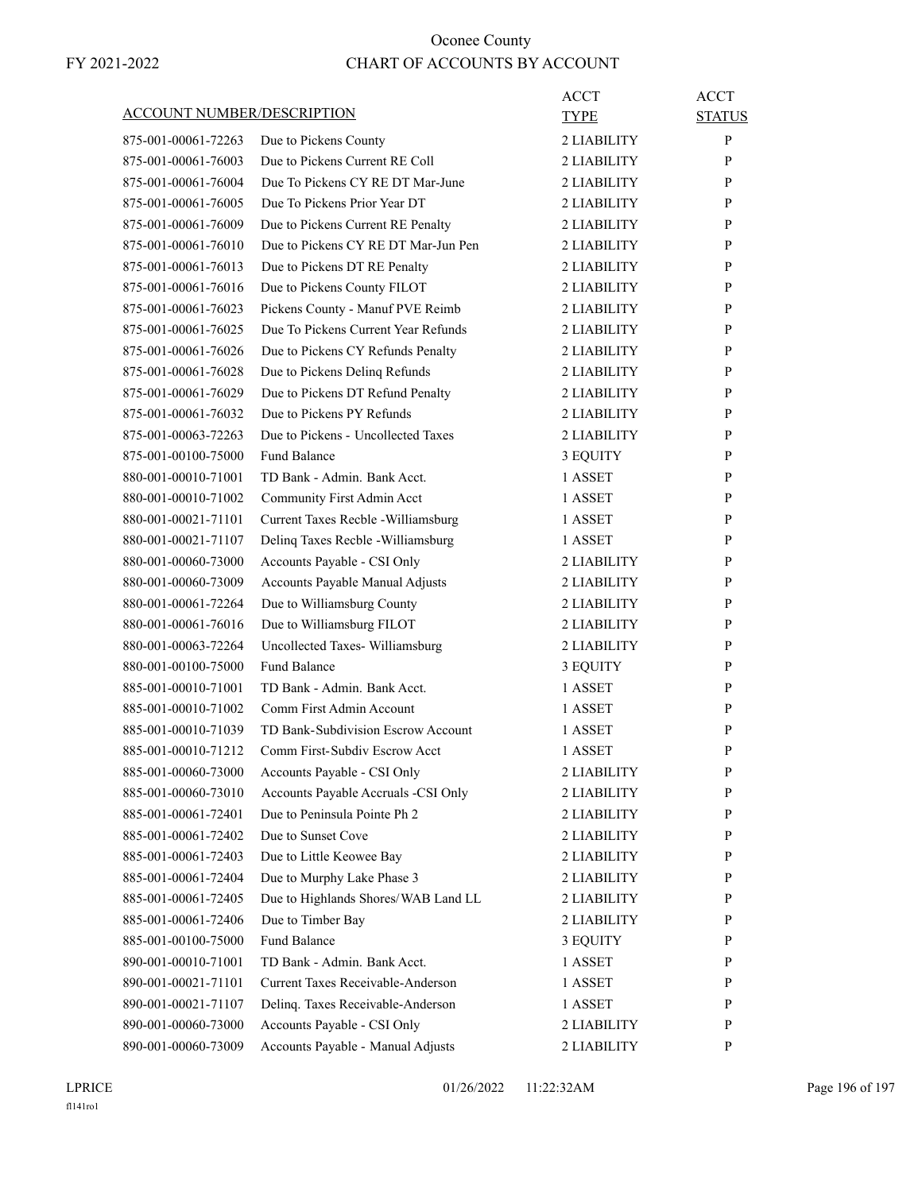| <b>ACCOUNT NUMBER/DESCRIPTION</b> |                                                         | ACCT<br><b>TYPE</b> | <b>ACCT</b><br><b>STATUS</b> |
|-----------------------------------|---------------------------------------------------------|---------------------|------------------------------|
| 875-001-00061-72263               |                                                         | 2 LIABILITY         | P                            |
| 875-001-00061-76003               | Due to Pickens County<br>Due to Pickens Current RE Coll | 2 LIABILITY         | P                            |
| 875-001-00061-76004               | Due To Pickens CY RE DT Mar-June                        | 2 LIABILITY         | P                            |
| 875-001-00061-76005               | Due To Pickens Prior Year DT                            | 2 LIABILITY         | P                            |
|                                   |                                                         | 2 LIABILITY         |                              |
| 875-001-00061-76009               | Due to Pickens Current RE Penalty                       |                     | P                            |
| 875-001-00061-76010               | Due to Pickens CY RE DT Mar-Jun Pen                     | 2 LIABILITY         | P                            |
| 875-001-00061-76013               | Due to Pickens DT RE Penalty                            | 2 LIABILITY         | P                            |
| 875-001-00061-76016               | Due to Pickens County FILOT                             | 2 LIABILITY         | P                            |
| 875-001-00061-76023               | Pickens County - Manuf PVE Reimb                        | 2 LIABILITY         | P                            |
| 875-001-00061-76025               | Due To Pickens Current Year Refunds                     | 2 LIABILITY         | P                            |
| 875-001-00061-76026               | Due to Pickens CY Refunds Penalty                       | 2 LIABILITY         | P                            |
| 875-001-00061-76028               | Due to Pickens Delinq Refunds                           | 2 LIABILITY         | P                            |
| 875-001-00061-76029               | Due to Pickens DT Refund Penalty                        | 2 LIABILITY         | P                            |
| 875-001-00061-76032               | Due to Pickens PY Refunds                               | 2 LIABILITY         | P                            |
| 875-001-00063-72263               | Due to Pickens - Uncollected Taxes                      | 2 LIABILITY         | P                            |
| 875-001-00100-75000               | <b>Fund Balance</b>                                     | 3 EQUITY            | P                            |
| 880-001-00010-71001               | TD Bank - Admin. Bank Acct.                             | 1 ASSET             | P                            |
| 880-001-00010-71002               | Community First Admin Acct                              | 1 ASSET             | P                            |
| 880-001-00021-71101               | Current Taxes Recble - Williamsburg                     | 1 ASSET             | P                            |
| 880-001-00021-71107               | Delinq Taxes Recble - Williamsburg                      | 1 ASSET             | P                            |
| 880-001-00060-73000               | Accounts Payable - CSI Only                             | 2 LIABILITY         | P                            |
| 880-001-00060-73009               | Accounts Payable Manual Adjusts                         | 2 LIABILITY         | P                            |
| 880-001-00061-72264               | Due to Williamsburg County                              | 2 LIABILITY         | P                            |
| 880-001-00061-76016               | Due to Williamsburg FILOT                               | 2 LIABILITY         | P                            |
| 880-001-00063-72264               | Uncollected Taxes- Williamsburg                         | 2 LIABILITY         | P                            |
| 880-001-00100-75000               | <b>Fund Balance</b>                                     | 3 EQUITY            | P                            |
| 885-001-00010-71001               | TD Bank - Admin. Bank Acct.                             | 1 ASSET             | P                            |
| 885-001-00010-71002               | Comm First Admin Account                                | 1 ASSET             | P                            |
| 885-001-00010-71039               | TD Bank-Subdivision Escrow Account                      | 1 ASSET             | P                            |
| 885-001-00010-71212               | Comm First-Subdiv Escrow Acct                           | 1 ASSET             | P                            |
| 885-001-00060-73000               | Accounts Payable - CSI Only                             | 2 LIABILITY         | P                            |
| 885-001-00060-73010               | Accounts Payable Accruals -CSI Only                     | 2 LIABILITY         | P                            |
| 885-001-00061-72401               | Due to Peninsula Pointe Ph 2                            | 2 LIABILITY         | $\mathbf{P}$                 |
| 885-001-00061-72402               | Due to Sunset Cove                                      | 2 LIABILITY         | P                            |
| 885-001-00061-72403               | Due to Little Keowee Bay                                | 2 LIABILITY         | P                            |
| 885-001-00061-72404               | Due to Murphy Lake Phase 3                              | 2 LIABILITY         | $\mathbf{P}$                 |
| 885-001-00061-72405               | Due to Highlands Shores/WAB Land LL                     | 2 LIABILITY         | P                            |
| 885-001-00061-72406               | Due to Timber Bay                                       | 2 LIABILITY         | P                            |
|                                   | Fund Balance                                            |                     | $\mathbf{P}$                 |
| 885-001-00100-75000               |                                                         | 3 EQUITY            |                              |
| 890-001-00010-71001               | TD Bank - Admin. Bank Acct.                             | 1 ASSET             | P                            |
| 890-001-00021-71101               | Current Taxes Receivable-Anderson                       | 1 ASSET             | P                            |
| 890-001-00021-71107               | Delinq. Taxes Receivable-Anderson                       | 1 ASSET             | P                            |
| 890-001-00060-73000               | Accounts Payable - CSI Only                             | 2 LIABILITY         | P                            |
| 890-001-00060-73009               | Accounts Payable - Manual Adjusts                       | 2 LIABILITY         | P                            |